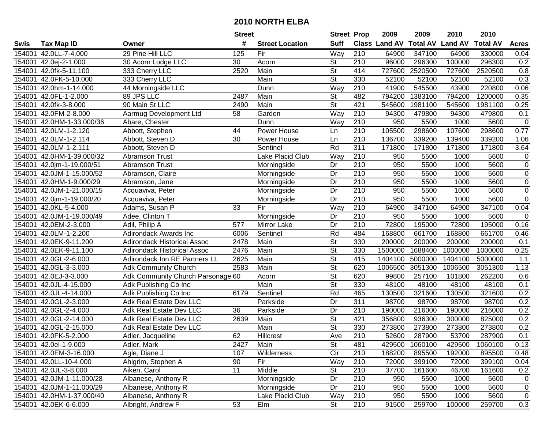| #<br><b>Suff</b><br><b>Total AV</b><br><b>Class Land AV</b><br><b>Land AV</b><br><b>Total AV</b><br><b>Acres</b><br><b>Tax Map ID</b><br><b>Street Location</b><br>Swis<br>Owner<br>29 Pine Hill LLC<br>Way<br>$\overline{210}$<br>347100<br>154001<br>42.0LL-7-4.000<br>125<br>Fir<br>64900<br>64900<br>330000<br>0.04<br><b>St</b><br>96000<br>0.2<br>30 Acorn Lodge LLC<br>30<br>210<br>296300<br>100000<br>296300<br>154001<br>42.0ej-2-1.000<br>Acorn<br>$\overline{\mathsf{St}}$<br>Main<br>414<br>0.8<br>154001<br>333 Cherry LLC<br>2520<br>727600<br>2520500<br>727600<br>2520500<br>42.0fk-5-11.100<br>St<br>330<br>0.3<br>42.0FK-5-10.000<br>333 Cherry LLC<br>Main<br>52100<br>52100<br>52100<br>52100<br>154001<br>44 Morningside LLC<br>Way<br>210<br>41900<br>545500<br>43900<br>220800<br>0.06<br>154001<br>42.0hm-1-14.000<br>Dunn<br>89 JPS LLC<br>42.0FL-1-2.000<br>2487<br>Main<br><b>St</b><br>482<br>794200<br>1383100<br>794200<br>1200000<br>0.35<br>154001<br>90 Main St LLC<br>St<br>421<br>154001<br>42.0fk-3-8.000<br>2490<br>Main<br>545600<br>1981100<br>545600<br>1981100<br>0.25<br>210<br>42.0FM-2-8.000<br>58<br>Way<br>94300<br>479800<br>94300<br>479800<br>0.1<br>154001<br>Aarmug Development Ltd<br>Garden<br>210<br>Way<br>950<br>5500<br>5600<br>$\mathbf 0$<br>42.0HM-1-33.000/36<br>Abare, Chester<br>Dunn<br>1000<br>154001<br>210<br>105500<br>298600<br>107600<br>298600<br>0.77<br>42.0LM-1-2.120<br>Abbott, Stephen<br>Power House<br>154001<br>44<br>Ln<br>210<br>136700<br>339200<br>154001<br>42.0LM-1-2.114<br>Abbott, Steven D<br>30<br>Power House<br>139400<br>339200<br>Ln<br>1.06<br>311<br>42.0LM-1-2.111<br>Abbott, Steven D<br>Rd<br>171800<br>171800<br>171800<br>171800<br>3.64<br>154001<br>Sentinel<br>210<br>Lake Placid Club<br>Way<br>5600<br>154001<br>42.0HM-1-39.000/32<br>Abramson Trust<br>950<br>5500<br>1000<br>$\mathbf 0$<br>$\overline{210}$<br>$\mathbf 0$<br>Abramson Trust<br>Dr<br>950<br>5500<br>1000<br>5600<br>154001 42.0jm-1-19.000/51<br>Morningside<br>$\overline{Dr}$<br>$\overline{210}$<br>950<br>5500<br>1000<br>5600<br>$\mathbf 0$<br>154001<br>42.0JM-1-15.000/52<br>Abramson, Claire<br>Morningside<br>210<br>Dr<br>950<br>5500<br>5600<br>$\mathbf 0$<br>154001<br>42.0HM-1-9.000/29<br>Morningside<br>1000<br>Abramson, Jane<br>210<br>$\overline{0}$<br>950<br>5500<br>5600<br>154001<br>42.0JM-1-21.000/15<br>Dr<br>1000<br>Acquaviva, Peter<br>Morningside<br>$\overline{210}$<br>950<br>$\mathbf 0$<br>154001<br>Dr<br>5500<br>1000<br>5600<br>42.0jm-1-19.000/20<br>Acquaviva, Peter<br>Morningside<br>$\overline{33}$<br>Fir<br>Way<br>$\overline{210}$<br>64900<br>347100<br>347100<br>0.04<br>154001<br>42.0KL-5-4.000<br>Adams, Susan P<br>64900<br>950<br>154001<br>42.0JM-1-19.000/49<br>Adee, Clinton T<br>Morningside<br>Dr<br>210<br>5500<br>1000<br>5600<br>$\mathbf 0$<br>0.16<br>154001<br>42.0EM-2-3.000<br>Adil, Philip A<br>577<br>Dr<br>210<br>72800<br>195000<br>72800<br>195000<br>Mirror Lake<br>Rd<br>Adirondack Awards Inc<br>Sentinel<br>484<br>168800<br>168800<br>661700<br>154001<br>42.0LM-1-2.200<br>6006<br>661700<br>0.46<br><b>St</b><br>330<br>42.0EK-9-11.200<br><b>Adirondack Historical Assoc</b><br>2478<br>Main<br>200000<br>200000<br>200000<br>200000<br>0.1<br>154001<br>St<br>330<br>0.25<br>154001<br>42.0EK-9-11.100<br><b>Adirondack Historical Assoc</b><br>2476<br>Main<br>1500000<br>1688400<br>1000000<br>1000000<br>St<br>415<br>42.0GL-2-6.000<br>Adirondack Inn RE Partners LL<br>2625<br>1404100<br>5000000<br>1404100<br>5000000<br>1.1<br>154001<br>Main<br>$\overline{St}$<br>42.0GL-3-3.000<br>2583<br>620<br>1006500<br>3051300<br>1006500<br>3051300<br>1.13<br>154001<br><b>Adk Community Church</b><br>Main<br>$\overline{\mathsf{St}}$<br>42.0EJ-3-3.000<br>620<br>257100<br>262200<br>Adk Community Church Parsonage 60<br>99800<br>101800<br>0.6<br>154001<br>Acorn<br>$\overline{\mathsf{St}}$<br>Main<br>330<br>48100<br>48100<br>0.1<br>154001<br>42.0JL-4-15.000<br>Adk Publishing Co Inc<br>48100<br>48100<br>Rd<br>321600<br>321600<br>0.2<br>154001<br>42.0JL-4-14.000<br>6179<br>465<br>130500<br>130500<br>Adk Publishing Co Inc<br>Sentinel<br>$\overline{311}$<br>0.2<br>42.0GL-2-3.000<br>Parkside<br>Dr<br>98700<br>98700<br>98700<br>98700<br>154001<br>Adk Real Estate Dev LLC<br>Dr<br>210<br>216000<br>0.2<br>42.0GL-2-4.000<br>Adk Real Estate Dev LLC<br>36<br>Parkside<br>190000<br>190000<br>216000<br>154001<br>$\overline{\mathsf{St}}$<br>421<br>0.2<br>154001<br>42.0GL-2-14.000<br>Adk Real Estate Dev LLC<br>Main<br>356800<br>936300<br>300000<br>825000<br>2639<br>$\overline{\mathsf{St}}$<br>42.0GL-2-15.000<br>Adk Real Estate Dev LLC<br>Main<br>330<br>273800<br>273800<br>273800<br>273800<br>0.2<br>154001<br>$\overline{210}$<br>0.1<br>62<br>53700<br>154001 42.0FK-5-2.000<br>Ave<br>52600<br>287900<br>287900<br>Adler, Jacqueline<br>Hillcrest<br>154001 42.0el-1-9.000<br>Adler, Mark<br>2427<br>Main<br>St<br>481<br>429500<br>1060100<br>429500<br>1060100<br>0.13<br>Cir<br>210<br>154001 42.0EM-3-16.000<br>Agle, Diane J<br>107<br>Wilderness<br>188200<br>895500<br>192000<br>895500<br>0.48<br>Fir<br>72000<br>399100<br>154001 42.0LL-10-4.000<br>Ahlgrim, Stephen A<br>90<br>Way<br>210<br>72000<br>399100<br>0.04<br>11<br>Middle<br>St<br>154001 42.0JL-3-8.000<br>Aiken, Carol<br>210<br>37700<br>161600<br>46700<br>161600<br>0.2<br>210<br>154001 42.0JM-1-11.000/28<br>Albanese, Anthony R<br>Morningside<br>Dr<br>950<br>5500<br>1000<br>5600<br>$\mathbf 0$<br>154001 42.0JM-1-11.000/29<br>Morningside<br>210<br>$\mathbf 0$<br>Albanese, Anthony R<br>Dr<br>950<br>5500<br>1000<br>5600<br>154001 42.0HM-1-37.000/40<br>Albanese, Anthony R<br>Lake Placid Club<br>Way<br>210<br>950<br>5500<br>5600<br>$\mathbf 0$<br>1000<br>154001 42.0EK-6-6.000<br>Albright, Andrew F<br>53<br>$\overline{\mathsf{St}}$<br>$\overline{210}$<br>91500<br>Elm<br>259700<br>100000<br>259700<br>0.3 |  | <b>Street</b> | <b>Street Prop</b> | 2009 | 2009 | 2010 | 2010 |  |
|-------------------------------------------------------------------------------------------------------------------------------------------------------------------------------------------------------------------------------------------------------------------------------------------------------------------------------------------------------------------------------------------------------------------------------------------------------------------------------------------------------------------------------------------------------------------------------------------------------------------------------------------------------------------------------------------------------------------------------------------------------------------------------------------------------------------------------------------------------------------------------------------------------------------------------------------------------------------------------------------------------------------------------------------------------------------------------------------------------------------------------------------------------------------------------------------------------------------------------------------------------------------------------------------------------------------------------------------------------------------------------------------------------------------------------------------------------------------------------------------------------------------------------------------------------------------------------------------------------------------------------------------------------------------------------------------------------------------------------------------------------------------------------------------------------------------------------------------------------------------------------------------------------------------------------------------------------------------------------------------------------------------------------------------------------------------------------------------------------------------------------------------------------------------------------------------------------------------------------------------------------------------------------------------------------------------------------------------------------------------------------------------------------------------------------------------------------------------------------------------------------------------------------------------------------------------------------------------------------------------------------------------------------------------------------------------------------------------------------------------------------------------------------------------------------------------------------------------------------------------------------------------------------------------------------------------------------------------------------------------------------------------------------------------------------------------------------------------------------------------------------------------------------------------------------------------------------------------------------------------------------------------------------------------------------------------------------------------------------------------------------------------------------------------------------------------------------------------------------------------------------------------------------------------------------------------------------------------------------------------------------------------------------------------------------------------------------------------------------------------------------------------------------------------------------------------------------------------------------------------------------------------------------------------------------------------------------------------------------------------------------------------------------------------------------------------------------------------------------------------------------------------------------------------------------------------------------------------------------------------------------------------------------------------------------------------------------------------------------------------------------------------------------------------------------------------------------------------------------------------------------------------------------------------------------------------------------------------------------------------------------------------------------------------------------------------------------------------------------------------------------------------------------------------------------------------------------------------------------------------------------------------------------------------------------------------------------------------------------------------------------------------------------------------------------------------------------------------------------------------------------------------------------------------------------------------------------------------------------------------------------------------------------------------------------------------------------------------------------------------------------------------------------------------------------------------------------------------------------------------------------------------------------------------------------------------------------------------------------------------------------------------------------------------------------------------------------------------------------------------------------------------------------------------------------------------------------------------------------------------------------------------------------------------------------------------------------------------------------------------------------------------------|--|---------------|--------------------|------|------|------|------|--|
|                                                                                                                                                                                                                                                                                                                                                                                                                                                                                                                                                                                                                                                                                                                                                                                                                                                                                                                                                                                                                                                                                                                                                                                                                                                                                                                                                                                                                                                                                                                                                                                                                                                                                                                                                                                                                                                                                                                                                                                                                                                                                                                                                                                                                                                                                                                                                                                                                                                                                                                                                                                                                                                                                                                                                                                                                                                                                                                                                                                                                                                                                                                                                                                                                                                                                                                                                                                                                                                                                                                                                                                                                                                                                                                                                                                                                                                                                                                                                                                                                                                                                                                                                                                                                                                                                                                                                                                                                                                                                                                                                                                                                                                                                                                                                                                                                                                                                                                                                                                                                                                                                                                                                                                                                                                                                                                                                                                                                                                                                                                                                                                                                                                                                                                                                                                                                                                                                                                                                                                                                         |  |               |                    |      |      |      |      |  |
|                                                                                                                                                                                                                                                                                                                                                                                                                                                                                                                                                                                                                                                                                                                                                                                                                                                                                                                                                                                                                                                                                                                                                                                                                                                                                                                                                                                                                                                                                                                                                                                                                                                                                                                                                                                                                                                                                                                                                                                                                                                                                                                                                                                                                                                                                                                                                                                                                                                                                                                                                                                                                                                                                                                                                                                                                                                                                                                                                                                                                                                                                                                                                                                                                                                                                                                                                                                                                                                                                                                                                                                                                                                                                                                                                                                                                                                                                                                                                                                                                                                                                                                                                                                                                                                                                                                                                                                                                                                                                                                                                                                                                                                                                                                                                                                                                                                                                                                                                                                                                                                                                                                                                                                                                                                                                                                                                                                                                                                                                                                                                                                                                                                                                                                                                                                                                                                                                                                                                                                                                         |  |               |                    |      |      |      |      |  |
|                                                                                                                                                                                                                                                                                                                                                                                                                                                                                                                                                                                                                                                                                                                                                                                                                                                                                                                                                                                                                                                                                                                                                                                                                                                                                                                                                                                                                                                                                                                                                                                                                                                                                                                                                                                                                                                                                                                                                                                                                                                                                                                                                                                                                                                                                                                                                                                                                                                                                                                                                                                                                                                                                                                                                                                                                                                                                                                                                                                                                                                                                                                                                                                                                                                                                                                                                                                                                                                                                                                                                                                                                                                                                                                                                                                                                                                                                                                                                                                                                                                                                                                                                                                                                                                                                                                                                                                                                                                                                                                                                                                                                                                                                                                                                                                                                                                                                                                                                                                                                                                                                                                                                                                                                                                                                                                                                                                                                                                                                                                                                                                                                                                                                                                                                                                                                                                                                                                                                                                                                         |  |               |                    |      |      |      |      |  |
|                                                                                                                                                                                                                                                                                                                                                                                                                                                                                                                                                                                                                                                                                                                                                                                                                                                                                                                                                                                                                                                                                                                                                                                                                                                                                                                                                                                                                                                                                                                                                                                                                                                                                                                                                                                                                                                                                                                                                                                                                                                                                                                                                                                                                                                                                                                                                                                                                                                                                                                                                                                                                                                                                                                                                                                                                                                                                                                                                                                                                                                                                                                                                                                                                                                                                                                                                                                                                                                                                                                                                                                                                                                                                                                                                                                                                                                                                                                                                                                                                                                                                                                                                                                                                                                                                                                                                                                                                                                                                                                                                                                                                                                                                                                                                                                                                                                                                                                                                                                                                                                                                                                                                                                                                                                                                                                                                                                                                                                                                                                                                                                                                                                                                                                                                                                                                                                                                                                                                                                                                         |  |               |                    |      |      |      |      |  |
|                                                                                                                                                                                                                                                                                                                                                                                                                                                                                                                                                                                                                                                                                                                                                                                                                                                                                                                                                                                                                                                                                                                                                                                                                                                                                                                                                                                                                                                                                                                                                                                                                                                                                                                                                                                                                                                                                                                                                                                                                                                                                                                                                                                                                                                                                                                                                                                                                                                                                                                                                                                                                                                                                                                                                                                                                                                                                                                                                                                                                                                                                                                                                                                                                                                                                                                                                                                                                                                                                                                                                                                                                                                                                                                                                                                                                                                                                                                                                                                                                                                                                                                                                                                                                                                                                                                                                                                                                                                                                                                                                                                                                                                                                                                                                                                                                                                                                                                                                                                                                                                                                                                                                                                                                                                                                                                                                                                                                                                                                                                                                                                                                                                                                                                                                                                                                                                                                                                                                                                                                         |  |               |                    |      |      |      |      |  |
|                                                                                                                                                                                                                                                                                                                                                                                                                                                                                                                                                                                                                                                                                                                                                                                                                                                                                                                                                                                                                                                                                                                                                                                                                                                                                                                                                                                                                                                                                                                                                                                                                                                                                                                                                                                                                                                                                                                                                                                                                                                                                                                                                                                                                                                                                                                                                                                                                                                                                                                                                                                                                                                                                                                                                                                                                                                                                                                                                                                                                                                                                                                                                                                                                                                                                                                                                                                                                                                                                                                                                                                                                                                                                                                                                                                                                                                                                                                                                                                                                                                                                                                                                                                                                                                                                                                                                                                                                                                                                                                                                                                                                                                                                                                                                                                                                                                                                                                                                                                                                                                                                                                                                                                                                                                                                                                                                                                                                                                                                                                                                                                                                                                                                                                                                                                                                                                                                                                                                                                                                         |  |               |                    |      |      |      |      |  |
|                                                                                                                                                                                                                                                                                                                                                                                                                                                                                                                                                                                                                                                                                                                                                                                                                                                                                                                                                                                                                                                                                                                                                                                                                                                                                                                                                                                                                                                                                                                                                                                                                                                                                                                                                                                                                                                                                                                                                                                                                                                                                                                                                                                                                                                                                                                                                                                                                                                                                                                                                                                                                                                                                                                                                                                                                                                                                                                                                                                                                                                                                                                                                                                                                                                                                                                                                                                                                                                                                                                                                                                                                                                                                                                                                                                                                                                                                                                                                                                                                                                                                                                                                                                                                                                                                                                                                                                                                                                                                                                                                                                                                                                                                                                                                                                                                                                                                                                                                                                                                                                                                                                                                                                                                                                                                                                                                                                                                                                                                                                                                                                                                                                                                                                                                                                                                                                                                                                                                                                                                         |  |               |                    |      |      |      |      |  |
|                                                                                                                                                                                                                                                                                                                                                                                                                                                                                                                                                                                                                                                                                                                                                                                                                                                                                                                                                                                                                                                                                                                                                                                                                                                                                                                                                                                                                                                                                                                                                                                                                                                                                                                                                                                                                                                                                                                                                                                                                                                                                                                                                                                                                                                                                                                                                                                                                                                                                                                                                                                                                                                                                                                                                                                                                                                                                                                                                                                                                                                                                                                                                                                                                                                                                                                                                                                                                                                                                                                                                                                                                                                                                                                                                                                                                                                                                                                                                                                                                                                                                                                                                                                                                                                                                                                                                                                                                                                                                                                                                                                                                                                                                                                                                                                                                                                                                                                                                                                                                                                                                                                                                                                                                                                                                                                                                                                                                                                                                                                                                                                                                                                                                                                                                                                                                                                                                                                                                                                                                         |  |               |                    |      |      |      |      |  |
|                                                                                                                                                                                                                                                                                                                                                                                                                                                                                                                                                                                                                                                                                                                                                                                                                                                                                                                                                                                                                                                                                                                                                                                                                                                                                                                                                                                                                                                                                                                                                                                                                                                                                                                                                                                                                                                                                                                                                                                                                                                                                                                                                                                                                                                                                                                                                                                                                                                                                                                                                                                                                                                                                                                                                                                                                                                                                                                                                                                                                                                                                                                                                                                                                                                                                                                                                                                                                                                                                                                                                                                                                                                                                                                                                                                                                                                                                                                                                                                                                                                                                                                                                                                                                                                                                                                                                                                                                                                                                                                                                                                                                                                                                                                                                                                                                                                                                                                                                                                                                                                                                                                                                                                                                                                                                                                                                                                                                                                                                                                                                                                                                                                                                                                                                                                                                                                                                                                                                                                                                         |  |               |                    |      |      |      |      |  |
|                                                                                                                                                                                                                                                                                                                                                                                                                                                                                                                                                                                                                                                                                                                                                                                                                                                                                                                                                                                                                                                                                                                                                                                                                                                                                                                                                                                                                                                                                                                                                                                                                                                                                                                                                                                                                                                                                                                                                                                                                                                                                                                                                                                                                                                                                                                                                                                                                                                                                                                                                                                                                                                                                                                                                                                                                                                                                                                                                                                                                                                                                                                                                                                                                                                                                                                                                                                                                                                                                                                                                                                                                                                                                                                                                                                                                                                                                                                                                                                                                                                                                                                                                                                                                                                                                                                                                                                                                                                                                                                                                                                                                                                                                                                                                                                                                                                                                                                                                                                                                                                                                                                                                                                                                                                                                                                                                                                                                                                                                                                                                                                                                                                                                                                                                                                                                                                                                                                                                                                                                         |  |               |                    |      |      |      |      |  |
|                                                                                                                                                                                                                                                                                                                                                                                                                                                                                                                                                                                                                                                                                                                                                                                                                                                                                                                                                                                                                                                                                                                                                                                                                                                                                                                                                                                                                                                                                                                                                                                                                                                                                                                                                                                                                                                                                                                                                                                                                                                                                                                                                                                                                                                                                                                                                                                                                                                                                                                                                                                                                                                                                                                                                                                                                                                                                                                                                                                                                                                                                                                                                                                                                                                                                                                                                                                                                                                                                                                                                                                                                                                                                                                                                                                                                                                                                                                                                                                                                                                                                                                                                                                                                                                                                                                                                                                                                                                                                                                                                                                                                                                                                                                                                                                                                                                                                                                                                                                                                                                                                                                                                                                                                                                                                                                                                                                                                                                                                                                                                                                                                                                                                                                                                                                                                                                                                                                                                                                                                         |  |               |                    |      |      |      |      |  |
|                                                                                                                                                                                                                                                                                                                                                                                                                                                                                                                                                                                                                                                                                                                                                                                                                                                                                                                                                                                                                                                                                                                                                                                                                                                                                                                                                                                                                                                                                                                                                                                                                                                                                                                                                                                                                                                                                                                                                                                                                                                                                                                                                                                                                                                                                                                                                                                                                                                                                                                                                                                                                                                                                                                                                                                                                                                                                                                                                                                                                                                                                                                                                                                                                                                                                                                                                                                                                                                                                                                                                                                                                                                                                                                                                                                                                                                                                                                                                                                                                                                                                                                                                                                                                                                                                                                                                                                                                                                                                                                                                                                                                                                                                                                                                                                                                                                                                                                                                                                                                                                                                                                                                                                                                                                                                                                                                                                                                                                                                                                                                                                                                                                                                                                                                                                                                                                                                                                                                                                                                         |  |               |                    |      |      |      |      |  |
|                                                                                                                                                                                                                                                                                                                                                                                                                                                                                                                                                                                                                                                                                                                                                                                                                                                                                                                                                                                                                                                                                                                                                                                                                                                                                                                                                                                                                                                                                                                                                                                                                                                                                                                                                                                                                                                                                                                                                                                                                                                                                                                                                                                                                                                                                                                                                                                                                                                                                                                                                                                                                                                                                                                                                                                                                                                                                                                                                                                                                                                                                                                                                                                                                                                                                                                                                                                                                                                                                                                                                                                                                                                                                                                                                                                                                                                                                                                                                                                                                                                                                                                                                                                                                                                                                                                                                                                                                                                                                                                                                                                                                                                                                                                                                                                                                                                                                                                                                                                                                                                                                                                                                                                                                                                                                                                                                                                                                                                                                                                                                                                                                                                                                                                                                                                                                                                                                                                                                                                                                         |  |               |                    |      |      |      |      |  |
|                                                                                                                                                                                                                                                                                                                                                                                                                                                                                                                                                                                                                                                                                                                                                                                                                                                                                                                                                                                                                                                                                                                                                                                                                                                                                                                                                                                                                                                                                                                                                                                                                                                                                                                                                                                                                                                                                                                                                                                                                                                                                                                                                                                                                                                                                                                                                                                                                                                                                                                                                                                                                                                                                                                                                                                                                                                                                                                                                                                                                                                                                                                                                                                                                                                                                                                                                                                                                                                                                                                                                                                                                                                                                                                                                                                                                                                                                                                                                                                                                                                                                                                                                                                                                                                                                                                                                                                                                                                                                                                                                                                                                                                                                                                                                                                                                                                                                                                                                                                                                                                                                                                                                                                                                                                                                                                                                                                                                                                                                                                                                                                                                                                                                                                                                                                                                                                                                                                                                                                                                         |  |               |                    |      |      |      |      |  |
|                                                                                                                                                                                                                                                                                                                                                                                                                                                                                                                                                                                                                                                                                                                                                                                                                                                                                                                                                                                                                                                                                                                                                                                                                                                                                                                                                                                                                                                                                                                                                                                                                                                                                                                                                                                                                                                                                                                                                                                                                                                                                                                                                                                                                                                                                                                                                                                                                                                                                                                                                                                                                                                                                                                                                                                                                                                                                                                                                                                                                                                                                                                                                                                                                                                                                                                                                                                                                                                                                                                                                                                                                                                                                                                                                                                                                                                                                                                                                                                                                                                                                                                                                                                                                                                                                                                                                                                                                                                                                                                                                                                                                                                                                                                                                                                                                                                                                                                                                                                                                                                                                                                                                                                                                                                                                                                                                                                                                                                                                                                                                                                                                                                                                                                                                                                                                                                                                                                                                                                                                         |  |               |                    |      |      |      |      |  |
|                                                                                                                                                                                                                                                                                                                                                                                                                                                                                                                                                                                                                                                                                                                                                                                                                                                                                                                                                                                                                                                                                                                                                                                                                                                                                                                                                                                                                                                                                                                                                                                                                                                                                                                                                                                                                                                                                                                                                                                                                                                                                                                                                                                                                                                                                                                                                                                                                                                                                                                                                                                                                                                                                                                                                                                                                                                                                                                                                                                                                                                                                                                                                                                                                                                                                                                                                                                                                                                                                                                                                                                                                                                                                                                                                                                                                                                                                                                                                                                                                                                                                                                                                                                                                                                                                                                                                                                                                                                                                                                                                                                                                                                                                                                                                                                                                                                                                                                                                                                                                                                                                                                                                                                                                                                                                                                                                                                                                                                                                                                                                                                                                                                                                                                                                                                                                                                                                                                                                                                                                         |  |               |                    |      |      |      |      |  |
|                                                                                                                                                                                                                                                                                                                                                                                                                                                                                                                                                                                                                                                                                                                                                                                                                                                                                                                                                                                                                                                                                                                                                                                                                                                                                                                                                                                                                                                                                                                                                                                                                                                                                                                                                                                                                                                                                                                                                                                                                                                                                                                                                                                                                                                                                                                                                                                                                                                                                                                                                                                                                                                                                                                                                                                                                                                                                                                                                                                                                                                                                                                                                                                                                                                                                                                                                                                                                                                                                                                                                                                                                                                                                                                                                                                                                                                                                                                                                                                                                                                                                                                                                                                                                                                                                                                                                                                                                                                                                                                                                                                                                                                                                                                                                                                                                                                                                                                                                                                                                                                                                                                                                                                                                                                                                                                                                                                                                                                                                                                                                                                                                                                                                                                                                                                                                                                                                                                                                                                                                         |  |               |                    |      |      |      |      |  |
|                                                                                                                                                                                                                                                                                                                                                                                                                                                                                                                                                                                                                                                                                                                                                                                                                                                                                                                                                                                                                                                                                                                                                                                                                                                                                                                                                                                                                                                                                                                                                                                                                                                                                                                                                                                                                                                                                                                                                                                                                                                                                                                                                                                                                                                                                                                                                                                                                                                                                                                                                                                                                                                                                                                                                                                                                                                                                                                                                                                                                                                                                                                                                                                                                                                                                                                                                                                                                                                                                                                                                                                                                                                                                                                                                                                                                                                                                                                                                                                                                                                                                                                                                                                                                                                                                                                                                                                                                                                                                                                                                                                                                                                                                                                                                                                                                                                                                                                                                                                                                                                                                                                                                                                                                                                                                                                                                                                                                                                                                                                                                                                                                                                                                                                                                                                                                                                                                                                                                                                                                         |  |               |                    |      |      |      |      |  |
|                                                                                                                                                                                                                                                                                                                                                                                                                                                                                                                                                                                                                                                                                                                                                                                                                                                                                                                                                                                                                                                                                                                                                                                                                                                                                                                                                                                                                                                                                                                                                                                                                                                                                                                                                                                                                                                                                                                                                                                                                                                                                                                                                                                                                                                                                                                                                                                                                                                                                                                                                                                                                                                                                                                                                                                                                                                                                                                                                                                                                                                                                                                                                                                                                                                                                                                                                                                                                                                                                                                                                                                                                                                                                                                                                                                                                                                                                                                                                                                                                                                                                                                                                                                                                                                                                                                                                                                                                                                                                                                                                                                                                                                                                                                                                                                                                                                                                                                                                                                                                                                                                                                                                                                                                                                                                                                                                                                                                                                                                                                                                                                                                                                                                                                                                                                                                                                                                                                                                                                                                         |  |               |                    |      |      |      |      |  |
|                                                                                                                                                                                                                                                                                                                                                                                                                                                                                                                                                                                                                                                                                                                                                                                                                                                                                                                                                                                                                                                                                                                                                                                                                                                                                                                                                                                                                                                                                                                                                                                                                                                                                                                                                                                                                                                                                                                                                                                                                                                                                                                                                                                                                                                                                                                                                                                                                                                                                                                                                                                                                                                                                                                                                                                                                                                                                                                                                                                                                                                                                                                                                                                                                                                                                                                                                                                                                                                                                                                                                                                                                                                                                                                                                                                                                                                                                                                                                                                                                                                                                                                                                                                                                                                                                                                                                                                                                                                                                                                                                                                                                                                                                                                                                                                                                                                                                                                                                                                                                                                                                                                                                                                                                                                                                                                                                                                                                                                                                                                                                                                                                                                                                                                                                                                                                                                                                                                                                                                                                         |  |               |                    |      |      |      |      |  |
|                                                                                                                                                                                                                                                                                                                                                                                                                                                                                                                                                                                                                                                                                                                                                                                                                                                                                                                                                                                                                                                                                                                                                                                                                                                                                                                                                                                                                                                                                                                                                                                                                                                                                                                                                                                                                                                                                                                                                                                                                                                                                                                                                                                                                                                                                                                                                                                                                                                                                                                                                                                                                                                                                                                                                                                                                                                                                                                                                                                                                                                                                                                                                                                                                                                                                                                                                                                                                                                                                                                                                                                                                                                                                                                                                                                                                                                                                                                                                                                                                                                                                                                                                                                                                                                                                                                                                                                                                                                                                                                                                                                                                                                                                                                                                                                                                                                                                                                                                                                                                                                                                                                                                                                                                                                                                                                                                                                                                                                                                                                                                                                                                                                                                                                                                                                                                                                                                                                                                                                                                         |  |               |                    |      |      |      |      |  |
|                                                                                                                                                                                                                                                                                                                                                                                                                                                                                                                                                                                                                                                                                                                                                                                                                                                                                                                                                                                                                                                                                                                                                                                                                                                                                                                                                                                                                                                                                                                                                                                                                                                                                                                                                                                                                                                                                                                                                                                                                                                                                                                                                                                                                                                                                                                                                                                                                                                                                                                                                                                                                                                                                                                                                                                                                                                                                                                                                                                                                                                                                                                                                                                                                                                                                                                                                                                                                                                                                                                                                                                                                                                                                                                                                                                                                                                                                                                                                                                                                                                                                                                                                                                                                                                                                                                                                                                                                                                                                                                                                                                                                                                                                                                                                                                                                                                                                                                                                                                                                                                                                                                                                                                                                                                                                                                                                                                                                                                                                                                                                                                                                                                                                                                                                                                                                                                                                                                                                                                                                         |  |               |                    |      |      |      |      |  |
|                                                                                                                                                                                                                                                                                                                                                                                                                                                                                                                                                                                                                                                                                                                                                                                                                                                                                                                                                                                                                                                                                                                                                                                                                                                                                                                                                                                                                                                                                                                                                                                                                                                                                                                                                                                                                                                                                                                                                                                                                                                                                                                                                                                                                                                                                                                                                                                                                                                                                                                                                                                                                                                                                                                                                                                                                                                                                                                                                                                                                                                                                                                                                                                                                                                                                                                                                                                                                                                                                                                                                                                                                                                                                                                                                                                                                                                                                                                                                                                                                                                                                                                                                                                                                                                                                                                                                                                                                                                                                                                                                                                                                                                                                                                                                                                                                                                                                                                                                                                                                                                                                                                                                                                                                                                                                                                                                                                                                                                                                                                                                                                                                                                                                                                                                                                                                                                                                                                                                                                                                         |  |               |                    |      |      |      |      |  |
|                                                                                                                                                                                                                                                                                                                                                                                                                                                                                                                                                                                                                                                                                                                                                                                                                                                                                                                                                                                                                                                                                                                                                                                                                                                                                                                                                                                                                                                                                                                                                                                                                                                                                                                                                                                                                                                                                                                                                                                                                                                                                                                                                                                                                                                                                                                                                                                                                                                                                                                                                                                                                                                                                                                                                                                                                                                                                                                                                                                                                                                                                                                                                                                                                                                                                                                                                                                                                                                                                                                                                                                                                                                                                                                                                                                                                                                                                                                                                                                                                                                                                                                                                                                                                                                                                                                                                                                                                                                                                                                                                                                                                                                                                                                                                                                                                                                                                                                                                                                                                                                                                                                                                                                                                                                                                                                                                                                                                                                                                                                                                                                                                                                                                                                                                                                                                                                                                                                                                                                                                         |  |               |                    |      |      |      |      |  |
|                                                                                                                                                                                                                                                                                                                                                                                                                                                                                                                                                                                                                                                                                                                                                                                                                                                                                                                                                                                                                                                                                                                                                                                                                                                                                                                                                                                                                                                                                                                                                                                                                                                                                                                                                                                                                                                                                                                                                                                                                                                                                                                                                                                                                                                                                                                                                                                                                                                                                                                                                                                                                                                                                                                                                                                                                                                                                                                                                                                                                                                                                                                                                                                                                                                                                                                                                                                                                                                                                                                                                                                                                                                                                                                                                                                                                                                                                                                                                                                                                                                                                                                                                                                                                                                                                                                                                                                                                                                                                                                                                                                                                                                                                                                                                                                                                                                                                                                                                                                                                                                                                                                                                                                                                                                                                                                                                                                                                                                                                                                                                                                                                                                                                                                                                                                                                                                                                                                                                                                                                         |  |               |                    |      |      |      |      |  |
|                                                                                                                                                                                                                                                                                                                                                                                                                                                                                                                                                                                                                                                                                                                                                                                                                                                                                                                                                                                                                                                                                                                                                                                                                                                                                                                                                                                                                                                                                                                                                                                                                                                                                                                                                                                                                                                                                                                                                                                                                                                                                                                                                                                                                                                                                                                                                                                                                                                                                                                                                                                                                                                                                                                                                                                                                                                                                                                                                                                                                                                                                                                                                                                                                                                                                                                                                                                                                                                                                                                                                                                                                                                                                                                                                                                                                                                                                                                                                                                                                                                                                                                                                                                                                                                                                                                                                                                                                                                                                                                                                                                                                                                                                                                                                                                                                                                                                                                                                                                                                                                                                                                                                                                                                                                                                                                                                                                                                                                                                                                                                                                                                                                                                                                                                                                                                                                                                                                                                                                                                         |  |               |                    |      |      |      |      |  |
|                                                                                                                                                                                                                                                                                                                                                                                                                                                                                                                                                                                                                                                                                                                                                                                                                                                                                                                                                                                                                                                                                                                                                                                                                                                                                                                                                                                                                                                                                                                                                                                                                                                                                                                                                                                                                                                                                                                                                                                                                                                                                                                                                                                                                                                                                                                                                                                                                                                                                                                                                                                                                                                                                                                                                                                                                                                                                                                                                                                                                                                                                                                                                                                                                                                                                                                                                                                                                                                                                                                                                                                                                                                                                                                                                                                                                                                                                                                                                                                                                                                                                                                                                                                                                                                                                                                                                                                                                                                                                                                                                                                                                                                                                                                                                                                                                                                                                                                                                                                                                                                                                                                                                                                                                                                                                                                                                                                                                                                                                                                                                                                                                                                                                                                                                                                                                                                                                                                                                                                                                         |  |               |                    |      |      |      |      |  |
|                                                                                                                                                                                                                                                                                                                                                                                                                                                                                                                                                                                                                                                                                                                                                                                                                                                                                                                                                                                                                                                                                                                                                                                                                                                                                                                                                                                                                                                                                                                                                                                                                                                                                                                                                                                                                                                                                                                                                                                                                                                                                                                                                                                                                                                                                                                                                                                                                                                                                                                                                                                                                                                                                                                                                                                                                                                                                                                                                                                                                                                                                                                                                                                                                                                                                                                                                                                                                                                                                                                                                                                                                                                                                                                                                                                                                                                                                                                                                                                                                                                                                                                                                                                                                                                                                                                                                                                                                                                                                                                                                                                                                                                                                                                                                                                                                                                                                                                                                                                                                                                                                                                                                                                                                                                                                                                                                                                                                                                                                                                                                                                                                                                                                                                                                                                                                                                                                                                                                                                                                         |  |               |                    |      |      |      |      |  |
|                                                                                                                                                                                                                                                                                                                                                                                                                                                                                                                                                                                                                                                                                                                                                                                                                                                                                                                                                                                                                                                                                                                                                                                                                                                                                                                                                                                                                                                                                                                                                                                                                                                                                                                                                                                                                                                                                                                                                                                                                                                                                                                                                                                                                                                                                                                                                                                                                                                                                                                                                                                                                                                                                                                                                                                                                                                                                                                                                                                                                                                                                                                                                                                                                                                                                                                                                                                                                                                                                                                                                                                                                                                                                                                                                                                                                                                                                                                                                                                                                                                                                                                                                                                                                                                                                                                                                                                                                                                                                                                                                                                                                                                                                                                                                                                                                                                                                                                                                                                                                                                                                                                                                                                                                                                                                                                                                                                                                                                                                                                                                                                                                                                                                                                                                                                                                                                                                                                                                                                                                         |  |               |                    |      |      |      |      |  |
|                                                                                                                                                                                                                                                                                                                                                                                                                                                                                                                                                                                                                                                                                                                                                                                                                                                                                                                                                                                                                                                                                                                                                                                                                                                                                                                                                                                                                                                                                                                                                                                                                                                                                                                                                                                                                                                                                                                                                                                                                                                                                                                                                                                                                                                                                                                                                                                                                                                                                                                                                                                                                                                                                                                                                                                                                                                                                                                                                                                                                                                                                                                                                                                                                                                                                                                                                                                                                                                                                                                                                                                                                                                                                                                                                                                                                                                                                                                                                                                                                                                                                                                                                                                                                                                                                                                                                                                                                                                                                                                                                                                                                                                                                                                                                                                                                                                                                                                                                                                                                                                                                                                                                                                                                                                                                                                                                                                                                                                                                                                                                                                                                                                                                                                                                                                                                                                                                                                                                                                                                         |  |               |                    |      |      |      |      |  |
|                                                                                                                                                                                                                                                                                                                                                                                                                                                                                                                                                                                                                                                                                                                                                                                                                                                                                                                                                                                                                                                                                                                                                                                                                                                                                                                                                                                                                                                                                                                                                                                                                                                                                                                                                                                                                                                                                                                                                                                                                                                                                                                                                                                                                                                                                                                                                                                                                                                                                                                                                                                                                                                                                                                                                                                                                                                                                                                                                                                                                                                                                                                                                                                                                                                                                                                                                                                                                                                                                                                                                                                                                                                                                                                                                                                                                                                                                                                                                                                                                                                                                                                                                                                                                                                                                                                                                                                                                                                                                                                                                                                                                                                                                                                                                                                                                                                                                                                                                                                                                                                                                                                                                                                                                                                                                                                                                                                                                                                                                                                                                                                                                                                                                                                                                                                                                                                                                                                                                                                                                         |  |               |                    |      |      |      |      |  |
|                                                                                                                                                                                                                                                                                                                                                                                                                                                                                                                                                                                                                                                                                                                                                                                                                                                                                                                                                                                                                                                                                                                                                                                                                                                                                                                                                                                                                                                                                                                                                                                                                                                                                                                                                                                                                                                                                                                                                                                                                                                                                                                                                                                                                                                                                                                                                                                                                                                                                                                                                                                                                                                                                                                                                                                                                                                                                                                                                                                                                                                                                                                                                                                                                                                                                                                                                                                                                                                                                                                                                                                                                                                                                                                                                                                                                                                                                                                                                                                                                                                                                                                                                                                                                                                                                                                                                                                                                                                                                                                                                                                                                                                                                                                                                                                                                                                                                                                                                                                                                                                                                                                                                                                                                                                                                                                                                                                                                                                                                                                                                                                                                                                                                                                                                                                                                                                                                                                                                                                                                         |  |               |                    |      |      |      |      |  |
|                                                                                                                                                                                                                                                                                                                                                                                                                                                                                                                                                                                                                                                                                                                                                                                                                                                                                                                                                                                                                                                                                                                                                                                                                                                                                                                                                                                                                                                                                                                                                                                                                                                                                                                                                                                                                                                                                                                                                                                                                                                                                                                                                                                                                                                                                                                                                                                                                                                                                                                                                                                                                                                                                                                                                                                                                                                                                                                                                                                                                                                                                                                                                                                                                                                                                                                                                                                                                                                                                                                                                                                                                                                                                                                                                                                                                                                                                                                                                                                                                                                                                                                                                                                                                                                                                                                                                                                                                                                                                                                                                                                                                                                                                                                                                                                                                                                                                                                                                                                                                                                                                                                                                                                                                                                                                                                                                                                                                                                                                                                                                                                                                                                                                                                                                                                                                                                                                                                                                                                                                         |  |               |                    |      |      |      |      |  |
|                                                                                                                                                                                                                                                                                                                                                                                                                                                                                                                                                                                                                                                                                                                                                                                                                                                                                                                                                                                                                                                                                                                                                                                                                                                                                                                                                                                                                                                                                                                                                                                                                                                                                                                                                                                                                                                                                                                                                                                                                                                                                                                                                                                                                                                                                                                                                                                                                                                                                                                                                                                                                                                                                                                                                                                                                                                                                                                                                                                                                                                                                                                                                                                                                                                                                                                                                                                                                                                                                                                                                                                                                                                                                                                                                                                                                                                                                                                                                                                                                                                                                                                                                                                                                                                                                                                                                                                                                                                                                                                                                                                                                                                                                                                                                                                                                                                                                                                                                                                                                                                                                                                                                                                                                                                                                                                                                                                                                                                                                                                                                                                                                                                                                                                                                                                                                                                                                                                                                                                                                         |  |               |                    |      |      |      |      |  |
|                                                                                                                                                                                                                                                                                                                                                                                                                                                                                                                                                                                                                                                                                                                                                                                                                                                                                                                                                                                                                                                                                                                                                                                                                                                                                                                                                                                                                                                                                                                                                                                                                                                                                                                                                                                                                                                                                                                                                                                                                                                                                                                                                                                                                                                                                                                                                                                                                                                                                                                                                                                                                                                                                                                                                                                                                                                                                                                                                                                                                                                                                                                                                                                                                                                                                                                                                                                                                                                                                                                                                                                                                                                                                                                                                                                                                                                                                                                                                                                                                                                                                                                                                                                                                                                                                                                                                                                                                                                                                                                                                                                                                                                                                                                                                                                                                                                                                                                                                                                                                                                                                                                                                                                                                                                                                                                                                                                                                                                                                                                                                                                                                                                                                                                                                                                                                                                                                                                                                                                                                         |  |               |                    |      |      |      |      |  |
|                                                                                                                                                                                                                                                                                                                                                                                                                                                                                                                                                                                                                                                                                                                                                                                                                                                                                                                                                                                                                                                                                                                                                                                                                                                                                                                                                                                                                                                                                                                                                                                                                                                                                                                                                                                                                                                                                                                                                                                                                                                                                                                                                                                                                                                                                                                                                                                                                                                                                                                                                                                                                                                                                                                                                                                                                                                                                                                                                                                                                                                                                                                                                                                                                                                                                                                                                                                                                                                                                                                                                                                                                                                                                                                                                                                                                                                                                                                                                                                                                                                                                                                                                                                                                                                                                                                                                                                                                                                                                                                                                                                                                                                                                                                                                                                                                                                                                                                                                                                                                                                                                                                                                                                                                                                                                                                                                                                                                                                                                                                                                                                                                                                                                                                                                                                                                                                                                                                                                                                                                         |  |               |                    |      |      |      |      |  |
|                                                                                                                                                                                                                                                                                                                                                                                                                                                                                                                                                                                                                                                                                                                                                                                                                                                                                                                                                                                                                                                                                                                                                                                                                                                                                                                                                                                                                                                                                                                                                                                                                                                                                                                                                                                                                                                                                                                                                                                                                                                                                                                                                                                                                                                                                                                                                                                                                                                                                                                                                                                                                                                                                                                                                                                                                                                                                                                                                                                                                                                                                                                                                                                                                                                                                                                                                                                                                                                                                                                                                                                                                                                                                                                                                                                                                                                                                                                                                                                                                                                                                                                                                                                                                                                                                                                                                                                                                                                                                                                                                                                                                                                                                                                                                                                                                                                                                                                                                                                                                                                                                                                                                                                                                                                                                                                                                                                                                                                                                                                                                                                                                                                                                                                                                                                                                                                                                                                                                                                                                         |  |               |                    |      |      |      |      |  |
|                                                                                                                                                                                                                                                                                                                                                                                                                                                                                                                                                                                                                                                                                                                                                                                                                                                                                                                                                                                                                                                                                                                                                                                                                                                                                                                                                                                                                                                                                                                                                                                                                                                                                                                                                                                                                                                                                                                                                                                                                                                                                                                                                                                                                                                                                                                                                                                                                                                                                                                                                                                                                                                                                                                                                                                                                                                                                                                                                                                                                                                                                                                                                                                                                                                                                                                                                                                                                                                                                                                                                                                                                                                                                                                                                                                                                                                                                                                                                                                                                                                                                                                                                                                                                                                                                                                                                                                                                                                                                                                                                                                                                                                                                                                                                                                                                                                                                                                                                                                                                                                                                                                                                                                                                                                                                                                                                                                                                                                                                                                                                                                                                                                                                                                                                                                                                                                                                                                                                                                                                         |  |               |                    |      |      |      |      |  |
|                                                                                                                                                                                                                                                                                                                                                                                                                                                                                                                                                                                                                                                                                                                                                                                                                                                                                                                                                                                                                                                                                                                                                                                                                                                                                                                                                                                                                                                                                                                                                                                                                                                                                                                                                                                                                                                                                                                                                                                                                                                                                                                                                                                                                                                                                                                                                                                                                                                                                                                                                                                                                                                                                                                                                                                                                                                                                                                                                                                                                                                                                                                                                                                                                                                                                                                                                                                                                                                                                                                                                                                                                                                                                                                                                                                                                                                                                                                                                                                                                                                                                                                                                                                                                                                                                                                                                                                                                                                                                                                                                                                                                                                                                                                                                                                                                                                                                                                                                                                                                                                                                                                                                                                                                                                                                                                                                                                                                                                                                                                                                                                                                                                                                                                                                                                                                                                                                                                                                                                                                         |  |               |                    |      |      |      |      |  |
|                                                                                                                                                                                                                                                                                                                                                                                                                                                                                                                                                                                                                                                                                                                                                                                                                                                                                                                                                                                                                                                                                                                                                                                                                                                                                                                                                                                                                                                                                                                                                                                                                                                                                                                                                                                                                                                                                                                                                                                                                                                                                                                                                                                                                                                                                                                                                                                                                                                                                                                                                                                                                                                                                                                                                                                                                                                                                                                                                                                                                                                                                                                                                                                                                                                                                                                                                                                                                                                                                                                                                                                                                                                                                                                                                                                                                                                                                                                                                                                                                                                                                                                                                                                                                                                                                                                                                                                                                                                                                                                                                                                                                                                                                                                                                                                                                                                                                                                                                                                                                                                                                                                                                                                                                                                                                                                                                                                                                                                                                                                                                                                                                                                                                                                                                                                                                                                                                                                                                                                                                         |  |               |                    |      |      |      |      |  |
|                                                                                                                                                                                                                                                                                                                                                                                                                                                                                                                                                                                                                                                                                                                                                                                                                                                                                                                                                                                                                                                                                                                                                                                                                                                                                                                                                                                                                                                                                                                                                                                                                                                                                                                                                                                                                                                                                                                                                                                                                                                                                                                                                                                                                                                                                                                                                                                                                                                                                                                                                                                                                                                                                                                                                                                                                                                                                                                                                                                                                                                                                                                                                                                                                                                                                                                                                                                                                                                                                                                                                                                                                                                                                                                                                                                                                                                                                                                                                                                                                                                                                                                                                                                                                                                                                                                                                                                                                                                                                                                                                                                                                                                                                                                                                                                                                                                                                                                                                                                                                                                                                                                                                                                                                                                                                                                                                                                                                                                                                                                                                                                                                                                                                                                                                                                                                                                                                                                                                                                                                         |  |               |                    |      |      |      |      |  |
|                                                                                                                                                                                                                                                                                                                                                                                                                                                                                                                                                                                                                                                                                                                                                                                                                                                                                                                                                                                                                                                                                                                                                                                                                                                                                                                                                                                                                                                                                                                                                                                                                                                                                                                                                                                                                                                                                                                                                                                                                                                                                                                                                                                                                                                                                                                                                                                                                                                                                                                                                                                                                                                                                                                                                                                                                                                                                                                                                                                                                                                                                                                                                                                                                                                                                                                                                                                                                                                                                                                                                                                                                                                                                                                                                                                                                                                                                                                                                                                                                                                                                                                                                                                                                                                                                                                                                                                                                                                                                                                                                                                                                                                                                                                                                                                                                                                                                                                                                                                                                                                                                                                                                                                                                                                                                                                                                                                                                                                                                                                                                                                                                                                                                                                                                                                                                                                                                                                                                                                                                         |  |               |                    |      |      |      |      |  |
|                                                                                                                                                                                                                                                                                                                                                                                                                                                                                                                                                                                                                                                                                                                                                                                                                                                                                                                                                                                                                                                                                                                                                                                                                                                                                                                                                                                                                                                                                                                                                                                                                                                                                                                                                                                                                                                                                                                                                                                                                                                                                                                                                                                                                                                                                                                                                                                                                                                                                                                                                                                                                                                                                                                                                                                                                                                                                                                                                                                                                                                                                                                                                                                                                                                                                                                                                                                                                                                                                                                                                                                                                                                                                                                                                                                                                                                                                                                                                                                                                                                                                                                                                                                                                                                                                                                                                                                                                                                                                                                                                                                                                                                                                                                                                                                                                                                                                                                                                                                                                                                                                                                                                                                                                                                                                                                                                                                                                                                                                                                                                                                                                                                                                                                                                                                                                                                                                                                                                                                                                         |  |               |                    |      |      |      |      |  |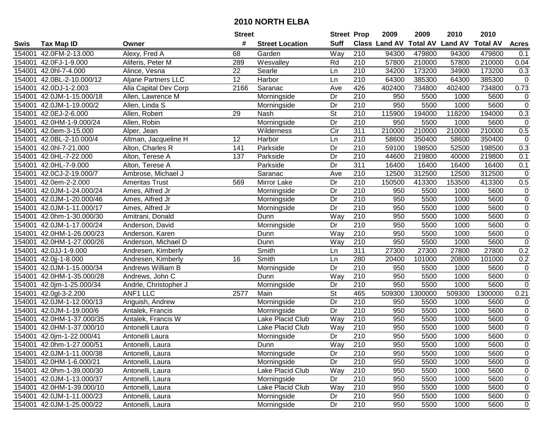|        |                           |                            | <b>Street</b> |                         | <b>Street Prop</b>       |                  | 2009                 | 2009            | 2010           | 2010            |                     |
|--------|---------------------------|----------------------------|---------------|-------------------------|--------------------------|------------------|----------------------|-----------------|----------------|-----------------|---------------------|
| Swis   | <b>Tax Map ID</b>         | Owner                      | #             | <b>Street Location</b>  | <b>Suff</b>              |                  | <b>Class Land AV</b> | <b>Total AV</b> | <b>Land AV</b> | <b>Total AV</b> | <b>Acres</b>        |
| 154001 | 42.0FM-2-13.000           | Alexy, Fred A              | 68            | Garden                  | Way                      | 210              | 94300                | 479800          | 94300          | 479800          | 0.1                 |
| 154001 | 42.0FJ-1-9.000            | Aliferis, Peter M          | 289           | Wesvalley               | Rd                       | 210              | 57800                | 210000          | 57800          | 210000          | 0.04                |
| 154001 | 42.0hl-7-4.000            | Alince, Vesna              | 22            | Searle                  | Ln                       | 210              | 34200                | 173200          | 34900          | 173200          | 0.3                 |
| 154001 | 42.0BL-2-10.000/12        | <b>Aljane Partners LLC</b> | 12            | Harbor                  | Ln                       | 210              | 64300                | 385300          | 64300          | 385300          | $\mathsf{O}\xspace$ |
| 154001 | 42.0DJ-1-2.003            | Alla Capital Dev Corp      | 2166          | Saranac                 | Ave                      | 426              | 402400               | 734800          | 402400         | 734800          | 0.73                |
| 154001 | 42.0JM-1-15.000/18        | Allen, Lawrence M          |               | Morningside             | Dr                       | $\overline{210}$ | 950                  | 5500            | 1000           | 5600            | $\pmb{0}$           |
| 154001 | 42.0JM-1-19.000/2         | Allen, Linda S             |               | Morningside             | Dr                       | 210              | 950                  | 5500            | 1000           | 5600            | $\pmb{0}$           |
| 154001 | 42.0EJ-2-6.000            | Allen, Robert              | 29            | Nash                    | $\overline{\mathsf{St}}$ | 210              | 115900               | 194000          | 118200         | 194000          | 0.3                 |
| 154001 | 42.0HM-1-9.000/24         | Allen, Robin               |               | Morningside             | Dr                       | $\overline{210}$ | 950                  | 5500            | 1000           | 5600            | $\mathbf 0$         |
| 154001 | 42.0em-3-15.000           | Alper, Jean                |               | Wilderness              | $\overline{C}$ ir        | 311              | 210000               | 210000          | 210000         | 210000          | 0.5                 |
| 154001 | 42.0BL-2-10.000/4         | Altman, Jacqueline H       | 12            | Harbor                  | Ln                       | 210              | 58600                | 350400          | 58600          | 350400          | $\pmb{0}$           |
| 154001 | 42.0hl-7-21.000           | Alton, Charles R           | 141           | Parkside                | Dr                       | 210              | 59100                | 198500          | 52500          | 198500          | 0.3                 |
| 154001 | 42.0HL-7-22.000           | Alton, Terese A            | 137           | Parkside                | Dr                       | 210              | 44600                | 219800          | 40000          | 219800          | 0.1                 |
| 154001 | 42.0HL-7-9.000            | Alton, Terese A            |               | Parkside                | Dr                       | 311              | 16400                | 16400           | 16400          | 16400           | 0.1                 |
| 154001 | 42.0CJ-2-19.000/7         | Ambrose, Michael J         |               | Saranac                 | Ave                      | 210              | 12500                | 312500          | 12500          | 312500          | $\boldsymbol{0}$    |
| 154001 | 42.0em-2-2.000            | Ameritas Trust             | 569           | Mirror Lake             | Dr                       | 210              | 150500               | 413300          | 153500         | 413300          | 0.5                 |
| 154001 | 42.0JM-1-24.000/24        | Ames, Alfred Jr            |               | Morningside             | Dr                       | $\overline{210}$ | 950                  | 5500            | 1000           | 5600            | $\pmb{0}$           |
| 154001 | 42.0JM-1-20.000/46        | Ames, Alfred Jr            |               | Morningside             | Dr                       | 210              | 950                  | 5500            | 1000           | 5600            | $\pmb{0}$           |
| 154001 | 42.0JM-1-11.000/17        | Ames, Alfred Jr            |               | Morningside             | Dr                       | 210              | 950                  | 5500            | 1000           | 5600            | $\pmb{0}$           |
| 154001 | 42.0hm-1-30.000/30        | Amitrani, Donald           |               | Dunn                    | Way                      | 210              | 950                  | 5500            | 1000           | 5600            | $\pmb{0}$           |
| 154001 | 42.0JM-1-17.000/24        | Anderson, David            |               | Morningside             | Dr                       | 210              | 950                  | 5500            | 1000           | 5600            | $\overline{0}$      |
| 154001 | 42.0HM-1-26.000/23        | Anderson, Karen            |               | Dunn                    | Way                      | 210              | 950                  | 5500            | 1000           | 5600            | $\pmb{0}$           |
| 154001 | 42.0HM-1-27.000/26        | Anderson, Michael D        |               | Dunn                    | Way                      | 210              | 950                  | 5500            | 1000           | 5600            | $\overline{0}$      |
| 154001 | 42.0JJ-1-9.000            | Andresen, Kimberly         |               | Smith                   | Ln                       | 311              | 27300                | 27300           | 27800          | 27800           | 0.2                 |
| 154001 | 42.0jj-1-8.000            | Andresen, Kimberly         | 16            | Smith                   | Ln                       | 280              | 20400                | 101000          | 20800          | 101000          | 0.2                 |
| 154001 | 42.0JM-1-15.000/34        | Andrews William B          |               | Morningside             | Dr                       | 210              | 950                  | 5500            | 1000           | 5600            | $\pmb{0}$           |
| 154001 | 42.0HM-1-35.000/28        | Andrews, John C            |               | Dunn                    | Way                      | 210              | 950                  | 5500            | 1000           | 5600            | $\pmb{0}$           |
| 154001 | 42.0jm-1-25.000/34        | Andrle, Christopher J      |               | Morningside             | Dr                       | 210              | 950                  | 5500            | 1000           | 5600            | $\mathsf 0$         |
| 154001 | 42.0gl-3-2.200            | <b>ANF1 LLC</b>            | 2577          | Main                    | $\overline{\mathsf{St}}$ | 465              | 509300               | 1300000         | 509300         | 1300000         | 0.21                |
| 154001 | 42.0JM-1-12.000/13        | Anguish, Andrew            |               | Morningside             | $\overline{Dr}$          | $\overline{210}$ | 950                  | 5500            | 1000           | 5600            | 0                   |
| 154001 | 42.0JM-1-19.000/6         | Antalek, Francis           |               | Morningside             | $\overline{Dr}$          | 210              | 950                  | 5500            | 1000           | 5600            | $\overline{0}$      |
| 154001 | 42.0HM-1-37.000/35        | Antalek, Francis W         |               | Lake Placid Club        | Way                      | $\overline{210}$ | 950                  | 5500            | 1000           | 5600            | $\overline{0}$      |
| 154001 | 42.0HM-1-37.000/10        | Antonelli Laura            |               | <b>Lake Placid Club</b> | Way                      | $\overline{210}$ | 950                  | 5500            | 1000           | 5600            | $\overline{0}$      |
|        | 154001 42.0jm-1-22.000/41 | Antonelli Laura            |               | Morningside             | Dr                       | $\overline{210}$ | 950                  | 5500            | 1000           | 5600            | $\overline{0}$      |
|        | 154001 42.0hm-1-27.000/51 | Antonelli, Laura           |               | Dunn                    | Way                      | 210              | 950                  | 5500            | 1000           | 5600            | 0                   |
|        | 154001 42.0JM-1-11.000/38 | Antonelli, Laura           |               | Morningside             | Dr                       | 210              | 950                  | 5500            | 1000           | 5600            | 0                   |
|        | 154001 42.0HM-1-6.000/21  | Antonelli, Laura           |               | Morningside             | Dr                       | 210              | 950                  | 5500            | 1000           | 5600            | 0                   |
|        | 154001 42.0hm-1-39.000/30 | Antonelli, Laura           |               | Lake Placid Club        | Way                      | 210              | 950                  | 5500            | 1000           | 5600            | 0                   |
|        | 154001 42.0JM-1-13.000/37 | Antonelli, Laura           |               | Morningside             | Dr                       | 210              | 950                  | 5500            | 1000           | 5600            | 0                   |
|        | 154001 42.0HM-1-39.000/10 | Antonelli, Laura           |               | Lake Placid Club        | Way                      | 210              | 950                  | 5500            | 1000           | 5600            | 0                   |
|        | 154001 42.0JM-1-11.000/23 | Antonelli, Laura           |               | Morningside             | Dr                       | 210              | 950                  | 5500            | 1000           | 5600            | 0                   |
|        | 154001 42.0JM-1-25.000/22 | Antonelli, Laura           |               | Morningside             | Dr                       | 210              | 950                  | 5500            | 1000           | 5600            | $\mathbf 0$         |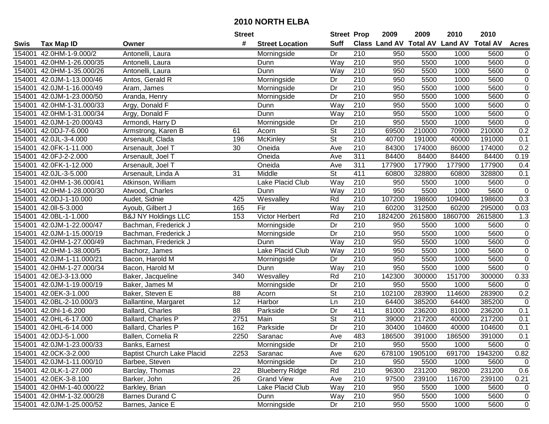|        |                           |                                   | <b>Street</b>   |                         | <b>Street Prop</b>       |                  | 2009    | 2009    | 2010                                    | 2010    |                  |
|--------|---------------------------|-----------------------------------|-----------------|-------------------------|--------------------------|------------------|---------|---------|-----------------------------------------|---------|------------------|
| Swis   | <b>Tax Map ID</b>         | Owner                             | #               | <b>Street Location</b>  | <b>Suff</b>              |                  |         |         | Class Land AV Total AV Land AV Total AV |         | <b>Acres</b>     |
| 154001 | 42.0HM-1-9.000/2          | Antonelli, Laura                  |                 | Morningside             | Dr                       | 210              | 950     | 5500    | 1000                                    | 5600    | 0                |
| 154001 | 42.0HM-1-26.000/35        | Antonelli, Laura                  |                 | Dunn                    | Way                      | 210              | 950     | 5500    | 1000                                    | 5600    | $\pmb{0}$        |
| 154001 | 42.0HM-1-35.000/26        | Antonelli, Laura                  |                 | Dunn                    | Way                      | 210              | 950     | 5500    | 1000                                    | 5600    | $\overline{0}$   |
| 154001 | 42.0JM-1-13.000/46        | Antos, Gerald R                   |                 | Morningside             | Dr                       | 210              | 950     | 5500    | 1000                                    | 5600    | $\pmb{0}$        |
| 154001 | 42.0JM-1-16.000/49        | Aram, James                       |                 | Morningside             | $\overline{Dr}$          | 210              | 950     | 5500    | 1000                                    | 5600    | $\overline{0}$   |
| 154001 | 42.0JM-1-23.000/50        | Aranda, Henry                     |                 | Morningside             | Dr                       | $\overline{210}$ | 950     | 5500    | 1000                                    | 5600    | $\overline{0}$   |
| 154001 | 42.0HM-1-31.000/33        | Argy, Donald F                    |                 | Dunn                    | Way                      | $\overline{210}$ | 950     | 5500    | 1000                                    | 5600    | $\overline{0}$   |
| 154001 | 42.0HM-1-31.000/34        | Argy, Donald F                    |                 | Dunn                    | Way                      | 210              | 950     | 5500    | 1000                                    | 5600    | $\overline{0}$   |
| 154001 | 42.0JM-1-20.000/43        | Armondi, Harry D                  |                 | Morningside             | Dr                       | 210              | 950     | 5500    | 1000                                    | 5600    | $\overline{0}$   |
| 154001 | 42.0DJ-7-6.000            | Armstrong, Karen B                | 61              | Acorn                   | $\overline{\mathsf{St}}$ | $\overline{210}$ | 69500   | 210000  | 70900                                   | 210000  | 0.2              |
| 154001 | 42.0JL-3-4.000            | Arsenault, Clada                  | 196             | McKinley                | $\overline{\mathsf{St}}$ | 210              | 40700   | 191000  | 40000                                   | 191000  | 0.1              |
| 154001 | 42.0FK-1-11.000           | Arsenault, Joel T                 | 30              | Oneida                  | Ave                      | 210              | 84300   | 174000  | 86000                                   | 174000  | 0.2              |
| 154001 | 42.0FJ-2-2.000            | Arsenault, Joel T                 |                 | Oneida                  | Ave                      | 311              | 84400   | 84400   | 84400                                   | 84400   | 0.19             |
| 154001 | 42.0FK-1-12.000           | Arsenault, Joel T                 |                 | Oneida                  | Ave                      | 311              | 177900  | 177900  | 177900                                  | 177900  | 0.4              |
| 154001 | 42.0JL-3-5.000            | Arsenault, Linda A                | 31              | Middle                  | St                       | 411              | 60800   | 328800  | 60800                                   | 328800  | 0.1              |
| 154001 | 42.0HM-1-36.000/41        | Atkinson, William                 |                 | Lake Placid Club        | Way                      | 210              | 950     | 5500    | 1000                                    | 5600    | $\pmb{0}$        |
| 154001 | 42.0HM-1-28.000/30        | Atwood, Charles                   |                 | Dunn                    | Way                      | 210              | 950     | 5500    | 1000                                    | 5600    | $\pmb{0}$        |
| 154001 | 42.0DJ-1-10.000           | Audet, Sidnie                     | 425             | Wesvalley               | Rd                       | $\overline{210}$ | 107200  | 198600  | 109400                                  | 198600  | 0.3              |
| 154001 | 42.0ll-5-3.000            | Ayoub, Gilbert J                  | 165             | Fir                     | Way                      | 210              | 60200   | 312500  | 60200                                   | 295000  | 0.03             |
| 154001 | 42.0BL-1-1.000            | <b>B&amp;J NY Holdings LLC</b>    | 153             | Victor Herbert          | Rd                       | 210              | 1824200 | 2615800 | 1860700                                 | 2615800 | 1.3              |
| 154001 | 42.0JM-1-22.000/47        | Bachman, Frederick J              |                 | Morningside             | Dr                       | 210              | 950     | 5500    | 1000                                    | 5600    | $\pmb{0}$        |
| 154001 | 42.0JM-1-15.000/19        | Bachman, Frederick J              |                 | Morningside             | $\overline{Dr}$          | 210              | 950     | 5500    | 1000                                    | 5600    | $\overline{0}$   |
| 154001 | 42.0HM-1-27.000/49        | Bachman, Frederick J              |                 | Dunn                    | Way                      | 210              | 950     | 5500    | 1000                                    | 5600    | $\boldsymbol{0}$ |
| 154001 | 42.0HM-1-38.000/5         | Bachorz, James                    |                 | <b>Lake Placid Club</b> | Way                      | 210              | 950     | 5500    | 1000                                    | 5600    | $\pmb{0}$        |
| 154001 | 42.0JM-1-11.000/21        | Bacon, Harold M                   |                 | Morningside             | Dr                       | 210              | 950     | 5500    | 1000                                    | 5600    | $\pmb{0}$        |
| 154001 | 42.0HM-1-27.000/34        | Bacon, Harold M                   |                 | Dunn                    | Way                      | 210              | 950     | 5500    | 1000                                    | 5600    | $\pmb{0}$        |
| 154001 | 42.0EJ-3-13.000           | Baker, Jacqueline                 | 340             | Wesvalley               | Rd                       | 210              | 142300  | 300000  | 151700                                  | 300000  | 0.33             |
| 154001 | 42.0JM-1-19.000/19        | Baker, James M                    |                 | Morningside             | Dr                       | 210              | 950     | 5500    | 1000                                    | 5600    | $\pmb{0}$        |
| 154001 | 42.0EK-3-1.000            | Baker, Steven E                   | 88              | Acorn                   | <b>St</b>                | 210              | 102100  | 283900  | 114600                                  | 283900  | 0.2              |
| 154001 | 42.0BL-2-10.000/3         | Ballantine, Margaret              | 12              | <b>Harbor</b>           | $\overline{\mathsf{Ln}}$ | 210              | 64400   | 385200  | 64400                                   | 385200  | $\mathbf 0$      |
| 154001 | 42.0hl-1-6.200            | Ballard, Charles                  | $\overline{88}$ | Parkside                | Dr                       | 411              | 81000   | 236200  | 81000                                   | 236200  | 0.1              |
| 154001 | 42.0HL-6-17.000           | Ballard, Charles P                | 2751            | Main                    | $\overline{\mathsf{St}}$ | $\overline{210}$ | 39000   | 217200  | 40000                                   | 217200  | 0.1              |
| 154001 | 42.0HL-6-14.000           | Ballard, Charles P                | 162             | Parkside                | $\overline{Dr}$          | $\overline{210}$ | 30400   | 104600  | 40000                                   | 104600  | 0.1              |
|        | 154001 42.0DJ-5-1.000     | Ballen, Cornelia R                | 2250            | Saranac                 | $\overline{A}$ ve        | 483              | 186500  | 391000  | 186500                                  | 391000  | $\overline{0.1}$ |
|        | 154001 42.0JM-1-23.000/33 | Banks, Earnest                    |                 | Morningside             | Dr                       | 210              | 950     | 5500    | 1000                                    | 5600    | $\mathbf 0$      |
| 154001 | 42.0CK-3-2.000            | <b>Baptist Church Lake Placid</b> | 2253            | Saranac                 | Ave                      | 620              | 678100  | 1905100 | 691700                                  | 1943200 | 0.82             |
|        | 154001 42.0JM-1-11.000/10 | Barbee, Steven                    |                 | Morningside             | Dr                       | 210              | 950     | 5500    | 1000                                    | 5600    | 0                |
|        | 154001 42.0LK-1-27.000    | Barclay, Thomas                   | 22              | <b>Blueberry Ridge</b>  | Rd                       | 210              | 96300   | 231200  | 98200                                   | 231200  | 0.6              |
| 154001 | 42.0EK-3-8.100            | Barker, John                      | 26              | <b>Grand View</b>       | Ave                      | 210              | 97500   | 239100  | 116700                                  | 239100  | 0.21             |
| 154001 | 42.0HM-1-40.000/22        | Barkley, Brian                    |                 | Lake Placid Club        | Way                      | 210              | 950     | 5500    | 1000                                    | 5600    | 0                |
| 154001 | 42.0HM-1-32.000/28        | <b>Barnes Durand C</b>            |                 | Dunn                    | Way                      | 210              | 950     | 5500    | 1000                                    | 5600    | 0                |
|        | 154001 42.0JM-1-25.000/52 | Barnes, Janice E                  |                 | Morningside             | Dr                       | 210              | 950     | 5500    | 1000                                    | 5600    | $\mathbf 0$      |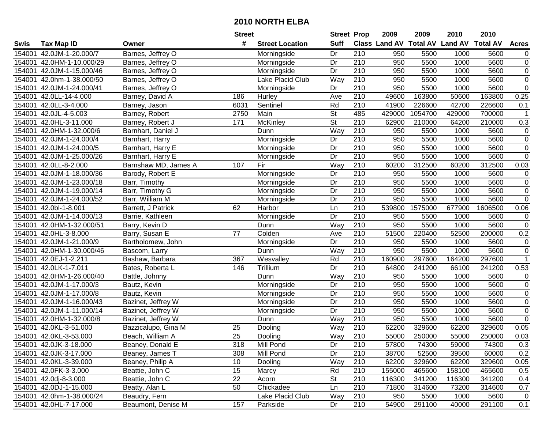|        |                           |                      | <b>Street</b>   |                        | <b>Street Prop</b>       |                  | 2009   | 2009    | 2010                                    | 2010    |                |
|--------|---------------------------|----------------------|-----------------|------------------------|--------------------------|------------------|--------|---------|-----------------------------------------|---------|----------------|
| Swis   | <b>Tax Map ID</b>         | Owner                | #               | <b>Street Location</b> | <b>Suff</b>              |                  |        |         | Class Land AV Total AV Land AV Total AV |         | <b>Acres</b>   |
| 154001 | 42.0JM-1-20.000/7         | Barnes, Jeffrey O    |                 | Morningside            | Dr                       | 210              | 950    | 5500    | 1000                                    | 5600    | 0              |
| 154001 | 42.0HM-1-10.000/29        | Barnes, Jeffrey O    |                 | Morningside            | Dr                       | 210              | 950    | 5500    | 1000                                    | 5600    | $\pmb{0}$      |
| 154001 | 42.0JM-1-15.000/46        | Barnes, Jeffrey O    |                 | Morningside            | Dr                       | 210              | 950    | 5500    | 1000                                    | 5600    | $\overline{0}$ |
| 154001 | 42.0hm-1-38.000/50        | Barnes, Jeffrey O    |                 | Lake Placid Club       | Way                      | 210              | 950    | 5500    | 1000                                    | 5600    | $\mathbf 0$    |
|        | 154001 42.0JM-1-24.000/41 | Barnes, Jeffrey O    |                 | Morningside            | Dr                       | $\overline{210}$ | 950    | 5500    | 1000                                    | 5600    | $\overline{0}$ |
| 154001 | 42.0LL-14-4.000           | Barney, David A      | 186             | Hurley                 | Ave                      | 210              | 49600  | 163800  | 50600                                   | 163800  | 0.25           |
| 154001 | 42.0LL-3-4.000            | Barney, Jason        | 6031            | Sentinel               | Rd                       | $\overline{210}$ | 41900  | 226600  | 42700                                   | 226600  | 0.1            |
| 154001 | 42.0JL-4-5.003            | Barney, Robert       | 2750            | Main                   | $\overline{\mathsf{St}}$ | 485              | 429000 | 1054700 | 429000                                  | 700000  | $\mathbf 1$    |
| 154001 | 42.0HL-3-11.000           | Barney, Robert J     | 171             | McKinley               | $\overline{\mathsf{St}}$ | 210              | 62900  | 210000  | 64200                                   | 210000  | 0.3            |
| 154001 | 42.0HM-1-32.000/6         | Barnhart, Daniel J   |                 | Dunn                   | Way                      | 210              | 950    | 5500    | 1000                                    | 5600    | 0              |
| 154001 | 42.0JM-1-24.000/4         | Barnhart, Harry      |                 | Morningside            | Dr                       | 210              | 950    | 5500    | 1000                                    | 5600    | $\pmb{0}$      |
| 154001 | 42.0JM-1-24.000/5         | Barnhart, Harry E    |                 | Morningside            | Dr                       | 210              | 950    | 5500    | 1000                                    | 5600    | $\mathbf 0$    |
| 154001 | 42.0JM-1-25.000/26        | Barnhart, Harry E    |                 | Morningside            | Dr                       | 210              | 950    | 5500    | 1000                                    | 5600    | $\pmb{0}$      |
| 154001 | 42.0LL-8-2.000            | Barnshaw MD, James A | 107             | Fir                    | Way                      | 210              | 60200  | 312500  | 60200                                   | 312500  | 0.03           |
| 154001 | 42.0JM-1-18.000/36        | Barody, Robert E     |                 | Morningside            | Dr                       | 210              | 950    | 5500    | 1000                                    | 5600    | $\mathbf 0$    |
| 154001 | 42.0JM-1-23.000/18        | Barr, Timothy        |                 | Morningside            | Dr                       | 210              | 950    | 5500    | 1000                                    | 5600    | $\pmb{0}$      |
| 154001 | 42.0JM-1-19.000/14        | Barr, Timothy G      |                 | Morningside            | Dr                       | 210              | 950    | 5500    | 1000                                    | 5600    | $\pmb{0}$      |
| 154001 | 42.0JM-1-24.000/52        | Barr, William M      |                 | Morningside            | Dr                       | $\overline{210}$ | 950    | 5500    | 1000                                    | 5600    | $\overline{0}$ |
| 154001 | 42.0bl-1-8.001            | Barrett, J Patrick   | 62              | Harbor                 | Ln                       | 210              | 539800 | 1575000 | 677900                                  | 1606500 | 0.06           |
|        | 154001 42.0JM-1-14.000/13 | Barrie, Kathleen     |                 | Morningside            | Dr                       | 210              | 950    | 5500    | 1000                                    | 5600    | $\pmb{0}$      |
| 154001 | 42.0HM-1-32.000/51        | Barry, Kevin D       |                 | Dunn                   | Way                      | 210              | 950    | 5500    | 1000                                    | 5600    | $\pmb{0}$      |
| 154001 | 42.0HL-3-8.000            | Barry, Susan E       | 77              | Colden                 | Ave                      | 210              | 51500  | 220400  | 52500                                   | 200000  | 0.2            |
| 154001 | 42.0JM-1-21.000/9         | Bartholomew, John    |                 | Morningside            | Dr                       | 210              | 950    | 5500    | 1000                                    | 5600    | 0              |
| 154001 | 42.0HM-1-30.000/46        | Bascom, Larry        |                 | Dunn                   | Way                      | 210              | 950    | 5500    | 1000                                    | 5600    | $\mathbf 0$    |
| 154001 | 42.0EJ-1-2.211            | Bashaw, Barbara      | 367             | Wesvalley              | Rd                       | 210              | 160900 | 297600  | 164200                                  | 297600  | $\mathbf{1}$   |
| 154001 | 42.0LK-1-7.011            | Bates, Roberta L     | 146             | Trillium               | Dr                       | 210              | 64800  | 241200  | 66100                                   | 241200  | 0.53           |
| 154001 | 42.0HM-1-26.000/40        | Battle, Johnny       |                 | Dunn                   | Way                      | 210              | 950    | 5500    | 1000                                    | 5600    | 0              |
| 154001 | 42.0JM-1-17.000/3         | Bautz, Kevin         |                 | Morningside            | Dr                       | 210              | 950    | 5500    | 1000                                    | 5600    | $\pmb{0}$      |
| 154001 | 42.0JM-1-17.000/8         | Bautz, Kevin         |                 | Morningside            | Dr                       | 210              | 950    | 5500    | 1000                                    | 5600    | $\pmb{0}$      |
| 154001 | 42.0JM-1-16.000/43        | Bazinet, Jeffrey W   |                 | Morningside            | $\overline{Dr}$          | 210              | 950    | 5500    | 1000                                    | 5600    | $\overline{0}$ |
| 154001 | 42.0JM-1-11.000/14        | Bazinet, Jeffrey W   |                 | Morningside            | Dr                       | 210              | 950    | 5500    | 1000                                    | 5600    | $\pmb{0}$      |
| 154001 | 42.0HM-1-32.000/8         | Bazinet, Jeffrey W   |                 | Dunn                   | Way                      | $\overline{210}$ | 950    | 5500    | 1000                                    | 5600    | $\overline{0}$ |
| 154001 | 42.0KL-3-51.000           | Bazzicalupo, Gina M  | 25              | Dooling                | <b>Way</b>               | 210              | 62200  | 329600  | 62200                                   | 329600  | 0.05           |
|        | 154001 42.0KL-3-53.000    | Beach, William A     | $\overline{25}$ | Dooling                | $\overline{W}$ ay        | $\overline{210}$ | 55000  | 250000  | 55000                                   | 250000  | 0.03           |
|        | 154001 42.0JK-3-18.000    | Beaney, Donald E     | 318             | Mill Pond              | Dr                       | 210              | 57800  | 74300   | 59000                                   | 74300   | 0.3            |
|        | 154001 42.0JK-3-17.000    | Beaney, James T      | 308             | Mill Pond              | Dr                       | 210              | 38700  | 52500   | 39500                                   | 60000   | 0.2            |
|        | 154001 42.0KL-3-39.000    | Beaney, Philip A     | 10              | Dooling                | Way                      | 210              | 62200  | 329600  | 62200                                   | 329600  | 0.05           |
|        | 154001 42.0FK-3-3.000     | Beattie, John C      | 15              | Marcy                  | Rd                       | 210              | 155000 | 465600  | 158100                                  | 465600  | 0.5            |
|        | 154001 42.0dj-8-3.000     | Beattie, John C      | 22              | Acorn                  | <b>St</b>                | 210              | 116300 | 341200  | 116300                                  | 341200  | 0.4            |
|        | 154001 42.0DJ-1-15.000    | Beatty, Alan L       | 50              | Chickadee              | Ln                       | 210              | 71800  | 314600  | 73200                                   | 314600  | 0.7            |
|        | 154001 42.0hm-1-38.000/24 | Beaudry, Fern        |                 | Lake Placid Club       | Way                      | 210              | 950    | 5500    | 1000                                    | 5600    | $\mathbf 0$    |
|        | 154001 42.0HL-7-17.000    | Beaumont, Denise M   | 157             | Parkside               | Dr                       | 210              | 54900  | 291100  | 40000                                   | 291100  | 0.1            |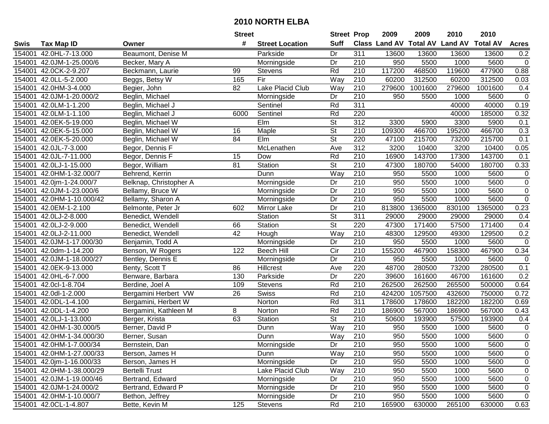|        |                           |                        | <b>Street</b> |                        | <b>Street Prop</b>       |                  | 2009                          | 2009    | 2010           | 2010            |                |
|--------|---------------------------|------------------------|---------------|------------------------|--------------------------|------------------|-------------------------------|---------|----------------|-----------------|----------------|
| Swis   | <b>Tax Map ID</b>         | Owner                  | #             | <b>Street Location</b> | <b>Suff</b>              |                  | <b>Class Land AV Total AV</b> |         | <b>Land AV</b> | <b>Total AV</b> | <b>Acres</b>   |
| 154001 | 42.0HL-7-13.000           | Beaumont, Denise M     |               | Parkside               | Dr                       | 311              | 13600                         | 13600   | 13600          | 13600           | 0.2            |
| 154001 | 42.0JM-1-25.000/6         | Becker, Mary A         |               | Morningside            | Dr                       | 210              | 950                           | 5500    | 1000           | 5600            | $\mathsf 0$    |
| 154001 | 42.0CK-2-9.207            | Beckmann, Laurie       | 99            | <b>Stevens</b>         | Rd                       | 210              | 117200                        | 468500  | 119600         | 477900          | 0.88           |
| 154001 | 42.0LL-5-2.000            | Beggs, Betsy W         | 165           | Fir                    | Way                      | 210              | 60200                         | 312500  | 60200          | 312500          | 0.03           |
| 154001 | 42.0HM-3-4.000            | Begier, John           | 82            | Lake Placid Club       | Way                      | 210              | 279600                        | 1001600 | 279600         | 1001600         | 0.4            |
| 154001 | 42.0JM-1-20.000/2         | Beglin, Michael        |               | Morningside            | Dr                       | $\overline{210}$ | 950                           | 5500    | 1000           | 5600            | $\mathbf 0$    |
| 154001 | 42.0LM-1-1.200            | Beglin, Michael J      |               | Sentinel               | Rd                       | 311              |                               |         | 40000          | 40000           | 0.19           |
| 154001 | 42.0LM-1-1.100            | Beglin, Michael J      | 6000          | Sentinel               | Rd                       | 220              |                               |         | 40000          | 185000          | 0.32           |
| 154001 | 42.0EK-5-19.000           | Beglin, Michael W      |               | EIm                    | $\overline{\mathsf{St}}$ | $\overline{312}$ | 3300                          | 5900    | 3300           | 5900            | 0.1            |
| 154001 | 42.0EK-5-15.000           | Beglin, Michael W      | 16            | Maple                  | $\overline{\mathsf{St}}$ | 210              | 109300                        | 466700  | 195200         | 466700          | 0.3            |
| 154001 | 42.0EK-5-20.000           | Beglin, Michael W      | 84            | Elm                    | $\overline{\mathsf{St}}$ | 220              | 47100                         | 215700  | 73200          | 215700          | 0.1            |
| 154001 | 42.0JL-7-3.000            | Begor, Dennis F        |               | McLenathen             | Ave                      | 312              | 3200                          | 10400   | 3200           | 10400           | 0.05           |
| 154001 | 42.0JL-7-11.000           | Begor, Dennis F        | 15            | Dow                    | Rd                       | 210              | 16900                         | 143700  | 17300          | 143700          | 0.1            |
| 154001 | 42.0LJ-1-15.000           | Begor, William         | 81            | Station                | St                       | 210              | 47300                         | 180700  | 54000          | 180700          | 0.33           |
| 154001 | 42.0HM-1-32.000/7         | Behrend, Kerrin        |               | Dunn                   | Way                      | 210              | 950                           | 5500    | 1000           | 5600            | $\mathbf 0$    |
| 154001 | 42.0jm-1-24.000/7         | Belknap, Christopher A |               | Morningside            | Dr                       | 210              | 950                           | 5500    | 1000           | 5600            | 0              |
| 154001 | 42.0JM-1-23.000/6         | Bellamy, Bruce W       |               | Morningside            | Dr                       | $\overline{210}$ | 950                           | 5500    | 1000           | 5600            | $\overline{0}$ |
| 154001 | 42.0HM-1-10.000/42        | Bellamy, Sharon A      |               | Morningside            | Dr                       | 210              | 950                           | 5500    | 1000           | 5600            | $\overline{0}$ |
| 154001 | 42.0EM-1-2.100            | Belmonte, Peter Jr     | 602           | Mirror Lake            | Dr                       | 210              | 813800                        | 1365000 | 830100         | 1365000         | 0.23           |
| 154001 | 42.0LJ-2-8.000            | Benedict, Wendell      |               | Station                | <b>St</b>                | 311              | 29000                         | 29000   | 29000          | 29000           | 0.4            |
| 154001 | 42.0LJ-2-9.000            | Benedict, Wendell      | 66            | Station                | $\overline{\mathsf{St}}$ | 220              | 47300                         | 171400  | 57500          | 171400          | 0.4            |
| 154001 | 42.0LJ-2-11.000           | Benedict, Wendell      | 42            | Hough                  | Way                      | 210              | 48300                         | 129500  | 49300          | 129500          | 0.2            |
| 154001 | 42.0JM-1-17.000/30        | Benjamin, Todd A       |               | Morningside            | Dr                       | 210              | 950                           | 5500    | 1000           | 5600            | $\mathbf 0$    |
| 154001 | 42.0dm-1-14.200           | Benson, W Rogers       | 122           | <b>Beech Hill</b>      | Cir                      | 210              | 155200                        | 467900  | 158300         | 467900          | 0.34           |
| 154001 | 42.0JM-1-18.000/27        | Bentley, Dennis E      |               | Morningside            | Dr                       | $\overline{210}$ | 950                           | 5500    | 1000           | 5600            | $\mathbf 0$    |
| 154001 | 42.0EK-9-13.000           | Benty, Scott T         | 86            | Hillcrest              | Ave                      | 220              | 48700                         | 280500  | 73200          | 280500          | 0.1            |
| 154001 | 42.0HL-6-7.000            | Benware, Barbara       | 130           | Parkside               | Dr                       | 220              | 39600                         | 161600  | 46700          | 161600          | 0.2            |
| 154001 | 42.0cl-1-8.704            | Berdine, Joel A        | 109           | Stevens                | Rd                       | 210              | 262500                        | 262500  | 265500         | 500000          | 0.64           |
| 154001 | 42.0dl-1-2.000            | Bergamini Herbert VW   | 26            | Swiss                  | Rd                       | $\overline{210}$ | 424200                        | 1057500 | 432600         | 750000          | 0.72           |
| 154001 | 42.0DL-1-4.100            | Bergamini, Herbert W   |               | Norton                 | Rd                       | 311              | 178600                        | 178600  | 182200         | 182200          | 0.69           |
| 154001 | 42.0DL-1-4.200            | Bergamini, Kathleen M  | 8             | Norton                 | Rd                       | $\overline{210}$ | 186900                        | 567000  | 186900         | 567000          | 0.43           |
| 154001 | 42.0LJ-1-13.000           | Berger, Krista         | 63            | Station                | $\overline{\mathsf{St}}$ | $\overline{210}$ | 50600                         | 193900  | 57500          | 193900          | 0.4            |
| 154001 | 42.0HM-1-30.000/5         | Berner, David P        |               | Dunn                   | Way                      | $\overline{210}$ | 950                           | 5500    | 1000           | 5600            | $\overline{0}$ |
|        | 154001 42.0HM-1-34.000/30 | Berner, Susan          |               | Dunn                   | Way                      | 210              | 950                           | 5500    | 1000           | 5600            | $\overline{0}$ |
|        | 154001 42.0HM-1-7.000/34  | Bernstein, Dan         |               | Morningside            | Dr                       | 210              | 950                           | 5500    | 1000           | 5600            | 0              |
|        | 154001 42.0HM-1-27.000/33 | Berson, James H        |               | Dunn                   | Way                      | 210              | 950                           | 5500    | 1000           | 5600            | $\mathbf 0$    |
|        | 154001 42.0jm-1-16.000/33 | Berson, James H        |               | Morningside            | Dr                       | 210              | 950                           | 5500    | 1000           | 5600            | $\mathbf 0$    |
|        | 154001 42.0HM-1-38.000/29 | <b>Bertelli Trust</b>  |               | Lake Placid Club       | Way                      | 210              | 950                           | 5500    | 1000           | 5600            | $\mathbf 0$    |
|        | 154001 42.0JM-1-19.000/46 | Bertrand, Edward       |               | Morningside            | Dr                       | 210              | 950                           | 5500    | 1000           | 5600            | $\mathbf 0$    |
|        | 154001 42.0JM-1-24.000/2  | Bertrand, Edward P     |               | Morningside            | Dr                       | 210              | 950                           | 5500    | 1000           | 5600            | $\mathbf 0$    |
|        | 154001 42.0HM-1-10.000/7  | Bethon, Jeffrey        |               | Morningside            | Dr                       | 210              | 950                           | 5500    | 1000           | 5600            | $\mathbf 0$    |
|        | 154001 42.0CL-1-4.807     | Bette, Kevin M         | 125           | Stevens                | Rd                       | 210              | 165900                        | 630000  | 265100         | 630000          | 0.63           |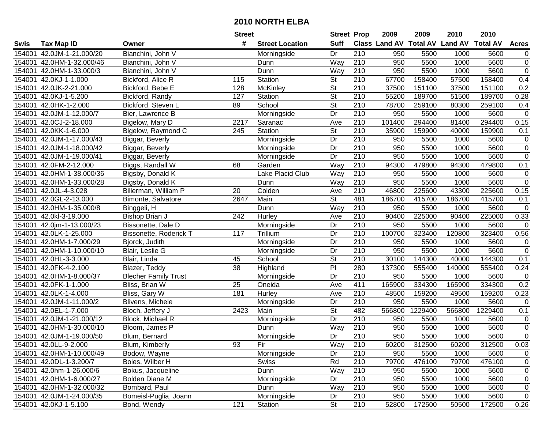|        |                           |                             | <b>Street</b> |                        | <b>Street Prop</b>       |                  | 2009   | 2009    | 2010                                    | 2010    |                |
|--------|---------------------------|-----------------------------|---------------|------------------------|--------------------------|------------------|--------|---------|-----------------------------------------|---------|----------------|
| Swis   | <b>Tax Map ID</b>         | Owner                       | #             | <b>Street Location</b> | <b>Suff</b>              |                  |        |         | Class Land AV Total AV Land AV Total AV |         | <b>Acres</b>   |
| 154001 | 42.0JM-1-21.000/20        | Bianchini, John V           |               | Morningside            | Dr                       | 210              | 950    | 5500    | 1000                                    | 5600    | $\mathbf 0$    |
| 154001 | 42.0HM-1-32.000/46        | Bianchini, John V           |               | Dunn                   | Way                      | 210              | 950    | 5500    | 1000                                    | 5600    | $\overline{0}$ |
| 154001 | 42.0HM-1-33.000/3         | Bianchini, John V           |               | Dunn                   | Way                      | 210              | 950    | 5500    | 1000                                    | 5600    | $\overline{0}$ |
| 154001 | 42.0KJ-1-1.000            | Bickford, Alice R           | 115           | <b>Station</b>         | <b>St</b>                | 210              | 67700  | 158400  | 57500                                   | 158400  | 0.4            |
| 154001 | 42.0JK-2-21.000           | Bickford, Bebe E            | 128           | McKinley               | $\overline{\mathsf{St}}$ | $\overline{210}$ | 37500  | 151100  | 37500                                   | 151100  | 0.2            |
| 154001 | 42.0KJ-1-5.200            | Bickford, Randy             | 127           | <b>Station</b>         | $\overline{\mathsf{St}}$ | 210              | 55200  | 189700  | 51500                                   | 189700  | 0.28           |
| 154001 | 42.0HK-1-2.000            | Bickford, Steven L          | 89            | School                 | $\overline{\mathsf{St}}$ | $\overline{210}$ | 78700  | 259100  | 80300                                   | 259100  | 0.4            |
| 154001 | 42.0JM-1-12.000/7         | Bier, Lawrence B            |               | Morningside            | $\overline{Dr}$          | 210              | 950    | 5500    | 1000                                    | 5600    | $\mathbf 0$    |
| 154001 | 42.0CJ-2-18.000           | Bigelow, Mary D             | 2217          | Saranac                | Ave                      | 210              | 101400 | 294400  | 81400                                   | 294400  | 0.15           |
| 154001 | 42.0KK-1-6.000            | Bigelow, Raymond C          | 245           | Station                | $\overline{\mathsf{St}}$ | $\overline{210}$ | 35900  | 159900  | 40000                                   | 159900  | 0.1            |
| 154001 | 42.0JM-1-17.000/43        | Biggar, Beverly             |               | Morningside            | Dr                       | 210              | 950    | 5500    | 1000                                    | 5600    | $\mathbf 0$    |
| 154001 | 42.0JM-1-18.000/42        | Biggar, Beverly             |               | Morningside            | Dr                       | 210              | 950    | 5500    | 1000                                    | 5600    | $\mathbf 0$    |
| 154001 | 42.0JM-1-19.000/41        | Biggar, Beverly             |               | Morningside            | Dr                       | 210              | 950    | 5500    | 1000                                    | 5600    | $\mathbf 0$    |
| 154001 | 42.0FM-2-12.000           | Biggs, Randall W            | 68            | Garden                 | Way                      | 210              | 94300  | 479800  | 94300                                   | 479800  | 0.1            |
| 154001 | 42.0HM-1-38.000/36        | Bigsby, Donald K            |               | Lake Placid Club       | Way                      | 210              | 950    | 5500    | 1000                                    | 5600    | $\mathbf 0$    |
| 154001 | 42.0HM-1-33.000/28        | Bigsby, Donald K            |               | Dunn                   | Way                      | 210              | 950    | 5500    | 1000                                    | 5600    | $\mathbf 0$    |
| 154001 | 42.0JL-4-3.028            | Billerman, William P        | 20            | Colden                 | Ave                      | 210              | 46800  | 225600  | 43300                                   | 225600  | 0.15           |
| 154001 | 42.0GL-2-13.000           | Bimonte, Salvatore          | 2647          | Main                   | $\overline{\mathsf{St}}$ | 481              | 186700 | 415700  | 186700                                  | 415700  | 0.1            |
| 154001 | 42.0HM-1-35.000/8         | Binggeli, H                 |               | Dunn                   | Way                      | 210              | 950    | 5500    | 1000                                    | 5600    | $\mathsf 0$    |
| 154001 | 42.0kl-3-19.000           | Bishop Brian J              | 242           | Hurley                 | Ave                      | 210              | 90400  | 225000  | 90400                                   | 225000  | 0.33           |
| 154001 | 42.0jm-1-13.000/23        | Bissonette, Dale D          |               | Morningside            | Dr                       | 210              | 950    | 5500    | 1000                                    | 5600    | $\mathbf 0$    |
| 154001 | 42.0LK-1-25.000           | Bissonette, Roderick T      | 117           | Trillium               | Dr                       | 210              | 100700 | 323400  | 120800                                  | 323400  | 0.56           |
| 154001 | 42.0HM-1-7.000/29         | Bjorck, Judith              |               | Morningside            | Dr                       | 210              | 950    | 5500    | 1000                                    | 5600    | $\mathbf 0$    |
| 154001 | 42.0HM-1-10.000/10        | Blair, Leslie G             |               | Morningside            | Dr                       | 210              | 950    | 5500    | 1000                                    | 5600    | $\mathbf 0$    |
| 154001 | 42.0HL-3-3.000            | Blair, Linda                | 45            | School                 | St                       | 210              | 30100  | 144300  | 40000                                   | 144300  | 0.1            |
| 154001 | 42.0FK-4-2.100            | Blazer, Teddy               | 38            | Highland               | PI                       | 280              | 137300 | 555400  | 140000                                  | 555400  | 0.24           |
| 154001 | 42.0HM-1-8.000/37         | <b>Blecher Family Trust</b> |               | Morningside            | Dr                       | 210              | 950    | 5500    | 1000                                    | 5600    | $\mathbf 0$    |
| 154001 | 42.0FK-1-1.000            | Bliss, Brian W              | 25            | Oneida                 | Ave                      | 411              | 165900 | 334300  | 165900                                  | 334300  | 0.2            |
| 154001 | 42.0LK-1-4.000            | Bliss, Gary W               | 181           | Hurley                 | Ave                      | 210              | 48500  | 159200  | 49500                                   | 159200  | 0.23           |
| 154001 | 42.0JM-1-11.000/2         | Blivens, Michele            |               | Morningside            | $\overline{Dr}$          | 210              | 950    | 5500    | 1000                                    | 5600    | $\overline{0}$ |
| 154001 | 42.0EL-1-7.000            | Bloch, Jeffery J            | 2423          | Main                   | $\overline{\mathsf{St}}$ | 482              | 566800 | 1229400 | 566800                                  | 1229400 | 0.1            |
| 154001 | 42.0JM-1-21.000/12        | Block, Michael R            |               | Morningside            | $\overline{Dr}$          | $\overline{210}$ | 950    | 5500    | 1000                                    | 5600    | $\mathbf 0$    |
| 154001 | 42.0HM-1-30.000/10        | Bloom, James P              |               | Dunn                   | Way                      | 210              | 950    | 5500    | 1000                                    | 5600    | $\mathbf 0$    |
|        | 154001 42.0JM-1-19.000/50 | Blum, Bernard               |               | Morningside            | Dr                       | 210              | 950    | 5500    | 1000                                    | 5600    | $\overline{0}$ |
|        | 154001 42.0LL-9-2.000     | Blum, Kimberly              | 93            | Fir                    | Way                      | 210              | 60200  | 312500  | 60200                                   | 312500  | 0.03           |
| 154001 | 42.0HM-1-10.000/49        | Bodow, Wayne                |               | Morningside            | Dr                       | 210              | 950    | 5500    | 1000                                    | 5600    | $\mathbf 0$    |
|        | 154001 42.0DL-1-3.200/7   | Boies, Wilber H             |               | <b>Swiss</b>           | Rd                       | 210              | 79700  | 476100  | 79700                                   | 476100  | $\mathbf 0$    |
|        | 154001 42.0hm-1-26.000/6  | Bokus, Jacqueline           |               | Dunn                   | Way                      | 210              | 950    | 5500    | 1000                                    | 5600    | $\mathbf 0$    |
|        | 154001 42.0HM-1-6.000/27  | <b>Bolden Diane M</b>       |               | Morningside            | Dr                       | 210              | 950    | 5500    | 1000                                    | 5600    | $\mathbf 0$    |
|        | 154001 42.0HM-1-32.000/32 | Bombard, Paul               |               | Dunn                   | Way                      | 210              | 950    | 5500    | 1000                                    | 5600    | $\mathbf 0$    |
|        | 154001 42.0JM-1-24.000/35 | Bomeisl-Puglia, Joann       |               | Morningside            | Dr                       | 210              | 950    | 5500    | 1000                                    | 5600    | $\mathbf 0$    |
|        | 154001 42.0KJ-1-5.100     | Bond, Wendy                 | 121           | Station                | <b>St</b>                | 210              | 52800  | 172500  | 50500                                   | 172500  | 0.26           |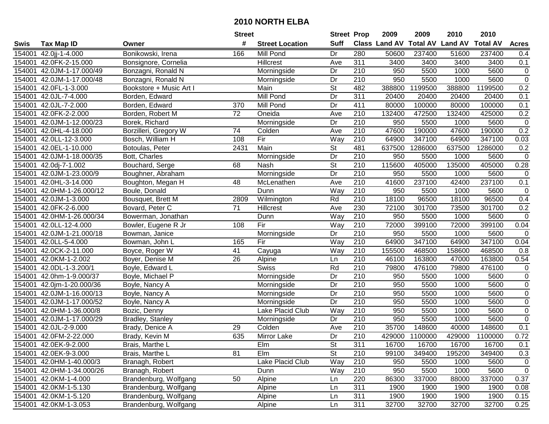| #<br><b>Suff</b><br>Class Land AV<br><b>Total AV</b><br><b>Land AV</b><br><b>Total AV</b><br><b>Acres</b><br><b>Tax Map ID</b><br><b>Street Location</b><br>Swis<br>Owner<br>Bonikowski, Irena<br>280<br>154001<br>42.0jj-1-4.000<br>166<br>Mill Pond<br>Dr<br>50600<br>237400<br>51600<br>237400<br>0.4<br>311<br>0.1<br>154001<br>42.0FK-2-15.000<br>Hillcrest<br>3400<br>3400<br>3400<br>3400<br>Bonsignore, Cornelia<br>Ave<br>5600<br>$\mathbf 0$<br>154001<br>42.0JM-1-17.000/49<br>Bonzagni, Ronald N<br>Dr<br>210<br>950<br>5500<br>1000<br>Morningside<br>$\overline{0}$<br>42.0JM-1-17.000/48<br>Dr<br>210<br>950<br>5500<br>1000<br>5600<br>154001<br>Bonzagni, Ronald N<br>Morningside<br>$\overline{\mathsf{St}}$<br>482<br>0.2<br>42.0FL-1-3.000<br>Bookstore + Music Art I<br>388800<br>1199500<br>388800<br>1199500<br>154001<br>Main<br><b>Mill Pond</b><br>311<br>0.1<br>154001<br>42.0JL-7-4.000<br>Borden, Edward<br>Dr<br>20400<br>20400<br>20400<br>20400<br>42.0JL-7-2.000<br>Borden, Edward<br>Mill Pond<br>Dr<br>411<br>80000<br>100000<br>100000<br>0.1<br>154001<br>370<br>80000<br>$\overline{72}$<br>210<br>0.2<br>42.0FK-2-2.000<br>132400<br>472500<br>132400<br>425000<br>154001<br>Borden, Robert M<br>Oneida<br>Ave<br>210<br>950<br>5500<br>$\mathbf 0$<br>154001<br>42.0JM-1-12.000/23<br>Borek, Richard<br>Dr<br>1000<br>5600<br>Morningside<br>0.2<br>210<br>47600<br>190000<br>190000<br>154001<br>42.0HL-4-18.000<br>Borzilleri, Gregory W<br>74<br>Colden<br>47600<br>Ave<br>Fir<br>210<br>347100<br>64900<br>347100<br>154001<br>42.0LL-12-3.000<br>Bosch, William H<br>108<br>Way<br>64900<br>0.03<br>Main<br>St<br>481<br>154001<br>42.0EL-1-10.000<br>Botoulas, Peter<br>2431<br>637500<br>1286000<br>637500<br>1286000<br>0.2<br>$\overline{210}$<br>42.0JM-1-18.000/35<br>Dr<br>950<br>5500<br>5600<br>$\mathbf 0$<br>154001<br>Bott, Charles<br>1000<br>Morningside<br><b>St</b><br>210<br>115600<br>405000<br>405000<br>0.28<br>154001<br>Bouchard, Serge<br>68<br>135000<br>42.0dj-7-1.002<br>Nash<br>210<br>Dr<br>5500<br>5600<br>154001<br>42.0JM-1-23.000/9<br>Boughner, Abraham<br>Morningside<br>950<br>1000<br>$\mathbf 0$<br>210<br>237100<br>237100<br>48<br>41600<br>42400<br>0.1<br>154001<br>42.0HL-3-14.000<br>Boughton, Megan H<br>Ave<br>McLenathen<br>210<br>950<br>5500<br>5600<br>$\mathbf 0$<br>154001<br>42.0HM-1-26.000/12<br>Boule, Donald<br>Way<br>1000<br>Dunn<br>Rd<br>210<br>0.4<br>154001<br>42.0JM-1-3.000<br>18100<br>96500<br>18100<br>96500<br>Bousquet, Brett M<br>2809<br>Wilmington<br>0.2<br>71<br>230<br>72100<br>301700<br>154001<br>42.0FK-2-6.000<br>Bovard, Peter C<br>Hillcrest<br>Ave<br>301700<br>73500<br>950<br>154001<br>42.0HM-1-26.000/34<br>Way<br>210<br>5500<br>1000<br>5600<br>$\mathbf 0$<br>Bowerman, Jonathan<br>Dunn<br>Fir<br>72000<br>399100<br>0.04<br>42.0LL-12-4.000<br>108<br>210<br>399100<br>72000<br>154001<br>Bowler, Eugene R Jr<br>Way<br>42.0JM-1-21.000/18<br>210<br>950<br>154001<br>Dr<br>5500<br>1000<br>5600<br>$\mathbf 0$<br>Bowman, Janice<br>Morningside<br>Fir<br>Way<br>210<br>64900<br>347100<br>347100<br>0.04<br>154001<br>42.0LL-5-4.000<br>165<br>64900<br>Bowman, John L<br>210<br>154001<br>42.0CK-2-11.000<br>41<br>155500<br>468500<br>158600<br>468500<br>0.8<br>Boyce, Roger W<br>Cayuga<br>Way<br>$\overline{210}$<br>42.0KM-1-2.002<br>26<br>46100<br>163800<br>163800<br>0.54<br>154001<br>Boyer, Denise M<br>Alpine<br>47000<br>Ln<br>Swiss<br>Rd<br>210<br>79800<br>476100<br>476100<br>154001<br>42.0DL-1-3.200/1<br>Boyle, Edward L<br>79800<br>$\mathbf 0$<br>210<br>950<br>$\boldsymbol{0}$<br>154001<br>42.0hm-1-9.000/37<br>Boyle, Michael P<br>Morningside<br>Dr<br>5500<br>1000<br>5600<br>Dr<br>210<br>950<br>5600<br>$\mathsf 0$<br>154001<br>42.0jm-1-20.000/36<br>5500<br>1000<br>Boyle, Nancy A<br>Morningside<br>$\overline{0}$<br>$\overline{210}$<br>5600<br>42.0JM-1-16.000/13<br>Dr<br>950<br>5500<br>1000<br>154001<br>Boyle, Nancy A<br>Morningside<br>210<br>$\overline{0}$<br>950<br>5500<br>5600<br>154001<br>42.0JM-1-17.000/52<br>Dr<br>1000<br>Boyle, Nancy A<br>Morningside<br>$\overline{0}$<br>210<br>Way<br>950<br>5500<br>1000<br>5600<br>154001<br>42.0HM-1-36.000/8<br>Lake Placid Club<br>Bozic, Denny<br>210<br>950<br>5500<br>$\mathbf 0$<br>154001<br>42.0JM-1-17.000/29<br>Dr<br>5600<br>Bradley, Stanley<br>Morningside<br>1000<br>210<br>$\overline{29}$<br>35700<br>148600<br>148600<br>0.1<br>154001<br>42.0JL-2-9.000<br>40000<br>Brady, Denice A<br>Colden<br>Ave<br>635<br>Dr<br>$\overline{210}$<br>0.72<br>154001 42.0FM-2-22.000<br><b>Mirror Lake</b><br>429000<br>1100000<br>429000<br>1100000<br>Brady, Kevin M<br>154001 42.0EK-9-2.000<br>Brais, Marthe L<br>Elm<br>St<br>311<br>16700<br>16700<br>16700<br>16700<br>0.1<br>81<br>Elm<br><b>St</b><br>210<br>0.3<br>154001 42.0EK-9-3.000<br>Brais, Marthe L<br>99100<br>349400<br>195200<br>349400<br>Lake Placid Club<br>Way<br>210<br>154001 42.0HM-1-40.000/3<br>Branagh, Robert<br>950<br>5500<br>1000<br>5600<br>$\mathbf 0$<br>$\mathbf 0$<br>154001 42.0HM-1-34.000/26<br>Way<br>210<br>950<br>5500<br>Branagh, Robert<br>1000<br>5600<br>Dunn<br>154001 42.0KM-1-4.000<br>220<br>337000<br>0.37<br>Brandenburg, Wolfgang<br>50<br>86300<br>88000<br>337000<br>Alpine<br>Ln<br>311<br>154001 42.0KM-1-5.130<br>Brandenburg, Wolfgang<br>Alpine<br>1900<br>1900<br>1900<br>1900<br>0.08<br>Ln<br>154001 42.0KM-1-5.120<br>Brandenburg, Wolfgang<br>311<br>1900<br>1900<br>1900<br>1900<br>0.15<br>Alpine<br>Ln<br>154001 42.0KM-1-3.053<br>311<br>Brandenburg, Wolfgang<br>32700<br>32700<br>32700<br>32700<br>0.25<br>Alpine<br>Ln |  | <b>Street</b> | <b>Street Prop</b> | 2009 | 2009 | 2010 | 2010 |  |
|---------------------------------------------------------------------------------------------------------------------------------------------------------------------------------------------------------------------------------------------------------------------------------------------------------------------------------------------------------------------------------------------------------------------------------------------------------------------------------------------------------------------------------------------------------------------------------------------------------------------------------------------------------------------------------------------------------------------------------------------------------------------------------------------------------------------------------------------------------------------------------------------------------------------------------------------------------------------------------------------------------------------------------------------------------------------------------------------------------------------------------------------------------------------------------------------------------------------------------------------------------------------------------------------------------------------------------------------------------------------------------------------------------------------------------------------------------------------------------------------------------------------------------------------------------------------------------------------------------------------------------------------------------------------------------------------------------------------------------------------------------------------------------------------------------------------------------------------------------------------------------------------------------------------------------------------------------------------------------------------------------------------------------------------------------------------------------------------------------------------------------------------------------------------------------------------------------------------------------------------------------------------------------------------------------------------------------------------------------------------------------------------------------------------------------------------------------------------------------------------------------------------------------------------------------------------------------------------------------------------------------------------------------------------------------------------------------------------------------------------------------------------------------------------------------------------------------------------------------------------------------------------------------------------------------------------------------------------------------------------------------------------------------------------------------------------------------------------------------------------------------------------------------------------------------------------------------------------------------------------------------------------------------------------------------------------------------------------------------------------------------------------------------------------------------------------------------------------------------------------------------------------------------------------------------------------------------------------------------------------------------------------------------------------------------------------------------------------------------------------------------------------------------------------------------------------------------------------------------------------------------------------------------------------------------------------------------------------------------------------------------------------------------------------------------------------------------------------------------------------------------------------------------------------------------------------------------------------------------------------------------------------------------------------------------------------------------------------------------------------------------------------------------------------------------------------------------------------------------------------------------------------------------------------------------------------------------------------------------------------------------------------------------------------------------------------------------------------------------------------------------------------------------------------------------------------------------------------------------------------------------------------------------------------------------------------------------------------------------------------------------------------------------------------------------------------------------------------------------------------------------------------------------------------------------------------------------------------------------------------------------------------------------------------------------------------------------------------------------------------------------------------------------------------------------------------------------------------------------------------------------------------------------------------------------------------------------------------------------------------------------------------------------------------------------------------------|--|---------------|--------------------|------|------|------|------|--|
|                                                                                                                                                                                                                                                                                                                                                                                                                                                                                                                                                                                                                                                                                                                                                                                                                                                                                                                                                                                                                                                                                                                                                                                                                                                                                                                                                                                                                                                                                                                                                                                                                                                                                                                                                                                                                                                                                                                                                                                                                                                                                                                                                                                                                                                                                                                                                                                                                                                                                                                                                                                                                                                                                                                                                                                                                                                                                                                                                                                                                                                                                                                                                                                                                                                                                                                                                                                                                                                                                                                                                                                                                                                                                                                                                                                                                                                                                                                                                                                                                                                                                                                                                                                                                                                                                                                                                                                                                                                                                                                                                                                                                                                                                                                                                                                                                                                                                                                                                                                                                                                                                                                                                                                                                                                                                                                                                                                                                                                                                                                                                                                                                                                                                                   |  |               |                    |      |      |      |      |  |
|                                                                                                                                                                                                                                                                                                                                                                                                                                                                                                                                                                                                                                                                                                                                                                                                                                                                                                                                                                                                                                                                                                                                                                                                                                                                                                                                                                                                                                                                                                                                                                                                                                                                                                                                                                                                                                                                                                                                                                                                                                                                                                                                                                                                                                                                                                                                                                                                                                                                                                                                                                                                                                                                                                                                                                                                                                                                                                                                                                                                                                                                                                                                                                                                                                                                                                                                                                                                                                                                                                                                                                                                                                                                                                                                                                                                                                                                                                                                                                                                                                                                                                                                                                                                                                                                                                                                                                                                                                                                                                                                                                                                                                                                                                                                                                                                                                                                                                                                                                                                                                                                                                                                                                                                                                                                                                                                                                                                                                                                                                                                                                                                                                                                                                   |  |               |                    |      |      |      |      |  |
|                                                                                                                                                                                                                                                                                                                                                                                                                                                                                                                                                                                                                                                                                                                                                                                                                                                                                                                                                                                                                                                                                                                                                                                                                                                                                                                                                                                                                                                                                                                                                                                                                                                                                                                                                                                                                                                                                                                                                                                                                                                                                                                                                                                                                                                                                                                                                                                                                                                                                                                                                                                                                                                                                                                                                                                                                                                                                                                                                                                                                                                                                                                                                                                                                                                                                                                                                                                                                                                                                                                                                                                                                                                                                                                                                                                                                                                                                                                                                                                                                                                                                                                                                                                                                                                                                                                                                                                                                                                                                                                                                                                                                                                                                                                                                                                                                                                                                                                                                                                                                                                                                                                                                                                                                                                                                                                                                                                                                                                                                                                                                                                                                                                                                                   |  |               |                    |      |      |      |      |  |
|                                                                                                                                                                                                                                                                                                                                                                                                                                                                                                                                                                                                                                                                                                                                                                                                                                                                                                                                                                                                                                                                                                                                                                                                                                                                                                                                                                                                                                                                                                                                                                                                                                                                                                                                                                                                                                                                                                                                                                                                                                                                                                                                                                                                                                                                                                                                                                                                                                                                                                                                                                                                                                                                                                                                                                                                                                                                                                                                                                                                                                                                                                                                                                                                                                                                                                                                                                                                                                                                                                                                                                                                                                                                                                                                                                                                                                                                                                                                                                                                                                                                                                                                                                                                                                                                                                                                                                                                                                                                                                                                                                                                                                                                                                                                                                                                                                                                                                                                                                                                                                                                                                                                                                                                                                                                                                                                                                                                                                                                                                                                                                                                                                                                                                   |  |               |                    |      |      |      |      |  |
|                                                                                                                                                                                                                                                                                                                                                                                                                                                                                                                                                                                                                                                                                                                                                                                                                                                                                                                                                                                                                                                                                                                                                                                                                                                                                                                                                                                                                                                                                                                                                                                                                                                                                                                                                                                                                                                                                                                                                                                                                                                                                                                                                                                                                                                                                                                                                                                                                                                                                                                                                                                                                                                                                                                                                                                                                                                                                                                                                                                                                                                                                                                                                                                                                                                                                                                                                                                                                                                                                                                                                                                                                                                                                                                                                                                                                                                                                                                                                                                                                                                                                                                                                                                                                                                                                                                                                                                                                                                                                                                                                                                                                                                                                                                                                                                                                                                                                                                                                                                                                                                                                                                                                                                                                                                                                                                                                                                                                                                                                                                                                                                                                                                                                                   |  |               |                    |      |      |      |      |  |
|                                                                                                                                                                                                                                                                                                                                                                                                                                                                                                                                                                                                                                                                                                                                                                                                                                                                                                                                                                                                                                                                                                                                                                                                                                                                                                                                                                                                                                                                                                                                                                                                                                                                                                                                                                                                                                                                                                                                                                                                                                                                                                                                                                                                                                                                                                                                                                                                                                                                                                                                                                                                                                                                                                                                                                                                                                                                                                                                                                                                                                                                                                                                                                                                                                                                                                                                                                                                                                                                                                                                                                                                                                                                                                                                                                                                                                                                                                                                                                                                                                                                                                                                                                                                                                                                                                                                                                                                                                                                                                                                                                                                                                                                                                                                                                                                                                                                                                                                                                                                                                                                                                                                                                                                                                                                                                                                                                                                                                                                                                                                                                                                                                                                                                   |  |               |                    |      |      |      |      |  |
|                                                                                                                                                                                                                                                                                                                                                                                                                                                                                                                                                                                                                                                                                                                                                                                                                                                                                                                                                                                                                                                                                                                                                                                                                                                                                                                                                                                                                                                                                                                                                                                                                                                                                                                                                                                                                                                                                                                                                                                                                                                                                                                                                                                                                                                                                                                                                                                                                                                                                                                                                                                                                                                                                                                                                                                                                                                                                                                                                                                                                                                                                                                                                                                                                                                                                                                                                                                                                                                                                                                                                                                                                                                                                                                                                                                                                                                                                                                                                                                                                                                                                                                                                                                                                                                                                                                                                                                                                                                                                                                                                                                                                                                                                                                                                                                                                                                                                                                                                                                                                                                                                                                                                                                                                                                                                                                                                                                                                                                                                                                                                                                                                                                                                                   |  |               |                    |      |      |      |      |  |
|                                                                                                                                                                                                                                                                                                                                                                                                                                                                                                                                                                                                                                                                                                                                                                                                                                                                                                                                                                                                                                                                                                                                                                                                                                                                                                                                                                                                                                                                                                                                                                                                                                                                                                                                                                                                                                                                                                                                                                                                                                                                                                                                                                                                                                                                                                                                                                                                                                                                                                                                                                                                                                                                                                                                                                                                                                                                                                                                                                                                                                                                                                                                                                                                                                                                                                                                                                                                                                                                                                                                                                                                                                                                                                                                                                                                                                                                                                                                                                                                                                                                                                                                                                                                                                                                                                                                                                                                                                                                                                                                                                                                                                                                                                                                                                                                                                                                                                                                                                                                                                                                                                                                                                                                                                                                                                                                                                                                                                                                                                                                                                                                                                                                                                   |  |               |                    |      |      |      |      |  |
|                                                                                                                                                                                                                                                                                                                                                                                                                                                                                                                                                                                                                                                                                                                                                                                                                                                                                                                                                                                                                                                                                                                                                                                                                                                                                                                                                                                                                                                                                                                                                                                                                                                                                                                                                                                                                                                                                                                                                                                                                                                                                                                                                                                                                                                                                                                                                                                                                                                                                                                                                                                                                                                                                                                                                                                                                                                                                                                                                                                                                                                                                                                                                                                                                                                                                                                                                                                                                                                                                                                                                                                                                                                                                                                                                                                                                                                                                                                                                                                                                                                                                                                                                                                                                                                                                                                                                                                                                                                                                                                                                                                                                                                                                                                                                                                                                                                                                                                                                                                                                                                                                                                                                                                                                                                                                                                                                                                                                                                                                                                                                                                                                                                                                                   |  |               |                    |      |      |      |      |  |
|                                                                                                                                                                                                                                                                                                                                                                                                                                                                                                                                                                                                                                                                                                                                                                                                                                                                                                                                                                                                                                                                                                                                                                                                                                                                                                                                                                                                                                                                                                                                                                                                                                                                                                                                                                                                                                                                                                                                                                                                                                                                                                                                                                                                                                                                                                                                                                                                                                                                                                                                                                                                                                                                                                                                                                                                                                                                                                                                                                                                                                                                                                                                                                                                                                                                                                                                                                                                                                                                                                                                                                                                                                                                                                                                                                                                                                                                                                                                                                                                                                                                                                                                                                                                                                                                                                                                                                                                                                                                                                                                                                                                                                                                                                                                                                                                                                                                                                                                                                                                                                                                                                                                                                                                                                                                                                                                                                                                                                                                                                                                                                                                                                                                                                   |  |               |                    |      |      |      |      |  |
|                                                                                                                                                                                                                                                                                                                                                                                                                                                                                                                                                                                                                                                                                                                                                                                                                                                                                                                                                                                                                                                                                                                                                                                                                                                                                                                                                                                                                                                                                                                                                                                                                                                                                                                                                                                                                                                                                                                                                                                                                                                                                                                                                                                                                                                                                                                                                                                                                                                                                                                                                                                                                                                                                                                                                                                                                                                                                                                                                                                                                                                                                                                                                                                                                                                                                                                                                                                                                                                                                                                                                                                                                                                                                                                                                                                                                                                                                                                                                                                                                                                                                                                                                                                                                                                                                                                                                                                                                                                                                                                                                                                                                                                                                                                                                                                                                                                                                                                                                                                                                                                                                                                                                                                                                                                                                                                                                                                                                                                                                                                                                                                                                                                                                                   |  |               |                    |      |      |      |      |  |
|                                                                                                                                                                                                                                                                                                                                                                                                                                                                                                                                                                                                                                                                                                                                                                                                                                                                                                                                                                                                                                                                                                                                                                                                                                                                                                                                                                                                                                                                                                                                                                                                                                                                                                                                                                                                                                                                                                                                                                                                                                                                                                                                                                                                                                                                                                                                                                                                                                                                                                                                                                                                                                                                                                                                                                                                                                                                                                                                                                                                                                                                                                                                                                                                                                                                                                                                                                                                                                                                                                                                                                                                                                                                                                                                                                                                                                                                                                                                                                                                                                                                                                                                                                                                                                                                                                                                                                                                                                                                                                                                                                                                                                                                                                                                                                                                                                                                                                                                                                                                                                                                                                                                                                                                                                                                                                                                                                                                                                                                                                                                                                                                                                                                                                   |  |               |                    |      |      |      |      |  |
|                                                                                                                                                                                                                                                                                                                                                                                                                                                                                                                                                                                                                                                                                                                                                                                                                                                                                                                                                                                                                                                                                                                                                                                                                                                                                                                                                                                                                                                                                                                                                                                                                                                                                                                                                                                                                                                                                                                                                                                                                                                                                                                                                                                                                                                                                                                                                                                                                                                                                                                                                                                                                                                                                                                                                                                                                                                                                                                                                                                                                                                                                                                                                                                                                                                                                                                                                                                                                                                                                                                                                                                                                                                                                                                                                                                                                                                                                                                                                                                                                                                                                                                                                                                                                                                                                                                                                                                                                                                                                                                                                                                                                                                                                                                                                                                                                                                                                                                                                                                                                                                                                                                                                                                                                                                                                                                                                                                                                                                                                                                                                                                                                                                                                                   |  |               |                    |      |      |      |      |  |
|                                                                                                                                                                                                                                                                                                                                                                                                                                                                                                                                                                                                                                                                                                                                                                                                                                                                                                                                                                                                                                                                                                                                                                                                                                                                                                                                                                                                                                                                                                                                                                                                                                                                                                                                                                                                                                                                                                                                                                                                                                                                                                                                                                                                                                                                                                                                                                                                                                                                                                                                                                                                                                                                                                                                                                                                                                                                                                                                                                                                                                                                                                                                                                                                                                                                                                                                                                                                                                                                                                                                                                                                                                                                                                                                                                                                                                                                                                                                                                                                                                                                                                                                                                                                                                                                                                                                                                                                                                                                                                                                                                                                                                                                                                                                                                                                                                                                                                                                                                                                                                                                                                                                                                                                                                                                                                                                                                                                                                                                                                                                                                                                                                                                                                   |  |               |                    |      |      |      |      |  |
|                                                                                                                                                                                                                                                                                                                                                                                                                                                                                                                                                                                                                                                                                                                                                                                                                                                                                                                                                                                                                                                                                                                                                                                                                                                                                                                                                                                                                                                                                                                                                                                                                                                                                                                                                                                                                                                                                                                                                                                                                                                                                                                                                                                                                                                                                                                                                                                                                                                                                                                                                                                                                                                                                                                                                                                                                                                                                                                                                                                                                                                                                                                                                                                                                                                                                                                                                                                                                                                                                                                                                                                                                                                                                                                                                                                                                                                                                                                                                                                                                                                                                                                                                                                                                                                                                                                                                                                                                                                                                                                                                                                                                                                                                                                                                                                                                                                                                                                                                                                                                                                                                                                                                                                                                                                                                                                                                                                                                                                                                                                                                                                                                                                                                                   |  |               |                    |      |      |      |      |  |
|                                                                                                                                                                                                                                                                                                                                                                                                                                                                                                                                                                                                                                                                                                                                                                                                                                                                                                                                                                                                                                                                                                                                                                                                                                                                                                                                                                                                                                                                                                                                                                                                                                                                                                                                                                                                                                                                                                                                                                                                                                                                                                                                                                                                                                                                                                                                                                                                                                                                                                                                                                                                                                                                                                                                                                                                                                                                                                                                                                                                                                                                                                                                                                                                                                                                                                                                                                                                                                                                                                                                                                                                                                                                                                                                                                                                                                                                                                                                                                                                                                                                                                                                                                                                                                                                                                                                                                                                                                                                                                                                                                                                                                                                                                                                                                                                                                                                                                                                                                                                                                                                                                                                                                                                                                                                                                                                                                                                                                                                                                                                                                                                                                                                                                   |  |               |                    |      |      |      |      |  |
|                                                                                                                                                                                                                                                                                                                                                                                                                                                                                                                                                                                                                                                                                                                                                                                                                                                                                                                                                                                                                                                                                                                                                                                                                                                                                                                                                                                                                                                                                                                                                                                                                                                                                                                                                                                                                                                                                                                                                                                                                                                                                                                                                                                                                                                                                                                                                                                                                                                                                                                                                                                                                                                                                                                                                                                                                                                                                                                                                                                                                                                                                                                                                                                                                                                                                                                                                                                                                                                                                                                                                                                                                                                                                                                                                                                                                                                                                                                                                                                                                                                                                                                                                                                                                                                                                                                                                                                                                                                                                                                                                                                                                                                                                                                                                                                                                                                                                                                                                                                                                                                                                                                                                                                                                                                                                                                                                                                                                                                                                                                                                                                                                                                                                                   |  |               |                    |      |      |      |      |  |
|                                                                                                                                                                                                                                                                                                                                                                                                                                                                                                                                                                                                                                                                                                                                                                                                                                                                                                                                                                                                                                                                                                                                                                                                                                                                                                                                                                                                                                                                                                                                                                                                                                                                                                                                                                                                                                                                                                                                                                                                                                                                                                                                                                                                                                                                                                                                                                                                                                                                                                                                                                                                                                                                                                                                                                                                                                                                                                                                                                                                                                                                                                                                                                                                                                                                                                                                                                                                                                                                                                                                                                                                                                                                                                                                                                                                                                                                                                                                                                                                                                                                                                                                                                                                                                                                                                                                                                                                                                                                                                                                                                                                                                                                                                                                                                                                                                                                                                                                                                                                                                                                                                                                                                                                                                                                                                                                                                                                                                                                                                                                                                                                                                                                                                   |  |               |                    |      |      |      |      |  |
|                                                                                                                                                                                                                                                                                                                                                                                                                                                                                                                                                                                                                                                                                                                                                                                                                                                                                                                                                                                                                                                                                                                                                                                                                                                                                                                                                                                                                                                                                                                                                                                                                                                                                                                                                                                                                                                                                                                                                                                                                                                                                                                                                                                                                                                                                                                                                                                                                                                                                                                                                                                                                                                                                                                                                                                                                                                                                                                                                                                                                                                                                                                                                                                                                                                                                                                                                                                                                                                                                                                                                                                                                                                                                                                                                                                                                                                                                                                                                                                                                                                                                                                                                                                                                                                                                                                                                                                                                                                                                                                                                                                                                                                                                                                                                                                                                                                                                                                                                                                                                                                                                                                                                                                                                                                                                                                                                                                                                                                                                                                                                                                                                                                                                                   |  |               |                    |      |      |      |      |  |
|                                                                                                                                                                                                                                                                                                                                                                                                                                                                                                                                                                                                                                                                                                                                                                                                                                                                                                                                                                                                                                                                                                                                                                                                                                                                                                                                                                                                                                                                                                                                                                                                                                                                                                                                                                                                                                                                                                                                                                                                                                                                                                                                                                                                                                                                                                                                                                                                                                                                                                                                                                                                                                                                                                                                                                                                                                                                                                                                                                                                                                                                                                                                                                                                                                                                                                                                                                                                                                                                                                                                                                                                                                                                                                                                                                                                                                                                                                                                                                                                                                                                                                                                                                                                                                                                                                                                                                                                                                                                                                                                                                                                                                                                                                                                                                                                                                                                                                                                                                                                                                                                                                                                                                                                                                                                                                                                                                                                                                                                                                                                                                                                                                                                                                   |  |               |                    |      |      |      |      |  |
|                                                                                                                                                                                                                                                                                                                                                                                                                                                                                                                                                                                                                                                                                                                                                                                                                                                                                                                                                                                                                                                                                                                                                                                                                                                                                                                                                                                                                                                                                                                                                                                                                                                                                                                                                                                                                                                                                                                                                                                                                                                                                                                                                                                                                                                                                                                                                                                                                                                                                                                                                                                                                                                                                                                                                                                                                                                                                                                                                                                                                                                                                                                                                                                                                                                                                                                                                                                                                                                                                                                                                                                                                                                                                                                                                                                                                                                                                                                                                                                                                                                                                                                                                                                                                                                                                                                                                                                                                                                                                                                                                                                                                                                                                                                                                                                                                                                                                                                                                                                                                                                                                                                                                                                                                                                                                                                                                                                                                                                                                                                                                                                                                                                                                                   |  |               |                    |      |      |      |      |  |
|                                                                                                                                                                                                                                                                                                                                                                                                                                                                                                                                                                                                                                                                                                                                                                                                                                                                                                                                                                                                                                                                                                                                                                                                                                                                                                                                                                                                                                                                                                                                                                                                                                                                                                                                                                                                                                                                                                                                                                                                                                                                                                                                                                                                                                                                                                                                                                                                                                                                                                                                                                                                                                                                                                                                                                                                                                                                                                                                                                                                                                                                                                                                                                                                                                                                                                                                                                                                                                                                                                                                                                                                                                                                                                                                                                                                                                                                                                                                                                                                                                                                                                                                                                                                                                                                                                                                                                                                                                                                                                                                                                                                                                                                                                                                                                                                                                                                                                                                                                                                                                                                                                                                                                                                                                                                                                                                                                                                                                                                                                                                                                                                                                                                                                   |  |               |                    |      |      |      |      |  |
|                                                                                                                                                                                                                                                                                                                                                                                                                                                                                                                                                                                                                                                                                                                                                                                                                                                                                                                                                                                                                                                                                                                                                                                                                                                                                                                                                                                                                                                                                                                                                                                                                                                                                                                                                                                                                                                                                                                                                                                                                                                                                                                                                                                                                                                                                                                                                                                                                                                                                                                                                                                                                                                                                                                                                                                                                                                                                                                                                                                                                                                                                                                                                                                                                                                                                                                                                                                                                                                                                                                                                                                                                                                                                                                                                                                                                                                                                                                                                                                                                                                                                                                                                                                                                                                                                                                                                                                                                                                                                                                                                                                                                                                                                                                                                                                                                                                                                                                                                                                                                                                                                                                                                                                                                                                                                                                                                                                                                                                                                                                                                                                                                                                                                                   |  |               |                    |      |      |      |      |  |
|                                                                                                                                                                                                                                                                                                                                                                                                                                                                                                                                                                                                                                                                                                                                                                                                                                                                                                                                                                                                                                                                                                                                                                                                                                                                                                                                                                                                                                                                                                                                                                                                                                                                                                                                                                                                                                                                                                                                                                                                                                                                                                                                                                                                                                                                                                                                                                                                                                                                                                                                                                                                                                                                                                                                                                                                                                                                                                                                                                                                                                                                                                                                                                                                                                                                                                                                                                                                                                                                                                                                                                                                                                                                                                                                                                                                                                                                                                                                                                                                                                                                                                                                                                                                                                                                                                                                                                                                                                                                                                                                                                                                                                                                                                                                                                                                                                                                                                                                                                                                                                                                                                                                                                                                                                                                                                                                                                                                                                                                                                                                                                                                                                                                                                   |  |               |                    |      |      |      |      |  |
|                                                                                                                                                                                                                                                                                                                                                                                                                                                                                                                                                                                                                                                                                                                                                                                                                                                                                                                                                                                                                                                                                                                                                                                                                                                                                                                                                                                                                                                                                                                                                                                                                                                                                                                                                                                                                                                                                                                                                                                                                                                                                                                                                                                                                                                                                                                                                                                                                                                                                                                                                                                                                                                                                                                                                                                                                                                                                                                                                                                                                                                                                                                                                                                                                                                                                                                                                                                                                                                                                                                                                                                                                                                                                                                                                                                                                                                                                                                                                                                                                                                                                                                                                                                                                                                                                                                                                                                                                                                                                                                                                                                                                                                                                                                                                                                                                                                                                                                                                                                                                                                                                                                                                                                                                                                                                                                                                                                                                                                                                                                                                                                                                                                                                                   |  |               |                    |      |      |      |      |  |
|                                                                                                                                                                                                                                                                                                                                                                                                                                                                                                                                                                                                                                                                                                                                                                                                                                                                                                                                                                                                                                                                                                                                                                                                                                                                                                                                                                                                                                                                                                                                                                                                                                                                                                                                                                                                                                                                                                                                                                                                                                                                                                                                                                                                                                                                                                                                                                                                                                                                                                                                                                                                                                                                                                                                                                                                                                                                                                                                                                                                                                                                                                                                                                                                                                                                                                                                                                                                                                                                                                                                                                                                                                                                                                                                                                                                                                                                                                                                                                                                                                                                                                                                                                                                                                                                                                                                                                                                                                                                                                                                                                                                                                                                                                                                                                                                                                                                                                                                                                                                                                                                                                                                                                                                                                                                                                                                                                                                                                                                                                                                                                                                                                                                                                   |  |               |                    |      |      |      |      |  |
|                                                                                                                                                                                                                                                                                                                                                                                                                                                                                                                                                                                                                                                                                                                                                                                                                                                                                                                                                                                                                                                                                                                                                                                                                                                                                                                                                                                                                                                                                                                                                                                                                                                                                                                                                                                                                                                                                                                                                                                                                                                                                                                                                                                                                                                                                                                                                                                                                                                                                                                                                                                                                                                                                                                                                                                                                                                                                                                                                                                                                                                                                                                                                                                                                                                                                                                                                                                                                                                                                                                                                                                                                                                                                                                                                                                                                                                                                                                                                                                                                                                                                                                                                                                                                                                                                                                                                                                                                                                                                                                                                                                                                                                                                                                                                                                                                                                                                                                                                                                                                                                                                                                                                                                                                                                                                                                                                                                                                                                                                                                                                                                                                                                                                                   |  |               |                    |      |      |      |      |  |
|                                                                                                                                                                                                                                                                                                                                                                                                                                                                                                                                                                                                                                                                                                                                                                                                                                                                                                                                                                                                                                                                                                                                                                                                                                                                                                                                                                                                                                                                                                                                                                                                                                                                                                                                                                                                                                                                                                                                                                                                                                                                                                                                                                                                                                                                                                                                                                                                                                                                                                                                                                                                                                                                                                                                                                                                                                                                                                                                                                                                                                                                                                                                                                                                                                                                                                                                                                                                                                                                                                                                                                                                                                                                                                                                                                                                                                                                                                                                                                                                                                                                                                                                                                                                                                                                                                                                                                                                                                                                                                                                                                                                                                                                                                                                                                                                                                                                                                                                                                                                                                                                                                                                                                                                                                                                                                                                                                                                                                                                                                                                                                                                                                                                                                   |  |               |                    |      |      |      |      |  |
|                                                                                                                                                                                                                                                                                                                                                                                                                                                                                                                                                                                                                                                                                                                                                                                                                                                                                                                                                                                                                                                                                                                                                                                                                                                                                                                                                                                                                                                                                                                                                                                                                                                                                                                                                                                                                                                                                                                                                                                                                                                                                                                                                                                                                                                                                                                                                                                                                                                                                                                                                                                                                                                                                                                                                                                                                                                                                                                                                                                                                                                                                                                                                                                                                                                                                                                                                                                                                                                                                                                                                                                                                                                                                                                                                                                                                                                                                                                                                                                                                                                                                                                                                                                                                                                                                                                                                                                                                                                                                                                                                                                                                                                                                                                                                                                                                                                                                                                                                                                                                                                                                                                                                                                                                                                                                                                                                                                                                                                                                                                                                                                                                                                                                                   |  |               |                    |      |      |      |      |  |
|                                                                                                                                                                                                                                                                                                                                                                                                                                                                                                                                                                                                                                                                                                                                                                                                                                                                                                                                                                                                                                                                                                                                                                                                                                                                                                                                                                                                                                                                                                                                                                                                                                                                                                                                                                                                                                                                                                                                                                                                                                                                                                                                                                                                                                                                                                                                                                                                                                                                                                                                                                                                                                                                                                                                                                                                                                                                                                                                                                                                                                                                                                                                                                                                                                                                                                                                                                                                                                                                                                                                                                                                                                                                                                                                                                                                                                                                                                                                                                                                                                                                                                                                                                                                                                                                                                                                                                                                                                                                                                                                                                                                                                                                                                                                                                                                                                                                                                                                                                                                                                                                                                                                                                                                                                                                                                                                                                                                                                                                                                                                                                                                                                                                                                   |  |               |                    |      |      |      |      |  |
|                                                                                                                                                                                                                                                                                                                                                                                                                                                                                                                                                                                                                                                                                                                                                                                                                                                                                                                                                                                                                                                                                                                                                                                                                                                                                                                                                                                                                                                                                                                                                                                                                                                                                                                                                                                                                                                                                                                                                                                                                                                                                                                                                                                                                                                                                                                                                                                                                                                                                                                                                                                                                                                                                                                                                                                                                                                                                                                                                                                                                                                                                                                                                                                                                                                                                                                                                                                                                                                                                                                                                                                                                                                                                                                                                                                                                                                                                                                                                                                                                                                                                                                                                                                                                                                                                                                                                                                                                                                                                                                                                                                                                                                                                                                                                                                                                                                                                                                                                                                                                                                                                                                                                                                                                                                                                                                                                                                                                                                                                                                                                                                                                                                                                                   |  |               |                    |      |      |      |      |  |
|                                                                                                                                                                                                                                                                                                                                                                                                                                                                                                                                                                                                                                                                                                                                                                                                                                                                                                                                                                                                                                                                                                                                                                                                                                                                                                                                                                                                                                                                                                                                                                                                                                                                                                                                                                                                                                                                                                                                                                                                                                                                                                                                                                                                                                                                                                                                                                                                                                                                                                                                                                                                                                                                                                                                                                                                                                                                                                                                                                                                                                                                                                                                                                                                                                                                                                                                                                                                                                                                                                                                                                                                                                                                                                                                                                                                                                                                                                                                                                                                                                                                                                                                                                                                                                                                                                                                                                                                                                                                                                                                                                                                                                                                                                                                                                                                                                                                                                                                                                                                                                                                                                                                                                                                                                                                                                                                                                                                                                                                                                                                                                                                                                                                                                   |  |               |                    |      |      |      |      |  |
|                                                                                                                                                                                                                                                                                                                                                                                                                                                                                                                                                                                                                                                                                                                                                                                                                                                                                                                                                                                                                                                                                                                                                                                                                                                                                                                                                                                                                                                                                                                                                                                                                                                                                                                                                                                                                                                                                                                                                                                                                                                                                                                                                                                                                                                                                                                                                                                                                                                                                                                                                                                                                                                                                                                                                                                                                                                                                                                                                                                                                                                                                                                                                                                                                                                                                                                                                                                                                                                                                                                                                                                                                                                                                                                                                                                                                                                                                                                                                                                                                                                                                                                                                                                                                                                                                                                                                                                                                                                                                                                                                                                                                                                                                                                                                                                                                                                                                                                                                                                                                                                                                                                                                                                                                                                                                                                                                                                                                                                                                                                                                                                                                                                                                                   |  |               |                    |      |      |      |      |  |
|                                                                                                                                                                                                                                                                                                                                                                                                                                                                                                                                                                                                                                                                                                                                                                                                                                                                                                                                                                                                                                                                                                                                                                                                                                                                                                                                                                                                                                                                                                                                                                                                                                                                                                                                                                                                                                                                                                                                                                                                                                                                                                                                                                                                                                                                                                                                                                                                                                                                                                                                                                                                                                                                                                                                                                                                                                                                                                                                                                                                                                                                                                                                                                                                                                                                                                                                                                                                                                                                                                                                                                                                                                                                                                                                                                                                                                                                                                                                                                                                                                                                                                                                                                                                                                                                                                                                                                                                                                                                                                                                                                                                                                                                                                                                                                                                                                                                                                                                                                                                                                                                                                                                                                                                                                                                                                                                                                                                                                                                                                                                                                                                                                                                                                   |  |               |                    |      |      |      |      |  |
|                                                                                                                                                                                                                                                                                                                                                                                                                                                                                                                                                                                                                                                                                                                                                                                                                                                                                                                                                                                                                                                                                                                                                                                                                                                                                                                                                                                                                                                                                                                                                                                                                                                                                                                                                                                                                                                                                                                                                                                                                                                                                                                                                                                                                                                                                                                                                                                                                                                                                                                                                                                                                                                                                                                                                                                                                                                                                                                                                                                                                                                                                                                                                                                                                                                                                                                                                                                                                                                                                                                                                                                                                                                                                                                                                                                                                                                                                                                                                                                                                                                                                                                                                                                                                                                                                                                                                                                                                                                                                                                                                                                                                                                                                                                                                                                                                                                                                                                                                                                                                                                                                                                                                                                                                                                                                                                                                                                                                                                                                                                                                                                                                                                                                                   |  |               |                    |      |      |      |      |  |
|                                                                                                                                                                                                                                                                                                                                                                                                                                                                                                                                                                                                                                                                                                                                                                                                                                                                                                                                                                                                                                                                                                                                                                                                                                                                                                                                                                                                                                                                                                                                                                                                                                                                                                                                                                                                                                                                                                                                                                                                                                                                                                                                                                                                                                                                                                                                                                                                                                                                                                                                                                                                                                                                                                                                                                                                                                                                                                                                                                                                                                                                                                                                                                                                                                                                                                                                                                                                                                                                                                                                                                                                                                                                                                                                                                                                                                                                                                                                                                                                                                                                                                                                                                                                                                                                                                                                                                                                                                                                                                                                                                                                                                                                                                                                                                                                                                                                                                                                                                                                                                                                                                                                                                                                                                                                                                                                                                                                                                                                                                                                                                                                                                                                                                   |  |               |                    |      |      |      |      |  |
|                                                                                                                                                                                                                                                                                                                                                                                                                                                                                                                                                                                                                                                                                                                                                                                                                                                                                                                                                                                                                                                                                                                                                                                                                                                                                                                                                                                                                                                                                                                                                                                                                                                                                                                                                                                                                                                                                                                                                                                                                                                                                                                                                                                                                                                                                                                                                                                                                                                                                                                                                                                                                                                                                                                                                                                                                                                                                                                                                                                                                                                                                                                                                                                                                                                                                                                                                                                                                                                                                                                                                                                                                                                                                                                                                                                                                                                                                                                                                                                                                                                                                                                                                                                                                                                                                                                                                                                                                                                                                                                                                                                                                                                                                                                                                                                                                                                                                                                                                                                                                                                                                                                                                                                                                                                                                                                                                                                                                                                                                                                                                                                                                                                                                                   |  |               |                    |      |      |      |      |  |
|                                                                                                                                                                                                                                                                                                                                                                                                                                                                                                                                                                                                                                                                                                                                                                                                                                                                                                                                                                                                                                                                                                                                                                                                                                                                                                                                                                                                                                                                                                                                                                                                                                                                                                                                                                                                                                                                                                                                                                                                                                                                                                                                                                                                                                                                                                                                                                                                                                                                                                                                                                                                                                                                                                                                                                                                                                                                                                                                                                                                                                                                                                                                                                                                                                                                                                                                                                                                                                                                                                                                                                                                                                                                                                                                                                                                                                                                                                                                                                                                                                                                                                                                                                                                                                                                                                                                                                                                                                                                                                                                                                                                                                                                                                                                                                                                                                                                                                                                                                                                                                                                                                                                                                                                                                                                                                                                                                                                                                                                                                                                                                                                                                                                                                   |  |               |                    |      |      |      |      |  |
|                                                                                                                                                                                                                                                                                                                                                                                                                                                                                                                                                                                                                                                                                                                                                                                                                                                                                                                                                                                                                                                                                                                                                                                                                                                                                                                                                                                                                                                                                                                                                                                                                                                                                                                                                                                                                                                                                                                                                                                                                                                                                                                                                                                                                                                                                                                                                                                                                                                                                                                                                                                                                                                                                                                                                                                                                                                                                                                                                                                                                                                                                                                                                                                                                                                                                                                                                                                                                                                                                                                                                                                                                                                                                                                                                                                                                                                                                                                                                                                                                                                                                                                                                                                                                                                                                                                                                                                                                                                                                                                                                                                                                                                                                                                                                                                                                                                                                                                                                                                                                                                                                                                                                                                                                                                                                                                                                                                                                                                                                                                                                                                                                                                                                                   |  |               |                    |      |      |      |      |  |
|                                                                                                                                                                                                                                                                                                                                                                                                                                                                                                                                                                                                                                                                                                                                                                                                                                                                                                                                                                                                                                                                                                                                                                                                                                                                                                                                                                                                                                                                                                                                                                                                                                                                                                                                                                                                                                                                                                                                                                                                                                                                                                                                                                                                                                                                                                                                                                                                                                                                                                                                                                                                                                                                                                                                                                                                                                                                                                                                                                                                                                                                                                                                                                                                                                                                                                                                                                                                                                                                                                                                                                                                                                                                                                                                                                                                                                                                                                                                                                                                                                                                                                                                                                                                                                                                                                                                                                                                                                                                                                                                                                                                                                                                                                                                                                                                                                                                                                                                                                                                                                                                                                                                                                                                                                                                                                                                                                                                                                                                                                                                                                                                                                                                                                   |  |               |                    |      |      |      |      |  |
|                                                                                                                                                                                                                                                                                                                                                                                                                                                                                                                                                                                                                                                                                                                                                                                                                                                                                                                                                                                                                                                                                                                                                                                                                                                                                                                                                                                                                                                                                                                                                                                                                                                                                                                                                                                                                                                                                                                                                                                                                                                                                                                                                                                                                                                                                                                                                                                                                                                                                                                                                                                                                                                                                                                                                                                                                                                                                                                                                                                                                                                                                                                                                                                                                                                                                                                                                                                                                                                                                                                                                                                                                                                                                                                                                                                                                                                                                                                                                                                                                                                                                                                                                                                                                                                                                                                                                                                                                                                                                                                                                                                                                                                                                                                                                                                                                                                                                                                                                                                                                                                                                                                                                                                                                                                                                                                                                                                                                                                                                                                                                                                                                                                                                                   |  |               |                    |      |      |      |      |  |
|                                                                                                                                                                                                                                                                                                                                                                                                                                                                                                                                                                                                                                                                                                                                                                                                                                                                                                                                                                                                                                                                                                                                                                                                                                                                                                                                                                                                                                                                                                                                                                                                                                                                                                                                                                                                                                                                                                                                                                                                                                                                                                                                                                                                                                                                                                                                                                                                                                                                                                                                                                                                                                                                                                                                                                                                                                                                                                                                                                                                                                                                                                                                                                                                                                                                                                                                                                                                                                                                                                                                                                                                                                                                                                                                                                                                                                                                                                                                                                                                                                                                                                                                                                                                                                                                                                                                                                                                                                                                                                                                                                                                                                                                                                                                                                                                                                                                                                                                                                                                                                                                                                                                                                                                                                                                                                                                                                                                                                                                                                                                                                                                                                                                                                   |  |               |                    |      |      |      |      |  |
|                                                                                                                                                                                                                                                                                                                                                                                                                                                                                                                                                                                                                                                                                                                                                                                                                                                                                                                                                                                                                                                                                                                                                                                                                                                                                                                                                                                                                                                                                                                                                                                                                                                                                                                                                                                                                                                                                                                                                                                                                                                                                                                                                                                                                                                                                                                                                                                                                                                                                                                                                                                                                                                                                                                                                                                                                                                                                                                                                                                                                                                                                                                                                                                                                                                                                                                                                                                                                                                                                                                                                                                                                                                                                                                                                                                                                                                                                                                                                                                                                                                                                                                                                                                                                                                                                                                                                                                                                                                                                                                                                                                                                                                                                                                                                                                                                                                                                                                                                                                                                                                                                                                                                                                                                                                                                                                                                                                                                                                                                                                                                                                                                                                                                                   |  |               |                    |      |      |      |      |  |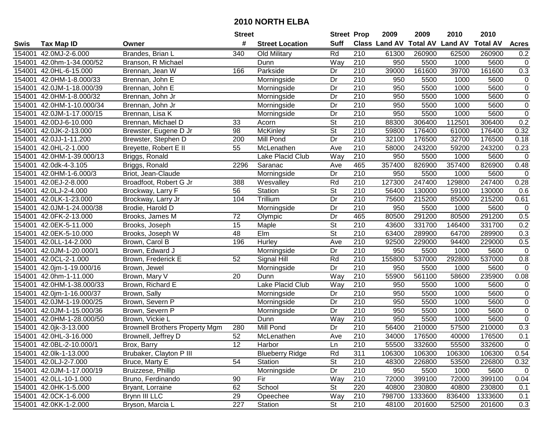|        |                           |                                       | <b>Street</b> |                        | <b>Street Prop</b>       |                  | 2009                 | 2009    | 2010                    | 2010            |                |
|--------|---------------------------|---------------------------------------|---------------|------------------------|--------------------------|------------------|----------------------|---------|-------------------------|-----------------|----------------|
| Swis   | <b>Tax Map ID</b>         | Owner                                 | #             | <b>Street Location</b> | <b>Suff</b>              |                  | <b>Class Land AV</b> |         | <b>Total AV Land AV</b> | <b>Total AV</b> | <b>Acres</b>   |
| 154001 | 42.0MJ-2-6.000            | Brandes, Brian L                      | 340           | Old Military           | Rd                       | 210              | 61300                | 260900  | 62500                   | 260900          | 0.2            |
| 154001 | 42.0hm-1-34.000/52        | Branson, R Michael                    |               | Dunn                   | Way                      | 210              | 950                  | 5500    | 1000                    | 5600            | $\mathsf 0$    |
| 154001 | 42.0HL-6-15.000           | Brennan, Jean W                       | 166           | Parkside               | Dr                       | 210              | 39000                | 161600  | 39700                   | 161600          | 0.3            |
|        | 154001 42.0HM-1-8.000/33  | Brennan, John E                       |               | Morningside            | Dr                       | 210              | 950                  | 5500    | 1000                    | 5600            | $\mathsf 0$    |
| 154001 | 42.0JM-1-18.000/39        | Brennan, John E                       |               | Morningside            | Dr                       | $\overline{210}$ | 950                  | 5500    | 1000                    | 5600            | $\overline{0}$ |
| 154001 | 42.0HM-1-8.000/32         | Brennan, John Jr                      |               | Morningside            | Dr                       | $\overline{210}$ | 950                  | 5500    | 1000                    | 5600            | $\overline{0}$ |
| 154001 | 42.0HM-1-10.000/34        | Brennan, John Jr                      |               | Morningside            | Dr                       | 210              | 950                  | 5500    | 1000                    | 5600            | $\mathbf 0$    |
| 154001 | 42.0JM-1-17.000/15        | Brennan, Lisa K                       |               | Morningside            | Dr                       | $\overline{210}$ | 950                  | 5500    | 1000                    | 5600            | $\overline{0}$ |
| 154001 | 42.0DJ-6-10.000           | Brennan, Michael D                    | 33            | Acorn                  | $\overline{\mathsf{St}}$ | $\overline{210}$ | 88300                | 306400  | 112501                  | 306400          | 0.2            |
| 154001 | 42.0JK-2-13.000           | Brewster, Eugene D Jr                 | 98            | McKinley               | $\overline{\mathsf{St}}$ | 210              | 59800                | 176400  | 61000                   | 176400          | 0.32           |
| 154001 | 42.0JJ-1-11.200           | Brewster, Stephen D                   | 200           | Mill Pond              | Dr                       | 210              | 32100                | 176500  | 32700                   | 176500          | 0.18           |
| 154001 | 42.0HL-2-1.000            | Breyette, Robert E II                 | 55            | McLenathen             | Ave                      | 210              | 58000                | 243200  | 59200                   | 243200          | 0.23           |
| 154001 | 42.0HM-1-39.000/13        | Briggs, Ronald                        |               | Lake Placid Club       | Way                      | 210              | 950                  | 5500    | 1000                    | 5600            | $\mathbf 0$    |
| 154001 | 42.0dk-4-3.105            | Briggs, Ronald                        | 2296          | Saranac                | Ave                      | 465              | 357400               | 826900  | 357400                  | 826900          | 0.48           |
| 154001 | 42.0HM-1-6.000/3          | Briot, Jean-Claude                    |               | Morningside            | Dr                       | 210              | 950                  | 5500    | 1000                    | 5600            | $\mathbf 0$    |
| 154001 | 42.0EJ-2-8.000            | Broadfoot, Robert G Jr                | 388           | Wesvalley              | Rd                       | 210              | 127300               | 247400  | 129800                  | 247400          | 0.28           |
| 154001 | 42.0LJ-2-4.000            | Brockway, Larry F                     | 56            | Station                | $\overline{\mathsf{St}}$ | $\overline{210}$ | 56400                | 130000  | 59100                   | 130000          | 0.6            |
| 154001 | 42.0LK-1-23.000           | Brockway, Larry Jr                    | 104           | Trillium               | Dr                       | 210              | 75600                | 215200  | 85000                   | 215200          | 0.61           |
| 154001 | 42.0JM-1-24.000/38        | Brodie, Harold D                      |               | Morningside            | Dr                       | 210              | 950                  | 5500    | 1000                    | 5600            | $\mathbf 0$    |
| 154001 | 42.0FK-2-13.000           | Brooks, James M                       | 72            | Olympic                | Dr                       | 465              | 80500                | 291200  | 80500                   | 291200          | 0.5            |
| 154001 | 42.0EK-5-11.000           | Brooks, Joseph                        | 15            | Maple                  | $\overline{\mathsf{St}}$ | 210              | 43600                | 331700  | 146400                  | 331700          | 0.2            |
| 154001 | 42.0EK-5-10.000           | Brooks, Joseph W                      | 48            | Elm                    | <b>St</b>                | 210              | 63400                | 289900  | 64700                   | 289900          | 0.3            |
| 154001 | 42.0LL-14-2.000           | Brown, Carol B                        | 196           | Hurley                 | Ave                      | 210              | 92500                | 229000  | 94400                   | 229000          | 0.5            |
| 154001 | 42.0JM-1-20.000/1         | Brown, Edward J                       |               | Morningside            | Dr                       | 210              | 950                  | 5500    | 1000                    | 5600            | $\mathbf 0$    |
| 154001 | 42.0CL-2-1.000            | Brown, Frederick E                    | 52            | Signal Hill            | Rd                       | $\overline{210}$ | 155800               | 537000  | 292800                  | 537000          | $0.8\,$        |
| 154001 | 42.0jm-1-19.000/16        | Brown, Jewel                          |               | Morningside            | Dr                       | 210              | 950                  | 5500    | 1000                    | 5600            | $\mathbf 0$    |
| 154001 | 42.0hm-1-11.000           | Brown, Mary V                         | 20            | Dunn                   | Way                      | 210              | 55900                | 561100  | 58600                   | 235900          | 0.08           |
| 154001 | 42.0HM-1-38.000/33        | Brown, Richard E                      |               | Lake Placid Club       | Way                      | 210              | 950                  | 5500    | 1000                    | 5600            | 0              |
|        | 154001 42.0jm-1-16.000/37 | Brown, Sally                          |               | Morningside            | Dr                       | 210              | 950                  | 5500    | 1000                    | 5600            | $\overline{0}$ |
|        | 154001 42.0JM-1-19.000/25 | Brown, Severn P                       |               | Morningside            | Dr                       | 210              | 950                  | 5500    | 1000                    | 5600            | $\overline{0}$ |
| 154001 | 42.0JM-1-15.000/36        | Brown, Severn P                       |               | Morningside            | $\overline{Dr}$          | 210              | 950                  | 5500    | 1000                    | 5600            | $\overline{0}$ |
| 154001 | 42.0HM-1-28.000/50        | Brown, Vickie L                       |               | Dunn                   | Way                      | 210              | 950                  | 5500    | 1000                    | 5600            | $\overline{0}$ |
| 154001 | 42.0jk-3-13.000           | <b>Brownell Brothers Property Mgm</b> | 280           | <b>Mill Pond</b>       | Dr                       | $\overline{210}$ | 56400                | 210000  | 57500                   | 210000          | 0.3            |
|        | 154001 42.0HL-3-16.000    | Brownell, Jeffrey D                   | 52            | McLenathen             | Ave                      | $\overline{210}$ | 34000                | 176500  | 40000                   | 176500          | 0.1            |
|        | 154001 42.0BL-2-10.000/1  | Brox, Barry                           | 12            | Harbor                 | Ln                       | 210              | 55500                | 332600  | 55500                   | 332600          | $\mathbf 0$    |
|        | 154001 42.0lk-1-13.000    | Brubaker, Clayton P III               |               | <b>Blueberry Ridge</b> | Rd                       | 311              | 106300               | 106300  | 106300                  | 106300          | 0.54           |
|        | 154001 42.0LJ-2-7.000     | Bruce, Marty E                        | 54            | Station                | <b>St</b>                | 210              | 48300                | 226800  | 53500                   | 226800          | 0.32           |
|        | 154001 42.0JM-1-17.000/19 | Bruizzese, Phillip                    |               | Morningside            | Dr                       | 210              | 950                  | 5500    | 1000                    | 5600            | $\mathbf 0$    |
|        | 154001 42.0LL-10-1.000    | Bruno, Ferdinando                     | 90            | Fir                    | Way                      | 210              | 72000                | 399100  | 72000                   | 399100          | 0.04           |
|        | 154001 42.0HK-1-5.000     | Bryant, Lorraine                      | 62            | School                 | <b>St</b>                | 220              | 40800                | 230800  | 40800                   | 230800          | 0.1            |
|        | 154001 42.0CK-1-6.000     | Brynn III LLC                         | 29            | Opeechee               | Way                      | 210              | 798700               | 1333600 | 836400                  | 1333600         | 0.1            |
|        | 154001 42.0KK-1-2.000     | Bryson, Marcia L                      | 227           | Station                | St                       | 210              | 48100                | 201600  | 52500                   | 201600          | 0.3            |
|        |                           |                                       |               |                        |                          |                  |                      |         |                         |                 |                |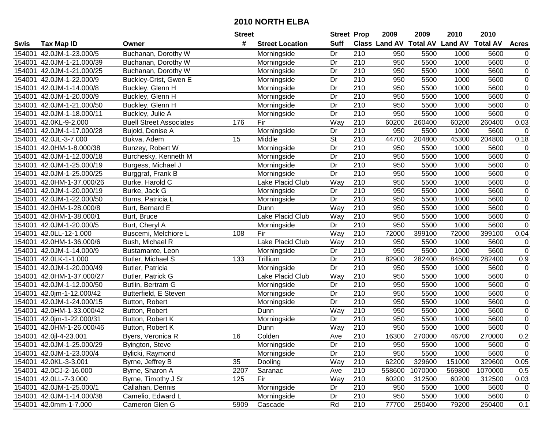|        |                           |                                | <b>Street</b> |                         | <b>Street Prop</b> |                  | 2009                          | 2009    | 2010                    | 2010    |                  |
|--------|---------------------------|--------------------------------|---------------|-------------------------|--------------------|------------------|-------------------------------|---------|-------------------------|---------|------------------|
| Swis   | <b>Tax Map ID</b>         | Owner                          | #             | <b>Street Location</b>  | <b>Suff</b>        |                  | <b>Class Land AV Total AV</b> |         | <b>Land AV Total AV</b> |         | <b>Acres</b>     |
| 154001 | 42.0JM-1-23.000/5         | Buchanan, Dorothy W            |               | Morningside             | Dr                 | 210              | 950                           | 5500    | 1000                    | 5600    | $\mathbf 0$      |
| 154001 | 42.0JM-1-21.000/39        | Buchanan, Dorothy W            |               | Morningside             | Dr                 | 210              | 950                           | 5500    | 1000                    | 5600    | $\mathbf 0$      |
| 154001 | 42.0JM-1-21.000/25        | Buchanan, Dorothy W            |               | Morningside             | Dr                 | 210              | 950                           | 5500    | 1000                    | 5600    | $\mathsf 0$      |
| 154001 | 42.0JM-1-22.000/9         | Buckley-Crist, Gwen E          |               | Morningside             | Dr                 | 210              | 950                           | 5500    | 1000                    | 5600    | $\overline{0}$   |
| 154001 | 42.0JM-1-14.000/8         | Buckley, Glenn H               |               | Morningside             | Dr                 | 210              | 950                           | 5500    | 1000                    | 5600    | $\overline{0}$   |
| 154001 | 42.0JM-1-20.000/9         | Buckley, Glenn H               |               | Morningside             | Dr                 | $\overline{210}$ | 950                           | 5500    | 1000                    | 5600    | $\overline{0}$   |
| 154001 | 42.0JM-1-21.000/50        | Buckley, Glenn H               |               | Morningside             | Dr                 | 210              | 950                           | 5500    | 1000                    | 5600    | $\mathbf 0$      |
| 154001 | 42.0JM-1-18.000/11        | Buckley, Julie A               |               | Morningside             | $\overline{Dr}$    | 210              | 950                           | 5500    | 1000                    | 5600    | $\overline{0}$   |
| 154001 | 42.0KL-9-2.000            | <b>Buell Street Associates</b> | 176           | Fir                     | Way                | $\overline{210}$ | 60200                         | 260400  | 60200                   | 260400  | 0.03             |
| 154001 | 42.0JM-1-17.000/28        | Bujold, Denise A               |               | Morningside             | Dr                 | 210              | 950                           | 5500    | 1000                    | 5600    | $\mathbf 0$      |
| 154001 | 42.0JL-3-7.000            | Bukva, Adem                    | 15            | Middle                  | St                 | 210              | 44700                         | 204800  | 45300                   | 204800  | 0.18             |
| 154001 | 42.0HM-1-8.000/38         | Bunzey, Robert W               |               | Morningside             | Dr                 | 210              | 950                           | 5500    | 1000                    | 5600    | 0                |
| 154001 | 42.0JM-1-12.000/18        | Burchesky, Kenneth M           |               | Morningside             | Dr                 | $\overline{210}$ | 950                           | 5500    | 1000                    | 5600    | $\mathbf 0$      |
| 154001 | 42.0JM-1-25.000/19        | Burgess, Michael J             |               | Morningside             | Dr                 | 210              | 950                           | 5500    | 1000                    | 5600    | $\mathbf 0$      |
| 154001 | 42.0JM-1-25.000/25        | Burggraf, Frank B              |               | Morningside             | Dr                 | 210              | 950                           | 5500    | 1000                    | 5600    | $\overline{0}$   |
| 154001 | 42.0HM-1-37.000/26        | Burke, Harold C                |               | Lake Placid Club        | Way                | 210              | 950                           | 5500    | 1000                    | 5600    | $\mathsf 0$      |
| 154001 | 42.0JM-1-20.000/19        | Burke, Jack G                  |               | Morningside             | Dr                 | $\overline{210}$ | 950                           | 5500    | 1000                    | 5600    | $\overline{0}$   |
| 154001 | 42.0JM-1-22.000/50        | Burns, Patricia L              |               | Morningside             | Dr                 | 210              | 950                           | 5500    | 1000                    | 5600    | $\overline{0}$   |
| 154001 | 42.0HM-1-28.000/8         | Burt, Bernard E                |               | Dunn                    | Way                | 210              | 950                           | 5500    | 1000                    | 5600    | $\overline{0}$   |
| 154001 | 42.0HM-1-38.000/1         | Burt, Bruce                    |               | Lake Placid Club        | Way                | 210              | 950                           | 5500    | 1000                    | 5600    | $\overline{0}$   |
| 154001 | 42.0JM-1-20.000/5         | Burt, Cheryl A                 |               | Morningside             | Dr                 | 210              | 950                           | 5500    | 1000                    | 5600    | $\overline{0}$   |
| 154001 | 42.0LL-12-1.000           | Buscemi, Melchiore L           | 108           | Fir                     | Way                | 210              | 72000                         | 399100  | 72000                   | 399100  | 0.04             |
| 154001 | 42.0HM-1-36.000/6         | Bush, Michael R                |               | <b>Lake Placid Club</b> | Way                | 210              | 950                           | 5500    | 1000                    | 5600    | $\mathbf 0$      |
| 154001 | 42.0JM-1-14.000/9         | Bustamante, Leon               |               | Morningside             | Dr                 | 210              | 950                           | 5500    | 1000                    | 5600    | $\mathbf 0$      |
| 154001 | 42.0LK-1-1.000            | Butler, Michael S              | 133           | Trillium                | Dr                 | $\overline{210}$ | 82900                         | 282400  | 84500                   | 282400  | 0.9              |
| 154001 | 42.0JM-1-20.000/49        | Butler, Patricia               |               | Morningside             | Dr                 | 210              | 950                           | 5500    | 1000                    | 5600    | $\mathsf 0$      |
| 154001 | 42.0HM-1-37.000/27        | Butler, Patrick G              |               | Lake Placid Club        | Way                | 210              | 950                           | 5500    | 1000                    | 5600    | $\boldsymbol{0}$ |
| 154001 | 42.0JM-1-12.000/50        | Butlin, Bertram G              |               | Morningside             | Dr                 | 210              | 950                           | 5500    | 1000                    | 5600    | $\mathsf 0$      |
| 154001 | 42.0jm-1-12.000/42        | Butterfield, E Steven          |               | Morningside             | Dr                 | 210              | 950                           | 5500    | 1000                    | 5600    | $\overline{0}$   |
| 154001 | 42.0JM-1-24.000/15        | Button, Robert                 |               | Morningside             | Dr                 | 210              | 950                           | 5500    | 1000                    | 5600    | $\overline{0}$   |
| 154001 | 42.0HM-1-33.000/42        | Button, Robert                 |               | Dunn                    | Way                | 210              | 950                           | 5500    | 1000                    | 5600    | $\overline{0}$   |
| 154001 | 42.0jm-1-22.000/31        | Button, Robert K               |               | Morningside             | Dr                 | 210              | 950                           | 5500    | 1000                    | 5600    | $\overline{0}$   |
| 154001 | 42.0HM-1-26.000/46        | Button, Robert K               |               | Dunn                    | Way                | $\overline{210}$ | 950                           | 5500    | 1000                    | 5600    | $\overline{0}$   |
|        | 154001 42.0jl-4-23.001    | Byers, Veronica R              | 16            | Colden                  | Ave                | $\overline{210}$ | 16300                         | 270000  | 46700                   | 270000  | 0.2              |
|        | 154001 42.0JM-1-25.000/29 | Byington, Steve                |               | Morningside             | Dr                 | 210              | 950                           | 5500    | 1000                    | 5600    | $\overline{0}$   |
|        | 154001 42.0JM-1-23.000/4  | Bylicki, Raymond               |               | Morningside             | Dr                 | 210              | 950                           | 5500    | 1000                    | 5600    | $\mathbf 0$      |
|        | 154001 42.0KL-3-3.001     | Byrne, Jeffrey B               | 35            | Dooling                 | Way                | 210              | 62200                         | 329600  | 151000                  | 329600  | 0.05             |
|        | 154001 42.0CJ-2-16.000    | Byrne, Sharon A                | 2207          | Saranac                 | Ave                | 210              | 558600                        | 1070000 | 569800                  | 1070000 | 0.5              |
|        | 154001 42.0LL-7-3.000     | Byrne, Timothy J Sr            | 125           | Fir                     | Way                | 210              | 60200                         | 312500  | 60200                   | 312500  | 0.03             |
|        | 154001 42.0JM-1-25.000/1  | Callahan, Dennis               |               | Morningside             | Dr                 | 210              | 950                           | 5500    | 1000                    | 5600    | 0                |
|        | 154001 42.0JM-1-14.000/38 | Camelio, Edward L              |               | Morningside             | Dr                 | 210              | 950                           | 5500    | 1000                    | 5600    | $\mathbf 0$      |
|        | 154001 42.0mm-1-7.000     | Cameron Glen G                 | 5909          | Cascade                 | Rd                 | 210              | 77700                         | 250400  | 79200                   | 250400  | 0.1              |
|        |                           |                                |               |                         |                    |                  |                               |         |                         |         |                  |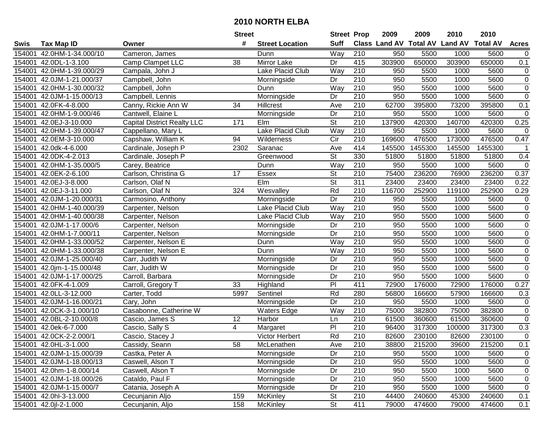|        |                           |                                    | <b>Street</b> |                        | <b>Street Prop</b>       |                  | 2009                          | 2009    | 2010           | 2010            |                |
|--------|---------------------------|------------------------------------|---------------|------------------------|--------------------------|------------------|-------------------------------|---------|----------------|-----------------|----------------|
| Swis   | <b>Tax Map ID</b>         | Owner                              | #             | <b>Street Location</b> | <b>Suff</b>              |                  | <b>Class Land AV Total AV</b> |         | <b>Land AV</b> | <b>Total AV</b> | <b>Acres</b>   |
| 154001 | 42.0HM-1-34.000/10        | Cameron, James                     |               | Dunn                   | Way                      | 210              | 950                           | 5500    | 1000           | 5600            | $\mathbf 0$    |
| 154001 | 42.0DL-1-3.100            | Camp Clampet LLC                   | 38            | Mirror Lake            | Dr                       | 415              | 303900                        | 650000  | 303900         | 650000          | 0.1            |
| 154001 | 42.0HM-1-39.000/29        | Campala, John J                    |               | Lake Placid Club       | Way                      | 210              | 950                           | 5500    | 1000           | 5600            | 0              |
| 154001 | 42.0JM-1-21.000/37        | Campbell, John                     |               | Morningside            | Dr                       | 210              | 950                           | 5500    | 1000           | 5600            | $\overline{0}$ |
| 154001 | 42.0HM-1-30.000/32        | Campbell, John                     |               | Dunn                   | Way                      | $\overline{210}$ | 950                           | 5500    | 1000           | 5600            | $\overline{0}$ |
| 154001 | 42.0JM-1-15.000/13        | Campbell, Lennis                   |               | Morningside            | Dr                       | $\overline{210}$ | 950                           | 5500    | 1000           | 5600            | $\overline{0}$ |
| 154001 | 42.0FK-4-8.000            | Canny, Rickie Ann W                | 34            | Hillcrest              | Ave                      | 210              | 62700                         | 395800  | 73200          | 395800          | 0.1            |
| 154001 | 42.0HM-1-9.000/46         | Cantwell, Elaine L                 |               | Morningside            | $\overline{Dr}$          | 210              | 950                           | 5500    | 1000           | 5600            | $\pmb{0}$      |
| 154001 | 42.0EJ-3-10.000           | <b>Capital District Realty LLC</b> | 171           | Elm                    | $\overline{\mathsf{St}}$ | $\overline{210}$ | 137900                        | 420300  | 140700         | 420300          | 0.25           |
| 154001 | 42.0HM-1-39.000/47        | Cappellano, Mary L                 |               | Lake Placid Club       | Way                      | 210              | 950                           | 5500    | 1000           | 5600            | $\mathbf 0$    |
| 154001 | 42.0EM-3-10.000           | Capshaw, William K                 | 94            | Wilderness             | Cir                      | 210              | 169600                        | 476500  | 173000         | 476500          | 0.47           |
| 154001 | 42.0dk-4-6.000            | Cardinale, Joseph P                | 2302          | Saranac                | Ave                      | 414              | 145500                        | 1455300 | 145500         | 1455300         |                |
| 154001 | 42.0DK-4-2.013            | Cardinale, Joseph P                |               | Greenwood              | $\overline{\mathsf{St}}$ | 330              | 51800                         | 51800   | 51800          | 51800           | 0.4            |
| 154001 | 42.0HM-1-35.000/5         | Carey, Beatrice                    |               | Dunn                   | Way                      | 210              | 950                           | 5500    | 1000           | 5600            | $\pmb{0}$      |
| 154001 | 42.0EK-2-6.100            | Carlson, Christina G               | 17            | <b>Essex</b>           | <b>St</b>                | 210              | 75400                         | 236200  | 76900          | 236200          | 0.37           |
| 154001 | 42.0EJ-3-8.000            | Carlson, Olaf N                    |               | Elm                    | <b>St</b>                | 311              | 23400                         | 23400   | 23400          | 23400           | 0.22           |
| 154001 | 42.0EJ-3-11.000           | Carlson, Olaf N                    | 324           | Wesvalley              | Rd                       | $\overline{210}$ | 116700                        | 252900  | 119100         | 252900          | 0.29           |
| 154001 | 42.0JM-1-20.000/31        | Carmosino, Anthony                 |               | Morningside            | Dr                       | 210              | 950                           | 5500    | 1000           | 5600            | $\pmb{0}$      |
| 154001 | 42.0HM-1-40.000/39        | Carpenter, Nelson                  |               | Lake Placid Club       | Way                      | 210              | 950                           | 5500    | 1000           | 5600            | $\pmb{0}$      |
| 154001 | 42.0HM-1-40.000/38        | Carpenter, Nelson                  |               | Lake Placid Club       | Way                      | 210              | 950                           | 5500    | 1000           | 5600            | $\pmb{0}$      |
| 154001 | 42.0JM-1-17.000/6         | Carpenter, Nelson                  |               | Morningside            | Dr                       | 210              | 950                           | 5500    | 1000           | 5600            | $\overline{0}$ |
| 154001 | 42.0HM-1-7.000/11         | Carpenter, Nelson                  |               | Morningside            | Dr                       | 210              | 950                           | 5500    | 1000           | 5600            | $\pmb{0}$      |
| 154001 | 42.0HM-1-33.000/52        | Carpenter, Nelson E                |               | Dunn                   | Way                      | 210              | 950                           | 5500    | 1000           | 5600            | $\overline{0}$ |
| 154001 | 42.0HM-1-33.000/38        | Carpenter, Nelson E                |               | Dunn                   | Way                      | 210              | 950                           | 5500    | 1000           | 5600            | $\pmb{0}$      |
| 154001 | 42.0JM-1-25.000/40        | Carr, Judith W                     |               | Morningside            | Dr                       | $\overline{210}$ | 950                           | 5500    | 1000           | 5600            | $\pmb{0}$      |
| 154001 | 42.0jm-1-15.000/48        | Carr, Judith W                     |               | Morningside            | Dr                       | 210              | 950                           | 5500    | 1000           | 5600            | $\pmb{0}$      |
| 154001 | 42.0JM-1-17.000/25        | Carroll, Barbara                   |               | Morningside            | Dr                       | 210              | 950                           | 5500    | 1000           | 5600            | $\pmb{0}$      |
| 154001 | 42.0FK-4-1.009            | Carroll, Gregory T                 | 33            | Highland               | PI                       | 411              | 72900                         | 176000  | 72900          | 176000          | 0.27           |
| 154001 | 42.0LL-3-12.000           | Carter, Todd                       | 5997          | Sentinel               | Rd                       | 280              | 56800                         | 166600  | 57900          | 166600          | 0.3            |
| 154001 | 42.0JM-1-16.000/21        | Cary, John                         |               | Morningside            | Dr                       | $\overline{210}$ | 950                           | 5500    | 1000           | 5600            | $\pmb{0}$      |
| 154001 | 42.0CK-3-1.000/10         | Casabonne, Catherine W             |               | <b>Waters Edge</b>     | Way                      | $\overline{210}$ | 75000                         | 382800  | 75000          | 382800          | $\overline{0}$ |
| 154001 | 42.0BL-2-10.000/8         | Cascio, James S                    | 12            | Harbor                 | Ln                       | 210              | 61500                         | 360600  | 61500          | 360600          | $\mathbf 0$    |
| 154001 | 42.0ek-6-7.000            | Cascio, Sally S                    | 4             | Margaret               | $\overline{P}$           | 210              | 96400                         | 317300  | 100000         | 317300          | 0.3            |
|        | 154001 42.0CK-2-2.000/1   | Cascio, Stacey J                   |               | Victor Herbert         | Rd                       | $\overline{210}$ | 82600                         | 230100  | 82600          | 230100          | $\mathbf 0$    |
|        | 154001 42.0HL-3-1.000     | Cassidy, Seann                     | 58            | McLenathen             | Ave                      | 210              | 38800                         | 215200  | 39600          | 215200          | 0.1            |
|        | 154001 42.0JM-1-15.000/39 | Castka, Peter A                    |               | Morningside            | Dr                       | 210              | 950                           | 5500    | 1000           | 5600            | 0              |
|        | 154001 42.0JM-1-18.000/13 | Caswell, Alson T                   |               | Morningside            | Dr                       | 210              | 950                           | 5500    | 1000           | 5600            | 0              |
|        | 154001 42.0hm-1-8.000/14  | Caswell, Alson T                   |               | Morningside            | Dr                       | 210              | 950                           | 5500    | 1000           | 5600            | 0              |
|        | 154001 42.0JM-1-18.000/26 | Cataldo, Paul F                    |               | Morningside            | Dr                       | 210              | 950                           | 5500    | 1000           | 5600            | 0              |
|        | 154001 42.0JM-1-15.000/7  | Catania, Joseph A                  |               | Morningside            | Dr                       | 210              | 950                           | 5500    | 1000           | 5600            | $\pmb{0}$      |
|        | 154001 42.0hl-3-13.000    | Cecunjanin Aljo                    | 159           | <b>McKinley</b>        | <b>St</b>                | 210              | 44400                         | 240600  | 45300          | 240600          | 0.1            |
|        | 154001 42.0jl-2-1.000     | Cecunjanin, Aljo                   | 158           | McKinley               | St                       | 411              | 79000                         | 474600  | 79000          | 474600          | 0.1            |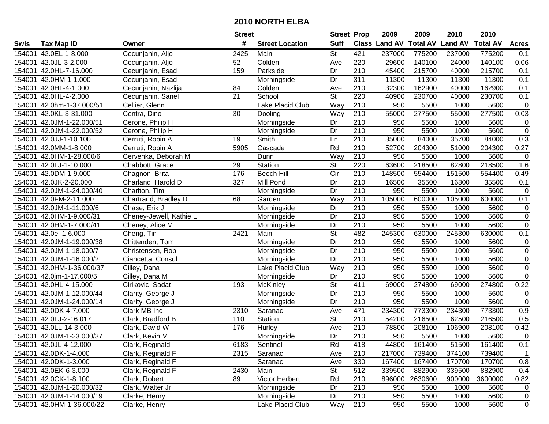|        |                           |                         | <b>Street</b>   |                        | <b>Street Prop</b>       |                  | 2009                          | 2009    | 2010           | 2010            |                |
|--------|---------------------------|-------------------------|-----------------|------------------------|--------------------------|------------------|-------------------------------|---------|----------------|-----------------|----------------|
| Swis   | <b>Tax Map ID</b>         | Owner                   | #               | <b>Street Location</b> | <b>Suff</b>              |                  | <b>Class Land AV Total AV</b> |         | <b>Land AV</b> | <b>Total AV</b> | <b>Acres</b>   |
| 154001 | 42.0EL-1-8.000            | Cecunjanin, Aljo        | 2425            | Main                   | St                       | 421              | 237000                        | 775200  | 237000         | 775200          | 0.1            |
| 154001 | 42.0JL-3-2.000            | Cecunjanin, Aljo        | 52              | Colden                 | Ave                      | 220              | 29600                         | 140100  | 24000          | 140100          | 0.06           |
| 154001 | 42.0HL-7-16.000           | Cecunjanin, Esad        | 159             | Parkside               | Dr                       | 210              | 45400                         | 215700  | 40000          | 215700          | 0.1            |
| 154001 | 42.0HM-1-1.000            | Cecunjanin, Esad        |                 | Morningside            | Dr                       | 311              | 11300                         | 11300   | 11300          | 11300           | 0.1            |
| 154001 | 42.0HL-4-1.000            | Cecunjanin, Nazlija     | 84              | Colden                 | Ave                      | $\overline{210}$ | 32300                         | 162900  | 40000          | 162900          | 0.1            |
| 154001 | 42.0HL-4-2.000            | Cecunjanin, Sanel       | 21              | School                 | $\overline{\mathsf{St}}$ | 220              | 40900                         | 230700  | 40000          | 230700          | 0.1            |
| 154001 | 42.0hm-1-37.000/51        | Cellier, Glenn          |                 | Lake Placid Club       | Way                      | $\overline{210}$ | 950                           | 5500    | 1000           | 5600            | $\mathbf 0$    |
| 154001 | 42.0KL-3-31.000           | Centra, Dino            | $\overline{30}$ | Dooling                | Way                      | 210              | 55000                         | 277500  | 55000          | 277500          | 0.03           |
| 154001 | 42.0JM-1-22.000/51        | Cerone, Philip H        |                 | Morningside            | Dr                       | $\overline{210}$ | 950                           | 5500    | 1000           | 5600            | $\pmb{0}$      |
| 154001 | 42.0JM-1-22.000/52        | Cerone, Philip H        |                 | Morningside            | Dr                       | 210              | 950                           | 5500    | 1000           | 5600            | $\mathbf 0$    |
| 154001 | 42.0JJ-1-10.100           | Cerruti, Robin A        | 19              | Smith                  | Ln                       | 210              | 35000                         | 84000   | 35700          | 84000           | 0.3            |
| 154001 | 42.0MM-1-8.000            | Cerruti, Robin A        | 5905            | Cascade                | Rd                       | 210              | 52700                         | 204300  | 51000          | 204300          | 0.27           |
| 154001 | 42.0HM-1-28.000/6         | Cervenka, Deborah M     |                 | Dunn                   | Way                      | 210              | 950                           | 5500    | 1000           | 5600            | $\mathbf 0$    |
| 154001 | 42.0LJ-1-10.000           | Chabbott, Grace         | 29              | Station                | <b>St</b>                | 220              | 63600                         | 218500  | 82800          | 218500          | 1.6            |
| 154001 | 42.0DM-1-9.000            | Chagnon, Brita          | 176             | <b>Beech Hill</b>      | $\overline{C}$ ir        | 210              | 148500                        | 554400  | 151500         | 554400          | 0.49           |
| 154001 | 42.0JK-2-20.000           | Charland, Harold D      | 327             | Mill Pond              | Dr                       | 210              | 16500                         | 35500   | 16800          | 35500           | 0.1            |
| 154001 | 42.0JM-1-24.000/40        | Charlton, Tim           |                 | Morningside            | Dr                       | $\overline{210}$ | 950                           | 5500    | 1000           | 5600            | $\mathbf 0$    |
| 154001 | 42.0FM-2-11.000           | Chartrand, Bradley D    | 68              | Garden                 | Way                      | 210              | 105000                        | 600000  | 105000         | 600000          | 0.1            |
| 154001 | 42.0JM-1-11.000/6         | Chase, Erik J           |                 | Morningside            | Dr                       | 210              | 950                           | 5500    | 1000           | 5600            | 0              |
| 154001 | 42.0HM-1-9.000/31         | Cheney-Jewell, Kathie L |                 | Morningside            | Dr                       | 210              | 950                           | 5500    | 1000           | 5600            | $\mathsf 0$    |
| 154001 | 42.0HM-1-7.000/41         | Cheney, Alice M         |                 | Morningside            | Dr                       | 210              | 950                           | 5500    | 1000           | 5600            | $\overline{0}$ |
| 154001 | 42.0el-1-6.000            | Cheng, Tin              | 2421            | Main                   | <b>St</b>                | 482              | 245300                        | 630000  | 245300         | 630000          | 0.1            |
| 154001 | 42.0JM-1-19.000/38        | Chittenden, Tom         |                 | Morningside            | Dr                       | 210              | 950                           | 5500    | 1000           | 5600            | $\mathbf 0$    |
| 154001 | 42.0JM-1-18.000/7         | Christensen, Rob        |                 | Morningside            | Dr                       | 210              | 950                           | 5500    | 1000           | 5600            | $\mathbf 0$    |
| 154001 | 42.0JM-1-16.000/2         | Ciancetta, Consul       |                 | Morningside            | $\overline{Dr}$          | $\overline{210}$ | 950                           | 5500    | 1000           | 5600            | $\mathsf 0$    |
| 154001 | 42.0HM-1-36.000/37        | Cilley, Dana            |                 | Lake Placid Club       | Way                      | 210              | 950                           | 5500    | 1000           | 5600            | $\mathsf 0$    |
| 154001 | 42.0jm-1-17.000/5         | Cilley, Dana M          |                 | Morningside            | Dr                       | 210              | 950                           | 5500    | 1000           | 5600            | $\pmb{0}$      |
| 154001 | 42.0HL-4-15.000           | Cirikovic, Sadat        | 193             | McKinley               | $\overline{\mathsf{St}}$ | 411              | 69000                         | 274800  | 69000          | 274800          | 0.22           |
| 154001 | 42.0JM-1-12.000/44        | Clarity, George J       |                 | Morningside            | $\overline{Dr}$          | $\overline{210}$ | 950                           | 5500    | 1000           | 5600            | $\mathbf 0$    |
| 154001 | 42.0JM-1-24.000/14        | Clarity, George J       |                 | Morningside            | $\overline{Dr}$          | $\overline{210}$ | 950                           | 5500    | 1000           | 5600            | $\overline{0}$ |
| 154001 | 42.0DK-4-7.000            | Clark MB Inc            | 2310            | Saranac                | Ave                      | 471              | 234300                        | 773300  | 234300         | 773300          | 0.9            |
| 154001 | 42.0LJ-2-16.017           | Clark, Bradford B       | 110             | Station                | $\overline{\mathsf{St}}$ | $\overline{210}$ | 54200                         | 216500  | 62500          | 216500          | 0.5            |
| 154001 | 42.0LL-14-3.000           | Clark, David W          | 176             | <b>Hurley</b>          | Ave                      | 210              | 78800                         | 208100  | 106900         | 208100          | 0.42           |
|        | 154001 42.0JM-1-23.000/37 | Clark, Kevin M          |                 | Morningside            | $\overline{Dr}$          | $\overline{210}$ | 950                           | 5500    | 1000           | 5600            | $\overline{0}$ |
|        | 154001 42.0JL-4-12.000    | Clark, Reginald         | 6183            | Sentinel               | Rd                       | 418              | 44800                         | 161400  | 51500          | 161400          | 0.1            |
|        | 154001 42.0DK-1-4.000     | Clark, Reginald F       | 2315            | Saranac                | Ave                      | 210              | 217000                        | 739400  | 374100         | 739400          | $\mathbf 1$    |
|        | 154001 42.0DK-1-3.000     | Clark, Reginald F       |                 | Saranac                | Ave                      | 330              | 167400                        | 167400  | 170700         | 170700          | 0.8            |
|        | 154001 42.0EK-6-3.000     | Clark, Reginald F       | 2430            | Main                   | St                       | 512              | 339500                        | 882900  | 339500         | 882900          | 0.4            |
|        | 154001 42.0CK-1-8.100     | Clark, Robert           | 89              | Victor Herbert         | Rd                       | 210              | 896000                        | 2630600 | 900000         | 3600000         | 0.82           |
|        | 154001 42.0JM-1-20.000/32 | Clark, Walter Jr        |                 | Morningside            | Dr                       | 210              | 950                           | 5500    | 1000           | 5600            | $\mathbf 0$    |
|        | 154001 42.0JM-1-14.000/19 | Clarke, Henry           |                 | Morningside            | Dr                       | 210              | 950                           | 5500    | 1000           | 5600            | $\mathbf 0$    |
|        | 154001 42.0HM-1-36.000/22 | Clarke, Henry           |                 | Lake Placid Club       | Way                      | 210              | 950                           | 5500    | 1000           | 5600            | $\mathbf 0$    |
|        |                           |                         |                 |                        |                          |                  |                               |         |                |                 |                |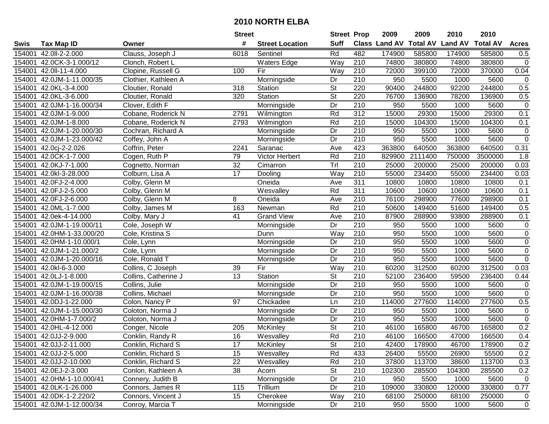| #<br><b>Suff</b><br><b>Total AV</b><br><b>Land AV</b><br><b>Class Land AV</b><br><b>Total AV</b><br><b>Acres</b><br><b>Tax Map ID</b><br><b>Street Location</b><br>Swis<br>Owner<br>Rd<br>482<br>42.0II-2-2.000<br>Clauss, Joseph J<br>6018<br>174900<br>585800<br>174900<br>585800<br>0.5<br>154001<br>Sentinel<br>Way<br>210<br>$\mathsf 0$<br>154001<br>42.0CK-3-1.000/12<br><b>Waters Edge</b><br>74800<br>380800<br>74800<br>380800<br>Clonch, Robert L<br>154001<br>Clopine, Russell G<br>Fir<br>210<br>72000<br>399100<br>72000<br>370000<br>0.04<br>42.0II-11-4.000<br>100<br>Way<br>42.0JM-1-11.000/35<br>Morningside<br>210<br>950<br>5600<br>$\mathbf 0$<br>154001<br>Clothier, Kathleen A<br>Dr<br>5500<br>1000<br>0.5<br>154001<br>42.0KL-3-4.000<br>318<br>Station<br><b>St</b><br>220<br>90400<br>244800<br>92200<br>244800<br>Cloutier, Ronald<br>$\overline{\mathsf{St}}$<br>220<br>76700<br>0.5<br>154001<br>42.0KL-3-6.000<br>320<br>Station<br>136900<br>78200<br>136900<br>Cloutier, Ronald<br>42.0JM-1-16.000/34<br>Dr<br>210<br>950<br>5500<br>5600<br>$\mathbf 0$<br>154001<br>Clover, Edith F<br>Morningside<br>1000<br>15000<br>2791<br>Rd<br>$\overline{312}$<br>29300<br>29300<br>0.1<br>154001<br>42.0JM-1-9.000<br>Cobane, Roderick N<br>15000<br>Wilmington<br>Rd<br>$\overline{210}$<br>15000<br>154001<br>42.0JM-1-8.000<br>2793<br>Wilmington<br>104300<br>15000<br>104300<br>0.1<br>Cobane, Roderick N<br>Dr<br>210<br>950<br>154001<br>42.0JM-1-20.000/30<br>Cochran, Richard A<br>5500<br>5600<br>$\pmb{0}$<br>Morningside<br>1000<br>210<br>950<br>5500<br>5600<br>$\mathbf 0$<br>154001<br>42.0JM-1-23.000/42<br>Coffey, John A<br>Dr<br>1000<br>Morningside<br>423<br>363800<br>640500<br>0.31<br>154001<br>42.0cj-2-2.026<br>Coffrin, Peter<br>363800<br>640500<br>2241<br>Saranac<br>Ave<br>210<br>Cogen, Ruth P<br>Victor Herbert<br>Rd<br>829900<br>2111400<br>1.8<br>154001<br>42.0CK-1-7.000<br>79<br>750000<br>3500000<br>32<br>Trl<br>210<br>42.0KJ-7-1.000<br>25000<br>200000<br>25000<br>200000<br>0.03<br>154001<br>Cognetto, Norman<br>Cimarron<br>17<br>Way<br>210<br>234400<br>234400<br>154001<br>42.0kl-3-28.000<br>Colburn, Lisa A<br>55000<br>55000<br>0.03<br>Dooling<br>311<br>42.0FJ-2-4.000<br>10800<br>10800<br>10800<br>10800<br>154001<br>Colby, Glenn M<br>Oneida<br>Ave<br>0.1<br>311<br>Rd<br>10600<br>0.1<br>154001<br>42.0FJ-2-5.000<br>Colby, Glenn M<br>10600<br>10600<br>10600<br>Wesvalley<br>210<br>0.1<br>154001<br>42.0FJ-2-6.000<br>8<br>Oneida<br>76100<br>298900<br>77600<br>Colby, Glenn M<br>Ave<br>298900<br>163<br>Rd<br>210<br>50600<br>0.5<br>154001<br>42.0ML-1-7.000<br>Colby, James M<br>149400<br>51600<br>149400<br>Newman<br>154001<br>41<br><b>Grand View</b><br>210<br>87900<br>288900<br>93800<br>288900<br>0.1<br>42.0ek-4-14.000<br>Colby, Mary J<br>Ave<br>210<br>$\mathsf 0$<br>42.0JM-1-19.000/11<br>Dr<br>950<br>5600<br>154001<br>5500<br>1000<br>Cole, Joseph W<br>Morningside<br>210<br>$\mathsf 0$<br>42.0HM-1-33.000/20<br>Way<br>950<br>5500<br>1000<br>5600<br>154001<br>Cole, Kristina S<br>Dunn<br>$\overline{0}$<br>210<br>950<br>154001<br>42.0HM-1-10.000/1<br>Morningside<br>Dr<br>5500<br>1000<br>5600<br>Cole, Lynn<br>210<br>154001<br>42.0JM-1-21.000/2<br>Dr<br>950<br>5500<br>1000<br>5600<br>$\mathbf 0$<br>Cole, Lynn<br>Morningside<br>$\overline{210}$<br>$\mathbf 0$<br>Dr<br>950<br>5500<br>1000<br>5600<br>154001<br>42.0JM-1-20.000/16<br>Cole, Ronald T<br>Morningside<br>42.0kl-6-3.000<br>Fir<br>Way<br>210<br>60200<br>312500<br>312500<br>154001<br>Collins, C Joseph<br>39<br>60200<br>0.03<br>$\overline{\mathsf{St}}$<br>13<br>Station<br>210<br>52100<br>236400<br>236400<br>154001<br>42.0LJ-1-8.000<br>59500<br>0.44<br>Collins, Catherine J<br>Dr<br>210<br>154001<br>42.0JM-1-19.000/15<br>950<br>5500<br>1000<br>5600<br>Collins, Julie<br>0<br>Morningside<br>$\overline{210}$<br>$\mathbf 0$<br>42.0JM-1-16.000/38<br>Dr<br>950<br>5500<br>1000<br>5600<br>154001<br>Collins, Michael<br>Morningside<br>$\overline{210}$<br>114000<br>277600<br>277600<br>0.5<br>154001<br>42.0DJ-1-22.000<br>Colon, Nancy P<br>97<br>114000<br>Chickadee<br>Ln<br>210<br>$\overline{Dr}$<br>950<br>5500<br>$\mathbf 0$<br>154001<br>42.0JM-1-15.000/30<br>1000<br>5600<br>Coloton, Norma J<br>Morningside<br>5500<br>$\mathbf 0$<br>Dr<br>210<br>950<br>5600<br>154001<br>42.0HM-1-7.000/2<br>Coloton, Norma J<br>1000<br>Morningside<br>$\overline{\mathsf{St}}$<br>210<br>0.2<br>46100<br>165800<br>165800<br>154001<br>42.0HL-4-12.000<br>205<br>46700<br>Conger, Nicole<br>McKinley<br>Rd<br>16<br>$\overline{210}$<br>0.4<br>154001 42.0JJ-2-9.000<br>Wesvalley<br>46100<br>166500<br>47000<br>166500<br>Conklin, Randy R<br>154001 42.0JJ-2-11.000<br>Conklin, Richard S<br>17<br><b>McKinley</b><br>St<br>210<br>42400<br>178900<br>46700<br>178900<br>0.2<br>15<br>Rd<br>433<br>0.2<br>154001 42.0JJ-2-5.000<br>Conklin, Richard S<br>Wesvalley<br>26400<br>55500<br>26900<br>55500<br>22<br>Wesvalley<br>Rd<br>210<br>37800<br>113700<br>113700<br>154001 42.0JJ-2-10.000<br>Conklin, Richard S<br>38600<br>0.3<br><b>St</b><br>0.2<br>154001 42.0EJ-2-3.000<br>38<br>210<br>102300<br>285500<br>104300<br>285500<br>Conlon, Kathleen A<br>Acorn<br>154001 42.0HM-1-10.000/41<br>Connery, Judith B<br>Morningside<br>210<br>Dr<br>950<br>5500<br>1000<br>5600<br>$\mathbf 0$<br>154001 42.0LK-1-26.000<br>Connors, James R<br>115<br>Trillium<br>210<br>109000<br>330800<br>330800<br>Dr<br>120000<br>0.77<br>15<br>210<br>250000<br>154001 42.0DK-1-2.220/2<br>Connors, Vincent J<br>Cherokee<br>Way<br>68100<br>68100<br>250000<br>0<br>210<br>154001 42.0JM-1-12.000/34<br>Conroy, Marcia T<br>950<br>5500<br>5600<br>$\mathbf 0$<br>Morningside<br>Dr<br>1000 |  | <b>Street</b> | <b>Street Prop</b> | 2009 | 2009 | 2010 | 2010 |  |
|-------------------------------------------------------------------------------------------------------------------------------------------------------------------------------------------------------------------------------------------------------------------------------------------------------------------------------------------------------------------------------------------------------------------------------------------------------------------------------------------------------------------------------------------------------------------------------------------------------------------------------------------------------------------------------------------------------------------------------------------------------------------------------------------------------------------------------------------------------------------------------------------------------------------------------------------------------------------------------------------------------------------------------------------------------------------------------------------------------------------------------------------------------------------------------------------------------------------------------------------------------------------------------------------------------------------------------------------------------------------------------------------------------------------------------------------------------------------------------------------------------------------------------------------------------------------------------------------------------------------------------------------------------------------------------------------------------------------------------------------------------------------------------------------------------------------------------------------------------------------------------------------------------------------------------------------------------------------------------------------------------------------------------------------------------------------------------------------------------------------------------------------------------------------------------------------------------------------------------------------------------------------------------------------------------------------------------------------------------------------------------------------------------------------------------------------------------------------------------------------------------------------------------------------------------------------------------------------------------------------------------------------------------------------------------------------------------------------------------------------------------------------------------------------------------------------------------------------------------------------------------------------------------------------------------------------------------------------------------------------------------------------------------------------------------------------------------------------------------------------------------------------------------------------------------------------------------------------------------------------------------------------------------------------------------------------------------------------------------------------------------------------------------------------------------------------------------------------------------------------------------------------------------------------------------------------------------------------------------------------------------------------------------------------------------------------------------------------------------------------------------------------------------------------------------------------------------------------------------------------------------------------------------------------------------------------------------------------------------------------------------------------------------------------------------------------------------------------------------------------------------------------------------------------------------------------------------------------------------------------------------------------------------------------------------------------------------------------------------------------------------------------------------------------------------------------------------------------------------------------------------------------------------------------------------------------------------------------------------------------------------------------------------------------------------------------------------------------------------------------------------------------------------------------------------------------------------------------------------------------------------------------------------------------------------------------------------------------------------------------------------------------------------------------------------------------------------------------------------------------------------------------------------------------------------------------------------------------------------------------------------------------------------------------------------------------------------------------------------------------------------------------------------------------------------------------------------------------------------------------------------------------------------------------------------------------------------------------------------------------------------------------------------------------------------------------------------------------------------------------------------------------------------------------------------------|--|---------------|--------------------|------|------|------|------|--|
|                                                                                                                                                                                                                                                                                                                                                                                                                                                                                                                                                                                                                                                                                                                                                                                                                                                                                                                                                                                                                                                                                                                                                                                                                                                                                                                                                                                                                                                                                                                                                                                                                                                                                                                                                                                                                                                                                                                                                                                                                                                                                                                                                                                                                                                                                                                                                                                                                                                                                                                                                                                                                                                                                                                                                                                                                                                                                                                                                                                                                                                                                                                                                                                                                                                                                                                                                                                                                                                                                                                                                                                                                                                                                                                                                                                                                                                                                                                                                                                                                                                                                                                                                                                                                                                                                                                                                                                                                                                                                                                                                                                                                                                                                                                                                                                                                                                                                                                                                                                                                                                                                                                                                                                                                                                                                                                                                                                                                                                                                                                                                                                                                                                                                                                                                                                                             |  |               |                    |      |      |      |      |  |
|                                                                                                                                                                                                                                                                                                                                                                                                                                                                                                                                                                                                                                                                                                                                                                                                                                                                                                                                                                                                                                                                                                                                                                                                                                                                                                                                                                                                                                                                                                                                                                                                                                                                                                                                                                                                                                                                                                                                                                                                                                                                                                                                                                                                                                                                                                                                                                                                                                                                                                                                                                                                                                                                                                                                                                                                                                                                                                                                                                                                                                                                                                                                                                                                                                                                                                                                                                                                                                                                                                                                                                                                                                                                                                                                                                                                                                                                                                                                                                                                                                                                                                                                                                                                                                                                                                                                                                                                                                                                                                                                                                                                                                                                                                                                                                                                                                                                                                                                                                                                                                                                                                                                                                                                                                                                                                                                                                                                                                                                                                                                                                                                                                                                                                                                                                                                             |  |               |                    |      |      |      |      |  |
|                                                                                                                                                                                                                                                                                                                                                                                                                                                                                                                                                                                                                                                                                                                                                                                                                                                                                                                                                                                                                                                                                                                                                                                                                                                                                                                                                                                                                                                                                                                                                                                                                                                                                                                                                                                                                                                                                                                                                                                                                                                                                                                                                                                                                                                                                                                                                                                                                                                                                                                                                                                                                                                                                                                                                                                                                                                                                                                                                                                                                                                                                                                                                                                                                                                                                                                                                                                                                                                                                                                                                                                                                                                                                                                                                                                                                                                                                                                                                                                                                                                                                                                                                                                                                                                                                                                                                                                                                                                                                                                                                                                                                                                                                                                                                                                                                                                                                                                                                                                                                                                                                                                                                                                                                                                                                                                                                                                                                                                                                                                                                                                                                                                                                                                                                                                                             |  |               |                    |      |      |      |      |  |
|                                                                                                                                                                                                                                                                                                                                                                                                                                                                                                                                                                                                                                                                                                                                                                                                                                                                                                                                                                                                                                                                                                                                                                                                                                                                                                                                                                                                                                                                                                                                                                                                                                                                                                                                                                                                                                                                                                                                                                                                                                                                                                                                                                                                                                                                                                                                                                                                                                                                                                                                                                                                                                                                                                                                                                                                                                                                                                                                                                                                                                                                                                                                                                                                                                                                                                                                                                                                                                                                                                                                                                                                                                                                                                                                                                                                                                                                                                                                                                                                                                                                                                                                                                                                                                                                                                                                                                                                                                                                                                                                                                                                                                                                                                                                                                                                                                                                                                                                                                                                                                                                                                                                                                                                                                                                                                                                                                                                                                                                                                                                                                                                                                                                                                                                                                                                             |  |               |                    |      |      |      |      |  |
|                                                                                                                                                                                                                                                                                                                                                                                                                                                                                                                                                                                                                                                                                                                                                                                                                                                                                                                                                                                                                                                                                                                                                                                                                                                                                                                                                                                                                                                                                                                                                                                                                                                                                                                                                                                                                                                                                                                                                                                                                                                                                                                                                                                                                                                                                                                                                                                                                                                                                                                                                                                                                                                                                                                                                                                                                                                                                                                                                                                                                                                                                                                                                                                                                                                                                                                                                                                                                                                                                                                                                                                                                                                                                                                                                                                                                                                                                                                                                                                                                                                                                                                                                                                                                                                                                                                                                                                                                                                                                                                                                                                                                                                                                                                                                                                                                                                                                                                                                                                                                                                                                                                                                                                                                                                                                                                                                                                                                                                                                                                                                                                                                                                                                                                                                                                                             |  |               |                    |      |      |      |      |  |
|                                                                                                                                                                                                                                                                                                                                                                                                                                                                                                                                                                                                                                                                                                                                                                                                                                                                                                                                                                                                                                                                                                                                                                                                                                                                                                                                                                                                                                                                                                                                                                                                                                                                                                                                                                                                                                                                                                                                                                                                                                                                                                                                                                                                                                                                                                                                                                                                                                                                                                                                                                                                                                                                                                                                                                                                                                                                                                                                                                                                                                                                                                                                                                                                                                                                                                                                                                                                                                                                                                                                                                                                                                                                                                                                                                                                                                                                                                                                                                                                                                                                                                                                                                                                                                                                                                                                                                                                                                                                                                                                                                                                                                                                                                                                                                                                                                                                                                                                                                                                                                                                                                                                                                                                                                                                                                                                                                                                                                                                                                                                                                                                                                                                                                                                                                                                             |  |               |                    |      |      |      |      |  |
|                                                                                                                                                                                                                                                                                                                                                                                                                                                                                                                                                                                                                                                                                                                                                                                                                                                                                                                                                                                                                                                                                                                                                                                                                                                                                                                                                                                                                                                                                                                                                                                                                                                                                                                                                                                                                                                                                                                                                                                                                                                                                                                                                                                                                                                                                                                                                                                                                                                                                                                                                                                                                                                                                                                                                                                                                                                                                                                                                                                                                                                                                                                                                                                                                                                                                                                                                                                                                                                                                                                                                                                                                                                                                                                                                                                                                                                                                                                                                                                                                                                                                                                                                                                                                                                                                                                                                                                                                                                                                                                                                                                                                                                                                                                                                                                                                                                                                                                                                                                                                                                                                                                                                                                                                                                                                                                                                                                                                                                                                                                                                                                                                                                                                                                                                                                                             |  |               |                    |      |      |      |      |  |
|                                                                                                                                                                                                                                                                                                                                                                                                                                                                                                                                                                                                                                                                                                                                                                                                                                                                                                                                                                                                                                                                                                                                                                                                                                                                                                                                                                                                                                                                                                                                                                                                                                                                                                                                                                                                                                                                                                                                                                                                                                                                                                                                                                                                                                                                                                                                                                                                                                                                                                                                                                                                                                                                                                                                                                                                                                                                                                                                                                                                                                                                                                                                                                                                                                                                                                                                                                                                                                                                                                                                                                                                                                                                                                                                                                                                                                                                                                                                                                                                                                                                                                                                                                                                                                                                                                                                                                                                                                                                                                                                                                                                                                                                                                                                                                                                                                                                                                                                                                                                                                                                                                                                                                                                                                                                                                                                                                                                                                                                                                                                                                                                                                                                                                                                                                                                             |  |               |                    |      |      |      |      |  |
|                                                                                                                                                                                                                                                                                                                                                                                                                                                                                                                                                                                                                                                                                                                                                                                                                                                                                                                                                                                                                                                                                                                                                                                                                                                                                                                                                                                                                                                                                                                                                                                                                                                                                                                                                                                                                                                                                                                                                                                                                                                                                                                                                                                                                                                                                                                                                                                                                                                                                                                                                                                                                                                                                                                                                                                                                                                                                                                                                                                                                                                                                                                                                                                                                                                                                                                                                                                                                                                                                                                                                                                                                                                                                                                                                                                                                                                                                                                                                                                                                                                                                                                                                                                                                                                                                                                                                                                                                                                                                                                                                                                                                                                                                                                                                                                                                                                                                                                                                                                                                                                                                                                                                                                                                                                                                                                                                                                                                                                                                                                                                                                                                                                                                                                                                                                                             |  |               |                    |      |      |      |      |  |
|                                                                                                                                                                                                                                                                                                                                                                                                                                                                                                                                                                                                                                                                                                                                                                                                                                                                                                                                                                                                                                                                                                                                                                                                                                                                                                                                                                                                                                                                                                                                                                                                                                                                                                                                                                                                                                                                                                                                                                                                                                                                                                                                                                                                                                                                                                                                                                                                                                                                                                                                                                                                                                                                                                                                                                                                                                                                                                                                                                                                                                                                                                                                                                                                                                                                                                                                                                                                                                                                                                                                                                                                                                                                                                                                                                                                                                                                                                                                                                                                                                                                                                                                                                                                                                                                                                                                                                                                                                                                                                                                                                                                                                                                                                                                                                                                                                                                                                                                                                                                                                                                                                                                                                                                                                                                                                                                                                                                                                                                                                                                                                                                                                                                                                                                                                                                             |  |               |                    |      |      |      |      |  |
|                                                                                                                                                                                                                                                                                                                                                                                                                                                                                                                                                                                                                                                                                                                                                                                                                                                                                                                                                                                                                                                                                                                                                                                                                                                                                                                                                                                                                                                                                                                                                                                                                                                                                                                                                                                                                                                                                                                                                                                                                                                                                                                                                                                                                                                                                                                                                                                                                                                                                                                                                                                                                                                                                                                                                                                                                                                                                                                                                                                                                                                                                                                                                                                                                                                                                                                                                                                                                                                                                                                                                                                                                                                                                                                                                                                                                                                                                                                                                                                                                                                                                                                                                                                                                                                                                                                                                                                                                                                                                                                                                                                                                                                                                                                                                                                                                                                                                                                                                                                                                                                                                                                                                                                                                                                                                                                                                                                                                                                                                                                                                                                                                                                                                                                                                                                                             |  |               |                    |      |      |      |      |  |
|                                                                                                                                                                                                                                                                                                                                                                                                                                                                                                                                                                                                                                                                                                                                                                                                                                                                                                                                                                                                                                                                                                                                                                                                                                                                                                                                                                                                                                                                                                                                                                                                                                                                                                                                                                                                                                                                                                                                                                                                                                                                                                                                                                                                                                                                                                                                                                                                                                                                                                                                                                                                                                                                                                                                                                                                                                                                                                                                                                                                                                                                                                                                                                                                                                                                                                                                                                                                                                                                                                                                                                                                                                                                                                                                                                                                                                                                                                                                                                                                                                                                                                                                                                                                                                                                                                                                                                                                                                                                                                                                                                                                                                                                                                                                                                                                                                                                                                                                                                                                                                                                                                                                                                                                                                                                                                                                                                                                                                                                                                                                                                                                                                                                                                                                                                                                             |  |               |                    |      |      |      |      |  |
|                                                                                                                                                                                                                                                                                                                                                                                                                                                                                                                                                                                                                                                                                                                                                                                                                                                                                                                                                                                                                                                                                                                                                                                                                                                                                                                                                                                                                                                                                                                                                                                                                                                                                                                                                                                                                                                                                                                                                                                                                                                                                                                                                                                                                                                                                                                                                                                                                                                                                                                                                                                                                                                                                                                                                                                                                                                                                                                                                                                                                                                                                                                                                                                                                                                                                                                                                                                                                                                                                                                                                                                                                                                                                                                                                                                                                                                                                                                                                                                                                                                                                                                                                                                                                                                                                                                                                                                                                                                                                                                                                                                                                                                                                                                                                                                                                                                                                                                                                                                                                                                                                                                                                                                                                                                                                                                                                                                                                                                                                                                                                                                                                                                                                                                                                                                                             |  |               |                    |      |      |      |      |  |
|                                                                                                                                                                                                                                                                                                                                                                                                                                                                                                                                                                                                                                                                                                                                                                                                                                                                                                                                                                                                                                                                                                                                                                                                                                                                                                                                                                                                                                                                                                                                                                                                                                                                                                                                                                                                                                                                                                                                                                                                                                                                                                                                                                                                                                                                                                                                                                                                                                                                                                                                                                                                                                                                                                                                                                                                                                                                                                                                                                                                                                                                                                                                                                                                                                                                                                                                                                                                                                                                                                                                                                                                                                                                                                                                                                                                                                                                                                                                                                                                                                                                                                                                                                                                                                                                                                                                                                                                                                                                                                                                                                                                                                                                                                                                                                                                                                                                                                                                                                                                                                                                                                                                                                                                                                                                                                                                                                                                                                                                                                                                                                                                                                                                                                                                                                                                             |  |               |                    |      |      |      |      |  |
|                                                                                                                                                                                                                                                                                                                                                                                                                                                                                                                                                                                                                                                                                                                                                                                                                                                                                                                                                                                                                                                                                                                                                                                                                                                                                                                                                                                                                                                                                                                                                                                                                                                                                                                                                                                                                                                                                                                                                                                                                                                                                                                                                                                                                                                                                                                                                                                                                                                                                                                                                                                                                                                                                                                                                                                                                                                                                                                                                                                                                                                                                                                                                                                                                                                                                                                                                                                                                                                                                                                                                                                                                                                                                                                                                                                                                                                                                                                                                                                                                                                                                                                                                                                                                                                                                                                                                                                                                                                                                                                                                                                                                                                                                                                                                                                                                                                                                                                                                                                                                                                                                                                                                                                                                                                                                                                                                                                                                                                                                                                                                                                                                                                                                                                                                                                                             |  |               |                    |      |      |      |      |  |
|                                                                                                                                                                                                                                                                                                                                                                                                                                                                                                                                                                                                                                                                                                                                                                                                                                                                                                                                                                                                                                                                                                                                                                                                                                                                                                                                                                                                                                                                                                                                                                                                                                                                                                                                                                                                                                                                                                                                                                                                                                                                                                                                                                                                                                                                                                                                                                                                                                                                                                                                                                                                                                                                                                                                                                                                                                                                                                                                                                                                                                                                                                                                                                                                                                                                                                                                                                                                                                                                                                                                                                                                                                                                                                                                                                                                                                                                                                                                                                                                                                                                                                                                                                                                                                                                                                                                                                                                                                                                                                                                                                                                                                                                                                                                                                                                                                                                                                                                                                                                                                                                                                                                                                                                                                                                                                                                                                                                                                                                                                                                                                                                                                                                                                                                                                                                             |  |               |                    |      |      |      |      |  |
|                                                                                                                                                                                                                                                                                                                                                                                                                                                                                                                                                                                                                                                                                                                                                                                                                                                                                                                                                                                                                                                                                                                                                                                                                                                                                                                                                                                                                                                                                                                                                                                                                                                                                                                                                                                                                                                                                                                                                                                                                                                                                                                                                                                                                                                                                                                                                                                                                                                                                                                                                                                                                                                                                                                                                                                                                                                                                                                                                                                                                                                                                                                                                                                                                                                                                                                                                                                                                                                                                                                                                                                                                                                                                                                                                                                                                                                                                                                                                                                                                                                                                                                                                                                                                                                                                                                                                                                                                                                                                                                                                                                                                                                                                                                                                                                                                                                                                                                                                                                                                                                                                                                                                                                                                                                                                                                                                                                                                                                                                                                                                                                                                                                                                                                                                                                                             |  |               |                    |      |      |      |      |  |
|                                                                                                                                                                                                                                                                                                                                                                                                                                                                                                                                                                                                                                                                                                                                                                                                                                                                                                                                                                                                                                                                                                                                                                                                                                                                                                                                                                                                                                                                                                                                                                                                                                                                                                                                                                                                                                                                                                                                                                                                                                                                                                                                                                                                                                                                                                                                                                                                                                                                                                                                                                                                                                                                                                                                                                                                                                                                                                                                                                                                                                                                                                                                                                                                                                                                                                                                                                                                                                                                                                                                                                                                                                                                                                                                                                                                                                                                                                                                                                                                                                                                                                                                                                                                                                                                                                                                                                                                                                                                                                                                                                                                                                                                                                                                                                                                                                                                                                                                                                                                                                                                                                                                                                                                                                                                                                                                                                                                                                                                                                                                                                                                                                                                                                                                                                                                             |  |               |                    |      |      |      |      |  |
|                                                                                                                                                                                                                                                                                                                                                                                                                                                                                                                                                                                                                                                                                                                                                                                                                                                                                                                                                                                                                                                                                                                                                                                                                                                                                                                                                                                                                                                                                                                                                                                                                                                                                                                                                                                                                                                                                                                                                                                                                                                                                                                                                                                                                                                                                                                                                                                                                                                                                                                                                                                                                                                                                                                                                                                                                                                                                                                                                                                                                                                                                                                                                                                                                                                                                                                                                                                                                                                                                                                                                                                                                                                                                                                                                                                                                                                                                                                                                                                                                                                                                                                                                                                                                                                                                                                                                                                                                                                                                                                                                                                                                                                                                                                                                                                                                                                                                                                                                                                                                                                                                                                                                                                                                                                                                                                                                                                                                                                                                                                                                                                                                                                                                                                                                                                                             |  |               |                    |      |      |      |      |  |
|                                                                                                                                                                                                                                                                                                                                                                                                                                                                                                                                                                                                                                                                                                                                                                                                                                                                                                                                                                                                                                                                                                                                                                                                                                                                                                                                                                                                                                                                                                                                                                                                                                                                                                                                                                                                                                                                                                                                                                                                                                                                                                                                                                                                                                                                                                                                                                                                                                                                                                                                                                                                                                                                                                                                                                                                                                                                                                                                                                                                                                                                                                                                                                                                                                                                                                                                                                                                                                                                                                                                                                                                                                                                                                                                                                                                                                                                                                                                                                                                                                                                                                                                                                                                                                                                                                                                                                                                                                                                                                                                                                                                                                                                                                                                                                                                                                                                                                                                                                                                                                                                                                                                                                                                                                                                                                                                                                                                                                                                                                                                                                                                                                                                                                                                                                                                             |  |               |                    |      |      |      |      |  |
|                                                                                                                                                                                                                                                                                                                                                                                                                                                                                                                                                                                                                                                                                                                                                                                                                                                                                                                                                                                                                                                                                                                                                                                                                                                                                                                                                                                                                                                                                                                                                                                                                                                                                                                                                                                                                                                                                                                                                                                                                                                                                                                                                                                                                                                                                                                                                                                                                                                                                                                                                                                                                                                                                                                                                                                                                                                                                                                                                                                                                                                                                                                                                                                                                                                                                                                                                                                                                                                                                                                                                                                                                                                                                                                                                                                                                                                                                                                                                                                                                                                                                                                                                                                                                                                                                                                                                                                                                                                                                                                                                                                                                                                                                                                                                                                                                                                                                                                                                                                                                                                                                                                                                                                                                                                                                                                                                                                                                                                                                                                                                                                                                                                                                                                                                                                                             |  |               |                    |      |      |      |      |  |
|                                                                                                                                                                                                                                                                                                                                                                                                                                                                                                                                                                                                                                                                                                                                                                                                                                                                                                                                                                                                                                                                                                                                                                                                                                                                                                                                                                                                                                                                                                                                                                                                                                                                                                                                                                                                                                                                                                                                                                                                                                                                                                                                                                                                                                                                                                                                                                                                                                                                                                                                                                                                                                                                                                                                                                                                                                                                                                                                                                                                                                                                                                                                                                                                                                                                                                                                                                                                                                                                                                                                                                                                                                                                                                                                                                                                                                                                                                                                                                                                                                                                                                                                                                                                                                                                                                                                                                                                                                                                                                                                                                                                                                                                                                                                                                                                                                                                                                                                                                                                                                                                                                                                                                                                                                                                                                                                                                                                                                                                                                                                                                                                                                                                                                                                                                                                             |  |               |                    |      |      |      |      |  |
|                                                                                                                                                                                                                                                                                                                                                                                                                                                                                                                                                                                                                                                                                                                                                                                                                                                                                                                                                                                                                                                                                                                                                                                                                                                                                                                                                                                                                                                                                                                                                                                                                                                                                                                                                                                                                                                                                                                                                                                                                                                                                                                                                                                                                                                                                                                                                                                                                                                                                                                                                                                                                                                                                                                                                                                                                                                                                                                                                                                                                                                                                                                                                                                                                                                                                                                                                                                                                                                                                                                                                                                                                                                                                                                                                                                                                                                                                                                                                                                                                                                                                                                                                                                                                                                                                                                                                                                                                                                                                                                                                                                                                                                                                                                                                                                                                                                                                                                                                                                                                                                                                                                                                                                                                                                                                                                                                                                                                                                                                                                                                                                                                                                                                                                                                                                                             |  |               |                    |      |      |      |      |  |
|                                                                                                                                                                                                                                                                                                                                                                                                                                                                                                                                                                                                                                                                                                                                                                                                                                                                                                                                                                                                                                                                                                                                                                                                                                                                                                                                                                                                                                                                                                                                                                                                                                                                                                                                                                                                                                                                                                                                                                                                                                                                                                                                                                                                                                                                                                                                                                                                                                                                                                                                                                                                                                                                                                                                                                                                                                                                                                                                                                                                                                                                                                                                                                                                                                                                                                                                                                                                                                                                                                                                                                                                                                                                                                                                                                                                                                                                                                                                                                                                                                                                                                                                                                                                                                                                                                                                                                                                                                                                                                                                                                                                                                                                                                                                                                                                                                                                                                                                                                                                                                                                                                                                                                                                                                                                                                                                                                                                                                                                                                                                                                                                                                                                                                                                                                                                             |  |               |                    |      |      |      |      |  |
|                                                                                                                                                                                                                                                                                                                                                                                                                                                                                                                                                                                                                                                                                                                                                                                                                                                                                                                                                                                                                                                                                                                                                                                                                                                                                                                                                                                                                                                                                                                                                                                                                                                                                                                                                                                                                                                                                                                                                                                                                                                                                                                                                                                                                                                                                                                                                                                                                                                                                                                                                                                                                                                                                                                                                                                                                                                                                                                                                                                                                                                                                                                                                                                                                                                                                                                                                                                                                                                                                                                                                                                                                                                                                                                                                                                                                                                                                                                                                                                                                                                                                                                                                                                                                                                                                                                                                                                                                                                                                                                                                                                                                                                                                                                                                                                                                                                                                                                                                                                                                                                                                                                                                                                                                                                                                                                                                                                                                                                                                                                                                                                                                                                                                                                                                                                                             |  |               |                    |      |      |      |      |  |
|                                                                                                                                                                                                                                                                                                                                                                                                                                                                                                                                                                                                                                                                                                                                                                                                                                                                                                                                                                                                                                                                                                                                                                                                                                                                                                                                                                                                                                                                                                                                                                                                                                                                                                                                                                                                                                                                                                                                                                                                                                                                                                                                                                                                                                                                                                                                                                                                                                                                                                                                                                                                                                                                                                                                                                                                                                                                                                                                                                                                                                                                                                                                                                                                                                                                                                                                                                                                                                                                                                                                                                                                                                                                                                                                                                                                                                                                                                                                                                                                                                                                                                                                                                                                                                                                                                                                                                                                                                                                                                                                                                                                                                                                                                                                                                                                                                                                                                                                                                                                                                                                                                                                                                                                                                                                                                                                                                                                                                                                                                                                                                                                                                                                                                                                                                                                             |  |               |                    |      |      |      |      |  |
|                                                                                                                                                                                                                                                                                                                                                                                                                                                                                                                                                                                                                                                                                                                                                                                                                                                                                                                                                                                                                                                                                                                                                                                                                                                                                                                                                                                                                                                                                                                                                                                                                                                                                                                                                                                                                                                                                                                                                                                                                                                                                                                                                                                                                                                                                                                                                                                                                                                                                                                                                                                                                                                                                                                                                                                                                                                                                                                                                                                                                                                                                                                                                                                                                                                                                                                                                                                                                                                                                                                                                                                                                                                                                                                                                                                                                                                                                                                                                                                                                                                                                                                                                                                                                                                                                                                                                                                                                                                                                                                                                                                                                                                                                                                                                                                                                                                                                                                                                                                                                                                                                                                                                                                                                                                                                                                                                                                                                                                                                                                                                                                                                                                                                                                                                                                                             |  |               |                    |      |      |      |      |  |
|                                                                                                                                                                                                                                                                                                                                                                                                                                                                                                                                                                                                                                                                                                                                                                                                                                                                                                                                                                                                                                                                                                                                                                                                                                                                                                                                                                                                                                                                                                                                                                                                                                                                                                                                                                                                                                                                                                                                                                                                                                                                                                                                                                                                                                                                                                                                                                                                                                                                                                                                                                                                                                                                                                                                                                                                                                                                                                                                                                                                                                                                                                                                                                                                                                                                                                                                                                                                                                                                                                                                                                                                                                                                                                                                                                                                                                                                                                                                                                                                                                                                                                                                                                                                                                                                                                                                                                                                                                                                                                                                                                                                                                                                                                                                                                                                                                                                                                                                                                                                                                                                                                                                                                                                                                                                                                                                                                                                                                                                                                                                                                                                                                                                                                                                                                                                             |  |               |                    |      |      |      |      |  |
|                                                                                                                                                                                                                                                                                                                                                                                                                                                                                                                                                                                                                                                                                                                                                                                                                                                                                                                                                                                                                                                                                                                                                                                                                                                                                                                                                                                                                                                                                                                                                                                                                                                                                                                                                                                                                                                                                                                                                                                                                                                                                                                                                                                                                                                                                                                                                                                                                                                                                                                                                                                                                                                                                                                                                                                                                                                                                                                                                                                                                                                                                                                                                                                                                                                                                                                                                                                                                                                                                                                                                                                                                                                                                                                                                                                                                                                                                                                                                                                                                                                                                                                                                                                                                                                                                                                                                                                                                                                                                                                                                                                                                                                                                                                                                                                                                                                                                                                                                                                                                                                                                                                                                                                                                                                                                                                                                                                                                                                                                                                                                                                                                                                                                                                                                                                                             |  |               |                    |      |      |      |      |  |
|                                                                                                                                                                                                                                                                                                                                                                                                                                                                                                                                                                                                                                                                                                                                                                                                                                                                                                                                                                                                                                                                                                                                                                                                                                                                                                                                                                                                                                                                                                                                                                                                                                                                                                                                                                                                                                                                                                                                                                                                                                                                                                                                                                                                                                                                                                                                                                                                                                                                                                                                                                                                                                                                                                                                                                                                                                                                                                                                                                                                                                                                                                                                                                                                                                                                                                                                                                                                                                                                                                                                                                                                                                                                                                                                                                                                                                                                                                                                                                                                                                                                                                                                                                                                                                                                                                                                                                                                                                                                                                                                                                                                                                                                                                                                                                                                                                                                                                                                                                                                                                                                                                                                                                                                                                                                                                                                                                                                                                                                                                                                                                                                                                                                                                                                                                                                             |  |               |                    |      |      |      |      |  |
|                                                                                                                                                                                                                                                                                                                                                                                                                                                                                                                                                                                                                                                                                                                                                                                                                                                                                                                                                                                                                                                                                                                                                                                                                                                                                                                                                                                                                                                                                                                                                                                                                                                                                                                                                                                                                                                                                                                                                                                                                                                                                                                                                                                                                                                                                                                                                                                                                                                                                                                                                                                                                                                                                                                                                                                                                                                                                                                                                                                                                                                                                                                                                                                                                                                                                                                                                                                                                                                                                                                                                                                                                                                                                                                                                                                                                                                                                                                                                                                                                                                                                                                                                                                                                                                                                                                                                                                                                                                                                                                                                                                                                                                                                                                                                                                                                                                                                                                                                                                                                                                                                                                                                                                                                                                                                                                                                                                                                                                                                                                                                                                                                                                                                                                                                                                                             |  |               |                    |      |      |      |      |  |
|                                                                                                                                                                                                                                                                                                                                                                                                                                                                                                                                                                                                                                                                                                                                                                                                                                                                                                                                                                                                                                                                                                                                                                                                                                                                                                                                                                                                                                                                                                                                                                                                                                                                                                                                                                                                                                                                                                                                                                                                                                                                                                                                                                                                                                                                                                                                                                                                                                                                                                                                                                                                                                                                                                                                                                                                                                                                                                                                                                                                                                                                                                                                                                                                                                                                                                                                                                                                                                                                                                                                                                                                                                                                                                                                                                                                                                                                                                                                                                                                                                                                                                                                                                                                                                                                                                                                                                                                                                                                                                                                                                                                                                                                                                                                                                                                                                                                                                                                                                                                                                                                                                                                                                                                                                                                                                                                                                                                                                                                                                                                                                                                                                                                                                                                                                                                             |  |               |                    |      |      |      |      |  |
|                                                                                                                                                                                                                                                                                                                                                                                                                                                                                                                                                                                                                                                                                                                                                                                                                                                                                                                                                                                                                                                                                                                                                                                                                                                                                                                                                                                                                                                                                                                                                                                                                                                                                                                                                                                                                                                                                                                                                                                                                                                                                                                                                                                                                                                                                                                                                                                                                                                                                                                                                                                                                                                                                                                                                                                                                                                                                                                                                                                                                                                                                                                                                                                                                                                                                                                                                                                                                                                                                                                                                                                                                                                                                                                                                                                                                                                                                                                                                                                                                                                                                                                                                                                                                                                                                                                                                                                                                                                                                                                                                                                                                                                                                                                                                                                                                                                                                                                                                                                                                                                                                                                                                                                                                                                                                                                                                                                                                                                                                                                                                                                                                                                                                                                                                                                                             |  |               |                    |      |      |      |      |  |
|                                                                                                                                                                                                                                                                                                                                                                                                                                                                                                                                                                                                                                                                                                                                                                                                                                                                                                                                                                                                                                                                                                                                                                                                                                                                                                                                                                                                                                                                                                                                                                                                                                                                                                                                                                                                                                                                                                                                                                                                                                                                                                                                                                                                                                                                                                                                                                                                                                                                                                                                                                                                                                                                                                                                                                                                                                                                                                                                                                                                                                                                                                                                                                                                                                                                                                                                                                                                                                                                                                                                                                                                                                                                                                                                                                                                                                                                                                                                                                                                                                                                                                                                                                                                                                                                                                                                                                                                                                                                                                                                                                                                                                                                                                                                                                                                                                                                                                                                                                                                                                                                                                                                                                                                                                                                                                                                                                                                                                                                                                                                                                                                                                                                                                                                                                                                             |  |               |                    |      |      |      |      |  |
|                                                                                                                                                                                                                                                                                                                                                                                                                                                                                                                                                                                                                                                                                                                                                                                                                                                                                                                                                                                                                                                                                                                                                                                                                                                                                                                                                                                                                                                                                                                                                                                                                                                                                                                                                                                                                                                                                                                                                                                                                                                                                                                                                                                                                                                                                                                                                                                                                                                                                                                                                                                                                                                                                                                                                                                                                                                                                                                                                                                                                                                                                                                                                                                                                                                                                                                                                                                                                                                                                                                                                                                                                                                                                                                                                                                                                                                                                                                                                                                                                                                                                                                                                                                                                                                                                                                                                                                                                                                                                                                                                                                                                                                                                                                                                                                                                                                                                                                                                                                                                                                                                                                                                                                                                                                                                                                                                                                                                                                                                                                                                                                                                                                                                                                                                                                                             |  |               |                    |      |      |      |      |  |
|                                                                                                                                                                                                                                                                                                                                                                                                                                                                                                                                                                                                                                                                                                                                                                                                                                                                                                                                                                                                                                                                                                                                                                                                                                                                                                                                                                                                                                                                                                                                                                                                                                                                                                                                                                                                                                                                                                                                                                                                                                                                                                                                                                                                                                                                                                                                                                                                                                                                                                                                                                                                                                                                                                                                                                                                                                                                                                                                                                                                                                                                                                                                                                                                                                                                                                                                                                                                                                                                                                                                                                                                                                                                                                                                                                                                                                                                                                                                                                                                                                                                                                                                                                                                                                                                                                                                                                                                                                                                                                                                                                                                                                                                                                                                                                                                                                                                                                                                                                                                                                                                                                                                                                                                                                                                                                                                                                                                                                                                                                                                                                                                                                                                                                                                                                                                             |  |               |                    |      |      |      |      |  |
|                                                                                                                                                                                                                                                                                                                                                                                                                                                                                                                                                                                                                                                                                                                                                                                                                                                                                                                                                                                                                                                                                                                                                                                                                                                                                                                                                                                                                                                                                                                                                                                                                                                                                                                                                                                                                                                                                                                                                                                                                                                                                                                                                                                                                                                                                                                                                                                                                                                                                                                                                                                                                                                                                                                                                                                                                                                                                                                                                                                                                                                                                                                                                                                                                                                                                                                                                                                                                                                                                                                                                                                                                                                                                                                                                                                                                                                                                                                                                                                                                                                                                                                                                                                                                                                                                                                                                                                                                                                                                                                                                                                                                                                                                                                                                                                                                                                                                                                                                                                                                                                                                                                                                                                                                                                                                                                                                                                                                                                                                                                                                                                                                                                                                                                                                                                                             |  |               |                    |      |      |      |      |  |
|                                                                                                                                                                                                                                                                                                                                                                                                                                                                                                                                                                                                                                                                                                                                                                                                                                                                                                                                                                                                                                                                                                                                                                                                                                                                                                                                                                                                                                                                                                                                                                                                                                                                                                                                                                                                                                                                                                                                                                                                                                                                                                                                                                                                                                                                                                                                                                                                                                                                                                                                                                                                                                                                                                                                                                                                                                                                                                                                                                                                                                                                                                                                                                                                                                                                                                                                                                                                                                                                                                                                                                                                                                                                                                                                                                                                                                                                                                                                                                                                                                                                                                                                                                                                                                                                                                                                                                                                                                                                                                                                                                                                                                                                                                                                                                                                                                                                                                                                                                                                                                                                                                                                                                                                                                                                                                                                                                                                                                                                                                                                                                                                                                                                                                                                                                                                             |  |               |                    |      |      |      |      |  |
|                                                                                                                                                                                                                                                                                                                                                                                                                                                                                                                                                                                                                                                                                                                                                                                                                                                                                                                                                                                                                                                                                                                                                                                                                                                                                                                                                                                                                                                                                                                                                                                                                                                                                                                                                                                                                                                                                                                                                                                                                                                                                                                                                                                                                                                                                                                                                                                                                                                                                                                                                                                                                                                                                                                                                                                                                                                                                                                                                                                                                                                                                                                                                                                                                                                                                                                                                                                                                                                                                                                                                                                                                                                                                                                                                                                                                                                                                                                                                                                                                                                                                                                                                                                                                                                                                                                                                                                                                                                                                                                                                                                                                                                                                                                                                                                                                                                                                                                                                                                                                                                                                                                                                                                                                                                                                                                                                                                                                                                                                                                                                                                                                                                                                                                                                                                                             |  |               |                    |      |      |      |      |  |
|                                                                                                                                                                                                                                                                                                                                                                                                                                                                                                                                                                                                                                                                                                                                                                                                                                                                                                                                                                                                                                                                                                                                                                                                                                                                                                                                                                                                                                                                                                                                                                                                                                                                                                                                                                                                                                                                                                                                                                                                                                                                                                                                                                                                                                                                                                                                                                                                                                                                                                                                                                                                                                                                                                                                                                                                                                                                                                                                                                                                                                                                                                                                                                                                                                                                                                                                                                                                                                                                                                                                                                                                                                                                                                                                                                                                                                                                                                                                                                                                                                                                                                                                                                                                                                                                                                                                                                                                                                                                                                                                                                                                                                                                                                                                                                                                                                                                                                                                                                                                                                                                                                                                                                                                                                                                                                                                                                                                                                                                                                                                                                                                                                                                                                                                                                                                             |  |               |                    |      |      |      |      |  |
|                                                                                                                                                                                                                                                                                                                                                                                                                                                                                                                                                                                                                                                                                                                                                                                                                                                                                                                                                                                                                                                                                                                                                                                                                                                                                                                                                                                                                                                                                                                                                                                                                                                                                                                                                                                                                                                                                                                                                                                                                                                                                                                                                                                                                                                                                                                                                                                                                                                                                                                                                                                                                                                                                                                                                                                                                                                                                                                                                                                                                                                                                                                                                                                                                                                                                                                                                                                                                                                                                                                                                                                                                                                                                                                                                                                                                                                                                                                                                                                                                                                                                                                                                                                                                                                                                                                                                                                                                                                                                                                                                                                                                                                                                                                                                                                                                                                                                                                                                                                                                                                                                                                                                                                                                                                                                                                                                                                                                                                                                                                                                                                                                                                                                                                                                                                                             |  |               |                    |      |      |      |      |  |
|                                                                                                                                                                                                                                                                                                                                                                                                                                                                                                                                                                                                                                                                                                                                                                                                                                                                                                                                                                                                                                                                                                                                                                                                                                                                                                                                                                                                                                                                                                                                                                                                                                                                                                                                                                                                                                                                                                                                                                                                                                                                                                                                                                                                                                                                                                                                                                                                                                                                                                                                                                                                                                                                                                                                                                                                                                                                                                                                                                                                                                                                                                                                                                                                                                                                                                                                                                                                                                                                                                                                                                                                                                                                                                                                                                                                                                                                                                                                                                                                                                                                                                                                                                                                                                                                                                                                                                                                                                                                                                                                                                                                                                                                                                                                                                                                                                                                                                                                                                                                                                                                                                                                                                                                                                                                                                                                                                                                                                                                                                                                                                                                                                                                                                                                                                                                             |  |               |                    |      |      |      |      |  |
|                                                                                                                                                                                                                                                                                                                                                                                                                                                                                                                                                                                                                                                                                                                                                                                                                                                                                                                                                                                                                                                                                                                                                                                                                                                                                                                                                                                                                                                                                                                                                                                                                                                                                                                                                                                                                                                                                                                                                                                                                                                                                                                                                                                                                                                                                                                                                                                                                                                                                                                                                                                                                                                                                                                                                                                                                                                                                                                                                                                                                                                                                                                                                                                                                                                                                                                                                                                                                                                                                                                                                                                                                                                                                                                                                                                                                                                                                                                                                                                                                                                                                                                                                                                                                                                                                                                                                                                                                                                                                                                                                                                                                                                                                                                                                                                                                                                                                                                                                                                                                                                                                                                                                                                                                                                                                                                                                                                                                                                                                                                                                                                                                                                                                                                                                                                                             |  |               |                    |      |      |      |      |  |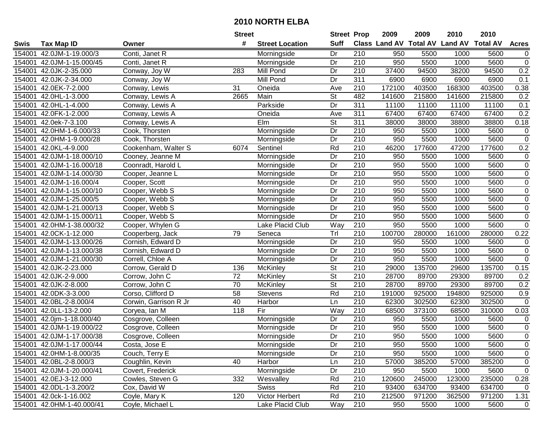|        |                           |                       | <b>Street</b> |                        | <b>Street Prop</b>       |                  | 2009                          | 2009   | 2010           | 2010            |                |
|--------|---------------------------|-----------------------|---------------|------------------------|--------------------------|------------------|-------------------------------|--------|----------------|-----------------|----------------|
| Swis   | <b>Tax Map ID</b>         | Owner                 | #             | <b>Street Location</b> | <b>Suff</b>              |                  | <b>Class Land AV Total AV</b> |        | <b>Land AV</b> | <b>Total AV</b> | <b>Acres</b>   |
| 154001 | 42.0JM-1-19.000/3         | Conti, Janet R        |               | Morningside            | Dr                       | 210              | 950                           | 5500   | 1000           | 5600            | $\overline{0}$ |
| 154001 | 42.0JM-1-15.000/45        | Conti, Janet R        |               | Morningside            | Dr                       | 210              | 950                           | 5500   | 1000           | 5600            | $\pmb{0}$      |
| 154001 | 42.0JK-2-35.000           | Conway, Joy W         | 283           | Mill Pond              | Dr                       | 210              | 37400                         | 94500  | 38200          | 94500           | 0.2            |
| 154001 | 42.0JK-2-34.000           | Conway, Joy W         |               | Mill Pond              | Dr                       | 311              | 6900                          | 6900   | 6900           | 6900            | 0.1            |
| 154001 | 42.0EK-7-2.000            | Conway, Lewis         | 31            | Oneida                 | Ave                      | 210              | 172100                        | 403500 | 168300         | 403500          | 0.38           |
| 154001 | 42.0HL-1-3.000            | Conway, Lewis A       | 2665          | Main                   | <b>St</b>                | 482              | 141600                        | 215800 | 141600         | 215800          | 0.2            |
| 154001 | 42.0HL-1-4.000            | Conway, Lewis A       |               | Parkside               | Dr                       | 311              | 11100                         | 11100  | 11100          | 11100           | 0.1            |
| 154001 | 42.0FK-1-2.000            | Conway, Lewis A       |               | Oneida                 | Ave                      | 311              | 67400                         | 67400  | 67400          | 67400           | 0.2            |
| 154001 | 42.0ek-7-3.100            | Conway, Lewis A       |               | Elm                    | $\overline{\mathsf{St}}$ | 311              | 38000                         | 38000  | 38800          | 38800           | 0.18           |
| 154001 | 42.0HM-1-6.000/33         | Cook, Thorsten        |               | Morningside            | Dr                       | 210              | 950                           | 5500   | 1000           | 5600            | $\pmb{0}$      |
| 154001 | 42.0HM-1-9.000/28         | Cook, Thorsten        |               | Morningside            | Dr                       | 210              | 950                           | 5500   | 1000           | 5600            | $\pmb{0}$      |
| 154001 | 42.0KL-4-9.000            | Cookenham, Walter S   | 6074          | Sentinel               | Rd                       | 210              | 46200                         | 177600 | 47200          | 177600          | 0.2            |
| 154001 | 42.0JM-1-18.000/10        | Cooney, Jeanne M      |               | Morningside            | Dr                       | 210              | 950                           | 5500   | 1000           | 5600            | $\pmb{0}$      |
| 154001 | 42.0JM-1-16.000/18        | Coonradt, Harold L    |               | Morningside            | Dr                       | 210              | 950                           | 5500   | 1000           | 5600            | $\pmb{0}$      |
| 154001 | 42.0JM-1-14.000/30        | Cooper, Jeanne L      |               | Morningside            | Dr                       | $\overline{210}$ | 950                           | 5500   | 1000           | 5600            | $\pmb{0}$      |
| 154001 | 42.0JM-1-16.000/4         | Cooper, Scott         |               | Morningside            | Dr                       | 210              | 950                           | 5500   | 1000           | 5600            | $\pmb{0}$      |
| 154001 | 42.0JM-1-15.000/10        | Cooper, Webb S        |               | Morningside            | Dr                       | $\overline{210}$ | 950                           | 5500   | 1000           | 5600            | $\pmb{0}$      |
| 154001 | 42.0JM-1-25.000/5         | Cooper, Webb S        |               | Morningside            | Dr                       | 210              | 950                           | 5500   | 1000           | 5600            | $\pmb{0}$      |
| 154001 | 42.0JM-1-21.000/13        | Cooper, Webb S        |               | Morningside            | Dr                       | 210              | 950                           | 5500   | 1000           | 5600            | $\pmb{0}$      |
| 154001 | 42.0JM-1-15.000/11        | Cooper, Webb S        |               | Morningside            | Dr                       | 210              | 950                           | 5500   | 1000           | 5600            | $\pmb{0}$      |
| 154001 | 42.0HM-1-38.000/32        | Cooper, Whylen G      |               | Lake Placid Club       | Way                      | 210              | 950                           | 5500   | 1000           | 5600            | $\overline{0}$ |
| 154001 | 42.0CK-1-12.000           | Cooperberg, Jack      | 79            | Seneca                 | Trl                      | 210              | 100700                        | 280000 | 161000         | 280000          | 0.22           |
| 154001 | 42.0JM-1-13.000/26        | Cornish, Edward D     |               | Morningside            | Dr                       | 210              | 950                           | 5500   | 1000           | 5600            | $\pmb{0}$      |
| 154001 | 42.0JM-1-13.000/38        | Cornish, Edward D     |               | Morningside            | Dr                       | 210              | 950                           | 5500   | 1000           | 5600            | $\pmb{0}$      |
| 154001 | 42.0JM-1-21.000/30        | Correll, Chloe A      |               | Morningside            | Dr                       | $\overline{210}$ | 950                           | 5500   | 1000           | 5600            | $\overline{0}$ |
| 154001 | 42.0JK-2-23.000           | Corrow, Gerald D      | 136           | McKinley               | $\overline{\mathsf{St}}$ | 210              | 29000                         | 135700 | 29600          | 135700          | 0.15           |
| 154001 | 42.0JK-2-9.000            | Corrow, John C        | 72            | McKinley               | $\overline{\mathsf{St}}$ | 210              | 28700                         | 89700  | 29300          | 89700           | 0.2            |
| 154001 | 42.0JK-2-8.000            | Corrow, John C        | 70            | McKinley               | $\overline{\mathsf{St}}$ | 210              | 28700                         | 89700  | 29300          | 89700           | 0.2            |
| 154001 | 42.0DK-3-3.000            | Corso, Clifford D     | 58            | Stevens                | Rd                       | 210              | 191000                        | 925000 | 194800         | 925000          | 0.9            |
| 154001 | 42.0BL-2-8.000/4          | Corwin, Garrison R Jr | 40            | Harbor                 | Ln                       | $\overline{210}$ | 62300                         | 302500 | 62300          | 302500          | 0              |
| 154001 | 42.0LL-13-2.000           | Coryea, Ian M         | 118           | Fir                    | Way                      | 210              | 68500                         | 373100 | 68500          | 310000          | 0.03           |
| 154001 | 42.0jm-1-18.000/40        | Cosgrove, Colleen     |               | Morningside            | Dr                       | 210              | 950                           | 5500   | 1000           | 5600            | 0              |
| 154001 | 42.0JM-1-19.000/22        | Cosgrove, Colleen     |               | Morningside            | $\overline{Dr}$          | 210              | 950                           | 5500   | 1000           | 5600            | $\overline{0}$ |
|        | 154001 42.0JM-1-17.000/38 | Cosgrove, Colleen     |               | Morningside            | $\overline{Dr}$          | $\overline{210}$ | 950                           | 5500   | 1000           | 5600            | $\overline{0}$ |
|        | 154001 42.0JM-1-17.000/44 | Costa, Jose E         |               | Morningside            | Dr                       | 210              | 950                           | 5500   | 1000           | 5600            | 0              |
|        | 154001 42.0HM-1-8.000/35  | Couch, Terry E        |               | Morningside            | Dr                       | 210              | 950                           | 5500   | 1000           | 5600            | 0              |
|        | 154001 42.0BL-2-8.000/3   | Coughlin, Kevin       | 40            | Harbor                 | Ln                       | 210              | 57000                         | 385200 | 57000          | 385200          | 0              |
|        | 154001 42.0JM-1-20.000/41 | Covert, Frederick     |               | Morningside            | Dr                       | 210              | 950                           | 5500   | 1000           | 5600            | $\mathbf 0$    |
|        | 154001 42.0EJ-3-12.000    | Cowles, Steven G      | 332           | Wesvalley              | Rd                       | 210              | 120600                        | 245000 | 123000         | 235000          | 0.28           |
|        | 154001 42.0DL-1-3.200/2   | Cox, David W          |               | <b>Swiss</b>           | Rd                       | 210              | 93400                         | 634700 | 93400          | 634700          | 0              |
|        | 154001 42.0ck-1-16.002    | Coyle, Mary K         | 120           | Victor Herbert         | Rd                       | 210              | 212500                        | 971200 | 362500         | 971200          | 1.31           |
|        | 154001 42.0HM-1-40.000/41 | Coyle, Michael L      |               | Lake Placid Club       | Way                      | 210              | 950                           | 5500   | 1000           | 5600            | $\mathbf 0$    |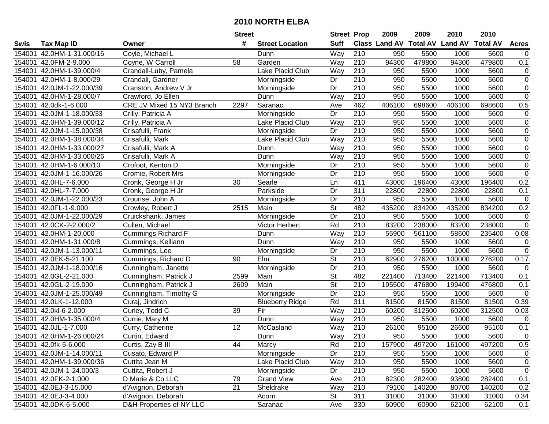|        |                           |                            | <b>Street</b>   |                        | <b>Street Prop</b>       |                  | 2009                          | 2009   | 2010           | 2010            |                |
|--------|---------------------------|----------------------------|-----------------|------------------------|--------------------------|------------------|-------------------------------|--------|----------------|-----------------|----------------|
| Swis   | <b>Tax Map ID</b>         | Owner                      | #               | <b>Street Location</b> | <b>Suff</b>              |                  | <b>Class Land AV Total AV</b> |        | <b>Land AV</b> | <b>Total AV</b> | <b>Acres</b>   |
| 154001 | 42.0HM-1-31.000/16        | Coyle, Michael L           |                 | Dunn                   | Way                      | 210              | 950                           | 5500   | 1000           | 5600            | $\mathbf 0$    |
| 154001 | 42.0FM-2-9.000            | Coyne, W Carroll           | 58              | Garden                 | Way                      | 210              | 94300                         | 479800 | 94300          | 479800          | 0.1            |
| 154001 | 42.0HM-1-39.000/4         | Crandall-Luby, Pamela      |                 | Lake Placid Club       | Way                      | 210              | 950                           | 5500   | 1000           | 5600            | 0              |
| 154001 | 42.0HM-1-8.000/29         | Crandall, Gardner          |                 | Morningside            | Dr                       | 210              | 950                           | 5500   | 1000           | 5600            | $\overline{0}$ |
| 154001 | 42.0JM-1-22.000/39        | Cranston, Andrew V Jr      |                 | Morningside            | Dr                       | $\overline{210}$ | 950                           | 5500   | 1000           | 5600            | $\overline{0}$ |
| 154001 | 42.0HM-1-28.000/7         | Crawford, Jo Ellen         |                 | Dunn                   | Way                      | $\overline{210}$ | 950                           | 5500   | 1000           | 5600            | $\overline{0}$ |
| 154001 | 42.0dk-1-6.000            | CRE JV Mixed 15 NY3 Branch | 2297            | Saranac                | Ave                      | 462              | 406100                        | 698600 | 406100         | 698600          | 0.5            |
| 154001 | 42.0JM-1-18.000/33        | Crilly, Patricia A         |                 | Morningside            | Dr                       | 210              | 950                           | 5500   | 1000           | 5600            | $\pmb{0}$      |
| 154001 | 42.0HM-1-39.000/12        | Crilly, Patricia A         |                 | Lake Placid Club       | Way                      | 210              | 950                           | 5500   | 1000           | 5600            | $\pmb{0}$      |
| 154001 | 42.0JM-1-15.000/38        | Crisafulli, Frank          |                 | Morningside            | Dr                       | $\overline{210}$ | 950                           | 5500   | 1000           | 5600            | $\pmb{0}$      |
| 154001 | 42.0HM-1-38.000/34        | Crisafulli, Mark           |                 | Lake Placid Club       | Way                      | 210              | 950                           | 5500   | 1000           | 5600            | $\pmb{0}$      |
| 154001 | 42.0HM-1-33.000/27        | Crisafulli, Mark A         |                 | Dunn                   | Way                      | 210              | 950                           | 5500   | 1000           | 5600            | $\pmb{0}$      |
| 154001 | 42.0HM-1-33.000/26        | Crisafulli, Mark A         |                 | Dunn                   | Way                      | $\overline{210}$ | 950                           | 5500   | 1000           | 5600            | $\overline{0}$ |
| 154001 | 42.0HM-1-6.000/10         | Crofoot, Kenton D          |                 | Morningside            | Dr                       | 210              | 950                           | 5500   | 1000           | 5600            | $\pmb{0}$      |
| 154001 | 42.0JM-1-16.000/26        | Cromie, Robert Mrs         |                 | Morningside            | Dr                       | $\overline{210}$ | 950                           | 5500   | 1000           | 5600            | $\overline{0}$ |
| 154001 | 42.0HL-7-6.000            | Cronk, George H Jr         | 30              | Searle                 | Ln                       | 411              | 43000                         | 196400 | 43000          | 196400          | 0.2            |
| 154001 | 42.0HL-7-7.000            | Cronk, George H Jr         |                 | Parkside               | Dr                       | $\overline{311}$ | 22800                         | 22800  | 22800          | 22800           | 0.1            |
| 154001 | 42.0JM-1-22.000/23        | Crounse, John A            |                 | Morningside            | Dr                       | 210              | 950                           | 5500   | 1000           | 5600            | $\pmb{0}$      |
| 154001 | 42.0FL-1-9.000            | Crowley, Robert J          | 2515            | Main                   | <b>St</b>                | 482              | 435200                        | 834200 | 435200         | 834200          | 0.2            |
| 154001 | 42.0JM-1-22.000/29        | Cruickshank, James         |                 | Morningside            | Dr                       | 210              | 950                           | 5500   | 1000           | 5600            | $\pmb{0}$      |
| 154001 | 42.0CK-2-2.000/2          | Cullen, Michael            |                 | Victor Herbert         | Rd                       | 210              | 83200                         | 238000 | 83200          | 238000          | $\overline{0}$ |
| 154001 | 42.0HM-1-20.000           | Cummings Richard F         |                 | Dunn                   | Way                      | 210              | 55900                         | 561100 | 58600          | 235400          | 0.08           |
| 154001 | 42.0HM-1-31.000/8         | Cummings, Kelliann         |                 | Dunn                   | Way                      | 210              | 950                           | 5500   | 1000           | 5600            | $\pmb{0}$      |
| 154001 | 42.0JM-1-13.000/11        | Cummings, Lee              |                 | Morningside            | Dr                       | 210              | 950                           | 5500   | 1000           | 5600            | $\pmb{0}$      |
| 154001 | 42.0EK-5-21.100           | Cummings, Richard D        | 90              | Elm                    | $\overline{\mathsf{St}}$ | $\overline{210}$ | 62900                         | 276200 | 100000         | 276200          | 0.17           |
| 154001 | 42.0JM-1-18.000/16        | Cunningham, Janette        |                 | Morningside            | Dr                       | 210              | 950                           | 5500   | 1000           | 5600            | $\mathbf 0$    |
| 154001 | 42.0GL-2-21.000           | Cunningham, Patrick J      | 2599            | Main                   | $\overline{\mathsf{St}}$ | 482              | 221400                        | 713400 | 221400         | 713400          | 0.1            |
| 154001 | 42.0GL-2-19.000           | Cunningham, Patrick J      | 2609            | Main                   | <b>St</b>                | 210              | 195500                        | 476800 | 199400         | 476800          | 0.1            |
| 154001 | 42.0JM-1-25.000/49        | Cunningham, Timothy G      |                 | Morningside            | $\overline{Dr}$          | $\overline{210}$ | 950                           | 5500   | 1000           | 5600            | $\mathbf 0$    |
| 154001 | 42.0LK-1-12.000           | Curaj, Jindrich            |                 | <b>Blueberry Ridge</b> | Rd                       | 311              | 81500                         | 81500  | 81500          | 81500           | 0.39           |
| 154001 | 42.0kl-6-2.000            | Curley, Todd C             | $\overline{39}$ | Fir                    | Way                      | 210              | 60200                         | 312500 | 60200          | 312500          | 0.03           |
| 154001 | 42.0HM-1-35.000/4         | Currie, Mary M             |                 | Dunn                   | Way                      | 210              | 950                           | 5500   | 1000           | 5600            | $\mathbf 0$    |
| 154001 | 42.0JL-1-7.000            | Curry, Catherine           | 12              | McCasland              | Way                      | 210              | 26100                         | 95100  | 26600          | 95100           | 0.1            |
|        | 154001 42.0HM-1-26.000/24 | Curtin, Edward             |                 | Dunn                   | <b>Way</b>               | 210              | 950                           | 5500   | 1000           | 5600            | $\pmb{0}$      |
|        | 154001 42.0fk-5-6.000     | Curtis, Zay B III          | 44              | Marcy                  | Rd                       | 210              | 157900                        | 497200 | 161000         | 497200          | 0.5            |
|        | 154001 42.0JM-1-14.000/11 | Cusato, Edward P           |                 | Morningside            | Dr                       | 210              | 950                           | 5500   | 1000           | 5600            | 0              |
|        | 154001 42.0HM-1-39.000/36 | Cuttita Jean M             |                 | Lake Placid Club       | Way                      | 210              | 950                           | 5500   | 1000           | 5600            | 0              |
|        | 154001 42.0JM-1-24.000/3  | Cuttita, Robert J          |                 | Morningside            | Dr                       | 210              | 950                           | 5500   | 1000           | 5600            | $\pmb{0}$      |
|        | 154001 42.0FK-2-1.000     | D Marie & Co LLC           | 79              | <b>Grand View</b>      | Ave                      | 210              | 82300                         | 282400 | 93800          | 282400          | 0.1            |
|        | 154001 42.0EJ-3-15.000    | d'Avignon, Deborah         | 21              | Sheldrake              | Way                      | 210              | 79100                         | 140200 | 80700          | 140200          | 0.2            |
|        | 154001 42.0EJ-3-4.000     | d'Avignon, Deborah         |                 | Acorn                  | St                       | 311              | 31000                         | 31000  | 31000          | 31000           | 0.34           |
|        | 154001 42.0DK-6-5.000     | D&H Properties of NY LLC   |                 | Saranac                | Ave                      | 330              | 60900                         | 60900  | 62100          | 62100           | 0.1            |
|        |                           |                            |                 |                        |                          |                  |                               |        |                |                 |                |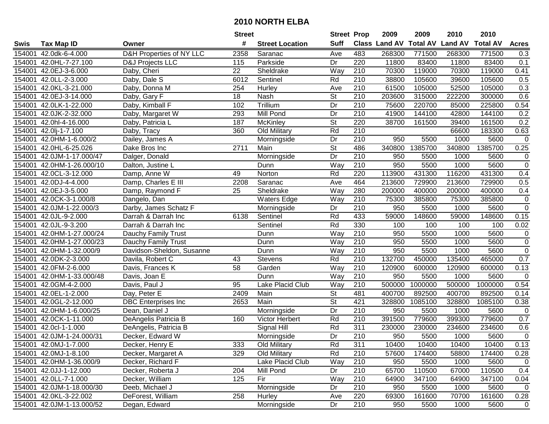| #<br><b>Suff</b><br><b>Total AV</b><br>Class Land AV<br><b>Land AV</b><br><b>Total AV</b><br><b>Acres</b><br><b>Tax Map ID</b><br><b>Street Location</b><br>Swis<br>Owner<br>D&H Properties of NY LLC<br>483<br>2358<br>268300<br>771500<br>268300<br>771500<br>154001<br>42.0dk-6-4.000<br>Saranac<br>Ave<br>0.3<br>154001<br>42.0HL-7-27.100<br>Parkside<br>Dr<br>220<br>11800<br>83400<br>11800<br>83400<br>0.1<br>D&J Projects LLC<br>115<br>42.0EJ-3-6.000<br>Sheldrake<br>Way<br>70300<br>119000<br>119000<br>0.41<br>154001<br>Daby, Cheri<br>22<br>210<br>70300<br>Rd<br>210<br>38800<br>105600<br>39600<br>105600<br>0.5<br>154001<br>42.0LL-2-3.000<br>Daby, Dale S<br>6012<br>Sentinel<br>0.3<br>42.0KL-3-21.000<br>Daby, Donna M<br>210<br>61500<br>105000<br>52500<br>105000<br>154001<br>254<br>Hurley<br>Ave<br>$\overline{\mathsf{St}}$<br>$\overline{210}$<br>0.6<br>154001<br>42.0EJ-3-14.000<br>Daby, Gary F<br>18<br>203600<br>315000<br>222200<br>300000<br>Nash<br>Trillium<br>0.54<br>42.0LK-1-22.000<br>Daby, Kimball F<br>210<br>75600<br>220700<br>85000<br>225800<br>154001<br>102<br>Dr<br>210<br>0.2<br>42.0JK-2-32.000<br>293<br><b>Mill Pond</b><br>$\overline{Dr}$<br>41900<br>144100<br>42800<br>144100<br>154001<br>Daby, Margaret W<br>$\overline{\mathsf{St}}$<br>220<br>38700<br>0.2<br>42.0hl-4-16.000<br>187<br>McKinley<br>161500<br>39400<br>161500<br>154001<br>Daby, Patricia L<br>Rd<br>210<br>0.63<br>42.0lj-1-7.100<br>360<br>Old Military<br>66600<br>183300<br>154001<br>Daby, Tracy<br>Dr<br>210<br>5500<br>154001<br>42.0HM-1-6.000/2<br>Dailey, James A<br>950<br>1000<br>5600<br>$\pmb{0}$<br>Morningside<br><b>St</b><br>1385700<br>340800<br>1385700<br>0.25<br>42.0HL-6-25.026<br>2711<br>486<br>340800<br>154001<br>Dake Bros Inc<br>Main<br>$\overline{210}$<br>Dr<br>950<br>5500<br>5600<br>154001<br>42.0JM-1-17.000/47<br>Dalger, Donald<br>1000<br>$\mathbf 0$<br>Morningside<br>210<br>$\pmb{0}$<br>42.0HM-1-26.000/10<br>Way<br>950<br>5500<br>1000<br>5600<br>154001<br>Dalton, Justine L<br>Dunn<br>Rd<br>220<br>431300<br>431300<br>154001<br>42.0CL-3-12.000<br>113900<br>116200<br>0.4<br>Damp, Anne W<br>49<br>Norton<br>464<br>42.0DJ-4-4.000<br>Saranac<br>213600<br>729900<br>213600<br>729900<br>0.5<br>154001<br>Damp, Charles E III<br>2208<br>Ave<br>280<br>25<br>Way<br>154001<br>42.0EJ-3-5.000<br>Damp, Raymond F<br>Sheldrake<br>200000<br>400000<br>200000<br>400000<br>0.4<br>42.0CK-3-1.000/8<br>Way<br>210<br>75300<br>385800<br>75300<br>385800<br>$\pmb{0}$<br>154001<br>Dangelo, Dan<br><b>Waters Edge</b><br>$\pmb{0}$<br>950<br>154001<br>42.0JM-1-22.000/3<br>Darby, James Schatz F<br>210<br>5500<br>1000<br>5600<br>Morningside<br>Dr<br>0.15<br>154001<br>42.0JL-9-2.000<br>Darrah & Darrah Inc<br>6138<br>Sentinel<br>Rd<br>433<br>59000<br>148600<br>59000<br>148600<br>Rd<br>330<br>100<br>0.02<br>154001<br>42.0JL-9-3.200<br>Darrah & Darrah Inc<br>Sentinel<br>100<br>100<br>100<br>$\pmb{0}$<br>154001<br>42.0HM-1-27.000/24<br>Dauchy Family Trust<br>Way<br>210<br>950<br>5500<br>1000<br>5600<br>Dunn<br>$\pmb{0}$<br>210<br>154001<br>42.0HM-1-27.000/23<br>Way<br>950<br>5500<br>1000<br>5600<br>Dauchy Family Trust<br>Dunn<br>$\pmb{0}$<br>42.0HM-1-32.000/9<br>Davidson-Sheldon, Susanne<br>210<br>950<br>5500<br>5600<br>154001<br>Dunn<br>Way<br>1000<br>$\overline{210}$<br>132700<br>Rd<br>450000<br>465000<br>0.7<br>154001<br>42.0DK-2-3.000<br>43<br>Stevens<br>135400<br>Davila, Robert C<br>Way<br>210<br>42.0FM-2-6.000<br>58<br>120900<br>600000<br>120900<br>600000<br>0.13<br>154001<br>Davis, Frances K<br>Garden<br>Way<br>210<br>5500<br>$\mathbf 0$<br>154001<br>42.0HM-1-33.000/48<br>Dunn<br>950<br>1000<br>5600<br>Davis, Joan E<br>500000<br>1000000<br>500000<br>1000000<br>154001<br>42.0GM-4-2.000<br>95<br>Lake Placid Club<br>210<br>0.54<br>Davis, Paul J<br>Way<br>$\overline{\mathsf{St}}$<br>42.0EL-1-2.000<br>2409<br>Main<br>481<br>400700<br>892500<br>400700<br>892500<br>154001<br>Day, Peter E<br>0.14<br>$\overline{\mathsf{St}}$<br>421<br>328800<br>1085100<br>328800<br>42.0GL-2-12.000<br>2653<br>Main<br>1085100<br>0.38<br>154001<br><b>DBC</b> Enterprises Inc<br>210<br>$\overline{Dr}$<br>5500<br>1000<br>$\mathbf 0$<br>154001<br>42.0HM-1-6.000/25<br>950<br>5600<br>Dean, Daniel J<br>Morningside<br>779600<br>779600<br>0.7<br>42.0CK-1-11.000<br>Rd<br>210<br>391500<br>399300<br>154001<br>DeAngelis Patricia B<br>160<br>Victor Herbert<br>Rd<br>311<br>154001<br>42.0cl-1-1.000<br>Signal Hill<br>230000<br>230000<br>234600<br>234600<br>0.6<br>DeAngelis, Patricia B<br>210<br>$\overline{Dr}$<br>$\pmb{0}$<br>154001 42.0JM-1-24.000/31<br>950<br>5500<br>1000<br>5600<br>Decker, Edward W<br>Morningside<br>0.13<br>154001 42.0MJ-1-7.000<br>Decker, Henry E<br>333<br>Old Military<br>Rd<br>311<br>10400<br>10400<br>10400<br>10400<br>Rd<br>210<br>154001 42.0MJ-1-8.100<br>Decker, Margaret A<br>329<br>Old Military<br>57600<br>174400<br>58800<br>174400<br>0.28<br>Lake Placid Club<br>Way<br>210<br>154001 42.0HM-1-36.000/9<br>Decker, Richard F<br>950<br>5500<br>1000<br>5600<br>0<br>154001 42.0JJ-1-12.000<br>204<br>Mill Pond<br>Dr<br>210<br>65700<br>110500<br>67000<br>110500<br>0.4<br>Decker, Roberta J<br>Decker, William<br>Fir<br>Way<br>210<br>347100<br>154001 42.0LL-7-1.000<br>125<br>64900<br>64900<br>347100<br>0.04<br>Morningside<br>210<br>$\mathbf 0$<br>154001 42.0JM-1-18.000/30<br>Deeb, Michael J<br>Dr<br>950<br>5500<br>1000<br>5600<br>258<br>220<br>69300<br>161600<br>154001 42.0KL-3-22.002<br>DeForest, William<br>Hurley<br>70700<br>161600<br>0.28<br>Ave<br>Morningside<br>210<br>154001 42.0JM-1-13.000/52<br>Degan, Edward<br>Dr<br>950<br>5500<br>1000<br>5600<br>$\mathbf 0$ |  | <b>Street</b> | <b>Street Prop</b> | 2009 | 2009 | 2010 | 2010 |  |
|-----------------------------------------------------------------------------------------------------------------------------------------------------------------------------------------------------------------------------------------------------------------------------------------------------------------------------------------------------------------------------------------------------------------------------------------------------------------------------------------------------------------------------------------------------------------------------------------------------------------------------------------------------------------------------------------------------------------------------------------------------------------------------------------------------------------------------------------------------------------------------------------------------------------------------------------------------------------------------------------------------------------------------------------------------------------------------------------------------------------------------------------------------------------------------------------------------------------------------------------------------------------------------------------------------------------------------------------------------------------------------------------------------------------------------------------------------------------------------------------------------------------------------------------------------------------------------------------------------------------------------------------------------------------------------------------------------------------------------------------------------------------------------------------------------------------------------------------------------------------------------------------------------------------------------------------------------------------------------------------------------------------------------------------------------------------------------------------------------------------------------------------------------------------------------------------------------------------------------------------------------------------------------------------------------------------------------------------------------------------------------------------------------------------------------------------------------------------------------------------------------------------------------------------------------------------------------------------------------------------------------------------------------------------------------------------------------------------------------------------------------------------------------------------------------------------------------------------------------------------------------------------------------------------------------------------------------------------------------------------------------------------------------------------------------------------------------------------------------------------------------------------------------------------------------------------------------------------------------------------------------------------------------------------------------------------------------------------------------------------------------------------------------------------------------------------------------------------------------------------------------------------------------------------------------------------------------------------------------------------------------------------------------------------------------------------------------------------------------------------------------------------------------------------------------------------------------------------------------------------------------------------------------------------------------------------------------------------------------------------------------------------------------------------------------------------------------------------------------------------------------------------------------------------------------------------------------------------------------------------------------------------------------------------------------------------------------------------------------------------------------------------------------------------------------------------------------------------------------------------------------------------------------------------------------------------------------------------------------------------------------------------------------------------------------------------------------------------------------------------------------------------------------------------------------------------------------------------------------------------------------------------------------------------------------------------------------------------------------------------------------------------------------------------------------------------------------------------------------------------------------------------------------------------------------------------------------------------------------------------------------------------------------------------------------------------------------------------------------------------------------------------------------------------------------------------------------------------------------------------------------------------------------------------------------------------------------------------------------------------------------------------------------------------------------------------------------------------------------------------------------------------------------------------------------|--|---------------|--------------------|------|------|------|------|--|
|                                                                                                                                                                                                                                                                                                                                                                                                                                                                                                                                                                                                                                                                                                                                                                                                                                                                                                                                                                                                                                                                                                                                                                                                                                                                                                                                                                                                                                                                                                                                                                                                                                                                                                                                                                                                                                                                                                                                                                                                                                                                                                                                                                                                                                                                                                                                                                                                                                                                                                                                                                                                                                                                                                                                                                                                                                                                                                                                                                                                                                                                                                                                                                                                                                                                                                                                                                                                                                                                                                                                                                                                                                                                                                                                                                                                                                                                                                                                                                                                                                                                                                                                                                                                                                                                                                                                                                                                                                                                                                                                                                                                                                                                                                                                                                                                                                                                                                                                                                                                                                                                                                                                                                                                                                                                                                                                                                                                                                                                                                                                                                                                                                                                                                                                                                                                     |  |               |                    |      |      |      |      |  |
|                                                                                                                                                                                                                                                                                                                                                                                                                                                                                                                                                                                                                                                                                                                                                                                                                                                                                                                                                                                                                                                                                                                                                                                                                                                                                                                                                                                                                                                                                                                                                                                                                                                                                                                                                                                                                                                                                                                                                                                                                                                                                                                                                                                                                                                                                                                                                                                                                                                                                                                                                                                                                                                                                                                                                                                                                                                                                                                                                                                                                                                                                                                                                                                                                                                                                                                                                                                                                                                                                                                                                                                                                                                                                                                                                                                                                                                                                                                                                                                                                                                                                                                                                                                                                                                                                                                                                                                                                                                                                                                                                                                                                                                                                                                                                                                                                                                                                                                                                                                                                                                                                                                                                                                                                                                                                                                                                                                                                                                                                                                                                                                                                                                                                                                                                                                                     |  |               |                    |      |      |      |      |  |
|                                                                                                                                                                                                                                                                                                                                                                                                                                                                                                                                                                                                                                                                                                                                                                                                                                                                                                                                                                                                                                                                                                                                                                                                                                                                                                                                                                                                                                                                                                                                                                                                                                                                                                                                                                                                                                                                                                                                                                                                                                                                                                                                                                                                                                                                                                                                                                                                                                                                                                                                                                                                                                                                                                                                                                                                                                                                                                                                                                                                                                                                                                                                                                                                                                                                                                                                                                                                                                                                                                                                                                                                                                                                                                                                                                                                                                                                                                                                                                                                                                                                                                                                                                                                                                                                                                                                                                                                                                                                                                                                                                                                                                                                                                                                                                                                                                                                                                                                                                                                                                                                                                                                                                                                                                                                                                                                                                                                                                                                                                                                                                                                                                                                                                                                                                                                     |  |               |                    |      |      |      |      |  |
|                                                                                                                                                                                                                                                                                                                                                                                                                                                                                                                                                                                                                                                                                                                                                                                                                                                                                                                                                                                                                                                                                                                                                                                                                                                                                                                                                                                                                                                                                                                                                                                                                                                                                                                                                                                                                                                                                                                                                                                                                                                                                                                                                                                                                                                                                                                                                                                                                                                                                                                                                                                                                                                                                                                                                                                                                                                                                                                                                                                                                                                                                                                                                                                                                                                                                                                                                                                                                                                                                                                                                                                                                                                                                                                                                                                                                                                                                                                                                                                                                                                                                                                                                                                                                                                                                                                                                                                                                                                                                                                                                                                                                                                                                                                                                                                                                                                                                                                                                                                                                                                                                                                                                                                                                                                                                                                                                                                                                                                                                                                                                                                                                                                                                                                                                                                                     |  |               |                    |      |      |      |      |  |
|                                                                                                                                                                                                                                                                                                                                                                                                                                                                                                                                                                                                                                                                                                                                                                                                                                                                                                                                                                                                                                                                                                                                                                                                                                                                                                                                                                                                                                                                                                                                                                                                                                                                                                                                                                                                                                                                                                                                                                                                                                                                                                                                                                                                                                                                                                                                                                                                                                                                                                                                                                                                                                                                                                                                                                                                                                                                                                                                                                                                                                                                                                                                                                                                                                                                                                                                                                                                                                                                                                                                                                                                                                                                                                                                                                                                                                                                                                                                                                                                                                                                                                                                                                                                                                                                                                                                                                                                                                                                                                                                                                                                                                                                                                                                                                                                                                                                                                                                                                                                                                                                                                                                                                                                                                                                                                                                                                                                                                                                                                                                                                                                                                                                                                                                                                                                     |  |               |                    |      |      |      |      |  |
|                                                                                                                                                                                                                                                                                                                                                                                                                                                                                                                                                                                                                                                                                                                                                                                                                                                                                                                                                                                                                                                                                                                                                                                                                                                                                                                                                                                                                                                                                                                                                                                                                                                                                                                                                                                                                                                                                                                                                                                                                                                                                                                                                                                                                                                                                                                                                                                                                                                                                                                                                                                                                                                                                                                                                                                                                                                                                                                                                                                                                                                                                                                                                                                                                                                                                                                                                                                                                                                                                                                                                                                                                                                                                                                                                                                                                                                                                                                                                                                                                                                                                                                                                                                                                                                                                                                                                                                                                                                                                                                                                                                                                                                                                                                                                                                                                                                                                                                                                                                                                                                                                                                                                                                                                                                                                                                                                                                                                                                                                                                                                                                                                                                                                                                                                                                                     |  |               |                    |      |      |      |      |  |
|                                                                                                                                                                                                                                                                                                                                                                                                                                                                                                                                                                                                                                                                                                                                                                                                                                                                                                                                                                                                                                                                                                                                                                                                                                                                                                                                                                                                                                                                                                                                                                                                                                                                                                                                                                                                                                                                                                                                                                                                                                                                                                                                                                                                                                                                                                                                                                                                                                                                                                                                                                                                                                                                                                                                                                                                                                                                                                                                                                                                                                                                                                                                                                                                                                                                                                                                                                                                                                                                                                                                                                                                                                                                                                                                                                                                                                                                                                                                                                                                                                                                                                                                                                                                                                                                                                                                                                                                                                                                                                                                                                                                                                                                                                                                                                                                                                                                                                                                                                                                                                                                                                                                                                                                                                                                                                                                                                                                                                                                                                                                                                                                                                                                                                                                                                                                     |  |               |                    |      |      |      |      |  |
|                                                                                                                                                                                                                                                                                                                                                                                                                                                                                                                                                                                                                                                                                                                                                                                                                                                                                                                                                                                                                                                                                                                                                                                                                                                                                                                                                                                                                                                                                                                                                                                                                                                                                                                                                                                                                                                                                                                                                                                                                                                                                                                                                                                                                                                                                                                                                                                                                                                                                                                                                                                                                                                                                                                                                                                                                                                                                                                                                                                                                                                                                                                                                                                                                                                                                                                                                                                                                                                                                                                                                                                                                                                                                                                                                                                                                                                                                                                                                                                                                                                                                                                                                                                                                                                                                                                                                                                                                                                                                                                                                                                                                                                                                                                                                                                                                                                                                                                                                                                                                                                                                                                                                                                                                                                                                                                                                                                                                                                                                                                                                                                                                                                                                                                                                                                                     |  |               |                    |      |      |      |      |  |
|                                                                                                                                                                                                                                                                                                                                                                                                                                                                                                                                                                                                                                                                                                                                                                                                                                                                                                                                                                                                                                                                                                                                                                                                                                                                                                                                                                                                                                                                                                                                                                                                                                                                                                                                                                                                                                                                                                                                                                                                                                                                                                                                                                                                                                                                                                                                                                                                                                                                                                                                                                                                                                                                                                                                                                                                                                                                                                                                                                                                                                                                                                                                                                                                                                                                                                                                                                                                                                                                                                                                                                                                                                                                                                                                                                                                                                                                                                                                                                                                                                                                                                                                                                                                                                                                                                                                                                                                                                                                                                                                                                                                                                                                                                                                                                                                                                                                                                                                                                                                                                                                                                                                                                                                                                                                                                                                                                                                                                                                                                                                                                                                                                                                                                                                                                                                     |  |               |                    |      |      |      |      |  |
|                                                                                                                                                                                                                                                                                                                                                                                                                                                                                                                                                                                                                                                                                                                                                                                                                                                                                                                                                                                                                                                                                                                                                                                                                                                                                                                                                                                                                                                                                                                                                                                                                                                                                                                                                                                                                                                                                                                                                                                                                                                                                                                                                                                                                                                                                                                                                                                                                                                                                                                                                                                                                                                                                                                                                                                                                                                                                                                                                                                                                                                                                                                                                                                                                                                                                                                                                                                                                                                                                                                                                                                                                                                                                                                                                                                                                                                                                                                                                                                                                                                                                                                                                                                                                                                                                                                                                                                                                                                                                                                                                                                                                                                                                                                                                                                                                                                                                                                                                                                                                                                                                                                                                                                                                                                                                                                                                                                                                                                                                                                                                                                                                                                                                                                                                                                                     |  |               |                    |      |      |      |      |  |
|                                                                                                                                                                                                                                                                                                                                                                                                                                                                                                                                                                                                                                                                                                                                                                                                                                                                                                                                                                                                                                                                                                                                                                                                                                                                                                                                                                                                                                                                                                                                                                                                                                                                                                                                                                                                                                                                                                                                                                                                                                                                                                                                                                                                                                                                                                                                                                                                                                                                                                                                                                                                                                                                                                                                                                                                                                                                                                                                                                                                                                                                                                                                                                                                                                                                                                                                                                                                                                                                                                                                                                                                                                                                                                                                                                                                                                                                                                                                                                                                                                                                                                                                                                                                                                                                                                                                                                                                                                                                                                                                                                                                                                                                                                                                                                                                                                                                                                                                                                                                                                                                                                                                                                                                                                                                                                                                                                                                                                                                                                                                                                                                                                                                                                                                                                                                     |  |               |                    |      |      |      |      |  |
|                                                                                                                                                                                                                                                                                                                                                                                                                                                                                                                                                                                                                                                                                                                                                                                                                                                                                                                                                                                                                                                                                                                                                                                                                                                                                                                                                                                                                                                                                                                                                                                                                                                                                                                                                                                                                                                                                                                                                                                                                                                                                                                                                                                                                                                                                                                                                                                                                                                                                                                                                                                                                                                                                                                                                                                                                                                                                                                                                                                                                                                                                                                                                                                                                                                                                                                                                                                                                                                                                                                                                                                                                                                                                                                                                                                                                                                                                                                                                                                                                                                                                                                                                                                                                                                                                                                                                                                                                                                                                                                                                                                                                                                                                                                                                                                                                                                                                                                                                                                                                                                                                                                                                                                                                                                                                                                                                                                                                                                                                                                                                                                                                                                                                                                                                                                                     |  |               |                    |      |      |      |      |  |
|                                                                                                                                                                                                                                                                                                                                                                                                                                                                                                                                                                                                                                                                                                                                                                                                                                                                                                                                                                                                                                                                                                                                                                                                                                                                                                                                                                                                                                                                                                                                                                                                                                                                                                                                                                                                                                                                                                                                                                                                                                                                                                                                                                                                                                                                                                                                                                                                                                                                                                                                                                                                                                                                                                                                                                                                                                                                                                                                                                                                                                                                                                                                                                                                                                                                                                                                                                                                                                                                                                                                                                                                                                                                                                                                                                                                                                                                                                                                                                                                                                                                                                                                                                                                                                                                                                                                                                                                                                                                                                                                                                                                                                                                                                                                                                                                                                                                                                                                                                                                                                                                                                                                                                                                                                                                                                                                                                                                                                                                                                                                                                                                                                                                                                                                                                                                     |  |               |                    |      |      |      |      |  |
|                                                                                                                                                                                                                                                                                                                                                                                                                                                                                                                                                                                                                                                                                                                                                                                                                                                                                                                                                                                                                                                                                                                                                                                                                                                                                                                                                                                                                                                                                                                                                                                                                                                                                                                                                                                                                                                                                                                                                                                                                                                                                                                                                                                                                                                                                                                                                                                                                                                                                                                                                                                                                                                                                                                                                                                                                                                                                                                                                                                                                                                                                                                                                                                                                                                                                                                                                                                                                                                                                                                                                                                                                                                                                                                                                                                                                                                                                                                                                                                                                                                                                                                                                                                                                                                                                                                                                                                                                                                                                                                                                                                                                                                                                                                                                                                                                                                                                                                                                                                                                                                                                                                                                                                                                                                                                                                                                                                                                                                                                                                                                                                                                                                                                                                                                                                                     |  |               |                    |      |      |      |      |  |
|                                                                                                                                                                                                                                                                                                                                                                                                                                                                                                                                                                                                                                                                                                                                                                                                                                                                                                                                                                                                                                                                                                                                                                                                                                                                                                                                                                                                                                                                                                                                                                                                                                                                                                                                                                                                                                                                                                                                                                                                                                                                                                                                                                                                                                                                                                                                                                                                                                                                                                                                                                                                                                                                                                                                                                                                                                                                                                                                                                                                                                                                                                                                                                                                                                                                                                                                                                                                                                                                                                                                                                                                                                                                                                                                                                                                                                                                                                                                                                                                                                                                                                                                                                                                                                                                                                                                                                                                                                                                                                                                                                                                                                                                                                                                                                                                                                                                                                                                                                                                                                                                                                                                                                                                                                                                                                                                                                                                                                                                                                                                                                                                                                                                                                                                                                                                     |  |               |                    |      |      |      |      |  |
|                                                                                                                                                                                                                                                                                                                                                                                                                                                                                                                                                                                                                                                                                                                                                                                                                                                                                                                                                                                                                                                                                                                                                                                                                                                                                                                                                                                                                                                                                                                                                                                                                                                                                                                                                                                                                                                                                                                                                                                                                                                                                                                                                                                                                                                                                                                                                                                                                                                                                                                                                                                                                                                                                                                                                                                                                                                                                                                                                                                                                                                                                                                                                                                                                                                                                                                                                                                                                                                                                                                                                                                                                                                                                                                                                                                                                                                                                                                                                                                                                                                                                                                                                                                                                                                                                                                                                                                                                                                                                                                                                                                                                                                                                                                                                                                                                                                                                                                                                                                                                                                                                                                                                                                                                                                                                                                                                                                                                                                                                                                                                                                                                                                                                                                                                                                                     |  |               |                    |      |      |      |      |  |
|                                                                                                                                                                                                                                                                                                                                                                                                                                                                                                                                                                                                                                                                                                                                                                                                                                                                                                                                                                                                                                                                                                                                                                                                                                                                                                                                                                                                                                                                                                                                                                                                                                                                                                                                                                                                                                                                                                                                                                                                                                                                                                                                                                                                                                                                                                                                                                                                                                                                                                                                                                                                                                                                                                                                                                                                                                                                                                                                                                                                                                                                                                                                                                                                                                                                                                                                                                                                                                                                                                                                                                                                                                                                                                                                                                                                                                                                                                                                                                                                                                                                                                                                                                                                                                                                                                                                                                                                                                                                                                                                                                                                                                                                                                                                                                                                                                                                                                                                                                                                                                                                                                                                                                                                                                                                                                                                                                                                                                                                                                                                                                                                                                                                                                                                                                                                     |  |               |                    |      |      |      |      |  |
|                                                                                                                                                                                                                                                                                                                                                                                                                                                                                                                                                                                                                                                                                                                                                                                                                                                                                                                                                                                                                                                                                                                                                                                                                                                                                                                                                                                                                                                                                                                                                                                                                                                                                                                                                                                                                                                                                                                                                                                                                                                                                                                                                                                                                                                                                                                                                                                                                                                                                                                                                                                                                                                                                                                                                                                                                                                                                                                                                                                                                                                                                                                                                                                                                                                                                                                                                                                                                                                                                                                                                                                                                                                                                                                                                                                                                                                                                                                                                                                                                                                                                                                                                                                                                                                                                                                                                                                                                                                                                                                                                                                                                                                                                                                                                                                                                                                                                                                                                                                                                                                                                                                                                                                                                                                                                                                                                                                                                                                                                                                                                                                                                                                                                                                                                                                                     |  |               |                    |      |      |      |      |  |
|                                                                                                                                                                                                                                                                                                                                                                                                                                                                                                                                                                                                                                                                                                                                                                                                                                                                                                                                                                                                                                                                                                                                                                                                                                                                                                                                                                                                                                                                                                                                                                                                                                                                                                                                                                                                                                                                                                                                                                                                                                                                                                                                                                                                                                                                                                                                                                                                                                                                                                                                                                                                                                                                                                                                                                                                                                                                                                                                                                                                                                                                                                                                                                                                                                                                                                                                                                                                                                                                                                                                                                                                                                                                                                                                                                                                                                                                                                                                                                                                                                                                                                                                                                                                                                                                                                                                                                                                                                                                                                                                                                                                                                                                                                                                                                                                                                                                                                                                                                                                                                                                                                                                                                                                                                                                                                                                                                                                                                                                                                                                                                                                                                                                                                                                                                                                     |  |               |                    |      |      |      |      |  |
|                                                                                                                                                                                                                                                                                                                                                                                                                                                                                                                                                                                                                                                                                                                                                                                                                                                                                                                                                                                                                                                                                                                                                                                                                                                                                                                                                                                                                                                                                                                                                                                                                                                                                                                                                                                                                                                                                                                                                                                                                                                                                                                                                                                                                                                                                                                                                                                                                                                                                                                                                                                                                                                                                                                                                                                                                                                                                                                                                                                                                                                                                                                                                                                                                                                                                                                                                                                                                                                                                                                                                                                                                                                                                                                                                                                                                                                                                                                                                                                                                                                                                                                                                                                                                                                                                                                                                                                                                                                                                                                                                                                                                                                                                                                                                                                                                                                                                                                                                                                                                                                                                                                                                                                                                                                                                                                                                                                                                                                                                                                                                                                                                                                                                                                                                                                                     |  |               |                    |      |      |      |      |  |
|                                                                                                                                                                                                                                                                                                                                                                                                                                                                                                                                                                                                                                                                                                                                                                                                                                                                                                                                                                                                                                                                                                                                                                                                                                                                                                                                                                                                                                                                                                                                                                                                                                                                                                                                                                                                                                                                                                                                                                                                                                                                                                                                                                                                                                                                                                                                                                                                                                                                                                                                                                                                                                                                                                                                                                                                                                                                                                                                                                                                                                                                                                                                                                                                                                                                                                                                                                                                                                                                                                                                                                                                                                                                                                                                                                                                                                                                                                                                                                                                                                                                                                                                                                                                                                                                                                                                                                                                                                                                                                                                                                                                                                                                                                                                                                                                                                                                                                                                                                                                                                                                                                                                                                                                                                                                                                                                                                                                                                                                                                                                                                                                                                                                                                                                                                                                     |  |               |                    |      |      |      |      |  |
|                                                                                                                                                                                                                                                                                                                                                                                                                                                                                                                                                                                                                                                                                                                                                                                                                                                                                                                                                                                                                                                                                                                                                                                                                                                                                                                                                                                                                                                                                                                                                                                                                                                                                                                                                                                                                                                                                                                                                                                                                                                                                                                                                                                                                                                                                                                                                                                                                                                                                                                                                                                                                                                                                                                                                                                                                                                                                                                                                                                                                                                                                                                                                                                                                                                                                                                                                                                                                                                                                                                                                                                                                                                                                                                                                                                                                                                                                                                                                                                                                                                                                                                                                                                                                                                                                                                                                                                                                                                                                                                                                                                                                                                                                                                                                                                                                                                                                                                                                                                                                                                                                                                                                                                                                                                                                                                                                                                                                                                                                                                                                                                                                                                                                                                                                                                                     |  |               |                    |      |      |      |      |  |
|                                                                                                                                                                                                                                                                                                                                                                                                                                                                                                                                                                                                                                                                                                                                                                                                                                                                                                                                                                                                                                                                                                                                                                                                                                                                                                                                                                                                                                                                                                                                                                                                                                                                                                                                                                                                                                                                                                                                                                                                                                                                                                                                                                                                                                                                                                                                                                                                                                                                                                                                                                                                                                                                                                                                                                                                                                                                                                                                                                                                                                                                                                                                                                                                                                                                                                                                                                                                                                                                                                                                                                                                                                                                                                                                                                                                                                                                                                                                                                                                                                                                                                                                                                                                                                                                                                                                                                                                                                                                                                                                                                                                                                                                                                                                                                                                                                                                                                                                                                                                                                                                                                                                                                                                                                                                                                                                                                                                                                                                                                                                                                                                                                                                                                                                                                                                     |  |               |                    |      |      |      |      |  |
|                                                                                                                                                                                                                                                                                                                                                                                                                                                                                                                                                                                                                                                                                                                                                                                                                                                                                                                                                                                                                                                                                                                                                                                                                                                                                                                                                                                                                                                                                                                                                                                                                                                                                                                                                                                                                                                                                                                                                                                                                                                                                                                                                                                                                                                                                                                                                                                                                                                                                                                                                                                                                                                                                                                                                                                                                                                                                                                                                                                                                                                                                                                                                                                                                                                                                                                                                                                                                                                                                                                                                                                                                                                                                                                                                                                                                                                                                                                                                                                                                                                                                                                                                                                                                                                                                                                                                                                                                                                                                                                                                                                                                                                                                                                                                                                                                                                                                                                                                                                                                                                                                                                                                                                                                                                                                                                                                                                                                                                                                                                                                                                                                                                                                                                                                                                                     |  |               |                    |      |      |      |      |  |
|                                                                                                                                                                                                                                                                                                                                                                                                                                                                                                                                                                                                                                                                                                                                                                                                                                                                                                                                                                                                                                                                                                                                                                                                                                                                                                                                                                                                                                                                                                                                                                                                                                                                                                                                                                                                                                                                                                                                                                                                                                                                                                                                                                                                                                                                                                                                                                                                                                                                                                                                                                                                                                                                                                                                                                                                                                                                                                                                                                                                                                                                                                                                                                                                                                                                                                                                                                                                                                                                                                                                                                                                                                                                                                                                                                                                                                                                                                                                                                                                                                                                                                                                                                                                                                                                                                                                                                                                                                                                                                                                                                                                                                                                                                                                                                                                                                                                                                                                                                                                                                                                                                                                                                                                                                                                                                                                                                                                                                                                                                                                                                                                                                                                                                                                                                                                     |  |               |                    |      |      |      |      |  |
|                                                                                                                                                                                                                                                                                                                                                                                                                                                                                                                                                                                                                                                                                                                                                                                                                                                                                                                                                                                                                                                                                                                                                                                                                                                                                                                                                                                                                                                                                                                                                                                                                                                                                                                                                                                                                                                                                                                                                                                                                                                                                                                                                                                                                                                                                                                                                                                                                                                                                                                                                                                                                                                                                                                                                                                                                                                                                                                                                                                                                                                                                                                                                                                                                                                                                                                                                                                                                                                                                                                                                                                                                                                                                                                                                                                                                                                                                                                                                                                                                                                                                                                                                                                                                                                                                                                                                                                                                                                                                                                                                                                                                                                                                                                                                                                                                                                                                                                                                                                                                                                                                                                                                                                                                                                                                                                                                                                                                                                                                                                                                                                                                                                                                                                                                                                                     |  |               |                    |      |      |      |      |  |
|                                                                                                                                                                                                                                                                                                                                                                                                                                                                                                                                                                                                                                                                                                                                                                                                                                                                                                                                                                                                                                                                                                                                                                                                                                                                                                                                                                                                                                                                                                                                                                                                                                                                                                                                                                                                                                                                                                                                                                                                                                                                                                                                                                                                                                                                                                                                                                                                                                                                                                                                                                                                                                                                                                                                                                                                                                                                                                                                                                                                                                                                                                                                                                                                                                                                                                                                                                                                                                                                                                                                                                                                                                                                                                                                                                                                                                                                                                                                                                                                                                                                                                                                                                                                                                                                                                                                                                                                                                                                                                                                                                                                                                                                                                                                                                                                                                                                                                                                                                                                                                                                                                                                                                                                                                                                                                                                                                                                                                                                                                                                                                                                                                                                                                                                                                                                     |  |               |                    |      |      |      |      |  |
|                                                                                                                                                                                                                                                                                                                                                                                                                                                                                                                                                                                                                                                                                                                                                                                                                                                                                                                                                                                                                                                                                                                                                                                                                                                                                                                                                                                                                                                                                                                                                                                                                                                                                                                                                                                                                                                                                                                                                                                                                                                                                                                                                                                                                                                                                                                                                                                                                                                                                                                                                                                                                                                                                                                                                                                                                                                                                                                                                                                                                                                                                                                                                                                                                                                                                                                                                                                                                                                                                                                                                                                                                                                                                                                                                                                                                                                                                                                                                                                                                                                                                                                                                                                                                                                                                                                                                                                                                                                                                                                                                                                                                                                                                                                                                                                                                                                                                                                                                                                                                                                                                                                                                                                                                                                                                                                                                                                                                                                                                                                                                                                                                                                                                                                                                                                                     |  |               |                    |      |      |      |      |  |
|                                                                                                                                                                                                                                                                                                                                                                                                                                                                                                                                                                                                                                                                                                                                                                                                                                                                                                                                                                                                                                                                                                                                                                                                                                                                                                                                                                                                                                                                                                                                                                                                                                                                                                                                                                                                                                                                                                                                                                                                                                                                                                                                                                                                                                                                                                                                                                                                                                                                                                                                                                                                                                                                                                                                                                                                                                                                                                                                                                                                                                                                                                                                                                                                                                                                                                                                                                                                                                                                                                                                                                                                                                                                                                                                                                                                                                                                                                                                                                                                                                                                                                                                                                                                                                                                                                                                                                                                                                                                                                                                                                                                                                                                                                                                                                                                                                                                                                                                                                                                                                                                                                                                                                                                                                                                                                                                                                                                                                                                                                                                                                                                                                                                                                                                                                                                     |  |               |                    |      |      |      |      |  |
|                                                                                                                                                                                                                                                                                                                                                                                                                                                                                                                                                                                                                                                                                                                                                                                                                                                                                                                                                                                                                                                                                                                                                                                                                                                                                                                                                                                                                                                                                                                                                                                                                                                                                                                                                                                                                                                                                                                                                                                                                                                                                                                                                                                                                                                                                                                                                                                                                                                                                                                                                                                                                                                                                                                                                                                                                                                                                                                                                                                                                                                                                                                                                                                                                                                                                                                                                                                                                                                                                                                                                                                                                                                                                                                                                                                                                                                                                                                                                                                                                                                                                                                                                                                                                                                                                                                                                                                                                                                                                                                                                                                                                                                                                                                                                                                                                                                                                                                                                                                                                                                                                                                                                                                                                                                                                                                                                                                                                                                                                                                                                                                                                                                                                                                                                                                                     |  |               |                    |      |      |      |      |  |
|                                                                                                                                                                                                                                                                                                                                                                                                                                                                                                                                                                                                                                                                                                                                                                                                                                                                                                                                                                                                                                                                                                                                                                                                                                                                                                                                                                                                                                                                                                                                                                                                                                                                                                                                                                                                                                                                                                                                                                                                                                                                                                                                                                                                                                                                                                                                                                                                                                                                                                                                                                                                                                                                                                                                                                                                                                                                                                                                                                                                                                                                                                                                                                                                                                                                                                                                                                                                                                                                                                                                                                                                                                                                                                                                                                                                                                                                                                                                                                                                                                                                                                                                                                                                                                                                                                                                                                                                                                                                                                                                                                                                                                                                                                                                                                                                                                                                                                                                                                                                                                                                                                                                                                                                                                                                                                                                                                                                                                                                                                                                                                                                                                                                                                                                                                                                     |  |               |                    |      |      |      |      |  |
|                                                                                                                                                                                                                                                                                                                                                                                                                                                                                                                                                                                                                                                                                                                                                                                                                                                                                                                                                                                                                                                                                                                                                                                                                                                                                                                                                                                                                                                                                                                                                                                                                                                                                                                                                                                                                                                                                                                                                                                                                                                                                                                                                                                                                                                                                                                                                                                                                                                                                                                                                                                                                                                                                                                                                                                                                                                                                                                                                                                                                                                                                                                                                                                                                                                                                                                                                                                                                                                                                                                                                                                                                                                                                                                                                                                                                                                                                                                                                                                                                                                                                                                                                                                                                                                                                                                                                                                                                                                                                                                                                                                                                                                                                                                                                                                                                                                                                                                                                                                                                                                                                                                                                                                                                                                                                                                                                                                                                                                                                                                                                                                                                                                                                                                                                                                                     |  |               |                    |      |      |      |      |  |
|                                                                                                                                                                                                                                                                                                                                                                                                                                                                                                                                                                                                                                                                                                                                                                                                                                                                                                                                                                                                                                                                                                                                                                                                                                                                                                                                                                                                                                                                                                                                                                                                                                                                                                                                                                                                                                                                                                                                                                                                                                                                                                                                                                                                                                                                                                                                                                                                                                                                                                                                                                                                                                                                                                                                                                                                                                                                                                                                                                                                                                                                                                                                                                                                                                                                                                                                                                                                                                                                                                                                                                                                                                                                                                                                                                                                                                                                                                                                                                                                                                                                                                                                                                                                                                                                                                                                                                                                                                                                                                                                                                                                                                                                                                                                                                                                                                                                                                                                                                                                                                                                                                                                                                                                                                                                                                                                                                                                                                                                                                                                                                                                                                                                                                                                                                                                     |  |               |                    |      |      |      |      |  |
|                                                                                                                                                                                                                                                                                                                                                                                                                                                                                                                                                                                                                                                                                                                                                                                                                                                                                                                                                                                                                                                                                                                                                                                                                                                                                                                                                                                                                                                                                                                                                                                                                                                                                                                                                                                                                                                                                                                                                                                                                                                                                                                                                                                                                                                                                                                                                                                                                                                                                                                                                                                                                                                                                                                                                                                                                                                                                                                                                                                                                                                                                                                                                                                                                                                                                                                                                                                                                                                                                                                                                                                                                                                                                                                                                                                                                                                                                                                                                                                                                                                                                                                                                                                                                                                                                                                                                                                                                                                                                                                                                                                                                                                                                                                                                                                                                                                                                                                                                                                                                                                                                                                                                                                                                                                                                                                                                                                                                                                                                                                                                                                                                                                                                                                                                                                                     |  |               |                    |      |      |      |      |  |
|                                                                                                                                                                                                                                                                                                                                                                                                                                                                                                                                                                                                                                                                                                                                                                                                                                                                                                                                                                                                                                                                                                                                                                                                                                                                                                                                                                                                                                                                                                                                                                                                                                                                                                                                                                                                                                                                                                                                                                                                                                                                                                                                                                                                                                                                                                                                                                                                                                                                                                                                                                                                                                                                                                                                                                                                                                                                                                                                                                                                                                                                                                                                                                                                                                                                                                                                                                                                                                                                                                                                                                                                                                                                                                                                                                                                                                                                                                                                                                                                                                                                                                                                                                                                                                                                                                                                                                                                                                                                                                                                                                                                                                                                                                                                                                                                                                                                                                                                                                                                                                                                                                                                                                                                                                                                                                                                                                                                                                                                                                                                                                                                                                                                                                                                                                                                     |  |               |                    |      |      |      |      |  |
|                                                                                                                                                                                                                                                                                                                                                                                                                                                                                                                                                                                                                                                                                                                                                                                                                                                                                                                                                                                                                                                                                                                                                                                                                                                                                                                                                                                                                                                                                                                                                                                                                                                                                                                                                                                                                                                                                                                                                                                                                                                                                                                                                                                                                                                                                                                                                                                                                                                                                                                                                                                                                                                                                                                                                                                                                                                                                                                                                                                                                                                                                                                                                                                                                                                                                                                                                                                                                                                                                                                                                                                                                                                                                                                                                                                                                                                                                                                                                                                                                                                                                                                                                                                                                                                                                                                                                                                                                                                                                                                                                                                                                                                                                                                                                                                                                                                                                                                                                                                                                                                                                                                                                                                                                                                                                                                                                                                                                                                                                                                                                                                                                                                                                                                                                                                                     |  |               |                    |      |      |      |      |  |
|                                                                                                                                                                                                                                                                                                                                                                                                                                                                                                                                                                                                                                                                                                                                                                                                                                                                                                                                                                                                                                                                                                                                                                                                                                                                                                                                                                                                                                                                                                                                                                                                                                                                                                                                                                                                                                                                                                                                                                                                                                                                                                                                                                                                                                                                                                                                                                                                                                                                                                                                                                                                                                                                                                                                                                                                                                                                                                                                                                                                                                                                                                                                                                                                                                                                                                                                                                                                                                                                                                                                                                                                                                                                                                                                                                                                                                                                                                                                                                                                                                                                                                                                                                                                                                                                                                                                                                                                                                                                                                                                                                                                                                                                                                                                                                                                                                                                                                                                                                                                                                                                                                                                                                                                                                                                                                                                                                                                                                                                                                                                                                                                                                                                                                                                                                                                     |  |               |                    |      |      |      |      |  |
|                                                                                                                                                                                                                                                                                                                                                                                                                                                                                                                                                                                                                                                                                                                                                                                                                                                                                                                                                                                                                                                                                                                                                                                                                                                                                                                                                                                                                                                                                                                                                                                                                                                                                                                                                                                                                                                                                                                                                                                                                                                                                                                                                                                                                                                                                                                                                                                                                                                                                                                                                                                                                                                                                                                                                                                                                                                                                                                                                                                                                                                                                                                                                                                                                                                                                                                                                                                                                                                                                                                                                                                                                                                                                                                                                                                                                                                                                                                                                                                                                                                                                                                                                                                                                                                                                                                                                                                                                                                                                                                                                                                                                                                                                                                                                                                                                                                                                                                                                                                                                                                                                                                                                                                                                                                                                                                                                                                                                                                                                                                                                                                                                                                                                                                                                                                                     |  |               |                    |      |      |      |      |  |
|                                                                                                                                                                                                                                                                                                                                                                                                                                                                                                                                                                                                                                                                                                                                                                                                                                                                                                                                                                                                                                                                                                                                                                                                                                                                                                                                                                                                                                                                                                                                                                                                                                                                                                                                                                                                                                                                                                                                                                                                                                                                                                                                                                                                                                                                                                                                                                                                                                                                                                                                                                                                                                                                                                                                                                                                                                                                                                                                                                                                                                                                                                                                                                                                                                                                                                                                                                                                                                                                                                                                                                                                                                                                                                                                                                                                                                                                                                                                                                                                                                                                                                                                                                                                                                                                                                                                                                                                                                                                                                                                                                                                                                                                                                                                                                                                                                                                                                                                                                                                                                                                                                                                                                                                                                                                                                                                                                                                                                                                                                                                                                                                                                                                                                                                                                                                     |  |               |                    |      |      |      |      |  |
|                                                                                                                                                                                                                                                                                                                                                                                                                                                                                                                                                                                                                                                                                                                                                                                                                                                                                                                                                                                                                                                                                                                                                                                                                                                                                                                                                                                                                                                                                                                                                                                                                                                                                                                                                                                                                                                                                                                                                                                                                                                                                                                                                                                                                                                                                                                                                                                                                                                                                                                                                                                                                                                                                                                                                                                                                                                                                                                                                                                                                                                                                                                                                                                                                                                                                                                                                                                                                                                                                                                                                                                                                                                                                                                                                                                                                                                                                                                                                                                                                                                                                                                                                                                                                                                                                                                                                                                                                                                                                                                                                                                                                                                                                                                                                                                                                                                                                                                                                                                                                                                                                                                                                                                                                                                                                                                                                                                                                                                                                                                                                                                                                                                                                                                                                                                                     |  |               |                    |      |      |      |      |  |
|                                                                                                                                                                                                                                                                                                                                                                                                                                                                                                                                                                                                                                                                                                                                                                                                                                                                                                                                                                                                                                                                                                                                                                                                                                                                                                                                                                                                                                                                                                                                                                                                                                                                                                                                                                                                                                                                                                                                                                                                                                                                                                                                                                                                                                                                                                                                                                                                                                                                                                                                                                                                                                                                                                                                                                                                                                                                                                                                                                                                                                                                                                                                                                                                                                                                                                                                                                                                                                                                                                                                                                                                                                                                                                                                                                                                                                                                                                                                                                                                                                                                                                                                                                                                                                                                                                                                                                                                                                                                                                                                                                                                                                                                                                                                                                                                                                                                                                                                                                                                                                                                                                                                                                                                                                                                                                                                                                                                                                                                                                                                                                                                                                                                                                                                                                                                     |  |               |                    |      |      |      |      |  |
|                                                                                                                                                                                                                                                                                                                                                                                                                                                                                                                                                                                                                                                                                                                                                                                                                                                                                                                                                                                                                                                                                                                                                                                                                                                                                                                                                                                                                                                                                                                                                                                                                                                                                                                                                                                                                                                                                                                                                                                                                                                                                                                                                                                                                                                                                                                                                                                                                                                                                                                                                                                                                                                                                                                                                                                                                                                                                                                                                                                                                                                                                                                                                                                                                                                                                                                                                                                                                                                                                                                                                                                                                                                                                                                                                                                                                                                                                                                                                                                                                                                                                                                                                                                                                                                                                                                                                                                                                                                                                                                                                                                                                                                                                                                                                                                                                                                                                                                                                                                                                                                                                                                                                                                                                                                                                                                                                                                                                                                                                                                                                                                                                                                                                                                                                                                                     |  |               |                    |      |      |      |      |  |
|                                                                                                                                                                                                                                                                                                                                                                                                                                                                                                                                                                                                                                                                                                                                                                                                                                                                                                                                                                                                                                                                                                                                                                                                                                                                                                                                                                                                                                                                                                                                                                                                                                                                                                                                                                                                                                                                                                                                                                                                                                                                                                                                                                                                                                                                                                                                                                                                                                                                                                                                                                                                                                                                                                                                                                                                                                                                                                                                                                                                                                                                                                                                                                                                                                                                                                                                                                                                                                                                                                                                                                                                                                                                                                                                                                                                                                                                                                                                                                                                                                                                                                                                                                                                                                                                                                                                                                                                                                                                                                                                                                                                                                                                                                                                                                                                                                                                                                                                                                                                                                                                                                                                                                                                                                                                                                                                                                                                                                                                                                                                                                                                                                                                                                                                                                                                     |  |               |                    |      |      |      |      |  |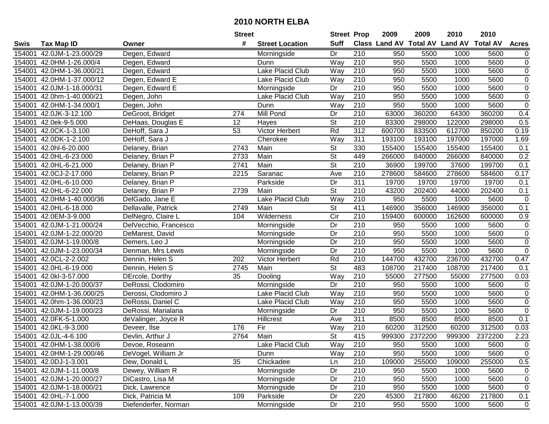|        |                           |                       | <b>Street</b> |                        | <b>Street Prop</b>       |                  | 2009                          | 2009           | 2010           | 2010            |                  |
|--------|---------------------------|-----------------------|---------------|------------------------|--------------------------|------------------|-------------------------------|----------------|----------------|-----------------|------------------|
| Swis   | <b>Tax Map ID</b>         | Owner                 | #             | <b>Street Location</b> | <b>Suff</b>              |                  | <b>Class Land AV Total AV</b> |                | <b>Land AV</b> | <b>Total AV</b> | <b>Acres</b>     |
| 154001 | 42.0JM-1-23.000/29        | Degen, Edward         |               | Morningside            | Dr                       | 210              | 950                           | 5500           | 1000           | 5600            | $\overline{0}$   |
| 154001 | 42.0HM-1-26.000/4         | Degen, Edward         |               | Dunn                   | Way                      | 210              | 950                           | 5500           | 1000           | 5600            | $\boldsymbol{0}$ |
| 154001 | 42.0HM-1-36.000/21        | Degen, Edward         |               | Lake Placid Club       | Way                      | 210              | 950                           | 5500           | 1000           | 5600            | $\boldsymbol{0}$ |
| 154001 | 42.0HM-1-37.000/12        | Degen, Edward E       |               | Lake Placid Club       | Way                      | 210              | 950                           | 5500           | 1000           | 5600            | $\overline{0}$   |
| 154001 | 42.0JM-1-18.000/31        | Degen, Edward E       |               | Morningside            | Dr                       | $\overline{210}$ | 950                           | 5500           | 1000           | 5600            | $\overline{0}$   |
| 154001 | 42.0hm-1-40.000/21        | Degen, John           |               | Lake Placid Club       | Way                      | $\overline{210}$ | 950                           | 5500           | 1000           | 5600            | $\overline{0}$   |
| 154001 | 42.0HM-1-34.000/1         | Degen, John           |               | Dunn                   | Way                      | 210              | 950                           | 5500           | 1000           | 5600            | $\overline{0}$   |
| 154001 | 42.0JK-3-12.100           | DeGroot, Bridget      | 274           | <b>Mill Pond</b>       | Dr                       | 210              | 63000                         | 360200         | 64300          | 360200          | 0.4              |
| 154001 | 42.0ek-9-5.000            | DeHaas, Douglas E     | 12            | Hayes                  | $\overline{\mathsf{St}}$ | $\overline{210}$ | 83300                         | 298000         | 122000         | 298000          | 0.5              |
| 154001 | 42.0CK-1-3.100            | DeHoff, Sara J        | 53            | Victor Herbert         | Rd                       | $\overline{312}$ | 600700                        | 833500         | 612700         | 850200          | 0.19             |
| 154001 | 42.0DK-1-2.100            | DeHoff, Sara J        |               | Cherokee               | Way                      | 311              | 193100                        | 193100         | 197000         | 197000          | 1.69             |
| 154001 | 42.0hl-6-20.000           | Delaney, Brian        | 2743          | Main                   | <b>St</b>                | 330              | 155400                        | 155400         | 155400         | 155400          | 0.1              |
| 154001 | 42.0HL-6-23.000           | Delaney, Brian P      | 2733          | Main                   | $\overline{\mathsf{St}}$ | 449              | 266000                        | 840000         | 266000         | 840000          | 0.2              |
| 154001 | 42.0HL-6-21.000           | Delaney, Brian P      | 2741          | Main                   | $\overline{\mathsf{St}}$ | 210              | 36900                         | 199700         | 37600          | 199700          | 0.1              |
| 154001 | 42.0CJ-2-17.000           | Delaney, Brian P      | 2215          | Saranac                | Ave                      | 210              | 278600                        | 584600         | 278600         | 584600          | 0.17             |
| 154001 | 42.0HL-6-10.000           | Delaney, Brian P      |               | Parkside               | Dr                       | 311              | 19700                         | 19700          | 19700          | 19700           | 0.1              |
| 154001 | 42.0HL-6-22.000           | Delaney, Brian P      | 2739          | Main                   | $\overline{\mathsf{St}}$ | $\overline{210}$ | 43200                         | 202400         | 44000          | 202400          | 0.1              |
| 154001 | 42.0HM-1-40.000/36        | DelGado, Jane E       |               | Lake Placid Club       | Way                      | 210              | 950                           | 5500           | 1000           | 5600            | $\pmb{0}$        |
| 154001 | 42.0HL-6-18.000           | Dellavalle, Patrick   | 2749          | Main                   | St                       | 411              | 146900                        | 356000         | 146900         | 356000          | 0.1              |
| 154001 | 42.0EM-3-9.000            | DelNegro, Claire L    | 104           | Wilderness             | Cir                      | 210              | 159400                        | 600000         | 162600         | 600000          | 0.9              |
| 154001 | 42.0JM-1-21.000/24        | DelVecchio, Francesco |               | Morningside            | Dr                       | 210              | 950                           | 5500           | 1000           | 5600            | $\pmb{0}$        |
| 154001 | 42.0JM-1-22.000/20        | DeMarest, David       |               | Morningside            | Dr                       | 210              | 950                           | 5500           | 1000           | 5600            | $\pmb{0}$        |
| 154001 | 42.0JM-1-19.000/8         | Demers, Leo J         |               | Morningside            | Dr                       | 210              | 950                           | 5500           | 1000           | 5600            | $\overline{0}$   |
| 154001 | 42.0JM-1-23.000/34        | Denman, Mrs Lewis     |               | Morningside            | Dr                       | 210              | 950                           | 5500           | 1000           | 5600            | $\pmb{0}$        |
| 154001 | 42.0CL-2-2.002            | Dennin, Helen S       | 202           | Victor Herbert         | Rd                       | $\overline{210}$ | 144700                        | 432700         | 236700         | 432700          | 0.47             |
| 154001 | 42.0HL-6-19.000           | Dennin, Helen S       | 2745          | Main                   | $\overline{\mathsf{St}}$ | 483              | 108700                        | 217400         | 108700         | 217400          | 0.1              |
| 154001 | 42.0kl-3-57.000           | DErcole, Dorthy       | 35            | Dooling                | Way                      | 210              | 55000                         | 277500         | 55000          | 277500          | 0.03             |
| 154001 | 42.0JM-1-20.000/37        | DeRossi, Clodomiro    |               | Morningside            | Dr                       | 210              | 950                           | 5500           | 1000           | 5600            | $\pmb{0}$        |
| 154001 | 42.0HM-1-36.000/25        | Derossi, Clodomiro J  |               | Lake Placid Club       | Way                      | $\overline{210}$ | 950                           | 5500           | 1000           | 5600            | $\overline{0}$   |
| 154001 | 42.0hm-1-36.000/23        | DeRossi, Daniel C     |               | Lake Placid Club       | Way                      | $\overline{210}$ | 950                           | 5500           | 1000           | 5600            | $\overline{0}$   |
| 154001 | 42.0JM-1-19.000/23        | DeRossi, Marialana    |               | Morningside            | Dr                       | 210              | 950                           | 5500           | 1000           | 5600            | $\overline{0}$   |
| 154001 | 42.0FK-5-1.000            | deValinger, Joyce R   |               | Hillcrest              | Ave                      | 311              | 8500                          | 8500           | 8500           | 8500            | 0.1              |
| 154001 | 42.0KL-9-3.000            | Deveer, Ilse          | 176           | Fir                    | Way                      | $\overline{210}$ | 60200                         | 312500         | 60200          | 312500          | 0.03             |
|        | 154001 42.0JL-4-6.100     | Devlin, Arthur J      | 2764          | Main                   | $\overline{\mathsf{St}}$ | $\overline{415}$ |                               | 999300 2372200 | 999300         | 2372200         | 2.23             |
|        | 154001 42.0HM-1-38.000/6  | Devoe, Roseann        |               | Lake Placid Club       | Way                      | 210              | 950                           | 5500           | 1000           | 5600            | 0                |
|        | 154001 42.0HM-1-29.000/46 | DeVogel, William Jr   |               | Dunn                   | Way                      | 210              | 950                           | 5500           | 1000           | 5600            | $\pmb{0}$        |
|        | 154001 42.0DJ-1-3.001     | Dew, Donald L         | 35            | Chickadee              | Ln                       | 210              | 109000                        | 255000         | 109000         | 255000          | 0.5              |
|        | 154001 42.0JM-1-11.000/8  | Dewey, William R      |               | Morningside            | Dr                       | 210              | 950                           | 5500           | 1000           | 5600            | 0                |
|        | 154001 42.0JM-1-20.000/27 | DiCastro, Lisa M      |               | Morningside            | Dr                       | 210              | 950                           | 5500           | 1000           | 5600            | 0                |
|        | 154001 42.0JM-1-18.000/21 | Dick, Lawrence        |               | Morningside            | Dr                       | 210              | 950                           | 5500           | 1000           | 5600            | 0                |
|        | 154001 42.0HL-7-1.000     | Dick, Patricia M      | 109           | Parkside               | Dr                       | 220              | 45300                         | 217800         | 46200          | 217800          | 0.1              |
|        | 154001 42.0JM-1-13.000/39 | Diefenderfer, Norman  |               | Morningside            | Dr                       | 210              | 950                           | 5500           | 1000           | 5600            | $\mathbf 0$      |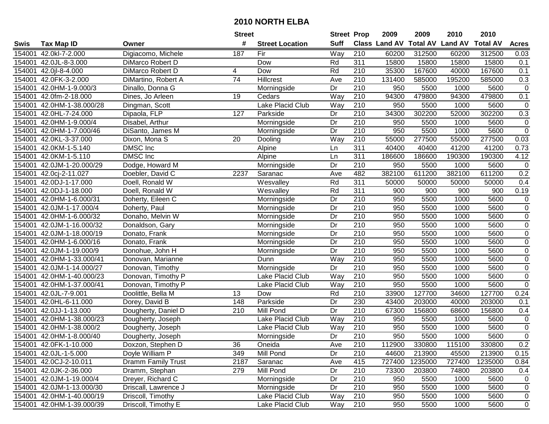| #<br><b>Suff</b><br><b>Total AV</b><br><b>Land AV</b><br>Class Land AV<br><b>Total AV</b><br><b>Acres</b><br><b>Tax Map ID</b><br><b>Street Location</b><br>Swis<br>Owner<br>Way<br>210<br>42.0kl-7-2.000<br>Digiacomo, Michele<br>187<br>Fir<br>60200<br>312500<br>60200<br>312500<br>154001<br>0.03<br>311<br>154001<br>Dow<br>15800<br>15800<br>15800<br>15800<br>0.1<br>42.0JL-8-3.000<br>DiMarco Robert D<br>Rd<br>167600<br>167600<br>154001<br>42.0 l-8-4.000<br>DiMarco Robert D<br>Rd<br>210<br>35300<br>40000<br>0.1<br>4<br>Dow<br>$\overline{74}$<br>0.3<br><b>Hillcrest</b><br>210<br>131400<br>195200<br>585000<br>154001<br>42.0FK-3-2.000<br>DiMartino, Robert A<br>Ave<br>585000<br>$\overline{210}$<br>154001<br>42.0HM-1-9.000/3<br>Dr<br>950<br>5500<br>1000<br>5600<br>$\mathbf 0$<br>Dinallo, Donna G<br>Morningside<br>Way<br>$\overline{210}$<br>94300<br>479800<br>479800<br>0.1<br>42.0fm-2-18.000<br>19<br>94300<br>154001<br>Dines, Jo Arleen<br>Cedars<br>Lake Placid Club<br>42.0HM-1-38.000/28<br>Way<br>210<br>950<br>5500<br>5600<br>$\mathbf 0$<br>154001<br>Dingman, Scott<br>1000<br>210<br>34300<br>302200<br>0.3<br>Dipaola, FLP<br>127<br>302200<br>52000<br>154001<br>42.0HL-7-24.000<br>Parkside<br>Dr<br>$\overline{210}$<br>950<br>5500<br>154001<br>42.0HM-1-9.000/4<br>Dr<br>1000<br>5600<br>0<br>Disabel, Arthur<br>Morningside<br>$\mathsf 0$<br>Dr<br>210<br>950<br>5500<br>5600<br>42.0HM-1-7.000/46<br>1000<br>154001<br>DiSanto, James M<br>Morningside<br>210<br>55000<br>277500<br>55000<br>277500<br>154001<br>42.0KL-3-37.000<br>20<br>Way<br>0.03<br>Dixon, Mona S<br>Dooling<br>DMSC Inc<br>311<br>41200<br>154001<br>42.0KM-1-5.140<br>40400<br>40400<br>41200<br>0.73<br>Alpine<br>Ln<br><b>DMSC</b> Inc<br>$\overline{311}$<br>4.12<br>42.0KM-1-5.110<br>186600<br>186600<br>190300<br>190300<br>154001<br>Alpine<br>Ln<br>Dr<br>210<br>42.0JM-1-20.000/29<br>Dodge, Howard M<br>950<br>5500<br>1000<br>5600<br>$\mathbf 0$<br>154001<br>Morningside<br>0.2<br>482<br>382100<br>611200<br>382100<br>611200<br>42.0cj-2-11.027<br>Doebler, David C<br>2237<br>Ave<br>154001<br>Saranac<br>311<br>42.0DJ-1-17.000<br>Rd<br>50000<br>50000<br>50000<br>50000<br>0.4<br>154001<br>Doell, Ronald W<br>Wesvalley<br>$\overline{311}$<br>Rd<br>0.19<br>154001<br>42.0DJ-1-18.000<br>900<br>900<br>900<br>900<br>Doell, Ronald W<br>Wesvalley<br>Dr<br>210<br>5600<br>$\mathsf 0$<br>154001<br>950<br>5500<br>1000<br>42.0HM-1-6.000/31<br>Doherty, Eileen C<br>Morningside<br>$\overline{0}$<br>Dr<br>210<br>950<br>154001<br>42.0JM-1-17.000/4<br>5500<br>1000<br>5600<br>Doherty, Paul<br>Morningside<br>$\mathsf 0$<br>154001<br>42.0HM-1-6.000/32<br>Dr<br>210<br>950<br>5500<br>1000<br>5600<br>Donaho, Melvin W<br>Morningside<br>$\overline{0}$<br>$\overline{210}$<br>42.0JM-1-16.000/32<br>Dr<br>950<br>5500<br>1000<br>5600<br>154001<br>Donaldson, Gary<br>Morningside<br>$\overline{0}$<br>210<br>42.0JM-1-18.000/19<br>Dr<br>950<br>5500<br>1000<br>5600<br>154001<br>Donato, Frank<br>Morningside<br>$\overline{0}$<br>Dr<br>210<br>950<br>5600<br>42.0HM-1-6.000/16<br>5500<br>1000<br>154001<br>Donato, Frank<br>Morningside<br>Dr<br>210<br>42.0JM-1-19.000/9<br>950<br>5500<br>1000<br>5600<br>$\mathbf 0$<br>154001<br>Donohue, John H<br>Morningside<br>Way<br>$\overline{210}$<br>$\overline{0}$<br>42.0HM-1-33.000/41<br>950<br>5500<br>1000<br>5600<br>154001<br>Donovan, Marianne<br>Dunn<br>Dr<br>210<br>950<br>5600<br>$\boldsymbol{0}$<br>154001<br>42.0JM-1-14.000/27<br>Morningside<br>5500<br>1000<br>Donovan, Timothy<br>210<br>950<br>5600<br>$\pmb{0}$<br>154001<br>42.0HM-1-40.000/23<br>Lake Placid Club<br>Way<br>5500<br>1000<br>Donovan, Timothy P<br>210<br>950<br>5500<br>5600<br>$\mathbf 0$<br>154001<br>42.0HM-1-37.000/41<br>Lake Placid Club<br>1000<br>Donovan, Timothy P<br>Way<br>210<br>127700<br>13<br>Rd<br>33900<br>127700<br>34600<br>0.24<br>154001<br>42.0JL-7-9.001<br>Doolittle, Bella M<br>Dow<br>230<br>43400<br>42.0HL-6-11.000<br>Dorey, David B<br>148<br>Parkside<br>Dr<br>203000<br>40000<br>203000<br>0.1<br>154001<br>210<br>Dr<br>67300<br>156800<br>156800<br>154001<br>42.0JJ-1-13.000<br>210<br>Mill Pond<br>68600<br>0.4<br>Dougherty, Daniel D<br>$\overline{210}$<br>Lake Placid Club<br>Way<br>950<br>5500<br>5600<br>$\mathbf 0$<br>154001<br>42.0HM-1-38.000/23<br>Dougherty, Joseph<br>1000<br>$\overline{0}$<br>$\overline{210}$<br>950<br>1000<br>5600<br>42.0HM-1-38.000/2<br>Lake Placid Club<br>Way<br>5500<br>154001<br>Dougherty, Joseph<br>$\overline{0}$<br>210<br>950<br>Dr<br>5500<br>1000<br>5600<br>154001 42.0HM-1-8.000/40<br>Dougherty, Joseph<br>Morningside<br>154001 42.0FK-1-10.000<br>Doxzon, Stephen D<br>36<br>Oneida<br>Ave<br>210<br>112900<br>330800<br>115100<br>330800<br>0.2<br>Doyle William P<br>349<br>Mill Pond<br>Dr<br>210<br>44600<br>213900<br>45500<br>213900<br>0.15<br>154001 42.0JL-1-5.000<br>727400<br>154001 42.0CJ-2-10.011<br><b>Dramm Family Trust</b><br>2187<br>Saranac<br>Ave<br>415<br>1235000<br>727400<br>1235000<br>0.84<br>Mill Pond<br>210<br>73300<br>203800<br>74800<br>154001 42.0JK-2-36.000<br>Dramm, Stephan<br>279<br>Dr<br>203800<br>0.4<br>Dreyer, Richard C<br>210<br>154001 42.0JM-1-19.000/4<br>Morningside<br>Dr<br>950<br>5500<br>1000<br>5600<br>$\mathbf 0$<br>Morningside<br>210<br>154001 42.0JM-1-13.000/30<br>Driscall, Lawrence J<br>Dr<br>950<br>5500<br>1000<br>5600<br>$\mathbf 0$<br>210<br>154001 42.0HM-1-40.000/19<br>Driscoll, Timothy<br>Lake Placid Club<br>Way<br>950<br>5500<br>1000<br>5600<br>$\mathbf 0$<br>Driscoll, Timothy E<br>210<br>154001 42.0HM-1-39.000/39<br>Lake Placid Club<br>950<br>5500<br>1000<br>5600<br>$\mathbf 0$<br>Way |  | <b>Street</b> | <b>Street Prop</b> | 2009 | 2009 | 2010 | 2010 |  |
|----------------------------------------------------------------------------------------------------------------------------------------------------------------------------------------------------------------------------------------------------------------------------------------------------------------------------------------------------------------------------------------------------------------------------------------------------------------------------------------------------------------------------------------------------------------------------------------------------------------------------------------------------------------------------------------------------------------------------------------------------------------------------------------------------------------------------------------------------------------------------------------------------------------------------------------------------------------------------------------------------------------------------------------------------------------------------------------------------------------------------------------------------------------------------------------------------------------------------------------------------------------------------------------------------------------------------------------------------------------------------------------------------------------------------------------------------------------------------------------------------------------------------------------------------------------------------------------------------------------------------------------------------------------------------------------------------------------------------------------------------------------------------------------------------------------------------------------------------------------------------------------------------------------------------------------------------------------------------------------------------------------------------------------------------------------------------------------------------------------------------------------------------------------------------------------------------------------------------------------------------------------------------------------------------------------------------------------------------------------------------------------------------------------------------------------------------------------------------------------------------------------------------------------------------------------------------------------------------------------------------------------------------------------------------------------------------------------------------------------------------------------------------------------------------------------------------------------------------------------------------------------------------------------------------------------------------------------------------------------------------------------------------------------------------------------------------------------------------------------------------------------------------------------------------------------------------------------------------------------------------------------------------------------------------------------------------------------------------------------------------------------------------------------------------------------------------------------------------------------------------------------------------------------------------------------------------------------------------------------------------------------------------------------------------------------------------------------------------------------------------------------------------------------------------------------------------------------------------------------------------------------------------------------------------------------------------------------------------------------------------------------------------------------------------------------------------------------------------------------------------------------------------------------------------------------------------------------------------------------------------------------------------------------------------------------------------------------------------------------------------------------------------------------------------------------------------------------------------------------------------------------------------------------------------------------------------------------------------------------------------------------------------------------------------------------------------------------------------------------------------------------------------------------------------------------------------------------------------------------------------------------------------------------------------------------------------------------------------------------------------------------------------------------------------------------------------------------------------------------------------------------------------------------------------------------------------------------------------------------------------------------------------------------------------------------------------------------------------------------------------------------------------------------------------------------------------------------------------------------------------------------------------------------------------------------------------------------------------------------------------------------------------------------------------------------------------------------------------------------------------------------------------|--|---------------|--------------------|------|------|------|------|--|
|                                                                                                                                                                                                                                                                                                                                                                                                                                                                                                                                                                                                                                                                                                                                                                                                                                                                                                                                                                                                                                                                                                                                                                                                                                                                                                                                                                                                                                                                                                                                                                                                                                                                                                                                                                                                                                                                                                                                                                                                                                                                                                                                                                                                                                                                                                                                                                                                                                                                                                                                                                                                                                                                                                                                                                                                                                                                                                                                                                                                                                                                                                                                                                                                                                                                                                                                                                                                                                                                                                                                                                                                                                                                                                                                                                                                                                                                                                                                                                                                                                                                                                                                                                                                                                                                                                                                                                                                                                                                                                                                                                                                                                                                                                                                                                                                                                                                                                                                                                                                                                                                                                                                                                                                                                                                                                                                                                                                                                                                                                                                                                                                                                                                                                                                                                            |  |               |                    |      |      |      |      |  |
|                                                                                                                                                                                                                                                                                                                                                                                                                                                                                                                                                                                                                                                                                                                                                                                                                                                                                                                                                                                                                                                                                                                                                                                                                                                                                                                                                                                                                                                                                                                                                                                                                                                                                                                                                                                                                                                                                                                                                                                                                                                                                                                                                                                                                                                                                                                                                                                                                                                                                                                                                                                                                                                                                                                                                                                                                                                                                                                                                                                                                                                                                                                                                                                                                                                                                                                                                                                                                                                                                                                                                                                                                                                                                                                                                                                                                                                                                                                                                                                                                                                                                                                                                                                                                                                                                                                                                                                                                                                                                                                                                                                                                                                                                                                                                                                                                                                                                                                                                                                                                                                                                                                                                                                                                                                                                                                                                                                                                                                                                                                                                                                                                                                                                                                                                                            |  |               |                    |      |      |      |      |  |
|                                                                                                                                                                                                                                                                                                                                                                                                                                                                                                                                                                                                                                                                                                                                                                                                                                                                                                                                                                                                                                                                                                                                                                                                                                                                                                                                                                                                                                                                                                                                                                                                                                                                                                                                                                                                                                                                                                                                                                                                                                                                                                                                                                                                                                                                                                                                                                                                                                                                                                                                                                                                                                                                                                                                                                                                                                                                                                                                                                                                                                                                                                                                                                                                                                                                                                                                                                                                                                                                                                                                                                                                                                                                                                                                                                                                                                                                                                                                                                                                                                                                                                                                                                                                                                                                                                                                                                                                                                                                                                                                                                                                                                                                                                                                                                                                                                                                                                                                                                                                                                                                                                                                                                                                                                                                                                                                                                                                                                                                                                                                                                                                                                                                                                                                                                            |  |               |                    |      |      |      |      |  |
|                                                                                                                                                                                                                                                                                                                                                                                                                                                                                                                                                                                                                                                                                                                                                                                                                                                                                                                                                                                                                                                                                                                                                                                                                                                                                                                                                                                                                                                                                                                                                                                                                                                                                                                                                                                                                                                                                                                                                                                                                                                                                                                                                                                                                                                                                                                                                                                                                                                                                                                                                                                                                                                                                                                                                                                                                                                                                                                                                                                                                                                                                                                                                                                                                                                                                                                                                                                                                                                                                                                                                                                                                                                                                                                                                                                                                                                                                                                                                                                                                                                                                                                                                                                                                                                                                                                                                                                                                                                                                                                                                                                                                                                                                                                                                                                                                                                                                                                                                                                                                                                                                                                                                                                                                                                                                                                                                                                                                                                                                                                                                                                                                                                                                                                                                                            |  |               |                    |      |      |      |      |  |
|                                                                                                                                                                                                                                                                                                                                                                                                                                                                                                                                                                                                                                                                                                                                                                                                                                                                                                                                                                                                                                                                                                                                                                                                                                                                                                                                                                                                                                                                                                                                                                                                                                                                                                                                                                                                                                                                                                                                                                                                                                                                                                                                                                                                                                                                                                                                                                                                                                                                                                                                                                                                                                                                                                                                                                                                                                                                                                                                                                                                                                                                                                                                                                                                                                                                                                                                                                                                                                                                                                                                                                                                                                                                                                                                                                                                                                                                                                                                                                                                                                                                                                                                                                                                                                                                                                                                                                                                                                                                                                                                                                                                                                                                                                                                                                                                                                                                                                                                                                                                                                                                                                                                                                                                                                                                                                                                                                                                                                                                                                                                                                                                                                                                                                                                                                            |  |               |                    |      |      |      |      |  |
|                                                                                                                                                                                                                                                                                                                                                                                                                                                                                                                                                                                                                                                                                                                                                                                                                                                                                                                                                                                                                                                                                                                                                                                                                                                                                                                                                                                                                                                                                                                                                                                                                                                                                                                                                                                                                                                                                                                                                                                                                                                                                                                                                                                                                                                                                                                                                                                                                                                                                                                                                                                                                                                                                                                                                                                                                                                                                                                                                                                                                                                                                                                                                                                                                                                                                                                                                                                                                                                                                                                                                                                                                                                                                                                                                                                                                                                                                                                                                                                                                                                                                                                                                                                                                                                                                                                                                                                                                                                                                                                                                                                                                                                                                                                                                                                                                                                                                                                                                                                                                                                                                                                                                                                                                                                                                                                                                                                                                                                                                                                                                                                                                                                                                                                                                                            |  |               |                    |      |      |      |      |  |
|                                                                                                                                                                                                                                                                                                                                                                                                                                                                                                                                                                                                                                                                                                                                                                                                                                                                                                                                                                                                                                                                                                                                                                                                                                                                                                                                                                                                                                                                                                                                                                                                                                                                                                                                                                                                                                                                                                                                                                                                                                                                                                                                                                                                                                                                                                                                                                                                                                                                                                                                                                                                                                                                                                                                                                                                                                                                                                                                                                                                                                                                                                                                                                                                                                                                                                                                                                                                                                                                                                                                                                                                                                                                                                                                                                                                                                                                                                                                                                                                                                                                                                                                                                                                                                                                                                                                                                                                                                                                                                                                                                                                                                                                                                                                                                                                                                                                                                                                                                                                                                                                                                                                                                                                                                                                                                                                                                                                                                                                                                                                                                                                                                                                                                                                                                            |  |               |                    |      |      |      |      |  |
|                                                                                                                                                                                                                                                                                                                                                                                                                                                                                                                                                                                                                                                                                                                                                                                                                                                                                                                                                                                                                                                                                                                                                                                                                                                                                                                                                                                                                                                                                                                                                                                                                                                                                                                                                                                                                                                                                                                                                                                                                                                                                                                                                                                                                                                                                                                                                                                                                                                                                                                                                                                                                                                                                                                                                                                                                                                                                                                                                                                                                                                                                                                                                                                                                                                                                                                                                                                                                                                                                                                                                                                                                                                                                                                                                                                                                                                                                                                                                                                                                                                                                                                                                                                                                                                                                                                                                                                                                                                                                                                                                                                                                                                                                                                                                                                                                                                                                                                                                                                                                                                                                                                                                                                                                                                                                                                                                                                                                                                                                                                                                                                                                                                                                                                                                                            |  |               |                    |      |      |      |      |  |
|                                                                                                                                                                                                                                                                                                                                                                                                                                                                                                                                                                                                                                                                                                                                                                                                                                                                                                                                                                                                                                                                                                                                                                                                                                                                                                                                                                                                                                                                                                                                                                                                                                                                                                                                                                                                                                                                                                                                                                                                                                                                                                                                                                                                                                                                                                                                                                                                                                                                                                                                                                                                                                                                                                                                                                                                                                                                                                                                                                                                                                                                                                                                                                                                                                                                                                                                                                                                                                                                                                                                                                                                                                                                                                                                                                                                                                                                                                                                                                                                                                                                                                                                                                                                                                                                                                                                                                                                                                                                                                                                                                                                                                                                                                                                                                                                                                                                                                                                                                                                                                                                                                                                                                                                                                                                                                                                                                                                                                                                                                                                                                                                                                                                                                                                                                            |  |               |                    |      |      |      |      |  |
|                                                                                                                                                                                                                                                                                                                                                                                                                                                                                                                                                                                                                                                                                                                                                                                                                                                                                                                                                                                                                                                                                                                                                                                                                                                                                                                                                                                                                                                                                                                                                                                                                                                                                                                                                                                                                                                                                                                                                                                                                                                                                                                                                                                                                                                                                                                                                                                                                                                                                                                                                                                                                                                                                                                                                                                                                                                                                                                                                                                                                                                                                                                                                                                                                                                                                                                                                                                                                                                                                                                                                                                                                                                                                                                                                                                                                                                                                                                                                                                                                                                                                                                                                                                                                                                                                                                                                                                                                                                                                                                                                                                                                                                                                                                                                                                                                                                                                                                                                                                                                                                                                                                                                                                                                                                                                                                                                                                                                                                                                                                                                                                                                                                                                                                                                                            |  |               |                    |      |      |      |      |  |
|                                                                                                                                                                                                                                                                                                                                                                                                                                                                                                                                                                                                                                                                                                                                                                                                                                                                                                                                                                                                                                                                                                                                                                                                                                                                                                                                                                                                                                                                                                                                                                                                                                                                                                                                                                                                                                                                                                                                                                                                                                                                                                                                                                                                                                                                                                                                                                                                                                                                                                                                                                                                                                                                                                                                                                                                                                                                                                                                                                                                                                                                                                                                                                                                                                                                                                                                                                                                                                                                                                                                                                                                                                                                                                                                                                                                                                                                                                                                                                                                                                                                                                                                                                                                                                                                                                                                                                                                                                                                                                                                                                                                                                                                                                                                                                                                                                                                                                                                                                                                                                                                                                                                                                                                                                                                                                                                                                                                                                                                                                                                                                                                                                                                                                                                                                            |  |               |                    |      |      |      |      |  |
|                                                                                                                                                                                                                                                                                                                                                                                                                                                                                                                                                                                                                                                                                                                                                                                                                                                                                                                                                                                                                                                                                                                                                                                                                                                                                                                                                                                                                                                                                                                                                                                                                                                                                                                                                                                                                                                                                                                                                                                                                                                                                                                                                                                                                                                                                                                                                                                                                                                                                                                                                                                                                                                                                                                                                                                                                                                                                                                                                                                                                                                                                                                                                                                                                                                                                                                                                                                                                                                                                                                                                                                                                                                                                                                                                                                                                                                                                                                                                                                                                                                                                                                                                                                                                                                                                                                                                                                                                                                                                                                                                                                                                                                                                                                                                                                                                                                                                                                                                                                                                                                                                                                                                                                                                                                                                                                                                                                                                                                                                                                                                                                                                                                                                                                                                                            |  |               |                    |      |      |      |      |  |
|                                                                                                                                                                                                                                                                                                                                                                                                                                                                                                                                                                                                                                                                                                                                                                                                                                                                                                                                                                                                                                                                                                                                                                                                                                                                                                                                                                                                                                                                                                                                                                                                                                                                                                                                                                                                                                                                                                                                                                                                                                                                                                                                                                                                                                                                                                                                                                                                                                                                                                                                                                                                                                                                                                                                                                                                                                                                                                                                                                                                                                                                                                                                                                                                                                                                                                                                                                                                                                                                                                                                                                                                                                                                                                                                                                                                                                                                                                                                                                                                                                                                                                                                                                                                                                                                                                                                                                                                                                                                                                                                                                                                                                                                                                                                                                                                                                                                                                                                                                                                                                                                                                                                                                                                                                                                                                                                                                                                                                                                                                                                                                                                                                                                                                                                                                            |  |               |                    |      |      |      |      |  |
|                                                                                                                                                                                                                                                                                                                                                                                                                                                                                                                                                                                                                                                                                                                                                                                                                                                                                                                                                                                                                                                                                                                                                                                                                                                                                                                                                                                                                                                                                                                                                                                                                                                                                                                                                                                                                                                                                                                                                                                                                                                                                                                                                                                                                                                                                                                                                                                                                                                                                                                                                                                                                                                                                                                                                                                                                                                                                                                                                                                                                                                                                                                                                                                                                                                                                                                                                                                                                                                                                                                                                                                                                                                                                                                                                                                                                                                                                                                                                                                                                                                                                                                                                                                                                                                                                                                                                                                                                                                                                                                                                                                                                                                                                                                                                                                                                                                                                                                                                                                                                                                                                                                                                                                                                                                                                                                                                                                                                                                                                                                                                                                                                                                                                                                                                                            |  |               |                    |      |      |      |      |  |
|                                                                                                                                                                                                                                                                                                                                                                                                                                                                                                                                                                                                                                                                                                                                                                                                                                                                                                                                                                                                                                                                                                                                                                                                                                                                                                                                                                                                                                                                                                                                                                                                                                                                                                                                                                                                                                                                                                                                                                                                                                                                                                                                                                                                                                                                                                                                                                                                                                                                                                                                                                                                                                                                                                                                                                                                                                                                                                                                                                                                                                                                                                                                                                                                                                                                                                                                                                                                                                                                                                                                                                                                                                                                                                                                                                                                                                                                                                                                                                                                                                                                                                                                                                                                                                                                                                                                                                                                                                                                                                                                                                                                                                                                                                                                                                                                                                                                                                                                                                                                                                                                                                                                                                                                                                                                                                                                                                                                                                                                                                                                                                                                                                                                                                                                                                            |  |               |                    |      |      |      |      |  |
|                                                                                                                                                                                                                                                                                                                                                                                                                                                                                                                                                                                                                                                                                                                                                                                                                                                                                                                                                                                                                                                                                                                                                                                                                                                                                                                                                                                                                                                                                                                                                                                                                                                                                                                                                                                                                                                                                                                                                                                                                                                                                                                                                                                                                                                                                                                                                                                                                                                                                                                                                                                                                                                                                                                                                                                                                                                                                                                                                                                                                                                                                                                                                                                                                                                                                                                                                                                                                                                                                                                                                                                                                                                                                                                                                                                                                                                                                                                                                                                                                                                                                                                                                                                                                                                                                                                                                                                                                                                                                                                                                                                                                                                                                                                                                                                                                                                                                                                                                                                                                                                                                                                                                                                                                                                                                                                                                                                                                                                                                                                                                                                                                                                                                                                                                                            |  |               |                    |      |      |      |      |  |
|                                                                                                                                                                                                                                                                                                                                                                                                                                                                                                                                                                                                                                                                                                                                                                                                                                                                                                                                                                                                                                                                                                                                                                                                                                                                                                                                                                                                                                                                                                                                                                                                                                                                                                                                                                                                                                                                                                                                                                                                                                                                                                                                                                                                                                                                                                                                                                                                                                                                                                                                                                                                                                                                                                                                                                                                                                                                                                                                                                                                                                                                                                                                                                                                                                                                                                                                                                                                                                                                                                                                                                                                                                                                                                                                                                                                                                                                                                                                                                                                                                                                                                                                                                                                                                                                                                                                                                                                                                                                                                                                                                                                                                                                                                                                                                                                                                                                                                                                                                                                                                                                                                                                                                                                                                                                                                                                                                                                                                                                                                                                                                                                                                                                                                                                                                            |  |               |                    |      |      |      |      |  |
|                                                                                                                                                                                                                                                                                                                                                                                                                                                                                                                                                                                                                                                                                                                                                                                                                                                                                                                                                                                                                                                                                                                                                                                                                                                                                                                                                                                                                                                                                                                                                                                                                                                                                                                                                                                                                                                                                                                                                                                                                                                                                                                                                                                                                                                                                                                                                                                                                                                                                                                                                                                                                                                                                                                                                                                                                                                                                                                                                                                                                                                                                                                                                                                                                                                                                                                                                                                                                                                                                                                                                                                                                                                                                                                                                                                                                                                                                                                                                                                                                                                                                                                                                                                                                                                                                                                                                                                                                                                                                                                                                                                                                                                                                                                                                                                                                                                                                                                                                                                                                                                                                                                                                                                                                                                                                                                                                                                                                                                                                                                                                                                                                                                                                                                                                                            |  |               |                    |      |      |      |      |  |
|                                                                                                                                                                                                                                                                                                                                                                                                                                                                                                                                                                                                                                                                                                                                                                                                                                                                                                                                                                                                                                                                                                                                                                                                                                                                                                                                                                                                                                                                                                                                                                                                                                                                                                                                                                                                                                                                                                                                                                                                                                                                                                                                                                                                                                                                                                                                                                                                                                                                                                                                                                                                                                                                                                                                                                                                                                                                                                                                                                                                                                                                                                                                                                                                                                                                                                                                                                                                                                                                                                                                                                                                                                                                                                                                                                                                                                                                                                                                                                                                                                                                                                                                                                                                                                                                                                                                                                                                                                                                                                                                                                                                                                                                                                                                                                                                                                                                                                                                                                                                                                                                                                                                                                                                                                                                                                                                                                                                                                                                                                                                                                                                                                                                                                                                                                            |  |               |                    |      |      |      |      |  |
|                                                                                                                                                                                                                                                                                                                                                                                                                                                                                                                                                                                                                                                                                                                                                                                                                                                                                                                                                                                                                                                                                                                                                                                                                                                                                                                                                                                                                                                                                                                                                                                                                                                                                                                                                                                                                                                                                                                                                                                                                                                                                                                                                                                                                                                                                                                                                                                                                                                                                                                                                                                                                                                                                                                                                                                                                                                                                                                                                                                                                                                                                                                                                                                                                                                                                                                                                                                                                                                                                                                                                                                                                                                                                                                                                                                                                                                                                                                                                                                                                                                                                                                                                                                                                                                                                                                                                                                                                                                                                                                                                                                                                                                                                                                                                                                                                                                                                                                                                                                                                                                                                                                                                                                                                                                                                                                                                                                                                                                                                                                                                                                                                                                                                                                                                                            |  |               |                    |      |      |      |      |  |
|                                                                                                                                                                                                                                                                                                                                                                                                                                                                                                                                                                                                                                                                                                                                                                                                                                                                                                                                                                                                                                                                                                                                                                                                                                                                                                                                                                                                                                                                                                                                                                                                                                                                                                                                                                                                                                                                                                                                                                                                                                                                                                                                                                                                                                                                                                                                                                                                                                                                                                                                                                                                                                                                                                                                                                                                                                                                                                                                                                                                                                                                                                                                                                                                                                                                                                                                                                                                                                                                                                                                                                                                                                                                                                                                                                                                                                                                                                                                                                                                                                                                                                                                                                                                                                                                                                                                                                                                                                                                                                                                                                                                                                                                                                                                                                                                                                                                                                                                                                                                                                                                                                                                                                                                                                                                                                                                                                                                                                                                                                                                                                                                                                                                                                                                                                            |  |               |                    |      |      |      |      |  |
|                                                                                                                                                                                                                                                                                                                                                                                                                                                                                                                                                                                                                                                                                                                                                                                                                                                                                                                                                                                                                                                                                                                                                                                                                                                                                                                                                                                                                                                                                                                                                                                                                                                                                                                                                                                                                                                                                                                                                                                                                                                                                                                                                                                                                                                                                                                                                                                                                                                                                                                                                                                                                                                                                                                                                                                                                                                                                                                                                                                                                                                                                                                                                                                                                                                                                                                                                                                                                                                                                                                                                                                                                                                                                                                                                                                                                                                                                                                                                                                                                                                                                                                                                                                                                                                                                                                                                                                                                                                                                                                                                                                                                                                                                                                                                                                                                                                                                                                                                                                                                                                                                                                                                                                                                                                                                                                                                                                                                                                                                                                                                                                                                                                                                                                                                                            |  |               |                    |      |      |      |      |  |
|                                                                                                                                                                                                                                                                                                                                                                                                                                                                                                                                                                                                                                                                                                                                                                                                                                                                                                                                                                                                                                                                                                                                                                                                                                                                                                                                                                                                                                                                                                                                                                                                                                                                                                                                                                                                                                                                                                                                                                                                                                                                                                                                                                                                                                                                                                                                                                                                                                                                                                                                                                                                                                                                                                                                                                                                                                                                                                                                                                                                                                                                                                                                                                                                                                                                                                                                                                                                                                                                                                                                                                                                                                                                                                                                                                                                                                                                                                                                                                                                                                                                                                                                                                                                                                                                                                                                                                                                                                                                                                                                                                                                                                                                                                                                                                                                                                                                                                                                                                                                                                                                                                                                                                                                                                                                                                                                                                                                                                                                                                                                                                                                                                                                                                                                                                            |  |               |                    |      |      |      |      |  |
|                                                                                                                                                                                                                                                                                                                                                                                                                                                                                                                                                                                                                                                                                                                                                                                                                                                                                                                                                                                                                                                                                                                                                                                                                                                                                                                                                                                                                                                                                                                                                                                                                                                                                                                                                                                                                                                                                                                                                                                                                                                                                                                                                                                                                                                                                                                                                                                                                                                                                                                                                                                                                                                                                                                                                                                                                                                                                                                                                                                                                                                                                                                                                                                                                                                                                                                                                                                                                                                                                                                                                                                                                                                                                                                                                                                                                                                                                                                                                                                                                                                                                                                                                                                                                                                                                                                                                                                                                                                                                                                                                                                                                                                                                                                                                                                                                                                                                                                                                                                                                                                                                                                                                                                                                                                                                                                                                                                                                                                                                                                                                                                                                                                                                                                                                                            |  |               |                    |      |      |      |      |  |
|                                                                                                                                                                                                                                                                                                                                                                                                                                                                                                                                                                                                                                                                                                                                                                                                                                                                                                                                                                                                                                                                                                                                                                                                                                                                                                                                                                                                                                                                                                                                                                                                                                                                                                                                                                                                                                                                                                                                                                                                                                                                                                                                                                                                                                                                                                                                                                                                                                                                                                                                                                                                                                                                                                                                                                                                                                                                                                                                                                                                                                                                                                                                                                                                                                                                                                                                                                                                                                                                                                                                                                                                                                                                                                                                                                                                                                                                                                                                                                                                                                                                                                                                                                                                                                                                                                                                                                                                                                                                                                                                                                                                                                                                                                                                                                                                                                                                                                                                                                                                                                                                                                                                                                                                                                                                                                                                                                                                                                                                                                                                                                                                                                                                                                                                                                            |  |               |                    |      |      |      |      |  |
|                                                                                                                                                                                                                                                                                                                                                                                                                                                                                                                                                                                                                                                                                                                                                                                                                                                                                                                                                                                                                                                                                                                                                                                                                                                                                                                                                                                                                                                                                                                                                                                                                                                                                                                                                                                                                                                                                                                                                                                                                                                                                                                                                                                                                                                                                                                                                                                                                                                                                                                                                                                                                                                                                                                                                                                                                                                                                                                                                                                                                                                                                                                                                                                                                                                                                                                                                                                                                                                                                                                                                                                                                                                                                                                                                                                                                                                                                                                                                                                                                                                                                                                                                                                                                                                                                                                                                                                                                                                                                                                                                                                                                                                                                                                                                                                                                                                                                                                                                                                                                                                                                                                                                                                                                                                                                                                                                                                                                                                                                                                                                                                                                                                                                                                                                                            |  |               |                    |      |      |      |      |  |
|                                                                                                                                                                                                                                                                                                                                                                                                                                                                                                                                                                                                                                                                                                                                                                                                                                                                                                                                                                                                                                                                                                                                                                                                                                                                                                                                                                                                                                                                                                                                                                                                                                                                                                                                                                                                                                                                                                                                                                                                                                                                                                                                                                                                                                                                                                                                                                                                                                                                                                                                                                                                                                                                                                                                                                                                                                                                                                                                                                                                                                                                                                                                                                                                                                                                                                                                                                                                                                                                                                                                                                                                                                                                                                                                                                                                                                                                                                                                                                                                                                                                                                                                                                                                                                                                                                                                                                                                                                                                                                                                                                                                                                                                                                                                                                                                                                                                                                                                                                                                                                                                                                                                                                                                                                                                                                                                                                                                                                                                                                                                                                                                                                                                                                                                                                            |  |               |                    |      |      |      |      |  |
|                                                                                                                                                                                                                                                                                                                                                                                                                                                                                                                                                                                                                                                                                                                                                                                                                                                                                                                                                                                                                                                                                                                                                                                                                                                                                                                                                                                                                                                                                                                                                                                                                                                                                                                                                                                                                                                                                                                                                                                                                                                                                                                                                                                                                                                                                                                                                                                                                                                                                                                                                                                                                                                                                                                                                                                                                                                                                                                                                                                                                                                                                                                                                                                                                                                                                                                                                                                                                                                                                                                                                                                                                                                                                                                                                                                                                                                                                                                                                                                                                                                                                                                                                                                                                                                                                                                                                                                                                                                                                                                                                                                                                                                                                                                                                                                                                                                                                                                                                                                                                                                                                                                                                                                                                                                                                                                                                                                                                                                                                                                                                                                                                                                                                                                                                                            |  |               |                    |      |      |      |      |  |
|                                                                                                                                                                                                                                                                                                                                                                                                                                                                                                                                                                                                                                                                                                                                                                                                                                                                                                                                                                                                                                                                                                                                                                                                                                                                                                                                                                                                                                                                                                                                                                                                                                                                                                                                                                                                                                                                                                                                                                                                                                                                                                                                                                                                                                                                                                                                                                                                                                                                                                                                                                                                                                                                                                                                                                                                                                                                                                                                                                                                                                                                                                                                                                                                                                                                                                                                                                                                                                                                                                                                                                                                                                                                                                                                                                                                                                                                                                                                                                                                                                                                                                                                                                                                                                                                                                                                                                                                                                                                                                                                                                                                                                                                                                                                                                                                                                                                                                                                                                                                                                                                                                                                                                                                                                                                                                                                                                                                                                                                                                                                                                                                                                                                                                                                                                            |  |               |                    |      |      |      |      |  |
|                                                                                                                                                                                                                                                                                                                                                                                                                                                                                                                                                                                                                                                                                                                                                                                                                                                                                                                                                                                                                                                                                                                                                                                                                                                                                                                                                                                                                                                                                                                                                                                                                                                                                                                                                                                                                                                                                                                                                                                                                                                                                                                                                                                                                                                                                                                                                                                                                                                                                                                                                                                                                                                                                                                                                                                                                                                                                                                                                                                                                                                                                                                                                                                                                                                                                                                                                                                                                                                                                                                                                                                                                                                                                                                                                                                                                                                                                                                                                                                                                                                                                                                                                                                                                                                                                                                                                                                                                                                                                                                                                                                                                                                                                                                                                                                                                                                                                                                                                                                                                                                                                                                                                                                                                                                                                                                                                                                                                                                                                                                                                                                                                                                                                                                                                                            |  |               |                    |      |      |      |      |  |
|                                                                                                                                                                                                                                                                                                                                                                                                                                                                                                                                                                                                                                                                                                                                                                                                                                                                                                                                                                                                                                                                                                                                                                                                                                                                                                                                                                                                                                                                                                                                                                                                                                                                                                                                                                                                                                                                                                                                                                                                                                                                                                                                                                                                                                                                                                                                                                                                                                                                                                                                                                                                                                                                                                                                                                                                                                                                                                                                                                                                                                                                                                                                                                                                                                                                                                                                                                                                                                                                                                                                                                                                                                                                                                                                                                                                                                                                                                                                                                                                                                                                                                                                                                                                                                                                                                                                                                                                                                                                                                                                                                                                                                                                                                                                                                                                                                                                                                                                                                                                                                                                                                                                                                                                                                                                                                                                                                                                                                                                                                                                                                                                                                                                                                                                                                            |  |               |                    |      |      |      |      |  |
|                                                                                                                                                                                                                                                                                                                                                                                                                                                                                                                                                                                                                                                                                                                                                                                                                                                                                                                                                                                                                                                                                                                                                                                                                                                                                                                                                                                                                                                                                                                                                                                                                                                                                                                                                                                                                                                                                                                                                                                                                                                                                                                                                                                                                                                                                                                                                                                                                                                                                                                                                                                                                                                                                                                                                                                                                                                                                                                                                                                                                                                                                                                                                                                                                                                                                                                                                                                                                                                                                                                                                                                                                                                                                                                                                                                                                                                                                                                                                                                                                                                                                                                                                                                                                                                                                                                                                                                                                                                                                                                                                                                                                                                                                                                                                                                                                                                                                                                                                                                                                                                                                                                                                                                                                                                                                                                                                                                                                                                                                                                                                                                                                                                                                                                                                                            |  |               |                    |      |      |      |      |  |
|                                                                                                                                                                                                                                                                                                                                                                                                                                                                                                                                                                                                                                                                                                                                                                                                                                                                                                                                                                                                                                                                                                                                                                                                                                                                                                                                                                                                                                                                                                                                                                                                                                                                                                                                                                                                                                                                                                                                                                                                                                                                                                                                                                                                                                                                                                                                                                                                                                                                                                                                                                                                                                                                                                                                                                                                                                                                                                                                                                                                                                                                                                                                                                                                                                                                                                                                                                                                                                                                                                                                                                                                                                                                                                                                                                                                                                                                                                                                                                                                                                                                                                                                                                                                                                                                                                                                                                                                                                                                                                                                                                                                                                                                                                                                                                                                                                                                                                                                                                                                                                                                                                                                                                                                                                                                                                                                                                                                                                                                                                                                                                                                                                                                                                                                                                            |  |               |                    |      |      |      |      |  |
|                                                                                                                                                                                                                                                                                                                                                                                                                                                                                                                                                                                                                                                                                                                                                                                                                                                                                                                                                                                                                                                                                                                                                                                                                                                                                                                                                                                                                                                                                                                                                                                                                                                                                                                                                                                                                                                                                                                                                                                                                                                                                                                                                                                                                                                                                                                                                                                                                                                                                                                                                                                                                                                                                                                                                                                                                                                                                                                                                                                                                                                                                                                                                                                                                                                                                                                                                                                                                                                                                                                                                                                                                                                                                                                                                                                                                                                                                                                                                                                                                                                                                                                                                                                                                                                                                                                                                                                                                                                                                                                                                                                                                                                                                                                                                                                                                                                                                                                                                                                                                                                                                                                                                                                                                                                                                                                                                                                                                                                                                                                                                                                                                                                                                                                                                                            |  |               |                    |      |      |      |      |  |
|                                                                                                                                                                                                                                                                                                                                                                                                                                                                                                                                                                                                                                                                                                                                                                                                                                                                                                                                                                                                                                                                                                                                                                                                                                                                                                                                                                                                                                                                                                                                                                                                                                                                                                                                                                                                                                                                                                                                                                                                                                                                                                                                                                                                                                                                                                                                                                                                                                                                                                                                                                                                                                                                                                                                                                                                                                                                                                                                                                                                                                                                                                                                                                                                                                                                                                                                                                                                                                                                                                                                                                                                                                                                                                                                                                                                                                                                                                                                                                                                                                                                                                                                                                                                                                                                                                                                                                                                                                                                                                                                                                                                                                                                                                                                                                                                                                                                                                                                                                                                                                                                                                                                                                                                                                                                                                                                                                                                                                                                                                                                                                                                                                                                                                                                                                            |  |               |                    |      |      |      |      |  |
|                                                                                                                                                                                                                                                                                                                                                                                                                                                                                                                                                                                                                                                                                                                                                                                                                                                                                                                                                                                                                                                                                                                                                                                                                                                                                                                                                                                                                                                                                                                                                                                                                                                                                                                                                                                                                                                                                                                                                                                                                                                                                                                                                                                                                                                                                                                                                                                                                                                                                                                                                                                                                                                                                                                                                                                                                                                                                                                                                                                                                                                                                                                                                                                                                                                                                                                                                                                                                                                                                                                                                                                                                                                                                                                                                                                                                                                                                                                                                                                                                                                                                                                                                                                                                                                                                                                                                                                                                                                                                                                                                                                                                                                                                                                                                                                                                                                                                                                                                                                                                                                                                                                                                                                                                                                                                                                                                                                                                                                                                                                                                                                                                                                                                                                                                                            |  |               |                    |      |      |      |      |  |
|                                                                                                                                                                                                                                                                                                                                                                                                                                                                                                                                                                                                                                                                                                                                                                                                                                                                                                                                                                                                                                                                                                                                                                                                                                                                                                                                                                                                                                                                                                                                                                                                                                                                                                                                                                                                                                                                                                                                                                                                                                                                                                                                                                                                                                                                                                                                                                                                                                                                                                                                                                                                                                                                                                                                                                                                                                                                                                                                                                                                                                                                                                                                                                                                                                                                                                                                                                                                                                                                                                                                                                                                                                                                                                                                                                                                                                                                                                                                                                                                                                                                                                                                                                                                                                                                                                                                                                                                                                                                                                                                                                                                                                                                                                                                                                                                                                                                                                                                                                                                                                                                                                                                                                                                                                                                                                                                                                                                                                                                                                                                                                                                                                                                                                                                                                            |  |               |                    |      |      |      |      |  |
|                                                                                                                                                                                                                                                                                                                                                                                                                                                                                                                                                                                                                                                                                                                                                                                                                                                                                                                                                                                                                                                                                                                                                                                                                                                                                                                                                                                                                                                                                                                                                                                                                                                                                                                                                                                                                                                                                                                                                                                                                                                                                                                                                                                                                                                                                                                                                                                                                                                                                                                                                                                                                                                                                                                                                                                                                                                                                                                                                                                                                                                                                                                                                                                                                                                                                                                                                                                                                                                                                                                                                                                                                                                                                                                                                                                                                                                                                                                                                                                                                                                                                                                                                                                                                                                                                                                                                                                                                                                                                                                                                                                                                                                                                                                                                                                                                                                                                                                                                                                                                                                                                                                                                                                                                                                                                                                                                                                                                                                                                                                                                                                                                                                                                                                                                                            |  |               |                    |      |      |      |      |  |
|                                                                                                                                                                                                                                                                                                                                                                                                                                                                                                                                                                                                                                                                                                                                                                                                                                                                                                                                                                                                                                                                                                                                                                                                                                                                                                                                                                                                                                                                                                                                                                                                                                                                                                                                                                                                                                                                                                                                                                                                                                                                                                                                                                                                                                                                                                                                                                                                                                                                                                                                                                                                                                                                                                                                                                                                                                                                                                                                                                                                                                                                                                                                                                                                                                                                                                                                                                                                                                                                                                                                                                                                                                                                                                                                                                                                                                                                                                                                                                                                                                                                                                                                                                                                                                                                                                                                                                                                                                                                                                                                                                                                                                                                                                                                                                                                                                                                                                                                                                                                                                                                                                                                                                                                                                                                                                                                                                                                                                                                                                                                                                                                                                                                                                                                                                            |  |               |                    |      |      |      |      |  |
|                                                                                                                                                                                                                                                                                                                                                                                                                                                                                                                                                                                                                                                                                                                                                                                                                                                                                                                                                                                                                                                                                                                                                                                                                                                                                                                                                                                                                                                                                                                                                                                                                                                                                                                                                                                                                                                                                                                                                                                                                                                                                                                                                                                                                                                                                                                                                                                                                                                                                                                                                                                                                                                                                                                                                                                                                                                                                                                                                                                                                                                                                                                                                                                                                                                                                                                                                                                                                                                                                                                                                                                                                                                                                                                                                                                                                                                                                                                                                                                                                                                                                                                                                                                                                                                                                                                                                                                                                                                                                                                                                                                                                                                                                                                                                                                                                                                                                                                                                                                                                                                                                                                                                                                                                                                                                                                                                                                                                                                                                                                                                                                                                                                                                                                                                                            |  |               |                    |      |      |      |      |  |
|                                                                                                                                                                                                                                                                                                                                                                                                                                                                                                                                                                                                                                                                                                                                                                                                                                                                                                                                                                                                                                                                                                                                                                                                                                                                                                                                                                                                                                                                                                                                                                                                                                                                                                                                                                                                                                                                                                                                                                                                                                                                                                                                                                                                                                                                                                                                                                                                                                                                                                                                                                                                                                                                                                                                                                                                                                                                                                                                                                                                                                                                                                                                                                                                                                                                                                                                                                                                                                                                                                                                                                                                                                                                                                                                                                                                                                                                                                                                                                                                                                                                                                                                                                                                                                                                                                                                                                                                                                                                                                                                                                                                                                                                                                                                                                                                                                                                                                                                                                                                                                                                                                                                                                                                                                                                                                                                                                                                                                                                                                                                                                                                                                                                                                                                                                            |  |               |                    |      |      |      |      |  |
|                                                                                                                                                                                                                                                                                                                                                                                                                                                                                                                                                                                                                                                                                                                                                                                                                                                                                                                                                                                                                                                                                                                                                                                                                                                                                                                                                                                                                                                                                                                                                                                                                                                                                                                                                                                                                                                                                                                                                                                                                                                                                                                                                                                                                                                                                                                                                                                                                                                                                                                                                                                                                                                                                                                                                                                                                                                                                                                                                                                                                                                                                                                                                                                                                                                                                                                                                                                                                                                                                                                                                                                                                                                                                                                                                                                                                                                                                                                                                                                                                                                                                                                                                                                                                                                                                                                                                                                                                                                                                                                                                                                                                                                                                                                                                                                                                                                                                                                                                                                                                                                                                                                                                                                                                                                                                                                                                                                                                                                                                                                                                                                                                                                                                                                                                                            |  |               |                    |      |      |      |      |  |
|                                                                                                                                                                                                                                                                                                                                                                                                                                                                                                                                                                                                                                                                                                                                                                                                                                                                                                                                                                                                                                                                                                                                                                                                                                                                                                                                                                                                                                                                                                                                                                                                                                                                                                                                                                                                                                                                                                                                                                                                                                                                                                                                                                                                                                                                                                                                                                                                                                                                                                                                                                                                                                                                                                                                                                                                                                                                                                                                                                                                                                                                                                                                                                                                                                                                                                                                                                                                                                                                                                                                                                                                                                                                                                                                                                                                                                                                                                                                                                                                                                                                                                                                                                                                                                                                                                                                                                                                                                                                                                                                                                                                                                                                                                                                                                                                                                                                                                                                                                                                                                                                                                                                                                                                                                                                                                                                                                                                                                                                                                                                                                                                                                                                                                                                                                            |  |               |                    |      |      |      |      |  |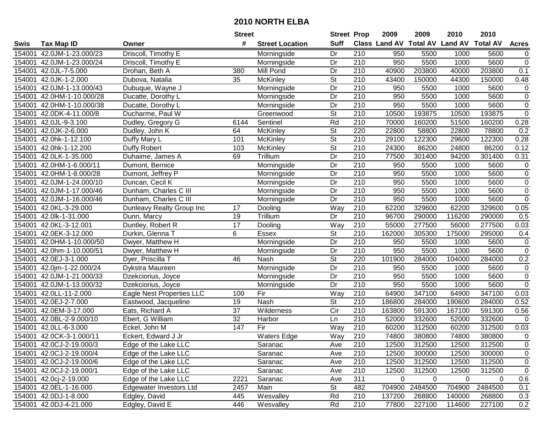|        |                          |                           | <b>Street</b>   |                        | <b>Street Prop</b>       |                  | 2009                          | 2009        | 2010           | 2010            |                |
|--------|--------------------------|---------------------------|-----------------|------------------------|--------------------------|------------------|-------------------------------|-------------|----------------|-----------------|----------------|
| Swis   | <b>Tax Map ID</b>        | Owner                     | #               | <b>Street Location</b> | <b>Suff</b>              |                  | <b>Class Land AV Total AV</b> |             | <b>Land AV</b> | <b>Total AV</b> | <b>Acres</b>   |
| 154001 | 42.0JM-1-23.000/23       | Driscoll, Timothy E       |                 | Morningside            | Dr                       | 210              | 950                           | 5500        | 1000           | 5600            | 0              |
| 154001 | 42.0JM-1-23.000/24       | Driscoll, Timothy E       |                 | Morningside            | Dr                       | 210              | 950                           | 5500        | 1000           | 5600            | $\mathsf 0$    |
| 154001 | 42.0JL-7-5.000           | Drohan, Beth A            | 380             | Mill Pond              | Dr                       | 210              | 40900                         | 203800      | 40000          | 203800          | 0.1            |
| 154001 | 42.0JK-1-2.000           | Dubova, Natalia           | 35              | McKinley               | $\overline{\mathsf{St}}$ | 210              | 43400                         | 150000      | 44300          | 150000          | 0.48           |
| 154001 | 42.0JM-1-13.000/43       | Dubuque, Wayne J          |                 | Morningside            | Dr                       | 210              | 950                           | 5500        | 1000           | 5600            | 0              |
| 154001 | 42.0HM-1-10.000/28       | Ducatte, Dorothy L        |                 | Morningside            | Dr                       | $\overline{210}$ | 950                           | 5500        | 1000           | 5600            | $\overline{0}$ |
| 154001 | 42.0HM-1-10.000/38       | Ducatte, Dorothy L        |                 | Morningside            | Dr                       | 210              | 950                           | 5500        | 1000           | 5600            | $\pmb{0}$      |
| 154001 | 42.0DK-4-11.000/8        | Ducharme, Paul W          |                 | Greenwood              | $\overline{\mathsf{St}}$ | 210              | 10500                         | 193875      | 10500          | 193875          | $\overline{0}$ |
| 154001 | 42.0JL-9-3.100           | Dudley, Gregory G         | 6144            | Sentinel               | Rd                       | $\overline{210}$ | 70000                         | 160200      | 51500          | 160200          | 0.28           |
| 154001 | 42.0JK-2-6.000           | Dudley, John K            | 64              | McKinley               | $\overline{\mathsf{St}}$ | 220              | 22800                         | 58800       | 22800          | 78800           | 0.2            |
| 154001 | 42.0hk-1-12.100          | Duffy Mary L              | 101             | McKinley               | $\overline{\mathsf{St}}$ | 210              | 29100                         | 122300      | 29600          | 122300          | 0.28           |
| 154001 | 42.0hk-1-12.200          | Duffy Robert              | 103             | McKinley               | St                       | 210              | 24300                         | 86200       | 24800          | 86200           | 0.12           |
| 154001 | 42.0LK-1-35.000          | Duhaime, James A          | 69              | Trillium               | Dr                       | 210              | 77500                         | 301400      | 94200          | 301400          | 0.31           |
| 154001 | 42.0HM-1-6.000/11        | Dumont, Bernice           |                 | Morningside            | Dr                       | 210              | 950                           | 5500        | 1000           | 5600            | $\mathbf 0$    |
| 154001 | 42.0HM-1-8.000/28        | Dumont, Jeffrey P         |                 | Morningside            | Dr                       | 210              | 950                           | 5500        | 1000           | 5600            | $\pmb{0}$      |
| 154001 | 42.0JM-1-24.000/10       | Duncan, Cecil K           |                 | Morningside            | Dr                       | 210              | 950                           | 5500        | 1000           | 5600            | 0              |
| 154001 | 42.0JM-1-17.000/46       | Dunham, Charles C III     |                 | Morningside            | Dr                       | $\overline{210}$ | 950                           | 5500        | 1000           | 5600            | $\mathbf 0$    |
| 154001 | 42.0JM-1-16.000/46       | Dunham, Charles C III     |                 | Morningside            | Dr                       | 210              | 950                           | 5500        | 1000           | 5600            | $\pmb{0}$      |
| 154001 | 42.0KL-3-29.000          | Dunleavy Realty Group Inc | 17              | Dooling                | Way                      | 210              | 62200                         | 329600      | 62200          | 329600          | 0.05           |
| 154001 | 42.0lk-1-31.000          | Dunn, Marcy               | 19              | Trillium               | Dr                       | 210              | 96700                         | 290000      | 116200         | 290000          | 0.5            |
| 154001 | 42.0KL-3-12.001          | Duntley, Robert R         | $\overline{17}$ | Dooling                | Way                      | 210              | 55000                         | 277500      | 56000          | 277500          | 0.03           |
| 154001 | 42.0EK-3-12.000          | Durkin, Glenna T          | 6               | Essex                  | St                       | 210              | 162000                        | 305300      | 175000         | 295000          | 0.4            |
| 154001 | 42.0HM-1-10.000/50       | Dwyer, Matthew H          |                 | Morningside            | Dr                       | 210              | 950                           | 5500        | 1000           | 5600            | $\pmb{0}$      |
| 154001 | 42.0hm-1-10.000/51       | Dwyer, Matthew H          |                 | Morningside            | Dr                       | 210              | 950                           | 5500        | 1000           | 5600            | $\mathbf 0$    |
| 154001 | 42.0EJ-3-1.000           | Dyer, Priscilla T         | 46              | Nash                   | $\overline{St}$          | 220              | 101900                        | 284000      | 104000         | 284000          | 0.2            |
| 154001 | 42.0jm-1-22.000/24       | Dykstra Maureen           |                 | Morningside            | Dr                       | 210              | 950                           | 5500        | 1000           | 5600            | $\pmb{0}$      |
| 154001 | 42.0JM-1-21.000/33       | Dzekciorius, Joyce        |                 | Morningside            | Dr                       | 210              | 950                           | 5500        | 1000           | 5600            | $\mathbf 0$    |
| 154001 | 42.0JM-1-13.000/32       | Dzekciorius, Joyce        |                 | Morningside            | Dr                       | 210              | 950                           | 5500        | 1000           | 5600            | $\mathbf 0$    |
| 154001 | 42.0LL-11-2.000          | Eagle Nest Properties LLC | 100             | Fir                    | Way                      | 210              | 64900                         | 347100      | 64900          | 347100          | 0.03           |
| 154001 | 42.0EJ-2-7.000           | Eastwood, Jacqueline      | 19              | Nash                   | $\overline{\mathsf{St}}$ | $\overline{210}$ | 186800                        | 284000      | 190600         | 284000          | 0.52           |
| 154001 | 42.0EM-3-17.000          | Eats, Richard A           | $\overline{37}$ | Wilderness             | $\overline{C}$ ir        | 210              | 163800                        | 591300      | 167100         | 591300          | 0.56           |
| 154001 | 42.0BL-2-9.000/10        | Ebert, G William          | 32              | Harbor                 | Ln                       | 210              | 52000                         | 332600      | 52000          | 332600          | $\mathbf 0$    |
| 154001 | 42.0LL-6-3.000           | Eckel, John M             | 147             | Fir                    | Way                      | $\overline{210}$ | 60200                         | 312500      | 60200          | 312500          | 0.03           |
|        | 154001 42.0CK-3-1.000/11 | Eckert, Edward J Jr       |                 | <b>Waters Edge</b>     | <b>Way</b>               | 210              | 74800                         | 380800      | 74800          | 380800          | $\mathbf 0$    |
|        | 154001 42.0CJ-2-19.000/3 | Edge of the Lake LLC      |                 | Saranac                | Ave                      | 210              | 12500                         | 312500      | 12500          | 312500          | 0              |
|        | 154001 42.0CJ-2-19.000/4 | Edge of the Lake LLC      |                 | Saranac                | Ave                      | 210              | 12500                         | 300000      | 12500          | 300000          | 0              |
|        | 154001 42.0CJ-2-19.000/6 | Edge of the Lake LLC      |                 | Saranac                | Ave                      | 210              | 12500                         | 312500      | 12500          | 312500          | 0              |
|        | 154001 42.0CJ-2-19.000/1 | Edge of the Lake LLC      |                 | Saranac                | Ave                      | 210              | 12500                         | 312500      | 12500          | 312500          | $\pmb{0}$      |
|        | 154001 42.0cj-2-19.000   | Edge of the Lake LLC      | 2221            | Saranac                | Ave                      | 311              | 0                             | $\mathbf 0$ | 0              | 0               | 0.6            |
|        | 154001 42.0EL-1-16.000   | Edgewater Investors Ltd   | 2457            | Main                   | <b>St</b>                | 482              | 704900                        | 2484500     | 704900         | 2484500         | 0.1            |
|        | 154001 42.0DJ-1-8.000    | Edgley, David             | 445             | Wesvalley              | Rd                       | 210              | 137200                        | 268800      | 140000         | 268800          | 0.3            |
|        | 154001 42.0DJ-4-21.000   | Edgley, David E           | 446             | Wesvalley              | Rd                       | 210              | 77800                         | 227100      | 114600         | 227100          | 0.2            |
|        |                          |                           |                 |                        |                          |                  |                               |             |                |                 |                |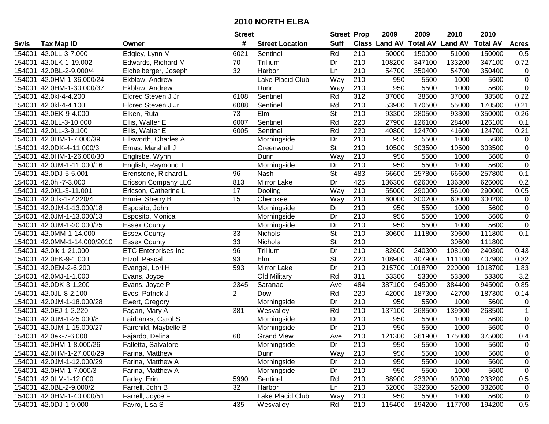|        |                           |                            | <b>Street</b>   |                        | <b>Street Prop</b>       |                  | 2009                 | 2009            | 2010           | 2010            |                |
|--------|---------------------------|----------------------------|-----------------|------------------------|--------------------------|------------------|----------------------|-----------------|----------------|-----------------|----------------|
| Swis   | <b>Tax Map ID</b>         | Owner                      | #               | <b>Street Location</b> | <b>Suff</b>              |                  | <b>Class Land AV</b> | <b>Total AV</b> | <b>Land AV</b> | <b>Total AV</b> | <b>Acres</b>   |
| 154001 | 42.0LL-3-7.000            | Edgley, Lynn M             | 6021            | Sentinel               | Rd                       | 210              | 50000                | 150000          | 51000          | 150000          | 0.5            |
| 154001 | 42.0LK-1-19.002           | Edwards, Richard M         | 70              | Trillium               | Dr                       | 210              | 108200               | 347100          | 133200         | 347100          | 0.72           |
| 154001 | 42.0BL-2-9.000/4          | Eichelberger, Joseph       | 32              | Harbor                 | Ln                       | 210              | 54700                | 350400          | 54700          | 350400          | 0              |
| 154001 | 42.0HM-1-36.000/24        | Ekblaw, Andrew             |                 | Lake Placid Club       | Way                      | 210              | 950                  | 5500            | 1000           | 5600            | $\overline{0}$ |
| 154001 | 42.0HM-1-30.000/37        | Ekblaw, Andrew             |                 | Dunn                   | Way                      | $\overline{210}$ | 950                  | 5500            | 1000           | 5600            | $\overline{0}$ |
| 154001 | 42.0kl-4-4.200            | Eldred Steven J Jr         | 6108            | Sentinel               | Rd                       | $\overline{312}$ | 37000                | 38500           | 37000          | 38500           | 0.22           |
| 154001 | 42.0kl-4-4.100            | Eldred Steven J Jr         | 6088            | Sentinel               | Rd                       | 210              | 53900                | 170500          | 55000          | 170500          | 0.21           |
| 154001 | 42.0EK-9-4.000            | Elken, Ruta                | $\overline{73}$ | EIm                    | $\overline{\mathsf{St}}$ | 210              | 93300                | 280500          | 93300          | 350000          | 0.26           |
| 154001 | 42.0LL-3-10.000           | Ellis, Walter E            | 6007            | Sentinel               | Rd                       | 220              | 27900                | 126100          | 28400          | 126100          | 0.1            |
| 154001 | 42.0LL-3-9.100            | Ellis, Walter E            | 6005            | Sentinel               | Rd                       | 220              | 40800                | 124700          | 41600          | 124700          | 0.21           |
| 154001 | 42.0HM-1-7.000/39         | Ellsworth, Charles A       |                 | Morningside            | Dr                       | 210              | 950                  | 5500            | 1000           | 5600            | $\pmb{0}$      |
| 154001 | 42.0DK-4-11.000/3         | Emas, Marshall J           |                 | Greenwood              | <b>St</b>                | 210              | 10500                | 303500          | 10500          | 303500          | $\pmb{0}$      |
| 154001 | 42.0HM-1-26.000/30        | Englisbe, Wynn             |                 | Dunn                   | Way                      | $\overline{210}$ | 950                  | 5500            | 1000           | 5600            | $\overline{0}$ |
| 154001 | 42.0JM-1-11.000/16        | English, Raymond T         |                 | Morningside            | Dr                       | 210              | 950                  | 5500            | 1000           | 5600            | $\pmb{0}$      |
| 154001 | 42.0DJ-5-5.001            | Erenstone, Richard L       | 96              | Nash                   | $\overline{\mathsf{St}}$ | 483              | 66600                | 257800          | 66600          | 257800          | 0.1            |
| 154001 | 42.0hl-7-3.000            | <b>Ericson Company LLC</b> | 813             | Mirror Lake            | Dr                       | 425              | 136300               | 626000          | 136300         | 626000          | 0.2            |
| 154001 | 42.0KL-3-11.001           | Ericson, Catherine L       | 17              | Dooling                | Way                      | $\overline{210}$ | 55000                | 290000          | 56100          | 290000          | 0.05           |
| 154001 | 42.0dk-1-2.220/4          | Ermie, Sherry B            | 15              | Cherokee               | Way                      | 210              | 60000                | 300200          | 60000          | 300200          | $\pmb{0}$      |
| 154001 | 42.0JM-1-13.000/18        | Esposito, John             |                 | Morningside            | Dr                       | 210              | 950                  | 5500            | 1000           | 5600            | $\pmb{0}$      |
| 154001 | 42.0JM-1-13.000/13        | Esposito, Monica           |                 | Morningside            | Dr                       | 210              | 950                  | 5500            | 1000           | 5600            | $\pmb{0}$      |
| 154001 | 42.0JM-1-20.000/25        | <b>Essex County</b>        |                 | Morningside            | Dr                       | 210              | 950                  | 5500            | 1000           | 5600            | $\overline{0}$ |
| 154001 | 42.0MM-1-14.000           | <b>Essex County</b>        | 33              | Nichols                | <b>St</b>                | 210              | 30600                | 111800          | 30600          | 111800          | 0.1            |
| 154001 | 42.0MM-1-14.000/2010      | <b>Essex County</b>        | 33              | <b>Nichols</b>         | <b>St</b>                | 210              |                      |                 | 30600          | 111800          |                |
| 154001 | 42.0lk-1-21.000           | <b>ETC Enterprises Inc</b> | 96              | Trillium               | Dr                       | 210              | 82600                | 240300          | 108100         | 240300          | 0.43           |
| 154001 | 42.0EK-9-1.000            | Etzol, Pascal              | 93              | $E$ Im                 | $\overline{St}$          | 220              | 108900               | 407900          | 111100         | 407900          | 0.32           |
| 154001 | 42.0EM-2-6.200            | Evangel, Lori H            | 593             | Mirror Lake            | Dr                       | 210              | 215700               | 1018700         | 220000         | 1018700         | 1.83           |
| 154001 | 42.0MJ-1-1.000            | Evans, Joyce               |                 | Old Military           | Rd                       | $\overline{311}$ | 53300                | 53300           | 53300          | 53300           | 3.2            |
| 154001 | 42.0DK-3-1.200            | Evans, Joyce P             | 2345            | Saranac                | Ave                      | 484              | 387100               | 945000          | 384400         | 945000          | 0.85           |
| 154001 | 42.0JL-8-2.100            | Eves, Patrick J            | $\overline{2}$  | Dow                    | Rd                       | 220              | 42000                | 187300          | 42700          | 187300          | 0.14           |
| 154001 | 42.0JM-1-18.000/28        | Ewert, Gregory             |                 | Morningside            | Dr                       | $\overline{210}$ | 950                  | 5500            | 1000           | 5600            | $\mathbf 0$    |
| 154001 | 42.0EJ-1-2.220            | Fagan, Mary A              | 381             | Wesvalley              | Rd                       | 210              | 137100               | 268500          | 139900         | 268500          | $\mathbf{1}$   |
| 154001 | 42.0JM-1-25.000/8         | Fairbanks, Carol S         |                 | Morningside            | Dr                       | $\overline{210}$ | 950                  | 5500            | 1000           | 5600            | $\overline{0}$ |
| 154001 | 42.0JM-1-15.000/27        | Fairchild, Maybelle B      |                 | Morningside            | $\overline{Dr}$          | 210              | 950                  | 5500            | 1000           | 5600            | $\overline{0}$ |
|        | 154001 42.0ek-7-6.000     | Fajardo, Delina            | 60              | <b>Grand View</b>      | Ave                      | 210              | 121300               | 361900          | 175000         | 375000          | 0.4            |
|        | 154001 42.0HM-1-8.000/26  | Falletta, Salvatore        |                 | Morningside            | Dr                       | 210              | 950                  | 5500            | 1000           | 5600            | 0              |
|        | 154001 42.0HM-1-27.000/29 | Farina, Matthew            |                 | Dunn                   | Way                      | 210              | 950                  | 5500            | 1000           | 5600            | 0              |
|        | 154001 42.0JM-1-12.000/29 | Farina, Matthew A          |                 | Morningside            | Dr                       | 210              | 950                  | 5500            | 1000           | 5600            | 0              |
|        | 154001 42.0HM-1-7.000/3   | Farina, Matthew A          |                 | Morningside            | Dr                       | 210              | 950                  | 5500            | 1000           | 5600            | $\pmb{0}$      |
|        | 154001 42.0LM-1-12.000    | Farley, Erin               | 5990            | Sentinel               | Rd                       | 210              | 88900                | 233200          | 90700          | 233200          | 0.5            |
|        | 154001 42.0BL-2-9.000/2   | Farrell, John B            | 32              | Harbor                 | Ln                       | 210              | 52000                | 332600          | 52000          | 332600          | 0              |
|        | 154001 42.0HM-1-40.000/51 | Farrell, Joyce F           |                 | Lake Placid Club       | Way                      | 210              | 950                  | 5500            | 1000           | 5600            | 0              |
|        | 154001 42.0DJ-1-9.000     | Favro, Lisa S              | 435             | Wesvalley              | Rd                       | 210              | 115400               | 194200          | 117700         | 194200          | 0.5            |
|        |                           |                            |                 |                        |                          |                  |                      |                 |                |                 |                |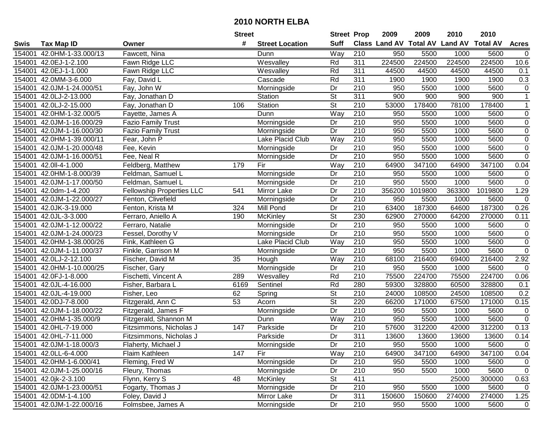|        |                           |                                  | <b>Street</b>   |                        | <b>Street Prop</b>       |                  | 2009                          | 2009    | 2010           | 2010            |                |
|--------|---------------------------|----------------------------------|-----------------|------------------------|--------------------------|------------------|-------------------------------|---------|----------------|-----------------|----------------|
| Swis   | <b>Tax Map ID</b>         | Owner                            | #               | <b>Street Location</b> | <b>Suff</b>              |                  | <b>Class Land AV Total AV</b> |         | <b>Land AV</b> | <b>Total AV</b> | <b>Acres</b>   |
| 154001 | 42.0HM-1-33.000/13        | Fawcett, Nina                    |                 | Dunn                   | Way                      | 210              | 950                           | 5500    | 1000           | 5600            | $\mathbf 0$    |
| 154001 | 42.0EJ-1-2.100            | Fawn Ridge LLC                   |                 | Wesvalley              | Rd                       | 311              | 224500                        | 224500  | 224500         | 224500          | 10.6           |
| 154001 | 42.0EJ-1-1.000            | Fawn Ridge LLC                   |                 | Wesvalley              | Rd                       | 311              | 44500                         | 44500   | 44500          | 44500           | 0.1            |
| 154001 | 42.0MM-3-6.000            | Fay, David L                     |                 | Cascade                | Rd                       | 311              | 1900                          | 1900    | 1900           | 1900            | 0.3            |
| 154001 | 42.0JM-1-24.000/51        | Fay, John W                      |                 | Morningside            | Dr                       | $\overline{210}$ | 950                           | 5500    | 1000           | 5600            | 0              |
| 154001 | 42.0LJ-2-13.000           | Fay, Jonathan D                  |                 | Station                | $\overline{\mathsf{St}}$ | 311              | 900                           | 900     | 900            | 900             | $\mathbf{1}$   |
| 154001 | 42.0LJ-2-15.000           | Fay, Jonathan D                  | 106             | Station                | $\overline{\mathsf{St}}$ | 210              | 53000                         | 178400  | 78100          | 178400          | $\mathbf{1}$   |
| 154001 | 42.0HM-1-32.000/5         | Fayette, James A                 |                 | Dunn                   | Way                      | 210              | 950                           | 5500    | 1000           | 5600            | $\overline{0}$ |
| 154001 | 42.0JM-1-16.000/29        | <b>Fazio Family Trust</b>        |                 | Morningside            | Dr                       | 210              | 950                           | 5500    | 1000           | 5600            | $\pmb{0}$      |
| 154001 | 42.0JM-1-16.000/30        | <b>Fazio Family Trust</b>        |                 | Morningside            | Dr                       | $\overline{210}$ | 950                           | 5500    | 1000           | 5600            | $\pmb{0}$      |
| 154001 | 42.0HM-1-39.000/11        | Fear, John P                     |                 | Lake Placid Club       | Way                      | 210              | 950                           | 5500    | 1000           | 5600            | $\pmb{0}$      |
| 154001 | 42.0JM-1-20.000/48        | Fee, Kevin                       |                 | Morningside            | Dr                       | 210              | 950                           | 5500    | 1000           | 5600            | $\pmb{0}$      |
| 154001 | 42.0JM-1-16.000/51        | Fee, Neal R                      |                 | Morningside            | Dr                       | 210              | 950                           | 5500    | 1000           | 5600            | $\overline{0}$ |
| 154001 | 42.0II-4-1.000            | Feldberg, Matthew                | 179             | Fir                    | Way                      | 210              | 64900                         | 347100  | 64900          | 347100          | 0.04           |
| 154001 | 42.0HM-1-8.000/39         | Feldman, Samuel L                |                 | Morningside            | Dr                       | 210              | 950                           | 5500    | 1000           | 5600            | $\pmb{0}$      |
| 154001 | 42.0JM-1-17.000/50        | Feldman, Samuel L                |                 | Morningside            | Dr                       | 210              | 950                           | 5500    | 1000           | 5600            | $\mathsf 0$    |
| 154001 | 42.0dm-1-4.200            | <b>Fellowship Properties LLC</b> | 541             | Mirror Lake            | Dr                       | $\overline{210}$ | 356200                        | 1019800 | 363300         | 1019800         | 1.29           |
| 154001 | 42.0JM-1-22.000/27        | Fenton, Clivefield               |                 | Morningside            | Dr                       | 210              | 950                           | 5500    | 1000           | 5600            | $\mathsf 0$    |
| 154001 | 42.0JK-3-19.000           | Fenton, Krista M                 | 324             | Mill Pond              | Dr                       | 210              | 63400                         | 187300  | 64600          | 187300          | 0.26           |
| 154001 | 42.0JL-3-3.000            | Ferraro, Aniello A               | 190             | <b>McKinley</b>        | <b>St</b>                | 230              | 62900                         | 270000  | 64200          | 270000          | 0.11           |
| 154001 | 42.0JM-1-12.000/22        | Ferraro, Natalie                 |                 | Morningside            | Dr                       | $\overline{210}$ | 950                           | 5500    | 1000           | 5600            | $\pmb{0}$      |
| 154001 | 42.0JM-1-24.000/23        | Fessel, Dorothy V                |                 | Morningside            | Dr                       | 210              | 950                           | 5500    | 1000           | 5600            | $\mathbf 0$    |
| 154001 | 42.0HM-1-38.000/26        | Fink, Kathleen G                 |                 | Lake Placid Club       | Way                      | 210              | 950                           | 5500    | 1000           | 5600            | $\overline{0}$ |
| 154001 | 42.0JM-1-11.000/37        | Finkle, Garrison M               |                 | Morningside            | Dr                       | 210              | 950                           | 5500    | 1000           | 5600            | $\mathbf 0$    |
| 154001 | 42.0LJ-2-12.100           | Fischer, David M                 | 35              | Hough                  | Way                      | $\overline{210}$ | 68100                         | 216400  | 69400          | 216400          | 2.92           |
| 154001 | 42.0HM-1-10.000/25        | Fischer, Gary                    |                 | Morningside            | Dr                       | 210              | 950                           | 5500    | 1000           | 5600            | $\mathbf 0$    |
| 154001 | 42.0FJ-1-8.000            | Fischetti, Vincent A             | 289             | Wesvalley              | Rd                       | 210              | 75500                         | 224700  | 75500          | 224700          | 0.06           |
| 154001 | 42.0JL-4-16.000           | Fisher, Barbara L                | 6169            | Sentinel               | Rd                       | 280              | 59300                         | 328800  | 60500          | 328800          | 0.1            |
| 154001 | 42.0JL-4-19.000           | Fisher, Leo                      | 62              | Spring                 | $\overline{\mathsf{St}}$ | 210              | 24000                         | 108500  | 24500          | 108500          | 0.2            |
| 154001 | 42.0DJ-7-8.000            | Fitzgerald, Ann C                | $\overline{53}$ | Acorn                  | $\overline{\mathsf{St}}$ | 220              | 66200                         | 171000  | 67500          | 171000          | 0.15           |
| 154001 | 42.0JM-1-18.000/22        | Fitzgerald, James F              |                 | Morningside            | $\overline{Dr}$          | 210              | 950                           | 5500    | 1000           | 5600            | $\pmb{0}$      |
| 154001 | 42.0HM-1-35.000/9         | Fitzgerald, Shannon M            |                 | Dunn                   | Way                      | 210              | 950                           | 5500    | 1000           | 5600            | $\overline{0}$ |
| 154001 | 42.0HL-7-19.000           | Fitzsimmons, Nicholas J          | 147             | Parkside               | Dr                       | $\overline{210}$ | 57600                         | 312200  | 42000          | 312200          | 0.13           |
|        | 154001 42.0HL-7-11.000    | Fitzsimmons, Nicholas J          |                 | Parkside               | $\overline{Dr}$          | 311              | 13600                         | 13600   | 13600          | 13600           | 0.14           |
|        | 154001 42.0JM-1-18.000/3  | Flaherty, Michael J              |                 | Morningside            | Dr                       | 210              | 950                           | 5500    | 1000           | 5600            | 0              |
|        | 154001 42.0LL-6-4.000     | Flaim Kathleen                   | 147             | Fir                    | Way                      | 210              | 64900                         | 347100  | 64900          | 347100          | 0.04           |
|        | 154001 42.0HM-1-6.000/41  | Fleming, Fred W                  |                 | Morningside            | Dr                       | 210              | 950                           | 5500    | 1000           | 5600            | 0              |
|        | 154001 42.0JM-1-25.000/16 | Fleury, Thomas                   |                 | Morningside            | Dr                       | 210              | 950                           | 5500    | 1000           | 5600            | $\mathbf 0$    |
|        | 154001 42.0jk-2-3.100     | Flynn, Kerry S                   | 48              | McKinley               | <b>St</b>                | 411              |                               |         | 25000          | 300000          | 0.63           |
|        | 154001 42.0JM-1-23.000/51 | Fogarty, Thomas J                |                 | Morningside            | Dr                       | 210              | 950                           | 5500    | 1000           | 5600            | 0              |
|        | 154001 42.0DM-1-4.100     | Foley, David J                   |                 | Mirror Lake            | Dr                       | 311              | 150600                        | 150600  | 274000         | 274000          | 1.25           |
|        | 154001 42.0JM-1-22.000/16 | Folmsbee, James A                |                 | Morningside            | Dr                       | 210              | 950                           | 5500    | 1000           | 5600            | $\mathbf 0$    |
|        |                           |                                  |                 |                        |                          |                  |                               |         |                |                 |                |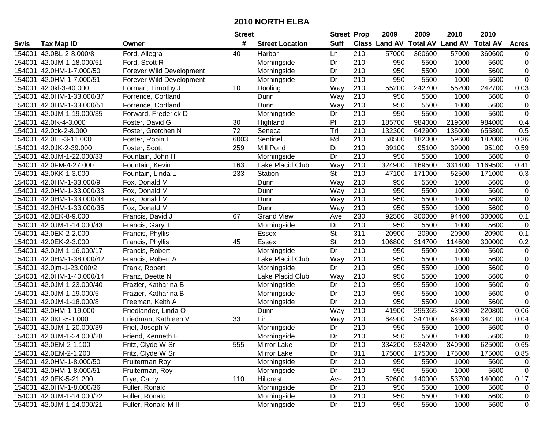|        |                           |                          | <b>Street</b> |                        | <b>Street Prop</b> |                  | 2009                          | 2009    | 2010           | 2010            |                |
|--------|---------------------------|--------------------------|---------------|------------------------|--------------------|------------------|-------------------------------|---------|----------------|-----------------|----------------|
| Swis   | <b>Tax Map ID</b>         | Owner                    | #             | <b>Street Location</b> | <b>Suff</b>        |                  | <b>Class Land AV Total AV</b> |         | <b>Land AV</b> | <b>Total AV</b> | <b>Acres</b>   |
| 154001 | 42.0BL-2-8.000/8          | Ford, Allegra            | 40            | Harbor                 | Ln                 | 210              | 57000                         | 360600  | 57000          | 360600          | 0              |
| 154001 | 42.0JM-1-18.000/51        | Ford, Scott R            |               | Morningside            | Dr                 | 210              | 950                           | 5500    | 1000           | 5600            | $\pmb{0}$      |
| 154001 | 42.0HM-1-7.000/50         | Forever Wild Development |               | Morningside            | Dr                 | 210              | 950                           | 5500    | 1000           | 5600            | $\pmb{0}$      |
| 154001 | 42.0HM-1-7.000/51         | Forever Wild Development |               | Morningside            | Dr                 | 210              | 950                           | 5500    | 1000           | 5600            | $\overline{0}$ |
| 154001 | 42.0kl-3-40.000           | Forman, Timothy J        | 10            | Dooling                | Way                | $\overline{210}$ | 55200                         | 242700  | 55200          | 242700          | 0.03           |
| 154001 | 42.0HM-1-33.000/37        | Forrence, Cortland       |               | Dunn                   | Way                | $\overline{210}$ | 950                           | 5500    | 1000           | 5600            | $\mathbf 0$    |
| 154001 | 42.0HM-1-33.000/51        | Forrence, Cortland       |               | Dunn                   | Way                | 210              | 950                           | 5500    | 1000           | 5600            | $\pmb{0}$      |
| 154001 | 42.0JM-1-19.000/35        | Forward, Frederick D     |               | Morningside            | Dr                 | 210              | 950                           | 5500    | 1000           | 5600            | $\overline{0}$ |
| 154001 | 42.0fk-4-3.000            | Foster, David G          | 30            | Highland               | $\overline{P}$     | $\overline{210}$ | 185700                        | 984000  | 219600         | 984000          | 0.4            |
| 154001 | 42.0ck-2-8.000            | Foster, Gretchen N       | 72            | Seneca                 | $\overline{T}$ rl  | 210              | 132300                        | 642900  | 135000         | 655800          | 0.5            |
| 154001 | 42.0LL-3-11.000           | Foster, Robin L          | 6003          | Sentinel               | Rd                 | 210              | 58500                         | 182000  | 59600          | 182000          | 0.36           |
| 154001 | 42.0JK-2-39.000           | Foster, Scott            | 259           | Mill Pond              | Dr                 | 210              | 39100                         | 95100   | 39900          | 95100           | 0.59           |
| 154001 | 42.0JM-1-22.000/33        | Fountain, John H         |               | Morningside            | Dr                 | $\overline{210}$ | 950                           | 5500    | 1000           | 5600            | $\mathbf 0$    |
| 154001 | 42.0FM-4-27.000           | Fountain, Kevin          | 163           | Lake Placid Club       | Way                | 210              | 324900                        | 1169500 | 331400         | 1169500         | 0.41           |
| 154001 | 42.0KK-1-3.000            | Fountain, Linda L        | 233           | Station                | St                 | 210              | 47100                         | 171000  | 52500          | 171000          | 0.3            |
| 154001 | 42.0HM-1-33.000/9         | Fox, Donald M            |               | Dunn                   | Way                | 210              | 950                           | 5500    | 1000           | 5600            | 0              |
| 154001 | 42.0HM-1-33.000/33        | Fox, Donald M            |               | Dunn                   | Way                | 210              | 950                           | 5500    | 1000           | 5600            | $\pmb{0}$      |
| 154001 | 42.0HM-1-33.000/34        | Fox, Donald M            |               | Dunn                   | Way                | 210              | 950                           | 5500    | 1000           | 5600            | $\mathbf 0$    |
| 154001 | 42.0HM-1-33.000/35        | Fox, Donald M            |               | Dunn                   | Way                | 210              | 950                           | 5500    | 1000           | 5600            | $\mathbf 0$    |
| 154001 | 42.0EK-8-9.000            | Francis, David J         | 67            | <b>Grand View</b>      | Ave                | 230              | 92500                         | 300000  | 94400          | 300000          | 0.1            |
| 154001 | 42.0JM-1-14.000/43        | Francis, Gary T          |               | Morningside            | Dr                 | 210              | 950                           | 5500    | 1000           | 5600            | $\mathbf 0$    |
| 154001 | 42.0EK-2-2.000            | Francis, Phyllis         |               | Essex                  | <b>St</b>          | 311              | 20900                         | 20900   | 20900          | 20900           | 0.1            |
| 154001 | 42.0EK-2-3.000            | Francis, Phyllis         | 45            | Essex                  | St                 | 210              | 106800                        | 314700  | 114600         | 300000          | 0.2            |
| 154001 | 42.0JM-1-16.000/17        | Francis, Robert          |               | Morningside            | Dr                 | 210              | 950                           | 5500    | 1000           | 5600            | $\pmb{0}$      |
| 154001 | 42.0HM-1-38.000/42        | Francis, Robert A        |               | Lake Placid Club       | Way                | 210              | 950                           | 5500    | 1000           | 5600            | $\pmb{0}$      |
| 154001 | 42.0jm-1-23.000/2         | Frank, Robert            |               | Morningside            | Dr                 | 210              | 950                           | 5500    | 1000           | 5600            | $\pmb{0}$      |
| 154001 | 42.0HM-1-40.000/14        | Franz, Deette N          |               | Lake Placid Club       | Way                | 210              | 950                           | 5500    | 1000           | 5600            | $\mathbf 0$    |
| 154001 | 42.0JM-1-23.000/40        | Frazier, Katharina B     |               | Morningside            | Dr                 | 210              | 950                           | 5500    | 1000           | 5600            | $\pmb{0}$      |
| 154001 | 42.0JM-1-19.000/5         | Frazier, Katharina B     |               | Morningside            | Dr                 | 210              | 950                           | 5500    | 1000           | 5600            | $\overline{0}$ |
| 154001 | 42.0JM-1-18.000/8         | Freeman, Keith A         |               | Morningside            | Dr                 | 210              | 950                           | 5500    | 1000           | 5600            | $\overline{0}$ |
| 154001 | 42.0HM-1-19.000           | Friedlander, Linda O     |               | Dunn                   | $\overline{W}$ ay  | 210              | 41900                         | 295365  | 43900          | 220800          | 0.06           |
| 154001 | 42.0KL-5-1.000            | Friedman, Kathleen V     | 33            | Fir                    | Way                | 210              | 64900                         | 347100  | 64900          | 347100          | 0.04           |
| 154001 | 42.0JM-1-20.000/39        | Friel, Joseph V          |               | Morningside            | Dr                 | $\overline{210}$ | 950                           | 5500    | 1000           | 5600            | $\mathbf 0$    |
|        | 154001 42.0JM-1-24.000/28 | Friend, Kenneth E        |               | Morningside            | $\overline{Dr}$    | $\overline{210}$ | 950                           | 5500    | 1000           | 5600            | $\overline{0}$ |
|        | 154001 42.0EM-2-1.100     | Fritz, Clyde W Sr        | 555           | Mirror Lake            | Dr                 | 210              | 334200                        | 534200  | 340900         | 625000          | 0.65           |
|        | 154001 42.0EM-2-1.200     | Fritz, Clyde W Sr        |               | Mirror Lake            | Dr                 | 311              | 175000                        | 175000  | 175000         | 175000          | 0.85           |
|        | 154001 42.0HM-1-8.000/50  | Fruiterman Roy           |               | Morningside            | Dr                 | 210              | 950                           | 5500    | 1000           | 5600            | 0              |
|        | 154001 42.0HM-1-8.000/51  | Fruiterman, Roy          |               | Morningside            | Dr                 | 210              | 950                           | 5500    | 1000           | 5600            | 0              |
|        | 154001 42.0EK-5-21.200    | Frye, Cathy L            | 110           | Hillcrest              | Ave                | 210              | 52600                         | 140000  | 53700          | 140000          | 0.17           |
|        | 154001 42.0HM-1-8.000/36  | Fuller, Ronald           |               | Morningside            | Dr                 | 210              | 950                           | 5500    | 1000           | 5600            | 0              |
|        | 154001 42.0JM-1-14.000/22 | Fuller, Ronald           |               | Morningside            | Dr                 | 210              | 950                           | 5500    | 1000           | 5600            | 0              |
|        | 154001 42.0JM-1-14.000/21 | Fuller, Ronald M III     |               | Morningside            | Dr                 | 210              | 950                           | 5500    | 1000           | 5600            | $\mathbf 0$    |
|        |                           |                          |               |                        |                    |                  |                               |         |                |                 |                |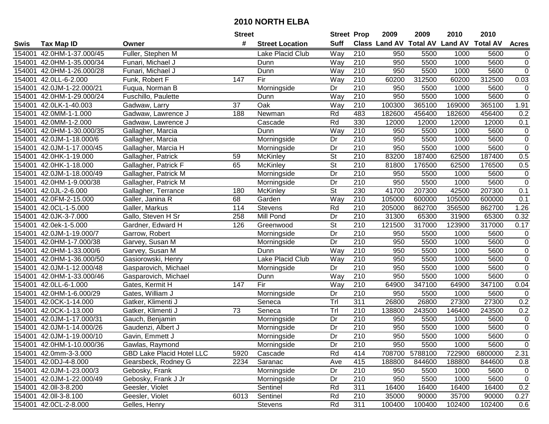|        |                           |                                  | <b>Street</b>   |                         | <b>Street Prop</b>       |                  | 2009                          | 2009    | 2010           | 2010            |                |
|--------|---------------------------|----------------------------------|-----------------|-------------------------|--------------------------|------------------|-------------------------------|---------|----------------|-----------------|----------------|
| Swis   | <b>Tax Map ID</b>         | Owner                            | #               | <b>Street Location</b>  | <b>Suff</b>              |                  | <b>Class Land AV Total AV</b> |         | <b>Land AV</b> | <b>Total AV</b> | <b>Acres</b>   |
| 154001 | 42.0HM-1-37.000/45        | Fuller, Stephen M                |                 | Lake Placid Club        | Way                      | 210              | 950                           | 5500    | 1000           | 5600            | $\overline{0}$ |
| 154001 | 42.0HM-1-35.000/34        | Funari, Michael J                |                 | Dunn                    | Way                      | 210              | 950                           | 5500    | 1000           | 5600            | $\mathbf 0$    |
| 154001 | 42.0HM-1-26.000/28        | Funari, Michael J                |                 | Dunn                    | Way                      | 210              | 950                           | 5500    | 1000           | 5600            | $\overline{0}$ |
| 154001 | 42.0LL-6-2.000            | Funk, Robert F                   | 147             | Fir                     | Way                      | 210              | 60200                         | 312500  | 60200          | 312500          | 0.03           |
| 154001 | 42.0JM-1-22.000/21        | Fuqua, Norman B                  |                 | Morningside             | Dr                       | 210              | 950                           | 5500    | 1000           | 5600            | 0              |
| 154001 | 42.0HM-1-29.000/24        | Fuschillo, Paulette              |                 | Dunn                    | Way                      | $\overline{210}$ | 950                           | 5500    | 1000           | 5600            | $\overline{0}$ |
| 154001 | 42.0LK-1-40.003           | Gadwaw, Larry                    | 37              | Oak                     | Way                      | 210              | 100300                        | 365100  | 169000         | 365100          | 1.91           |
| 154001 | 42.0MM-1-1.000            | Gadwaw, Lawrence J               | 188             | Newman                  | Rd                       | 483              | 182600                        | 456400  | 182600         | 456400          | 0.2            |
| 154001 | 42.0MM-1-2.000            | Gadwaw, Lawrence J               |                 | Cascade                 | Rd                       | 330              | 12000                         | 12000   | 12000          | 12000           | 0.1            |
| 154001 | 42.0HM-1-30.000/35        | Gallagher, Marcia                |                 | Dunn                    | Way                      | 210              | 950                           | 5500    | 1000           | 5600            | $\pmb{0}$      |
| 154001 | 42.0JM-1-18.000/6         | Gallagher, Marcia                |                 | Morningside             | Dr                       | 210              | 950                           | 5500    | 1000           | 5600            | $\pmb{0}$      |
| 154001 | 42.0JM-1-17.000/45        | Gallagher, Marcia H              |                 | Morningside             | Dr                       | 210              | 950                           | 5500    | 1000           | 5600            | $\pmb{0}$      |
| 154001 | 42.0HK-1-19.000           | Gallagher, Patrick               | 59              | McKinley                | $\overline{\mathsf{St}}$ | $\overline{210}$ | 83200                         | 187400  | 62500          | 187400          | 0.5            |
| 154001 | 42.0HK-1-18.000           | Gallagher, Patrick F             | 65              | McKinley                | $\overline{\mathsf{St}}$ | 210              | 81800                         | 176500  | 62500          | 176500          | 0.5            |
| 154001 | 42.0JM-1-18.000/49        | Gallagher, Patrick M             |                 | Morningside             | Dr                       | 210              | 950                           | 5500    | 1000           | 5600            | $\pmb{0}$      |
| 154001 | 42.0HM-1-9.000/38         | Gallagher, Patrick M             |                 | Morningside             | Dr                       | 210              | 950                           | 5500    | 1000           | 5600            | $\pmb{0}$      |
| 154001 | 42.0JL-2-6.000            | Gallagher, Terrance              | 180             | <b>McKinley</b>         | $\overline{\mathsf{St}}$ | 230              | 41700                         | 207300  | 42500          | 207300          | 0.1            |
| 154001 | 42.0FM-2-15.000           | Galler, Janina R                 | 68              | Garden                  | Way                      | 210              | 105000                        | 600000  | 105000         | 600000          | 0.1            |
| 154001 | 42.0CL-1-5.000            | Galler, Markus                   | 114             | Stevens                 | Rd                       | 210              | 205000                        | 862700  | 356500         | 862700          | 1.26           |
| 154001 | 42.0JK-3-7.000            | Gallo, Steven H Sr               | 258             | Mill Pond               | Dr                       | 210              | 31300                         | 65300   | 31900          | 65300           | 0.32           |
| 154001 | 42.0ek-1-5.000            | Gardner, Edward H                | 126             | Greenwood               | $\overline{\mathsf{St}}$ | 210              | 121500                        | 317000  | 123900         | 317000          | 0.17           |
| 154001 | 42.0JM-1-19.000/7         | Garrow, Robert                   |                 | Morningside             | Dr                       | 210              | 950                           | 5500    | 1000           | 5600            | 0              |
| 154001 | 42.0HM-1-7.000/38         | Garvey, Susan M                  |                 | Morningside             | Dr                       | 210              | 950                           | 5500    | 1000           | 5600            | $\pmb{0}$      |
| 154001 | 42.0HM-1-33.000/6         | Garvey, Susan M                  |                 | Dunn                    | Way                      | 210              | 950                           | 5500    | 1000           | 5600            | $\pmb{0}$      |
| 154001 | 42.0HM-1-36.000/50        | Gasiorowski, Henry               |                 | <b>Lake Placid Club</b> | Way                      | 210              | 950                           | 5500    | 1000           | 5600            | $\pmb{0}$      |
| 154001 | 42.0JM-1-12.000/48        | Gasparovich, Michael             |                 | Morningside             | Dr                       | 210              | 950                           | 5500    | 1000           | 5600            | $\pmb{0}$      |
| 154001 | 42.0HM-1-33.000/46        | Gasparovich, Michael             |                 | Dunn                    | Way                      | $\overline{210}$ | 950                           | 5500    | 1000           | 5600            | $\pmb{0}$      |
| 154001 | 42.0LL-6-1.000            | Gates, Kermit H                  | 147             | Fir                     | Way                      | 210              | 64900                         | 347100  | 64900          | 347100          | 0.04           |
| 154001 | 42.0HM-1-6.000/29         | Gates, William J                 |                 | Morningside             | Dr                       | $\overline{210}$ | 950                           | 5500    | 1000           | 5600            | 0              |
| 154001 | 42.0CK-1-14.000           | Gatker, Klimenti J               |                 | Seneca                  | TrI                      | 311              | 26800                         | 26800   | 27300          | 27300           | 0.2            |
| 154001 | 42.0CK-1-13.000           | Gatker, Klimenti J               | $\overline{73}$ | Seneca                  | Tr                       | 210              | 138800                        | 243500  | 146400         | 243500          | 0.2            |
| 154001 | 42.0JM-1-17.000/31        | Gauch, Benjamin                  |                 | Morningside             | Dr                       | $\overline{210}$ | 950                           | 5500    | 1000           | 5600            | 0              |
| 154001 | 42.0JM-1-14.000/26        | Gaudenzi, Albert J               |                 | Morningside             | $\overline{Dr}$          | $\overline{210}$ | 950                           | 5500    | 1000           | 5600            | $\overline{0}$ |
|        | 154001 42.0JM-1-19.000/10 | Gavin, Emmett J                  |                 | Morningside             | $\overline{Dr}$          | $\overline{210}$ | 950                           | 5500    | 1000           | 5600            | $\overline{0}$ |
|        | 154001 42.0HM-1-10.000/36 | Gawlas, Raymond                  |                 | Morningside             | Dr                       | 210              | 950                           | 5500    | 1000           | 5600            | 0              |
|        | 154001 42.0mm-3-3.000     | <b>GBD Lake Placid Hotel LLC</b> | 5920            | Cascade                 | Rd                       | 414              | 708700                        | 5788100 | 722900         | 6800000         | 2.31           |
|        | 154001 42.0DJ-4-8.000     | Gearsbeck, Rodney G              | 2234            | Saranac                 | Ave                      | 415              | 188800                        | 844600  | 188800         | 844600          | 0.8            |
|        | 154001 42.0JM-1-23.000/3  | Gebosky, Frank                   |                 | Morningside             | Dr                       | 210              | 950                           | 5500    | 1000           | 5600            | 0              |
|        | 154001 42.0JM-1-22.000/49 | Gebosky, Frank J Jr              |                 | Morningside             | Dr                       | 210              | 950                           | 5500    | 1000           | 5600            | 0              |
|        | 154001 42.0ll-3-8.200     | Geesler, Violet                  |                 | Sentinel                | Rd                       | 311              | 16400                         | 16400   | 16400          | 16400           | 0.2            |
|        | 154001 42.0ll-3-8.100     | Geesler, Violet                  | 6013            | Sentinel                | Rd                       | 210              | 35000                         | 90000   | 35700          | 90000           | 0.27           |
|        | 154001 42.0CL-2-8.000     | Gelles, Henry                    |                 | Stevens                 | Rd                       | 311              | 100400                        | 100400  | 102400         | 102400          | 0.6            |
|        |                           |                                  |                 |                         |                          |                  |                               |         |                |                 |                |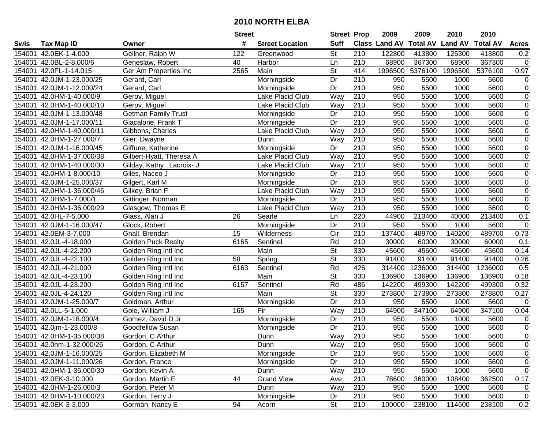| #<br><b>Suff</b><br><b>Class Land AV Total AV</b><br><b>Land AV</b><br><b>Total AV</b><br><b>Tax Map ID</b><br><b>Street Location</b><br><b>Acres</b><br>Swis<br>Owner<br>St<br>210<br>42.0EK-1-4.000<br>Gellner, Ralph W<br>122<br>122800<br>413800<br>125300<br>413800<br>0.2<br>154001<br>Greenwood<br>210<br>68900<br>154001<br>42.0BL-2-8.000/6<br>40<br>Harbor<br>367300<br>68900<br>367300<br>$\mathbf 0$<br>Geneslaw, Robert<br>Ln<br>Main<br><b>St</b><br>5376100<br>0.97<br>154001<br>42.0FL-1-14.015<br>2565<br>414<br>1996500<br>1996500<br>5376100<br>Ger Am Properties Inc<br>42.0JM-1-23.000/25<br>Morningside<br>Dr<br>210<br>950<br>5500<br>5600<br>$\pmb{0}$<br>154001<br>Gerard, Carl<br>1000<br>$\overline{0}$<br>$\overline{Dr}$<br>42.0JM-1-12.000/24<br>Gerard, Carl<br>210<br>950<br>5500<br>1000<br>5600<br>154001<br>Morningside<br>$\overline{0}$<br>Way<br>$\overline{210}$<br>154001<br>42.0HM-1-40.000/9<br>Gerov, Miguel<br>Lake Placid Club<br>950<br>5500<br>1000<br>5600<br>$\overline{210}$<br>$\pmb{0}$<br>42.0HM-1-40.000/10<br>Lake Placid Club<br>Way<br>5500<br>5600<br>154001<br>Gerov, Miguel<br>950<br>1000<br>210<br>5600<br>$\overline{0}$<br><b>Getman Family Trust</b><br>950<br>5500<br>154001<br>42.0JM-1-13.000/48<br>Dr<br>1000<br>Morningside<br>$\overline{Dr}$<br>$\overline{210}$<br>$\pmb{0}$<br>154001<br>42.0JM-1-17.000/11<br>Giacalone, Frank T<br>950<br>5500<br>1000<br>5600<br>Morningside<br>210<br>5600<br>$\pmb{0}$<br>42.0HM-1-40.000/11<br>Gibbons, Charles<br>Lake Placid Club<br>Way<br>950<br>5500<br>1000<br>154001<br>$\mathbf 0$<br>210<br>950<br>5600<br>154001<br>42.0HM-1-27.000/7<br>Gier, Dwayne<br>Way<br>5500<br>1000<br>Dunn<br>210<br>$\pmb{0}$<br>42.0JM-1-16.000/45<br>Giffune, Katherine<br>Morningside<br>Dr<br>950<br>5500<br>1000<br>5600<br>154001<br>$\overline{0}$<br>210<br>Lake Placid Club<br>Way<br>950<br>5500<br>1000<br>5600<br>154001<br>42.0HM-1-37.000/38<br>Gilbert-Hyatt, Theresa A<br>$\mathbf 0$<br>210<br>5600<br>42.0HM-1-40.000/30<br>Lake Placid Club<br>Way<br>950<br>5500<br>1000<br>154001<br>Gilday, Kathy Lacroix- J<br>$\overline{0}$<br>210<br>950<br>5500<br>5600<br>154001<br>42.0HM-1-8.000/10<br>Giles, Naceo J<br>Dr<br>1000<br>Morningside<br>210<br>$\pmb{0}$<br>Dr<br>950<br>5500<br>1000<br>5600<br>154001<br>42.0JM-1-25.000/37<br>Gilgert, Karl M<br>Morningside<br>210<br>$\mathbf 0$<br>Lake Placid Club<br>Way<br>950<br>5600<br>154001<br>42.0HM-1-36.000/46<br>Gilkey, Brian F<br>5500<br>1000<br>$\mathbf 0$<br>210<br>950<br>5600<br>154001<br>42.0HM-1-7.000/1<br>Dr<br>5500<br>1000<br>Gittinger, Norman<br>Morningside<br>$\mathbf 0$<br>210<br>950<br>154001<br>42.0HM-1-36.000/29<br>Lake Placid Club<br>Way<br>5500<br>1000<br>5600<br>Glasgow, Thomas E<br>154001<br>42.0HL-7-5.000<br>26<br>Searle<br>220<br>44900<br>213400<br>40000<br>213400<br>0.1<br>Glass, Alan J<br>Ln<br>42.0JM-1-16.000/47<br>Dr<br>210<br>950<br>1000<br>$\mathbf 0$<br>154001<br>Glock, Robert<br>5500<br>5600<br>Morningside<br>Cir<br>210<br>0.73<br>154001<br>42.0EM-3-7.000<br>15<br>Wilderness<br>137400<br>489700<br>140200<br>489700<br>Gnall, Brendan<br>Rd<br>210<br>0.1<br>154001<br>6165<br>Sentinel<br>30000<br>60000<br>30000<br>60000<br>42.0JL-4-18.000<br><b>Golden Puck Realty</b><br><b>St</b><br>Main<br>330<br>45600<br>45600<br>45600<br>45600<br>0.14<br>154001<br>42.0JL-4-22.200<br>Golden Ring Intl Inc<br>$\overline{\mathsf{St}}$<br>58<br>330<br>91400<br>91400<br>91400<br>91400<br>0.26<br>154001<br>42.0JL-4-22.100<br>Spring<br>Golden Ring Intl Inc<br>6163<br>Rd<br>426<br>314400<br>1236000<br>0.5<br>42.0JL-4-21.000<br>Sentinel<br>314400<br>1236000<br>154001<br>Golden Ring Intl Inc<br>$\overline{\mathsf{St}}$<br>330<br>0.18<br>154001<br>42.0JL-4-23.100<br>Golden Ring Intl Inc<br>Main<br>136900<br>136900<br>136900<br>136900<br>6157<br>Rd<br>486<br>154001<br>42.0JL-4-23.200<br>Golden Ring Intl Inc<br>Sentinel<br>142200<br>499300<br>142200<br>499300<br>0.32<br>Main<br>$\overline{\mathsf{St}}$<br>330<br>42.0JL-4-24.120<br>Golden Ring Intl Inc<br>273800<br>273800<br>273800<br>273800<br>0.27<br>154001<br>210<br>Dr<br>154001<br>42.0JM-1-25.000/7<br>950<br>5500<br>1000<br>5600<br>$\mathbf 0$<br>Goldman, Arthur<br>Morningside<br>210<br>Gole, William J<br>Way<br>64900<br>347100<br>64900<br>347100<br>0.04<br>154001<br>42.0LL-5-1.000<br>165<br>Fir<br>154001<br>42.0JM-1-18.000/4<br>Dr<br>210<br>950<br>5500<br>5600<br>0<br>Gomez, David D Jr<br>Morningside<br>1000<br>$\overline{0}$<br>210<br>$\overline{Dr}$<br>950<br>5600<br>154001<br>42.0jm-1-23.000/8<br>Goodfellow Susan<br>5500<br>1000<br>Morningside<br>$\overline{0}$<br>Way<br>$\overline{210}$<br>154001 42.0HM-1-35.000/38<br>Gordon, C Arthur<br>950<br>5500<br>1000<br>5600<br>Dunn<br>154001 42.0hm-1-32.000/26<br>Gordon, C Arthur<br>Dunn<br>Way<br>210<br>950<br>5500<br>1000<br>5600<br>0<br>$\pmb{0}$<br>Morningside<br>154001 42.0JM-1-16.000/25<br>Gordon, Elizabeth M<br>Dr<br>210<br>950<br>5500<br>1000<br>5600<br>Dr<br>210<br>0<br>154001 42.0JM-1-11.000/26<br>Morningside<br>950<br>5500<br>1000<br>5600<br>Gordon, France<br>210<br>$\mathbf 0$<br>154001 42.0HM-1-35.000/30<br>Way<br>950<br>5500<br>1000<br>5600<br>Gordon, Kevin A<br>Dunn<br>154001 42.0EK-3-10.000<br>Gordon, Martin E<br>44<br><b>Grand View</b><br>210<br>0.17<br>78600<br>360000<br>108400<br>362500<br>Ave<br>42.0HM-1-26.000/3<br>Way<br>210<br>154001<br>Gordon, Peter M<br>Dunn<br>950<br>5500<br>1000<br>5600<br>0<br>210<br>154001 42.0HM-1-10.000/23<br>Gordon, Terry J<br>Morningside<br>950<br>5500<br>1000<br>5600<br>Dr<br>0<br>St<br>210<br>100000<br>238100<br>154001 42.0EK-3-3.000<br>Gorman, Nancy E<br>94<br>238100<br>114600<br>0.2<br>Acorn |  | <b>Street</b> | <b>Street Prop</b> | 2009 | 2009 | 2010 | 2010 |  |
|---------------------------------------------------------------------------------------------------------------------------------------------------------------------------------------------------------------------------------------------------------------------------------------------------------------------------------------------------------------------------------------------------------------------------------------------------------------------------------------------------------------------------------------------------------------------------------------------------------------------------------------------------------------------------------------------------------------------------------------------------------------------------------------------------------------------------------------------------------------------------------------------------------------------------------------------------------------------------------------------------------------------------------------------------------------------------------------------------------------------------------------------------------------------------------------------------------------------------------------------------------------------------------------------------------------------------------------------------------------------------------------------------------------------------------------------------------------------------------------------------------------------------------------------------------------------------------------------------------------------------------------------------------------------------------------------------------------------------------------------------------------------------------------------------------------------------------------------------------------------------------------------------------------------------------------------------------------------------------------------------------------------------------------------------------------------------------------------------------------------------------------------------------------------------------------------------------------------------------------------------------------------------------------------------------------------------------------------------------------------------------------------------------------------------------------------------------------------------------------------------------------------------------------------------------------------------------------------------------------------------------------------------------------------------------------------------------------------------------------------------------------------------------------------------------------------------------------------------------------------------------------------------------------------------------------------------------------------------------------------------------------------------------------------------------------------------------------------------------------------------------------------------------------------------------------------------------------------------------------------------------------------------------------------------------------------------------------------------------------------------------------------------------------------------------------------------------------------------------------------------------------------------------------------------------------------------------------------------------------------------------------------------------------------------------------------------------------------------------------------------------------------------------------------------------------------------------------------------------------------------------------------------------------------------------------------------------------------------------------------------------------------------------------------------------------------------------------------------------------------------------------------------------------------------------------------------------------------------------------------------------------------------------------------------------------------------------------------------------------------------------------------------------------------------------------------------------------------------------------------------------------------------------------------------------------------------------------------------------------------------------------------------------------------------------------------------------------------------------------------------------------------------------------------------------------------------------------------------------------------------------------------------------------------------------------------------------------------------------------------------------------------------------------------------------------------------------------------------------------------------------------------------------------------------------------------------------------------------------------------------------------------------------------------------------------------------------------------------------------------------------------------------------------------------------------------------------------------------------------------------------------------------------------------------------------------------------------------------------------------------------------------------------------------------------------------------------------------------------------------------------------------------------------------------------------------------|--|---------------|--------------------|------|------|------|------|--|
|                                                                                                                                                                                                                                                                                                                                                                                                                                                                                                                                                                                                                                                                                                                                                                                                                                                                                                                                                                                                                                                                                                                                                                                                                                                                                                                                                                                                                                                                                                                                                                                                                                                                                                                                                                                                                                                                                                                                                                                                                                                                                                                                                                                                                                                                                                                                                                                                                                                                                                                                                                                                                                                                                                                                                                                                                                                                                                                                                                                                                                                                                                                                                                                                                                                                                                                                                                                                                                                                                                                                                                                                                                                                                                                                                                                                                                                                                                                                                                                                                                                                                                                                                                                                                                                                                                                                                                                                                                                                                                                                                                                                                                                                                                                                                                                                                                                                                                                                                                                                                                                                                                                                                                                                                                                                                                                                                                                                                                                                                                                                                                                                                                                                                                                                                                                                                           |  |               |                    |      |      |      |      |  |
|                                                                                                                                                                                                                                                                                                                                                                                                                                                                                                                                                                                                                                                                                                                                                                                                                                                                                                                                                                                                                                                                                                                                                                                                                                                                                                                                                                                                                                                                                                                                                                                                                                                                                                                                                                                                                                                                                                                                                                                                                                                                                                                                                                                                                                                                                                                                                                                                                                                                                                                                                                                                                                                                                                                                                                                                                                                                                                                                                                                                                                                                                                                                                                                                                                                                                                                                                                                                                                                                                                                                                                                                                                                                                                                                                                                                                                                                                                                                                                                                                                                                                                                                                                                                                                                                                                                                                                                                                                                                                                                                                                                                                                                                                                                                                                                                                                                                                                                                                                                                                                                                                                                                                                                                                                                                                                                                                                                                                                                                                                                                                                                                                                                                                                                                                                                                                           |  |               |                    |      |      |      |      |  |
|                                                                                                                                                                                                                                                                                                                                                                                                                                                                                                                                                                                                                                                                                                                                                                                                                                                                                                                                                                                                                                                                                                                                                                                                                                                                                                                                                                                                                                                                                                                                                                                                                                                                                                                                                                                                                                                                                                                                                                                                                                                                                                                                                                                                                                                                                                                                                                                                                                                                                                                                                                                                                                                                                                                                                                                                                                                                                                                                                                                                                                                                                                                                                                                                                                                                                                                                                                                                                                                                                                                                                                                                                                                                                                                                                                                                                                                                                                                                                                                                                                                                                                                                                                                                                                                                                                                                                                                                                                                                                                                                                                                                                                                                                                                                                                                                                                                                                                                                                                                                                                                                                                                                                                                                                                                                                                                                                                                                                                                                                                                                                                                                                                                                                                                                                                                                                           |  |               |                    |      |      |      |      |  |
|                                                                                                                                                                                                                                                                                                                                                                                                                                                                                                                                                                                                                                                                                                                                                                                                                                                                                                                                                                                                                                                                                                                                                                                                                                                                                                                                                                                                                                                                                                                                                                                                                                                                                                                                                                                                                                                                                                                                                                                                                                                                                                                                                                                                                                                                                                                                                                                                                                                                                                                                                                                                                                                                                                                                                                                                                                                                                                                                                                                                                                                                                                                                                                                                                                                                                                                                                                                                                                                                                                                                                                                                                                                                                                                                                                                                                                                                                                                                                                                                                                                                                                                                                                                                                                                                                                                                                                                                                                                                                                                                                                                                                                                                                                                                                                                                                                                                                                                                                                                                                                                                                                                                                                                                                                                                                                                                                                                                                                                                                                                                                                                                                                                                                                                                                                                                                           |  |               |                    |      |      |      |      |  |
|                                                                                                                                                                                                                                                                                                                                                                                                                                                                                                                                                                                                                                                                                                                                                                                                                                                                                                                                                                                                                                                                                                                                                                                                                                                                                                                                                                                                                                                                                                                                                                                                                                                                                                                                                                                                                                                                                                                                                                                                                                                                                                                                                                                                                                                                                                                                                                                                                                                                                                                                                                                                                                                                                                                                                                                                                                                                                                                                                                                                                                                                                                                                                                                                                                                                                                                                                                                                                                                                                                                                                                                                                                                                                                                                                                                                                                                                                                                                                                                                                                                                                                                                                                                                                                                                                                                                                                                                                                                                                                                                                                                                                                                                                                                                                                                                                                                                                                                                                                                                                                                                                                                                                                                                                                                                                                                                                                                                                                                                                                                                                                                                                                                                                                                                                                                                                           |  |               |                    |      |      |      |      |  |
|                                                                                                                                                                                                                                                                                                                                                                                                                                                                                                                                                                                                                                                                                                                                                                                                                                                                                                                                                                                                                                                                                                                                                                                                                                                                                                                                                                                                                                                                                                                                                                                                                                                                                                                                                                                                                                                                                                                                                                                                                                                                                                                                                                                                                                                                                                                                                                                                                                                                                                                                                                                                                                                                                                                                                                                                                                                                                                                                                                                                                                                                                                                                                                                                                                                                                                                                                                                                                                                                                                                                                                                                                                                                                                                                                                                                                                                                                                                                                                                                                                                                                                                                                                                                                                                                                                                                                                                                                                                                                                                                                                                                                                                                                                                                                                                                                                                                                                                                                                                                                                                                                                                                                                                                                                                                                                                                                                                                                                                                                                                                                                                                                                                                                                                                                                                                                           |  |               |                    |      |      |      |      |  |
|                                                                                                                                                                                                                                                                                                                                                                                                                                                                                                                                                                                                                                                                                                                                                                                                                                                                                                                                                                                                                                                                                                                                                                                                                                                                                                                                                                                                                                                                                                                                                                                                                                                                                                                                                                                                                                                                                                                                                                                                                                                                                                                                                                                                                                                                                                                                                                                                                                                                                                                                                                                                                                                                                                                                                                                                                                                                                                                                                                                                                                                                                                                                                                                                                                                                                                                                                                                                                                                                                                                                                                                                                                                                                                                                                                                                                                                                                                                                                                                                                                                                                                                                                                                                                                                                                                                                                                                                                                                                                                                                                                                                                                                                                                                                                                                                                                                                                                                                                                                                                                                                                                                                                                                                                                                                                                                                                                                                                                                                                                                                                                                                                                                                                                                                                                                                                           |  |               |                    |      |      |      |      |  |
|                                                                                                                                                                                                                                                                                                                                                                                                                                                                                                                                                                                                                                                                                                                                                                                                                                                                                                                                                                                                                                                                                                                                                                                                                                                                                                                                                                                                                                                                                                                                                                                                                                                                                                                                                                                                                                                                                                                                                                                                                                                                                                                                                                                                                                                                                                                                                                                                                                                                                                                                                                                                                                                                                                                                                                                                                                                                                                                                                                                                                                                                                                                                                                                                                                                                                                                                                                                                                                                                                                                                                                                                                                                                                                                                                                                                                                                                                                                                                                                                                                                                                                                                                                                                                                                                                                                                                                                                                                                                                                                                                                                                                                                                                                                                                                                                                                                                                                                                                                                                                                                                                                                                                                                                                                                                                                                                                                                                                                                                                                                                                                                                                                                                                                                                                                                                                           |  |               |                    |      |      |      |      |  |
|                                                                                                                                                                                                                                                                                                                                                                                                                                                                                                                                                                                                                                                                                                                                                                                                                                                                                                                                                                                                                                                                                                                                                                                                                                                                                                                                                                                                                                                                                                                                                                                                                                                                                                                                                                                                                                                                                                                                                                                                                                                                                                                                                                                                                                                                                                                                                                                                                                                                                                                                                                                                                                                                                                                                                                                                                                                                                                                                                                                                                                                                                                                                                                                                                                                                                                                                                                                                                                                                                                                                                                                                                                                                                                                                                                                                                                                                                                                                                                                                                                                                                                                                                                                                                                                                                                                                                                                                                                                                                                                                                                                                                                                                                                                                                                                                                                                                                                                                                                                                                                                                                                                                                                                                                                                                                                                                                                                                                                                                                                                                                                                                                                                                                                                                                                                                                           |  |               |                    |      |      |      |      |  |
|                                                                                                                                                                                                                                                                                                                                                                                                                                                                                                                                                                                                                                                                                                                                                                                                                                                                                                                                                                                                                                                                                                                                                                                                                                                                                                                                                                                                                                                                                                                                                                                                                                                                                                                                                                                                                                                                                                                                                                                                                                                                                                                                                                                                                                                                                                                                                                                                                                                                                                                                                                                                                                                                                                                                                                                                                                                                                                                                                                                                                                                                                                                                                                                                                                                                                                                                                                                                                                                                                                                                                                                                                                                                                                                                                                                                                                                                                                                                                                                                                                                                                                                                                                                                                                                                                                                                                                                                                                                                                                                                                                                                                                                                                                                                                                                                                                                                                                                                                                                                                                                                                                                                                                                                                                                                                                                                                                                                                                                                                                                                                                                                                                                                                                                                                                                                                           |  |               |                    |      |      |      |      |  |
|                                                                                                                                                                                                                                                                                                                                                                                                                                                                                                                                                                                                                                                                                                                                                                                                                                                                                                                                                                                                                                                                                                                                                                                                                                                                                                                                                                                                                                                                                                                                                                                                                                                                                                                                                                                                                                                                                                                                                                                                                                                                                                                                                                                                                                                                                                                                                                                                                                                                                                                                                                                                                                                                                                                                                                                                                                                                                                                                                                                                                                                                                                                                                                                                                                                                                                                                                                                                                                                                                                                                                                                                                                                                                                                                                                                                                                                                                                                                                                                                                                                                                                                                                                                                                                                                                                                                                                                                                                                                                                                                                                                                                                                                                                                                                                                                                                                                                                                                                                                                                                                                                                                                                                                                                                                                                                                                                                                                                                                                                                                                                                                                                                                                                                                                                                                                                           |  |               |                    |      |      |      |      |  |
|                                                                                                                                                                                                                                                                                                                                                                                                                                                                                                                                                                                                                                                                                                                                                                                                                                                                                                                                                                                                                                                                                                                                                                                                                                                                                                                                                                                                                                                                                                                                                                                                                                                                                                                                                                                                                                                                                                                                                                                                                                                                                                                                                                                                                                                                                                                                                                                                                                                                                                                                                                                                                                                                                                                                                                                                                                                                                                                                                                                                                                                                                                                                                                                                                                                                                                                                                                                                                                                                                                                                                                                                                                                                                                                                                                                                                                                                                                                                                                                                                                                                                                                                                                                                                                                                                                                                                                                                                                                                                                                                                                                                                                                                                                                                                                                                                                                                                                                                                                                                                                                                                                                                                                                                                                                                                                                                                                                                                                                                                                                                                                                                                                                                                                                                                                                                                           |  |               |                    |      |      |      |      |  |
|                                                                                                                                                                                                                                                                                                                                                                                                                                                                                                                                                                                                                                                                                                                                                                                                                                                                                                                                                                                                                                                                                                                                                                                                                                                                                                                                                                                                                                                                                                                                                                                                                                                                                                                                                                                                                                                                                                                                                                                                                                                                                                                                                                                                                                                                                                                                                                                                                                                                                                                                                                                                                                                                                                                                                                                                                                                                                                                                                                                                                                                                                                                                                                                                                                                                                                                                                                                                                                                                                                                                                                                                                                                                                                                                                                                                                                                                                                                                                                                                                                                                                                                                                                                                                                                                                                                                                                                                                                                                                                                                                                                                                                                                                                                                                                                                                                                                                                                                                                                                                                                                                                                                                                                                                                                                                                                                                                                                                                                                                                                                                                                                                                                                                                                                                                                                                           |  |               |                    |      |      |      |      |  |
|                                                                                                                                                                                                                                                                                                                                                                                                                                                                                                                                                                                                                                                                                                                                                                                                                                                                                                                                                                                                                                                                                                                                                                                                                                                                                                                                                                                                                                                                                                                                                                                                                                                                                                                                                                                                                                                                                                                                                                                                                                                                                                                                                                                                                                                                                                                                                                                                                                                                                                                                                                                                                                                                                                                                                                                                                                                                                                                                                                                                                                                                                                                                                                                                                                                                                                                                                                                                                                                                                                                                                                                                                                                                                                                                                                                                                                                                                                                                                                                                                                                                                                                                                                                                                                                                                                                                                                                                                                                                                                                                                                                                                                                                                                                                                                                                                                                                                                                                                                                                                                                                                                                                                                                                                                                                                                                                                                                                                                                                                                                                                                                                                                                                                                                                                                                                                           |  |               |                    |      |      |      |      |  |
|                                                                                                                                                                                                                                                                                                                                                                                                                                                                                                                                                                                                                                                                                                                                                                                                                                                                                                                                                                                                                                                                                                                                                                                                                                                                                                                                                                                                                                                                                                                                                                                                                                                                                                                                                                                                                                                                                                                                                                                                                                                                                                                                                                                                                                                                                                                                                                                                                                                                                                                                                                                                                                                                                                                                                                                                                                                                                                                                                                                                                                                                                                                                                                                                                                                                                                                                                                                                                                                                                                                                                                                                                                                                                                                                                                                                                                                                                                                                                                                                                                                                                                                                                                                                                                                                                                                                                                                                                                                                                                                                                                                                                                                                                                                                                                                                                                                                                                                                                                                                                                                                                                                                                                                                                                                                                                                                                                                                                                                                                                                                                                                                                                                                                                                                                                                                                           |  |               |                    |      |      |      |      |  |
|                                                                                                                                                                                                                                                                                                                                                                                                                                                                                                                                                                                                                                                                                                                                                                                                                                                                                                                                                                                                                                                                                                                                                                                                                                                                                                                                                                                                                                                                                                                                                                                                                                                                                                                                                                                                                                                                                                                                                                                                                                                                                                                                                                                                                                                                                                                                                                                                                                                                                                                                                                                                                                                                                                                                                                                                                                                                                                                                                                                                                                                                                                                                                                                                                                                                                                                                                                                                                                                                                                                                                                                                                                                                                                                                                                                                                                                                                                                                                                                                                                                                                                                                                                                                                                                                                                                                                                                                                                                                                                                                                                                                                                                                                                                                                                                                                                                                                                                                                                                                                                                                                                                                                                                                                                                                                                                                                                                                                                                                                                                                                                                                                                                                                                                                                                                                                           |  |               |                    |      |      |      |      |  |
|                                                                                                                                                                                                                                                                                                                                                                                                                                                                                                                                                                                                                                                                                                                                                                                                                                                                                                                                                                                                                                                                                                                                                                                                                                                                                                                                                                                                                                                                                                                                                                                                                                                                                                                                                                                                                                                                                                                                                                                                                                                                                                                                                                                                                                                                                                                                                                                                                                                                                                                                                                                                                                                                                                                                                                                                                                                                                                                                                                                                                                                                                                                                                                                                                                                                                                                                                                                                                                                                                                                                                                                                                                                                                                                                                                                                                                                                                                                                                                                                                                                                                                                                                                                                                                                                                                                                                                                                                                                                                                                                                                                                                                                                                                                                                                                                                                                                                                                                                                                                                                                                                                                                                                                                                                                                                                                                                                                                                                                                                                                                                                                                                                                                                                                                                                                                                           |  |               |                    |      |      |      |      |  |
|                                                                                                                                                                                                                                                                                                                                                                                                                                                                                                                                                                                                                                                                                                                                                                                                                                                                                                                                                                                                                                                                                                                                                                                                                                                                                                                                                                                                                                                                                                                                                                                                                                                                                                                                                                                                                                                                                                                                                                                                                                                                                                                                                                                                                                                                                                                                                                                                                                                                                                                                                                                                                                                                                                                                                                                                                                                                                                                                                                                                                                                                                                                                                                                                                                                                                                                                                                                                                                                                                                                                                                                                                                                                                                                                                                                                                                                                                                                                                                                                                                                                                                                                                                                                                                                                                                                                                                                                                                                                                                                                                                                                                                                                                                                                                                                                                                                                                                                                                                                                                                                                                                                                                                                                                                                                                                                                                                                                                                                                                                                                                                                                                                                                                                                                                                                                                           |  |               |                    |      |      |      |      |  |
|                                                                                                                                                                                                                                                                                                                                                                                                                                                                                                                                                                                                                                                                                                                                                                                                                                                                                                                                                                                                                                                                                                                                                                                                                                                                                                                                                                                                                                                                                                                                                                                                                                                                                                                                                                                                                                                                                                                                                                                                                                                                                                                                                                                                                                                                                                                                                                                                                                                                                                                                                                                                                                                                                                                                                                                                                                                                                                                                                                                                                                                                                                                                                                                                                                                                                                                                                                                                                                                                                                                                                                                                                                                                                                                                                                                                                                                                                                                                                                                                                                                                                                                                                                                                                                                                                                                                                                                                                                                                                                                                                                                                                                                                                                                                                                                                                                                                                                                                                                                                                                                                                                                                                                                                                                                                                                                                                                                                                                                                                                                                                                                                                                                                                                                                                                                                                           |  |               |                    |      |      |      |      |  |
|                                                                                                                                                                                                                                                                                                                                                                                                                                                                                                                                                                                                                                                                                                                                                                                                                                                                                                                                                                                                                                                                                                                                                                                                                                                                                                                                                                                                                                                                                                                                                                                                                                                                                                                                                                                                                                                                                                                                                                                                                                                                                                                                                                                                                                                                                                                                                                                                                                                                                                                                                                                                                                                                                                                                                                                                                                                                                                                                                                                                                                                                                                                                                                                                                                                                                                                                                                                                                                                                                                                                                                                                                                                                                                                                                                                                                                                                                                                                                                                                                                                                                                                                                                                                                                                                                                                                                                                                                                                                                                                                                                                                                                                                                                                                                                                                                                                                                                                                                                                                                                                                                                                                                                                                                                                                                                                                                                                                                                                                                                                                                                                                                                                                                                                                                                                                                           |  |               |                    |      |      |      |      |  |
|                                                                                                                                                                                                                                                                                                                                                                                                                                                                                                                                                                                                                                                                                                                                                                                                                                                                                                                                                                                                                                                                                                                                                                                                                                                                                                                                                                                                                                                                                                                                                                                                                                                                                                                                                                                                                                                                                                                                                                                                                                                                                                                                                                                                                                                                                                                                                                                                                                                                                                                                                                                                                                                                                                                                                                                                                                                                                                                                                                                                                                                                                                                                                                                                                                                                                                                                                                                                                                                                                                                                                                                                                                                                                                                                                                                                                                                                                                                                                                                                                                                                                                                                                                                                                                                                                                                                                                                                                                                                                                                                                                                                                                                                                                                                                                                                                                                                                                                                                                                                                                                                                                                                                                                                                                                                                                                                                                                                                                                                                                                                                                                                                                                                                                                                                                                                                           |  |               |                    |      |      |      |      |  |
|                                                                                                                                                                                                                                                                                                                                                                                                                                                                                                                                                                                                                                                                                                                                                                                                                                                                                                                                                                                                                                                                                                                                                                                                                                                                                                                                                                                                                                                                                                                                                                                                                                                                                                                                                                                                                                                                                                                                                                                                                                                                                                                                                                                                                                                                                                                                                                                                                                                                                                                                                                                                                                                                                                                                                                                                                                                                                                                                                                                                                                                                                                                                                                                                                                                                                                                                                                                                                                                                                                                                                                                                                                                                                                                                                                                                                                                                                                                                                                                                                                                                                                                                                                                                                                                                                                                                                                                                                                                                                                                                                                                                                                                                                                                                                                                                                                                                                                                                                                                                                                                                                                                                                                                                                                                                                                                                                                                                                                                                                                                                                                                                                                                                                                                                                                                                                           |  |               |                    |      |      |      |      |  |
|                                                                                                                                                                                                                                                                                                                                                                                                                                                                                                                                                                                                                                                                                                                                                                                                                                                                                                                                                                                                                                                                                                                                                                                                                                                                                                                                                                                                                                                                                                                                                                                                                                                                                                                                                                                                                                                                                                                                                                                                                                                                                                                                                                                                                                                                                                                                                                                                                                                                                                                                                                                                                                                                                                                                                                                                                                                                                                                                                                                                                                                                                                                                                                                                                                                                                                                                                                                                                                                                                                                                                                                                                                                                                                                                                                                                                                                                                                                                                                                                                                                                                                                                                                                                                                                                                                                                                                                                                                                                                                                                                                                                                                                                                                                                                                                                                                                                                                                                                                                                                                                                                                                                                                                                                                                                                                                                                                                                                                                                                                                                                                                                                                                                                                                                                                                                                           |  |               |                    |      |      |      |      |  |
|                                                                                                                                                                                                                                                                                                                                                                                                                                                                                                                                                                                                                                                                                                                                                                                                                                                                                                                                                                                                                                                                                                                                                                                                                                                                                                                                                                                                                                                                                                                                                                                                                                                                                                                                                                                                                                                                                                                                                                                                                                                                                                                                                                                                                                                                                                                                                                                                                                                                                                                                                                                                                                                                                                                                                                                                                                                                                                                                                                                                                                                                                                                                                                                                                                                                                                                                                                                                                                                                                                                                                                                                                                                                                                                                                                                                                                                                                                                                                                                                                                                                                                                                                                                                                                                                                                                                                                                                                                                                                                                                                                                                                                                                                                                                                                                                                                                                                                                                                                                                                                                                                                                                                                                                                                                                                                                                                                                                                                                                                                                                                                                                                                                                                                                                                                                                                           |  |               |                    |      |      |      |      |  |
|                                                                                                                                                                                                                                                                                                                                                                                                                                                                                                                                                                                                                                                                                                                                                                                                                                                                                                                                                                                                                                                                                                                                                                                                                                                                                                                                                                                                                                                                                                                                                                                                                                                                                                                                                                                                                                                                                                                                                                                                                                                                                                                                                                                                                                                                                                                                                                                                                                                                                                                                                                                                                                                                                                                                                                                                                                                                                                                                                                                                                                                                                                                                                                                                                                                                                                                                                                                                                                                                                                                                                                                                                                                                                                                                                                                                                                                                                                                                                                                                                                                                                                                                                                                                                                                                                                                                                                                                                                                                                                                                                                                                                                                                                                                                                                                                                                                                                                                                                                                                                                                                                                                                                                                                                                                                                                                                                                                                                                                                                                                                                                                                                                                                                                                                                                                                                           |  |               |                    |      |      |      |      |  |
|                                                                                                                                                                                                                                                                                                                                                                                                                                                                                                                                                                                                                                                                                                                                                                                                                                                                                                                                                                                                                                                                                                                                                                                                                                                                                                                                                                                                                                                                                                                                                                                                                                                                                                                                                                                                                                                                                                                                                                                                                                                                                                                                                                                                                                                                                                                                                                                                                                                                                                                                                                                                                                                                                                                                                                                                                                                                                                                                                                                                                                                                                                                                                                                                                                                                                                                                                                                                                                                                                                                                                                                                                                                                                                                                                                                                                                                                                                                                                                                                                                                                                                                                                                                                                                                                                                                                                                                                                                                                                                                                                                                                                                                                                                                                                                                                                                                                                                                                                                                                                                                                                                                                                                                                                                                                                                                                                                                                                                                                                                                                                                                                                                                                                                                                                                                                                           |  |               |                    |      |      |      |      |  |
|                                                                                                                                                                                                                                                                                                                                                                                                                                                                                                                                                                                                                                                                                                                                                                                                                                                                                                                                                                                                                                                                                                                                                                                                                                                                                                                                                                                                                                                                                                                                                                                                                                                                                                                                                                                                                                                                                                                                                                                                                                                                                                                                                                                                                                                                                                                                                                                                                                                                                                                                                                                                                                                                                                                                                                                                                                                                                                                                                                                                                                                                                                                                                                                                                                                                                                                                                                                                                                                                                                                                                                                                                                                                                                                                                                                                                                                                                                                                                                                                                                                                                                                                                                                                                                                                                                                                                                                                                                                                                                                                                                                                                                                                                                                                                                                                                                                                                                                                                                                                                                                                                                                                                                                                                                                                                                                                                                                                                                                                                                                                                                                                                                                                                                                                                                                                                           |  |               |                    |      |      |      |      |  |
|                                                                                                                                                                                                                                                                                                                                                                                                                                                                                                                                                                                                                                                                                                                                                                                                                                                                                                                                                                                                                                                                                                                                                                                                                                                                                                                                                                                                                                                                                                                                                                                                                                                                                                                                                                                                                                                                                                                                                                                                                                                                                                                                                                                                                                                                                                                                                                                                                                                                                                                                                                                                                                                                                                                                                                                                                                                                                                                                                                                                                                                                                                                                                                                                                                                                                                                                                                                                                                                                                                                                                                                                                                                                                                                                                                                                                                                                                                                                                                                                                                                                                                                                                                                                                                                                                                                                                                                                                                                                                                                                                                                                                                                                                                                                                                                                                                                                                                                                                                                                                                                                                                                                                                                                                                                                                                                                                                                                                                                                                                                                                                                                                                                                                                                                                                                                                           |  |               |                    |      |      |      |      |  |
|                                                                                                                                                                                                                                                                                                                                                                                                                                                                                                                                                                                                                                                                                                                                                                                                                                                                                                                                                                                                                                                                                                                                                                                                                                                                                                                                                                                                                                                                                                                                                                                                                                                                                                                                                                                                                                                                                                                                                                                                                                                                                                                                                                                                                                                                                                                                                                                                                                                                                                                                                                                                                                                                                                                                                                                                                                                                                                                                                                                                                                                                                                                                                                                                                                                                                                                                                                                                                                                                                                                                                                                                                                                                                                                                                                                                                                                                                                                                                                                                                                                                                                                                                                                                                                                                                                                                                                                                                                                                                                                                                                                                                                                                                                                                                                                                                                                                                                                                                                                                                                                                                                                                                                                                                                                                                                                                                                                                                                                                                                                                                                                                                                                                                                                                                                                                                           |  |               |                    |      |      |      |      |  |
|                                                                                                                                                                                                                                                                                                                                                                                                                                                                                                                                                                                                                                                                                                                                                                                                                                                                                                                                                                                                                                                                                                                                                                                                                                                                                                                                                                                                                                                                                                                                                                                                                                                                                                                                                                                                                                                                                                                                                                                                                                                                                                                                                                                                                                                                                                                                                                                                                                                                                                                                                                                                                                                                                                                                                                                                                                                                                                                                                                                                                                                                                                                                                                                                                                                                                                                                                                                                                                                                                                                                                                                                                                                                                                                                                                                                                                                                                                                                                                                                                                                                                                                                                                                                                                                                                                                                                                                                                                                                                                                                                                                                                                                                                                                                                                                                                                                                                                                                                                                                                                                                                                                                                                                                                                                                                                                                                                                                                                                                                                                                                                                                                                                                                                                                                                                                                           |  |               |                    |      |      |      |      |  |
|                                                                                                                                                                                                                                                                                                                                                                                                                                                                                                                                                                                                                                                                                                                                                                                                                                                                                                                                                                                                                                                                                                                                                                                                                                                                                                                                                                                                                                                                                                                                                                                                                                                                                                                                                                                                                                                                                                                                                                                                                                                                                                                                                                                                                                                                                                                                                                                                                                                                                                                                                                                                                                                                                                                                                                                                                                                                                                                                                                                                                                                                                                                                                                                                                                                                                                                                                                                                                                                                                                                                                                                                                                                                                                                                                                                                                                                                                                                                                                                                                                                                                                                                                                                                                                                                                                                                                                                                                                                                                                                                                                                                                                                                                                                                                                                                                                                                                                                                                                                                                                                                                                                                                                                                                                                                                                                                                                                                                                                                                                                                                                                                                                                                                                                                                                                                                           |  |               |                    |      |      |      |      |  |
|                                                                                                                                                                                                                                                                                                                                                                                                                                                                                                                                                                                                                                                                                                                                                                                                                                                                                                                                                                                                                                                                                                                                                                                                                                                                                                                                                                                                                                                                                                                                                                                                                                                                                                                                                                                                                                                                                                                                                                                                                                                                                                                                                                                                                                                                                                                                                                                                                                                                                                                                                                                                                                                                                                                                                                                                                                                                                                                                                                                                                                                                                                                                                                                                                                                                                                                                                                                                                                                                                                                                                                                                                                                                                                                                                                                                                                                                                                                                                                                                                                                                                                                                                                                                                                                                                                                                                                                                                                                                                                                                                                                                                                                                                                                                                                                                                                                                                                                                                                                                                                                                                                                                                                                                                                                                                                                                                                                                                                                                                                                                                                                                                                                                                                                                                                                                                           |  |               |                    |      |      |      |      |  |
|                                                                                                                                                                                                                                                                                                                                                                                                                                                                                                                                                                                                                                                                                                                                                                                                                                                                                                                                                                                                                                                                                                                                                                                                                                                                                                                                                                                                                                                                                                                                                                                                                                                                                                                                                                                                                                                                                                                                                                                                                                                                                                                                                                                                                                                                                                                                                                                                                                                                                                                                                                                                                                                                                                                                                                                                                                                                                                                                                                                                                                                                                                                                                                                                                                                                                                                                                                                                                                                                                                                                                                                                                                                                                                                                                                                                                                                                                                                                                                                                                                                                                                                                                                                                                                                                                                                                                                                                                                                                                                                                                                                                                                                                                                                                                                                                                                                                                                                                                                                                                                                                                                                                                                                                                                                                                                                                                                                                                                                                                                                                                                                                                                                                                                                                                                                                                           |  |               |                    |      |      |      |      |  |
|                                                                                                                                                                                                                                                                                                                                                                                                                                                                                                                                                                                                                                                                                                                                                                                                                                                                                                                                                                                                                                                                                                                                                                                                                                                                                                                                                                                                                                                                                                                                                                                                                                                                                                                                                                                                                                                                                                                                                                                                                                                                                                                                                                                                                                                                                                                                                                                                                                                                                                                                                                                                                                                                                                                                                                                                                                                                                                                                                                                                                                                                                                                                                                                                                                                                                                                                                                                                                                                                                                                                                                                                                                                                                                                                                                                                                                                                                                                                                                                                                                                                                                                                                                                                                                                                                                                                                                                                                                                                                                                                                                                                                                                                                                                                                                                                                                                                                                                                                                                                                                                                                                                                                                                                                                                                                                                                                                                                                                                                                                                                                                                                                                                                                                                                                                                                                           |  |               |                    |      |      |      |      |  |
|                                                                                                                                                                                                                                                                                                                                                                                                                                                                                                                                                                                                                                                                                                                                                                                                                                                                                                                                                                                                                                                                                                                                                                                                                                                                                                                                                                                                                                                                                                                                                                                                                                                                                                                                                                                                                                                                                                                                                                                                                                                                                                                                                                                                                                                                                                                                                                                                                                                                                                                                                                                                                                                                                                                                                                                                                                                                                                                                                                                                                                                                                                                                                                                                                                                                                                                                                                                                                                                                                                                                                                                                                                                                                                                                                                                                                                                                                                                                                                                                                                                                                                                                                                                                                                                                                                                                                                                                                                                                                                                                                                                                                                                                                                                                                                                                                                                                                                                                                                                                                                                                                                                                                                                                                                                                                                                                                                                                                                                                                                                                                                                                                                                                                                                                                                                                                           |  |               |                    |      |      |      |      |  |
|                                                                                                                                                                                                                                                                                                                                                                                                                                                                                                                                                                                                                                                                                                                                                                                                                                                                                                                                                                                                                                                                                                                                                                                                                                                                                                                                                                                                                                                                                                                                                                                                                                                                                                                                                                                                                                                                                                                                                                                                                                                                                                                                                                                                                                                                                                                                                                                                                                                                                                                                                                                                                                                                                                                                                                                                                                                                                                                                                                                                                                                                                                                                                                                                                                                                                                                                                                                                                                                                                                                                                                                                                                                                                                                                                                                                                                                                                                                                                                                                                                                                                                                                                                                                                                                                                                                                                                                                                                                                                                                                                                                                                                                                                                                                                                                                                                                                                                                                                                                                                                                                                                                                                                                                                                                                                                                                                                                                                                                                                                                                                                                                                                                                                                                                                                                                                           |  |               |                    |      |      |      |      |  |
|                                                                                                                                                                                                                                                                                                                                                                                                                                                                                                                                                                                                                                                                                                                                                                                                                                                                                                                                                                                                                                                                                                                                                                                                                                                                                                                                                                                                                                                                                                                                                                                                                                                                                                                                                                                                                                                                                                                                                                                                                                                                                                                                                                                                                                                                                                                                                                                                                                                                                                                                                                                                                                                                                                                                                                                                                                                                                                                                                                                                                                                                                                                                                                                                                                                                                                                                                                                                                                                                                                                                                                                                                                                                                                                                                                                                                                                                                                                                                                                                                                                                                                                                                                                                                                                                                                                                                                                                                                                                                                                                                                                                                                                                                                                                                                                                                                                                                                                                                                                                                                                                                                                                                                                                                                                                                                                                                                                                                                                                                                                                                                                                                                                                                                                                                                                                                           |  |               |                    |      |      |      |      |  |
|                                                                                                                                                                                                                                                                                                                                                                                                                                                                                                                                                                                                                                                                                                                                                                                                                                                                                                                                                                                                                                                                                                                                                                                                                                                                                                                                                                                                                                                                                                                                                                                                                                                                                                                                                                                                                                                                                                                                                                                                                                                                                                                                                                                                                                                                                                                                                                                                                                                                                                                                                                                                                                                                                                                                                                                                                                                                                                                                                                                                                                                                                                                                                                                                                                                                                                                                                                                                                                                                                                                                                                                                                                                                                                                                                                                                                                                                                                                                                                                                                                                                                                                                                                                                                                                                                                                                                                                                                                                                                                                                                                                                                                                                                                                                                                                                                                                                                                                                                                                                                                                                                                                                                                                                                                                                                                                                                                                                                                                                                                                                                                                                                                                                                                                                                                                                                           |  |               |                    |      |      |      |      |  |
|                                                                                                                                                                                                                                                                                                                                                                                                                                                                                                                                                                                                                                                                                                                                                                                                                                                                                                                                                                                                                                                                                                                                                                                                                                                                                                                                                                                                                                                                                                                                                                                                                                                                                                                                                                                                                                                                                                                                                                                                                                                                                                                                                                                                                                                                                                                                                                                                                                                                                                                                                                                                                                                                                                                                                                                                                                                                                                                                                                                                                                                                                                                                                                                                                                                                                                                                                                                                                                                                                                                                                                                                                                                                                                                                                                                                                                                                                                                                                                                                                                                                                                                                                                                                                                                                                                                                                                                                                                                                                                                                                                                                                                                                                                                                                                                                                                                                                                                                                                                                                                                                                                                                                                                                                                                                                                                                                                                                                                                                                                                                                                                                                                                                                                                                                                                                                           |  |               |                    |      |      |      |      |  |
|                                                                                                                                                                                                                                                                                                                                                                                                                                                                                                                                                                                                                                                                                                                                                                                                                                                                                                                                                                                                                                                                                                                                                                                                                                                                                                                                                                                                                                                                                                                                                                                                                                                                                                                                                                                                                                                                                                                                                                                                                                                                                                                                                                                                                                                                                                                                                                                                                                                                                                                                                                                                                                                                                                                                                                                                                                                                                                                                                                                                                                                                                                                                                                                                                                                                                                                                                                                                                                                                                                                                                                                                                                                                                                                                                                                                                                                                                                                                                                                                                                                                                                                                                                                                                                                                                                                                                                                                                                                                                                                                                                                                                                                                                                                                                                                                                                                                                                                                                                                                                                                                                                                                                                                                                                                                                                                                                                                                                                                                                                                                                                                                                                                                                                                                                                                                                           |  |               |                    |      |      |      |      |  |
|                                                                                                                                                                                                                                                                                                                                                                                                                                                                                                                                                                                                                                                                                                                                                                                                                                                                                                                                                                                                                                                                                                                                                                                                                                                                                                                                                                                                                                                                                                                                                                                                                                                                                                                                                                                                                                                                                                                                                                                                                                                                                                                                                                                                                                                                                                                                                                                                                                                                                                                                                                                                                                                                                                                                                                                                                                                                                                                                                                                                                                                                                                                                                                                                                                                                                                                                                                                                                                                                                                                                                                                                                                                                                                                                                                                                                                                                                                                                                                                                                                                                                                                                                                                                                                                                                                                                                                                                                                                                                                                                                                                                                                                                                                                                                                                                                                                                                                                                                                                                                                                                                                                                                                                                                                                                                                                                                                                                                                                                                                                                                                                                                                                                                                                                                                                                                           |  |               |                    |      |      |      |      |  |
|                                                                                                                                                                                                                                                                                                                                                                                                                                                                                                                                                                                                                                                                                                                                                                                                                                                                                                                                                                                                                                                                                                                                                                                                                                                                                                                                                                                                                                                                                                                                                                                                                                                                                                                                                                                                                                                                                                                                                                                                                                                                                                                                                                                                                                                                                                                                                                                                                                                                                                                                                                                                                                                                                                                                                                                                                                                                                                                                                                                                                                                                                                                                                                                                                                                                                                                                                                                                                                                                                                                                                                                                                                                                                                                                                                                                                                                                                                                                                                                                                                                                                                                                                                                                                                                                                                                                                                                                                                                                                                                                                                                                                                                                                                                                                                                                                                                                                                                                                                                                                                                                                                                                                                                                                                                                                                                                                                                                                                                                                                                                                                                                                                                                                                                                                                                                                           |  |               |                    |      |      |      |      |  |
|                                                                                                                                                                                                                                                                                                                                                                                                                                                                                                                                                                                                                                                                                                                                                                                                                                                                                                                                                                                                                                                                                                                                                                                                                                                                                                                                                                                                                                                                                                                                                                                                                                                                                                                                                                                                                                                                                                                                                                                                                                                                                                                                                                                                                                                                                                                                                                                                                                                                                                                                                                                                                                                                                                                                                                                                                                                                                                                                                                                                                                                                                                                                                                                                                                                                                                                                                                                                                                                                                                                                                                                                                                                                                                                                                                                                                                                                                                                                                                                                                                                                                                                                                                                                                                                                                                                                                                                                                                                                                                                                                                                                                                                                                                                                                                                                                                                                                                                                                                                                                                                                                                                                                                                                                                                                                                                                                                                                                                                                                                                                                                                                                                                                                                                                                                                                                           |  |               |                    |      |      |      |      |  |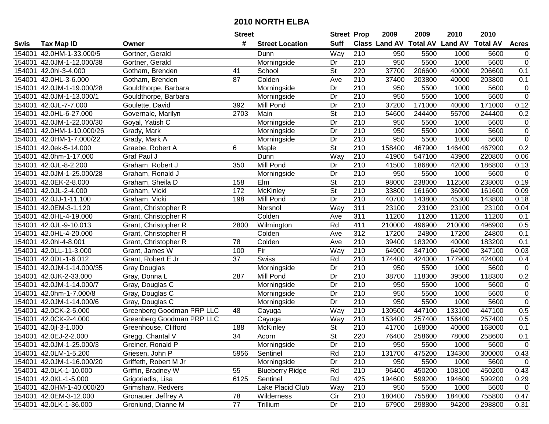|        |                           |                           | <b>Street</b>   |                        | <b>Street Prop</b>       |                  | 2009                          | 2009   | 2010           | 2010            |                |
|--------|---------------------------|---------------------------|-----------------|------------------------|--------------------------|------------------|-------------------------------|--------|----------------|-----------------|----------------|
| Swis   | <b>Tax Map ID</b>         | Owner                     | #               | <b>Street Location</b> | <b>Suff</b>              |                  | <b>Class Land AV Total AV</b> |        | <b>Land AV</b> | <b>Total AV</b> | <b>Acres</b>   |
| 154001 | 42.0HM-1-33.000/5         | Gortner, Gerald           |                 | Dunn                   | Way                      | 210              | 950                           | 5500   | 1000           | 5600            | 0              |
| 154001 | 42.0JM-1-12.000/38        | Gortner, Gerald           |                 | Morningside            | Dr                       | 210              | 950                           | 5500   | 1000           | 5600            | $\pmb{0}$      |
| 154001 | 42.0hl-3-4.000            | Gotham, Brenden           | 41              | School                 | St                       | 220              | 37700                         | 206600 | 40000          | 206600          | 0.1            |
| 154001 | 42.0HL-3-6.000            | Gotham, Brenden           | 87              | Colden                 | Ave                      | 210              | 37400                         | 203800 | 40000          | 203800          | 0.1            |
| 154001 | 42.0JM-1-19.000/28        | Gouldthorpe, Barbara      |                 | Morningside            | Dr                       | 210              | 950                           | 5500   | 1000           | 5600            | 0              |
| 154001 | 42.0JM-1-13.000/1         | Gouldthorpe, Barbara      |                 | Morningside            | Dr                       | 210              | 950                           | 5500   | 1000           | 5600            | $\overline{0}$ |
| 154001 | 42.0JL-7-7.000            | Goulette, David           | 392             | Mill Pond              | Dr                       | 210              | 37200                         | 171000 | 40000          | 171000          | 0.12           |
| 154001 | 42.0HL-6-27.000           | Governale, Marilyn        | 2703            | Main                   | $\overline{\mathsf{St}}$ | 210              | 54600                         | 244400 | 55700          | 244400          | 0.2            |
| 154001 | 42.0JM-1-22.000/30        | Goyal, Yatish C           |                 | Morningside            | Dr                       | $\overline{210}$ | 950                           | 5500   | 1000           | 5600            | $\mathbf 0$    |
| 154001 | 42.0HM-1-10.000/26        | Grady, Mark               |                 | Morningside            | Dr                       | 210              | 950                           | 5500   | 1000           | 5600            | $\pmb{0}$      |
| 154001 | 42.0HM-1-7.000/22         | Grady, Mark A             |                 | Morningside            | Dr                       | 210              | 950                           | 5500   | 1000           | 5600            | $\pmb{0}$      |
| 154001 | 42.0ek-5-14.000           | Graebe, Robert A          | 6               | Maple                  | St                       | 210              | 158400                        | 467900 | 146400         | 467900          | 0.2            |
| 154001 | 42.0hm-1-17.000           | Graf Paul J               |                 | Dunn                   | Way                      | 210              | 41900                         | 547100 | 43900          | 220800          | 0.06           |
| 154001 | 42.0JL-8-2.200            | Graham, Robert J          | 350             | Mill Pond              | Dr                       | 210              | 41500                         | 186800 | 42000          | 186800          | 0.13           |
| 154001 | 42.0JM-1-25.000/28        | Graham, Ronald J          |                 | Morningside            | Dr                       | 210              | 950                           | 5500   | 1000           | 5600            | $\mathbf 0$    |
| 154001 | 42.0EK-2-8.000            | Graham, Sheila D          | 158             | Elm                    | St                       | 210              | 98000                         | 238000 | 112500         | 238000          | 0.19           |
| 154001 | 42.0JL-2-4.000            | Graham, Vicki             | 172             | McKinley               | $\overline{St}$          | $\overline{210}$ | 33800                         | 161600 | 36000          | 161600          | 0.09           |
| 154001 | 42.0JJ-1-11.100           | Graham, Vicki             | 198             | Mill Pond              | Dr                       | 210              | 40700                         | 143800 | 45300          | 143800          | 0.18           |
| 154001 | 42.0EM-3-1.120            | Grant, Christopher R      |                 | Norsnol                | Way                      | 311              | 23100                         | 23100  | 23100          | 23100           | 0.04           |
| 154001 | 42.0HL-4-19.000           | Grant, Christopher R      |                 | Colden                 | Ave                      | 311              | 11200                         | 11200  | 11200          | 11200           | 0.1            |
| 154001 | 42.0JL-9-10.013           | Grant, Christopher R      | 2800            | Wilmington             | Rd                       | 411              | 210000                        | 496900 | 210000         | 496900          | 0.5            |
| 154001 | 42.0HL-4-20.000           | Grant, Christopher R      |                 | Colden                 | Ave                      | 312              | 17200                         | 24800  | 17200          | 24800           | 0.1            |
| 154001 | 42.0hl-4-8.001            | Grant, Christopher R      | 78              | Colden                 | Ave                      | 210              | 39400                         | 183200 | 40000          | 183200          | 0.1            |
| 154001 | 42.0LL-11-3.000           | Grant, James W            | 100             | Fir                    | Way                      | 210              | 64900                         | 347100 | 64900          | 347100          | 0.03           |
| 154001 | 42.0DL-1-6.012            | Grant, Robert E Jr        | $\overline{37}$ | <b>Swiss</b>           | Rd                       | $\overline{210}$ | 174400                        | 424000 | 177900         | 424000          | 0.4            |
| 154001 | 42.0JM-1-14.000/35        | <b>Gray Douglas</b>       |                 | Morningside            | Dr                       | 210              | 950                           | 5500   | 1000           | 5600            | $\mathbf 0$    |
| 154001 | 42.0JK-2-33.000           | Gray, Donna L             | 287             | Mill Pond              | Dr                       | 210              | 38700                         | 118300 | 39500          | 118300          | 0.2            |
| 154001 | 42.0JM-1-14.000/7         | Gray, Douglas C           |                 | Morningside            | Dr                       | 210              | 950                           | 5500   | 1000           | 5600            | 0              |
| 154001 | 42.0hm-1-7.000/8          | Gray, Douglas C           |                 | Morningside            | Dr                       | $\overline{210}$ | 950                           | 5500   | 1000           | 5600            | $\overline{0}$ |
| 154001 | 42.0JM-1-14.000/6         | Gray, Douglas C           |                 | Morningside            | Dr                       | 210              | 950                           | 5500   | 1000           | 5600            | $\overline{0}$ |
| 154001 | 42.0CK-2-5.000            | Greenberg Goodman PRP LLC | 48              | Cayuga                 | Way                      | 210              | 130500                        | 447100 | 133100         | 447100          | 0.5            |
| 154001 | 42.0CK-2-4.000            | Greenberg Goodman PRP LLC |                 | Cayuga                 | Way                      | 210              | 153400                        | 257400 | 156400         | 257400          | 0.5            |
| 154001 | 42.0jl-3-1.000            | Greenhouse, Clifford      | 188             | <b>McKinley</b>        | $\overline{\mathsf{St}}$ | $\overline{210}$ | 41700                         | 168000 | 40000          | 168000          | 0.1            |
|        | 154001 42.0EJ-2-2.000     | Gregg, Chantal V          | $\overline{34}$ | Acorn                  | $\overline{\mathsf{St}}$ | 220              | 76400                         | 258600 | 78000          | 258600          | 0.1            |
|        | 154001 42.0JM-1-25.000/3  | Greiner, Ronald P         |                 | Morningside            | Dr                       | 210              | 950                           | 5500   | 1000           | 5600            | 0              |
|        | 154001 42.0LM-1-5.200     | Griesen, John P           | 5956            | Sentinel               | Rd                       | 210              | 131700                        | 475200 | 134300         | 300000          | 0.43           |
|        | 154001 42.0JM-1-16.000/20 | Griffeth, Robert M Jr     |                 | Morningside            | Dr                       | 210              | 950                           | 5500   | 1000           | 5600            | $\mathbf 0$    |
|        | 154001 42.0LK-1-10.000    | Griffin, Bradney W        | 55              | <b>Blueberry Ridge</b> | Rd                       | 210              | 96400                         | 450200 | 108100         | 450200          | 0.43           |
|        | 154001 42.0KL-1-5.000     | Grigoriadis, Lisa         | 6125            | Sentinel               | Rd                       | 425              | 194600                        | 599200 | 194600         | 599200          | 0.29           |
|        | 154001 42.0HM-1-40.000/20 | Grimshaw, Redvers         |                 | Lake Placid Club       | Way                      | 210              | 950                           | 5500   | 1000           | 5600            | $\overline{0}$ |
|        | 154001 42.0EM-3-12.000    | Gronauer, Jeffrey A       | 78              | Wilderness             | Cir                      | 210              | 180400                        | 755800 | 184000         | 755800          | 0.47           |
|        | 154001 42.0LK-1-36.000    | Gronlund, Dianne M        | 77              | Trillium               | Dr                       | 210              | 67900                         | 298800 | 94200          | 298800          | 0.31           |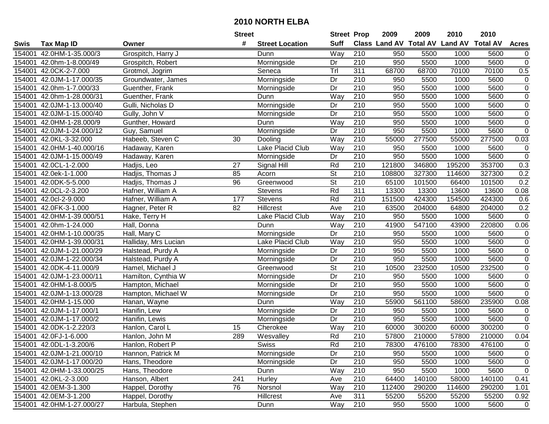|        |                           |                      | <b>Street</b> |                        | <b>Street Prop</b>       |                  | 2009   | 2009   | 2010                                    | 2010   |                |
|--------|---------------------------|----------------------|---------------|------------------------|--------------------------|------------------|--------|--------|-----------------------------------------|--------|----------------|
| Swis   | <b>Tax Map ID</b>         | Owner                | #             | <b>Street Location</b> | <b>Suff</b>              |                  |        |        | Class Land AV Total AV Land AV Total AV |        | <b>Acres</b>   |
| 154001 | 42.0HM-1-35.000/3         | Grospitch, Harry J   |               | Dunn                   | Way                      | 210              | 950    | 5500   | 1000                                    | 5600   | 0              |
| 154001 | 42.0hm-1-8.000/49         | Grospitch, Robert    |               | Morningside            | Dr                       | 210              | 950    | 5500   | 1000                                    | 5600   | $\pmb{0}$      |
| 154001 | 42.0CK-2-7.000            | Grotmol, Jogrim      |               | Seneca                 | $\overline{T}$ rl        | 311              | 68700  | 68700  | 70100                                   | 70100  | 0.5            |
| 154001 | 42.0JM-1-17.000/35        | Groundwater, James   |               | Morningside            | Dr                       | 210              | 950    | 5500   | 1000                                    | 5600   | $\pmb{0}$      |
| 154001 | 42.0hm-1-7.000/33         | Guenther, Frank      |               | Morningside            | Dr                       | 210              | 950    | 5500   | 1000                                    | 5600   | $\overline{0}$ |
| 154001 | 42.0hm-1-28.000/31        | Guenther, Frank      |               | Dunn                   | Way                      | 210              | 950    | 5500   | 1000                                    | 5600   | $\overline{0}$ |
| 154001 | 42.0JM-1-13.000/40        | Gulli, Nicholas D    |               | Morningside            | Dr                       | $\overline{210}$ | 950    | 5500   | 1000                                    | 5600   | $\overline{0}$ |
| 154001 | 42.0JM-1-15.000/40        | Gully, John V        |               | Morningside            | Dr                       | 210              | 950    | 5500   | 1000                                    | 5600   | $\overline{0}$ |
| 154001 | 42.0HM-1-28.000/9         | Gunther, Howard      |               | Dunn                   | Way                      | 210              | 950    | 5500   | 1000                                    | 5600   | $\overline{0}$ |
| 154001 | 42.0JM-1-24.000/12        | Guy, Samuel          |               | Morningside            | Dr                       | $\overline{210}$ | 950    | 5500   | 1000                                    | 5600   | $\pmb{0}$      |
| 154001 | 42.0KL-3-32.000           | Habeeb, Steven C     | 30            | Dooling                | Way                      | 210              | 55000  | 277500 | 55000                                   | 277500 | 0.03           |
| 154001 | 42.0HM-1-40.000/16        | Hadaway, Karen       |               | Lake Placid Club       | Way                      | 210              | 950    | 5500   | 1000                                    | 5600   | $\mathbf 0$    |
| 154001 | 42.0JM-1-15.000/49        | Hadaway, Karen       |               | Morningside            | Dr                       | 210              | 950    | 5500   | 1000                                    | 5600   | $\mathbf 0$    |
| 154001 | 42.0CL-1-2.000            | Hadjis, Leo          | 27            | Signal Hill            | Rd                       | $\overline{210}$ | 121800 | 346800 | 195200                                  | 353700 | 0.3            |
| 154001 | 42.0ek-1-1.000            | Hadjis, Thomas J     | 85            | Acorn                  | $\overline{\mathsf{St}}$ | 210              | 108800 | 327300 | 114600                                  | 327300 | 0.2            |
| 154001 | 42.0DK-5-5.000            | Hadjis, Thomas J     | 96            | Greenwood              | $\overline{\mathsf{St}}$ | 210              | 65100  | 101500 | 66400                                   | 101500 | 0.2            |
| 154001 | 42.0CL-2-3.200            | Hafner, William A    |               | <b>Stevens</b>         | Rd                       | 311              | 13300  | 13300  | 13600                                   | 13600  | 0.08           |
| 154001 | 42.0cl-2-9.000            | Hafner, William A    | 177           | <b>Stevens</b>         | Rd                       | $\overline{210}$ | 151500 | 424300 | 154500                                  | 424300 | 0.6            |
| 154001 | 42.0FK-3-1.000            | Hagner, Peter R      | 82            | <b>Hillcrest</b>       | Ave                      | 210              | 63500  | 204000 | 64800                                   | 204000 | 0.2            |
| 154001 | 42.0HM-1-39.000/51        | Hake, Terry H        |               | Lake Placid Club       | Way                      | 210              | 950    | 5500   | 1000                                    | 5600   | $\mathbf 0$    |
| 154001 | 42.0hm-1-24.000           | Hall, Donna          |               | Dunn                   | Way                      | 210              | 41900  | 547100 | 43900                                   | 220800 | 0.06           |
| 154001 | 42.0HM-1-10.000/35        | Hall, Mary C         |               | Morningside            | Dr                       | 210              | 950    | 5500   | 1000                                    | 5600   | $\pmb{0}$      |
| 154001 | 42.0HM-1-39.000/31        | Halliday, Mrs Lucian |               | Lake Placid Club       | Way                      | 210              | 950    | 5500   | 1000                                    | 5600   | $\pmb{0}$      |
| 154001 | 42.0JM-1-21.000/29        | Halstead, Purdy A    |               | Morningside            | Dr                       | 210              | 950    | 5500   | 1000                                    | 5600   | $\pmb{0}$      |
| 154001 | 42.0JM-1-22.000/34        | Halstead, Purdy A    |               | Morningside            | Dr                       | 210              | 950    | 5500   | 1000                                    | 5600   | 0              |
| 154001 | 42.0DK-4-11.000/9         | Hamel, Michael J     |               | Greenwood              | $\overline{\mathsf{St}}$ | 210              | 10500  | 232500 | 10500                                   | 232500 | $\pmb{0}$      |
| 154001 | 42.0JM-1-23.000/11        | Hamilton, Cynthia W  |               | Morningside            | Dr                       | 210              | 950    | 5500   | 1000                                    | 5600   | $\pmb{0}$      |
| 154001 | 42.0HM-1-8.000/5          | Hampton, Michael     |               | Morningside            | Dr                       | 210              | 950    | 5500   | 1000                                    | 5600   | $\pmb{0}$      |
| 154001 | 42.0JM-1-13.000/28        | Hampton, Michael W   |               | Morningside            | Dr                       | 210              | 950    | 5500   | 1000                                    | 5600   | $\mathbf 0$    |
| 154001 | 42.0HM-1-15.000           | Hanan, Wayne         |               | Dunn                   | Way                      | 210              | 55900  | 561100 | 58600                                   | 235900 | 0.08           |
| 154001 | 42.0JM-1-17.000/1         | Hanifin, Lew         |               | Morningside            | Dr                       | 210              | 950    | 5500   | 1000                                    | 5600   | $\mathbf 0$    |
| 154001 | 42.0JM-1-17.000/2         | Hanifin, Lewis       |               | Morningside            | $\overline{Dr}$          | $\overline{210}$ | 950    | 5500   | 1000                                    | 5600   | $\overline{0}$ |
| 154001 | 42.0DK-1-2.220/3          | Hanlon, Carol L      | 15            | Cherokee               | Way                      | 210              | 60000  | 300200 | 60000                                   | 300200 | $\mathbf 0$    |
|        | 154001 42.0FJ-1-6.000     | Hanlon, John M       | 289           | Wesvalley              | Rd                       | $\overline{210}$ | 57800  | 210000 | 57800                                   | 210000 | 0.04           |
|        | 154001 42.0DL-1-3.200/6   | Hanlon, Robert P     |               | <b>Swiss</b>           | Rd                       | 210              | 78300  | 476100 | 78300                                   | 476100 | $\pmb{0}$      |
| 154001 | 42.0JM-1-21.000/10        | Hannon, Patrick M    |               | Morningside            | Dr                       | 210              | 950    | 5500   | 1000                                    | 5600   | $\pmb{0}$      |
| 154001 | 42.0JM-1-17.000/20        | Hans, Theodore       |               | Morningside            | Dr                       | 210              | 950    | 5500   | 1000                                    | 5600   | $\mathbf 0$    |
|        | 154001 42.0HM-1-33.000/25 | Hans, Theodore       |               | Dunn                   | Way                      | 210              | 950    | 5500   | 1000                                    | 5600   | $\pmb{0}$      |
|        | 154001 42.0KL-2-3.000     | Hanson, Albert       | 241           | <b>Hurley</b>          | Ave                      | 210              | 64400  | 140100 | 58000                                   | 140100 | 0.41           |
| 154001 | 42.0EM-3-1.300            | Happel, Dorothy      | 76            | Norsnol                | Way                      | 210              | 112400 | 290200 | 114600                                  | 290200 | 1.01           |
| 154001 | 42.0EM-3-1.200            | Happel, Dorothy      |               | Hillcrest              | Ave                      | 311              | 55200  | 55200  | 55200                                   | 55200  | 0.92           |
|        | 154001 42.0HM-1-27.000/27 | Harbula, Stephen     |               | Dunn                   | Way                      | 210              | 950    | 5500   | 1000                                    | 5600   | $\mathbf 0$    |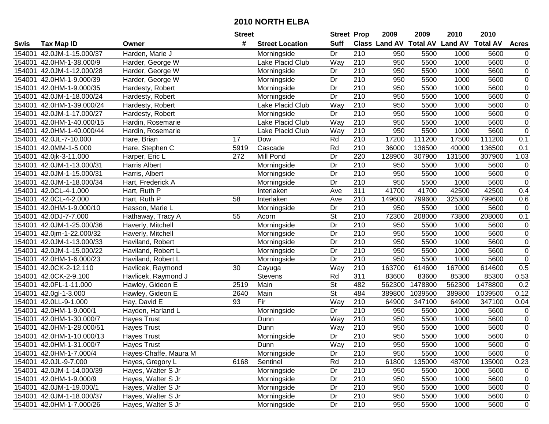|        |                           |                       | <b>Street</b> |                        | <b>Street Prop</b> |                  | 2009                          | 2009    | 2010           | 2010            |                  |
|--------|---------------------------|-----------------------|---------------|------------------------|--------------------|------------------|-------------------------------|---------|----------------|-----------------|------------------|
| Swis   | <b>Tax Map ID</b>         | Owner                 | #             | <b>Street Location</b> | <b>Suff</b>        |                  | <b>Class Land AV Total AV</b> |         | <b>Land AV</b> | <b>Total AV</b> | <b>Acres</b>     |
| 154001 | 42.0JM-1-15.000/37        | Harden, Marie J       |               | Morningside            | Dr                 | 210              | 950                           | 5500    | 1000           | 5600            | $\overline{0}$   |
| 154001 | 42.0HM-1-38.000/9         | Harder, George W      |               | Lake Placid Club       | Way                | 210              | 950                           | 5500    | 1000           | 5600            | $\pmb{0}$        |
| 154001 | 42.0JM-1-12.000/28        | Harder, George W      |               | Morningside            | Dr                 | 210              | 950                           | 5500    | 1000           | 5600            | $\mathbf 0$      |
| 154001 | 42.0HM-1-9.000/39         | Harder, George W      |               | Morningside            | Dr                 | 210              | 950                           | 5500    | 1000           | 5600            | $\overline{0}$   |
| 154001 | 42.0HM-1-9.000/35         | Hardesty, Robert      |               | Morningside            | Dr                 | $\overline{210}$ | 950                           | 5500    | 1000           | 5600            | $\overline{0}$   |
| 154001 | 42.0JM-1-18.000/24        | Hardesty, Robert      |               | Morningside            | Dr                 | $\overline{210}$ | 950                           | 5500    | 1000           | 5600            | $\overline{0}$   |
| 154001 | 42.0HM-1-39.000/24        | Hardesty, Robert      |               | Lake Placid Club       | Way                | 210              | 950                           | 5500    | 1000           | 5600            | $\pmb{0}$        |
| 154001 | 42.0JM-1-17.000/27        | Hardesty, Robert      |               | Morningside            | $\overline{Dr}$    | 210              | 950                           | 5500    | 1000           | 5600            | $\overline{0}$   |
| 154001 | 42.0HM-1-40.000/15        | Hardin, Rosemarie     |               | Lake Placid Club       | Way                | 210              | 950                           | 5500    | 1000           | 5600            | $\pmb{0}$        |
| 154001 | 42.0HM-1-40.000/44        | Hardin, Rosemarie     |               | Lake Placid Club       | Way                | 210              | 950                           | 5500    | 1000           | 5600            | $\boldsymbol{0}$ |
| 154001 | 42.0JL-7-10.000           | Hare, Brian           | 17            | Dow                    | Rd                 | 210              | 17200                         | 111200  | 17500          | 111200          | 0.1              |
| 154001 | 42.0MM-1-5.000            | Hare, Stephen C       | 5919          | Cascade                | Rd                 | 210              | 36000                         | 136500  | 40000          | 136500          | 0.1              |
| 154001 | 42.0jk-3-11.000           | Harper, Eric L        | 272           | Mill Pond              | Dr                 | 220              | 128900                        | 307900  | 131500         | 307900          | 1.03             |
| 154001 | 42.0JM-1-13.000/31        | <b>Harris Albert</b>  |               | Morningside            | Dr                 | 210              | 950                           | 5500    | 1000           | 5600            | $\pmb{0}$        |
| 154001 | 42.0JM-1-15.000/31        | Harris, Albert        |               | Morningside            | Dr                 | 210              | 950                           | 5500    | 1000           | 5600            | $\pmb{0}$        |
| 154001 | 42.0JM-1-18.000/34        | Hart, Frederick A     |               | Morningside            | Dr                 | 210              | 950                           | 5500    | 1000           | 5600            | $\pmb{0}$        |
| 154001 | 42.0CL-4-1.000            | Hart, Ruth P          |               | Interlaken             | Ave                | 311              | 41700                         | 41700   | 42500          | 42500           | 0.4              |
| 154001 | 42.0CL-4-2.000            | Hart, Ruth P          | 58            | Interlaken             | Ave                | 210              | 149600                        | 799600  | 325300         | 799600          | 0.6              |
| 154001 | 42.0HM-1-9.000/10         | Hasson, Marie L       |               | Morningside            | Dr                 | 210              | 950                           | 5500    | 1000           | 5600            | $\pmb{0}$        |
| 154001 | 42.0DJ-7-7.000            | Hathaway, Tracy A     | 55            | Acorn                  | <b>St</b>          | 210              | 72300                         | 208000  | 73800          | 208000          | 0.1              |
| 154001 | 42.0JM-1-25.000/36        | Haverly, Mitchell     |               | Morningside            | Dr                 | 210              | 950                           | 5500    | 1000           | 5600            | $\pmb{0}$        |
| 154001 | 42.0jm-1-22.000/32        | Haverly, Mitchell     |               | Morningside            | Dr                 | 210              | 950                           | 5500    | 1000           | 5600            | $\mathbf 0$      |
| 154001 | 42.0JM-1-13.000/33        | Haviland, Robert      |               | Morningside            | Dr                 | 210              | 950                           | 5500    | 1000           | 5600            | $\pmb{0}$        |
| 154001 | 42.0JM-1-15.000/22        | Haviland, Robert L    |               | Morningside            | Dr                 | 210              | 950                           | 5500    | 1000           | 5600            | $\pmb{0}$        |
| 154001 | 42.0HM-1-6.000/23         | Haviland, Robert L    |               | Morningside            | $\overline{Dr}$    | $\overline{210}$ | 950                           | 5500    | 1000           | 5600            | $\overline{0}$   |
| 154001 | 42.0CK-2-12.110           | Havlicek, Raymond     | 30            | Cayuga                 | Way                | 210              | 163700                        | 614600  | 167000         | 614600          | 0.5              |
| 154001 | 42.0CK-2-9.100            | Havlicek, Raymond J   |               | <b>Stevens</b>         | Rd                 | 311              | 83600                         | 83600   | 85300          | 85300           | 0.53             |
| 154001 | 42.0FL-1-11.000           | Hawley, Gideon E      | 2519          | Main                   | <b>St</b>          | 482              | 562300                        | 1478800 | 562300         | 1478800         | 0.2              |
| 154001 | 42.0gl-1-3.000            | Hawley, Gideon E      | 2640          | Main                   | $\overline{St}$    | 484              | 389800                        | 1039500 | 389800         | 1039500         | 0.12             |
| 154001 | 42.0LL-9-1.000            | Hay, David E          | 93            | Fir                    | Way                | $\overline{210}$ | 64900                         | 347100  | 64900          | 347100          | 0.04             |
| 154001 | 42.0HM-1-9.000/1          | Hayden, Harland L     |               | Morningside            | Dr                 | $\overline{210}$ | 950                           | 5500    | 1000           | 5600            | $\pmb{0}$        |
| 154001 | 42.0HM-1-30.000/7         | <b>Hayes Trust</b>    |               | Dunn                   | Way                | $\overline{210}$ | 950                           | 5500    | 1000           | 5600            | $\overline{0}$   |
| 154001 | 42.0HM-1-28.000/51        | <b>Hayes Trust</b>    |               | Dunn                   | Way                | 210              | 950                           | 5500    | 1000           | 5600            | $\overline{0}$   |
|        | 154001 42.0HM-1-10.000/13 | <b>Hayes Trust</b>    |               | Morningside            | Dr                 | $\overline{210}$ | 950                           | 5500    | 1000           | 5600            | $\overline{0}$   |
|        | 154001 42.0HM-1-31.000/7  | <b>Hayes Trust</b>    |               | Dunn                   | Way                | 210              | 950                           | 5500    | 1000           | 5600            | 0                |
|        | 154001 42.0HM-1-7.000/4   | Hayes-Chaffe, Maura M |               | Morningside            | Dr                 | 210              | 950                           | 5500    | 1000           | 5600            | $\mathbf 0$      |
|        | 154001 42.0JL-9-7.000     | Hayes, Gregory L      | 6168          | Sentinel               | Rd                 | 210              | 61800                         | 135000  | 48700          | 135000          | 0.23             |
|        | 154001 42.0JM-1-14.000/39 | Hayes, Walter S Jr    |               | Morningside            | Dr                 | 210              | 950                           | 5500    | 1000           | 5600            | 0                |
|        | 154001 42.0HM-1-9.000/9   | Hayes, Walter S Jr    |               | Morningside            | Dr                 | 210              | 950                           | 5500    | 1000           | 5600            | 0                |
| 154001 | 42.0JM-1-19.000/1         | Hayes, Walter S Jr    |               | Morningside            | Dr                 | 210              | 950                           | 5500    | 1000           | 5600            | 0                |
|        | 154001 42.0JM-1-18.000/37 | Hayes, Walter S Jr    |               | Morningside            | Dr                 | 210              | 950                           | 5500    | 1000           | 5600            | 0                |
|        | 154001 42.0HM-1-7.000/26  | Hayes, Walter S Jr    |               | Morningside            | Dr                 | 210              | 950                           | 5500    | 1000           | 5600            | $\mathsf 0$      |
|        |                           |                       |               |                        |                    |                  |                               |         |                |                 |                  |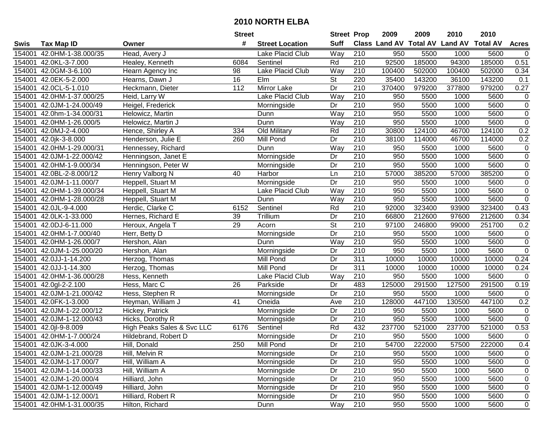|        |                           |                            | <b>Street</b>   |                         | <b>Street Prop</b>       |                  | 2009                          | 2009   | 2010           | 2010            |                |
|--------|---------------------------|----------------------------|-----------------|-------------------------|--------------------------|------------------|-------------------------------|--------|----------------|-----------------|----------------|
| Swis   | <b>Tax Map ID</b>         | Owner                      | #               | <b>Street Location</b>  | <b>Suff</b>              |                  | <b>Class Land AV Total AV</b> |        | <b>Land AV</b> | <b>Total AV</b> | <b>Acres</b>   |
| 154001 | 42.0HM-1-38.000/35        | Head, Avery J              |                 | Lake Placid Club        | Way                      | 210              | 950                           | 5500   | 1000           | 5600            | $\mathbf 0$    |
| 154001 | 42.0KL-3-7.000            | Healey, Kenneth            | 6084            | Sentinel                | Rd                       | 210              | 92500                         | 185000 | 94300          | 185000          | 0.51           |
| 154001 | 42.0GM-3-6.100            | Hearn Agency Inc           | 98              | Lake Placid Club        | Way                      | 210              | 100400                        | 502000 | 100400         | 502000          | 0.34           |
| 154001 | 42.0EK-5-2.000            | Hearns, Dawn J             | $\overline{16}$ | Elm                     | St                       | 220              | 35400                         | 143200 | 36100          | 143200          | 0.1            |
| 154001 | 42.0CL-5-1.010            | Heckmann, Dieter           | 112             | <b>Mirror Lake</b>      | Dr                       | $\overline{210}$ | 370400                        | 979200 | 377800         | 979200          | 0.27           |
| 154001 | 42.0HM-1-37.000/25        | Heid, Larry W              |                 | <b>Lake Placid Club</b> | $\overline{W}$ ay        | $\overline{210}$ | 950                           | 5500   | 1000           | 5600            | $\mathbf 0$    |
| 154001 | 42.0JM-1-24.000/49        | Heigel, Frederick          |                 | Morningside             | Dr                       | $\overline{210}$ | 950                           | 5500   | 1000           | 5600            | $\pmb{0}$      |
| 154001 | 42.0hm-1-34.000/31        | Helowicz, Martin           |                 | Dunn                    | Way                      | 210              | 950                           | 5500   | 1000           | 5600            | $\overline{0}$ |
| 154001 | 42.0HM-1-26.000/5         | Helowicz, Martin J         |                 | Dunn                    | Way                      | $\overline{210}$ | 950                           | 5500   | 1000           | 5600            | $\overline{0}$ |
| 154001 | 42.0MJ-2-4.000            | Hence, Shirley A           | 334             | Old Military            | Rd                       | 210              | 30800                         | 124100 | 46700          | 124100          | 0.2            |
| 154001 | 42.0jk-3-8.000            | Henderson, Julie E         | 260             | Mill Pond               | Dr                       | 210              | 38100                         | 114000 | 46700          | 114000          | 0.2            |
| 154001 | 42.0HM-1-29.000/31        | Hennessey, Richard         |                 | Dunn                    | Way                      | 210              | 950                           | 5500   | 1000           | 5600            | $\pmb{0}$      |
| 154001 | 42.0JM-1-22.000/42        | Henningson, Janet E        |                 | Morningside             | Dr                       | 210              | 950                           | 5500   | 1000           | 5600            | $\overline{0}$ |
| 154001 | 42.0HM-1-9.000/34         | Henningson, Peter W        |                 | Morningside             | Dr                       | 210              | 950                           | 5500   | 1000           | 5600            | $\pmb{0}$      |
| 154001 | 42.0BL-2-8.000/12         | Henry Valborg N            | 40              | Harbor                  | Ln                       | $\overline{210}$ | 57000                         | 385200 | 57000          | 385200          | $\overline{0}$ |
| 154001 | 42.0JM-1-11.000/7         | Heppell, Stuart M          |                 | Morningside             | Dr                       | 210              | 950                           | 5500   | 1000           | 5600            | $\pmb{0}$      |
| 154001 | 42.0HM-1-39.000/34        | Heppell, Stuart M          |                 | Lake Placid Club        | Way                      | $\overline{210}$ | 950                           | 5500   | 1000           | 5600            | $\overline{0}$ |
| 154001 | 42.0HM-1-28.000/28        | Heppell, Stuart M          |                 | Dunn                    | Way                      | 210              | 950                           | 5500   | 1000           | 5600            | $\pmb{0}$      |
| 154001 | 42.0JL-9-4.000            | Herdic, Clarke C           | 6152            | Sentinel                | Rd                       | 210              | 92000                         | 323400 | 93900          | 323400          | 0.43           |
| 154001 | 42.0LK-1-33.000           | Hernes, Richard E          | 39              | Trillium                | Dr                       | 210              | 66800                         | 212600 | 97600          | 212600          | 0.34           |
| 154001 | 42.0DJ-6-11.000           | Heroux, Angela T           | 29              | Acorn                   | $\overline{\mathsf{St}}$ | 210              | 97100                         | 246800 | 99000          | 251700          | 0.2            |
| 154001 | 42.0HM-1-7.000/40         | Herr, Betty D              |                 | Morningside             | Dr                       | 210              | 950                           | 5500   | 1000           | 5600            | $\pmb{0}$      |
| 154001 | 42.0HM-1-26.000/7         | Hershon, Alan              |                 | Dunn                    | Way                      | 210              | 950                           | 5500   | 1000           | 5600            | $\overline{0}$ |
| 154001 | 42.0JM-1-25.000/20        | Hershon, Alan              |                 | Morningside             | Dr                       | 210              | 950                           | 5500   | 1000           | 5600            | $\pmb{0}$      |
| 154001 | 42.0JJ-1-14.200           | Herzog, Thomas             |                 | Mill Pond               | Dr                       | 311              | 10000                         | 10000  | 10000          | 10000           | 0.24           |
| 154001 | 42.0JJ-1-14.300           | Herzog, Thomas             |                 | Mill Pond               | Dr                       | 311              | 10000                         | 10000  | 10000          | 10000           | 0.24           |
| 154001 | 42.0HM-1-36.000/28        | Hess, Kenneth              |                 | Lake Placid Club        | Way                      | 210              | 950                           | 5500   | 1000           | 5600            | 0              |
| 154001 | 42.0gl-2-2.100            | Hess, Marc C               | 26              | Parkside                | Dr                       | 483              | 125000                        | 291500 | 127500         | 291500          | 0.19           |
| 154001 | 42.0JM-1-21.000/42        | Hess, Stephen R            |                 | Morningside             | $\overline{Dr}$          | $\overline{210}$ | 950                           | 5500   | 1000           | 5600            | $\mathsf 0$    |
| 154001 | 42.0FK-1-3.000            | Heyman, William J          | $\overline{41}$ | Oneida                  | Ave                      | $\overline{210}$ | 128000                        | 447100 | 130500         | 447100          | 0.2            |
| 154001 | 42.0JM-1-22.000/12        | <b>Hickey, Patrick</b>     |                 | Morningside             | Dr                       | 210              | 950                           | 5500   | 1000           | 5600            | $\mathbf 0$    |
| 154001 | 42.0JM-1-12.000/43        | Hicks, Dorothy R           |                 | Morningside             | Dr                       | $\overline{210}$ | 950                           | 5500   | 1000           | 5600            | $\overline{0}$ |
| 154001 | 42.0jl-9-8.009            | High Peaks Sales & Svc LLC | 6176            | Sentinel                | Rd                       | 432              | 237700                        | 521000 | 237700         | 521000          | 0.53           |
|        | 154001 42.0HM-1-7.000/24  | Hildebrand, Robert D       |                 | Morningside             | $\overline{Dr}$          | 210              | 950                           | 5500   | 1000           | 5600            | $\mathbf 0$    |
|        | 154001 42.0JK-3-4.000     | Hill, Donald               | 250             | Mill Pond               | Dr                       | 210              | 54700                         | 222000 | 57500          | 222000          | 0.4            |
|        | 154001 42.0JM-1-21.000/28 | Hill, Melvin R             |                 | Morningside             | Dr                       | 210              | 950                           | 5500   | 1000           | 5600            | 0              |
|        | 154001 42.0JM-1-17.000/7  | Hill, William A            |                 | Morningside             | Dr                       | 210              | 950                           | 5500   | 1000           | 5600            | 0              |
|        | 154001 42.0JM-1-14.000/33 | Hill, William A            |                 | Morningside             | Dr                       | 210              | 950                           | 5500   | 1000           | 5600            | 0              |
|        | 154001 42.0JM-1-20.000/4  | Hilliard, John             |                 | Morningside             | Dr                       | 210              | 950                           | 5500   | 1000           | 5600            | 0              |
|        | 154001 42.0JM-1-12.000/49 | Hilliard, John             |                 | Morningside             | Dr                       | 210              | 950                           | 5500   | 1000           | 5600            | 0              |
|        | 154001 42.0JM-1-12.000/1  | Hilliard, Robert R         |                 | Morningside             | Dr                       | 210              | 950                           | 5500   | 1000           | 5600            | 0              |
|        | 154001 42.0HM-1-31.000/35 | Hilton, Richard            |                 | Dunn                    | Way                      | 210              | 950                           | 5500   | 1000           | 5600            | $\mathbf 0$    |
|        |                           |                            |                 |                         |                          |                  |                               |        |                |                 |                |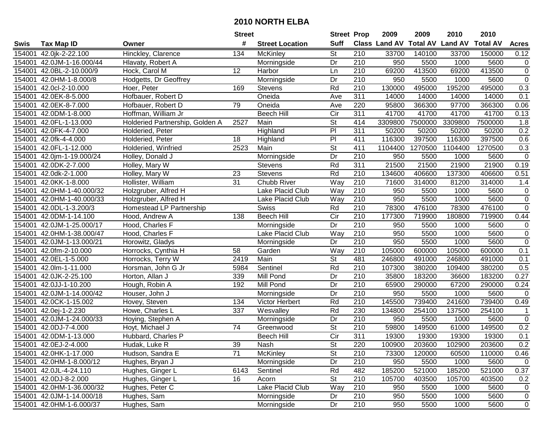| #<br><b>Suff</b><br>Class Land AV Total AV Land AV<br><b>Total AV</b><br><b>Tax Map ID</b><br><b>Street Location</b><br><b>Acres</b><br>Swis<br>Owner<br>Hinckley, Clarence<br>St<br>134<br>McKinley<br>210<br>33700<br>140100<br>33700<br>150000<br>0.12<br>154001<br>42.0jk-2-22.100<br>154001<br>Morningside<br>Dr<br>210<br>950<br>5500<br>1000<br>5600<br>$\mathbf 0$<br>42.0JM-1-16.000/44<br>Hlavaty, Robert A<br>413500<br>$\mathbf 0$<br>154001<br>42.0BL-2-10.000/9<br>12<br>210<br>69200<br>413500<br>69200<br>Hock, Carol M<br>Harbor<br>Ln<br>$\overline{0}$<br>210<br>950<br>5600<br>154001<br>42.0HM-1-8.000/8<br>Hodgetts, Dr Geoffrey<br>Morningside<br>Dr<br>5500<br>1000<br>0.3<br>42.0cl-2-10.000<br>169<br>Rd<br>210<br>130000<br>495000<br>195200<br>495000<br>154001<br>Hoer, Peter<br><b>Stevens</b><br>311<br>0.1<br>154001<br>42.0EK-8-5.000<br>Hofbauer, Robert D<br>Oneida<br>14000<br>14000<br>14000<br>14000<br>Ave<br>42.0EK-8-7.000<br>79<br>220<br>95800<br>97700<br>366300<br>0.06<br>154001<br>Hofbauer, Robert D<br>Oneida<br>Ave<br>366300<br>311<br>Hoffman, William Jr<br><b>Beech Hill</b><br>$\overline{C}$<br>41700<br>41700<br>41700<br>41700<br>0.13<br>154001<br>42.0DM-1-8.000<br>2527<br>$\overline{\mathsf{St}}$<br>7500000<br>42.0FL-1-13.000<br>Holderied Partnership, Golden A<br>Main<br>414<br>3309800<br>3309800<br>7500000<br>1.8<br>154001<br>PI<br>311<br>50200<br>50200<br>0.2<br>42.0FK-4-7.000<br>50200<br>50200<br>154001<br>Holderied, Peter<br>Highland<br>PI<br>116300<br>397500<br>116300<br>397500<br>0.6<br>154001<br>42.0fk-4-4.000<br>18<br>411<br>Holderied, Peter<br>Highland<br>St<br>42.0FL-1-12.000<br>2523<br>Main<br>411<br>1104400<br>1270500<br>1104400<br>1270500<br>0.3<br>154001<br>Holderied, Winfried<br>$\overline{210}$<br>Dr<br>950<br>5500<br>$\mathbf 0$<br>154001 42.0jm-1-19.000/24<br>Holley, Donald J<br>1000<br>5600<br>Morningside<br>Rd<br>311<br>21500<br>21900<br>42.0DK-2-7.000<br>Holley, Mary W<br>Stevens<br>21500<br>21900<br>0.19<br>154001<br>Rd<br>210<br>154001<br>42.0dk-2-1.000<br>23<br><b>Stevens</b><br>134600<br>406600<br>137300<br>406600<br>0.51<br>Holley, Mary W<br>31<br>210<br>42.0KK-1-8.000<br>Chubb River<br>Way<br>71600<br>314000<br>154001<br>Hollister, William<br>81200<br>314000<br>1.4<br>210<br>154001<br>Lake Placid Club<br>Way<br>950<br>5500<br>5600<br>$\mathbf 0$<br>42.0HM-1-40.000/32<br>Holzgruber, Alfred H<br>1000<br>$\overline{0}$<br>950<br>154001<br>Way<br>210<br>5500<br>1000<br>5600<br>42.0HM-1-40.000/33<br>Holzgruber, Alfred H<br>Lake Placid Club<br>$\overline{0}$<br>476100<br>476100<br>154001<br>42.0DL-1-3.200/3<br>Swiss<br>Rd<br>210<br>78300<br>78300<br>Homestead LP Partnership<br>0.44<br>154001<br>42.0DM-1-14.100<br><b>Beech Hill</b><br>Cir<br>210<br>177300<br>719900<br>180800<br>719900<br>Hood, Andrew A<br>138<br>$\overline{210}$<br>Dr<br>950<br>5600<br>$\mathbf 0$<br>154001<br>42.0JM-1-25.000/17<br>Hood, Charles F<br>5500<br>1000<br>Morningside<br>210<br>$\mathbf 0$<br>42.0HM-1-38.000/47<br>Lake Placid Club<br>Way<br>950<br>5500<br>1000<br>5600<br>154001<br>Hood, Charles F<br>$\mathbf 0$<br>210<br>950<br>154001<br>42.0JM-1-13.000/21<br>Dr<br>5500<br>1000<br>5600<br>Horowitz, Gladys<br>Morningside<br>42.0fm-2-10.000<br>58<br>Way<br>210<br>105000<br>600000<br>105000<br>600000<br>0.1<br>154001<br>Horrocks, Cynthia H<br>Garden<br>$\overline{\mathsf{St}}$<br>481<br>42.0EL-1-5.000<br>2419<br>Main<br>246800<br>491000<br>0.1<br>154001<br>246800<br>491000<br>Horrocks, Terry W<br>Rd<br>210<br>380200<br>107300<br>109400<br>380200<br>0.5<br>154001<br>42.0lm-1-11.000<br>Horsman, John G Jr<br>5984<br>Sentinel<br>Dr<br>210<br>183200<br>154001<br>42.0JK-2-25.100<br>339<br>35800<br>36600<br>183200<br>0.27<br>Horton, Allan J<br>Mill Pond<br>Dr<br>154001<br>42.0JJ-1-10.200<br>192<br>Mill Pond<br>210<br>65900<br>290000<br>67200<br>290000<br>Hough, Robin A<br>0.24<br>$\overline{210}$<br>Dr<br>950<br>5500<br>1000<br>5600<br>154001<br>42.0JM-1-14.000/42<br>0<br>Houser, John J<br>Morningside<br>Rd<br>$\overline{210}$<br>145500<br>739400<br>241600<br>739400<br>154001<br>42.0CK-1-15.002<br>Hovey, Steven<br>134<br>Victor Herbert<br>0.49<br>Rd<br>230<br>254100<br>254100<br>154001<br>42.0ej-1-2.230<br>337<br>Wesvalley<br>134800<br>137500<br>$\mathbf{1}$<br>Howe, Charles L<br>$\overline{Dr}$<br>$\overline{0}$<br>42.0JM-1-24.000/33<br>210<br>950<br>5500<br>5600<br>154001<br>Hoying, Stephen A<br>1000<br>Morningside<br>$\overline{74}$<br>$\overline{\mathsf{St}}$<br>$\overline{210}$<br>59800<br>149500<br>0.2<br>154001<br>42.0DJ-7-4.000<br>Hoyt, Michael J<br>149500<br>61000<br>Greenwood<br>$\overline{C}$ ir<br>311<br>0.1<br>154001 42.0DM-1-13.000<br>Hubbard, Charles P<br>19300<br>19300<br>19300<br><b>Beech Hill</b><br>19300<br>154001 42.0EJ-2-4.000<br>Hudak, Luke R<br>39<br>Nash<br>St<br>220<br>100900<br>203600<br>102900<br>203600<br>0.2<br>71<br><b>St</b><br>154001 42.0HK-1-17.000<br>Hudson, Sandra E<br>McKinley<br>210<br>73300<br>120000<br>60500<br>110000<br>0.46<br>210<br>950<br>154001 42.0HM-1-8.000/12<br>Hughes, Bryan J<br>Morningside<br>Dr<br>5500<br>1000<br>5600<br>$\mathbf 0$<br>Rd<br>154001 42.0JL-4-24.110<br>6143<br>Sentinel<br>482<br>185200<br>521000<br>185200<br>521000<br>0.37<br>Hughes, Ginger L<br>154001 42.0DJ-8-2.000<br>Hughes, Ginger L<br><b>St</b><br>210<br>105700<br>16<br>403500<br>105700<br>403500<br>0.2<br>Acorn<br>Lake Placid Club<br>210<br>Hughes, Peter C<br>Way<br>154001 42.0HM-1-36.000/32<br>950<br>5500<br>1000<br>5600<br>$\mathbf 0$<br>154001 42.0JM-1-14.000/18<br>210<br>Hughes, Sam<br>Morningside<br>950<br>5500<br>1000<br>5600<br>Dr<br>$\mathbf 0$<br>154001 42.0HM-1-6.000/37<br>210<br>Hughes, Sam<br>Morningside<br>Dr<br>950<br>5500<br>1000<br>5600<br>$\mathbf 0$ |  | <b>Street</b> | <b>Street Prop</b> | 2009 | 2009 | 2010 | 2010 |  |
|-------------------------------------------------------------------------------------------------------------------------------------------------------------------------------------------------------------------------------------------------------------------------------------------------------------------------------------------------------------------------------------------------------------------------------------------------------------------------------------------------------------------------------------------------------------------------------------------------------------------------------------------------------------------------------------------------------------------------------------------------------------------------------------------------------------------------------------------------------------------------------------------------------------------------------------------------------------------------------------------------------------------------------------------------------------------------------------------------------------------------------------------------------------------------------------------------------------------------------------------------------------------------------------------------------------------------------------------------------------------------------------------------------------------------------------------------------------------------------------------------------------------------------------------------------------------------------------------------------------------------------------------------------------------------------------------------------------------------------------------------------------------------------------------------------------------------------------------------------------------------------------------------------------------------------------------------------------------------------------------------------------------------------------------------------------------------------------------------------------------------------------------------------------------------------------------------------------------------------------------------------------------------------------------------------------------------------------------------------------------------------------------------------------------------------------------------------------------------------------------------------------------------------------------------------------------------------------------------------------------------------------------------------------------------------------------------------------------------------------------------------------------------------------------------------------------------------------------------------------------------------------------------------------------------------------------------------------------------------------------------------------------------------------------------------------------------------------------------------------------------------------------------------------------------------------------------------------------------------------------------------------------------------------------------------------------------------------------------------------------------------------------------------------------------------------------------------------------------------------------------------------------------------------------------------------------------------------------------------------------------------------------------------------------------------------------------------------------------------------------------------------------------------------------------------------------------------------------------------------------------------------------------------------------------------------------------------------------------------------------------------------------------------------------------------------------------------------------------------------------------------------------------------------------------------------------------------------------------------------------------------------------------------------------------------------------------------------------------------------------------------------------------------------------------------------------------------------------------------------------------------------------------------------------------------------------------------------------------------------------------------------------------------------------------------------------------------------------------------------------------------------------------------------------------------------------------------------------------------------------------------------------------------------------------------------------------------------------------------------------------------------------------------------------------------------------------------------------------------------------------------------------------------------------------------------------------------------------------------------------------------------------------------------------------------------------------------------------------------------------------------------------------------------------------------------------------------------------------------------------------------------------------------------------------------------------------------------------------------------------------------------------------------------------------------------------------------------------------------------------------------------------------------------------------------------------------------------------------------------------------------------------------------------------|--|---------------|--------------------|------|------|------|------|--|
|                                                                                                                                                                                                                                                                                                                                                                                                                                                                                                                                                                                                                                                                                                                                                                                                                                                                                                                                                                                                                                                                                                                                                                                                                                                                                                                                                                                                                                                                                                                                                                                                                                                                                                                                                                                                                                                                                                                                                                                                                                                                                                                                                                                                                                                                                                                                                                                                                                                                                                                                                                                                                                                                                                                                                                                                                                                                                                                                                                                                                                                                                                                                                                                                                                                                                                                                                                                                                                                                                                                                                                                                                                                                                                                                                                                                                                                                                                                                                                                                                                                                                                                                                                                                                                                                                                                                                                                                                                                                                                                                                                                                                                                                                                                                                                                                                                                                                                                                                                                                                                                                                                                                                                                                                                                                                                                                                                                                                                                                                                                                                                                                                                                                                                                                                                                                                                                                                                                   |  |               |                    |      |      |      |      |  |
|                                                                                                                                                                                                                                                                                                                                                                                                                                                                                                                                                                                                                                                                                                                                                                                                                                                                                                                                                                                                                                                                                                                                                                                                                                                                                                                                                                                                                                                                                                                                                                                                                                                                                                                                                                                                                                                                                                                                                                                                                                                                                                                                                                                                                                                                                                                                                                                                                                                                                                                                                                                                                                                                                                                                                                                                                                                                                                                                                                                                                                                                                                                                                                                                                                                                                                                                                                                                                                                                                                                                                                                                                                                                                                                                                                                                                                                                                                                                                                                                                                                                                                                                                                                                                                                                                                                                                                                                                                                                                                                                                                                                                                                                                                                                                                                                                                                                                                                                                                                                                                                                                                                                                                                                                                                                                                                                                                                                                                                                                                                                                                                                                                                                                                                                                                                                                                                                                                                   |  |               |                    |      |      |      |      |  |
|                                                                                                                                                                                                                                                                                                                                                                                                                                                                                                                                                                                                                                                                                                                                                                                                                                                                                                                                                                                                                                                                                                                                                                                                                                                                                                                                                                                                                                                                                                                                                                                                                                                                                                                                                                                                                                                                                                                                                                                                                                                                                                                                                                                                                                                                                                                                                                                                                                                                                                                                                                                                                                                                                                                                                                                                                                                                                                                                                                                                                                                                                                                                                                                                                                                                                                                                                                                                                                                                                                                                                                                                                                                                                                                                                                                                                                                                                                                                                                                                                                                                                                                                                                                                                                                                                                                                                                                                                                                                                                                                                                                                                                                                                                                                                                                                                                                                                                                                                                                                                                                                                                                                                                                                                                                                                                                                                                                                                                                                                                                                                                                                                                                                                                                                                                                                                                                                                                                   |  |               |                    |      |      |      |      |  |
|                                                                                                                                                                                                                                                                                                                                                                                                                                                                                                                                                                                                                                                                                                                                                                                                                                                                                                                                                                                                                                                                                                                                                                                                                                                                                                                                                                                                                                                                                                                                                                                                                                                                                                                                                                                                                                                                                                                                                                                                                                                                                                                                                                                                                                                                                                                                                                                                                                                                                                                                                                                                                                                                                                                                                                                                                                                                                                                                                                                                                                                                                                                                                                                                                                                                                                                                                                                                                                                                                                                                                                                                                                                                                                                                                                                                                                                                                                                                                                                                                                                                                                                                                                                                                                                                                                                                                                                                                                                                                                                                                                                                                                                                                                                                                                                                                                                                                                                                                                                                                                                                                                                                                                                                                                                                                                                                                                                                                                                                                                                                                                                                                                                                                                                                                                                                                                                                                                                   |  |               |                    |      |      |      |      |  |
|                                                                                                                                                                                                                                                                                                                                                                                                                                                                                                                                                                                                                                                                                                                                                                                                                                                                                                                                                                                                                                                                                                                                                                                                                                                                                                                                                                                                                                                                                                                                                                                                                                                                                                                                                                                                                                                                                                                                                                                                                                                                                                                                                                                                                                                                                                                                                                                                                                                                                                                                                                                                                                                                                                                                                                                                                                                                                                                                                                                                                                                                                                                                                                                                                                                                                                                                                                                                                                                                                                                                                                                                                                                                                                                                                                                                                                                                                                                                                                                                                                                                                                                                                                                                                                                                                                                                                                                                                                                                                                                                                                                                                                                                                                                                                                                                                                                                                                                                                                                                                                                                                                                                                                                                                                                                                                                                                                                                                                                                                                                                                                                                                                                                                                                                                                                                                                                                                                                   |  |               |                    |      |      |      |      |  |
|                                                                                                                                                                                                                                                                                                                                                                                                                                                                                                                                                                                                                                                                                                                                                                                                                                                                                                                                                                                                                                                                                                                                                                                                                                                                                                                                                                                                                                                                                                                                                                                                                                                                                                                                                                                                                                                                                                                                                                                                                                                                                                                                                                                                                                                                                                                                                                                                                                                                                                                                                                                                                                                                                                                                                                                                                                                                                                                                                                                                                                                                                                                                                                                                                                                                                                                                                                                                                                                                                                                                                                                                                                                                                                                                                                                                                                                                                                                                                                                                                                                                                                                                                                                                                                                                                                                                                                                                                                                                                                                                                                                                                                                                                                                                                                                                                                                                                                                                                                                                                                                                                                                                                                                                                                                                                                                                                                                                                                                                                                                                                                                                                                                                                                                                                                                                                                                                                                                   |  |               |                    |      |      |      |      |  |
|                                                                                                                                                                                                                                                                                                                                                                                                                                                                                                                                                                                                                                                                                                                                                                                                                                                                                                                                                                                                                                                                                                                                                                                                                                                                                                                                                                                                                                                                                                                                                                                                                                                                                                                                                                                                                                                                                                                                                                                                                                                                                                                                                                                                                                                                                                                                                                                                                                                                                                                                                                                                                                                                                                                                                                                                                                                                                                                                                                                                                                                                                                                                                                                                                                                                                                                                                                                                                                                                                                                                                                                                                                                                                                                                                                                                                                                                                                                                                                                                                                                                                                                                                                                                                                                                                                                                                                                                                                                                                                                                                                                                                                                                                                                                                                                                                                                                                                                                                                                                                                                                                                                                                                                                                                                                                                                                                                                                                                                                                                                                                                                                                                                                                                                                                                                                                                                                                                                   |  |               |                    |      |      |      |      |  |
|                                                                                                                                                                                                                                                                                                                                                                                                                                                                                                                                                                                                                                                                                                                                                                                                                                                                                                                                                                                                                                                                                                                                                                                                                                                                                                                                                                                                                                                                                                                                                                                                                                                                                                                                                                                                                                                                                                                                                                                                                                                                                                                                                                                                                                                                                                                                                                                                                                                                                                                                                                                                                                                                                                                                                                                                                                                                                                                                                                                                                                                                                                                                                                                                                                                                                                                                                                                                                                                                                                                                                                                                                                                                                                                                                                                                                                                                                                                                                                                                                                                                                                                                                                                                                                                                                                                                                                                                                                                                                                                                                                                                                                                                                                                                                                                                                                                                                                                                                                                                                                                                                                                                                                                                                                                                                                                                                                                                                                                                                                                                                                                                                                                                                                                                                                                                                                                                                                                   |  |               |                    |      |      |      |      |  |
|                                                                                                                                                                                                                                                                                                                                                                                                                                                                                                                                                                                                                                                                                                                                                                                                                                                                                                                                                                                                                                                                                                                                                                                                                                                                                                                                                                                                                                                                                                                                                                                                                                                                                                                                                                                                                                                                                                                                                                                                                                                                                                                                                                                                                                                                                                                                                                                                                                                                                                                                                                                                                                                                                                                                                                                                                                                                                                                                                                                                                                                                                                                                                                                                                                                                                                                                                                                                                                                                                                                                                                                                                                                                                                                                                                                                                                                                                                                                                                                                                                                                                                                                                                                                                                                                                                                                                                                                                                                                                                                                                                                                                                                                                                                                                                                                                                                                                                                                                                                                                                                                                                                                                                                                                                                                                                                                                                                                                                                                                                                                                                                                                                                                                                                                                                                                                                                                                                                   |  |               |                    |      |      |      |      |  |
|                                                                                                                                                                                                                                                                                                                                                                                                                                                                                                                                                                                                                                                                                                                                                                                                                                                                                                                                                                                                                                                                                                                                                                                                                                                                                                                                                                                                                                                                                                                                                                                                                                                                                                                                                                                                                                                                                                                                                                                                                                                                                                                                                                                                                                                                                                                                                                                                                                                                                                                                                                                                                                                                                                                                                                                                                                                                                                                                                                                                                                                                                                                                                                                                                                                                                                                                                                                                                                                                                                                                                                                                                                                                                                                                                                                                                                                                                                                                                                                                                                                                                                                                                                                                                                                                                                                                                                                                                                                                                                                                                                                                                                                                                                                                                                                                                                                                                                                                                                                                                                                                                                                                                                                                                                                                                                                                                                                                                                                                                                                                                                                                                                                                                                                                                                                                                                                                                                                   |  |               |                    |      |      |      |      |  |
|                                                                                                                                                                                                                                                                                                                                                                                                                                                                                                                                                                                                                                                                                                                                                                                                                                                                                                                                                                                                                                                                                                                                                                                                                                                                                                                                                                                                                                                                                                                                                                                                                                                                                                                                                                                                                                                                                                                                                                                                                                                                                                                                                                                                                                                                                                                                                                                                                                                                                                                                                                                                                                                                                                                                                                                                                                                                                                                                                                                                                                                                                                                                                                                                                                                                                                                                                                                                                                                                                                                                                                                                                                                                                                                                                                                                                                                                                                                                                                                                                                                                                                                                                                                                                                                                                                                                                                                                                                                                                                                                                                                                                                                                                                                                                                                                                                                                                                                                                                                                                                                                                                                                                                                                                                                                                                                                                                                                                                                                                                                                                                                                                                                                                                                                                                                                                                                                                                                   |  |               |                    |      |      |      |      |  |
|                                                                                                                                                                                                                                                                                                                                                                                                                                                                                                                                                                                                                                                                                                                                                                                                                                                                                                                                                                                                                                                                                                                                                                                                                                                                                                                                                                                                                                                                                                                                                                                                                                                                                                                                                                                                                                                                                                                                                                                                                                                                                                                                                                                                                                                                                                                                                                                                                                                                                                                                                                                                                                                                                                                                                                                                                                                                                                                                                                                                                                                                                                                                                                                                                                                                                                                                                                                                                                                                                                                                                                                                                                                                                                                                                                                                                                                                                                                                                                                                                                                                                                                                                                                                                                                                                                                                                                                                                                                                                                                                                                                                                                                                                                                                                                                                                                                                                                                                                                                                                                                                                                                                                                                                                                                                                                                                                                                                                                                                                                                                                                                                                                                                                                                                                                                                                                                                                                                   |  |               |                    |      |      |      |      |  |
|                                                                                                                                                                                                                                                                                                                                                                                                                                                                                                                                                                                                                                                                                                                                                                                                                                                                                                                                                                                                                                                                                                                                                                                                                                                                                                                                                                                                                                                                                                                                                                                                                                                                                                                                                                                                                                                                                                                                                                                                                                                                                                                                                                                                                                                                                                                                                                                                                                                                                                                                                                                                                                                                                                                                                                                                                                                                                                                                                                                                                                                                                                                                                                                                                                                                                                                                                                                                                                                                                                                                                                                                                                                                                                                                                                                                                                                                                                                                                                                                                                                                                                                                                                                                                                                                                                                                                                                                                                                                                                                                                                                                                                                                                                                                                                                                                                                                                                                                                                                                                                                                                                                                                                                                                                                                                                                                                                                                                                                                                                                                                                                                                                                                                                                                                                                                                                                                                                                   |  |               |                    |      |      |      |      |  |
|                                                                                                                                                                                                                                                                                                                                                                                                                                                                                                                                                                                                                                                                                                                                                                                                                                                                                                                                                                                                                                                                                                                                                                                                                                                                                                                                                                                                                                                                                                                                                                                                                                                                                                                                                                                                                                                                                                                                                                                                                                                                                                                                                                                                                                                                                                                                                                                                                                                                                                                                                                                                                                                                                                                                                                                                                                                                                                                                                                                                                                                                                                                                                                                                                                                                                                                                                                                                                                                                                                                                                                                                                                                                                                                                                                                                                                                                                                                                                                                                                                                                                                                                                                                                                                                                                                                                                                                                                                                                                                                                                                                                                                                                                                                                                                                                                                                                                                                                                                                                                                                                                                                                                                                                                                                                                                                                                                                                                                                                                                                                                                                                                                                                                                                                                                                                                                                                                                                   |  |               |                    |      |      |      |      |  |
|                                                                                                                                                                                                                                                                                                                                                                                                                                                                                                                                                                                                                                                                                                                                                                                                                                                                                                                                                                                                                                                                                                                                                                                                                                                                                                                                                                                                                                                                                                                                                                                                                                                                                                                                                                                                                                                                                                                                                                                                                                                                                                                                                                                                                                                                                                                                                                                                                                                                                                                                                                                                                                                                                                                                                                                                                                                                                                                                                                                                                                                                                                                                                                                                                                                                                                                                                                                                                                                                                                                                                                                                                                                                                                                                                                                                                                                                                                                                                                                                                                                                                                                                                                                                                                                                                                                                                                                                                                                                                                                                                                                                                                                                                                                                                                                                                                                                                                                                                                                                                                                                                                                                                                                                                                                                                                                                                                                                                                                                                                                                                                                                                                                                                                                                                                                                                                                                                                                   |  |               |                    |      |      |      |      |  |
|                                                                                                                                                                                                                                                                                                                                                                                                                                                                                                                                                                                                                                                                                                                                                                                                                                                                                                                                                                                                                                                                                                                                                                                                                                                                                                                                                                                                                                                                                                                                                                                                                                                                                                                                                                                                                                                                                                                                                                                                                                                                                                                                                                                                                                                                                                                                                                                                                                                                                                                                                                                                                                                                                                                                                                                                                                                                                                                                                                                                                                                                                                                                                                                                                                                                                                                                                                                                                                                                                                                                                                                                                                                                                                                                                                                                                                                                                                                                                                                                                                                                                                                                                                                                                                                                                                                                                                                                                                                                                                                                                                                                                                                                                                                                                                                                                                                                                                                                                                                                                                                                                                                                                                                                                                                                                                                                                                                                                                                                                                                                                                                                                                                                                                                                                                                                                                                                                                                   |  |               |                    |      |      |      |      |  |
|                                                                                                                                                                                                                                                                                                                                                                                                                                                                                                                                                                                                                                                                                                                                                                                                                                                                                                                                                                                                                                                                                                                                                                                                                                                                                                                                                                                                                                                                                                                                                                                                                                                                                                                                                                                                                                                                                                                                                                                                                                                                                                                                                                                                                                                                                                                                                                                                                                                                                                                                                                                                                                                                                                                                                                                                                                                                                                                                                                                                                                                                                                                                                                                                                                                                                                                                                                                                                                                                                                                                                                                                                                                                                                                                                                                                                                                                                                                                                                                                                                                                                                                                                                                                                                                                                                                                                                                                                                                                                                                                                                                                                                                                                                                                                                                                                                                                                                                                                                                                                                                                                                                                                                                                                                                                                                                                                                                                                                                                                                                                                                                                                                                                                                                                                                                                                                                                                                                   |  |               |                    |      |      |      |      |  |
|                                                                                                                                                                                                                                                                                                                                                                                                                                                                                                                                                                                                                                                                                                                                                                                                                                                                                                                                                                                                                                                                                                                                                                                                                                                                                                                                                                                                                                                                                                                                                                                                                                                                                                                                                                                                                                                                                                                                                                                                                                                                                                                                                                                                                                                                                                                                                                                                                                                                                                                                                                                                                                                                                                                                                                                                                                                                                                                                                                                                                                                                                                                                                                                                                                                                                                                                                                                                                                                                                                                                                                                                                                                                                                                                                                                                                                                                                                                                                                                                                                                                                                                                                                                                                                                                                                                                                                                                                                                                                                                                                                                                                                                                                                                                                                                                                                                                                                                                                                                                                                                                                                                                                                                                                                                                                                                                                                                                                                                                                                                                                                                                                                                                                                                                                                                                                                                                                                                   |  |               |                    |      |      |      |      |  |
|                                                                                                                                                                                                                                                                                                                                                                                                                                                                                                                                                                                                                                                                                                                                                                                                                                                                                                                                                                                                                                                                                                                                                                                                                                                                                                                                                                                                                                                                                                                                                                                                                                                                                                                                                                                                                                                                                                                                                                                                                                                                                                                                                                                                                                                                                                                                                                                                                                                                                                                                                                                                                                                                                                                                                                                                                                                                                                                                                                                                                                                                                                                                                                                                                                                                                                                                                                                                                                                                                                                                                                                                                                                                                                                                                                                                                                                                                                                                                                                                                                                                                                                                                                                                                                                                                                                                                                                                                                                                                                                                                                                                                                                                                                                                                                                                                                                                                                                                                                                                                                                                                                                                                                                                                                                                                                                                                                                                                                                                                                                                                                                                                                                                                                                                                                                                                                                                                                                   |  |               |                    |      |      |      |      |  |
|                                                                                                                                                                                                                                                                                                                                                                                                                                                                                                                                                                                                                                                                                                                                                                                                                                                                                                                                                                                                                                                                                                                                                                                                                                                                                                                                                                                                                                                                                                                                                                                                                                                                                                                                                                                                                                                                                                                                                                                                                                                                                                                                                                                                                                                                                                                                                                                                                                                                                                                                                                                                                                                                                                                                                                                                                                                                                                                                                                                                                                                                                                                                                                                                                                                                                                                                                                                                                                                                                                                                                                                                                                                                                                                                                                                                                                                                                                                                                                                                                                                                                                                                                                                                                                                                                                                                                                                                                                                                                                                                                                                                                                                                                                                                                                                                                                                                                                                                                                                                                                                                                                                                                                                                                                                                                                                                                                                                                                                                                                                                                                                                                                                                                                                                                                                                                                                                                                                   |  |               |                    |      |      |      |      |  |
|                                                                                                                                                                                                                                                                                                                                                                                                                                                                                                                                                                                                                                                                                                                                                                                                                                                                                                                                                                                                                                                                                                                                                                                                                                                                                                                                                                                                                                                                                                                                                                                                                                                                                                                                                                                                                                                                                                                                                                                                                                                                                                                                                                                                                                                                                                                                                                                                                                                                                                                                                                                                                                                                                                                                                                                                                                                                                                                                                                                                                                                                                                                                                                                                                                                                                                                                                                                                                                                                                                                                                                                                                                                                                                                                                                                                                                                                                                                                                                                                                                                                                                                                                                                                                                                                                                                                                                                                                                                                                                                                                                                                                                                                                                                                                                                                                                                                                                                                                                                                                                                                                                                                                                                                                                                                                                                                                                                                                                                                                                                                                                                                                                                                                                                                                                                                                                                                                                                   |  |               |                    |      |      |      |      |  |
|                                                                                                                                                                                                                                                                                                                                                                                                                                                                                                                                                                                                                                                                                                                                                                                                                                                                                                                                                                                                                                                                                                                                                                                                                                                                                                                                                                                                                                                                                                                                                                                                                                                                                                                                                                                                                                                                                                                                                                                                                                                                                                                                                                                                                                                                                                                                                                                                                                                                                                                                                                                                                                                                                                                                                                                                                                                                                                                                                                                                                                                                                                                                                                                                                                                                                                                                                                                                                                                                                                                                                                                                                                                                                                                                                                                                                                                                                                                                                                                                                                                                                                                                                                                                                                                                                                                                                                                                                                                                                                                                                                                                                                                                                                                                                                                                                                                                                                                                                                                                                                                                                                                                                                                                                                                                                                                                                                                                                                                                                                                                                                                                                                                                                                                                                                                                                                                                                                                   |  |               |                    |      |      |      |      |  |
|                                                                                                                                                                                                                                                                                                                                                                                                                                                                                                                                                                                                                                                                                                                                                                                                                                                                                                                                                                                                                                                                                                                                                                                                                                                                                                                                                                                                                                                                                                                                                                                                                                                                                                                                                                                                                                                                                                                                                                                                                                                                                                                                                                                                                                                                                                                                                                                                                                                                                                                                                                                                                                                                                                                                                                                                                                                                                                                                                                                                                                                                                                                                                                                                                                                                                                                                                                                                                                                                                                                                                                                                                                                                                                                                                                                                                                                                                                                                                                                                                                                                                                                                                                                                                                                                                                                                                                                                                                                                                                                                                                                                                                                                                                                                                                                                                                                                                                                                                                                                                                                                                                                                                                                                                                                                                                                                                                                                                                                                                                                                                                                                                                                                                                                                                                                                                                                                                                                   |  |               |                    |      |      |      |      |  |
|                                                                                                                                                                                                                                                                                                                                                                                                                                                                                                                                                                                                                                                                                                                                                                                                                                                                                                                                                                                                                                                                                                                                                                                                                                                                                                                                                                                                                                                                                                                                                                                                                                                                                                                                                                                                                                                                                                                                                                                                                                                                                                                                                                                                                                                                                                                                                                                                                                                                                                                                                                                                                                                                                                                                                                                                                                                                                                                                                                                                                                                                                                                                                                                                                                                                                                                                                                                                                                                                                                                                                                                                                                                                                                                                                                                                                                                                                                                                                                                                                                                                                                                                                                                                                                                                                                                                                                                                                                                                                                                                                                                                                                                                                                                                                                                                                                                                                                                                                                                                                                                                                                                                                                                                                                                                                                                                                                                                                                                                                                                                                                                                                                                                                                                                                                                                                                                                                                                   |  |               |                    |      |      |      |      |  |
|                                                                                                                                                                                                                                                                                                                                                                                                                                                                                                                                                                                                                                                                                                                                                                                                                                                                                                                                                                                                                                                                                                                                                                                                                                                                                                                                                                                                                                                                                                                                                                                                                                                                                                                                                                                                                                                                                                                                                                                                                                                                                                                                                                                                                                                                                                                                                                                                                                                                                                                                                                                                                                                                                                                                                                                                                                                                                                                                                                                                                                                                                                                                                                                                                                                                                                                                                                                                                                                                                                                                                                                                                                                                                                                                                                                                                                                                                                                                                                                                                                                                                                                                                                                                                                                                                                                                                                                                                                                                                                                                                                                                                                                                                                                                                                                                                                                                                                                                                                                                                                                                                                                                                                                                                                                                                                                                                                                                                                                                                                                                                                                                                                                                                                                                                                                                                                                                                                                   |  |               |                    |      |      |      |      |  |
|                                                                                                                                                                                                                                                                                                                                                                                                                                                                                                                                                                                                                                                                                                                                                                                                                                                                                                                                                                                                                                                                                                                                                                                                                                                                                                                                                                                                                                                                                                                                                                                                                                                                                                                                                                                                                                                                                                                                                                                                                                                                                                                                                                                                                                                                                                                                                                                                                                                                                                                                                                                                                                                                                                                                                                                                                                                                                                                                                                                                                                                                                                                                                                                                                                                                                                                                                                                                                                                                                                                                                                                                                                                                                                                                                                                                                                                                                                                                                                                                                                                                                                                                                                                                                                                                                                                                                                                                                                                                                                                                                                                                                                                                                                                                                                                                                                                                                                                                                                                                                                                                                                                                                                                                                                                                                                                                                                                                                                                                                                                                                                                                                                                                                                                                                                                                                                                                                                                   |  |               |                    |      |      |      |      |  |
|                                                                                                                                                                                                                                                                                                                                                                                                                                                                                                                                                                                                                                                                                                                                                                                                                                                                                                                                                                                                                                                                                                                                                                                                                                                                                                                                                                                                                                                                                                                                                                                                                                                                                                                                                                                                                                                                                                                                                                                                                                                                                                                                                                                                                                                                                                                                                                                                                                                                                                                                                                                                                                                                                                                                                                                                                                                                                                                                                                                                                                                                                                                                                                                                                                                                                                                                                                                                                                                                                                                                                                                                                                                                                                                                                                                                                                                                                                                                                                                                                                                                                                                                                                                                                                                                                                                                                                                                                                                                                                                                                                                                                                                                                                                                                                                                                                                                                                                                                                                                                                                                                                                                                                                                                                                                                                                                                                                                                                                                                                                                                                                                                                                                                                                                                                                                                                                                                                                   |  |               |                    |      |      |      |      |  |
|                                                                                                                                                                                                                                                                                                                                                                                                                                                                                                                                                                                                                                                                                                                                                                                                                                                                                                                                                                                                                                                                                                                                                                                                                                                                                                                                                                                                                                                                                                                                                                                                                                                                                                                                                                                                                                                                                                                                                                                                                                                                                                                                                                                                                                                                                                                                                                                                                                                                                                                                                                                                                                                                                                                                                                                                                                                                                                                                                                                                                                                                                                                                                                                                                                                                                                                                                                                                                                                                                                                                                                                                                                                                                                                                                                                                                                                                                                                                                                                                                                                                                                                                                                                                                                                                                                                                                                                                                                                                                                                                                                                                                                                                                                                                                                                                                                                                                                                                                                                                                                                                                                                                                                                                                                                                                                                                                                                                                                                                                                                                                                                                                                                                                                                                                                                                                                                                                                                   |  |               |                    |      |      |      |      |  |
|                                                                                                                                                                                                                                                                                                                                                                                                                                                                                                                                                                                                                                                                                                                                                                                                                                                                                                                                                                                                                                                                                                                                                                                                                                                                                                                                                                                                                                                                                                                                                                                                                                                                                                                                                                                                                                                                                                                                                                                                                                                                                                                                                                                                                                                                                                                                                                                                                                                                                                                                                                                                                                                                                                                                                                                                                                                                                                                                                                                                                                                                                                                                                                                                                                                                                                                                                                                                                                                                                                                                                                                                                                                                                                                                                                                                                                                                                                                                                                                                                                                                                                                                                                                                                                                                                                                                                                                                                                                                                                                                                                                                                                                                                                                                                                                                                                                                                                                                                                                                                                                                                                                                                                                                                                                                                                                                                                                                                                                                                                                                                                                                                                                                                                                                                                                                                                                                                                                   |  |               |                    |      |      |      |      |  |
|                                                                                                                                                                                                                                                                                                                                                                                                                                                                                                                                                                                                                                                                                                                                                                                                                                                                                                                                                                                                                                                                                                                                                                                                                                                                                                                                                                                                                                                                                                                                                                                                                                                                                                                                                                                                                                                                                                                                                                                                                                                                                                                                                                                                                                                                                                                                                                                                                                                                                                                                                                                                                                                                                                                                                                                                                                                                                                                                                                                                                                                                                                                                                                                                                                                                                                                                                                                                                                                                                                                                                                                                                                                                                                                                                                                                                                                                                                                                                                                                                                                                                                                                                                                                                                                                                                                                                                                                                                                                                                                                                                                                                                                                                                                                                                                                                                                                                                                                                                                                                                                                                                                                                                                                                                                                                                                                                                                                                                                                                                                                                                                                                                                                                                                                                                                                                                                                                                                   |  |               |                    |      |      |      |      |  |
|                                                                                                                                                                                                                                                                                                                                                                                                                                                                                                                                                                                                                                                                                                                                                                                                                                                                                                                                                                                                                                                                                                                                                                                                                                                                                                                                                                                                                                                                                                                                                                                                                                                                                                                                                                                                                                                                                                                                                                                                                                                                                                                                                                                                                                                                                                                                                                                                                                                                                                                                                                                                                                                                                                                                                                                                                                                                                                                                                                                                                                                                                                                                                                                                                                                                                                                                                                                                                                                                                                                                                                                                                                                                                                                                                                                                                                                                                                                                                                                                                                                                                                                                                                                                                                                                                                                                                                                                                                                                                                                                                                                                                                                                                                                                                                                                                                                                                                                                                                                                                                                                                                                                                                                                                                                                                                                                                                                                                                                                                                                                                                                                                                                                                                                                                                                                                                                                                                                   |  |               |                    |      |      |      |      |  |
|                                                                                                                                                                                                                                                                                                                                                                                                                                                                                                                                                                                                                                                                                                                                                                                                                                                                                                                                                                                                                                                                                                                                                                                                                                                                                                                                                                                                                                                                                                                                                                                                                                                                                                                                                                                                                                                                                                                                                                                                                                                                                                                                                                                                                                                                                                                                                                                                                                                                                                                                                                                                                                                                                                                                                                                                                                                                                                                                                                                                                                                                                                                                                                                                                                                                                                                                                                                                                                                                                                                                                                                                                                                                                                                                                                                                                                                                                                                                                                                                                                                                                                                                                                                                                                                                                                                                                                                                                                                                                                                                                                                                                                                                                                                                                                                                                                                                                                                                                                                                                                                                                                                                                                                                                                                                                                                                                                                                                                                                                                                                                                                                                                                                                                                                                                                                                                                                                                                   |  |               |                    |      |      |      |      |  |
|                                                                                                                                                                                                                                                                                                                                                                                                                                                                                                                                                                                                                                                                                                                                                                                                                                                                                                                                                                                                                                                                                                                                                                                                                                                                                                                                                                                                                                                                                                                                                                                                                                                                                                                                                                                                                                                                                                                                                                                                                                                                                                                                                                                                                                                                                                                                                                                                                                                                                                                                                                                                                                                                                                                                                                                                                                                                                                                                                                                                                                                                                                                                                                                                                                                                                                                                                                                                                                                                                                                                                                                                                                                                                                                                                                                                                                                                                                                                                                                                                                                                                                                                                                                                                                                                                                                                                                                                                                                                                                                                                                                                                                                                                                                                                                                                                                                                                                                                                                                                                                                                                                                                                                                                                                                                                                                                                                                                                                                                                                                                                                                                                                                                                                                                                                                                                                                                                                                   |  |               |                    |      |      |      |      |  |
|                                                                                                                                                                                                                                                                                                                                                                                                                                                                                                                                                                                                                                                                                                                                                                                                                                                                                                                                                                                                                                                                                                                                                                                                                                                                                                                                                                                                                                                                                                                                                                                                                                                                                                                                                                                                                                                                                                                                                                                                                                                                                                                                                                                                                                                                                                                                                                                                                                                                                                                                                                                                                                                                                                                                                                                                                                                                                                                                                                                                                                                                                                                                                                                                                                                                                                                                                                                                                                                                                                                                                                                                                                                                                                                                                                                                                                                                                                                                                                                                                                                                                                                                                                                                                                                                                                                                                                                                                                                                                                                                                                                                                                                                                                                                                                                                                                                                                                                                                                                                                                                                                                                                                                                                                                                                                                                                                                                                                                                                                                                                                                                                                                                                                                                                                                                                                                                                                                                   |  |               |                    |      |      |      |      |  |
|                                                                                                                                                                                                                                                                                                                                                                                                                                                                                                                                                                                                                                                                                                                                                                                                                                                                                                                                                                                                                                                                                                                                                                                                                                                                                                                                                                                                                                                                                                                                                                                                                                                                                                                                                                                                                                                                                                                                                                                                                                                                                                                                                                                                                                                                                                                                                                                                                                                                                                                                                                                                                                                                                                                                                                                                                                                                                                                                                                                                                                                                                                                                                                                                                                                                                                                                                                                                                                                                                                                                                                                                                                                                                                                                                                                                                                                                                                                                                                                                                                                                                                                                                                                                                                                                                                                                                                                                                                                                                                                                                                                                                                                                                                                                                                                                                                                                                                                                                                                                                                                                                                                                                                                                                                                                                                                                                                                                                                                                                                                                                                                                                                                                                                                                                                                                                                                                                                                   |  |               |                    |      |      |      |      |  |
|                                                                                                                                                                                                                                                                                                                                                                                                                                                                                                                                                                                                                                                                                                                                                                                                                                                                                                                                                                                                                                                                                                                                                                                                                                                                                                                                                                                                                                                                                                                                                                                                                                                                                                                                                                                                                                                                                                                                                                                                                                                                                                                                                                                                                                                                                                                                                                                                                                                                                                                                                                                                                                                                                                                                                                                                                                                                                                                                                                                                                                                                                                                                                                                                                                                                                                                                                                                                                                                                                                                                                                                                                                                                                                                                                                                                                                                                                                                                                                                                                                                                                                                                                                                                                                                                                                                                                                                                                                                                                                                                                                                                                                                                                                                                                                                                                                                                                                                                                                                                                                                                                                                                                                                                                                                                                                                                                                                                                                                                                                                                                                                                                                                                                                                                                                                                                                                                                                                   |  |               |                    |      |      |      |      |  |
|                                                                                                                                                                                                                                                                                                                                                                                                                                                                                                                                                                                                                                                                                                                                                                                                                                                                                                                                                                                                                                                                                                                                                                                                                                                                                                                                                                                                                                                                                                                                                                                                                                                                                                                                                                                                                                                                                                                                                                                                                                                                                                                                                                                                                                                                                                                                                                                                                                                                                                                                                                                                                                                                                                                                                                                                                                                                                                                                                                                                                                                                                                                                                                                                                                                                                                                                                                                                                                                                                                                                                                                                                                                                                                                                                                                                                                                                                                                                                                                                                                                                                                                                                                                                                                                                                                                                                                                                                                                                                                                                                                                                                                                                                                                                                                                                                                                                                                                                                                                                                                                                                                                                                                                                                                                                                                                                                                                                                                                                                                                                                                                                                                                                                                                                                                                                                                                                                                                   |  |               |                    |      |      |      |      |  |
|                                                                                                                                                                                                                                                                                                                                                                                                                                                                                                                                                                                                                                                                                                                                                                                                                                                                                                                                                                                                                                                                                                                                                                                                                                                                                                                                                                                                                                                                                                                                                                                                                                                                                                                                                                                                                                                                                                                                                                                                                                                                                                                                                                                                                                                                                                                                                                                                                                                                                                                                                                                                                                                                                                                                                                                                                                                                                                                                                                                                                                                                                                                                                                                                                                                                                                                                                                                                                                                                                                                                                                                                                                                                                                                                                                                                                                                                                                                                                                                                                                                                                                                                                                                                                                                                                                                                                                                                                                                                                                                                                                                                                                                                                                                                                                                                                                                                                                                                                                                                                                                                                                                                                                                                                                                                                                                                                                                                                                                                                                                                                                                                                                                                                                                                                                                                                                                                                                                   |  |               |                    |      |      |      |      |  |
|                                                                                                                                                                                                                                                                                                                                                                                                                                                                                                                                                                                                                                                                                                                                                                                                                                                                                                                                                                                                                                                                                                                                                                                                                                                                                                                                                                                                                                                                                                                                                                                                                                                                                                                                                                                                                                                                                                                                                                                                                                                                                                                                                                                                                                                                                                                                                                                                                                                                                                                                                                                                                                                                                                                                                                                                                                                                                                                                                                                                                                                                                                                                                                                                                                                                                                                                                                                                                                                                                                                                                                                                                                                                                                                                                                                                                                                                                                                                                                                                                                                                                                                                                                                                                                                                                                                                                                                                                                                                                                                                                                                                                                                                                                                                                                                                                                                                                                                                                                                                                                                                                                                                                                                                                                                                                                                                                                                                                                                                                                                                                                                                                                                                                                                                                                                                                                                                                                                   |  |               |                    |      |      |      |      |  |
|                                                                                                                                                                                                                                                                                                                                                                                                                                                                                                                                                                                                                                                                                                                                                                                                                                                                                                                                                                                                                                                                                                                                                                                                                                                                                                                                                                                                                                                                                                                                                                                                                                                                                                                                                                                                                                                                                                                                                                                                                                                                                                                                                                                                                                                                                                                                                                                                                                                                                                                                                                                                                                                                                                                                                                                                                                                                                                                                                                                                                                                                                                                                                                                                                                                                                                                                                                                                                                                                                                                                                                                                                                                                                                                                                                                                                                                                                                                                                                                                                                                                                                                                                                                                                                                                                                                                                                                                                                                                                                                                                                                                                                                                                                                                                                                                                                                                                                                                                                                                                                                                                                                                                                                                                                                                                                                                                                                                                                                                                                                                                                                                                                                                                                                                                                                                                                                                                                                   |  |               |                    |      |      |      |      |  |
|                                                                                                                                                                                                                                                                                                                                                                                                                                                                                                                                                                                                                                                                                                                                                                                                                                                                                                                                                                                                                                                                                                                                                                                                                                                                                                                                                                                                                                                                                                                                                                                                                                                                                                                                                                                                                                                                                                                                                                                                                                                                                                                                                                                                                                                                                                                                                                                                                                                                                                                                                                                                                                                                                                                                                                                                                                                                                                                                                                                                                                                                                                                                                                                                                                                                                                                                                                                                                                                                                                                                                                                                                                                                                                                                                                                                                                                                                                                                                                                                                                                                                                                                                                                                                                                                                                                                                                                                                                                                                                                                                                                                                                                                                                                                                                                                                                                                                                                                                                                                                                                                                                                                                                                                                                                                                                                                                                                                                                                                                                                                                                                                                                                                                                                                                                                                                                                                                                                   |  |               |                    |      |      |      |      |  |
|                                                                                                                                                                                                                                                                                                                                                                                                                                                                                                                                                                                                                                                                                                                                                                                                                                                                                                                                                                                                                                                                                                                                                                                                                                                                                                                                                                                                                                                                                                                                                                                                                                                                                                                                                                                                                                                                                                                                                                                                                                                                                                                                                                                                                                                                                                                                                                                                                                                                                                                                                                                                                                                                                                                                                                                                                                                                                                                                                                                                                                                                                                                                                                                                                                                                                                                                                                                                                                                                                                                                                                                                                                                                                                                                                                                                                                                                                                                                                                                                                                                                                                                                                                                                                                                                                                                                                                                                                                                                                                                                                                                                                                                                                                                                                                                                                                                                                                                                                                                                                                                                                                                                                                                                                                                                                                                                                                                                                                                                                                                                                                                                                                                                                                                                                                                                                                                                                                                   |  |               |                    |      |      |      |      |  |
|                                                                                                                                                                                                                                                                                                                                                                                                                                                                                                                                                                                                                                                                                                                                                                                                                                                                                                                                                                                                                                                                                                                                                                                                                                                                                                                                                                                                                                                                                                                                                                                                                                                                                                                                                                                                                                                                                                                                                                                                                                                                                                                                                                                                                                                                                                                                                                                                                                                                                                                                                                                                                                                                                                                                                                                                                                                                                                                                                                                                                                                                                                                                                                                                                                                                                                                                                                                                                                                                                                                                                                                                                                                                                                                                                                                                                                                                                                                                                                                                                                                                                                                                                                                                                                                                                                                                                                                                                                                                                                                                                                                                                                                                                                                                                                                                                                                                                                                                                                                                                                                                                                                                                                                                                                                                                                                                                                                                                                                                                                                                                                                                                                                                                                                                                                                                                                                                                                                   |  |               |                    |      |      |      |      |  |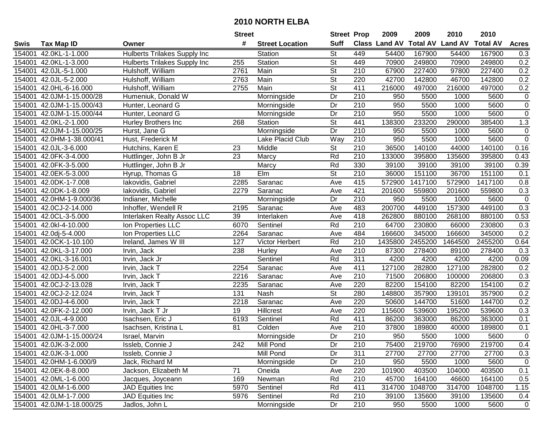|        |                           |                                     | <b>Street</b>   |                        | <b>Street Prop</b>       |                  | 2009          | 2009            | 2010           | 2010            |                |
|--------|---------------------------|-------------------------------------|-----------------|------------------------|--------------------------|------------------|---------------|-----------------|----------------|-----------------|----------------|
| Swis   | <b>Tax Map ID</b>         | Owner                               | #               | <b>Street Location</b> | <b>Suff</b>              |                  | Class Land AV | <b>Total AV</b> | <b>Land AV</b> | <b>Total AV</b> | <b>Acres</b>   |
| 154001 | 42.0KL-1-1.000            | <b>Hulberts Trilakes Supply Inc</b> |                 | Station                | <b>St</b>                | 449              | 54400         | 167900          | 54400          | 167900          | 0.3            |
| 154001 | 42.0KL-1-3.000            | <b>Hulberts Trilakes Supply Inc</b> | 255             | Station                | St                       | 449              | 70900         | 249800          | 70900          | 249800          | 0.2            |
| 154001 | 42.0JL-5-1.000            | Hulshoff, William                   | 2761            | Main                   | St                       | 210              | 67900         | 227400          | 97800          | 227400          | 0.2            |
| 154001 | 42.0JL-5-2.000            | Hulshoff, William                   | 2763            | Main                   | $\overline{\mathsf{St}}$ | 220              | 42700         | 142800          | 46700          | 142800          | 0.2            |
| 154001 | 42.0HL-6-16.000           | Hulshoff, William                   | 2755            | Main                   | $\overline{\mathsf{St}}$ | 411              | 216000        | 497000          | 216000         | 497000          | 0.2            |
| 154001 | 42.0JM-1-15.000/28        | Humeniuk, Donald W                  |                 | Morningside            | Dr                       | $\overline{210}$ | 950           | 5500            | 1000           | 5600            | $\overline{0}$ |
| 154001 | 42.0JM-1-15.000/43        | Hunter, Leonard G                   |                 | Morningside            | Dr                       | 210              | 950           | 5500            | 1000           | 5600            | $\mathbf 0$    |
| 154001 | 42.0JM-1-15.000/44        | Hunter, Leonard G                   |                 | Morningside            | $\overline{Dr}$          | $\overline{210}$ | 950           | 5500            | 1000           | 5600            | $\overline{0}$ |
| 154001 | 42.0KL-2-1.000            | Hurley Brothers Inc                 | 268             | Station                | $\overline{\mathsf{St}}$ | 441              | 138300        | 233200          | 290000         | 385400          | 1.3            |
| 154001 | 42.0JM-1-15.000/25        | Hurst, Jane G                       |                 | Morningside            | Dr                       | 210              | 950           | 5500            | 1000           | 5600            | $\pmb{0}$      |
| 154001 | 42.0HM-1-38.000/41        | Hust, Frederick M                   |                 | Lake Placid Club       | Way                      | 210              | 950           | 5500            | 1000           | 5600            | $\mathbf 0$    |
| 154001 | 42.0JL-3-6.000            | Hutchins, Karen E                   | 23              | Middle                 | St                       | 210              | 36500         | 140100          | 44000          | 140100          | 0.16           |
| 154001 | 42.0FK-3-4.000            | Huttlinger, John B Jr               | 23              | Marcy                  | Rd                       | $\overline{210}$ | 133000        | 395800          | 135600         | 395800          | 0.43           |
| 154001 | 42.0FK-3-5.000            | Huttlinger, John B Jr               |                 | Marcy                  | Rd                       | 330              | 39100         | 39100           | 39100          | 39100           | 0.39           |
| 154001 | 42.0EK-5-3.000            | Hyrup, Thomas G                     | 18              | Elm                    | $\overline{\mathsf{St}}$ | 210              | 36000         | 151100          | 36700          | 151100          | 0.1            |
| 154001 | 42.0DK-1-7.008            | lakovidis, Gabriel                  | 2285            | Saranac                | Ave                      | 415              | 572900        | 1417100         | 572900         | 1417100         | 0.8            |
| 154001 | 42.0DK-1-8.009            | lakovidis, Gabriel                  | 2279            | Saranac                | Ave                      | 421              | 201600        | 559800          | 201600         | 559800          | 0.3            |
| 154001 | 42.0HM-1-9.000/36         | Indianer, Michelle                  |                 | Morningside            | Dr                       | 210              | 950           | 5500            | 1000           | 5600            | $\mathbf 0$    |
| 154001 | 42.0CJ-2-14.000           | Inhoffer, Wendell R                 | 2195            | Saranac                | Ave                      | 483              | 200700        | 449100          | 157300         | 449100          | 0.3            |
| 154001 | 42.0CL-3-5.000            | Interlaken Realty Assoc LLC         | 39              | Interlaken             | Ave                      | 418              | 262800        | 880100          | 268100         | 880100          | 0.53           |
| 154001 | 42.0kl-4-10.000           | Ion Properties LLC                  | 6070            | Sentinel               | Rd                       | 210              | 64700         | 230800          | 66000          | 230800          | 0.3            |
| 154001 | 42.0dj-5-4.000            | Ion Properties LLC                  | 2264            | Saranac                | Ave                      | 484              | 166600        | 345000          | 166600         | 345000          | 0.2            |
| 154001 | 42.0CK-1-10.100           | Ireland, James W III                | 127             | Victor Herbert         | Rd                       | 210              | 1435800       | 2455200         | 1464500        | 2455200         | 0.64           |
| 154001 | 42.0KL-3-17.000           | Irvin, Jack                         | 238             | Hurley                 | Ave                      | 210              | 87300         | 278400          | 89100          | 278400          | 0.3            |
| 154001 | 42.0KL-3-16.001           | Irvin, Jack Jr                      |                 | Sentinel               | Rd                       | $\overline{311}$ | 4200          | 4200            | 4200           | 4200            | 0.09           |
| 154001 | 42.0DJ-5-2.000            | Irvin, Jack T                       | 2254            | Saranac                | Ave                      | 411              | 127100        | 282800          | 127100         | 282800          | 0.2            |
| 154001 | 42.0DJ-4-5.000            | Irvin, Jack T                       | 2216            | Saranac                | Ave                      | 210              | 71500         | 206800          | 100000         | 206800          | 0.3            |
| 154001 | 42.0CJ-2-13.028           | Irvin, Jack T                       | 2235            | Saranac                | Ave                      | 220              | 82200         | 154100          | 82200          | 154100          | 0.2            |
| 154001 | 42.0CJ-2-12.024           | Irvin, Jack T                       | 131             | Nash                   | $\overline{\mathsf{St}}$ | 280              | 148800        | 357900          | 139101         | 357900          | 0.2            |
| 154001 | 42.0DJ-4-6.000            | Irvin, Jack T                       | 2218            | Saranac                | Ave                      | 220              | 50600         | 144700          | 51600          | 144700          | 0.2            |
| 154001 | 42.0FK-2-12.000           | Irvin, Jack T Jr                    | $\overline{19}$ | <b>Hillcrest</b>       | Ave                      | 220              | 115600        | 539600          | 195200         | 539600          | 0.3            |
| 154001 | 42.0JL-4-9.000            | Isachsen, Eric J                    | 6193            | Sentinel               | Rd                       | 411              | 86200         | 363000          | 86200          | 363000          | 0.1            |
| 154001 | 42.0HL-3-7.000            | Isachsen, Kristina L                | 81              | Colden                 | Ave                      | $\overline{210}$ | 37800         | 189800          | 40000          | 189800          | 0.1            |
|        | 154001 42.0JM-1-15.000/24 | Israel, Marvin                      |                 | Morningside            | $\overline{Dr}$          | $\overline{210}$ | 950           | 5500            | 1000           | 5600            | $\overline{0}$ |
|        | 154001 42.0JK-3-2.000     | Issleb, Connie J                    | 242             | Mill Pond              | Dr                       | 210              | 75400         | 219700          | 76900          | 219700          | 0.4            |
|        | 154001 42.0JK-3-1.000     | Issleb, Connie J                    |                 | Mill Pond              | Dr                       | 311              | 27700         | 27700           | 27700          | 27700           | 0.3            |
|        | 154001 42.0HM-1-6.000/9   | Jack, Richard M                     |                 | Morningside            | Dr                       | 210              | 950           | 5500            | 1000           | 5600            | 0              |
|        | 154001 42.0EK-8-8.000     | Jackson, Elizabeth M                | 71              | Oneida                 | Ave                      | 220              | 101900        | 403500          | 104000         | 403500          | 0.1            |
|        | 154001 42.0ML-1-6.000     | Jacques, Joyceann                   | 169             | Newman                 | Rd                       | 210              | 45700         | 164100          | 46600          | 164100          | 0.5            |
|        | 154001 42.0LM-1-6.000     | JAD Equities Inc                    | 5970            | Sentinel               | Rd                       | 411              | 314700        | 1048700         | 314700         | 1048700         | 1.15           |
|        | 154001 42.0LM-1-7.000     | JAD Equities Inc                    | 5976            | Sentinel               | Rd                       | 210              | 39100         | 135600          | 39100          | 135600          | 0.4            |
|        | 154001 42.0JM-1-18.000/25 | Jadlos, John L                      |                 | Morningside            | Dr                       | 210              | 950           | 5500            | 1000           | 5600            | $\mathbf 0$    |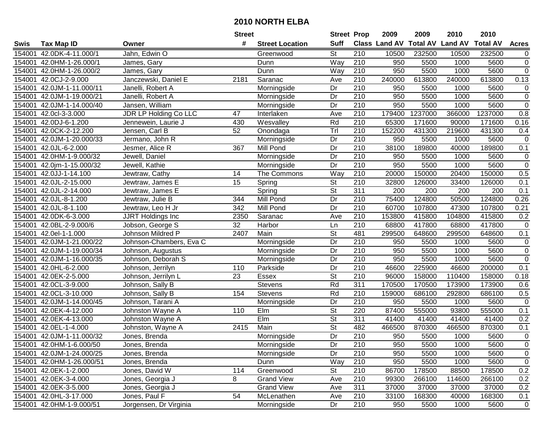|        |                           |                              | <b>Street</b>   |                        | <b>Street Prop</b>       |                  | 2009                          | 2009    | 2010           | 2010            |                |
|--------|---------------------------|------------------------------|-----------------|------------------------|--------------------------|------------------|-------------------------------|---------|----------------|-----------------|----------------|
| Swis   | <b>Tax Map ID</b>         | Owner                        | #               | <b>Street Location</b> | <b>Suff</b>              |                  | <b>Class Land AV Total AV</b> |         | <b>Land AV</b> | <b>Total AV</b> | <b>Acres</b>   |
| 154001 | 42.0DK-4-11.000/1         | Jahn, Edwin O                |                 | Greenwood              | <b>St</b>                | 210              | 10500                         | 232500  | 10500          | 232500          | 0              |
| 154001 | 42.0HM-1-26.000/1         | James, Gary                  |                 | Dunn                   | Way                      | 210              | 950                           | 5500    | 1000           | 5600            | $\pmb{0}$      |
| 154001 | 42.0HM-1-26.000/2         | James, Gary                  |                 | Dunn                   | Way                      | 210              | 950                           | 5500    | 1000           | 5600            | $\overline{0}$ |
| 154001 | 42.0CJ-2-9.000            | Janczewski, Daniel E         | 2181            | Saranac                | Ave                      | 210              | 240000                        | 613800  | 240000         | 613800          | 0.13           |
| 154001 | 42.0JM-1-11.000/11        | Janelli, Robert A            |                 | Morningside            | Dr                       | $\overline{210}$ | 950                           | 5500    | 1000           | 5600            | 0              |
| 154001 | 42.0JM-1-19.000/21        | Janelli, Robert A            |                 | Morningside            | Dr                       | 210              | 950                           | 5500    | 1000           | 5600            | $\overline{0}$ |
| 154001 | 42.0JM-1-14.000/40        | Jansen, William              |                 | Morningside            | Dr                       | 210              | 950                           | 5500    | 1000           | 5600            | $\pmb{0}$      |
| 154001 | 42.0cl-3-3.000            | <b>JDR LP Holding Co LLC</b> | $\overline{47}$ | Interlaken             | Ave                      | 210              | 179400                        | 1237000 | 366000         | 1237000         | 0.8            |
| 154001 | 42.0DJ-6-1.200            | Jennewein, Laurie J          | 430             | Wesvalley              | Rd                       | $\overline{210}$ | 65300                         | 171600  | 90000          | 171600          | 0.16           |
| 154001 | 42.0CK-2-12.200           | Jensen, Carl B               | 52              | Onondaga               | Tr                       | 210              | 152200                        | 431300  | 219600         | 431300          | 0.4            |
| 154001 | 42.0JM-1-20.000/33        | Jermano, John R              |                 | Morningside            | Dr                       | 210              | 950                           | 5500    | 1000           | 5600            | $\mathbf 0$    |
| 154001 | 42.0JL-6-2.000            | Jesmer, Alice R              | 367             | Mill Pond              | Dr                       | 210              | 38100                         | 189800  | 40000          | 189800          | 0.1            |
| 154001 | 42.0HM-1-9.000/32         | Jewell, Daniel               |                 | Morningside            | Dr                       | 210              | 950                           | 5500    | 1000           | 5600            | $\mathbf 0$    |
| 154001 | 42.0jm-1-15.000/32        | Jewell, Kathie               |                 | Morningside            | Dr                       | 210              | 950                           | 5500    | 1000           | 5600            | $\mathbf 0$    |
| 154001 | 42.0JJ-1-14.100           | Jewtraw, Cathy               | 14              | The Commons            | Way                      | 210              | 20000                         | 150000  | 20400          | 150000          | 0.5            |
| 154001 | 42.0JL-2-15.000           | Jewtraw, James E             | 15              | Spring                 | <b>St</b>                | 210              | 32800                         | 126000  | 33400          | 126000          | 0.1            |
| 154001 | 42.0JL-2-14.000           | Jewtraw, James E             |                 | Spring                 | $\overline{St}$          | $\overline{311}$ | 200                           | 200     | 200            | 200             | 0.1            |
| 154001 | 42.0JL-8-1.200            | Jewtraw, Julie B             | 344             | Mill Pond              | Dr                       | 210              | 75400                         | 124800  | 50500          | 124800          | 0.26           |
| 154001 | 42.0JL-8-1.100            | Jewtraw, Leo H Jr            | 342             | Mill Pond              | Dr                       | 210              | 60700                         | 107800  | 47300          | 107800          | 0.21           |
| 154001 | 42.0DK-6-3.000            | <b>JJRT Holdings Inc</b>     | 2350            | Saranac                | Ave                      | 210              | 153800                        | 415800  | 104800         | 415800          | 0.2            |
| 154001 | 42.0BL-2-9.000/6          | Jobson, George S             | 32              | Harbor                 | Ln                       | 210              | 68800                         | 417800  | 68800          | 417800          | $\mathbf 0$    |
| 154001 | 42.0el-1-1.000            | Johnson Mildred P            | 2407            | Main                   | St                       | 481              | 299500                        | 648600  | 299500         | 648600          | 0.1            |
| 154001 | 42.0JM-1-21.000/22        | Johnson-Chambers, Eva C      |                 | Morningside            | Dr                       | 210              | 950                           | 5500    | 1000           | 5600            | $\pmb{0}$      |
| 154001 | 42.0JM-1-19.000/34        | Johnson, Augustus            |                 | Morningside            | Dr                       | 210              | 950                           | 5500    | 1000           | 5600            | $\pmb{0}$      |
| 154001 | 42.0JM-1-16.000/35        | Johnson, Deborah S           |                 | Morningside            | Dr                       | $\overline{210}$ | 950                           | 5500    | 1000           | 5600            | $\mathbf 0$    |
| 154001 | 42.0HL-6-2.000            | Johnson, Jerrilyn            | 110             | Parkside               | Dr                       | 210              | 46600                         | 225900  | 46600          | 200000          | 0.1            |
| 154001 | 42.0EK-2-5.000            | Johnson, Jerrilyn L          | 23              | Essex                  | $\overline{St}$          | 210              | 96000                         | 158000  | 110400         | 158000          | 0.18           |
| 154001 | 42.0CL-3-9.000            | Johnson, Sally B             |                 | Stevens                | Rd                       | 311              | 170500                        | 170500  | 173900         | 173900          | 0.6            |
| 154001 | 42.0CL-3-10.000           | Johnson, Sally B             | 154             | <b>Stevens</b>         | Rd                       | $\overline{210}$ | 159000                        | 686100  | 292800         | 686100          | 0.5            |
| 154001 | 42.0JM-1-14.000/45        | Johnson, Tarani A            |                 | Morningside            | Dr                       | 210              | 950                           | 5500    | 1000           | 5600            | $\mathbf 0$    |
| 154001 | 42.0EK-4-12.000           | Johnston Wayne A             | 110             | Elm                    | $\overline{\mathsf{St}}$ | 220              | 87400                         | 555000  | 93800          | 555000          | 0.1            |
| 154001 | 42.0EK-4-13.000           | Johnston Wayne A             |                 | EIm                    | $\overline{\mathsf{St}}$ | 311              | 41400                         | 41400   | 41400          | 41400           | 0.2            |
| 154001 | 42.0EL-1-4.000            | Johnston, Wayne A            | 2415            | Main                   | $\overline{\mathsf{St}}$ | 482              | 466500                        | 870300  | 466500         | 870300          | 0.1            |
|        | 154001 42.0JM-1-11.000/32 | Jones, Brenda                |                 | Morningside            | $\overline{Dr}$          | $\overline{210}$ | 950                           | 5500    | 1000           | 5600            | $\pmb{0}$      |
|        | 154001 42.0HM-1-6.000/50  | Jones, Brenda                |                 | Morningside            | Dr                       | 210              | 950                           | 5500    | 1000           | 5600            | 0              |
|        | 154001 42.0JM-1-24.000/25 | Jones, Brenda                |                 | Morningside            | Dr                       | 210              | 950                           | 5500    | 1000           | 5600            | $\pmb{0}$      |
|        | 154001 42.0HM-1-26.000/51 | Jones, Brenda                |                 | Dunn                   | Way                      | 210              | 950                           | 5500    | 1000           | 5600            | $\pmb{0}$      |
|        | 154001 42.0EK-1-2.000     | Jones, David W               | 114             | Greenwood              | St                       | 210              | 86700                         | 178500  | 88500          | 178500          | 0.2            |
|        | 154001 42.0EK-3-4.000     | Jones, Georgia J             | 8               | <b>Grand View</b>      | Ave                      | 210              | 99300                         | 266100  | 114600         | 266100          | 0.2            |
|        | 154001 42.0EK-3-5.000     | Jones, Georgia J             |                 | <b>Grand View</b>      | Ave                      | 311              | 37000                         | 37000   | 37000          | 37000           | 0.2            |
|        | 154001 42.0HL-3-17.000    | Jones, Paul F                | 54              | McLenathen             | Ave                      | 210              | 33100                         | 168300  | 40000          | 168300          | 0.1            |
|        | 154001 42.0HM-1-9.000/51  | Jorgensen, Dr Virginia       |                 | Morningside            | Dr                       | 210              | 950                           | 5500    | 1000           | 5600            | $\mathbf 0$    |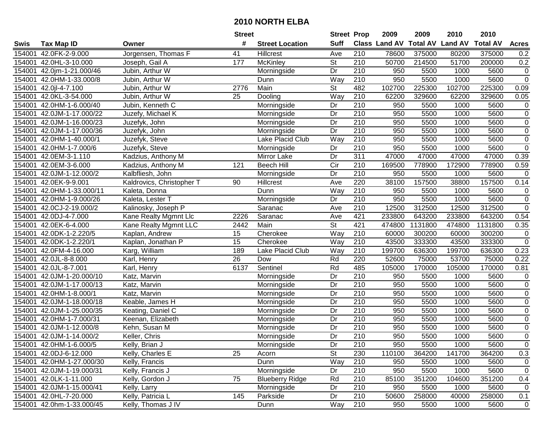|        |                           |                           | <b>Street</b> |                        | <b>Street Prop</b>       |                  | 2009          | 2009            | 2010           | 2010            |                  |
|--------|---------------------------|---------------------------|---------------|------------------------|--------------------------|------------------|---------------|-----------------|----------------|-----------------|------------------|
| Swis   | <b>Tax Map ID</b>         | Owner                     | #             | <b>Street Location</b> | <b>Suff</b>              |                  | Class Land AV | <b>Total AV</b> | <b>Land AV</b> | <b>Total AV</b> | <b>Acres</b>     |
| 154001 | 42.0FK-2-9.000            | Jorgensen, Thomas F       | 41            | Hillcrest              | Ave                      | 210              | 78600         | 375000          | 80200          | 375000          | 0.2              |
| 154001 | 42.0HL-3-10.000           | Joseph, Gail A            | 177           | McKinley               | <b>St</b>                | 210              | 50700         | 214500          | 51700          | 200000          | 0.2              |
| 154001 | 42.0jm-1-21.000/46        | Jubin, Arthur W           |               | Morningside            | Dr                       | 210              | 950           | 5500            | 1000           | 5600            | $\mathbf 0$      |
| 154001 | 42.0HM-1-33.000/8         | Jubin, Arthur W           |               | Dunn                   | Way                      | 210              | 950           | 5500            | 1000           | 5600            | $\overline{0}$   |
| 154001 | 42.0jl-4-7.100            | Jubin, Arthur W           | 2776          | Main                   | <b>St</b>                | 482              | 102700        | 225300          | 102700         | 225300          | 0.09             |
| 154001 | 42.0KL-3-54.000           | Jubin, Arthur W           | 25            | Dooling                | Way                      | $\overline{210}$ | 62200         | 329600          | 62200          | 329600          | 0.05             |
| 154001 | 42.0HM-1-6.000/40         | Jubin, Kenneth C          |               | Morningside            | Dr                       | 210              | 950           | 5500            | 1000           | 5600            | $\mathbf 0$      |
| 154001 | 42.0JM-1-17.000/22        | Juzefy, Michael K         |               | Morningside            | $\overline{Dr}$          | 210              | 950           | 5500            | 1000           | 5600            | $\overline{0}$   |
| 154001 | 42.0JM-1-16.000/23        | Juzefyk, John             |               | Morningside            | Dr                       | $\overline{210}$ | 950           | 5500            | 1000           | 5600            | $\overline{0}$   |
| 154001 | 42.0JM-1-17.000/36        | Juzefyk, John             |               | Morningside            | Dr                       | $\overline{210}$ | 950           | 5500            | 1000           | 5600            | $\boldsymbol{0}$ |
| 154001 | 42.0HM-1-40.000/1         | Juzefyk, Steve            |               | Lake Placid Club       | Way                      | 210              | 950           | 5500            | 1000           | 5600            | $\pmb{0}$        |
| 154001 | 42.0HM-1-7.000/6          | Juzefyk, Steve            |               | Morningside            | Dr                       | 210              | 950           | 5500            | 1000           | 5600            | $\mathbf 0$      |
| 154001 | 42.0EM-3-1.110            | Kadzius, Anthony M        |               | Mirror Lake            | Dr                       | $\overline{311}$ | 47000         | 47000           | 47000          | 47000           | 0.39             |
| 154001 | 42.0EM-3-6.000            | Kadzius, Anthony M        | 121           | <b>Beech Hill</b>      | Cir                      | 210              | 169500        | 778900          | 172900         | 778900          | 0.59             |
| 154001 | 42.0JM-1-12.000/2         | Kalbfliesh, John          |               | Morningside            | Dr                       | 210              | 950           | 5500            | 1000           | 5600            | $\mathbf 0$      |
| 154001 | 42.0EK-9-9.001            | Kaldrovics, Christopher T | 90            | Hillcrest              | Ave                      | 220              | 38100         | 157500          | 38800          | 157500          | 0.14             |
| 154001 | 42.0HM-1-33.000/11        | Kaleta, Donna             |               | Dunn                   | Way                      | 210              | 950           | 5500            | 1000           | 5600            | $\mathbf 0$      |
| 154001 | 42.0HM-1-9.000/26         | Kaleta, Lester T          |               | Morningside            | Dr                       | 210              | 950           | 5500            | 1000           | 5600            | $\overline{0}$   |
| 154001 | 42.0CJ-2-19.000/2         | Kalinosky, Joseph P       |               | Saranac                | Ave                      | 210              | 12500         | 312500          | 12500          | 312500          | $\overline{0}$   |
| 154001 | 42.0DJ-4-7.000            | Kane Realty Mgmnt Llc     | 2226          | Saranac                | Ave                      | 421              | 233800        | 643200          | 233800         | 643200          | 0.54             |
| 154001 | 42.0EK-6-4.000            | Kane Realty Mgmnt LLC     | 2442          | Main                   | $\overline{\mathsf{St}}$ | 421              | 474800        | 1131800         | 474800         | 1131800         | 0.35             |
| 154001 | 42.0DK-1-2.220/5          | Kaplan, Andrew            | 15            | Cherokee               | Way                      | 210              | 60000         | 300200          | 60000          | 300200          | $\mathbf 0$      |
| 154001 | 42.0DK-1-2.220/1          | Kaplan, Jonathan P        | 15            | Cherokee               | Way                      | 210              | 43500         | 333300          | 43500          | 333300          | $\overline{0}$   |
| 154001 | 42.0FM-4-16.000           | Karg, William             | 189           | Lake Placid Club       | Way                      | 210              | 199700        | 636300          | 199700         | 636300          | 0.23             |
| 154001 | 42.0JL-8-8.000            | Karl, Henry               | 26            | Dow                    | Rd                       | 220              | 52600         | 75000           | 53700          | 75000           | 0.22             |
| 154001 | 42.0JL-8-7.001            | Karl, Henry               | 6137          | Sentinel               | Rd                       | 485              | 105000        | 170000          | 105000         | 170000          | 0.81             |
| 154001 | 42.0JM-1-20.000/10        | Katz, Marvin              |               | Morningside            | Dr                       | 210              | 950           | 5500            | 1000           | 5600            | 0                |
| 154001 | 42.0JM-1-17.000/13        | Katz, Marvin              |               | Morningside            | Dr                       | 210              | 950           | 5500            | 1000           | 5600            | $\mathsf 0$      |
| 154001 | 42.0HM-1-8.000/1          | Katz, Marvin              |               | Morningside            | Dr                       | 210              | 950           | 5500            | 1000           | 5600            | $\overline{0}$   |
| 154001 | 42.0JM-1-18.000/18        | Keable, James H           |               | Morningside            | Dr                       | 210              | 950           | 5500            | 1000           | 5600            | $\overline{0}$   |
| 154001 | 42.0JM-1-25.000/35        | Keating, Daniel C         |               | Morningside            | $\overline{Dr}$          | 210              | 950           | 5500            | 1000           | 5600            | $\overline{0}$   |
| 154001 | 42.0HM-1-7.000/31         | Keenan, Elizabeth         |               | Morningside            | Dr                       | $\overline{210}$ | 950           | 5500            | 1000           | 5600            | $\overline{0}$   |
| 154001 | 42.0JM-1-12.000/8         | Kehn, Susan M             |               | Morningside            | $\overline{Dr}$          | $\overline{210}$ | 950           | 5500            | 1000           | 5600            | $\overline{0}$   |
|        | 154001 42.0JM-1-14.000/2  | Keller, Chris             |               | Morningside            | $\overline{Dr}$          | $\overline{210}$ | 950           | 5500            | 1000           | 5600            | $\overline{0}$   |
|        | 154001 42.0HM-1-6.000/5   | Kelly, Brian J            |               | Morningside            | Dr                       | 210              | 950           | 5500            | 1000           | 5600            | 0                |
|        | 154001 42.0DJ-6-12.000    | Kelly, Charles E          | 25            | Acorn                  | St                       | 230              | 110100        | 364200          | 141700         | 364200          | 0.3              |
|        | 154001 42.0HM-1-27.000/30 | Kelly, Francis            |               | Dunn                   | Way                      | 210              | 950           | 5500            | 1000           | 5600            | $\mathbf 0$      |
|        | 154001 42.0JM-1-19.000/31 | Kelly, Francis J          |               | Morningside            | Dr                       | 210              | 950           | 5500            | 1000           | 5600            | $\mathbf 0$      |
|        | 154001 42.0LK-1-11.000    | Kelly, Gordon J           | 75            | <b>Blueberry Ridge</b> | Rd                       | 210              | 85100         | 351200          | 104600         | 351200          | 0.4              |
|        | 154001 42.0JM-1-15.000/41 | Kelly, Larry              |               | Morningside            | Dr                       | 210              | 950           | 5500            | 1000           | 5600            | 0                |
|        | 154001 42.0HL-7-20.000    | Kelly, Patricia L         | 145           | Parkside               | Dr                       | 210              | 50600         | 258000          | 40000          | 258000          | 0.1              |
|        | 154001 42.0hm-1-33.000/45 | Kelly, Thomas J IV        |               | Dunn                   | Way                      | 210              | 950           | 5500            | 1000           | 5600            | $\mathbf 0$      |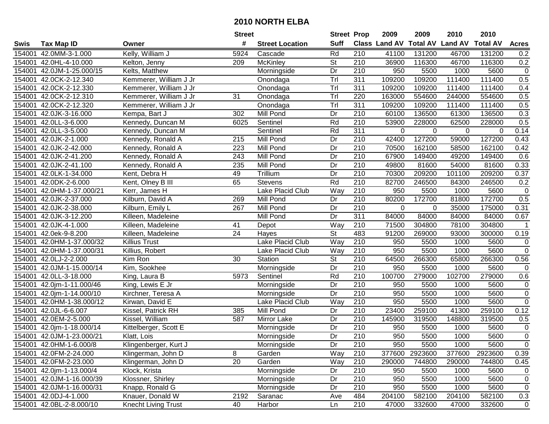|        |                           |                            | <b>Street</b>   |                        | <b>Street Prop</b>       |                  | 2009                          | 2009    | 2010           | 2010            |                |
|--------|---------------------------|----------------------------|-----------------|------------------------|--------------------------|------------------|-------------------------------|---------|----------------|-----------------|----------------|
| Swis   | <b>Tax Map ID</b>         | Owner                      | #               | <b>Street Location</b> | <b>Suff</b>              |                  | <b>Class Land AV Total AV</b> |         | <b>Land AV</b> | <b>Total AV</b> | <b>Acres</b>   |
| 154001 | 42.0MM-3-1.000            | Kelly, William J           | 5924            | Cascade                | Rd                       | 210              | 41100                         | 131200  | 46700          | 131200          | 0.2            |
|        | 154001 42.0HL-4-10.000    | Kelton, Jenny              | 209             | McKinley               | St                       | 210              | 36900                         | 116300  | 46700          | 116300          | 0.2            |
|        | 154001 42.0JM-1-25.000/15 | Kelts, Matthew             |                 | Morningside            | Dr                       | 210              | 950                           | 5500    | 1000           | 5600            | $\pmb{0}$      |
|        | 154001 42.0CK-2-12.340    | Kemmerer, William J Jr     |                 | Onondaga               | Tr                       | 311              | 109200                        | 109200  | 111400         | 111400          | 0.5            |
|        | 154001 42.0CK-2-12.330    | Kemmerer, William J Jr     |                 | Onondaga               | Tr                       | $\overline{311}$ | 109200                        | 109200  | 111400         | 111400          | 0.4            |
|        | 154001 42.0CK-2-12.310    | Kemmerer, William J Jr     | $\overline{31}$ | Onondaga               | Tr                       | 220              | 163000                        | 554600  | 244000         | 554600          | 0.5            |
|        | 154001 42.0CK-2-12.320    | Kemmerer, William J Jr     |                 | Onondaga               | Tr                       | 311              | 109200                        | 109200  | 111400         | 111400          | 0.5            |
|        | 154001 42.0JK-3-16.000    | Kempa, Bart J              | 302             | <b>Mill Pond</b>       | $\overline{Dr}$          | 210              | 60100                         | 136500  | 61300          | 136500          | 0.3            |
|        | 154001 42.0LL-3-6.000     | Kennedy, Duncan M          | 6025            | Sentinel               | Rd                       | $\overline{210}$ | 53900                         | 228000  | 62500          | 228000          | 0.5            |
|        | 154001 42.0LL-3-5.000     | Kennedy, Duncan M          |                 | Sentinel               | Rd                       | $\overline{311}$ | $\mathbf 0$                   | 0       | 0              | 0               | 0.14           |
|        | 154001 42.0JK-2-1.000     | Kennedy, Ronald A          | 215             | Mill Pond              | Dr                       | 210              | 42400                         | 127200  | 59000          | 127200          | 0.43           |
|        | 154001 42.0JK-2-42.000    | Kennedy, Ronald A          | 223             | Mill Pond              | Dr                       | 210              | 70500                         | 162100  | 58500          | 162100          | 0.42           |
|        | 154001 42.0JK-2-41.200    | Kennedy, Ronald A          | 243             | Mill Pond              | Dr                       | 210              | 67900                         | 149400  | 49200          | 149400          | 0.6            |
| 154001 | 42.0JK-2-41.100           | Kennedy, Ronald A          | 235             | Mill Pond              | Dr                       | 210              | 49800                         | 81600   | 54000          | 81600           | 0.33           |
| 154001 | 42.0LK-1-34.000           | Kent, Debra H              | 49              | Trillium               | Dr                       | 210              | 70300                         | 209200  | 101100         | 209200          | 0.37           |
|        | 154001 42.0DK-2-6.000     | Kent, Olney B III          | 65              | <b>Stevens</b>         | Rd                       | 210              | 82700                         | 246500  | 84300          | 246500          | 0.2            |
| 154001 | 42.0HM-1-37.000/21        | Kerr, James H              |                 | Lake Placid Club       | Way                      | 210              | 950                           | 5500    | 1000           | 5600            | $\pmb{0}$      |
| 154001 | 42.0JK-2-37.000           | Kilburn, David A           | 269             | Mill Pond              | Dr                       | 210              | 80200                         | 172700  | 81800          | 172700          | 0.5            |
|        | 154001 42.0JK-2-38.000    | Kilburn, Emily L           | 267             | Mill Pond              | Dr                       | 210              | 0                             | 0       | 35000          | 175000          | 0.31           |
|        | 154001 42.0JK-3-12.200    | Killeen, Madeleine         |                 | Mill Pond              | Dr                       | 311              | 84000                         | 84000   | 84000          | 84000           | 0.67           |
| 154001 | 42.0JK-4-1.000            | Killeen, Madeleine         | 41              | Depot                  | Way                      | 210              | 71500                         | 304800  | 78100          | 304800          | $\mathbf 1$    |
| 154001 | 42.0ek-9-8.200            | Killeen, Madeleine         | 24              | Hayes                  | St                       | 483              | 91200                         | 269000  | 93000          | 300000          | 0.19           |
| 154001 | 42.0HM-1-37.000/32        | <b>Killius Trust</b>       |                 | Lake Placid Club       | Way                      | 210              | 950                           | 5500    | 1000           | 5600            | $\pmb{0}$      |
| 154001 | 42.0HM-1-37.000/31        | Killius, Robert            |                 | Lake Placid Club       | Way                      | 210              | 950                           | 5500    | 1000           | 5600            | $\mathbf 0$    |
| 154001 | 42.0LJ-2-2.000            | Kim Ron                    | 30              | Station                | $\overline{\mathsf{St}}$ | $\overline{210}$ | 64500                         | 266300  | 65800          | 266300          | 0.56           |
| 154001 | 42.0JM-1-15.000/14        | Kim, Sookhee               |                 | Morningside            | Dr                       | 210              | 950                           | 5500    | 1000           | 5600            | 0              |
|        | 154001 42.0LL-3-18.000    | King, Laura B              | 5973            | Sentinel               | Rd                       | 210              | 100700                        | 279000  | 102700         | 279000          | 0.6            |
|        | 154001 42.0jm-1-11.000/46 | King, Lewis E Jr           |                 | Morningside            | Dr                       | 210              | 950                           | 5500    | 1000           | 5600            | $\pmb{0}$      |
|        | 154001 42.0jm-1-14.000/10 | Kirchner, Teresa A         |                 | Morningside            | Dr                       | 210              | 950                           | 5500    | 1000           | 5600            | $\overline{0}$ |
|        | 154001 42.0HM-1-38.000/12 | Kirwan, David E            |                 | Lake Placid Club       | Way                      | $\overline{210}$ | 950                           | 5500    | 1000           | 5600            | $\overline{0}$ |
|        | 154001 42.0JL-6-6.007     | Kissel, Patrick RH         | 385             | Mill Pond              | Dr                       | $\overline{210}$ | 23400                         | 259100  | 41300          | 259100          | 0.12           |
|        | 154001 42.0EM-2-5.000     | Kissel, William            | 587             | Mirror Lake            | Dr                       | $\overline{210}$ | 145900                        | 319500  | 148800         | 319500          | 0.5            |
|        | 154001 42.0jm-1-18.000/14 | Kittelberger, Scott E      |                 | Morningside            | Dr                       | $\overline{210}$ | 950                           | 5500    | 1000           | 5600            | $\overline{0}$ |
|        | 154001 42.0JM-1-23.000/21 | Klatt, Lois                |                 | Morningside            | $\overline{Dr}$          | $\overline{210}$ | 950                           | 5500    | 1000           | 5600            | $\overline{0}$ |
|        | 154001 42.0HM-1-6.000/8   | Klingenberger, Kurt J      |                 | Morningside            | Dr                       | 210              | 950                           | 5500    | 1000           | 5600            | 0              |
|        | 154001 42.0FM-2-24.000    | Klingerman, John D         | 8               | Garden                 | Way                      | 210              | 377600                        | 2923600 | 377600         | 2923600         | 0.39           |
|        | 154001 42.0FM-2-23.000    | Klingerman, John D         | 20              | Garden                 | Way                      | 210              | 290000                        | 744800  | 290000         | 744800          | 0.45           |
|        | 154001 42.0jm-1-13.000/4  | Klock, Krista              |                 | Morningside            | Dr                       | 210              | 950                           | 5500    | 1000           | 5600            | 0              |
|        | 154001 42.0JM-1-16.000/39 | Klossner, Shirley          |                 | Morningside            | Dr                       | 210              | 950                           | 5500    | 1000           | 5600            | $\mathbf 0$    |
|        | 154001 42.0JM-1-16.000/31 | Knapp, Ronald G            |                 | Morningside            | Dr                       | 210              | 950                           | 5500    | 1000           | 5600            | 0              |
|        | 154001 42.0DJ-4-1.000     | Knauer, Donald W           | 2192            | Saranac                | Ave                      | 484              | 204100                        | 582100  | 204100         | 582100          | 0.3            |
|        | 154001 42.0BL-2-8.000/10  | <b>Knecht Living Trust</b> | 40              | Harbor                 | Ln                       | 210              | 47000                         | 332600  | 47000          | 332600          | $\overline{0}$ |
|        |                           |                            |                 |                        |                          |                  |                               |         |                |                 |                |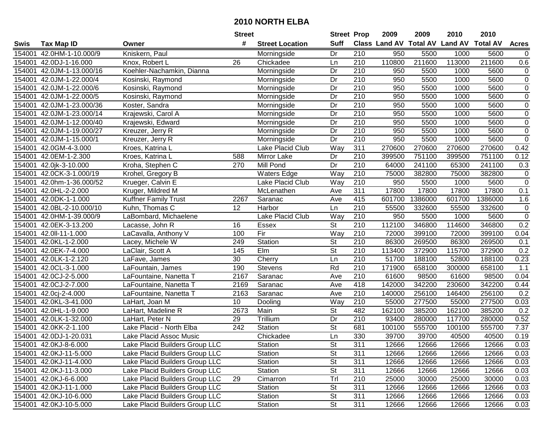|        |                           |                                | <b>Street</b>    |                        | <b>Street Prop</b>       |                  | 2009                          | 2009    | 2010           | 2010            |                |
|--------|---------------------------|--------------------------------|------------------|------------------------|--------------------------|------------------|-------------------------------|---------|----------------|-----------------|----------------|
| Swis   | <b>Tax Map ID</b>         | Owner                          | #                | <b>Street Location</b> | <b>Suff</b>              |                  | <b>Class Land AV Total AV</b> |         | <b>Land AV</b> | <b>Total AV</b> | <b>Acres</b>   |
| 154001 | 42.0HM-1-10.000/9         | Kniskern, Paul                 |                  | Morningside            | Dr                       | 210              | 950                           | 5500    | 1000           | 5600            | $\mathbf 0$    |
| 154001 | 42.0DJ-1-16.000           | Knox, Robert L                 | 26               | Chickadee              | Ln                       | 210              | 110800                        | 211600  | 113000         | 211600          | 0.6            |
|        | 154001 42.0JM-1-13.000/16 | Koehler-Nachamkin, Dianna      |                  | Morningside            | Dr                       | 210              | 950                           | 5500    | 1000           | 5600            | 0              |
|        | 154001 42.0JM-1-22.000/4  | Kosinski, Raymond              |                  | Morningside            | Dr                       | 210              | 950                           | 5500    | 1000           | 5600            | $\pmb{0}$      |
|        | 154001 42.0JM-1-22.000/6  | Kosinski, Raymond              |                  | Morningside            | Dr                       | 210              | 950                           | 5500    | 1000           | 5600            | $\mathbf 0$    |
|        | 154001 42.0JM-1-22.000/5  | Kosinski, Raymond              |                  | Morningside            | Dr                       | $\overline{210}$ | 950                           | 5500    | 1000           | 5600            | $\overline{0}$ |
|        | 154001 42.0JM-1-23.000/36 | Koster, Sandra                 |                  | Morningside            | Dr                       | 210              | 950                           | 5500    | 1000           | 5600            | 0              |
| 154001 | 42.0JM-1-23.000/14        | Krajewski, Carol A             |                  | Morningside            | $\overline{Dr}$          | 210              | 950                           | 5500    | 1000           | 5600            | $\overline{0}$ |
| 154001 | 42.0JM-1-12.000/40        | Krajewski, Edward              |                  | Morningside            | Dr                       | $\overline{210}$ | 950                           | 5500    | 1000           | 5600            | $\pmb{0}$      |
| 154001 | 42.0JM-1-19.000/27        | Kreuzer, Jerry R               |                  | Morningside            | Dr                       | 210              | 950                           | 5500    | 1000           | 5600            | $\pmb{0}$      |
|        | 154001 42.0JM-1-15.000/1  | Kreuzer, Jerry R               |                  | Morningside            | Dr                       | 210              | 950                           | 5500    | 1000           | 5600            | $\pmb{0}$      |
|        | 154001 42.0GM-4-3.000     | Kroes, Katrina L               |                  | Lake Placid Club       | Way                      | 311              | 270600                        | 270600  | 270600         | 270600          | 0.42           |
| 154001 | 42.0EM-1-2.300            | Kroes, Katrina L               | 588              | Mirror Lake            | Dr                       | 210              | 399500                        | 751100  | 399500         | 751100          | 0.12           |
| 154001 | 42.0jk-3-10.000           | Kroha, Stephen C               | 270              | Mill Pond              | Dr                       | 210              | 64000                         | 241100  | 65300          | 241100          | 0.3            |
| 154001 | 42.0CK-3-1.000/19         | Krohel, Gregory B              |                  | <b>Waters Edge</b>     | Way                      | 210              | 75000                         | 382800  | 75000          | 382800          | $\pmb{0}$      |
| 154001 | 42.0hm-1-36.000/52        | Krueger, Calvin E              |                  | Lake Placid Club       | Way                      | 210              | 950                           | 5500    | 1000           | 5600            | $\pmb{0}$      |
| 154001 | 42.0HL-2-2.000            | Kruger, Mildred M              |                  | McLenathen             | Ave                      | 311              | 17800                         | 17800   | 17800          | 17800           | 0.1            |
| 154001 | 42.0DK-1-1.000            | <b>Kuffner Family Trust</b>    | 2267             | Saranac                | Ave                      | 415              | 601700                        | 1386000 | 601700         | 1386000         | 1.6            |
| 154001 | 42.0BL-2-10.000/10        | Kuhn, Thomas C                 | 12               | Harbor                 | Ln                       | 210              | 55500                         | 332600  | 55500          | 332600          | 0              |
|        | 154001 42.0HM-1-39.000/9  | LaBombard, Michaelene          |                  | Lake Placid Club       | Way                      | 210              | 950                           | 5500    | 1000           | 5600            | $\pmb{0}$      |
|        | 154001 42.0EK-3-13.200    | Lacasse, John R                | 16               | <b>Essex</b>           | St                       | 210              | 112100                        | 346800  | 114600         | 346800          | 0.2            |
| 154001 | 42.0II-11-1.000           | LaCavalla, Anthony V           | 100              | Fir                    | Way                      | 210              | 72000                         | 399100  | 72000          | 399100          | 0.04           |
| 154001 | 42.0KL-1-2.000            | Lacey, Michele W               | 249              | Station                | St                       | 210              | 86300                         | 269500  | 86300          | 269500          | 0.1            |
| 154001 | 42.0EK-7-4.000            | LaClair, Scott A               | 145              | Elm                    | St                       | 210              | 113400                        | 372900  | 115700         | 372900          | 0.2            |
| 154001 | 42.0LK-1-2.120            | LaFave, James                  | 30               | Cherry                 | Ln                       | $\overline{210}$ | 51700                         | 188100  | 52800          | 188100          | 0.23           |
| 154001 | 42.0CL-3-1.000            | LaFountain, James              | 190              | Stevens                | Rd                       | 210              | 171900                        | 658100  | 300000         | 658100          | 1.1            |
| 154001 | 42.0CJ-2-5.000            | LaFountaine, Nanetta T         | 2167             | Saranac                | Ave                      | 210              | 61600                         | 98500   | 61600          | 98500           | 0.04           |
| 154001 | 42.0CJ-2-7.000            | LaFountaine, Nanetta T         | 2169             | Saranac                | Ave                      | 418              | 142000                        | 342200  | 230600         | 342200          | 0.44           |
|        | 154001 42.0cj-2-4.000     | LaFountaine, Nanetta T         | 2163             | Saranac                | Ave                      | 210              | 140000                        | 256100  | 146400         | 256100          | 0.2            |
|        | 154001 42.0KL-3-41.000    | LaHart, Joan M                 | 10               | Dooling                | Way                      | $\overline{210}$ | 55000                         | 277500  | 55000          | 277500          | 0.03           |
| 154001 | 42.0HL-1-9.000            | LaHart, Madeline R             | 2673             | Main                   | $\overline{\mathsf{St}}$ | 482              | 162100                        | 385200  | 162100         | 385200          | 0.2            |
|        | 154001 42.0LK-1-32.000    | LaHart, Peter N                | 29               | Trillium               | Dr                       | 210              | 93400                         | 280000  | 117700         | 280000          | 0.52           |
| 154001 | 42.0KK-2-1.100            | Lake Placid - North Elba       | $\overline{242}$ | Station                | $\overline{\mathsf{St}}$ | 681              | 100100                        | 555700  | 100100         | 555700          | 7.37           |
|        | 154001 42.0DJ-1-20.031    | Lake Placid Assoc Music        |                  | Chickadee              | Ln                       | 330              | 39700                         | 39700   | 40500          | 40500           | 0.19           |
|        | 154001 42.0KJ-8-6.000     | Lake Placid Builders Group LLC |                  | Station                | St                       | 311              | 12666                         | 12666   | 12666          | 12666           | 0.03           |
|        | 154001 42.0KJ-11-5.000    | Lake Placid Builders Group LLC |                  | Station                | <b>St</b>                | 311              | 12666                         | 12666   | 12666          | 12666           | 0.03           |
|        | 154001 42.0KJ-11-4.000    | Lake Placid Builders Group LLC |                  | Station                | <b>St</b>                | 311              | 12666                         | 12666   | 12666          | 12666           | 0.03           |
|        | 154001 42.0KJ-11-3.000    | Lake Placid Builders Group LLC |                  | Station                | <b>St</b>                | 311              | 12666                         | 12666   | 12666          | 12666           | 0.03           |
|        | 154001 42.0KJ-6-6.000     | Lake Placid Builders Group LLC | 29               | Cimarron               | Trl                      | 210              | 25000                         | 30000   | 25000          | 30000           | 0.03           |
|        | 154001 42.0KJ-11-1.000    | Lake Placid Builders Group LLC |                  | Station                | <b>St</b>                | 311              | 12666                         | 12666   | 12666          | 12666           | 0.03           |
|        | 154001 42.0KJ-10-6.000    | Lake Placid Builders Group LLC |                  | Station                | <b>St</b>                | 311              | 12666                         | 12666   | 12666          | 12666           | 0.03           |
|        | 154001 42.0KJ-10-5.000    | Lake Placid Builders Group LLC |                  | Station                | St                       | 311              | 12666                         | 12666   | 12666          | 12666           | 0.03           |
|        |                           |                                |                  |                        |                          |                  |                               |         |                |                 |                |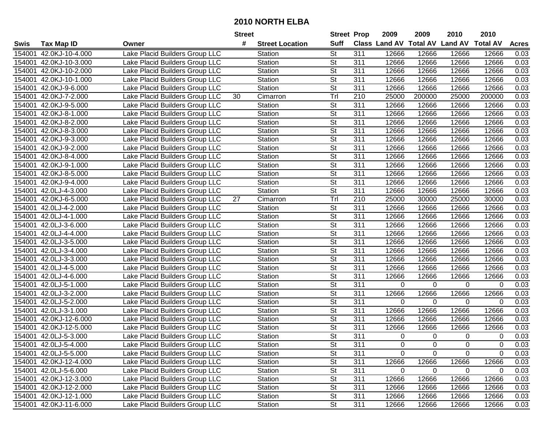|        |                        |                                | <b>Street</b> |                        |                          | <b>Street Prop</b> | 2009        | 2009     | 2010                                    | 2010           |              |
|--------|------------------------|--------------------------------|---------------|------------------------|--------------------------|--------------------|-------------|----------|-----------------------------------------|----------------|--------------|
| Swis   | <b>Tax Map ID</b>      | Owner                          | #             | <b>Street Location</b> | <b>Suff</b>              |                    |             |          | Class Land AV Total AV Land AV Total AV |                | <b>Acres</b> |
| 154001 | 42.0KJ-10-4.000        | Lake Placid Builders Group LLC |               | Station                | <b>St</b>                | 311                | 12666       | 12666    | 12666                                   | 12666          | 0.03         |
| 154001 | 42.0KJ-10-3.000        | Lake Placid Builders Group LLC |               | Station                | $\overline{\mathsf{St}}$ | 311                | 12666       | 12666    | 12666                                   | 12666          | 0.03         |
| 154001 | 42.0KJ-10-2.000        | Lake Placid Builders Group LLC |               | Station                | St                       | 311                | 12666       | 12666    | 12666                                   | 12666          | 0.03         |
| 154001 | 42.0KJ-10-1.000        | Lake Placid Builders Group LLC |               | Station                | <b>St</b>                | 311                | 12666       | 12666    | 12666                                   | 12666          | 0.03         |
| 154001 | 42.0KJ-9-6.000         | Lake Placid Builders Group LLC |               | Station                | $\overline{\mathsf{St}}$ | $\overline{311}$   | 12666       | 12666    | 12666                                   | 12666          | 0.03         |
| 154001 | 42.0KJ-7-2.000         | Lake Placid Builders Group LLC | 30            | Cimarron               | Trl                      | 210                | 25000       | 200000   | 25000                                   | 200000         | 0.03         |
| 154001 | 42.0KJ-9-5.000         | Lake Placid Builders Group LLC |               | Station                | $\overline{\mathsf{St}}$ | 311                | 12666       | 12666    | 12666                                   | 12666          | 0.03         |
| 154001 | 42.0KJ-8-1.000         | Lake Placid Builders Group LLC |               | Station                | St                       | 311                | 12666       | 12666    | 12666                                   | 12666          | 0.03         |
| 154001 | 42.0KJ-8-2.000         | Lake Placid Builders Group LLC |               | Station                | $\overline{\mathsf{St}}$ | 311                | 12666       | 12666    | 12666                                   | 12666          | 0.03         |
| 154001 | 42.0KJ-8-3.000         | Lake Placid Builders Group LLC |               | Station                | $\overline{\mathsf{St}}$ | 311                | 12666       | 12666    | 12666                                   | 12666          | 0.03         |
| 154001 | 42.0KJ-9-3.000         | Lake Placid Builders Group LLC |               | Station                | $\overline{\mathsf{St}}$ | 311                | 12666       | 12666    | 12666                                   | 12666          | 0.03         |
| 154001 | 42.0KJ-9-2.000         | Lake Placid Builders Group LLC |               | Station                | $\overline{\mathsf{St}}$ | 311                | 12666       | 12666    | 12666                                   | 12666          | 0.03         |
| 154001 | 42.0KJ-8-4.000         | Lake Placid Builders Group LLC |               | Station                | St                       | 311                | 12666       | 12666    | 12666                                   | 12666          | 0.03         |
| 154001 | 42.0KJ-9-1.000         | Lake Placid Builders Group LLC |               | Station                | $\overline{St}$          | $\overline{311}$   | 12666       | 12666    | 12666                                   | 12666          | 0.03         |
| 154001 | 42.0KJ-8-5.000         | Lake Placid Builders Group LLC |               | Station                | $\overline{\mathsf{St}}$ | 311                | 12666       | 12666    | 12666                                   | 12666          | 0.03         |
| 154001 | 42.0KJ-9-4.000         | Lake Placid Builders Group LLC |               | Station                | $\overline{\mathsf{St}}$ | 311                | 12666       | 12666    | 12666                                   | 12666          | 0.03         |
| 154001 | 42.0LJ-4-3.000         | Lake Placid Builders Group LLC |               | Station                | $\overline{\mathsf{St}}$ | 311                | 12666       | 12666    | 12666                                   | 12666          | 0.03         |
| 154001 | 42.0KJ-6-5.000         | Lake Placid Builders Group LLC | 27            | Cimarron               | Trl                      | 210                | 25000       | 30000    | 25000                                   | 30000          | 0.03         |
| 154001 | 42.0LJ-4-2.000         | Lake Placid Builders Group LLC |               | Station                | $\overline{\mathsf{St}}$ | 311                | 12666       | 12666    | 12666                                   | 12666          | 0.03         |
| 154001 | 42.0LJ-4-1.000         | Lake Placid Builders Group LLC |               | Station                | $\overline{\mathsf{St}}$ | 311                | 12666       | 12666    | 12666                                   | 12666          | 0.03         |
| 154001 | 42.0LJ-3-6.000         | Lake Placid Builders Group LLC |               | Station                | <b>St</b>                | 311                | 12666       | 12666    | 12666                                   | 12666          | 0.03         |
| 154001 | 42.0LJ-4-4.000         | Lake Placid Builders Group LLC |               | Station                | $\overline{\mathsf{St}}$ | 311                | 12666       | 12666    | 12666                                   | 12666          | 0.03         |
| 154001 | 42.0LJ-3-5.000         | Lake Placid Builders Group LLC |               | Station                | <b>St</b>                | 311                | 12666       | 12666    | 12666                                   | 12666          | 0.03         |
| 154001 | 42.0LJ-3-4.000         | Lake Placid Builders Group LLC |               | Station                | St                       | 311                | 12666       | 12666    | 12666                                   | 12666          | 0.03         |
| 154001 | 42.0LJ-3-3.000         | Lake Placid Builders Group LLC |               | Station                | <b>St</b>                | 311                | 12666       | 12666    | 12666                                   | 12666          | 0.03         |
| 154001 | 42.0LJ-4-5.000         | Lake Placid Builders Group LLC |               | Station                | $\overline{\mathsf{St}}$ | 311                | 12666       | 12666    | 12666                                   | 12666          | 0.03         |
| 154001 | 42.0LJ-4-6.000         | Lake Placid Builders Group LLC |               | Station                | $\overline{\mathsf{St}}$ | 311                | 12666       | 12666    | 12666                                   | 12666          | 0.03         |
| 154001 | 42.0LJ-5-1.000         | Lake Placid Builders Group LLC |               | Station                | St                       | 311                | 0           | $\Omega$ | 0                                       | $\Omega$       | 0.03         |
| 154001 | 42.0LJ-3-2.000         | Lake Placid Builders Group LLC |               | Station                | St                       | 311                | 12666       | 12666    | 12666                                   | 12666          | 0.03         |
| 154001 | 42.0LJ-5-2.000         | Lake Placid Builders Group LLC |               | Station                | $\overline{\mathsf{St}}$ | $\overline{311}$   | 0           | $\Omega$ | 0                                       | $\overline{0}$ | 0.03         |
| 154001 | 42.0LJ-3-1.000         | Lake Placid Builders Group LLC |               | Station                | $\overline{\mathsf{St}}$ | $\overline{311}$   | 12666       | 12666    | 12666                                   | 12666          | 0.03         |
| 154001 | 42.0KJ-12-6.000        | Lake Placid Builders Group LLC |               | Station                | $\overline{\mathsf{St}}$ | $\overline{311}$   | 12666       | 12666    | 12666                                   | 12666          | 0.03         |
| 154001 | 42.0KJ-12-5.000        | Lake Placid Builders Group LLC |               | Station                | $\overline{\mathsf{St}}$ | $\overline{311}$   | 12666       | 12666    | 12666                                   | 12666          | 0.03         |
|        | 154001 42.0LJ-5-3.000  | Lake Placid Builders Group LLC |               | Station                | $\overline{\mathsf{St}}$ | $\overline{311}$   | 0           | 0        | 0                                       | 0              | 0.03         |
|        | 154001 42.0LJ-5-4.000  | Lake Placid Builders Group LLC |               | Station                | $\overline{\mathsf{St}}$ | 311                | $\mathbf 0$ | 0        | $\pmb{0}$                               | $\mathbf 0$    | 0.03         |
|        | 154001 42.0LJ-5-5.000  | Lake Placid Builders Group LLC |               | Station                | $\overline{\mathsf{St}}$ | 311                | 0           | $\Omega$ | 0                                       | 0              | 0.03         |
|        | 154001 42.0KJ-12-4.000 | Lake Placid Builders Group LLC |               | Station                | <b>St</b>                | 311                | 12666       | 12666    | 12666                                   | 12666          | 0.03         |
|        | 154001 42.0LJ-5-6.000  | Lake Placid Builders Group LLC |               | Station                | <b>St</b>                | 311                | 0           | $\Omega$ | 0                                       | $\Omega$       | 0.03         |
|        | 154001 42.0KJ-12-3.000 | Lake Placid Builders Group LLC |               | Station                | <b>St</b>                | 311                | 12666       | 12666    | 12666                                   | 12666          | 0.03         |
|        | 154001 42.0KJ-12-2.000 | Lake Placid Builders Group LLC |               | Station                | <b>St</b>                | 311                | 12666       | 12666    | 12666                                   | 12666          | 0.03         |
|        | 154001 42.0KJ-12-1.000 | Lake Placid Builders Group LLC |               | Station                | <b>St</b>                | 311                | 12666       | 12666    | 12666                                   | 12666          | 0.03         |
|        | 154001 42.0KJ-11-6.000 | Lake Placid Builders Group LLC |               | Station                | <b>St</b>                | 311                | 12666       | 12666    | 12666                                   | 12666          | 0.03         |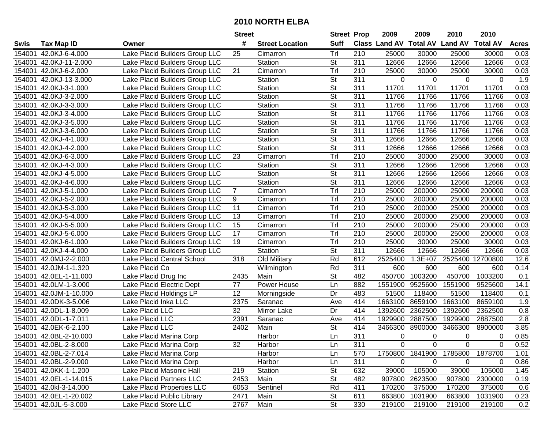|        |                        |                                 | <b>Street</b>   |                        |                          | <b>Street Prop</b> | 2009     | 2009        | 2010                                    | 2010             |              |
|--------|------------------------|---------------------------------|-----------------|------------------------|--------------------------|--------------------|----------|-------------|-----------------------------------------|------------------|--------------|
| Swis   | <b>Tax Map ID</b>      | Owner                           | #               | <b>Street Location</b> | <b>Suff</b>              |                    |          |             | Class Land AV Total AV Land AV Total AV |                  | <b>Acres</b> |
| 154001 | 42.0KJ-6-4.000         | Lake Placid Builders Group LLC  | 25              | Cimarron               | Trl                      | 210                | 25000    | 30000       | 25000                                   | 30000            | 0.03         |
| 154001 | 42.0KJ-11-2.000        | Lake Placid Builders Group LLC  |                 | Station                | $\overline{\mathsf{St}}$ | $\overline{311}$   | 12666    | 12666       | 12666                                   | 12666            | 0.03         |
| 154001 | 42.0KJ-6-2.000         | Lake Placid Builders Group LLC  | 21              | Cimarron               | Trl                      | 210                | 25000    | 30000       | 25000                                   | 30000            | 0.03         |
| 154001 | 42.0KJ-13-3.000        | Lake Placid Builders Group LLC  |                 | Station                | St                       | 311                | 0        | $\Omega$    | $\Omega$                                | $\Omega$         | 1.9          |
| 154001 | 42.0KJ-3-1.000         | Lake Placid Builders Group LLC  |                 | Station                | $\overline{\mathsf{St}}$ | $\overline{311}$   | 11701    | 11701       | 11701                                   | 11701            | 0.03         |
| 154001 | 42.0KJ-3-2.000         | Lake Placid Builders Group LLC  |                 | Station                | <b>St</b>                | 311                | 11766    | 11766       | 11766                                   | 11766            | 0.03         |
| 154001 | 42.0KJ-3-3.000         | Lake Placid Builders Group LLC  |                 | Station                | $\overline{\mathsf{St}}$ | $\overline{311}$   | 11766    | 11766       | 11766                                   | 11766            | 0.03         |
| 154001 | 42.0KJ-3-4.000         | Lake Placid Builders Group LLC  |                 | Station                | $\overline{\mathsf{St}}$ | 311                | 11766    | 11766       | 11766                                   | 11766            | 0.03         |
| 154001 | 42.0KJ-3-5.000         | Lake Placid Builders Group LLC  |                 | Station                | $\overline{\mathsf{St}}$ | 311                | 11766    | 11766       | 11766                                   | 11766            | 0.03         |
| 154001 | 42.0KJ-3-6.000         | Lake Placid Builders Group LLC  |                 | Station                | $\overline{\mathsf{St}}$ | $\overline{311}$   | 11766    | 11766       | 11766                                   | 11766            | 0.03         |
| 154001 | 42.0KJ-4-1.000         | Lake Placid Builders Group LLC  |                 | Station                | $\overline{\mathsf{St}}$ | $\overline{311}$   | 12666    | 12666       | 12666                                   | 12666            | 0.03         |
| 154001 | 42.0KJ-4-2.000         | Lake Placid Builders Group LLC  |                 | Station                | $\overline{\mathsf{St}}$ | $\overline{311}$   | 12666    | 12666       | 12666                                   | 12666            | 0.03         |
| 154001 | 42.0KJ-6-3.000         | Lake Placid Builders Group LLC  | 23              | Cimarron               | Trl                      | 210                | 25000    | 30000       | 25000                                   | 30000            | 0.03         |
| 154001 | 42.0KJ-4-3.000         | Lake Placid Builders Group LLC  |                 | Station                | $\overline{\mathsf{St}}$ | $\overline{311}$   | 12666    | 12666       | 12666                                   | 12666            | 0.03         |
| 154001 | 42.0KJ-4-5.000         | Lake Placid Builders Group LLC  |                 | Station                | $\overline{\mathsf{St}}$ | 311                | 12666    | 12666       | 12666                                   | 12666            | 0.03         |
| 154001 | 42.0KJ-4-6.000         | Lake Placid Builders Group LLC  |                 | Station                | $\overline{\mathsf{St}}$ | $\overline{311}$   | 12666    | 12666       | 12666                                   | 12666            | 0.03         |
| 154001 | 42.0KJ-5-1.000         | Lake Placid Builders Group LLC  | $\overline{7}$  | Cimarron               | Tr                       | 210                | 25000    | 200000      | 25000                                   | 200000           | 0.03         |
| 154001 | 42.0KJ-5-2.000         | Lake Placid Builders Group LLC  | 9               | Cimarron               | Trl                      | $\overline{210}$   | 25000    | 200000      | 25000                                   | 200000           | 0.03         |
| 154001 | 42.0KJ-5-3.000         | Lake Placid Builders Group LLC  | 11              | Cimarron               | Trl                      | 210                | 25000    | 200000      | 25000                                   | 200000           | 0.03         |
| 154001 | 42.0KJ-5-4.000         | Lake Placid Builders Group LLC  | 13              | Cimarron               | Tr                       | 210                | 25000    | 200000      | 25000                                   | 200000           | 0.03         |
| 154001 | 42.0KJ-5-5.000         | Lake Placid Builders Group LLC  | $\overline{15}$ | Cimarron               | Trl                      | 210                | 25000    | 200000      | 25000                                   | 200000           | 0.03         |
| 154001 | 42.0KJ-5-6.000         | Lake Placid Builders Group LLC  | $\overline{17}$ | Cimarron               | Trl                      | 210                | 25000    | 200000      | 25000                                   | 200000           | 0.03         |
| 154001 | 42.0KJ-6-1.000         | Lake Placid Builders Group LLC  | 19              | Cimarron               | Trl                      | 210                | 25000    | 30000       | 25000                                   | 30000            | 0.03         |
| 154001 | 42.0KJ-4-4.000         | Lake Placid Builders Group LLC  |                 | Station                | St                       | 311                | 12666    | 12666       | 12666                                   | 12666            | 0.03         |
| 154001 | 42.0MJ-2-2.000         | Lake Placid Central School      | 318             | Old Military           | Rd                       | 612                | 2525400  | $1.3E + 07$ |                                         | 2525400 12700800 | 12.6         |
| 154001 | 42.0JM-1-1.320         | Lake Placid Co                  |                 | Wilmington             | Rd                       | $\overline{311}$   | 600      | 600         | 600                                     | 600              | 0.14         |
| 154001 | 42.0EL-1-11.000        | Lake Placid Drug Inc            | 2435            | Main                   | $\overline{\mathsf{St}}$ | 482                | 450700   | 1003200     | 450700                                  | 1003200          | 0.1          |
| 154001 | 42.0LM-1-3.000         | Lake Placid Electric Dept       | 77              | Power House            | Ln                       | 882                | 1551900  | 9525600     | 1551900                                 | 9525600          | 14.1         |
| 154001 | 42.0JM-1-10.000        | Lake Placid Holdings LP         | 12              | Morningside            | Dr                       | 483                | 51500    | 118400      | 51500                                   | 118400           | 0.1          |
| 154001 | 42.0DK-3-5.006         | Lake Placid Inka LLC            | 2375            | Saranac                | Ave                      | 414                | 1663100  | 8659100     | 1663100                                 | 8659100          | 1.9          |
| 154001 | 42.0DL-1-8.009         | Lake Placid LLC                 | $\overline{32}$ | <b>Mirror Lake</b>     | Dr                       | 414                | 1392600  | 2362500     | 1392600                                 | 2362500          | 0.8          |
| 154001 | 42.0DL-1-7.011         | Lake Placid LLC                 | 2391            | Saranac                | Ave                      | 414                | 1929900  | 2887500     | 1929900                                 | 2887500          | 2.8          |
| 154001 | 42.0EK-6-2.100         | Lake Placid LLC                 | 2402            | Main                   | St                       | 414                | 3466300  | 8900000     | 3466300                                 | 8900000          | 3.85         |
|        | 154001 42.0BL-2-10.000 | Lake Placid Marina Corp         |                 | <b>Harbor</b>          | $\overline{\mathsf{Ln}}$ | $\overline{311}$   | $\Omega$ | $\mathbf 0$ | 0                                       | 0                | 0.85         |
|        | 154001 42.0BL-2-8.000  | Lake Placid Marina Corp         | 32              | Harbor                 | Ln                       | 311                | 0        | $\Omega$    | $\Omega$                                | $\Omega$         | 0.52         |
|        | 154001 42.0BL-2-7.014  | Lake Placid Marina Corp         |                 | Harbor                 | Ln                       | 570                | 1750800  | 1841900     | 1785800                                 | 1878700          | 1.01         |
|        | 154001 42.0BL-2-9.000  | Lake Placid Marina Corp         |                 | Harbor                 | Ln                       | 311                | 0        | $\Omega$    | 0                                       | $\Omega$         | 0.86         |
|        | 154001 42.0KK-1-1.200  | Lake Placid Masonic Hall        | 219             | Station                | <b>St</b>                | 632                | 39000    | 105000      | 39000                                   | 105000           | 1.45         |
|        | 154001 42.0EL-1-14.015 | <b>Lake Placid Partners LLC</b> | 2453            | Main                   | <b>St</b>                | 482                | 907800   | 2623500     | 907800                                  | 2300000          | 0.19         |
|        | 154001 42.0kl-3-14.000 | Lake Placid Properties LLC      | 6053            | Sentinel               | Rd                       | 411                | 170200   | 375000      | 170200                                  | 375000           | 0.6          |
|        | 154001 42.0EL-1-20.002 | Lake Placid Public Library      | 2471            | Main                   | St                       | 611                | 663800   | 1031900     | 663800                                  | 1031900          | 0.23         |
|        | 154001 42.0JL-5-3.000  | Lake Placid Store LLC           | 2767            | Main                   | <b>St</b>                | 330                | 219100   | 219100      | 219100                                  | 219100           | 0.2          |
|        |                        |                                 |                 |                        |                          |                    |          |             |                                         |                  |              |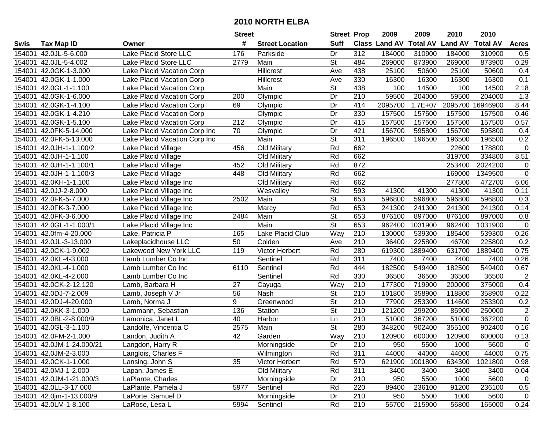|        |                           |                               | <b>Street</b>    |                        | <b>Street Prop</b>       |                  | 2009          | 2009            | 2010           | 2010            |                  |
|--------|---------------------------|-------------------------------|------------------|------------------------|--------------------------|------------------|---------------|-----------------|----------------|-----------------|------------------|
| Swis   | <b>Tax Map ID</b>         | Owner                         | #                | <b>Street Location</b> | <b>Suff</b>              |                  | Class Land AV | <b>Total AV</b> | <b>Land AV</b> | <b>Total AV</b> | <b>Acres</b>     |
| 154001 | 42.0JL-5-6.000            | Lake Placid Store LLC         | 176              | Parkside               | Dr                       | 312              | 184000        | 310900          | 184000         | 310900          | 0.5              |
| 154001 | 42.0JL-5-4.002            | Lake Placid Store LLC         | 2779             | Main                   | St                       | 484              | 269000        | 873900          | 269000         | 873900          | 0.29             |
| 154001 | 42.0GK-1-3.000            | Lake Placid Vacation Corp     |                  | <b>Hillcrest</b>       | Ave                      | 438              | 25100         | 50600           | 25100          | 50600           | 0.4              |
| 154001 | 42.0GK-1-1.000            | Lake Placid Vacation Corp     |                  | Hillcrest              | Ave                      | 330              | 16300         | 16300           | 16300          | 16300           | 0.1              |
| 154001 | 42.0GL-1-1.100            | Lake Placid Vacation Corp     |                  | Main                   | <b>St</b>                | 438              | 100           | 14500           | 100            | 14500           | 2.18             |
| 154001 | 42.0GK-1-6.000            | Lake Placid Vacation Corp     | 200              | Olympic                | Dr                       | 210              | 59500         | 204000          | 59500          | 204000          | $\overline{1.3}$ |
| 154001 | 42.0GK-1-4.100            | Lake Placid Vacation Corp     | 69               | Olympic                | Dr                       | 414              | 2095700       | $1.7E+07$       | 2095700        | 16946900        | 8.44             |
| 154001 | 42.0GK-1-4.210            | Lake Placid Vacation Corp     |                  | Olympic                | $\overline{Dr}$          | 330              | 157500        | 157500          | 157500         | 157500          | 0.46             |
| 154001 | 42.0GK-1-5.100            | Lake Placid Vacation Corp     | $\overline{212}$ | Olympic                | Dr                       | 415              | 157500        | 157500          | 157500         | 157500          | 0.57             |
| 154001 | 42.0FK-5-14.000           | Lake Placid Vacation Corp Inc | 70               | Olympic                | Dr                       | 421              | 156700        | 595800          | 156700         | 595800          | 0.4              |
| 154001 | 42.0FK-5-13.000           | Lake Placid Vacation Corp Inc |                  | Main                   | $\overline{\mathsf{St}}$ | 311              | 196500        | 196500          | 196500         | 196500          | 0.2              |
| 154001 | 42.0JH-1-1.100/2          | Lake Placid Village           | 456              | Old Military           | Rd                       | 662              |               |                 | 22600          | 178800          | $\mathbf 0$      |
| 154001 | 42.0JH-1-1.100            | Lake Placid Village           |                  | Old Military           | Rd                       | 662              |               |                 | 319700         | 334800          | 8.51             |
| 154001 | 42.0JH-1-1.100/1          | Lake Placid Village           | 452              | Old Military           | Rd                       | 872              |               |                 | 253400         | 2024200         | $\pmb{0}$        |
| 154001 | 42.0JH-1-1.100/3          | Lake Placid Village           | 448              | Old Military           | Rd                       | 662              |               |                 | 169000         | 1349500         | $\pmb{0}$        |
| 154001 | 42.0KH-1-1.100            | Lake Placid Village Inc       |                  | Old Military           | Rd                       | 662              |               |                 | 277800         | 472700          | 6.06             |
| 154001 | 42.0JJ-2-8.000            | Lake Placid Village Inc       |                  | Wesvalley              | Rd                       | 593              | 41300         | 41300           | 41300          | 41300           | 0.11             |
| 154001 | 42.0FK-5-7.000            | Lake Placid Village Inc       | 2502             | Main                   | $\overline{\mathsf{St}}$ | 653              | 596800        | 596800          | 596800         | 596800          | 0.3              |
| 154001 | 42.0FK-3-7.000            | Lake Placid Village Inc       |                  | Marcy                  | Rd                       | 653              | 241300        | 241300          | 241300         | 241300          | 0.14             |
| 154001 | 42.0FK-3-6.000            | Lake Placid Village Inc       | 2484             | Main                   | <b>St</b>                | 653              | 876100        | 897000          | 876100         | 897000          | 0.8              |
| 154001 | 42.0GL-1-1.000/1          | Lake Placid Village Inc       |                  | Main                   | $\overline{\mathsf{St}}$ | 653              | 962400        | 1031900         | 962400         | 1031900         | $\pmb{0}$        |
| 154001 | 42.0fm-4-20.000           | Lake, Patricia P              | 165              | Lake Placid Club       | Way                      | 210              | 130000        | 539300          | 185400         | 539300          | 0.26             |
| 154001 | 42.0JL-3-13.000           | Lakeplacidhouse LLC           | 50               | Colden                 | Ave                      | 210              | 36400         | 225800          | 46700          | 225800          | 0.2              |
| 154001 | 42.0CK-1-9.002            | Lakewood New York LLC         | 119              | Victor Herbert         | Rd                       | 280              | 619300        | 1889400         | 631700         | 1889400         | 0.75             |
| 154001 | 42.0KL-4-3.000            | Lamb Lumber Co Inc            |                  | Sentinel               | Rd                       | 311              | 7400          | 7400            | 7400           | 7400            | 0.26             |
| 154001 | 42.0KL-4-1.000            | Lamb Lumber Co Inc            | 6110             | Sentinel               | Rd                       | 444              | 182500        | 549400          | 182500         | 549400          | 0.67             |
| 154001 | 42.0KL-4-2.000            | Lamb Lumber Co Inc            |                  | Sentinel               | Rd                       | 330              | 36500         | 36500           | 36500          | 36500           | $\overline{2}$   |
| 154001 | 42.0CK-2-12.120           | Lamb, Barbara H               | 27               | Cayuga                 | Way                      | 210              | 177300        | 719900          | 200000         | 375000          | 0.4              |
| 154001 | 42.0DJ-7-2.009            | Lamb, Joseph V Jr             | 56               | Nash                   | $\overline{\mathsf{St}}$ | $\overline{210}$ | 101800        | 358900          | 118800         | 358900          | 0.22             |
| 154001 | 42.0DJ-4-20.000           | Lamb, Norma J                 | 9                | Greenwood              | $\overline{\mathsf{St}}$ | $\overline{210}$ | 77900         | 253300          | 114600         | 253300          | 0.2              |
| 154001 | 42.0KK-3-1.000            | Lammann, Sebastian            | 136              | Station                | $\overline{\mathsf{St}}$ | $\overline{210}$ | 121200        | 299200          | 85900          | 250000          | $\overline{2}$   |
| 154001 | 42.0BL-2-8.000/9          | Lamonica, Janet L             | 40               | Harbor                 | Ln                       | $\overline{210}$ | 51000         | 367200          | 51000          | 367200          | $\overline{0}$   |
| 154001 | 42.0GL-3-1.100            | Landolfe, Vincentia C         | 2575             | Main                   | $\overline{\mathsf{St}}$ | 280              | 348200        | 902400          | 355100         | 902400          | 0.16             |
|        | 154001 42.0FM-2-1.000     | Landon, Judith A              | 42               | Garden                 | $\overline{W}$ ay        | $\overline{210}$ | 120900        | 600000          | 120900         | 600000          | 0.13             |
|        | 154001 42.0JM-1-24.000/21 | Langdon, Harry R              |                  | Morningside            | Dr                       | 210              | 950           | 5500            | 1000           | 5600            | $\mathbf{0}$     |
|        | 154001 42.0JM-2-3.000     | Langlois, Charles F           |                  | Wilmington             | Rd                       | 311              | 44000         | 44000           | 44000          | 44000           | 0.75             |
|        | 154001 42.0CK-1-1.000     | Lansing, John S               | 35               | <b>Victor Herbert</b>  | Rd                       | 570              | 621900        | 1001800         | 634300         | 1021800         | 0.98             |
|        | 154001 42.0MJ-1-2.000     | Lapan, James E                |                  | <b>Old Military</b>    | Rd                       | 311              | 3400          | 3400            | 3400           | 3400            | 0.04             |
|        | 154001 42.0JM-1-21.000/3  | LaPlante, Charles             |                  | Morningside            | Dr                       | 210              | 950           | 5500            | 1000           | 5600            | 0                |
|        | 154001 42.0LL-3-17.000    | LaPlante, Pamela J            | 5977             | Sentinel               | Rd                       | 220              | 89400         | 236100          | 91200          | 236100          | 0.5              |
|        | 154001 42.0jm-1-13.000/9  | LaPorte, Samuel D             |                  | Morningside            | Dr                       | 210              | 950           | 5500            | 1000           | 5600            | 0                |
|        | 154001 42.0LM-1-8.100     | LaRose, Lesa L                | 5994             | Sentinel               | Rd                       | 210              | 55700         | 215900          | 56800          | 165000          | 0.24             |
|        |                           |                               |                  |                        |                          |                  |               |                 |                |                 |                  |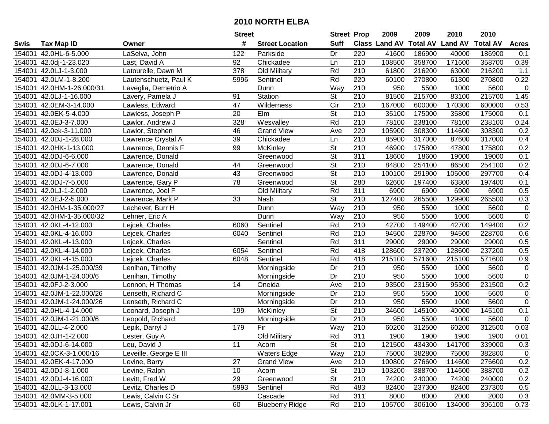|        |                          |                        | <b>Street</b>   |                        | <b>Street Prop</b>       |                  | 2009          | 2009            | 2010           | 2010            |                |
|--------|--------------------------|------------------------|-----------------|------------------------|--------------------------|------------------|---------------|-----------------|----------------|-----------------|----------------|
| Swis   | <b>Tax Map ID</b>        | Owner                  | #               | <b>Street Location</b> | <b>Suff</b>              |                  | Class Land AV | <b>Total AV</b> | <b>Land AV</b> | <b>Total AV</b> | <b>Acres</b>   |
| 154001 | 42.0HL-6-5.000           | LaSelva, John          | 122             | Parkside               | Dr                       | 220              | 41600         | 186900          | 40000          | 186900          | 0.1            |
| 154001 | 42.0dj-1-23.020          | Last, David A          | 92              | Chickadee              | Ln                       | 210              | 108500        | 358700          | 171600         | 358700          | 0.39           |
| 154001 | 42.0LJ-1-3.000           | Latourelle, Dawn M     | 378             | Old Military           | Rd                       | 210              | 61800         | 216200          | 63000          | 216200          | 1.1            |
| 154001 | 42.0LM-1-8.200           | Lautenschuetz, Paul K  | 5996            | Sentinel               | Rd                       | 220              | 60100         | 270800          | 61300          | 270800          | 0.22           |
| 154001 | 42.0HM-1-26.000/31       | Laveglia, Demetrio A   |                 | Dunn                   | Way                      | 210              | 950           | 5500            | 1000           | 5600            | 0              |
| 154001 | 42.0LJ-1-16.000          | Lavery, Pamela J       | 91              | Station                | <b>St</b>                | $\overline{210}$ | 81500         | 215700          | 83100          | 215700          | 1.45           |
| 154001 | 42.0EM-3-14.000          | Lawless, Edward        | 47              | Wilderness             | $\overline{C}$           | 210              | 167000        | 600000          | 170300         | 600000          | 0.53           |
| 154001 | 42.0EK-5-4.000           | Lawless, Joseph P      | $\overline{20}$ | $E$ Im                 | $\overline{\mathsf{St}}$ | 210              | 35100         | 175000          | 35800          | 175000          | 0.1            |
| 154001 | 42.0EJ-3-7.000           | Lawlor, Andrew J       | 328             | Wesvalley              | Rd                       | $\overline{210}$ | 78100         | 238100          | 78100          | 238100          | 0.24           |
| 154001 | 42.0ek-3-11.000          | Lawlor, Stephen        | 46              | <b>Grand View</b>      | Ave                      | 220              | 105900        | 308300          | 114600         | 308300          | 0.2            |
| 154001 | 42.0DJ-1-28.000          | Lawrence Crystal A     | 39              | Chickadee              | Ln                       | 210              | 85900         | 317000          | 87600          | 317000          | 0.4            |
| 154001 | 42.0HK-1-13.000          | Lawrence, Dennis F     | 99              | McKinley               | <b>St</b>                | 210              | 46900         | 175800          | 47800          | 175800          | 0.2            |
| 154001 | 42.0DJ-6-6.000           | Lawrence, Donald       |                 | Greenwood              | $\overline{\mathsf{St}}$ | 311              | 18600         | 18600           | 19000          | 19000           | 0.1            |
| 154001 | 42.0DJ-6-7.000           | Lawrence, Donald       | 44              | Greenwood              | $\overline{\mathsf{St}}$ | 210              | 84800         | 254100          | 86500          | 254100          | 0.2            |
| 154001 | 42.0DJ-4-13.000          | Lawrence, Donald       | 43              | Greenwood              | $\overline{\mathsf{St}}$ | 210              | 100100        | 291900          | 105000         | 297700          | 0.4            |
| 154001 | 42.0DJ-7-5.000           | Lawrence, Gary P       | 78              | Greenwood              | $\overline{\mathsf{St}}$ | 280              | 62600         | 197400          | 63800          | 197400          | 0.1            |
| 154001 | 42.0LJ-1-2.000           | Lawrence, Joel F       |                 | Old Military           | Rd                       | $\overline{311}$ | 6900          | 6900            | 6900           | 6900            | 0.5            |
| 154001 | 42.0EJ-2-5.000           | Lawrence, Mark P       | 33              | Nash                   | $\overline{\mathsf{St}}$ | 210              | 127400        | 265500          | 129900         | 265500          | 0.3            |
| 154001 | 42.0HM-1-35.000/27       | Lechevet, Burr H       |                 | Dunn                   | Way                      | 210              | 950           | 5500            | 1000           | 5600            | $\pmb{0}$      |
| 154001 | 42.0HM-1-35.000/32       | Lehner, Eric A         |                 | Dunn                   | Way                      | 210              | 950           | 5500            | 1000           | 5600            | $\pmb{0}$      |
| 154001 | 42.0KL-4-12.000          | Lejcek, Charles        | 6060            | Sentinel               | Rd                       | 210              | 42700         | 149400          | 42700          | 149400          | 0.2            |
| 154001 | 42.0KL-4-16.000          | Lejcek, Charles        | 6040            | Sentinel               | Rd                       | 210              | 94500         | 228700          | 94500          | 228700          | 0.6            |
| 154001 | 42.0KL-4-13.000          | Lejcek, Charles        |                 | Sentinel               | Rd                       | 311              | 29000         | 29000           | 29000          | 29000           | 0.5            |
| 154001 | 42.0KL-4-14.000          | Lejcek, Charles        | 6054            | Sentinel               | Rd                       | 418              | 128600        | 237200          | 128600         | 237200          | 0.5            |
| 154001 | 42.0KL-4-15.000          | Lejcek, Charles        | 6048            | Sentinel               | Rd                       | 418              | 215100        | 571600          | 215100         | 571600          | 0.9            |
| 154001 | 42.0JM-1-25.000/39       | Lenihan, Timothy       |                 | Morningside            | Dr                       | 210              | 950           | 5500            | 1000           | 5600            | $\pmb{0}$      |
| 154001 | 42.0JM-1-24.000/6        | Lenihan, Timothy       |                 | Morningside            | Dr                       | 210              | 950           | 5500            | 1000           | 5600            | $\pmb{0}$      |
| 154001 | 42.0FJ-2-3.000           | Lennon, H Thomas       | 14              | Oneida                 | Ave                      | 210              | 93500         | 231500          | 95300          | 231500          | 0.2            |
| 154001 | 42.0JM-1-22.000/26       | Lenseth, Richard C     |                 | Morningside            | Dr                       | 210              | 950           | 5500            | 1000           | 5600            | $\pmb{0}$      |
| 154001 | 42.0JM-1-24.000/26       | Lenseth, Richard C     |                 | Morningside            | Dr                       | $\overline{210}$ | 950           | 5500            | 1000           | 5600            | $\overline{0}$ |
| 154001 | 42.0HL-4-14.000          | Leonard, Joseph J      | 199             | McKinley               | $\overline{\mathsf{St}}$ | 210              | 34600         | 145100          | 40000          | 145100          | 0.1            |
| 154001 | 42.0JM-1-21.000/6        | Leopold, Richard       |                 | Morningside            | Dr                       | $\overline{210}$ | 950           | 5500            | 1000           | 5600            | $\mathbf 0$    |
| 154001 | 42.0LL-4-2.000           | Lepik, Darryl J        | 179             | Fir                    | Way                      | $\overline{210}$ | 60200         | 312500          | 60200          | 312500          | 0.03           |
|        | 154001 42.0JH-1-2.000    | Lester, Guy A          |                 | Old Military           | Rd                       | 311              | 1900          | 1900            | 1900           | 1900            | 0.01           |
|        | 154001 42.0DJ-6-14.000   | Leu, David J           | 11              | Acorn                  | St                       | 210              | 121500        | 434300          | 141700         | 339000          | 0.3            |
|        | 154001 42.0CK-3-1.000/16 | Leveille, George E III |                 | <b>Waters Edge</b>     | Way                      | 210              | 75000         | 382800          | 75000          | 382800          | 0              |
|        | 154001 42.0EK-4-17.000   | Levine, Barry          | 27              | <b>Grand View</b>      | Ave                      | 210              | 100800        | 276600          | 114600         | 276600          | 0.2            |
|        | 154001 42.0DJ-8-1.000    | Levine, Ralph          | 10              | Acorn                  | <b>St</b>                | 210              | 103200        | 388700          | 114600         | 388700          | 0.2            |
|        | 154001 42.0DJ-4-16.000   | Levitt, Fred W         | 29              | Greenwood              | <b>St</b>                | 210              | 74200         | 240000          | 74200          | 240000          | 0.2            |
|        | 154001 42.0LL-3-13.000   | Levitz, Charles D      | 5993            | Sentinel               | Rd                       | 483              | 82400         | 237300          | 82400          | 237300          | 0.5            |
|        | 154001 42.0MM-3-5.000    | Lewis, Calvin C Sr     |                 | Cascade                | Rd                       | 311              | 8000          | 8000            | 2000           | 2000            | 0.3            |
|        | 154001 42.0LK-1-17.001   | Lewis, Calvin Jr       | 60              | <b>Blueberry Ridge</b> | Rd                       | 210              | 105700        | 306100          | 134000         | 306100          | 0.73           |
|        |                          |                        |                 |                        |                          |                  |               |                 |                |                 |                |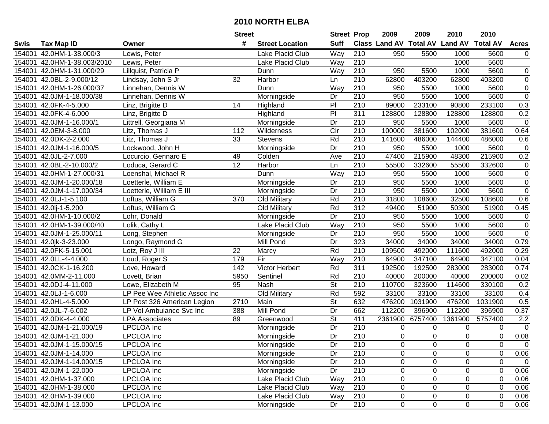|        |                           |                               | <b>Street</b> |                        | <b>Street Prop</b>       |                  | 2009                          | 2009        | 2010             | 2010             |                  |
|--------|---------------------------|-------------------------------|---------------|------------------------|--------------------------|------------------|-------------------------------|-------------|------------------|------------------|------------------|
| Swis   | <b>Tax Map ID</b>         | Owner                         | #             | <b>Street Location</b> | <b>Suff</b>              |                  | <b>Class Land AV Total AV</b> |             | <b>Land AV</b>   | <b>Total AV</b>  | <b>Acres</b>     |
| 154001 | 42.0HM-1-38.000/3         | Lewis, Peter                  |               | Lake Placid Club       | Way                      | 210              | 950                           | 5500        | 1000             | 5600             | $\mathbf 0$      |
| 154001 | 42.0HM-1-38.003/2010      | Lewis, Peter                  |               | Lake Placid Club       | Way                      | 210              |                               |             | 1000             | 5600             |                  |
| 154001 | 42.0HM-1-31.000/29        | Lillquist, Patricia P         |               | Dunn                   | Way                      | 210              | 950                           | 5500        | 1000             | 5600             | 0                |
| 154001 | 42.0BL-2-9.000/12         | Lindsay, John S Jr            | 32            | Harbor                 | Ln                       | 210              | 62800                         | 403200      | 62800            | 403200           | $\mathbf 0$      |
| 154001 | 42.0HM-1-26.000/37        | Linnehan, Dennis W            |               | Dunn                   | Way                      | $\overline{210}$ | 950                           | 5500        | 1000             | 5600             | $\overline{0}$   |
| 154001 | 42.0JM-1-18.000/38        | Linnehan, Dennis W            |               | Morningside            | Dr                       | $\overline{210}$ | 950                           | 5500        | 1000             | 5600             | $\overline{0}$   |
| 154001 | 42.0FK-4-5.000            | Linz, Brigitte D              | 14            | Highland               | PI                       | 210              | 89000                         | 233100      | 90800            | 233100           | 0.3              |
| 154001 | 42.0FK-4-6.000            | Linz, Brigitte D              |               | Highland               | $\overline{P}$           | 311              | 128800                        | 128800      | 128800           | 128800           | 0.2              |
| 154001 | 42.0JM-1-16.000/1         | Littrell, Georgiana M         |               | Morningside            | $\overline{Dr}$          | $\overline{210}$ | 950                           | 5500        | 1000             | 5600             | $\boldsymbol{0}$ |
| 154001 | 42.0EM-3-8.000            | Litz, Thomas J                | 112           | Wilderness             | $\overline{C}$ ir        | 210              | 100000                        | 381600      | 102000           | 381600           | 0.64             |
| 154001 | 42.0DK-2-2.000            | Litz, Thomas J                | 33            | <b>Stevens</b>         | Rd                       | 210              | 141600                        | 486000      | 144400           | 486000           | 0.6              |
| 154001 | 42.0JM-1-16.000/5         | Lockwood, John H              |               | Morningside            | Dr                       | 210              | 950                           | 5500        | 1000             | 5600             | $\pmb{0}$        |
| 154001 | 42.0JL-2-7.000            | Locurcio, Gennaro E           | 49            | Colden                 | Ave                      | 210              | 47400                         | 215900      | 48300            | 215900           | 0.2              |
| 154001 | 42.0BL-2-10.000/2         | Loduca, Gerard C              | 12            | Harbor                 | Ln                       | 210              | 55500                         | 332600      | 55500            | 332600           | $\pmb{0}$        |
| 154001 | 42.0HM-1-27.000/31        | Loenshal, Michael R           |               | Dunn                   | Way                      | $\overline{210}$ | 950                           | 5500        | 1000             | 5600             | $\pmb{0}$        |
| 154001 | 42.0JM-1-20.000/18        | Loetterle, William E          |               | Morningside            | Dr                       | 210              | 950                           | 5500        | 1000             | 5600             | $\pmb{0}$        |
| 154001 | 42.0JM-1-17.000/34        | Loetterle, William E III      |               | Morningside            | Dr                       | $\overline{210}$ | 950                           | 5500        | 1000             | 5600             | $\overline{0}$   |
| 154001 | 42.0LJ-1-5.100            | Loftus, William G             | 370           | Old Military           | Rd                       | 210              | 31800                         | 108600      | 32500            | 108600           | 0.6              |
| 154001 | 42.0lj-1-5.200            | Loftus, William G             |               | Old Military           | Rd                       | 312              | 49400                         | 51900       | 50300            | 51900            | 0.45             |
| 154001 | 42.0HM-1-10.000/2         | Lohr, Donald                  |               | Morningside            | Dr                       | 210              | 950                           | 5500        | 1000             | 5600             | $\pmb{0}$        |
| 154001 | 42.0HM-1-39.000/40        | Lolik, Cathy L                |               | Lake Placid Club       | Way                      | 210              | 950                           | 5500        | 1000             | 5600             | $\overline{0}$   |
| 154001 | 42.0JM-1-25.000/11        | Long, Stephen                 |               | Morningside            | Dr                       | 210              | 950                           | 5500        | 1000             | 5600             | $\pmb{0}$        |
| 154001 | 42.0jk-3-23.000           | Longo, Raymond G              |               | Mill Pond              | Dr                       | 323              | 34000                         | 34000       | 34000            | 34000            | 0.79             |
| 154001 | 42.0FK-5-15.001           | Lotz, Roy J III               | 22            | Marcy                  | Rd                       | 210              | 109500                        | 492000      | 111600           | 492000           | 0.29             |
| 154001 | 42.0LL-4-4.000            | Loud, Roger S                 | 179           | Fir                    | Way                      | $\overline{210}$ | 64900                         | 347100      | 64900            | 347100           | 0.04             |
| 154001 | 42.0CK-1-16.200           | Love, Howard                  | 142           | Victor Herbert         | Rd                       | 311              | 192500                        | 192500      | 283000           | 283000           | 0.74             |
| 154001 | 42.0MM-2-11.000           | Lovett, Brian                 | 5950          | Sentinel               | Rd                       | 210              | 40000                         | 200000      | 40000            | 200000           | 0.02             |
| 154001 | 42.0DJ-4-11.000           | Lowe, Elizabeth M             | 95            | Nash                   | $\overline{\mathsf{St}}$ | 210              | 110700                        | 323600      | 114600           | 330100           | 0.2              |
| 154001 | 42.0LJ-1-6.000            | LP Pee Wee Athletic Assoc Inc |               | Old Military           | Rd                       | 592              | 33100                         | 33100       | 33100            | 33100            | 0.4              |
| 154001 | 42.0HL-4-5.000            | LP Post 326 American Legion   | 2710          | Main                   | $\overline{\mathsf{St}}$ | 632              | 476200                        | 1031900     | 476200           | 1031900          | 0.5              |
| 154001 | 42.0JL-7-6.002            | LP Vol Ambulance Svc Inc      | 388           | <b>Mill Pond</b>       | Dr                       | 662              | 112200                        | 396900      | 112200           | 396900           | 0.37             |
| 154001 | 42.0DK-4-4.000            | <b>LPA Associates</b>         | 89            | Greenwood              | $\overline{\mathsf{St}}$ | 411              | 2361900                       | 6757400     | 1361900          | 5757400          | 2.2              |
| 154001 | 42.0JM-1-21.000/19        | <b>LPCLOA</b> Inc             |               | Morningside            | $\overline{Dr}$          | $\overline{210}$ | 0                             | $\Omega$    | 0                | $\mathbf 0$      | $\overline{0}$   |
|        | 154001 42.0JM-1-21.000    | <b>LPCLOA</b> Inc             |               | Morningside            | $\overline{Dr}$          | $\overline{210}$ | 0                             | $\mathbf 0$ | 0                | $\mathbf 0$      | 0.08             |
|        | 154001 42.0JM-1-15.000/15 | LPCLOA Inc                    |               | Morningside            | Dr                       | 210              | 0                             | 0           | 0                | 0                | $\mathbf{0}$     |
|        | 154001 42.0JM-1-14.000    | <b>LPCLOA</b> Inc             |               | Morningside            | Dr                       | 210              | 0                             | $\Omega$    | 0                | 0                | 0.06             |
|        | 154001 42.0JM-1-14.000/15 | <b>LPCLOA</b> Inc             |               | Morningside            | Dr                       | 210              | 0                             | 0           | 0                | $\boldsymbol{0}$ | $\mathbf 0$      |
|        | 154001 42.0JM-1-22.000    | <b>LPCLOA</b> Inc             |               | Morningside            | Dr                       | 210              | 0                             | $\mathbf 0$ | 0                | $\mathbf 0$      | 0.06             |
|        | 154001 42.0HM-1-37.000    | <b>LPCLOA</b> Inc             |               | Lake Placid Club       | Way                      | 210              | 0                             | 0           | $\boldsymbol{0}$ | 0                | 0.06             |
|        | 154001 42.0HM-1-38.000    | <b>LPCLOA</b> Inc             |               | Lake Placid Club       | Way                      | 210              | 0                             | 0           | 0                | 0                | 0.06             |
|        | 154001 42.0HM-1-39.000    | <b>LPCLOA</b> Inc             |               | Lake Placid Club       | Way                      | 210              | 0                             | 0           | $\boldsymbol{0}$ | 0                | 0.06             |
|        | 154001 42.0JM-1-13.000    | <b>LPCLOA</b> Inc             |               | Morningside            | Dr                       | 210              | $\mathbf 0$                   | $\mathbf 0$ | 0                | $\mathbf 0$      | 0.06             |
|        |                           |                               |               |                        |                          |                  |                               |             |                  |                  |                  |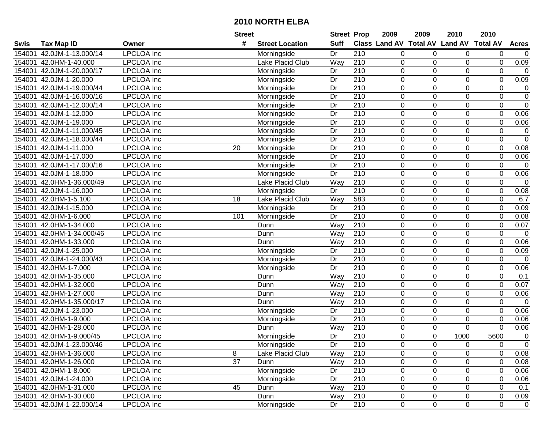|             |                           |                   | <b>Street</b>   |                        | <b>Street Prop</b> |                  | 2009           | 2009           | 2010                           | 2010            |                |
|-------------|---------------------------|-------------------|-----------------|------------------------|--------------------|------------------|----------------|----------------|--------------------------------|-----------------|----------------|
| <b>Swis</b> | <b>Tax Map ID</b>         | Owner             | #               | <b>Street Location</b> | <b>Suff</b>        |                  |                |                | Class Land AV Total AV Land AV | <b>Total AV</b> | <b>Acres</b>   |
| 154001      | 42.0JM-1-13.000/14        | <b>LPCLOA</b> Inc |                 | Morningside            | Dr                 | 210              | 0              | 0              | 0                              | 0               | $\overline{0}$ |
| 154001      | 42.0HM-1-40.000           | <b>LPCLOA</b> Inc |                 | Lake Placid Club       | Way                | $\overline{210}$ | 0              | 0              | 0                              | 0               | 0.09           |
| 154001      | 42.0JM-1-20.000/17        | <b>LPCLOA</b> Inc |                 | Morningside            | Dr                 | 210              | 0              | 0              | 0                              | 0               | $\mathbf 0$    |
| 154001      | 42.0JM-1-20.000           | <b>LPCLOA</b> Inc |                 | Morningside            | Dr                 | $\overline{210}$ | $\mathbf 0$    | $\mathbf 0$    | 0                              | $\mathbf 0$     | 0.09           |
| 154001      | 42.0JM-1-19.000/44        | <b>LPCLOA</b> Inc |                 | Morningside            | Dr                 | $\overline{210}$ | 0              | 0              | 0                              | 0               | $\pmb{0}$      |
| 154001      | 42.0JM-1-16.000/16        | <b>LPCLOA</b> Inc |                 | Morningside            | Dr                 | $\overline{210}$ | $\mathbf 0$    | $\Omega$       | $\mathbf 0$                    | $\mathbf 0$     | $\overline{0}$ |
| 154001      | 42.0JM-1-12.000/14        | <b>LPCLOA</b> Inc |                 | Morningside            | Dr                 | 210              | 0              | $\Omega$       | 0                              | 0               | $\overline{0}$ |
| 154001      | 42.0JM-1-12.000           | <b>LPCLOA</b> Inc |                 | Morningside            | $\overline{Dr}$    | 210              | $\overline{0}$ | $\mathbf 0$    | $\overline{0}$                 | $\overline{0}$  | 0.06           |
| 154001      | 42.0JM-1-19.000           | <b>LPCLOA</b> Inc |                 | Morningside            | $\overline{Dr}$    | $\overline{210}$ | $\mathbf 0$    | $\Omega$       | $\mathbf 0$                    | $\mathbf 0$     | 0.06           |
| 154001      | 42.0JM-1-11.000/45        | <b>LPCLOA</b> Inc |                 | Morningside            | Dr                 | 210              | $\pmb{0}$      | 0              | $\boldsymbol{0}$               | $\pmb{0}$       | $\mathbf 0$    |
| 154001      | 42.0JM-1-18.000/44        | <b>LPCLOA</b> Inc |                 | Morningside            | Dr                 | $\overline{210}$ | $\mathbf 0$    | $\mathbf 0$    | $\mathbf 0$                    | $\mathbf 0$     | $\mathbf 0$    |
| 154001      | 42.0JM-1-11.000           | <b>LPCLOA</b> Inc | 20              | Morningside            | Dr                 | 210              | 0              | $\Omega$       | 0                              | $\mathbf 0$     | 0.08           |
| 154001      | 42.0JM-1-17.000           | <b>LPCLOA</b> Inc |                 | Morningside            | Dr                 | $\overline{210}$ | $\mathbf 0$    | $\overline{0}$ | $\overline{0}$                 | $\mathbf 0$     | 0.06           |
| 154001      | 42.0JM-1-17.000/16        | <b>LPCLOA</b> Inc |                 | Morningside            | Dr                 | 210              | $\mathbf 0$    | 0              | 0                              | $\pmb{0}$       | $\mathbf 0$    |
| 154001      | 42.0JM-1-18.000           | <b>LPCLOA Inc</b> |                 | Morningside            | Dr                 | $\overline{210}$ | $\mathbf 0$    | $\mathbf 0$    | $\mathbf 0$                    | $\mathbf 0$     | 0.06           |
| 154001      | 42.0HM-1-36.000/49        | <b>LPCLOA</b> Inc |                 | Lake Placid Club       | Way                | 210              | 0              | 0              | $\pmb{0}$                      | $\mathbf 0$     | $\mathbf 0$    |
| 154001      | 42.0JM-1-16.000           | <b>LPCLOA</b> Inc |                 | Morningside            | Dr                 | $\overline{210}$ | $\pmb{0}$      | $\mathbf 0$    | $\mathbf 0$                    | $\mathbf 0$     | 0.08           |
| 154001      | 42.0HM-1-5.100            | <b>LPCLOA</b> Inc | 18              | Lake Placid Club       | Way                | 583              | $\mathbf 0$    | 0              | $\pmb{0}$                      | $\mathbf 0$     | 6.7            |
| 154001      | 42.0JM-1-15.000           | <b>LPCLOA</b> Inc |                 | Morningside            | Dr                 | 210              | $\mathbf 0$    | $\mathbf 0$    | $\mathbf 0$                    | $\mathbf 0$     | 0.09           |
| 154001      | 42.0HM-1-6.000            | <b>LPCLOA</b> Inc | 101             | Morningside            | Dr                 | 210              | 0              | $\Omega$       | 0                              | $\mathbf 0$     | 0.08           |
| 154001      | 42.0HM-1-34.000           | <b>LPCLOA</b> Inc |                 | Dunn                   | Way                | 210              | $\mathbf 0$    | $\mathbf 0$    | 0                              | $\mathbf 0$     | 0.07           |
| 154001      | 42.0HM-1-34.000/46        | <b>LPCLOA</b> Inc |                 | Dunn                   | Way                | 210              | 0              | 0              | 0                              | $\mathbf 0$     | $\pmb{0}$      |
| 154001      | 42.0HM-1-33.000           | <b>LPCLOA</b> Inc |                 | Dunn                   | Way                | 210              | 0              | $\Omega$       | 0                              | $\mathbf 0$     | 0.06           |
| 154001      | 42.0JM-1-25.000           | <b>LPCLOA</b> Inc |                 | Morningside            | Dr                 | 210              | $\pmb{0}$      | $\Omega$       | 0                              | $\mathbf 0$     | 0.09           |
| 154001      | 42.0JM-1-24.000/43        | <b>LPCLOA</b> Inc |                 | Morningside            | Dr                 | $\overline{210}$ | $\pmb{0}$      | $\mathbf 0$    | $\mathbf 0$                    | $\mathbf 0$     | $\mathbf 0$    |
| 154001      | 42.0HM-1-7.000            | <b>LPCLOA</b> Inc |                 | Morningside            | Dr                 | $\overline{210}$ | $\pmb{0}$      | 0              | $\boldsymbol{0}$               | $\mathbf 0$     | 0.06           |
| 154001      | 42.0HM-1-35.000           | <b>LPCLOA</b> Inc |                 | Dunn                   | Way                | $\overline{210}$ | $\mathbf 0$    | $\mathbf 0$    | $\mathbf 0$                    | $\mathbf 0$     | 0.1            |
| 154001      | 42.0HM-1-32.000           | <b>LPCLOA</b> Inc |                 | Dunn                   | Way                | 210              | 0              | $\Omega$       | 0                              | $\mathbf 0$     | 0.07           |
| 154001      | 42.0HM-1-27.000           | <b>LPCLOA</b> Inc |                 | Dunn                   | Way                | 210              | $\pmb{0}$      | $\overline{0}$ | $\overline{0}$                 | $\mathbf 0$     | 0.06           |
| 154001      | 42.0HM-1-35.000/17        | <b>LPCLOA</b> Inc |                 | Dunn                   | Way                | $\overline{210}$ | $\mathbf 0$    | $\Omega$       | 0                              | $\mathbf 0$     | $\overline{0}$ |
| 154001      | 42.0JM-1-23.000           | <b>LPCLOA</b> Inc |                 | Morningside            | Dr                 | 210              | $\mathbf 0$    | 0              | $\mathbf 0$                    | $\mathbf 0$     | 0.06           |
| 154001      | 42.0HM-1-9.000            | <b>LPCLOA</b> Inc |                 | Morningside            | Dr                 | $\overline{210}$ | 0              | 0              | $\pmb{0}$                      | $\mathbf 0$     | 0.06           |
| 154001      | 42.0HM-1-28.000           | <b>LPCLOA</b> Inc |                 | Dunn                   | Way                | 210              | $\mathbf 0$    | $\mathbf 0$    | $\mathbf 0$                    | $\mathbf 0$     | 0.06           |
|             | 154001 42.0HM-1-9.000/45  | <b>LPCLOA</b> Inc |                 | Morningside            | Dr                 | $\overline{210}$ | $\mathbf 0$    | $\Omega$       | 1000                           | 5600            | $\mathbf 0$    |
|             | 154001 42.0JM-1-23.000/46 | LPCLOA Inc        |                 | Morningside            | Dr                 | 210              | 0              | 0              | 0                              | 0               | 0              |
|             | 154001 42.0HM-1-36.000    | <b>LPCLOA</b> Inc | 8               | Lake Placid Club       | Way                | 210              | $\mathbf 0$    | $\Omega$       | $\mathbf 0$                    | $\mathbf 0$     | 0.08           |
|             | 154001 42.0HM-1-26.000    | <b>LPCLOA</b> Inc | $\overline{37}$ | Dunn                   | Way                | 210              | 0              | 0              | 0                              | 0               | 0.08           |
|             | 154001 42.0HM-1-8.000     | <b>LPCLOA</b> Inc |                 | Morningside            | Dr                 | 210              | $\mathbf 0$    | 0              | 0                              | $\mathbf 0$     | 0.06           |
|             | 154001 42.0JM-1-24.000    | <b>LPCLOA</b> Inc |                 | Morningside            | Dr                 | 210              | 0              | 0              | 0                              | $\pmb{0}$       | 0.06           |
|             | 154001 42.0HM-1-31.000    | <b>LPCLOA</b> Inc | 45              | Dunn                   | Way                | 210              | 0              | $\Omega$       | 0                              | 0               | 0.1            |
|             | 154001 42.0HM-1-30.000    | <b>LPCLOA</b> Inc |                 | Dunn                   | Way                | 210              | 0              | 0              | 0                              | $\pmb{0}$       | 0.09           |
|             | 154001 42.0JM-1-22.000/14 | <b>LPCLOA</b> Inc |                 | Morningside            | Dr                 | 210              | $\mathbf 0$    | $\mathbf 0$    | $\mathsf 0$                    | $\mathbf 0$     | $\overline{0}$ |
|             |                           |                   |                 |                        |                    |                  |                |                |                                |                 |                |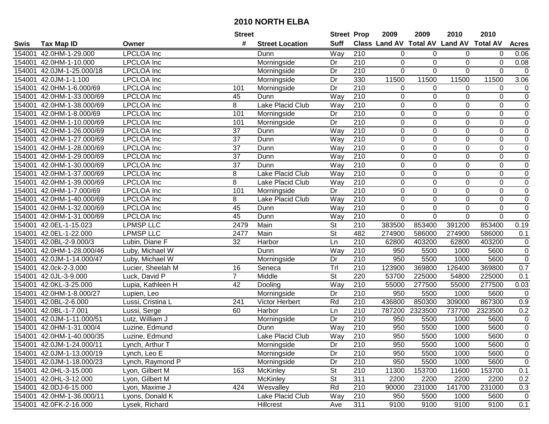|        |                           |                   | <b>Street</b>   |                        | <b>Street Prop</b>       |                  | 2009        | 2009        | 2010                           | 2010             |                |
|--------|---------------------------|-------------------|-----------------|------------------------|--------------------------|------------------|-------------|-------------|--------------------------------|------------------|----------------|
| Swis   | <b>Tax Map ID</b>         | Owner             | #               | <b>Street Location</b> | <b>Suff</b>              |                  |             |             | Class Land AV Total AV Land AV | <b>Total AV</b>  | <b>Acres</b>   |
| 154001 | 42.0HM-1-29.000           | <b>LPCLOA</b> Inc |                 | Dunn                   | Way                      | 210              | 0           | 0           | 0                              | 0                | 0.06           |
| 154001 | 42.0HM-1-10.000           | <b>LPCLOA</b> Inc |                 | Morningside            | Dr                       | 210              | $\mathbf 0$ | $\mathbf 0$ | 0                              | 0                | 0.08           |
| 154001 | 42.0JM-1-25.000/18        | <b>LPCLOA</b> Inc |                 | Morningside            | Dr                       | 210              | 0           | $\Omega$    | $\Omega$                       | $\Omega$         | $\mathbf 0$    |
| 154001 | 42.0JM-1-1.100            | <b>LPCLOA</b> Inc |                 | Morningside            | Dr                       | 330              | 11500       | 11500       | 11500                          | 11500            | 3.06           |
| 154001 | 42.0HM-1-6.000/69         | <b>LPCLOA</b> Inc | 101             | Morningside            | Dr                       | $\overline{210}$ | 0           | 0           | 0                              | 0                | 0              |
| 154001 | 42.0HM-1-33.000/69        | <b>LPCLOA</b> Inc | 45              | Dunn                   | Way                      | $\overline{210}$ | 0           | $\mathbf 0$ | 0                              | $\mathbf 0$      | $\overline{0}$ |
| 154001 | 42.0HM-1-38.000/69        | <b>LPCLOA</b> Inc | 8               | Lake Placid Club       | Way                      | 210              | 0           | 0           | 0                              | 0                | $\overline{0}$ |
| 154001 | 42.0HM-1-8.000/69         | <b>LPCLOA</b> Inc | 101             | Morningside            | Dr                       | 210              | $\mathbf 0$ | $\mathbf 0$ | $\mathbf 0$                    | $\mathbf 0$      | $\overline{0}$ |
| 154001 | 42.0HM-1-10.000/69        | <b>LPCLOA</b> Inc | 101             | Morningside            | Dr                       | $\overline{210}$ | 0           | 0           | $\mathbf 0$                    | $\mathbf 0$      | $\pmb{0}$      |
| 154001 | 42.0HM-1-26.000/69        | <b>LPCLOA</b> Inc | 37              | Dunn                   | Way                      | $\overline{210}$ | $\mathbf 0$ | $\mathbf 0$ | $\mathbf 0$                    | $\boldsymbol{0}$ | $\pmb{0}$      |
| 154001 | 42.0HM-1-27.000/69        | <b>LPCLOA</b> Inc | 37              | Dunn                   | Way                      | $\overline{210}$ | $\mathbf 0$ | $\mathbf 0$ | $\mathbf 0$                    | $\mathbf 0$      | $\pmb{0}$      |
| 154001 | 42.0HM-1-28.000/69        | <b>LPCLOA</b> Inc | 37              | Dunn                   | Way                      | 210              | $\mathbf 0$ | $\Omega$    | 0                              | 0                | 0              |
| 154001 | 42.0HM-1-29.000/69        | <b>LPCLOA</b> Inc | $\overline{37}$ | Dunn                   | Way                      | $\overline{210}$ | $\mathbf 0$ | $\mathbf 0$ | $\mathbf 0$                    | $\mathbf 0$      | $\overline{0}$ |
| 154001 | 42.0HM-1-30.000/69        | <b>LPCLOA</b> Inc | 37              | Dunn                   | Way                      | 210              | $\mathbf 0$ | 0           | $\boldsymbol{0}$               | $\mathbf 0$      | $\pmb{0}$      |
| 154001 | 42.0HM-1-37.000/69        | <b>LPCLOA Inc</b> | 8               | Lake Placid Club       | Way                      | 210              | $\mathbf 0$ | $\mathbf 0$ | $\mathbf 0$                    | $\mathbf 0$      | $\overline{0}$ |
| 154001 | 42.0HM-1-39.000/69        | <b>LPCLOA</b> Inc | 8               | Lake Placid Club       | Way                      | 210              | $\mathbf 0$ | 0           | 0                              | $\mathbf 0$      | $\pmb{0}$      |
| 154001 | 42.0HM-1-7.000/69         | <b>LPCLOA</b> Inc | 101             | Morningside            | Dr                       | $\overline{210}$ | $\mathbf 0$ | $\mathbf 0$ | $\mathbf 0$                    | $\mathbf 0$      | $\overline{0}$ |
| 154001 | 42.0HM-1-40.000/69        | <b>LPCLOA</b> Inc | 8               | Lake Placid Club       | Way                      | 210              | $\mathbf 0$ | $\mathbf 0$ | $\pmb{0}$                      | $\mathbf 0$      | $\overline{0}$ |
| 154001 | 42.0HM-1-32.000/69        | <b>LPCLOA</b> Inc | 45              | Dunn                   | Way                      | 210              | $\mathbf 0$ | $\mathbf 0$ | $\mathbf 0$                    | $\mathbf 0$      | $\overline{0}$ |
| 154001 | 42.0HM-1-31.000/69        | <b>LPCLOA</b> Inc | 45              | Dunn                   | Way                      | 210              | 0           | $\Omega$    | $\Omega$                       | $\mathbf 0$      | $\overline{0}$ |
| 154001 | 42.0EL-1-15.023           | <b>LPMSP LLC</b>  | 2479            | Main                   | <b>St</b>                | 210              | 383500      | 853400      | 391200                         | 853400           | 0.19           |
| 154001 | 42.0EL-1-22.000           | <b>LPMSP LLC</b>  | 2477            | Main                   | <b>St</b>                | 482              | 274900      | 586000      | 274900                         | 586000           | 0.1            |
| 154001 | 42.0BL-2-9.000/3          | Lubin, Diane F    | 32              | Harbor                 | Ln                       | 210              | 62800       | 403200      | 62800                          | 403200           | $\pmb{0}$      |
| 154001 | 42.0HM-1-28.000/46        | Luby, Michael W   |                 | Dunn                   | Way                      | 210              | 950         | 5500        | 1000                           | 5600             | $\pmb{0}$      |
| 154001 | 42.0JM-1-14.000/47        | Luby, Michael W   |                 | Morningside            | Dr                       | $\overline{210}$ | 950         | 5500        | 1000                           | 5600             | $\overline{0}$ |
| 154001 | 42.0ck-2-3.000            | Lucier, Sheelah M | 16              | Seneca                 | $\overline{T}$ rl        | 210              | 123900      | 369800      | 126400                         | 369800           | 0.7            |
| 154001 | 42.0JL-3-9.000            | Luck, David P     | $\overline{7}$  | Middle                 | $\overline{\mathsf{St}}$ | 220              | 53700       | 225000      | 54800                          | 225000           | 0.1            |
| 154001 | 42.0KL-3-25.000           | Lupia, Kathleen H | 42              | Dooling                | Way                      | 210              | 55000       | 277500      | 55000                          | 277500           | 0.03           |
| 154001 | 42.0HM-1-8.000/27         | Lupien, Leo       |                 | Morningside            | Dr                       | $\overline{210}$ | 950         | 5500        | 1000                           | 5600             | $\mathbf 0$    |
| 154001 | 42.0BL-2-6.000            | Lussi, Cristina L | 241             | Victor Herbert         | Rd                       | $\overline{210}$ | 436800      | 850300      | 309000                         | 867300           | 0.9            |
| 154001 | 42.0BL-1-7.001            | Lussi, Serge      | 60              | Harbor                 | Ln                       | 210              | 787200      | 2323500     | 737700                         | 2323500          | 0.2            |
| 154001 | 42.0JM-1-11.000/51        | Lutz, William J   |                 | Morningside            | Dr                       | $\overline{210}$ | 950         | 5500        | 1000                           | 5600             | 0              |
| 154001 | 42.0HM-1-31.000/4         | Luzine, Edmund    |                 | Dunn                   | Way                      | $\overline{210}$ | 950         | 5500        | 1000                           | 5600             | $\overline{0}$ |
|        | 154001 42.0HM-1-40.000/35 | Luzine, Edmund    |                 | Lake Placid Club       | Way                      | 210              | 950         | 5500        | 1000                           | 5600             | $\overline{0}$ |
|        | 154001 42.0JM-1-24.000/11 | Lynch, Arthur T   |                 | Morningside            | Dr                       | 210              | 950         | 5500        | 1000                           | 5600             | 0              |
|        | 154001 42.0JM-1-13.000/19 | Lynch, Leo E      |                 | Morningside            | Dr                       | 210              | 950         | 5500        | 1000                           | 5600             | 0              |
|        | 154001 42.0JM-1-18.000/23 | Lynch, Raymond P  |                 | Morningside            | Dr                       | 210              | 950         | 5500        | 1000                           | 5600             | 0              |
|        | 154001 42.0HL-3-15.000    | Lyon, Gilbert M   | 163             | McKinley               | <b>St</b>                | 210              | 11300       | 153700      | 11600                          | 153700           | 0.1            |
|        | 154001 42.0HL-3-12.000    | Lyon, Gilbert M   |                 | <b>McKinley</b>        | <b>St</b>                | 311              | 2200        | 2200        | 2200                           | 2200             | 0.2            |
|        | 154001 42.0DJ-6-15.000    | Lyon, Maxime J    | 424             | Wesvalley              | Rd                       | 210              | 90000       | 231000      | 141700                         | 231000           | 0.3            |
|        | 154001 42.0HM-1-36.000/11 | Lyons, Donald K   |                 | Lake Placid Club       | Way                      | 210              | 950         | 5500        | 1000                           | 5600             | 0              |
|        | 154001 42.0FK-2-16.000    | Lysek, Richard    |                 | Hillcrest              | Ave                      | 311              | 9100        | 9100        | 9100                           | 9100             | 0.1            |
|        |                           |                   |                 |                        |                          |                  |             |             |                                |                  |                |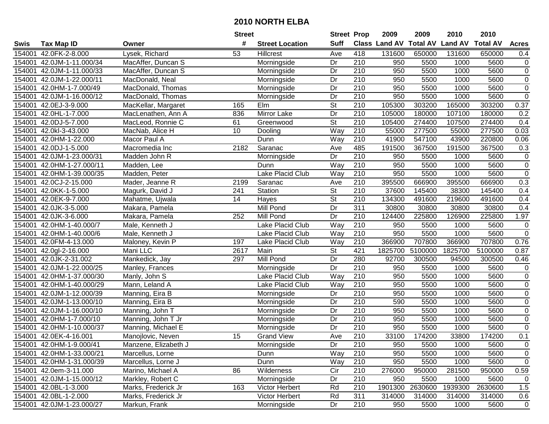|        |                           |                      | <b>Street</b> |                        | <b>Street Prop</b>       |                  | 2009          | 2009            | 2010           | 2010            |                |
|--------|---------------------------|----------------------|---------------|------------------------|--------------------------|------------------|---------------|-----------------|----------------|-----------------|----------------|
| Swis   | <b>Tax Map ID</b>         | Owner                | #             | <b>Street Location</b> | <b>Suff</b>              |                  | Class Land AV | <b>Total AV</b> | <b>Land AV</b> | <b>Total AV</b> | <b>Acres</b>   |
| 154001 | 42.0FK-2-8.000            | Lysek, Richard       | 53            | Hillcrest              | Ave                      | 418              | 131600        | 650000          | 131600         | 650000          | 0.4            |
| 154001 | 42.0JM-1-11.000/34        | MacAffer, Duncan S   |               | Morningside            | Dr                       | 210              | 950           | 5500            | 1000           | 5600            | $\pmb{0}$      |
| 154001 | 42.0JM-1-11.000/33        | MacAffer, Duncan S   |               | Morningside            | Dr                       | 210              | 950           | 5500            | 1000           | 5600            | $\mathbf 0$    |
| 154001 | 42.0JM-1-22.000/11        | MacDonald, Neal      |               | Morningside            | Dr                       | 210              | 950           | 5500            | 1000           | 5600            | $\overline{0}$ |
| 154001 | 42.0HM-1-7.000/49         | MacDonald, Thomas    |               | Morningside            | Dr                       | 210              | 950           | 5500            | 1000           | 5600            | $\overline{0}$ |
| 154001 | 42.0JM-1-16.000/12        | MacDonald, Thomas    |               | Morningside            | Dr                       | $\overline{210}$ | 950           | 5500            | 1000           | 5600            | $\overline{0}$ |
| 154001 | 42.0EJ-3-9.000            | MacKellar, Margaret  | 165           | Elm                    | <b>St</b>                | 210              | 105300        | 303200          | 165000         | 303200          | 0.37           |
| 154001 | 42.0HL-1-7.000            | MacLenathen, Ann A   | 836           | <b>Mirror Lake</b>     | $\overline{Dr}$          | 210              | 105000        | 180000          | 107100         | 180000          | 0.2            |
| 154001 | 42.0DJ-5-7.000            | MacLeod, Ronnie C    | 61            | Greenwood              | $\overline{\mathsf{St}}$ | $\overline{210}$ | 105400        | 274400          | 107500         | 274400          | 0.4            |
| 154001 | 42.0kl-3-43.000           | MacNab, Alice H      | 10            | Dooling                | Way                      | 210              | 55000         | 277500          | 55000          | 277500          | 0.03           |
| 154001 | 42.0HM-1-22.000           | Macor Paul A         |               | Dunn                   | Way                      | 210              | 41900         | 547100          | 43900          | 220800          | 0.06           |
| 154001 | 42.0DJ-1-5.000            | Macromedia Inc       | 2182          | Saranac                | Ave                      | 485              | 191500        | 367500          | 191500         | 367500          | 0.3            |
| 154001 | 42.0JM-1-23.000/31        | Madden John R        |               | Morningside            | Dr                       | 210              | 950           | 5500            | 1000           | 5600            | $\pmb{0}$      |
| 154001 | 42.0HM-1-27.000/11        | Madden, Lee          |               | Dunn                   | Way                      | 210              | 950           | 5500            | 1000           | 5600            | $\pmb{0}$      |
| 154001 | 42.0HM-1-39.000/35        | Madden, Peter        |               | Lake Placid Club       | Way                      | 210              | 950           | 5500            | 1000           | 5600            | $\overline{0}$ |
| 154001 | 42.0CJ-2-15.000           | Mader, Jeanne R      | 2199          | Saranac                | Ave                      | 210              | 395500        | 666900          | 395500         | 666900          | 0.3            |
| 154001 | 42.0KK-1-5.000            | Magurk, David J      | 241           | Station                | $\overline{\mathsf{St}}$ | $\overline{210}$ | 37600         | 145400          | 38300          | 145400          | 0.4            |
| 154001 | 42.0EK-9-7.000            | Mahatme, Ujwala      | 14            | Hayes                  | $\overline{\mathsf{St}}$ | 210              | 134300        | 491600          | 219600         | 491600          | 0.4            |
| 154001 | 42.0JK-3-5.000            | Makara, Pamela       |               | Mill Pond              | Dr                       | 311              | 30800         | 30800           | 30800          | 30800           | 0.4            |
| 154001 | 42.0JK-3-6.000            | Makara, Pamela       | 252           | Mill Pond              | Dr                       | 210              | 124400        | 225800          | 126900         | 225800          | 1.97           |
| 154001 | 42.0HM-1-40.000/7         | Male, Kenneth J      |               | Lake Placid Club       | Way                      | 210              | 950           | 5500            | 1000           | 5600            | $\pmb{0}$      |
| 154001 | 42.0HM-1-40.000/6         | Male, Kenneth J      |               | Lake Placid Club       | Way                      | 210              | 950           | 5500            | 1000           | 5600            | $\pmb{0}$      |
| 154001 | 42.0FM-4-13.000           | Maloney, Kevin P     | 197           | Lake Placid Club       | Way                      | 210              | 366900        | 707800          | 366900         | 707800          | 0.76           |
| 154001 | 42.0gl-2-16.000           | Mani LLC             | 2617          | Main                   | <b>St</b>                | 421              | 1825700       | 5100000         | 1825700        | 5100000         | 0.87           |
| 154001 | 42.0JK-2-31.002           | Mankedick, Jay       | 297           | Mill Pond              | Dr                       | 280              | 92700         | 300500          | 94500          | 300500          | 0.46           |
| 154001 | 42.0JM-1-22.000/25        | Manley, Frances      |               | Morningside            | Dr                       | 210              | 950           | 5500            | 1000           | 5600            | $\pmb{0}$      |
| 154001 | 42.0HM-1-37.000/30        | Manly, John S        |               | Lake Placid Club       | Way                      | 210              | 950           | 5500            | 1000           | 5600            | $\pmb{0}$      |
| 154001 | 42.0HM-1-40.000/29        | Mann, Leland A       |               | Lake Placid Club       | Way                      | 210              | 950           | 5500            | 1000           | 5600            | $\pmb{0}$      |
| 154001 | 42.0JM-1-12.000/39        | Manning, Eira B      |               | Morningside            | Dr                       | $\overline{210}$ | 950           | 5500            | 1000           | 5600            | $\overline{0}$ |
| 154001 | 42.0JM-1-13.000/10        | Manning, Eira B      |               | Morningside            | Dr                       | $\overline{210}$ | 590           | 5500            | 1000           | 5600            | $\overline{0}$ |
| 154001 | 42.0JM-1-16.000/10        | Manning, John T      |               | Morningside            | $\overline{Dr}$          | 210              | 950           | 5500            | 1000           | 5600            | $\overline{0}$ |
| 154001 | 42.0HM-1-7.000/10         | Manning, John T Jr   |               | Morningside            | Dr                       | $\overline{210}$ | 950           | 5500            | 1000           | 5600            | $\overline{0}$ |
| 154001 | 42.0HM-1-10.000/37        | Manning, Michael E   |               | Morningside            | $\overline{Dr}$          | 210              | 950           | 5500            | 1000           | 5600            | $\overline{0}$ |
|        | 154001 42.0EK-4-16.001    | Manojlovic, Neven    | 15            | Grand View             | Ave                      | $\overline{210}$ | 33100         | 174200          | 33800          | 174200          | 0.1            |
|        | 154001 42.0HM-1-9.000/41  | Manzene, Elizabeth J |               | Morningside            | Dr                       | 210              | 950           | 5500            | 1000           | 5600            | 0              |
|        | 154001 42.0HM-1-33.000/21 | Marcellus, Lorne     |               | Dunn                   | Way                      | 210              | 950           | 5500            | 1000           | 5600            | 0              |
|        | 154001 42.0HM-1-31.000/39 | Marcellus, Lorne J   |               | Dunn                   | Way                      | 210              | 950           | 5500            | 1000           | 5600            | 0              |
|        | 154001 42.0em-3-11.000    | Marino, Michael A    | 86            | Wilderness             | Cir                      | 210              | 276000        | 950000          | 281500         | 950000          | 0.59           |
|        | 154001 42.0JM-1-15.000/12 | Markley, Robert C    |               | Morningside            | Dr                       | 210              | 950           | 5500            | 1000           | 5600            | 0              |
|        | 154001 42.0BL-1-3.000     | Marks, Frederick Jr  | 163           | Victor Herbert         | Rd                       | 210              | 1901300       | 2630600         | 1939300        | 2630600         | 1.5            |
|        | 154001 42.0BL-1-2.000     | Marks, Frederick Jr  |               | Victor Herbert         | Rd                       | 311              | 314000        | 314000          | 314000         | 314000          | 0.6            |
|        | 154001 42.0JM-1-23.000/27 | Markun, Frank        |               | Morningside            | Dr                       | 210              | 950           | 5500            | 1000           | 5600            | $\mathbf 0$    |
|        |                           |                      |               |                        |                          |                  |               |                 |                |                 |                |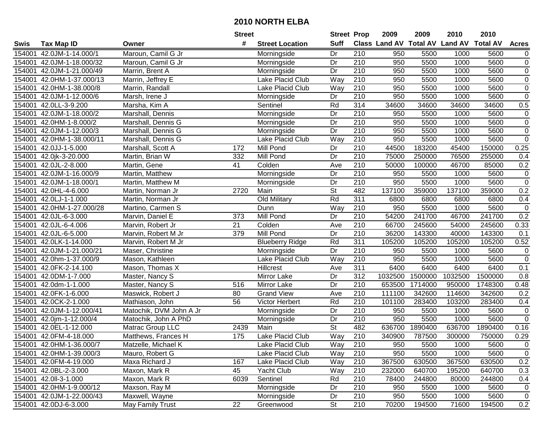|        |                           |                         | <b>Street</b>   |                        | <b>Street Prop</b>       |                  | 2009                          | 2009    | 2010           | 2010            |                  |
|--------|---------------------------|-------------------------|-----------------|------------------------|--------------------------|------------------|-------------------------------|---------|----------------|-----------------|------------------|
| Swis   | <b>Tax Map ID</b>         | Owner                   | #               | <b>Street Location</b> | <b>Suff</b>              |                  | <b>Class Land AV Total AV</b> |         | <b>Land AV</b> | <b>Total AV</b> | <b>Acres</b>     |
| 154001 | 42.0JM-1-14.000/1         | Maroun, Camil G Jr      |                 | Morningside            | Dr                       | 210              | 950                           | 5500    | 1000           | 5600            | 0                |
| 154001 | 42.0JM-1-18.000/32        | Maroun, Camil G Jr      |                 | Morningside            | Dr                       | 210              | 950                           | 5500    | 1000           | 5600            | $\pmb{0}$        |
| 154001 | 42.0JM-1-21.000/49        | Marrin, Brent A         |                 | Morningside            | Dr                       | 210              | 950                           | 5500    | 1000           | 5600            | $\boldsymbol{0}$ |
| 154001 | 42.0HM-1-37.000/13        | Marrin, Jeffrey E       |                 | Lake Placid Club       | Way                      | 210              | 950                           | 5500    | 1000           | 5600            | $\overline{0}$   |
| 154001 | 42.0HM-1-38.000/8         | Marrin, Randall         |                 | Lake Placid Club       | <b>Way</b>               | $\overline{210}$ | 950                           | 5500    | 1000           | 5600            | $\overline{0}$   |
| 154001 | 42.0JM-1-12.000/6         | Marsh, Irene J          |                 | Morningside            | Dr                       | $\overline{210}$ | 950                           | 5500    | 1000           | 5600            | $\overline{0}$   |
| 154001 | 42.0LL-3-9.200            | Marsha, Kim A           |                 | Sentinel               | Rd                       | 314              | 34600                         | 34600   | 34600          | 34600           | 0.5              |
| 154001 | 42.0JM-1-18.000/2         | Marshall, Dennis        |                 | Morningside            | $\overline{Dr}$          | 210              | 950                           | 5500    | 1000           | 5600            | 0                |
| 154001 | 42.0HM-1-8.000/2          | Marshall, Dennis G      |                 | Morningside            | Dr                       | $\overline{210}$ | 950                           | 5500    | 1000           | 5600            | $\,0\,$          |
| 154001 | 42.0JM-1-12.000/3         | Marshall, Dennis G      |                 | Morningside            | Dr                       | 210              | 950                           | 5500    | 1000           | 5600            | $\pmb{0}$        |
| 154001 | 42.0HM-1-38.000/11        | Marshall, Dennis G      |                 | Lake Placid Club       | Way                      | 210              | 950                           | 5500    | 1000           | 5600            | $\pmb{0}$        |
| 154001 | 42.0JJ-1-5.000            | Marshall, Scott A       | 172             | Mill Pond              | Dr                       | 210              | 44500                         | 183200  | 45400          | 150000          | 0.25             |
| 154001 | 42.0jk-3-20.000           | Martin, Brian W         | 332             | Mill Pond              | Dr                       | 210              | 75000                         | 250000  | 76500          | 255000          | 0.4              |
| 154001 | 42.0JL-2-8.000            | Martin, Gene            | 41              | Colden                 | Ave                      | 210              | 50000                         | 100000  | 46700          | 85000           | 0.2              |
| 154001 | 42.0JM-1-16.000/9         | Martin, Matthew         |                 | Morningside            | Dr                       | 210              | 950                           | 5500    | 1000           | 5600            | $\mathbf 0$      |
| 154001 | 42.0JM-1-18.000/1         | Martin, Matthew M       |                 | Morningside            | Dr                       | 210              | 950                           | 5500    | 1000           | 5600            | $\mathbf 0$      |
| 154001 | 42.0HL-4-6.000            | Martin, Norman Jr       | 2720            | Main                   | $\overline{St}$          | 482              | 137100                        | 359000  | 137100         | 359000          | 0.2              |
| 154001 | 42.0LJ-1-1.000            | Martin, Norman Jr       |                 | Old Military           | Rd                       | $\overline{311}$ | 6800                          | 6800    | 6800           | 6800            | 0.4              |
| 154001 | 42.0HM-1-27.000/28        | Martino, Carmen S       |                 | Dunn                   | Way                      | 210              | 950                           | 5500    | 1000           | 5600            | $\pmb{0}$        |
| 154001 | 42.0JL-6-3.000            | Marvin, Daniel E        | 373             | Mill Pond              | Dr                       | 210              | 54200                         | 241700  | 46700          | 241700          | 0.2              |
| 154001 | 42.0JL-6-4.006            | Marvin, Robert Jr       | 21              | Colden                 | Ave                      | 210              | 66700                         | 245600  | 54000          | 245600          | 0.33             |
| 154001 | 42.0JL-6-5.000            | Marvin, Robert M Jr     | 379             | Mill Pond              | Dr                       | 210              | 36200                         | 143300  | 40000          | 143300          | 0.1              |
| 154001 | 42.0LK-1-14.000           | Marvin, Robert M Jr     |                 | <b>Blueberry Ridge</b> | Rd                       | 311              | 105200                        | 105200  | 105200         | 105200          | 0.52             |
| 154001 | 42.0JM-1-21.000/21        | Maser, Christine        |                 | Morningside            | Dr                       | 210              | 950                           | 5500    | 1000           | 5600            | $\mathbf 0$      |
| 154001 | 42.0hm-1-37.000/9         | Mason, Kathleen         |                 | Lake Placid Club       | Way                      | 210              | 950                           | 5500    | 1000           | 5600            | $\mathbf 0$      |
| 154001 | 42.0FK-2-14.100           | Mason, Thomas X         |                 | Hillcrest              | Ave                      | 311              | 6400                          | 6400    | 6400           | 6400            | 0.1              |
| 154001 | 42.0DM-1-7.000            | Master, Nancy S         |                 | Mirror Lake            | Dr                       | 312              | 1032500                       | 1500000 | 1032500        | 1500000         | 0.8              |
| 154001 | 42.0dm-1-1.000            | Master, Nancy S         | 516             | Mirror Lake            | Dr                       | 210              | 653500                        | 1714000 | 950000         | 1748300         | 0.48             |
| 154001 | 42.0FK-1-6.000            | Maswick, Robert J       | 80              | <b>Grand View</b>      | Ave                      | 210              | 111100                        | 342600  | 114600         | 342600          | 0.2              |
| 154001 | 42.0CK-2-1.000            | Mathiason, John         | $\overline{56}$ | Victor Herbert         | Rd                       | 210              | 101100                        | 283400  | 103200         | 283400          | 0.4              |
| 154001 | 42.0JM-1-12.000/41        | Matochik, DVM John A Jr |                 | Morningside            | Dr                       | 210              | 950                           | 5500    | 1000           | 5600            | $\mathbf 0$      |
| 154001 | 42.0jm-1-12.000/4         | Matochik, John A PhD    |                 | Morningside            | Dr                       | 210              | 950                           | 5500    | 1000           | 5600            | $\overline{0}$   |
| 154001 | 42.0EL-1-12.000           | Matrac Group LLC        | 2439            | Main                   | $\overline{\mathsf{St}}$ | 482              | 636700                        | 1890400 | 636700         | 1890400         | 0.16             |
|        | 154001 42.0FM-4-18.000    | Matthews, Frances H     | 175             | Lake Placid Club       | Way                      | 210              | 340900                        | 787500  | 300000         | 750000          | 0.29             |
|        | 154001 42.0HM-1-36.000/7  | Matzelle, Michael K     |                 | Lake Placid Club       | Way                      | 210              | 950                           | 5500    | 1000           | 5600            | 0                |
|        | 154001 42.0HM-1-39.000/3  | Mauro, Robert G         |                 | Lake Placid Club       | Way                      | 210              | 950                           | 5500    | 1000           | 5600            | $\pmb{0}$        |
|        | 154001 42.0FM-4-19.000    | Maxa Richard J          | 167             | Lake Placid Club       | Way                      | 210              | 367500                        | 630500  | 367500         | 630500          | 0.2              |
|        | 154001 42.0BL-2-3.000     | Maxon, Mark R           | 45              | Yacht Club             | Way                      | 210              | 232000                        | 640700  | 195200         | 640700          | 0.3              |
|        | 154001 42.0II-3-1.000     | Maxon, Mark R           | 6039            | Sentinel               | Rd                       | 210              | 78400                         | 244800  | 80000          | 244800          | 0.4              |
|        | 154001 42.0HM-1-9.000/12  | Maxson, Ray M           |                 | Morningside            | Dr                       | 210              | 950                           | 5500    | 1000           | 5600            | 0                |
|        | 154001 42.0JM-1-22.000/43 | Maxwell, Wayne          |                 | Morningside            | Dr                       | 210              | 950                           | 5500    | 1000           | 5600            | 0                |
|        | 154001 42.0DJ-6-3.000     | May Family Trust        | 22              | Greenwood              | <b>St</b>                | 210              | 70200                         | 194500  | 71600          | 194500          | 0.2              |
|        |                           |                         |                 |                        |                          |                  |                               |         |                |                 |                  |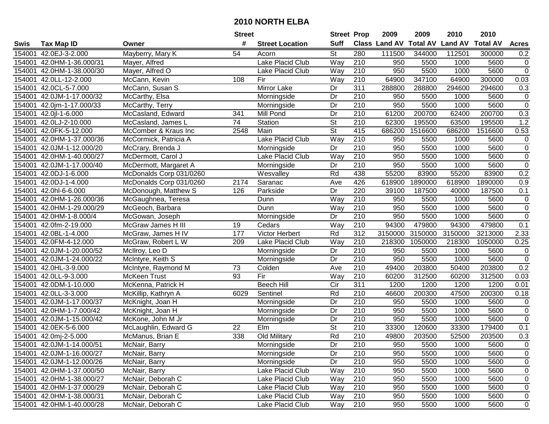| #<br><b>Suff</b><br><b>Class Land AV Total AV</b><br><b>Land AV</b><br><b>Total AV</b><br><b>Acres</b><br><b>Tax Map ID</b><br><b>Street Location</b><br>Swis<br>Owner<br>St<br>280<br>42.0EJ-3-2.000<br>Mayberry, Mary K<br>54<br>111500<br>344000<br>112501<br>300000<br>0.2<br>154001<br>Acorn<br>Lake Placid Club<br>Way<br>210<br>42.0HM-1-36.000/31<br>950<br>5500<br>1000<br>5600<br>0<br>154001<br>Mayer, Alfred<br>$\overline{0}$<br>42.0HM-1-38.000/30<br>Way<br>210<br>950<br>5500<br>1000<br>5600<br>154001<br>Mayer, Alfred O<br>Lake Placid Club<br>Way<br>210<br>64900<br>347100<br>300000<br>0.03<br>154001<br>42.0LL-12-2.000<br>McCann, Kevin<br>108<br>Fir<br>64900<br>42.0CL-5-7.000<br>McCann, Susan S<br>Mirror Lake<br>311<br>288800<br>288800<br>294600<br>294600<br>0.3<br>154001<br>Dr<br>$\overline{210}$<br>$\pmb{0}$<br>42.0JM-1-17.000/32<br>Dr<br>950<br>5500<br>5600<br>154001<br>McCarthy, Elsa<br>Morningside<br>1000<br>$\overline{0}$<br>210<br>5500<br>5600<br>154001<br>42.0jm-1-17.000/33<br>McCarthy, Terry<br>Morningside<br>Dr<br>950<br>1000<br>0.3<br>$\overline{Dr}$<br>$\overline{210}$<br>61200<br>200700<br>62400<br>200700<br>154001<br>42.0 -1-6.000<br>341<br>Mill Pond<br>McCasland, Edward<br>74<br>$\overline{\mathsf{St}}$<br>$\overline{210}$<br>62300<br>1.2<br>154001<br>42.0LJ-2-10.000<br>Station<br>195500<br>63500<br>195500<br>McCasland, James L<br>$\overline{\mathsf{St}}$<br>415<br>1516600<br>686200<br>0.53<br>2548<br>Main<br>686200<br>1516600<br>154001<br>42.0FK-5-12.000<br>McComber & Kraus Inc<br>Lake Placid Club<br>210<br>154001<br>Way<br>950<br>5500<br>1000<br>5600<br>0<br>42.0HM-1-37.000/36<br>McCormick, Patricia A<br>210<br>$\pmb{0}$<br>Dr<br>950<br>5500<br>1000<br>5600<br>154001<br>42.0JM-1-12.000/20<br>McCrary, Brenda J<br>Morningside<br>$\overline{0}$<br>Lake Placid Club<br>210<br>950<br>5500<br>1000<br>5600<br>42.0HM-1-40.000/27<br>McDermott, Carol J<br>Way<br>154001<br>$\pmb{0}$<br>210<br>42.0JM-1-17.000/40<br>Dr<br>950<br>5500<br>1000<br>5600<br>154001<br>McDermott, Margaret A<br>Morningside<br>Rd<br>438<br>55200<br>83900<br>55200<br>83900<br>0.2<br>42.0DJ-1-6.000<br>154001<br>McDonalds Corp 031/0260<br>Wesvalley<br>426<br>42.0DJ-1-4.000<br>618900<br>1890000<br>618900<br>1890000<br>0.9<br>154001<br>McDonalds Corp 031/0260<br>2174<br>Saranac<br>Ave<br>Dr<br>220<br>0.1<br>42.0hl-6-6.000<br>126<br>39100<br>187500<br>40000<br>187500<br>154001<br>McDonough, Matthew S<br>Parkside<br>Way<br>210<br>950<br>5500<br>1000<br>5600<br>$\pmb{0}$<br>154001<br>42.0HM-1-26.000/36<br>McGaughnea, Teresa<br>Dunn<br>$\overline{0}$<br>5500<br>154001<br>42.0HM-1-29.000/29<br>Dunn<br>Way<br>210<br>950<br>1000<br>5600<br>McGeoch, Barbara<br>$\pmb{0}$<br>42.0HM-1-8.000/4<br>Dr<br>210<br>950<br>5500<br>1000<br>5600<br>154001<br>McGowan, Joseph<br>Morningside<br>0.1<br>Way<br>210<br>94300<br>479800<br>94300<br>479800<br>154001<br>42.0fm-2-19.000<br>McGraw James H III<br>19<br>Cedars<br>177<br>Rd<br>312<br>42.0BL-1-4.000<br>3150000<br>3150000<br>3150000<br>3213000<br>2.33<br>154001<br>McGraw, James H IV<br>Victor Herbert<br>Way<br>210<br>0.25<br>42.0FM-4-12.000<br>209<br>Lake Placid Club<br>218300<br>1050000<br>218300<br>1050000<br>154001<br>McGraw, Robert L W<br>42.0JM-1-20.000/52<br>Dr<br>210<br>950<br>5500<br>5600<br>$\pmb{0}$<br>154001<br>McIlroy, Leo D<br>1000<br>Morningside<br>$\overline{0}$<br>$\overline{210}$<br>Dr<br>950<br>5500<br>5600<br>154001<br>42.0JM-1-24.000/22<br>McIntyre, Keith S<br>1000<br>Morningside<br>$\overline{210}$<br>0.2<br>73<br>203800<br>203800<br>42.0HL-3-9.000<br>McIntyre, Raymond M<br>Colden<br>Ave<br>49400<br>50400<br>154001<br>Fir<br>210<br>312500<br>154001<br>42.0LL-9-3.000<br>McKeen Trust<br>93<br>Way<br>60200<br>60200<br>312500<br>0.03<br>311<br>1200<br><b>Beech Hill</b><br>Cir<br>1200<br>1200<br>1200<br>0.01<br>154001<br>42.0DM-1-10.000<br>McKenna, Patrick H<br>$\overline{210}$<br>Rd<br>46600<br>200300<br>47500<br>200300<br>0.18<br>154001<br>42.0LL-3-3.000<br>6029<br>Sentinel<br>McKillip, Kathryn A<br>$\overline{210}$<br>Dr<br>950<br>5500<br>1000<br>5600<br>0<br>154001<br>42.0JM-1-17.000/37<br>McKnight, Joan H<br>Morningside<br>$\overline{0}$<br>210<br>$\overline{Dr}$<br>5500<br>1000<br>5600<br>42.0HM-1-7.000/42<br>McKnight, Joan H<br>950<br>154001<br>Morningside<br>$\overline{0}$<br>Dr<br>210<br>950<br>5500<br>5600<br>154001<br>42.0JM-1-15.000/42<br>McKone, John M Jr<br>1000<br>Morningside<br>$\overline{\mathsf{St}}$<br>210<br>$\overline{22}$<br>33300<br>120600<br>179400<br>42.0EK-5-6.000<br>Elm<br>33300<br>0.1<br>154001<br>McLaughlin, Edward G<br>Rd<br>338<br>$\overline{210}$<br>0.3<br>McManus, Brian E<br>Old Military<br>203500<br>52500<br>203500<br>154001 42.0mj-2-5.000<br>49800<br>154001 42.0JM-1-14.000/51<br>McNair, Barry<br>Morningside<br>Dr<br>210<br>950<br>5500<br>1000<br>5600<br>0<br>210<br>0<br>154001 42.0JM-1-16.000/27<br>McNair, Barry<br>Morningside<br>Dr<br>950<br>5500<br>1000<br>5600<br>210<br>154001 42.0JM-1-12.000/26<br>McNair, Barry<br>Morningside<br>Dr<br>950<br>5500<br>1000<br>5600<br>0<br>210<br>154001 42.0HM-1-37.000/50<br>McNair, Barry<br>Lake Placid Club<br>Way<br>5500<br>0<br>950<br>1000<br>5600<br>McNair, Deborah C<br>Lake Placid Club<br>Way<br>210<br>154001 42.0HM-1-38.000/27<br>950<br>5500<br>1000<br>0<br>5600<br>154001 42.0HM-1-37.000/29<br>McNair, Deborah C<br>Way<br>210<br>Lake Placid Club<br>950<br>5500<br>1000<br>5600<br>0<br>154001 42.0HM-1-38.000/31<br>McNair, Deborah C<br>Lake Placid Club<br>Way<br>210<br>950<br>5500<br>1000<br>5600<br>0<br>154001 42.0HM-1-40.000/28<br>McNair, Deborah C<br>Lake Placid Club<br>210<br>950<br>5500<br>5600<br>$\mathbf 0$<br>1000 |  | <b>Street</b> | <b>Street Prop</b> | 2009 | 2009 | 2010 | 2010 |  |
|--------------------------------------------------------------------------------------------------------------------------------------------------------------------------------------------------------------------------------------------------------------------------------------------------------------------------------------------------------------------------------------------------------------------------------------------------------------------------------------------------------------------------------------------------------------------------------------------------------------------------------------------------------------------------------------------------------------------------------------------------------------------------------------------------------------------------------------------------------------------------------------------------------------------------------------------------------------------------------------------------------------------------------------------------------------------------------------------------------------------------------------------------------------------------------------------------------------------------------------------------------------------------------------------------------------------------------------------------------------------------------------------------------------------------------------------------------------------------------------------------------------------------------------------------------------------------------------------------------------------------------------------------------------------------------------------------------------------------------------------------------------------------------------------------------------------------------------------------------------------------------------------------------------------------------------------------------------------------------------------------------------------------------------------------------------------------------------------------------------------------------------------------------------------------------------------------------------------------------------------------------------------------------------------------------------------------------------------------------------------------------------------------------------------------------------------------------------------------------------------------------------------------------------------------------------------------------------------------------------------------------------------------------------------------------------------------------------------------------------------------------------------------------------------------------------------------------------------------------------------------------------------------------------------------------------------------------------------------------------------------------------------------------------------------------------------------------------------------------------------------------------------------------------------------------------------------------------------------------------------------------------------------------------------------------------------------------------------------------------------------------------------------------------------------------------------------------------------------------------------------------------------------------------------------------------------------------------------------------------------------------------------------------------------------------------------------------------------------------------------------------------------------------------------------------------------------------------------------------------------------------------------------------------------------------------------------------------------------------------------------------------------------------------------------------------------------------------------------------------------------------------------------------------------------------------------------------------------------------------------------------------------------------------------------------------------------------------------------------------------------------------------------------------------------------------------------------------------------------------------------------------------------------------------------------------------------------------------------------------------------------------------------------------------------------------------------------------------------------------------------------------------------------------------------------------------------------------------------------------------------------------------------------------------------------------------------------------------------------------------------------------------------------------------------------------------------------------------------------------------------------------------------------------------------------------------------------------------------------------------------------------------------------------------------------------------------------------------------------------------------------------------------------------------------------------------------------------------------------------------------------------------------------------------------------------------------------------------------------------------------------------------------------------------------------------------------------------------------------------------------------------------------------------------------------------------------------------------|--|---------------|--------------------|------|------|------|------|--|
|                                                                                                                                                                                                                                                                                                                                                                                                                                                                                                                                                                                                                                                                                                                                                                                                                                                                                                                                                                                                                                                                                                                                                                                                                                                                                                                                                                                                                                                                                                                                                                                                                                                                                                                                                                                                                                                                                                                                                                                                                                                                                                                                                                                                                                                                                                                                                                                                                                                                                                                                                                                                                                                                                                                                                                                                                                                                                                                                                                                                                                                                                                                                                                                                                                                                                                                                                                                                                                                                                                                                                                                                                                                                                                                                                                                                                                                                                                                                                                                                                                                                                                                                                                                                                                                                                                                                                                                                                                                                                                                                                                                                                                                                                                                                                                                                                                                                                                                                                                                                                                                                                                                                                                                                                                                                                                                                                                                                                                                                                                                                                                                                                                                                                                                                                                                                                                            |  |               |                    |      |      |      |      |  |
|                                                                                                                                                                                                                                                                                                                                                                                                                                                                                                                                                                                                                                                                                                                                                                                                                                                                                                                                                                                                                                                                                                                                                                                                                                                                                                                                                                                                                                                                                                                                                                                                                                                                                                                                                                                                                                                                                                                                                                                                                                                                                                                                                                                                                                                                                                                                                                                                                                                                                                                                                                                                                                                                                                                                                                                                                                                                                                                                                                                                                                                                                                                                                                                                                                                                                                                                                                                                                                                                                                                                                                                                                                                                                                                                                                                                                                                                                                                                                                                                                                                                                                                                                                                                                                                                                                                                                                                                                                                                                                                                                                                                                                                                                                                                                                                                                                                                                                                                                                                                                                                                                                                                                                                                                                                                                                                                                                                                                                                                                                                                                                                                                                                                                                                                                                                                                                            |  |               |                    |      |      |      |      |  |
|                                                                                                                                                                                                                                                                                                                                                                                                                                                                                                                                                                                                                                                                                                                                                                                                                                                                                                                                                                                                                                                                                                                                                                                                                                                                                                                                                                                                                                                                                                                                                                                                                                                                                                                                                                                                                                                                                                                                                                                                                                                                                                                                                                                                                                                                                                                                                                                                                                                                                                                                                                                                                                                                                                                                                                                                                                                                                                                                                                                                                                                                                                                                                                                                                                                                                                                                                                                                                                                                                                                                                                                                                                                                                                                                                                                                                                                                                                                                                                                                                                                                                                                                                                                                                                                                                                                                                                                                                                                                                                                                                                                                                                                                                                                                                                                                                                                                                                                                                                                                                                                                                                                                                                                                                                                                                                                                                                                                                                                                                                                                                                                                                                                                                                                                                                                                                                            |  |               |                    |      |      |      |      |  |
|                                                                                                                                                                                                                                                                                                                                                                                                                                                                                                                                                                                                                                                                                                                                                                                                                                                                                                                                                                                                                                                                                                                                                                                                                                                                                                                                                                                                                                                                                                                                                                                                                                                                                                                                                                                                                                                                                                                                                                                                                                                                                                                                                                                                                                                                                                                                                                                                                                                                                                                                                                                                                                                                                                                                                                                                                                                                                                                                                                                                                                                                                                                                                                                                                                                                                                                                                                                                                                                                                                                                                                                                                                                                                                                                                                                                                                                                                                                                                                                                                                                                                                                                                                                                                                                                                                                                                                                                                                                                                                                                                                                                                                                                                                                                                                                                                                                                                                                                                                                                                                                                                                                                                                                                                                                                                                                                                                                                                                                                                                                                                                                                                                                                                                                                                                                                                                            |  |               |                    |      |      |      |      |  |
|                                                                                                                                                                                                                                                                                                                                                                                                                                                                                                                                                                                                                                                                                                                                                                                                                                                                                                                                                                                                                                                                                                                                                                                                                                                                                                                                                                                                                                                                                                                                                                                                                                                                                                                                                                                                                                                                                                                                                                                                                                                                                                                                                                                                                                                                                                                                                                                                                                                                                                                                                                                                                                                                                                                                                                                                                                                                                                                                                                                                                                                                                                                                                                                                                                                                                                                                                                                                                                                                                                                                                                                                                                                                                                                                                                                                                                                                                                                                                                                                                                                                                                                                                                                                                                                                                                                                                                                                                                                                                                                                                                                                                                                                                                                                                                                                                                                                                                                                                                                                                                                                                                                                                                                                                                                                                                                                                                                                                                                                                                                                                                                                                                                                                                                                                                                                                                            |  |               |                    |      |      |      |      |  |
|                                                                                                                                                                                                                                                                                                                                                                                                                                                                                                                                                                                                                                                                                                                                                                                                                                                                                                                                                                                                                                                                                                                                                                                                                                                                                                                                                                                                                                                                                                                                                                                                                                                                                                                                                                                                                                                                                                                                                                                                                                                                                                                                                                                                                                                                                                                                                                                                                                                                                                                                                                                                                                                                                                                                                                                                                                                                                                                                                                                                                                                                                                                                                                                                                                                                                                                                                                                                                                                                                                                                                                                                                                                                                                                                                                                                                                                                                                                                                                                                                                                                                                                                                                                                                                                                                                                                                                                                                                                                                                                                                                                                                                                                                                                                                                                                                                                                                                                                                                                                                                                                                                                                                                                                                                                                                                                                                                                                                                                                                                                                                                                                                                                                                                                                                                                                                                            |  |               |                    |      |      |      |      |  |
|                                                                                                                                                                                                                                                                                                                                                                                                                                                                                                                                                                                                                                                                                                                                                                                                                                                                                                                                                                                                                                                                                                                                                                                                                                                                                                                                                                                                                                                                                                                                                                                                                                                                                                                                                                                                                                                                                                                                                                                                                                                                                                                                                                                                                                                                                                                                                                                                                                                                                                                                                                                                                                                                                                                                                                                                                                                                                                                                                                                                                                                                                                                                                                                                                                                                                                                                                                                                                                                                                                                                                                                                                                                                                                                                                                                                                                                                                                                                                                                                                                                                                                                                                                                                                                                                                                                                                                                                                                                                                                                                                                                                                                                                                                                                                                                                                                                                                                                                                                                                                                                                                                                                                                                                                                                                                                                                                                                                                                                                                                                                                                                                                                                                                                                                                                                                                                            |  |               |                    |      |      |      |      |  |
|                                                                                                                                                                                                                                                                                                                                                                                                                                                                                                                                                                                                                                                                                                                                                                                                                                                                                                                                                                                                                                                                                                                                                                                                                                                                                                                                                                                                                                                                                                                                                                                                                                                                                                                                                                                                                                                                                                                                                                                                                                                                                                                                                                                                                                                                                                                                                                                                                                                                                                                                                                                                                                                                                                                                                                                                                                                                                                                                                                                                                                                                                                                                                                                                                                                                                                                                                                                                                                                                                                                                                                                                                                                                                                                                                                                                                                                                                                                                                                                                                                                                                                                                                                                                                                                                                                                                                                                                                                                                                                                                                                                                                                                                                                                                                                                                                                                                                                                                                                                                                                                                                                                                                                                                                                                                                                                                                                                                                                                                                                                                                                                                                                                                                                                                                                                                                                            |  |               |                    |      |      |      |      |  |
|                                                                                                                                                                                                                                                                                                                                                                                                                                                                                                                                                                                                                                                                                                                                                                                                                                                                                                                                                                                                                                                                                                                                                                                                                                                                                                                                                                                                                                                                                                                                                                                                                                                                                                                                                                                                                                                                                                                                                                                                                                                                                                                                                                                                                                                                                                                                                                                                                                                                                                                                                                                                                                                                                                                                                                                                                                                                                                                                                                                                                                                                                                                                                                                                                                                                                                                                                                                                                                                                                                                                                                                                                                                                                                                                                                                                                                                                                                                                                                                                                                                                                                                                                                                                                                                                                                                                                                                                                                                                                                                                                                                                                                                                                                                                                                                                                                                                                                                                                                                                                                                                                                                                                                                                                                                                                                                                                                                                                                                                                                                                                                                                                                                                                                                                                                                                                                            |  |               |                    |      |      |      |      |  |
|                                                                                                                                                                                                                                                                                                                                                                                                                                                                                                                                                                                                                                                                                                                                                                                                                                                                                                                                                                                                                                                                                                                                                                                                                                                                                                                                                                                                                                                                                                                                                                                                                                                                                                                                                                                                                                                                                                                                                                                                                                                                                                                                                                                                                                                                                                                                                                                                                                                                                                                                                                                                                                                                                                                                                                                                                                                                                                                                                                                                                                                                                                                                                                                                                                                                                                                                                                                                                                                                                                                                                                                                                                                                                                                                                                                                                                                                                                                                                                                                                                                                                                                                                                                                                                                                                                                                                                                                                                                                                                                                                                                                                                                                                                                                                                                                                                                                                                                                                                                                                                                                                                                                                                                                                                                                                                                                                                                                                                                                                                                                                                                                                                                                                                                                                                                                                                            |  |               |                    |      |      |      |      |  |
|                                                                                                                                                                                                                                                                                                                                                                                                                                                                                                                                                                                                                                                                                                                                                                                                                                                                                                                                                                                                                                                                                                                                                                                                                                                                                                                                                                                                                                                                                                                                                                                                                                                                                                                                                                                                                                                                                                                                                                                                                                                                                                                                                                                                                                                                                                                                                                                                                                                                                                                                                                                                                                                                                                                                                                                                                                                                                                                                                                                                                                                                                                                                                                                                                                                                                                                                                                                                                                                                                                                                                                                                                                                                                                                                                                                                                                                                                                                                                                                                                                                                                                                                                                                                                                                                                                                                                                                                                                                                                                                                                                                                                                                                                                                                                                                                                                                                                                                                                                                                                                                                                                                                                                                                                                                                                                                                                                                                                                                                                                                                                                                                                                                                                                                                                                                                                                            |  |               |                    |      |      |      |      |  |
|                                                                                                                                                                                                                                                                                                                                                                                                                                                                                                                                                                                                                                                                                                                                                                                                                                                                                                                                                                                                                                                                                                                                                                                                                                                                                                                                                                                                                                                                                                                                                                                                                                                                                                                                                                                                                                                                                                                                                                                                                                                                                                                                                                                                                                                                                                                                                                                                                                                                                                                                                                                                                                                                                                                                                                                                                                                                                                                                                                                                                                                                                                                                                                                                                                                                                                                                                                                                                                                                                                                                                                                                                                                                                                                                                                                                                                                                                                                                                                                                                                                                                                                                                                                                                                                                                                                                                                                                                                                                                                                                                                                                                                                                                                                                                                                                                                                                                                                                                                                                                                                                                                                                                                                                                                                                                                                                                                                                                                                                                                                                                                                                                                                                                                                                                                                                                                            |  |               |                    |      |      |      |      |  |
|                                                                                                                                                                                                                                                                                                                                                                                                                                                                                                                                                                                                                                                                                                                                                                                                                                                                                                                                                                                                                                                                                                                                                                                                                                                                                                                                                                                                                                                                                                                                                                                                                                                                                                                                                                                                                                                                                                                                                                                                                                                                                                                                                                                                                                                                                                                                                                                                                                                                                                                                                                                                                                                                                                                                                                                                                                                                                                                                                                                                                                                                                                                                                                                                                                                                                                                                                                                                                                                                                                                                                                                                                                                                                                                                                                                                                                                                                                                                                                                                                                                                                                                                                                                                                                                                                                                                                                                                                                                                                                                                                                                                                                                                                                                                                                                                                                                                                                                                                                                                                                                                                                                                                                                                                                                                                                                                                                                                                                                                                                                                                                                                                                                                                                                                                                                                                                            |  |               |                    |      |      |      |      |  |
|                                                                                                                                                                                                                                                                                                                                                                                                                                                                                                                                                                                                                                                                                                                                                                                                                                                                                                                                                                                                                                                                                                                                                                                                                                                                                                                                                                                                                                                                                                                                                                                                                                                                                                                                                                                                                                                                                                                                                                                                                                                                                                                                                                                                                                                                                                                                                                                                                                                                                                                                                                                                                                                                                                                                                                                                                                                                                                                                                                                                                                                                                                                                                                                                                                                                                                                                                                                                                                                                                                                                                                                                                                                                                                                                                                                                                                                                                                                                                                                                                                                                                                                                                                                                                                                                                                                                                                                                                                                                                                                                                                                                                                                                                                                                                                                                                                                                                                                                                                                                                                                                                                                                                                                                                                                                                                                                                                                                                                                                                                                                                                                                                                                                                                                                                                                                                                            |  |               |                    |      |      |      |      |  |
|                                                                                                                                                                                                                                                                                                                                                                                                                                                                                                                                                                                                                                                                                                                                                                                                                                                                                                                                                                                                                                                                                                                                                                                                                                                                                                                                                                                                                                                                                                                                                                                                                                                                                                                                                                                                                                                                                                                                                                                                                                                                                                                                                                                                                                                                                                                                                                                                                                                                                                                                                                                                                                                                                                                                                                                                                                                                                                                                                                                                                                                                                                                                                                                                                                                                                                                                                                                                                                                                                                                                                                                                                                                                                                                                                                                                                                                                                                                                                                                                                                                                                                                                                                                                                                                                                                                                                                                                                                                                                                                                                                                                                                                                                                                                                                                                                                                                                                                                                                                                                                                                                                                                                                                                                                                                                                                                                                                                                                                                                                                                                                                                                                                                                                                                                                                                                                            |  |               |                    |      |      |      |      |  |
|                                                                                                                                                                                                                                                                                                                                                                                                                                                                                                                                                                                                                                                                                                                                                                                                                                                                                                                                                                                                                                                                                                                                                                                                                                                                                                                                                                                                                                                                                                                                                                                                                                                                                                                                                                                                                                                                                                                                                                                                                                                                                                                                                                                                                                                                                                                                                                                                                                                                                                                                                                                                                                                                                                                                                                                                                                                                                                                                                                                                                                                                                                                                                                                                                                                                                                                                                                                                                                                                                                                                                                                                                                                                                                                                                                                                                                                                                                                                                                                                                                                                                                                                                                                                                                                                                                                                                                                                                                                                                                                                                                                                                                                                                                                                                                                                                                                                                                                                                                                                                                                                                                                                                                                                                                                                                                                                                                                                                                                                                                                                                                                                                                                                                                                                                                                                                                            |  |               |                    |      |      |      |      |  |
|                                                                                                                                                                                                                                                                                                                                                                                                                                                                                                                                                                                                                                                                                                                                                                                                                                                                                                                                                                                                                                                                                                                                                                                                                                                                                                                                                                                                                                                                                                                                                                                                                                                                                                                                                                                                                                                                                                                                                                                                                                                                                                                                                                                                                                                                                                                                                                                                                                                                                                                                                                                                                                                                                                                                                                                                                                                                                                                                                                                                                                                                                                                                                                                                                                                                                                                                                                                                                                                                                                                                                                                                                                                                                                                                                                                                                                                                                                                                                                                                                                                                                                                                                                                                                                                                                                                                                                                                                                                                                                                                                                                                                                                                                                                                                                                                                                                                                                                                                                                                                                                                                                                                                                                                                                                                                                                                                                                                                                                                                                                                                                                                                                                                                                                                                                                                                                            |  |               |                    |      |      |      |      |  |
|                                                                                                                                                                                                                                                                                                                                                                                                                                                                                                                                                                                                                                                                                                                                                                                                                                                                                                                                                                                                                                                                                                                                                                                                                                                                                                                                                                                                                                                                                                                                                                                                                                                                                                                                                                                                                                                                                                                                                                                                                                                                                                                                                                                                                                                                                                                                                                                                                                                                                                                                                                                                                                                                                                                                                                                                                                                                                                                                                                                                                                                                                                                                                                                                                                                                                                                                                                                                                                                                                                                                                                                                                                                                                                                                                                                                                                                                                                                                                                                                                                                                                                                                                                                                                                                                                                                                                                                                                                                                                                                                                                                                                                                                                                                                                                                                                                                                                                                                                                                                                                                                                                                                                                                                                                                                                                                                                                                                                                                                                                                                                                                                                                                                                                                                                                                                                                            |  |               |                    |      |      |      |      |  |
|                                                                                                                                                                                                                                                                                                                                                                                                                                                                                                                                                                                                                                                                                                                                                                                                                                                                                                                                                                                                                                                                                                                                                                                                                                                                                                                                                                                                                                                                                                                                                                                                                                                                                                                                                                                                                                                                                                                                                                                                                                                                                                                                                                                                                                                                                                                                                                                                                                                                                                                                                                                                                                                                                                                                                                                                                                                                                                                                                                                                                                                                                                                                                                                                                                                                                                                                                                                                                                                                                                                                                                                                                                                                                                                                                                                                                                                                                                                                                                                                                                                                                                                                                                                                                                                                                                                                                                                                                                                                                                                                                                                                                                                                                                                                                                                                                                                                                                                                                                                                                                                                                                                                                                                                                                                                                                                                                                                                                                                                                                                                                                                                                                                                                                                                                                                                                                            |  |               |                    |      |      |      |      |  |
|                                                                                                                                                                                                                                                                                                                                                                                                                                                                                                                                                                                                                                                                                                                                                                                                                                                                                                                                                                                                                                                                                                                                                                                                                                                                                                                                                                                                                                                                                                                                                                                                                                                                                                                                                                                                                                                                                                                                                                                                                                                                                                                                                                                                                                                                                                                                                                                                                                                                                                                                                                                                                                                                                                                                                                                                                                                                                                                                                                                                                                                                                                                                                                                                                                                                                                                                                                                                                                                                                                                                                                                                                                                                                                                                                                                                                                                                                                                                                                                                                                                                                                                                                                                                                                                                                                                                                                                                                                                                                                                                                                                                                                                                                                                                                                                                                                                                                                                                                                                                                                                                                                                                                                                                                                                                                                                                                                                                                                                                                                                                                                                                                                                                                                                                                                                                                                            |  |               |                    |      |      |      |      |  |
|                                                                                                                                                                                                                                                                                                                                                                                                                                                                                                                                                                                                                                                                                                                                                                                                                                                                                                                                                                                                                                                                                                                                                                                                                                                                                                                                                                                                                                                                                                                                                                                                                                                                                                                                                                                                                                                                                                                                                                                                                                                                                                                                                                                                                                                                                                                                                                                                                                                                                                                                                                                                                                                                                                                                                                                                                                                                                                                                                                                                                                                                                                                                                                                                                                                                                                                                                                                                                                                                                                                                                                                                                                                                                                                                                                                                                                                                                                                                                                                                                                                                                                                                                                                                                                                                                                                                                                                                                                                                                                                                                                                                                                                                                                                                                                                                                                                                                                                                                                                                                                                                                                                                                                                                                                                                                                                                                                                                                                                                                                                                                                                                                                                                                                                                                                                                                                            |  |               |                    |      |      |      |      |  |
|                                                                                                                                                                                                                                                                                                                                                                                                                                                                                                                                                                                                                                                                                                                                                                                                                                                                                                                                                                                                                                                                                                                                                                                                                                                                                                                                                                                                                                                                                                                                                                                                                                                                                                                                                                                                                                                                                                                                                                                                                                                                                                                                                                                                                                                                                                                                                                                                                                                                                                                                                                                                                                                                                                                                                                                                                                                                                                                                                                                                                                                                                                                                                                                                                                                                                                                                                                                                                                                                                                                                                                                                                                                                                                                                                                                                                                                                                                                                                                                                                                                                                                                                                                                                                                                                                                                                                                                                                                                                                                                                                                                                                                                                                                                                                                                                                                                                                                                                                                                                                                                                                                                                                                                                                                                                                                                                                                                                                                                                                                                                                                                                                                                                                                                                                                                                                                            |  |               |                    |      |      |      |      |  |
|                                                                                                                                                                                                                                                                                                                                                                                                                                                                                                                                                                                                                                                                                                                                                                                                                                                                                                                                                                                                                                                                                                                                                                                                                                                                                                                                                                                                                                                                                                                                                                                                                                                                                                                                                                                                                                                                                                                                                                                                                                                                                                                                                                                                                                                                                                                                                                                                                                                                                                                                                                                                                                                                                                                                                                                                                                                                                                                                                                                                                                                                                                                                                                                                                                                                                                                                                                                                                                                                                                                                                                                                                                                                                                                                                                                                                                                                                                                                                                                                                                                                                                                                                                                                                                                                                                                                                                                                                                                                                                                                                                                                                                                                                                                                                                                                                                                                                                                                                                                                                                                                                                                                                                                                                                                                                                                                                                                                                                                                                                                                                                                                                                                                                                                                                                                                                                            |  |               |                    |      |      |      |      |  |
|                                                                                                                                                                                                                                                                                                                                                                                                                                                                                                                                                                                                                                                                                                                                                                                                                                                                                                                                                                                                                                                                                                                                                                                                                                                                                                                                                                                                                                                                                                                                                                                                                                                                                                                                                                                                                                                                                                                                                                                                                                                                                                                                                                                                                                                                                                                                                                                                                                                                                                                                                                                                                                                                                                                                                                                                                                                                                                                                                                                                                                                                                                                                                                                                                                                                                                                                                                                                                                                                                                                                                                                                                                                                                                                                                                                                                                                                                                                                                                                                                                                                                                                                                                                                                                                                                                                                                                                                                                                                                                                                                                                                                                                                                                                                                                                                                                                                                                                                                                                                                                                                                                                                                                                                                                                                                                                                                                                                                                                                                                                                                                                                                                                                                                                                                                                                                                            |  |               |                    |      |      |      |      |  |
|                                                                                                                                                                                                                                                                                                                                                                                                                                                                                                                                                                                                                                                                                                                                                                                                                                                                                                                                                                                                                                                                                                                                                                                                                                                                                                                                                                                                                                                                                                                                                                                                                                                                                                                                                                                                                                                                                                                                                                                                                                                                                                                                                                                                                                                                                                                                                                                                                                                                                                                                                                                                                                                                                                                                                                                                                                                                                                                                                                                                                                                                                                                                                                                                                                                                                                                                                                                                                                                                                                                                                                                                                                                                                                                                                                                                                                                                                                                                                                                                                                                                                                                                                                                                                                                                                                                                                                                                                                                                                                                                                                                                                                                                                                                                                                                                                                                                                                                                                                                                                                                                                                                                                                                                                                                                                                                                                                                                                                                                                                                                                                                                                                                                                                                                                                                                                                            |  |               |                    |      |      |      |      |  |
|                                                                                                                                                                                                                                                                                                                                                                                                                                                                                                                                                                                                                                                                                                                                                                                                                                                                                                                                                                                                                                                                                                                                                                                                                                                                                                                                                                                                                                                                                                                                                                                                                                                                                                                                                                                                                                                                                                                                                                                                                                                                                                                                                                                                                                                                                                                                                                                                                                                                                                                                                                                                                                                                                                                                                                                                                                                                                                                                                                                                                                                                                                                                                                                                                                                                                                                                                                                                                                                                                                                                                                                                                                                                                                                                                                                                                                                                                                                                                                                                                                                                                                                                                                                                                                                                                                                                                                                                                                                                                                                                                                                                                                                                                                                                                                                                                                                                                                                                                                                                                                                                                                                                                                                                                                                                                                                                                                                                                                                                                                                                                                                                                                                                                                                                                                                                                                            |  |               |                    |      |      |      |      |  |
|                                                                                                                                                                                                                                                                                                                                                                                                                                                                                                                                                                                                                                                                                                                                                                                                                                                                                                                                                                                                                                                                                                                                                                                                                                                                                                                                                                                                                                                                                                                                                                                                                                                                                                                                                                                                                                                                                                                                                                                                                                                                                                                                                                                                                                                                                                                                                                                                                                                                                                                                                                                                                                                                                                                                                                                                                                                                                                                                                                                                                                                                                                                                                                                                                                                                                                                                                                                                                                                                                                                                                                                                                                                                                                                                                                                                                                                                                                                                                                                                                                                                                                                                                                                                                                                                                                                                                                                                                                                                                                                                                                                                                                                                                                                                                                                                                                                                                                                                                                                                                                                                                                                                                                                                                                                                                                                                                                                                                                                                                                                                                                                                                                                                                                                                                                                                                                            |  |               |                    |      |      |      |      |  |
|                                                                                                                                                                                                                                                                                                                                                                                                                                                                                                                                                                                                                                                                                                                                                                                                                                                                                                                                                                                                                                                                                                                                                                                                                                                                                                                                                                                                                                                                                                                                                                                                                                                                                                                                                                                                                                                                                                                                                                                                                                                                                                                                                                                                                                                                                                                                                                                                                                                                                                                                                                                                                                                                                                                                                                                                                                                                                                                                                                                                                                                                                                                                                                                                                                                                                                                                                                                                                                                                                                                                                                                                                                                                                                                                                                                                                                                                                                                                                                                                                                                                                                                                                                                                                                                                                                                                                                                                                                                                                                                                                                                                                                                                                                                                                                                                                                                                                                                                                                                                                                                                                                                                                                                                                                                                                                                                                                                                                                                                                                                                                                                                                                                                                                                                                                                                                                            |  |               |                    |      |      |      |      |  |
|                                                                                                                                                                                                                                                                                                                                                                                                                                                                                                                                                                                                                                                                                                                                                                                                                                                                                                                                                                                                                                                                                                                                                                                                                                                                                                                                                                                                                                                                                                                                                                                                                                                                                                                                                                                                                                                                                                                                                                                                                                                                                                                                                                                                                                                                                                                                                                                                                                                                                                                                                                                                                                                                                                                                                                                                                                                                                                                                                                                                                                                                                                                                                                                                                                                                                                                                                                                                                                                                                                                                                                                                                                                                                                                                                                                                                                                                                                                                                                                                                                                                                                                                                                                                                                                                                                                                                                                                                                                                                                                                                                                                                                                                                                                                                                                                                                                                                                                                                                                                                                                                                                                                                                                                                                                                                                                                                                                                                                                                                                                                                                                                                                                                                                                                                                                                                                            |  |               |                    |      |      |      |      |  |
|                                                                                                                                                                                                                                                                                                                                                                                                                                                                                                                                                                                                                                                                                                                                                                                                                                                                                                                                                                                                                                                                                                                                                                                                                                                                                                                                                                                                                                                                                                                                                                                                                                                                                                                                                                                                                                                                                                                                                                                                                                                                                                                                                                                                                                                                                                                                                                                                                                                                                                                                                                                                                                                                                                                                                                                                                                                                                                                                                                                                                                                                                                                                                                                                                                                                                                                                                                                                                                                                                                                                                                                                                                                                                                                                                                                                                                                                                                                                                                                                                                                                                                                                                                                                                                                                                                                                                                                                                                                                                                                                                                                                                                                                                                                                                                                                                                                                                                                                                                                                                                                                                                                                                                                                                                                                                                                                                                                                                                                                                                                                                                                                                                                                                                                                                                                                                                            |  |               |                    |      |      |      |      |  |
|                                                                                                                                                                                                                                                                                                                                                                                                                                                                                                                                                                                                                                                                                                                                                                                                                                                                                                                                                                                                                                                                                                                                                                                                                                                                                                                                                                                                                                                                                                                                                                                                                                                                                                                                                                                                                                                                                                                                                                                                                                                                                                                                                                                                                                                                                                                                                                                                                                                                                                                                                                                                                                                                                                                                                                                                                                                                                                                                                                                                                                                                                                                                                                                                                                                                                                                                                                                                                                                                                                                                                                                                                                                                                                                                                                                                                                                                                                                                                                                                                                                                                                                                                                                                                                                                                                                                                                                                                                                                                                                                                                                                                                                                                                                                                                                                                                                                                                                                                                                                                                                                                                                                                                                                                                                                                                                                                                                                                                                                                                                                                                                                                                                                                                                                                                                                                                            |  |               |                    |      |      |      |      |  |
|                                                                                                                                                                                                                                                                                                                                                                                                                                                                                                                                                                                                                                                                                                                                                                                                                                                                                                                                                                                                                                                                                                                                                                                                                                                                                                                                                                                                                                                                                                                                                                                                                                                                                                                                                                                                                                                                                                                                                                                                                                                                                                                                                                                                                                                                                                                                                                                                                                                                                                                                                                                                                                                                                                                                                                                                                                                                                                                                                                                                                                                                                                                                                                                                                                                                                                                                                                                                                                                                                                                                                                                                                                                                                                                                                                                                                                                                                                                                                                                                                                                                                                                                                                                                                                                                                                                                                                                                                                                                                                                                                                                                                                                                                                                                                                                                                                                                                                                                                                                                                                                                                                                                                                                                                                                                                                                                                                                                                                                                                                                                                                                                                                                                                                                                                                                                                                            |  |               |                    |      |      |      |      |  |
|                                                                                                                                                                                                                                                                                                                                                                                                                                                                                                                                                                                                                                                                                                                                                                                                                                                                                                                                                                                                                                                                                                                                                                                                                                                                                                                                                                                                                                                                                                                                                                                                                                                                                                                                                                                                                                                                                                                                                                                                                                                                                                                                                                                                                                                                                                                                                                                                                                                                                                                                                                                                                                                                                                                                                                                                                                                                                                                                                                                                                                                                                                                                                                                                                                                                                                                                                                                                                                                                                                                                                                                                                                                                                                                                                                                                                                                                                                                                                                                                                                                                                                                                                                                                                                                                                                                                                                                                                                                                                                                                                                                                                                                                                                                                                                                                                                                                                                                                                                                                                                                                                                                                                                                                                                                                                                                                                                                                                                                                                                                                                                                                                                                                                                                                                                                                                                            |  |               |                    |      |      |      |      |  |
|                                                                                                                                                                                                                                                                                                                                                                                                                                                                                                                                                                                                                                                                                                                                                                                                                                                                                                                                                                                                                                                                                                                                                                                                                                                                                                                                                                                                                                                                                                                                                                                                                                                                                                                                                                                                                                                                                                                                                                                                                                                                                                                                                                                                                                                                                                                                                                                                                                                                                                                                                                                                                                                                                                                                                                                                                                                                                                                                                                                                                                                                                                                                                                                                                                                                                                                                                                                                                                                                                                                                                                                                                                                                                                                                                                                                                                                                                                                                                                                                                                                                                                                                                                                                                                                                                                                                                                                                                                                                                                                                                                                                                                                                                                                                                                                                                                                                                                                                                                                                                                                                                                                                                                                                                                                                                                                                                                                                                                                                                                                                                                                                                                                                                                                                                                                                                                            |  |               |                    |      |      |      |      |  |
|                                                                                                                                                                                                                                                                                                                                                                                                                                                                                                                                                                                                                                                                                                                                                                                                                                                                                                                                                                                                                                                                                                                                                                                                                                                                                                                                                                                                                                                                                                                                                                                                                                                                                                                                                                                                                                                                                                                                                                                                                                                                                                                                                                                                                                                                                                                                                                                                                                                                                                                                                                                                                                                                                                                                                                                                                                                                                                                                                                                                                                                                                                                                                                                                                                                                                                                                                                                                                                                                                                                                                                                                                                                                                                                                                                                                                                                                                                                                                                                                                                                                                                                                                                                                                                                                                                                                                                                                                                                                                                                                                                                                                                                                                                                                                                                                                                                                                                                                                                                                                                                                                                                                                                                                                                                                                                                                                                                                                                                                                                                                                                                                                                                                                                                                                                                                                                            |  |               |                    |      |      |      |      |  |
|                                                                                                                                                                                                                                                                                                                                                                                                                                                                                                                                                                                                                                                                                                                                                                                                                                                                                                                                                                                                                                                                                                                                                                                                                                                                                                                                                                                                                                                                                                                                                                                                                                                                                                                                                                                                                                                                                                                                                                                                                                                                                                                                                                                                                                                                                                                                                                                                                                                                                                                                                                                                                                                                                                                                                                                                                                                                                                                                                                                                                                                                                                                                                                                                                                                                                                                                                                                                                                                                                                                                                                                                                                                                                                                                                                                                                                                                                                                                                                                                                                                                                                                                                                                                                                                                                                                                                                                                                                                                                                                                                                                                                                                                                                                                                                                                                                                                                                                                                                                                                                                                                                                                                                                                                                                                                                                                                                                                                                                                                                                                                                                                                                                                                                                                                                                                                                            |  |               |                    |      |      |      |      |  |
|                                                                                                                                                                                                                                                                                                                                                                                                                                                                                                                                                                                                                                                                                                                                                                                                                                                                                                                                                                                                                                                                                                                                                                                                                                                                                                                                                                                                                                                                                                                                                                                                                                                                                                                                                                                                                                                                                                                                                                                                                                                                                                                                                                                                                                                                                                                                                                                                                                                                                                                                                                                                                                                                                                                                                                                                                                                                                                                                                                                                                                                                                                                                                                                                                                                                                                                                                                                                                                                                                                                                                                                                                                                                                                                                                                                                                                                                                                                                                                                                                                                                                                                                                                                                                                                                                                                                                                                                                                                                                                                                                                                                                                                                                                                                                                                                                                                                                                                                                                                                                                                                                                                                                                                                                                                                                                                                                                                                                                                                                                                                                                                                                                                                                                                                                                                                                                            |  |               |                    |      |      |      |      |  |
|                                                                                                                                                                                                                                                                                                                                                                                                                                                                                                                                                                                                                                                                                                                                                                                                                                                                                                                                                                                                                                                                                                                                                                                                                                                                                                                                                                                                                                                                                                                                                                                                                                                                                                                                                                                                                                                                                                                                                                                                                                                                                                                                                                                                                                                                                                                                                                                                                                                                                                                                                                                                                                                                                                                                                                                                                                                                                                                                                                                                                                                                                                                                                                                                                                                                                                                                                                                                                                                                                                                                                                                                                                                                                                                                                                                                                                                                                                                                                                                                                                                                                                                                                                                                                                                                                                                                                                                                                                                                                                                                                                                                                                                                                                                                                                                                                                                                                                                                                                                                                                                                                                                                                                                                                                                                                                                                                                                                                                                                                                                                                                                                                                                                                                                                                                                                                                            |  |               |                    |      |      |      |      |  |
|                                                                                                                                                                                                                                                                                                                                                                                                                                                                                                                                                                                                                                                                                                                                                                                                                                                                                                                                                                                                                                                                                                                                                                                                                                                                                                                                                                                                                                                                                                                                                                                                                                                                                                                                                                                                                                                                                                                                                                                                                                                                                                                                                                                                                                                                                                                                                                                                                                                                                                                                                                                                                                                                                                                                                                                                                                                                                                                                                                                                                                                                                                                                                                                                                                                                                                                                                                                                                                                                                                                                                                                                                                                                                                                                                                                                                                                                                                                                                                                                                                                                                                                                                                                                                                                                                                                                                                                                                                                                                                                                                                                                                                                                                                                                                                                                                                                                                                                                                                                                                                                                                                                                                                                                                                                                                                                                                                                                                                                                                                                                                                                                                                                                                                                                                                                                                                            |  |               |                    |      |      |      |      |  |
|                                                                                                                                                                                                                                                                                                                                                                                                                                                                                                                                                                                                                                                                                                                                                                                                                                                                                                                                                                                                                                                                                                                                                                                                                                                                                                                                                                                                                                                                                                                                                                                                                                                                                                                                                                                                                                                                                                                                                                                                                                                                                                                                                                                                                                                                                                                                                                                                                                                                                                                                                                                                                                                                                                                                                                                                                                                                                                                                                                                                                                                                                                                                                                                                                                                                                                                                                                                                                                                                                                                                                                                                                                                                                                                                                                                                                                                                                                                                                                                                                                                                                                                                                                                                                                                                                                                                                                                                                                                                                                                                                                                                                                                                                                                                                                                                                                                                                                                                                                                                                                                                                                                                                                                                                                                                                                                                                                                                                                                                                                                                                                                                                                                                                                                                                                                                                                            |  |               |                    |      |      |      |      |  |
|                                                                                                                                                                                                                                                                                                                                                                                                                                                                                                                                                                                                                                                                                                                                                                                                                                                                                                                                                                                                                                                                                                                                                                                                                                                                                                                                                                                                                                                                                                                                                                                                                                                                                                                                                                                                                                                                                                                                                                                                                                                                                                                                                                                                                                                                                                                                                                                                                                                                                                                                                                                                                                                                                                                                                                                                                                                                                                                                                                                                                                                                                                                                                                                                                                                                                                                                                                                                                                                                                                                                                                                                                                                                                                                                                                                                                                                                                                                                                                                                                                                                                                                                                                                                                                                                                                                                                                                                                                                                                                                                                                                                                                                                                                                                                                                                                                                                                                                                                                                                                                                                                                                                                                                                                                                                                                                                                                                                                                                                                                                                                                                                                                                                                                                                                                                                                                            |  |               |                    |      |      |      |      |  |
|                                                                                                                                                                                                                                                                                                                                                                                                                                                                                                                                                                                                                                                                                                                                                                                                                                                                                                                                                                                                                                                                                                                                                                                                                                                                                                                                                                                                                                                                                                                                                                                                                                                                                                                                                                                                                                                                                                                                                                                                                                                                                                                                                                                                                                                                                                                                                                                                                                                                                                                                                                                                                                                                                                                                                                                                                                                                                                                                                                                                                                                                                                                                                                                                                                                                                                                                                                                                                                                                                                                                                                                                                                                                                                                                                                                                                                                                                                                                                                                                                                                                                                                                                                                                                                                                                                                                                                                                                                                                                                                                                                                                                                                                                                                                                                                                                                                                                                                                                                                                                                                                                                                                                                                                                                                                                                                                                                                                                                                                                                                                                                                                                                                                                                                                                                                                                                            |  |               |                    |      |      |      |      |  |
|                                                                                                                                                                                                                                                                                                                                                                                                                                                                                                                                                                                                                                                                                                                                                                                                                                                                                                                                                                                                                                                                                                                                                                                                                                                                                                                                                                                                                                                                                                                                                                                                                                                                                                                                                                                                                                                                                                                                                                                                                                                                                                                                                                                                                                                                                                                                                                                                                                                                                                                                                                                                                                                                                                                                                                                                                                                                                                                                                                                                                                                                                                                                                                                                                                                                                                                                                                                                                                                                                                                                                                                                                                                                                                                                                                                                                                                                                                                                                                                                                                                                                                                                                                                                                                                                                                                                                                                                                                                                                                                                                                                                                                                                                                                                                                                                                                                                                                                                                                                                                                                                                                                                                                                                                                                                                                                                                                                                                                                                                                                                                                                                                                                                                                                                                                                                                                            |  |               | Way                |      |      |      |      |  |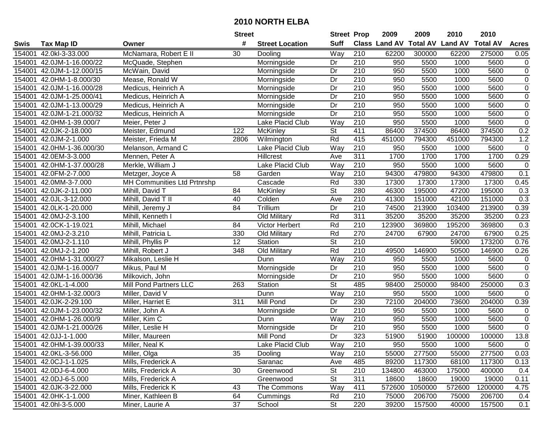|        |                           |                             | <b>Street</b>    |                        | <b>Street Prop</b>       |                  | 2009   | 2009    | 2010                                    | 2010    |                |
|--------|---------------------------|-----------------------------|------------------|------------------------|--------------------------|------------------|--------|---------|-----------------------------------------|---------|----------------|
| Swis   | <b>Tax Map ID</b>         | Owner                       | #                | <b>Street Location</b> | <b>Suff</b>              |                  |        |         | Class Land AV Total AV Land AV Total AV |         | <b>Acres</b>   |
| 154001 | 42.0kl-3-33.000           | McNamara, Robert E II       | 30               | Dooling                | Way                      | 210              | 62200  | 300000  | 62200                                   | 275000  | 0.05           |
| 154001 | 42.0JM-1-16.000/22        | McQuade, Stephen            |                  | Morningside            | Dr                       | 210              | 950    | 5500    | 1000                                    | 5600    | $\mathbf 0$    |
| 154001 | 42.0JM-1-12.000/15        | McWain, David               |                  | Morningside            | Dr                       | 210              | 950    | 5500    | 1000                                    | 5600    | $\mathbf 0$    |
| 154001 | 42.0HM-1-8.000/30         | Mease, Ronald W             |                  | Morningside            | Dr                       | 210              | 950    | 5500    | 1000                                    | 5600    | $\mathsf 0$    |
| 154001 | 42.0JM-1-16.000/28        | Medicus, Heinrich A         |                  | Morningside            | $\overline{Dr}$          | 210              | 950    | 5500    | 1000                                    | 5600    | $\overline{0}$ |
| 154001 | 42.0JM-1-25.000/41        | Medicus, Heinrich A         |                  | Morningside            | Dr                       | 210              | 950    | 5500    | 1000                                    | 5600    | $\overline{0}$ |
| 154001 | 42.0JM-1-13.000/29        | Medicus, Heinrich A         |                  | Morningside            | Dr                       | $\overline{210}$ | 950    | 5500    | 1000                                    | 5600    | $\overline{0}$ |
| 154001 | 42.0JM-1-21.000/32        | Medicus, Heinrich A         |                  | Morningside            | Dr                       | 210              | 950    | 5500    | 1000                                    | 5600    | $\overline{0}$ |
| 154001 | 42.0HM-1-39.000/7         | Meier, Peter J              |                  | Lake Placid Club       | Way                      | 210              | 950    | 5500    | 1000                                    | 5600    | $\overline{0}$ |
| 154001 | 42.0JK-2-18.000           | Meister, Edmund             | 122              | McKinley               | $\overline{\mathsf{St}}$ | 411              | 86400  | 374500  | 86400                                   | 374500  | 0.2            |
| 154001 | 42.0JM-2-1.000            | Meister, Frieda M           | 2806             | Wilmington             | Rd                       | 415              | 451000 | 794300  | 451000                                  | 794300  | 1.2            |
| 154001 | 42.0HM-1-36.000/30        | Melanson, Armand C          |                  | Lake Placid Club       | Way                      | 210              | 950    | 5500    | 1000                                    | 5600    | $\mathbf 0$    |
| 154001 | 42.0EM-3-3.000            | Mennen, Peter A             |                  | <b>Hillcrest</b>       | Ave                      | 311              | 1700   | 1700    | 1700                                    | 1700    | 0.29           |
| 154001 | 42.0HM-1-37.000/28        | Merkle, William J           |                  | Lake Placid Club       | Way                      | 210              | 950    | 5500    | 1000                                    | 5600    | $\mathbf 0$    |
| 154001 | 42.0FM-2-7.000            | Metzger, Joyce A            | 58               | Garden                 | Way                      | 210              | 94300  | 479800  | 94300                                   | 479800  | 0.1            |
| 154001 | 42.0MM-3-7.000            | MH Communities Ltd Prtnrshp |                  | Cascade                | Rd                       | 330              | 17300  | 17300   | 17300                                   | 17300   | 0.45           |
| 154001 | 42.0JK-2-11.000           | Mihill, David T             | 84               | McKinley               | St                       | 280              | 46300  | 195000  | 47200                                   | 195000  | 0.3            |
| 154001 | 42.0JL-3-12.000           | Mihill, David T II          | 40               | Colden                 | Ave                      | $\overline{210}$ | 41300  | 151000  | 42100                                   | 151000  | 0.3            |
| 154001 | 42.0LK-1-20.000           | Mihill, Jeremy J            | 84               | Trillium               | Dr                       | 210              | 74500  | 213900  | 103400                                  | 213900  | 0.39           |
| 154001 | 42.0MJ-2-3.100            | Mihill, Kenneth I           |                  | Old Military           | Rd                       | 311              | 35200  | 35200   | 35200                                   | 35200   | 0.23           |
| 154001 | 42.0CK-1-19.021           | Mihill, Michael             | 84               | Victor Herbert         | Rd                       | 210              | 123900 | 369800  | 195200                                  | 369800  | 0.3            |
| 154001 | 42.0MJ-2-3.210            | Mihill, Patricia L          | 330              | Old Military           | Rd                       | 270              | 24700  | 67900   | 24700                                   | 67900   | 0.25           |
| 154001 | 42.0MJ-2-1.110            | Mihill, Phyllis P           | 12               | Station                | St                       | 210              |        |         | 59000                                   | 173200  | 0.76           |
| 154001 | 42.0MJ-2-1.200            | Mihill, Robert J            | 348              | Old Military           | Rd                       | 210              | 49500  | 146900  | 50500                                   | 146900  | 0.26           |
| 154001 | 42.0HM-1-31.000/27        | Mikalson, Leslie H          |                  | Dunn                   | Way                      | 210              | 950    | 5500    | 1000                                    | 5600    | 0              |
| 154001 | 42.0JM-1-16.000/7         | Mikus, Paul M               |                  | Morningside            | Dr                       | $\overline{210}$ | 950    | 5500    | 1000                                    | 5600    | $\mathsf 0$    |
| 154001 | 42.0JM-1-16.000/36        | Milkovich, John             |                  | Morningside            | Dr                       | 210              | 950    | 5500    | 1000                                    | 5600    | $\mathsf 0$    |
| 154001 | 42.0KL-1-4.000            | Mill Pond Partners LLC      | 263              | Station                | St                       | 485              | 98400  | 250000  | 98400                                   | 250000  | 0.3            |
| 154001 | 42.0HM-1-32.000/3         | Miller, David V             |                  | Dunn                   | Way                      | 210              | 950    | 5500    | 1000                                    | 5600    | 0              |
| 154001 | 42.0JK-2-29.100           | Miller, Harriet E           | $\overline{311}$ | <b>Mill Pond</b>       | $\overline{Dr}$          | 230              | 72100  | 204000  | 73600                                   | 204000  | 0.39           |
| 154001 | 42.0JM-1-23.000/32        | Miller, John A              |                  | Morningside            | Dr                       | $\overline{210}$ | 950    | 5500    | 1000                                    | 5600    | $\mathbf 0$    |
| 154001 | 42.0HM-1-26.000/9         | Miller, Kim C               |                  | Dunn                   | Way                      | $\overline{210}$ | 950    | 5500    | 1000                                    | 5600    | $\overline{0}$ |
| 154001 | 42.0JM-1-21.000/26        | Miller, Leslie H            |                  | Morningside            | Dr                       | 210              | 950    | 5500    | 1000                                    | 5600    | $\mathbf 0$    |
|        | 154001 42.0JJ-1-1.000     | Miller, Maureen             |                  | Mill Pond              | $\overline{Dr}$          | 323              | 51900  | 51900   | 100000                                  | 100000  | 13.8           |
|        | 154001 42.0HM-1-39.000/33 | Miller, Neal K              |                  | Lake Placid Club       | Way                      | 210              | 950    | 5500    | 1000                                    | 5600    | $\mathbf 0$    |
|        | 154001 42.0KL-3-56.000    | Miller, Olga                | 35               | Dooling                | Way                      | 210              | 55000  | 277500  | 55000                                   | 277500  | 0.03           |
|        | 154001 42.0CJ-1-1.025     | Mills, Frederick A          |                  | Saranac                | Ave                      | 485              | 89200  | 117300  | 68100                                   | 117300  | 0.13           |
|        | 154001 42.0DJ-6-4.000     | Mills, Frederick A          | 30               | Greenwood              | St                       | 210              | 134800 | 463000  | 175000                                  | 400000  | 0.4            |
|        | 154001 42.0DJ-6-5.000     | Mills, Frederick A          |                  | Greenwood              | <b>St</b>                | 311              | 18600  | 18600   | 19000                                   | 19000   | 0.11           |
|        | 154001 42.0JK-3-22.000    | Mills, Frederick K          | 43               | The Commons            | Way                      | 411              | 572600 | 1050000 | 572600                                  | 1200000 | 4.75           |
|        | 154001 42.0HK-1-1.000     | Miner, Kathleen B           | 64               | Cummings               | Rd                       | 210              | 75000  | 206700  | 75000                                   | 206700  | 0.4            |
|        | 154001 42.0hl-3-5.000     | Miner, Laurie A             | 37               | School                 | St                       | 220              | 39200  | 157500  | 40000                                   | 157500  | 0.1            |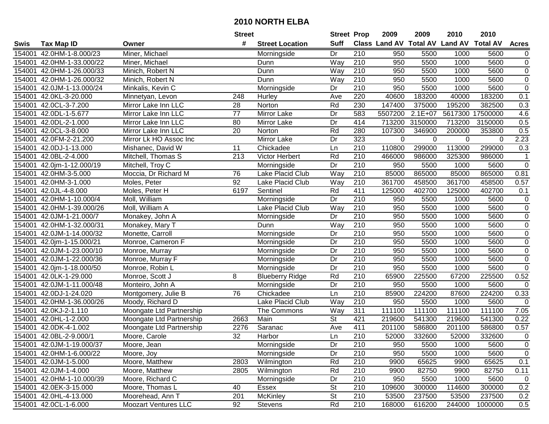|        |                           |                             | <b>Street</b>   |                        | <b>Street Prop</b>       |                  | 2009                          | 2009        | 2010           | 2010            |                |
|--------|---------------------------|-----------------------------|-----------------|------------------------|--------------------------|------------------|-------------------------------|-------------|----------------|-----------------|----------------|
| Swis   | <b>Tax Map ID</b>         | Owner                       | #               | <b>Street Location</b> | <b>Suff</b>              |                  | <b>Class Land AV Total AV</b> |             | <b>Land AV</b> | <b>Total AV</b> | <b>Acres</b>   |
| 154001 | 42.0HM-1-8.000/23         | Miner, Michael              |                 | Morningside            | Dr                       | 210              | 950                           | 5500        | 1000           | 5600            | $\overline{0}$ |
| 154001 | 42.0HM-1-33.000/22        | Miner, Michael              |                 | Dunn                   | Way                      | 210              | 950                           | 5500        | 1000           | 5600            | $\mathbf 0$    |
| 154001 | 42.0HM-1-26.000/33        | Minich, Robert N            |                 | Dunn                   | Way                      | 210              | 950                           | 5500        | 1000           | 5600            | $\mathbf 0$    |
| 154001 | 42.0HM-1-26.000/32        | Minich, Robert N            |                 | Dunn                   | Way                      | 210              | 950                           | 5500        | 1000           | 5600            | $\overline{0}$ |
| 154001 | 42.0JM-1-13.000/24        | Minkalis, Kevin C           |                 | Morningside            | Dr                       | 210              | 950                           | 5500        | 1000           | 5600            | $\overline{0}$ |
| 154001 | 42.0KL-3-20.000           | Minnetyan, Levon            | 248             | Hurley                 | Ave                      | 220              | 40600                         | 183200      | 40000          | 183200          | 0.1            |
| 154001 | 42.0CL-3-7.200            | Mirror Lake Inn LLC         | 28              | Norton                 | Rd                       | 230              | 147400                        | 375000      | 195200         | 382500          | 0.3            |
| 154001 | 42.0DL-1-5.677            | Mirror Lake Inn LLC         | $\overline{77}$ | <b>Mirror Lake</b>     | $\overline{Dr}$          | 583              | 5507200                       | $2.1E+07$   | 5617300        | 17500000        | 4.6            |
| 154001 | 42.0DL-2-1.000            | Mirror Lake Inn LLC         | 80              | Mirror Lake            | Dr                       | 414              | 713200                        | 3150000     | 713200         | 3150000         | 0.5            |
| 154001 | 42.0CL-3-8.000            | Mirror Lake Inn LLC         | 20              | Norton                 | Rd                       | 280              | 107300                        | 346900      | 200000         | 353800          | 0.5            |
| 154001 | 42.0FM-2-21.200           | Mirror Lk HO Assoc Inc      |                 | Mirror Lake            | Dr                       | 323              | $\mathbf 0$                   | $\mathbf 0$ | 0              | 0               | 2.23           |
| 154001 | 42.0DJ-1-13.000           | Mishanec, David W           | 11              | Chickadee              | Ln                       | 210              | 110800                        | 299000      | 113000         | 299000          | 0.3            |
| 154001 | 42.0BL-2-4.000            | Mitchell, Thomas S          | 213             | Victor Herbert         | Rd                       | 210              | 466000                        | 986000      | 325300         | 986000          | 1              |
| 154001 | 42.0jm-1-12.000/19        | Mitchell, Troy C            |                 | Morningside            | Dr                       | 210              | 950                           | 5500        | 1000           | 5600            | $\pmb{0}$      |
| 154001 | 42.0HM-3-5.000            | Moccia, Dr Richard M        | 76              | Lake Placid Club       | Way                      | 210              | 85000                         | 865000      | 85000          | 865000          | 0.81           |
| 154001 | 42.0HM-3-1.000            | Moles, Peter                | 92              | Lake Placid Club       | Way                      | 210              | 361700                        | 458500      | 361700         | 458500          | 0.57           |
| 154001 | 42.0JL-4-8.000            | Moles, Peter H              | 6197            | Sentinel               | Rd                       | 411              | 125000                        | 402700      | 125000         | 402700          | 0.1            |
| 154001 | 42.0HM-1-10.000/4         | Moll, William               |                 | Morningside            | Dr                       | 210              | 950                           | 5500        | 1000           | 5600            | $\pmb{0}$      |
| 154001 | 42.0HM-1-39.000/26        | Moll, William A             |                 | Lake Placid Club       | Way                      | 210              | 950                           | 5500        | 1000           | 5600            | $\pmb{0}$      |
| 154001 | 42.0JM-1-21.000/7         | Monakey, John A             |                 | Morningside            | Dr                       | 210              | 950                           | 5500        | 1000           | 5600            | $\pmb{0}$      |
| 154001 | 42.0HM-1-32.000/31        | Monakey, Mary T             |                 | Dunn                   | Way                      | 210              | 950                           | 5500        | 1000           | 5600            | $\overline{0}$ |
| 154001 | 42.0JM-1-14.000/32        | Monette, Carroll            |                 | Morningside            | Dr                       | 210              | 950                           | 5500        | 1000           | 5600            | $\pmb{0}$      |
| 154001 | 42.0jm-1-15.000/21        | Monroe, Cameron F           |                 | Morningside            | Dr                       | 210              | 950                           | 5500        | 1000           | 5600            | $\pmb{0}$      |
| 154001 | 42.0JM-1-23.000/10        | Monroe, Murray              |                 | Morningside            | Dr                       | 210              | 950                           | 5500        | 1000           | 5600            | $\pmb{0}$      |
| 154001 | 42.0JM-1-22.000/36        | Monroe, Murray F            |                 | Morningside            | Dr                       | $\overline{210}$ | 950                           | 5500        | 1000           | 5600            | $\pmb{0}$      |
| 154001 | 42.0jm-1-18.000/50        | Monroe, Robin L             |                 | Morningside            | Dr                       | 210              | 950                           | 5500        | 1000           | 5600            | $\pmb{0}$      |
| 154001 | 42.0LK-1-29.000           | Monroe, Scott J             | 8               | <b>Blueberry Ridge</b> | Rd                       | 210              | 65900                         | 225500      | 67200          | 225500          | 0.52           |
| 154001 | 42.0JM-1-11.000/48        | Monteiro, John A            |                 | Morningside            | Dr                       | 210              | 950                           | 5500        | 1000           | 5600            | 0              |
| 154001 | 42.0DJ-1-24.020           | Montgomery, Julie B         | 76              | Chickadee              | Ln                       | $\overline{210}$ | 85900                         | 224200      | 87600          | 224200          | 0.33           |
| 154001 | 42.0HM-1-36.000/26        | Moody, Richard D            |                 | Lake Placid Club       | Way                      | $\overline{210}$ | 950                           | 5500        | 1000           | 5600            | $\mathbf 0$    |
| 154001 | 42.0KJ-2-1.110            | Moongate Ltd Partnership    |                 | The Commons            | Way                      | 311              | 111100                        | 111100      | 111100         | 111100          | 7.05           |
| 154001 | 42.0HL-1-2.000            | Moongate Ltd Partnership    | 2663            | Main                   | $\overline{\mathsf{St}}$ | 421              | 219600                        | 541300      | 219600         | 541300          | 0.22           |
| 154001 | 42.0DK-4-1.002            | Moongate Ltd Partnership    | 2276            | Saranac                | Ave                      | 411              | 201100                        | 586800      | 201100         | 586800          | 0.57           |
|        | 154001 42.0BL-2-9.000/1   | Moore, Carole               | $\overline{32}$ | Harbor                 | Ln                       | $\overline{210}$ | 52000                         | 332600      | 52000          | 332600          | $\pmb{0}$      |
|        | 154001 42.0JM-1-19.000/37 | Moore, Jean                 |                 | Morningside            | Dr                       | 210              | 950                           | 5500        | 1000           | 5600            | 0              |
|        | 154001 42.0HM-1-6.000/22  | Moore, Joy                  |                 | Morningside            | Dr                       | 210              | 950                           | 5500        | 1000           | 5600            | $\pmb{0}$      |
|        | 154001 42.0JM-1-5.000     | Moore, Matthew              | 2803            | Wilmington             | Rd                       | 210              | 9900                          | 65625       | 9900           | 65625           | 0.1            |
|        | 154001 42.0JM-1-4.000     | Moore, Matthew              | 2805            | Wilmington             | Rd                       | 210              | 9900                          | 82750       | 9900           | 82750           | 0.11           |
|        | 154001 42.0HM-1-10.000/39 | Moore, Richard C            |                 | Morningside            | Dr                       | 210              | 950                           | 5500        | 1000           | 5600            | 0              |
|        | 154001 42.0EK-3-15.000    | Moore, Thomas L             | 40              | Essex                  | <b>St</b>                | 210              | 109600                        | 300000      | 114600         | 300000          | 0.2            |
|        | 154001 42.0HL-4-13.000    | Moorehead, Ann T            | 201             | McKinley               | <b>St</b>                | 210              | 53500                         | 237500      | 53500          | 237500          | 0.2            |
|        | 154001 42.0CL-1-6.000     | <b>Moozart Ventures LLC</b> | 92              | Stevens                | Rd                       | 210              | 168000                        | 616200      | 244000         | 1000000         | 0.5            |
|        |                           |                             |                 |                        |                          |                  |                               |             |                |                 |                |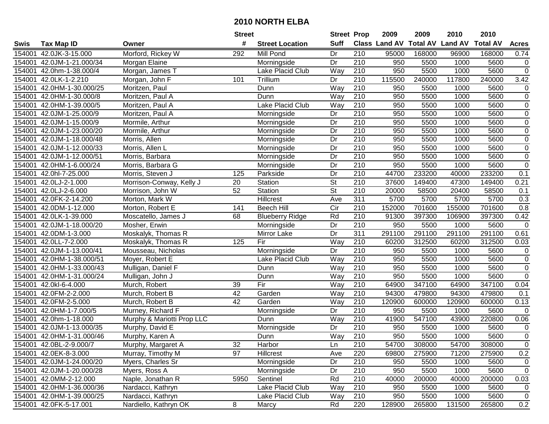|        |                           |                            | <b>Street</b>   |                         | <b>Street Prop</b>       |                  | 2009                          | 2009   | 2010           | 2010            |                  |
|--------|---------------------------|----------------------------|-----------------|-------------------------|--------------------------|------------------|-------------------------------|--------|----------------|-----------------|------------------|
| Swis   | Tax Map ID                | Owner                      | #               | <b>Street Location</b>  | <b>Suff</b>              |                  | <b>Class Land AV Total AV</b> |        | <b>Land AV</b> | <b>Total AV</b> | <b>Acres</b>     |
| 154001 | 42.0JK-3-15.000           | Morford, Rickey W          | 292             | Mill Pond               | Dr                       | 210              | 95000                         | 168000 | 96900          | 168000          | 0.74             |
| 154001 | 42.0JM-1-21.000/34        | Morgan Elaine              |                 | Morningside             | Dr                       | 210              | 950                           | 5500   | 1000           | 5600            | $\mathbf 0$      |
| 154001 | 42.0hm-1-38.000/4         | Morgan, James T            |                 | Lake Placid Club        | Way                      | 210              | 950                           | 5500   | 1000           | 5600            | $\overline{0}$   |
| 154001 | 42.0LK-1-2.210            | Morgan, John F             | 101             | Trillium                | Dr                       | $\overline{210}$ | 115500                        | 240000 | 117800         | 240000          | 3.42             |
| 154001 | 42.0HM-1-30.000/25        | Moritzen, Paul             |                 | Dunn                    | Way                      | $\overline{210}$ | 950                           | 5500   | 1000           | 5600            | $\mathbf 0$      |
| 154001 | 42.0HM-1-30.000/8         | Moritzen, Paul A           |                 | Dunn                    | Way                      | $\overline{210}$ | 950                           | 5500   | 1000           | 5600            | $\overline{0}$   |
| 154001 | 42.0HM-1-39.000/5         | Moritzen, Paul A           |                 | <b>Lake Placid Club</b> | Way                      | $\overline{210}$ | 950                           | 5500   | 1000           | 5600            | $\mathbf 0$      |
| 154001 | 42.0JM-1-25.000/9         | Moritzen, Paul A           |                 | Morningside             | Dr                       | 210              | 950                           | 5500   | 1000           | 5600            | $\overline{0}$   |
| 154001 | 42.0JM-1-15.000/9         | Mormile, Arthur            |                 | Morningside             | Dr                       | $\overline{210}$ | 950                           | 5500   | 1000           | 5600            | $\overline{0}$   |
| 154001 | 42.0JM-1-23.000/20        | Mormile, Arthur            |                 | Morningside             | Dr                       | 210              | 950                           | 5500   | 1000           | 5600            | $\boldsymbol{0}$ |
| 154001 | 42.0JM-1-18.000/48        | Morris, Allen              |                 | Morningside             | Dr                       | 210              | 950                           | 5500   | 1000           | 5600            | $\boldsymbol{0}$ |
| 154001 | 42.0JM-1-12.000/33        | Morris, Allen L            |                 | Morningside             | Dr                       | 210              | 950                           | 5500   | 1000           | 5600            | $\boldsymbol{0}$ |
| 154001 | 42.0JM-1-12.000/51        | Morris, Barbara            |                 | Morningside             | Dr                       | $\overline{210}$ | 950                           | 5500   | 1000           | 5600            | $\overline{0}$   |
| 154001 | 42.0HM-1-6.000/24         | Morris, Barbara G          |                 | Morningside             | Dr                       | 210              | 950                           | 5500   | 1000           | 5600            | $\mathsf 0$      |
| 154001 | 42.0hl-7-25.000           | Morris, Steven J           | 125             | Parkside                | Dr                       | 210              | 44700                         | 233200 | 40000          | 233200          | 0.1              |
| 154001 | 42.0LJ-2-1.000            | Morrison-Conway, Kelly J   | 20              | Station                 | St                       | 210              | 37600                         | 149400 | 47300          | 149400          | 0.21             |
| 154001 | 42.0LJ-2-6.000            | Morrison, John W           | $\overline{52}$ | Station                 | $\overline{\mathsf{St}}$ | $\overline{210}$ | 20000                         | 58500  | 20400          | 58500           | 0.1              |
| 154001 | 42.0FK-2-14.200           | Morton, Mark W             |                 | Hillcrest               | Ave                      | $\overline{311}$ | 5700                          | 5700   | 5700           | 5700            | 0.3              |
| 154001 | 42.0DM-1-12.000           | Morton, Robert E           | 141             | <b>Beech Hill</b>       | $\overline{C}$ ir        | 210              | 152000                        | 701600 | 155000         | 701600          | 0.8              |
| 154001 | 42.0LK-1-39.000           | Moscatello, James J        | 68              | <b>Blueberry Ridge</b>  | Rd                       | 210              | 91300                         | 397300 | 106900         | 397300          | 0.42             |
| 154001 | 42.0JM-1-18.000/20        | Mosher, Erwin              |                 | Morningside             | Dr                       | 210              | 950                           | 5500   | 1000           | 5600            | $\mathbf 0$      |
| 154001 | 42.0DM-1-3.000            | Moskalyk, Thomas R         |                 | Mirror Lake             | Dr                       | 311              | 291100                        | 291100 | 291100         | 291100          | 0.61             |
| 154001 | 42.0LL-7-2.000            | Moskalyk, Thomas R         | 125             | Fir                     | Way                      | 210              | 60200                         | 312500 | 60200          | 312500          | 0.03             |
| 154001 | 42.0JM-1-13.000/41        | Mousseau, Nicholas         |                 | Morningside             | Dr                       | 210              | 950                           | 5500   | 1000           | 5600            | $\mathbf 0$      |
| 154001 | 42.0HM-1-38.000/51        | Moyer, Robert E            |                 | Lake Placid Club        | Way                      | $\overline{210}$ | 950                           | 5500   | 1000           | 5600            | $\overline{0}$   |
| 154001 | 42.0HM-1-33.000/43        | Mulligan, Daniel F         |                 | Dunn                    | Way                      | 210              | 950                           | 5500   | 1000           | 5600            | $\pmb{0}$        |
| 154001 | 42.0HM-1-31.000/24        | Mulligan, John J           |                 | Dunn                    | Way                      | 210              | 950                           | 5500   | 1000           | 5600            | $\mathsf 0$      |
| 154001 | 42.0kl-6-4.000            | Murch, Robert              | 39              | Fir                     | Way                      | 210              | 64900                         | 347100 | 64900          | 347100          | 0.04             |
| 154001 | 42.0FM-2-2.000            | Murch, Robert B            | $\overline{42}$ | Garden                  | Way                      | $\overline{210}$ | 94300                         | 479800 | 94300          | 479800          | 0.1              |
| 154001 | 42.0FM-2-5.000            | Murch, Robert B            | $\overline{42}$ | Garden                  | Way                      | $\overline{210}$ | 120900                        | 600000 | 120900         | 600000          | 0.13             |
| 154001 | 42.0HM-1-7.000/5          | Murney, Richard F          |                 | Morningside             | Dr                       | 210              | 950                           | 5500   | 1000           | 5600            | $\overline{0}$   |
| 154001 | 42.0hm-1-18.000           | Murphy & Mariotti Prop LLC |                 | Dunn                    | Way                      | 210              | 41900                         | 547100 | 43900          | 220800          | 0.06             |
| 154001 | 42.0JM-1-13.000/35        | Murphy, David E            |                 | Morningside             | Dr                       | 210              | 950                           | 5500   | 1000           | 5600            | $\overline{0}$   |
|        | 154001 42.0HM-1-31.000/46 | Murphy, Karen A            |                 | Dunn                    | Way                      | $\overline{210}$ | 950                           | 5500   | 1000           | 5600            | $\overline{0}$   |
|        | 154001 42.0BL-2-9.000/7   | Murphy, Margaret A         | 32              | Harbor                  | Ln                       | 210              | 54700                         | 308000 | 54700          | 308000          | 0                |
|        | 154001 42.0EK-8-3.000     | Murray, Timothy M          | 97              | Hillcrest               | Ave                      | 220              | 69800                         | 275900 | 71200          | 275900          | 0.2              |
|        | 154001 42.0JM-1-24.000/20 | Myers, Charles Sr          |                 | Morningside             | Dr                       | 210              | 950                           | 5500   | 1000           | 5600            | $\mathbf 0$      |
|        | 154001 42.0JM-1-20.000/28 | Myers, Ross A              |                 | Morningside             | Dr                       | 210              | 950                           | 5500   | 1000           | 5600            | $\mathbf 0$      |
|        | 154001 42.0MM-2-12.000    | Naple, Jonathan R          | 5950            | Sentinel                | Rd                       | 210              | 40000                         | 200000 | 40000          | 200000          | 0.03             |
|        | 154001 42.0HM-1-36.000/36 | Nardacci, Kathryn          |                 | Lake Placid Club        | Way                      | 210              | 950                           | 5500   | 1000           | 5600            | $\mathbf 0$      |
|        | 154001 42.0HM-1-39.000/25 | Nardacci, Kathryn          |                 | Lake Placid Club        | Way                      | 210              | 950                           | 5500   | 1000           | 5600            | $\mathbf 0$      |
|        | 154001 42.0FK-5-17.001    | Nardiello, Kathryn OK      | 8               | Marcy                   | Rd                       | 220              | 128900                        | 265800 | 131500         | 265800          | 0.2              |
|        |                           |                            |                 |                         |                          |                  |                               |        |                |                 |                  |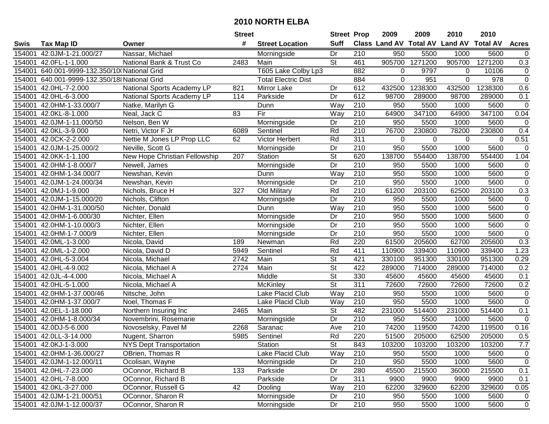| #<br><b>Suff</b><br><b>Class Land AV Total AV</b><br><b>Land AV</b><br><b>Total AV</b><br><b>Tax Map ID</b><br><b>Street Location</b><br><b>Acres</b><br>Swis<br>Owner<br>Nassar, Michael<br>42.0JM-1-21.000/27<br>Dr<br>210<br>950<br>5500<br>1000<br>5600<br>154001<br>Morningside<br>$\mathbf 0$<br>$\overline{\mathsf{St}}$<br>1271200<br>461<br>905700<br>905700<br>1271200<br>0.3<br>154001<br>42.0FL-1-1.000<br>National Bank & Trust Co<br>2483<br>Main<br>154001<br>640.001-9999-132.350/10 National Grid<br>T605 Lake Colby Lp3<br>882<br>0<br>9797<br>10106<br>0<br>$\Omega$<br>$\overline{0}$<br>884<br>$\mathbf 0$<br>951<br>978<br>154001<br>640.001-9999-132.350/18 National Grid<br><b>Total Electric Dist</b><br>$\Omega$<br>1238300<br>1238300<br>0.6<br>42.0HL-7-2.000<br>National Sports Academy LP<br>821<br>Mirror Lake<br>Dr<br>612<br>432500<br>432500<br>154001<br>612<br>98700<br>154001<br>42.0HL-6-3.000<br>National Sports Academy LP<br>114<br>Parkside<br>Dr<br>289000<br>98700<br>289000<br>0.1<br>$\pmb{0}$<br>42.0HM-1-33.000/7<br>Way<br>210<br>950<br>5500<br>5600<br>154001<br>Natke, Marilyn G<br>Dunn<br>1000<br>Fir<br>210<br>64900<br>347100<br>347100<br>$\overline{83}$<br>Way<br>64900<br>0.04<br>154001<br>42.0KL-8-1.000<br>Neal, Jack C<br>Morningside<br>$\overline{210}$<br>950<br>5500<br>5600<br>154001<br>42.0JM-1-11.000/50<br>Nelson, Ben W<br>Dr<br>1000<br>$\mathbf 0$<br>Rd<br>210<br>76700<br>230800<br>230800<br>42.0KL-3-9.000<br>Netri, Victor F Jr<br>6089<br>Sentinel<br>78200<br>0.4<br>154001<br>$\overline{311}$<br>42.0CK-2-2.000<br>Nettie M Jones LP Prop LLC<br>Rd<br>0.51<br>154001<br>62<br>Victor Herbert<br>0<br>0<br>0<br>$\mathbf 0$<br>5500<br>5600<br>154001<br>42.0JM-1-25.000/2<br>Neville, Scott G<br>Dr<br>210<br>950<br>1000<br>$\mathbf 0$<br>Morningside<br>$\overline{\mathsf{St}}$<br>620<br>42.0KK-1-1.100<br>138700<br>554400<br>138700<br>554400<br>1.04<br>154001<br>New Hope Christian Fellowship<br>207<br>Station<br>Dr<br>210<br>42.0HM-1-8.000/7<br>950<br>5500<br>1000<br>5600<br>$\pmb{0}$<br>154001<br>Newell, James<br>Morningside<br>$\overline{0}$<br>Way<br>210<br>950<br>5500<br>5600<br>154001<br>42.0HM-1-34.000/7<br>Newshan, Kevin<br>1000<br>Dunn<br>210<br>950<br>5500<br>$\pmb{0}$<br>Dr<br>1000<br>5600<br>154001<br>42.0JM-1-24.000/34<br>Newshan, Kevin<br>Morningside<br>$\overline{210}$<br>0.3<br>327<br>Rd<br>61200<br>203100<br>203100<br>154001<br>42.0MJ-1-9.000<br>62500<br>Nichols, Bruce H<br>Old Military<br>Dr<br>210<br>$\pmb{0}$<br>154001<br>42.0JM-1-15.000/20<br>Nichols, Clifton<br>950<br>5500<br>1000<br>5600<br>Morningside<br>$\pmb{0}$<br>210<br>154001<br>42.0HM-1-31.000/50<br>Way<br>950<br>5500<br>1000<br>5600<br>Nichter, Donald<br>Dunn<br>$\overline{0}$<br>154001<br>42.0HM-1-6.000/30<br>Nichter, Ellen<br>210<br>950<br>5500<br>1000<br>5600<br>Morningside<br>Dr<br>$\overline{0}$<br>Dr<br>210<br>950<br>1000<br>5600<br>154001<br>42.0HM-1-10.000/3<br>Nichter, Ellen<br>5500<br>Morningside<br>$\pmb{0}$<br>154001<br>42.0HM-1-7.000/9<br>Nichter, Ellen<br>Dr<br>210<br>950<br>5500<br>1000<br>5600<br>Morningside<br>Rd<br>220<br>61500<br>205600<br>62700<br>205600<br>0.3<br>154001<br>42.0ML-1-3.000<br>189<br>Nicola, David<br>Newman<br>42.0ML-1-2.000<br>Sentinel<br>Rd<br>411<br>110900<br>339400<br>110900<br>339400<br>1.23<br>154001<br>5949<br>Nicola, David D<br>$\overline{\mathsf{St}}$<br>421<br>42.0HL-5-3.004<br>2742<br>Main<br>951300<br>330100<br>951300<br>0.29<br>154001<br>Nicola, Michael<br>330100<br>$\overline{\mathsf{St}}$<br>422<br>714000<br>0.2<br>42.0HL-4-9.002<br>Nicola, Michael A<br>2724<br>Main<br>289000<br>289000<br>714000<br>154001<br>$\overline{\mathsf{St}}$<br>Middle<br>330<br>45600<br>45600<br>154001<br>42.0JL-4-4.000<br>Nicola, Michael A<br>45600<br>45600<br>0.1<br>$\overline{\mathsf{St}}$<br>311<br>72600<br>72600<br>0.2<br>154001<br>42.0HL-5-1.000<br>Nicola, Michael A<br>72600<br>72600<br>McKinley<br>Lake Placid Club<br>Way<br>$\overline{210}$<br>$\pmb{0}$<br>950<br>5500<br>1000<br>5600<br>154001<br>42.0HM-1-37.000/46<br>Nitsche, John<br>$\overline{0}$<br>$\overline{210}$<br>950<br>1000<br>5600<br>42.0HM-1-37.000/7<br>Noel, Thomas F<br>Lake Placid Club<br>Way<br>5500<br>154001<br>42.0EL-1-18.000<br>$\overline{\mathsf{St}}$<br>482<br>231000<br>514400<br>231000<br>514400<br>0.1<br>154001<br>2465<br>Main<br>Northern Insuring Inc<br>Dr<br>$\overline{210}$<br>$\mathbf 0$<br>42.0HM-1-8.000/34<br>950<br>5500<br>5600<br>154001<br>Novembrini, Rosemarie<br>Morningside<br>1000<br>210<br>74200<br>119500<br>74200<br>119500<br>0.16<br>154001<br>42.0DJ-5-6.000<br>Novoselsky, Pavel M<br>2268<br>Ave<br>Saranac<br>Rd<br>220<br>0.5<br>154001 42.0LL-3-14.000<br>Nugent, Sharron<br>5985<br>Sentinel<br>51500<br>205000<br>62500<br>205000<br>154001 42.0KJ-1-3.000<br><b>NYS Dept Transportation</b><br>Station<br>St<br>843<br>103200<br>103200<br>103200<br>103200<br>7.7<br>Lake Placid Club<br>Way<br>210<br>5600<br>154001 42.0HM-1-36.000/27<br>OBrien, Thomas R<br>950<br>5500<br>1000<br>0<br>950<br>0<br>154001 42.0JM-1-12.000/11<br>Ocolisan, Wayne<br>Morningside<br>Dr<br>210<br>5500<br>1000<br>5600<br>154001 42.0HL-7-23.000<br>OConnor, Richard B<br>133<br>Parkside<br>Dr<br>280<br>45500<br>215500<br>36000<br>215500<br>0.1<br>154001 42.0HL-7-8.000<br>OConnor, Richard B<br>Parkside<br>311<br>Dr<br>9900<br>9900<br>9900<br>9900<br>0.1<br>OConnor, Russell G<br>42<br>Way<br>210<br>62200<br>329600<br>329600<br>154001 42.0KL-3-27.000<br>Dooling<br>62200<br>0.05<br>OConnor, Sharon R<br>Morningside<br>210<br>154001 42.0JM-1-21.000/51<br>950<br>5500<br>1000<br>5600<br>Dr<br>0<br>OConnor, Sharon R<br>210<br>154001 42.0JM-1-12.000/37<br>Morningside<br>Dr<br>950<br>5500<br>5600<br>$\mathbf 0$<br>1000 |  | <b>Street</b> | <b>Street Prop</b> | 2009 | 2009 | 2010 | 2010 |  |
|-----------------------------------------------------------------------------------------------------------------------------------------------------------------------------------------------------------------------------------------------------------------------------------------------------------------------------------------------------------------------------------------------------------------------------------------------------------------------------------------------------------------------------------------------------------------------------------------------------------------------------------------------------------------------------------------------------------------------------------------------------------------------------------------------------------------------------------------------------------------------------------------------------------------------------------------------------------------------------------------------------------------------------------------------------------------------------------------------------------------------------------------------------------------------------------------------------------------------------------------------------------------------------------------------------------------------------------------------------------------------------------------------------------------------------------------------------------------------------------------------------------------------------------------------------------------------------------------------------------------------------------------------------------------------------------------------------------------------------------------------------------------------------------------------------------------------------------------------------------------------------------------------------------------------------------------------------------------------------------------------------------------------------------------------------------------------------------------------------------------------------------------------------------------------------------------------------------------------------------------------------------------------------------------------------------------------------------------------------------------------------------------------------------------------------------------------------------------------------------------------------------------------------------------------------------------------------------------------------------------------------------------------------------------------------------------------------------------------------------------------------------------------------------------------------------------------------------------------------------------------------------------------------------------------------------------------------------------------------------------------------------------------------------------------------------------------------------------------------------------------------------------------------------------------------------------------------------------------------------------------------------------------------------------------------------------------------------------------------------------------------------------------------------------------------------------------------------------------------------------------------------------------------------------------------------------------------------------------------------------------------------------------------------------------------------------------------------------------------------------------------------------------------------------------------------------------------------------------------------------------------------------------------------------------------------------------------------------------------------------------------------------------------------------------------------------------------------------------------------------------------------------------------------------------------------------------------------------------------------------------------------------------------------------------------------------------------------------------------------------------------------------------------------------------------------------------------------------------------------------------------------------------------------------------------------------------------------------------------------------------------------------------------------------------------------------------------------------------------------------------------------------------------------------------------------------------------------------------------------------------------------------------------------------------------------------------------------------------------------------------------------------------------------------------------------------------------------------------------------------------------------------------------------------------------------------------------------------------------------------------------------------------------------------------------------------------------------------------------------------------------------------------------------------------------------------------------------------------------------------------------------------------------------------------------------------------------------------------------------------------------------------------------------------------------------------------------------------------------------------------------------------------------------------------------------------------------------------------------------------------------------------------|--|---------------|--------------------|------|------|------|------|--|
|                                                                                                                                                                                                                                                                                                                                                                                                                                                                                                                                                                                                                                                                                                                                                                                                                                                                                                                                                                                                                                                                                                                                                                                                                                                                                                                                                                                                                                                                                                                                                                                                                                                                                                                                                                                                                                                                                                                                                                                                                                                                                                                                                                                                                                                                                                                                                                                                                                                                                                                                                                                                                                                                                                                                                                                                                                                                                                                                                                                                                                                                                                                                                                                                                                                                                                                                                                                                                                                                                                                                                                                                                                                                                                                                                                                                                                                                                                                                                                                                                                                                                                                                                                                                                                                                                                                                                                                                                                                                                                                                                                                                                                                                                                                                                                                                                                                                                                                                                                                                                                                                                                                                                                                                                                                                                                                                                                                                                                                                                                                                                                                                                                                                                                                                                                                                                                                                                               |  |               |                    |      |      |      |      |  |
|                                                                                                                                                                                                                                                                                                                                                                                                                                                                                                                                                                                                                                                                                                                                                                                                                                                                                                                                                                                                                                                                                                                                                                                                                                                                                                                                                                                                                                                                                                                                                                                                                                                                                                                                                                                                                                                                                                                                                                                                                                                                                                                                                                                                                                                                                                                                                                                                                                                                                                                                                                                                                                                                                                                                                                                                                                                                                                                                                                                                                                                                                                                                                                                                                                                                                                                                                                                                                                                                                                                                                                                                                                                                                                                                                                                                                                                                                                                                                                                                                                                                                                                                                                                                                                                                                                                                                                                                                                                                                                                                                                                                                                                                                                                                                                                                                                                                                                                                                                                                                                                                                                                                                                                                                                                                                                                                                                                                                                                                                                                                                                                                                                                                                                                                                                                                                                                                                               |  |               |                    |      |      |      |      |  |
|                                                                                                                                                                                                                                                                                                                                                                                                                                                                                                                                                                                                                                                                                                                                                                                                                                                                                                                                                                                                                                                                                                                                                                                                                                                                                                                                                                                                                                                                                                                                                                                                                                                                                                                                                                                                                                                                                                                                                                                                                                                                                                                                                                                                                                                                                                                                                                                                                                                                                                                                                                                                                                                                                                                                                                                                                                                                                                                                                                                                                                                                                                                                                                                                                                                                                                                                                                                                                                                                                                                                                                                                                                                                                                                                                                                                                                                                                                                                                                                                                                                                                                                                                                                                                                                                                                                                                                                                                                                                                                                                                                                                                                                                                                                                                                                                                                                                                                                                                                                                                                                                                                                                                                                                                                                                                                                                                                                                                                                                                                                                                                                                                                                                                                                                                                                                                                                                                               |  |               |                    |      |      |      |      |  |
|                                                                                                                                                                                                                                                                                                                                                                                                                                                                                                                                                                                                                                                                                                                                                                                                                                                                                                                                                                                                                                                                                                                                                                                                                                                                                                                                                                                                                                                                                                                                                                                                                                                                                                                                                                                                                                                                                                                                                                                                                                                                                                                                                                                                                                                                                                                                                                                                                                                                                                                                                                                                                                                                                                                                                                                                                                                                                                                                                                                                                                                                                                                                                                                                                                                                                                                                                                                                                                                                                                                                                                                                                                                                                                                                                                                                                                                                                                                                                                                                                                                                                                                                                                                                                                                                                                                                                                                                                                                                                                                                                                                                                                                                                                                                                                                                                                                                                                                                                                                                                                                                                                                                                                                                                                                                                                                                                                                                                                                                                                                                                                                                                                                                                                                                                                                                                                                                                               |  |               |                    |      |      |      |      |  |
|                                                                                                                                                                                                                                                                                                                                                                                                                                                                                                                                                                                                                                                                                                                                                                                                                                                                                                                                                                                                                                                                                                                                                                                                                                                                                                                                                                                                                                                                                                                                                                                                                                                                                                                                                                                                                                                                                                                                                                                                                                                                                                                                                                                                                                                                                                                                                                                                                                                                                                                                                                                                                                                                                                                                                                                                                                                                                                                                                                                                                                                                                                                                                                                                                                                                                                                                                                                                                                                                                                                                                                                                                                                                                                                                                                                                                                                                                                                                                                                                                                                                                                                                                                                                                                                                                                                                                                                                                                                                                                                                                                                                                                                                                                                                                                                                                                                                                                                                                                                                                                                                                                                                                                                                                                                                                                                                                                                                                                                                                                                                                                                                                                                                                                                                                                                                                                                                                               |  |               |                    |      |      |      |      |  |
|                                                                                                                                                                                                                                                                                                                                                                                                                                                                                                                                                                                                                                                                                                                                                                                                                                                                                                                                                                                                                                                                                                                                                                                                                                                                                                                                                                                                                                                                                                                                                                                                                                                                                                                                                                                                                                                                                                                                                                                                                                                                                                                                                                                                                                                                                                                                                                                                                                                                                                                                                                                                                                                                                                                                                                                                                                                                                                                                                                                                                                                                                                                                                                                                                                                                                                                                                                                                                                                                                                                                                                                                                                                                                                                                                                                                                                                                                                                                                                                                                                                                                                                                                                                                                                                                                                                                                                                                                                                                                                                                                                                                                                                                                                                                                                                                                                                                                                                                                                                                                                                                                                                                                                                                                                                                                                                                                                                                                                                                                                                                                                                                                                                                                                                                                                                                                                                                                               |  |               |                    |      |      |      |      |  |
|                                                                                                                                                                                                                                                                                                                                                                                                                                                                                                                                                                                                                                                                                                                                                                                                                                                                                                                                                                                                                                                                                                                                                                                                                                                                                                                                                                                                                                                                                                                                                                                                                                                                                                                                                                                                                                                                                                                                                                                                                                                                                                                                                                                                                                                                                                                                                                                                                                                                                                                                                                                                                                                                                                                                                                                                                                                                                                                                                                                                                                                                                                                                                                                                                                                                                                                                                                                                                                                                                                                                                                                                                                                                                                                                                                                                                                                                                                                                                                                                                                                                                                                                                                                                                                                                                                                                                                                                                                                                                                                                                                                                                                                                                                                                                                                                                                                                                                                                                                                                                                                                                                                                                                                                                                                                                                                                                                                                                                                                                                                                                                                                                                                                                                                                                                                                                                                                                               |  |               |                    |      |      |      |      |  |
|                                                                                                                                                                                                                                                                                                                                                                                                                                                                                                                                                                                                                                                                                                                                                                                                                                                                                                                                                                                                                                                                                                                                                                                                                                                                                                                                                                                                                                                                                                                                                                                                                                                                                                                                                                                                                                                                                                                                                                                                                                                                                                                                                                                                                                                                                                                                                                                                                                                                                                                                                                                                                                                                                                                                                                                                                                                                                                                                                                                                                                                                                                                                                                                                                                                                                                                                                                                                                                                                                                                                                                                                                                                                                                                                                                                                                                                                                                                                                                                                                                                                                                                                                                                                                                                                                                                                                                                                                                                                                                                                                                                                                                                                                                                                                                                                                                                                                                                                                                                                                                                                                                                                                                                                                                                                                                                                                                                                                                                                                                                                                                                                                                                                                                                                                                                                                                                                                               |  |               |                    |      |      |      |      |  |
|                                                                                                                                                                                                                                                                                                                                                                                                                                                                                                                                                                                                                                                                                                                                                                                                                                                                                                                                                                                                                                                                                                                                                                                                                                                                                                                                                                                                                                                                                                                                                                                                                                                                                                                                                                                                                                                                                                                                                                                                                                                                                                                                                                                                                                                                                                                                                                                                                                                                                                                                                                                                                                                                                                                                                                                                                                                                                                                                                                                                                                                                                                                                                                                                                                                                                                                                                                                                                                                                                                                                                                                                                                                                                                                                                                                                                                                                                                                                                                                                                                                                                                                                                                                                                                                                                                                                                                                                                                                                                                                                                                                                                                                                                                                                                                                                                                                                                                                                                                                                                                                                                                                                                                                                                                                                                                                                                                                                                                                                                                                                                                                                                                                                                                                                                                                                                                                                                               |  |               |                    |      |      |      |      |  |
|                                                                                                                                                                                                                                                                                                                                                                                                                                                                                                                                                                                                                                                                                                                                                                                                                                                                                                                                                                                                                                                                                                                                                                                                                                                                                                                                                                                                                                                                                                                                                                                                                                                                                                                                                                                                                                                                                                                                                                                                                                                                                                                                                                                                                                                                                                                                                                                                                                                                                                                                                                                                                                                                                                                                                                                                                                                                                                                                                                                                                                                                                                                                                                                                                                                                                                                                                                                                                                                                                                                                                                                                                                                                                                                                                                                                                                                                                                                                                                                                                                                                                                                                                                                                                                                                                                                                                                                                                                                                                                                                                                                                                                                                                                                                                                                                                                                                                                                                                                                                                                                                                                                                                                                                                                                                                                                                                                                                                                                                                                                                                                                                                                                                                                                                                                                                                                                                                               |  |               |                    |      |      |      |      |  |
|                                                                                                                                                                                                                                                                                                                                                                                                                                                                                                                                                                                                                                                                                                                                                                                                                                                                                                                                                                                                                                                                                                                                                                                                                                                                                                                                                                                                                                                                                                                                                                                                                                                                                                                                                                                                                                                                                                                                                                                                                                                                                                                                                                                                                                                                                                                                                                                                                                                                                                                                                                                                                                                                                                                                                                                                                                                                                                                                                                                                                                                                                                                                                                                                                                                                                                                                                                                                                                                                                                                                                                                                                                                                                                                                                                                                                                                                                                                                                                                                                                                                                                                                                                                                                                                                                                                                                                                                                                                                                                                                                                                                                                                                                                                                                                                                                                                                                                                                                                                                                                                                                                                                                                                                                                                                                                                                                                                                                                                                                                                                                                                                                                                                                                                                                                                                                                                                                               |  |               |                    |      |      |      |      |  |
|                                                                                                                                                                                                                                                                                                                                                                                                                                                                                                                                                                                                                                                                                                                                                                                                                                                                                                                                                                                                                                                                                                                                                                                                                                                                                                                                                                                                                                                                                                                                                                                                                                                                                                                                                                                                                                                                                                                                                                                                                                                                                                                                                                                                                                                                                                                                                                                                                                                                                                                                                                                                                                                                                                                                                                                                                                                                                                                                                                                                                                                                                                                                                                                                                                                                                                                                                                                                                                                                                                                                                                                                                                                                                                                                                                                                                                                                                                                                                                                                                                                                                                                                                                                                                                                                                                                                                                                                                                                                                                                                                                                                                                                                                                                                                                                                                                                                                                                                                                                                                                                                                                                                                                                                                                                                                                                                                                                                                                                                                                                                                                                                                                                                                                                                                                                                                                                                                               |  |               |                    |      |      |      |      |  |
|                                                                                                                                                                                                                                                                                                                                                                                                                                                                                                                                                                                                                                                                                                                                                                                                                                                                                                                                                                                                                                                                                                                                                                                                                                                                                                                                                                                                                                                                                                                                                                                                                                                                                                                                                                                                                                                                                                                                                                                                                                                                                                                                                                                                                                                                                                                                                                                                                                                                                                                                                                                                                                                                                                                                                                                                                                                                                                                                                                                                                                                                                                                                                                                                                                                                                                                                                                                                                                                                                                                                                                                                                                                                                                                                                                                                                                                                                                                                                                                                                                                                                                                                                                                                                                                                                                                                                                                                                                                                                                                                                                                                                                                                                                                                                                                                                                                                                                                                                                                                                                                                                                                                                                                                                                                                                                                                                                                                                                                                                                                                                                                                                                                                                                                                                                                                                                                                                               |  |               |                    |      |      |      |      |  |
|                                                                                                                                                                                                                                                                                                                                                                                                                                                                                                                                                                                                                                                                                                                                                                                                                                                                                                                                                                                                                                                                                                                                                                                                                                                                                                                                                                                                                                                                                                                                                                                                                                                                                                                                                                                                                                                                                                                                                                                                                                                                                                                                                                                                                                                                                                                                                                                                                                                                                                                                                                                                                                                                                                                                                                                                                                                                                                                                                                                                                                                                                                                                                                                                                                                                                                                                                                                                                                                                                                                                                                                                                                                                                                                                                                                                                                                                                                                                                                                                                                                                                                                                                                                                                                                                                                                                                                                                                                                                                                                                                                                                                                                                                                                                                                                                                                                                                                                                                                                                                                                                                                                                                                                                                                                                                                                                                                                                                                                                                                                                                                                                                                                                                                                                                                                                                                                                                               |  |               |                    |      |      |      |      |  |
|                                                                                                                                                                                                                                                                                                                                                                                                                                                                                                                                                                                                                                                                                                                                                                                                                                                                                                                                                                                                                                                                                                                                                                                                                                                                                                                                                                                                                                                                                                                                                                                                                                                                                                                                                                                                                                                                                                                                                                                                                                                                                                                                                                                                                                                                                                                                                                                                                                                                                                                                                                                                                                                                                                                                                                                                                                                                                                                                                                                                                                                                                                                                                                                                                                                                                                                                                                                                                                                                                                                                                                                                                                                                                                                                                                                                                                                                                                                                                                                                                                                                                                                                                                                                                                                                                                                                                                                                                                                                                                                                                                                                                                                                                                                                                                                                                                                                                                                                                                                                                                                                                                                                                                                                                                                                                                                                                                                                                                                                                                                                                                                                                                                                                                                                                                                                                                                                                               |  |               |                    |      |      |      |      |  |
|                                                                                                                                                                                                                                                                                                                                                                                                                                                                                                                                                                                                                                                                                                                                                                                                                                                                                                                                                                                                                                                                                                                                                                                                                                                                                                                                                                                                                                                                                                                                                                                                                                                                                                                                                                                                                                                                                                                                                                                                                                                                                                                                                                                                                                                                                                                                                                                                                                                                                                                                                                                                                                                                                                                                                                                                                                                                                                                                                                                                                                                                                                                                                                                                                                                                                                                                                                                                                                                                                                                                                                                                                                                                                                                                                                                                                                                                                                                                                                                                                                                                                                                                                                                                                                                                                                                                                                                                                                                                                                                                                                                                                                                                                                                                                                                                                                                                                                                                                                                                                                                                                                                                                                                                                                                                                                                                                                                                                                                                                                                                                                                                                                                                                                                                                                                                                                                                                               |  |               |                    |      |      |      |      |  |
|                                                                                                                                                                                                                                                                                                                                                                                                                                                                                                                                                                                                                                                                                                                                                                                                                                                                                                                                                                                                                                                                                                                                                                                                                                                                                                                                                                                                                                                                                                                                                                                                                                                                                                                                                                                                                                                                                                                                                                                                                                                                                                                                                                                                                                                                                                                                                                                                                                                                                                                                                                                                                                                                                                                                                                                                                                                                                                                                                                                                                                                                                                                                                                                                                                                                                                                                                                                                                                                                                                                                                                                                                                                                                                                                                                                                                                                                                                                                                                                                                                                                                                                                                                                                                                                                                                                                                                                                                                                                                                                                                                                                                                                                                                                                                                                                                                                                                                                                                                                                                                                                                                                                                                                                                                                                                                                                                                                                                                                                                                                                                                                                                                                                                                                                                                                                                                                                                               |  |               |                    |      |      |      |      |  |
|                                                                                                                                                                                                                                                                                                                                                                                                                                                                                                                                                                                                                                                                                                                                                                                                                                                                                                                                                                                                                                                                                                                                                                                                                                                                                                                                                                                                                                                                                                                                                                                                                                                                                                                                                                                                                                                                                                                                                                                                                                                                                                                                                                                                                                                                                                                                                                                                                                                                                                                                                                                                                                                                                                                                                                                                                                                                                                                                                                                                                                                                                                                                                                                                                                                                                                                                                                                                                                                                                                                                                                                                                                                                                                                                                                                                                                                                                                                                                                                                                                                                                                                                                                                                                                                                                                                                                                                                                                                                                                                                                                                                                                                                                                                                                                                                                                                                                                                                                                                                                                                                                                                                                                                                                                                                                                                                                                                                                                                                                                                                                                                                                                                                                                                                                                                                                                                                                               |  |               |                    |      |      |      |      |  |
|                                                                                                                                                                                                                                                                                                                                                                                                                                                                                                                                                                                                                                                                                                                                                                                                                                                                                                                                                                                                                                                                                                                                                                                                                                                                                                                                                                                                                                                                                                                                                                                                                                                                                                                                                                                                                                                                                                                                                                                                                                                                                                                                                                                                                                                                                                                                                                                                                                                                                                                                                                                                                                                                                                                                                                                                                                                                                                                                                                                                                                                                                                                                                                                                                                                                                                                                                                                                                                                                                                                                                                                                                                                                                                                                                                                                                                                                                                                                                                                                                                                                                                                                                                                                                                                                                                                                                                                                                                                                                                                                                                                                                                                                                                                                                                                                                                                                                                                                                                                                                                                                                                                                                                                                                                                                                                                                                                                                                                                                                                                                                                                                                                                                                                                                                                                                                                                                                               |  |               |                    |      |      |      |      |  |
|                                                                                                                                                                                                                                                                                                                                                                                                                                                                                                                                                                                                                                                                                                                                                                                                                                                                                                                                                                                                                                                                                                                                                                                                                                                                                                                                                                                                                                                                                                                                                                                                                                                                                                                                                                                                                                                                                                                                                                                                                                                                                                                                                                                                                                                                                                                                                                                                                                                                                                                                                                                                                                                                                                                                                                                                                                                                                                                                                                                                                                                                                                                                                                                                                                                                                                                                                                                                                                                                                                                                                                                                                                                                                                                                                                                                                                                                                                                                                                                                                                                                                                                                                                                                                                                                                                                                                                                                                                                                                                                                                                                                                                                                                                                                                                                                                                                                                                                                                                                                                                                                                                                                                                                                                                                                                                                                                                                                                                                                                                                                                                                                                                                                                                                                                                                                                                                                                               |  |               |                    |      |      |      |      |  |
|                                                                                                                                                                                                                                                                                                                                                                                                                                                                                                                                                                                                                                                                                                                                                                                                                                                                                                                                                                                                                                                                                                                                                                                                                                                                                                                                                                                                                                                                                                                                                                                                                                                                                                                                                                                                                                                                                                                                                                                                                                                                                                                                                                                                                                                                                                                                                                                                                                                                                                                                                                                                                                                                                                                                                                                                                                                                                                                                                                                                                                                                                                                                                                                                                                                                                                                                                                                                                                                                                                                                                                                                                                                                                                                                                                                                                                                                                                                                                                                                                                                                                                                                                                                                                                                                                                                                                                                                                                                                                                                                                                                                                                                                                                                                                                                                                                                                                                                                                                                                                                                                                                                                                                                                                                                                                                                                                                                                                                                                                                                                                                                                                                                                                                                                                                                                                                                                                               |  |               |                    |      |      |      |      |  |
|                                                                                                                                                                                                                                                                                                                                                                                                                                                                                                                                                                                                                                                                                                                                                                                                                                                                                                                                                                                                                                                                                                                                                                                                                                                                                                                                                                                                                                                                                                                                                                                                                                                                                                                                                                                                                                                                                                                                                                                                                                                                                                                                                                                                                                                                                                                                                                                                                                                                                                                                                                                                                                                                                                                                                                                                                                                                                                                                                                                                                                                                                                                                                                                                                                                                                                                                                                                                                                                                                                                                                                                                                                                                                                                                                                                                                                                                                                                                                                                                                                                                                                                                                                                                                                                                                                                                                                                                                                                                                                                                                                                                                                                                                                                                                                                                                                                                                                                                                                                                                                                                                                                                                                                                                                                                                                                                                                                                                                                                                                                                                                                                                                                                                                                                                                                                                                                                                               |  |               |                    |      |      |      |      |  |
|                                                                                                                                                                                                                                                                                                                                                                                                                                                                                                                                                                                                                                                                                                                                                                                                                                                                                                                                                                                                                                                                                                                                                                                                                                                                                                                                                                                                                                                                                                                                                                                                                                                                                                                                                                                                                                                                                                                                                                                                                                                                                                                                                                                                                                                                                                                                                                                                                                                                                                                                                                                                                                                                                                                                                                                                                                                                                                                                                                                                                                                                                                                                                                                                                                                                                                                                                                                                                                                                                                                                                                                                                                                                                                                                                                                                                                                                                                                                                                                                                                                                                                                                                                                                                                                                                                                                                                                                                                                                                                                                                                                                                                                                                                                                                                                                                                                                                                                                                                                                                                                                                                                                                                                                                                                                                                                                                                                                                                                                                                                                                                                                                                                                                                                                                                                                                                                                                               |  |               |                    |      |      |      |      |  |
|                                                                                                                                                                                                                                                                                                                                                                                                                                                                                                                                                                                                                                                                                                                                                                                                                                                                                                                                                                                                                                                                                                                                                                                                                                                                                                                                                                                                                                                                                                                                                                                                                                                                                                                                                                                                                                                                                                                                                                                                                                                                                                                                                                                                                                                                                                                                                                                                                                                                                                                                                                                                                                                                                                                                                                                                                                                                                                                                                                                                                                                                                                                                                                                                                                                                                                                                                                                                                                                                                                                                                                                                                                                                                                                                                                                                                                                                                                                                                                                                                                                                                                                                                                                                                                                                                                                                                                                                                                                                                                                                                                                                                                                                                                                                                                                                                                                                                                                                                                                                                                                                                                                                                                                                                                                                                                                                                                                                                                                                                                                                                                                                                                                                                                                                                                                                                                                                                               |  |               |                    |      |      |      |      |  |
|                                                                                                                                                                                                                                                                                                                                                                                                                                                                                                                                                                                                                                                                                                                                                                                                                                                                                                                                                                                                                                                                                                                                                                                                                                                                                                                                                                                                                                                                                                                                                                                                                                                                                                                                                                                                                                                                                                                                                                                                                                                                                                                                                                                                                                                                                                                                                                                                                                                                                                                                                                                                                                                                                                                                                                                                                                                                                                                                                                                                                                                                                                                                                                                                                                                                                                                                                                                                                                                                                                                                                                                                                                                                                                                                                                                                                                                                                                                                                                                                                                                                                                                                                                                                                                                                                                                                                                                                                                                                                                                                                                                                                                                                                                                                                                                                                                                                                                                                                                                                                                                                                                                                                                                                                                                                                                                                                                                                                                                                                                                                                                                                                                                                                                                                                                                                                                                                                               |  |               |                    |      |      |      |      |  |
|                                                                                                                                                                                                                                                                                                                                                                                                                                                                                                                                                                                                                                                                                                                                                                                                                                                                                                                                                                                                                                                                                                                                                                                                                                                                                                                                                                                                                                                                                                                                                                                                                                                                                                                                                                                                                                                                                                                                                                                                                                                                                                                                                                                                                                                                                                                                                                                                                                                                                                                                                                                                                                                                                                                                                                                                                                                                                                                                                                                                                                                                                                                                                                                                                                                                                                                                                                                                                                                                                                                                                                                                                                                                                                                                                                                                                                                                                                                                                                                                                                                                                                                                                                                                                                                                                                                                                                                                                                                                                                                                                                                                                                                                                                                                                                                                                                                                                                                                                                                                                                                                                                                                                                                                                                                                                                                                                                                                                                                                                                                                                                                                                                                                                                                                                                                                                                                                                               |  |               |                    |      |      |      |      |  |
|                                                                                                                                                                                                                                                                                                                                                                                                                                                                                                                                                                                                                                                                                                                                                                                                                                                                                                                                                                                                                                                                                                                                                                                                                                                                                                                                                                                                                                                                                                                                                                                                                                                                                                                                                                                                                                                                                                                                                                                                                                                                                                                                                                                                                                                                                                                                                                                                                                                                                                                                                                                                                                                                                                                                                                                                                                                                                                                                                                                                                                                                                                                                                                                                                                                                                                                                                                                                                                                                                                                                                                                                                                                                                                                                                                                                                                                                                                                                                                                                                                                                                                                                                                                                                                                                                                                                                                                                                                                                                                                                                                                                                                                                                                                                                                                                                                                                                                                                                                                                                                                                                                                                                                                                                                                                                                                                                                                                                                                                                                                                                                                                                                                                                                                                                                                                                                                                                               |  |               |                    |      |      |      |      |  |
|                                                                                                                                                                                                                                                                                                                                                                                                                                                                                                                                                                                                                                                                                                                                                                                                                                                                                                                                                                                                                                                                                                                                                                                                                                                                                                                                                                                                                                                                                                                                                                                                                                                                                                                                                                                                                                                                                                                                                                                                                                                                                                                                                                                                                                                                                                                                                                                                                                                                                                                                                                                                                                                                                                                                                                                                                                                                                                                                                                                                                                                                                                                                                                                                                                                                                                                                                                                                                                                                                                                                                                                                                                                                                                                                                                                                                                                                                                                                                                                                                                                                                                                                                                                                                                                                                                                                                                                                                                                                                                                                                                                                                                                                                                                                                                                                                                                                                                                                                                                                                                                                                                                                                                                                                                                                                                                                                                                                                                                                                                                                                                                                                                                                                                                                                                                                                                                                                               |  |               |                    |      |      |      |      |  |
|                                                                                                                                                                                                                                                                                                                                                                                                                                                                                                                                                                                                                                                                                                                                                                                                                                                                                                                                                                                                                                                                                                                                                                                                                                                                                                                                                                                                                                                                                                                                                                                                                                                                                                                                                                                                                                                                                                                                                                                                                                                                                                                                                                                                                                                                                                                                                                                                                                                                                                                                                                                                                                                                                                                                                                                                                                                                                                                                                                                                                                                                                                                                                                                                                                                                                                                                                                                                                                                                                                                                                                                                                                                                                                                                                                                                                                                                                                                                                                                                                                                                                                                                                                                                                                                                                                                                                                                                                                                                                                                                                                                                                                                                                                                                                                                                                                                                                                                                                                                                                                                                                                                                                                                                                                                                                                                                                                                                                                                                                                                                                                                                                                                                                                                                                                                                                                                                                               |  |               |                    |      |      |      |      |  |
|                                                                                                                                                                                                                                                                                                                                                                                                                                                                                                                                                                                                                                                                                                                                                                                                                                                                                                                                                                                                                                                                                                                                                                                                                                                                                                                                                                                                                                                                                                                                                                                                                                                                                                                                                                                                                                                                                                                                                                                                                                                                                                                                                                                                                                                                                                                                                                                                                                                                                                                                                                                                                                                                                                                                                                                                                                                                                                                                                                                                                                                                                                                                                                                                                                                                                                                                                                                                                                                                                                                                                                                                                                                                                                                                                                                                                                                                                                                                                                                                                                                                                                                                                                                                                                                                                                                                                                                                                                                                                                                                                                                                                                                                                                                                                                                                                                                                                                                                                                                                                                                                                                                                                                                                                                                                                                                                                                                                                                                                                                                                                                                                                                                                                                                                                                                                                                                                                               |  |               |                    |      |      |      |      |  |
|                                                                                                                                                                                                                                                                                                                                                                                                                                                                                                                                                                                                                                                                                                                                                                                                                                                                                                                                                                                                                                                                                                                                                                                                                                                                                                                                                                                                                                                                                                                                                                                                                                                                                                                                                                                                                                                                                                                                                                                                                                                                                                                                                                                                                                                                                                                                                                                                                                                                                                                                                                                                                                                                                                                                                                                                                                                                                                                                                                                                                                                                                                                                                                                                                                                                                                                                                                                                                                                                                                                                                                                                                                                                                                                                                                                                                                                                                                                                                                                                                                                                                                                                                                                                                                                                                                                                                                                                                                                                                                                                                                                                                                                                                                                                                                                                                                                                                                                                                                                                                                                                                                                                                                                                                                                                                                                                                                                                                                                                                                                                                                                                                                                                                                                                                                                                                                                                                               |  |               |                    |      |      |      |      |  |
|                                                                                                                                                                                                                                                                                                                                                                                                                                                                                                                                                                                                                                                                                                                                                                                                                                                                                                                                                                                                                                                                                                                                                                                                                                                                                                                                                                                                                                                                                                                                                                                                                                                                                                                                                                                                                                                                                                                                                                                                                                                                                                                                                                                                                                                                                                                                                                                                                                                                                                                                                                                                                                                                                                                                                                                                                                                                                                                                                                                                                                                                                                                                                                                                                                                                                                                                                                                                                                                                                                                                                                                                                                                                                                                                                                                                                                                                                                                                                                                                                                                                                                                                                                                                                                                                                                                                                                                                                                                                                                                                                                                                                                                                                                                                                                                                                                                                                                                                                                                                                                                                                                                                                                                                                                                                                                                                                                                                                                                                                                                                                                                                                                                                                                                                                                                                                                                                                               |  |               |                    |      |      |      |      |  |
|                                                                                                                                                                                                                                                                                                                                                                                                                                                                                                                                                                                                                                                                                                                                                                                                                                                                                                                                                                                                                                                                                                                                                                                                                                                                                                                                                                                                                                                                                                                                                                                                                                                                                                                                                                                                                                                                                                                                                                                                                                                                                                                                                                                                                                                                                                                                                                                                                                                                                                                                                                                                                                                                                                                                                                                                                                                                                                                                                                                                                                                                                                                                                                                                                                                                                                                                                                                                                                                                                                                                                                                                                                                                                                                                                                                                                                                                                                                                                                                                                                                                                                                                                                                                                                                                                                                                                                                                                                                                                                                                                                                                                                                                                                                                                                                                                                                                                                                                                                                                                                                                                                                                                                                                                                                                                                                                                                                                                                                                                                                                                                                                                                                                                                                                                                                                                                                                                               |  |               |                    |      |      |      |      |  |
|                                                                                                                                                                                                                                                                                                                                                                                                                                                                                                                                                                                                                                                                                                                                                                                                                                                                                                                                                                                                                                                                                                                                                                                                                                                                                                                                                                                                                                                                                                                                                                                                                                                                                                                                                                                                                                                                                                                                                                                                                                                                                                                                                                                                                                                                                                                                                                                                                                                                                                                                                                                                                                                                                                                                                                                                                                                                                                                                                                                                                                                                                                                                                                                                                                                                                                                                                                                                                                                                                                                                                                                                                                                                                                                                                                                                                                                                                                                                                                                                                                                                                                                                                                                                                                                                                                                                                                                                                                                                                                                                                                                                                                                                                                                                                                                                                                                                                                                                                                                                                                                                                                                                                                                                                                                                                                                                                                                                                                                                                                                                                                                                                                                                                                                                                                                                                                                                                               |  |               |                    |      |      |      |      |  |
|                                                                                                                                                                                                                                                                                                                                                                                                                                                                                                                                                                                                                                                                                                                                                                                                                                                                                                                                                                                                                                                                                                                                                                                                                                                                                                                                                                                                                                                                                                                                                                                                                                                                                                                                                                                                                                                                                                                                                                                                                                                                                                                                                                                                                                                                                                                                                                                                                                                                                                                                                                                                                                                                                                                                                                                                                                                                                                                                                                                                                                                                                                                                                                                                                                                                                                                                                                                                                                                                                                                                                                                                                                                                                                                                                                                                                                                                                                                                                                                                                                                                                                                                                                                                                                                                                                                                                                                                                                                                                                                                                                                                                                                                                                                                                                                                                                                                                                                                                                                                                                                                                                                                                                                                                                                                                                                                                                                                                                                                                                                                                                                                                                                                                                                                                                                                                                                                                               |  |               |                    |      |      |      |      |  |
|                                                                                                                                                                                                                                                                                                                                                                                                                                                                                                                                                                                                                                                                                                                                                                                                                                                                                                                                                                                                                                                                                                                                                                                                                                                                                                                                                                                                                                                                                                                                                                                                                                                                                                                                                                                                                                                                                                                                                                                                                                                                                                                                                                                                                                                                                                                                                                                                                                                                                                                                                                                                                                                                                                                                                                                                                                                                                                                                                                                                                                                                                                                                                                                                                                                                                                                                                                                                                                                                                                                                                                                                                                                                                                                                                                                                                                                                                                                                                                                                                                                                                                                                                                                                                                                                                                                                                                                                                                                                                                                                                                                                                                                                                                                                                                                                                                                                                                                                                                                                                                                                                                                                                                                                                                                                                                                                                                                                                                                                                                                                                                                                                                                                                                                                                                                                                                                                                               |  |               |                    |      |      |      |      |  |
|                                                                                                                                                                                                                                                                                                                                                                                                                                                                                                                                                                                                                                                                                                                                                                                                                                                                                                                                                                                                                                                                                                                                                                                                                                                                                                                                                                                                                                                                                                                                                                                                                                                                                                                                                                                                                                                                                                                                                                                                                                                                                                                                                                                                                                                                                                                                                                                                                                                                                                                                                                                                                                                                                                                                                                                                                                                                                                                                                                                                                                                                                                                                                                                                                                                                                                                                                                                                                                                                                                                                                                                                                                                                                                                                                                                                                                                                                                                                                                                                                                                                                                                                                                                                                                                                                                                                                                                                                                                                                                                                                                                                                                                                                                                                                                                                                                                                                                                                                                                                                                                                                                                                                                                                                                                                                                                                                                                                                                                                                                                                                                                                                                                                                                                                                                                                                                                                                               |  |               |                    |      |      |      |      |  |
|                                                                                                                                                                                                                                                                                                                                                                                                                                                                                                                                                                                                                                                                                                                                                                                                                                                                                                                                                                                                                                                                                                                                                                                                                                                                                                                                                                                                                                                                                                                                                                                                                                                                                                                                                                                                                                                                                                                                                                                                                                                                                                                                                                                                                                                                                                                                                                                                                                                                                                                                                                                                                                                                                                                                                                                                                                                                                                                                                                                                                                                                                                                                                                                                                                                                                                                                                                                                                                                                                                                                                                                                                                                                                                                                                                                                                                                                                                                                                                                                                                                                                                                                                                                                                                                                                                                                                                                                                                                                                                                                                                                                                                                                                                                                                                                                                                                                                                                                                                                                                                                                                                                                                                                                                                                                                                                                                                                                                                                                                                                                                                                                                                                                                                                                                                                                                                                                                               |  |               |                    |      |      |      |      |  |
|                                                                                                                                                                                                                                                                                                                                                                                                                                                                                                                                                                                                                                                                                                                                                                                                                                                                                                                                                                                                                                                                                                                                                                                                                                                                                                                                                                                                                                                                                                                                                                                                                                                                                                                                                                                                                                                                                                                                                                                                                                                                                                                                                                                                                                                                                                                                                                                                                                                                                                                                                                                                                                                                                                                                                                                                                                                                                                                                                                                                                                                                                                                                                                                                                                                                                                                                                                                                                                                                                                                                                                                                                                                                                                                                                                                                                                                                                                                                                                                                                                                                                                                                                                                                                                                                                                                                                                                                                                                                                                                                                                                                                                                                                                                                                                                                                                                                                                                                                                                                                                                                                                                                                                                                                                                                                                                                                                                                                                                                                                                                                                                                                                                                                                                                                                                                                                                                                               |  |               |                    |      |      |      |      |  |
|                                                                                                                                                                                                                                                                                                                                                                                                                                                                                                                                                                                                                                                                                                                                                                                                                                                                                                                                                                                                                                                                                                                                                                                                                                                                                                                                                                                                                                                                                                                                                                                                                                                                                                                                                                                                                                                                                                                                                                                                                                                                                                                                                                                                                                                                                                                                                                                                                                                                                                                                                                                                                                                                                                                                                                                                                                                                                                                                                                                                                                                                                                                                                                                                                                                                                                                                                                                                                                                                                                                                                                                                                                                                                                                                                                                                                                                                                                                                                                                                                                                                                                                                                                                                                                                                                                                                                                                                                                                                                                                                                                                                                                                                                                                                                                                                                                                                                                                                                                                                                                                                                                                                                                                                                                                                                                                                                                                                                                                                                                                                                                                                                                                                                                                                                                                                                                                                                               |  |               |                    |      |      |      |      |  |
|                                                                                                                                                                                                                                                                                                                                                                                                                                                                                                                                                                                                                                                                                                                                                                                                                                                                                                                                                                                                                                                                                                                                                                                                                                                                                                                                                                                                                                                                                                                                                                                                                                                                                                                                                                                                                                                                                                                                                                                                                                                                                                                                                                                                                                                                                                                                                                                                                                                                                                                                                                                                                                                                                                                                                                                                                                                                                                                                                                                                                                                                                                                                                                                                                                                                                                                                                                                                                                                                                                                                                                                                                                                                                                                                                                                                                                                                                                                                                                                                                                                                                                                                                                                                                                                                                                                                                                                                                                                                                                                                                                                                                                                                                                                                                                                                                                                                                                                                                                                                                                                                                                                                                                                                                                                                                                                                                                                                                                                                                                                                                                                                                                                                                                                                                                                                                                                                                               |  |               |                    |      |      |      |      |  |
|                                                                                                                                                                                                                                                                                                                                                                                                                                                                                                                                                                                                                                                                                                                                                                                                                                                                                                                                                                                                                                                                                                                                                                                                                                                                                                                                                                                                                                                                                                                                                                                                                                                                                                                                                                                                                                                                                                                                                                                                                                                                                                                                                                                                                                                                                                                                                                                                                                                                                                                                                                                                                                                                                                                                                                                                                                                                                                                                                                                                                                                                                                                                                                                                                                                                                                                                                                                                                                                                                                                                                                                                                                                                                                                                                                                                                                                                                                                                                                                                                                                                                                                                                                                                                                                                                                                                                                                                                                                                                                                                                                                                                                                                                                                                                                                                                                                                                                                                                                                                                                                                                                                                                                                                                                                                                                                                                                                                                                                                                                                                                                                                                                                                                                                                                                                                                                                                                               |  |               |                    |      |      |      |      |  |
|                                                                                                                                                                                                                                                                                                                                                                                                                                                                                                                                                                                                                                                                                                                                                                                                                                                                                                                                                                                                                                                                                                                                                                                                                                                                                                                                                                                                                                                                                                                                                                                                                                                                                                                                                                                                                                                                                                                                                                                                                                                                                                                                                                                                                                                                                                                                                                                                                                                                                                                                                                                                                                                                                                                                                                                                                                                                                                                                                                                                                                                                                                                                                                                                                                                                                                                                                                                                                                                                                                                                                                                                                                                                                                                                                                                                                                                                                                                                                                                                                                                                                                                                                                                                                                                                                                                                                                                                                                                                                                                                                                                                                                                                                                                                                                                                                                                                                                                                                                                                                                                                                                                                                                                                                                                                                                                                                                                                                                                                                                                                                                                                                                                                                                                                                                                                                                                                                               |  |               |                    |      |      |      |      |  |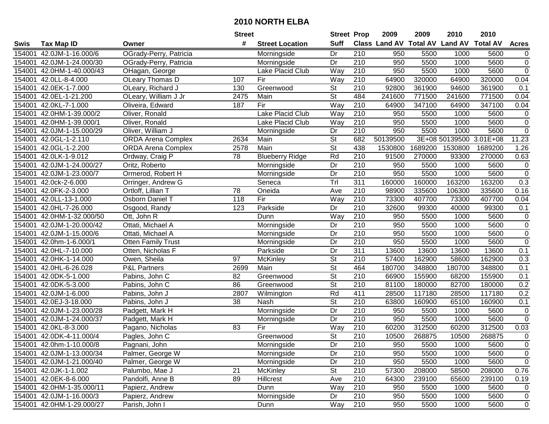|        |                           |                           | <b>Street</b>   |                        | <b>Street Prop</b>       |                  | 2009                          | 2009    | 2010                    | 2010            |                |
|--------|---------------------------|---------------------------|-----------------|------------------------|--------------------------|------------------|-------------------------------|---------|-------------------------|-----------------|----------------|
| Swis   | <b>Tax Map ID</b>         | Owner                     | #               | <b>Street Location</b> | <b>Suff</b>              |                  | <b>Class Land AV Total AV</b> |         | <b>Land AV</b>          | <b>Total AV</b> | <b>Acres</b>   |
| 154001 | 42.0JM-1-16.000/6         | OGrady-Perry, Patricia    |                 | Morningside            | Dr                       | 210              | 950                           | 5500    | 1000                    | 5600            | $\overline{0}$ |
| 154001 | 42.0JM-1-24.000/30        | OGrady-Perry, Patricia    |                 | Morningside            | Dr                       | 210              | 950                           | 5500    | 1000                    | 5600            | $\pmb{0}$      |
| 154001 | 42.0HM-1-40.000/43        | OHagan, George            |                 | Lake Placid Club       | Way                      | 210              | 950                           | 5500    | 1000                    | 5600            | $\overline{0}$ |
| 154001 | 42.0LL-8-4.000            | OLeary Thomas D           | 107             | Fir                    | Way                      | 210              | 64900                         | 320000  | 64900                   | 320000          | 0.04           |
| 154001 | 42.0EK-1-7.000            | OLeary, Richard J         | 130             | Greenwood              | St                       | 210              | 92800                         | 361900  | 94600                   | 361900          | 0.1            |
| 154001 | 42.0EL-1-21.200           | OLeary, William J Jr      | 2475            | Main                   | $\overline{\mathsf{St}}$ | 484              | 241600                        | 771500  | 241600                  | 771500          | 0.04           |
| 154001 | 42.0KL-7-1.000            | Oliveira, Edward          | 187             | Fir                    | Way                      | 210              | 64900                         | 347100  | 64900                   | 347100          | 0.04           |
| 154001 | 42.0HM-1-39.000/2         | Oliver, Ronald            |                 | Lake Placid Club       | Way                      | 210              | 950                           | 5500    | 1000                    | 5600            | $\pmb{0}$      |
| 154001 | 42.0HM-1-39.000/1         | Oliver, Ronald            |                 | Lake Placid Club       | Way                      | $\overline{210}$ | 950                           | 5500    | 1000                    | 5600            | $\pmb{0}$      |
| 154001 | 42.0JM-1-15.000/29        | Oliver, William J         |                 | Morningside            | Dr                       | $\overline{210}$ | 950                           | 5500    | 1000                    | 5600            | $\pmb{0}$      |
| 154001 | 42.0GL-1-2.110            | <b>ORDA Arena Complex</b> | 2634            | Main                   | <b>St</b>                | 682              | 50139500                      |         | 3E+08 50139500 3.01E+08 |                 | 11.23          |
| 154001 | 42.0GL-1-2.200            | <b>ORDA Arena Complex</b> | 2578            | Main                   | <b>St</b>                | 438              | 1530800                       | 1689200 | 1530800                 | 1689200         | 1.26           |
| 154001 | 42.0LK-1-9.012            | Ordway, Craig P           | 78              | <b>Blueberry Ridge</b> | Rd                       | $\overline{210}$ | 91500                         | 270000  | 93300                   | 270000          | 0.63           |
| 154001 | 42.0JM-1-24.000/27        | Oritz, Roberto            |                 | Morningside            | Dr                       | 210              | 950                           | 5500    | 1000                    | 5600            | $\pmb{0}$      |
| 154001 | 42.0JM-1-23.000/7         | Ormerod, Robert H         |                 | Morningside            | Dr                       | 210              | 950                           | 5500    | 1000                    | 5600            | $\pmb{0}$      |
| 154001 | 42.0ck-2-6.000            | Orringer, Andrew G        |                 | Seneca                 | Trl                      | 311              | 160000                        | 160000  | 163200                  | 163200          | 0.3            |
| 154001 | 42.0FK-2-3.000            | Ortloff, Lillian T        | 78              | Oneida                 | Ave                      | $\overline{210}$ | 98900                         | 335600  | 106300                  | 335600          | 0.16           |
| 154001 | 42.0LL-13-1.000           | Osborn Daniel T           | 118             | Fir                    | Way                      | 210              | 73300                         | 407700  | 73300                   | 407700          | 0.04           |
| 154001 | 42.0HL-7-26.000           | Osgood, Randy             | 123             | Parkside               | Dr                       | 210              | 32600                         | 99300   | 40000                   | 99300           | 0.1            |
| 154001 | 42.0HM-1-32.000/50        | Ott, John R               |                 | Dunn                   | Way                      | 210              | 950                           | 5500    | 1000                    | 5600            | $\pmb{0}$      |
| 154001 | 42.0JM-1-20.000/42        | Ottati, Michael A         |                 | Morningside            | Dr                       | 210              | 950                           | 5500    | 1000                    | 5600            | $\overline{0}$ |
| 154001 | 42.0JM-1-15.000/6         | Ottati, Michael A         |                 | Morningside            | Dr                       | 210              | 950                           | 5500    | 1000                    | 5600            | $\pmb{0}$      |
| 154001 | 42.0hm-1-6.000/1          | <b>Otten Family Trust</b> |                 | Morningside            | Dr                       | 210              | 950                           | 5500    | 1000                    | 5600            | $\overline{0}$ |
| 154001 | 42.0HL-7-10.000           | Otten, Nicholas F         |                 | Parkside               | Dr                       | 311              | 13600                         | 13600   | 13600                   | 13600           | 0.1            |
| 154001 | 42.0HK-1-14.000           | Owen, Sheila              | 97              | McKinley               | $\overline{\mathsf{St}}$ | 210              | 57400                         | 162900  | 58600                   | 162900          | 0.3            |
| 154001 | 42.0HL-6-26.028           | <b>P&amp;L Partners</b>   | 2699            | Main                   | $\overline{\mathsf{St}}$ | 464              | 180700                        | 348800  | 180700                  | 348800          | 0.1            |
| 154001 | 42.0DK-5-1.000            | Pabins, John C            | 82              | Greenwood              | $\overline{\mathsf{St}}$ | 210              | 66900                         | 155900  | 68200                   | 155900          | 0.1            |
| 154001 | 42.0DK-5-3.000            | Pabins, John C            | 86              | Greenwood              | $\overline{\mathsf{St}}$ | 210              | 81100                         | 180000  | 82700                   | 180000          | 0.2            |
| 154001 | 42.0JM-1-6.000            | Pabins, John J            | 2807            | Wilmington             | Rd                       | 411              | 28500                         | 117180  | 28500                   | 117180          | 0.2            |
| 154001 | 42.0EJ-3-18.000           | Pabins, John J            | $\overline{38}$ | Nash                   | $\overline{\mathsf{St}}$ | $\overline{210}$ | 63800                         | 160900  | 65100                   | 160900          | 0.1            |
| 154001 | 42.0JM-1-23.000/28        | Padgett, Mark H           |                 | Morningside            | $\overline{Dr}$          | 210              | 950                           | 5500    | 1000                    | 5600            | $\pmb{0}$      |
| 154001 | 42.0JM-1-24.000/37        | Padgett, Mark H           |                 | Morningside            | Dr                       | $\overline{210}$ | 950                           | 5500    | 1000                    | 5600            | $\overline{0}$ |
| 154001 | 42.0KL-8-3.000            | Pagano, Nicholas          | 83              | Fir                    | Way                      | $\overline{210}$ | 60200                         | 312500  | 60200                   | 312500          | 0.03           |
|        | 154001 42.0DK-4-11.000/4  | Pagles, John C            |                 | Greenwood              | $\overline{\mathsf{St}}$ | $\overline{210}$ | 10500                         | 268875  | 10500                   | 268875          | $\mathbf 0$    |
|        | 154001 42.0hm-1-10.000/8  | Pagnani, John             |                 | Morningside            | Dr                       | 210              | 950                           | 5500    | 1000                    | 5600            | 0              |
|        | 154001 42.0JM-1-13.000/34 | Palmer, George W          |                 | Morningside            | Dr                       | 210              | 950                           | 5500    | 1000                    | 5600            | $\pmb{0}$      |
|        | 154001 42.0JM-1-21.000/40 | Palmer, George W          |                 | Morningside            | Dr                       | 210              | 950                           | 5500    | 1000                    | 5600            | 0              |
|        | 154001 42.0JK-1-1.002     | Palumbo, Mae J            | 21              | <b>McKinley</b>        | <b>St</b>                | 210              | 57300                         | 208000  | 58500                   | 208000          | 0.76           |
|        | 154001 42.0EK-8-6.000     | Pandolfi, Anne B          | 89              | Hillcrest              | Ave                      | 210              | 64300                         | 239100  | 65600                   | 239100          | 0.19           |
|        | 154001 42.0HM-1-35.000/11 | Papierz, Andrew           |                 | Dunn                   | Way                      | 210              | 950                           | 5500    | 1000                    | 5600            | 0              |
|        | 154001 42.0JM-1-16.000/3  | Papierz, Andrew           |                 | Morningside            | Dr                       | 210              | 950                           | 5500    | 1000                    | 5600            | 0              |
|        | 154001 42.0HM-1-29.000/27 | Parish, John I            |                 | Dunn                   | Way                      | 210              | 950                           | 5500    | 1000                    | 5600            | $\mathbf 0$    |
|        |                           |                           |                 |                        |                          |                  |                               |         |                         |                 |                |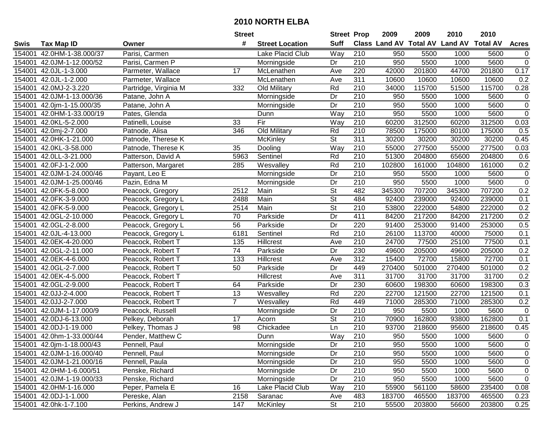|        |                           |                       | <b>Street</b>  |                        | <b>Street Prop</b>       |                  | 2009                          | 2009   | 2010           | 2010            |                |
|--------|---------------------------|-----------------------|----------------|------------------------|--------------------------|------------------|-------------------------------|--------|----------------|-----------------|----------------|
| Swis   | <b>Tax Map ID</b>         | Owner                 | #              | <b>Street Location</b> | <b>Suff</b>              |                  | <b>Class Land AV Total AV</b> |        | <b>Land AV</b> | <b>Total AV</b> | <b>Acres</b>   |
| 154001 | 42.0HM-1-38.000/37        | Parisi, Carmen        |                | Lake Placid Club       | Way                      | 210              | 950                           | 5500   | 1000           | 5600            | 0              |
| 154001 | 42.0JM-1-12.000/52        | Parisi, Carmen P      |                | Morningside            | Dr                       | 210              | 950                           | 5500   | 1000           | 5600            | $\pmb{0}$      |
| 154001 | 42.0JL-1-3.000            | Parmeter, Wallace     | 17             | McLenathen             | Ave                      | 220              | 42000                         | 201800 | 44700          | 201800          | 0.17           |
| 154001 | 42.0JL-1-2.000            | Parmeter, Wallace     |                | McLenathen             | Ave                      | 311              | 10600                         | 10600  | 10600          | 10600           | 0.2            |
| 154001 | 42.0MJ-2-3.220            | Partridge, Virginia M | 332            | Old Military           | Rd                       | 210              | 34000                         | 115700 | 51500          | 115700          | 0.28           |
| 154001 | 42.0JM-1-13.000/36        | Patane, John A        |                | Morningside            | Dr                       | $\overline{210}$ | 950                           | 5500   | 1000           | 5600            | $\mathbf 0$    |
| 154001 | 42.0jm-1-15.000/35        | Patane, John A        |                | Morningside            | Dr                       | 210              | 950                           | 5500   | 1000           | 5600            | $\pmb{0}$      |
| 154001 | 42.0HM-1-33.000/19        | Pates, Glenda         |                | Dunn                   | Way                      | 210              | 950                           | 5500   | 1000           | 5600            | $\overline{0}$ |
| 154001 | 42.0KL-5-2.000            | Patinelli, Louise     | 33             | Fir                    | Way                      | $\overline{210}$ | 60200                         | 312500 | 60200          | 312500          | 0.03           |
| 154001 | 42.0mj-2-7.000            | Patnode, Alisa        | 346            | Old Military           | Rd                       | 210              | 78500                         | 175000 | 80100          | 175000          | 0.5            |
| 154001 | 42.0HK-1-21.000           | Patnode, Therese K    |                | McKinley               | $\overline{\mathsf{St}}$ | 311              | 30200                         | 30200  | 30200          | 30200           | 0.45           |
| 154001 | 42.0KL-3-58.000           | Patnode, Therese K    | 35             | Dooling                | Way                      | 210              | 55000                         | 277500 | 55000          | 277500          | 0.03           |
| 154001 | 42.0LL-3-21.000           | Patterson, David A    | 5963           | Sentinel               | Rd                       | $\overline{210}$ | 51300                         | 204800 | 65600          | 204800          | 0.6            |
| 154001 | 42.0FJ-1-2.000            | Patterson, Margaret   | 285            | Wesvalley              | Rd                       | 210              | 102800                        | 161000 | 104800         | 161000          | 0.2            |
| 154001 | 42.0JM-1-24.000/46        | Payant, Leo E         |                | Morningside            | Dr                       | 210              | 950                           | 5500   | 1000           | 5600            | $\mathbf 0$    |
| 154001 | 42.0JM-1-25.000/46        | Pazin, Edna M         |                | Morningside            | Dr                       | 210              | 950                           | 5500   | 1000           | 5600            | $\mathbf 0$    |
| 154001 | 42.0FK-5-8.000            | Peacock, Gregory      | 2512           | Main                   | $\overline{\mathsf{St}}$ | 482              | 345300                        | 707200 | 345300         | 707200          | 0.2            |
| 154001 | 42.0FK-3-9.000            | Peacock, Gregory L    | 2488           | Main                   | $\overline{\mathsf{St}}$ | 484              | 92400                         | 239000 | 92400          | 239000          | 0.1            |
| 154001 | 42.0FK-5-9.000            | Peacock, Gregory L    | 2514           | Main                   | $\overline{\mathsf{St}}$ | 210              | 53800                         | 222000 | 54800          | 222000          | 0.2            |
| 154001 | 42.0GL-2-10.000           | Peacock, Gregory L    | 70             | Parkside               | Dr                       | 411              | 84200                         | 217200 | 84200          | 217200          | 0.2            |
| 154001 | 42.0GL-2-8.000            | Peacock, Gregory L    | 56             | Parkside               | Dr                       | 220              | 91400                         | 253000 | 91400          | 253000          | 0.5            |
| 154001 | 42.0JL-4-13.000           | Peacock, Gregory L    | 6181           | Sentinel               | Rd                       | 210              | 26100                         | 113700 | 40000          | 75000           | 0.1            |
| 154001 | 42.0EK-4-20.000           | Peacock, Robert T     | 135            | Hillcrest              | Ave                      | 210              | 24700                         | 77500  | 25100          | 77500           | 0.1            |
| 154001 | 42.0GL-2-11.000           | Peacock, Robert T     | 74             | Parkside               | Dr                       | 230              | 49600                         | 205000 | 49600          | 205000          | 0.2            |
| 154001 | 42.0EK-4-6.000            | Peacock, Robert T     | 133            | Hillcrest              | Ave                      | 312              | 15400                         | 72700  | 15800          | 72700           | 0.1            |
| 154001 | 42.0GL-2-7.000            | Peacock, Robert T     | 50             | Parkside               | Dr                       | 449              | 270400                        | 501000 | 270400         | 501000          | 0.2            |
| 154001 | 42.0EK-4-5.000            | Peacock, Robert T     |                | Hillcrest              | Ave                      | 311              | 31700                         | 31700  | 31700          | 31700           | 0.2            |
| 154001 | 42.0GL-2-9.000            | Peacock, Robert T     | 64             | Parkside               | Dr                       | 230              | 60600                         | 198300 | 60600          | 198300          | 0.3            |
| 154001 | 42.0JJ-2-4.000            | Peacock, Robert T     | 13             | Wesvalley              | Rd                       | 220              | 22700                         | 121500 | 22700          | 121500          | 0.1            |
| 154001 | 42.0JJ-2-7.000            | Peacock, Robert T     | $\overline{7}$ | Wesvalley              | Rd                       | 449              | 71000                         | 285300 | 71000          | 285300          | 0.2            |
| 154001 | 42.0JM-1-17.000/9         | Peacock, Russell      |                | Morningside            | $\overline{Dr}$          | 210              | 950                           | 5500   | 1000           | 5600            | $\overline{0}$ |
| 154001 | 42.0DJ-6-13.000           | Pelkey, Deborah       | 17             | Acorn                  | $\overline{\mathsf{St}}$ | 210              | 70900                         | 162800 | 93800          | 162800          | 0.1            |
| 154001 | 42.0DJ-1-19.000           | Pelkey, Thomas J      | 98             | Chickadee              | Ln                       | 210              | 93700                         | 218600 | 95600          | 218600          | 0.45           |
|        | 154001 42.0hm-1-33.000/44 | Pender, Matthew C     |                | Dunn                   | $\overline{W}$ ay        | $\overline{210}$ | 950                           | 5500   | 1000           | 5600            | $\mathbf 0$    |
|        | 154001 42.0jm-1-18.000/43 | Pennell, Paul         |                | Morningside            | Dr                       | 210              | 950                           | 5500   | 1000           | 5600            | 0              |
|        | 154001 42.0JM-1-16.000/40 | Pennell, Paul         |                | Morningside            | Dr                       | 210              | 950                           | 5500   | 1000           | 5600            | 0              |
|        | 154001 42.0JM-1-21.000/16 | Pennell, Paula        |                | Morningside            | Dr                       | 210              | 950                           | 5500   | 1000           | 5600            | 0              |
|        | 154001 42.0HM-1-6.000/51  | Penske, Richard       |                | Morningside            | Dr                       | 210              | 950                           | 5500   | 1000           | 5600            | $\pmb{0}$      |
|        | 154001 42.0JM-1-19.000/33 | Penske, Richard       |                | Morningside            | Dr                       | 210              | 950                           | 5500   | 1000           | 5600            | 0              |
|        | 154001 42.0HM-1-16.000    | Peper, Pamela E       | 16             | Lake Placid Club       | Way                      | 210              | 55900                         | 561100 | 58600          | 235400          | 0.08           |
|        | 154001 42.0DJ-1-1.000     | Pereske, Alan         | 2158           | Saranac                | Ave                      | 483              | 183700                        | 465500 | 183700         | 465500          | 0.23           |
|        | 154001 42.0hk-1-7.100     | Perkins, Andrew J     | 147            | McKinley               | $\overline{\mathsf{St}}$ | 210              | 55500                         | 203800 | 56600          | 203800          | 0.25           |
|        |                           |                       |                |                        |                          |                  |                               |        |                |                 |                |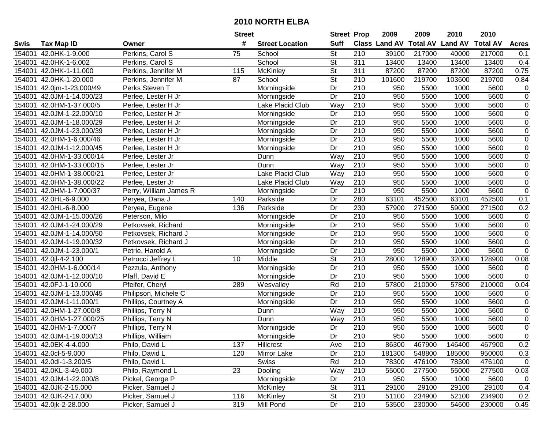|        |                           |                        | <b>Street</b> |                         | <b>Street Prop</b>       |                  | 2009                          | 2009   | 2010           | 2010            |                  |
|--------|---------------------------|------------------------|---------------|-------------------------|--------------------------|------------------|-------------------------------|--------|----------------|-----------------|------------------|
| Swis   | <b>Tax Map ID</b>         | Owner                  | #             | <b>Street Location</b>  | <b>Suff</b>              |                  | <b>Class Land AV Total AV</b> |        | <b>Land AV</b> | <b>Total AV</b> | <b>Acres</b>     |
| 154001 | 42.0HK-1-9.000            | Perkins, Carol S       | 75            | School                  | <b>St</b>                | 210              | 39100                         | 217000 | 40000          | 217000          | 0.1              |
| 154001 | 42.0HK-1-6.002            | Perkins, Carol S       |               | School                  | $\overline{\mathsf{St}}$ | 311              | 13400                         | 13400  | 13400          | 13400           | 0.4              |
| 154001 | 42.0HK-1-11.000           | Perkins, Jennifer M    | 115           | <b>McKinley</b>         | St                       | 311              | 87200                         | 87200  | 87200          | 87200           | 0.75             |
| 154001 | 42.0HK-1-20.000           | Perkins, Jennifer M    | 87            | School                  | $\overline{\mathsf{St}}$ | 210              | 101600                        | 219700 | 103600         | 219700          | 0.84             |
| 154001 | 42.0jm-1-23.000/49        | Perks Steven T         |               | Morningside             | Dr                       | $\overline{210}$ | 950                           | 5500   | 1000           | 5600            | 0                |
| 154001 | 42.0JM-1-14.000/23        | Perlee, Lester H Jr    |               | Morningside             | Dr                       | $\overline{210}$ | 950                           | 5500   | 1000           | 5600            | $\overline{0}$   |
| 154001 | 42.0HM-1-37.000/5         | Perlee, Lester H Jr    |               | Lake Placid Club        | Way                      | 210              | 950                           | 5500   | 1000           | 5600            | $\pmb{0}$        |
| 154001 | 42.0JM-1-22.000/10        | Perlee, Lester H Jr    |               | Morningside             | $\overline{Dr}$          | 210              | 950                           | 5500   | 1000           | 5600            | $\overline{0}$   |
| 154001 | 42.0JM-1-18.000/29        | Perlee, Lester H Jr    |               | Morningside             | Dr                       | $\overline{210}$ | 950                           | 5500   | 1000           | 5600            | $\,0\,$          |
| 154001 | 42.0JM-1-23.000/39        | Perlee, Lester H Jr    |               | Morningside             | Dr                       | 210              | 950                           | 5500   | 1000           | 5600            | $\pmb{0}$        |
| 154001 | 42.0HM-1-6.000/46         | Perlee, Lester H Jr    |               | Morningside             | Dr                       | 210              | 950                           | 5500   | 1000           | 5600            | $\mathbf 0$      |
| 154001 | 42.0JM-1-12.000/45        | Perlee, Lester H Jr    |               | Morningside             | Dr                       | 210              | 950                           | 5500   | 1000           | 5600            | $\boldsymbol{0}$ |
| 154001 | 42.0HM-1-33.000/14        | Perlee, Lester Jr      |               | Dunn                    | Way                      | 210              | 950                           | 5500   | 1000           | 5600            | $\overline{0}$   |
| 154001 | 42.0HM-1-33.000/15        | Perlee, Lester Jr      |               | Dunn                    | Way                      | 210              | 950                           | 5500   | 1000           | 5600            | $\pmb{0}$        |
| 154001 | 42.0HM-1-38.000/21        | Perlee, Lester Jr      |               | <b>Lake Placid Club</b> | Way                      | 210              | 950                           | 5500   | 1000           | 5600            | $\pmb{0}$        |
| 154001 | 42.0HM-1-38.000/22        | Perlee, Lester Jr      |               | Lake Placid Club        | Way                      | 210              | 950                           | 5500   | 1000           | 5600            | $\pmb{0}$        |
| 154001 | 42.0HM-1-7.000/37         | Perry, William James R |               | Morningside             | Dr                       | 210              | 950                           | 5500   | 1000           | 5600            | $\pmb{0}$        |
| 154001 | 42.0HL-6-9.000            | Peryea, Dana J         | 140           | Parkside                | Dr                       | 280              | 63101                         | 452500 | 63101          | 452500          | 0.1              |
| 154001 | 42.0HL-6-8.000            | Peryea, Eugene         | 136           | Parkside                | Dr                       | 230              | 57900                         | 271500 | 59000          | 271500          | 0.2              |
| 154001 | 42.0JM-1-15.000/26        | Peterson, Milo         |               | Morningside             | Dr                       | 210              | 950                           | 5500   | 1000           | 5600            | $\pmb{0}$        |
| 154001 | 42.0JM-1-24.000/29        | Petkovsek, Richard     |               | Morningside             | Dr                       | 210              | 950                           | 5500   | 1000           | 5600            | $\overline{0}$   |
| 154001 | 42.0JM-1-14.000/50        | Petkovsek, Richard J   |               | Morningside             | Dr                       | 210              | 950                           | 5500   | 1000           | 5600            | $\pmb{0}$        |
| 154001 | 42.0JM-1-19.000/32        | Petkovsek, Richard J   |               | Morningside             | Dr                       | 210              | 950                           | 5500   | 1000           | 5600            | $\overline{0}$   |
| 154001 | 42.0JM-1-23.000/1         | Petrie, Harold A       |               | Morningside             | Dr                       | 210              | 950                           | 5500   | 1000           | 5600            | $\pmb{0}$        |
| 154001 | 42.0jl-4-2.100            | Petrocci Jeffrey L     | 10            | Middle                  | $\overline{St}$          | 210              | 28000                         | 128900 | 32000          | 128900          | 0.08             |
| 154001 | 42.0HM-1-6.000/14         | Pezzula, Anthony       |               | Morningside             | Dr                       | 210              | 950                           | 5500   | 1000           | 5600            | 0                |
| 154001 | 42.0JM-1-12.000/10        | Pfaff, David E         |               | Morningside             | Dr                       | 210              | 950                           | 5500   | 1000           | 5600            | $\mathbf 0$      |
| 154001 | 42.0FJ-1-10.000           | Pfeifer, Cheryl        | 289           | Wesvalley               | Rd                       | 210              | 57800                         | 210000 | 57800          | 210000          | 0.04             |
| 154001 | 42.0JM-1-13.000/45        | Philipson, Michele C   |               | Morningside             | Dr                       | $\overline{210}$ | 950                           | 5500   | 1000           | 5600            | $\mathbf 0$      |
| 154001 | 42.0JM-1-11.000/1         | Phillips, Courtney A   |               | Morningside             | Dr                       | 210              | 950                           | 5500   | 1000           | 5600            | $\pmb{0}$        |
| 154001 | 42.0HM-1-27.000/8         | Phillips, Terry N      |               | Dunn                    | $\overline{W}$ ay        | 210              | 950                           | 5500   | 1000           | 5600            | $\overline{0}$   |
| 154001 | 42.0HM-1-27.000/25        | Phillips, Terry N      |               | Dunn                    | <b>Way</b>               | 210              | 950                           | 5500   | 1000           | 5600            | $\overline{0}$   |
| 154001 | 42.0HM-1-7.000/7          | Phillips, Terry N      |               | Morningside             | Dr                       | $\overline{210}$ | 950                           | 5500   | 1000           | 5600            | $\overline{0}$   |
|        | 154001 42.0JM-1-19.000/13 | Phillips, William      |               | Morningside             | $\overline{Dr}$          | $\overline{210}$ | 950                           | 5500   | 1000           | 5600            | $\overline{0}$   |
|        | 154001 42.0EK-4-4.000     | Philo, David L         | 137           | Hillcrest               | Ave                      | 210              | 86300                         | 467900 | 146400         | 467900          | 0.2              |
|        | 154001 42.0cl-5-9.000     | Philo, David L         | 120           | Mirror Lake             | Dr                       | 210              | 181300                        | 548800 | 185000         | 950000          | 0.3              |
|        | 154001 42.0dl-1-3.200/5   | Philo, David L         |               | <b>Swiss</b>            | Rd                       | 210              | 78300                         | 476100 | 78300          | 476100          | 0                |
|        | 154001 42.0KL-3-49.000    | Philo, Raymond L       | 23            | Dooling                 | Way                      | 210              | 55000                         | 277500 | 55000          | 277500          | 0.03             |
|        | 154001 42.0JM-1-22.000/8  | Pickel, George P       |               | Morningside             | Dr                       | 210              | 950                           | 5500   | 1000           | 5600            | $\mathbf 0$      |
|        | 154001 42.0JK-2-15.000    | Picker, Samuel J       |               | <b>McKinley</b>         | <b>St</b>                | 311              | 29100                         | 29100  | 29100          | 29100           | 0.4              |
|        | 154001 42.0JK-2-17.000    | Picker, Samuel J       | 116           | <b>McKinley</b>         | <b>St</b>                | 210              | 51100                         | 234900 | 52100          | 234900          | 0.2              |
|        | 154001 42.0jk-2-28.000    | Picker, Samuel J       | 319           | Mill Pond               | Dr                       | 210              | 53500                         | 230000 | 54600          | 230000          | 0.45             |
|        |                           |                        |               |                         |                          |                  |                               |        |                |                 |                  |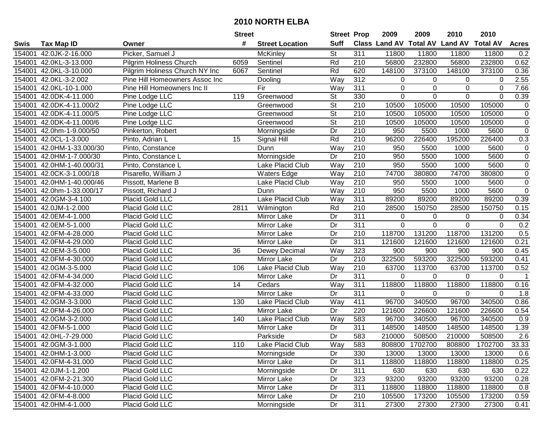|        |                        |                                | <b>Street</b> |                        | <b>Street Prop</b>       |                  | 2009                          | 2009           | 2010           | 2010            |                |
|--------|------------------------|--------------------------------|---------------|------------------------|--------------------------|------------------|-------------------------------|----------------|----------------|-----------------|----------------|
| Swis   | <b>Tax Map ID</b>      | Owner                          | #             | <b>Street Location</b> | <b>Suff</b>              |                  | <b>Class Land AV Total AV</b> |                | <b>Land AV</b> | <b>Total AV</b> | <b>Acres</b>   |
| 154001 | 42.0JK-2-16.000        | Picker, Samuel J               |               | McKinley               | <b>St</b>                | 311              | 11800                         | 11800          | 11800          | 11800           | 0.2            |
| 154001 | 42.0KL-3-13.000        | Pilgrim Holiness Church        | 6059          | Sentinel               | Rd                       | 210              | 56800                         | 232800         | 56800          | 232800          | 0.62           |
| 154001 | 42.0KL-3-10.000        | Pilgrim Holiness Church NY Inc | 6067          | Sentinel               | Rd                       | 620              | 148100                        | 373100         | 148100         | 373100          | 0.36           |
| 154001 | 42.0KL-3-2.002         | Pine Hill Homeowners Assoc Inc |               | Dooling                | Way                      | 312              | 0                             | $\Omega$       | $\Omega$       | $\Omega$        | 2.55           |
| 154001 | 42.0KL-10-1.000        | Pine Hill Homeowners Inc II    |               | Fir                    | Way                      | 311              | 0                             | 0              | 0              | 0               | 7.66           |
| 154001 | 42.0DK-4-11.000        | Pine Lodge LLC                 | 119           | Greenwood              | $\overline{\mathsf{St}}$ | 330              | 0                             | $\Omega$       | $\Omega$       | $\Omega$        | 0.39           |
| 154001 | 42.0DK-4-11.000/2      | Pine Lodge LLC                 |               | Greenwood              | <b>St</b>                | 210              | 10500                         | 105000         | 10500          | 105000          | $\pmb{0}$      |
| 154001 | 42.0DK-4-11.000/5      | Pine Lodge LLC                 |               | Greenwood              | $\overline{\mathsf{St}}$ | 210              | 10500                         | 105000         | 10500          | 105000          | $\overline{0}$ |
| 154001 | 42.0DK-4-11.000/6      | Pine Lodge LLC                 |               | Greenwood              | $\overline{\mathsf{St}}$ | $\overline{210}$ | 10500                         | 105000         | 10500          | 105000          | $\pmb{0}$      |
| 154001 | 42.0hm-1-9.000/50      | Pinkerton, Robert              |               | Morningside            | Dr                       | 210              | 950                           | 5500           | 1000           | 5600            | $\mathbf 0$    |
| 154001 | 42.0CL-1-3.000         | Pinto, Adrian L                | 15            | Signal Hill            | Rd                       | 210              | 96200                         | 226400         | 195200         | 226400          | 0.3            |
| 154001 | 42.0HM-1-33.000/30     | Pinto, Constance               |               | Dunn                   | Way                      | 210              | 950                           | 5500           | 1000           | 5600            | 0              |
| 154001 | 42.0HM-1-7.000/30      | Pinto, Constance L             |               | Morningside            | Dr                       | 210              | 950                           | 5500           | 1000           | 5600            | $\mathbf 0$    |
| 154001 | 42.0HM-1-40.000/31     | Pinto, Constance L             |               | Lake Placid Club       | Way                      | 210              | 950                           | 5500           | 1000           | 5600            | $\pmb{0}$      |
| 154001 | 42.0CK-3-1.000/18      | Pisarello, William J           |               | <b>Waters Edge</b>     | Way                      | 210              | 74700                         | 380800         | 74700          | 380800          | $\pmb{0}$      |
| 154001 | 42.0HM-1-40.000/46     | Pissott, Marlene B             |               | Lake Placid Club       | Way                      | 210              | 950                           | 5500           | 1000           | 5600            | $\pmb{0}$      |
| 154001 | 42.0hm-1-33.000/17     | Pissott, Richard J             |               | Dunn                   | Way                      | 210              | 950                           | 5500           | 1000           | 5600            | $\mathbf 0$    |
| 154001 | 42.0GM-3-4.100         | Placid Gold LLC                |               | Lake Placid Club       | Way                      | 311              | 89200                         | 89200          | 89200          | 89200           | 0.39           |
| 154001 | 42.0JM-1-2.000         | Placid Gold LLC                | 2811          | Wilmington             | Rd                       | 210              | 28500                         | 150750         | 28500          | 150750          | 0.15           |
| 154001 | 42.0EM-4-1.000         | Placid Gold LLC                |               | Mirror Lake            | Dr                       | 311              | 0                             | 0              | 0              | 0               | 0.34           |
| 154001 | 42.0EM-5-1.000         | Placid Gold LLC                |               | Mirror Lake            | Dr                       | 311              | $\mathbf 0$                   | $\Omega$       | $\mathbf 0$    | $\mathbf 0$     | 0.2            |
| 154001 | 42.0FM-4-28.000        | Placid Gold LLC                |               | Mirror Lake            | Dr                       | 210              | 118700                        | 131200         | 118700         | 131200          | 0.5            |
| 154001 | 42.0FM-4-29.000        | Placid Gold LLC                |               | Mirror Lake            | Dr                       | 311              | 121600                        | 121600         | 121600         | 121600          | 0.21           |
| 154001 | 42.0EM-3-5.000         | Placid Gold LLC                | 36            | Dewey Decimal          | Way                      | 323              | 900                           | 900            | 900            | 900             | 0.45           |
| 154001 | 42.0FM-4-30.000        | Placid Gold LLC                |               | Mirror Lake            | Dr                       | $\overline{210}$ | 322500                        | 593200         | 322500         | 593200          | 0.41           |
| 154001 | 42.0GM-3-5.000         | Placid Gold LLC                | 106           | Lake Placid Club       | Way                      | 210              | 63700                         | 113700         | 63700          | 113700          | 0.52           |
| 154001 | 42.0FM-4-34.000        | Placid Gold LLC                |               | Mirror Lake            | Dr                       | 311              | 0                             | $\mathbf 0$    | $\Omega$       | $\Omega$        | $\overline{1}$ |
| 154001 | 42.0FM-4-32.000        | Placid Gold LLC                | 14            | Cedars                 | Way                      | 311              | 118800                        | 118800         | 118800         | 118800          | 0.16           |
| 154001 | 42.0FM-4-33.000        | Placid Gold LLC                |               | Mirror Lake            | Dr                       | 311              | $\mathbf 0$                   | $\Omega$       | $\Omega$       | $\Omega$        | 1.8            |
| 154001 | 42.0GM-3-3.000         | Placid Gold LLC                | 130           | Lake Placid Club       | Way                      | 411              | 96700                         | 340500         | 96700          | 340500          | 0.86           |
| 154001 | 42.0FM-4-26.000        | Placid Gold LLC                |               | Mirror Lake            | $\overline{Dr}$          | 220              | 121600                        | 226600         | 121600         | 226600          | 0.54           |
| 154001 | 42.0GM-3-2.000         | Placid Gold LLC                | 140           | Lake Placid Club       | Way                      | 583              | 96700                         | 340500         | 96700          | 340500          | 0.9            |
| 154001 | 42.0FM-5-1.000         | <b>Placid Gold LLC</b>         |               | Mirror Lake            | Dr                       | 311              | 148500                        | 148500         | 148500         | 148500          | 1.39           |
|        | 154001 42.0HL-7-29.000 | Placid Gold LLC                |               | Parkside               | Dr                       | 583              | 210000                        | 508500         | 210000         | 508500          | 2.6            |
|        | 154001 42.0GM-3-1.000  | <b>Placid Gold LLC</b>         | 110           | Lake Placid Club       | Way                      | 583              |                               | 808800 1702700 | 808800         | 1702700         | 33.33          |
|        | 154001 42.0HM-1-3.000  | Placid Gold LLC                |               | Morningside            | Dr                       | 330              | 13000                         | 13000          | 13000          | 13000           | 0.6            |
|        | 154001 42.0FM-4-31.000 | Placid Gold LLC                |               | Mirror Lake            | Dr                       | 311              | 118800                        | 118800         | 118800         | 118800          | 0.25           |
|        | 154001 42.0JM-1-1.200  | Placid Gold LLC                |               | Morningside            | Dr                       | 311              | 630                           | 630            | 630            | 630             | 0.22           |
|        | 154001 42.0FM-2-21.300 | Placid Gold LLC                |               | Mirror Lake            | Dr                       | 323              | 93200                         | 93200          | 93200          | 93200           | 0.28           |
|        | 154001 42.0FM-4-10.000 | Placid Gold LLC                |               | Mirror Lake            | Dr                       | 311              | 118800                        | 118800         | 118800         | 118800          | 0.8            |
|        | 154001 42.0FM-4-8.000  | Placid Gold LLC                |               | Mirror Lake            | Dr                       | 210              | 105500                        | 173200         | 105500         | 173200          | 0.59           |
|        | 154001 42.0HM-4-1.000  | Placid Gold LLC                |               | Morningside            | Dr                       | 311              | 27300                         | 27300          | 27300          | 27300           | 0.41           |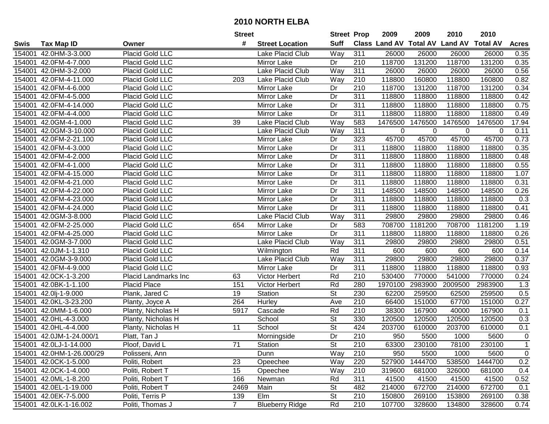|        |                           |                        | <b>Street</b>  |                        | <b>Street Prop</b>       |                  | 2009                           | 2009    | 2010    | 2010            |              |
|--------|---------------------------|------------------------|----------------|------------------------|--------------------------|------------------|--------------------------------|---------|---------|-----------------|--------------|
| Swis   | <b>Tax Map ID</b>         | Owner                  | #              | <b>Street Location</b> | <b>Suff</b>              |                  | Class Land AV Total AV Land AV |         |         | <b>Total AV</b> | <b>Acres</b> |
| 154001 | 42.0HM-3-3.000            | Placid Gold LLC        |                | Lake Placid Club       | Way                      | 311              | 26000                          | 26000   | 26000   | 26000           | 0.35         |
|        | 154001 42.0FM-4-7.000     | Placid Gold LLC        |                | <b>Mirror Lake</b>     | Dr                       | 210              | 118700                         | 131200  | 118700  | 131200          | 0.35         |
|        | 154001 42.0HM-3-2.000     | Placid Gold LLC        |                | Lake Placid Club       | Way                      | 311              | 26000                          | 26000   | 26000   | 26000           | 0.56         |
|        | 154001 42.0FM-4-11.000    | Placid Gold LLC        | 203            | Lake Placid Club       | Way                      | 210              | 118800                         | 160800  | 118800  | 160800          | 0.82         |
|        | 154001 42.0FM-4-6.000     | Placid Gold LLC        |                | Mirror Lake            | Dr                       | 210              | 118700                         | 131200  | 118700  | 131200          | 0.34         |
|        | 154001 42.0FM-4-5.000     | Placid Gold LLC        |                | Mirror Lake            | Dr                       | 311              | 118800                         | 118800  | 118800  | 118800          | 0.42         |
|        | 154001 42.0FM-4-14.000    | Placid Gold LLC        |                | Mirror Lake            | Dr                       | 311              | 118800                         | 118800  | 118800  | 118800          | 0.75         |
|        | 154001 42.0FM-4-4.000     | <b>Placid Gold LLC</b> |                | Mirror Lake            | Dr                       | 311              | 118800                         | 118800  | 118800  | 118800          | 0.49         |
|        | 154001 42.0GM-4-1.000     | <b>Placid Gold LLC</b> | 39             | Lake Placid Club       | Way                      | 583              | 1476500                        | 1476500 | 1476500 | 1476500         | 17.94        |
|        | 154001 42.0GM-3-10.000    | Placid Gold LLC        |                | Lake Placid Club       | Way                      | 311              | $\pmb{0}$                      | 0       | 0       | 0               | 0.11         |
|        | 154001 42.0FM-2-21.100    | Placid Gold LLC        |                | Mirror Lake            | Dr                       | 323              | 45700                          | 45700   | 45700   | 45700           | 0.73         |
|        | 154001 42.0FM-4-3.000     | Placid Gold LLC        |                | Mirror Lake            | Dr                       | 311              | 118800                         | 118800  | 118800  | 118800          | 0.35         |
|        | 154001 42.0FM-4-2.000     | Placid Gold LLC        |                | Mirror Lake            | Dr                       | 311              | 118800                         | 118800  | 118800  | 118800          | 0.48         |
| 154001 | 42.0FM-4-1.000            | Placid Gold LLC        |                | Mirror Lake            | Dr                       | 311              | 118800                         | 118800  | 118800  | 118800          | 0.55         |
| 154001 | 42.0FM-4-15.000           | Placid Gold LLC        |                | Mirror Lake            | Dr                       | 311              | 118800                         | 118800  | 118800  | 118800          | 1.07         |
|        | 154001 42.0FM-4-21.000    | Placid Gold LLC        |                | Mirror Lake            | Dr                       | 311              | 118800                         | 118800  | 118800  | 118800          | 0.31         |
| 154001 | 42.0FM-4-22.000           | Placid Gold LLC        |                | Mirror Lake            | Dr                       | 311              | 148500                         | 148500  | 148500  | 148500          | 0.26         |
| 154001 | 42.0FM-4-23.000           | Placid Gold LLC        |                | Mirror Lake            | Dr                       | 311              | 118800                         | 118800  | 118800  | 118800          | 0.3          |
|        | 154001 42.0FM-4-24.000    | Placid Gold LLC        |                | Mirror Lake            | Dr                       | 311              | 118800                         | 118800  | 118800  | 118800          | 0.41         |
|        | 154001 42.0GM-3-8.000     | Placid Gold LLC        |                | Lake Placid Club       | Way                      | 311              | 29800                          | 29800   | 29800   | 29800           | 0.46         |
|        | 154001 42.0FM-2-25.000    | Placid Gold LLC        | 654            | Mirror Lake            | Dr                       | 583              | 708700                         | 1181200 | 708700  | 1181200         | 1.19         |
| 154001 | 42.0FM-4-25.000           | Placid Gold LLC        |                | Mirror Lake            | Dr                       | 311              | 118800                         | 118800  | 118800  | 118800          | 0.26         |
| 154001 | 42.0GM-3-7.000            | Placid Gold LLC        |                | Lake Placid Club       | Way                      | 311              | 29800                          | 29800   | 29800   | 29800           | 0.51         |
| 154001 | 42.0JM-1-1.310            | Placid Gold LLC        |                | Wilmington             | Rd                       | 311              | 600                            | 600     | 600     | 600             | 0.14         |
| 154001 | 42.0GM-3-9.000            | Placid Gold LLC        |                | Lake Placid Club       | Way                      | 311              | 29800                          | 29800   | 29800   | 29800           | 0.37         |
| 154001 | 42.0FM-4-9.000            | Placid Gold LLC        |                | Mirror Lake            | Dr                       | 311              | 118800                         | 118800  | 118800  | 118800          | 0.93         |
|        | 154001 42.0CK-1-3.200     | Placid Landmarks Inc   | 63             | Victor Herbert         | Rd                       | 210              | 530400                         | 770000  | 541000  | 770000          | 0.24         |
|        | 154001 42.0BK-1-1.100     | Placid Place           | 151            | Victor Herbert         | Rd                       | 280              | 1970100                        | 2983900 | 2009500 | 2983900         | 1.3          |
|        | 154001 42.0lj-1-9.000     | Plank, Jared C         | 19             | Station                | $\overline{\mathsf{St}}$ | 230              | 62200                          | 259500  | 62500   | 259500          | 0.5          |
|        | 154001 42.0KL-3-23.200    | Planty, Joyce A        | 264            | Hurley                 | Ave                      | $\overline{210}$ | 66400                          | 151000  | 67700   | 151000          | 0.27         |
|        | 154001 42.0MM-1-6.000     | Planty, Nicholas H     | 5917           | Cascade                | Rd                       | $\overline{210}$ | 38300                          | 167900  | 40000   | 167900          | 0.1          |
|        | 154001 42.0HL-4-3.000     | Planty, Nicholas H     |                | School                 | $\overline{\mathsf{St}}$ | 330              | 120500                         | 120500  | 120500  | 120500          | 0.3          |
|        | 154001 42.0HL-4-4.000     | Planty, Nicholas H     | 11             | School                 | $\overline{\mathsf{St}}$ | 424              | 203700                         | 610000  | 203700  | 610000          | 0.1          |
|        | 154001 42.0JM-1-24.000/1  | Platt, Tan J           |                | Morningside            | Dr                       | $\overline{210}$ | 950                            | 5500    | 1000    | 5600            | $\mathbf 0$  |
|        | 154001 42.0LJ-1-14.000    | Ploof, David L         | 71             | Station                | <b>St</b>                | 210              | 63300                          | 230100  | 78100   | 230100          |              |
|        | 154001 42.0HM-1-26.000/29 | Polisseni, Ann         |                | Dunn                   | Way                      | 210              | 950                            | 5500    | 1000    | 5600            | $\mathbf 0$  |
|        | 154001 42.0CK-1-5.000     | Politi, Robert         | 23             | Opeechee               | Way                      | 220              | 527900                         | 1444700 | 538500  | 1444700         | 0.2          |
|        | 154001 42.0CK-1-4.000     | Politi, Robert T       | 15             | Opeechee               | Way                      | 210              | 319600                         | 681000  | 326000  | 681000          | 0.4          |
|        | 154001 42.0ML-1-8.200     | Politi, Robert T       | 166            | Newman                 | Rd                       | 311              | 41500                          | 41500   | 41500   | 41500           | 0.52         |
|        | 154001 42.0EL-1-19.000    | Politi, Robert T       | 2469           | Main                   | <b>St</b>                | 482              | 214000                         | 672700  | 214000  | 672700          | 0.1          |
|        | 154001 42.0EK-7-5.000     | Politi, Terris P       | 139            | Elm                    | <b>St</b>                | 210              | 150800                         | 269100  | 153800  | 269100          | 0.38         |
|        | 154001 42.0LK-1-16.002    | Politi, Thomas J       | 7 <sup>7</sup> | <b>Blueberry Ridge</b> | Rd                       | 210              | 107700                         | 328600  | 134800  | 328600          | 0.74         |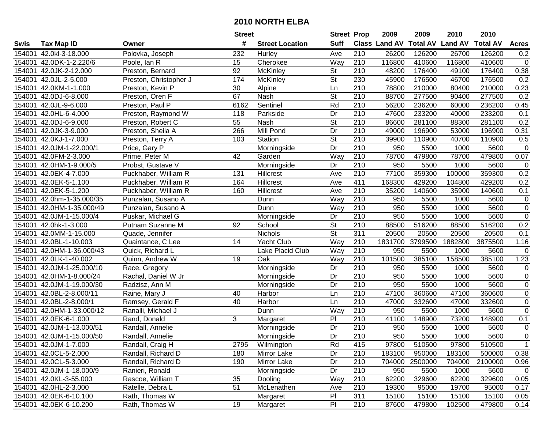|        |                           |                        | <b>Street</b> |                        | <b>Street Prop</b>       |                  | 2009          | 2009            | 2010           | 2010            |                  |
|--------|---------------------------|------------------------|---------------|------------------------|--------------------------|------------------|---------------|-----------------|----------------|-----------------|------------------|
| Swis   | <b>Tax Map ID</b>         | Owner                  | #             | <b>Street Location</b> | <b>Suff</b>              |                  | Class Land AV | <b>Total AV</b> | <b>Land AV</b> | <b>Total AV</b> | <b>Acres</b>     |
| 154001 | 42.0kl-3-18.000           | Polovka, Joseph        | 232           | Hurley                 | Ave                      | 210              | 26200         | 126200          | 26700          | 126200          | 0.2              |
| 154001 | 42.0DK-1-2.220/6          | Poole, Ian R           | 15            | Cherokee               | Way                      | 210              | 116800        | 410600          | 116800         | 410600          | $\mathsf 0$      |
| 154001 | 42.0JK-2-12.000           | Preston, Bernard       | 92            | McKinley               | <b>St</b>                | 210              | 48200         | 176400          | 49100          | 176400          | 0.38             |
| 154001 | 42.0JL-2-5.000            | Preston, Christopher J | 174           | McKinley               | $\overline{\mathsf{St}}$ | 230              | 45900         | 176500          | 46700          | 176500          | 0.2              |
| 154001 | 42.0KM-1-1.000            | Preston, Kevin P       | 30            | Alpine                 | Ln                       | $\overline{210}$ | 78800         | 210000          | 80400          | 210000          | 0.23             |
| 154001 | 42.0DJ-6-8.000            | Preston, Oren F        | 67            | Nash                   | $\overline{\mathsf{St}}$ | $\overline{210}$ | 88700         | 277500          | 90400          | 277500          | 0.2              |
| 154001 | 42.0JL-9-6.000            | Preston, Paul P        | 6162          | Sentinel               | Rd                       | 210              | 56200         | 236200          | 60000          | 236200          | 0.45             |
| 154001 | 42.0HL-6-4.000            | Preston, Raymond W     | 118           | Parkside               | Dr                       | 210              | 47600         | 233200          | 40000          | 233200          | 0.1              |
| 154001 | 42.0DJ-6-9.000            | Preston, Robert C      | 55            | Nash                   | $\overline{\mathsf{St}}$ | $\overline{210}$ | 86600         | 281100          | 88300          | 281100          | 0.2              |
| 154001 | 42.0JK-3-9.000            | Preston, Sheila A      | 266           | Mill Pond              | Dr                       | 210              | 49000         | 196900          | 53000          | 196900          | 0.31             |
| 154001 | 42.0KJ-1-7.000            | Preston, Terry A       | 103           | Station                | $\overline{\mathsf{St}}$ | 210              | 39900         | 110900          | 40700          | 110900          | 0.5              |
| 154001 | 42.0JM-1-22.000/1         | Price, Gary P          |               | Morningside            | Dr                       | 210              | 950           | 5500            | 1000           | 5600            | $\mathbf 0$      |
| 154001 | 42.0FM-2-3.000            | Prime, Peter M         | 42            | Garden                 | Way                      | 210              | 78700         | 479800          | 78700          | 479800          | 0.07             |
| 154001 | 42.0HM-1-9.000/5          | Probst, Gustave V      |               | Morningside            | Dr                       | 210              | 950           | 5500            | 1000           | 5600            | $\mathbf 0$      |
| 154001 | 42.0EK-4-7.000            | Puckhaber, William R   | 131           | Hillcrest              | Ave                      | 210              | 77100         | 359300          | 100000         | 359300          | 0.2              |
| 154001 | 42.0EK-5-1.100            | Puckhaber, William R   | 164           | Hillcrest              | Ave                      | 411              | 168300        | 429200          | 104800         | 429200          | 0.2              |
| 154001 | 42.0EK-5-1.200            | Puckhaber, William R   | 160           | Hillcrest              | Ave                      | $\overline{210}$ | 35200         | 140600          | 35900          | 140600          | 0.1              |
| 154001 | 42.0hm-1-35.000/35        | Punzalan, Susano A     |               | Dunn                   | Way                      | 210              | 950           | 5500            | 1000           | 5600            | $\pmb{0}$        |
| 154001 | 42.0HM-1-35.000/49        | Punzalan, Susano A     |               | Dunn                   | Way                      | 210              | 950           | 5500            | 1000           | 5600            | $\overline{0}$   |
| 154001 | 42.0JM-1-15.000/4         | Puskar, Michael G      |               | Morningside            | Dr                       | 210              | 950           | 5500            | 1000           | 5600            | $\pmb{0}$        |
| 154001 | 42.0hk-1-3.000            | Putnam Suzanne M       | 92            | School                 | $\overline{\mathsf{St}}$ | 210              | 88500         | 516200          | 88500          | 516200          | 0.2              |
| 154001 | 42.0MM-1-15.000           | Quade, Jennifer        |               | Nichols                | St                       | 311              | 20500         | 20500           | 20500          | 20500           | 0.1              |
| 154001 | 42.0BL-1-10.003           | Quaintance, C Lee      | 14            | Yacht Club             | Way                      | 210              | 1831700       | 3799500         | 1882800        | 3875500         | 1.16             |
| 154001 | 42.0HM-1-36.000/43        | Quick, Richard L       |               | Lake Placid Club       | Way                      | 210              | 950           | 5500            | 1000           | 5600            | $\mathbf 0$      |
| 154001 | 42.0LK-1-40.002           | Quinn, Andrew W        | 19            | Oak                    | Way                      | 210              | 101500        | 385100          | 158500         | 385100          | 1.23             |
| 154001 | 42.0JM-1-25.000/10        | Race, Gregory          |               | Morningside            | Dr                       | 210              | 950           | 5500            | 1000           | 5600            | 0                |
| 154001 | 42.0HM-1-8.000/24         | Rachal, Daniel W Jr    |               | Morningside            | Dr                       | 210              | 950           | 5500            | 1000           | 5600            | $\boldsymbol{0}$ |
| 154001 | 42.0JM-1-19.000/30        | Radzisz, Ann M         |               | Morningside            | Dr                       | 210              | 950           | 5500            | 1000           | 5600            | $\mathbf 0$      |
| 154001 | 42.0BL-2-8.000/11         | Raine, Mary J          | 40            | Harbor                 | Ln                       | $\overline{210}$ | 47100         | 360600          | 47100          | 360600          | $\mathsf 0$      |
| 154001 | 42.0BL-2-8.000/1          | Ramsey, Gerald F       | 40            | Harbor                 | Ln                       | $\overline{210}$ | 47000         | 332600          | 47000          | 332600          | $\mathbf 0$      |
| 154001 | 42.0HM-1-33.000/12        | Ranalli, Michael J     |               | Dunn                   | Way                      | 210              | 950           | 5500            | 1000           | 5600            | $\overline{0}$   |
| 154001 | 42.0EK-6-1.000            | Rand, Donald           | 3             | Margaret               | $\overline{P}$           | 210              | 41100         | 148900          | 73200          | 148900          | 0.1              |
| 154001 | 42.0JM-1-13.000/51        | Randall, Annelie       |               | Morningside            | $\overline{Dr}$          | 210              | 950           | 5500            | 1000           | 5600            | $\overline{0}$   |
|        | 154001 42.0JM-1-15.000/50 | Randall, Annelie       |               | Morningside            | $\overline{Dr}$          | $\overline{210}$ | 950           | 5500            | 1000           | 5600            | $\overline{0}$   |
|        | 154001 42.0JM-1-7.000     | Randall, Craig H       | 2795          | Wilmington             | Rd                       | 415              | 97800         | 510500          | 97800          | 510500          | $\mathbf{1}$     |
|        | 154001 42.0CL-5-2.000     | Randall, Richard D     | 180           | Mirror Lake            | Dr                       | 210              | 183100        | 950000          | 183100         | 500000          | 0.38             |
|        | 154001 42.0CL-5-3.000     | Randall, Richard D     | 190           | Mirror Lake            | Dr                       | 210              | 704000        | 2500000         | 704000         | 2100000         | 0.96             |
|        | 154001 42.0JM-1-18.000/9  | Ranieri, Ronald        |               | Morningside            | Dr                       | 210              | 950           | 5500            | 1000           | 5600            | $\mathbf 0$      |
|        | 154001 42.0KL-3-55.000    | Rascoe, William T      | 35            | Dooling                | Way                      | 210              | 62200         | 329600          | 62200          | 329600          | 0.05             |
|        | 154001 42.0HL-2-3.000     | Ratelle, Debra L       | 51            | McLenathen             | Ave                      | 210              | 19300         | 95000           | 19700          | 95000           | 0.17             |
|        | 154001 42.0EK-6-10.100    | Rath, Thomas W         |               | Margaret               | PI                       | 311              | 15100         | 15100           | 15100          | 15100           | 0.05             |
|        | 154001 42.0EK-6-10.200    | Rath, Thomas W         | 19            | Margaret               | PI                       | 210              | 87600         | 479800          | 102500         | 479800          | 0.14             |
|        |                           |                        |               |                        |                          |                  |               |                 |                |                 |                  |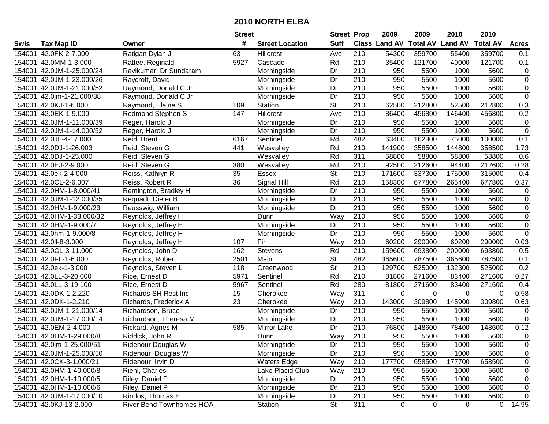|        |                           |                             | <b>Street</b>   |                        | <b>Street Prop</b>       |                  | 2009                 | 2009            | 2010           | 2010            |                     |
|--------|---------------------------|-----------------------------|-----------------|------------------------|--------------------------|------------------|----------------------|-----------------|----------------|-----------------|---------------------|
| Swis   | <b>Tax Map ID</b>         | Owner                       | #               | <b>Street Location</b> | <b>Suff</b>              |                  | <b>Class Land AV</b> | <b>Total AV</b> | <b>Land AV</b> | <b>Total AV</b> | <b>Acres</b>        |
| 154001 | 42.0FK-2-7.000            | Ratigan Dylan J             | 63              | Hillcrest              | Ave                      | 210              | 54300                | 359700          | 55400          | 359700          | 0.1                 |
| 154001 | 42.0MM-1-3.000            | Rattee, Reginald            | 5927            | Cascade                | Rd                       | 210              | 35400                | 121700          | 40000          | 121700          | 0.1                 |
| 154001 | 42.0JM-1-25.000/24        | Ravikumar, Dr Sundaram      |                 | Morningside            | Dr                       | 210              | 950                  | 5500            | 1000           | 5600            | 0                   |
| 154001 | 42.0JM-1-23.000/26        | Raycroft, David             |                 | Morningside            | Dr                       | 210              | 950                  | 5500            | 1000           | 5600            | $\pmb{0}$           |
| 154001 | 42.0JM-1-21.000/52        | Raymond, Donald C Jr        |                 | Morningside            | Dr                       | 210              | 950                  | 5500            | 1000           | 5600            | $\pmb{0}$           |
| 154001 | 42.0jm-1-21.000/38        | Raymond, Donald C Jr        |                 | Morningside            | Dr                       | $\overline{210}$ | 950                  | 5500            | 1000           | 5600            | $\overline{0}$      |
| 154001 | 42.0KJ-1-6.000            | Raymond, Elaine S           | 109             | Station                | <b>St</b>                | 210              | 62500                | 212800          | 52500          | 212800          | 0.3                 |
| 154001 | 42.0EK-1-9.000            | <b>Redmond Stephen S</b>    | 147             | <b>Hillcrest</b>       | Ave                      | 210              | 86400                | 456800          | 146400         | 456800          | 0.2                 |
| 154001 | 42.0JM-1-11.000/39        | Reger, Harold J             |                 | Morningside            | $\overline{Dr}$          | $\overline{210}$ | 950                  | 5500            | 1000           | 5600            | $\pmb{0}$           |
| 154001 | 42.0JM-1-14.000/52        | Reger, Harold J             |                 | Morningside            | Dr                       | 210              | 950                  | 5500            | 1000           | 5600            | $\boldsymbol{0}$    |
| 154001 | 42.0JL-4-17.000           | Reid, Brent                 | 6167            | Sentinel               | Rd                       | 482              | 63400                | 162300          | 75000          | 100000          | 0.1                 |
| 154001 | 42.0DJ-1-26.003           | Reid, Steven G              | 441             | Wesvalley              | Rd                       | 210              | 141900               | 358500          | 144800         | 358500          | 1.73                |
| 154001 | 42.0DJ-1-25.000           | Reid, Steven G              |                 | Wesvalley              | Rd                       | $\overline{311}$ | 58800                | 58800           | 58800          | 58800           | 0.6                 |
| 154001 | 42.0EJ-2-9.000            | Reid, Steven G              | 380             | Wesvalley              | Rd                       | 210              | 92500                | 212600          | 94400          | 212600          | 0.28                |
| 154001 | 42.0ek-2-4.000            | Reiss, Kathryn R            | 35              | <b>Essex</b>           | $\overline{\mathsf{St}}$ | 210              | 171600               | 337300          | 175000         | 315000          | 0.4                 |
| 154001 | 42.0CL-2-6.007            | Reiss, Robert R             | 36              | Signal Hill            | Rd                       | 210              | 158300               | 677800          | 265400         | 677800          | 0.37                |
| 154001 | 42.0HM-1-8.000/41         | Remington, Bradley H        |                 | Morningside            | Dr                       | $\overline{210}$ | 950                  | 5500            | 1000           | 5600            | $\pmb{0}$           |
| 154001 | 42.0JM-1-12.000/35        | Requadt, Dieter B           |                 | Morningside            | Dr                       | 210              | 950                  | 5500            | 1000           | 5600            | $\pmb{0}$           |
| 154001 | 42.0HM-1-9.000/23         | Reusswig, William           |                 | Morningside            | Dr                       | 210              | 950                  | 5500            | 1000           | 5600            | $\pmb{0}$           |
| 154001 | 42.0HM-1-33.000/32        | Reynolds, Jeffrey H         |                 | Dunn                   | Way                      | 210              | 950                  | 5500            | 1000           | 5600            | $\pmb{0}$           |
| 154001 | 42.0HM-1-9.000/7          | Reynolds, Jeffrey H         |                 | Morningside            | Dr                       | 210              | 950                  | 5500            | 1000           | 5600            | $\overline{0}$      |
| 154001 | 42.0hm-1-9.000/8          | Reynolds, Jeffrey H         |                 | Morningside            | Dr                       | 210              | 950                  | 5500            | 1000           | 5600            | $\mathsf{O}\xspace$ |
| 154001 | 42.0II-8-3.000            | Reynolds, Jeffrey H         | 107             | Fir                    | Way                      | 210              | 60200                | 290000          | 60200          | 290000          | 0.03                |
| 154001 | 42.0CL-3-11.000           | Reynolds, John D            | 162             | <b>Stevens</b>         | Rd                       | 210              | 159600               | 693800          | 200000         | 693800          | 0.5                 |
| 154001 | 42.0FL-1-6.000            | Reynolds, Robert            | 2501            | Main                   | $\overline{\mathsf{St}}$ | 482              | 365600               | 787500          | 365600         | 787500          | 0.1                 |
| 154001 | 42.0ek-1-3.000            | Reynolds, Steven L          | 118             | Greenwood              | $\overline{\mathsf{St}}$ | 210              | 129700               | 525000          | 132300         | 525000          | 0.2                 |
| 154001 | 42.0LL-3-20.000           | Rice, Ernest D              | 5971            | Sentinel               | Rd                       | 210              | 81800                | 271600          | 83400          | 271600          | 0.27                |
| 154001 | 42.0LL-3-19.100           | Rice, Ernest D              | 5967            | Sentinel               | Rd                       | 280              | 81800                | 271600          | 83400          | 271600          | 0.4                 |
| 154001 | 42.0DK-1-2.220            | <b>Richards SH Rest Inc</b> | 15              | Cherokee               | Way                      | 311              | $\mathbf 0$          | $\mathbf 0$     | $\Omega$       | $\Omega$        | 0.58                |
| 154001 | 42.0DK-1-2.210            | Richards, Frederick A       | $\overline{23}$ | Cherokee               | Way                      | $\overline{210}$ | 143000               | 309800          | 145900         | 309800          | 0.63                |
| 154001 | 42.0JM-1-21.000/14        | Richardson, Bruce           |                 | Morningside            | Dr                       | $\overline{210}$ | 950                  | 5500            | 1000           | 5600            | $\mathsf 0$         |
| 154001 | 42.0JM-1-17.000/14        | Richardson, Theresa M       |                 | Morningside            | Dr                       | $\overline{210}$ | 950                  | 5500            | 1000           | 5600            | $\overline{0}$      |
| 154001 | 42.0EM-2-4.000            | Rickard, Agnes M            | 585             | Mirror Lake            | $\overline{Dr}$          | 210              | 76800                | 148600          | 78400          | 148600          | 0.12                |
|        | 154001 42.0HM-1-29.000/8  | Riddick, John R             |                 | Dunn                   | $\overline{Way}$         | $\overline{210}$ | 950                  | 5500            | 1000           | 5600            | $\pmb{0}$           |
|        | 154001 42.0jm-1-25.000/51 | <b>Ridenour Douglas W</b>   |                 | Morningside            | Dr                       | 210              | 950                  | 5500            | 1000           | 5600            | 0                   |
|        | 154001 42.0JM-1-25.000/50 | Ridenour, Douglas W         |                 | Morningside            | Dr                       | 210              | 950                  | 5500            | 1000           | 5600            | 0                   |
|        | 154001 42.0CK-3-1.000/21  | Ridenour, Irvin D           |                 | <b>Waters Edge</b>     | Way                      | 210              | 177700               | 658500          | 177700         | 658500          | 0                   |
|        | 154001 42.0HM-1-40.000/8  | Riehl, Charles              |                 | Lake Placid Club       | Way                      | 210              | 950                  | 5500            | 1000           | 5600            | 0                   |
|        | 154001 42.0HM-1-10.000/5  | Riley, Daniel P             |                 | Morningside            | Dr                       | 210              | 950                  | 5500            | 1000           | 5600            | 0                   |
|        | 154001 42.0HM-1-10.000/6  | Riley, Daniel P             |                 | Morningside            | Dr                       | 210              | 950                  | 5500            | 1000           | 5600            | 0                   |
|        | 154001 42.0JM-1-17.000/10 | Rindos, Thomas E            |                 | Morningside            | Dr                       | 210              | 950                  | 5500            | 1000           | 5600            | $\mathbf 0$         |
|        | 154001 42.0KJ-13-2.000    | River Bend Townhomes HOA    |                 | Station                | St                       | 311              | 0                    | 0               | 0              | $\mathbf 0$     | 14.95               |
|        |                           |                             |                 |                        |                          |                  |                      |                 |                |                 |                     |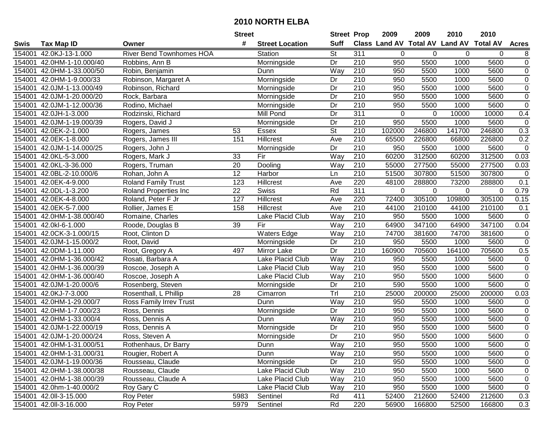|        |                           |                                 | <b>Street</b> |                        | <b>Street Prop</b>       |                  | 2009   | 2009         | 2010                                    | 2010     |                |
|--------|---------------------------|---------------------------------|---------------|------------------------|--------------------------|------------------|--------|--------------|-----------------------------------------|----------|----------------|
| Swis   | <b>Tax Map ID</b>         | Owner                           | #             | <b>Street Location</b> | <b>Suff</b>              |                  |        |              | Class Land AV Total AV Land AV Total AV |          | <b>Acres</b>   |
| 154001 | 42.0KJ-13-1.000           | <b>River Bend Townhomes HOA</b> |               | Station                | St                       | 311              | 0      | $\mathbf{0}$ | 0                                       | 0        | 8              |
| 154001 | 42.0HM-1-10.000/40        | Robbins, Ann B                  |               | Morningside            | Dr                       | 210              | 950    | 5500         | 1000                                    | 5600     | $\overline{0}$ |
| 154001 | 42.0HM-1-33.000/50        | Robin, Benjamin                 |               | Dunn                   | Way                      | 210              | 950    | 5500         | 1000                                    | 5600     | $\mathsf 0$    |
| 154001 | 42.0HM-1-9.000/33         | Robinson, Margaret A            |               | Morningside            | Dr                       | 210              | 950    | 5500         | 1000                                    | 5600     | $\overline{0}$ |
| 154001 | 42.0JM-1-13.000/49        | Robinson, Richard               |               | Morningside            | Dr                       | 210              | 950    | 5500         | 1000                                    | 5600     | $\overline{0}$ |
| 154001 | 42.0JM-1-20.000/20        | Rock, Barbara                   |               | Morningside            | Dr                       | $\overline{210}$ | 950    | 5500         | 1000                                    | 5600     | $\overline{0}$ |
| 154001 | 42.0JM-1-12.000/36        | Rodino, Michael                 |               | Morningside            | Dr                       | 210              | 950    | 5500         | 1000                                    | 5600     | $\overline{0}$ |
| 154001 | 42.0JH-1-3.000            | Rodzinski, Richard              |               | Mill Pond              | $\overline{Dr}$          | 311              | 0      | $\Omega$     | 10000                                   | 10000    | 0.4            |
| 154001 | 42.0JM-1-19.000/39        | Rogers, David J                 |               | Morningside            | $\overline{Dr}$          | $\overline{210}$ | 950    | 5500         | 1000                                    | 5600     | $\mathbf 0$    |
| 154001 | 42.0EK-2-1.000            | Rogers, James                   | 53            | Essex                  | $\overline{\mathsf{St}}$ | $\overline{210}$ | 102000 | 246800       | 141700                                  | 246800   | 0.3            |
| 154001 | 42.0EK-1-8.000            | Rogers, James III               | 151           | Hillcrest              | Ave                      | 210              | 65500  | 226800       | 66800                                   | 226800   | 0.2            |
| 154001 | 42.0JM-1-14.000/25        | Rogers, John J                  |               | Morningside            | Dr                       | 210              | 950    | 5500         | 1000                                    | 5600     | $\mathbf 0$    |
| 154001 | 42.0KL-5-3.000            | Rogers, Mark J                  | 33            | Fir                    | Way                      | 210              | 60200  | 312500       | 60200                                   | 312500   | 0.03           |
| 154001 | 42.0KL-3-36.000           | Rogers, Truman                  | 20            | Dooling                | Way                      | 210              | 55000  | 277500       | 55000                                   | 277500   | 0.03           |
| 154001 | 42.0BL-2-10.000/6         | Rohan, John A                   | 12            | Harbor                 | Ln                       | 210              | 51500  | 307800       | 51500                                   | 307800   | $\mathbf 0$    |
| 154001 | 42.0EK-4-9.000            | <b>Roland Family Trust</b>      | 123           | <b>Hillcrest</b>       | Ave                      | 220              | 48100  | 288800       | 73200                                   | 288800   | 0.1            |
| 154001 | 42.0DL-1-3.200            | Roland Properties Inc           | 22            | <b>Swiss</b>           | Rd                       | $\overline{311}$ | 0      | 0            | $\mathbf 0$                             | $\Omega$ | 0.79           |
| 154001 | 42.0EK-4-8.000            | Roland, Peter F Jr              | 127           | Hillcrest              | Ave                      | 220              | 72400  | 305100       | 109800                                  | 305100   | 0.15           |
| 154001 | 42.0EK-5-7.000            | Rollier, James E                | 158           | Hillcrest              | Ave                      | 210              | 44100  | 210100       | 44100                                   | 210100   | 0.1            |
| 154001 | 42.0HM-1-38.000/40        | Romaine, Charles                |               | Lake Placid Club       | Way                      | 210              | 950    | 5500         | 1000                                    | 5600     | $\mathsf 0$    |
| 154001 | 42.0kl-6-1.000            | Roode, Douglas B                | 39            | $\overline{Fix}$       | Way                      | 210              | 64900  | 347100       | 64900                                   | 347100   | 0.04           |
| 154001 | 42.0CK-3-1.000/15         | Root, Clinton D                 |               | <b>Waters Edge</b>     | Way                      | 210              | 74700  | 381600       | 74700                                   | 381600   | $\mathbf 0$    |
| 154001 | 42.0JM-1-15.000/2         | Root, David                     |               | Morningside            | Dr                       | 210              | 950    | 5500         | 1000                                    | 5600     | $\mathbf 0$    |
| 154001 | 42.0DM-1-11.000           | Root, Gregory A                 | 497           | Mirror Lake            | Dr                       | 210              | 160900 | 705600       | 164100                                  | 705600   | 0.5            |
| 154001 | 42.0HM-1-36.000/42        | Rosati, Barbara A               |               | Lake Placid Club       | Way                      | 210              | 950    | 5500         | 1000                                    | 5600     | $\mathsf 0$    |
| 154001 | 42.0HM-1-36.000/39        | Roscoe, Joseph A                |               | Lake Placid Club       | Way                      | 210              | 950    | 5500         | 1000                                    | 5600     | $\mathsf 0$    |
| 154001 | 42.0HM-1-36.000/40        | Roscoe, Joseph A                |               | Lake Placid Club       | Way                      | 210              | 950    | 5500         | 1000                                    | 5600     | $\pmb{0}$      |
| 154001 | 42.0JM-1-20.000/6         | Rosenberg, Steven               |               | Morningside            | Dr                       | 210              | 590    | 5500         | 1000                                    | 5600     | $\mathbf 0$    |
| 154001 | 42.0KJ-7-3.000            | Rosenthall, L Phillip           | 28            | Cimarron               | Trl                      | 210              | 25000  | 200000       | 25000                                   | 200000   | 0.03           |
| 154001 | 42.0HM-1-29.000/7         | Ross Family Irrev Trust         |               | Dunn                   | Way                      | $\overline{210}$ | 950    | 5500         | 1000                                    | 5600     | $\mathbf 0$    |
| 154001 | 42.0HM-1-7.000/23         | Ross, Dennis                    |               | Morningside            | Dr                       | 210              | 950    | 5500         | 1000                                    | 5600     | $\overline{0}$ |
| 154001 | 42.0HM-1-33.000/4         | Ross, Dennis A                  |               | Dunn                   | Way                      | 210              | 950    | 5500         | 1000                                    | 5600     | $\overline{0}$ |
| 154001 | 42.0JM-1-22.000/19        | Ross, Dennis A                  |               | Morningside            | Dr                       | $\overline{210}$ | 950    | 5500         | 1000                                    | 5600     | $\overline{0}$ |
|        | 154001 42.0JM-1-20.000/24 | Ross, Steven A                  |               | Morningside            | $\overline{Dr}$          | $\overline{210}$ | 950    | 5500         | 1000                                    | 5600     | $\overline{0}$ |
|        | 154001 42.0HM-1-31.000/51 | Rothenhaus, Dr Barry            |               | Dunn                   | Way                      | 210              | 950    | 5500         | 1000                                    | 5600     | 0              |
|        | 154001 42.0HM-1-31.000/31 | Rougier, Robert A               |               | Dunn                   | Way                      | 210              | 950    | 5500         | 1000                                    | 5600     | $\mathbf 0$    |
|        | 154001 42.0JM-1-19.000/36 | Rousseau, Claude                |               | Morningside            | Dr                       | 210              | 950    | 5500         | 1000                                    | 5600     | $\mathbf 0$    |
|        | 154001 42.0HM-1-38.000/38 | Rousseau, Claude                |               | Lake Placid Club       | Way                      | 210              | 950    | 5500         | 1000                                    | 5600     | $\mathbf 0$    |
|        | 154001 42.0HM-1-38.000/39 | Rousseau, Claude A              |               | Lake Placid Club       | Way                      | 210              | 950    | 5500         | 1000                                    | 5600     | $\mathbf 0$    |
|        | 154001 42.0hm-1-40.000/2  | Roy Gary C                      |               | Lake Placid Club       | Way                      | 210              | 950    | 5500         | 1000                                    | 5600     | $\mathbf 0$    |
|        | 154001 42.0ll-3-15.000    | Roy Peter                       | 5983          | Sentinel               | Rd                       | 411              | 52400  | 212600       | 52400                                   | 212600   | 0.3            |
|        | 154001 42.0ll-3-16.000    | Roy Peter                       | 5979          | Sentinel               | Rd                       | 220              | 56900  | 166800       | 52500                                   | 166800   | 0.3            |
|        |                           |                                 |               |                        |                          |                  |        |              |                                         |          |                |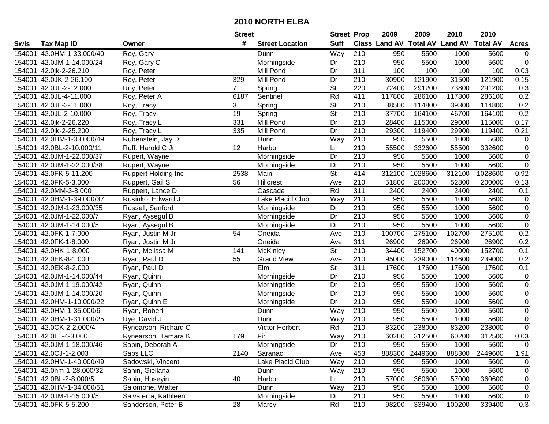|        |                           |                            | <b>Street</b>  |                        | <b>Street Prop</b>       |                  | 2009   | 2009           | 2010                                    | 2010    |                |
|--------|---------------------------|----------------------------|----------------|------------------------|--------------------------|------------------|--------|----------------|-----------------------------------------|---------|----------------|
| Swis   | <b>Tax Map ID</b>         | Owner                      | #              | <b>Street Location</b> | <b>Suff</b>              |                  |        |                | Class Land AV Total AV Land AV Total AV |         | <b>Acres</b>   |
| 154001 | 42.0HM-1-33.000/40        | Roy, Gary                  |                | Dunn                   | Way                      | 210              | 950    | 5500           | 1000                                    | 5600    | 0              |
| 154001 | 42.0JM-1-14.000/24        | Roy, Gary C                |                | Morningside            | Dr                       | 210              | 950    | 5500           | 1000                                    | 5600    | $\pmb{0}$      |
| 154001 | 42.0jk-2-26.210           | Roy, Peter                 |                | Mill Pond              | Dr                       | 311              | 100    | 100            | 100                                     | 100     | 0.03           |
| 154001 | 42.0JK-2-26.100           | Roy, Peter                 | 329            | Mill Pond              | Dr                       | 210              | 30900  | 121900         | 31500                                   | 121900  | 0.15           |
| 154001 | 42.0JL-2-12.000           | Roy, Peter                 | $\overline{7}$ | Spring                 | $\overline{\mathsf{St}}$ | 220              | 72400  | 291200         | 73800                                   | 291200  | 0.3            |
| 154001 | 42.0JL-4-11.000           | Roy, Peter A               | 6187           | Sentinel               | Rd                       | 411              | 117800 | 286100         | 117800                                  | 286100  | 0.2            |
| 154001 | 42.0JL-2-11.000           | Roy, Tracy                 | 3              | Spring                 | $\overline{\mathsf{St}}$ | $\overline{210}$ | 38500  | 114800         | 39300                                   | 114800  | 0.2            |
| 154001 | 42.0JL-2-10.000           | Roy, Tracy                 | 19             | Spring                 | $\overline{\mathsf{St}}$ | 210              | 37700  | 164100         | 46700                                   | 164100  | 0.2            |
| 154001 | 42.0jk-2-26.220           | Roy, Tracy L               | 331            | <b>Mill Pond</b>       | $\overline{Dr}$          | 210              | 28400  | 115000         | 29000                                   | 115000  | 0.17           |
| 154001 | 42.0jk-2-25.200           | Roy, Tracy L               | 335            | Mill Pond              | $\overline{Dr}$          | $\overline{210}$ | 29300  | 119400         | 29900                                   | 119400  | 0.21           |
| 154001 | 42.0HM-1-33.000/49        | Rubenstein, Jay D          |                | Dunn                   | Way                      | 210              | 950    | 5500           | 1000                                    | 5600    | $\pmb{0}$      |
| 154001 | 42.0BL-2-10.000/11        | Ruff, Harold C Jr          | 12             | Harbor                 | Ln                       | 210              | 55500  | 332600         | 55500                                   | 332600  | $\pmb{0}$      |
| 154001 | 42.0JM-1-22.000/37        | Rupert, Wayne              |                | Morningside            | Dr                       | 210              | 950    | 5500           | 1000                                    | 5600    | $\pmb{0}$      |
| 154001 | 42.0JM-1-22.000/38        | Rupert, Wayne              |                | Morningside            | Dr                       | $\overline{210}$ | 950    | 5500           | 1000                                    | 5600    | $\overline{0}$ |
| 154001 | 42.0FK-5-11.200           | <b>Ruppert Holding Inc</b> | 2538           | Main                   | $\overline{\mathsf{St}}$ | 414              | 312100 | 1028600        | 312100                                  | 1028600 | 0.92           |
| 154001 | 42.0FK-5-3.000            | Ruppert, Gail S            | 56             | Hillcrest              | Ave                      | $\overline{210}$ | 51800  | 200000         | 52800                                   | 200000  | 0.13           |
| 154001 | 42.0MM-3-8.000            | Ruppert, Lance D           |                | Cascade                | Rd                       | 311              | 2400   | 2400           | 2400                                    | 2400    | 0.1            |
| 154001 | 42.0HM-1-39.000/37        | Rusinko, Edward J          |                | Lake Placid Club       | Way                      | $\overline{210}$ | 950    | 5500           | 1000                                    | 5600    | $\pmb{0}$      |
| 154001 | 42.0JM-1-23.000/35        | Russell, Sanford           |                | Morningside            | Dr                       | 210              | 950    | 5500           | 1000                                    | 5600    | $\pmb{0}$      |
| 154001 | 42.0JM-1-22.000/7         | Ryan, Aysegul B            |                | Morningside            | Dr                       | 210              | 950    | 5500           | 1000                                    | 5600    | $\overline{0}$ |
| 154001 | 42.0JM-1-14.000/5         | Ryan, Aysegul B            |                | Morningside            | Dr                       | 210              | 950    | 5500           | 1000                                    | 5600    | $\overline{0}$ |
| 154001 | 42.0FK-1-7.000            | Ryan, Justin M Jr          | 54             | Oneida                 | Ave                      | $\overline{210}$ | 100700 | 275100         | 102700                                  | 275100  | 0.2            |
| 154001 | 42.0FK-1-8.000            | Ryan, Justin M Jr          |                | Oneida                 | Ave                      | 311              | 26900  | 26900          | 26900                                   | 26900   | 0.2            |
| 154001 | 42.0HK-1-8.000            | Ryan, Melissa M            | 141            | McKinley               | <b>St</b>                | 210              | 34400  | 152700         | 40000                                   | 152700  | 0.1            |
| 154001 | 42.0EK-8-1.000            | Ryan, Paul D               | 55             | <b>Grand View</b>      | Ave                      | 210              | 95000  | 239000         | 114600                                  | 239000  | 0.2            |
| 154001 | 42.0EK-8-2.000            | Ryan, Paul D               |                | $E$ Im                 | $\overline{\mathsf{St}}$ | 311              | 17600  | 17600          | 17600                                   | 17600   | 0.1            |
| 154001 | 42.0JM-1-14.000/44        | Ryan, Quinn                |                | Morningside            | Dr                       | 210              | 950    | 5500           | 1000                                    | 5600    | $\pmb{0}$      |
| 154001 | 42.0JM-1-19.000/42        | Ryan, Quinn                |                | Morningside            | Dr                       | 210              | 950    | 5500           | 1000                                    | 5600    | $\pmb{0}$      |
| 154001 | 42.0JM-1-14.000/20        | Ryan, Quinn                |                | Morningside            | Dr                       | 210              | 950    | 5500           | 1000                                    | 5600    | $\pmb{0}$      |
| 154001 | 42.0HM-1-10.000/22        | Ryan, Quinn E              |                | Morningside            | Dr                       | 210              | 950    | 5500           | 1000                                    | 5600    | $\overline{0}$ |
| 154001 | 42.0HM-1-35.000/6         | Ryan, Robert               |                | Dunn                   | Way                      | $\overline{210}$ | 950    | 5500           | 1000                                    | 5600    | $\overline{0}$ |
| 154001 | 42.0HM-1-31.000/25        | Rye, David J               |                | Dunn                   | $\overline{W}$ ay        | $\overline{210}$ | 950    | 5500           | 1000                                    | 5600    | $\overline{0}$ |
| 154001 | 42.0CK-2-2.000/4          | Rynearson, Richard C       |                | Victor Herbert         | Rd                       | 210              | 83200  | 238000         | 83200                                   | 238000  | $\overline{0}$ |
|        | 154001 42.0LL-4-3.000     | Rynearson, Tamara K        | 179            | Fir                    | $\overline{Way}$         | $\overline{210}$ | 60200  | 312500         | 60200                                   | 312500  | 0.03           |
|        | 154001 42.0JM-1-18.000/46 | Sabin, Deborah A           |                | Morningside            | Dr                       | 210              | 950    | 5500           | 1000                                    | 5600    | $\mathbf 0$    |
| 154001 | 42.0CJ-1-2.003            | Sabs LLC                   | 2140           | Saranac                | Ave                      | 453              |        | 888300 2449600 | 888300                                  | 2449600 | 1.91           |
|        | 154001 42.0HM-1-40.000/49 | Sadowski, Vincent          |                | Lake Placid Club       | Way                      | 210              | 950    | 5500           | 1000                                    | 5600    | 0              |
|        | 154001 42.0hm-1-28.000/32 | Sahin, Giellana            |                | Dunn                   | Way                      | 210              | 950    | 5500           | 1000                                    | 5600    | 0              |
|        | 154001 42.0BL-2-8.000/5   | Sahin, Huseyin             | 40             | Harbor                 | Ln                       | 210              | 57000  | 360600         | 57000                                   | 360600  | 0              |
|        | 154001 42.0HM-1-34.000/51 | Salomone, Walter           |                | Dunn                   | Way                      | 210              | 950    | 5500           | 1000                                    | 5600    | 0              |
|        | 154001 42.0JM-1-15.000/5  | Salvaterra, Kathleen       |                | Morningside            | Dr                       | 210              | 950    | 5500           | 1000                                    | 5600    | 0              |
|        | 154001 42.0FK-5-5.200     | Sanderson, Peter B         | 28             | Marcy                  | Rd                       | 210              | 98200  | 339400         | 100200                                  | 339400  | 0.3            |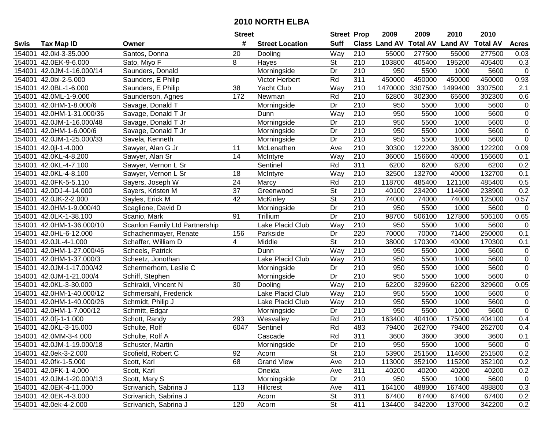|        |                           |                                | <b>Street</b>   |                        | <b>Street Prop</b>       |                  | 2009          | 2009            | 2010           | 2010            |                |
|--------|---------------------------|--------------------------------|-----------------|------------------------|--------------------------|------------------|---------------|-----------------|----------------|-----------------|----------------|
| Swis   | <b>Tax Map ID</b>         | Owner                          | #               | <b>Street Location</b> | <b>Suff</b>              |                  | Class Land AV | <b>Total AV</b> | <b>Land AV</b> | <b>Total AV</b> | <b>Acres</b>   |
| 154001 | 42.0kl-3-35.000           | Santos, Donna                  | 20              | Dooling                | Way                      | 210              | 55000         | 277500          | 55000          | 277500          | 0.03           |
| 154001 | 42.0EK-9-6.000            | Sato, Miyo F                   | 8               | Hayes                  | <b>St</b>                | 210              | 103800        | 405400          | 195200         | 405400          | 0.3            |
| 154001 | 42.0JM-1-16.000/14        | Saunders, Donald               |                 | Morningside            | Dr                       | 210              | 950           | 5500            | 1000           | 5600            | $\mathbf 0$    |
| 154001 | 42.0bl-2-5.000            | Saunders, E Philip             |                 | Victor Herbert         | Rd                       | 311              | 450000        | 450000          | 450000         | 450000          | 0.93           |
| 154001 | 42.0BL-1-6.000            | Saunders, E Philip             | 38              | Yacht Club             | Way                      | $\overline{210}$ | 1470000       | 3307500         | 1499400        | 3307500         | 2.1            |
| 154001 | 42.0ML-1-9.000            | Saunderson, Agnes              | 172             | Newman                 | Rd                       | $\overline{210}$ | 62800         | 302300          | 65600          | 302300          | 0.6            |
| 154001 | 42.0HM-1-8.000/6          | Savage, Donald T               |                 | Morningside            | Dr                       | 210              | 950           | 5500            | 1000           | 5600            | 0              |
| 154001 | 42.0HM-1-31.000/36        | Savage, Donald T Jr            |                 | Dunn                   | Way                      | 210              | 950           | 5500            | 1000           | 5600            | $\overline{0}$ |
| 154001 | 42.0JM-1-16.000/48        | Savage, Donald T Jr            |                 | Morningside            | Dr                       | $\overline{210}$ | 950           | 5500            | 1000           | 5600            | $\pmb{0}$      |
| 154001 | 42.0HM-1-6.000/6          | Savage, Donald T Jr            |                 | Morningside            | Dr                       | 210              | 950           | 5500            | 1000           | 5600            | $\pmb{0}$      |
| 154001 | 42.0JM-1-25.000/33        | Savela, Kenneth                |                 | Morningside            | Dr                       | 210              | 950           | 5500            | 1000           | 5600            | $\pmb{0}$      |
| 154001 | 42.0jl-1-4.000            | Sawyer, Alan G Jr              | 11              | McLenathen             | Ave                      | 210              | 30300         | 122200          | 36000          | 122200          | 0.09           |
| 154001 | 42.0KL-4-8.200            | Sawyer, Alan Sr                | 14              | McIntyre               | Way                      | 210              | 36000         | 156600          | 40000          | 156600          | 0.1            |
| 154001 | 42.0KL-4-7.100            | Sawyer, Vernon L Sr            |                 | Sentinel               | Rd                       | 311              | 6200          | 6200            | 6200           | 6200            | 0.2            |
| 154001 | 42.0KL-4-8.100            | Sawyer, Vernon L Sr            | 18              | McIntyre               | Way                      | 210              | 32500         | 132700          | 40000          | 132700          | 0.1            |
| 154001 | 42.0FK-5-5.110            | Sayers, Joseph W               | 24              | Marcy                  | Rd                       | 210              | 118700        | 485400          | 121100         | 485400          | 0.5            |
| 154001 | 42.0DJ-4-14.000           | Sayers, Kristen M              | $\overline{37}$ | Greenwood              | $\overline{\mathsf{St}}$ | $\overline{210}$ | 40100         | 234200          | 114600         | 238900          | 0.2            |
| 154001 | 42.0JK-2-2.000            | Sayles, Erick M                | 42              | McKinley               | $\overline{\mathsf{St}}$ | 210              | 74000         | 74000           | 74000          | 125000          | 0.57           |
| 154001 | 42.0HM-1-9.000/40         | Scaglione, David D             |                 | Morningside            | Dr                       | 210              | 950           | 5500            | 1000           | 5600            | $\pmb{0}$      |
| 154001 | 42.0LK-1-38.100           | Scanio, Mark                   | 91              | Trillium               | Dr                       | 210              | 98700         | 506100          | 127800         | 506100          | 0.65           |
| 154001 | 42.0HM-1-36.000/10        | Scanlon Family Ltd Partnership |                 | Lake Placid Club       | Way                      | 210              | 950           | 5500            | 1000           | 5600            | $\pmb{0}$      |
| 154001 | 42.0HL-6-12.000           | Schachenmayer, Renate          | 156             | Parkside               | Dr                       | 220              | 70000         | 70000           | 71400          | 250000          | 0.1            |
| 154001 | 42.0JL-4-1.000            | Schaffer, William D            | $\overline{4}$  | Middle                 | <b>St</b>                | 210              | 38000         | 170300          | 40000          | 170300          | 0.1            |
| 154001 | 42.0HM-1-27.000/46        | Scheels, Patrick               |                 | Dunn                   | Way                      | 210              | 950           | 5500            | 1000           | 5600            | $\pmb{0}$      |
| 154001 | 42.0HM-1-37.000/3         | Scheetz, Jonothan              |                 | Lake Placid Club       | Way                      | 210              | 950           | 5500            | 1000           | 5600            | $\pmb{0}$      |
| 154001 | 42.0JM-1-17.000/42        | Schermerhorn, Leslie C         |                 | Morningside            | Dr                       | 210              | 950           | 5500            | 1000           | 5600            | $\pmb{0}$      |
| 154001 | 42.0JM-1-21.000/4         | Schiff, Stephen                |                 | Morningside            | Dr                       | 210              | 950           | 5500            | 1000           | 5600            | $\pmb{0}$      |
| 154001 | 42.0KL-3-30.000           | Schiraldi, Vincent N           | 30              | Dooling                | Way                      | 210              | 62200         | 329600          | 62200          | 329600          | 0.05           |
| 154001 | 42.0HM-1-40.000/12        | Schmersahl, Frederick          |                 | Lake Placid Club       | Way                      | $\overline{210}$ | 950           | 5500            | 1000           | 5600            | $\pmb{0}$      |
| 154001 | 42.0HM-1-40.000/26        | Schmidt, Philip J              |                 | Lake Placid Club       | Way                      | $\overline{210}$ | 950           | 5500            | 1000           | 5600            | $\pmb{0}$      |
| 154001 | 42.0HM-1-7.000/12         | Schmitt, Edgar                 |                 | Morningside            | Dr                       | $\overline{210}$ | 950           | 5500            | 1000           | 5600            | $\overline{0}$ |
| 154001 | 42.0fj-1-1.000            | Schott, Randy                  | 293             | Wesvalley              | Rd                       | $\overline{210}$ | 163400        | 404100          | 175000         | 404100          | 0.4            |
| 154001 | 42.0KL-3-15.000           | Schulte, Rolf                  | 6047            | Sentinel               | Rd                       | 483              | 79400         | 262700          | 79400          | 262700          | 0.4            |
|        | 154001 42.0MM-3-4.000     | Schulte, Rolf A                |                 | Cascade                | Rd                       | 311              | 3600          | 3600            | 3600           | 3600            | 0.1            |
|        | 154001 42.0JM-1-19.000/18 | Schuster, Martin               |                 | Morningside            | Dr                       | 210              | 950           | 5500            | 1000           | 5600            | 0              |
|        | 154001 42.0ek-3-2.000     | Scofield, Robert C             | 92              | Acorn                  | <b>St</b>                | 210              | 53900         | 251500          | 114600         | 251500          | 0.2            |
|        | 154001 42.0fk-1-5.000     | Scott, Karl                    | 68              | <b>Grand View</b>      | Ave                      | 210              | 113000        | 352100          | 115200         | 352100          | 0.2            |
|        | 154001 42.0FK-1-4.000     | Scott, Karl                    |                 | Oneida                 | Ave                      | 311              | 40200         | 40200           | 40200          | 40200           | 0.2            |
|        | 154001 42.0JM-1-20.000/13 | Scott, Mary S                  |                 | Morningside            | Dr                       | 210              | 950           | 5500            | 1000           | 5600            | 0              |
|        | 154001 42.0EK-4-11.000    | Scrivanich, Sabrina J          | 113             | Hillcrest              | Ave                      | 411              | 164100        | 488800          | 167400         | 488800          | 0.3            |
|        | 154001 42.0EK-4-3.000     | Scrivanich, Sabrina J          |                 | Acorn                  | St                       | 311              | 67400         | 67400           | 67400          | 67400           | 0.2            |
|        | 154001 42.0ek-4-2.000     | Scrivanich, Sabrina J          | 120             | Acorn                  | St                       | 411              | 134400        | 342200          | 137000         | 342200          | 0.2            |
|        |                           |                                |                 |                        |                          |                  |               |                 |                |                 |                |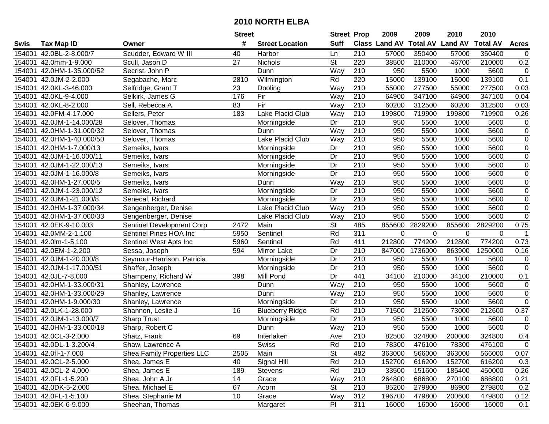|             |                         |                            | <b>Street</b> |                         | <b>Street Prop</b> |                  | 2009                 | 2009            | 2010           | 2010            |                     |
|-------------|-------------------------|----------------------------|---------------|-------------------------|--------------------|------------------|----------------------|-----------------|----------------|-----------------|---------------------|
| <b>Swis</b> | <b>Tax Map ID</b>       | Owner                      | #             | <b>Street Location</b>  | <b>Suff</b>        |                  | <b>Class Land AV</b> | <b>Total AV</b> | <b>Land AV</b> | <b>Total AV</b> | <b>Acres</b>        |
| 154001      | 42.0BL-2-8.000/7        | Scudder, Edward W III      | 40            | Harbor                  | Ln                 | 210              | 57000                | 350400          | 57000          | 350400          | $\mathbf 0$         |
| 154001      | 42.0mm-1-9.000          | Scull, Jason D             | 27            | Nichols                 | St                 | 220              | 38500                | 210000          | 46700          | 210000          | $0.2\,$             |
| 154001      | 42.0HM-1-35.000/52      | Secrist, John P            |               | Dunn                    | Way                | 210              | 950                  | 5500            | 1000           | 5600            | $\mathbf 0$         |
| 154001      | 42.0JM-2-2.000          | Segabache, Marc            | 2810          | Wilmington              | Rd                 | 220              | 15000                | 139100          | 15000          | 139100          | 0.1                 |
| 154001      | 42.0KL-3-46.000         | Selfridge, Grant T         | 23            | Dooling                 | Way                | $\overline{210}$ | 55000                | 277500          | 55000          | 277500          | 0.03                |
| 154001      | 42.0KL-9-4.000          | Selkirk, James G           | 176           | Fir                     | Way                | $\overline{210}$ | 64900                | 347100          | 64900          | 347100          | 0.04                |
| 154001      | 42.0KL-8-2.000          | Sell, Rebecca A            | 83            | Fir                     | Way                | 210              | 60200                | 312500          | 60200          | 312500          | 0.03                |
| 154001      | 42.0FM-4-17.000         | Sellers, Peter             | 183           | Lake Placid Club        | Way                | 210              | 199800               | 719900          | 199800         | 719900          | 0.26                |
| 154001      | 42.0JM-1-14.000/28      | Selover, Thomas            |               | Morningside             | Dr                 | 210              | 950                  | 5500            | 1000           | 5600            | $\mathbf 0$         |
| 154001      | 42.0HM-1-31.000/32      | Selover, Thomas            |               | Dunn                    | Way                | $\overline{210}$ | 950                  | 5500            | 1000           | 5600            | $\boldsymbol{0}$    |
| 154001      | 42.0HM-1-40.000/50      | Selover, Thomas            |               | <b>Lake Placid Club</b> | Way                | 210              | 950                  | 5500            | 1000           | 5600            | $\boldsymbol{0}$    |
| 154001      | 42.0HM-1-7.000/13       | Semeiks, Ivars             |               | Morningside             | Dr                 | 210              | 950                  | 5500            | 1000           | 5600            | $\mathsf 0$         |
| 154001      | 42.0JM-1-16.000/11      | Semeiks, Ivars             |               | Morningside             | Dr                 | $\overline{210}$ | 950                  | 5500            | 1000           | 5600            | $\overline{0}$      |
| 154001      | 42.0JM-1-22.000/13      | Semeiks, Ivars             |               | Morningside             | Dr                 | 210              | 950                  | 5500            | 1000           | 5600            | $\mathsf{O}\xspace$ |
| 154001      | 42.0JM-1-16.000/8       | Semeiks, Ivars             |               | Morningside             | Dr                 | $\overline{210}$ | 950                  | 5500            | 1000           | 5600            | $\mathsf{O}\xspace$ |
| 154001      | 42.0HM-1-27.000/5       | Semeiks, Ivars             |               | Dunn                    | Way                | 210              | 950                  | 5500            | 1000           | 5600            | $\mathbf 0$         |
| 154001      | 42.0JM-1-23.000/12      | Semeiks, Ivars             |               | Morningside             | Dr                 | $\overline{210}$ | 950                  | 5500            | 1000           | 5600            | $\overline{0}$      |
| 154001      | 42.0JM-1-21.000/8       | Senecal, Richard           |               | Morningside             | Dr                 | 210              | 950                  | 5500            | 1000           | 5600            | $\overline{0}$      |
| 154001      | 42.0HM-1-37.000/34      | Sengenberger, Denise       |               | Lake Placid Club        | Way                | 210              | 950                  | 5500            | 1000           | 5600            | $\overline{0}$      |
| 154001      | 42.0HM-1-37.000/33      | Sengenberger, Denise       |               | Lake Placid Club        | Way                | 210              | 950                  | 5500            | 1000           | 5600            | $\overline{0}$      |
| 154001      | 42.0EK-9-10.003         | Sentinel Development Corp  | 2472          | Main                    | St                 | 485              | 855600               | 2829200         | 855600         | 2829200         | 0.75                |
| 154001      | 42.0MM-2-1.100          | Sentinel Pines HOA Inc     | 5950          | Sentinel                | Rd                 | 311              | 0                    | $\Omega$        | 0              | $\mathbf 0$     | $\mathbf{1}$        |
| 154001      | 42.0lm-1-5.100          | Sentinel West Apts Inc     | 5960          | Sentinel                | Rd                 | 411              | 212800               | 774200          | 212800         | 774200          | 0.73                |
| 154001      | 42.0EM-1-2.200          | Sessa, Joseph              | 594           | Mirror Lake             | Dr                 | 210              | 847000               | 1736000         | 863900         | 1250000         | 0.16                |
| 154001      | 42.0JM-1-20.000/8       | Seymour-Harrison, Patricia |               | Morningside             | Dr                 | $\overline{210}$ | 950                  | 5500            | 1000           | 5600            | $\mathbf 0$         |
| 154001      | 42.0JM-1-17.000/51      | Shaffer, Joseph            |               | Morningside             | Dr                 | 210              | 950                  | 5500            | 1000           | 5600            | $\mathbf 0$         |
| 154001      | 42.0JL-7-8.000          | Shampeny, Richard W        | 398           | Mill Pond               | Dr                 | 441              | 34100                | 210000          | 34100          | 210000          | 0.1                 |
| 154001      | 42.0HM-1-33.000/31      | Shanley, Lawrence          |               | Dunn                    | Way                | 210              | 950                  | 5500            | 1000           | 5600            | 0                   |
| 154001      | 42.0HM-1-33.000/29      | Shanley, Lawrence          |               | Dunn                    | Way                | 210              | 950                  | 5500            | 1000           | 5600            | $\overline{0}$      |
| 154001      | 42.0HM-1-9.000/30       | Shanley, Lawrence          |               | Morningside             | Dr                 | 210              | 950                  | 5500            | 1000           | 5600            | $\overline{0}$      |
| 154001      | 42.0LK-1-28.000         | Shannon, Leslie J          | 16            | <b>Blueberry Ridge</b>  | Rd                 | 210              | 71500                | 212600          | 73000          | 212600          | 0.37                |
| 154001      | 42.0JM-1-13.000/7       | <b>Sharp Trust</b>         |               | Morningside             | Dr                 | $\overline{210}$ | 950                  | 5500            | 1000           | 5600            | $\mathbf 0$         |
| 154001      | 42.0HM-1-33.000/18      | Sharp, Robert C            |               | Dunn                    | Way                | $\overline{210}$ | 950                  | 5500            | 1000           | 5600            | $\overline{0}$      |
|             | 154001 42.0CL-3-2.000   | Shatz, Frank               | 69            | Interlaken              | Ave                | $\overline{210}$ | 82500                | 324800          | 200000         | 324800          | 0.4                 |
|             | 154001 42.0DL-1-3.200/4 | Shaw, Lawrence A           |               | Swiss                   | Rd                 | 210              | 78300                | 476100          | 78300          | 476100          | $\mathbf 0$         |
|             | 154001 42.0fl-1-7.000   | Shea Family Properties LLC | 2505          | Main                    | <b>St</b>          | 482              | 363000               | 566000          | 363000         | 566000          | 0.07                |
|             | 154001 42.0CL-2-5.000   | Shea, James E              | 40            | Signal Hill             | Rd                 | 210              | 152700               | 616200          | 152700         | 616200          | 0.3                 |
|             | 154001 42.0CL-2-4.000   | Shea, James E              | 189           | Stevens                 | Rd                 | 210              | 33500                | 151600          | 185400         | 450000          | 0.26                |
|             | 154001 42.0FL-1-5.200   | Shea, John A Jr            | 14            | Grace                   | Way                | 210              | 264800               | 686800          | 270100         | 686800          | 0.21                |
|             | 154001 42.0DK-5-2.000   | Shea, Michael E            | 67            | Acorn                   | <b>St</b>          | 210              | 85200                | 279800          | 86900          | 279800          | 0.2                 |
|             | 154001 42.0FL-1-5.100   | Shea, Stephanie M          | 10            | Grace                   | Way                | 312              | 196700               | 479800          | 200600         | 479800          | 0.12                |
|             | 154001 42.0EK-6-9.000   | Sheehan, Thomas            |               | Margaret                | PI                 | 311              | 16000                | 16000           | 16000          | 16000           | 0.1                 |
|             |                         |                            |               |                         |                    |                  |                      |                 |                |                 |                     |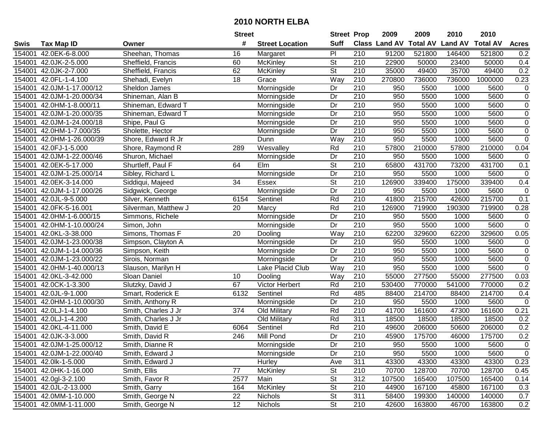|        |                           |                      | <b>Street</b>    |                        | <b>Street Prop</b>       |                  | 2009                 | 2009            | 2010           | 2010            |                  |
|--------|---------------------------|----------------------|------------------|------------------------|--------------------------|------------------|----------------------|-----------------|----------------|-----------------|------------------|
| Swis   | <b>Tax Map ID</b>         | Owner                | #                | <b>Street Location</b> | <b>Suff</b>              |                  | <b>Class Land AV</b> | <b>Total AV</b> | <b>Land AV</b> | <b>Total AV</b> | <b>Acres</b>     |
| 154001 | 42.0EK-6-8.000            | Sheehan, Thomas      | 16               | Margaret               | PI                       | 210              | 91200                | 521800          | 146400         | 521800          | 0.2              |
| 154001 | 42.0JK-2-5.000            | Sheffield, Francis   | 60               | McKinley               | <b>St</b>                | 210              | 22900                | 50000           | 23400          | 50000           | 0.4              |
| 154001 | 42.0JK-2-7.000            | Sheffield, Francis   | 62               | McKinley               | <b>St</b>                | 210              | 35000                | 49400           | 35700          | 49400           | 0.2              |
| 154001 | 42.0FL-1-4.100            | Shehadi, Evelyn      | 18               | Grace                  | Way                      | $\overline{210}$ | 270800               | 736000          | 736000         | 1000000         | 0.23             |
| 154001 | 42.0JM-1-17.000/12        | Sheldon James        |                  | Morningside            | Dr                       | $\overline{210}$ | 950                  | 5500            | 1000           | 5600            | 0                |
| 154001 | 42.0JM-1-20.000/34        | Shineman, Alan B     |                  | Morningside            | Dr                       | $\overline{210}$ | 950                  | 5500            | 1000           | 5600            | $\overline{0}$   |
| 154001 | 42.0HM-1-8.000/11         | Shineman, Edward T   |                  | Morningside            | Dr                       | 210              | 950                  | 5500            | 1000           | 5600            | 0                |
| 154001 | 42.0JM-1-20.000/35        | Shineman, Edward T   |                  | Morningside            | $\overline{Dr}$          | 210              | 950                  | 5500            | 1000           | 5600            | $\overline{0}$   |
| 154001 | 42.0JM-1-24.000/18        | Shipe, Paul G        |                  | Morningside            | Dr                       | $\overline{210}$ | 950                  | 5500            | 1000           | 5600            | $\pmb{0}$        |
| 154001 | 42.0HM-1-7.000/35         | Sholette, Hector     |                  | Morningside            | Dr                       | 210              | 950                  | 5500            | 1000           | 5600            | $\pmb{0}$        |
| 154001 | 42.0HM-1-26.000/39        | Shore, Edward R Jr   |                  | Dunn                   | Way                      | 210              | 950                  | 5500            | 1000           | 5600            | $\pmb{0}$        |
| 154001 | 42.0FJ-1-5.000            | Shore, Raymond R     | 289              | Wesvalley              | Rd                       | 210              | 57800                | 210000          | 57800          | 210000          | 0.04             |
| 154001 | 42.0JM-1-22.000/46        | Shuron, Michael      |                  | Morningside            | Dr                       | 210              | 950                  | 5500            | 1000           | 5600            | 0                |
| 154001 | 42.0EK-5-17.000           | Shurtleff, Paul F    | 64               | Elm                    | <b>St</b>                | 210              | 65800                | 431700          | 73200          | 431700          | 0.1              |
| 154001 | 42.0JM-1-25.000/14        | Sibley, Richard L    |                  | Morningside            | Dr                       | 210              | 950                  | 5500            | 1000           | 5600            | $\mathbf 0$      |
| 154001 | 42.0EK-3-14.000           | Siddiqui, Majeed     | 34               | <b>Essex</b>           | <b>St</b>                | 210              | 126900               | 339400          | 175000         | 339400          | 0.4              |
| 154001 | 42.0JM-1-17.000/26        | Sidgwick, George     |                  | Morningside            | $\overline{Dr}$          | $\overline{210}$ | 950                  | 5500            | 1000           | 5600            | $\boldsymbol{0}$ |
| 154001 | 42.0JL-9-5.000            | Silver, Kenneth      | 6154             | Sentinel               | Rd                       | 210              | 41800                | 215700          | 42600          | 215700          | 0.1              |
| 154001 | 42.0FK-5-16.001           | Silverman, Matthew J | 20               | Marcy                  | Rd                       | 210              | 126900               | 719900          | 190300         | 719900          | 0.28             |
| 154001 | 42.0HM-1-6.000/15         | Simmons, Richele     |                  | Morningside            | Dr                       | 210              | 950                  | 5500            | 1000           | 5600            | $\pmb{0}$        |
| 154001 | 42.0HM-1-10.000/24        | Simon, John          |                  | Morningside            | $\overline{Dr}$          | 210              | 950                  | 5500            | 1000           | 5600            | $\overline{0}$   |
| 154001 | 42.0KL-3-38.000           | Simons, Thomas F     | 20               | Dooling                | Way                      | 210              | 62200                | 329600          | 62200          | 329600          | 0.05             |
| 154001 | 42.0JM-1-23.000/38        | Simpson, Clayton A   |                  | Morningside            | Dr                       | 210              | 950                  | 5500            | 1000           | 5600            | $\pmb{0}$        |
| 154001 | 42.0JM-1-14.000/36        | Simpson, Keith       |                  | Morningside            | Dr                       | 210              | 950                  | 5500            | 1000           | 5600            | $\pmb{0}$        |
| 154001 | 42.0JM-1-23.000/22        | Sirois, Norman       |                  | Morningside            | Dr                       | $\overline{210}$ | 950                  | 5500            | 1000           | 5600            | $\overline{0}$   |
| 154001 | 42.0HM-1-40.000/13        | Slauson, Marilyn H   |                  | Lake Placid Club       | Way                      | 210              | 950                  | 5500            | 1000           | 5600            | $\pmb{0}$        |
| 154001 | 42.0KL-3-42.000           | Sloan Daniel         | 10               | Dooling                | Way                      | 210              | 55000                | 277500          | 55000          | 277500          | 0.03             |
| 154001 | 42.0CK-1-3.300            | Slutzky, David J     | 67               | Victor Herbert         | Rd                       | 210              | 530400               | 770000          | 541000         | 770000          | 0.2              |
| 154001 | 42.0JL-9-1.000            | Smart, Roderick E    | 6132             | Sentinel               | Rd                       | 485              | 88400                | 214700          | 88400          | 214700          | 0.4              |
| 154001 | 42.0HM-1-10.000/30        | Smith, Anthony R     |                  | Morningside            | $\overline{Dr}$          | $\overline{210}$ | 950                  | 5500            | 1000           | 5600            | $\mathbf 0$      |
| 154001 | 42.0LJ-1-4.100            | Smith, Charles J Jr  | $\overline{374}$ | Old Military           | Rd                       | 210              | 41700                | 161600          | 47300          | 161600          | 0.21             |
| 154001 | 42.0LJ-1-4.200            | Smith, Charles J Jr  |                  | <b>Old Military</b>    | Rd                       | 311              | 18500                | 18500           | 18500          | 18500           | 0.2              |
| 154001 | 42.0KL-4-11.000           | Smith, David E       | 6064             | Sentinel               | Rd                       | $\overline{210}$ | 49600                | 206000          | 50600          | 206000          | 0.2              |
|        | 154001 42.0JK-3-3.000     | Smith, David R       | 246              | Mill Pond              | $\overline{Dr}$          | $\overline{210}$ | 45900                | 175700          | 46000          | 175700          | 0.2              |
|        | 154001 42.0JM-1-25.000/12 | Smith, Dianne R      |                  | Morningside            | Dr                       | 210              | 950                  | 5500            | 1000           | 5600            | 0                |
|        | 154001 42.0JM-1-22.000/40 | Smith, Edward J      |                  | Morningside            | Dr                       | 210              | 950                  | 5500            | 1000           | 5600            | $\boldsymbol{0}$ |
|        | 154001 42.0lk-1-5.000     | Smith, Edward J      |                  | Hurley                 | Ave                      | 311              | 43300                | 43300           | 43300          | 43300           | 0.23             |
|        | 154001 42.0HK-1-16.000    | Smith, Ellis         | 77               | McKinley               | <b>St</b>                | 210              | 70700                | 128700          | 70700          | 128700          | 0.45             |
|        | 154001 42.0gl-3-2.100     | Smith, Favor R       | 2577             | Main                   | <b>St</b>                | 312              | 107500               | 165400          | 107500         | 165400          | 0.14             |
|        | 154001 42.0JL-2-13.000    | Smith, Garry         | 164              | McKinley               | <b>St</b>                | 210              | 44900                | 167100          | 45800          | 167100          | 0.3              |
|        | 154001 42.0MM-1-10.000    | Smith, George N      | 22               | Nichols                | <b>St</b>                | 311              | 58400                | 199300          | 140000         | 140000          | 0.7              |
|        | 154001 42.0MM-1-11.000    | Smith, George N      | 12               | <b>Nichols</b>         | $\overline{\mathsf{St}}$ | 210              | 42600                | 163800          | 46700          | 163800          | 0.2              |
|        |                           |                      |                  |                        |                          |                  |                      |                 |                |                 |                  |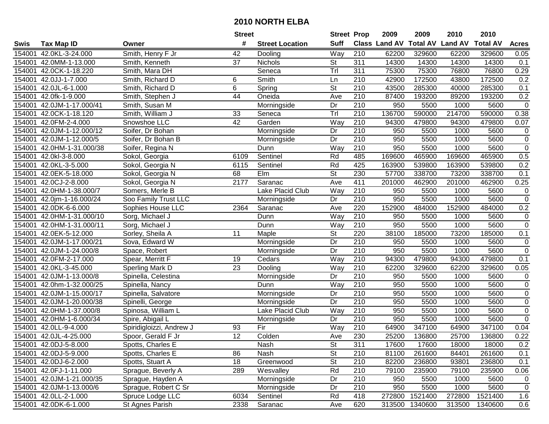|        |                           |                          | <b>Street</b>   |                        | <b>Street Prop</b>       |                  | 2009          | 2009            | 2010           | 2010            |                     |
|--------|---------------------------|--------------------------|-----------------|------------------------|--------------------------|------------------|---------------|-----------------|----------------|-----------------|---------------------|
| Swis   | <b>Tax Map ID</b>         | Owner                    | #               | <b>Street Location</b> | <b>Suff</b>              |                  | Class Land AV | <b>Total AV</b> | <b>Land AV</b> | <b>Total AV</b> | <b>Acres</b>        |
| 154001 | 42.0KL-3-24.000           | Smith, Henry F Jr        | 42              | Dooling                | Way                      | 210              | 62200         | 329600          | 62200          | 329600          | 0.05                |
| 154001 | 42.0MM-1-13.000           | Smith, Kenneth           | 37              | <b>Nichols</b>         | <b>St</b>                | 311              | 14300         | 14300           | 14300          | 14300           | 0.1                 |
| 154001 | 42.0CK-1-18.220           | Smith, Mara DH           |                 | Seneca                 | Trl                      | 311              | 75300         | 75300           | 76800          | 76800           | 0.29                |
| 154001 | 42.0JJ-1-7.000            | Smith, Richard D         | 6               | Smith                  | Ln                       | 210              | 42900         | 172500          | 43800          | 172500          | 0.2                 |
| 154001 | 42.0JL-6-1.000            | Smith, Richard D         | 6               | Spring                 | $\overline{\mathsf{St}}$ | $\overline{210}$ | 43500         | 285300          | 40000          | 285300          | 0.1                 |
| 154001 | 42.0fk-1-9.000            | Smith, Stephen J         | $\overline{44}$ | Oneida                 | Ave                      | $\overline{210}$ | 87400         | 193200          | 89200          | 193200          | 0.2                 |
| 154001 | 42.0JM-1-17.000/41        | Smith, Susan M           |                 | Morningside            | Dr                       | 210              | 950           | 5500            | 1000           | 5600            | $\mathbf 0$         |
| 154001 | 42.0CK-1-18.120           | Smith, William J         | 33              | Seneca                 | Trl                      | 210              | 136700        | 590000          | 214700         | 590000          | 0.38                |
| 154001 | 42.0FM-2-4.000            | Snowshoe LLC             | $\overline{42}$ | Garden                 | Way                      | $\overline{210}$ | 94300         | 479800          | 94300          | 479800          | 0.07                |
| 154001 | 42.0JM-1-12.000/12        | Soifer, Dr Bohan         |                 | Morningside            | Dr                       | 210              | 950           | 5500            | 1000           | 5600            | $\pmb{0}$           |
| 154001 | 42.0JM-1-12.000/5         | Soifer, Dr Bohan B       |                 | Morningside            | Dr                       | 210              | 950           | 5500            | 1000           | 5600            | $\pmb{0}$           |
| 154001 | 42.0HM-1-31.000/38        | Soifer, Regina N         |                 | Dunn                   | Way                      | 210              | 950           | 5500            | 1000           | 5600            | $\mathbf 0$         |
| 154001 | 42.0kl-3-8.000            | Sokol, Georgia           | 6109            | Sentinel               | Rd                       | 485              | 169600        | 465900          | 169600         | 465900          | 0.5                 |
| 154001 | 42.0KL-3-5.000            | Sokol, Georgia N         | 6115            | Sentinel               | Rd                       | 425              | 163900        | 539800          | 163900         | 539800          | 0.2                 |
| 154001 | 42.0EK-5-18.000           | Sokol, Georgia N         | 68              | Elm                    | $\overline{\mathsf{St}}$ | 230              | 57700         | 338700          | 73200          | 338700          | 0.1                 |
| 154001 | 42.0CJ-2-8.000            | Sokol, Georgia N         | 2177            | Saranac                | Ave                      | 411              | 201000        | 462900          | 201000         | 462900          | 0.25                |
| 154001 | 42.0HM-1-38.000/7         | Somers, Merle B          |                 | Lake Placid Club       | Way                      | 210              | 950           | 5500            | 1000           | 5600            | $\pmb{0}$           |
| 154001 | 42.0jm-1-16.000/24        | Soo Family Trust LLC     |                 | Morningside            | Dr                       | 210              | 950           | 5500            | 1000           | 5600            | $\mathsf 0$         |
| 154001 | 42.0DK-6-6.000            | Sophies House LLC        | 2364            | Saranac                | Ave                      | 220              | 152900        | 484000          | 152900         | 484000          | 0.2                 |
| 154001 | 42.0HM-1-31.000/10        | Sorg, Michael J          |                 | Dunn                   | Way                      | 210              | 950           | 5500            | 1000           | 5600            | 0                   |
| 154001 | 42.0HM-1-31.000/11        | Sorg, Michael J          |                 | Dunn                   | Way                      | 210              | 950           | 5500            | 1000           | 5600            | $\mathsf{O}\xspace$ |
| 154001 | 42.0EK-5-12.000           | Sorley, Sheila A         | 11              | Maple                  | <b>St</b>                | 220              | 38100         | 185000          | 73200          | 185000          | 0.1                 |
| 154001 | 42.0JM-1-17.000/21        | Sova, Edward W           |                 | Morningside            | Dr                       | 210              | 950           | 5500            | 1000           | 5600            | 0                   |
| 154001 | 42.0JM-1-24.000/8         | Space, Robert            |                 | Morningside            | Dr                       | 210              | 950           | 5500            | 1000           | 5600            | $\mathbf 0$         |
| 154001 | 42.0FM-2-17.000           | Spear, Merritt F         | 19              | Cedars                 | Way                      | $\overline{210}$ | 94300         | 479800          | 94300          | 479800          | 0.1                 |
| 154001 | 42.0KL-3-45.000           | Sperling Mark D          | 23              | Dooling                | Way                      | 210              | 62200         | 329600          | 62200          | 329600          | 0.05                |
| 154001 | 42.0JM-1-13.000/8         | Spinella, Celestina      |                 | Morningside            | Dr                       | $\overline{210}$ | 950           | 5500            | 1000           | 5600            | 0                   |
| 154001 | 42.0hm-1-32.000/25        | Spinella, Nancy          |                 | Dunn                   | Way                      | 210              | 950           | 5500            | 1000           | 5600            | $\boldsymbol{0}$    |
| 154001 | 42.0JM-1-15.000/17        | Spinella, Salvatore      |                 | Morningside            | Dr                       | $\overline{210}$ | 950           | 5500            | 1000           | 5600            | $\overline{0}$      |
| 154001 | 42.0JM-1-20.000/38        | Spinelli, George         |                 | Morningside            | Dr                       | 210              | 950           | 5500            | 1000           | 5600            | $\overline{0}$      |
| 154001 | 42.0HM-1-37.000/8         | Spinosa, William L       |                 | Lake Placid Club       | Way                      | 210              | 950           | 5500            | 1000           | 5600            | $\overline{0}$      |
| 154001 | 42.0HM-1-6.000/34         | Spire, Abigail L         |                 | Morningside            | Dr                       | $\overline{210}$ | 950           | 5500            | 1000           | 5600            | $\overline{0}$      |
| 154001 | 42.0LL-9-4.000            | Spiridigloizzi, Andrew J | 93              | Fir                    | Way                      | $\overline{210}$ | 64900         | 347100          | 64900          | 347100          | 0.04                |
|        | 154001 42.0JL-4-25.000    | Spoor, Gerald F Jr       | $\overline{12}$ | Colden                 | Ave                      | 230              | 25200         | 136800          | 25700          | 136800          | 0.22                |
|        | 154001 42.0DJ-5-8.000     | Spotts, Charles E        |                 | Nash                   | St                       | 311              | 17600         | 17600           | 18000          | 18000           | 0.2                 |
|        | 154001 42.0DJ-5-9.000     | Spotts, Charles E        | 86              | Nash                   | <b>St</b>                | 210              | 81100         | 261600          | 84401          | 261600          | 0.1                 |
|        | 154001 42.0DJ-6-2.000     | Spotts, Stuart A         | 18              | Greenwood              | <b>St</b>                | 210              | 82200         | 236800          | 93801          | 236800          | 0.1                 |
|        | 154001 42.0FJ-1-11.000    | Sprague, Beverly A       | 289             | Wesvalley              | Rd                       | 210              | 79100         | 235900          | 79100          | 235900          | 0.06                |
|        | 154001 42.0JM-1-21.000/35 | Sprague, Hayden A        |                 | Morningside            | Dr                       | 210              | 950           | 5500            | 1000           | 5600            | $\mathbf 0$         |
|        | 154001 42.0JM-1-13.000/6  | Sprague, Robert C Sr     |                 | Morningside            | Dr                       | 210              | 950           | 5500            | 1000           | 5600            | $\mathbf 0$         |
|        | 154001 42.0LL-2-1.000     | Spruce Lodge LLC         | 6034            | Sentinel               | Rd                       | 418              | 272800        | 1521400         | 272800         | 1521400         | 1.6                 |
|        | 154001 42.0DK-6-1.000     | St Agnes Parish          | 2338            | Saranac                | Ave                      | 620              | 313500        | 1340600         | 313500         | 1340600         | 0.6                 |
|        |                           |                          |                 |                        |                          |                  |               |                 |                |                 |                     |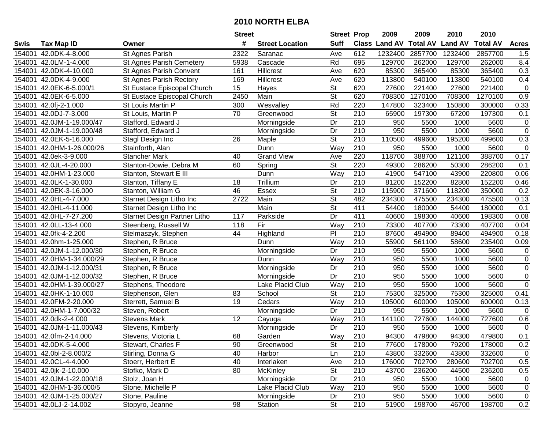|        |                           |                                     | <b>Street</b> |                        | <b>Street Prop</b>       |                  | 2009                          | 2009    | 2010           | 2010            |              |
|--------|---------------------------|-------------------------------------|---------------|------------------------|--------------------------|------------------|-------------------------------|---------|----------------|-----------------|--------------|
| Swis   | <b>Tax Map ID</b>         | Owner                               | #             | <b>Street Location</b> | <b>Suff</b>              |                  | <b>Class Land AV Total AV</b> |         | <b>Land AV</b> | <b>Total AV</b> | <b>Acres</b> |
| 154001 | 42.0DK-4-8.000            | St Agnes Parish                     | 2322          | Saranac                | Ave                      | 612              | 1232400                       | 2857700 | 1232400        | 2857700         | 1.5          |
| 154001 | 42.0LM-1-4.000            | St Agnes Parish Cemetery            | 5938          | Cascade                | Rd                       | 695              | 129700                        | 262000  | 129700         | 262000          | 8.4          |
| 154001 | 42.0DK-4-10.000           | St Agnes Parish Convent             | 161           | <b>Hillcrest</b>       | Ave                      | 620              | 85300                         | 365400  | 85300          | 365400          | 0.3          |
| 154001 | 42.0DK-4-9.000            | St Agnes Parish Rectory             | 169           | Hillcrest              | Ave                      | 620              | 113800                        | 540100  | 113800         | 540100          | 0.4          |
| 154001 | 42.0EK-6-5.000/1          | St Eustace Episcopal Church         | 15            | Hayes                  | St                       | 620              | 27600                         | 221400  | 27600          | 221400          | $\mathbf 0$  |
| 154001 | 42.0EK-6-5.000            | St Eustace Episcopal Church         | 2450          | Main                   | $\overline{\mathsf{St}}$ | 620              | 708300                        | 1270100 | 708300         | 1270100         | 0.9          |
| 154001 | 42.0fj-2-1.000            | St Louis Martin P                   | 300           | Wesvalley              | Rd                       | 220              | 147800                        | 323400  | 150800         | 300000          | 0.33         |
| 154001 | 42.0DJ-7-3.000            | St Louis, Martin P                  | 70            | Greenwood              | $\overline{\mathsf{St}}$ | 210              | 65900                         | 197300  | 67200          | 197300          | 0.1          |
| 154001 | 42.0JM-1-19.000/47        | Stafford, Edward J                  |               | Morningside            | $\overline{Dr}$          | $\overline{210}$ | 950                           | 5500    | 1000           | 5600            | $\mathbf 0$  |
| 154001 | 42.0JM-1-19.000/48        | Stafford, Edward J                  |               | Morningside            | Dr                       | 210              | 950                           | 5500    | 1000           | 5600            | $\mathbf 0$  |
| 154001 | 42.0EK-5-16.000           | Stagl Design Inc                    | 26            | Maple                  | $\overline{\mathsf{St}}$ | $\overline{210}$ | 110500                        | 499600  | 195200         | 499600          | 0.3          |
| 154001 | 42.0HM-1-26.000/26        | Stainforth, Alan                    |               | Dunn                   | Way                      | 210              | 950                           | 5500    | 1000           | 5600            | $\mathbf 0$  |
| 154001 | 42.0ek-3-9.000            | <b>Stancher Mark</b>                | 40            | <b>Grand View</b>      | Ave                      | 220              | 118700                        | 388700  | 121100         | 388700          | 0.17         |
| 154001 | 42.0JL-4-20.000           | Stanton-Dowie, Debra M              | 60            | Spring                 | St                       | 220              | 49300                         | 286200  | 50300          | 286200          | 0.1          |
| 154001 | 42.0HM-1-23.000           | Stanton, Stewart E III              |               | Dunn                   | Way                      | 210              | 41900                         | 547100  | 43900          | 220800          | 0.06         |
| 154001 | 42.0LK-1-30.000           | Stanton, Tiffany E                  | 18            | Trillium               | Dr                       | 210              | 81200                         | 152200  | 82800          | 152200          | 0.46         |
| 154001 | 42.0EK-3-16.000           | Stanton, William G                  | 46            | Essex                  | $\overline{St}$          | $\overline{210}$ | 115900                        | 371600  | 118200         | 350000          | 0.2          |
| 154001 | 42.0HL-4-7.000            | Starnet Design Litho Inc            | 2722          | Main                   | $\overline{\mathsf{St}}$ | 482              | 234300                        | 475500  | 234300         | 475500          | 0.13         |
| 154001 | 42.0HL-4-11.000           | Starnet Design Litho Inc            |               | Main                   | $\overline{\mathsf{St}}$ | 411              | 54400                         | 180000  | 54400          | 180000          | 0.1          |
| 154001 | 42.0HL-7-27.200           | <b>Starnet Design Partner Litho</b> | 117           | Parkside               | Dr                       | 411              | 40600                         | 198300  | 40600          | 198300          | 0.08         |
| 154001 | 42.0LL-13-4.000           | Steenberg, Russell W                | 118           | Fir                    | Way                      | 210              | 73300                         | 407700  | 73300          | 407700          | 0.04         |
| 154001 | 42.0fk-4-2.200            | Stelmaszyk, Stephen                 | 44            | Highland               | PI                       | 210              | 87600                         | 494900  | 89400          | 494900          | 0.18         |
| 154001 | 42.0hm-1-25.000           | Stephen, R Bruce                    |               | Dunn                   | Way                      | 210              | 55900                         | 561100  | 58600          | 235400          | 0.09         |
| 154001 | 42.0JM-1-12.000/30        | Stephen, R Bruce                    |               | Morningside            | Dr                       | 210              | 950                           | 5500    | 1000           | 5600            | $\pmb{0}$    |
| 154001 | 42.0HM-1-34.000/29        | Stephen, R Bruce                    |               | Dunn                   | Way                      | 210              | 950                           | 5500    | 1000           | 5600            | $\mathbf 0$  |
| 154001 | 42.0JM-1-12.000/31        | Stephen, R Bruce                    |               | Morningside            | Dr                       | $\overline{210}$ | 950                           | 5500    | 1000           | 5600            | $\pmb{0}$    |
| 154001 | 42.0JM-1-12.000/32        | Stephen, R Bruce                    |               | Morningside            | Dr                       | $\overline{210}$ | 950                           | 5500    | 1000           | 5600            | $\mathbf 0$  |
| 154001 | 42.0HM-1-39.000/27        | Stephens, Theodore                  |               | Lake Placid Club       | Way                      | 210              | 950                           | 5500    | 1000           | 5600            | $\mathbf 0$  |
| 154001 | 42.0HK-1-10.000           | Stephenson, Glen                    | 83            | School                 | $\overline{\mathsf{St}}$ | $\overline{210}$ | 75300                         | 325000  | 75300          | 325000          | 0.41         |
| 154001 | 42.0FM-2-20.000           | Sterrett, Samuel B                  | 19            | Cedars                 | $\overline{Way}$         | 210              | 105000                        | 600000  | 105000         | 600000          | 0.13         |
| 154001 | 42.0HM-1-7.000/32         | Steven, Robert                      |               | Morningside            | Dr                       | 210              | 950                           | 5500    | 1000           | 5600            | $\mathbf 0$  |
| 154001 | 42.0dk-2-4.000            | <b>Stevens Mark</b>                 | 12            | Cayuga                 | Way                      | 210              | 141100                        | 727600  | 144000         | 727600          | 0.6          |
| 154001 | 42.0JM-1-11.000/43        | Stevens, Kimberly                   |               | Morningside            | Dr                       | 210              | 950                           | 5500    | 1000           | 5600            | $\mathbf 0$  |
|        | 154001 42.0fm-2-14.000    | Stevens, Victoria L                 | 68            | Garden                 | Way                      | $\overline{210}$ | 94300                         | 479800  | 94300          | 479800          | 0.1          |
|        | 154001 42.0DK-5-4.000     | Stewart, Charles F                  | 90            | Greenwood              | St                       | 210              | 77600                         | 178000  | 79200          | 178000          | 0.2          |
|        | 154001 42.0bl-2-8.000/2   | Stirling, Donna G                   | 40            | Harbor                 | Ln                       | 210              | 43800                         | 332600  | 43800          | 332600          | 0            |
|        | 154001 42.0CL-4-4.000     | Stoerr, Herbert E                   | 40            | Interlaken             | Ave                      | 210              | 176000                        | 702700  | 280600         | 702700          | 0.5          |
|        | 154001 42.0jk-2-10.000    | Stofko, Mark D                      | 80            | McKinley               | <b>St</b>                | 210              | 43700                         | 236200  | 44500          | 236200          | 0.5          |
|        | 154001 42.0JM-1-22.000/18 | Stolz, Joan H                       |               | Morningside            | Dr                       | 210              | 950                           | 5500    | 1000           | 5600            | 0            |
|        | 154001 42.0HM-1-36.000/5  | Stone, Michelle P                   |               | Lake Placid Club       | Way                      | 210              | 950                           | 5500    | 1000           | 5600            | 0            |
|        | 154001 42.0JM-1-25.000/27 | Stone, Pauline                      |               | Morningside            | Dr                       | 210              | 950                           | 5500    | 1000           | 5600            | 0            |
|        | 154001 42.0LJ-2-14.002    | Stopyro, Jeanne                     | 98            | Station                | $\overline{\mathsf{St}}$ | 210              | 51900                         | 198700  | 46700          | 198700          | 0.2          |
|        |                           |                                     |               |                        |                          |                  |                               |         |                |                 |              |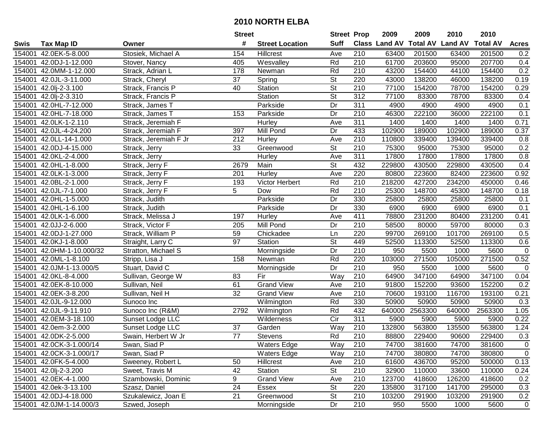|        |                          |                       | <b>Street</b>   |                        | <b>Street Prop</b>       |                  | 2009          | 2009            | 2010           | 2010            |              |
|--------|--------------------------|-----------------------|-----------------|------------------------|--------------------------|------------------|---------------|-----------------|----------------|-----------------|--------------|
| Swis   | <b>Tax Map ID</b>        | Owner                 | #               | <b>Street Location</b> | <b>Suff</b>              |                  | Class Land AV | <b>Total AV</b> | <b>Land AV</b> | <b>Total AV</b> | <b>Acres</b> |
| 154001 | 42.0EK-5-8.000           | Stosiek, Michael A    | 154             | <b>Hillcrest</b>       | Ave                      | 210              | 63400         | 201500          | 63400          | 201500          | 0.2          |
|        | 154001 42.0DJ-1-12.000   | Stover, Nancy         | 405             | Wesvalley              | Rd                       | 210              | 61700         | 203600          | 95000          | 207700          | 0.4          |
|        | 154001 42.0MM-1-12.000   | Strack, Adrian L      | 178             | Newman                 | Rd                       | 210              | 43200         | 154400          | 44100          | 154400          | 0.2          |
|        | 154001 42.0JL-3-11.000   | Strack, Cheryl        | 37              | Spring                 | $\overline{\mathsf{St}}$ | 220              | 43000         | 138200          | 46000          | 138200          | 0.19         |
|        | 154001 42.0lj-2-3.100    | Strack, Francis P     | 40              | Station                | $\overline{\mathsf{St}}$ | 210              | 77100         | 154200          | 78700          | 154200          | 0.29         |
|        | 154001 42.0lj-2-3.310    | Strack, Francis P     |                 | Station                | $\overline{\mathsf{St}}$ | $\overline{312}$ | 77100         | 83300           | 78700          | 83300           | 0.4          |
|        | 154001 42.0HL-7-12.000   | Strack, James T       |                 | Parkside               | Dr                       | 311              | 4900          | 4900            | 4900           | 4900            | 0.1          |
| 154001 | 42.0HL-7-18.000          | Strack, James T       | 153             | Parkside               | $\overline{Dr}$          | 210              | 46300         | 222100          | 36000          | 222100          | 0.1          |
| 154001 | 42.0LK-1-2.110           | Strack, Jeremiah F    |                 | Hurley                 | Ave                      | 311              | 1400          | 1400            | 1400           | 1400            | 0.71         |
| 154001 | 42.0JL-4-24.200          | Strack, Jeremiah F    | 397             | Mill Pond              | Dr                       | 433              | 102900        | 189000          | 102900         | 189000          | 0.37         |
|        | 154001 42.0LL-14-1.000   | Strack, Jeremiah F Jr | 212             | Hurley                 | Ave                      | $\overline{210}$ | 110800        | 339400          | 139400         | 339400          | 0.8          |
|        | 154001 42.0DJ-4-15.000   | Strack, Jerry         | 33              | Greenwood              | St                       | 210              | 75300         | 95000           | 75300          | 95000           | 0.2          |
|        | 154001 42.0KL-2-4.000    | Strack, Jerry         |                 | <b>Hurley</b>          | Ave                      | 311              | 17800         | 17800           | 17800          | 17800           | 0.8          |
| 154001 | 42.0HL-1-8.000           | Strack, Jerry F       | 2679            | Main                   | <b>St</b>                | 432              | 229800        | 430500          | 229800         | 430500          | 0.4          |
| 154001 | 42.0LK-1-3.000           | Strack, Jerry F       | 201             | Hurley                 | Ave                      | 220              | 80800         | 223600          | 82400          | 223600          | 0.92         |
|        | 154001 42.0BL-2-1.000    | Strack, Jerry F       | 193             | <b>Victor Herbert</b>  | Rd                       | 210              | 218200        | 427200          | 234200         | 450000          | 0.46         |
| 154001 | 42.0JL-7-1.000           | Strack, Jerry F       | 5               | Dow                    | Rd                       | $\overline{210}$ | 25300         | 148700          | 45300          | 148700          | 0.18         |
| 154001 | 42.0HL-1-5.000           | Strack, Judith        |                 | Parkside               | Dr                       | 330              | 25800         | 25800           | 25800          | 25800           | 0.1          |
|        | 154001 42.0HL-1-6.100    | Strack, Judith        |                 | Parkside               | Dr                       | 330              | 6900          | 6900            | 6900           | 6900            | 0.1          |
|        | 154001 42.0LK-1-6.000    | Strack, Melissa J     | 197             | Hurley                 | Ave                      | 411              | 78800         | 231200          | 80400          | 231200          | 0.41         |
|        | 154001 42.0JJ-2-6.000    | Strack, Victor F      | 205             | Mill Pond              | Dr                       | 210              | 58500         | 80000           | 59700          | 80000           | 0.3          |
| 154001 | 42.0DJ-1-27.000          | Strack, William P     | 59              | Chickadee              | Ln                       | 220              | 99700         | 269100          | 101700         | 269100          | 0.5          |
| 154001 | 42.0KJ-1-8.000           | Straight, Larry C     | 97              | Station                | St                       | 449              | 52500         | 113300          | 52500          | 113300          | 0.6          |
| 154001 | 42.0HM-1-10.000/32       | Stratton, Michael S   |                 | Morningside            | Dr                       | 210              | 950           | 5500            | 1000           | 5600            | $\mathsf 0$  |
| 154001 | 42.0ML-1-8.100           | Stripp, Lisa J        | 158             | Newman                 | Rd                       | 220              | 103000        | 271500          | 105000         | 271500          | 0.52         |
| 154001 | 42.0JM-1-13.000/5        | Stuart, David C       |                 | Morningside            | Dr                       | 210              | 950           | 5500            | 1000           | 5600            | $\mathbf 0$  |
|        | 154001 42.0KL-8-4.000    | Sullivan, George W    | 83              | Fir                    | Way                      | 210              | 64900         | 347100          | 64900          | 347100          | 0.04         |
|        | 154001 42.0EK-8-10.000   | Sullivan, Neil        | 61              | <b>Grand View</b>      | Ave                      | 210              | 91800         | 152200          | 93600          | 152200          | 0.2          |
|        | 154001 42.0EK-3-8.200    | Sullivan, Neil H      | $\overline{32}$ | <b>Grand View</b>      | Ave                      | 210              | 70600         | 193100          | 116700         | 193100          | 0.21         |
|        | 154001 42.0JL-9-12.000   | Sunoco Inc            |                 | Wilmington             | Rd                       | 330              | 50900         | 50900           | 50900          | 50900           | 0.3          |
|        | 154001 42.0JL-9-11.910   | Sunoco Inc (R&M)      | 2792            | Wilmington             | Rd                       | 432              | 640000        | 2563300         | 640000         | 2563300         | 1.05         |
|        | 154001 42.0EM-3-18.100   | Sunset Lodge LLC      |                 | Wilderness             | $\overline{C}$ ir        | 311              | 5900          | 5900            | 5900           | 5900            | 0.22         |
|        | 154001 42.0em-3-2.000    | Sunset Lodge LLC      | $\overline{37}$ | Garden                 | Way                      | $\overline{210}$ | 132800        | 563800          | 135500         | 563800          | 1.24         |
|        | 154001 42.0DK-2-5.000    | Swain, Herbert W Jr   | $\overline{77}$ | Stevens                | Rd                       | $\overline{210}$ | 88800         | 229400          | 90600          | 229400          | 0.3          |
|        | 154001 42.0CK-3-1.000/14 | Swan, Siad P          |                 | <b>Waters Edge</b>     | Way                      | 210              | 74700         | 381600          | 74700          | 381600          | 0            |
|        | 154001 42.0CK-3-1.000/17 | Swan, Siad P          |                 | <b>Waters Edge</b>     | Way                      | 210              | 74700         | 380800          | 74700          | 380800          | $\mathbf 0$  |
|        | 154001 42.0FK-5-4.000    | Sweeney, Robert L     | 50              | Hillcrest              | Ave                      | 210              | 61600         | 436700          | 95200          | 500000          | 0.13         |
|        | 154001 42.0lj-2-3.200    | Sweet, Travis M       | 42              | Station                | St                       | 210              | 32900         | 110000          | 33600          | 110000          | 0.24         |
|        | 154001 42.0EK-4-1.000    | Szambowski, Dominic   | 9               | <b>Grand View</b>      | Ave                      | 210              | 123700        | 418600          | 126200         | 418600          | 0.2          |
|        | 154001 42.0ek-3-13.100   | Szasz, Daniel         | 24              | Essex                  | <b>St</b>                | 220              | 135800        | 317100          | 141700         | 295000          | 0.3          |
|        | 154001 42.0DJ-4-18.000   | Szukalewicz, Joan E   | 21              | Greenwood              | St                       | 210              | 103200        | 291900          | 103200         | 291900          | 0.2          |
|        | 154001 42.0JM-1-14.000/3 | Szwed, Joseph         |                 | Morningside            | Dr                       | 210              | 950           | 5500            | 1000           | 5600            | $\mathbf 0$  |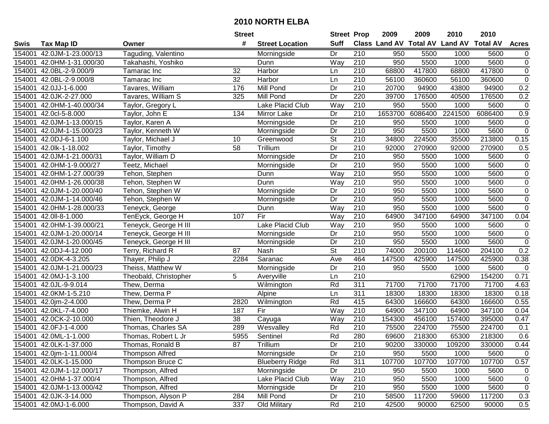|        |                           |                       | <b>Street</b>    |                        | <b>Street Prop</b>       |                  | 2009                          | 2009    | 2010           | 2010            |                  |
|--------|---------------------------|-----------------------|------------------|------------------------|--------------------------|------------------|-------------------------------|---------|----------------|-----------------|------------------|
| Swis   | <b>Tax Map ID</b>         | Owner                 | #                | <b>Street Location</b> | <b>Suff</b>              |                  | <b>Class Land AV Total AV</b> |         | <b>Land AV</b> | <b>Total AV</b> | <b>Acres</b>     |
| 154001 | 42.0JM-1-23.000/13        | Taguding, Valentino   |                  | Morningside            | Dr                       | 210              | 950                           | 5500    | 1000           | 5600            | $\overline{0}$   |
| 154001 | 42.0HM-1-31.000/30        | Takahashi, Yoshiko    |                  | Dunn                   | Way                      | 210              | 950                           | 5500    | 1000           | 5600            | $\boldsymbol{0}$ |
| 154001 | 42.0BL-2-9.000/9          | Tamarac Inc           | 32               | Harbor                 | Ln                       | 210              | 68800                         | 417800  | 68800          | 417800          | $\pmb{0}$        |
| 154001 | 42.0BL-2-9.000/8          | Tamarac Inc           | 32               | Harbor                 | Ln                       | 210              | 56100                         | 360600  | 56100          | 360600          | $\overline{0}$   |
| 154001 | 42.0JJ-1-6.000            | Tavares, William      | 176              | Mill Pond              | Dr                       | 210              | 20700                         | 94900   | 43800          | 94900           | 0.2              |
| 154001 | 42.0JK-2-27.000           | Tavares, William S    | 325              | Mill Pond              | Dr                       | 220              | 39700                         | 176500  | 40500          | 176500          | 0.2              |
| 154001 | 42.0HM-1-40.000/34        | Taylor, Gregory L     |                  | Lake Placid Club       | Way                      | 210              | 950                           | 5500    | 1000           | 5600            | $\pmb{0}$        |
| 154001 | 42.0cl-5-8.000            | Taylor, John E        | 134              | <b>Mirror Lake</b>     | Dr                       | 210              | 1653700                       | 6086400 | 2241500        | 6086400         | $\overline{0.9}$ |
| 154001 | 42.0JM-1-13.000/15        | Taylor, Karen A       |                  | Morningside            | Dr                       | $\overline{210}$ | 950                           | 5500    | 1000           | 5600            | $\pmb{0}$        |
| 154001 | 42.0JM-1-15.000/23        | Taylor, Kenneth W     |                  | Morningside            | Dr                       | 210              | 950                           | 5500    | 1000           | 5600            | $\mathsf 0$      |
| 154001 | 42.0DJ-6-1.100            | Taylor, Michael J     | 10               | Greenwood              | $\overline{\mathsf{St}}$ | 210              | 34800                         | 224500  | 35500          | 213800          | 0.15             |
| 154001 | 42.0lk-1-18.002           | Taylor, Timothy       | 58               | Trillium               | Dr                       | 210              | 92000                         | 270900  | 92000          | 270900          | 0.5              |
| 154001 | 42.0JM-1-21.000/31        | Taylor, William D     |                  | Morningside            | Dr                       | $\overline{210}$ | 950                           | 5500    | 1000           | 5600            | $\pmb{0}$        |
| 154001 | 42.0HM-1-9.000/27         | Teetz, Michael        |                  | Morningside            | Dr                       | 210              | 950                           | 5500    | 1000           | 5600            | $\pmb{0}$        |
| 154001 | 42.0HM-1-27.000/39        | Tehon, Stephen        |                  | Dunn                   | Way                      | 210              | 950                           | 5500    | 1000           | 5600            | $\pmb{0}$        |
| 154001 | 42.0HM-1-26.000/38        | Tehon, Stephen W      |                  | Dunn                   | Way                      | 210              | 950                           | 5500    | 1000           | 5600            | $\pmb{0}$        |
| 154001 | 42.0JM-1-20.000/40        | Tehon, Stephen W      |                  | Morningside            | Dr                       | 210              | 950                           | 5500    | 1000           | 5600            | $\pmb{0}$        |
| 154001 | 42.0JM-1-14.000/46        | Tehon, Stephen W      |                  | Morningside            | Dr                       | 210              | 950                           | 5500    | 1000           | 5600            | $\pmb{0}$        |
| 154001 | 42.0HM-1-28.000/33        | Teneyck, George       |                  | Dunn                   | Way                      | 210              | 950                           | 5500    | 1000           | 5600            | $\overline{0}$   |
| 154001 | 42.0II-8-1.000            | TenEyck, George H     | 107              | Fir                    | Way                      | 210              | 64900                         | 347100  | 64900          | 347100          | 0.04             |
| 154001 | 42.0HM-1-39.000/21        | Teneyck, George H III |                  | Lake Placid Club       | Way                      | 210              | 950                           | 5500    | 1000           | 5600            | $\pmb{0}$        |
| 154001 | 42.0JM-1-20.000/14        | Teneyck, George H III |                  | Morningside            | Dr                       | 210              | 950                           | 5500    | 1000           | 5600            | $\pmb{0}$        |
| 154001 | 42.0JM-1-20.000/45        | Teneyck, George H III |                  | Morningside            | Dr                       | 210              | 950                           | 5500    | 1000           | 5600            | $\pmb{0}$        |
| 154001 | 42.0DJ-4-12.000           | Terry, Richard R      | 87               | Nash                   | <b>St</b>                | 210              | 74000                         | 200100  | 114600         | 204100          | 0.2              |
| 154001 | 42.0DK-4-3.205            | Thayer, Philip J      | 2284             | Saranac                | Ave                      | 464              | 147500                        | 425900  | 147500         | 425900          | 0.38             |
| 154001 | 42.0JM-1-21.000/23        | Theiss, Matthew W     |                  | Morningside            | Dr                       | 210              | 950                           | 5500    | 1000           | 5600            | $\mathbf 0$      |
| 154001 | 42.0MJ-1-3.100            | Theobald, Christopher | 5                | Averyville             | Ln                       | 210              |                               |         | 62900          | 154200          | 0.71             |
| 154001 | 42.0JL-9-9.014            | Thew, Derma           |                  | Wilmington             | Rd                       | $\overline{311}$ | 71700                         | 71700   | 71700          | 71700           | 4.63             |
| 154001 | 42.0KM-1-5.210            | Thew, Derma P         |                  | Alpine                 | Ln                       | $\overline{311}$ | 18300                         | 18300   | 18300          | 18300           | 0.18             |
| 154001 | 42.0jm-2-4.000            | Thew, Derma P         | 2820             | Wilmington             | Rd                       | 415              | 64300                         | 166600  | 64300          | 166600          | 0.55             |
| 154001 | 42.0KL-7-4.000            | Thiemke, Alwin H      | 187              | Fir                    | Way                      | $\overline{210}$ | 64900                         | 347100  | 64900          | 347100          | 0.04             |
| 154001 | 42.0CK-2-10.000           | Thien, Theodore J     | 38               | Cayuga                 | Way                      | 210              | 154300                        | 456100  | 157400         | 395000          | 0.47             |
| 154001 | 42.0FJ-1-4.000            | Thomas, Charles SA    | 289              | Wesvalley              | Rd                       | $\overline{210}$ | 75500                         | 224700  | 75500          | 224700          | 0.1              |
|        | 154001 42.0ML-1-1.000     | Thomas, Robert L Jr   | 5955             | Sentinel               | Rd                       | 280              | 69600                         | 218300  | 65300          | 218300          | 0.6              |
|        | 154001 42.0LK-1-37.000    | Thomas, Ronald B      | 87               | Trillium               | Dr                       | 210              | 90200                         | 330000  | 109200         | 330000          | 0.44             |
|        | 154001 42.0jm-1-11.000/4  | Thompson Alfred       |                  | Morningside            | Dr                       | 210              | 950                           | 5500    | 1000           | 5600            | 0                |
|        | 154001 42.0LK-1-15.000    | Thompson Bruce C      |                  | <b>Blueberry Ridge</b> | Rd                       | 311              | 107700                        | 107700  | 107700         | 107700          | 0.57             |
|        | 154001 42.0JM-1-12.000/17 | Thompson, Alfred      |                  | Morningside            | Dr                       | 210              | 950                           | 5500    | 1000           | 5600            | 0                |
|        | 154001 42.0HM-1-37.000/4  | Thompson, Alfred      |                  | Lake Placid Club       | Way                      | 210              | 950                           | 5500    | 1000           | 5600            | 0                |
|        | 154001 42.0JM-1-13.000/42 | Thompson, Alfred      |                  | Morningside            | Dr                       | 210              | 950                           | 5500    | 1000           | 5600            | 0                |
|        | 154001 42.0JK-3-14.000    | Thompson, Alyson P    | 284              | Mill Pond              | Dr                       | 210              | 58500                         | 117200  | 59600          | 117200          | 0.3              |
|        | 154001 42.0MJ-1-6.000     | Thompson, David A     | $\overline{3}37$ | Old Military           | Rd                       | 210              | 42500                         | 90000   | 62500          | 90000           | 0.5              |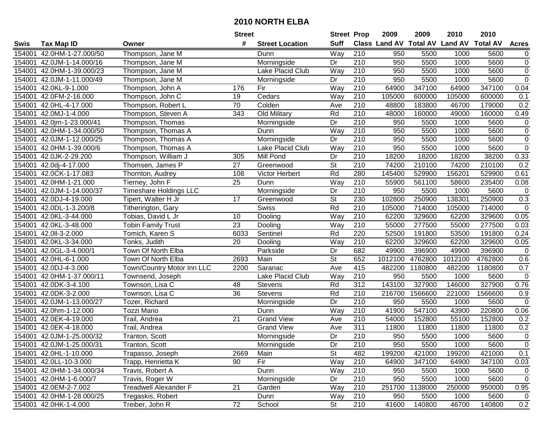|        |                           |                               | <b>Street</b>    |                        | <b>Street Prop</b>       |                  | 2009                          | 2009    | 2010           | 2010            |                  |
|--------|---------------------------|-------------------------------|------------------|------------------------|--------------------------|------------------|-------------------------------|---------|----------------|-----------------|------------------|
| Swis   | <b>Tax Map ID</b>         | Owner                         | #                | <b>Street Location</b> | <b>Suff</b>              |                  | <b>Class Land AV Total AV</b> |         | <b>Land AV</b> | <b>Total AV</b> | <b>Acres</b>     |
| 154001 | 42.0HM-1-27.000/50        | Thompson, Jane M              |                  | Dunn                   | Way                      | 210              | 950                           | 5500    | 1000           | 5600            | $\overline{0}$   |
| 154001 | 42.0JM-1-14.000/16        | Thompson, Jane M              |                  | Morningside            | Dr                       | 210              | 950                           | 5500    | 1000           | 5600            | $\boldsymbol{0}$ |
| 154001 | 42.0HM-1-39.000/23        | Thompson, Jane M              |                  | Lake Placid Club       | Way                      | 210              | 950                           | 5500    | 1000           | 5600            | $\boldsymbol{0}$ |
| 154001 | 42.0JM-1-11.000/49        | Thompson, Jane M              |                  | Morningside            | Dr                       | 210              | 950                           | 5500    | 1000           | 5600            | $\overline{0}$   |
| 154001 | 42.0KL-9-1.000            | Thompson, John A              | 176              | Fir                    | Way                      | $\overline{210}$ | 64900                         | 347100  | 64900          | 347100          | 0.04             |
| 154001 | 42.0FM-2-16.000           | Thompson, John C              | 19               | Cedars                 | Way                      | $\overline{210}$ | 105000                        | 600000  | 105000         | 600000          | 0.1              |
| 154001 | 42.0HL-4-17.000           | Thompson, Robert L            | 70               | Colden                 | Ave                      | 210              | 48800                         | 183800  | 46700          | 179000          | 0.2              |
| 154001 | 42.0MJ-1-4.000            | Thompson, Steven A            | $\overline{343}$ | <b>Old Military</b>    | Rd                       | 210              | 48000                         | 160000  | 49000          | 160000          | 0.49             |
| 154001 | 42.0jm-1-23.000/41        | Thompson, Thomas              |                  | Morningside            | Dr                       | $\overline{210}$ | 950                           | 5500    | 1000           | 5600            | $\pmb{0}$        |
| 154001 | 42.0HM-1-34.000/50        | Thompson, Thomas A            |                  | Dunn                   | Way                      | $\overline{210}$ | 950                           | 5500    | 1000           | 5600            | $\pmb{0}$        |
| 154001 | 42.0JM-1-12.000/25        | Thompson, Thomas A            |                  | Morningside            | Dr                       | $\overline{210}$ | 950                           | 5500    | 1000           | 5600            | $\pmb{0}$        |
| 154001 | 42.0HM-1-39.000/6         | Thompson, Thomas A            |                  | Lake Placid Club       | Way                      | 210              | 950                           | 5500    | 1000           | 5600            | $\mathsf 0$      |
| 154001 | 42.0JK-2-29.200           | Thompson, William J           | 305              | Mill Pond              | Dr                       | 210              | 18200                         | 18200   | 18200          | 38200           | 0.33             |
| 154001 | 42.0dj-4-17.000           | Thomsen, James P              | 27               | Greenwood              | <b>St</b>                | 210              | 74200                         | 210100  | 74200          | 210100          | 0.2              |
| 154001 | 42.0CK-1-17.083           | Thornton, Audrey              | 108              | <b>Victor Herbert</b>  | Rd                       | 280              | 145400                        | 529900  | 156201         | 529900          | 0.61             |
| 154001 | 42.0HM-1-21.000           | Tierney, John F               | 25               | Dunn                   | Way                      | 210              | 55900                         | 561100  | 58600          | 235400          | 0.08             |
| 154001 | 42.0JM-1-14.000/37        | <b>Timeshare Holdings LLC</b> |                  | Morningside            | Dr                       | 210              | 950                           | 5500    | 1000           | 5600            | $\mathbf 0$      |
| 154001 | 42.0DJ-4-19.000           | Tipert, Walter H Jr           | 17               | Greenwood              | $\overline{\mathsf{St}}$ | 230              | 102800                        | 250900  | 138301         | 250900          | 0.3              |
| 154001 | 42.0DL-1-3.200/8          | Titherington, Gary            |                  | <b>Swiss</b>           | Rd                       | 210              | 105000                        | 714000  | 105000         | 714000          | $\pmb{0}$        |
| 154001 | 42.0KL-3-44.000           | Tobias, David L Jr            | 10               | Dooling                | Way                      | 210              | 62200                         | 329600  | 62200          | 329600          | 0.05             |
| 154001 | 42.0KL-3-48.000           | <b>Tobin Family Trust</b>     | $\overline{23}$  | Dooling                | Way                      | 210              | 55000                         | 277500  | 55000          | 277500          | 0.03             |
| 154001 | 42.0II-3-2.000            | Tomich, Karen S               | 6033             | Sentinel               | Rd                       | 220              | 52500                         | 191800  | 53500          | 191800          | 0.24             |
| 154001 | 42.0KL-3-34.000           | Tonks, Judith                 | 20               | Dooling                | Way                      | 210              | 62200                         | 329600  | 62200          | 329600          | 0.05             |
| 154001 | 42.0GL-3-4.000/1          | Town Of North Elba            |                  | Parkside               | Dr                       | 682              | 49900                         | 396900  | 49900          | 396900          | $\mathbf 0$      |
| 154001 | 42.0HL-6-1.000            | Town Of North Elba            | 2693             | Main                   | $\overline{\mathsf{St}}$ | 652              | 1012100                       | 4762800 | 1012100        | 4762800         | 0.6              |
| 154001 | 42.0DJ-4-3.000            | Town/Country Motor Inn LLC    | 2200             | Saranac                | Ave                      | 415              | 482200                        | 1180800 | 482200         | 1180800         | 0.7              |
| 154001 | 42.0HM-1-37.000/11        | Townsend, Joseph              |                  | Lake Placid Club       | Way                      | 210              | 950                           | 5500    | 1000           | 5600            | $\pmb{0}$        |
| 154001 | 42.0DK-3-4.100            | Townson, Lisa C               | 48               | <b>Stevens</b>         | Rd                       | 312              | 143100                        | 327900  | 146000         | 327900          | 0.76             |
| 154001 | 42.0DK-3-2.000            | Townson, Lisa C               | 36               | Stevens                | Rd                       | $\overline{210}$ | 216700                        | 1566600 | 221000         | 1566600         | 0.9              |
| 154001 | 42.0JM-1-13.000/27        | Tozer, Richard                |                  | Morningside            | Dr                       | $\overline{210}$ | 950                           | 5500    | 1000           | 5600            | 0                |
| 154001 | 42.0hm-1-12.000           | <b>Tozzi Mario</b>            |                  | Dunn                   | Way                      | $\overline{210}$ | 41900                         | 547100  | 43900          | 220800          | 0.06             |
| 154001 | 42.0EK-4-19.000           | Trail, Andrea                 | 21               | <b>Grand View</b>      | Ave                      | 210              | 54000                         | 152800  | 55100          | 152800          | 0.2              |
| 154001 | 42.0EK-4-18.000           | Trail, Andrea                 |                  | <b>Grand View</b>      | Ave                      | 311              | 11800                         | 11800   | 11800          | 11800           | 0.2              |
|        | 154001 42.0JM-1-25.000/32 | Tranton, Scott                |                  | Morningside            | Dr                       | 210              | 950                           | 5500    | 1000           | 5600            | $\overline{0}$   |
|        | 154001 42.0JM-1-25.000/31 | Tranton, Scott                |                  | Morningside            | Dr                       | 210              | 950                           | 5500    | 1000           | 5600            | 0                |
|        | 154001 42.0HL-1-10.000    | Trapasso, Joseph              | 2669             | Main                   | <b>St</b>                | 482              | 199200                        | 421000  | 199200         | 421000          | 0.1              |
|        | 154001 42.0LL-10-3.000    | Trapp, Henrietta K            | 90               | Fir                    | Way                      | 210              | 64900                         | 347100  | 64900          | 347100          | 0.03             |
|        | 154001 42.0HM-1-34.000/34 | Travis, Robert A              |                  | Dunn                   | Way                      | 210              | 950                           | 5500    | 1000           | 5600            | 0                |
|        | 154001 42.0HM-1-6.000/7   | Travis, Roger W               |                  | Morningside            | Dr                       | 210              | 950                           | 5500    | 1000           | 5600            | $\mathbf 0$      |
|        | 154001 42.0EM-2-7.002     | Treadwell Alexander F         | 21               | Garden                 | Way                      | 210              | 251700                        | 1138000 | 250000         | 950000          | 0.95             |
|        | 154001 42.0HM-1-28.000/25 | Tregaskis, Robert             |                  | Dunn                   | Way                      | 210              | 950                           | 5500    | 1000           | 5600            | 0                |
|        | 154001 42.0HK-1-4.000     | Treiber, John R               | 72               | School                 | St                       | 210              | 41600                         | 140800  | 46700          | 140800          | 0.2              |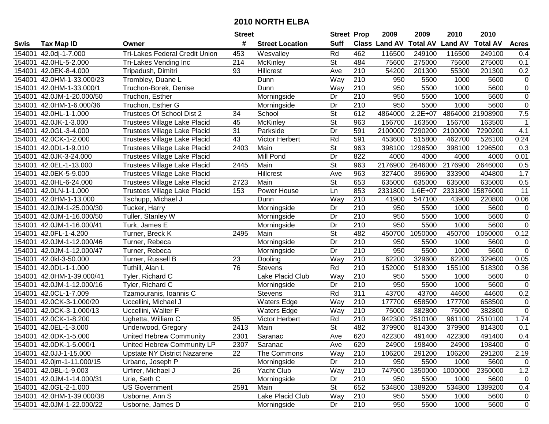|             |                           |                                       | <b>Street</b> |                        | <b>Street Prop</b>       |                  | 2009                          | 2009        | 2010           | 2010             |                |
|-------------|---------------------------|---------------------------------------|---------------|------------------------|--------------------------|------------------|-------------------------------|-------------|----------------|------------------|----------------|
| <b>Swis</b> | Tax Map ID                | Owner                                 | #             | <b>Street Location</b> | <b>Suff</b>              |                  | <b>Class Land AV Total AV</b> |             | <b>Land AV</b> | <b>Total AV</b>  | <b>Acres</b>   |
| 154001      | 42.0dj-1-7.000            | <b>Tri-Lakes Federal Credit Union</b> | 453           | Wesvalley              | Rd                       | 462              | 116500                        | 249100      | 116500         | 249100           | 0.4            |
|             | 154001 42.0HL-5-2.000     | Tri-Lakes Vending Inc                 | 214           | <b>McKinley</b>        | St                       | 484              | 75600                         | 275000      | 75600          | 275000           | 0.1            |
| 154001      | 42.0EK-8-4.000            | Tripadush, Dimitri                    | 93            | <b>Hillcrest</b>       | Ave                      | 210              | 54200                         | 201300      | 55300          | 201300           | 0.2            |
| 154001      | 42.0HM-1-33.000/23        | Trombley, Duane L                     |               | Dunn                   | Way                      | 210              | 950                           | 5500        | 1000           | 5600             | $\pmb{0}$      |
| 154001      | 42.0HM-1-33.000/1         | Truchon-Borek, Denise                 |               | Dunn                   | Way                      | 210              | 950                           | 5500        | 1000           | 5600             | $\pmb{0}$      |
| 154001      | 42.0JM-1-20.000/50        | Truchon, Esther                       |               | Morningside            | Dr                       | 210              | 950                           | 5500        | 1000           | 5600             | $\overline{0}$ |
| 154001      | 42.0HM-1-6.000/36         | Truchon, Esther G                     |               | Morningside            | Dr                       | 210              | 950                           | 5500        | 1000           | 5600             | $\pmb{0}$      |
| 154001      | 42.0HL-1-1.000            | Trustees Of School Dist 2             | 34            | School                 | $\overline{\mathsf{St}}$ | 612              | 4864000                       | $2.2E + 07$ |                | 4864000 21908900 | 7.5            |
| 154001      | 42.0JK-1-3.000            | Trustees Village Lake Placid          | 45            | <b>McKinley</b>        | $\overline{\mathsf{St}}$ | 963              | 156700                        | 163500      | 156700         | 163500           | 1              |
| 154001      | 42.0GL-3-4.000            | Trustees Village Lake Placid          | 31            | Parkside               | Dr                       | 591              | 2100000                       | 7290200     | 2100000        | 7290200          | 4.1            |
| 154001      | 42.0CK-1-2.000            | Trustees Village Lake Placid          | 43            | Victor Herbert         | Rd                       | 591              | 453600                        | 515800      | 462700         | 526100           | 0.24           |
| 154001      | 42.0DL-1-9.010            | Trustees Village Lake Placid          | 2403          | Main                   | St                       | 963              | 398100                        | 1296500     | 398100         | 1296500          | 0.3            |
| 154001      | 42.0JK-3-24.000           | Trustees Village Lake Placid          |               | Mill Pond              | Dr                       | 822              | 4000                          | 4000        | 4000           | 4000             | 0.01           |
| 154001      | 42.0EL-1-13.000           | Trustees Village Lake Placid          | 2445          | Main                   | <b>St</b>                | 963              | 2176900                       | 2646000     | 2176900        | 2646000          | 0.5            |
| 154001      | 42.0EK-5-9.000            | Trustees Village Lake Placid          |               | Hillcrest              | Ave                      | 963              | 327400                        | 396900      | 333900         | 404800           | 1.7            |
| 154001      | 42.0HL-6-24.000           | Trustees Village Lake Placid          | 2723          | Main                   | St                       | 653              | 635000                        | 635000      | 635000         | 635000           | 0.5            |
| 154001      | 42.0LN-1-1.000            | Trustees Village Lake Placid          | 153           | Power House            | Ln                       | 853              | 2331800                       | $1.6E + 07$ | 2331800        | 15876000         | 11             |
| 154001      | 42.0HM-1-13.000           | Tschupp, Michael J                    |               | Dunn                   | Way                      | 210              | 41900                         | 547100      | 43900          | 220800           | 0.06           |
|             | 154001 42.0JM-1-25.000/30 | Tucker, Harry                         |               | Morningside            | Dr                       | 210              | 950                           | 5500        | 1000           | 5600             | $\pmb{0}$      |
| 154001      | 42.0JM-1-16.000/50        | Tuller, Stanley W                     |               | Morningside            | Dr                       | 210              | 950                           | 5500        | 1000           | 5600             | $\pmb{0}$      |
| 154001      | 42.0JM-1-16.000/41        | Turk, James E                         |               | Morningside            | Dr                       | 210              | 950                           | 5500        | 1000           | 5600             | $\pmb{0}$      |
| 154001      | 42.0FL-1-4.200            | Turner, Breck K                       | 2495          | Main                   | <b>St</b>                | 482              | 450700                        | 1050000     | 450700         | 1050000          | 0.12           |
| 154001      | 42.0JM-1-12.000/46        | Turner, Rebeca                        |               | Morningside            | Dr                       | 210              | 950                           | 5500        | 1000           | 5600             | $\pmb{0}$      |
| 154001      | 42.0JM-1-12.000/47        | Turner, Rebeca                        |               | Morningside            | Dr                       | 210              | 950                           | 5500        | 1000           | 5600             | $\mathbf 0$    |
| 154001      | 42.0kl-3-50.000           | Turner, Russell B                     | 23            | Dooling                | Way                      | 210              | 62200                         | 329600      | 62200          | 329600           | 0.05           |
| 154001      | 42.0DL-1-1.000            | Tuthill, Alan L                       | 76            | <b>Stevens</b>         | Rd                       | 210              | 152000                        | 518300      | 155100         | 518300           | 0.36           |
| 154001      | 42.0HM-1-39.000/41        | Tyler, Richard C                      |               | Lake Placid Club       | Way                      | 210              | 950                           | 5500        | 1000           | 5600             | 0              |
| 154001      | 42.0JM-1-12.000/16        | Tyler, Richard C                      |               | Morningside            | Dr                       | 210              | 950                           | 5500        | 1000           | 5600             | $\pmb{0}$      |
| 154001      | 42.0CL-1-7.009            | Tzamouranis, Ioannis C                |               | <b>Stevens</b>         | Rd                       | 311              | 43700                         | 43700       | 44600          | 44600            | 0.2            |
| 154001      | 42.0CK-3-1.000/20         | Uccellini, Michael J                  |               | <b>Waters Edge</b>     | $\overline{W}$ ay        | $\overline{210}$ | 177700                        | 658500      | 177700         | 658500           | $\pmb{0}$      |
| 154001      | 42.0CK-3-1.000/13         | Uccellini, Walter F                   |               | <b>Waters Edge</b>     | Way                      | $\overline{210}$ | 75000                         | 382800      | 75000          | 382800           | $\overline{0}$ |
| 154001      | 42.0CK-1-8.200            | Ughetta, William C                    | 95            | <b>Victor Herbert</b>  | Rd                       | 210              | 942300                        | 2510100     | 961100         | 2510100          | 1.74           |
| 154001      | 42.0EL-1-3.000            | Underwood, Gregory                    | 2413          | Main                   | $\overline{\mathsf{St}}$ | 482              | 379900                        | 814300      | 379900         | 814300           | 0.1            |
|             | 154001 42.0DK-1-5.000     | <b>United Hebrew Community</b>        | 2301          | Saranac                | Ave                      | 620              | 422300                        | 491400      | 422300         | 491400           | 0.4            |
|             | 154001 42.0DK-1-5.000/1   | United Hebrew Community LP            | 2307          | Saranac                | Ave                      | 620              | 24900                         | 198400      | 24900          | 198400           | 0              |
|             | 154001 42.0JJ-1-15.000    | <b>Upstate NY District Nazarene</b>   | 22            | The Commons            | Way                      | 210              | 106200                        | 291200      | 106200         | 291200           | 2.19           |
|             | 154001 42.0jm-1-11.000/15 | Urbano, Joseph P                      |               | Morningside            | Dr                       | 210              | 950                           | 5500        | 1000           | 5600             | 0              |
|             | 154001 42.0BL-1-9.003     | Urfirer, Michael J                    | 26            | Yacht Club             | Way                      | 210              | 747900                        | 1350000     | 1000000        | 2350000          | 1.2            |
|             | 154001 42.0JM-1-14.000/31 | Urie, Seth C                          |               | Morningside            | Dr                       | 210              | 950                           | 5500        | 1000           | 5600             | 0              |
|             | 154001 42.0GL-2-1.000     | <b>US Government</b>                  | 2591          | Main                   | <b>St</b>                | 652              | 534800                        | 1389200     | 534800         | 1389200          | 0.4            |
|             | 154001 42.0HM-1-39.000/38 | Usborne, Ann S                        |               | Lake Placid Club       | Way                      | 210              | 950                           | 5500        | 1000           | 5600             | 0              |
|             | 154001 42.0JM-1-22.000/22 | Usborne, James D                      |               | Morningside            | Dr                       | 210              | 950                           | 5500        | 1000           | 5600             | $\mathbf 0$    |
|             |                           |                                       |               |                        |                          |                  |                               |             |                |                  |                |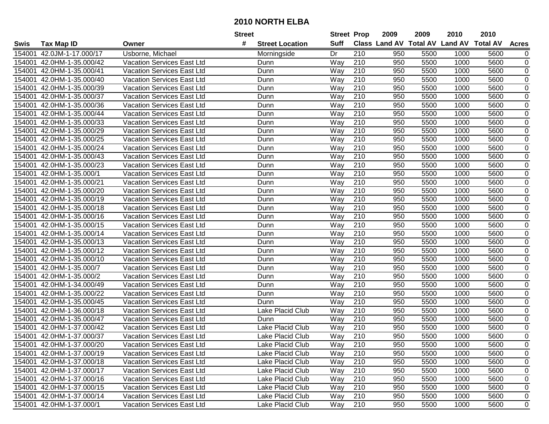|        |                           |                                   | <b>Street</b>               | <b>Street Prop</b> |                  | 2009                          | 2009 | 2010           | 2010            |                  |
|--------|---------------------------|-----------------------------------|-----------------------------|--------------------|------------------|-------------------------------|------|----------------|-----------------|------------------|
| Swis   | <b>Tax Map ID</b>         | Owner                             | #<br><b>Street Location</b> | <b>Suff</b>        |                  | <b>Class Land AV Total AV</b> |      | <b>Land AV</b> | <b>Total AV</b> | <b>Acres</b>     |
| 154001 | 42.0JM-1-17.000/17        | Usborne, Michael                  | Morningside                 | Dr                 | 210              | 950                           | 5500 | 1000           | 5600            | 0                |
| 154001 | 42.0HM-1-35.000/42        | <b>Vacation Services East Ltd</b> | Dunn                        | Way                | 210              | 950                           | 5500 | 1000           | 5600            | 0                |
| 154001 | 42.0HM-1-35.000/41        | Vacation Services East Ltd        | Dunn                        | Way                | 210              | 950                           | 5500 | 1000           | 5600            | 0                |
| 154001 | 42.0HM-1-35.000/40        | <b>Vacation Services East Ltd</b> | Dunn                        | Way                | 210              | 950                           | 5500 | 1000           | 5600            | $\mathbf 0$      |
| 154001 | 42.0HM-1-35.000/39        | <b>Vacation Services East Ltd</b> | Dunn                        | Way                | 210              | 950                           | 5500 | 1000           | 5600            | 0                |
| 154001 | 42.0HM-1-35.000/37        | <b>Vacation Services East Ltd</b> | Dunn                        | Way                | $\overline{210}$ | 950                           | 5500 | 1000           | 5600            | $\mathbf 0$      |
| 154001 | 42.0HM-1-35.000/36        | <b>Vacation Services East Ltd</b> | Dunn                        | Way                | 210              | 950                           | 5500 | 1000           | 5600            | 0                |
| 154001 | 42.0HM-1-35.000/44        | <b>Vacation Services East Ltd</b> | Dunn                        | Way                | 210              | 950                           | 5500 | 1000           | 5600            | $\pmb{0}$        |
| 154001 | 42.0HM-1-35.000/33        | <b>Vacation Services East Ltd</b> | Dunn                        | Way                | $\overline{210}$ | 950                           | 5500 | 1000           | 5600            | $\mathbf 0$      |
| 154001 | 42.0HM-1-35.000/29        | Vacation Services East Ltd        | Dunn                        | Way                | 210              | 950                           | 5500 | 1000           | 5600            | 0                |
| 154001 | 42.0HM-1-35.000/25        | <b>Vacation Services East Ltd</b> | Dunn                        | Way                | 210              | 950                           | 5500 | 1000           | 5600            | $\boldsymbol{0}$ |
| 154001 | 42.0HM-1-35.000/24        | Vacation Services East Ltd        | Dunn                        | Way                | 210              | 950                           | 5500 | 1000           | 5600            | $\boldsymbol{0}$ |
| 154001 | 42.0HM-1-35.000/43        | Vacation Services East Ltd        | Dunn                        | Way                | $\overline{210}$ | 950                           | 5500 | 1000           | 5600            | $\pmb{0}$        |
| 154001 | 42.0HM-1-35.000/23        | <b>Vacation Services East Ltd</b> | Dunn                        | Way                | 210              | 950                           | 5500 | 1000           | 5600            | $\mathbf 0$      |
| 154001 | 42.0HM-1-35.000/1         | <b>Vacation Services East Ltd</b> | Dunn                        | Way                | 210              | 950                           | 5500 | 1000           | 5600            | $\mathbf 0$      |
| 154001 | 42.0HM-1-35.000/21        | Vacation Services East Ltd        | Dunn                        | Way                | 210              | 950                           | 5500 | 1000           | 5600            | $\mathbf 0$      |
| 154001 | 42.0HM-1-35.000/20        | <b>Vacation Services East Ltd</b> | Dunn                        | Way                | 210              | 950                           | 5500 | 1000           | 5600            | $\mathbf 0$      |
| 154001 | 42.0HM-1-35.000/19        | <b>Vacation Services East Ltd</b> | Dunn                        | Way                | 210              | 950                           | 5500 | 1000           | 5600            | $\pmb{0}$        |
| 154001 | 42.0HM-1-35.000/18        | <b>Vacation Services East Ltd</b> | Dunn                        | Way                | 210              | 950                           | 5500 | 1000           | 5600            | $\mathbf 0$      |
| 154001 | 42.0HM-1-35.000/16        | Vacation Services East Ltd        | Dunn                        | Way                | 210              | 950                           | 5500 | 1000           | 5600            | 0                |
| 154001 | 42.0HM-1-35.000/15        | Vacation Services East Ltd        | Dunn                        | Way                | 210              | 950                           | 5500 | 1000           | 5600            | $\pmb{0}$        |
| 154001 | 42.0HM-1-35.000/14        | <b>Vacation Services East Ltd</b> | Dunn                        | Way                | 210              | 950                           | 5500 | 1000           | 5600            | $\pmb{0}$        |
| 154001 | 42.0HM-1-35.000/13        | <b>Vacation Services East Ltd</b> | Dunn                        | Way                | 210              | 950                           | 5500 | 1000           | 5600            | $\pmb{0}$        |
| 154001 | 42.0HM-1-35.000/12        | <b>Vacation Services East Ltd</b> | Dunn                        | Way                | 210              | 950                           | 5500 | 1000           | 5600            | 0                |
| 154001 | 42.0HM-1-35.000/10        | <b>Vacation Services East Ltd</b> | Dunn                        | Way                | $\overline{210}$ | 950                           | 5500 | 1000           | 5600            | $\mathbf 0$      |
| 154001 | 42.0HM-1-35.000/7         | <b>Vacation Services East Ltd</b> | Dunn                        | Way                | 210              | 950                           | 5500 | 1000           | 5600            | 0                |
| 154001 | 42.0HM-1-35.000/2         | <b>Vacation Services East Ltd</b> | Dunn                        | Way                | 210              | 950                           | 5500 | 1000           | 5600            | $\boldsymbol{0}$ |
| 154001 | 42.0HM-1-34.000/49        | Vacation Services East Ltd        | Dunn                        | Way                | 210              | 950                           | 5500 | 1000           | 5600            | $\boldsymbol{0}$ |
| 154001 | 42.0HM-1-35.000/22        | Vacation Services East Ltd        | Dunn                        | Way                | 210              | 950                           | 5500 | 1000           | 5600            | $\pmb{0}$        |
| 154001 | 42.0HM-1-35.000/45        | Vacation Services East Ltd        | Dunn                        | Way                | $\overline{210}$ | 950                           | 5500 | 1000           | 5600            | $\pmb{0}$        |
| 154001 | 42.0HM-1-36.000/18        | <b>Vacation Services East Ltd</b> | <b>Lake Placid Club</b>     | Way                | $\overline{210}$ | 950                           | 5500 | 1000           | 5600            | $\overline{0}$   |
| 154001 | 42.0HM-1-35.000/47        | <b>Vacation Services East Ltd</b> | Dunn                        | Way                | 210              | 950                           | 5500 | 1000           | 5600            | $\mathbf 0$      |
| 154001 | 42.0HM-1-37.000/42        | Vacation Services East Ltd        | Lake Placid Club            | Way                | 210              | 950                           | 5500 | 1000           | 5600            | $\mathbf 0$      |
| 154001 | 42.0HM-1-37.000/37        | <b>Vacation Services East Ltd</b> | Lake Placid Club            | Way                | 210              | 950                           | 5500 | 1000           | 5600            | $\mathbf 0$      |
|        | 154001 42.0HM-1-37.000/20 | Vacation Services East Ltd        | Lake Placid Club            | Way                | 210              | 950                           | 5500 | 1000           | 5600            | 0                |
|        | 154001 42.0HM-1-37.000/19 | <b>Vacation Services East Ltd</b> | Lake Placid Club            | Way                | 210              | 950                           | 5500 | 1000           | 5600            | 0                |
|        | 154001 42.0HM-1-37.000/18 | Vacation Services East Ltd        | Lake Placid Club            | Way                | 210              | 950                           | 5500 | 1000           | 5600            | 0                |
|        | 154001 42.0HM-1-37.000/17 | Vacation Services East Ltd        | Lake Placid Club            | Way                | 210              | 950                           | 5500 | 1000           | 5600            | 0                |
|        | 154001 42.0HM-1-37.000/16 | Vacation Services East Ltd        | Lake Placid Club            | Way                | 210              | 950                           | 5500 | 1000           | 5600            | 0                |
|        | 154001 42.0HM-1-37.000/15 | <b>Vacation Services East Ltd</b> | Lake Placid Club            | Way                | 210              | 950                           | 5500 | 1000           | 5600            | 0                |
|        | 154001 42.0HM-1-37.000/14 | <b>Vacation Services East Ltd</b> | Lake Placid Club            | Way                | 210              | 950                           | 5500 | 1000           | 5600            | 0                |
|        | 154001 42.0HM-1-37.000/1  | Vacation Services East Ltd        | Lake Placid Club            | Way                | 210              | 950                           | 5500 | 1000           | 5600            | $\overline{0}$   |
|        |                           |                                   |                             |                    |                  |                               |      |                |                 |                  |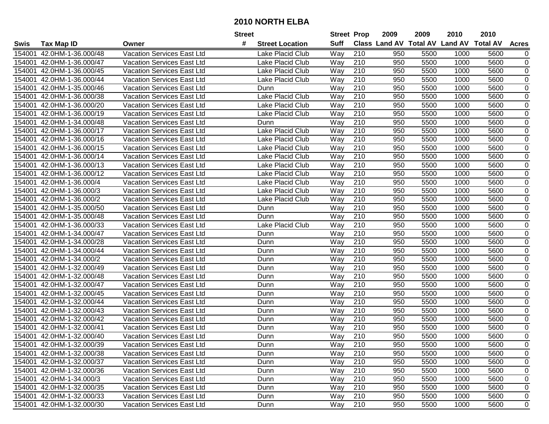|             |                           |                                   | <b>Street</b>               | <b>Street Prop</b> |                  | 2009                          | 2009 | 2010           | 2010            |                |
|-------------|---------------------------|-----------------------------------|-----------------------------|--------------------|------------------|-------------------------------|------|----------------|-----------------|----------------|
| <b>Swis</b> | <b>Tax Map ID</b>         | Owner                             | #<br><b>Street Location</b> | <b>Suff</b>        |                  | <b>Class Land AV Total AV</b> |      | <b>Land AV</b> | <b>Total AV</b> | <b>Acres</b>   |
| 154001      | 42.0HM-1-36.000/48        | Vacation Services East Ltd        | Lake Placid Club            | Way                | 210              | 950                           | 5500 | 1000           | 5600            | 0              |
| 154001      | 42.0HM-1-36.000/47        | <b>Vacation Services East Ltd</b> | Lake Placid Club            | Way                | 210              | 950                           | 5500 | 1000           | 5600            | 0              |
| 154001      | 42.0HM-1-36.000/45        | <b>Vacation Services East Ltd</b> | Lake Placid Club            | Way                | 210              | 950                           | 5500 | 1000           | 5600            | 0              |
| 154001      | 42.0HM-1-36.000/44        | Vacation Services East Ltd        | Lake Placid Club            | Way                | 210              | 950                           | 5500 | 1000           | 5600            | $\mathbf 0$    |
| 154001      | 42.0HM-1-35.000/46        | <b>Vacation Services East Ltd</b> | Dunn                        | Way                | 210              | 950                           | 5500 | 1000           | 5600            | $\mathbf 0$    |
| 154001      | 42.0HM-1-36.000/38        | <b>Vacation Services East Ltd</b> | <b>Lake Placid Club</b>     | Way                | 210              | 950                           | 5500 | 1000           | 5600            | $\mathbf 0$    |
| 154001      | 42.0HM-1-36.000/20        | <b>Vacation Services East Ltd</b> | Lake Placid Club            | Way                | 210              | 950                           | 5500 | 1000           | 5600            | $\pmb{0}$      |
| 154001      | 42.0HM-1-36.000/19        | <b>Vacation Services East Ltd</b> | <b>Lake Placid Club</b>     | Way                | 210              | 950                           | 5500 | 1000           | 5600            | 0              |
| 154001      | 42.0HM-1-34.000/48        | <b>Vacation Services East Ltd</b> | Dunn                        | Way                | $\overline{210}$ | 950                           | 5500 | 1000           | 5600            | $\mathbf 0$    |
| 154001      | 42.0HM-1-36.000/17        | <b>Vacation Services East Ltd</b> | Lake Placid Club            | Way                | 210              | 950                           | 5500 | 1000           | 5600            | $\mathbf 0$    |
| 154001      | 42.0HM-1-36.000/16        | <b>Vacation Services East Ltd</b> | Lake Placid Club            | Way                | 210              | 950                           | 5500 | 1000           | 5600            | $\pmb{0}$      |
| 154001      | 42.0HM-1-36.000/15        | <b>Vacation Services East Ltd</b> | Lake Placid Club            | Way                | 210              | 950                           | 5500 | 1000           | 5600            | $\mathbf 0$    |
| 154001      | 42.0HM-1-36.000/14        | <b>Vacation Services East Ltd</b> | Lake Placid Club            | Way                | 210              | 950                           | 5500 | 1000           | 5600            | $\mathbf 0$    |
| 154001      | 42.0HM-1-36.000/13        | <b>Vacation Services East Ltd</b> | Lake Placid Club            | Way                | 210              | 950                           | 5500 | 1000           | 5600            | $\pmb{0}$      |
| 154001      | 42.0HM-1-36.000/12        | <b>Vacation Services East Ltd</b> | Lake Placid Club            | Way                | 210              | 950                           | 5500 | 1000           | 5600            | $\mathbf 0$    |
| 154001      | 42.0HM-1-36.000/4         | Vacation Services East Ltd        | Lake Placid Club            | Way                | 210              | 950                           | 5500 | 1000           | 5600            | 0              |
| 154001      | 42.0HM-1-36.000/3         | Vacation Services East Ltd        | Lake Placid Club            | Way                | 210              | 950                           | 5500 | 1000           | 5600            | 0              |
| 154001      | 42.0HM-1-36.000/2         | <b>Vacation Services East Ltd</b> | Lake Placid Club            | Way                | 210              | 950                           | 5500 | 1000           | 5600            | $\pmb{0}$      |
| 154001      | 42.0HM-1-35.000/50        | <b>Vacation Services East Ltd</b> | Dunn                        | Way                | 210              | 950                           | 5500 | 1000           | 5600            | $\pmb{0}$      |
| 154001      | 42.0HM-1-35.000/48        | <b>Vacation Services East Ltd</b> | Dunn                        | Way                | 210              | 950                           | 5500 | 1000           | 5600            | $\pmb{0}$      |
| 154001      | 42.0HM-1-36.000/33        | Vacation Services East Ltd        | Lake Placid Club            | Way                | 210              | 950                           | 5500 | 1000           | 5600            | $\pmb{0}$      |
| 154001      | 42.0HM-1-34.000/47        | <b>Vacation Services East Ltd</b> | Dunn                        | Way                | 210              | 950                           | 5500 | 1000           | 5600            | $\pmb{0}$      |
| 154001      | 42.0HM-1-34.000/28        | <b>Vacation Services East Ltd</b> | Dunn                        | Way                | 210              | 950                           | 5500 | 1000           | 5600            | $\pmb{0}$      |
| 154001      | 42.0HM-1-34.000/44        | Vacation Services East Ltd        | Dunn                        | Way                | 210              | 950                           | 5500 | 1000           | 5600            | 0              |
| 154001      | 42.0HM-1-34.000/2         | <b>Vacation Services East Ltd</b> | Dunn                        | Way                | 210              | 950                           | 5500 | 1000           | 5600            | $\pmb{0}$      |
| 154001      | 42.0HM-1-32.000/49        | <b>Vacation Services East Ltd</b> | Dunn                        | Way                | 210              | 950                           | 5500 | 1000           | 5600            | $\pmb{0}$      |
| 154001      | 42.0HM-1-32.000/48        | <b>Vacation Services East Ltd</b> | Dunn                        | Way                | 210              | 950                           | 5500 | 1000           | 5600            | $\mathbf 0$    |
| 154001      | 42.0HM-1-32.000/47        | Vacation Services East Ltd        | Dunn                        | Way                | 210              | 950                           | 5500 | 1000           | 5600            | $\mathbf 0$    |
| 154001      | 42.0HM-1-32.000/45        | <b>Vacation Services East Ltd</b> | Dunn                        | Way                | 210              | 950                           | 5500 | 1000           | 5600            | $\mathbf 0$    |
| 154001      | 42.0HM-1-32.000/44        | <b>Vacation Services East Ltd</b> | Dunn                        | Way                | 210              | 950                           | 5500 | 1000           | 5600            | $\pmb{0}$      |
| 154001      | 42.0HM-1-32.000/43        | <b>Vacation Services East Ltd</b> | Dunn                        | <b>Way</b>         | $\overline{210}$ | 950                           | 5500 | 1000           | 5600            | $\overline{0}$ |
| 154001      | 42.0HM-1-32.000/42        | <b>Vacation Services East Ltd</b> | Dunn                        | Way                | 210              | 950                           | 5500 | 1000           | 5600            | 0              |
| 154001      | 42.0HM-1-32.000/41        | <b>Vacation Services East Ltd</b> | Dunn                        | Way                | 210              | 950                           | 5500 | 1000           | 5600            | 0              |
| 154001      | 42.0HM-1-32.000/40        | <b>Vacation Services East Ltd</b> | Dunn                        | Way                | 210              | 950                           | 5500 | 1000           | 5600            | $\mathbf 0$    |
|             | 154001 42.0HM-1-32.000/39 | Vacation Services East Ltd        | Dunn                        | Way                | 210              | 950                           | 5500 | 1000           | 5600            | 0              |
|             | 154001 42.0HM-1-32.000/38 | <b>Vacation Services East Ltd</b> | Dunn                        | Way                | 210              | 950                           | 5500 | 1000           | 5600            | 0              |
|             | 154001 42.0HM-1-32.000/37 | <b>Vacation Services East Ltd</b> | Dunn                        | Way                | 210              | 950                           | 5500 | 1000           | 5600            | 0              |
|             | 154001 42.0HM-1-32.000/36 | <b>Vacation Services East Ltd</b> | Dunn                        | Way                | 210              | 950                           | 5500 | 1000           | 5600            | $\pmb{0}$      |
|             | 154001 42.0HM-1-34.000/3  | Vacation Services East Ltd        | Dunn                        | Way                | 210              | 950                           | 5500 | 1000           | 5600            | 0              |
|             | 154001 42.0HM-1-32.000/35 | <b>Vacation Services East Ltd</b> | Dunn                        | Way                | 210              | 950                           | 5500 | 1000           | 5600            | 0              |
|             | 154001 42.0HM-1-32.000/33 | Vacation Services East Ltd        | Dunn                        | Way                | 210              | 950                           | 5500 | 1000           | 5600            | 0              |
|             | 154001 42.0HM-1-32.000/30 | Vacation Services East Ltd        | Dunn                        | Way                | 210              | 950                           | 5500 | 1000           | 5600            | 0              |
|             |                           |                                   |                             |                    |                  |                               |      |                |                 |                |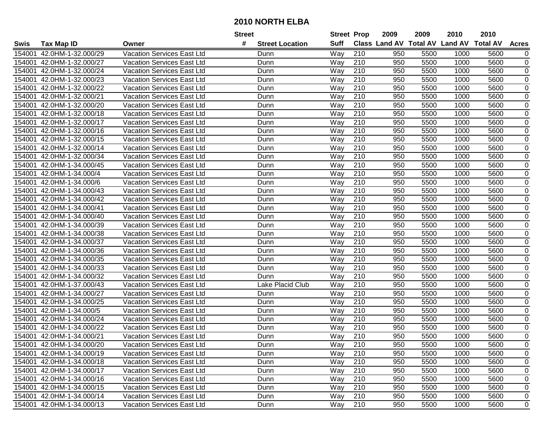|                    |                           |                                   | <b>Street</b> |                        | <b>Street Prop</b> |                  | 2009                          | 2009 | 2010           | 2010            |              |
|--------------------|---------------------------|-----------------------------------|---------------|------------------------|--------------------|------------------|-------------------------------|------|----------------|-----------------|--------------|
| Swis               | <b>Tax Map ID</b>         | Owner                             | #             | <b>Street Location</b> | <b>Suff</b>        |                  | <b>Class Land AV Total AV</b> |      | <b>Land AV</b> | <b>Total AV</b> | <b>Acres</b> |
| 15400 <sup>-</sup> | 42.0HM-1-32.000/29        | <b>Vacation Services East Ltd</b> |               | Dunn                   | Way                | 210              | 950                           | 5500 | 1000           | 5600            | 0            |
| 154001             | 42.0HM-1-32.000/27        | <b>Vacation Services East Ltd</b> |               | Dunn                   | Way                | 210              | 950                           | 5500 | 1000           | 5600            | $\mathbf 0$  |
| 154001             | 42.0HM-1-32.000/24        | Vacation Services East Ltd        |               | Dunn                   | Way                | 210              | 950                           | 5500 | 1000           | 5600            | $\mathbf 0$  |
| 154001             | 42.0HM-1-32.000/23        | Vacation Services East Ltd        |               | Dunn                   | Way                | 210              | 950                           | 5500 | 1000           | 5600            | 0            |
| 154001             | 42.0HM-1-32.000/22        | Vacation Services East Ltd        |               | Dunn                   | Way                | 210              | 950                           | 5500 | 1000           | 5600            | $\mathbf 0$  |
| 154001             | 42.0HM-1-32.000/21        | Vacation Services East Ltd        |               | Dunn                   | Way                | 210              | 950                           | 5500 | 1000           | 5600            | 0            |
| 154001             | 42.0HM-1-32.000/20        | Vacation Services East Ltd        |               | Dunn                   | Way                | 210              | 950                           | 5500 | 1000           | 5600            | $\mathbf 0$  |
| 154001             | 42.0HM-1-32.000/18        | Vacation Services East Ltd        |               | Dunn                   | Way                | 210              | 950                           | 5500 | 1000           | 5600            | 0            |
| 154001             | 42.0HM-1-32.000/17        | Vacation Services East Ltd        |               | Dunn                   | Way                | $\overline{210}$ | 950                           | 5500 | 1000           | 5600            | $\pmb{0}$    |
| 154001             | 42.0HM-1-32.000/16        | Vacation Services East Ltd        |               | Dunn                   | Way                | 210              | 950                           | 5500 | 1000           | 5600            | $\mathbf 0$  |
| 154001             | 42.0HM-1-32.000/15        | Vacation Services East Ltd        |               | Dunn                   | Way                | 210              | 950                           | 5500 | 1000           | 5600            | 0            |
| 154001             | 42.0HM-1-32.000/14        | <b>Vacation Services East Ltd</b> |               | Dunn                   | Way                | 210              | 950                           | 5500 | 1000           | 5600            | 0            |
| 154001             | 42.0HM-1-32.000/34        | Vacation Services East Ltd        |               | Dunn                   | Way                | 210              | 950                           | 5500 | 1000           | 5600            | 0            |
| 154001             | 42.0HM-1-34.000/45        | <b>Vacation Services East Ltd</b> |               | Dunn                   | Way                | 210              | 950                           | 5500 | 1000           | 5600            | $\pmb{0}$    |
| 154001             | 42.0HM-1-34.000/4         | Vacation Services East Ltd        |               | Dunn                   | Way                | 210              | 950                           | 5500 | 1000           | 5600            | $\pmb{0}$    |
| 154001             | 42.0HM-1-34.000/6         | <b>Vacation Services East Ltd</b> |               | Dunn                   | Way                | 210              | 950                           | 5500 | 1000           | 5600            | $\pmb{0}$    |
| 154001             | 42.0HM-1-34.000/43        | <b>Vacation Services East Ltd</b> |               | Dunn                   | Way                | 210              | 950                           | 5500 | 1000           | 5600            | $\mathbf 0$  |
| 154001             | 42.0HM-1-34.000/42        | Vacation Services East Ltd        |               | Dunn                   | Way                | 210              | 950                           | 5500 | 1000           | 5600            | $\pmb{0}$    |
| 154001             | 42.0HM-1-34.000/41        | <b>Vacation Services East Ltd</b> |               | Dunn                   | Way                | 210              | 950                           | 5500 | 1000           | 5600            | $\mathbf 0$  |
| 154001             | 42.0HM-1-34.000/40        | Vacation Services East Ltd        |               | Dunn                   | Way                | 210              | 950                           | 5500 | 1000           | 5600            | $\mathbf 0$  |
| 154001             | 42.0HM-1-34.000/39        | <b>Vacation Services East Ltd</b> |               | Dunn                   | Way                | 210              | 950                           | 5500 | 1000           | 5600            | 0            |
| 154001             | 42.0HM-1-34.000/38        | Vacation Services East Ltd        |               | Dunn                   | Way                | 210              | 950                           | 5500 | 1000           | 5600            | $\mathbf 0$  |
| 154001             | 42.0HM-1-34.000/37        | Vacation Services East Ltd        |               | Dunn                   | Way                | 210              | 950                           | 5500 | 1000           | 5600            | 0            |
| 154001             | 42.0HM-1-34.000/36        | Vacation Services East Ltd        |               | Dunn                   | Way                | 210              | 950                           | 5500 | 1000           | 5600            | $\mathbf 0$  |
| 154001             | 42.0HM-1-34.000/35        | Vacation Services East Ltd        |               | Dunn                   | Way                | 210              | 950                           | 5500 | 1000           | 5600            | 0            |
| 154001             | 42.0HM-1-34.000/33        | Vacation Services East Ltd        |               | Dunn                   | Way                | 210              | 950                           | 5500 | 1000           | 5600            | $\mathbf 0$  |
| 154001             | 42.0HM-1-34.000/32        | Vacation Services East Ltd        |               | Dunn                   | Way                | 210              | 950                           | 5500 | 1000           | 5600            | $\mathbf 0$  |
| 154001             | 42.0HM-1-37.000/43        | Vacation Services East Ltd        |               | Lake Placid Club       | Way                | 210              | 950                           | 5500 | 1000           | 5600            | 0            |
| 154001             | 42.0HM-1-34.000/27        | Vacation Services East Ltd        |               | Dunn                   | Way                | 210              | 950                           | 5500 | 1000           | 5600            | 0            |
| 154001             | 42.0HM-1-34.000/25        | Vacation Services East Ltd        |               | Dunn                   | Way                | 210              | 950                           | 5500 | 1000           | 5600            | $\pmb{0}$    |
| 154001             | 42.0HM-1-34.000/5         | Vacation Services East Ltd        |               | Dunn                   | Way                | 210              | 950                           | 5500 | 1000           | 5600            | $\mathbf 0$  |
| 154001             | 42.0HM-1-34.000/24        | Vacation Services East Ltd        |               | Dunn                   | Way                | 210              | 950                           | 5500 | 1000           | 5600            | $\pmb{0}$    |
| 154001             | 42.0HM-1-34.000/22        | <b>Vacation Services East Ltd</b> |               | Dunn                   | Way                | 210              | 950                           | 5500 | 1000           | 5600            | 0            |
| 154001             | 42.0HM-1-34.000/21        | Vacation Services East Ltd        |               | Dunn                   | Way                | 210              | 950                           | 5500 | 1000           | 5600            | $\mathbf 0$  |
|                    | 154001 42.0HM-1-34.000/20 | <b>Vacation Services East Ltd</b> |               | Dunn                   | Way                | 210              | 950                           | 5500 | 1000           | 5600            | $\mathbf 0$  |
| 154001             | 42.0HM-1-34.000/19        | <b>Vacation Services East Ltd</b> |               | Dunn                   | Way                | 210              | 950                           | 5500 | 1000           | 5600            | 0            |
|                    | 154001 42.0HM-1-34.000/18 | Vacation Services East Ltd        |               | Dunn                   | Way                | 210              | 950                           | 5500 | 1000           | 5600            | 0            |
|                    | 154001 42.0HM-1-34.000/17 | <b>Vacation Services East Ltd</b> |               | Dunn                   | Way                | 210              | 950                           | 5500 | 1000           | 5600            | 0            |
|                    | 154001 42.0HM-1-34.000/16 | Vacation Services East Ltd        |               | Dunn                   | Way                | 210              | 950                           | 5500 | 1000           | 5600            | 0            |
|                    | 154001 42.0HM-1-34.000/15 | Vacation Services East Ltd        |               | Dunn                   | Way                | 210              | 950                           | 5500 | 1000           | 5600            | 0            |
|                    | 154001 42.0HM-1-34.000/14 | <b>Vacation Services East Ltd</b> |               | Dunn                   | Way                | 210              | 950                           | 5500 | 1000           | 5600            | 0            |
|                    | 154001 42.0HM-1-34.000/13 | Vacation Services East Ltd        |               | Dunn                   | Way                | 210              | 950                           | 5500 | 1000           | 5600            | 0            |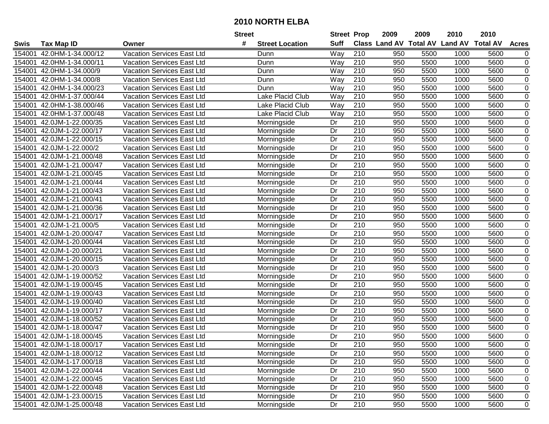| #<br>Class Land AV Total AV Land AV Total AV<br><b>Suff</b><br><b>Tax Map ID</b><br><b>Street Location</b><br><b>Acres</b><br>Swis<br>Owner<br>42.0HM-1-34.000/12<br>Vacation Services East Ltd<br>210<br>950<br>5500<br>1000<br>5600<br>154001<br>Way<br>Dunn<br>0<br>$\pmb{0}$<br>210<br>950<br>5500<br>5600<br>42.0HM-1-34.000/11<br><b>Vacation Services East Ltd</b><br>Dunn<br>Way<br>1000<br>154001<br>$\pmb{0}$<br>210<br>950<br>5500<br>5600<br>154001<br>42.0HM-1-34.000/9<br>Vacation Services East Ltd<br>Dunn<br>Way<br>1000<br>210<br>950<br>5500<br>5600<br>0<br>154001<br>42.0HM-1-34.000/8<br><b>Vacation Services East Ltd</b><br>Dunn<br>Way<br>1000<br>$\overline{0}$<br>$\overline{210}$<br>5600<br>42.0HM-1-34.000/23<br>Vacation Services East Ltd<br>Way<br>950<br>5500<br>1000<br>154001<br>Dunn<br>$\pmb{0}$<br>42.0HM-1-37.000/44<br>Vacation Services East Ltd<br>Lake Placid Club<br>210<br>950<br>5500<br>154001<br>Way<br>1000<br>5600<br>$\overline{210}$<br>$\mathbf 0$<br>42.0HM-1-38.000/46<br>Vacation Services East Ltd<br>Lake Placid Club<br>Way<br>950<br>5500<br>1000<br>5600<br>154001<br>Way<br>210<br>0<br>154001<br>42.0HM-1-37.000/48<br>Vacation Services East Ltd<br>Lake Placid Club<br>950<br>5500<br>1000<br>5600<br>210<br>5600<br>$\pmb{0}$<br>42.0JM-1-22.000/35<br>Vacation Services East Ltd<br>Dr<br>950<br>5500<br>1000<br>154001<br>Morningside<br>210<br>$\pmb{0}$<br>42.0JM-1-22.000/17<br>Dr<br>950<br>5500<br>1000<br>5600<br>154001<br>Vacation Services East Ltd<br>Morningside<br>210<br>42.0JM-1-22.000/15<br>Dr<br>950<br>5500<br>1000<br>5600<br>0<br>154001<br>Vacation Services East Ltd<br>Morningside<br>210<br>5600<br>$\pmb{0}$<br>42.0JM-1-22.000/2<br>Dr<br>950<br>5500<br>1000<br>154001<br>Vacation Services East Ltd<br>Morningside<br>42.0JM-1-21.000/48<br>Dr<br>210<br>950<br>5500<br>1000<br>5600<br>0<br>154001<br>Vacation Services East Ltd<br>Morningside<br>$\pmb{0}$<br>42.0JM-1-21.000/47<br>Dr<br>210<br>950<br>5500<br>5600<br>1000<br>154001<br><b>Vacation Services East Ltd</b><br>Morningside<br>210<br>$\pmb{0}$<br>42.0JM-1-21.000/45<br>Dr<br>950<br>5500<br>1000<br>5600<br>154001<br>Vacation Services East Ltd<br>Morningside<br>210<br>$\pmb{0}$<br>Dr<br>950<br>5500<br>1000<br>5600<br>154001<br>42.0JM-1-21.000/44<br><b>Vacation Services East Ltd</b><br>Morningside<br>210<br>Dr<br>950<br>5500<br>5600<br>0<br>154001<br>42.0JM-1-21.000/43<br><b>Vacation Services East Ltd</b><br>1000<br>Morningside<br>210<br>5600<br>$\pmb{0}$<br>Dr<br>950<br>5500<br>1000<br>154001<br>42.0JM-1-21.000/41<br><b>Vacation Services East Ltd</b><br>Morningside<br>210<br>$\pmb{0}$<br>Dr<br>950<br>5500<br>5600<br>154001<br>42.0JM-1-21.000/36<br><b>Vacation Services East Ltd</b><br>Morningside<br>1000<br>$\pmb{0}$<br>Dr<br>210<br>950<br>5500<br>1000<br>5600<br>154001<br>42.0JM-1-21.000/17<br>Vacation Services East Ltd<br>Morningside<br>$\pmb{0}$<br>Dr<br>210<br>950<br>5500<br>5600<br>154001<br>42.0JM-1-21.000/5<br>Vacation Services East Ltd<br>Morningside<br>1000<br>$\pmb{0}$<br>Dr<br>210<br>5600<br>42.0JM-1-20.000/47<br>Vacation Services East Ltd<br>950<br>5500<br>1000<br>154001<br>Morningside<br>$\pmb{0}$<br>Vacation Services East Ltd<br>Dr<br>210<br>5600<br>42.0JM-1-20.000/44<br>Morningside<br>950<br>5500<br>1000<br>154001<br>210<br>$\pmb{0}$<br>42.0JM-1-20.000/21<br>Vacation Services East Ltd<br>Dr<br>950<br>5500<br>1000<br>5600<br>154001<br>Morningside<br>Dr<br>210<br>5500<br>5600<br>0<br>42.0JM-1-20.000/15<br>Vacation Services East Ltd<br>Morningside<br>950<br>1000<br>154001<br>210<br>5600<br>$\pmb{0}$<br>42.0JM-1-20.000/3<br>Dr<br>950<br>5500<br>1000<br>154001<br><b>Vacation Services East Ltd</b><br>Morningside<br>210<br>$\pmb{0}$<br>Dr<br>950<br>5500<br>1000<br>5600<br>154001<br>42.0JM-1-19.000/52<br>Vacation Services East Ltd<br>Morningside<br>210<br>Dr<br>950<br>5500<br>1000<br>5600<br>0<br>154001<br>42.0JM-1-19.000/45<br>Vacation Services East Ltd<br>Morningside<br>Dr<br>210<br>950<br>5500<br>5600<br>0<br>154001<br>42.0JM-1-19.000/43<br>Vacation Services East Ltd<br>1000<br>Morningside<br>$\overline{0}$<br>$\overline{Dr}$<br>$\overline{210}$<br>950<br>5600<br>42.0JM-1-19.000/40<br>5500<br>1000<br>154001<br>Vacation Services East Ltd<br>Morningside<br>$\pmb{0}$<br>Dr<br>210<br>950<br>5500<br>1000<br>5600<br>154001<br>42.0JM-1-19.000/17<br>Vacation Services East Ltd<br>Morningside<br>$\overline{210}$<br>$\mathbf 0$<br>Dr<br>950<br>5500<br>1000<br>5600<br>154001<br>42.0JM-1-18.000/52<br>Vacation Services East Ltd<br>Morningside<br>Dr<br>210<br>950<br>5500<br>5600<br>$\mathbf 0$<br>154001<br>42.0JM-1-18.000/47<br>1000<br><b>Vacation Services East Ltd</b><br>Morningside<br>210<br>$\overline{Dr}$<br>950<br>5500<br>$\mathbf 0$<br>1000<br>5600<br>154001<br>42.0JM-1-18.000/45<br>Vacation Services East Ltd<br>Morningside<br>210<br>154001 42.0JM-1-18.000/17<br>Dr<br>950<br>5500<br>5600<br>0<br>Vacation Services East Ltd<br>Morningside<br>1000<br>Dr<br>210<br>950<br>5500<br>1000<br>0<br>42.0JM-1-18.000/12<br>Vacation Services East Ltd<br>Morningside<br>5600<br>154001<br>Morningside<br>Dr<br>210<br>950<br>5500<br>1000<br>5600<br>0<br>154001 42.0JM-1-17.000/18<br>Vacation Services East Ltd<br>Dr<br>210<br>950<br>0<br>154001 42.0JM-1-22.000/44<br>Vacation Services East Ltd<br>Morningside<br>5500<br>1000<br>5600<br>210<br>154001 42.0JM-1-22.000/45<br>Vacation Services East Ltd<br>Morningside<br>Dr<br>950<br>5500<br>1000<br>5600<br>0<br>154001 42.0JM-1-22.000/48<br>Vacation Services East Ltd<br>Morningside<br>Dr<br>210<br>0<br>950<br>5500<br>1000<br>5600<br>Morningside<br>Dr<br>210<br>0<br>154001 42.0JM-1-23.000/15<br>Vacation Services East Ltd<br>950<br>5500<br>1000<br>5600<br>154001 42.0JM-1-25.000/48 |  |                            | <b>Street</b> |             | <b>Street Prop</b> |     | 2009 | 2009 | 2010 | 2010 |   |
|--------------------------------------------------------------------------------------------------------------------------------------------------------------------------------------------------------------------------------------------------------------------------------------------------------------------------------------------------------------------------------------------------------------------------------------------------------------------------------------------------------------------------------------------------------------------------------------------------------------------------------------------------------------------------------------------------------------------------------------------------------------------------------------------------------------------------------------------------------------------------------------------------------------------------------------------------------------------------------------------------------------------------------------------------------------------------------------------------------------------------------------------------------------------------------------------------------------------------------------------------------------------------------------------------------------------------------------------------------------------------------------------------------------------------------------------------------------------------------------------------------------------------------------------------------------------------------------------------------------------------------------------------------------------------------------------------------------------------------------------------------------------------------------------------------------------------------------------------------------------------------------------------------------------------------------------------------------------------------------------------------------------------------------------------------------------------------------------------------------------------------------------------------------------------------------------------------------------------------------------------------------------------------------------------------------------------------------------------------------------------------------------------------------------------------------------------------------------------------------------------------------------------------------------------------------------------------------------------------------------------------------------------------------------------------------------------------------------------------------------------------------------------------------------------------------------------------------------------------------------------------------------------------------------------------------------------------------------------------------------------------------------------------------------------------------------------------------------------------------------------------------------------------------------------------------------------------------------------------------------------------------------------------------------------------------------------------------------------------------------------------------------------------------------------------------------------------------------------------------------------------------------------------------------------------------------------------------------------------------------------------------------------------------------------------------------------------------------------------------------------------------------------------------------------------------------------------------------------------------------------------------------------------------------------------------------------------------------------------------------------------------------------------------------------------------------------------------------------------------------------------------------------------------------------------------------------------------------------------------------------------------------------------------------------------------------------------------------------------------------------------------------------------------------------------------------------------------------------------------------------------------------------------------------------------------------------------------------------------------------------------------------------------------------------------------------------------------------------------------------------------------------------------------------------------------------------------------------------------------------------------------------------------------------------------------------------------------------------------------------------------------------------------------------------------------------------------------------------------------------------------------------------------------------------------------------------------------------------------------------------------------------------------------------------------------------------------------------------------------------------------------------------------------------------------------------------------------------------------------------------------------------------------------------------------------------------------------------------------------------------------------------------------------------------------------------------------------------------------------------------------------------------------------------------------------------------------------------------------------------------------------------|--|----------------------------|---------------|-------------|--------------------|-----|------|------|------|------|---|
|                                                                                                                                                                                                                                                                                                                                                                                                                                                                                                                                                                                                                                                                                                                                                                                                                                                                                                                                                                                                                                                                                                                                                                                                                                                                                                                                                                                                                                                                                                                                                                                                                                                                                                                                                                                                                                                                                                                                                                                                                                                                                                                                                                                                                                                                                                                                                                                                                                                                                                                                                                                                                                                                                                                                                                                                                                                                                                                                                                                                                                                                                                                                                                                                                                                                                                                                                                                                                                                                                                                                                                                                                                                                                                                                                                                                                                                                                                                                                                                                                                                                                                                                                                                                                                                                                                                                                                                                                                                                                                                                                                                                                                                                                                                                                                                                                                                                                                                                                                                                                                                                                                                                                                                                                                                                                                                                                                                                                                                                                                                                                                                                                                                                                                                                                                                                                                                                                            |  |                            |               |             |                    |     |      |      |      |      |   |
|                                                                                                                                                                                                                                                                                                                                                                                                                                                                                                                                                                                                                                                                                                                                                                                                                                                                                                                                                                                                                                                                                                                                                                                                                                                                                                                                                                                                                                                                                                                                                                                                                                                                                                                                                                                                                                                                                                                                                                                                                                                                                                                                                                                                                                                                                                                                                                                                                                                                                                                                                                                                                                                                                                                                                                                                                                                                                                                                                                                                                                                                                                                                                                                                                                                                                                                                                                                                                                                                                                                                                                                                                                                                                                                                                                                                                                                                                                                                                                                                                                                                                                                                                                                                                                                                                                                                                                                                                                                                                                                                                                                                                                                                                                                                                                                                                                                                                                                                                                                                                                                                                                                                                                                                                                                                                                                                                                                                                                                                                                                                                                                                                                                                                                                                                                                                                                                                                            |  |                            |               |             |                    |     |      |      |      |      |   |
|                                                                                                                                                                                                                                                                                                                                                                                                                                                                                                                                                                                                                                                                                                                                                                                                                                                                                                                                                                                                                                                                                                                                                                                                                                                                                                                                                                                                                                                                                                                                                                                                                                                                                                                                                                                                                                                                                                                                                                                                                                                                                                                                                                                                                                                                                                                                                                                                                                                                                                                                                                                                                                                                                                                                                                                                                                                                                                                                                                                                                                                                                                                                                                                                                                                                                                                                                                                                                                                                                                                                                                                                                                                                                                                                                                                                                                                                                                                                                                                                                                                                                                                                                                                                                                                                                                                                                                                                                                                                                                                                                                                                                                                                                                                                                                                                                                                                                                                                                                                                                                                                                                                                                                                                                                                                                                                                                                                                                                                                                                                                                                                                                                                                                                                                                                                                                                                                                            |  |                            |               |             |                    |     |      |      |      |      |   |
|                                                                                                                                                                                                                                                                                                                                                                                                                                                                                                                                                                                                                                                                                                                                                                                                                                                                                                                                                                                                                                                                                                                                                                                                                                                                                                                                                                                                                                                                                                                                                                                                                                                                                                                                                                                                                                                                                                                                                                                                                                                                                                                                                                                                                                                                                                                                                                                                                                                                                                                                                                                                                                                                                                                                                                                                                                                                                                                                                                                                                                                                                                                                                                                                                                                                                                                                                                                                                                                                                                                                                                                                                                                                                                                                                                                                                                                                                                                                                                                                                                                                                                                                                                                                                                                                                                                                                                                                                                                                                                                                                                                                                                                                                                                                                                                                                                                                                                                                                                                                                                                                                                                                                                                                                                                                                                                                                                                                                                                                                                                                                                                                                                                                                                                                                                                                                                                                                            |  |                            |               |             |                    |     |      |      |      |      |   |
|                                                                                                                                                                                                                                                                                                                                                                                                                                                                                                                                                                                                                                                                                                                                                                                                                                                                                                                                                                                                                                                                                                                                                                                                                                                                                                                                                                                                                                                                                                                                                                                                                                                                                                                                                                                                                                                                                                                                                                                                                                                                                                                                                                                                                                                                                                                                                                                                                                                                                                                                                                                                                                                                                                                                                                                                                                                                                                                                                                                                                                                                                                                                                                                                                                                                                                                                                                                                                                                                                                                                                                                                                                                                                                                                                                                                                                                                                                                                                                                                                                                                                                                                                                                                                                                                                                                                                                                                                                                                                                                                                                                                                                                                                                                                                                                                                                                                                                                                                                                                                                                                                                                                                                                                                                                                                                                                                                                                                                                                                                                                                                                                                                                                                                                                                                                                                                                                                            |  |                            |               |             |                    |     |      |      |      |      |   |
|                                                                                                                                                                                                                                                                                                                                                                                                                                                                                                                                                                                                                                                                                                                                                                                                                                                                                                                                                                                                                                                                                                                                                                                                                                                                                                                                                                                                                                                                                                                                                                                                                                                                                                                                                                                                                                                                                                                                                                                                                                                                                                                                                                                                                                                                                                                                                                                                                                                                                                                                                                                                                                                                                                                                                                                                                                                                                                                                                                                                                                                                                                                                                                                                                                                                                                                                                                                                                                                                                                                                                                                                                                                                                                                                                                                                                                                                                                                                                                                                                                                                                                                                                                                                                                                                                                                                                                                                                                                                                                                                                                                                                                                                                                                                                                                                                                                                                                                                                                                                                                                                                                                                                                                                                                                                                                                                                                                                                                                                                                                                                                                                                                                                                                                                                                                                                                                                                            |  |                            |               |             |                    |     |      |      |      |      |   |
|                                                                                                                                                                                                                                                                                                                                                                                                                                                                                                                                                                                                                                                                                                                                                                                                                                                                                                                                                                                                                                                                                                                                                                                                                                                                                                                                                                                                                                                                                                                                                                                                                                                                                                                                                                                                                                                                                                                                                                                                                                                                                                                                                                                                                                                                                                                                                                                                                                                                                                                                                                                                                                                                                                                                                                                                                                                                                                                                                                                                                                                                                                                                                                                                                                                                                                                                                                                                                                                                                                                                                                                                                                                                                                                                                                                                                                                                                                                                                                                                                                                                                                                                                                                                                                                                                                                                                                                                                                                                                                                                                                                                                                                                                                                                                                                                                                                                                                                                                                                                                                                                                                                                                                                                                                                                                                                                                                                                                                                                                                                                                                                                                                                                                                                                                                                                                                                                                            |  |                            |               |             |                    |     |      |      |      |      |   |
|                                                                                                                                                                                                                                                                                                                                                                                                                                                                                                                                                                                                                                                                                                                                                                                                                                                                                                                                                                                                                                                                                                                                                                                                                                                                                                                                                                                                                                                                                                                                                                                                                                                                                                                                                                                                                                                                                                                                                                                                                                                                                                                                                                                                                                                                                                                                                                                                                                                                                                                                                                                                                                                                                                                                                                                                                                                                                                                                                                                                                                                                                                                                                                                                                                                                                                                                                                                                                                                                                                                                                                                                                                                                                                                                                                                                                                                                                                                                                                                                                                                                                                                                                                                                                                                                                                                                                                                                                                                                                                                                                                                                                                                                                                                                                                                                                                                                                                                                                                                                                                                                                                                                                                                                                                                                                                                                                                                                                                                                                                                                                                                                                                                                                                                                                                                                                                                                                            |  |                            |               |             |                    |     |      |      |      |      |   |
|                                                                                                                                                                                                                                                                                                                                                                                                                                                                                                                                                                                                                                                                                                                                                                                                                                                                                                                                                                                                                                                                                                                                                                                                                                                                                                                                                                                                                                                                                                                                                                                                                                                                                                                                                                                                                                                                                                                                                                                                                                                                                                                                                                                                                                                                                                                                                                                                                                                                                                                                                                                                                                                                                                                                                                                                                                                                                                                                                                                                                                                                                                                                                                                                                                                                                                                                                                                                                                                                                                                                                                                                                                                                                                                                                                                                                                                                                                                                                                                                                                                                                                                                                                                                                                                                                                                                                                                                                                                                                                                                                                                                                                                                                                                                                                                                                                                                                                                                                                                                                                                                                                                                                                                                                                                                                                                                                                                                                                                                                                                                                                                                                                                                                                                                                                                                                                                                                            |  |                            |               |             |                    |     |      |      |      |      |   |
|                                                                                                                                                                                                                                                                                                                                                                                                                                                                                                                                                                                                                                                                                                                                                                                                                                                                                                                                                                                                                                                                                                                                                                                                                                                                                                                                                                                                                                                                                                                                                                                                                                                                                                                                                                                                                                                                                                                                                                                                                                                                                                                                                                                                                                                                                                                                                                                                                                                                                                                                                                                                                                                                                                                                                                                                                                                                                                                                                                                                                                                                                                                                                                                                                                                                                                                                                                                                                                                                                                                                                                                                                                                                                                                                                                                                                                                                                                                                                                                                                                                                                                                                                                                                                                                                                                                                                                                                                                                                                                                                                                                                                                                                                                                                                                                                                                                                                                                                                                                                                                                                                                                                                                                                                                                                                                                                                                                                                                                                                                                                                                                                                                                                                                                                                                                                                                                                                            |  |                            |               |             |                    |     |      |      |      |      |   |
|                                                                                                                                                                                                                                                                                                                                                                                                                                                                                                                                                                                                                                                                                                                                                                                                                                                                                                                                                                                                                                                                                                                                                                                                                                                                                                                                                                                                                                                                                                                                                                                                                                                                                                                                                                                                                                                                                                                                                                                                                                                                                                                                                                                                                                                                                                                                                                                                                                                                                                                                                                                                                                                                                                                                                                                                                                                                                                                                                                                                                                                                                                                                                                                                                                                                                                                                                                                                                                                                                                                                                                                                                                                                                                                                                                                                                                                                                                                                                                                                                                                                                                                                                                                                                                                                                                                                                                                                                                                                                                                                                                                                                                                                                                                                                                                                                                                                                                                                                                                                                                                                                                                                                                                                                                                                                                                                                                                                                                                                                                                                                                                                                                                                                                                                                                                                                                                                                            |  |                            |               |             |                    |     |      |      |      |      |   |
|                                                                                                                                                                                                                                                                                                                                                                                                                                                                                                                                                                                                                                                                                                                                                                                                                                                                                                                                                                                                                                                                                                                                                                                                                                                                                                                                                                                                                                                                                                                                                                                                                                                                                                                                                                                                                                                                                                                                                                                                                                                                                                                                                                                                                                                                                                                                                                                                                                                                                                                                                                                                                                                                                                                                                                                                                                                                                                                                                                                                                                                                                                                                                                                                                                                                                                                                                                                                                                                                                                                                                                                                                                                                                                                                                                                                                                                                                                                                                                                                                                                                                                                                                                                                                                                                                                                                                                                                                                                                                                                                                                                                                                                                                                                                                                                                                                                                                                                                                                                                                                                                                                                                                                                                                                                                                                                                                                                                                                                                                                                                                                                                                                                                                                                                                                                                                                                                                            |  |                            |               |             |                    |     |      |      |      |      |   |
|                                                                                                                                                                                                                                                                                                                                                                                                                                                                                                                                                                                                                                                                                                                                                                                                                                                                                                                                                                                                                                                                                                                                                                                                                                                                                                                                                                                                                                                                                                                                                                                                                                                                                                                                                                                                                                                                                                                                                                                                                                                                                                                                                                                                                                                                                                                                                                                                                                                                                                                                                                                                                                                                                                                                                                                                                                                                                                                                                                                                                                                                                                                                                                                                                                                                                                                                                                                                                                                                                                                                                                                                                                                                                                                                                                                                                                                                                                                                                                                                                                                                                                                                                                                                                                                                                                                                                                                                                                                                                                                                                                                                                                                                                                                                                                                                                                                                                                                                                                                                                                                                                                                                                                                                                                                                                                                                                                                                                                                                                                                                                                                                                                                                                                                                                                                                                                                                                            |  |                            |               |             |                    |     |      |      |      |      |   |
|                                                                                                                                                                                                                                                                                                                                                                                                                                                                                                                                                                                                                                                                                                                                                                                                                                                                                                                                                                                                                                                                                                                                                                                                                                                                                                                                                                                                                                                                                                                                                                                                                                                                                                                                                                                                                                                                                                                                                                                                                                                                                                                                                                                                                                                                                                                                                                                                                                                                                                                                                                                                                                                                                                                                                                                                                                                                                                                                                                                                                                                                                                                                                                                                                                                                                                                                                                                                                                                                                                                                                                                                                                                                                                                                                                                                                                                                                                                                                                                                                                                                                                                                                                                                                                                                                                                                                                                                                                                                                                                                                                                                                                                                                                                                                                                                                                                                                                                                                                                                                                                                                                                                                                                                                                                                                                                                                                                                                                                                                                                                                                                                                                                                                                                                                                                                                                                                                            |  |                            |               |             |                    |     |      |      |      |      |   |
|                                                                                                                                                                                                                                                                                                                                                                                                                                                                                                                                                                                                                                                                                                                                                                                                                                                                                                                                                                                                                                                                                                                                                                                                                                                                                                                                                                                                                                                                                                                                                                                                                                                                                                                                                                                                                                                                                                                                                                                                                                                                                                                                                                                                                                                                                                                                                                                                                                                                                                                                                                                                                                                                                                                                                                                                                                                                                                                                                                                                                                                                                                                                                                                                                                                                                                                                                                                                                                                                                                                                                                                                                                                                                                                                                                                                                                                                                                                                                                                                                                                                                                                                                                                                                                                                                                                                                                                                                                                                                                                                                                                                                                                                                                                                                                                                                                                                                                                                                                                                                                                                                                                                                                                                                                                                                                                                                                                                                                                                                                                                                                                                                                                                                                                                                                                                                                                                                            |  |                            |               |             |                    |     |      |      |      |      |   |
|                                                                                                                                                                                                                                                                                                                                                                                                                                                                                                                                                                                                                                                                                                                                                                                                                                                                                                                                                                                                                                                                                                                                                                                                                                                                                                                                                                                                                                                                                                                                                                                                                                                                                                                                                                                                                                                                                                                                                                                                                                                                                                                                                                                                                                                                                                                                                                                                                                                                                                                                                                                                                                                                                                                                                                                                                                                                                                                                                                                                                                                                                                                                                                                                                                                                                                                                                                                                                                                                                                                                                                                                                                                                                                                                                                                                                                                                                                                                                                                                                                                                                                                                                                                                                                                                                                                                                                                                                                                                                                                                                                                                                                                                                                                                                                                                                                                                                                                                                                                                                                                                                                                                                                                                                                                                                                                                                                                                                                                                                                                                                                                                                                                                                                                                                                                                                                                                                            |  |                            |               |             |                    |     |      |      |      |      |   |
|                                                                                                                                                                                                                                                                                                                                                                                                                                                                                                                                                                                                                                                                                                                                                                                                                                                                                                                                                                                                                                                                                                                                                                                                                                                                                                                                                                                                                                                                                                                                                                                                                                                                                                                                                                                                                                                                                                                                                                                                                                                                                                                                                                                                                                                                                                                                                                                                                                                                                                                                                                                                                                                                                                                                                                                                                                                                                                                                                                                                                                                                                                                                                                                                                                                                                                                                                                                                                                                                                                                                                                                                                                                                                                                                                                                                                                                                                                                                                                                                                                                                                                                                                                                                                                                                                                                                                                                                                                                                                                                                                                                                                                                                                                                                                                                                                                                                                                                                                                                                                                                                                                                                                                                                                                                                                                                                                                                                                                                                                                                                                                                                                                                                                                                                                                                                                                                                                            |  |                            |               |             |                    |     |      |      |      |      |   |
|                                                                                                                                                                                                                                                                                                                                                                                                                                                                                                                                                                                                                                                                                                                                                                                                                                                                                                                                                                                                                                                                                                                                                                                                                                                                                                                                                                                                                                                                                                                                                                                                                                                                                                                                                                                                                                                                                                                                                                                                                                                                                                                                                                                                                                                                                                                                                                                                                                                                                                                                                                                                                                                                                                                                                                                                                                                                                                                                                                                                                                                                                                                                                                                                                                                                                                                                                                                                                                                                                                                                                                                                                                                                                                                                                                                                                                                                                                                                                                                                                                                                                                                                                                                                                                                                                                                                                                                                                                                                                                                                                                                                                                                                                                                                                                                                                                                                                                                                                                                                                                                                                                                                                                                                                                                                                                                                                                                                                                                                                                                                                                                                                                                                                                                                                                                                                                                                                            |  |                            |               |             |                    |     |      |      |      |      |   |
|                                                                                                                                                                                                                                                                                                                                                                                                                                                                                                                                                                                                                                                                                                                                                                                                                                                                                                                                                                                                                                                                                                                                                                                                                                                                                                                                                                                                                                                                                                                                                                                                                                                                                                                                                                                                                                                                                                                                                                                                                                                                                                                                                                                                                                                                                                                                                                                                                                                                                                                                                                                                                                                                                                                                                                                                                                                                                                                                                                                                                                                                                                                                                                                                                                                                                                                                                                                                                                                                                                                                                                                                                                                                                                                                                                                                                                                                                                                                                                                                                                                                                                                                                                                                                                                                                                                                                                                                                                                                                                                                                                                                                                                                                                                                                                                                                                                                                                                                                                                                                                                                                                                                                                                                                                                                                                                                                                                                                                                                                                                                                                                                                                                                                                                                                                                                                                                                                            |  |                            |               |             |                    |     |      |      |      |      |   |
|                                                                                                                                                                                                                                                                                                                                                                                                                                                                                                                                                                                                                                                                                                                                                                                                                                                                                                                                                                                                                                                                                                                                                                                                                                                                                                                                                                                                                                                                                                                                                                                                                                                                                                                                                                                                                                                                                                                                                                                                                                                                                                                                                                                                                                                                                                                                                                                                                                                                                                                                                                                                                                                                                                                                                                                                                                                                                                                                                                                                                                                                                                                                                                                                                                                                                                                                                                                                                                                                                                                                                                                                                                                                                                                                                                                                                                                                                                                                                                                                                                                                                                                                                                                                                                                                                                                                                                                                                                                                                                                                                                                                                                                                                                                                                                                                                                                                                                                                                                                                                                                                                                                                                                                                                                                                                                                                                                                                                                                                                                                                                                                                                                                                                                                                                                                                                                                                                            |  |                            |               |             |                    |     |      |      |      |      |   |
|                                                                                                                                                                                                                                                                                                                                                                                                                                                                                                                                                                                                                                                                                                                                                                                                                                                                                                                                                                                                                                                                                                                                                                                                                                                                                                                                                                                                                                                                                                                                                                                                                                                                                                                                                                                                                                                                                                                                                                                                                                                                                                                                                                                                                                                                                                                                                                                                                                                                                                                                                                                                                                                                                                                                                                                                                                                                                                                                                                                                                                                                                                                                                                                                                                                                                                                                                                                                                                                                                                                                                                                                                                                                                                                                                                                                                                                                                                                                                                                                                                                                                                                                                                                                                                                                                                                                                                                                                                                                                                                                                                                                                                                                                                                                                                                                                                                                                                                                                                                                                                                                                                                                                                                                                                                                                                                                                                                                                                                                                                                                                                                                                                                                                                                                                                                                                                                                                            |  |                            |               |             |                    |     |      |      |      |      |   |
|                                                                                                                                                                                                                                                                                                                                                                                                                                                                                                                                                                                                                                                                                                                                                                                                                                                                                                                                                                                                                                                                                                                                                                                                                                                                                                                                                                                                                                                                                                                                                                                                                                                                                                                                                                                                                                                                                                                                                                                                                                                                                                                                                                                                                                                                                                                                                                                                                                                                                                                                                                                                                                                                                                                                                                                                                                                                                                                                                                                                                                                                                                                                                                                                                                                                                                                                                                                                                                                                                                                                                                                                                                                                                                                                                                                                                                                                                                                                                                                                                                                                                                                                                                                                                                                                                                                                                                                                                                                                                                                                                                                                                                                                                                                                                                                                                                                                                                                                                                                                                                                                                                                                                                                                                                                                                                                                                                                                                                                                                                                                                                                                                                                                                                                                                                                                                                                                                            |  |                            |               |             |                    |     |      |      |      |      |   |
|                                                                                                                                                                                                                                                                                                                                                                                                                                                                                                                                                                                                                                                                                                                                                                                                                                                                                                                                                                                                                                                                                                                                                                                                                                                                                                                                                                                                                                                                                                                                                                                                                                                                                                                                                                                                                                                                                                                                                                                                                                                                                                                                                                                                                                                                                                                                                                                                                                                                                                                                                                                                                                                                                                                                                                                                                                                                                                                                                                                                                                                                                                                                                                                                                                                                                                                                                                                                                                                                                                                                                                                                                                                                                                                                                                                                                                                                                                                                                                                                                                                                                                                                                                                                                                                                                                                                                                                                                                                                                                                                                                                                                                                                                                                                                                                                                                                                                                                                                                                                                                                                                                                                                                                                                                                                                                                                                                                                                                                                                                                                                                                                                                                                                                                                                                                                                                                                                            |  |                            |               |             |                    |     |      |      |      |      |   |
|                                                                                                                                                                                                                                                                                                                                                                                                                                                                                                                                                                                                                                                                                                                                                                                                                                                                                                                                                                                                                                                                                                                                                                                                                                                                                                                                                                                                                                                                                                                                                                                                                                                                                                                                                                                                                                                                                                                                                                                                                                                                                                                                                                                                                                                                                                                                                                                                                                                                                                                                                                                                                                                                                                                                                                                                                                                                                                                                                                                                                                                                                                                                                                                                                                                                                                                                                                                                                                                                                                                                                                                                                                                                                                                                                                                                                                                                                                                                                                                                                                                                                                                                                                                                                                                                                                                                                                                                                                                                                                                                                                                                                                                                                                                                                                                                                                                                                                                                                                                                                                                                                                                                                                                                                                                                                                                                                                                                                                                                                                                                                                                                                                                                                                                                                                                                                                                                                            |  |                            |               |             |                    |     |      |      |      |      |   |
|                                                                                                                                                                                                                                                                                                                                                                                                                                                                                                                                                                                                                                                                                                                                                                                                                                                                                                                                                                                                                                                                                                                                                                                                                                                                                                                                                                                                                                                                                                                                                                                                                                                                                                                                                                                                                                                                                                                                                                                                                                                                                                                                                                                                                                                                                                                                                                                                                                                                                                                                                                                                                                                                                                                                                                                                                                                                                                                                                                                                                                                                                                                                                                                                                                                                                                                                                                                                                                                                                                                                                                                                                                                                                                                                                                                                                                                                                                                                                                                                                                                                                                                                                                                                                                                                                                                                                                                                                                                                                                                                                                                                                                                                                                                                                                                                                                                                                                                                                                                                                                                                                                                                                                                                                                                                                                                                                                                                                                                                                                                                                                                                                                                                                                                                                                                                                                                                                            |  |                            |               |             |                    |     |      |      |      |      |   |
|                                                                                                                                                                                                                                                                                                                                                                                                                                                                                                                                                                                                                                                                                                                                                                                                                                                                                                                                                                                                                                                                                                                                                                                                                                                                                                                                                                                                                                                                                                                                                                                                                                                                                                                                                                                                                                                                                                                                                                                                                                                                                                                                                                                                                                                                                                                                                                                                                                                                                                                                                                                                                                                                                                                                                                                                                                                                                                                                                                                                                                                                                                                                                                                                                                                                                                                                                                                                                                                                                                                                                                                                                                                                                                                                                                                                                                                                                                                                                                                                                                                                                                                                                                                                                                                                                                                                                                                                                                                                                                                                                                                                                                                                                                                                                                                                                                                                                                                                                                                                                                                                                                                                                                                                                                                                                                                                                                                                                                                                                                                                                                                                                                                                                                                                                                                                                                                                                            |  |                            |               |             |                    |     |      |      |      |      |   |
|                                                                                                                                                                                                                                                                                                                                                                                                                                                                                                                                                                                                                                                                                                                                                                                                                                                                                                                                                                                                                                                                                                                                                                                                                                                                                                                                                                                                                                                                                                                                                                                                                                                                                                                                                                                                                                                                                                                                                                                                                                                                                                                                                                                                                                                                                                                                                                                                                                                                                                                                                                                                                                                                                                                                                                                                                                                                                                                                                                                                                                                                                                                                                                                                                                                                                                                                                                                                                                                                                                                                                                                                                                                                                                                                                                                                                                                                                                                                                                                                                                                                                                                                                                                                                                                                                                                                                                                                                                                                                                                                                                                                                                                                                                                                                                                                                                                                                                                                                                                                                                                                                                                                                                                                                                                                                                                                                                                                                                                                                                                                                                                                                                                                                                                                                                                                                                                                                            |  |                            |               |             |                    |     |      |      |      |      |   |
|                                                                                                                                                                                                                                                                                                                                                                                                                                                                                                                                                                                                                                                                                                                                                                                                                                                                                                                                                                                                                                                                                                                                                                                                                                                                                                                                                                                                                                                                                                                                                                                                                                                                                                                                                                                                                                                                                                                                                                                                                                                                                                                                                                                                                                                                                                                                                                                                                                                                                                                                                                                                                                                                                                                                                                                                                                                                                                                                                                                                                                                                                                                                                                                                                                                                                                                                                                                                                                                                                                                                                                                                                                                                                                                                                                                                                                                                                                                                                                                                                                                                                                                                                                                                                                                                                                                                                                                                                                                                                                                                                                                                                                                                                                                                                                                                                                                                                                                                                                                                                                                                                                                                                                                                                                                                                                                                                                                                                                                                                                                                                                                                                                                                                                                                                                                                                                                                                            |  |                            |               |             |                    |     |      |      |      |      |   |
|                                                                                                                                                                                                                                                                                                                                                                                                                                                                                                                                                                                                                                                                                                                                                                                                                                                                                                                                                                                                                                                                                                                                                                                                                                                                                                                                                                                                                                                                                                                                                                                                                                                                                                                                                                                                                                                                                                                                                                                                                                                                                                                                                                                                                                                                                                                                                                                                                                                                                                                                                                                                                                                                                                                                                                                                                                                                                                                                                                                                                                                                                                                                                                                                                                                                                                                                                                                                                                                                                                                                                                                                                                                                                                                                                                                                                                                                                                                                                                                                                                                                                                                                                                                                                                                                                                                                                                                                                                                                                                                                                                                                                                                                                                                                                                                                                                                                                                                                                                                                                                                                                                                                                                                                                                                                                                                                                                                                                                                                                                                                                                                                                                                                                                                                                                                                                                                                                            |  |                            |               |             |                    |     |      |      |      |      |   |
|                                                                                                                                                                                                                                                                                                                                                                                                                                                                                                                                                                                                                                                                                                                                                                                                                                                                                                                                                                                                                                                                                                                                                                                                                                                                                                                                                                                                                                                                                                                                                                                                                                                                                                                                                                                                                                                                                                                                                                                                                                                                                                                                                                                                                                                                                                                                                                                                                                                                                                                                                                                                                                                                                                                                                                                                                                                                                                                                                                                                                                                                                                                                                                                                                                                                                                                                                                                                                                                                                                                                                                                                                                                                                                                                                                                                                                                                                                                                                                                                                                                                                                                                                                                                                                                                                                                                                                                                                                                                                                                                                                                                                                                                                                                                                                                                                                                                                                                                                                                                                                                                                                                                                                                                                                                                                                                                                                                                                                                                                                                                                                                                                                                                                                                                                                                                                                                                                            |  |                            |               |             |                    |     |      |      |      |      |   |
|                                                                                                                                                                                                                                                                                                                                                                                                                                                                                                                                                                                                                                                                                                                                                                                                                                                                                                                                                                                                                                                                                                                                                                                                                                                                                                                                                                                                                                                                                                                                                                                                                                                                                                                                                                                                                                                                                                                                                                                                                                                                                                                                                                                                                                                                                                                                                                                                                                                                                                                                                                                                                                                                                                                                                                                                                                                                                                                                                                                                                                                                                                                                                                                                                                                                                                                                                                                                                                                                                                                                                                                                                                                                                                                                                                                                                                                                                                                                                                                                                                                                                                                                                                                                                                                                                                                                                                                                                                                                                                                                                                                                                                                                                                                                                                                                                                                                                                                                                                                                                                                                                                                                                                                                                                                                                                                                                                                                                                                                                                                                                                                                                                                                                                                                                                                                                                                                                            |  |                            |               |             |                    |     |      |      |      |      |   |
|                                                                                                                                                                                                                                                                                                                                                                                                                                                                                                                                                                                                                                                                                                                                                                                                                                                                                                                                                                                                                                                                                                                                                                                                                                                                                                                                                                                                                                                                                                                                                                                                                                                                                                                                                                                                                                                                                                                                                                                                                                                                                                                                                                                                                                                                                                                                                                                                                                                                                                                                                                                                                                                                                                                                                                                                                                                                                                                                                                                                                                                                                                                                                                                                                                                                                                                                                                                                                                                                                                                                                                                                                                                                                                                                                                                                                                                                                                                                                                                                                                                                                                                                                                                                                                                                                                                                                                                                                                                                                                                                                                                                                                                                                                                                                                                                                                                                                                                                                                                                                                                                                                                                                                                                                                                                                                                                                                                                                                                                                                                                                                                                                                                                                                                                                                                                                                                                                            |  |                            |               |             |                    |     |      |      |      |      |   |
|                                                                                                                                                                                                                                                                                                                                                                                                                                                                                                                                                                                                                                                                                                                                                                                                                                                                                                                                                                                                                                                                                                                                                                                                                                                                                                                                                                                                                                                                                                                                                                                                                                                                                                                                                                                                                                                                                                                                                                                                                                                                                                                                                                                                                                                                                                                                                                                                                                                                                                                                                                                                                                                                                                                                                                                                                                                                                                                                                                                                                                                                                                                                                                                                                                                                                                                                                                                                                                                                                                                                                                                                                                                                                                                                                                                                                                                                                                                                                                                                                                                                                                                                                                                                                                                                                                                                                                                                                                                                                                                                                                                                                                                                                                                                                                                                                                                                                                                                                                                                                                                                                                                                                                                                                                                                                                                                                                                                                                                                                                                                                                                                                                                                                                                                                                                                                                                                                            |  |                            |               |             |                    |     |      |      |      |      |   |
|                                                                                                                                                                                                                                                                                                                                                                                                                                                                                                                                                                                                                                                                                                                                                                                                                                                                                                                                                                                                                                                                                                                                                                                                                                                                                                                                                                                                                                                                                                                                                                                                                                                                                                                                                                                                                                                                                                                                                                                                                                                                                                                                                                                                                                                                                                                                                                                                                                                                                                                                                                                                                                                                                                                                                                                                                                                                                                                                                                                                                                                                                                                                                                                                                                                                                                                                                                                                                                                                                                                                                                                                                                                                                                                                                                                                                                                                                                                                                                                                                                                                                                                                                                                                                                                                                                                                                                                                                                                                                                                                                                                                                                                                                                                                                                                                                                                                                                                                                                                                                                                                                                                                                                                                                                                                                                                                                                                                                                                                                                                                                                                                                                                                                                                                                                                                                                                                                            |  |                            |               |             |                    |     |      |      |      |      |   |
|                                                                                                                                                                                                                                                                                                                                                                                                                                                                                                                                                                                                                                                                                                                                                                                                                                                                                                                                                                                                                                                                                                                                                                                                                                                                                                                                                                                                                                                                                                                                                                                                                                                                                                                                                                                                                                                                                                                                                                                                                                                                                                                                                                                                                                                                                                                                                                                                                                                                                                                                                                                                                                                                                                                                                                                                                                                                                                                                                                                                                                                                                                                                                                                                                                                                                                                                                                                                                                                                                                                                                                                                                                                                                                                                                                                                                                                                                                                                                                                                                                                                                                                                                                                                                                                                                                                                                                                                                                                                                                                                                                                                                                                                                                                                                                                                                                                                                                                                                                                                                                                                                                                                                                                                                                                                                                                                                                                                                                                                                                                                                                                                                                                                                                                                                                                                                                                                                            |  |                            |               |             |                    |     |      |      |      |      |   |
|                                                                                                                                                                                                                                                                                                                                                                                                                                                                                                                                                                                                                                                                                                                                                                                                                                                                                                                                                                                                                                                                                                                                                                                                                                                                                                                                                                                                                                                                                                                                                                                                                                                                                                                                                                                                                                                                                                                                                                                                                                                                                                                                                                                                                                                                                                                                                                                                                                                                                                                                                                                                                                                                                                                                                                                                                                                                                                                                                                                                                                                                                                                                                                                                                                                                                                                                                                                                                                                                                                                                                                                                                                                                                                                                                                                                                                                                                                                                                                                                                                                                                                                                                                                                                                                                                                                                                                                                                                                                                                                                                                                                                                                                                                                                                                                                                                                                                                                                                                                                                                                                                                                                                                                                                                                                                                                                                                                                                                                                                                                                                                                                                                                                                                                                                                                                                                                                                            |  |                            |               |             |                    |     |      |      |      |      |   |
|                                                                                                                                                                                                                                                                                                                                                                                                                                                                                                                                                                                                                                                                                                                                                                                                                                                                                                                                                                                                                                                                                                                                                                                                                                                                                                                                                                                                                                                                                                                                                                                                                                                                                                                                                                                                                                                                                                                                                                                                                                                                                                                                                                                                                                                                                                                                                                                                                                                                                                                                                                                                                                                                                                                                                                                                                                                                                                                                                                                                                                                                                                                                                                                                                                                                                                                                                                                                                                                                                                                                                                                                                                                                                                                                                                                                                                                                                                                                                                                                                                                                                                                                                                                                                                                                                                                                                                                                                                                                                                                                                                                                                                                                                                                                                                                                                                                                                                                                                                                                                                                                                                                                                                                                                                                                                                                                                                                                                                                                                                                                                                                                                                                                                                                                                                                                                                                                                            |  |                            |               |             |                    |     |      |      |      |      |   |
|                                                                                                                                                                                                                                                                                                                                                                                                                                                                                                                                                                                                                                                                                                                                                                                                                                                                                                                                                                                                                                                                                                                                                                                                                                                                                                                                                                                                                                                                                                                                                                                                                                                                                                                                                                                                                                                                                                                                                                                                                                                                                                                                                                                                                                                                                                                                                                                                                                                                                                                                                                                                                                                                                                                                                                                                                                                                                                                                                                                                                                                                                                                                                                                                                                                                                                                                                                                                                                                                                                                                                                                                                                                                                                                                                                                                                                                                                                                                                                                                                                                                                                                                                                                                                                                                                                                                                                                                                                                                                                                                                                                                                                                                                                                                                                                                                                                                                                                                                                                                                                                                                                                                                                                                                                                                                                                                                                                                                                                                                                                                                                                                                                                                                                                                                                                                                                                                                            |  |                            |               |             |                    |     |      |      |      |      |   |
|                                                                                                                                                                                                                                                                                                                                                                                                                                                                                                                                                                                                                                                                                                                                                                                                                                                                                                                                                                                                                                                                                                                                                                                                                                                                                                                                                                                                                                                                                                                                                                                                                                                                                                                                                                                                                                                                                                                                                                                                                                                                                                                                                                                                                                                                                                                                                                                                                                                                                                                                                                                                                                                                                                                                                                                                                                                                                                                                                                                                                                                                                                                                                                                                                                                                                                                                                                                                                                                                                                                                                                                                                                                                                                                                                                                                                                                                                                                                                                                                                                                                                                                                                                                                                                                                                                                                                                                                                                                                                                                                                                                                                                                                                                                                                                                                                                                                                                                                                                                                                                                                                                                                                                                                                                                                                                                                                                                                                                                                                                                                                                                                                                                                                                                                                                                                                                                                                            |  |                            |               |             |                    |     |      |      |      |      |   |
|                                                                                                                                                                                                                                                                                                                                                                                                                                                                                                                                                                                                                                                                                                                                                                                                                                                                                                                                                                                                                                                                                                                                                                                                                                                                                                                                                                                                                                                                                                                                                                                                                                                                                                                                                                                                                                                                                                                                                                                                                                                                                                                                                                                                                                                                                                                                                                                                                                                                                                                                                                                                                                                                                                                                                                                                                                                                                                                                                                                                                                                                                                                                                                                                                                                                                                                                                                                                                                                                                                                                                                                                                                                                                                                                                                                                                                                                                                                                                                                                                                                                                                                                                                                                                                                                                                                                                                                                                                                                                                                                                                                                                                                                                                                                                                                                                                                                                                                                                                                                                                                                                                                                                                                                                                                                                                                                                                                                                                                                                                                                                                                                                                                                                                                                                                                                                                                                                            |  |                            |               |             |                    |     |      |      |      |      |   |
|                                                                                                                                                                                                                                                                                                                                                                                                                                                                                                                                                                                                                                                                                                                                                                                                                                                                                                                                                                                                                                                                                                                                                                                                                                                                                                                                                                                                                                                                                                                                                                                                                                                                                                                                                                                                                                                                                                                                                                                                                                                                                                                                                                                                                                                                                                                                                                                                                                                                                                                                                                                                                                                                                                                                                                                                                                                                                                                                                                                                                                                                                                                                                                                                                                                                                                                                                                                                                                                                                                                                                                                                                                                                                                                                                                                                                                                                                                                                                                                                                                                                                                                                                                                                                                                                                                                                                                                                                                                                                                                                                                                                                                                                                                                                                                                                                                                                                                                                                                                                                                                                                                                                                                                                                                                                                                                                                                                                                                                                                                                                                                                                                                                                                                                                                                                                                                                                                            |  |                            |               |             |                    |     |      |      |      |      |   |
|                                                                                                                                                                                                                                                                                                                                                                                                                                                                                                                                                                                                                                                                                                                                                                                                                                                                                                                                                                                                                                                                                                                                                                                                                                                                                                                                                                                                                                                                                                                                                                                                                                                                                                                                                                                                                                                                                                                                                                                                                                                                                                                                                                                                                                                                                                                                                                                                                                                                                                                                                                                                                                                                                                                                                                                                                                                                                                                                                                                                                                                                                                                                                                                                                                                                                                                                                                                                                                                                                                                                                                                                                                                                                                                                                                                                                                                                                                                                                                                                                                                                                                                                                                                                                                                                                                                                                                                                                                                                                                                                                                                                                                                                                                                                                                                                                                                                                                                                                                                                                                                                                                                                                                                                                                                                                                                                                                                                                                                                                                                                                                                                                                                                                                                                                                                                                                                                                            |  |                            |               |             |                    |     |      |      |      |      |   |
|                                                                                                                                                                                                                                                                                                                                                                                                                                                                                                                                                                                                                                                                                                                                                                                                                                                                                                                                                                                                                                                                                                                                                                                                                                                                                                                                                                                                                                                                                                                                                                                                                                                                                                                                                                                                                                                                                                                                                                                                                                                                                                                                                                                                                                                                                                                                                                                                                                                                                                                                                                                                                                                                                                                                                                                                                                                                                                                                                                                                                                                                                                                                                                                                                                                                                                                                                                                                                                                                                                                                                                                                                                                                                                                                                                                                                                                                                                                                                                                                                                                                                                                                                                                                                                                                                                                                                                                                                                                                                                                                                                                                                                                                                                                                                                                                                                                                                                                                                                                                                                                                                                                                                                                                                                                                                                                                                                                                                                                                                                                                                                                                                                                                                                                                                                                                                                                                                            |  | Vacation Services East Ltd |               | Morningside | Dr                 | 210 | 950  | 5500 | 1000 | 5600 | 0 |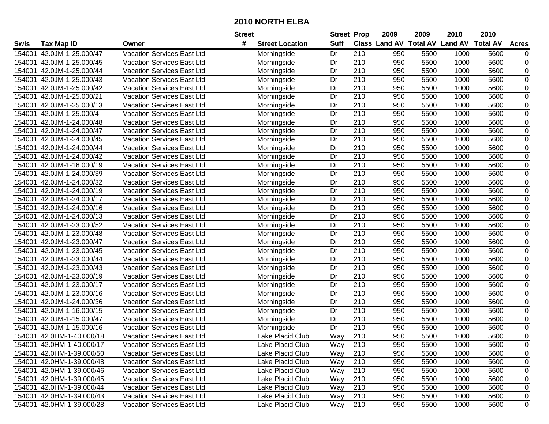|        |                           |                                   | Street |                        | <b>Street Prop</b> |                  | 2009 | 2009 | 2010                                    | 2010 |                |
|--------|---------------------------|-----------------------------------|--------|------------------------|--------------------|------------------|------|------|-----------------------------------------|------|----------------|
| Swis   | Tax Map ID                | Owner                             | #      | <b>Street Location</b> | Suff               |                  |      |      | Class Land AV Total AV Land AV Total AV |      | <b>Acres</b>   |
| 154001 | 42.0JM-1-25.000/47        | <b>Vacation Services East Ltd</b> |        | Morningside            | Dr                 | 210              | 950  | 5500 | 1000                                    | 5600 | 0              |
| 154001 | 42.0JM-1-25.000/45        | <b>Vacation Services East Ltd</b> |        | Morningside            | Dr                 | 210              | 950  | 5500 | 1000                                    | 5600 | $\pmb{0}$      |
| 154001 | 42.0JM-1-25.000/44        | Vacation Services East Ltd        |        | Morningside            | Dr                 | 210              | 950  | 5500 | 1000                                    | 5600 | $\pmb{0}$      |
| 154001 | 42.0JM-1-25.000/43        | Vacation Services East Ltd        |        | Morningside            | Dr                 | 210              | 950  | 5500 | 1000                                    | 5600 | $\pmb{0}$      |
| 154001 | 42.0JM-1-25.000/42        | Vacation Services East Ltd        |        | Morningside            | Dr                 | $\overline{210}$ | 950  | 5500 | 1000                                    | 5600 | $\overline{0}$ |
| 154001 | 42.0JM-1-25.000/21        | Vacation Services East Ltd        |        | Morningside            | Dr                 | 210              | 950  | 5500 | 1000                                    | 5600 | $\pmb{0}$      |
| 154001 | 42.0JM-1-25.000/13        | <b>Vacation Services East Ltd</b> |        | Morningside            | Dr                 | 210              | 950  | 5500 | 1000                                    | 5600 | $\overline{0}$ |
| 154001 | 42.0JM-1-25.000/4         | Vacation Services East Ltd        |        | Morningside            | Dr                 | 210              | 950  | 5500 | 1000                                    | 5600 | $\pmb{0}$      |
| 154001 | 42.0JM-1-24.000/48        | <b>Vacation Services East Ltd</b> |        | Morningside            | $\overline{Dr}$    | $\overline{210}$ | 950  | 5500 | 1000                                    | 5600 | $\pmb{0}$      |
| 154001 | 42.0JM-1-24.000/47        | <b>Vacation Services East Ltd</b> |        | Morningside            | Dr                 | 210              | 950  | 5500 | 1000                                    | 5600 | $\pmb{0}$      |
| 154001 | 42.0JM-1-24.000/45        | <b>Vacation Services East Ltd</b> |        | Morningside            | Dr                 | 210              | 950  | 5500 | 1000                                    | 5600 | $\pmb{0}$      |
| 154001 | 42.0JM-1-24.000/44        | <b>Vacation Services East Ltd</b> |        | Morningside            | Dr                 | 210              | 950  | 5500 | 1000                                    | 5600 | $\pmb{0}$      |
| 154001 | 42.0JM-1-24.000/42        | Vacation Services East Ltd        |        | Morningside            | Dr                 | 210              | 950  | 5500 | 1000                                    | 5600 | $\mathbf 0$    |
| 154001 | 42.0JM-1-16.000/19        | <b>Vacation Services East Ltd</b> |        | Morningside            | Dr                 | 210              | 950  | 5500 | 1000                                    | 5600 | $\mathbf 0$    |
| 154001 | 42.0JM-1-24.000/39        | <b>Vacation Services East Ltd</b> |        | Morningside            | Dr                 | 210              | 950  | 5500 | 1000                                    | 5600 | $\pmb{0}$      |
| 154001 | 42.0JM-1-24.000/32        | <b>Vacation Services East Ltd</b> |        | Morningside            | Dr                 | 210              | 950  | 5500 | 1000                                    | 5600 | $\pmb{0}$      |
| 154001 | 42.0JM-1-24.000/19        | Vacation Services East Ltd        |        | Morningside            | Dr                 | 210              | 950  | 5500 | 1000                                    | 5600 | $\pmb{0}$      |
| 154001 | 42.0JM-1-24.000/17        | <b>Vacation Services East Ltd</b> |        | Morningside            | Dr                 | 210              | 950  | 5500 | 1000                                    | 5600 | $\pmb{0}$      |
| 154001 | 42.0JM-1-24.000/16        | <b>Vacation Services East Ltd</b> |        | Morningside            | Dr                 | 210              | 950  | 5500 | 1000                                    | 5600 | $\pmb{0}$      |
| 154001 | 42.0JM-1-24.000/13        | Vacation Services East Ltd        |        | Morningside            | Dr                 | 210              | 950  | 5500 | 1000                                    | 5600 | $\mathbf 0$    |
| 154001 | 42.0JM-1-23.000/52        | <b>Vacation Services East Ltd</b> |        | Morningside            | Dr                 | 210              | 950  | 5500 | 1000                                    | 5600 | $\pmb{0}$      |
| 154001 | 42.0JM-1-23.000/48        | Vacation Services East Ltd        |        | Morningside            | Dr                 | 210              | 950  | 5500 | 1000                                    | 5600 | $\mathbf 0$    |
| 154001 | 42.0JM-1-23.000/47        | <b>Vacation Services East Ltd</b> |        | Morningside            | Dr                 | 210              | 950  | 5500 | 1000                                    | 5600 | $\pmb{0}$      |
| 154001 | 42.0JM-1-23.000/45        | <b>Vacation Services East Ltd</b> |        | Morningside            | Dr                 | 210              | 950  | 5500 | 1000                                    | 5600 | $\pmb{0}$      |
| 154001 | 42.0JM-1-23.000/44        | <b>Vacation Services East Ltd</b> |        | Morningside            | Dr                 | 210              | 950  | 5500 | 1000                                    | 5600 | 0              |
| 154001 | 42.0JM-1-23.000/43        | <b>Vacation Services East Ltd</b> |        | Morningside            | Dr                 | 210              | 950  | 5500 | 1000                                    | 5600 | $\mathbf 0$    |
| 154001 | 42.0JM-1-23.000/19        | <b>Vacation Services East Ltd</b> |        | Morningside            | Dr                 | 210              | 950  | 5500 | 1000                                    | 5600 | 0              |
| 154001 | 42.0JM-1-23.000/17        | <b>Vacation Services East Ltd</b> |        | Morningside            | Dr                 | 210              | 950  | 5500 | 1000                                    | 5600 | $\mathbf 0$    |
| 154001 | 42.0JM-1-23.000/16        | <b>Vacation Services East Ltd</b> |        | Morningside            | Dr                 | 210              | 950  | 5500 | 1000                                    | 5600 | $\mathbf 0$    |
| 154001 | 42.0JM-1-24.000/36        | <b>Vacation Services East Ltd</b> |        | Morningside            | $\overline{Dr}$    | $\overline{210}$ | 950  | 5500 | 1000                                    | 5600 | $\overline{0}$ |
| 154001 | 42.0JM-1-16.000/15        | Vacation Services East Ltd        |        | Morningside            | Dr                 | 210              | 950  | 5500 | 1000                                    | 5600 | $\pmb{0}$      |
| 154001 | 42.0JM-1-15.000/47        | <b>Vacation Services East Ltd</b> |        | Morningside            | Dr                 | $\overline{210}$ | 950  | 5500 | 1000                                    | 5600 | $\pmb{0}$      |
| 154001 | 42.0JM-1-15.000/16        | Vacation Services East Ltd        |        | Morningside            | Dr                 | 210              | 950  | 5500 | 1000                                    | 5600 | 0              |
| 154001 | 42.0HM-1-40.000/18        | Vacation Services East Ltd        |        | Lake Placid Club       | $\overline{W}$ ay  | 210              | 950  | 5500 | 1000                                    | 5600 | $\mathbf 0$    |
|        | 154001 42.0HM-1-40.000/17 | <b>Vacation Services East Ltd</b> |        | Lake Placid Club       | Way                | 210              | 950  | 5500 | 1000                                    | 5600 | 0              |
|        | 154001 42.0HM-1-39.000/50 | <b>Vacation Services East Ltd</b> |        | Lake Placid Club       | Way                | 210              | 950  | 5500 | 1000                                    | 5600 | $\pmb{0}$      |
|        | 154001 42.0HM-1-39.000/48 | <b>Vacation Services East Ltd</b> |        | Lake Placid Club       | Way                | 210              | 950  | 5500 | 1000                                    | 5600 | 0              |
|        | 154001 42.0HM-1-39.000/46 | <b>Vacation Services East Ltd</b> |        | Lake Placid Club       | Way                | 210              | 950  | 5500 | 1000                                    | 5600 | $\pmb{0}$      |
|        | 154001 42.0HM-1-39.000/45 | <b>Vacation Services East Ltd</b> |        | Lake Placid Club       | Way                | 210              | 950  | 5500 | 1000                                    | 5600 | 0              |
|        | 154001 42.0HM-1-39.000/44 | Vacation Services East Ltd        |        | Lake Placid Club       | Way                | 210              | 950  | 5500 | 1000                                    | 5600 | 0              |
|        | 154001 42.0HM-1-39.000/43 | <b>Vacation Services East Ltd</b> |        | Lake Placid Club       | Way                | 210              | 950  | 5500 | 1000                                    | 5600 | 0              |
|        | 154001 42.0HM-1-39.000/28 | <b>Vacation Services East Ltd</b> |        | Lake Placid Club       | Way                | 210              | 950  | 5500 | 1000                                    | 5600 | 0              |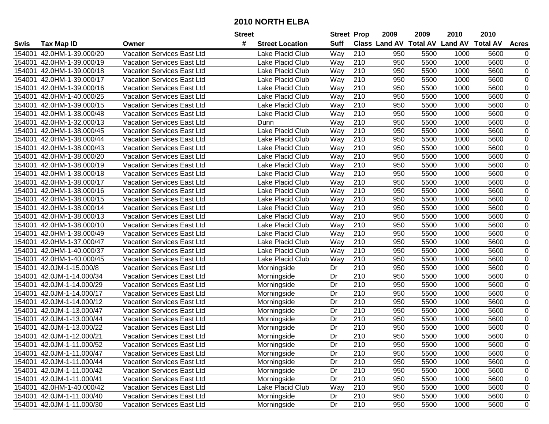|        |                           |                                   | <b>Street</b>               | <b>Street Prop</b> |                  | 2009                          | 2009 | 2010           | 2010            |                |
|--------|---------------------------|-----------------------------------|-----------------------------|--------------------|------------------|-------------------------------|------|----------------|-----------------|----------------|
| Swis   | <b>Tax Map ID</b>         | Owner                             | #<br><b>Street Location</b> | <b>Suff</b>        |                  | <b>Class Land AV Total AV</b> |      | <b>Land AV</b> | <b>Total AV</b> | <b>Acres</b>   |
| 154001 | 42.0HM-1-39.000/20        | Vacation Services East Ltd        | Lake Placid Club            | Way                | 210              | 950                           | 5500 | 1000           | 5600            | 0              |
| 154001 | 42.0HM-1-39.000/19        | Vacation Services East Ltd        | Lake Placid Club            | Way                | 210              | 950                           | 5500 | 1000           | 5600            | 0              |
| 154001 | 42.0HM-1-39.000/18        | Vacation Services East Ltd        | Lake Placid Club            | Way                | 210              | 950                           | 5500 | 1000           | 5600            | 0              |
| 154001 | 42.0HM-1-39.000/17        | Vacation Services East Ltd        | Lake Placid Club            | Way                | 210              | 950                           | 5500 | 1000           | 5600            | $\pmb{0}$      |
| 154001 | 42.0HM-1-39.000/16        | Vacation Services East Ltd        | Lake Placid Club            | Way                | 210              | 950                           | 5500 | 1000           | 5600            | $\pmb{0}$      |
| 154001 | 42.0HM-1-40.000/25        | Vacation Services East Ltd        | Lake Placid Club            | Way                | $\overline{210}$ | 950                           | 5500 | 1000           | 5600            | $\pmb{0}$      |
| 154001 | 42.0HM-1-39.000/15        | Vacation Services East Ltd        | Lake Placid Club            | <b>Way</b>         | 210              | 950                           | 5500 | 1000           | 5600            | $\pmb{0}$      |
| 154001 | 42.0HM-1-38.000/48        | Vacation Services East Ltd        | Lake Placid Club            | Way                | 210              | 950                           | 5500 | 1000           | 5600            | $\pmb{0}$      |
| 154001 | 42.0HM-1-32.000/13        | Vacation Services East Ltd        | Dunn                        | Way                | $\overline{210}$ | 950                           | 5500 | 1000           | 5600            | $\mathbf 0$    |
| 154001 | 42.0HM-1-38.000/45        | Vacation Services East Ltd        | Lake Placid Club            | Way                | 210              | 950                           | 5500 | 1000           | 5600            | $\mathbf 0$    |
| 154001 | 42.0HM-1-38.000/44        | Vacation Services East Ltd        | Lake Placid Club            | Way                | 210              | 950                           | 5500 | 1000           | 5600            | $\mathbf 0$    |
| 154001 | 42.0HM-1-38.000/43        | Vacation Services East Ltd        | Lake Placid Club            | Way                | 210              | 950                           | 5500 | 1000           | 5600            | $\mathbf 0$    |
| 154001 | 42.0HM-1-38.000/20        | Vacation Services East Ltd        | Lake Placid Club            | Way                | 210              | 950                           | 5500 | 1000           | 5600            | $\mathbf 0$    |
| 154001 | 42.0HM-1-38.000/19        | Vacation Services East Ltd        | Lake Placid Club            | Way                | 210              | 950                           | 5500 | 1000           | 5600            | $\pmb{0}$      |
| 154001 | 42.0HM-1-38.000/18        | <b>Vacation Services East Ltd</b> | Lake Placid Club            | Way                | 210              | 950                           | 5500 | 1000           | 5600            | $\mathbf 0$    |
| 154001 | 42.0HM-1-38.000/17        | <b>Vacation Services East Ltd</b> | Lake Placid Club            | Way                | 210              | 950                           | 5500 | 1000           | 5600            | 0              |
| 154001 | 42.0HM-1-38.000/16        | Vacation Services East Ltd        | Lake Placid Club            | Way                | 210              | 950                           | 5500 | 1000           | 5600            | 0              |
| 154001 | 42.0HM-1-38.000/15        | Vacation Services East Ltd        | Lake Placid Club            | Way                | 210              | 950                           | 5500 | 1000           | 5600            | $\pmb{0}$      |
| 154001 | 42.0HM-1-38.000/14        | Vacation Services East Ltd        | Lake Placid Club            | Way                | 210              | 950                           | 5500 | 1000           | 5600            | $\pmb{0}$      |
| 154001 | 42.0HM-1-38.000/13        | Vacation Services East Ltd        | Lake Placid Club            | Way                | 210              | 950                           | 5500 | 1000           | 5600            | 0              |
| 154001 | 42.0HM-1-38.000/10        | Vacation Services East Ltd        | Lake Placid Club            | Way                | 210              | 950                           | 5500 | 1000           | 5600            | $\pmb{0}$      |
| 154001 | 42.0HM-1-38.000/49        | Vacation Services East Ltd        | Lake Placid Club            | Way                | 210              | 950                           | 5500 | 1000           | 5600            | $\pmb{0}$      |
| 154001 | 42.0HM-1-37.000/47        | Vacation Services East Ltd        | Lake Placid Club            | Way                | 210              | 950                           | 5500 | 1000           | 5600            | $\pmb{0}$      |
| 154001 | 42.0HM-1-40.000/37        | Vacation Services East Ltd        | Lake Placid Club            | Way                | 210              | 950                           | 5500 | 1000           | 5600            | 0              |
| 154001 | 42.0HM-1-40.000/45        | Vacation Services East Ltd        | Lake Placid Club            | Way                | 210              | 950                           | 5500 | 1000           | 5600            | $\mathbf 0$    |
| 154001 | 42.0JM-1-15.000/8         | Vacation Services East Ltd        | Morningside                 | Dr                 | 210              | 950                           | 5500 | 1000           | 5600            | 0              |
| 154001 | 42.0JM-1-14.000/34        | Vacation Services East Ltd        | Morningside                 | Dr                 | 210              | 950                           | 5500 | 1000           | 5600            | $\mathbf 0$    |
| 154001 | 42.0JM-1-14.000/29        | Vacation Services East Ltd        | Morningside                 | Dr                 | 210              | 950                           | 5500 | 1000           | 5600            | $\mathbf 0$    |
| 154001 | 42.0JM-1-14.000/17        | Vacation Services East Ltd        | Morningside                 | Dr                 | 210              | 950                           | 5500 | 1000           | 5600            | $\mathbf 0$    |
| 154001 | 42.0JM-1-14.000/12        | Vacation Services East Ltd        | Morningside                 | Dr                 | $\overline{210}$ | 950                           | 5500 | 1000           | 5600            | $\mathbf 0$    |
| 154001 | 42.0JM-1-13.000/47        | <b>Vacation Services East Ltd</b> | Morningside                 | Dr                 | $\overline{210}$ | 950                           | 5500 | 1000           | 5600            | $\overline{0}$ |
| 154001 | 42.0JM-1-13.000/44        | Vacation Services East Ltd        | Morningside                 | Dr                 | 210              | 950                           | 5500 | 1000           | 5600            | $\mathbf 0$    |
| 154001 | 42.0JM-1-13.000/22        | <b>Vacation Services East Ltd</b> | Morningside                 | Dr                 | $\overline{210}$ | 950                           | 5500 | 1000           | 5600            | $\mathbf 0$    |
| 154001 | 42.0JM-1-12.000/21        | <b>Vacation Services East Ltd</b> | Morningside                 | Dr                 | $\overline{210}$ | 950                           | 5500 | 1000           | 5600            | $\mathbf 0$    |
|        | 154001 42.0JM-1-11.000/52 | <b>Vacation Services East Ltd</b> | Morningside                 | Dr                 | 210              | 950                           | 5500 | 1000           | 5600            | 0              |
|        | 154001 42.0JM-1-11.000/47 | Vacation Services East Ltd        | Morningside                 | Dr                 | 210              | 950                           | 5500 | 1000           | 5600            | 0              |
|        | 154001 42.0JM-1-11.000/44 | Vacation Services East Ltd        | Morningside                 | Dr                 | 210              | 950                           | 5500 | 1000           | 5600            | $\pmb{0}$      |
|        | 154001 42.0JM-1-11.000/42 | Vacation Services East Ltd        | Morningside                 | Dr                 | 210              | 950                           | 5500 | 1000           | 5600            | 0              |
|        | 154001 42.0JM-1-11.000/41 | Vacation Services East Ltd        | Morningside                 | Dr                 | 210              | 950                           | 5500 | 1000           | 5600            | 0              |
|        | 154001 42.0HM-1-40.000/42 | Vacation Services East Ltd        | Lake Placid Club            | Way                | 210              | 950                           | 5500 | 1000           | 5600            | 0              |
|        | 154001 42.0JM-1-11.000/40 | Vacation Services East Ltd        | Morningside                 | Dr                 | 210              | 950                           | 5500 | 1000           | 5600            | 0              |
|        | 154001 42.0JM-1-11.000/30 | Vacation Services East Ltd        | Morningside                 | Dr                 | 210              | 950                           | 5500 | 1000           | 5600            | 0              |
|        |                           |                                   |                             |                    |                  |                               |      |                |                 |                |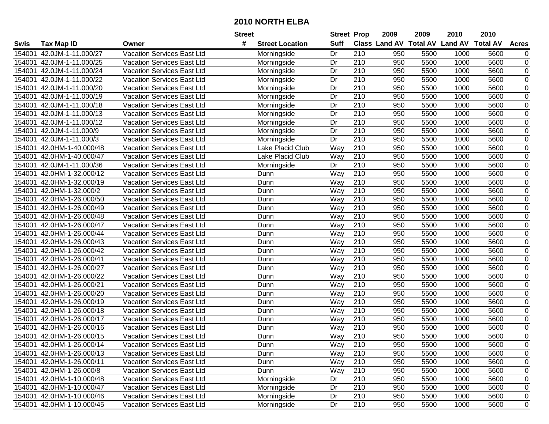|        |                           |                                   | <b>Street</b> |                        | <b>Street Prop</b> |                  | 2009 | 2009 | 2010                                    | 2010 |                |
|--------|---------------------------|-----------------------------------|---------------|------------------------|--------------------|------------------|------|------|-----------------------------------------|------|----------------|
| Swis   | <b>Tax Map ID</b>         | Owner                             | #             | <b>Street Location</b> | <b>Suff</b>        |                  |      |      | Class Land AV Total AV Land AV Total AV |      | <b>Acres</b>   |
| 154001 | 42.0JM-1-11.000/27        | Vacation Services East Ltd        |               | Morningside            | Dr                 | 210              | 950  | 5500 | 1000                                    | 5600 | 0              |
| 154001 | 42.0JM-1-11.000/25        | <b>Vacation Services East Ltd</b> |               | Morningside            | Dr                 | 210              | 950  | 5500 | 1000                                    | 5600 | $\pmb{0}$      |
| 154001 | 42.0JM-1-11.000/24        | Vacation Services East Ltd        |               | Morningside            | Dr                 | 210              | 950  | 5500 | 1000                                    | 5600 | $\pmb{0}$      |
| 154001 | 42.0JM-1-11.000/22        | <b>Vacation Services East Ltd</b> |               | Morningside            | Dr                 | 210              | 950  | 5500 | 1000                                    | 5600 | 0              |
| 154001 | 42.0JM-1-11.000/20        | <b>Vacation Services East Ltd</b> |               | Morningside            | $\overline{Dr}$    | $\overline{210}$ | 950  | 5500 | 1000                                    | 5600 | $\overline{0}$ |
| 154001 | 42.0JM-1-11.000/19        | Vacation Services East Ltd        |               | Morningside            | Dr                 | 210              | 950  | 5500 | 1000                                    | 5600 | $\pmb{0}$      |
| 154001 | 42.0JM-1-11.000/18        | Vacation Services East Ltd        |               | Morningside            | Dr                 | $\overline{210}$ | 950  | 5500 | 1000                                    | 5600 | $\mathbf 0$    |
| 154001 | 42.0JM-1-11.000/13        | Vacation Services East Ltd        |               | Morningside            | Dr                 | 210              | 950  | 5500 | 1000                                    | 5600 | 0              |
| 154001 | 42.0JM-1-11.000/12        | Vacation Services East Ltd        |               | Morningside            | $\overline{Dr}$    | $\overline{210}$ | 950  | 5500 | 1000                                    | 5600 | $\pmb{0}$      |
| 154001 | 42.0JM-1-11.000/9         | Vacation Services East Ltd        |               | Morningside            | Dr                 | 210              | 950  | 5500 | 1000                                    | 5600 | $\pmb{0}$      |
| 154001 | 42.0JM-1-11.000/3         | Vacation Services East Ltd        |               | Morningside            | Dr                 | 210              | 950  | 5500 | 1000                                    | 5600 | 0              |
| 154001 | 42.0HM-1-40.000/48        | Vacation Services East Ltd        |               | Lake Placid Club       | Way                | 210              | 950  | 5500 | 1000                                    | 5600 | $\pmb{0}$      |
| 154001 | 42.0HM-1-40.000/47        | Vacation Services East Ltd        |               | Lake Placid Club       | Way                | 210              | 950  | 5500 | 1000                                    | 5600 | 0              |
| 154001 | 42.0JM-1-11.000/36        | <b>Vacation Services East Ltd</b> |               | Morningside            | Dr                 | 210              | 950  | 5500 | 1000                                    | 5600 | $\pmb{0}$      |
| 154001 | 42.0HM-1-32.000/12        | Vacation Services East Ltd        |               | Dunn                   | Way                | 210              | 950  | 5500 | 1000                                    | 5600 | $\pmb{0}$      |
| 154001 | 42.0HM-1-32.000/19        | <b>Vacation Services East Ltd</b> |               | Dunn                   | Way                | 210              | 950  | 5500 | 1000                                    | 5600 | $\pmb{0}$      |
| 154001 | 42.0HM-1-32.000/2         | <b>Vacation Services East Ltd</b> |               | Dunn                   | Way                | 210              | 950  | 5500 | 1000                                    | 5600 | $\mathbf 0$    |
| 154001 | 42.0HM-1-26.000/50        | <b>Vacation Services East Ltd</b> |               | Dunn                   | Way                | 210              | 950  | 5500 | 1000                                    | 5600 | $\pmb{0}$      |
| 154001 | 42.0HM-1-26.000/49        | <b>Vacation Services East Ltd</b> |               | Dunn                   | Way                | 210              | 950  | 5500 | 1000                                    | 5600 | $\pmb{0}$      |
| 154001 | 42.0HM-1-26.000/48        | <b>Vacation Services East Ltd</b> |               | Dunn                   | Way                | 210              | 950  | 5500 | 1000                                    | 5600 | $\pmb{0}$      |
| 154001 | 42.0HM-1-26.000/47        | Vacation Services East Ltd        |               | Dunn                   | Way                | 210              | 950  | 5500 | 1000                                    | 5600 | 0              |
| 154001 | 42.0HM-1-26.000/44        | Vacation Services East Ltd        |               | Dunn                   | Way                | 210              | 950  | 5500 | 1000                                    | 5600 | $\pmb{0}$      |
| 154001 | 42.0HM-1-26.000/43        | Vacation Services East Ltd        |               | Dunn                   | Way                | 210              | 950  | 5500 | 1000                                    | 5600 | $\pmb{0}$      |
| 154001 | 42.0HM-1-26.000/42        | Vacation Services East Ltd        |               | Dunn                   | Way                | 210              | 950  | 5500 | 1000                                    | 5600 | $\pmb{0}$      |
| 154001 | 42.0HM-1-26.000/41        | Vacation Services East Ltd        |               | Dunn                   | Way                | 210              | 950  | 5500 | 1000                                    | 5600 | 0              |
| 154001 | 42.0HM-1-26.000/27        | <b>Vacation Services East Ltd</b> |               | Dunn                   | Way                | $\overline{210}$ | 950  | 5500 | 1000                                    | 5600 | $\pmb{0}$      |
| 154001 | 42.0HM-1-26.000/22        | Vacation Services East Ltd        |               | Dunn                   | Way                | 210              | 950  | 5500 | 1000                                    | 5600 | $\pmb{0}$      |
| 154001 | 42.0HM-1-26.000/21        | Vacation Services East Ltd        |               | Dunn                   | Way                | 210              | 950  | 5500 | 1000                                    | 5600 | 0              |
| 154001 | 42.0HM-1-26.000/20        | Vacation Services East Ltd        |               | Dunn                   | Way                | 210              | 950  | 5500 | 1000                                    | 5600 | 0              |
| 154001 | 42.0HM-1-26.000/19        | Vacation Services East Ltd        |               | Dunn                   | Way                | $\overline{210}$ | 950  | 5500 | 1000                                    | 5600 | $\overline{0}$ |
| 154001 | 42.0HM-1-26.000/18        | Vacation Services East Ltd        |               | Dunn                   | Way                | 210              | 950  | 5500 | 1000                                    | 5600 | $\mathbf 0$    |
| 154001 | 42.0HM-1-26.000/17        | <b>Vacation Services East Ltd</b> |               | Dunn                   | Way                | $\overline{210}$ | 950  | 5500 | 1000                                    | 5600 | $\pmb{0}$      |
| 154001 | 42.0HM-1-26.000/16        | Vacation Services East Ltd        |               | Dunn                   | Way                | 210              | 950  | 5500 | 1000                                    | 5600 | 0              |
| 154001 | 42.0HM-1-26.000/15        | Vacation Services East Ltd        |               | Dunn                   | Way                | $\overline{210}$ | 950  | 5500 | 1000                                    | 5600 | $\mathbf 0$    |
|        | 154001 42.0HM-1-26.000/14 | Vacation Services East Ltd        |               | Dunn                   | Way                | 210              | 950  | 5500 | 1000                                    | 5600 | $\mathbf 0$    |
| 154001 | 42.0HM-1-26.000/13        | Vacation Services East Ltd        |               | Dunn                   | Way                | 210              | 950  | 5500 | 1000                                    | 5600 | 0              |
|        | 154001 42.0HM-1-26.000/11 | Vacation Services East Ltd        |               | Dunn                   | Way                | 210              | 950  | 5500 | 1000                                    | 5600 | 0              |
| 154001 | 42.0HM-1-26.000/8         | Vacation Services East Ltd        |               | Dunn                   | Way                | 210              | 950  | 5500 | 1000                                    | 5600 | 0              |
| 154001 | 42.0HM-1-10.000/48        | Vacation Services East Ltd        |               | Morningside            | Dr                 | 210              | 950  | 5500 | 1000                                    | 5600 | $\pmb{0}$      |
| 154001 | 42.0HM-1-10.000/47        | Vacation Services East Ltd        |               | Morningside            | Dr                 | 210              | 950  | 5500 | 1000                                    | 5600 | 0              |
| 154001 | 42.0HM-1-10.000/46        | Vacation Services East Ltd        |               | Morningside            | Dr                 | 210              | 950  | 5500 | 1000                                    | 5600 | 0              |
|        | 154001 42.0HM-1-10.000/45 | Vacation Services East Ltd        |               | Morningside            | Dr                 | 210              | 950  | 5500 | 1000                                    | 5600 | 0              |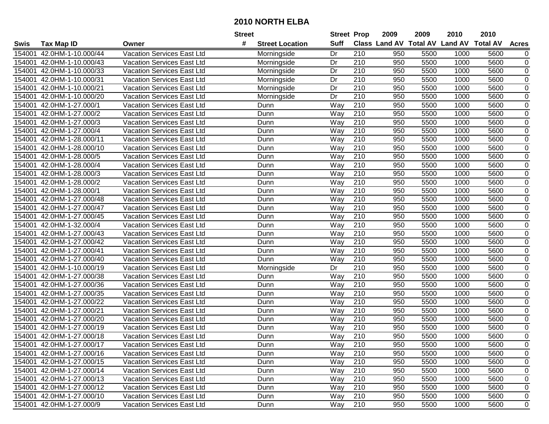|        |                           |                                   | <b>Street</b> |                        | <b>Street Prop</b> |                  | 2009 | 2009 | 2010                                    | 2010 |                |
|--------|---------------------------|-----------------------------------|---------------|------------------------|--------------------|------------------|------|------|-----------------------------------------|------|----------------|
| Swis   | <b>Tax Map ID</b>         | Owner                             | #             | <b>Street Location</b> | <b>Suff</b>        |                  |      |      | Class Land AV Total AV Land AV Total AV |      | <b>Acres</b>   |
| 154001 | 42.0HM-1-10.000/44        | Vacation Services East Ltd        |               | Morningside            | Dr                 | 210              | 950  | 5500 | 1000                                    | 5600 | 0              |
| 154001 | 42.0HM-1-10.000/43        | <b>Vacation Services East Ltd</b> |               | Morningside            | Dr                 | 210              | 950  | 5500 | 1000                                    | 5600 | $\pmb{0}$      |
| 154001 | 42.0HM-1-10.000/33        | Vacation Services East Ltd        |               | Morningside            | Dr                 | 210              | 950  | 5500 | 1000                                    | 5600 | $\pmb{0}$      |
| 154001 | 42.0HM-1-10.000/31        | Vacation Services East Ltd        |               | Morningside            | Dr                 | 210              | 950  | 5500 | 1000                                    | 5600 | 0              |
| 154001 | 42.0HM-1-10.000/21        | Vacation Services East Ltd        |               | Morningside            | $\overline{Dr}$    | $\overline{210}$ | 950  | 5500 | 1000                                    | 5600 | $\overline{0}$ |
| 154001 | 42.0HM-1-10.000/20        | Vacation Services East Ltd        |               | Morningside            | Dr                 | 210              | 950  | 5500 | 1000                                    | 5600 | $\pmb{0}$      |
| 154001 | 42.0HM-1-27.000/1         | <b>Vacation Services East Ltd</b> |               | Dunn                   | Way                | $\overline{210}$ | 950  | 5500 | 1000                                    | 5600 | $\mathbf 0$    |
| 154001 | 42.0HM-1-27.000/2         | Vacation Services East Ltd        |               | Dunn                   | Way                | 210              | 950  | 5500 | 1000                                    | 5600 | $\mathbf 0$    |
| 154001 | 42.0HM-1-27.000/3         | Vacation Services East Ltd        |               | Dunn                   | Way                | 210              | 950  | 5500 | 1000                                    | 5600 | $\pmb{0}$      |
| 154001 | 42.0HM-1-27.000/4         | Vacation Services East Ltd        |               | Dunn                   | Way                | $\overline{210}$ | 950  | 5500 | 1000                                    | 5600 | $\pmb{0}$      |
| 154001 | 42.0HM-1-28.000/11        | Vacation Services East Ltd        |               | Dunn                   | Way                | 210              | 950  | 5500 | 1000                                    | 5600 | 0              |
| 154001 | 42.0HM-1-28.000/10        | Vacation Services East Ltd        |               | Dunn                   | Way                | 210              | 950  | 5500 | 1000                                    | 5600 | $\pmb{0}$      |
| 154001 | 42.0HM-1-28.000/5         | Vacation Services East Ltd        |               | Dunn                   | Way                | 210              | 950  | 5500 | 1000                                    | 5600 | 0              |
| 154001 | 42.0HM-1-28.000/4         | Vacation Services East Ltd        |               | Dunn                   | Way                | 210              | 950  | 5500 | 1000                                    | 5600 | $\pmb{0}$      |
| 154001 | 42.0HM-1-28.000/3         | Vacation Services East Ltd        |               | Dunn                   | Way                | 210              | 950  | 5500 | 1000                                    | 5600 | $\pmb{0}$      |
| 154001 | 42.0HM-1-28.000/2         | <b>Vacation Services East Ltd</b> |               | Dunn                   | Way                | 210              | 950  | 5500 | 1000                                    | 5600 | $\pmb{0}$      |
| 154001 | 42.0HM-1-28.000/1         | <b>Vacation Services East Ltd</b> |               | Dunn                   | Way                | 210              | 950  | 5500 | 1000                                    | 5600 | $\mathbf 0$    |
| 154001 | 42.0HM-1-27.000/48        | <b>Vacation Services East Ltd</b> |               | Dunn                   | Way                | 210              | 950  | 5500 | 1000                                    | 5600 | $\pmb{0}$      |
| 154001 | 42.0HM-1-27.000/47        | <b>Vacation Services East Ltd</b> |               | Dunn                   | Way                | 210              | 950  | 5500 | 1000                                    | 5600 | $\pmb{0}$      |
| 154001 | 42.0HM-1-27.000/45        | <b>Vacation Services East Ltd</b> |               | Dunn                   | Way                | 210              | 950  | 5500 | 1000                                    | 5600 | $\pmb{0}$      |
| 154001 | 42.0HM-1-32.000/4         | Vacation Services East Ltd        |               | Dunn                   | Way                | 210              | 950  | 5500 | 1000                                    | 5600 | 0              |
| 154001 | 42.0HM-1-27.000/43        | Vacation Services East Ltd        |               | Dunn                   | Way                | 210              | 950  | 5500 | 1000                                    | 5600 | $\pmb{0}$      |
| 154001 | 42.0HM-1-27.000/42        | Vacation Services East Ltd        |               | Dunn                   | Way                | 210              | 950  | 5500 | 1000                                    | 5600 | $\pmb{0}$      |
| 154001 | 42.0HM-1-27.000/41        | Vacation Services East Ltd        |               | Dunn                   | Way                | 210              | 950  | 5500 | 1000                                    | 5600 | $\pmb{0}$      |
| 154001 | 42.0HM-1-27.000/40        | Vacation Services East Ltd        |               | Dunn                   | Way                | 210              | 950  | 5500 | 1000                                    | 5600 | 0              |
| 154001 | 42.0HM-1-10.000/19        | Vacation Services East Ltd        |               | Morningside            | Dr                 | $\overline{210}$ | 950  | 5500 | 1000                                    | 5600 | $\pmb{0}$      |
| 154001 | 42.0HM-1-27.000/38        | Vacation Services East Ltd        |               | Dunn                   | Way                | 210              | 950  | 5500 | 1000                                    | 5600 | $\pmb{0}$      |
| 154001 | 42.0HM-1-27.000/36        | Vacation Services East Ltd        |               | Dunn                   | Way                | 210              | 950  | 5500 | 1000                                    | 5600 | 0              |
| 154001 | 42.0HM-1-27.000/35        | Vacation Services East Ltd        |               | Dunn                   | Way                | 210              | 950  | 5500 | 1000                                    | 5600 | 0              |
| 154001 | 42.0HM-1-27.000/22        | <b>Vacation Services East Ltd</b> |               | Dunn                   | Way                | $\overline{210}$ | 950  | 5500 | 1000                                    | 5600 | $\overline{0}$ |
| 154001 | 42.0HM-1-27.000/21        | Vacation Services East Ltd        |               | Dunn                   | Way                | 210              | 950  | 5500 | 1000                                    | 5600 | $\mathbf 0$    |
| 154001 | 42.0HM-1-27.000/20        | <b>Vacation Services East Ltd</b> |               | Dunn                   | Way                | $\overline{210}$ | 950  | 5500 | 1000                                    | 5600 | $\pmb{0}$      |
| 154001 | 42.0HM-1-27.000/19        | <b>Vacation Services East Ltd</b> |               | Dunn                   | Way                | 210              | 950  | 5500 | 1000                                    | 5600 | 0              |
| 154001 | 42.0HM-1-27.000/18        | Vacation Services East Ltd        |               | Dunn                   | Way                | $\overline{210}$ | 950  | 5500 | 1000                                    | 5600 | $\mathbf 0$    |
|        | 154001 42.0HM-1-27.000/17 | Vacation Services East Ltd        |               | Dunn                   | Way                | 210              | 950  | 5500 | 1000                                    | 5600 | $\mathbf 0$    |
| 154001 | 42.0HM-1-27.000/16        | Vacation Services East Ltd        |               | Dunn                   | Way                | 210              | 950  | 5500 | 1000                                    | 5600 | 0              |
|        | 154001 42.0HM-1-27.000/15 | Vacation Services East Ltd        |               | Dunn                   | Way                | 210              | 950  | 5500 | 1000                                    | 5600 | 0              |
|        | 154001 42.0HM-1-27.000/14 | Vacation Services East Ltd        |               | Dunn                   | Way                | 210              | 950  | 5500 | 1000                                    | 5600 | 0              |
|        | 154001 42.0HM-1-27.000/13 | Vacation Services East Ltd        |               | Dunn                   | Way                | 210              | 950  | 5500 | 1000                                    | 5600 | 0              |
|        | 154001 42.0HM-1-27.000/12 | Vacation Services East Ltd        |               | Dunn                   | Way                | 210              | 950  | 5500 | 1000                                    | 5600 | 0              |
|        | 154001 42.0HM-1-27.000/10 | <b>Vacation Services East Ltd</b> |               | Dunn                   | Way                | 210              | 950  | 5500 | 1000                                    | 5600 | 0              |
|        | 154001 42.0HM-1-27.000/9  | Vacation Services East Ltd        |               | Dunn                   | Way                | 210              | 950  | 5500 | 1000                                    | 5600 | 0              |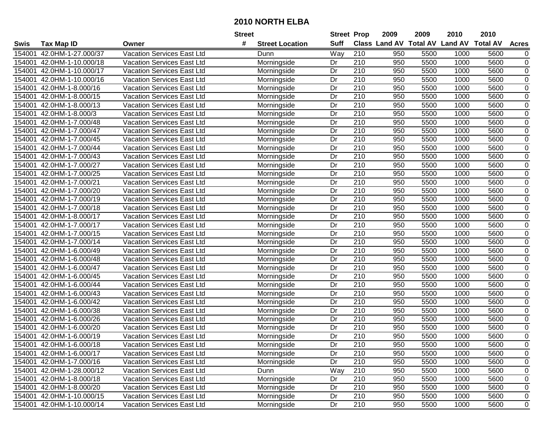|        |                           |                                   | <b>Street</b> |                        |                 | <b>Street Prop</b> | 2009 | 2009 | 2010                                    | 2010 |                |
|--------|---------------------------|-----------------------------------|---------------|------------------------|-----------------|--------------------|------|------|-----------------------------------------|------|----------------|
| Swis   | Tax Map ID                | Owner                             | #             | <b>Street Location</b> | <b>Suff</b>     |                    |      |      | Class Land AV Total AV Land AV Total AV |      | <b>Acres</b>   |
| 154001 | 42.0HM-1-27.000/37        | Vacation Services East Ltd        |               | Dunn                   | Way             | 210                | 950  | 5500 | 1000                                    | 5600 | 0              |
| 154001 | 42.0HM-1-10.000/18        | <b>Vacation Services East Ltd</b> |               | Morningside            | Dr              | 210                | 950  | 5500 | 1000                                    | 5600 | $\pmb{0}$      |
| 154001 | 42.0HM-1-10.000/17        | Vacation Services East Ltd        |               | Morningside            | Dr              | 210                | 950  | 5500 | 1000                                    | 5600 | $\pmb{0}$      |
| 154001 | 42.0HM-1-10.000/16        | <b>Vacation Services East Ltd</b> |               | Morningside            | Dr              | 210                | 950  | 5500 | 1000                                    | 5600 | 0              |
| 154001 | 42.0HM-1-8.000/16         | <b>Vacation Services East Ltd</b> |               | Morningside            | Dr              | $\overline{210}$   | 950  | 5500 | 1000                                    | 5600 | $\overline{0}$ |
| 154001 | 42.0HM-1-8.000/15         | Vacation Services East Ltd        |               | Morningside            | Dr              | 210                | 950  | 5500 | 1000                                    | 5600 | $\pmb{0}$      |
| 154001 | 42.0HM-1-8.000/13         | Vacation Services East Ltd        |               | Morningside            | Dr              | 210                | 950  | 5500 | 1000                                    | 5600 | $\mathbf 0$    |
| 154001 | 42.0HM-1-8.000/3          | <b>Vacation Services East Ltd</b> |               | Morningside            | Dr              | 210                | 950  | 5500 | 1000                                    | 5600 | $\mathbf 0$    |
| 154001 | 42.0HM-1-7.000/48         | Vacation Services East Ltd        |               | Morningside            | $\overline{Dr}$ | $\overline{210}$   | 950  | 5500 | 1000                                    | 5600 | $\pmb{0}$      |
| 154001 | 42.0HM-1-7.000/47         | Vacation Services East Ltd        |               | Morningside            | Dr              | 210                | 950  | 5500 | 1000                                    | 5600 | $\pmb{0}$      |
| 154001 | 42.0HM-1-7.000/45         | Vacation Services East Ltd        |               | Morningside            | Dr              | 210                | 950  | 5500 | 1000                                    | 5600 | 0              |
| 154001 | 42.0HM-1-7.000/44         | Vacation Services East Ltd        |               | Morningside            | Dr              | 210                | 950  | 5500 | 1000                                    | 5600 | 0              |
| 154001 | 42.0HM-1-7.000/43         | Vacation Services East Ltd        |               | Morningside            | Dr              | 210                | 950  | 5500 | 1000                                    | 5600 | 0              |
| 154001 | 42.0HM-1-7.000/27         | Vacation Services East Ltd        |               | Morningside            | Dr              | 210                | 950  | 5500 | 1000                                    | 5600 | $\pmb{0}$      |
| 154001 | 42.0HM-1-7.000/25         | Vacation Services East Ltd        |               | Morningside            | Dr              | 210                | 950  | 5500 | 1000                                    | 5600 | $\pmb{0}$      |
| 154001 | 42.0HM-1-7.000/21         | <b>Vacation Services East Ltd</b> |               | Morningside            | Dr              | 210                | 950  | 5500 | 1000                                    | 5600 | $\pmb{0}$      |
| 154001 | 42.0HM-1-7.000/20         | <b>Vacation Services East Ltd</b> |               | Morningside            | Dr              | 210                | 950  | 5500 | 1000                                    | 5600 | 0              |
| 154001 | 42.0HM-1-7.000/19         | <b>Vacation Services East Ltd</b> |               | Morningside            | Dr              | 210                | 950  | 5500 | 1000                                    | 5600 | $\pmb{0}$      |
| 154001 | 42.0HM-1-7.000/18         | <b>Vacation Services East Ltd</b> |               | Morningside            | Dr              | 210                | 950  | 5500 | 1000                                    | 5600 | $\pmb{0}$      |
| 154001 | 42.0HM-1-8.000/17         | Vacation Services East Ltd        |               | Morningside            | Dr              | 210                | 950  | 5500 | 1000                                    | 5600 | $\pmb{0}$      |
| 154001 | 42.0HM-1-7.000/17         | Vacation Services East Ltd        |               | Morningside            | Dr              | 210                | 950  | 5500 | 1000                                    | 5600 | $\pmb{0}$      |
| 154001 | 42.0HM-1-7.000/15         | Vacation Services East Ltd        |               | Morningside            | Dr              | 210                | 950  | 5500 | 1000                                    | 5600 | $\pmb{0}$      |
| 154001 | 42.0HM-1-7.000/14         | Vacation Services East Ltd        |               | Morningside            | Dr              | 210                | 950  | 5500 | 1000                                    | 5600 | $\pmb{0}$      |
| 154001 | 42.0HM-1-6.000/49         | Vacation Services East Ltd        |               | Morningside            | Dr              | 210                | 950  | 5500 | 1000                                    | 5600 | $\pmb{0}$      |
| 154001 | 42.0HM-1-6.000/48         | Vacation Services East Ltd        |               | Morningside            | Dr              | 210                | 950  | 5500 | 1000                                    | 5600 | 0              |
| 154001 | 42.0HM-1-6.000/47         | <b>Vacation Services East Ltd</b> |               | Morningside            | Dr              | 210                | 950  | 5500 | 1000                                    | 5600 | $\pmb{0}$      |
| 154001 | 42.0HM-1-6.000/45         | Vacation Services East Ltd        |               | Morningside            | Dr              | 210                | 950  | 5500 | 1000                                    | 5600 | $\pmb{0}$      |
| 154001 | 42.0HM-1-6.000/44         | Vacation Services East Ltd        |               | Morningside            | Dr              | 210                | 950  | 5500 | 1000                                    | 5600 | 0              |
| 154001 | 42.0HM-1-6.000/43         | Vacation Services East Ltd        |               | Morningside            | Dr              | 210                | 950  | 5500 | 1000                                    | 5600 | 0              |
| 154001 | 42.0HM-1-6.000/42         | Vacation Services East Ltd        |               | Morningside            | $\overline{Dr}$ | $\overline{210}$   | 950  | 5500 | 1000                                    | 5600 | $\overline{0}$ |
| 154001 | 42.0HM-1-6.000/38         | Vacation Services East Ltd        |               | Morningside            | Dr              | 210                | 950  | 5500 | 1000                                    | 5600 | $\pmb{0}$      |
| 154001 | 42.0HM-1-6.000/26         | <b>Vacation Services East Ltd</b> |               | Morningside            | Dr              | $\overline{210}$   | 950  | 5500 | 1000                                    | 5600 | $\mathbf 0$    |
| 154001 | 42.0HM-1-6.000/20         | <b>Vacation Services East Ltd</b> |               | Morningside            | Dr              | 210                | 950  | 5500 | 1000                                    | 5600 | $\mathbf 0$    |
| 154001 | 42.0HM-1-6.000/19         | Vacation Services East Ltd        |               | Morningside            | Dr              | 210                | 950  | 5500 | 1000                                    | 5600 | $\mathbf 0$    |
|        | 154001 42.0HM-1-6.000/18  | Vacation Services East Ltd        |               | Morningside            | Dr              | 210                | 950  | 5500 | 1000                                    | 5600 | 0              |
| 154001 | 42.0HM-1-6.000/17         | Vacation Services East Ltd        |               | Morningside            | Dr              | 210                | 950  | 5500 | 1000                                    | 5600 | 0              |
|        | 154001 42.0HM-1-7.000/16  | Vacation Services East Ltd        |               | Morningside            | Dr              | 210                | 950  | 5500 | 1000                                    | 5600 | 0              |
|        | 154001 42.0HM-1-28.000/12 | Vacation Services East Ltd        |               | Dunn                   | Way             | 210                | 950  | 5500 | 1000                                    | 5600 | 0              |
|        | 154001 42.0HM-1-8.000/18  | Vacation Services East Ltd        |               | Morningside            | Dr              | 210                | 950  | 5500 | 1000                                    | 5600 | 0              |
| 154001 | 42.0HM-1-8.000/20         | Vacation Services East Ltd        |               | Morningside            | Dr              | 210                | 950  | 5500 | 1000                                    | 5600 | 0              |
|        | 154001 42.0HM-1-10.000/15 | Vacation Services East Ltd        |               | Morningside            | Dr              | 210                | 950  | 5500 | 1000                                    | 5600 | 0              |
|        | 154001 42.0HM-1-10.000/14 | Vacation Services East Ltd        |               | Morningside            | Dr              | 210                | 950  | 5500 | 1000                                    | 5600 | 0              |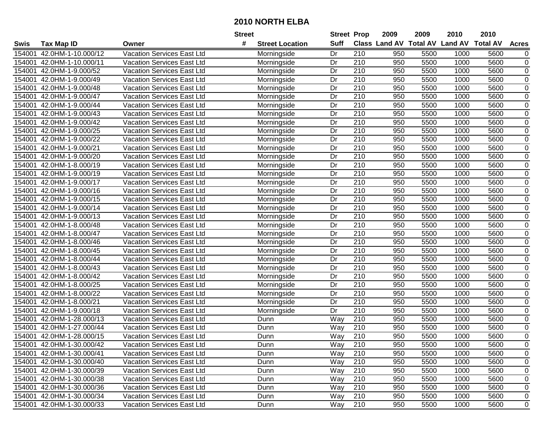|        |                           |                                   | <b>Street</b> |                        |                 | <b>Street Prop</b> | 2009 | 2009 | 2010                                    | 2010 |                |
|--------|---------------------------|-----------------------------------|---------------|------------------------|-----------------|--------------------|------|------|-----------------------------------------|------|----------------|
| Swis   | <b>Tax Map ID</b>         | Owner                             | #             | <b>Street Location</b> | <b>Suff</b>     |                    |      |      | Class Land AV Total AV Land AV Total AV |      | <b>Acres</b>   |
| 154001 | 42.0HM-1-10.000/12        | Vacation Services East Ltd        |               | Morningside            | Dr              | 210                | 950  | 5500 | 1000                                    | 5600 | 0              |
| 154001 | 42.0HM-1-10.000/11        | <b>Vacation Services East Ltd</b> |               | Morningside            | Dr              | 210                | 950  | 5500 | 1000                                    | 5600 | $\pmb{0}$      |
| 154001 | 42.0HM-1-9.000/52         | <b>Vacation Services East Ltd</b> |               | Morningside            | Dr              | 210                | 950  | 5500 | 1000                                    | 5600 | $\pmb{0}$      |
| 154001 | 42.0HM-1-9.000/49         | <b>Vacation Services East Ltd</b> |               | Morningside            | Dr              | 210                | 950  | 5500 | 1000                                    | 5600 | 0              |
| 154001 | 42.0HM-1-9.000/48         | <b>Vacation Services East Ltd</b> |               | Morningside            | $\overline{Dr}$ | $\overline{210}$   | 950  | 5500 | 1000                                    | 5600 | $\overline{0}$ |
| 154001 | 42.0HM-1-9.000/47         | Vacation Services East Ltd        |               | Morningside            | Dr              | 210                | 950  | 5500 | 1000                                    | 5600 | $\pmb{0}$      |
| 154001 | 42.0HM-1-9.000/44         | Vacation Services East Ltd        |               | Morningside            | Dr              | 210                | 950  | 5500 | 1000                                    | 5600 | $\mathbf 0$    |
| 154001 | 42.0HM-1-9.000/43         | Vacation Services East Ltd        |               | Morningside            | Dr              | 210                | 950  | 5500 | 1000                                    | 5600 | 0              |
| 154001 | 42.0HM-1-9.000/42         | <b>Vacation Services East Ltd</b> |               | Morningside            | $\overline{Dr}$ | $\overline{210}$   | 950  | 5500 | 1000                                    | 5600 | $\pmb{0}$      |
| 154001 | 42.0HM-1-9.000/25         | Vacation Services East Ltd        |               | Morningside            | Dr              | 210                | 950  | 5500 | 1000                                    | 5600 | $\pmb{0}$      |
| 154001 | 42.0HM-1-9.000/22         | Vacation Services East Ltd        |               | Morningside            | Dr              | 210                | 950  | 5500 | 1000                                    | 5600 | 0              |
| 154001 | 42.0HM-1-9.000/21         | Vacation Services East Ltd        |               | Morningside            | Dr              | 210                | 950  | 5500 | 1000                                    | 5600 | $\pmb{0}$      |
| 154001 | 42.0HM-1-9.000/20         | Vacation Services East Ltd        |               | Morningside            | Dr              | 210                | 950  | 5500 | 1000                                    | 5600 | 0              |
| 154001 | 42.0HM-1-8.000/19         | Vacation Services East Ltd        |               | Morningside            | Dr              | 210                | 950  | 5500 | 1000                                    | 5600 | $\pmb{0}$      |
| 154001 | 42.0HM-1-9.000/19         | Vacation Services East Ltd        |               | Morningside            | Dr              | 210                | 950  | 5500 | 1000                                    | 5600 | $\pmb{0}$      |
| 154001 | 42.0HM-1-9.000/17         | <b>Vacation Services East Ltd</b> |               | Morningside            | Dr              | 210                | 950  | 5500 | 1000                                    | 5600 | $\pmb{0}$      |
| 154001 | 42.0HM-1-9.000/16         | <b>Vacation Services East Ltd</b> |               | Morningside            | Dr              | 210                | 950  | 5500 | 1000                                    | 5600 | 0              |
| 154001 | 42.0HM-1-9.000/15         | <b>Vacation Services East Ltd</b> |               | Morningside            | Dr              | 210                | 950  | 5500 | 1000                                    | 5600 | $\pmb{0}$      |
| 154001 | 42.0HM-1-9.000/14         | <b>Vacation Services East Ltd</b> |               | Morningside            | Dr              | 210                | 950  | 5500 | 1000                                    | 5600 | $\pmb{0}$      |
| 154001 | 42.0HM-1-9.000/13         | <b>Vacation Services East Ltd</b> |               | Morningside            | Dr              | 210                | 950  | 5500 | 1000                                    | 5600 | $\pmb{0}$      |
| 154001 | 42.0HM-1-8.000/48         | Vacation Services East Ltd        |               | Morningside            | Dr              | 210                | 950  | 5500 | 1000                                    | 5600 | $\pmb{0}$      |
| 154001 | 42.0HM-1-8.000/47         | Vacation Services East Ltd        |               | Morningside            | Dr              | 210                | 950  | 5500 | 1000                                    | 5600 | $\pmb{0}$      |
| 154001 | 42.0HM-1-8.000/46         | Vacation Services East Ltd        |               | Morningside            | Dr              | 210                | 950  | 5500 | 1000                                    | 5600 | $\pmb{0}$      |
| 154001 | 42.0HM-1-8.000/45         | Vacation Services East Ltd        |               | Morningside            | Dr              | 210                | 950  | 5500 | 1000                                    | 5600 | $\pmb{0}$      |
| 154001 | 42.0HM-1-8.000/44         | Vacation Services East Ltd        |               | Morningside            | Dr              | 210                | 950  | 5500 | 1000                                    | 5600 | 0              |
| 154001 | 42.0HM-1-8.000/43         | <b>Vacation Services East Ltd</b> |               | Morningside            | Dr              | 210                | 950  | 5500 | 1000                                    | 5600 | $\pmb{0}$      |
| 154001 | 42.0HM-1-8.000/42         | Vacation Services East Ltd        |               | Morningside            | Dr              | 210                | 950  | 5500 | 1000                                    | 5600 | $\pmb{0}$      |
| 154001 | 42.0HM-1-8.000/25         | Vacation Services East Ltd        |               | Morningside            | Dr              | 210                | 950  | 5500 | 1000                                    | 5600 | 0              |
| 154001 | 42.0HM-1-8.000/22         | Vacation Services East Ltd        |               | Morningside            | Dr              | 210                | 950  | 5500 | 1000                                    | 5600 | 0              |
| 154001 | 42.0HM-1-8.000/21         | Vacation Services East Ltd        |               | Morningside            | $\overline{Dr}$ | 210                | 950  | 5500 | 1000                                    | 5600 | $\overline{0}$ |
| 154001 | 42.0HM-1-9.000/18         | Vacation Services East Ltd        |               | Morningside            | Dr              | 210                | 950  | 5500 | 1000                                    | 5600 | $\pmb{0}$      |
| 154001 | 42.0HM-1-28.000/13        | <b>Vacation Services East Ltd</b> |               | Dunn                   | Way             | $\overline{210}$   | 950  | 5500 | 1000                                    | 5600 | $\mathbf 0$    |
| 154001 | 42.0HM-1-27.000/44        | <b>Vacation Services East Ltd</b> |               | Dunn                   | Way             | 210                | 950  | 5500 | 1000                                    | 5600 | $\mathbf 0$    |
| 154001 | 42.0HM-1-28.000/15        | Vacation Services East Ltd        |               | Dunn                   | Way             | $\overline{210}$   | 950  | 5500 | 1000                                    | 5600 | $\mathbf 0$    |
|        | 154001 42.0HM-1-30.000/42 | <b>Vacation Services East Ltd</b> |               | Dunn                   | Way             | 210                | 950  | 5500 | 1000                                    | 5600 | $\mathbf 0$    |
| 154001 | 42.0HM-1-30.000/41        | Vacation Services East Ltd        |               | Dunn                   | Way             | 210                | 950  | 5500 | 1000                                    | 5600 | 0              |
|        | 154001 42.0HM-1-30.000/40 | Vacation Services East Ltd        |               | Dunn                   | Way             | 210                | 950  | 5500 | 1000                                    | 5600 | 0              |
|        | 154001 42.0HM-1-30.000/39 | <b>Vacation Services East Ltd</b> |               | Dunn                   | Way             | 210                | 950  | 5500 | 1000                                    | 5600 | 0              |
|        | 154001 42.0HM-1-30.000/38 | Vacation Services East Ltd        |               | Dunn                   | Way             | 210                | 950  | 5500 | 1000                                    | 5600 | 0              |
| 154001 | 42.0HM-1-30.000/36        | Vacation Services East Ltd        |               | Dunn                   | Way             | 210                | 950  | 5500 | 1000                                    | 5600 | 0              |
|        | 154001 42.0HM-1-30.000/34 | Vacation Services East Ltd        |               | Dunn                   | Way             | 210                | 950  | 5500 | 1000                                    | 5600 | 0              |
|        | 154001 42.0HM-1-30.000/33 | Vacation Services East Ltd        |               | Dunn                   | Way             | 210                | 950  | 5500 | 1000                                    | 5600 | 0              |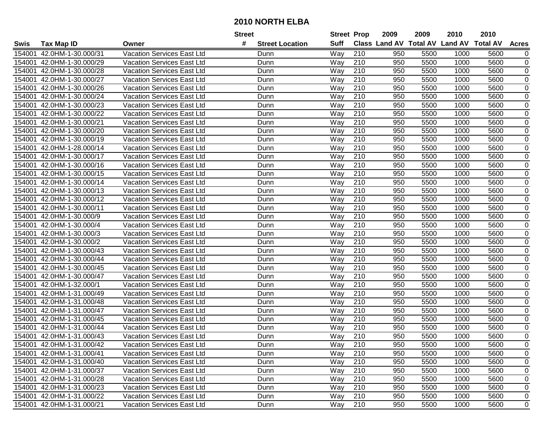|        |                           |                                   | <b>Street</b>               | <b>Street Prop</b> |                  | 2009                          | 2009 | 2010           | 2010            |                  |
|--------|---------------------------|-----------------------------------|-----------------------------|--------------------|------------------|-------------------------------|------|----------------|-----------------|------------------|
| Swis   | <b>Tax Map ID</b>         | Owner                             | #<br><b>Street Location</b> | <b>Suff</b>        |                  | <b>Class Land AV Total AV</b> |      | <b>Land AV</b> | <b>Total AV</b> | <b>Acres</b>     |
| 154001 | 42.0HM-1-30.000/31        | Vacation Services East Ltd        | Dunn                        | Way                | 210              | 950                           | 5500 | 1000           | 5600            | 0                |
| 154001 | 42.0HM-1-30.000/29        | Vacation Services East Ltd        | Dunn                        | Way                | 210              | 950                           | 5500 | 1000           | 5600            | 0                |
| 154001 | 42.0HM-1-30.000/28        | Vacation Services East Ltd        | Dunn                        | Way                | 210              | 950                           | 5500 | 1000           | 5600            | 0                |
| 154001 | 42.0HM-1-30.000/27        | <b>Vacation Services East Ltd</b> | Dunn                        | Way                | 210              | 950                           | 5500 | 1000           | 5600            | $\mathbf 0$      |
| 154001 | 42.0HM-1-30.000/26        | Vacation Services East Ltd        | Dunn                        | Way                | 210              | 950                           | 5500 | 1000           | 5600            | 0                |
| 154001 | 42.0HM-1-30.000/24        | Vacation Services East Ltd        | Dunn                        | Way                | $\overline{210}$ | 950                           | 5500 | 1000           | 5600            | $\mathbf 0$      |
| 154001 | 42.0HM-1-30.000/23        | Vacation Services East Ltd        | Dunn                        | Way                | 210              | 950                           | 5500 | 1000           | 5600            | 0                |
| 154001 | 42.0HM-1-30.000/22        | Vacation Services East Ltd        | Dunn                        | Way                | 210              | 950                           | 5500 | 1000           | 5600            | $\mathbf 0$      |
| 154001 | 42.0HM-1-30.000/21        | Vacation Services East Ltd        | Dunn                        | Way                | $\overline{210}$ | 950                           | 5500 | 1000           | 5600            | $\mathbf 0$      |
| 154001 | 42.0HM-1-30.000/20        | Vacation Services East Ltd        | Dunn                        | Way                | 210              | 950                           | 5500 | 1000           | 5600            | $\mathbf 0$      |
| 154001 | 42.0HM-1-30.000/19        | Vacation Services East Ltd        | Dunn                        | Way                | 210              | 950                           | 5500 | 1000           | 5600            | 0                |
| 154001 | 42.0HM-1-28.000/14        | Vacation Services East Ltd        | Dunn                        | Way                | 210              | 950                           | 5500 | 1000           | 5600            | $\mathbf 0$      |
| 154001 | 42.0HM-1-30.000/17        | <b>Vacation Services East Ltd</b> | Dunn                        | Way                | 210              | 950                           | 5500 | 1000           | 5600            | $\pmb{0}$        |
| 154001 | 42.0HM-1-30.000/16        | Vacation Services East Ltd        | Dunn                        | Way                | 210              | 950                           | 5500 | 1000           | 5600            | $\pmb{0}$        |
| 154001 | 42.0HM-1-30.000/15        | <b>Vacation Services East Ltd</b> | Dunn                        | Way                | 210              | 950                           | 5500 | 1000           | 5600            | $\pmb{0}$        |
| 154001 | 42.0HM-1-30.000/14        | Vacation Services East Ltd        | Dunn                        | Way                | 210              | 950                           | 5500 | 1000           | 5600            | $\mathbf 0$      |
| 154001 | 42.0HM-1-30.000/13        | <b>Vacation Services East Ltd</b> | Dunn                        | Way                | 210              | 950                           | 5500 | 1000           | 5600            | $\mathbf 0$      |
| 154001 | 42.0HM-1-30.000/12        | <b>Vacation Services East Ltd</b> | Dunn                        | Way                | 210              | 950                           | 5500 | 1000           | 5600            | $\pmb{0}$        |
| 154001 | 42.0HM-1-30.000/11        | Vacation Services East Ltd        | Dunn                        | Way                | 210              | 950                           | 5500 | 1000           | 5600            | $\pmb{0}$        |
| 154001 | 42.0HM-1-30.000/9         | Vacation Services East Ltd        | Dunn                        | Way                | 210              | 950                           | 5500 | 1000           | 5600            | 0                |
| 154001 | 42.0HM-1-30.000/4         | Vacation Services East Ltd        | Dunn                        | Way                | 210              | 950                           | 5500 | 1000           | 5600            | $\pmb{0}$        |
| 154001 | 42.0HM-1-30.000/3         | Vacation Services East Ltd        | Dunn                        | Way                | 210              | 950                           | 5500 | 1000           | 5600            | 0                |
| 154001 | 42.0HM-1-30.000/2         | Vacation Services East Ltd        | Dunn                        | Way                | 210              | 950                           | 5500 | 1000           | 5600            | $\pmb{0}$        |
| 154001 | 42.0HM-1-30.000/43        | Vacation Services East Ltd        | Dunn                        | Way                | 210              | 950                           | 5500 | 1000           | 5600            | 0                |
| 154001 | 42.0HM-1-30.000/44        | Vacation Services East Ltd        | Dunn                        | Way                | $\overline{210}$ | 950                           | 5500 | 1000           | 5600            | $\mathbf 0$      |
| 154001 | 42.0HM-1-30.000/45        | Vacation Services East Ltd        | Dunn                        | Way                | 210              | 950                           | 5500 | 1000           | 5600            | $\mathbf 0$      |
| 154001 | 42.0HM-1-30.000/47        | <b>Vacation Services East Ltd</b> | Dunn                        | Way                | 210              | 950                           | 5500 | 1000           | 5600            | $\boldsymbol{0}$ |
| 154001 | 42.0HM-1-32.000/1         | Vacation Services East Ltd        | Dunn                        | Way                | 210              | 950                           | 5500 | 1000           | 5600            | $\mathbf 0$      |
| 154001 | 42.0HM-1-31.000/49        | <b>Vacation Services East Ltd</b> | Dunn                        | Way                | 210              | 950                           | 5500 | 1000           | 5600            | $\pmb{0}$        |
| 154001 | 42.0HM-1-31.000/48        | <b>Vacation Services East Ltd</b> | Dunn                        | Way                | 210              | 950                           | 5500 | 1000           | 5600            | $\pmb{0}$        |
| 154001 | 42.0HM-1-31.000/47        | Vacation Services East Ltd        | Dunn                        | Way                | $\overline{210}$ | 950                           | 5500 | 1000           | 5600            | $\overline{0}$   |
| 154001 | 42.0HM-1-31.000/45        | <b>Vacation Services East Ltd</b> | Dunn                        | Way                | 210              | 950                           | 5500 | 1000           | 5600            | $\mathbf 0$      |
| 154001 | 42.0HM-1-31.000/44        | <b>Vacation Services East Ltd</b> | Dunn                        | Way                | 210              | 950                           | 5500 | 1000           | 5600            | $\pmb{0}$        |
| 154001 | 42.0HM-1-31.000/43        | <b>Vacation Services East Ltd</b> | Dunn                        | Way                | 210              | 950                           | 5500 | 1000           | 5600            | $\mathbf 0$      |
|        | 154001 42.0HM-1-31.000/42 | Vacation Services East Ltd        | Dunn                        | Way                | 210              | 950                           | 5500 | 1000           | 5600            | 0                |
|        | 154001 42.0HM-1-31.000/41 | Vacation Services East Ltd        | Dunn                        | Way                | 210              | 950                           | 5500 | 1000           | 5600            | 0                |
|        | 154001 42.0HM-1-31.000/40 | Vacation Services East Ltd        | Dunn                        | Way                | 210              | 950                           | 5500 | 1000           | 5600            | 0                |
|        | 154001 42.0HM-1-31.000/37 | Vacation Services East Ltd        | Dunn                        | Way                | 210              | 950                           | 5500 | 1000           | 5600            | 0                |
|        | 154001 42.0HM-1-31.000/28 | Vacation Services East Ltd        | Dunn                        | Way                | 210              | 950                           | 5500 | 1000           | 5600            | 0                |
|        | 154001 42.0HM-1-31.000/23 | <b>Vacation Services East Ltd</b> | Dunn                        | Way                | 210              | 950                           | 5500 | 1000           | 5600            | 0                |
|        | 154001 42.0HM-1-31.000/22 | Vacation Services East Ltd        | Dunn                        | Way                | 210              | 950                           | 5500 | 1000           | 5600            | 0                |
|        | 154001 42.0HM-1-31.000/21 | Vacation Services East Ltd        | Dunn                        | Way                | 210              | 950                           | 5500 | 1000           | 5600            | $\mathbf 0$      |
|        |                           |                                   |                             |                    |                  |                               |      |                |                 |                  |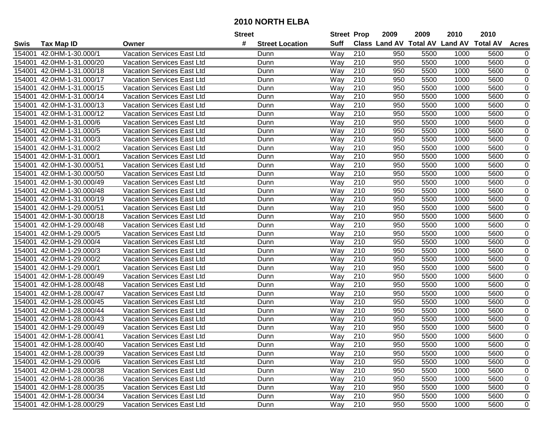|        |                           |                                   | <b>Street</b>               | <b>Street Prop</b> |                  | 2009                          | 2009 | 2010           | 2010            |                  |
|--------|---------------------------|-----------------------------------|-----------------------------|--------------------|------------------|-------------------------------|------|----------------|-----------------|------------------|
| Swis   | <b>Tax Map ID</b>         | Owner                             | #<br><b>Street Location</b> | <b>Suff</b>        |                  | <b>Class Land AV Total AV</b> |      | <b>Land AV</b> | <b>Total AV</b> | <b>Acres</b>     |
| 154001 | 42.0HM-1-30.000/1         | <b>Vacation Services East Ltd</b> | Dunn                        | Way                | 210              | 950                           | 5500 | 1000           | 5600            | 0                |
| 154001 | 42.0HM-1-31.000/20        | Vacation Services East Ltd        | Dunn                        | Way                | 210              | 950                           | 5500 | 1000           | 5600            | 0                |
| 154001 | 42.0HM-1-31.000/18        | Vacation Services East Ltd        | Dunn                        | Way                | 210              | 950                           | 5500 | 1000           | 5600            | 0                |
| 154001 | 42.0HM-1-31.000/17        | <b>Vacation Services East Ltd</b> | Dunn                        | Way                | 210              | 950                           | 5500 | 1000           | 5600            | $\mathbf 0$      |
| 154001 | 42.0HM-1-31.000/15        | Vacation Services East Ltd        | Dunn                        | Way                | 210              | 950                           | 5500 | 1000           | 5600            | 0                |
| 154001 | 42.0HM-1-31.000/14        | Vacation Services East Ltd        | Dunn                        | Way                | $\overline{210}$ | 950                           | 5500 | 1000           | 5600            | $\mathbf 0$      |
| 154001 | 42.0HM-1-31.000/13        | Vacation Services East Ltd        | Dunn                        | Way                | 210              | 950                           | 5500 | 1000           | 5600            | 0                |
| 154001 | 42.0HM-1-31.000/12        | Vacation Services East Ltd        | Dunn                        | Way                | 210              | 950                           | 5500 | 1000           | 5600            | $\mathbf 0$      |
| 154001 | 42.0HM-1-31.000/6         | Vacation Services East Ltd        | Dunn                        | Way                | $\overline{210}$ | 950                           | 5500 | 1000           | 5600            | $\mathbf 0$      |
| 154001 | 42.0HM-1-31.000/5         | Vacation Services East Ltd        | Dunn                        | Way                | 210              | 950                           | 5500 | 1000           | 5600            | $\mathbf 0$      |
| 154001 | 42.0HM-1-31.000/3         | Vacation Services East Ltd        | Dunn                        | Way                | 210              | 950                           | 5500 | 1000           | 5600            | 0                |
| 154001 | 42.0HM-1-31.000/2         | Vacation Services East Ltd        | Dunn                        | Way                | 210              | 950                           | 5500 | 1000           | 5600            | $\mathbf 0$      |
| 154001 | 42.0HM-1-31.000/1         | <b>Vacation Services East Ltd</b> | Dunn                        | Way                | 210              | 950                           | 5500 | 1000           | 5600            | $\pmb{0}$        |
| 154001 | 42.0HM-1-30.000/51        | Vacation Services East Ltd        | Dunn                        | Way                | 210              | 950                           | 5500 | 1000           | 5600            | $\pmb{0}$        |
| 154001 | 42.0HM-1-30.000/50        | <b>Vacation Services East Ltd</b> | Dunn                        | Way                | 210              | 950                           | 5500 | 1000           | 5600            | $\pmb{0}$        |
| 154001 | 42.0HM-1-30.000/49        | <b>Vacation Services East Ltd</b> | Dunn                        | Way                | 210              | 950                           | 5500 | 1000           | 5600            | $\mathbf 0$      |
| 154001 | 42.0HM-1-30.000/48        | <b>Vacation Services East Ltd</b> | Dunn                        | Way                | 210              | 950                           | 5500 | 1000           | 5600            | $\mathbf 0$      |
| 154001 | 42.0HM-1-31.000/19        | <b>Vacation Services East Ltd</b> | Dunn                        | Way                | 210              | 950                           | 5500 | 1000           | 5600            | $\pmb{0}$        |
| 154001 | 42.0HM-1-29.000/51        | Vacation Services East Ltd        | Dunn                        | Way                | 210              | 950                           | 5500 | 1000           | 5600            | $\pmb{0}$        |
| 154001 | 42.0HM-1-30.000/18        | Vacation Services East Ltd        | Dunn                        | Way                | 210              | 950                           | 5500 | 1000           | 5600            | 0                |
| 154001 | 42.0HM-1-29.000/48        | Vacation Services East Ltd        | Dunn                        | Way                | 210              | 950                           | 5500 | 1000           | 5600            | $\pmb{0}$        |
| 154001 | 42.0HM-1-29.000/5         | Vacation Services East Ltd        | Dunn                        | Way                | 210              | 950                           | 5500 | 1000           | 5600            | 0                |
| 154001 | 42.0HM-1-29.000/4         | Vacation Services East Ltd        | Dunn                        | Way                | 210              | 950                           | 5500 | 1000           | 5600            | $\pmb{0}$        |
| 154001 | 42.0HM-1-29.000/3         | Vacation Services East Ltd        | Dunn                        | Way                | 210              | 950                           | 5500 | 1000           | 5600            | 0                |
| 154001 | 42.0HM-1-29.000/2         | Vacation Services East Ltd        | Dunn                        | Way                | $\overline{210}$ | 950                           | 5500 | 1000           | 5600            | $\mathbf 0$      |
| 154001 | 42.0HM-1-29.000/1         | Vacation Services East Ltd        | Dunn                        | Way                | 210              | 950                           | 5500 | 1000           | 5600            | $\mathbf 0$      |
| 154001 | 42.0HM-1-28.000/49        | <b>Vacation Services East Ltd</b> | Dunn                        | Way                | 210              | 950                           | 5500 | 1000           | 5600            | $\boldsymbol{0}$ |
| 154001 | 42.0HM-1-28.000/48        | Vacation Services East Ltd        | Dunn                        | Way                | 210              | 950                           | 5500 | 1000           | 5600            | $\mathbf 0$      |
| 154001 | 42.0HM-1-28.000/47        | <b>Vacation Services East Ltd</b> | Dunn                        | Way                | 210              | 950                           | 5500 | 1000           | 5600            | $\pmb{0}$        |
| 154001 | 42.0HM-1-28.000/45        | Vacation Services East Ltd        | Dunn                        | Way                | 210              | 950                           | 5500 | 1000           | 5600            | $\pmb{0}$        |
| 154001 | 42.0HM-1-28.000/44        | Vacation Services East Ltd        | Dunn                        | Way                | $\overline{210}$ | 950                           | 5500 | 1000           | 5600            | $\overline{0}$   |
| 154001 | 42.0HM-1-28.000/43        | <b>Vacation Services East Ltd</b> | Dunn                        | Way                | 210              | 950                           | 5500 | 1000           | 5600            | $\mathbf 0$      |
| 154001 | 42.0HM-1-29.000/49        | <b>Vacation Services East Ltd</b> | Dunn                        | Way                | 210              | 950                           | 5500 | 1000           | 5600            | $\pmb{0}$        |
| 154001 | 42.0HM-1-28.000/41        | <b>Vacation Services East Ltd</b> | Dunn                        | Way                | 210              | 950                           | 5500 | 1000           | 5600            | $\mathbf 0$      |
|        | 154001 42.0HM-1-28.000/40 | Vacation Services East Ltd        | Dunn                        | Way                | 210              | 950                           | 5500 | 1000           | 5600            | 0                |
|        | 154001 42.0HM-1-28.000/39 | Vacation Services East Ltd        | Dunn                        | Way                | 210              | 950                           | 5500 | 1000           | 5600            | 0                |
|        | 154001 42.0HM-1-29.000/6  | Vacation Services East Ltd        | Dunn                        | Way                | 210              | 950                           | 5500 | 1000           | 5600            | 0                |
|        | 154001 42.0HM-1-28.000/38 | Vacation Services East Ltd        | Dunn                        | Way                | 210              | 950                           | 5500 | 1000           | 5600            | 0                |
|        | 154001 42.0HM-1-28.000/36 | Vacation Services East Ltd        | Dunn                        | Way                | 210              | 950                           | 5500 | 1000           | 5600            | 0                |
|        | 154001 42.0HM-1-28.000/35 | Vacation Services East Ltd        | Dunn                        | Way                | 210              | 950                           | 5500 | 1000           | 5600            | 0                |
|        | 154001 42.0HM-1-28.000/34 | Vacation Services East Ltd        | Dunn                        | Way                | 210              | 950                           | 5500 | 1000           | 5600            | 0                |
|        | 154001 42.0HM-1-28.000/29 | Vacation Services East Ltd        | Dunn                        | Way                | 210              | 950                           | 5500 | 1000           | 5600            | $\mathbf 0$      |
|        |                           |                                   |                             |                    |                  |                               |      |                |                 |                  |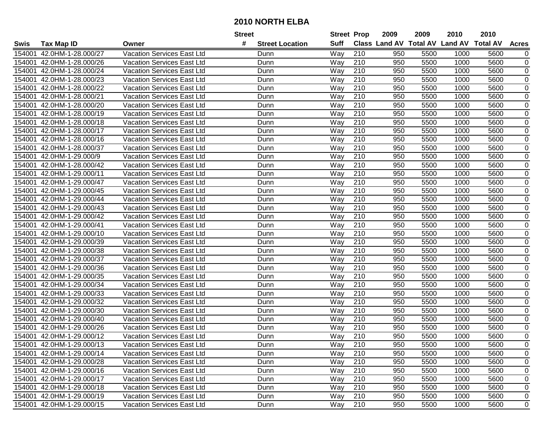|        |                           |                                   | <b>Street</b>               | <b>Street Prop</b> |                  | 2009                          | 2009 | 2010           | 2010            |                  |
|--------|---------------------------|-----------------------------------|-----------------------------|--------------------|------------------|-------------------------------|------|----------------|-----------------|------------------|
| Swis   | <b>Tax Map ID</b>         | Owner                             | #<br><b>Street Location</b> | <b>Suff</b>        |                  | <b>Class Land AV Total AV</b> |      | <b>Land AV</b> | <b>Total AV</b> | <b>Acres</b>     |
| 154001 | 42.0HM-1-28.000/27        | <b>Vacation Services East Ltd</b> | Dunn                        | Way                | 210              | 950                           | 5500 | 1000           | 5600            | 0                |
| 154001 | 42.0HM-1-28.000/26        | Vacation Services East Ltd        | Dunn                        | Way                | 210              | 950                           | 5500 | 1000           | 5600            | 0                |
| 154001 | 42.0HM-1-28.000/24        | Vacation Services East Ltd        | Dunn                        | Way                | 210              | 950                           | 5500 | 1000           | 5600            | 0                |
| 154001 | 42.0HM-1-28.000/23        | <b>Vacation Services East Ltd</b> | Dunn                        | Way                | 210              | 950                           | 5500 | 1000           | 5600            | $\mathbf 0$      |
| 154001 | 42.0HM-1-28.000/22        | Vacation Services East Ltd        | Dunn                        | Way                | 210              | 950                           | 5500 | 1000           | 5600            | 0                |
| 154001 | 42.0HM-1-28.000/21        | Vacation Services East Ltd        | Dunn                        | Way                | $\overline{210}$ | 950                           | 5500 | 1000           | 5600            | $\mathbf 0$      |
| 154001 | 42.0HM-1-28.000/20        | Vacation Services East Ltd        | Dunn                        | Way                | 210              | 950                           | 5500 | 1000           | 5600            | 0                |
| 154001 | 42.0HM-1-28.000/19        | Vacation Services East Ltd        | Dunn                        | Way                | 210              | 950                           | 5500 | 1000           | 5600            | $\mathbf 0$      |
| 154001 | 42.0HM-1-28.000/18        | Vacation Services East Ltd        | Dunn                        | Way                | $\overline{210}$ | 950                           | 5500 | 1000           | 5600            | $\mathbf 0$      |
| 154001 | 42.0HM-1-28.000/17        | Vacation Services East Ltd        | Dunn                        | Way                | 210              | 950                           | 5500 | 1000           | 5600            | $\mathbf 0$      |
| 154001 | 42.0HM-1-28.000/16        | Vacation Services East Ltd        | Dunn                        | Way                | 210              | 950                           | 5500 | 1000           | 5600            | 0                |
| 154001 | 42.0HM-1-28.000/37        | Vacation Services East Ltd        | Dunn                        | Way                | 210              | 950                           | 5500 | 1000           | 5600            | $\mathbf 0$      |
| 154001 | 42.0HM-1-29.000/9         | <b>Vacation Services East Ltd</b> | Dunn                        | Way                | 210              | 950                           | 5500 | 1000           | 5600            | $\pmb{0}$        |
| 154001 | 42.0HM-1-28.000/42        | Vacation Services East Ltd        | Dunn                        | Way                | 210              | 950                           | 5500 | 1000           | 5600            | $\pmb{0}$        |
| 154001 | 42.0HM-1-29.000/11        | <b>Vacation Services East Ltd</b> | Dunn                        | Way                | 210              | 950                           | 5500 | 1000           | 5600            | $\pmb{0}$        |
| 154001 | 42.0HM-1-29.000/47        | Vacation Services East Ltd        | Dunn                        | Way                | 210              | 950                           | 5500 | 1000           | 5600            | $\mathbf 0$      |
| 154001 | 42.0HM-1-29.000/45        | <b>Vacation Services East Ltd</b> | Dunn                        | Way                | 210              | 950                           | 5500 | 1000           | 5600            | $\mathbf 0$      |
| 154001 | 42.0HM-1-29.000/44        | <b>Vacation Services East Ltd</b> | Dunn                        | Way                | 210              | 950                           | 5500 | 1000           | 5600            | $\pmb{0}$        |
| 154001 | 42.0HM-1-29.000/43        | Vacation Services East Ltd        | Dunn                        | Way                | 210              | 950                           | 5500 | 1000           | 5600            | $\pmb{0}$        |
| 154001 | 42.0HM-1-29.000/42        | Vacation Services East Ltd        | Dunn                        | Way                | 210              | 950                           | 5500 | 1000           | 5600            | 0                |
| 154001 | 42.0HM-1-29.000/41        | Vacation Services East Ltd        | Dunn                        | Way                | 210              | 950                           | 5500 | 1000           | 5600            | $\pmb{0}$        |
| 154001 | 42.0HM-1-29.000/10        | Vacation Services East Ltd        | Dunn                        | Way                | 210              | 950                           | 5500 | 1000           | 5600            | 0                |
| 154001 | 42.0HM-1-29.000/39        | Vacation Services East Ltd        | Dunn                        | Way                | 210              | 950                           | 5500 | 1000           | 5600            | $\pmb{0}$        |
| 154001 | 42.0HM-1-29.000/38        | Vacation Services East Ltd        | Dunn                        | Way                | 210              | 950                           | 5500 | 1000           | 5600            | 0                |
| 154001 | 42.0HM-1-29.000/37        | Vacation Services East Ltd        | Dunn                        | Way                | $\overline{210}$ | 950                           | 5500 | 1000           | 5600            | $\mathbf 0$      |
| 154001 | 42.0HM-1-29.000/36        | Vacation Services East Ltd        | Dunn                        | Way                | 210              | 950                           | 5500 | 1000           | 5600            | $\mathbf 0$      |
| 154001 | 42.0HM-1-29.000/35        | <b>Vacation Services East Ltd</b> | Dunn                        | Way                | 210              | 950                           | 5500 | 1000           | 5600            | $\boldsymbol{0}$ |
| 154001 | 42.0HM-1-29.000/34        | Vacation Services East Ltd        | Dunn                        | Way                | 210              | 950                           | 5500 | 1000           | 5600            | $\mathbf 0$      |
| 154001 | 42.0HM-1-29.000/33        | <b>Vacation Services East Ltd</b> | Dunn                        | Way                | 210              | 950                           | 5500 | 1000           | 5600            | $\pmb{0}$        |
| 154001 | 42.0HM-1-29.000/32        | <b>Vacation Services East Ltd</b> | Dunn                        | Way                | 210              | 950                           | 5500 | 1000           | 5600            | $\pmb{0}$        |
| 154001 | 42.0HM-1-29.000/30        | Vacation Services East Ltd        | Dunn                        | Way                | $\overline{210}$ | 950                           | 5500 | 1000           | 5600            | $\overline{0}$   |
| 154001 | 42.0HM-1-29.000/40        | <b>Vacation Services East Ltd</b> | Dunn                        | Way                | 210              | 950                           | 5500 | 1000           | 5600            | $\mathbf 0$      |
| 154001 | 42.0HM-1-29.000/26        | <b>Vacation Services East Ltd</b> | Dunn                        | Way                | 210              | 950                           | 5500 | 1000           | 5600            | $\pmb{0}$        |
| 154001 | 42.0HM-1-29.000/12        | <b>Vacation Services East Ltd</b> | Dunn                        | Way                | 210              | 950                           | 5500 | 1000           | 5600            | $\mathbf 0$      |
|        | 154001 42.0HM-1-29.000/13 | Vacation Services East Ltd        | Dunn                        | Way                | 210              | 950                           | 5500 | 1000           | 5600            | 0                |
|        | 154001 42.0HM-1-29.000/14 | Vacation Services East Ltd        | Dunn                        | Way                | 210              | 950                           | 5500 | 1000           | 5600            | 0                |
|        | 154001 42.0HM-1-29.000/28 | Vacation Services East Ltd        | Dunn                        | Way                | 210              | 950                           | 5500 | 1000           | 5600            | 0                |
|        | 154001 42.0HM-1-29.000/16 | Vacation Services East Ltd        | Dunn                        | Way                | 210              | 950                           | 5500 | 1000           | 5600            | 0                |
|        | 154001 42.0HM-1-29.000/17 | Vacation Services East Ltd        | Dunn                        | Way                | 210              | 950                           | 5500 | 1000           | 5600            | 0                |
|        | 154001 42.0HM-1-29.000/18 | <b>Vacation Services East Ltd</b> | Dunn                        | Way                | 210              | 950                           | 5500 | 1000           | 5600            | 0                |
|        | 154001 42.0HM-1-29.000/19 | Vacation Services East Ltd        | Dunn                        | Way                | 210              | 950                           | 5500 | 1000           | 5600            | 0                |
|        | 154001 42.0HM-1-29.000/15 | Vacation Services East Ltd        | Dunn                        | Way                | 210              | 950                           | 5500 | 1000           | 5600            | $\mathbf 0$      |
|        |                           |                                   |                             |                    |                  |                               |      |                |                 |                  |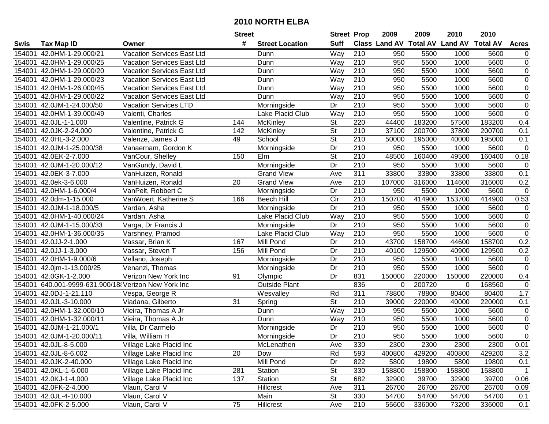|             |                                              |                            | <b>Street</b>   |                        | <b>Street Prop</b>       |                  | 2009                          | 2009   | 2010           | 2010            |                  |
|-------------|----------------------------------------------|----------------------------|-----------------|------------------------|--------------------------|------------------|-------------------------------|--------|----------------|-----------------|------------------|
| <b>Swis</b> | <b>Tax Map ID</b>                            | Owner                      | #               | <b>Street Location</b> | <b>Suff</b>              |                  | <b>Class Land AV Total AV</b> |        | <b>Land AV</b> | <b>Total AV</b> | <b>Acres</b>     |
| 154001      | 42.0HM-1-29.000/21                           | Vacation Services East Ltd |                 | Dunn                   | Way                      | 210              | 950                           | 5500   | 1000           | 5600            | $\overline{0}$   |
| 154001      | 42.0HM-1-29.000/25                           | Vacation Services East Ltd |                 | Dunn                   | Way                      | 210              | 950                           | 5500   | 1000           | 5600            | $\pmb{0}$        |
| 154001      | 42.0HM-1-29.000/20                           | Vacation Services East Ltd |                 | Dunn                   | Way                      | 210              | 950                           | 5500   | 1000           | 5600            | $\boldsymbol{0}$ |
| 154001      | 42.0HM-1-29.000/23                           | Vacation Services East Ltd |                 | Dunn                   | Way                      | 210              | 950                           | 5500   | 1000           | 5600            | $\overline{0}$   |
| 154001      | 42.0HM-1-26.000/45                           | Vacation Services East Ltd |                 | Dunn                   | Way                      | $\overline{210}$ | 950                           | 5500   | 1000           | 5600            | $\overline{0}$   |
| 154001      | 42.0HM-1-29.000/22                           | Vacation Services East Ltd |                 | Dunn                   | Way                      | $\overline{210}$ | 950                           | 5500   | 1000           | 5600            | $\overline{0}$   |
| 154001      | 42.0JM-1-24.000/50                           | Vacation Services LTD      |                 | Morningside            | Dr                       | 210              | 950                           | 5500   | 1000           | 5600            | $\pmb{0}$        |
| 154001      | 42.0HM-1-39.000/49                           | Valenti, Charles           |                 | Lake Placid Club       | Way                      | 210              | 950                           | 5500   | 1000           | 5600            | $\overline{0}$   |
| 154001      | 42.0JL-1-1.000                               | Valentine, Patrick G       | 144             | McKinley               | $\overline{\mathsf{St}}$ | 220              | 44400                         | 183200 | 57500          | 183200          | 0.4              |
| 154001      | 42.0JK-2-24.000                              | Valentine, Patrick G       | 142             | McKinley               | $\overline{\mathsf{St}}$ | 210              | 37100                         | 200700 | 37800          | 200700          | 0.1              |
| 154001      | 42.0HL-3-2.000                               | Valenze, James J           | 49              | School                 | $\overline{\mathsf{St}}$ | 210              | 50000                         | 195000 | 40000          | 195000          | 0.1              |
| 154001      | 42.0JM-1-25.000/38                           | Vanaernam, Gordon K        |                 | Morningside            | Dr                       | 210              | 950                           | 5500   | 1000           | 5600            | $\mathbf 0$      |
| 154001      | 42.0EK-2-7.000                               | VanCour, Shelley           | 150             | Elm                    | $\overline{\mathsf{St}}$ | 210              | 48500                         | 160400 | 49500          | 160400          | 0.18             |
| 154001      | 42.0JM-1-20.000/12                           | VanGundy, David L          |                 | Morningside            | Dr                       | 210              | 950                           | 5500   | 1000           | 5600            | $\pmb{0}$        |
| 154001      | 42.0EK-3-7.000                               | VanHuizen, Ronald          |                 | <b>Grand View</b>      | Ave                      | $\overline{311}$ | 33800                         | 33800  | 33800          | 33800           | 0.1              |
| 154001      | 42.0ek-3-6.000                               | VanHuizen, Ronald          | 20              | <b>Grand View</b>      | Ave                      | 210              | 107000                        | 316000 | 114600         | 316000          | 0.2              |
| 154001      | 42.0HM-1-6.000/4                             | VanPelt, Robbert C         |                 | Morningside            | Dr                       | $\overline{210}$ | 950                           | 5500   | 1000           | 5600            | $\pmb{0}$        |
| 154001      | 42.0dm-1-15.000                              | VanWoert, Katherine S      | 166             | <b>Beech Hill</b>      | $\overline{C}$ ir        | 210              | 150700                        | 414900 | 153700         | 414900          | 0.53             |
| 154001      | 42.0JM-1-18.000/5                            | Vardan, Asha               |                 | Morningside            | Dr                       | 210              | 950                           | 5500   | 1000           | 5600            | $\pmb{0}$        |
| 154001      | 42.0HM-1-40.000/24                           | Vardan, Asha               |                 | Lake Placid Club       | Way                      | 210              | 950                           | 5500   | 1000           | 5600            | $\pmb{0}$        |
| 154001      | 42.0JM-1-15.000/33                           | Varga, Dr Francis J        |                 | Morningside            | Dr                       | 210              | 950                           | 5500   | 1000           | 5600            | $\overline{0}$   |
| 154001      | 42.0HM-1-36.000/35                           | Varshney, Pramod           |                 | Lake Placid Club       | Way                      | 210              | 950                           | 5500   | 1000           | 5600            | $\pmb{0}$        |
| 154001      | 42.0JJ-2-1.000                               | Vassar, Brian K            | 167             | Mill Pond              | Dr                       | 210              | 43700                         | 158700 | 44600          | 158700          | 0.2              |
| 154001      | 42.0JJ-1-3.000                               | Vassar, Steven T           | 156             | Mill Pond              | Dr                       | 210              | 40100                         | 129500 | 40900          | 129500          | 0.2              |
| 154001      | 42.0HM-1-9.000/6                             | Vellano, Joseph            |                 | Morningside            | Dr                       | $\overline{210}$ | 950                           | 5500   | 1000           | 5600            | $\pmb{0}$        |
| 154001      | 42.0jm-1-13.000/25                           | Venanzi, Thomas            |                 | Morningside            | Dr                       | 210              | 950                           | 5500   | 1000           | 5600            | $\pmb{0}$        |
| 154001      | 42.0GK-1-2.000                               | Verizon New York Inc       | 91              | Olympic                | Dr                       | 831              | 150000                        | 220000 | 150000         | 220000          | 0.4              |
| 154001      | 640.001-9999-631.900/18 Verizon New York Inc |                            |                 | <b>Outside Plant</b>   |                          | 836              | 0                             | 200720 | $\Omega$       | 168560          | $\mathbf 0$      |
| 154001      | 42.0DJ-1-21.110                              | Vespa, George R            |                 | Wesvalley              | Rd                       | $\overline{311}$ | 78800                         | 78800  | 80400          | 80400           | 1.7              |
| 154001      | 42.0JL-3-10.000                              | Viadana, Gilberto          | $\overline{31}$ | Spring                 | $\overline{\mathsf{St}}$ | $\overline{210}$ | 39000                         | 220000 | 40000          | 220000          | 0.1              |
| 154001      | 42.0HM-1-32.000/10                           | Vieira, Thomas A Jr        |                 | Dunn                   | Way                      | 210              | 950                           | 5500   | 1000           | 5600            | $\pmb{0}$        |
| 154001      | 42.0HM-1-32.000/11                           | Vieira, Thomas A Jr        |                 | Dunn                   | Way                      | 210              | 950                           | 5500   | 1000           | 5600            | $\pmb{0}$        |
| 154001      | 42.0JM-1-21.000/1                            | Villa, Dr Carmelo          |                 | Morningside            | Dr                       | $\overline{210}$ | 950                           | 5500   | 1000           | 5600            | $\overline{0}$   |
|             | 154001 42.0JM-1-20.000/11                    | Villa, William H           |                 | Morningside            | $\overline{Dr}$          | $\overline{210}$ | 950                           | 5500   | 1000           | 5600            | $\overline{0}$   |
|             | 154001 42.0JL-8-5.000                        | Village Lake Placid Inc    |                 | McLenathen             | Ave                      | 330              | 2300                          | 2300   | 2300           | 2300            | 0.01             |
|             | 154001 42.0JL-8-6.002                        | Village Lake Placid Inc    | 20              | Dow                    | Rd                       | 593              | 400800                        | 429200 | 400800         | 429200          | 3.2              |
|             | 154001 42.0JK-2-40.000                       | Village Lake Placid Inc    |                 | Mill Pond              | Dr                       | 822              | 5800                          | 19800  | 5800           | 19800           | 0.1              |
|             | 154001 42.0KL-1-6.000                        | Village Lake Placid Inc    | 281             | Station                | <b>St</b>                | 330              | 158800                        | 158800 | 158800         | 158800          | $\mathbf{1}$     |
|             | 154001 42.0KJ-1-4.000                        | Village Lake Placid Inc    | 137             | Station                | <b>St</b>                | 682              | 32900                         | 39700  | 32900          | 39700           | 0.06             |
|             | 154001 42.0FK-2-4.000                        | Vlaun, Carol V             |                 | Hillcrest              | Ave                      | 311              | 26700                         | 26700  | 26700          | 26700           | 0.09             |
|             | 154001 42.0JL-4-10.000                       | Vlaun, Carol V             |                 | Main                   | St                       | 330              | 54700                         | 54700  | 54700          | 54700           | 0.1              |
|             | 154001 42.0FK-2-5.000                        | Vlaun, Carol V             | 75              | Hillcrest              | Ave                      | 210              | 55600                         | 336000 | 73200          | 336000          | 0.1              |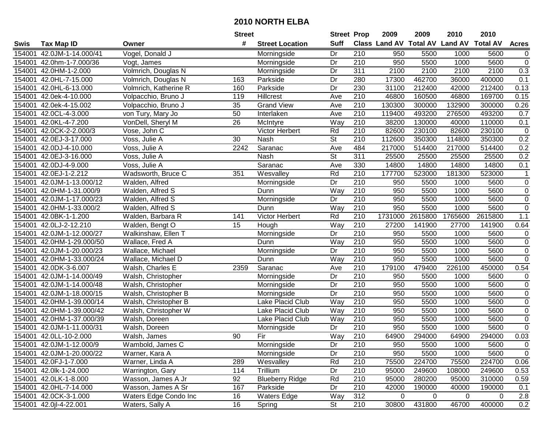|        |                           |                       | <b>Street</b> |                         | <b>Street Prop</b>       |                  | 2009        | 2009        | 2010                                    | 2010    |                |
|--------|---------------------------|-----------------------|---------------|-------------------------|--------------------------|------------------|-------------|-------------|-----------------------------------------|---------|----------------|
| Swis   | <b>Tax Map ID</b>         | Owner                 | #             | <b>Street Location</b>  | <b>Suff</b>              |                  |             |             | Class Land AV Total AV Land AV Total AV |         | <b>Acres</b>   |
| 154001 | 42.0JM-1-14.000/41        | Vogel, Donald J       |               | Morningside             | Dr                       | 210              | 950         | 5500        | 1000                                    | 5600    | $\mathbf 0$    |
| 154001 | 42.0hm-1-7.000/36         | Vogt, James           |               | Morningside             | Dr                       | 210              | 950         | 5500        | 1000                                    | 5600    | $\mathbf 0$    |
| 154001 | 42.0HM-1-2.000            | Volmrich, Douglas N   |               | Morningside             | Dr                       | 311              | 2100        | 2100        | 2100                                    | 2100    | 0.3            |
| 154001 | 42.0HL-7-15.000           | Volmrich, Douglas N   | 163           | Parkside                | Dr                       | 280              | 17300       | 462700      | 36000                                   | 400000  | 0.1            |
| 154001 | 42.0HL-6-13.000           | Volmrich, Katherine R | 160           | Parkside                | Dr                       | 230              | 31100       | 212400      | 42000                                   | 212400  | 0.13           |
| 154001 | 42.0ek-4-10.000           | Volpacchio, Bruno J   | 119           | <b>Hillcrest</b>        | Ave                      | $\overline{210}$ | 46800       | 160500      | 46800                                   | 169700  | 0.15           |
| 154001 | 42.0ek-4-15.002           | Volpacchio, Bruno J   | 35            | <b>Grand View</b>       | Ave                      | $\overline{210}$ | 130300      | 300000      | 132900                                  | 300000  | 0.26           |
| 154001 | 42.0CL-4-3.000            | von Tury, Mary Jo     | 50            | Interlaken              | Ave                      | $\overline{210}$ | 119400      | 493200      | 276500                                  | 493200  | 0.7            |
| 154001 | 42.0KL-4-7.200            | VonDell, Sheryl M     | 26            | McIntyre                | Way                      | 210              | 38200       | 130000      | 40000                                   | 110000  | 0.1            |
| 154001 | 42.0CK-2-2.000/3          | Vose, John C          |               | Victor Herbert          | Rd                       | $\overline{210}$ | 82600       | 230100      | 82600                                   | 230100  | $\mathbf 0$    |
| 154001 | 42.0EJ-3-17.000           | Voss, Julie A         | 30            | Nash                    | $\overline{\mathsf{St}}$ | 210              | 112600      | 350300      | 114800                                  | 350300  | 0.2            |
| 154001 | 42.0DJ-4-10.000           | Voss, Julie A         | 2242          | Saranac                 | Ave                      | 484              | 217000      | 514400      | 217000                                  | 514400  | 0.2            |
| 154001 | 42.0EJ-3-16.000           | Voss, Julie A         |               | Nash                    | St                       | 311              | 25500       | 25500       | 25500                                   | 25500   | 0.2            |
| 154001 | 42.0DJ-4-9.000            | Voss, Julie A         |               | Saranac                 | Ave                      | 330              | 14800       | 14800       | 14800                                   | 14800   | 0.1            |
| 154001 | 42.0EJ-1-2.212            | Wadsworth, Bruce C    | 351           | Wesvalley               | Rd                       | 210              | 177700      | 523000      | 181300                                  | 523000  | $\mathbf{1}$   |
| 154001 | 42.0JM-1-13.000/12        | Walden, Alfred        |               | Morningside             | Dr                       | $\overline{210}$ | 950         | 5500        | 1000                                    | 5600    | $\mathbf 0$    |
| 154001 | 42.0HM-1-31.000/9         | Walden, Alfred S      |               | Dunn                    | Way                      | 210              | 950         | 5500        | 1000                                    | 5600    | $\mathsf 0$    |
| 154001 | 42.0JM-1-17.000/23        | Walden, Alfred S      |               | Morningside             | Dr                       | $\overline{210}$ | 950         | 5500        | 1000                                    | 5600    | $\overline{0}$ |
| 154001 | 42.0HM-1-33.000/2         | Walden, Alfred S      |               | Dunn                    | Way                      | 210              | 950         | 5500        | 1000                                    | 5600    | $\overline{0}$ |
| 154001 | 42.0BK-1-1.200            | Walden, Barbara R     | 141           | Victor Herbert          | Rd                       | 210              | 1731000     | 2615800     | 1765600                                 | 2615800 | 1.1            |
| 154001 | 42.0LJ-2-12.210           | Walden, Bengt O       | 15            | Hough                   | Way                      | 210              | 27200       | 141900      | 27700                                   | 141900  | 0.64           |
| 154001 | 42.0JM-1-12.000/27        | Walkinshaw, Ellen T   |               | Morningside             | Dr                       | 210              | 950         | 5500        | 1000                                    | 5600    | $\mathbf 0$    |
| 154001 | 42.0HM-1-29.000/50        | Wallace, Fred A       |               | Dunn                    | Way                      | 210              | 950         | 5500        | 1000                                    | 5600    | $\mathbf 0$    |
| 154001 | 42.0JM-1-20.000/23        | Wallace, Michael      |               | Morningside             | Dr                       | $\overline{210}$ | 950         | 5500        | 1000                                    | 5600    | $\overline{0}$ |
| 154001 | 42.0HM-1-33.000/24        | Wallace, Michael D    |               | Dunn                    | Way                      | 210              | 950         | 5500        | 1000                                    | 5600    | $\mathbf 0$    |
| 154001 | 42.0DK-3-6.007            | Walsh, Charles E      | 2359          | Saranac                 | Ave                      | 210              | 179100      | 479400      | 226100                                  | 450000  | 0.54           |
| 154001 | 42.0JM-1-14.000/49        | Walsh, Christopher    |               | Morningside             | Dr                       | 210              | 950         | 5500        | 1000                                    | 5600    | $\pmb{0}$      |
| 154001 | 42.0JM-1-14.000/48        | Walsh, Christopher    |               | Morningside             | Dr                       | 210              | 950         | 5500        | 1000                                    | 5600    | 0              |
| 154001 | 42.0JM-1-18.000/15        | Walsh, Christopher B  |               | Morningside             | Dr                       | 210              | 950         | 5500        | 1000                                    | 5600    | $\mathbf 0$    |
| 154001 | 42.0HM-1-39.000/14        | Walsh, Christopher B  |               | <b>Lake Placid Club</b> | Way                      | 210              | 950         | 5500        | 1000                                    | 5600    | $\overline{0}$ |
| 154001 | 42.0HM-1-39.000/42        | Walsh, Christopher W  |               | Lake Placid Club        | Way                      | 210              | 950         | 5500        | 1000                                    | 5600    | $\overline{0}$ |
| 154001 | 42.0HM-1-37.000/39        | Walsh, Doreen         |               | Lake Placid Club        | Way                      | $\overline{210}$ | 950         | 5500        | 1000                                    | 5600    | $\overline{0}$ |
| 154001 | 42.0JM-1-11.000/31        | Walsh, Doreen         |               | Morningside             | Dr                       | 210              | 950         | 5500        | 1000                                    | 5600    | $\mathbf 0$    |
|        | 154001 42.0LL-10-2.000    | Walsh, James          | 90            | Fir                     | Way                      | 210              | 64900       | 294000      | 64900                                   | 294000  | 0.03           |
|        | 154001 42.0JM-1-12.000/9  | Wambold, James C      |               | Morningside             | Dr                       | 210              | 950         | 5500        | 1000                                    | 5600    | $\mathbf 0$    |
|        | 154001 42.0JM-1-20.000/22 | Warner, Kara A        |               | Morningside             | Dr                       | 210              | 950         | 5500        | 1000                                    | 5600    | $\mathbf 0$    |
|        | 154001 42.0FJ-1-7.000     | Warner, Linda A       | 289           | Wesvalley               | Rd                       | 210              | 75500       | 224700      | 75500                                   | 224700  | 0.06           |
|        | 154001 42.0lk-1-24.000    | Warrington, Gary      | 114           | Trillium                | Dr                       | 210              | 95000       | 249600      | 108000                                  | 249600  | 0.53           |
|        | 154001 42.0LK-1-8.000     | Wasson, James A Jr    | 92            | <b>Blueberry Ridge</b>  | Rd                       | 210              | 95000       | 280200      | 95000                                   | 310000  | 0.59           |
|        | 154001 42.0HL-7-14.000    | Wasson, James A Sr    | 167           | Parkside                | Dr                       | 210              | 42000       | 190000      | 40000                                   | 190000  | 0.1            |
|        | 154001 42.0CK-3-1.000     | Waters Edge Condo Inc | 16            | <b>Waters Edge</b>      | Way                      | 312              | $\mathbf 0$ | $\mathbf 0$ | 0                                       | 0       | $2.8$          |
|        | 154001 42.0jl-4-22.001    | Waters, Sally A       | 16            | Spring                  | St                       | 210              | 30800       | 431800      | 46700                                   | 400000  | 0.2            |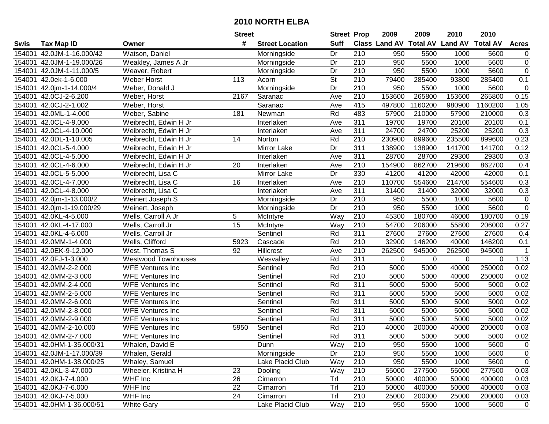|        |                           |                            | <b>Street</b>   |                        | <b>Street Prop</b>       |                  | 2009                          | 2009        | 2010           | 2010            |                |
|--------|---------------------------|----------------------------|-----------------|------------------------|--------------------------|------------------|-------------------------------|-------------|----------------|-----------------|----------------|
| Swis   | <b>Tax Map ID</b>         | Owner                      | #               | <b>Street Location</b> | <b>Suff</b>              |                  | <b>Class Land AV Total AV</b> |             | <b>Land AV</b> | <b>Total AV</b> | <b>Acres</b>   |
| 154001 | 42.0JM-1-16.000/42        | Watson, Daniel             |                 | Morningside            | Dr                       | 210              | 950                           | 5500        | 1000           | 5600            | $\overline{0}$ |
| 154001 | 42.0JM-1-19.000/26        | Weakley, James A Jr        |                 | Morningside            | Dr                       | 210              | 950                           | 5500        | 1000           | 5600            | $\pmb{0}$      |
| 154001 | 42.0JM-1-11.000/5         | Weaver, Robert             |                 | Morningside            | Dr                       | 210              | 950                           | 5500        | 1000           | 5600            | $\pmb{0}$      |
| 154001 | 42.0ek-1-6.000            | Weber Horst                | 113             | Acorn                  | $\overline{\mathsf{St}}$ | 210              | 79400                         | 285400      | 93800          | 285400          | 0.1            |
| 154001 | 42.0jm-1-14.000/4         | Weber, Donald J            |                 | Morningside            | Dr                       | $\overline{210}$ | 950                           | 5500        | 1000           | 5600            | $\mathbf 0$    |
| 154001 | 42.0CJ-2-6.200            | Weber, Horst               | 2167            | Saranac                | Ave                      | $\overline{210}$ | 153600                        | 265800      | 153600         | 265800          | 0.15           |
| 154001 | 42.0CJ-2-1.002            | Weber, Horst               |                 | Saranac                | Ave                      | 415              | 497800                        | 1160200     | 980900         | 1160200         | 1.05           |
| 154001 | 42.0ML-1-4.000            | Weber, Sabine              | 181             | Newman                 | Rd                       | 483              | 57900                         | 210000      | 57900          | 210000          | 0.3            |
| 154001 | 42.0CL-4-9.000            | Weibrecht, Edwin H Jr      |                 | Interlaken             | Ave                      | 311              | 19700                         | 19700       | 20100          | 20100           | 0.1            |
| 154001 | 42.0CL-4-10.000           | Weibrecht, Edwin H Jr      |                 | Interlaken             | Ave                      | $\overline{311}$ | 24700                         | 24700       | 25200          | 25200           | 0.3            |
| 154001 | 42.0DL-1-10.005           | Weibrecht, Edwin H Jr      | 14              | Norton                 | Rd                       | 210              | 230900                        | 899600      | 235500         | 899600          | 0.23           |
| 154001 | 42.0CL-5-4.000            | Weibrecht, Edwin H Jr      |                 | Mirror Lake            | Dr                       | 311              | 138900                        | 138900      | 141700         | 141700          | 0.12           |
| 154001 | 42.0CL-4-5.000            | Weibrecht, Edwin H Jr      |                 | Interlaken             | Ave                      | 311              | 28700                         | 28700       | 29300          | 29300           | 0.3            |
| 154001 | 42.0CL-4-6.000            | Weibrecht, Edwin H Jr      | 20              | Interlaken             | Ave                      | 210              | 154900                        | 862700      | 219600         | 862700          | 0.4            |
| 154001 | 42.0CL-5-5.000            | Weibrecht, Lisa C          |                 | Mirror Lake            | Dr                       | 330              | 41200                         | 41200       | 42000          | 42000           | 0.1            |
| 154001 | 42.0CL-4-7.000            | Weibrecht, Lisa C          | 16              | Interlaken             | Ave                      | 210              | 110700                        | 554600      | 214700         | 554600          | 0.3            |
| 154001 | 42.0CL-4-8.000            | Weibrecht, Lisa C          |                 | Interlaken             | Ave                      | $\overline{311}$ | 31400                         | 31400       | 32000          | 32000           | 0.3            |
| 154001 | 42.0jm-1-13.000/2         | Weinert Joseph S           |                 | Morningside            | Dr                       | 210              | 950                           | 5500        | 1000           | 5600            | $\pmb{0}$      |
| 154001 | 42.0jm-1-19.000/29        | Weinert, Joseph            |                 | Morningside            | Dr                       | 210              | 950                           | 5500        | 1000           | 5600            | $\overline{0}$ |
| 154001 | 42.0KL-4-5.000            | Wells, Carroll A Jr        | 5               | McIntyre               | Way                      | 210              | 45300                         | 180700      | 46000          | 180700          | 0.19           |
| 154001 | 42.0KL-4-17.000           | Wells, Carroll Jr          | $\overline{15}$ | McIntyre               | Way                      | 210              | 54700                         | 206000      | 55800          | 206000          | 0.27           |
| 154001 | 42.0KL-4-6.000            | Wells, Carroll Jr          |                 | Sentinel               | Rd                       | 311              | 27600                         | 27600       | 27600          | 27600           | 0.4            |
| 154001 | 42.0MM-1-4.000            | Wells, Clifford            | 5923            | Cascade                | Rd                       | 210              | 32900                         | 146200      | 40000          | 146200          | 0.1            |
| 154001 | 42.0EK-9-12.000           | West, Thomas S             | 92              | Hillcrest              | Ave                      | 210              | 262500                        | 945000      | 262500         | 945000          | 1              |
| 154001 | 42.0FJ-1-3.000            | <b>Westwood Townhouses</b> |                 | Wesvalley              | Rd                       | 311              | 0                             | $\mathbf 0$ | 0              | $\mathbf 0$     | 1.13           |
| 154001 | 42.0MM-2-2.000            | <b>WFE Ventures Inc</b>    |                 | Sentinel               | Rd                       | 210              | 5000                          | 5000        | 40000          | 250000          | 0.02           |
| 154001 | 42.0MM-2-3.000            | <b>WFE Ventures Inc</b>    |                 | Sentinel               | Rd                       | 210              | 5000                          | 5000        | 40000          | 250000          | 0.02           |
| 154001 | 42.0MM-2-4.000            | WFE Ventures Inc           |                 | Sentinel               | Rd                       | 311              | 5000                          | 5000        | 5000           | 5000            | 0.02           |
| 154001 | 42.0MM-2-5.000            | WFE Ventures Inc           |                 | Sentinel               | Rd                       | 311              | 5000                          | 5000        | 5000           | 5000            | 0.02           |
| 154001 | 42.0MM-2-6.000            | <b>WFE</b> Ventures Inc    |                 | Sentinel               | Rd                       | 311              | 5000                          | 5000        | 5000           | 5000            | 0.02           |
| 154001 | 42.0MM-2-8.000            | <b>WFE</b> Ventures Inc    |                 | Sentinel               | Rd                       | 311              | 5000                          | 5000        | 5000           | 5000            | 0.02           |
| 154001 | 42.0MM-2-9.000            | <b>WFE Ventures Inc</b>    |                 | Sentinel               | Rd                       | 311              | 5000                          | 5000        | 5000           | 5000            | 0.02           |
| 154001 | 42.0MM-2-10.000           | <b>WFE Ventures Inc</b>    | 5950            | Sentinel               | Rd                       | $\overline{210}$ | 40000                         | 200000      | 40000          | 200000          | 0.03           |
|        | 154001 42.0MM-2-7.000     | <b>WFE Ventures Inc</b>    |                 | Sentinel               | Rd                       | 311              | 5000                          | 5000        | 5000           | 5000            | 0.02           |
|        | 154001 42.0HM-1-35.000/31 | Whalen, David E            |                 | Dunn                   | Way                      | 210              | 950                           | 5500        | 1000           | 5600            | 0              |
|        | 154001 42.0JM-1-17.000/39 | Whalen, Gerald             |                 | Morningside            | Dr                       | 210              | 950                           | 5500        | 1000           | 5600            | 0              |
|        | 154001 42.0HM-1-38.000/25 | Whaley, Samuel             |                 | Lake Placid Club       | Way                      | 210              | 950                           | 5500        | 1000           | 5600            | $\mathbf 0$    |
|        | 154001 42.0KL-3-47.000    | Wheeler, Kristina H        | 23              | Dooling                | Way                      | 210              | 55000                         | 277500      | 55000          | 277500          | 0.03           |
|        | 154001 42.0KJ-7-4.000     | WHF Inc                    | 26              | Cimarron               | Trl                      | 210              | 50000                         | 400000      | 50000          | 400000          | 0.03           |
|        | 154001 42.0KJ-7-6.000     | WHF Inc                    | 22              | Cimarron               | Trl                      | 210              | 50000                         | 400000      | 50000          | 400000          | 0.03           |
|        | 154001 42.0KJ-7-5.000     | WHF Inc                    | 24              | Cimarron               | Trl                      | 210              | 25000                         | 200000      | 25000          | 200000          | 0.03           |
|        | 154001 42.0HM-1-36.000/51 | <b>White Gary</b>          |                 | Lake Placid Club       | Way                      | 210              | 950                           | 5500        | 1000           | 5600            | $\mathbf 0$    |
|        |                           |                            |                 |                        |                          |                  |                               |             |                |                 |                |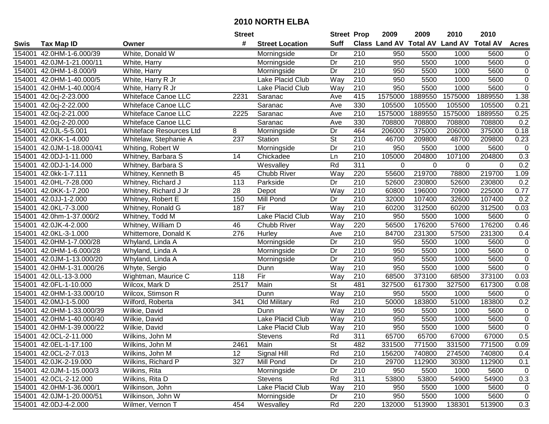|        |                           |                            | <b>Street</b> |                        | <b>Street Prop</b> |                  | 2009                          | 2009    | 2010                    | 2010    |                |
|--------|---------------------------|----------------------------|---------------|------------------------|--------------------|------------------|-------------------------------|---------|-------------------------|---------|----------------|
| Swis   | Tax Map ID                | Owner                      | #             | <b>Street Location</b> | <b>Suff</b>        |                  | <b>Class Land AV Total AV</b> |         | <b>Land AV Total AV</b> |         | <b>Acres</b>   |
| 154001 | 42.0HM-1-6.000/39         | White, Donald W            |               | Morningside            | Dr                 | 210              | 950                           | 5500    | 1000                    | 5600    | $\mathbf 0$    |
| 154001 | 42.0JM-1-21.000/11        | White, Harry               |               | Morningside            | Dr                 | 210              | 950                           | 5500    | 1000                    | 5600    | $\mathbf 0$    |
| 154001 | 42.0HM-1-8.000/9          | White, Harry               |               | Morningside            | Dr                 | 210              | 950                           | 5500    | 1000                    | 5600    | $\mathbf 0$    |
| 154001 | 42.0HM-1-40.000/5         | White, Harry R Jr          |               | Lake Placid Club       | Way                | 210              | 950                           | 5500    | 1000                    | 5600    | $\overline{0}$ |
| 154001 | 42.0HM-1-40.000/4         | White, Harry R Jr          |               | Lake Placid Club       | Way                | 210              | 950                           | 5500    | 1000                    | 5600    | $\overline{0}$ |
| 154001 | 42.0cj-2-23.000           | <b>Whiteface Canoe LLC</b> | 2231          | Saranac                | Ave                | 415              | 1575000                       | 1889550 | 1575000                 | 1889550 | 1.38           |
| 154001 | 42.0cj-2-22.000           | Whiteface Canoe LLC        |               | Saranac                | Ave                | 330              | 105500                        | 105500  | 105500                  | 105500  | 0.21           |
| 154001 | 42.0cj-2-21.000           | <b>Whiteface Canoe LLC</b> | 2225          | Saranac                | Ave                | 210              | 1575000                       | 1889550 | 1575000                 | 1889550 | 0.25           |
| 154001 | 42.0cj-2-20.000           | Whiteface Canoe LLC        |               | Saranac                | Ave                | 330              | 708800                        | 708800  | 708800                  | 708800  | 0.2            |
| 154001 | 42.0JL-5-5.001            | Whiteface Resources Ltd    | 8             | Morningside            | Dr                 | 464              | 206000                        | 375000  | 206000                  | 375000  | 0.18           |
| 154001 | 42.0KK-1-4.000            | Whitelaw, Stephanie A      | 237           | Station                | St                 | 210              | 46700                         | 209800  | 48700                   | 209800  | 0.23           |
| 154001 | 42.0JM-1-18.000/41        | Whiting, Robert W          |               | Morningside            | Dr                 | 210              | 950                           | 5500    | 1000                    | 5600    | $\mathbf 0$    |
| 154001 | 42.0DJ-1-11.000           | Whitney, Barbara S         | 14            | Chickadee              | Ln                 | 210              | 105000                        | 204800  | 107100                  | 204800  | 0.3            |
| 154001 | 42.0DJ-1-14.000           | Whitney, Barbara S         |               | Wesvalley              | Rd                 | 311              | $\mathbf 0$                   | 0       | 0                       | 0       | 0.2            |
| 154001 | 42.0kk-1-7.111            | Whitney, Kenneth B         | 45            | Chubb River            | Way                | 220              | 55600                         | 219700  | 78800                   | 219700  | 1.09           |
| 154001 | 42.0HL-7-28.000           | Whitney, Richard J         | 113           | Parkside               | Dr                 | 210              | 52600                         | 230800  | 52600                   | 230800  | 0.2            |
| 154001 | 42.0KK-1-7.200            | Whitney, Richard J Jr      | 28            | Depot                  | Way                | 210              | 60800                         | 196000  | 70900                   | 225000  | 0.77           |
| 154001 | 42.0JJ-1-2.000            | Whitney, Robert E          | 150           | Mill Pond              | Dr                 | 210              | 32000                         | 107400  | 32600                   | 107400  | 0.2            |
| 154001 | 42.0KL-7-3.000            | Whitney, Ronald G          | 187           | Fir                    | Way                | 210              | 60200                         | 312500  | 60200                   | 312500  | 0.03           |
| 154001 | 42.0hm-1-37.000/2         | Whitney, Todd M            |               | Lake Placid Club       | Way                | 210              | 950                           | 5500    | 1000                    | 5600    | $\mathbf 0$    |
| 154001 | 42.0JK-4-2.000            | Whitney, William D         | 46            | Chubb River            | Way                | 220              | 56500                         | 176200  | 57600                   | 176200  | 0.46           |
| 154001 | 42.0KL-3-1.000            | Whittemore, Donald K       | 276           | Hurley                 | Ave                | 210              | 84700                         | 231300  | 57500                   | 231300  | 0.4            |
| 154001 | 42.0HM-1-7.000/28         | Whyland, Linda A           |               | Morningside            | Dr                 | 210              | 950                           | 5500    | 1000                    | 5600    | $\mathbf 0$    |
| 154001 | 42.0HM-1-6.000/28         | Whyland, Linda A           |               | Morningside            | Dr                 | 210              | 950                           | 5500    | 1000                    | 5600    | $\mathbf 0$    |
| 154001 | 42.0JM-1-13.000/20        | Whyland, Linda A           |               | Morningside            | Dr                 | $\overline{210}$ | 950                           | 5500    | 1000                    | 5600    | $\overline{0}$ |
| 154001 | 42.0HM-1-31.000/26        | Whyte, Sergio              |               | Dunn                   | Way                | 210              | 950                           | 5500    | 1000                    | 5600    | $\overline{0}$ |
| 154001 | 42.0LL-13-3.000           | Wightman, Maurice C        | 118           | Fir                    | Way                | 210              | 68500                         | 373100  | 68500                   | 373100  | 0.03           |
| 154001 | 42.0FL-1-10.000           | Wilcox, Mark D             | 2517          | Main                   | St                 | 481              | 327500                        | 617300  | 327500                  | 617300  | 0.08           |
| 154001 | 42.0HM-1-33.000/10        | Wilcox, Stimson R          |               | Dunn                   | Way                | 210              | 950                           | 5500    | 1000                    | 5600    | $\mathbf 0$    |
| 154001 | 42.0MJ-1-5.000            | Wilford, Roberta           | 341           | Old Military           | Rd                 | 210              | 50000                         | 183800  | 51000                   | 183800  | 0.2            |
| 154001 | 42.0HM-1-33.000/39        | Wilkie, David              |               | Dunn                   | Way                | 210              | 950                           | 5500    | 1000                    | 5600    | $\mathbf 0$    |
| 154001 | 42.0HM-1-40.000/40        | Wilkie, David              |               | Lake Placid Club       | <b>Way</b>         | 210              | 950                           | 5500    | 1000                    | 5600    | $\overline{0}$ |
| 154001 | 42.0HM-1-39.000/22        | Wilkie, David              |               | Lake Placid Club       | Way                | $\overline{210}$ | 950                           | 5500    | 1000                    | 5600    | $\overline{0}$ |
|        | 154001 42.0CL-2-11.000    | Wilkins, John M            |               | Stevens                | Rd                 | 311              | 65700                         | 65700   | 67000                   | 67000   | 0.5            |
|        | 154001 42.0EL-1-17.100    | Wilkins, John M            | 2461          | Main                   | St                 | 482              | 331500                        | 771500  | 331500                  | 771500  | 0.09           |
|        | 154001 42.0CL-2-7.013     | Wilkins, John M            | 12            | Signal Hill            | Rd                 | 210              | 156200                        | 740800  | 274500                  | 740800  | 0.4            |
|        | 154001 42.0JK-2-19.000    | Wilkins, Richard P         | 327           | Mill Pond              | Dr                 | 210              | 29700                         | 112900  | 30300                   | 112900  | 0.1            |
|        | 154001 42.0JM-1-15.000/3  | Wilkins, Rita              |               | Morningside            | Dr                 | 210              | 950                           | 5500    | 1000                    | 5600    | 0              |
|        | 154001 42.0CL-2-12.000    | Wilkins, Rita D            |               | Stevens                | Rd                 | 311              | 53800                         | 53800   | 54900                   | 54900   | 0.3            |
|        | 154001 42.0HM-1-36.000/1  | Wilkinson, John            |               | Lake Placid Club       | Way                | 210              | 950                           | 5500    | 1000                    | 5600    | $\mathbf 0$    |
|        | 154001 42.0JM-1-20.000/51 | Wilkinson, John W          |               | Morningside            | Dr                 | 210              | 950                           | 5500    | 1000                    | 5600    | $\mathbf 0$    |
|        | 154001 42.0DJ-4-2.000     | Wilmer, Vernon T           | 454           | Wesvalley              | Rd                 | 220              | 132000                        | 513900  | 138301                  | 513900  | 0.3            |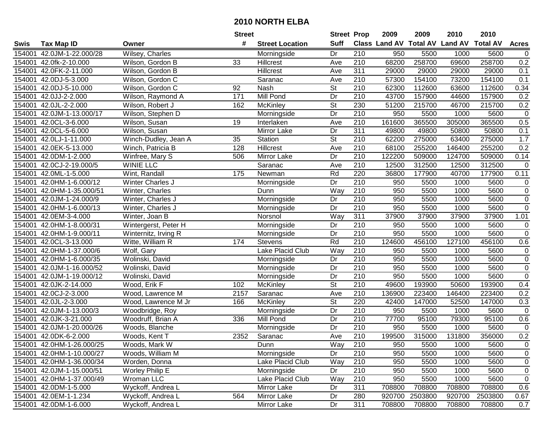|        |                           |                      | <b>Street</b>   |                        | <b>Street Prop</b>       |                  | 2009                          | 2009    | 2010           | 2010            |                |
|--------|---------------------------|----------------------|-----------------|------------------------|--------------------------|------------------|-------------------------------|---------|----------------|-----------------|----------------|
| Swis   | <b>Tax Map ID</b>         | Owner                | #               | <b>Street Location</b> | <b>Suff</b>              |                  | <b>Class Land AV Total AV</b> |         | <b>Land AV</b> | <b>Total AV</b> | <b>Acres</b>   |
| 154001 | 42.0JM-1-22.000/28        | Wilsey, Charles      |                 | Morningside            | Dr                       | 210              | 950                           | 5500    | 1000           | 5600            | 0              |
| 154001 | 42.0fk-2-10.000           | Wilson, Gordon B     | 33              | Hillcrest              | Ave                      | 210              | 68200                         | 258700  | 69600          | 258700          | 0.2            |
| 154001 | 42.0FK-2-11.000           | Wilson, Gordon B     |                 | Hillcrest              | Ave                      | 311              | 29000                         | 29000   | 29000          | 29000           | 0.1            |
| 154001 | 42.0DJ-5-3.000            | Wilson, Gordon C     |                 | Saranac                | Ave                      | 210              | 57300                         | 154100  | 73200          | 154100          | 0.1            |
| 154001 | 42.0DJ-5-10.000           | Wilson, Gordon C     | 92              | Nash                   | St                       | $\overline{210}$ | 62300                         | 112600  | 63600          | 112600          | 0.34           |
| 154001 | 42.0JJ-2-2.000            | Wilson, Raymond A    | 171             | Mill Pond              | Dr                       | $\overline{210}$ | 43700                         | 157900  | 44600          | 157900          | 0.2            |
| 154001 | 42.0JL-2-2.000            | Wilson, Robert J     | 162             | <b>McKinley</b>        | $\overline{\mathsf{St}}$ | 230              | 51200                         | 215700  | 46700          | 215700          | 0.2            |
| 154001 | 42.0JM-1-13.000/17        | Wilson, Stephen D    |                 | Morningside            | Dr                       | 210              | 950                           | 5500    | 1000           | 5600            | $\mathbf 0$    |
| 154001 | 42.0CL-3-6.000            | Wilson, Susan        | $\overline{19}$ | Interlaken             | Ave                      | $\overline{210}$ | 161600                        | 365500  | 305000         | 365500          | 0.5            |
| 154001 | 42.0CL-5-6.000            | Wilson, Susan        |                 | Mirror Lake            | Dr                       | 311              | 49800                         | 49800   | 50800          | 50800           | 0.1            |
| 154001 | 42.0LJ-1-11.000           | Winch-Dudley, Jean A | 35              | Station                | $\overline{\mathsf{St}}$ | 210              | 62200                         | 275000  | 63400          | 275000          | 1.7            |
| 154001 | 42.0EK-5-13.000           | Winch, Patricia B    | 128             | Hillcrest              | Ave                      | 210              | 68100                         | 255200  | 146400         | 255200          | 0.2            |
| 154001 | 42.0DM-1-2.000            | Winfree, Mary S      | 506             | Mirror Lake            | Dr                       | 210              | 122200                        | 509000  | 124700         | 509000          | 0.14           |
| 154001 | 42.0CJ-2-19.000/5         | <b>WINIE LLC</b>     |                 | Saranac                | Ave                      | 210              | 12500                         | 312500  | 12500          | 312500          | $\mathbf 0$    |
| 154001 | 42.0ML-1-5.000            | Wint, Randall        | 175             | Newman                 | Rd                       | 220              | 36800                         | 177900  | 40700          | 177900          | 0.11           |
| 154001 | 42.0HM-1-6.000/12         | Winter Charles J     |                 | Morningside            | Dr                       | 210              | 950                           | 5500    | 1000           | 5600            | 0              |
| 154001 | 42.0HM-1-35.000/51        | Winter, Charles      |                 | Dunn                   | Way                      | 210              | 950                           | 5500    | 1000           | 5600            | $\pmb{0}$      |
| 154001 | 42.0JM-1-24.000/9         | Winter, Charles J    |                 | Morningside            | Dr                       | 210              | 950                           | 5500    | 1000           | 5600            | $\pmb{0}$      |
| 154001 | 42.0HM-1-6.000/13         | Winter, Charles J    |                 | Morningside            | Dr                       | 210              | 950                           | 5500    | 1000           | 5600            | $\pmb{0}$      |
| 154001 | 42.0EM-3-4.000            | Winter, Joan B       |                 | Norsnol                | Way                      | 311              | 37900                         | 37900   | 37900          | 37900           | 1.01           |
| 154001 | 42.0HM-1-8.000/31         | Wintergerst, Peter H |                 | Morningside            | Dr                       | 210              | 950                           | 5500    | 1000           | 5600            | $\pmb{0}$      |
| 154001 | 42.0HM-1-9.000/11         | Winternitz, Irving R |                 | Morningside            | Dr                       | 210              | 950                           | 5500    | 1000           | 5600            | $\mathbf 0$    |
| 154001 | 42.0CL-3-13.000           | Witte, William R     | 174             | <b>Stevens</b>         | Rd                       | 210              | 124600                        | 456100  | 127100         | 456100          | 0.6            |
| 154001 | 42.0HM-1-37.000/6         | Wolf, Gary           |                 | Lake Placid Club       | Way                      | 210              | 950                           | 5500    | 1000           | 5600            | $\pmb{0}$      |
| 154001 | 42.0HM-1-6.000/35         | Wolinski, David      |                 | Morningside            | Dr                       | $\overline{210}$ | 950                           | 5500    | 1000           | 5600            | $\pmb{0}$      |
| 154001 | 42.0JM-1-16.000/52        | Wolinski, David      |                 | Morningside            | Dr                       | 210              | 950                           | 5500    | 1000           | 5600            | $\pmb{0}$      |
| 154001 | 42.0JM-1-19.000/12        | Wolinski, David      |                 | Morningside            | Dr                       | 210              | 950                           | 5500    | 1000           | 5600            | $\pmb{0}$      |
| 154001 | 42.0JK-2-14.000           | Wood, Erik F         | 102             | McKinley               | $\overline{\mathsf{St}}$ | 210              | 49600                         | 193900  | 50600          | 193900          | 0.4            |
| 154001 | 42.0CJ-2-3.000            | Wood, Lawrence M     | 2157            | Saranac                | Ave                      | 210              | 136900                        | 223400  | 146400         | 223400          | 0.2            |
| 154001 | 42.0JL-2-3.000            | Wood, Lawrence M Jr  | 166             | <b>McKinley</b>        | $\overline{\mathsf{St}}$ | 220              | 42400                         | 147000  | 52500          | 147000          | 0.3            |
| 154001 | 42.0JM-1-13.000/3         | Woodbridge, Roy      |                 | Morningside            | $\overline{Dr}$          | 210              | 950                           | 5500    | 1000           | 5600            | $\overline{0}$ |
| 154001 | 42.0JK-3-21.000           | Woodruff, Brian A    | 336             | Mill Pond              | Dr                       | 210              | 77700                         | 95100   | 79300          | 95100           | 0.6            |
| 154001 | 42.0JM-1-20.000/26        | Woods, Blanche       |                 | Morningside            | $\overline{Dr}$          | 210              | 950                           | 5500    | 1000           | 5600            | $\mathbf 0$    |
|        | 154001 42.0DK-6-2.000     | Woods, Kent T        | 2352            | Saranac                | Ave                      | $\overline{210}$ | 199500                        | 315000  | 131800         | 356000          | 0.2            |
|        | 154001 42.0HM-1-26.000/25 | Woods, Mark W        |                 | Dunn                   | Way                      | 210              | 950                           | 5500    | 1000           | 5600            | 0              |
|        | 154001 42.0HM-1-10.000/27 | Woods, William M     |                 | Morningside            | Dr                       | 210              | 950                           | 5500    | 1000           | 5600            | $\pmb{0}$      |
|        | 154001 42.0HM-1-36.000/34 | Worden, Donna        |                 | Lake Placid Club       | Way                      | 210              | 950                           | 5500    | 1000           | 5600            | 0              |
|        | 154001 42.0JM-1-15.000/51 | Worley Philip E      |                 | Morningside            | Dr                       | 210              | 950                           | 5500    | 1000           | 5600            | $\pmb{0}$      |
|        | 154001 42.0HM-1-37.000/49 | Wroman LLC           |                 | Lake Placid Club       | Way                      | 210              | 950                           | 5500    | 1000           | 5600            | $\pmb{0}$      |
|        | 154001 42.0DM-1-5.000     | Wyckoff, Andrea L    |                 | Mirror Lake            | Dr                       | 311              | 708800                        | 708800  | 708800         | 708800          | 0.6            |
|        | 154001 42.0EM-1-1.234     | Wyckoff, Andrea L    | 564             | Mirror Lake            | Dr                       | 280              | 920700                        | 2503800 | 920700         | 2503800         | 0.67           |
|        | 154001 42.0DM-1-6.000     | Wyckoff, Andrea L    |                 | Mirror Lake            | Dr                       | 311              | 708800                        | 708800  | 708800         | 708800          | 0.7            |
|        |                           |                      |                 |                        |                          |                  |                               |         |                |                 |                |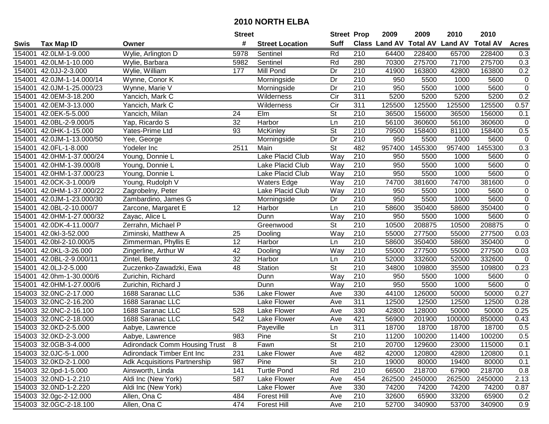|        |                           |                                     | <b>Street</b>   |                        | <b>Street Prop</b>       |                  | 2009                 | 2009            | 2010           | 2010            |                |
|--------|---------------------------|-------------------------------------|-----------------|------------------------|--------------------------|------------------|----------------------|-----------------|----------------|-----------------|----------------|
| Swis   | <b>Tax Map ID</b>         | Owner                               | #               | <b>Street Location</b> | <b>Suff</b>              |                  | <b>Class Land AV</b> | <b>Total AV</b> | <b>Land AV</b> | <b>Total AV</b> | <b>Acres</b>   |
| 154001 | 42.0LM-1-9.000            | Wylie, Arlington D                  | 5978            | Sentinel               | Rd                       | 210              | 64400                | 228400          | 65700          | 228400          | 0.3            |
|        | 154001 42.0LM-1-10.000    | Wylie, Barbara                      | 5982            | Sentinel               | Rd                       | 280              | 70300                | 275700          | 71700          | 275700          | 0.3            |
|        | 154001 42.0JJ-2-3.000     | Wylie, William                      | 177             | Mill Pond              | Dr                       | 210              | 41900                | 163800          | 42800          | 163800          | 0.2            |
|        | 154001 42.0JM-1-14.000/14 | Wynne, Conor K                      |                 | Morningside            | Dr                       | 210              | 950                  | 5500            | 1000           | 5600            | $\mathbf 0$    |
|        | 154001 42.0JM-1-25.000/23 | Wynne, Marie V                      |                 | Morningside            | Dr                       | 210              | 950                  | 5500            | 1000           | 5600            | $\overline{0}$ |
|        | 154001 42.0EM-3-18.200    | Yancich, Mark C                     |                 | Wilderness             | $\overline{C}$ ir        | 311              | 5200                 | 5200            | 5200           | 5200            | 0.2            |
|        | 154001 42.0EM-3-13.000    | Yancich, Mark C                     |                 | Wilderness             | $\overline{C}$           | 311              | 125500               | 125500          | 125500         | 125500          | 0.57           |
|        | 154001 42.0EK-5-5.000     | Yancich, Milan                      | 24              | EIm                    | $\overline{\mathsf{St}}$ | 210              | 36500                | 156000          | 36500          | 156000          | 0.1            |
| 154001 | 42.0BL-2-9.000/5          | Yap, Ricardo S                      | 32              | Harbor                 | Ln                       | $\overline{210}$ | 56100                | 360600          | 56100          | 360600          | $\mathbf 0$    |
|        | 154001 42.0HK-1-15.000    | Yates-Prime Ltd                     | 93              | McKinley               | $\overline{\mathsf{St}}$ | 210              | 79500                | 158400          | 81100          | 158400          | 0.5            |
|        | 154001 42.0JM-1-13.000/50 | Yee, George                         |                 | Morningside            | Dr                       | 210              | 950                  | 5500            | 1000           | 5600            | $\mathbf 0$    |
|        | 154001 42.0FL-1-8.000     | Yodeler Inc                         | 2511            | Main                   | <b>St</b>                | 482              | 957400               | 1455300         | 957400         | 1455300         | 0.3            |
| 154001 | 42.0HM-1-37.000/24        | Young, Donnie L                     |                 | Lake Placid Club       | Way                      | 210              | 950                  | 5500            | 1000           | 5600            | $\pmb{0}$      |
| 154001 | 42.0HM-1-39.000/8         | Young, Donnie L                     |                 | Lake Placid Club       | Way                      | 210              | 950                  | 5500            | 1000           | 5600            | $\mathbf 0$    |
| 154001 | 42.0HM-1-37.000/23        | Young, Donnie L                     |                 | Lake Placid Club       | Way                      | 210              | 950                  | 5500            | 1000           | 5600            | $\overline{0}$ |
|        | 154001 42.0CK-3-1.000/9   | Young, Rudolph V                    |                 | <b>Waters Edge</b>     | Way                      | 210              | 74700                | 381600          | 74700          | 381600          | $\mathbf 0$    |
| 154001 | 42.0HM-1-37.000/22        | Zagrobelny, Peter                   |                 | Lake Placid Club       | Way                      | 210              | 950                  | 5500            | 1000           | 5600            | $\overline{0}$ |
| 154001 | 42.0JM-1-23.000/30        | Zambardino, James G                 |                 | Morningside            | Dr                       | 210              | 950                  | 5500            | 1000           | 5600            | $\overline{0}$ |
|        | 154001 42.0BL-2-10.000/7  | Zarcone, Margaret E                 | 12              | Harbor                 | Ln                       | 210              | 58600                | 350400          | 58600          | 350400          | $\overline{0}$ |
|        | 154001 42.0HM-1-27.000/32 | Zayac, Alice L                      |                 | Dunn                   | Way                      | 210              | 950                  | 5500            | 1000           | 5600            | $\overline{0}$ |
|        | 154001 42.0DK-4-11.000/7  | Zerrahn, Michael P                  |                 | Greenwood              | <b>St</b>                | 210              | 10500                | 208875          | 10500          | 208875          | $\overline{0}$ |
| 154001 | 42.0kl-3-52.000           | Ziminski, Matthew A                 | 25              | Dooling                | Way                      | 210              | 55000                | 277500          | 55000          | 277500          | 0.03           |
| 154001 | 42.0bl-2-10.000/5         | Zimmerman, Phyllis E                | 12              | Harbor                 | Ln                       | 210              | 58600                | 350400          | 58600          | 350400          | $\mathbf 0$    |
| 154001 | 42.0KL-3-26.000           | Zingerline, Arthur W                | 42              | Dooling                | Way                      | 210              | 55000                | 277500          | 55000          | 277500          | 0.03           |
| 154001 | 42.0BL-2-9.000/11         | Zintel, Betty                       | $\overline{32}$ | Harbor                 | Ln                       | $\overline{210}$ | 52000                | 332600          | 52000          | 332600          | $\mathbf 0$    |
| 154001 | 42.0LJ-2-5.000            | Zuczenko-Zawadzki, Ewa              | 48              | Station                | $\overline{\mathsf{St}}$ | 210              | 34800                | 109800          | 35500          | 109800          | 0.23           |
|        | 154001 42.0hm-1-30.000/6  | Zurichin, Richard                   |                 | Dunn                   | Way                      | 210              | 950                  | 5500            | 1000           | 5600            | $\pmb{0}$      |
|        | 154001 42.0HM-1-27.000/6  | Zurichin, Richard J                 |                 | Dunn                   | Way                      | 210              | 950                  | 5500            | 1000           | 5600            | $\mathbf 0$    |
|        | 154003 32.0NC-2-17.000    | 1688 Saranac LLC                    | 536             | Lake Flower            | Ave                      | 330              | 44100                | 126000          | 50000          | 50000           | 0.27           |
|        | 154003 32.0NC-2-16.200    | 1688 Saranac LLC                    |                 | <b>Lake Flower</b>     | Ave                      | 311              | 12500                | 12500           | 12500          | 12500           | 0.28           |
|        | 154003 32.0NC-2-16.100    | 1688 Saranac LLC                    | 528             | <b>Lake Flower</b>     | Ave                      | 330              | 42800                | 128000          | 50000          | 50000           | 0.25           |
|        | 154003 32.0NC-2-18.000    | 1688 Saranac LLC                    | 542             | Lake Flower            | Ave                      | 421              | 56900                | 201900          | 100000         | 850000          | 0.43           |
|        | 154003 32.0KD-2-5.000     | Aabye, Lawrence                     |                 | Payeville              | Ln                       | 311              | 18700                | 18700           | 18700          | 18700           | 0.5            |
|        | 154003 32.0KD-2-3.000     | Aabye, Lawrence                     | 983             | Pine                   | $\overline{\mathsf{St}}$ | $\overline{210}$ | 11200                | 100200          | 11400          | 100200          | 0.5            |
|        | 154003 32.0GB-3-4.000     | Adirondack Comm Housing Trust       | -8              | Fawn                   | <b>St</b>                | 210              | 20700                | 129600          | 23000          | 115000          | 0.1            |
|        | 154003 32.0JC-5-1.000     | Adirondack Timber Ent Inc           | 231             | Lake Flower            | Ave                      | 482              | 42000                | 120800          | 42800          | 120800          | 0.1            |
|        | 154003 32.0KD-2-1.000     | <b>Adk Acquisitions Partnership</b> | 987             | Pine                   | <b>St</b>                | 210              | 19000                | 80000           | 19400          | 80000           | 0.1            |
|        | 154003 32.0pd-1-5.000     | Ainsworth, Linda                    | 141             | <b>Turtle Pond</b>     | Rd                       | 210              | 66500                | 218700          | 67900          | 218700          | 0.8            |
|        | 154003 32.0ND-1-2.210     | Aldi Inc (New York)                 | 587             | Lake Flower            | Ave                      | 454              | 262500               | 2450000         | 262500         | 2450000         | 2.13           |
|        | 154003 32.0ND-1-2.220     | Aldi Inc (New York)                 |                 | Lake Flower            | Ave                      | 330              | 74200                | 74200           | 74200          | 74200           | 0.87           |
|        | 154003 32.0gc-2-12.000    | Allen, Ona C                        | 484             | Forest Hill            | Ave                      | 210              | 32600                | 65900           | 33200          | 65900           | 0.2            |
|        | 154003 32.0GC-2-18.100    | Allen, Ona C                        | 474             | Forest Hill            | Ave                      | 210              | 52700                | 340900          | 53700          | 340900          | 0.9            |
|        |                           |                                     |                 |                        |                          |                  |                      |                 |                |                 |                |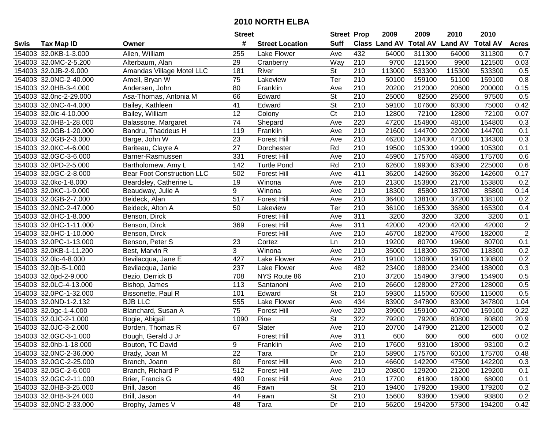|      |                        |                                   | <b>Street</b>   |                        | <b>Street Prop</b>       |                  | 2009                          | 2009   | 2010           | 2010            |                |
|------|------------------------|-----------------------------------|-----------------|------------------------|--------------------------|------------------|-------------------------------|--------|----------------|-----------------|----------------|
| Swis | <b>Tax Map ID</b>      | Owner                             | #               | <b>Street Location</b> | <b>Suff</b>              |                  | <b>Class Land AV Total AV</b> |        | <b>Land AV</b> | <b>Total AV</b> | <b>Acres</b>   |
|      | 154003 32.0KB-1-3.000  | Allen, William                    | 255             | Lake Flower            | Ave                      | 432              | 64000                         | 311300 | 64000          | 311300          | 0.7            |
|      | 154003 32.0MC-2-5.200  | Alterbaum, Alan                   | 29              | Cranberry              | Way                      | 210              | 9700                          | 121500 | 9900           | 121500          | 0.03           |
|      | 154003 32.0JB-2-9.000  | Amandas Village Motel LLC         | 181             | River                  | <b>St</b>                | 210              | 113000                        | 533300 | 115300         | 533300          | 0.5            |
|      | 154003 32.0NC-2-40.000 | Amell, Bryan W                    | 75              | Lakeview               | Ter                      | 210              | 50100                         | 159100 | 51100          | 159100          | 0.8            |
|      | 154003 32.0HB-3-4.000  | Andersen, John                    | 80              | Franklin               | Ave                      | 210              | 20200                         | 212000 | 20600          | 200000          | 0.15           |
|      | 154003 32.0nc-2-29.000 | Asa-Thomas, Antonia M             | 66              | Edward                 | $\overline{\mathsf{St}}$ | $\overline{210}$ | 25000                         | 82500  | 25600          | 97500           | 0.5            |
|      | 154003 32.0NC-4-4.000  | Bailey, Kathleen                  | 41              | Edward                 | <b>St</b>                | 210              | 59100                         | 107600 | 60300          | 75000           | 0.42           |
|      | 154003 32.0lc-4-10.000 | Bailey, William                   | $\overline{12}$ | Colony                 | $\overline{\text{C}t}$   | 210              | 12800                         | 72100  | 12800          | 72100           | 0.07           |
|      | 154003 32.0HB-1-28.000 | Balassone, Margaret               | $\overline{74}$ | Shepard                | Ave                      | 220              | 47200                         | 154800 | 48100          | 154800          | 0.3            |
|      | 154003 32.0GB-1-20.000 | Bandru, Thaddeus H                | 119             | Franklin               | Ave                      | 210              | 21600                         | 144700 | 22000          | 144700          | 0.1            |
|      | 154003 32.0GB-2-3.000  | Barge, John W                     | 23              | <b>Forest Hill</b>     | Ave                      | 210              | 46200                         | 134300 | 47100          | 134300          | 0.3            |
|      | 154003 32.0KC-4-6.000  | Bariteau, Clayre A                | 27              | Dorchester             | Rd                       | 210              | 19500                         | 105300 | 19900          | 105300          | 0.1            |
|      | 154003 32.0GC-3-6.000  | Barner-Rasmussen                  | 331             | <b>Forest Hill</b>     | Ave                      | 210              | 45900                         | 175700 | 46800          | 175700          | 0.6            |
|      | 154003 32.0PD-2-5.000  | Bartholomew, Amy L                | 142             | <b>Turtle Pond</b>     | Rd                       | 210              | 62600                         | 199300 | 63900          | 225000          | 0.6            |
|      | 154003 32.0GC-2-8.000  | <b>Bear Foot Construction LLC</b> | 502             | <b>Forest Hill</b>     | Ave                      | 411              | 36200                         | 142600 | 36200          | 142600          | 0.17           |
|      | 154003 32.0kc-1-8.000  | Beardsley, Catherine L            | 19              | Winona                 | Ave                      | 210              | 21300                         | 153800 | 21700          | 153800          | 0.2            |
|      | 154003 32.0KC-1-9.000  | Beaudway, Julie A                 | 9               | Winona                 | Ave                      | 210              | 18300                         | 85800  | 18700          | 85800           | 0.14           |
|      | 154003 32.0GB-2-7.000  | Beideck, Alan                     | 517             | <b>Forest Hill</b>     | Ave                      | 210              | 36400                         | 138100 | 37200          | 138100          | 0.2            |
|      | 154003 32.0NC-2-47.000 | Beideck, Alton A                  | 50              | Lakeview               | Ter                      | 210              | 36100                         | 165300 | 36800          | 165300          | 0.4            |
|      | 154003 32.0HC-1-8.000  | Benson, Dirck                     |                 | <b>Forest Hill</b>     | Ave                      | 311              | 3200                          | 3200   | 3200           | 3200            | 0.1            |
|      | 154003 32.0HC-1-11.000 | Benson, Dirck                     | 369             | <b>Forest Hill</b>     | Ave                      | 311              | 42000                         | 42000  | 42000          | 42000           | $\overline{2}$ |
|      | 154003 32.0HC-1-10.000 | Benson, Dirck                     |                 | <b>Forest Hill</b>     | Ave                      | 210              | 46700                         | 182000 | 47600          | 182000          | $\overline{2}$ |
|      | 154003 32.0PC-1-13.000 | Benson, Peter S                   | 23              | Cortez                 | Ln                       | 210              | 19200                         | 80700  | 19600          | 80700           | 0.1            |
|      | 154003 32.0KB-1-11.200 | Best, Marvin R                    | 3               | Winona                 | Ave                      | 210              | 35000                         | 118300 | 35700          | 118300          | 0.2            |
|      | 154003 32.0lc-4-8.000  | Bevilacqua, Jane E                | 427             | Lake Flower            | Ave                      | 210              | 19100                         | 130800 | 19100          | 130800          | 0.2            |
|      | 154003 32.0jb-5-1.000  | Bevilacqua, Janie                 | 237             | Lake Flower            | Ave                      | 482              | 23400                         | 188000 | 23400          | 188000          | 0.3            |
|      | 154003 32.0pd-2-9.000  | Bezio, Derrick B                  | 708             | NYS Route 86           |                          | $\overline{210}$ | 37200                         | 154900 | 37900          | 154900          | 0.5            |
|      | 154003 32.0LC-4-13.000 | Bishop, James                     | 113             | Santanoni              | Ave                      | 210              | 26600                         | 128000 | 27200          | 128000          | 0.5            |
|      | 154003 32.0PC-1-32.000 | Bissonette, Paul R                | 101             | Edward                 | $\overline{\mathsf{St}}$ | 210              | 59300                         | 115000 | 60500          | 115000          | 0.5            |
|      | 154003 32.0ND-1-2.132  | <b>BJB LLC</b>                    | 555             | Lake Flower            | Ave                      | 434              | 83900                         | 347800 | 83900          | 347800          | 1.04           |
|      | 154003 32.0gc-1-4.000  | Blanchard, Susan A                | $\overline{75}$ | <b>Forest Hill</b>     | Ave                      | 220              | 39900                         | 159100 | 40700          | 159100          | 0.22           |
|      | 154003 32.0JC-2-1.000  | Bogie, Abigail                    | 1090            | Pine                   | $\overline{\mathsf{St}}$ | 322              | 79200                         | 79200  | 80800          | 80800           | 20.9           |
|      | 154003 32.0JC-3-2.000  | Borden, Thomas R                  | 67              | Slater                 | Ave                      | $\overline{210}$ | 20700                         | 147900 | 21200          | 125000          | 0.2            |
|      | 154003 32.0GC-3-1.000  | Bough, Gerald J Jr                |                 | Forest Hill            | Ave                      | 311              | 600                           | 600    | 600            | 600             | 0.02           |
|      | 154003 32.0hb-1-18.000 | Bouton, TC David                  | 9               | Franklin               | Ave                      | 210              | 17600                         | 93100  | 18000          | 93100           | 0.2            |
|      | 154003 32.0NC-2-36.000 | Brady, Joan M                     | 22              | Tara                   | Dr                       | 210              | 58900                         | 175700 | 60100          | 175700          | 0.48           |
|      | 154003 32.0GC-2-25.000 | Branch, Joann                     | 80              | <b>Forest Hill</b>     | Ave                      | 210              | 46600                         | 142200 | 47500          | 142200          | 0.3            |
|      | 154003 32.0GC-2-6.000  | Branch, Richard P                 | 512             | Forest Hill            | Ave                      | 210              | 20800                         | 129200 | 21200          | 129200          | 0.1            |
|      | 154003 32.0GC-2-11.000 | Brier, Francis G                  | 490             | Forest Hill            | Ave                      | 210              | 17700                         | 61800  | 18000          | 68000           | 0.1            |
|      | 154003 32.0HB-3-25.000 | Brill, Jason                      | 46              | Fawn                   | St                       | 210              | 19400                         | 179200 | 19800          | 179200          | 0.2            |
|      | 154003 32.0HB-3-24.000 | Brill, Jason                      | 44              | Fawn                   | <b>St</b>                | 210              | 15600                         | 93800  | 15900          | 93800           | 0.2            |
|      | 154003 32.0NC-2-33.000 | Brophy, James V                   | 48              | Tara                   | Dr                       | 210              | 56200                         | 194200 | 57300          | 194200          | 0.42           |
|      |                        |                                   |                 |                        |                          |                  |                               |        |                |                 |                |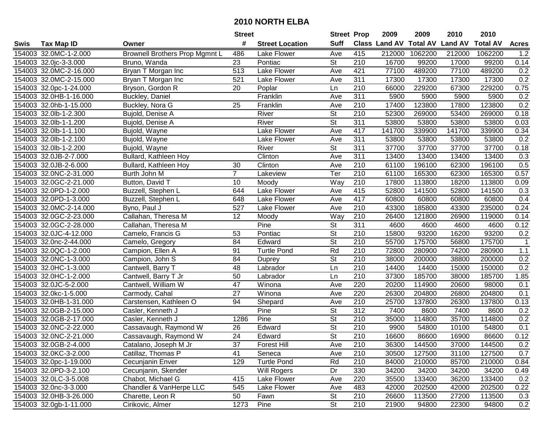|      |                        |                                       | <b>Street</b>   |                        | <b>Street Prop</b>       |                  | 2009                          | 2009    | 2010           | 2010            |              |
|------|------------------------|---------------------------------------|-----------------|------------------------|--------------------------|------------------|-------------------------------|---------|----------------|-----------------|--------------|
| Swis | <b>Tax Map ID</b>      | Owner                                 | #               | <b>Street Location</b> | <b>Suff</b>              |                  | <b>Class Land AV Total AV</b> |         | <b>Land AV</b> | <b>Total AV</b> | <b>Acres</b> |
|      | 154003 32.0MC-1-2.000  | <b>Brownell Brothers Prop Mgmnt L</b> | 486             | Lake Flower            | Ave                      | 415              | 212000                        | 1062200 | 212000         | 1062200         | 1.2          |
|      | 154003 32.0jc-3-3.000  | Bruno, Wanda                          | 23              | Pontiac                | St                       | 210              | 16700                         | 99200   | 17000          | 99200           | 0.14         |
|      | 154003 32.0MC-2-16.000 | Bryan T Morgan Inc                    | 513             | Lake Flower            | Ave                      | 421              | 77100                         | 489200  | 77100          | 489200          | 0.2          |
|      | 154003 32.0MC-2-15.000 | Bryan T Morgan Inc                    | 521             | Lake Flower            | Ave                      | 311              | 17300                         | 17300   | 17300          | 17300           | 0.2          |
|      | 154003 32.0pc-1-24.000 | Bryson, Gordon R                      | 20              | Poplar                 | Ln                       | 210              | 66000                         | 229200  | 67300          | 229200          | 0.75         |
|      | 154003 32.0HB-1-16.000 | Buckley, Daniel                       |                 | Franklin               | Ave                      | 311              | 5900                          | 5900    | 5900           | 5900            | 0.2          |
|      | 154003 32.0hb-1-15.000 | Buckley, Nora G                       | 25              | Franklin               | Ave                      | 210              | 17400                         | 123800  | 17800          | 123800          | 0.2          |
|      | 154003 32.0lb-1-2.300  | Bujold, Denise A                      |                 | River                  | $\overline{\mathsf{St}}$ | 210              | 52300                         | 269000  | 53400          | 269000          | 0.18         |
|      | 154003 32.0lb-1-1.200  | Bujold, Denise A                      |                 | River                  | $\overline{\mathsf{St}}$ | 311              | 53800                         | 53800   | 53800          | 53800           | 0.03         |
|      | 154003 32.0lb-1-1.100  | Bujold, Wayne                         |                 | Lake Flower            | Ave                      | 417              | 141700                        | 339900  | 141700         | 339900          | 0.34         |
|      | 154003 32.0lb-1-2.100  | Bujold, Wayne                         |                 | Lake Flower            | Ave                      | $\overline{311}$ | 53800                         | 53800   | 53800          | 53800           | 0.2          |
|      | 154003 32.0lb-1-2.200  | Bujold, Wayne                         |                 | River                  | <b>St</b>                | 311              | 37700                         | 37700   | 37700          | 37700           | 0.18         |
|      | 154003 32.0JB-2-7.000  | Bullard, Kathleen Hoy                 |                 | Clinton                | Ave                      | 311              | 13400                         | 13400   | 13400          | 13400           | 0.3          |
|      | 154003 32.0JB-2-6.000  | Bullard, Kathleen Hoy                 | 30              | Clinton                | Ave                      | 210              | 61100                         | 196100  | 62300          | 196100          | 0.5          |
|      | 154003 32.0NC-2-31.000 | Burth John M                          | $\overline{7}$  | Lakeview               | Ter                      | 210              | 61100                         | 165300  | 62300          | 165300          | 0.57         |
|      | 154003 32.0GC-2-21.000 | Button, David T                       | 10              | Moody                  | Way                      | 210              | 17800                         | 113800  | 18200          | 113800          | 0.09         |
|      | 154003 32.0PD-1-2.000  | Buzzell, Stephen L                    | 644             | Lake Flower            | Ave                      | 415              | 52800                         | 141500  | 52800          | 141500          | 0.3          |
|      | 154003 32.0PD-1-3.000  | Buzzell, Stephen L                    | 648             | Lake Flower            | Ave                      | 417              | 60800                         | 60800   | 60800          | 60800           | 0.4          |
|      | 154003 32.0MC-2-14.000 | Byno, Paul J                          | 527             | Lake Flower            | Ave                      | 210              | 43300                         | 185800  | 43300          | 235000          | 0.24         |
|      | 154003 32.0GC-2-23.000 | Callahan, Theresa M                   | 12              | Moody                  | Way                      | 210              | 26400                         | 121800  | 26900          | 119000          | 0.14         |
|      | 154003 32.0GC-2-28.000 | Callahan, Theresa M                   |                 | Pine                   | <b>St</b>                | 311              | 4600                          | 4600    | 4600           | 4600            | 0.12         |
|      | 154003 32.0JC-4-12.000 | Camelo, Francis G                     | 53              | Pontiac                | <b>St</b>                | 210              | 15800                         | 93200   | 16200          | 93200           | 0.2          |
|      | 154003 32.0nc-2-44.000 | Camelo, Gregory                       | 84              | Edward                 | <b>St</b>                | 210              | 55700                         | 175700  | 56800          | 175700          | $\mathbf{1}$ |
|      | 154003 32.0QC-1-2.000  | Campion, Ellen A                      | 91              | <b>Turtle Pond</b>     | Rd                       | 210              | 72800                         | 280900  | 74200          | 280900          | $1.1$        |
|      | 154003 32.0NC-1-3.000  | Campion, John S                       | 84              | Duprey                 | $\overline{\mathsf{St}}$ | $\overline{210}$ | 38000                         | 200000  | 38800          | 200000          | 0.2          |
|      | 154003 32.0HC-1-3.000  | Cantwell, Barry T                     | 48              | Labrador               | Ln                       | 210              | 14400                         | 14400   | 15000          | 150000          | 0.2          |
|      | 154003 32.0HC-1-2.000  | Cantwell, Barry T Jr                  | 50              | Labrador               | Ln                       | 210              | 37300                         | 185700  | 38000          | 185700          | 1.85         |
|      | 154003 32.0JC-5-2.000  | Cantwell, William W                   | 47              | Winona                 | Ave                      | 220              | 20200                         | 114900  | 20600          | 98000           | 0.1          |
|      | 154003 32.0kc-1-5.000  | Carmody, Cahal                        | $\overline{27}$ | Winona                 | Ave                      | 220              | 26300                         | 204800  | 26800          | 204800          | 0.1          |
|      | 154003 32.0HB-1-31.000 | Carstensen, Kathleen O                | 94              | Shepard                | Ave                      | $\overline{210}$ | 25700                         | 137800  | 26300          | 137800          | 0.13         |
|      | 154003 32.0GB-2-15.000 | Casler, Kenneth J                     |                 | Pine                   | $\overline{\mathsf{St}}$ | 312              | 7400                          | 8600    | 7400           | 8600            | 0.2          |
|      | 154003 32.0GB-2-17.000 | Casler, Kenneth J                     | 1286            | Pine                   | $\overline{\mathsf{St}}$ | 210              | 35000                         | 114800  | 35700          | 114800          | 0.2          |
|      | 154003 32.0NC-2-22.000 | Cassavaugh, Raymond W                 | 26              | Edward                 | $\overline{\mathsf{St}}$ | $\overline{210}$ | 9900                          | 54800   | 10100          | 54800           | 0.1          |
|      | 154003 32.0NC-2-21.000 | Cassavaugh, Raymond W                 | $\overline{24}$ | Edward                 | $\overline{\mathsf{St}}$ | $\overline{210}$ | 16600                         | 86600   | 16900          | 86600           | 0.12         |
|      | 154003 32.0GB-2-4.000  | Catalano, Joseph M Jr                 | 37              | <b>Forest Hill</b>     | Ave                      | 210              | 36300                         | 144500  | 37000          | 144500          | 0.2          |
|      | 154003 32.0KC-3-2.000  | Catillaz, Thomas P                    | 41              | Seneca                 | Ave                      | 210              | 30500                         | 127500  | 31100          | 127500          | 0.7          |
|      | 154003 32.0pc-1-19.000 | Cecunjanin Enver                      | 129             | <b>Turtle Pond</b>     | Rd                       | 210              | 84000                         | 210000  | 85700          | 210000          | 0.84         |
|      | 154003 32.0PD-3-2.100  | Cecunjanin, Skender                   |                 | Will Rogers            | Dr                       | 330              | 34200                         | 34200   | 34200          | 34200           | 0.49         |
|      | 154003 32.0LC-3-5.008  | Chabot, Michael G                     | 415             | Lake Flower            | Ave                      | 220              | 35500                         | 133400  | 36200          | 133400          | 0.2          |
|      | 154003 32.0nc-3-3.000  | Chandler & VanHerpe LLC               | 545             | Lake Flower            | Ave                      | 483              | 42000                         | 202500  | 42000          | 202500          | 0.22         |
|      | 154003 32.0HB-3-26.000 | Charette, Leon R                      | 50              | Fawn                   | St                       | 210              | 26600                         | 113500  | 27200          | 113500          | 0.3          |
|      | 154003 32.0gb-1-11.000 | Cirikovic, Almer                      | 1273            | Pine                   | St                       | 210              | 21900                         | 94800   | 22300          | 94800           | 0.2          |
|      |                        |                                       |                 |                        |                          |                  |                               |         |                |                 |              |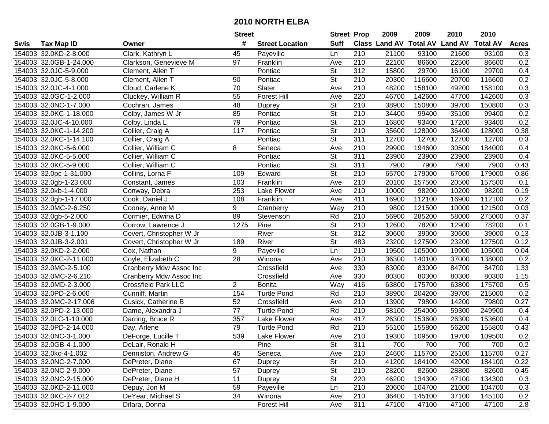|      |                        |                            | <b>Street</b>   |                        | <b>Street Prop</b>       |                  | 2009                          | 2009   | 2010           | 2010            |              |
|------|------------------------|----------------------------|-----------------|------------------------|--------------------------|------------------|-------------------------------|--------|----------------|-----------------|--------------|
| Swis | <b>Tax Map ID</b>      | Owner                      | #               | <b>Street Location</b> | <b>Suff</b>              |                  | <b>Class Land AV Total AV</b> |        | <b>Land AV</b> | <b>Total AV</b> | <b>Acres</b> |
|      | 154003 32.0KD-2-8.000  | Clark, Kathryn L           | 45              | Payeville              | Ln                       | 210              | 21100                         | 93100  | 21600          | 93100           | 0.3          |
|      | 154003 32.0GB-1-24.000 | Clarkson, Genevieve M      | 97              | Franklin               | Ave                      | 210              | 22100                         | 86600  | 22500          | 86600           | 0.2          |
|      | 154003 32.0JC-5-9.000  | Clement, Allen T           |                 | Pontiac                | <b>St</b>                | 312              | 15800                         | 29700  | 16100          | 29700           | 0.4          |
|      | 154003 32.0JC-5-8.000  | Clement, Allen T           | 50              | Pontiac                | <b>St</b>                | 210              | 20300                         | 116600 | 20700          | 116600          | 0.2          |
|      | 154003 32.0JC-4-1.000  | Cloud, Carlene K           | 70              | Slater                 | Ave                      | 210              | 48200                         | 158100 | 49200          | 158100          | 0.3          |
|      | 154003 32.0GC-1-2.000  | Cluckey, William R         | 55              | <b>Forest Hill</b>     | Ave                      | 220              | 46700                         | 142600 | 47700          | 142600          | 0.3          |
|      | 154003 32.0NC-1-7.000  | Cochran, James             | 48              | Duprey                 | St                       | 210              | 38900                         | 150800 | 39700          | 150800          | 0.3          |
|      | 154003 32.0KC-1-18.000 | Colby, James W Jr          | 85              | Pontiac                | $\overline{\mathsf{St}}$ | $\overline{210}$ | 34400                         | 99400  | 35100          | 99400           | 0.2          |
|      | 154003 32.0JC-4-10.000 | Colby, Linda L             | 79              | Pontiac                | $\overline{\mathsf{St}}$ | $\overline{210}$ | 16800                         | 93400  | 17200          | 93400           | 0.2          |
|      | 154003 32.0KC-1-14.200 | Collier, Craig A           | 117             | Pontiac                | $\overline{\mathsf{St}}$ | 210              | 35600                         | 128000 | 36400          | 128000          | 0.38         |
|      | 154003 32.0KC-1-14.100 | Collier, Craig A           |                 | Pontiac                | $\overline{\mathsf{St}}$ | 311              | 12700                         | 12700  | 12700          | 12700           | 0.3          |
|      | 154003 32.0KC-5-6.000  | Collier, William C         | 8               | Seneca                 | Ave                      | 210              | 29900                         | 194600 | 30500          | 184000          | 0.4          |
|      | 154003 32.0KC-5-5.000  | Collier, William C         |                 | Pontiac                | $\overline{\mathsf{St}}$ | 311              | 23900                         | 23900  | 23900          | 23900           | 0.4          |
|      | 154003 32.0KC-5-9.000  | Collier, William C         |                 | Pontiac                | $\overline{\mathsf{St}}$ | 311              | 7900                          | 7900   | 7900           | 7900            | 0.43         |
|      | 154003 32.0pc-1-31.000 | Collins, Lorna F           | 109             | Edward                 | $\overline{\mathsf{St}}$ | 210              | 65700                         | 179000 | 67000          | 179000          | 0.86         |
|      | 154003 32.0gb-1-23.000 | Constant, James            | 103             | Franklin               | Ave                      | 210              | 20100                         | 157500 | 20500          | 157500          | 0.1          |
|      | 154003 32.0kb-1-4.000  | Conway, Debra              | 253             | Lake Flower            | Ave                      | 210              | 10000                         | 98200  | 10200          | 98200           | 0.19         |
|      | 154003 32.0gb-1-17.000 | Cook, Daniel J             | 108             | Franklin               | Ave                      | 411              | 16900                         | 112100 | 16900          | 112100          | 0.2          |
|      | 154003 32.0MC-2-6.250  | Cooney, Anne M             | 9               | Cranberry              | Way                      | 210              | 9800                          | 121500 | 10000          | 121500          | 0.03         |
|      | 154003 32.0gb-5-2.000  | Cormier, Edwina D          | 89              | Stevenson              | Rd                       | 210              | 56900                         | 285200 | 58000          | 275000          | 0.37         |
|      | 154003 32.0GB-1-9.000  | Corrow, Lawrence J         | 1275            | Pine                   | <b>St</b>                | 210              | 12600                         | 78200  | 12900          | 78200           | 0.1          |
|      | 154003 32.0JB-3-1.100  | Covert, Christopher W Jr   |                 | River                  | <b>St</b>                | 312              | 30600                         | 39000  | 30600          | 39000           | 0.13         |
|      | 154003 32.0JB-3-2.001  | Covert, Christopher W Jr   | 189             | River                  | <b>St</b>                | 483              | 23200                         | 127500 | 23200          | 127500          | 0.12         |
|      | 154003 32.0KD-2-2.000  | Cox, Nathan                | 9               | Payeville              | Ln                       | 210              | 19500                         | 105000 | 19900          | 105000          | 0.04         |
|      | 154003 32.0KC-2-11.000 | Coyle, Elizabeth C         | $\overline{28}$ | Winona                 | Ave                      | $\overline{210}$ | 36300                         | 140100 | 37000          | 138000          | 0.2          |
|      | 154003 32.0MC-2-5.100  | Cranberry Mdw Assoc Inc    |                 | Crossfield             | Ave                      | 330              | 83000                         | 83000  | 84700          | 84700           | 1.33         |
|      | 154003 32.0MC-2-6.210  | Cranberry Mdw Assoc Inc    |                 | Crossfield             | Ave                      | 330              | 80300                         | 80300  | 80300          | 80300           | 1.15         |
|      | 154003 32.0MD-2-3.000  | <b>Crossfield Park LLC</b> | $\overline{2}$  | <b>Bonita</b>          | Way                      | 416              | 63800                         | 175700 | 63800          | 175700          | 0.5          |
|      | 154003 32.0PD-2-6.000  | Cunniff, Martin            | 154             | <b>Turtle Pond</b>     | Rd                       | 210              | 38900                         | 204200 | 39700          | 215000          | 0.2          |
|      | 154003 32.0MC-2-17.006 | Cusick, Catherine B        | 52              | Crossfield             | Ave                      | $\overline{210}$ | 13900                         | 79800  | 14200          | 79800           | 0.27         |
|      | 154003 32.0PD-2-13.000 | Dame, Alexandra J          | $\overline{77}$ | <b>Turtle Pond</b>     | Rd                       | $\overline{210}$ | 58100                         | 254000 | 59300          | 249900          | 0.4          |
|      | 154003 32.0LC-1-10.000 | Darring, Bruce R           | 357             | Lake Flower            | Ave                      | 417              | 26300                         | 153600 | 26300          | 153600          | 0.4          |
|      | 154003 32.0PD-2-14.000 | Day, Arlene                | 79              | <b>Turtle Pond</b>     | Rd                       | $\overline{210}$ | 55100                         | 155800 | 56200          | 155800          | 0.43         |
|      | 154003 32.0NC-3-1.000  | DeForge, Lucille T         | 539             | Lake Flower            | Ave                      | $\overline{210}$ | 19300                         | 109500 | 19700          | 109500          | 0.2          |
|      | 154003 32.0GB-4-1.000  | DeLair, Ronald H           |                 | Pine                   | St                       | 311              | 700                           | 700    | 700            | 700             | 0.2          |
|      | 154003 32.0kc-4-1.002  | Denniston, Andrew G        | 45              | Seneca                 | Ave                      | 210              | 24600                         | 115700 | 25100          | 115700          | 0.27         |
|      | 154003 32.0NC-2-7.000  | DePreter, Diane            | 67              | Duprey                 | <b>St</b>                | 210              | 41200                         | 184100 | 42000          | 184100          | 0.22         |
|      | 154003 32.0NC-2-9.000  | DePreter, Diane            | 57              | Duprey                 | <b>St</b>                | 210              | 28200                         | 82600  | 28800          | 82600           | 0.45         |
|      | 154003 32.0NC-2-15.000 | DePreter, Diane H          | 11              | Duprey                 | <b>St</b>                | 220              | 46200                         | 134300 | 47100          | 134300          | 0.3          |
|      | 154003 32.0KD-2-11.000 | Depuy, Jon M               | 59              | Payeville              | Ln                       | 210              | 20600                         | 104700 | 21000          | 104700          | 0.3          |
|      | 154003 32.0KC-2-7.012  | DeYear, Michael S          | 34              | Winona                 | Ave                      | 210              | 36400                         | 145100 | 37100          | 145100          | 0.2          |
|      | 154003 32.0HC-1-9.000  | Difara, Donna              |                 | Forest Hill            | Ave                      | 311              | 47100                         | 47100  | 47100          | 47100           | 2.8          |
|      |                        |                            |                 |                        |                          |                  |                               |        |                |                 |              |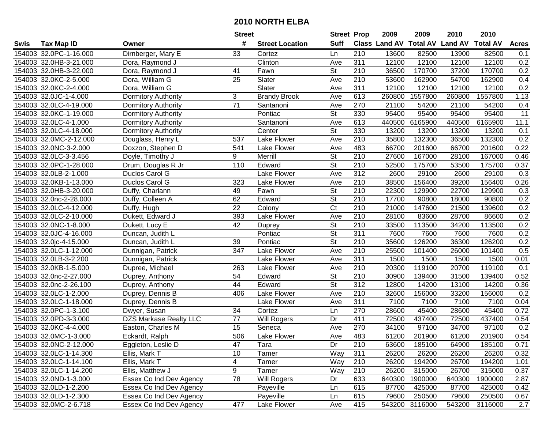|      |                        |                               | <b>Street</b>   |                        | <b>Street Prop</b>       |                  | 2009                          | 2009           | 2010           | 2010            |              |
|------|------------------------|-------------------------------|-----------------|------------------------|--------------------------|------------------|-------------------------------|----------------|----------------|-----------------|--------------|
| Swis | <b>Tax Map ID</b>      | Owner                         | #               | <b>Street Location</b> | <b>Suff</b>              |                  | <b>Class Land AV Total AV</b> |                | <b>Land AV</b> | <b>Total AV</b> | <b>Acres</b> |
|      | 154003 32.0PC-1-16.000 | Dirnberger, Mary E            | 33              | Cortez                 | Ln                       | 210              | 13600                         | 82500          | 13900          | 82500           | 0.1          |
|      | 154003 32.0HB-3-21.000 | Dora, Raymond J               |                 | Clinton                | Ave                      | 311              | 12100                         | 12100          | 12100          | 12100           | 0.2          |
|      | 154003 32.0HB-3-22.000 | Dora, Raymond J               | 41              | Fawn                   | <b>St</b>                | 210              | 36500                         | 170700         | 37200          | 170700          | 0.2          |
|      | 154003 32.0KC-2-5.000  | Dora, William G               | 25              | Slater                 | Ave                      | 210              | 53600                         | 162900         | 54700          | 162900          | 0.4          |
|      | 154003 32.0KC-2-4.000  | Dora, William G               |                 | Slater                 | Ave                      | $\overline{311}$ | 12100                         | 12100          | 12100          | 12100           | 0.2          |
|      | 154003 32.0JC-1-4.000  | <b>Dormitory Authority</b>    | 3               | <b>Brandy Brook</b>    | Ave                      | 613              | 260800                        | 1557800        | 260800         | 1557800         | 1.13         |
|      | 154003 32.0LC-4-19.000 | <b>Dormitory Authority</b>    | $\overline{71}$ | Santanoni              | Ave                      | 270              | 21100                         | 54200          | 21100          | 54200           | 0.4          |
|      | 154003 32.0KC-1-19.000 | <b>Dormitory Authority</b>    |                 | Pontiac                | $\overline{St}$          | 330              | 95400                         | 95400          | 95400          | 95400           | 11           |
|      | 154003 32.0LC-4-1.000  | <b>Dormitory Authority</b>    |                 | Santanoni              | Ave                      | 613              | 440500                        | 6165900        | 440500         | 6165900         | 11.1         |
|      | 154003 32.0LC-4-18.000 | <b>Dormitory Authority</b>    |                 | Center                 | $\overline{\mathsf{St}}$ | 330              | 13200                         | 13200          | 13200          | 13200           | 0.1          |
|      | 154003 32.0MC-2-12.000 | Douglass, Henry L             | 537             | Lake Flower            | Ave                      | 210              | 35800                         | 132300         | 36500          | 132300          | 0.2          |
|      | 154003 32.0NC-3-2.000  | Doxzon, Stephen D             | 541             | Lake Flower            | Ave                      | 483              | 66700                         | 201600         | 66700          | 201600          | 0.22         |
|      | 154003 32.0LC-3-3.456  | Doyle, Timothy J              | 9               | Merrill                | $\overline{\mathsf{St}}$ | 210              | 27600                         | 167000         | 28100          | 167000          | 0.46         |
|      | 154003 32.0PC-1-28.000 | Drum, Douglas R Jr            | 110             | Edward                 | $\overline{\mathsf{St}}$ | 210              | 52500                         | 175700         | 53500          | 175700          | 0.37         |
|      | 154003 32.0LB-2-1.000  | Duclos Carol G                |                 | Lake Flower            | Ave                      | 312              | 2600                          | 29100          | 2600           | 29100           | 0.3          |
|      | 154003 32.0KB-1-13.000 | Duclos Carol G                | 323             | Lake Flower            | Ave                      | 210              | 38500                         | 156400         | 39200          | 156400          | 0.26         |
|      | 154003 32.0HB-3-20.000 | Duffy, Charlann               | 49              | Fawn                   | $\overline{\mathsf{St}}$ | 210              | 22300                         | 129900         | 22700          | 129900          | 0.3          |
|      | 154003 32.0nc-2-28.000 | Duffy, Colleen A              | 62              | Edward                 | $\overline{St}$          | 210              | 17700                         | 90800          | 18000          | 90800           | 0.2          |
|      | 154003 32.0LC-4-12.000 | Duffy, Hugh                   | 22              | Colony                 | $\overline{\text{C}t}$   | 210              | 21000                         | 147600         | 21500          | 139600          | 0.2          |
|      | 154003 32.0LC-2-10.000 | Dukett, Edward J              | 393             | Lake Flower            | Ave                      | 210              | 28100                         | 83600          | 28700          | 86600           | 0.2          |
|      | 154003 32.0NC-1-8.000  | Dukett, Lucy E                | 42              | Duprey                 | <b>St</b>                | 210              | 33500                         | 113500         | 34200          | 113500          | 0.2          |
|      | 154003 32.0JC-4-16.000 | Duncan, Judith L              |                 | Pontiac                | <b>St</b>                | 311              | 7600                          | 7600           | 7600           | 7600            | 0.2          |
|      | 154003 32.0jc-4-15.000 | Duncan, Judith L              | 39              | Pontiac                | St                       | 210              | 35600                         | 126200         | 36300          | 126200          | 0.2          |
|      | 154003 32.0LC-1-12.000 | Dunnigan, Patrick             | 347             | Lake Flower            | Ave                      | 210              | 25500                         | 101400         | 26000          | 101400          | 0.5          |
|      | 154003 32.0LB-3-2.200  | Dunnigan, Patrick             |                 | Lake Flower            | Ave                      | $\overline{311}$ | 1500                          | 1500           | 1500           | 1500            | 0.01         |
|      | 154003 32.0KB-1-5.000  | Dupree, Michael               | 263             | Lake Flower            | Ave                      | 210              | 20300                         | 119100         | 20700          | 119100          | 0.1          |
|      | 154003 32.0nc-2-27.000 | Duprey, Anthony               | 54              | Edward                 | $\overline{\mathsf{St}}$ | 210              | 30900                         | 139400         | 31500          | 139400          | 0.52         |
|      | 154003 32.0nc-2-26.100 | Duprey, Anthony               | 44              | Edward                 | $\overline{\mathsf{St}}$ | 312              | 12800                         | 14200          | 13100          | 14200           | 0.36         |
|      | 154003 32.0LC-1-2.000  | Duprey, Dennis B              | 406             | Lake Flower            | Ave                      | 210              | 32600                         | 156000         | 33200          | 156000          | 0.2          |
|      | 154003 32.0LC-1-18.000 | Duprey, Dennis B              |                 | Lake Flower            | Ave                      | $\overline{311}$ | 7100                          | 7100           | 7100           | 7100            | 0.04         |
|      | 154003 32.0PC-1-3.100  | Dwyer, Susan                  | $\overline{34}$ | Cortez                 | Ln                       | 270              | 28600                         | 45400          | 28600          | 45400           | 0.72         |
|      | 154003 32.0PD-3-3.000  | <b>DZS Markase Realty LLC</b> | $\overline{77}$ | Will Rogers            | Dr                       | 411              | 72500                         | 437400         | 72500          | 437400          | 0.54         |
|      | 154003 32.0KC-4-4.000  | Easton, Charles M             | 15              | Seneca                 | Ave                      | 270              | 34100                         | 97100          | 34700          | 97100           | 0.2          |
|      | 154003 32.0MC-1-3.000  | Eckardt, Ralph                | 506             | Lake Flower            | Ave                      | 483              | 61200                         | 201900         | 61200          | 201900          | 0.54         |
|      | 154003 32.0NC-2-12.000 | Eggleton, Leslie D            | 47              | Tara                   | Dr                       | 210              | 63600                         | 185100         | 64900          | 185100          | 0.71         |
|      | 154003 32.0LC-1-14.300 | Ellis, Mark T                 | 10              | Tamer                  | Way                      | 311              | 26200                         | 26200          | 26200          | 26200           | 0.32         |
|      | 154003 32.0LC-1-14.100 | Ellis, Mark T                 | 4               | Tamer                  | Way                      | 210              | 26200                         | 194200         | 26700          | 194200          | 1.01         |
|      | 154003 32.0LC-1-14.200 | Ellis, Matthew J              | 9               | Tamer                  | Way                      | 210              | 26200                         | 315000         | 26700          | 315000          | 0.37         |
|      | 154003 32.0ND-1-3.000  | Essex Co Ind Dev Agency       | 78              | Will Rogers            | Dr                       | 633              | 640300                        | 1900000        | 640300         | 1900000         | 2.87         |
|      | 154003 32.0LD-1-2.200  | Essex Co Ind Dev Agency       |                 | Payeville              | Ln                       | 615              | 87700                         | 425000         | 87700          | 425000          | 0.42         |
|      | 154003 32.0LD-1-2.300  | Essex Co Ind Dev Agency       |                 | Payeville              | Ln                       | 615              | 79600                         | 250500         | 79600          | 250500          | 0.67         |
|      | 154003 32.0MC-2-6.718  | Essex Co Ind Dev Agency       | 477             | Lake Flower            | Ave                      | 415              |                               | 543200 3116000 | 543200         | 3116000         | 2.7          |
|      |                        |                               |                 |                        |                          |                  |                               |                |                |                 |              |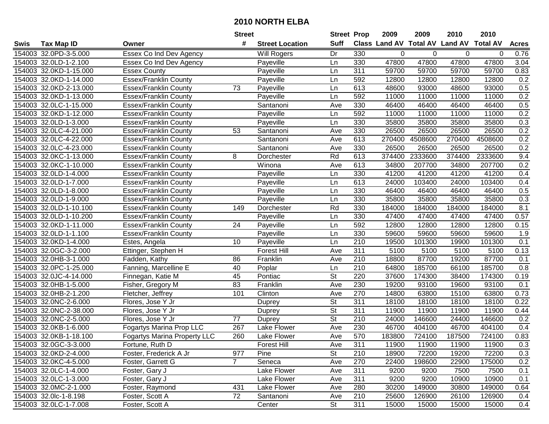|      |                        |                                     | <b>Street</b>  |                        | <b>Street Prop</b>       |                  | 2009                           | 2009    | 2010   | 2010            |              |
|------|------------------------|-------------------------------------|----------------|------------------------|--------------------------|------------------|--------------------------------|---------|--------|-----------------|--------------|
| Swis | <b>Tax Map ID</b>      | Owner                               | #              | <b>Street Location</b> | <b>Suff</b>              |                  | Class Land AV Total AV Land AV |         |        | <b>Total AV</b> | <b>Acres</b> |
|      | 154003 32.0PD-3-5.000  | Essex Co Ind Dev Agency             |                | Will Rogers            | Dr                       | 330              | 0                              | 0       | 0      | 0               | 0.76         |
|      | 154003 32.0LD-1-2.100  | Essex Co Ind Dev Agency             |                | Payeville              | Ln                       | 330              | 47800                          | 47800   | 47800  | 47800           | 3.04         |
|      | 154003 32.0KD-1-15.000 | <b>Essex County</b>                 |                | Payeville              | Ln                       | 311              | 59700                          | 59700   | 59700  | 59700           | 0.83         |
|      | 154003 32.0KD-1-14.000 | <b>Essex/Franklin County</b>        |                | Payeville              | Ln                       | 592              | 12800                          | 12800   | 12800  | 12800           | 0.2          |
|      | 154003 32.0KD-2-13.000 | <b>Essex/Franklin County</b>        | 73             | Payeville              | Ln                       | 613              | 48600                          | 93000   | 48600  | 93000           | 0.5          |
|      | 154003 32.0KD-1-13.000 | <b>Essex/Franklin County</b>        |                | Payeville              | Ln                       | 592              | 11000                          | 11000   | 11000  | 11000           | 0.2          |
|      | 154003 32.0LC-1-15.000 | <b>Essex/Franklin County</b>        |                | Santanoni              | Ave                      | 330              | 46400                          | 46400   | 46400  | 46400           | 0.5          |
|      | 154003 32.0KD-1-12.000 | <b>Essex/Franklin County</b>        |                | Payeville              | Ln                       | 592              | 11000                          | 11000   | 11000  | 11000           | 0.2          |
|      | 154003 32.0LD-1-3.000  | <b>Essex/Franklin County</b>        |                | Payeville              | Ln                       | 330              | 35800                          | 35800   | 35800  | 35800           | 0.3          |
|      | 154003 32.0LC-4-21.000 | <b>Essex/Franklin County</b>        | 53             | Santanoni              | Ave                      | 330              | 26500                          | 26500   | 26500  | 26500           | 0.2          |
|      | 154003 32.0LC-4-22.000 | <b>Essex/Franklin County</b>        |                | Santanoni              | Ave                      | 613              | 270400                         | 4508600 | 270400 | 4508600         | 0.2          |
|      | 154003 32.0LC-4-23.000 | <b>Essex/Franklin County</b>        |                | Santanoni              | Ave                      | 330              | 26500                          | 26500   | 26500  | 26500           | 0.2          |
|      | 154003 32.0KC-1-13.000 | <b>Essex/Franklin County</b>        | 8              | Dorchester             | Rd                       | 613              | 374400                         | 2333600 | 374400 | 2333600         | 9.4          |
|      | 154003 32.0KC-1-10.000 | <b>Essex/Franklin County</b>        |                | Winona                 | Ave                      | 613              | 34800                          | 207700  | 34800  | 207700          | 0.2          |
|      | 154003 32.0LD-1-4.000  | <b>Essex/Franklin County</b>        |                | Payeville              | Ln                       | 330              | 41200                          | 41200   | 41200  | 41200           | 0.4          |
|      | 154003 32.0LD-1-7.000  | <b>Essex/Franklin County</b>        |                | Payeville              | Ln                       | 613              | 24000                          | 103400  | 24000  | 103400          | 0.4          |
|      | 154003 32.0LD-1-8.000  | <b>Essex/Franklin County</b>        |                | Payeville              | Ln                       | 330              | 46400                          | 46400   | 46400  | 46400           | 0.5          |
|      | 154003 32.0LD-1-9.000  | <b>Essex/Franklin County</b>        |                | Payeville              | Ln                       | 330              | 35800                          | 35800   | 35800  | 35800           | 0.3          |
|      | 154003 32.0LD-1-10.100 | <b>Essex/Franklin County</b>        | 149            | Dorchester             | Rd                       | 330              | 184000                         | 184000  | 184000 | 184000          | 8.1          |
|      | 154003 32.0LD-1-10.200 | <b>Essex/Franklin County</b>        |                | Payeville              | Ln                       | 330              | 47400                          | 47400   | 47400  | 47400           | 0.57         |
|      | 154003 32.0KD-1-11.000 | <b>Essex/Franklin County</b>        | 24             | Payeville              | Ln                       | 592              | 12800                          | 12800   | 12800  | 12800           | 0.15         |
|      | 154003 32.0LD-1-1.100  | <b>Essex/Franklin County</b>        |                | Payeville              | Ln                       | 330              | 59600                          | 59600   | 59600  | 59600           | 1.9          |
|      | 154003 32.0KD-1-4.000  | Estes, Angela                       | 10             | Payeville              | Ln                       | 210              | 19500                          | 101300  | 19900  | 101300          | 0.1          |
|      | 154003 32.0GC-3-2.000  | Ettinger, Stephen H                 |                | <b>Forest Hill</b>     | Ave                      | 311              | 5100                           | 5100    | 5100   | 5100            | 0.13         |
|      | 154003 32.0HB-3-1.000  | Fadden, Kathy                       | 86             | Franklin               | Ave                      | 210              | 18800                          | 87700   | 19200  | 87700           | 0.1          |
|      | 154003 32.0PC-1-25.000 | Fanning, Marcelline E               | 40             | Poplar                 | Ln                       | 210              | 64800                          | 185700  | 66100  | 185700          | 0.8          |
|      | 154003 32.0JC-4-14.000 | Finnegan, Katie M                   | 45             | Pontiac                | $\overline{\mathsf{St}}$ | 220              | 37600                          | 174300  | 38400  | 174300          | 0.19         |
|      | 154003 32.0HB-1-5.000  | Fisher, Gregory M                   | 83             | Franklin               | Ave                      | 230              | 19200                          | 93100   | 19600  | 93100           | 0.1          |
|      | 154003 32.0HB-2-1.200  | Fletcher, Jeffrey                   | 101            | Clinton                | Ave                      | 270              | 14800                          | 63800   | 15100  | 63800           | 0.73         |
|      | 154003 32.0NC-2-6.000  | Flores, Jose Y Jr                   |                | Duprey                 | $\overline{\mathsf{St}}$ | $\overline{311}$ | 18100                          | 18100   | 18100  | 18100           | 0.22         |
|      | 154003 32.0NC-2-38.000 | Flores, Jose Y Jr                   |                | Duprey                 | $\overline{\mathsf{St}}$ | $\overline{311}$ | 11900                          | 11900   | 11900  | 11900           | 0.44         |
|      | 154003 32.0NC-2-5.000  | Flores, Jose Y Jr                   | 77             | Duprey                 | $\overline{\mathsf{St}}$ | 210              | 24000                          | 146600  | 24400  | 146600          | 0.2          |
|      | 154003 32.0KB-1-6.000  | <b>Fogartys Marina Prop LLC</b>     | 267            | Lake Flower            | Ave                      | 230              | 46700                          | 404100  | 46700  | 404100          | 0.4          |
|      | 154003 32.0KB-1-18.100 | <b>Fogartys Marina Property LLC</b> | 260            | Lake Flower            | Ave                      | 570              | 183800                         | 724100  | 187500 | 724100          | 0.83         |
|      | 154003 32.0GC-3-3.000  | Fortune, Ruth D                     |                | Forest Hill            | Ave                      | 311              | 11900                          | 11900   | 11900  | 11900           | 0.3          |
|      | 154003 32.0KD-2-4.000  | Foster, Frederick A Jr              | 977            | Pine                   | <b>St</b>                | 210              | 18900                          | 72200   | 19200  | 72200           | 0.3          |
|      | 154003 32.0KC-4-5.000  | Foster, Garrett G                   | $\overline{7}$ | Seneca                 | Ave                      | 270              | 22400                          | 198600  | 22900  | 175000          | 0.2          |
|      | 154003 32.0LC-1-4.000  | Foster, Gary J                      |                | Lake Flower            | Ave                      | 311              | 9200                           | 9200    | 7500   | 7500            | 0.1          |
|      | 154003 32.0LC-1-3.000  | Foster, Gary J                      |                | Lake Flower            | Ave                      | 311              | 9200                           | 9200    | 10900  | 10900           | 0.1          |
|      | 154003 32.0MC-2-1.000  | Foster, Raymond                     | 431            | Lake Flower            | Ave                      | 280              | 30200                          | 149000  | 30800  | 149000          | 0.64         |
|      | 154003 32.0lc-1-8.198  | Foster, Scott A                     | 72             | Santanoni              | Ave                      | 210              | 25600                          | 126900  | 26100  | 126900          | 0.4          |
|      | 154003 32.0LC-1-7.008  | Foster, Scott A                     |                | Center                 | St                       | 311              | 15000                          | 15000   | 15000  | 15000           | 0.4          |
|      |                        |                                     |                |                        |                          |                  |                                |         |        |                 |              |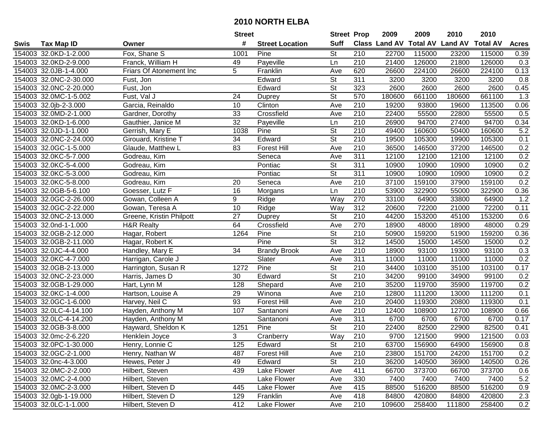|      |                        |                          | <b>Street</b>   |                        | <b>Street Prop</b>       |                  | 2009          | 2009            | 2010           | 2010            |                  |
|------|------------------------|--------------------------|-----------------|------------------------|--------------------------|------------------|---------------|-----------------|----------------|-----------------|------------------|
| Swis | <b>Tax Map ID</b>      | Owner                    | #               | <b>Street Location</b> | <b>Suff</b>              |                  | Class Land AV | <b>Total AV</b> | <b>Land AV</b> | <b>Total AV</b> | <b>Acres</b>     |
|      | 154003 32.0KD-1-2.000  | Fox, Shane S             | 1001            | Pine                   | St                       | 210              | 22700         | 115000          | 23200          | 115000          | 0.39             |
|      | 154003 32.0KD-2-9.000  | Franck, William H        | 49              | Payeville              | Ln                       | 210              | 21400         | 126000          | 21800          | 126000          | 0.3              |
|      | 154003 32.0JB-1-4.000  | Friars Of Atonement Inc  | 5               | Franklin               | Ave                      | 620              | 26600         | 224100          | 26600          | 224100          | 0.13             |
|      | 154003 32.0NC-2-30.000 | Fust, Jon                |                 | Edward                 | <b>St</b>                | $\overline{311}$ | 3200          | 3200            | 3200           | 3200            | 0.8              |
|      | 154003 32.0NC-2-20.000 | Fust, Jon                |                 | Edward                 | <b>St</b>                | 323              | 2600          | 2600            | 2600           | 2600            | 0.45             |
|      | 154003 32.0MC-1-5.002  | Fust, Val J              | 24              | Duprey                 | $\overline{\mathsf{St}}$ | 570              | 180600        | 661100          | 180600         | 661100          | $\overline{1.3}$ |
|      | 154003 32.0jb-2-3.000  | Garcia, Reinaldo         | 10              | Clinton                | Ave                      | 210              | 19200         | 93800           | 19600          | 113500          | 0.06             |
|      | 154003 32.0MD-2-1.000  | Gardner, Dorothy         | 33              | Crossfield             | Ave                      | 210              | 22400         | 55500           | 22800          | 55500           | 0.5              |
|      | 154003 32.0KD-1-6.000  | Gauthier, Janice M       | $\overline{32}$ | Payeville              | Ln                       | $\overline{210}$ | 26900         | 94700           | 27400          | 94700           | 0.34             |
|      | 154003 32.0JD-1-1.000  | Gerrish, Mary E          | 1038            | Pine                   | $\overline{\mathsf{St}}$ | 210              | 49400         | 160600          | 50400          | 160600          | 5.2              |
|      | 154003 32.0NC-2-24.000 | Girouard, Kristine T     | 34              | Edward                 | $\overline{\mathsf{St}}$ | 210              | 19500         | 105300          | 19900          | 105300          | 0.1              |
|      | 154003 32.0GC-1-5.000  | Glaude, Matthew L        | 83              | Forest Hill            | Ave                      | 210              | 36500         | 146500          | 37200          | 146500          | 0.2              |
|      | 154003 32.0KC-5-7.000  | Godreau, Kim             |                 | Seneca                 | Ave                      | 311              | 12100         | 12100           | 12100          | 12100           | 0.2              |
|      | 154003 32.0KC-5-4.000  | Godreau, Kim             |                 | Pontiac                | <b>St</b>                | 311              | 10900         | 10900           | 10900          | 10900           | 0.2              |
|      | 154003 32.0KC-5-3.000  | Godreau, Kim             |                 | Pontiac                | $\overline{\mathsf{St}}$ | 311              | 10900         | 10900           | 10900          | 10900           | 0.2              |
|      | 154003 32.0KC-5-8.000  | Godreau, Kim             | 20              | Seneca                 | Ave                      | 210              | 37100         | 159100          | 37900          | 159100          | 0.2              |
|      | 154003 32.0GB-5-6.100  | Goesser, Lutz F          | 16              | Morgans                | Ln                       | $\overline{210}$ | 53900         | 322900          | 55000          | 322900          | 0.36             |
|      | 154003 32.0GC-2-26.000 | Gowan, Colleen A         | 9               | Ridge                  | Way                      | 270              | 33100         | 64900           | 33800          | 64900           | 1.2              |
|      | 154003 32.0GC-2-22.000 | Gowan, Teresa A          | 10              | Ridge                  | Way                      | 312              | 20600         | 72200           | 21000          | 72200           | 0.11             |
|      | 154003 32.0NC-2-13.000 | Greene, Kristin Philpott | 27              | Duprey                 | <b>St</b>                | 210              | 44200         | 153200          | 45100          | 153200          | 0.6              |
|      | 154003 32.0nd-1-1.000  | <b>H&amp;R Realty</b>    | 64              | Crossfield             | Ave                      | 270              | 18900         | 48000           | 18900          | 48000           | 0.29             |
|      | 154003 32.0GB-2-12.000 | Hagar, Robert            | 1264            | Pine                   | <b>St</b>                | 210              | 50900         | 159200          | 51900          | 159200          | 0.36             |
|      | 154003 32.0GB-2-11.000 | Hagar, Robert K          |                 | Pine                   | <b>St</b>                | 312              | 14500         | 15000           | 14500          | 15000           | 0.2              |
|      | 154003 32.0JC-4-4.000  | Handley, Mary E          | 34              | <b>Brandy Brook</b>    | Ave                      | 210              | 18900         | 93100           | 19300          | 93100           | 0.3              |
|      | 154003 32.0KC-4-7.000  | Harrigan, Carole J       |                 | Slater                 | Ave                      | 311              | 11000         | 11000           | 11000          | 11000           | 0.2              |
|      | 154003 32.0GB-2-13.000 | Harrington, Susan R      | 1272            | Pine                   | $\overline{\mathsf{St}}$ | 210              | 34400         | 103100          | 35100          | 103100          | 0.17             |
|      | 154003 32.0NC-2-23.000 | Harris, James D          | 30              | Edward                 | $\overline{\mathsf{St}}$ | 210              | 34200         | 99100           | 34900          | 99100           | 0.2              |
|      | 154003 32.0GB-1-29.000 | Hart, Lynn M             | 128             | Shepard                | Ave                      | 210              | 35200         | 119700          | 35900          | 119700          | 0.2              |
|      | 154003 32.0KC-1-4.000  | Hartson, Louise A        | 29              | Winona                 | Ave                      | 210              | 12800         | 111200          | 13000          | 111200          | 0.1              |
|      | 154003 32.0GC-1-6.000  | Harvey, Neil C           | 93              | <b>Forest Hill</b>     | Ave                      | $\overline{210}$ | 20400         | 119300          | 20800          | 119300          | 0.1              |
|      | 154003 32.0LC-4-14.100 | Hayden, Anthony M        | 107             | Santanoni              | Ave                      | $\overline{210}$ | 12400         | 108900          | 12700          | 108900          | 0.66             |
|      | 154003 32.0LC-4-14.200 | Hayden, Anthony M        |                 | Santanoni              | Ave                      | 311              | 6700          | 6700            | 6700           | 6700            | 0.17             |
|      | 154003 32.0GB-3-8.000  | Hayward, Sheldon K       | 1251            | Pine                   | $\overline{\mathsf{St}}$ | $\overline{210}$ | 22400         | 82500           | 22900          | 82500           | 0.41             |
|      | 154003 32.0mc-2-6.220  | Henklein Joyce           | 3               | Cranberry              | Way                      | $\overline{210}$ | 9700          | 121500          | 9900           | 121500          | 0.03             |
|      | 154003 32.0PC-1-30.000 | Henry, Lonnie C          | 125             | Edward                 | St                       | 210              | 63700         | 156900          | 64900          | 156900          | 0.8              |
|      | 154003 32.0GC-2-1.000  | Henry, Nathan W          | 487             | Forest Hill            | Ave                      | 210              | 23800         | 151700          | 24200          | 151700          | 0.2              |
|      | 154003 32.0nc-4-3.000  | Hewes, Peter J           | 49              | Edward                 | St                       | 210              | 36200         | 140500          | 36900          | 140500          | 0.26             |
|      | 154003 32.0MC-2-2.000  | Hilbert, Steven          | 439             | Lake Flower            | Ave                      | 411              | 66700         | 373700          | 66700          | 373700          | 0.6              |
|      | 154003 32.0MC-2-4.000  | Hilbert, Steven          |                 | Lake Flower            | Ave                      | 330              | 7400          | 7400            | 7400           | 7400            | 5.2              |
|      | 154003 32.0MC-2-3.000  | Hilbert, Steven D        | 445             | Lake Flower            | Ave                      | 415              | 88500         | 516200          | 88500          | 516200          | 0.9              |
|      | 154003 32.0gb-1-19.000 | Hilbert, Steven D        | 129             | Franklin               | Ave                      | 418              | 84800         | 420800          | 84800          | 420800          | 2.3              |
|      | 154003 32.0LC-1-1.000  | Hilbert, Steven D        | 412             | Lake Flower            | Ave                      | 210              | 109600        | 258400          | 111800         | 258400          | 0.2              |
|      |                        |                          |                 |                        |                          |                  |               |                 |                |                 |                  |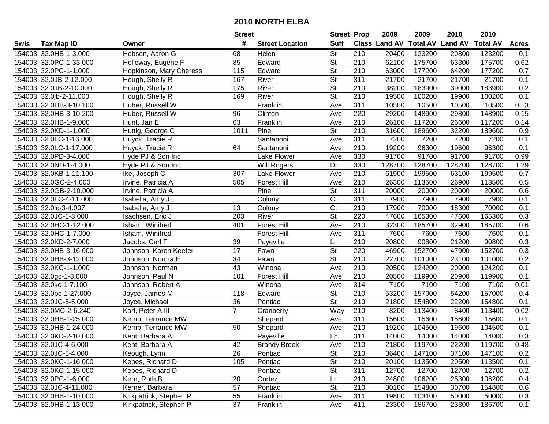|      |                        |                         | <b>Street</b>  |                        | <b>Street Prop</b>       |                  | 2009                          | 2009   | 2010           | 2010            |              |
|------|------------------------|-------------------------|----------------|------------------------|--------------------------|------------------|-------------------------------|--------|----------------|-----------------|--------------|
| Swis | <b>Tax Map ID</b>      | Owner                   | #              | <b>Street Location</b> | <b>Suff</b>              |                  | <b>Class Land AV Total AV</b> |        | <b>Land AV</b> | <b>Total AV</b> | <b>Acres</b> |
|      | 154003 32.0HB-1-3.000  | Hobson, Aaron G         | 68             | Helen                  | <b>St</b>                | 210              | 20400                         | 123200 | 20800          | 123200          | 0.1          |
|      | 154003 32.0PC-1-33.000 | Holloway, Eugene F      | 85             | Edward                 | St                       | 210              | 62100                         | 175700 | 63300          | 175700          | 0.62         |
|      | 154003 32.0PC-1-1.000  | Hopkinson, Mary Cheress | 115            | Edward                 | St                       | 210              | 63000                         | 177200 | 64200          | 177200          | 0.7          |
|      | 154003 32.0JB-2-12.000 | Hough, Shelly R         | 167            | River                  | $\overline{\mathsf{St}}$ | 311              | 21700                         | 21700  | 21700          | 21700           | 0.1          |
|      | 154003 32.0JB-2-10.000 | Hough, Shelly R         | 175            | River                  | St                       | 210              | 38200                         | 183900 | 39000          | 183900          | 0.2          |
|      | 154003 32.0jb-2-11.000 | Hough, Shelly R         | 169            | River                  | $\overline{\mathsf{St}}$ | $\overline{210}$ | 19500                         | 100200 | 19900          | 100200          | 0.1          |
|      | 154003 32.0HB-3-10.100 | Huber, Russell W        |                | Franklin               | Ave                      | 311              | 10500                         | 10500  | 10500          | 10500           | 0.13         |
|      | 154003 32.0HB-3-10.200 | Huber, Russell W        | 96             | Clinton                | Ave                      | 220              | 29200                         | 148900 | 29800          | 148900          | 0.15         |
|      | 154003 32.0HB-1-9.000  | Hunt, Jan E             | 63             | Franklin               | Ave                      | $\overline{210}$ | 26100                         | 117200 | 26600          | 117200          | 0.14         |
|      | 154003 32.0KD-1-1.000  | Huttig, George C        | 1011           | Pine                   | $\overline{\mathsf{St}}$ | 210              | 31600                         | 189600 | 32200          | 189600          | 0.9          |
|      | 154003 32.0LC-1-16.000 | Huyck, Tracie R         |                | Santanoni              | Ave                      | 311              | 7200                          | 7200   | 7200           | 7200            | 0.1          |
|      | 154003 32.0LC-1-17.000 | Huyck, Tracie R         | 64             | Santanoni              | Ave                      | 210              | 19200                         | 96300  | 19600          | 96300           | 0.1          |
|      | 154003 32.0PD-3-4.000  | Hyde PJ & Son Inc       |                | Lake Flower            | Ave                      | 330              | 91700                         | 91700  | 91700          | 91700           | 0.99         |
|      | 154003 32.0ND-1-4.000  | Hyde PJ & Son Inc       |                | Will Rogers            | Dr                       | 330              | 128700                        | 128700 | 128700         | 128700          | 1.29         |
|      | 154003 32.0KB-1-11.100 | Ike, Joseph C           | 307            | Lake Flower            | Ave                      | 210              | 61900                         | 199500 | 63100          | 199500          | 0.7          |
|      | 154003 32.0GC-2-4.000  | Irvine, Patricia A      | 505            | <b>Forest Hill</b>     | Ave                      | 210              | 26300                         | 113500 | 26900          | 113500          | 0.5          |
|      | 154003 32.0GB-2-10.000 | Irvine, Patricia A      |                | Pine                   | $\overline{\mathsf{St}}$ | $\overline{311}$ | 20000                         | 20000  | 20000          | 20000           | 0.6          |
|      | 154003 32.0LC-4-11.000 | Isabella, Amy J         |                | Colony                 | $\overline{\text{C}t}$   | 311              | 7900                          | 7900   | 7900           | 7900            | 0.1          |
|      | 154003 32.0lc-3-4.007  | Isabella, Amy J         | 13             | Colony                 | Ct                       | 210              | 17900                         | 70000  | 18300          | 70000           | 0.1          |
|      | 154003 32.0JC-1-3.000  | Isachsen, Eric J        | 203            | River                  | St                       | 220              | 47600                         | 165300 | 47600          | 165300          | 0.3          |
|      | 154003 32.0HC-1-12.000 | Isham, Winifred         | 401            | <b>Forest Hill</b>     | Ave                      | 210              | 32300                         | 185700 | 32900          | 185700          | 0.6          |
|      | 154003 32.0HC-1-7.000  | Isham, Winifred         |                | <b>Forest Hill</b>     | Ave                      | 311              | 7600                          | 7600   | 7600           | 7600            | 0.1          |
|      | 154003 32.0KD-2-7.000  | Jacobs, Carl F          | 39             | Payeville              | Ln                       | 210              | 20800                         | 90800  | 21200          | 90800           | 0.3          |
|      | 154003 32.0HB-3-16.000 | Johnson, Karen Keefer   | 17             | Fawn                   | St                       | 220              | 46900                         | 152700 | 47900          | 152700          | 0.3          |
|      | 154003 32.0HB-3-12.000 | Johnson, Norma E        | 34             | Fawn                   | $\overline{St}$          | $\overline{210}$ | 22700                         | 101000 | 23100          | 101000          | 0.2          |
|      | 154003 32.0KC-1-1.000  | Johnson, Norman         | 43             | Winona                 | Ave                      | 210              | 20500                         | 124200 | 20900          | 124200          | 0.1          |
|      | 154003 32.0gc-1-8.000  | Johnson, Paul N         | 101            | Forest Hill            | Ave                      | 210              | 20500                         | 119900 | 20900          | 119900          | 0.1          |
|      | 154003 32.0kc-1-7.100  | Johnson, Robert A       |                | Winona                 | Ave                      | 314              | 7100                          | 7100   | 7100           | 7100            | 0.01         |
|      | 154003 32.0pc-1-27.000 | Joyce, James M          | 118            | Edward                 | $\overline{\mathsf{St}}$ | $\overline{210}$ | 53200                         | 157000 | 54200          | 157000          | 0.4          |
|      | 154003 32.0JC-5-5.000  | Joyce, Michael          | 36             | Pontiac                | $\overline{\mathsf{St}}$ | $\overline{210}$ | 21800                         | 154800 | 22200          | 154800          | 0.1          |
|      | 154003 32.0MC-2-6.240  | Karl, Peter A III       | $\overline{7}$ | Cranberry              | Way                      | $\overline{210}$ | 8200                          | 113400 | 8400           | 113400          | 0.02         |
|      | 154003 32.0HB-1-25.000 | Kemp, Terrance MW       |                | Shepard                | Ave                      | 311              | 15600                         | 15600  | 15600          | 15600           | 0.1          |
|      | 154003 32.0HB-1-24.000 | Kemp, Terrance MW       | 50             | Shepard                | Ave                      | $\overline{210}$ | 19200                         | 104500 | 19600          | 104500          | 0.1          |
|      | 154003 32.0KD-2-10.000 | Kent, Barbara A         |                | Payeville              | Ln                       | 311              | 14000                         | 14000  | 14000          | 14000           | 0.3          |
|      | 154003 32.0JC-4-6.000  | Kent, Barbara A         | 42             | <b>Brandy Brook</b>    | Ave                      | 210              | 21800                         | 119700 | 22200          | 119700          | 0.48         |
|      | 154003 32.0JC-5-4.000  | Keough, Lynn            | 26             | Pontiac                | <b>St</b>                | 210              | 36400                         | 147100 | 37100          | 147100          | 0.2          |
|      | 154003 32.0KC-1-16.000 | Kepes, Richard D        | 105            | Pontiac                | <b>St</b>                | 210              | 20100                         | 113500 | 20500          | 113500          | 0.1          |
|      | 154003 32.0KC-1-15.000 | Kepes, Richard D        |                | Pontiac                | <b>St</b>                | 311              | 12700                         | 12700  | 12700          | 12700           | 0.2          |
|      | 154003 32.0PC-1-6.000  | Kern, Ruth B            | 20             | Cortez                 | Ln                       | 210              | 24800                         | 106200 | 25300          | 106200          | 0.4          |
|      | 154003 32.0JC-4-11.000 | Kerner, Barbara         | 57             | Pontiac                | <b>St</b>                | 210              | 30100                         | 154800 | 30700          | 154800          | 0.6          |
|      | 154003 32.0HB-1-10.000 | Kirkpatrick, Stephen P  | 55             | Franklin               | Ave                      | 311              | 19800                         | 103100 | 50000          | 50000           | 0.3          |
|      | 154003 32.0HB-1-13.000 | Kirkpatrick, Stephen P  | 37             | Franklin               | Ave                      | 411              | 23300                         | 186700 | 23300          | 186700          | 0.1          |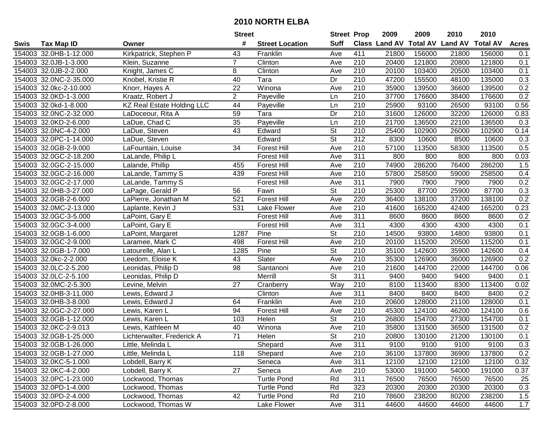|      |                        |                                   | <b>Street</b>   |                        | <b>Street Prop</b>       |                  | 2009          | 2009            | 2010           | 2010            |              |
|------|------------------------|-----------------------------------|-----------------|------------------------|--------------------------|------------------|---------------|-----------------|----------------|-----------------|--------------|
| Swis | <b>Tax Map ID</b>      | Owner                             | #               | <b>Street Location</b> | <b>Suff</b>              |                  | Class Land AV | <b>Total AV</b> | <b>Land AV</b> | <b>Total AV</b> | <b>Acres</b> |
|      | 154003 32.0HB-1-12.000 | Kirkpatrick, Stephen P            | 43              | Franklin               | Ave                      | 411              | 21800         | 156000          | 21800          | 156000          | 0.1          |
|      | 154003 32.0JB-1-3.000  | Klein, Suzanne                    | $\overline{7}$  | Clinton                | Ave                      | 210              | 20400         | 121800          | 20800          | 121800          | 0.1          |
|      | 154003 32.0JB-2-2.000  | Knight, James C                   | 8               | Clinton                | Ave                      | 210              | 20100         | 103400          | 20500          | 103400          | 0.1          |
|      | 154003 32.0NC-2-35.000 | Knobel, Kristie R                 | 40              | Tara                   | Dr                       | 210              | 47200         | 155500          | 48100          | 135000          | 0.3          |
|      | 154003 32.0kc-2-10.000 | Knorr, Hayes A                    | $\overline{22}$ | Winona                 | Ave                      | 210              | 35900         | 139500          | 36600          | 139500          | 0.2          |
|      | 154003 32.0KD-1-3.000  | Kraatz, Robert J                  | $\overline{2}$  | Payeville              | Ln                       | $\overline{210}$ | 37700         | 176600          | 38400          | 176600          | 0.2          |
|      | 154003 32.0kd-1-8.000  | <b>KZ Real Estate Holding LLC</b> | 44              | Payeville              | Ln                       | 210              | 25900         | 93100           | 26500          | 93100           | 0.56         |
|      | 154003 32.0NC-2-32.000 | LaDoceour, Rita A                 | 59              | Tara                   | Dr                       | $\overline{210}$ | 31600         | 126000          | 32200          | 126000          | 0.83         |
|      | 154003 32.0KD-2-6.000  | LaDue, Chad C                     | $\overline{35}$ | Payeville              | Ln                       | $\overline{210}$ | 21700         | 136500          | 22100          | 136500          | 0.3          |
|      | 154003 32.0NC-4-2.000  | LaDue, Steven                     | 43              | Edward                 | $\overline{\mathsf{St}}$ | 210              | 25400         | 102900          | 26000          | 102900          | 0.14         |
|      | 154003 32.0PC-1-14.000 | LaDue, Steven                     |                 | Edward                 | St                       | 312              | 8300          | 10600           | 8500           | 10600           | 0.3          |
|      | 154003 32.0GB-2-9.000  | LaFountain, Louise                | 34              | <b>Forest Hill</b>     | Ave                      | 210              | 57100         | 113500          | 58300          | 113500          | 0.5          |
|      | 154003 32.0GC-2-18.200 | LaLande, Philip L                 |                 | <b>Forest Hill</b>     | Ave                      | $\overline{311}$ | 800           | 800             | 800            | 800             | 0.03         |
|      | 154003 32.0GC-2-15.000 | Lalande, Phillip                  | 455             | <b>Forest Hill</b>     | Ave                      | 210              | 74900         | 286200          | 76400          | 286200          | 1.5          |
|      | 154003 32.0GC-2-16.000 | LaLande, Tammy S                  | 439             | <b>Forest Hill</b>     | Ave                      | 210              | 57800         | 258500          | 59000          | 258500          | 0.4          |
|      | 154003 32.0GC-2-17.000 | LaLande, Tammy S                  |                 | <b>Forest Hill</b>     | Ave                      | 311              | 7900          | 7900            | 7900           | 7900            | 0.2          |
|      | 154003 32.0HB-3-27.000 | LaPage, Gerald P                  | 56              | Fawn                   | $\overline{\mathsf{St}}$ | 210              | 25300         | 87700           | 25900          | 87700           | 0.3          |
|      | 154003 32.0GB-2-6.000  | LaPierre, Jonathan M              | 521             | <b>Forest Hill</b>     | Ave                      | 220              | 36400         | 138100          | 37200          | 138100          | 0.2          |
|      | 154003 32.0MC-2-13.000 | Laplante, Kevin J                 | 531             | Lake Flower            | Ave                      | 210              | 41600         | 165200          | 42400          | 165200          | 0.23         |
|      | 154003 32.0GC-3-5.000  | LaPoint, Gary E                   |                 | <b>Forest Hill</b>     | Ave                      | 311              | 8600          | 8600            | 8600           | 8600            | 0.2          |
|      | 154003 32.0GC-3-4.000  | LaPoint, Gary E                   |                 | <b>Forest Hill</b>     | Ave                      | 311              | 4300          | 4300            | 4300           | 4300            | 0.1          |
|      | 154003 32.0GB-1-6.000  | LaPoint, Margaret                 | 1287            | Pine                   | <b>St</b>                | 210              | 14500         | 93800           | 14800          | 93800           | 0.1          |
|      | 154003 32.0GC-2-9.000  | Laramee, Mark C                   | 498             | Forest Hill            | Ave                      | 210              | 20100         | 115200          | 20500          | 115200          | 0.1          |
|      | 154003 32.0GB-1-7.000  | Latourelle, Alan L                | 1285            | Pine                   | St                       | 210              | 35100         | 142600          | 35900          | 142600          | 0.4          |
|      | 154003 32.0kc-2-2.000  | Leedom, Eloise K                  | 43              | Slater                 | Ave                      | $\overline{210}$ | 35300         | 126900          | 36000          | 126900          | 0.2          |
|      | 154003 32.0LC-2-5.200  | Leonidas, Philip D                | 98              | Santanoni              | Ave                      | 210              | 21600         | 144700          | 22000          | 144700          | 0.06         |
|      | 154003 32.0LC-2-5.100  | Leonidas, Philip D                |                 | Merrill                | $\overline{\mathsf{St}}$ | 311              | 9400          | 9400            | 9400           | 9400            | 0.1          |
|      | 154003 32.0MC-2-5.300  | Levine, Melvin                    | 27              | Cranberry              | Way                      | 210              | 8100          | 113400          | 8300           | 113400          | 0.02         |
|      | 154003 32.0HB-3-11.000 | Lewis, Edward J                   |                 | Clinton                | Ave                      | $\overline{311}$ | 8400          | 8400            | 8400           | 8400            | 0.2          |
|      | 154003 32.0HB-3-8.000  | Lewis, Edward J                   | 64              | Franklin               | Ave                      | $\overline{210}$ | 20600         | 128000          | 21100          | 128000          | 0.1          |
|      | 154003 32.0GC-2-27.000 | Lewis, Karen L                    | 94              | <b>Forest Hill</b>     | Ave                      | 210              | 45300         | 124100          | 46200          | 124100          | 0.6          |
|      | 154003 32.0GB-1-12.000 | Lewis, Karen L                    | 103             | Helen                  | $\overline{\mathsf{St}}$ | 210              | 26800         | 154700          | 27300          | 154700          | 0.1          |
|      | 154003 32.0KC-2-9.013  | Lewis, Kathleen M                 | 40              | Winona                 | Ave                      | $\overline{210}$ | 35800         | 131500          | 36500          | 131500          | 0.2          |
|      | 154003 32.0GB-1-25.000 | Lichterwalter, Frederick A        | $\overline{71}$ | Helen                  | $\overline{St}$          | 210              | 20800         | 130100          | 21200          | 130100          | 0.1          |
|      | 154003 32.0GB-1-26.000 | Little, Melinda L                 |                 | Shepard                | Ave                      | 311              | 9100          | 9100            | 9100           | 9100            | 0.3          |
|      | 154003 32.0GB-1-27.000 | Little, Melinda L                 | 118             | Shepard                | Ave                      | 210              | 36100         | 137800          | 36900          | 137800          | 0.2          |
|      | 154003 32.0KC-5-1.000  | Lobdell, Barry K                  |                 | Seneca                 | Ave                      | 311              | 12100         | 12100           | 12100          | 12100           | 0.32         |
|      | 154003 32.0KC-4-2.000  | Lobdell, Barry K                  | 27              | Seneca                 | Ave                      | 210              | 53000         | 191000          | 54000          | 191000          | 0.37         |
|      | 154003 32.0PC-1-23.000 | Lockwood, Thomas                  |                 | <b>Turtle Pond</b>     | Rd                       | 311              | 76500         | 76500           | 76500          | 76500           | 25           |
|      | 154003 32.0PD-1-4.000  | Lockwood, Thomas                  |                 | <b>Turtle Pond</b>     | Rd                       | 323              | 20300         | 20300           | 20300          | 20300           | 0.3          |
|      | 154003 32.0PD-2-4.000  | Lockwood, Thomas                  | 42              | <b>Turtle Pond</b>     | Rd                       | 210              | 78600         | 238200          | 80200          | 238200          | 1.5          |
|      | 154003 32.0PD-2-8.000  | Lockwood, Thomas W                |                 | Lake Flower            | Ave                      | 311              | 44600         | 44600           | 44600          | 44600           | 1.7          |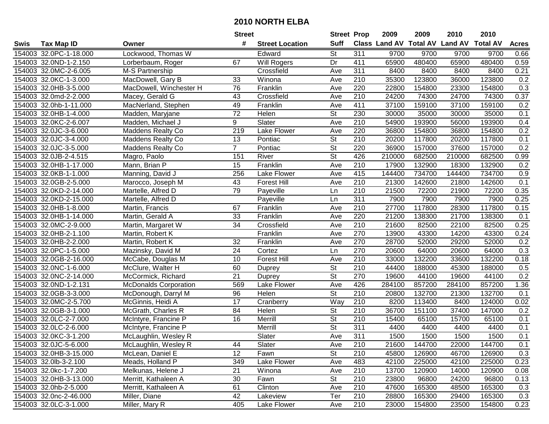|      |                        |                              | <b>Street</b>   |                        | <b>Street Prop</b>       |                  | 2009   | 2009   | 2010                           | 2010            |              |
|------|------------------------|------------------------------|-----------------|------------------------|--------------------------|------------------|--------|--------|--------------------------------|-----------------|--------------|
| Swis | <b>Tax Map ID</b>      | Owner                        | #               | <b>Street Location</b> | <b>Suff</b>              |                  |        |        | Class Land AV Total AV Land AV | <b>Total AV</b> | <b>Acres</b> |
|      | 154003 32.0PC-1-18.000 | Lockwood, Thomas W           |                 | Edward                 | <b>St</b>                | 311              | 9700   | 9700   | 9700                           | 9700            | 0.66         |
|      | 154003 32.0ND-1-2.150  | Lorberbaum, Roger            | 67              | Will Rogers            | Dr                       | 411              | 65900  | 480400 | 65900                          | 480400          | 0.59         |
|      | 154003 32.0MC-2-6.005  | M-S Partnership              |                 | Crossfield             | Ave                      | 311              | 8400   | 8400   | 8400                           | 8400            | 0.21         |
|      | 154003 32.0KC-1-3.000  | MacDowell, Gary B            | 33              | Winona                 | Ave                      | 210              | 35300  | 123800 | 36000                          | 123800          | 0.2          |
|      | 154003 32.0HB-3-5.000  | MacDowell, Winchester H      | 76              | Franklin               | Ave                      | 220              | 22800  | 154800 | 23300                          | 154800          | 0.3          |
|      | 154003 32.0md-2-2.000  | Macey, Gerald G              | 43              | Crossfield             | Ave                      | 210              | 24200  | 74300  | 24700                          | 74300           | 0.37         |
|      | 154003 32.0hb-1-11.000 | MacNerland, Stephen          | 49              | Franklin               | Ave                      | 411              | 37100  | 159100 | 37100                          | 159100          | 0.2          |
|      | 154003 32.0HB-1-4.000  | Madden, Maryjane             | $\overline{72}$ | Helen                  | $\overline{\mathsf{St}}$ | 230              | 30000  | 35000  | 30000                          | 35000           | 0.1          |
|      | 154003 32.0KC-2-6.007  | Madden, Michael J            | 9               | Slater                 | Ave                      | $\overline{210}$ | 54900  | 193900 | 56000                          | 193900          | 0.4          |
|      | 154003 32.0JC-3-6.000  | <b>Maddens Realty Co</b>     | 219             | Lake Flower            | Ave                      | 220              | 36800  | 154800 | 36800                          | 154800          | 0.2          |
|      | 154003 32.0JC-3-4.000  | <b>Maddens Realty Co</b>     | 13              | Pontiac                | St                       | 210              | 20200  | 117800 | 20200                          | 117800          | 0.1          |
|      | 154003 32.0JC-3-5.000  | <b>Maddens Realty Co</b>     | $\overline{7}$  | Pontiac                | St                       | 220              | 36900  | 157000 | 37600                          | 157000          | 0.2          |
|      | 154003 32.0JB-2-4.515  | Magro, Paolo                 | 151             | River                  | $\overline{\mathsf{St}}$ | 426              | 210000 | 682500 | 210000                         | 682500          | 0.99         |
|      | 154003 32.0HB-1-17.000 | Mann, Brian P                | 15              | Franklin               | Ave                      | 210              | 17900  | 132900 | 18300                          | 132900          | 0.2          |
|      | 154003 32.0KB-1-1.000  | Manning, David J             | 256             | Lake Flower            | Ave                      | 415              | 144400 | 734700 | 144400                         | 734700          | 0.9          |
|      | 154003 32.0GB-2-5.000  | Marocco, Joseph M            | 43              | <b>Forest Hill</b>     | Ave                      | 210              | 21300  | 142600 | 21800                          | 142600          | 0.1          |
|      | 154003 32.0KD-2-14.000 | Martelle, Alfred D           | 79              | Payeville              | Ln                       | 210              | 21500  | 72200  | 21900                          | 72200           | 0.35         |
|      | 154003 32.0KD-2-15.000 | Martelle, Alfred D           |                 | Payeville              | Ln                       | 311              | 7900   | 7900   | 7900                           | 7900            | 0.25         |
|      | 154003 32.0HB-1-8.000  | Martin, Francis              | 67              | Franklin               | Ave                      | 210              | 27700  | 117800 | 28300                          | 117800          | 0.15         |
|      | 154003 32.0HB-1-14.000 | Martin, Gerald A             | 33              | Franklin               | Ave                      | 220              | 21200  | 138300 | 21700                          | 138300          | 0.1          |
|      | 154003 32.0MC-2-9.000  | Martin, Margaret W           | 34              | Crossfield             | Ave                      | 210              | 21600  | 82500  | 22100                          | 82500           | 0.25         |
|      | 154003 32.0HB-2-1.100  | Martin, Robert K             |                 | Franklin               | Ave                      | 270              | 13900  | 43300  | 14200                          | 43300           | 0.24         |
|      | 154003 32.0HB-2-2.000  | Martin, Robert K             | 32              | Franklin               | Ave                      | 270              | 28700  | 52000  | 29200                          | 52000           | 0.2          |
|      | 154003 32.0PC-1-5.000  | Mazinsky, David M            | 24              | Cortez                 | Ln                       | 270              | 20600  | 64000  | 20600                          | 64000           | 0.3          |
|      | 154003 32.0GB-2-16.000 | McCabe, Douglas M            | 10              | <b>Forest Hill</b>     | Ave                      | 210              | 33000  | 132200 | 33600                          | 132200          | 0.18         |
|      | 154003 32.0NC-1-6.000  | McClure, Walter H            | 60              | <b>Duprey</b>          | $\overline{\mathsf{St}}$ | 210              | 44400  | 188000 | 45300                          | 188000          | 0.5          |
|      | 154003 32.0NC-2-14.000 | McCormick, Richard           | 21              | Duprey                 | $\overline{\mathsf{St}}$ | 270              | 19600  | 44100  | 19600                          | 44100           | 0.2          |
|      | 154003 32.0ND-1-2.131  | <b>McDonalds Corporation</b> | 569             | Lake Flower            | Ave                      | 426              | 284100 | 857200 | 284100                         | 857200          | 1.36         |
|      | 154003 32.0GB-3-3.000  | McDonough, Darryl M          | 96              | Helen                  | $\overline{\mathsf{St}}$ | $\overline{210}$ | 20800  | 132700 | 21300                          | 132700          | 0.1          |
|      | 154003 32.0MC-2-5.700  | McGinnis, Heidi A            | $\overline{17}$ | Cranberry              | Way                      | 210              | 8200   | 113400 | 8400                           | 124000          | 0.02         |
|      | 154003 32.0GB-3-1.000  | McGrath, Charles R           | 84              | Helen                  | $\overline{\mathsf{St}}$ | $\overline{210}$ | 36700  | 151100 | 37400                          | 147000          | 0.2          |
|      | 154003 32.0LC-2-7.000  | McIntyre, Francine P         | 16              | Merrill                | $\overline{\mathsf{St}}$ | 210              | 15400  | 65100  | 15700                          | 65100           | 0.1          |
|      | 154003 32.0LC-2-6.000  | McIntyre, Francine P         |                 | Merrill                | $\overline{\mathsf{St}}$ | 311              | 4400   | 4400   | 4400                           | 4400            | 0.1          |
|      | 154003 32.0KC-3-1.200  | McLaughlin, Wesley R         |                 | Slater                 | Ave                      | 311              | 1500   | 1500   | 1500                           | 1500            | 0.1          |
|      | 154003 32.0JC-5-6.000  | McLaughlin, Wesley R         | 44              | Slater                 | Ave                      | 210              | 21600  | 144700 | 22000                          | 144700          | 0.1          |
|      | 154003 32.0HB-3-15.000 | McLean, Daniel E             | 12              | Fawn                   | <b>St</b>                | 210              | 45800  | 126900 | 46700                          | 126900          | 0.3          |
|      | 154003 32.0lb-3-2.100  | Meads, Holland P             | 349             | Lake Flower            | Ave                      | 483              | 42100  | 225000 | 42100                          | 225000          | 0.23         |
|      | 154003 32.0kc-1-7.200  | Melkunas, Helene J           | 21              | Winona                 | Ave                      | 210              | 13700  | 120900 | 14000                          | 120900          | 0.08         |
|      | 154003 32.0HB-3-13.000 | Merritt, Kathaleen A         | 30              | Fawn                   | <b>St</b>                | 210              | 23800  | 96800  | 24200                          | 96800           | 0.13         |
|      | 154003 32.0hb-2-5.000  | Merritt, Kathaleen A         | 61              | Clinton                | Ave                      | 210              | 47600  | 165300 | 48500                          | 165300          | 0.3          |
|      | 154003 32.0nc-2-46.000 | Miller, Diane                | 42              | Lakeview               | Ter                      | 210              | 28800  | 165300 | 29400                          | 165300          | 0.3          |
|      | 154003 32.0LC-3-1.000  | Miller, Mary R               | 405             | Lake Flower            | Ave                      | 210              | 23000  | 154800 | 23500                          | 154800          | 0.23         |
|      |                        |                              |                 |                        |                          |                  |        |        |                                |                 |              |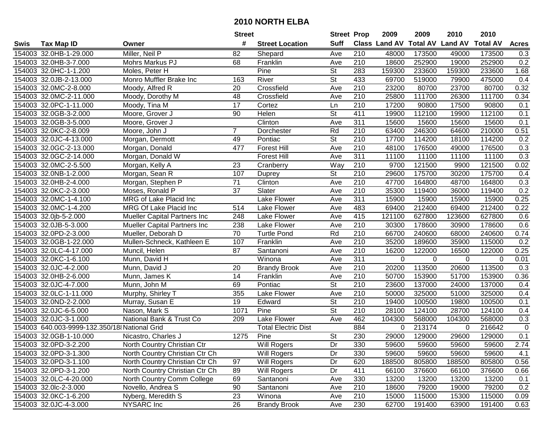|      |                                              |                                     | <b>Street</b>  |                            | <b>Street Prop</b>       |                  | 2009                          | 2009     | 2010           | 2010            |              |
|------|----------------------------------------------|-------------------------------------|----------------|----------------------------|--------------------------|------------------|-------------------------------|----------|----------------|-----------------|--------------|
| Swis | <b>Tax Map ID</b>                            | Owner                               | #              | <b>Street Location</b>     | <b>Suff</b>              |                  | <b>Class Land AV Total AV</b> |          | <b>Land AV</b> | <b>Total AV</b> | <b>Acres</b> |
|      | 154003 32.0HB-1-29.000                       | Miller, Neil P                      | 82             | Shepard                    | Ave                      | 210              | 48000                         | 173500   | 49000          | 173500          | 0.3          |
|      | 154003 32.0HB-3-7.000                        | Mohrs Markus PJ                     | 68             | Franklin                   | Ave                      | 210              | 18600                         | 252900   | 19000          | 252900          | 0.2          |
|      | 154003 32.0HC-1-1.200                        | Moles, Peter H                      |                | Pine                       | St                       | 283              | 159300                        | 233600   | 159300         | 233600          | 1.68         |
|      | 154003 32.0JB-2-13.000                       | Monro Muffler Brake Inc             | 163            | River                      | <b>St</b>                | 433              | 69700                         | 519000   | 79900          | 475000          | 0.4          |
|      | 154003 32.0MC-2-8.000                        | Moody, Alfred R                     | 20             | Crossfield                 | Ave                      | 210              | 23200                         | 80700    | 23700          | 80700           | 0.32         |
|      | 154003 32.0MC-2-11.000                       | Moody, Dorothy M                    | 48             | Crossfield                 | Ave                      | 210              | 25800                         | 111700   | 26300          | 111700          | 0.34         |
|      | 154003 32.0PC-1-11.000                       | Moody, Tina M                       | 17             | Cortez                     | Ln                       | 210              | 17200                         | 90800    | 17500          | 90800           | 0.1          |
|      | 154003 32.0GB-3-2.000                        | Moore, Grover J                     | 90             | Helen                      | $\overline{\mathsf{St}}$ | 411              | 19900                         | 112100   | 19900          | 112100          | 0.1          |
|      | 154003 32.0GB-3-5.000                        | Moore, Grover J                     |                | Clinton                    | Ave                      | 311              | 15600                         | 15600    | 15600          | 15600           | 0.1          |
|      | 154003 32.0KC-2-8.009                        | Moore, John J                       | $\overline{7}$ | Dorchester                 | Rd                       | 210              | 63400                         | 246300   | 64600          | 210000          | 0.51         |
|      | 154003 32.0JC-4-13.000                       | Morgan, Dermott                     | 49             | Pontiac                    | $\overline{\mathsf{St}}$ | 210              | 17700                         | 114200   | 18100          | 114200          | 0.2          |
|      | 154003 32.0GC-2-13.000                       | Morgan, Donald                      | 477            | <b>Forest Hill</b>         | Ave                      | 210              | 48100                         | 176500   | 49000          | 176500          | 0.3          |
|      | 154003 32.0GC-2-14.000                       | Morgan, Donald W                    |                | <b>Forest Hill</b>         | Ave                      | 311              | 11100                         | 11100    | 11100          | 11100           | 0.3          |
|      | 154003 32.0MC-2-5.500                        | Morgan, Kelly A                     | 23             | Cranberry                  | Way                      | 210              | 9700                          | 121500   | 9900           | 121500          | 0.02         |
|      | 154003 32.0NB-1-2.000                        | Morgan, Sean R                      | 107            | Duprey                     | <b>St</b>                | 210              | 29600                         | 175700   | 30200          | 175700          | 0.4          |
|      | 154003 32.0HB-2-4.000                        | Morgan, Stephen P                   | 71             | Clinton                    | Ave                      | 210              | 47700                         | 164800   | 48700          | 164800          | 0.3          |
|      | 154003 32.0KC-2-3.000                        | Moses, Ronald P                     | 37             | Slater                     | Ave                      | 210              | 35300                         | 119400   | 36000          | 119400          | 0.2          |
|      | 154003 32.0MC-1-4.100                        | MRG of Lake Placid Inc              |                | Lake Flower                | Ave                      | 311              | 15900                         | 15900    | 15900          | 15900           | 0.25         |
|      | 154003 32.0MC-1-4.200                        | MRG Of Lake Placid Inc              | 514            | Lake Flower                | Ave                      | 483              | 69400                         | 212400   | 69400          | 212400          | 0.22         |
|      | 154003 32.0jb-5-2.000                        | <b>Mueller Capital Partners Inc</b> | 248            | Lake Flower                | Ave                      | 415              | 121100                        | 627800   | 123600         | 627800          | 0.6          |
|      | 154003 32.0JB-5-3.000                        | Mueller Capital Partners Inc        | 238            | Lake Flower                | Ave                      | 210              | 30300                         | 178600   | 30900          | 178600          | 0.6          |
|      | 154003 32.0PD-2-3.000                        | Mueller, Deborah D                  | 70             | <b>Turtle Pond</b>         | Rd                       | 210              | 66700                         | 240600   | 68000          | 240600          | 0.74         |
|      | 154003 32.0GB-1-22.000                       | Mullen-Schneck, Kathleen E          | 107            | Franklin                   | Ave                      | 210              | 35200                         | 189600   | 35900          | 115000          | 0.2          |
|      | 154003 32.0LC-4-17.000                       | Muncil, Helen                       | 87             | Santanoni                  | Ave                      | 210              | 16200                         | 122000   | 16500          | 122000          | 0.25         |
|      | 154003 32.0KC-1-6.100                        | Munn, David H                       |                | Winona                     | Ave                      | 311              | $\mathbf 0$                   | $\Omega$ | $\mathbf 0$    | $\Omega$        | 0.01         |
|      | 154003 32.0JC-4-2.000                        | Munn, David J                       | 20             | <b>Brandy Brook</b>        | Ave                      | 210              | 20200                         | 113500   | 20600          | 113500          | 0.3          |
|      | 154003 32.0HB-2-6.000                        | Munn, James K                       | 14             | Franklin                   | Ave                      | 210              | 50700                         | 153900   | 51700          | 153900          | 0.36         |
|      | 154003 32.0JC-4-7.000                        | Munn, John M                        | 69             | Pontiac                    | $\overline{\mathsf{St}}$ | 210              | 23600                         | 137000   | 24000          | 137000          | 0.4          |
|      | 154003 32.0LC-1-11.000                       | Murphy, Shirley T                   | 355            | Lake Flower                | Ave                      | $\overline{210}$ | 50000                         | 325000   | 51000          | 325000          | 0.4          |
|      | 154003 32.0ND-2-2.000                        | Murray, Susan E                     | 19             | Edward                     | $\overline{\mathsf{St}}$ | $\overline{210}$ | 19400                         | 100500   | 19800          | 100500          | 0.1          |
|      | 154003 32.0JC-6-5.000                        | Nason, Mark S                       | 1071           | Pine                       | $\overline{\mathsf{St}}$ | $\overline{210}$ | 28100                         | 124100   | 28700          | 124100          | 0.4          |
|      | 154003 32.0JC-3-1.000                        | National Bank & Trust Co            | 209            | Lake Flower                | Ave                      | 462              | 104300                        | 568000   | 104300         | 568000          | 0.3          |
|      | 154003 640.003-9999-132.350/18 National Grid |                                     |                | <b>Total Electric Dist</b> |                          | 884              | $\Omega$                      | 213174   | $\Omega$       | 216642          | $\mathbf 0$  |
|      | 154003 32.0GB-1-10.000                       | Nicastro, Charles J                 | 1275           | Pine                       | $\overline{\mathsf{St}}$ | 230              | 29000                         | 129000   | 29600          | 129000          | 0.1          |
|      | 154003 32.0PD-3-2.200                        | North Country Christian Ctr         |                | Will Rogers                | Dr                       | 330              | 59600                         | 59600    | 59600          | 59600           | 2.74         |
|      | 154003 32.0PD-3-1.300                        | North Country Christian Ctr Ch      |                | Will Rogers                | Dr                       | 330              | 59600                         | 59600    | 59600          | 59600           | 4.1          |
|      | 154003 32.0PD-3-1.100                        | North Country Christian Ctr Ch      | 97             | Will Rogers                | Dr                       | 620              | 188500                        | 805800   | 188500         | 805800          | 0.56         |
|      | 154003 32.0PD-3-1.200                        | North Country Christian Ctr Ch      | 89             | Will Rogers                | Dr                       | 411              | 66100                         | 376600   | 66100          | 376600          | 0.66         |
|      | 154003 32.0LC-4-20.000                       | North Country Comm College          | 69             | Santanoni                  | Ave                      | 330              | 13200                         | 13200    | 13200          | 13200           | 0.1          |
|      | 154003 32.0lc-2-3.000                        | Novello, Andrea S                   | 90             | Santanoni                  | Ave                      | 210              | 18600                         | 79200    | 19000          | 79200           | 0.2          |
|      | 154003 32.0KC-1-6.200                        | Nyberg, Meredith S                  | 23             | Winona                     | Ave                      | 210              | 15000                         | 115000   | 15300          | 115000          | 0.09         |
|      | 154003 32.0JC-4-3.000                        | NYSARC Inc                          | 26             | <b>Brandy Brook</b>        | Ave                      | 230              | 62700                         | 191400   | 63900          | 191400          | 0.63         |
|      |                                              |                                     |                |                            |                          |                  |                               |          |                |                 |              |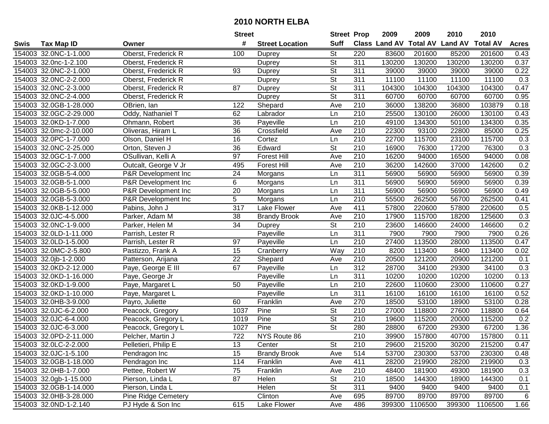| #<br><b>Suff</b><br><b>Total AV</b><br>Class Land AV<br><b>Land AV</b><br><b>Total AV</b><br><b>Tax Map ID</b><br><b>Street Location</b><br><b>Acres</b><br>Swis<br>Owner<br><b>St</b><br>154003 32.0NC-1-1.000<br>Oberst, Frederick R<br>220<br>83600<br>201600<br>85200<br>201600<br>0.43<br>100<br>Duprey<br>$\overline{\mathsf{St}}$<br>311<br>154003 32.0nc-1-2.100<br>130200<br>130200<br>130200<br>130200<br>0.37<br>Oberst, Frederick R<br><b>Duprey</b><br><b>St</b><br>154003 32.0NC-2-1.000<br>93<br>311<br>39000<br>39000<br>39000<br>39000<br>0.22<br>Oberst, Frederick R<br><b>Duprey</b><br>$\overline{\mathsf{St}}$<br>154003 32.0NC-2-2.000<br>311<br>11100<br>11100<br>11100<br>11100<br>0.3<br>Oberst, Frederick R<br><b>Duprey</b><br>311<br>0.47<br>154003 32.0NC-2-3.000<br>87<br><b>St</b><br>104300<br>104300<br>104300<br>104300<br>Oberst, Frederick R<br><b>Duprey</b><br>154003 32.0NC-2-4.000<br>$\overline{\mathsf{St}}$<br>311<br>60700<br>60700<br>0.95<br>60700<br>60700<br>Oberst, Frederick R<br>Duprey<br>154003 32.0GB-1-28.000<br>122<br>210<br>138200<br>103879<br>0.18<br>OBrien, Ian<br>Shepard<br>Ave<br>36000<br>36800<br>210<br>154003 32.0GC-2-29.000<br>Oddy, Nathaniel T<br>62<br>25500<br>130100<br>26000<br>130100<br>0.43<br>Ln<br>Labrador<br>154003 32.0KD-1-7.000<br>$\overline{210}$<br>0.35<br>Ohmann, Robert<br>36<br>49100<br>134300<br>50100<br>134300<br>Payeville<br>Ln<br>36<br>210<br>22300<br>154003 32.0mc-2-10.000<br>Crossfield<br>93100<br>22800<br>85000<br>0.25<br>Oliveras, Hiram L<br>Ave<br>154003 32.0PC-1-7.000<br>16<br>210<br>22700<br>115700<br>115700<br>0.3<br>Olson, Daniel H<br>Cortez<br>23100<br>Ln<br>154003 32.0NC-2-25.000<br>36<br><b>St</b><br>0.3<br>Edward<br>210<br>16900<br>76300<br>17200<br>76300<br>Orton, Steven J<br>210<br>154003 32.0GC-1-7.000<br>OSullivan, Kelli A<br>97<br>16200<br>16500<br>94000<br>0.08<br><b>Forest Hill</b><br>Ave<br>94000<br>154003 32.0GC-2-3.000<br>210<br>495<br><b>Forest Hill</b><br>36200<br>142600<br>37000<br>142600<br>0.2<br>Outcalt, George V Jr<br>Ave<br>154003 32.0GB-5-4.000<br>24<br>311<br>P&R Development Inc<br>56900<br>56900<br>56900<br>56900<br>0.39<br>Ln<br>Morgans<br>311<br>154003 32.0GB-5-1.000<br>P&R Development Inc<br>6<br>56900<br>56900<br>56900<br>56900<br>0.39<br>Ln<br>Morgans<br>$\overline{20}$<br>$\overline{311}$<br>0.49<br>154003 32.0GB-5-5.000<br>P&R Development Inc<br>56900<br>56900<br>56900<br>56900<br>Morgans<br>Ln<br>5<br>210<br>154003 32.0GB-5-3.000<br>55500<br>56700<br>262500<br>0.41<br>P&R Development Inc<br>Morgans<br>Ln<br>262500<br>317<br>411<br>154003 32.0KB-1-12.000<br>Lake Flower<br>57800<br>220600<br>57800<br>220600<br>0.5<br>Pabins, John J<br>Ave<br>0.3<br>154003 32.0JC-4-5.000<br>38<br>210<br>17900<br>115700<br>18200<br>125600<br>Parker, Adam M<br><b>Brandy Brook</b><br>Ave<br>0.2<br>154003 32.0NC-1-9.000<br>34<br>St<br>210<br>23600<br>146600<br>Parker, Helen M<br>24000<br>146600<br><b>Duprey</b><br>311<br>0.26<br>154003 32.0LD-1-11.000<br>Parrish, Lester R<br>Payeville<br>7900<br>7900<br>7900<br>7900<br>Ln<br>210<br>27400<br>154003 32.0LD-1-5.000<br>97<br>Ln<br>113500<br>28000<br>113500<br>0.47<br>Parrish, Lester R<br>Payeville<br>210<br>154003 32.0MC-2-5.800<br>15<br>Way<br>8200<br>113400<br>8400<br>113400<br>0.02<br>Pastizzo, Frank A<br>Cranberry<br>$\overline{210}$<br>154003 32.0jb-1-2.000<br>22<br>Shepard<br>20500<br>121200<br>20900<br>121200<br>Ave<br>0.1<br>Patterson, Arijana<br>312<br>154003 32.0KD-2-12.000<br>67<br>28700<br>29300<br>Ln<br>34100<br>34100<br>0.3<br>Paye, George E III<br>Payeville<br>$\overline{311}$<br>154003 32.0KD-1-16.000<br>10200<br>0.13<br>Payeville<br>Ln<br>10200<br>10200<br>10200<br>Paye, George Jr<br>154003 32.0KD-1-9.000<br>22600<br>50<br>Payeville<br>210<br>110600<br>23000<br>110600<br>0.27<br>Paye, Margaret L<br>Ln<br>$\overline{311}$<br>154003 32.0KD-1-10.000<br>Payeville<br>16100<br>16100<br>16100<br>16100<br>0.52<br>Paye, Margaret L<br>Ln<br>154003 32.0HB-3-9.000<br>270<br>18500<br>60<br>Franklin<br>53100<br>18900<br>53100<br>0.28<br>Payro, Juliette<br>Ave<br>154003 32.0JC-6-2.000<br>1037<br>Pine<br>$\overline{\mathsf{St}}$<br>$\overline{210}$<br>27000<br>118800<br>27600<br>118800<br>Peacock, Gregory<br>0.64<br>$\overline{\mathsf{St}}$<br>154003 32.0JC-6-4.000<br>Pine<br>210<br>19600<br>115200<br>115200<br>0.2<br>Peacock, Gregory L<br>1019<br>20000<br>$\overline{\mathsf{St}}$<br>154003 32.0JC-6-3.000<br>280<br>67200<br>1.36<br>Peacock, Gregory L<br>1027<br>Pine<br>28800<br>67200<br>29300<br>$\overline{722}$<br>$\overline{210}$<br>0.11<br>154003 32.0PD-2-11.000<br>Pelcher, Martin J<br>NYS Route 86<br>39900<br>157800<br>40700<br>157800<br>154003 32.0LC-2-2.000<br>Pelletieri, Philip E<br>13<br>Center<br>St<br>210<br>29600<br>215200<br>30200<br>215200<br>0.47<br>15<br>514<br>154003 32.0JC-1-5.100<br>Pendragon Inc<br><b>Brandy Brook</b><br>53700<br>230300<br>53700<br>230300<br>0.48<br>Ave<br>154003 32.0GB-1-18.000<br>114<br>Franklin<br>411<br>28200<br>219900<br>Pendragon Inc<br>28200<br>219900<br>0.3<br>Ave<br>154003 32.0HB-1-7.000<br>Franklin<br>210<br>48400<br>181900<br>49300<br>181900<br>0.3<br>Pettee, Robert W<br>75<br>Ave<br>87<br>210<br>144300<br>154003 32.0gb-1-15.000<br>Pierson, Linda L<br>Helen<br>St<br>18500<br>18900<br>144300<br>0.1<br>Pierson, Linda L<br>Helen<br><b>St</b><br>311<br>154003 32.0GB-1-14.000<br>9400<br>9400<br>9400<br>9400<br>0.1<br>154003 32.0HB-3-28.000<br>Clinton<br>89700<br>89700<br>6<br><b>Pine Ridge Cemetery</b><br>695<br>89700<br>89700<br>Ave<br>154003 32.0ND-1-2.140<br>615<br>PJ Hyde & Son Inc<br>486<br>399300<br>1106500<br>399300<br>1106500<br>1.66<br>Lake Flower<br>Ave |  | <b>Street</b> | <b>Street Prop</b> | 2009 | 2009 | 2010 | 2010 |  |
|--------------------------------------------------------------------------------------------------------------------------------------------------------------------------------------------------------------------------------------------------------------------------------------------------------------------------------------------------------------------------------------------------------------------------------------------------------------------------------------------------------------------------------------------------------------------------------------------------------------------------------------------------------------------------------------------------------------------------------------------------------------------------------------------------------------------------------------------------------------------------------------------------------------------------------------------------------------------------------------------------------------------------------------------------------------------------------------------------------------------------------------------------------------------------------------------------------------------------------------------------------------------------------------------------------------------------------------------------------------------------------------------------------------------------------------------------------------------------------------------------------------------------------------------------------------------------------------------------------------------------------------------------------------------------------------------------------------------------------------------------------------------------------------------------------------------------------------------------------------------------------------------------------------------------------------------------------------------------------------------------------------------------------------------------------------------------------------------------------------------------------------------------------------------------------------------------------------------------------------------------------------------------------------------------------------------------------------------------------------------------------------------------------------------------------------------------------------------------------------------------------------------------------------------------------------------------------------------------------------------------------------------------------------------------------------------------------------------------------------------------------------------------------------------------------------------------------------------------------------------------------------------------------------------------------------------------------------------------------------------------------------------------------------------------------------------------------------------------------------------------------------------------------------------------------------------------------------------------------------------------------------------------------------------------------------------------------------------------------------------------------------------------------------------------------------------------------------------------------------------------------------------------------------------------------------------------------------------------------------------------------------------------------------------------------------------------------------------------------------------------------------------------------------------------------------------------------------------------------------------------------------------------------------------------------------------------------------------------------------------------------------------------------------------------------------------------------------------------------------------------------------------------------------------------------------------------------------------------------------------------------------------------------------------------------------------------------------------------------------------------------------------------------------------------------------------------------------------------------------------------------------------------------------------------------------------------------------------------------------------------------------------------------------------------------------------------------------------------------------------------------------------------------------------------------------------------------------------------------------------------------------------------------------------------------------------------------------------------------------------------------------------------------------------------------------------------------------------------------------------------------------------------------------------------------------------------------------------------------------------------------------------------------------------------------------------------------------------------------------------------------------------------------------------------------------------------------------------------------------------------------------------------------------------------------------------------------------------------------------------------------------------------------------------------------------------------------------------------------------------------------------------------------------------------------------------------------------|--|---------------|--------------------|------|------|------|------|--|
|                                                                                                                                                                                                                                                                                                                                                                                                                                                                                                                                                                                                                                                                                                                                                                                                                                                                                                                                                                                                                                                                                                                                                                                                                                                                                                                                                                                                                                                                                                                                                                                                                                                                                                                                                                                                                                                                                                                                                                                                                                                                                                                                                                                                                                                                                                                                                                                                                                                                                                                                                                                                                                                                                                                                                                                                                                                                                                                                                                                                                                                                                                                                                                                                                                                                                                                                                                                                                                                                                                                                                                                                                                                                                                                                                                                                                                                                                                                                                                                                                                                                                                                                                                                                                                                                                                                                                                                                                                                                                                                                                                                                                                                                                                                                                                                                                                                                                                                                                                                                                                                                                                                                                                                                                                                                                                                                                                                                                                                                                                                                                                                                                                                                                                                                                                                                                                      |  |               |                    |      |      |      |      |  |
|                                                                                                                                                                                                                                                                                                                                                                                                                                                                                                                                                                                                                                                                                                                                                                                                                                                                                                                                                                                                                                                                                                                                                                                                                                                                                                                                                                                                                                                                                                                                                                                                                                                                                                                                                                                                                                                                                                                                                                                                                                                                                                                                                                                                                                                                                                                                                                                                                                                                                                                                                                                                                                                                                                                                                                                                                                                                                                                                                                                                                                                                                                                                                                                                                                                                                                                                                                                                                                                                                                                                                                                                                                                                                                                                                                                                                                                                                                                                                                                                                                                                                                                                                                                                                                                                                                                                                                                                                                                                                                                                                                                                                                                                                                                                                                                                                                                                                                                                                                                                                                                                                                                                                                                                                                                                                                                                                                                                                                                                                                                                                                                                                                                                                                                                                                                                                                      |  |               |                    |      |      |      |      |  |
|                                                                                                                                                                                                                                                                                                                                                                                                                                                                                                                                                                                                                                                                                                                                                                                                                                                                                                                                                                                                                                                                                                                                                                                                                                                                                                                                                                                                                                                                                                                                                                                                                                                                                                                                                                                                                                                                                                                                                                                                                                                                                                                                                                                                                                                                                                                                                                                                                                                                                                                                                                                                                                                                                                                                                                                                                                                                                                                                                                                                                                                                                                                                                                                                                                                                                                                                                                                                                                                                                                                                                                                                                                                                                                                                                                                                                                                                                                                                                                                                                                                                                                                                                                                                                                                                                                                                                                                                                                                                                                                                                                                                                                                                                                                                                                                                                                                                                                                                                                                                                                                                                                                                                                                                                                                                                                                                                                                                                                                                                                                                                                                                                                                                                                                                                                                                                                      |  |               |                    |      |      |      |      |  |
|                                                                                                                                                                                                                                                                                                                                                                                                                                                                                                                                                                                                                                                                                                                                                                                                                                                                                                                                                                                                                                                                                                                                                                                                                                                                                                                                                                                                                                                                                                                                                                                                                                                                                                                                                                                                                                                                                                                                                                                                                                                                                                                                                                                                                                                                                                                                                                                                                                                                                                                                                                                                                                                                                                                                                                                                                                                                                                                                                                                                                                                                                                                                                                                                                                                                                                                                                                                                                                                                                                                                                                                                                                                                                                                                                                                                                                                                                                                                                                                                                                                                                                                                                                                                                                                                                                                                                                                                                                                                                                                                                                                                                                                                                                                                                                                                                                                                                                                                                                                                                                                                                                                                                                                                                                                                                                                                                                                                                                                                                                                                                                                                                                                                                                                                                                                                                                      |  |               |                    |      |      |      |      |  |
|                                                                                                                                                                                                                                                                                                                                                                                                                                                                                                                                                                                                                                                                                                                                                                                                                                                                                                                                                                                                                                                                                                                                                                                                                                                                                                                                                                                                                                                                                                                                                                                                                                                                                                                                                                                                                                                                                                                                                                                                                                                                                                                                                                                                                                                                                                                                                                                                                                                                                                                                                                                                                                                                                                                                                                                                                                                                                                                                                                                                                                                                                                                                                                                                                                                                                                                                                                                                                                                                                                                                                                                                                                                                                                                                                                                                                                                                                                                                                                                                                                                                                                                                                                                                                                                                                                                                                                                                                                                                                                                                                                                                                                                                                                                                                                                                                                                                                                                                                                                                                                                                                                                                                                                                                                                                                                                                                                                                                                                                                                                                                                                                                                                                                                                                                                                                                                      |  |               |                    |      |      |      |      |  |
|                                                                                                                                                                                                                                                                                                                                                                                                                                                                                                                                                                                                                                                                                                                                                                                                                                                                                                                                                                                                                                                                                                                                                                                                                                                                                                                                                                                                                                                                                                                                                                                                                                                                                                                                                                                                                                                                                                                                                                                                                                                                                                                                                                                                                                                                                                                                                                                                                                                                                                                                                                                                                                                                                                                                                                                                                                                                                                                                                                                                                                                                                                                                                                                                                                                                                                                                                                                                                                                                                                                                                                                                                                                                                                                                                                                                                                                                                                                                                                                                                                                                                                                                                                                                                                                                                                                                                                                                                                                                                                                                                                                                                                                                                                                                                                                                                                                                                                                                                                                                                                                                                                                                                                                                                                                                                                                                                                                                                                                                                                                                                                                                                                                                                                                                                                                                                                      |  |               |                    |      |      |      |      |  |
|                                                                                                                                                                                                                                                                                                                                                                                                                                                                                                                                                                                                                                                                                                                                                                                                                                                                                                                                                                                                                                                                                                                                                                                                                                                                                                                                                                                                                                                                                                                                                                                                                                                                                                                                                                                                                                                                                                                                                                                                                                                                                                                                                                                                                                                                                                                                                                                                                                                                                                                                                                                                                                                                                                                                                                                                                                                                                                                                                                                                                                                                                                                                                                                                                                                                                                                                                                                                                                                                                                                                                                                                                                                                                                                                                                                                                                                                                                                                                                                                                                                                                                                                                                                                                                                                                                                                                                                                                                                                                                                                                                                                                                                                                                                                                                                                                                                                                                                                                                                                                                                                                                                                                                                                                                                                                                                                                                                                                                                                                                                                                                                                                                                                                                                                                                                                                                      |  |               |                    |      |      |      |      |  |
|                                                                                                                                                                                                                                                                                                                                                                                                                                                                                                                                                                                                                                                                                                                                                                                                                                                                                                                                                                                                                                                                                                                                                                                                                                                                                                                                                                                                                                                                                                                                                                                                                                                                                                                                                                                                                                                                                                                                                                                                                                                                                                                                                                                                                                                                                                                                                                                                                                                                                                                                                                                                                                                                                                                                                                                                                                                                                                                                                                                                                                                                                                                                                                                                                                                                                                                                                                                                                                                                                                                                                                                                                                                                                                                                                                                                                                                                                                                                                                                                                                                                                                                                                                                                                                                                                                                                                                                                                                                                                                                                                                                                                                                                                                                                                                                                                                                                                                                                                                                                                                                                                                                                                                                                                                                                                                                                                                                                                                                                                                                                                                                                                                                                                                                                                                                                                                      |  |               |                    |      |      |      |      |  |
|                                                                                                                                                                                                                                                                                                                                                                                                                                                                                                                                                                                                                                                                                                                                                                                                                                                                                                                                                                                                                                                                                                                                                                                                                                                                                                                                                                                                                                                                                                                                                                                                                                                                                                                                                                                                                                                                                                                                                                                                                                                                                                                                                                                                                                                                                                                                                                                                                                                                                                                                                                                                                                                                                                                                                                                                                                                                                                                                                                                                                                                                                                                                                                                                                                                                                                                                                                                                                                                                                                                                                                                                                                                                                                                                                                                                                                                                                                                                                                                                                                                                                                                                                                                                                                                                                                                                                                                                                                                                                                                                                                                                                                                                                                                                                                                                                                                                                                                                                                                                                                                                                                                                                                                                                                                                                                                                                                                                                                                                                                                                                                                                                                                                                                                                                                                                                                      |  |               |                    |      |      |      |      |  |
|                                                                                                                                                                                                                                                                                                                                                                                                                                                                                                                                                                                                                                                                                                                                                                                                                                                                                                                                                                                                                                                                                                                                                                                                                                                                                                                                                                                                                                                                                                                                                                                                                                                                                                                                                                                                                                                                                                                                                                                                                                                                                                                                                                                                                                                                                                                                                                                                                                                                                                                                                                                                                                                                                                                                                                                                                                                                                                                                                                                                                                                                                                                                                                                                                                                                                                                                                                                                                                                                                                                                                                                                                                                                                                                                                                                                                                                                                                                                                                                                                                                                                                                                                                                                                                                                                                                                                                                                                                                                                                                                                                                                                                                                                                                                                                                                                                                                                                                                                                                                                                                                                                                                                                                                                                                                                                                                                                                                                                                                                                                                                                                                                                                                                                                                                                                                                                      |  |               |                    |      |      |      |      |  |
|                                                                                                                                                                                                                                                                                                                                                                                                                                                                                                                                                                                                                                                                                                                                                                                                                                                                                                                                                                                                                                                                                                                                                                                                                                                                                                                                                                                                                                                                                                                                                                                                                                                                                                                                                                                                                                                                                                                                                                                                                                                                                                                                                                                                                                                                                                                                                                                                                                                                                                                                                                                                                                                                                                                                                                                                                                                                                                                                                                                                                                                                                                                                                                                                                                                                                                                                                                                                                                                                                                                                                                                                                                                                                                                                                                                                                                                                                                                                                                                                                                                                                                                                                                                                                                                                                                                                                                                                                                                                                                                                                                                                                                                                                                                                                                                                                                                                                                                                                                                                                                                                                                                                                                                                                                                                                                                                                                                                                                                                                                                                                                                                                                                                                                                                                                                                                                      |  |               |                    |      |      |      |      |  |
|                                                                                                                                                                                                                                                                                                                                                                                                                                                                                                                                                                                                                                                                                                                                                                                                                                                                                                                                                                                                                                                                                                                                                                                                                                                                                                                                                                                                                                                                                                                                                                                                                                                                                                                                                                                                                                                                                                                                                                                                                                                                                                                                                                                                                                                                                                                                                                                                                                                                                                                                                                                                                                                                                                                                                                                                                                                                                                                                                                                                                                                                                                                                                                                                                                                                                                                                                                                                                                                                                                                                                                                                                                                                                                                                                                                                                                                                                                                                                                                                                                                                                                                                                                                                                                                                                                                                                                                                                                                                                                                                                                                                                                                                                                                                                                                                                                                                                                                                                                                                                                                                                                                                                                                                                                                                                                                                                                                                                                                                                                                                                                                                                                                                                                                                                                                                                                      |  |               |                    |      |      |      |      |  |
|                                                                                                                                                                                                                                                                                                                                                                                                                                                                                                                                                                                                                                                                                                                                                                                                                                                                                                                                                                                                                                                                                                                                                                                                                                                                                                                                                                                                                                                                                                                                                                                                                                                                                                                                                                                                                                                                                                                                                                                                                                                                                                                                                                                                                                                                                                                                                                                                                                                                                                                                                                                                                                                                                                                                                                                                                                                                                                                                                                                                                                                                                                                                                                                                                                                                                                                                                                                                                                                                                                                                                                                                                                                                                                                                                                                                                                                                                                                                                                                                                                                                                                                                                                                                                                                                                                                                                                                                                                                                                                                                                                                                                                                                                                                                                                                                                                                                                                                                                                                                                                                                                                                                                                                                                                                                                                                                                                                                                                                                                                                                                                                                                                                                                                                                                                                                                                      |  |               |                    |      |      |      |      |  |
|                                                                                                                                                                                                                                                                                                                                                                                                                                                                                                                                                                                                                                                                                                                                                                                                                                                                                                                                                                                                                                                                                                                                                                                                                                                                                                                                                                                                                                                                                                                                                                                                                                                                                                                                                                                                                                                                                                                                                                                                                                                                                                                                                                                                                                                                                                                                                                                                                                                                                                                                                                                                                                                                                                                                                                                                                                                                                                                                                                                                                                                                                                                                                                                                                                                                                                                                                                                                                                                                                                                                                                                                                                                                                                                                                                                                                                                                                                                                                                                                                                                                                                                                                                                                                                                                                                                                                                                                                                                                                                                                                                                                                                                                                                                                                                                                                                                                                                                                                                                                                                                                                                                                                                                                                                                                                                                                                                                                                                                                                                                                                                                                                                                                                                                                                                                                                                      |  |               |                    |      |      |      |      |  |
|                                                                                                                                                                                                                                                                                                                                                                                                                                                                                                                                                                                                                                                                                                                                                                                                                                                                                                                                                                                                                                                                                                                                                                                                                                                                                                                                                                                                                                                                                                                                                                                                                                                                                                                                                                                                                                                                                                                                                                                                                                                                                                                                                                                                                                                                                                                                                                                                                                                                                                                                                                                                                                                                                                                                                                                                                                                                                                                                                                                                                                                                                                                                                                                                                                                                                                                                                                                                                                                                                                                                                                                                                                                                                                                                                                                                                                                                                                                                                                                                                                                                                                                                                                                                                                                                                                                                                                                                                                                                                                                                                                                                                                                                                                                                                                                                                                                                                                                                                                                                                                                                                                                                                                                                                                                                                                                                                                                                                                                                                                                                                                                                                                                                                                                                                                                                                                      |  |               |                    |      |      |      |      |  |
|                                                                                                                                                                                                                                                                                                                                                                                                                                                                                                                                                                                                                                                                                                                                                                                                                                                                                                                                                                                                                                                                                                                                                                                                                                                                                                                                                                                                                                                                                                                                                                                                                                                                                                                                                                                                                                                                                                                                                                                                                                                                                                                                                                                                                                                                                                                                                                                                                                                                                                                                                                                                                                                                                                                                                                                                                                                                                                                                                                                                                                                                                                                                                                                                                                                                                                                                                                                                                                                                                                                                                                                                                                                                                                                                                                                                                                                                                                                                                                                                                                                                                                                                                                                                                                                                                                                                                                                                                                                                                                                                                                                                                                                                                                                                                                                                                                                                                                                                                                                                                                                                                                                                                                                                                                                                                                                                                                                                                                                                                                                                                                                                                                                                                                                                                                                                                                      |  |               |                    |      |      |      |      |  |
|                                                                                                                                                                                                                                                                                                                                                                                                                                                                                                                                                                                                                                                                                                                                                                                                                                                                                                                                                                                                                                                                                                                                                                                                                                                                                                                                                                                                                                                                                                                                                                                                                                                                                                                                                                                                                                                                                                                                                                                                                                                                                                                                                                                                                                                                                                                                                                                                                                                                                                                                                                                                                                                                                                                                                                                                                                                                                                                                                                                                                                                                                                                                                                                                                                                                                                                                                                                                                                                                                                                                                                                                                                                                                                                                                                                                                                                                                                                                                                                                                                                                                                                                                                                                                                                                                                                                                                                                                                                                                                                                                                                                                                                                                                                                                                                                                                                                                                                                                                                                                                                                                                                                                                                                                                                                                                                                                                                                                                                                                                                                                                                                                                                                                                                                                                                                                                      |  |               |                    |      |      |      |      |  |
|                                                                                                                                                                                                                                                                                                                                                                                                                                                                                                                                                                                                                                                                                                                                                                                                                                                                                                                                                                                                                                                                                                                                                                                                                                                                                                                                                                                                                                                                                                                                                                                                                                                                                                                                                                                                                                                                                                                                                                                                                                                                                                                                                                                                                                                                                                                                                                                                                                                                                                                                                                                                                                                                                                                                                                                                                                                                                                                                                                                                                                                                                                                                                                                                                                                                                                                                                                                                                                                                                                                                                                                                                                                                                                                                                                                                                                                                                                                                                                                                                                                                                                                                                                                                                                                                                                                                                                                                                                                                                                                                                                                                                                                                                                                                                                                                                                                                                                                                                                                                                                                                                                                                                                                                                                                                                                                                                                                                                                                                                                                                                                                                                                                                                                                                                                                                                                      |  |               |                    |      |      |      |      |  |
|                                                                                                                                                                                                                                                                                                                                                                                                                                                                                                                                                                                                                                                                                                                                                                                                                                                                                                                                                                                                                                                                                                                                                                                                                                                                                                                                                                                                                                                                                                                                                                                                                                                                                                                                                                                                                                                                                                                                                                                                                                                                                                                                                                                                                                                                                                                                                                                                                                                                                                                                                                                                                                                                                                                                                                                                                                                                                                                                                                                                                                                                                                                                                                                                                                                                                                                                                                                                                                                                                                                                                                                                                                                                                                                                                                                                                                                                                                                                                                                                                                                                                                                                                                                                                                                                                                                                                                                                                                                                                                                                                                                                                                                                                                                                                                                                                                                                                                                                                                                                                                                                                                                                                                                                                                                                                                                                                                                                                                                                                                                                                                                                                                                                                                                                                                                                                                      |  |               |                    |      |      |      |      |  |
|                                                                                                                                                                                                                                                                                                                                                                                                                                                                                                                                                                                                                                                                                                                                                                                                                                                                                                                                                                                                                                                                                                                                                                                                                                                                                                                                                                                                                                                                                                                                                                                                                                                                                                                                                                                                                                                                                                                                                                                                                                                                                                                                                                                                                                                                                                                                                                                                                                                                                                                                                                                                                                                                                                                                                                                                                                                                                                                                                                                                                                                                                                                                                                                                                                                                                                                                                                                                                                                                                                                                                                                                                                                                                                                                                                                                                                                                                                                                                                                                                                                                                                                                                                                                                                                                                                                                                                                                                                                                                                                                                                                                                                                                                                                                                                                                                                                                                                                                                                                                                                                                                                                                                                                                                                                                                                                                                                                                                                                                                                                                                                                                                                                                                                                                                                                                                                      |  |               |                    |      |      |      |      |  |
|                                                                                                                                                                                                                                                                                                                                                                                                                                                                                                                                                                                                                                                                                                                                                                                                                                                                                                                                                                                                                                                                                                                                                                                                                                                                                                                                                                                                                                                                                                                                                                                                                                                                                                                                                                                                                                                                                                                                                                                                                                                                                                                                                                                                                                                                                                                                                                                                                                                                                                                                                                                                                                                                                                                                                                                                                                                                                                                                                                                                                                                                                                                                                                                                                                                                                                                                                                                                                                                                                                                                                                                                                                                                                                                                                                                                                                                                                                                                                                                                                                                                                                                                                                                                                                                                                                                                                                                                                                                                                                                                                                                                                                                                                                                                                                                                                                                                                                                                                                                                                                                                                                                                                                                                                                                                                                                                                                                                                                                                                                                                                                                                                                                                                                                                                                                                                                      |  |               |                    |      |      |      |      |  |
|                                                                                                                                                                                                                                                                                                                                                                                                                                                                                                                                                                                                                                                                                                                                                                                                                                                                                                                                                                                                                                                                                                                                                                                                                                                                                                                                                                                                                                                                                                                                                                                                                                                                                                                                                                                                                                                                                                                                                                                                                                                                                                                                                                                                                                                                                                                                                                                                                                                                                                                                                                                                                                                                                                                                                                                                                                                                                                                                                                                                                                                                                                                                                                                                                                                                                                                                                                                                                                                                                                                                                                                                                                                                                                                                                                                                                                                                                                                                                                                                                                                                                                                                                                                                                                                                                                                                                                                                                                                                                                                                                                                                                                                                                                                                                                                                                                                                                                                                                                                                                                                                                                                                                                                                                                                                                                                                                                                                                                                                                                                                                                                                                                                                                                                                                                                                                                      |  |               |                    |      |      |      |      |  |
|                                                                                                                                                                                                                                                                                                                                                                                                                                                                                                                                                                                                                                                                                                                                                                                                                                                                                                                                                                                                                                                                                                                                                                                                                                                                                                                                                                                                                                                                                                                                                                                                                                                                                                                                                                                                                                                                                                                                                                                                                                                                                                                                                                                                                                                                                                                                                                                                                                                                                                                                                                                                                                                                                                                                                                                                                                                                                                                                                                                                                                                                                                                                                                                                                                                                                                                                                                                                                                                                                                                                                                                                                                                                                                                                                                                                                                                                                                                                                                                                                                                                                                                                                                                                                                                                                                                                                                                                                                                                                                                                                                                                                                                                                                                                                                                                                                                                                                                                                                                                                                                                                                                                                                                                                                                                                                                                                                                                                                                                                                                                                                                                                                                                                                                                                                                                                                      |  |               |                    |      |      |      |      |  |
|                                                                                                                                                                                                                                                                                                                                                                                                                                                                                                                                                                                                                                                                                                                                                                                                                                                                                                                                                                                                                                                                                                                                                                                                                                                                                                                                                                                                                                                                                                                                                                                                                                                                                                                                                                                                                                                                                                                                                                                                                                                                                                                                                                                                                                                                                                                                                                                                                                                                                                                                                                                                                                                                                                                                                                                                                                                                                                                                                                                                                                                                                                                                                                                                                                                                                                                                                                                                                                                                                                                                                                                                                                                                                                                                                                                                                                                                                                                                                                                                                                                                                                                                                                                                                                                                                                                                                                                                                                                                                                                                                                                                                                                                                                                                                                                                                                                                                                                                                                                                                                                                                                                                                                                                                                                                                                                                                                                                                                                                                                                                                                                                                                                                                                                                                                                                                                      |  |               |                    |      |      |      |      |  |
|                                                                                                                                                                                                                                                                                                                                                                                                                                                                                                                                                                                                                                                                                                                                                                                                                                                                                                                                                                                                                                                                                                                                                                                                                                                                                                                                                                                                                                                                                                                                                                                                                                                                                                                                                                                                                                                                                                                                                                                                                                                                                                                                                                                                                                                                                                                                                                                                                                                                                                                                                                                                                                                                                                                                                                                                                                                                                                                                                                                                                                                                                                                                                                                                                                                                                                                                                                                                                                                                                                                                                                                                                                                                                                                                                                                                                                                                                                                                                                                                                                                                                                                                                                                                                                                                                                                                                                                                                                                                                                                                                                                                                                                                                                                                                                                                                                                                                                                                                                                                                                                                                                                                                                                                                                                                                                                                                                                                                                                                                                                                                                                                                                                                                                                                                                                                                                      |  |               |                    |      |      |      |      |  |
|                                                                                                                                                                                                                                                                                                                                                                                                                                                                                                                                                                                                                                                                                                                                                                                                                                                                                                                                                                                                                                                                                                                                                                                                                                                                                                                                                                                                                                                                                                                                                                                                                                                                                                                                                                                                                                                                                                                                                                                                                                                                                                                                                                                                                                                                                                                                                                                                                                                                                                                                                                                                                                                                                                                                                                                                                                                                                                                                                                                                                                                                                                                                                                                                                                                                                                                                                                                                                                                                                                                                                                                                                                                                                                                                                                                                                                                                                                                                                                                                                                                                                                                                                                                                                                                                                                                                                                                                                                                                                                                                                                                                                                                                                                                                                                                                                                                                                                                                                                                                                                                                                                                                                                                                                                                                                                                                                                                                                                                                                                                                                                                                                                                                                                                                                                                                                                      |  |               |                    |      |      |      |      |  |
|                                                                                                                                                                                                                                                                                                                                                                                                                                                                                                                                                                                                                                                                                                                                                                                                                                                                                                                                                                                                                                                                                                                                                                                                                                                                                                                                                                                                                                                                                                                                                                                                                                                                                                                                                                                                                                                                                                                                                                                                                                                                                                                                                                                                                                                                                                                                                                                                                                                                                                                                                                                                                                                                                                                                                                                                                                                                                                                                                                                                                                                                                                                                                                                                                                                                                                                                                                                                                                                                                                                                                                                                                                                                                                                                                                                                                                                                                                                                                                                                                                                                                                                                                                                                                                                                                                                                                                                                                                                                                                                                                                                                                                                                                                                                                                                                                                                                                                                                                                                                                                                                                                                                                                                                                                                                                                                                                                                                                                                                                                                                                                                                                                                                                                                                                                                                                                      |  |               |                    |      |      |      |      |  |
|                                                                                                                                                                                                                                                                                                                                                                                                                                                                                                                                                                                                                                                                                                                                                                                                                                                                                                                                                                                                                                                                                                                                                                                                                                                                                                                                                                                                                                                                                                                                                                                                                                                                                                                                                                                                                                                                                                                                                                                                                                                                                                                                                                                                                                                                                                                                                                                                                                                                                                                                                                                                                                                                                                                                                                                                                                                                                                                                                                                                                                                                                                                                                                                                                                                                                                                                                                                                                                                                                                                                                                                                                                                                                                                                                                                                                                                                                                                                                                                                                                                                                                                                                                                                                                                                                                                                                                                                                                                                                                                                                                                                                                                                                                                                                                                                                                                                                                                                                                                                                                                                                                                                                                                                                                                                                                                                                                                                                                                                                                                                                                                                                                                                                                                                                                                                                                      |  |               |                    |      |      |      |      |  |
|                                                                                                                                                                                                                                                                                                                                                                                                                                                                                                                                                                                                                                                                                                                                                                                                                                                                                                                                                                                                                                                                                                                                                                                                                                                                                                                                                                                                                                                                                                                                                                                                                                                                                                                                                                                                                                                                                                                                                                                                                                                                                                                                                                                                                                                                                                                                                                                                                                                                                                                                                                                                                                                                                                                                                                                                                                                                                                                                                                                                                                                                                                                                                                                                                                                                                                                                                                                                                                                                                                                                                                                                                                                                                                                                                                                                                                                                                                                                                                                                                                                                                                                                                                                                                                                                                                                                                                                                                                                                                                                                                                                                                                                                                                                                                                                                                                                                                                                                                                                                                                                                                                                                                                                                                                                                                                                                                                                                                                                                                                                                                                                                                                                                                                                                                                                                                                      |  |               |                    |      |      |      |      |  |
|                                                                                                                                                                                                                                                                                                                                                                                                                                                                                                                                                                                                                                                                                                                                                                                                                                                                                                                                                                                                                                                                                                                                                                                                                                                                                                                                                                                                                                                                                                                                                                                                                                                                                                                                                                                                                                                                                                                                                                                                                                                                                                                                                                                                                                                                                                                                                                                                                                                                                                                                                                                                                                                                                                                                                                                                                                                                                                                                                                                                                                                                                                                                                                                                                                                                                                                                                                                                                                                                                                                                                                                                                                                                                                                                                                                                                                                                                                                                                                                                                                                                                                                                                                                                                                                                                                                                                                                                                                                                                                                                                                                                                                                                                                                                                                                                                                                                                                                                                                                                                                                                                                                                                                                                                                                                                                                                                                                                                                                                                                                                                                                                                                                                                                                                                                                                                                      |  |               |                    |      |      |      |      |  |
|                                                                                                                                                                                                                                                                                                                                                                                                                                                                                                                                                                                                                                                                                                                                                                                                                                                                                                                                                                                                                                                                                                                                                                                                                                                                                                                                                                                                                                                                                                                                                                                                                                                                                                                                                                                                                                                                                                                                                                                                                                                                                                                                                                                                                                                                                                                                                                                                                                                                                                                                                                                                                                                                                                                                                                                                                                                                                                                                                                                                                                                                                                                                                                                                                                                                                                                                                                                                                                                                                                                                                                                                                                                                                                                                                                                                                                                                                                                                                                                                                                                                                                                                                                                                                                                                                                                                                                                                                                                                                                                                                                                                                                                                                                                                                                                                                                                                                                                                                                                                                                                                                                                                                                                                                                                                                                                                                                                                                                                                                                                                                                                                                                                                                                                                                                                                                                      |  |               |                    |      |      |      |      |  |
|                                                                                                                                                                                                                                                                                                                                                                                                                                                                                                                                                                                                                                                                                                                                                                                                                                                                                                                                                                                                                                                                                                                                                                                                                                                                                                                                                                                                                                                                                                                                                                                                                                                                                                                                                                                                                                                                                                                                                                                                                                                                                                                                                                                                                                                                                                                                                                                                                                                                                                                                                                                                                                                                                                                                                                                                                                                                                                                                                                                                                                                                                                                                                                                                                                                                                                                                                                                                                                                                                                                                                                                                                                                                                                                                                                                                                                                                                                                                                                                                                                                                                                                                                                                                                                                                                                                                                                                                                                                                                                                                                                                                                                                                                                                                                                                                                                                                                                                                                                                                                                                                                                                                                                                                                                                                                                                                                                                                                                                                                                                                                                                                                                                                                                                                                                                                                                      |  |               |                    |      |      |      |      |  |
|                                                                                                                                                                                                                                                                                                                                                                                                                                                                                                                                                                                                                                                                                                                                                                                                                                                                                                                                                                                                                                                                                                                                                                                                                                                                                                                                                                                                                                                                                                                                                                                                                                                                                                                                                                                                                                                                                                                                                                                                                                                                                                                                                                                                                                                                                                                                                                                                                                                                                                                                                                                                                                                                                                                                                                                                                                                                                                                                                                                                                                                                                                                                                                                                                                                                                                                                                                                                                                                                                                                                                                                                                                                                                                                                                                                                                                                                                                                                                                                                                                                                                                                                                                                                                                                                                                                                                                                                                                                                                                                                                                                                                                                                                                                                                                                                                                                                                                                                                                                                                                                                                                                                                                                                                                                                                                                                                                                                                                                                                                                                                                                                                                                                                                                                                                                                                                      |  |               |                    |      |      |      |      |  |
|                                                                                                                                                                                                                                                                                                                                                                                                                                                                                                                                                                                                                                                                                                                                                                                                                                                                                                                                                                                                                                                                                                                                                                                                                                                                                                                                                                                                                                                                                                                                                                                                                                                                                                                                                                                                                                                                                                                                                                                                                                                                                                                                                                                                                                                                                                                                                                                                                                                                                                                                                                                                                                                                                                                                                                                                                                                                                                                                                                                                                                                                                                                                                                                                                                                                                                                                                                                                                                                                                                                                                                                                                                                                                                                                                                                                                                                                                                                                                                                                                                                                                                                                                                                                                                                                                                                                                                                                                                                                                                                                                                                                                                                                                                                                                                                                                                                                                                                                                                                                                                                                                                                                                                                                                                                                                                                                                                                                                                                                                                                                                                                                                                                                                                                                                                                                                                      |  |               |                    |      |      |      |      |  |
|                                                                                                                                                                                                                                                                                                                                                                                                                                                                                                                                                                                                                                                                                                                                                                                                                                                                                                                                                                                                                                                                                                                                                                                                                                                                                                                                                                                                                                                                                                                                                                                                                                                                                                                                                                                                                                                                                                                                                                                                                                                                                                                                                                                                                                                                                                                                                                                                                                                                                                                                                                                                                                                                                                                                                                                                                                                                                                                                                                                                                                                                                                                                                                                                                                                                                                                                                                                                                                                                                                                                                                                                                                                                                                                                                                                                                                                                                                                                                                                                                                                                                                                                                                                                                                                                                                                                                                                                                                                                                                                                                                                                                                                                                                                                                                                                                                                                                                                                                                                                                                                                                                                                                                                                                                                                                                                                                                                                                                                                                                                                                                                                                                                                                                                                                                                                                                      |  |               |                    |      |      |      |      |  |
|                                                                                                                                                                                                                                                                                                                                                                                                                                                                                                                                                                                                                                                                                                                                                                                                                                                                                                                                                                                                                                                                                                                                                                                                                                                                                                                                                                                                                                                                                                                                                                                                                                                                                                                                                                                                                                                                                                                                                                                                                                                                                                                                                                                                                                                                                                                                                                                                                                                                                                                                                                                                                                                                                                                                                                                                                                                                                                                                                                                                                                                                                                                                                                                                                                                                                                                                                                                                                                                                                                                                                                                                                                                                                                                                                                                                                                                                                                                                                                                                                                                                                                                                                                                                                                                                                                                                                                                                                                                                                                                                                                                                                                                                                                                                                                                                                                                                                                                                                                                                                                                                                                                                                                                                                                                                                                                                                                                                                                                                                                                                                                                                                                                                                                                                                                                                                                      |  |               |                    |      |      |      |      |  |
|                                                                                                                                                                                                                                                                                                                                                                                                                                                                                                                                                                                                                                                                                                                                                                                                                                                                                                                                                                                                                                                                                                                                                                                                                                                                                                                                                                                                                                                                                                                                                                                                                                                                                                                                                                                                                                                                                                                                                                                                                                                                                                                                                                                                                                                                                                                                                                                                                                                                                                                                                                                                                                                                                                                                                                                                                                                                                                                                                                                                                                                                                                                                                                                                                                                                                                                                                                                                                                                                                                                                                                                                                                                                                                                                                                                                                                                                                                                                                                                                                                                                                                                                                                                                                                                                                                                                                                                                                                                                                                                                                                                                                                                                                                                                                                                                                                                                                                                                                                                                                                                                                                                                                                                                                                                                                                                                                                                                                                                                                                                                                                                                                                                                                                                                                                                                                                      |  |               |                    |      |      |      |      |  |
|                                                                                                                                                                                                                                                                                                                                                                                                                                                                                                                                                                                                                                                                                                                                                                                                                                                                                                                                                                                                                                                                                                                                                                                                                                                                                                                                                                                                                                                                                                                                                                                                                                                                                                                                                                                                                                                                                                                                                                                                                                                                                                                                                                                                                                                                                                                                                                                                                                                                                                                                                                                                                                                                                                                                                                                                                                                                                                                                                                                                                                                                                                                                                                                                                                                                                                                                                                                                                                                                                                                                                                                                                                                                                                                                                                                                                                                                                                                                                                                                                                                                                                                                                                                                                                                                                                                                                                                                                                                                                                                                                                                                                                                                                                                                                                                                                                                                                                                                                                                                                                                                                                                                                                                                                                                                                                                                                                                                                                                                                                                                                                                                                                                                                                                                                                                                                                      |  |               |                    |      |      |      |      |  |
|                                                                                                                                                                                                                                                                                                                                                                                                                                                                                                                                                                                                                                                                                                                                                                                                                                                                                                                                                                                                                                                                                                                                                                                                                                                                                                                                                                                                                                                                                                                                                                                                                                                                                                                                                                                                                                                                                                                                                                                                                                                                                                                                                                                                                                                                                                                                                                                                                                                                                                                                                                                                                                                                                                                                                                                                                                                                                                                                                                                                                                                                                                                                                                                                                                                                                                                                                                                                                                                                                                                                                                                                                                                                                                                                                                                                                                                                                                                                                                                                                                                                                                                                                                                                                                                                                                                                                                                                                                                                                                                                                                                                                                                                                                                                                                                                                                                                                                                                                                                                                                                                                                                                                                                                                                                                                                                                                                                                                                                                                                                                                                                                                                                                                                                                                                                                                                      |  |               |                    |      |      |      |      |  |
|                                                                                                                                                                                                                                                                                                                                                                                                                                                                                                                                                                                                                                                                                                                                                                                                                                                                                                                                                                                                                                                                                                                                                                                                                                                                                                                                                                                                                                                                                                                                                                                                                                                                                                                                                                                                                                                                                                                                                                                                                                                                                                                                                                                                                                                                                                                                                                                                                                                                                                                                                                                                                                                                                                                                                                                                                                                                                                                                                                                                                                                                                                                                                                                                                                                                                                                                                                                                                                                                                                                                                                                                                                                                                                                                                                                                                                                                                                                                                                                                                                                                                                                                                                                                                                                                                                                                                                                                                                                                                                                                                                                                                                                                                                                                                                                                                                                                                                                                                                                                                                                                                                                                                                                                                                                                                                                                                                                                                                                                                                                                                                                                                                                                                                                                                                                                                                      |  |               |                    |      |      |      |      |  |
|                                                                                                                                                                                                                                                                                                                                                                                                                                                                                                                                                                                                                                                                                                                                                                                                                                                                                                                                                                                                                                                                                                                                                                                                                                                                                                                                                                                                                                                                                                                                                                                                                                                                                                                                                                                                                                                                                                                                                                                                                                                                                                                                                                                                                                                                                                                                                                                                                                                                                                                                                                                                                                                                                                                                                                                                                                                                                                                                                                                                                                                                                                                                                                                                                                                                                                                                                                                                                                                                                                                                                                                                                                                                                                                                                                                                                                                                                                                                                                                                                                                                                                                                                                                                                                                                                                                                                                                                                                                                                                                                                                                                                                                                                                                                                                                                                                                                                                                                                                                                                                                                                                                                                                                                                                                                                                                                                                                                                                                                                                                                                                                                                                                                                                                                                                                                                                      |  |               |                    |      |      |      |      |  |
|                                                                                                                                                                                                                                                                                                                                                                                                                                                                                                                                                                                                                                                                                                                                                                                                                                                                                                                                                                                                                                                                                                                                                                                                                                                                                                                                                                                                                                                                                                                                                                                                                                                                                                                                                                                                                                                                                                                                                                                                                                                                                                                                                                                                                                                                                                                                                                                                                                                                                                                                                                                                                                                                                                                                                                                                                                                                                                                                                                                                                                                                                                                                                                                                                                                                                                                                                                                                                                                                                                                                                                                                                                                                                                                                                                                                                                                                                                                                                                                                                                                                                                                                                                                                                                                                                                                                                                                                                                                                                                                                                                                                                                                                                                                                                                                                                                                                                                                                                                                                                                                                                                                                                                                                                                                                                                                                                                                                                                                                                                                                                                                                                                                                                                                                                                                                                                      |  |               |                    |      |      |      |      |  |
|                                                                                                                                                                                                                                                                                                                                                                                                                                                                                                                                                                                                                                                                                                                                                                                                                                                                                                                                                                                                                                                                                                                                                                                                                                                                                                                                                                                                                                                                                                                                                                                                                                                                                                                                                                                                                                                                                                                                                                                                                                                                                                                                                                                                                                                                                                                                                                                                                                                                                                                                                                                                                                                                                                                                                                                                                                                                                                                                                                                                                                                                                                                                                                                                                                                                                                                                                                                                                                                                                                                                                                                                                                                                                                                                                                                                                                                                                                                                                                                                                                                                                                                                                                                                                                                                                                                                                                                                                                                                                                                                                                                                                                                                                                                                                                                                                                                                                                                                                                                                                                                                                                                                                                                                                                                                                                                                                                                                                                                                                                                                                                                                                                                                                                                                                                                                                                      |  |               |                    |      |      |      |      |  |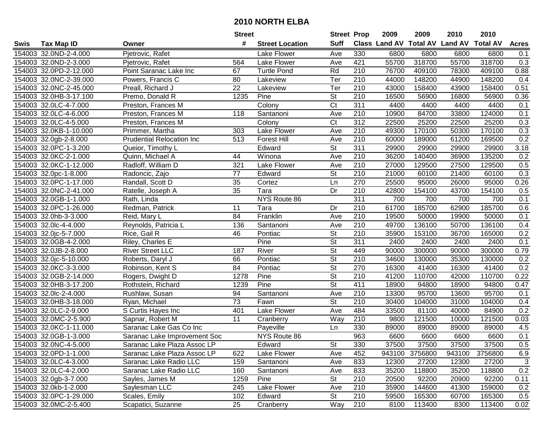|      |                        |                                  | <b>Street</b>   |                        | <b>Street Prop</b>       |                  | 2009  | 2009           | 2010                                    | 2010    |                  |
|------|------------------------|----------------------------------|-----------------|------------------------|--------------------------|------------------|-------|----------------|-----------------------------------------|---------|------------------|
| Swis | <b>Tax Map ID</b>      | Owner                            | #               | <b>Street Location</b> | <b>Suff</b>              |                  |       |                | Class Land AV Total AV Land AV Total AV |         | <b>Acres</b>     |
|      | 154003 32.0ND-2-4.000  | Pjetrovic, Rafet                 |                 | Lake Flower            | Ave                      | 330              | 6800  | 6800           | 6800                                    | 6800    | 0.1              |
|      | 154003 32.0ND-2-3.000  | Pjetrovic, Rafet                 | 564             | Lake Flower            | Ave                      | 421              | 55700 | 318700         | 55700                                   | 318700  | 0.3              |
|      | 154003 32.0PD-2-12.000 | Point Saranac Lake Inc           | 67              | <b>Turtle Pond</b>     | Rd                       | 210              | 76700 | 409100         | 78300                                   | 409100  | 0.88             |
|      | 154003 32.0NC-2-39.000 | Powers, Francis C                | 80              | Lakeview               | Ter                      | 210              | 44000 | 148200         | 44900                                   | 148200  | 0.4              |
|      | 154003 32.0NC-2-45.000 | Preall, Richard J                | $\overline{22}$ | Lakeview               | Ter                      | $\overline{210}$ | 43000 | 158400         | 43900                                   | 158400  | 0.51             |
|      | 154003 32.0HB-3-17.100 | Premo, Donald R                  | 1235            | Pine                   | <b>St</b>                | 210              | 16500 | 56900          | 16800                                   | 56900   | 0.36             |
|      | 154003 32.0LC-4-7.000  | Preston, Frances M               |                 | Colony                 | $\overline{\text{C}t}$   | 311              | 4400  | 4400           | 4400                                    | 4400    | 0.1              |
|      | 154003 32.0LC-4-6.000  | Preston, Frances M               | 118             | Santanoni              | Ave                      | 210              | 10900 | 84700          | 33800                                   | 124000  | 0.1              |
|      | 154003 32.0LC-4-5.000  | Preston, Frances M               |                 | Colony                 | $\overline{C}t$          | 312              | 22500 | 25200          | 22500                                   | 25200   | 0.3              |
|      | 154003 32.0KB-1-10.000 | Primmer, Martha                  | 303             | Lake Flower            | Ave                      | 210              | 49300 | 170100         | 50300                                   | 170100  | 0.3              |
|      | 154003 32.0gb-2-8.000  | <b>Prudential Relocation Inc</b> | 513             | <b>Forest Hill</b>     | Ave                      | 210              | 60000 | 189000         | 61200                                   | 169500  | 0.2              |
|      | 154003 32.0PC-1-3.200  | Queior, Timothy L                |                 | Edward                 | $\overline{\mathsf{St}}$ | 311              | 29900 | 29900          | 29900                                   | 29900   | 3.18             |
|      | 154003 32.0KC-2-1.000  | Quinn, Michael A                 | 44              | Winona                 | Ave                      | 210              | 36200 | 140400         | 36900                                   | 135200  | 0.2              |
|      | 154003 32.0KC-1-12.000 | Radloff, William D               | 321             | Lake Flower            | Ave                      | 210              | 27000 | 129500         | 27500                                   | 129500  | 0.5              |
|      | 154003 32.0pc-1-8.000  | Radoncic, Zajo                   | 77              | Edward                 | St                       | 210              | 21000 | 60100          | 21400                                   | 60100   | 0.3              |
|      | 154003 32.0PC-1-17.000 | Randall, Scott D                 | 35              | Cortez                 | Ln                       | 270              | 25500 | 95000          | 26000                                   | 95000   | 0.26             |
|      | 154003 32.0NC-2-41.000 | Ratelle, Joseph A                | 35              | Tara                   | Dr                       | 210              | 42800 | 154100         | 43700                                   | 154100  | 0.5              |
|      | 154003 32.0GB-1-1.000  | Rath, Linda                      |                 | NYS Route 86           |                          | 311              | 700   | 700            | 700                                     | 700     | 0.1              |
|      | 154003 32.0PC-1-26.000 | Redman, Patrick                  | 11              | Tara                   | Dr                       | 210              | 61700 | 185700         | 62900                                   | 185700  | 0.6              |
|      | 154003 32.0hb-3-3.000  | Reid, Mary L                     | 84              | Franklin               | Ave                      | 210              | 19500 | 50000          | 19900                                   | 50000   | 0.1              |
|      | 154003 32.0lc-4-4.000  | Reynolds, Patricia L             | 136             | Santanoni              | Ave                      | 210              | 49700 | 136100         | 50700                                   | 136100  | 0.4              |
|      | 154003 32.0jc-5-7.000  | Rice, Gail R                     | 46              | Pontiac                | St                       | 210              | 35900 | 153100         | 36700                                   | 165000  | 0.2              |
|      | 154003 32.0GB-4-2.000  | Riley, Charles E                 |                 | Pine                   | <b>St</b>                | 311              | 2400  | 2400           | 2400                                    | 2400    | 0.1              |
|      | 154003 32.0JB-2-8.000  | <b>River Street LLC</b>          | 187             | River                  | <b>St</b>                | 449              | 90000 | 300000         | 90000                                   | 300000  | 0.79             |
|      | 154003 32.0jc-5-10.000 | Roberts, Daryl J                 | 66              | Pontiac                | <b>St</b>                | 210              | 34600 | 130000         | 35300                                   | 130000  | 0.2              |
|      | 154003 32.0KC-3-3.000  | Robinson, Kent S                 | 84              | Pontiac                | $\overline{\mathsf{St}}$ | 270              | 16300 | 41400          | 16300                                   | 41400   | 0.2              |
|      | 154003 32.0GB-2-14.000 | Rogers, Dwight D                 | 1278            | Pine                   | <b>St</b>                | 210              | 41200 | 110700         | 42000                                   | 110700  | 0.22             |
|      | 154003 32.0HB-3-17.200 | Rothstein, Richard               | 1239            | Pine                   | <b>St</b>                | 411              | 18900 | 94800          | 18900                                   | 94800   | 0.47             |
|      | 154003 32.0lc-2-4.000  | Rushlaw, Susan                   | 94              | Santanoni              | Ave                      | 210              | 13300 | 95700          | 13600                                   | 95700   | 0.1              |
|      | 154003 32.0HB-3-18.000 | Ryan, Michael                    | 73              | Fawn                   | $\overline{\mathsf{St}}$ | 210              | 30400 | 104000         | 31000                                   | 104000  | 0.4              |
|      | 154003 32.0LC-2-9.000  | S Curtis Hayes Inc               | 401             | Lake Flower            | Ave                      | 484              | 33500 | 81100          | 40000                                   | 84900   | 0.2              |
|      | 154003 32.0MC-2-5.900  | Sapnar, Robert M                 | $\overline{11}$ | Cranberry              | Way                      | $\overline{210}$ | 9800  | 121500         | 10000                                   | 121500  | 0.03             |
|      | 154003 32.0KC-1-11.000 | Saranac Lake Gas Co Inc          |                 | Payeville              | Ln                       | 330              | 89000 | 89000          | 89000                                   | 89000   | 4.5              |
|      | 154003 32.0GB-1-3.000  | Saranac Lake Improvement Soc     |                 | NYS Route 86           |                          | 963              | 6600  | 6600           | 6600                                    | 6600    | $\overline{0.1}$ |
|      | 154003 32.0NC-4-5.000  | Saranac Lake Plaza Assoc LP      |                 | Edward                 | St                       | 330              | 37500 | 37500          | 37500                                   | 37500   | 0.5              |
|      | 154003 32.0PD-1-1.000  | Saranac Lake Plaza Assoc LP      | 622             | Lake Flower            | Ave                      | 452              |       | 943100 3756800 | 943100                                  | 3756800 | 6.9              |
|      | 154003 32.0LC-4-3.000  | Saranac Lake Radio LLC           | 159             | Santanoni              | Ave                      | 833              | 12300 | 27200          | 12300                                   | 27200   | $\sqrt{3}$       |
|      | 154003 32.0LC-4-2.000  | Saranac Lake Radio LLC           | 160             | Santanoni              | Ave                      | 833              | 35200 | 118800         | 35200                                   | 118800  | 0.2              |
|      | 154003 32.0gb-3-7.000  | Sayles, James M                  | 1259            | Pine                   | St                       | 210              | 20500 | 92200          | 20900                                   | 92200   | 0.11             |
|      | 154003 32.0kb-1-2.000  | Saylesman LLC                    | 245             | Lake Flower            | Ave                      | 210              | 35900 | 144600         | 41300                                   | 159000  | 0.2              |
|      | 154003 32.0PC-1-29.000 | Scales, Emily                    | 102             | Edward                 | St                       | 210              | 59500 | 165300         | 60700                                   | 165300  | 0.5              |
|      | 154003 32.0MC-2-5.400  | Scapatici, Suzanne               | 25              | Cranberry              | Way                      | 210              | 8100  | 113400         | 8300                                    | 113400  | 0.02             |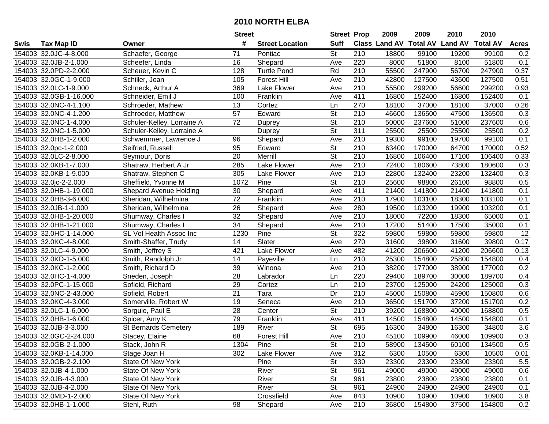|      |                        |                             | <b>Street</b>   |                        | <b>Street Prop</b>       |                  | 2009                          | 2009   | 2010           | 2010            |                  |
|------|------------------------|-----------------------------|-----------------|------------------------|--------------------------|------------------|-------------------------------|--------|----------------|-----------------|------------------|
| Swis | <b>Tax Map ID</b>      | Owner                       | #               | <b>Street Location</b> | <b>Suff</b>              |                  | <b>Class Land AV Total AV</b> |        | <b>Land AV</b> | <b>Total AV</b> | <b>Acres</b>     |
|      | 154003 32.0JC-4-8.000  | Schaefer, George            | 71              | Pontiac                | <b>St</b>                | 210              | 18800                         | 99100  | 19200          | 99100           | 0.2              |
|      | 154003 32.0JB-2-1.000  | Scheefer, Linda             | 16              | Shepard                | Ave                      | 220              | 8000                          | 51800  | 8100           | 51800           | 0.1              |
|      | 154003 32.0PD-2-2.000  | Scheuer, Kevin C            | 128             | <b>Turtle Pond</b>     | Rd                       | 210              | 55500                         | 247900 | 56700          | 247900          | 0.37             |
|      | 154003 32.0GC-1-9.000  | Schiller, Joan              | 105             | <b>Forest Hill</b>     | Ave                      | 210              | 42800                         | 127500 | 43600          | 127500          | 0.51             |
|      | 154003 32.0LC-1-9.000  | Schneck, Arthur A           | 369             | Lake Flower            | Ave                      | 210              | 55500                         | 299200 | 56600          | 299200          | 0.93             |
|      | 154003 32.0GB-1-16.000 | Schneider, Emil J           | 100             | Franklin               | Ave                      | 411              | 16800                         | 152400 | 16800          | 152400          | 0.1              |
|      | 154003 32.0NC-4-1.100  | Schroeder, Mathew           | 13              | Cortez                 | Ln                       | 270              | 18100                         | 37000  | 18100          | 37000           | 0.26             |
|      | 154003 32.0NC-4-1.200  | Schroeder, Matthew          | $\overline{57}$ | Edward                 | $\overline{\mathsf{St}}$ | 210              | 46600                         | 136500 | 47500          | 136500          | 0.3              |
|      | 154003 32.0NC-1-4.000  | Schuler-Kelley, Lorraine A  | $\overline{72}$ | Duprey                 | $\overline{\mathsf{St}}$ | $\overline{210}$ | 50000                         | 237600 | 51000          | 237600          | 0.6              |
|      | 154003 32.0NC-1-5.000  | Schuler-Kelley, Lorraine A  |                 | Duprey                 | $\overline{\mathsf{St}}$ | $\overline{311}$ | 25500                         | 25500  | 25500          | 25500           | 0.2              |
|      | 154003 32.0HB-1-2.000  | Schwemmer, Lawrence J       | 96              | Shepard                | Ave                      | 210              | 19300                         | 99100  | 19700          | 99100           | 0.1              |
|      | 154003 32.0pc-1-2.000  | Seifried, Russell           | 95              | Edward                 | St                       | 210              | 63400                         | 170000 | 64700          | 170000          | 0.52             |
|      | 154003 32.0LC-2-8.000  | Seymour, Doris              | $\overline{20}$ | Merrill                | $\overline{\mathsf{St}}$ | 210              | 16800                         | 106400 | 17100          | 106400          | 0.33             |
|      | 154003 32.0KB-1-7.000  | Shatraw, Herbert A Jr       | 285             | Lake Flower            | Ave                      | 210              | 72400                         | 180600 | 73800          | 180600          | 0.3              |
|      | 154003 32.0KB-1-9.000  | Shatraw, Stephen C          | 305             | Lake Flower            | Ave                      | 210              | 22800                         | 132400 | 23200          | 132400          | 0.3              |
|      | 154003 32.0jc-2-2.000  | Sheffield, Yvonne M         | 1072            | Pine                   | <b>St</b>                | 210              | 25600                         | 98800  | 26100          | 98800           | 0.5              |
|      | 154003 32.0HB-1-19.000 | Shepard Avenue Holding      | 30              | Shepard                | Ave                      | 411              | 21400                         | 141800 | 21400          | 141800          | 0.1              |
|      | 154003 32.0HB-3-6.000  | Sheridan, Wilhelmina        | $\overline{72}$ | Franklin               | Ave                      | 210              | 17900                         | 103100 | 18300          | 103100          | 0.1              |
|      | 154003 32.0JB-1-1.000  | Sheridan, Wilhelmina        | 26              | Shepard                | Ave                      | 280              | 19500                         | 103200 | 19900          | 103200          | 0.1              |
|      | 154003 32.0HB-1-20.000 | Shumway, Charles I          | 32              | Shepard                | Ave                      | 210              | 18000                         | 72200  | 18300          | 65000           | 0.1              |
|      | 154003 32.0HB-1-21.000 | Shumway, Charles I          | 34              | Shepard                | Ave                      | 210              | 17200                         | 51400  | 17500          | 35000           | 0.1              |
|      | 154003 32.0HC-1-14.000 | SL Vol Health Assoc Inc     | 1230            | Pine                   | St                       | 322              | 59800                         | 59800  | 59800          | 59800           | 12               |
|      | 154003 32.0KC-4-8.000  | Smith-Shaffer, Trudy        | 14              | Slater                 | Ave                      | 270              | 31600                         | 39800  | 31600          | 39800           | 0.17             |
|      | 154003 32.0LC-4-9.000  | Smith, Jeffrey S            | 421             | Lake Flower            | Ave                      | 482              | 41200                         | 206600 | 41200          | 206600          | 0.13             |
|      | 154003 32.0KD-1-5.000  | Smith, Randolph Jr          | 14              | Payeville              | Ln                       | $\overline{210}$ | 25300                         | 154800 | 25800          | 154800          | 0.4              |
|      | 154003 32.0KC-1-2.000  | Smith, Richard D            | 39              | Winona                 | Ave                      | 210              | 38200                         | 177000 | 38900          | 177000          | 0.2              |
|      | 154003 32.0HC-1-4.000  | Sneden, Joseph              | 28              | Labrador               | Ln                       | 220              | 29400                         | 189700 | 30000          | 189700          | 0.4              |
|      | 154003 32.0PC-1-15.000 | Sofield, Richard            | 29              | Cortez                 | Ln                       | 210              | 23700                         | 125000 | 24200          | 125000          | 0.3              |
|      | 154003 32.0NC-2-43.000 | Sofield, Robert             | $\overline{21}$ | Tara                   | Dr                       | 210              | 45000                         | 150800 | 45900          | 150800          | 0.6              |
|      | 154003 32.0KC-4-3.000  | Somerville, Robert W        | 19              | Seneca                 | Ave                      | $\overline{210}$ | 36500                         | 151700 | 37200          | 151700          | 0.2              |
|      | 154003 32.0LC-1-6.000  | Sorgule, Paul E             | $\overline{28}$ | Center                 | $\overline{\mathsf{St}}$ | $\overline{210}$ | 39200                         | 168800 | 40000          | 168800          | 0.5              |
|      | 154003 32.0HB-1-6.000  | Spicer, Amy K               | 79              | Franklin               | Ave                      | 411              | 14500                         | 154800 | 14500          | 154800          | 0.1              |
|      | 154003 32.0JB-3-3.000  | <b>St Bernards Cemetery</b> | 189             | River                  | $\overline{St}$          | 695              | 16300                         | 34800  | 16300          | 34800           | $\overline{3.6}$ |
|      | 154003 32.0GC-2-24.000 | Stacey, Elaine              | 68              | <b>Forest Hill</b>     | Ave                      | $\overline{210}$ | 45100                         | 109900 | 46000          | 109900          | 0.3              |
|      | 154003 32.0GB-2-1.000  | Stack, John R               | 1304            | Pine                   | St                       | 210              | 58900                         | 134500 | 60100          | 134500          | 0.5              |
|      | 154003 32.0KB-1-14.000 | Stage Joan H                | 302             | Lake Flower            | Ave                      | 312              | 6300                          | 10500  | 6300           | 10500           | 0.01             |
|      | 154003 32.0GB-2-2.100  | <b>State Of New York</b>    |                 | Pine                   | St                       | 330              | 23300                         | 23300  | 23300          | 23300           | 5.5              |
|      | 154003 32.0JB-4-1.000  | State Of New York           |                 | River                  | <b>St</b>                | 961              | 49000                         | 49000  | 49000          | 49000           | 0.6              |
|      | 154003 32.0JB-4-3.000  | State Of New York           |                 | River                  | <b>St</b>                | 961              | 23800                         | 23800  | 23800          | 23800           | 0.1              |
|      | 154003 32.0JB-4-2.000  | State Of New York           |                 | River                  | <b>St</b>                | 961              | 24900                         | 24900  | 24900          | 24900           | 0.1              |
|      | 154003 32.0MD-1-2.000  | State Of New York           |                 | Crossfield             | Ave                      | 843              | 10900                         | 10900  | 10900          | 10900           | 3.8              |
|      | 154003 32.0HB-1-1.000  | Stehl, Ruth                 | 98              | Shepard                | Ave                      | 210              | 36800                         | 154800 | 37500          | 154800          | 0.2              |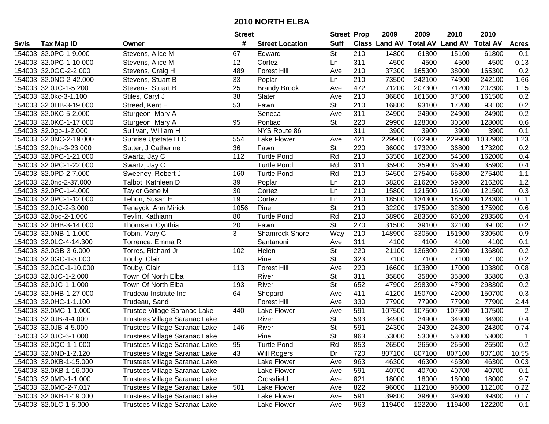|      |                        |                                      | <b>Street</b> |                        | <b>Street Prop</b>       |                  | 2009   | 2009    | 2010                           | 2010            |                |
|------|------------------------|--------------------------------------|---------------|------------------------|--------------------------|------------------|--------|---------|--------------------------------|-----------------|----------------|
| Swis | <b>Tax Map ID</b>      | Owner                                | #             | <b>Street Location</b> | <b>Suff</b>              |                  |        |         | Class Land AV Total AV Land AV | <b>Total AV</b> | <b>Acres</b>   |
|      | 154003 32.0PC-1-9.000  | Stevens, Alice M                     | 67            | Edward                 | <b>St</b>                | 210              | 14800  | 61800   | 15100                          | 61800           | 0.1            |
|      | 154003 32.0PC-1-10.000 | Stevens, Alice M                     | 12            | Cortez                 | Ln                       | 311              | 4500   | 4500    | 4500                           | 4500            | 0.13           |
|      | 154003 32.0GC-2-2.000  | Stevens, Craig H                     | 489           | <b>Forest Hill</b>     | Ave                      | 210              | 37300  | 165300  | 38000                          | 165300          | 0.2            |
|      | 154003 32.0NC-2-42.000 | Stevens, Stuart B                    | 33            | Poplar                 | Ln                       | 210              | 73500  | 242100  | 74900                          | 242100          | 1.66           |
|      | 154003 32.0JC-1-5.200  | Stevens, Stuart B                    | 25            | <b>Brandy Brook</b>    | Ave                      | 472              | 71200  | 207300  | 71200                          | 207300          | 1.15           |
|      | 154003 32.0kc-3-1.100  | Stiles, Caryl J                      | 38            | Slater                 | Ave                      | $\overline{210}$ | 36800  | 161500  | 37500                          | 161500          | 0.2            |
|      | 154003 32.0HB-3-19.000 | Streed, Kent E                       | 53            | Fawn                   | <b>St</b>                | 210              | 16800  | 93100   | 17200                          | 93100           | 0.2            |
|      | 154003 32.0KC-5-2.000  | Sturgeon, Mary A                     |               | Seneca                 | Ave                      | 311              | 24900  | 24900   | 24900                          | 24900           | 0.2            |
|      | 154003 32.0KC-1-17.000 | Sturgeon, Mary A                     | 95            | Pontiac                | $\overline{\mathsf{St}}$ | 220              | 29900  | 128000  | 30500                          | 128000          | 0.6            |
|      | 154003 32.0gb-1-2.000  | Sullivan, William H                  |               | NYS Route 86           |                          | $\overline{311}$ | 3900   | 3900    | 3900                           | 3900            | 0.1            |
|      | 154003 32.0NC-2-19.000 | <b>Sunrise Upstate LLC</b>           | 554           | Lake Flower            | Ave                      | 421              | 229900 | 1032900 | 229900                         | 1032900         | 1.23           |
|      | 154003 32.0hb-3-23.000 | Sutter, J Catherine                  | 36            | Fawn                   | St                       | 220              | 36000  | 173200  | 36800                          | 173200          | 0.2            |
|      | 154003 32.0PC-1-21.000 | Swartz, Jay C                        | 112           | <b>Turtle Pond</b>     | Rd                       | 210              | 53500  | 162000  | 54500                          | 162000          | 0.4            |
|      | 154003 32.0PC-1-22.000 | Swartz, Jay C                        |               | <b>Turtle Pond</b>     | Rd                       | 311              | 35900  | 35900   | 35900                          | 35900           | 0.4            |
|      | 154003 32.0PD-2-7.000  | Sweeney, Robert J                    | 160           | <b>Turtle Pond</b>     | Rd                       | 210              | 64500  | 275400  | 65800                          | 275400          | 1.1            |
|      | 154003 32.0nc-2-37.000 | Talbot, Kathleen D                   | 39            | Poplar                 | Ln                       | 210              | 58200  | 216200  | 59300                          | 216200          | 1.2            |
|      | 154003 32.0PC-1-4.000  | <b>Taylor Gene M</b>                 | 30            | Cortez                 | Ln                       | 210              | 15800  | 121500  | 16100                          | 121500          | 0.3            |
|      | 154003 32.0PC-1-12.000 | Tehon, Susan E                       | 19            | Cortez                 | Ln                       | 210              | 18500  | 134300  | 18500                          | 124300          | 0.11           |
|      | 154003 32.0JC-2-3.000  | Teneyck, Ann Mirick                  | 1056          | Pine                   | $\overline{\mathsf{St}}$ | 210              | 32200  | 175900  | 32800                          | 175900          | 0.6            |
|      | 154003 32.0pd-2-1.000  | Tevlin, Kathiann                     | 80            | <b>Turtle Pond</b>     | Rd                       | 210              | 58900  | 283500  | 60100                          | 283500          | 0.4            |
|      | 154003 32.0HB-3-14.000 | Thomsen, Cynthia                     | 20            | Fawn                   | $\overline{\mathsf{St}}$ | 270              | 31500  | 39100   | 32100                          | 39100           | 0.2            |
|      | 154003 32.0NB-1-1.000  | Tobin, Mary C                        | 3             | Shamrock Shore         | Way                      | 210              | 148900 | 330500  | 151900                         | 330500          | 0.9            |
|      | 154003 32.0LC-4-14.300 | Torrence, Emma R                     |               | Santanoni              | Ave                      | 311              | 4100   | 4100    | 4100                           | 4100            | 0.1            |
|      | 154003 32.0GB-3-6.000  | Torres, Richard Jr                   | 102           | Helen                  | <b>St</b>                | 220              | 21100  | 136800  | 21500                          | 136800          | 0.2            |
|      | 154003 32.0GC-1-3.000  | Touby, Clair                         |               | Pine                   | $\overline{\mathsf{St}}$ | 323              | 7100   | 7100    | 7100                           | 7100            | 0.2            |
|      | 154003 32.0GC-1-10.000 | Touby, Clair                         | 113           | <b>Forest Hill</b>     | Ave                      | 220              | 16600  | 103800  | 17000                          | 103800          | 0.08           |
|      | 154003 32.0JC-1-2.000  | Town Of North Elba                   |               | River                  | $\overline{\mathsf{St}}$ | $\overline{311}$ | 35800  | 35800   | 35800                          | 35800           | 0.3            |
|      | 154003 32.0JC-1-1.000  | Town Of North Elba                   | 193           | River                  | $\overline{\mathsf{St}}$ | 652              | 47900  | 298300  | 47900                          | 298300          | 0.2            |
|      | 154003 32.0HB-1-27.000 | Trudeau Institute Inc                | 64            | Shepard                | Ave                      | 411              | 41200  | 150700  | 42000                          | 150700          | 0.3            |
|      | 154003 32.0HC-1-1.100  | Trudeau, Sand                        |               | <b>Forest Hill</b>     | Ave                      | 330              | 77900  | 77900   | 77900                          | 77900           | 2.44           |
|      | 154003 32.0MC-1-1.000  | Trustee Village Saranac Lake         | 440           | Lake Flower            | Ave                      | 591              | 107500 | 107500  | 107500                         | 107500          | $\overline{2}$ |
|      | 154003 32.0JB-4-4.000  | Trustees Village Saranac Lake        |               | River                  | $\overline{\mathsf{St}}$ | 593              | 34900  | 34900   | 34900                          | 34900           | 0.4            |
|      | 154003 32.0JB-4-5.000  | Trustees Village Saranac Lake        | 146           | River                  | $\overline{\mathsf{St}}$ | 591              | 24300  | 24300   | 24300                          | 24300           | 0.74           |
|      | 154003 32.0JC-6-1.000  | Trustees Village Saranac Lake        |               | Pine                   | $\overline{\mathsf{St}}$ | 963              | 53000  | 53000   | 53000                          | 53000           | $\mathbf{1}$   |
|      | 154003 32.0QC-1-1.000  | Trustees Village Saranac Lake        | 95            | Turtle Pond            | Rd                       | 853              | 26500  | 26500   | 26500                          | 26500           | 0.2            |
|      | 154003 32.0ND-1-2.120  | <b>Trustees Village Saranac Lake</b> | 43            | Will Rogers            | Dr                       | 720              | 807100 | 807100  | 807100                         | 807100          | 10.55          |
|      | 154003 32.0KB-1-15.000 | <b>Trustees Village Saranac Lake</b> |               | Lake Flower            | Ave                      | 963              | 46300  | 46300   | 46300                          | 46300           | 0.03           |
|      | 154003 32.0KB-1-16.000 | <b>Trustees Village Saranac Lake</b> |               | Lake Flower            | Ave                      | 591              | 40700  | 40700   | 40700                          | 40700           | 0.1            |
|      | 154003 32.0MD-1-1.000  | Trustees Village Saranac Lake        |               | Crossfield             | Ave                      | 821              | 18000  | 18000   | 18000                          | 18000           | 9.7            |
|      | 154003 32.0MC-2-7.017  | Trustees Village Saranac Lake        | 501           | Lake Flower            | Ave                      | 822              | 96000  | 112100  | 96000                          | 112100          | 0.22           |
|      | 154003 32.0KB-1-19.000 | <b>Trustees Village Saranac Lake</b> |               | Lake Flower            | Ave                      | 591              | 39800  | 39800   | 39800                          | 39800           | 0.17           |
|      | 154003 32.0LC-1-5.000  | Trustees Village Saranac Lake        |               | Lake Flower            | Ave                      | 963              | 119400 | 122200  | 119400                         | 122200          | 0.1            |
|      |                        |                                      |               |                        |                          |                  |        |         |                                |                 |                |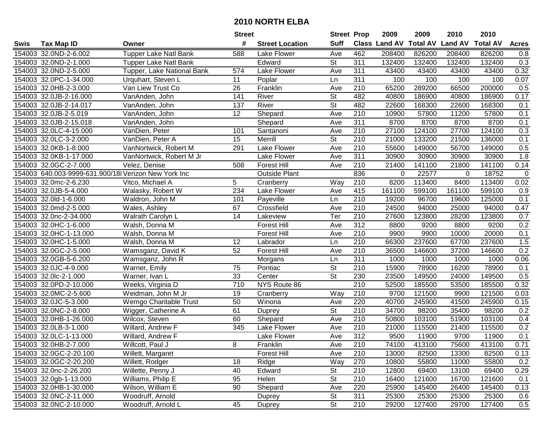|      |                        |                                                     | <b>Street</b>   |                        | <b>Street Prop</b>       |                  | 2009                          | 2009   | 2010           | 2010            |              |
|------|------------------------|-----------------------------------------------------|-----------------|------------------------|--------------------------|------------------|-------------------------------|--------|----------------|-----------------|--------------|
| Swis | <b>Tax Map ID</b>      | Owner                                               | #               | <b>Street Location</b> | <b>Suff</b>              |                  | <b>Class Land AV Total AV</b> |        | <b>Land AV</b> | <b>Total AV</b> | <b>Acres</b> |
|      | 154003 32.0ND-2-6.002  | <b>Tupper Lake Natl Bank</b>                        | 588             | Lake Flower            | Ave                      | 462              | 208400                        | 826200 | 208400         | 826200          | 0.8          |
|      | 154003 32.0ND-2-1.000  | <b>Tupper Lake Natl Bank</b>                        |                 | Edward                 | St                       | 311              | 132400                        | 132400 | 132400         | 132400          | 0.3          |
|      | 154003 32.0ND-2-5.000  | Tupper, Lake National Bank                          | 574             | Lake Flower            | Ave                      | 311              | 43400                         | 43400  | 43400          | 43400           | 0.32         |
|      | 154003 32.0PC-1-34.000 | Urquhart, Steven L                                  | 11              | Poplar                 | Ln                       | 311              | 100                           | 100    | 100            | 100             | 0.07         |
|      | 154003 32.0HB-2-3.000  | Van Liew Trust Co                                   | 26              | Franklin               | Ave                      | 210              | 65200                         | 289200 | 66500          | 200000          | 0.5          |
|      | 154003 32.0JB-2-16.000 | VanAnden, John                                      | 141             | River                  | $\overline{\mathsf{St}}$ | 482              | 40800                         | 186900 | 40800          | 186900          | 0.17         |
|      | 154003 32.0JB-2-14.017 | VanAnden, John                                      | 137             | River                  | St                       | 482              | 22600                         | 168300 | 22600          | 168300          | 0.1          |
|      | 154003 32.0JB-2-5.019  | VanAnden, John                                      | $\overline{12}$ | Shepard                | Ave                      | 210              | 10900                         | 57800  | 11200          | 57800           | 0.1          |
|      | 154003 32.0JB-2-15.018 | VanAnden, John                                      |                 | Shepard                | Ave                      | 311              | 8700                          | 8700   | 8700           | 8700            | 0.1          |
|      | 154003 32.0LC-4-15.000 | VanDien, Peter                                      | 101             | Santanoni              | Ave                      | 210              | 27100                         | 124100 | 27700          | 124100          | 0.3          |
|      | 154003 32.0LC-3-2.000  | VanDien, Peter A                                    | 15              | Merrill                | $\overline{\mathsf{St}}$ | 210              | 21000                         | 133200 | 21500          | 136000          | 0.1          |
|      | 154003 32.0KB-1-8.000  | VanNortwick, Robert M                               | 291             | Lake Flower            | Ave                      | 210              | 55600                         | 149000 | 56700          | 149000          | 0.5          |
|      | 154003 32.0KB-1-17.000 | VanNortwick, Robert M Jr                            |                 | Lake Flower            | Ave                      | 311              | 30900                         | 30900  | 30900          | 30900           | 1.8          |
|      | 154003 32.0GC-2-7.000  | Velez, Denise                                       | 508             | <b>Forest Hill</b>     | Ave                      | 210              | 21400                         | 141100 | 21800          | 141100          | 0.14         |
|      |                        | 154003 640.003-9999-631.900/18 Verizon New York Inc |                 | <b>Outside Plant</b>   |                          | 836              | 0                             | 22577  | 0              | 18752           | $\mathbf 0$  |
|      | 154003 32.0mc-2-6.230  | Vitco, Michael A                                    | 5               | Cranberry              | Way                      | 210              | 8200                          | 113400 | 8400           | 113400          | 0.02         |
|      | 154003 32.0JB-5-4.000  | Walasky, Robert W                                   | 234             | Lake Flower            | Ave                      | 415              | 161100                        | 599100 | 161100         | 599100          | 0.9          |
|      | 154003 32.0ld-1-6.000  | Waldron, John M                                     | 101             | Payeville              | Ln                       | 210              | 19200                         | 96700  | 19600          | 125000          | 0.1          |
|      | 154003 32.0md-2-5.000  | Wales, Ashley                                       | 67              | Crossfield             | Ave                      | 210              | 24500                         | 94000  | 25000          | 94000           | 0.47         |
|      | 154003 32.0nc-2-34.000 | Walrath Carolyn L                                   | 14              | Lakeview               | Ter                      | 210              | 27600                         | 123800 | 28200          | 123800          | 0.7          |
|      | 154003 32.0HC-1-6.000  | Walsh, Donna M                                      |                 | <b>Forest Hill</b>     | Ave                      | 312              | 8800                          | 9200   | 8800           | 9200            | 0.2          |
|      | 154003 32.0HC-1-13.000 | Walsh, Donna M                                      |                 | <b>Forest Hill</b>     | Ave                      | 210              | 9900                          | 9900   | 10000          | 20000           | 0.1          |
|      | 154003 32.0HC-1-5.000  | Walsh, Donna M                                      | 12              | Labrador               | Ln                       | 210              | 66300                         | 237600 | 67700          | 237600          | 1.5          |
|      | 154003 32.0GC-2-5.000  | Wamsganz, David K                                   | 52              | <b>Forest Hill</b>     | Ave                      | 210              | 36500                         | 146600 | 37200          | 146600          | 0.2          |
|      | 154003 32.0GB-5-6.200  | Wamsganz, John R                                    |                 | Morgans                | Ln                       | 311              | 1000                          | 1000   | 1000           | 1000            | 0.06         |
|      | 154003 32.0JC-4-9.000  | Warner, Emily                                       | 75              | Pontiac                | $\overline{\mathsf{St}}$ | 210              | 15900                         | 78900  | 16200          | 78900           | 0.1          |
|      | 154003 32.0lc-2-1.000  | Warner, Ivan L                                      | 33              | Center                 | $\overline{\mathsf{St}}$ | 230              | 23500                         | 149500 | 24000          | 149500          | 0.5          |
|      | 154003 32.0PD-2-10.000 | Weeks, Virginia D                                   | 710             | NYS Route 86           |                          | 210              | 52500                         | 185500 | 53500          | 185500          | 0.32         |
|      | 154003 32.0MC-2-5.600  | Weidman, John M Jr                                  | 19              | Cranberry              | Way                      | 210              | 9700                          | 121500 | 9900           | 121500          | 0.03         |
|      | 154003 32.0JC-5-3.000  | Wemgo Charitable Trust                              | 50              | Winona                 | Ave                      | 220              | 40700                         | 245900 | 41500          | 245900          | 0.15         |
|      | 154003 32.0NC-2-8.000  | Wigger, Catherine A                                 | 61              | Duprey                 | $\overline{\mathsf{St}}$ | 210              | 34700                         | 98200  | 35400          | 98200           | 0.2          |
|      | 154003 32.0HB-1-26.000 | Wilcox, Steven                                      | 60              | Shepard                | Ave                      | $\overline{210}$ | 50800                         | 103100 | 51900          | 103100          | 0.4          |
|      | 154003 32.0LB-3-1.000  | Willard, Andrew F                                   | 345             | <b>Lake Flower</b>     | Ave                      | $\overline{210}$ | 21000                         | 115500 | 21400          | 115500          | 0.2          |
|      | 154003 32.0LC-1-13.000 | Willard, Andrew F                                   |                 | Lake Flower            | Ave                      | $\overline{312}$ | 9500                          | 11900  | 9700           | 11900           | 0.1          |
|      | 154003 32.0HB-2-7.000  | Willcott, Paul J                                    | 8               | Franklin               | Ave                      | 210              | 74100                         | 413100 | 75600          | 413100          | 0.71         |
|      | 154003 32.0GC-2-20.100 | Willett, Margaret                                   |                 | Forest Hill            | Ave                      | 210              | 13000                         | 82500  | 13300          | 82500           | 0.13         |
|      | 154003 32.0GC-2-20.200 | Willett, Rodger                                     | 18              | Ridge                  | Way                      | 270              | 10800                         | 55800  | 11000          | 55800           | 0.2          |
|      | 154003 32.0nc-2-26.200 | Willette, Penny J                                   | 40              | Edward                 | <b>St</b>                | 210              | 12800                         | 69400  | 13100          | 69400           | 0.29         |
|      | 154003 32.0gb-1-13.000 | Williams, Philip E                                  | 95              | Helen                  | <b>St</b>                | 210              | 16400                         | 121600 | 16700          | 121600          | 0.1          |
|      | 154003 32.0HB-1-30.000 | Wilson, William E                                   | 90              | Shepard                | Ave                      | 220              | 25900                         | 145400 | 26400          | 145400          | 0.13         |
|      | 154003 32.0NC-2-11.000 | Woodruff, Arnold                                    |                 | Duprey                 | <b>St</b>                | 311              | 25300                         | 25300  | 25300          | 25300           | 0.6          |
|      | 154003 32.0NC-2-10.000 | Woodruff, Arnold L                                  | 45              | Duprey                 | <b>St</b>                | 210              | 29200                         | 127400 | 29700          | 127400          | 0.5          |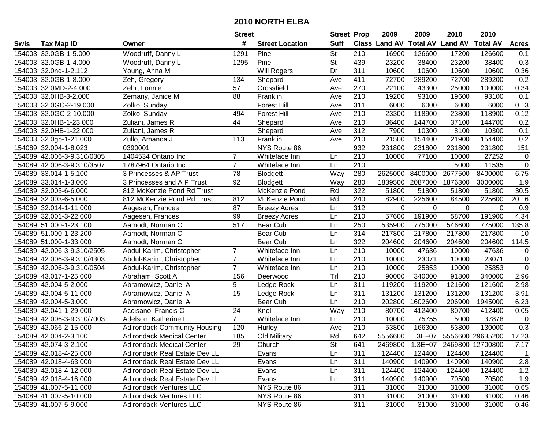|      |                            |                                      | <b>Street</b>   |                        | <b>Street Prop</b> |                  | 2009                 | 2009            | 2010           | 2010             |                  |
|------|----------------------------|--------------------------------------|-----------------|------------------------|--------------------|------------------|----------------------|-----------------|----------------|------------------|------------------|
| Swis | <b>Tax Map ID</b>          | Owner                                | #               | <b>Street Location</b> | <b>Suff</b>        |                  | <b>Class Land AV</b> | <b>Total AV</b> | <b>Land AV</b> | <b>Total AV</b>  | <b>Acres</b>     |
|      | 154003 32.0GB-1-5.000      | Woodruff, Danny L                    | 1291            | Pine                   | <b>St</b>          | 210              | 16900                | 126600          | 17200          | 126600           | 0.1              |
|      | 154003 32.0GB-1-4.000      | Woodruff, Danny L                    | 1295            | Pine                   | <b>St</b>          | 439              | 23200                | 38400           | 23200          | 38400            | 0.3              |
|      | 154003 32.0nd-1-2.112      | Young, Anna M                        |                 | Will Rogers            | Dr                 | 311              | 10600                | 10600           | 10600          | 10600            | 0.36             |
|      | 154003 32.0GB-1-8.000      | Zeh, Gregory                         | 134             | Shepard                | Ave                | 411              | 72700                | 289200          | 72700          | 289200           | 0.2              |
|      | 154003 32.0MD-2-4.000      | Zehr, Lonnie                         | 57              | Crossfield             | Ave                | 270              | 22100                | 43300           | 25000          | 100000           | 0.34             |
|      | 154003 32.0HB-3-2.000      | Zemany, Janice M                     | 88              | Franklin               | Ave                | $\overline{210}$ | 19200                | 93100           | 19600          | 93100            | 0.1              |
|      | 154003 32.0GC-2-19.000     | Zolko, Sunday                        |                 | <b>Forest Hill</b>     | Ave                | 311              | 6000                 | 6000            | 6000           | 6000             | 0.13             |
|      | 154003 32.0GC-2-10.000     | Zolko, Sunday                        | 494             | <b>Forest Hill</b>     | Ave                | 210              | 23300                | 118900          | 23800          | 118900           | 0.12             |
|      | 154003 32.0HB-1-23.000     | Zuliani, James R                     | 44              | Shepard                | Ave                | $\overline{210}$ | 36400                | 144700          | 37100          | 144700           | 0.2              |
|      | 154003 32.0HB-1-22.000     | Zuliani, James R                     |                 | Shepard                | Ave                | $\overline{312}$ | 7900                 | 10300           | 8100           | 10300            | 0.1              |
|      | 154003 32.0gb-1-21.000     | Zullo, Amanda J                      | 113             | Franklin               | Ave                | 210              | 21500                | 154400          | 21900          | 154400           | 0.2              |
|      | 154089 32.004-1-8.023      | 0390001                              |                 | NYS Route 86           |                    | 932              | 231800               | 231800          | 231800         | 231800           | 151              |
|      | 154089 42.006-3-9.310/0305 | 1404534 Ontario Inc                  | $\overline{7}$  | Whiteface Inn          | Ln                 | $\overline{210}$ | 10000                | 77100           | 10000          | 27252            | $\pmb{0}$        |
|      | 154089 42.006-3-9.310/3507 | 1787964 Ontario Inc                  | $\overline{7}$  | Whiteface Inn          | Ln                 | 210              |                      |                 | 5000           | 11535            | $\pmb{0}$        |
|      | 154089 33.014-1-5.100      | 3 Princesses & AP Trust              | 78              | <b>Blodgett</b>        | Way                | 280              | 2625000              | 8400000         | 2677500        | 8400000          | 6.75             |
|      | 154089 33.014-1-3.000      | 3 Princesses and A P Trust           | 92              | <b>Blodgett</b>        | Way                | 280              | 1839500              | 2087000         | 1876300        | 3000000          | 1.9              |
|      | 154089 32.003-6-6.000      | 812 McKenzie Pond Rd Trust           |                 | McKenzie Pond          | Rd                 | 322              | 51800                | 51800           | 51800          | 51800            | 30.5             |
|      | 154089 32.003-6-5.000      | 812 McKenzie Pond Rd Trust           | 812             | McKenzie Pond          | Rd                 | 240              | 82900                | 225600          | 84500          | 225600           | 20.16            |
|      | 154089 32.014-1-11.000     | Aagesen, Frances I                   | 87              | <b>Breezy Acres</b>    | Ln                 | 312              | 0                    | 0               | 0              | 0                | 0.9              |
|      | 154089 32.001-3-22.000     | Aagesen, Frances I                   | 99              | <b>Breezy Acres</b>    | Ln                 | 210              | 57600                | 191900          | 58700          | 191900           | 4.34             |
|      | 154089 51.000-1-23.100     | Aamodt, Norman O                     | 517             | Bear Cub               | Ln                 | 250              | 535900               | 775000          | 546600         | 775000           | 135.8            |
|      | 154089 51.000-1-23.200     | Aamodt, Norman O                     |                 | Bear Cub               | Ln                 | 314              | 217800               | 217800          | 217800         | 217800           | 10               |
|      | 154089 51.000-1-33.000     | Aamodt, Norman O                     |                 | Bear Cub               | Ln                 | 322              | 204600               | 204600          | 204600         | 204600           | 114.5            |
|      | 154089 42.006-3-9.310/2505 | Abdul-Karim, Christopher             | $\overline{7}$  | Whiteface Inn          | Ln                 | 210              | 10000                | 47636           | 10000          | 47636            | $\pmb{0}$        |
|      | 154089 42.006-3-9.310/4303 | Abdul-Karim, Christopher             | $\overline{7}$  | Whiteface Inn          | Ln                 | 210              | 10000                | 23071           | 10000          | 23071            | $\pmb{0}$        |
|      | 154089 42.006-3-9.310/0504 | Abdul-Karim, Christopher             | $\overline{7}$  | Whiteface Inn          | Ln                 | 210              | 10000                | 25853           | 10000          | 25853            | $\pmb{0}$        |
|      | 154089 43.017-1-25.000     | Abraham, Scott A                     | 156             | Deerwood               | Tr                 | 210              | 90000                | 340000          | 91800          | 340000           | 2.96             |
|      | 154089 42.004-5-2.000      | Abramowicz, Daniel A                 | 5               | Ledge Rock             | Ln                 | 311              | 119200               | 119200          | 121600         | 121600           | 2.98             |
|      | 154089 42.004-5-11.000     | Abramowicz, Daniel A                 | $\overline{15}$ | Ledge Rock             | Ln                 | $\overline{311}$ | 131200               | 131200          | 131200         | 131200           | 3.91             |
|      | 154089 42.004-5-3.000      | Abramowicz, Daniel A                 |                 | Bear Cub               | Ln                 | $\overline{210}$ | 202800               | 1602600         | 206900         | 1945000          | 6.23             |
|      | 154089 42.041-1-29.000     | Accisano, Francis C                  | $\overline{24}$ | Knoll                  | Way                | $\overline{210}$ | 80700                | 412400          | 80700          | 412400           | 0.05             |
|      | 154089 42.006-3-9.310/7003 | Adelson, Katherine L                 | $\overline{7}$  | Whiteface Inn          | Ln                 | 210              | 10000                | 75755           | 5000           | 37878            | $\mathbf 0$      |
|      | 154089 42.066-2-15.000     | <b>Adirondack Community Housing</b>  | 120             | Hurley                 | Ave                | $\overline{210}$ | 53800                | 166300          | 53800          | 130000           | $\overline{0.3}$ |
|      | 154089 42.004-2-3.100      | <b>Adirondack Medical Center</b>     | 185             | Old Military           | Rd                 | 642              | 5556600              | 3E+07           |                | 5556600 29635200 | 17.23            |
|      | 154089 42.074-3-2.100      | Adirondack Medical Center            | 29              | Church                 | St                 | 641              | 2469800              | $1.3E + 07$     |                | 2469800 12700800 | 7.17             |
|      | 154089 42.018-4-25.000     | Adirondack Real Estate Dev LL        |                 | Evans                  | Ln                 | 311              | 124400               | 124400          | 124400         | 124400           | 1                |
|      | 154089 42.018-4-63.000     | Adirondack Real Estate Dev LL        |                 | Evans                  | Ln                 | 311              | 140900               | 140900          | 140900         | 140900           | 2.8              |
|      | 154089 42.018-4-12.000     | <b>Adirondack Real Estate Dev LL</b> |                 | Evans                  | Ln                 | 311              | 124400               | 124400          | 124400         | 124400           | 1.2              |
|      | 154089 42.018-4-16.000     | Adirondack Real Estate Dev LL        |                 | Evans                  | Ln                 | 311              | 140900               | 140900          | 70500          | 70500            | 1.9              |
|      | 154089 41.007-5-11.000     | <b>Adirondack Ventures LLC</b>       |                 | NYS Route 86           |                    | 311              | 31000                | 31000           | 31000          | 31000            | 0.65             |
|      | 154089 41.007-5-10.000     | <b>Adirondack Ventures LLC</b>       |                 | NYS Route 86           |                    | 311              | 31000                | 31000           | 31000          | 31000            | 0.46             |
|      | 154089 41.007-5-9.000      | <b>Adirondack Ventures LLC</b>       |                 | NYS Route 86           |                    | 311              | 31000                | 31000           | 31000          | 31000            | 0.46             |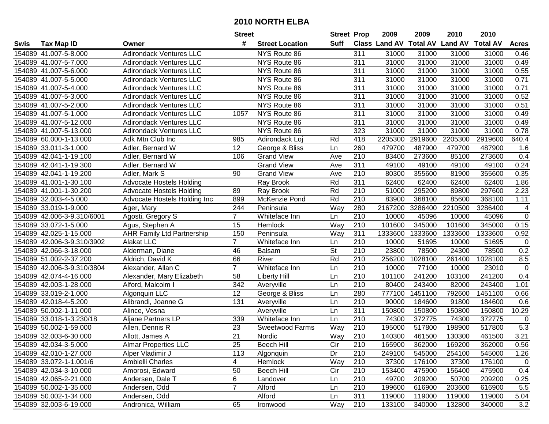|      |                            |                                   | <b>Street</b>   |                        | <b>Street Prop</b> |                  | 2009    | 2009    | 2010                                    | 2010    |                  |
|------|----------------------------|-----------------------------------|-----------------|------------------------|--------------------|------------------|---------|---------|-----------------------------------------|---------|------------------|
| Swis | <b>Tax Map ID</b>          | Owner                             | #               | <b>Street Location</b> | <b>Suff</b>        |                  |         |         | Class Land AV Total AV Land AV Total AV |         | <b>Acres</b>     |
|      | 154089 41.007-5-8.000      | <b>Adirondack Ventures LLC</b>    |                 | NYS Route 86           |                    | 311              | 31000   | 31000   | 31000                                   | 31000   | 0.46             |
|      | 154089 41.007-5-7.000      | <b>Adirondack Ventures LLC</b>    |                 | NYS Route 86           |                    | 311              | 31000   | 31000   | 31000                                   | 31000   | 0.49             |
|      | 154089 41.007-5-6.000      | <b>Adirondack Ventures LLC</b>    |                 | NYS Route 86           |                    | 311              | 31000   | 31000   | 31000                                   | 31000   | 0.55             |
|      | 154089 41.007-5-5.000      | <b>Adirondack Ventures LLC</b>    |                 | NYS Route 86           |                    | 311              | 31000   | 31000   | 31000                                   | 31000   | 0.71             |
|      | 154089 41.007-5-4.000      | <b>Adirondack Ventures LLC</b>    |                 | NYS Route 86           |                    | $\overline{311}$ | 31000   | 31000   | 31000                                   | 31000   | 0.71             |
|      | 154089 41.007-5-3.000      | <b>Adirondack Ventures LLC</b>    |                 | NYS Route 86           |                    | 311              | 31000   | 31000   | 31000                                   | 31000   | 0.52             |
|      | 154089 41.007-5-2.000      | <b>Adirondack Ventures LLC</b>    |                 | NYS Route 86           |                    | 311              | 31000   | 31000   | 31000                                   | 31000   | 0.51             |
|      | 154089 41.007-5-1.000      | <b>Adirondack Ventures LLC</b>    | 1057            | NYS Route 86           |                    | 311              | 31000   | 31000   | 31000                                   | 31000   | 0.49             |
|      | 154089 41.007-5-12.000     | <b>Adirondack Ventures LLC</b>    |                 | NYS Route 86           |                    | 311              | 31000   | 31000   | 31000                                   | 31000   | 0.49             |
|      | 154089 41.007-5-13.000     | <b>Adirondack Ventures LLC</b>    |                 | NYS Route 86           |                    | 323              | 31000   | 31000   | 31000                                   | 31000   | 0.78             |
|      | 154089 60.000-1-13.000     | Adk Mtn Club Inc                  | 985             | Adirondack Loj         | Rd                 | 418              | 2205300 | 2919600 | 2205300                                 | 2919600 | 640.4            |
|      | 154089 33.011-3-1.000      | Adler, Bernard W                  | 12              | George & Bliss         | Ln                 | 260              | 479700  | 487900  | 479700                                  | 487900  | 1.6              |
|      | 154089 42.041-1-19.100     | Adler, Bernard W                  | 106             | <b>Grand View</b>      | Ave                | 210              | 83400   | 273600  | 85100                                   | 273600  | 0.4              |
|      | 154089 42.041-1-19.300     | Adler, Bernard W                  |                 | <b>Grand View</b>      | Ave                | 311              | 49100   | 49100   | 49100                                   | 49100   | 0.24             |
|      | 154089 42.041-1-19.200     | Adler, Mark S                     | 90              | <b>Grand View</b>      | Ave                | 210              | 80300   | 355600  | 81900                                   | 355600  | 0.35             |
|      | 154089 41.001-1-30.100     | <b>Advocate Hostels Holding</b>   |                 | Ray Brook              | Rd                 | 311              | 62400   | 62400   | 62400                                   | 62400   | 1.86             |
|      | 154089 41.001-1-30.200     | <b>Advocate Hostels Holding</b>   | 89              | Ray Brook              | Rd                 | 210              | 51000   | 295200  | 89800                                   | 297600  | 2.23             |
|      | 154089 32.003-4-5.000      | Advocate Hostels Holding Inc      | 899             | McKenzie Pond          | Rd                 | $\overline{210}$ | 83900   | 368100  | 85600                                   | 368100  | 1.11             |
|      | 154089 33.019-1-9.000      | Ager, Mary                        | 244             | Peninsula              | Way                | 280              | 2167200 | 3286400 | 2210500                                 | 3286400 | 4                |
|      | 154089 42.006-3-9.310/6001 | Agosti, Gregory S                 | $\overline{7}$  | Whiteface Inn          | Ln                 | 210              | 10000   | 45096   | 10000                                   | 45096   | $\mathsf 0$      |
|      | 154089 33.072-1-5.000      | Agus, Stephen A                   | 15              | Hemlock                | Way                | 210              | 101600  | 345000  | 101600                                  | 345000  | 0.15             |
|      | 154089 42.025-1-15.000     | <b>AHR Family Ltd Partnership</b> | 150             | Peninsula              | Way                | 311              | 1333600 | 1333600 | 1333600                                 | 1333600 | 0.92             |
|      | 154089 42.006-3-9.310/3902 | <b>Alakat LLC</b>                 | $\overline{7}$  | Whiteface Inn          | Ln                 | 210              | 10000   | 51695   | 10000                                   | 51695   | $\pmb{0}$        |
|      | 154089 42.066-3-18.000     | Alderman, Diane                   | 46              | <b>Balsam</b>          | St                 | 210              | 23800   | 78500   | 24300                                   | 78500   | 0.2              |
|      | 154089 51.002-2-37.200     | Aldrich, David K                  | 66              | River                  | Rd                 | 210              | 256200  | 1028100 | 261400                                  | 1028100 | 8.5              |
|      | 154089 42.006-3-9.310/3804 | Alexander, Allan C                | $\overline{7}$  | Whiteface Inn          | Ln                 | 210              | 10000   | 77100   | 10000                                   | 23010   | $\boldsymbol{0}$ |
|      | 154089 42.074-4-16.000     | Alexander, Mary Elizabeth         | 58              | <b>Liberty Hill</b>    | Ln                 | 210              | 101100  | 241200  | 103100                                  | 241200  | 0.4              |
|      | 154089 42.003-1-28.000     | Alford, Malcolm I                 | 342             | Averyville             | Ln                 | 210              | 80400   | 243400  | 82000                                   | 243400  | 1.01             |
|      | 154089 33.019-2-1.000      | Algonquin LLC                     | 12              | George & Bliss         | Ln                 | 280              | 777100  | 1451100 | 792600                                  | 1451100 | 0.66             |
|      | 154089 42.018-4-5.200      | Alibrandi, Joanne G               | 131             | Averyville             | Ln                 | 210              | 90000   | 184600  | 91800                                   | 184600  | 0.6              |
|      | 154089 50.002-1-11.000     | Alince, Vesna                     |                 | Averyville             | Ln                 | 311              | 150800  | 150800  | 150800                                  | 150800  | 10.29            |
|      | 154089 33.018-1-3.230/18   | Aljane Partners LP                | 339             | Whiteface Inn          | Ln                 | $\overline{210}$ | 74300   | 372775  | 74300                                   | 372775  | 0                |
|      | 154089 50.002-1-59.000     | Allen, Dennis R                   | 23              | Sweetwood Farms        | Way                | 210              | 195000  | 517800  | 198900                                  | 517800  | 5.3              |
|      | 154089 32.003-6-30.000     | Allott, James A                   | $\overline{21}$ | Nordic                 | $\overline{W}$ ay  | 210              | 140300  | 461500  | 130300                                  | 461500  | 3.21             |
|      | 154089 42.034-3-5.000      | <b>Almar Properties LLC</b>       | 25              | <b>Beech Hill</b>      | Cir                | 210              | 165900  | 362000  | 169200                                  | 362000  | 0.56             |
|      | 154089 42.010-1-27.000     | Alper Vladimir J                  | 113             | Algonquin              | Dr                 | 210              | 249100  | 545000  | 254100                                  | 545000  | 1.26             |
|      | 154089 33.072-1-1.001/6    | Ambielli Charles                  | 4               | Hemlock                | Way                | 210              | 37300   | 176100  | 37300                                   | 176100  | 0                |
|      | 154089 42.034-3-10.000     | Amorosi, Edward                   | 50              | <b>Beech Hill</b>      | Cir                | 210              | 153400  | 475900  | 156400                                  | 475900  | 0.4              |
|      | 154089 42.065-2-21.000     | Andersen, Dale T                  | 6               | Landover               | Ln                 | 210              | 49700   | 209200  | 50700                                   | 209200  | 0.25             |
|      | 154089 50.002-1-35.000     | Andersen, Odd                     | $\overline{7}$  | Alford                 | Ln                 | 210              | 199600  | 616900  | 203600                                  | 616900  | 5.5              |
|      | 154089 50.002-1-34.000     | Andersen, Odd                     |                 | Alford                 | Ln                 | 311              | 119000  | 119000  | 119000                                  | 119000  | 5.04             |
|      | 154089 32.003-6-19.000     | Andronica, William                | 65              | Ironwood               | Way                | 210              | 133100  | 340000  | 132800                                  | 340000  | 3.2              |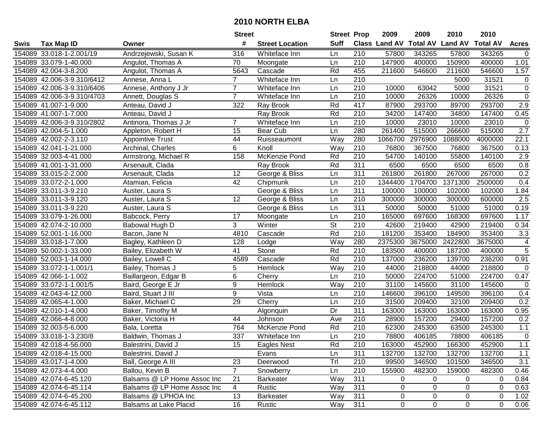|      |                            |                             | <b>Street</b>  |                        | <b>Street Prop</b>       |                  | 2009                 | 2009            | 2010           | 2010            |                  |
|------|----------------------------|-----------------------------|----------------|------------------------|--------------------------|------------------|----------------------|-----------------|----------------|-----------------|------------------|
| Swis | <b>Tax Map ID</b>          | Owner                       | #              | <b>Street Location</b> | <b>Suff</b>              |                  | <b>Class Land AV</b> | <b>Total AV</b> | <b>Land AV</b> | <b>Total AV</b> | <b>Acres</b>     |
|      | 154089 33.018-1-2.001/19   | Andrzejewski, Susan K       | 316            | Whiteface Inn          | Ln                       | 210              | 57800                | 343265          | 57800          | 343265          | 0                |
|      | 154089 33.079-1-40.000     | Angulot, Thomas A           | 70             | Moongate               | Ln                       | 210              | 147900               | 400000          | 150900         | 400000          | 1.01             |
|      | 154089 42.004-3-8.200      | Angulot, Thomas A           | 5643           | Cascade                | Rd                       | 455              | 211600               | 546600          | 211600         | 546600          | 1.57             |
|      | 154089 42.006-3-9.310/6412 | Annese, Anna L              | $\overline{7}$ | Whiteface Inn          | Ln                       | 210              |                      |                 | 5000           | 31521           | 0                |
|      | 154089 42.006-3-9.310/6406 | Annese, Anthony J Jr        | $\overline{7}$ | Whiteface Inn          | Ln                       | 210              | 10000                | 63042           | 5000           | 31521           | $\pmb{0}$        |
|      | 154089 42.006-3-9.310/4703 | Annett, Douglas S           | $\overline{7}$ | Whiteface Inn          | Ln                       | 210              | 10000                | 26326           | 10000          | 26326           | $\overline{0}$   |
|      | 154089 41.007-1-9.000      | Anteau, David J             | 322            | Ray Brook              | Rd                       | 417              | 87900                | 293700          | 89700          | 293700          | 2.9              |
|      | 154089 41.007-1-7.000      | Anteau, David J             |                | <b>Ray Brook</b>       | Rd                       | $\overline{210}$ | 34200                | 147400          | 34800          | 147400          | 0.45             |
|      | 154089 42.006-3-9.310/2802 | Antinora, Thomas J Jr       | $\overline{7}$ | Whiteface Inn          | Ln                       | $\overline{210}$ | 10000                | 23010           | 10000          | 23010           | 0                |
|      | 154089 42.004-5-1.000      | Appleton, Robert H          | 15             | Bear Cub               | Ln                       | 280              | 261400               | 515000          | 266600         | 515000          | $\overline{2.7}$ |
|      | 154089 42.002-2-3.110      | <b>Appointive Trust</b>     | 44             | Ruisseaumont           | Way                      | 280              | 1066700              | 2976900         | 1088000        | 4000000         | 22.1             |
|      | 154089 42.041-1-21.000     | Archinal, Charles           | 6              | Knoll                  | Way                      | 210              | 76800                | 367500          | 76800          | 367500          | 0.13             |
|      | 154089 32.003-4-41.000     | Armstrong, Michael R        | 158            | McKenzie Pond          | Rd                       | 210              | 54700                | 140100          | 55800          | 140100          | 2.9              |
|      | 154089 41.001-1-31.000     | Arsenault, Clada            |                | Ray Brook              | Rd                       | 311              | 6500                 | 6500            | 6500           | 6500            | 0.8              |
|      | 154089 33.015-2-2.000      | Arsenault, Clada            | 12             | George & Bliss         | Ln                       | 311              | 261800               | 261800          | 267000         | 267000          | 0.2              |
|      | 154089 33.072-2-1.000      | Atamian, Felicia            | 42             | Chipmunk               | Ln                       | 210              | 1344400              | 1704700         | 1371300        | 2500000         | 0.4              |
|      | 154089 33.011-3-9.210      | Auster, Laura S             |                | George & Bliss         | Ln                       | 311              | 100000               | 100000          | 102000         | 102000          | 1.84             |
|      | 154089 33.011-3-9.120      | Auster, Laura S             | 12             | George & Bliss         | Ln                       | 210              | 300000               | 300000          | 300000         | 600000          | 2.5              |
|      | 154089 33.011-3-9.220      | Auster, Laura S             |                | George & Bliss         | Ln                       | 311              | 50000                | 50000           | 51000          | 51000           | 0.19             |
|      | 154089 33.079-1-26.000     | Babcock, Perry              | 17             | Moongate               | Ln                       | 210              | 165000               | 697600          | 168300         | 697600          | 1.17             |
|      | 154089 42.074-2-10.000     | Babowal Hugh D              | 3              | Winter                 | $\overline{\mathsf{St}}$ | 210              | 42600                | 219400          | 42900          | 219400          | 0.34             |
|      | 154089 52.001-1-16.000     | Bacon, Jane N               | 4810           | Cascade                | Rd                       | 210              | 181200               | 353400          | 184900         | 353400          | 3.3              |
|      | 154089 33.018-1-7.000      | Bagley, Kathleen D          | 128            | Lodge                  | Way                      | 280              | 2375300              | 3675000         | 2422800        | 3675000         | 4                |
|      | 154089 50.002-1-33.000     | Bailey, Elizabeth W         | 41             | Stone                  | Rd                       | 210              | 183500               | 400000          | 187200         | 400000          | 5                |
|      | 154089 52.003-1-14.000     | Bailey, Lowell C            | 4589           | Cascade                | Rd                       | 210              | 137000               | 236200          | 139700         | 236200          | 0.91             |
|      | 154089 33.072-1-1.001/1    | Bailey, Thomas J            | 5              | Hemlock                | Way                      | 210              | 44000                | 218800          | 44000          | 218800          | 0                |
|      | 154089 42.066-1-1.002      | Baillargeon, Edgar B        | 6              | Cherry                 | Ln                       | 210              | 50000                | 224700          | 51000          | 224700          | 0.47             |
|      | 154089 33.072-1-1.001/5    | Baird, George E Jr          | 9              | Hemlock                | Way                      | 210              | 31100                | 145600          | 31100          | 145600          | 0                |
|      | 154089 42.043-4-12.000     | Baird, Stuart J III         | $\overline{9}$ | Vista                  | Ln                       | 210              | 146600               | 396100          | 149500         | 396100          | 0.4              |
|      | 154089 42.065-4-1.000      | Baker, Michael C            | 29             | Cherry                 | Ln                       | $\overline{210}$ | 31500                | 209400          | 32100          | 209400          | 0.2              |
|      | 154089 42.010-1-4.000      | Baker, Timothy M            |                | Algonquin              | $\overline{Dr}$          | 311              | 163000               | 163000          | 163000         | 163000          | 0.95             |
|      | 154089 42.066-4-8.000      | Baker, Victoria H           | 44             | Johnson                | Ave                      | 210              | 28900                | 157200          | 29400          | 157200          | 0.2              |
|      | 154089 32.003-5-6.000      | Bala, Loretta               | 764            | McKenzie Pond          | Rd                       | $\overline{210}$ | 62300                | 245300          | 63500          | 245300          | 1.1              |
|      | 154089 33.018-1-3.230/8    | Baldwin, Thomas J           | 337            | Whiteface Inn          | Ln                       | $\overline{210}$ | 78800                | 406185          | 78800          | 406185          | $\mathbf 0$      |
|      | 154089 42.018-4-56.000     | Balestrini, David J         | 15             | Eagles Nest            | Rd                       | 210              | 163000               | 452900          | 166300         | 452900          | 1.1              |
|      | 154089 42.018-4-15.000     | Balestrini, David J         |                | Evans                  | Ln                       | 311              | 132700               | 132700          | 132700         | 132700          | 1.1              |
|      | 154089 43.017-1-4.000      | Ball, George A III          | 23             | Deerwood               | Trl                      | 210              | 99500                | 346500          | 101500         | 346500          | 3.1              |
|      | 154089 42.073-4-4.000      | Ballou, Kevin B             | $\overline{7}$ | Snowberry              | Ln                       | 210              | 155900               | 482300          | 159000         | 482300          | 0.46             |
|      | 154089 42.074-6-45.120     | Balsams @ LP Home Assoc Inc | 21             | <b>Barkeater</b>       | Way                      | 311              | 0                    | $\mathbf 0$     | 0              | 0               | 0.84             |
|      | 154089 42.074-6-45.114     | Balsams @ LP Home Assoc Inc | 4              | Rustic                 | Way                      | 311              | 0                    | 0               | 0              | 0               | 0.63             |
|      | 154089 42.074-6-45.200     | Balsams @ LPHOA Inc         | 13             | <b>Barkeater</b>       | Way                      | 311              | 0                    | 0               | 0              | 0               | 1.02             |
|      | 154089 42.074-6-45.112     | Balsams at Lake Placid      | 16             | Rustic                 | Way                      | 311              | 0                    | 0               | 0              | $\mathbf 0$     | 0.06             |
|      |                            |                             |                |                        |                          |                  |                      |                 |                |                 |                  |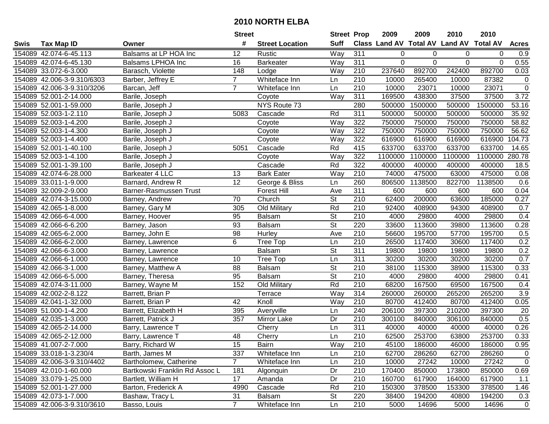| #<br><b>Suff</b><br>Class Land AV Total AV Land AV Total AV<br><b>Tax Map ID</b><br><b>Street Location</b><br><b>Acres</b><br>Swis<br>Owner<br>Balsams at LP HOA Inc<br>Way<br>154089 42.074-6-45.113<br>311<br>0.9<br>12<br>Rustic<br>0<br>0<br>0<br>0<br>0.55<br>154089 42.074-6-45.130<br>Balsams LPHOA Inc<br>16<br>Barkeater<br>Way<br>311<br>0<br>$\Omega$<br>$\Omega$<br>$\Omega$<br>154089 33.072-6-3.000<br>148<br>210<br>237640<br>892700<br>242400<br>892700<br>0.03<br>Barasch, Violette<br>Lodge<br>Way<br>Whiteface Inn<br>210<br>$\mathsf{O}\xspace$<br>154089 42.006-3-9.310/6303<br>Barber, Jeffrey E<br>$\overline{7}$<br>10000<br>265400<br>10000<br>87382<br>Ln<br>$\overline{0}$<br>154089 42.006-3-9.310/3206<br>$\overline{7}$<br>210<br>10000<br>23071<br>10000<br>23071<br>Barcan, Jeff<br>Whiteface Inn<br>Ln<br>37500<br>37500<br>3.72<br>154089 52.001-2-14.000<br>Way<br>311<br>169500<br>438300<br>Barile, Joseph<br>Coyote<br>NYS Route 73<br>154089 52.001-1-59.000<br>280<br>500000<br>1500000<br>500000<br>1500000<br>53.16<br>Barile, Joseph J<br>311<br>Rd<br>500000<br>500000<br>35.92<br>154089 52.003-1-2.110<br>5083<br>500000<br>500000<br>Barile, Joseph J<br>Cascade<br>154089 52.003-1-4.200<br>322<br>750000<br>58.82<br>Way<br>750000<br>750000<br>750000<br>Barile, Joseph J<br>Coyote<br>322<br>56.62<br>154089 52.003-1-4.300<br>Way<br>750000<br>750000<br>750000<br>750000<br>Barile, Joseph J<br>Coyote<br>616900<br>616900<br>154089 52.003-1-4.400<br>Coyote<br>Way<br>322<br>616900<br>616900<br>104.73<br>Barile, Joseph J<br>633700<br>633700<br>154089 52.001-1-40.100<br>Rd<br>415<br>633700<br>633700<br>14.65<br>Barile, Joseph J<br>5051<br>Cascade<br>Way<br>322<br>1100000<br>1100000<br>280.78<br>154089 52.003-1-4.100<br>Barile, Joseph J<br>1100000<br>1100000<br>Coyote<br>Rd<br>322<br>154089 52.001-1-39.100<br>Cascade<br>400000<br>400000<br>400000<br>400000<br>Barile, Joseph J<br>18.5<br>Way<br>475000<br>154089 42.074-6-28.000<br>Barkeater 4 LLC<br><b>Bark Eater</b><br>210<br>74000<br>63000<br>475000<br>0.08<br>13<br>12<br>260<br>806500<br>1138500<br>822700<br>1138500<br>0.6<br>154089 33.011-1-9.000<br>Barnard, Andrew R<br>George & Bliss<br>Ln<br>311<br>600<br>154089 32.009-2-9.000<br>Barner-Rasmussen Trust<br><b>Forest Hill</b><br>600<br>600<br>600<br>0.04<br>Ave<br>$\overline{\mathsf{St}}$<br>0.27<br>154089 42.074-3-15.000<br>70<br>Church<br>210<br>62400<br>200000<br>63600<br>185000<br>Barney, Andrew<br>Rd<br>154089 42.065-1-8.000<br>305<br>Old Military<br>210<br>92400<br>408900<br>408900<br>0.7<br>Barney, Gary M<br>94300<br><b>St</b><br>154089 42.066-6-4.000<br>95<br>210<br>4000<br>29800<br>4000<br>29800<br>0.4<br>Barney, Hoover<br><b>Balsam</b><br>$\overline{\mathsf{St}}$<br>0.28<br>93<br>220<br>33600<br>113600<br>113600<br>154089 42.066-6-6.200<br><b>Balsam</b><br>39800<br>Barney, Jason<br>154089 42.065-6-2.000<br>98<br>Ave<br>210<br>56600<br>195700<br>57700<br>195700<br>0.5<br>Barney, John E<br>Hurley<br>6<br>0.2<br>Tree Top<br>210<br>26500<br>117400<br>30600<br>117400<br>154089 42.066-6-2.000<br>Barney, Lawrence<br>Ln<br><b>St</b><br>0.2<br>154089 42.066-6-3.000<br>311<br>19800<br>19800<br>19800<br><b>Balsam</b><br>19800<br>Barney, Lawrence<br>0.7<br>311<br>30200<br>30200<br>30200<br>154089 42.066-6-1.000<br>10<br>Ln<br>30200<br>Barney, Lawrence<br>Tree Top<br>$\overline{\mathsf{St}}$<br>154089 42.066-3-1.000<br>88<br>210<br>38100<br>115300<br>38900<br>115300<br>0.33<br>Barney, Matthew A<br><b>Balsam</b><br>$\overline{\mathsf{St}}$<br>95<br>210<br>29800<br>154089 42.066-6-5.000<br>Barney, Theresa<br><b>Balsam</b><br>4000<br>29800<br>4000<br>0.41<br>Rd<br>210<br>167500<br>154089 42.074-3-11.000<br>Barney, Wayne M<br>152<br>Old Military<br>68200<br>69500<br>167500<br>0.4<br>314<br>$\overline{3.9}$<br>154089 42.002-2-8.122<br>Way<br>265200<br>265200<br>Barrett, Brian P<br>260000<br>260000<br>Terrace<br>412400<br>412400<br>154089 42.041-1-32.000<br>Barrett, Brian P<br>42<br>Way<br>210<br>80700<br>80700<br>0.05<br>Knoll<br>240<br>206100<br>397300<br>210200<br>397300<br>154089 51.000-1-4.200<br>Barrett, Elizabeth H<br>395<br>20<br>Averyville<br>Ln<br>154089 42.035-1-3.000<br>Dr<br>210<br>0.5<br>Barrett, Patrick J<br>357<br>Mirror Lake<br>300100<br>840000<br>306100<br>840000<br>311<br>0.26<br>154089 42.065-2-14.000<br>40000<br>40000<br>40000<br>40000<br>Barry, Lawrence T<br>Cherry<br>Ln<br>0.33<br>154089 42.065-2-12.000<br>48<br>Ln<br>210<br>62500<br>253700<br>63800<br>253700<br>Barry, Lawrence T<br>Cherry<br>154089 41.007-2-7.000<br>Barry, Richard W<br>15<br>Bairn<br>Way<br>210<br>45100<br>186000<br>46000<br>186000<br>0.95<br>337<br>154089 33.018-1-3.230/4<br>Barth, James M<br>Whiteface Inn<br>210<br>286260<br>62700<br>286260<br>Ln<br>62700<br>0<br>$\overline{7}$<br>154089 42.006-3-9.310/4402<br>Whiteface Inn<br>210<br>10000<br>27242<br>10000<br>27242<br>0<br>Bartholomew, Catherine<br>Ln<br>154089 42.010-1-60.000<br>Dr<br>210<br>170400<br>173800<br>0.69<br>Bartkowski Franklin Rd Assoc L<br>181<br>850000<br>850000<br>Algonquin<br>154089 33.079-1-25.000<br>17<br>210<br>Bartlett, William H<br>Dr<br>160700<br>617900<br>164000<br>617900<br>1.1<br>Amanda<br>Rd<br>210<br>154089 52.001-1-27.000<br>Barton, Frederick A<br>4990<br>Cascade<br>150300<br>378500<br>153300<br>378500<br>1.46<br>154089 42.073-1-7.000<br>Bashaw, Tracy L<br>31<br>St<br>220<br>38400<br>194200<br>40800<br>194200<br><b>Balsam</b><br>0.3<br>$\overline{7}$<br>154089 42.006-3-9.310/3610<br>210<br>14696<br>Basso, Louis<br>5000<br>14696<br>5000<br>0<br>Ln |  | <b>Street</b> |               | <b>Street Prop</b> | 2009 | 2009 | 2010 | 2010 |  |
|------------------------------------------------------------------------------------------------------------------------------------------------------------------------------------------------------------------------------------------------------------------------------------------------------------------------------------------------------------------------------------------------------------------------------------------------------------------------------------------------------------------------------------------------------------------------------------------------------------------------------------------------------------------------------------------------------------------------------------------------------------------------------------------------------------------------------------------------------------------------------------------------------------------------------------------------------------------------------------------------------------------------------------------------------------------------------------------------------------------------------------------------------------------------------------------------------------------------------------------------------------------------------------------------------------------------------------------------------------------------------------------------------------------------------------------------------------------------------------------------------------------------------------------------------------------------------------------------------------------------------------------------------------------------------------------------------------------------------------------------------------------------------------------------------------------------------------------------------------------------------------------------------------------------------------------------------------------------------------------------------------------------------------------------------------------------------------------------------------------------------------------------------------------------------------------------------------------------------------------------------------------------------------------------------------------------------------------------------------------------------------------------------------------------------------------------------------------------------------------------------------------------------------------------------------------------------------------------------------------------------------------------------------------------------------------------------------------------------------------------------------------------------------------------------------------------------------------------------------------------------------------------------------------------------------------------------------------------------------------------------------------------------------------------------------------------------------------------------------------------------------------------------------------------------------------------------------------------------------------------------------------------------------------------------------------------------------------------------------------------------------------------------------------------------------------------------------------------------------------------------------------------------------------------------------------------------------------------------------------------------------------------------------------------------------------------------------------------------------------------------------------------------------------------------------------------------------------------------------------------------------------------------------------------------------------------------------------------------------------------------------------------------------------------------------------------------------------------------------------------------------------------------------------------------------------------------------------------------------------------------------------------------------------------------------------------------------------------------------------------------------------------------------------------------------------------------------------------------------------------------------------------------------------------------------------------------------------------------------------------------------------------------------------------------------------------------------------------------------------------------------------------------------------------------------------------------------------------------------------------------------------------------------------------------------------------------------------------------------------------------------------------------------------------------------------------------------------------------------------------------------------------------------------------------------------------------------------------------------------------------------------------------------------------------------------------------------------------------------------------------------------------------------------------------------------------------------------------------------------------------------------------------------------------------------------------------------------------------------------------------------------------------------------------------------------------------------------|--|---------------|---------------|--------------------|------|------|------|------|--|
|                                                                                                                                                                                                                                                                                                                                                                                                                                                                                                                                                                                                                                                                                                                                                                                                                                                                                                                                                                                                                                                                                                                                                                                                                                                                                                                                                                                                                                                                                                                                                                                                                                                                                                                                                                                                                                                                                                                                                                                                                                                                                                                                                                                                                                                                                                                                                                                                                                                                                                                                                                                                                                                                                                                                                                                                                                                                                                                                                                                                                                                                                                                                                                                                                                                                                                                                                                                                                                                                                                                                                                                                                                                                                                                                                                                                                                                                                                                                                                                                                                                                                                                                                                                                                                                                                                                                                                                                                                                                                                                                                                                                                                                                                                                                                                                                                                                                                                                                                                                                                                                                                                                                                                                                                                                                                                                                                                                                                                                                                                                                                                                                                                                                                                                  |  |               |               |                    |      |      |      |      |  |
|                                                                                                                                                                                                                                                                                                                                                                                                                                                                                                                                                                                                                                                                                                                                                                                                                                                                                                                                                                                                                                                                                                                                                                                                                                                                                                                                                                                                                                                                                                                                                                                                                                                                                                                                                                                                                                                                                                                                                                                                                                                                                                                                                                                                                                                                                                                                                                                                                                                                                                                                                                                                                                                                                                                                                                                                                                                                                                                                                                                                                                                                                                                                                                                                                                                                                                                                                                                                                                                                                                                                                                                                                                                                                                                                                                                                                                                                                                                                                                                                                                                                                                                                                                                                                                                                                                                                                                                                                                                                                                                                                                                                                                                                                                                                                                                                                                                                                                                                                                                                                                                                                                                                                                                                                                                                                                                                                                                                                                                                                                                                                                                                                                                                                                                  |  |               |               |                    |      |      |      |      |  |
|                                                                                                                                                                                                                                                                                                                                                                                                                                                                                                                                                                                                                                                                                                                                                                                                                                                                                                                                                                                                                                                                                                                                                                                                                                                                                                                                                                                                                                                                                                                                                                                                                                                                                                                                                                                                                                                                                                                                                                                                                                                                                                                                                                                                                                                                                                                                                                                                                                                                                                                                                                                                                                                                                                                                                                                                                                                                                                                                                                                                                                                                                                                                                                                                                                                                                                                                                                                                                                                                                                                                                                                                                                                                                                                                                                                                                                                                                                                                                                                                                                                                                                                                                                                                                                                                                                                                                                                                                                                                                                                                                                                                                                                                                                                                                                                                                                                                                                                                                                                                                                                                                                                                                                                                                                                                                                                                                                                                                                                                                                                                                                                                                                                                                                                  |  |               |               |                    |      |      |      |      |  |
|                                                                                                                                                                                                                                                                                                                                                                                                                                                                                                                                                                                                                                                                                                                                                                                                                                                                                                                                                                                                                                                                                                                                                                                                                                                                                                                                                                                                                                                                                                                                                                                                                                                                                                                                                                                                                                                                                                                                                                                                                                                                                                                                                                                                                                                                                                                                                                                                                                                                                                                                                                                                                                                                                                                                                                                                                                                                                                                                                                                                                                                                                                                                                                                                                                                                                                                                                                                                                                                                                                                                                                                                                                                                                                                                                                                                                                                                                                                                                                                                                                                                                                                                                                                                                                                                                                                                                                                                                                                                                                                                                                                                                                                                                                                                                                                                                                                                                                                                                                                                                                                                                                                                                                                                                                                                                                                                                                                                                                                                                                                                                                                                                                                                                                                  |  |               |               |                    |      |      |      |      |  |
|                                                                                                                                                                                                                                                                                                                                                                                                                                                                                                                                                                                                                                                                                                                                                                                                                                                                                                                                                                                                                                                                                                                                                                                                                                                                                                                                                                                                                                                                                                                                                                                                                                                                                                                                                                                                                                                                                                                                                                                                                                                                                                                                                                                                                                                                                                                                                                                                                                                                                                                                                                                                                                                                                                                                                                                                                                                                                                                                                                                                                                                                                                                                                                                                                                                                                                                                                                                                                                                                                                                                                                                                                                                                                                                                                                                                                                                                                                                                                                                                                                                                                                                                                                                                                                                                                                                                                                                                                                                                                                                                                                                                                                                                                                                                                                                                                                                                                                                                                                                                                                                                                                                                                                                                                                                                                                                                                                                                                                                                                                                                                                                                                                                                                                                  |  |               |               |                    |      |      |      |      |  |
|                                                                                                                                                                                                                                                                                                                                                                                                                                                                                                                                                                                                                                                                                                                                                                                                                                                                                                                                                                                                                                                                                                                                                                                                                                                                                                                                                                                                                                                                                                                                                                                                                                                                                                                                                                                                                                                                                                                                                                                                                                                                                                                                                                                                                                                                                                                                                                                                                                                                                                                                                                                                                                                                                                                                                                                                                                                                                                                                                                                                                                                                                                                                                                                                                                                                                                                                                                                                                                                                                                                                                                                                                                                                                                                                                                                                                                                                                                                                                                                                                                                                                                                                                                                                                                                                                                                                                                                                                                                                                                                                                                                                                                                                                                                                                                                                                                                                                                                                                                                                                                                                                                                                                                                                                                                                                                                                                                                                                                                                                                                                                                                                                                                                                                                  |  |               |               |                    |      |      |      |      |  |
|                                                                                                                                                                                                                                                                                                                                                                                                                                                                                                                                                                                                                                                                                                                                                                                                                                                                                                                                                                                                                                                                                                                                                                                                                                                                                                                                                                                                                                                                                                                                                                                                                                                                                                                                                                                                                                                                                                                                                                                                                                                                                                                                                                                                                                                                                                                                                                                                                                                                                                                                                                                                                                                                                                                                                                                                                                                                                                                                                                                                                                                                                                                                                                                                                                                                                                                                                                                                                                                                                                                                                                                                                                                                                                                                                                                                                                                                                                                                                                                                                                                                                                                                                                                                                                                                                                                                                                                                                                                                                                                                                                                                                                                                                                                                                                                                                                                                                                                                                                                                                                                                                                                                                                                                                                                                                                                                                                                                                                                                                                                                                                                                                                                                                                                  |  |               |               |                    |      |      |      |      |  |
|                                                                                                                                                                                                                                                                                                                                                                                                                                                                                                                                                                                                                                                                                                                                                                                                                                                                                                                                                                                                                                                                                                                                                                                                                                                                                                                                                                                                                                                                                                                                                                                                                                                                                                                                                                                                                                                                                                                                                                                                                                                                                                                                                                                                                                                                                                                                                                                                                                                                                                                                                                                                                                                                                                                                                                                                                                                                                                                                                                                                                                                                                                                                                                                                                                                                                                                                                                                                                                                                                                                                                                                                                                                                                                                                                                                                                                                                                                                                                                                                                                                                                                                                                                                                                                                                                                                                                                                                                                                                                                                                                                                                                                                                                                                                                                                                                                                                                                                                                                                                                                                                                                                                                                                                                                                                                                                                                                                                                                                                                                                                                                                                                                                                                                                  |  |               |               |                    |      |      |      |      |  |
|                                                                                                                                                                                                                                                                                                                                                                                                                                                                                                                                                                                                                                                                                                                                                                                                                                                                                                                                                                                                                                                                                                                                                                                                                                                                                                                                                                                                                                                                                                                                                                                                                                                                                                                                                                                                                                                                                                                                                                                                                                                                                                                                                                                                                                                                                                                                                                                                                                                                                                                                                                                                                                                                                                                                                                                                                                                                                                                                                                                                                                                                                                                                                                                                                                                                                                                                                                                                                                                                                                                                                                                                                                                                                                                                                                                                                                                                                                                                                                                                                                                                                                                                                                                                                                                                                                                                                                                                                                                                                                                                                                                                                                                                                                                                                                                                                                                                                                                                                                                                                                                                                                                                                                                                                                                                                                                                                                                                                                                                                                                                                                                                                                                                                                                  |  |               |               |                    |      |      |      |      |  |
|                                                                                                                                                                                                                                                                                                                                                                                                                                                                                                                                                                                                                                                                                                                                                                                                                                                                                                                                                                                                                                                                                                                                                                                                                                                                                                                                                                                                                                                                                                                                                                                                                                                                                                                                                                                                                                                                                                                                                                                                                                                                                                                                                                                                                                                                                                                                                                                                                                                                                                                                                                                                                                                                                                                                                                                                                                                                                                                                                                                                                                                                                                                                                                                                                                                                                                                                                                                                                                                                                                                                                                                                                                                                                                                                                                                                                                                                                                                                                                                                                                                                                                                                                                                                                                                                                                                                                                                                                                                                                                                                                                                                                                                                                                                                                                                                                                                                                                                                                                                                                                                                                                                                                                                                                                                                                                                                                                                                                                                                                                                                                                                                                                                                                                                  |  |               |               |                    |      |      |      |      |  |
|                                                                                                                                                                                                                                                                                                                                                                                                                                                                                                                                                                                                                                                                                                                                                                                                                                                                                                                                                                                                                                                                                                                                                                                                                                                                                                                                                                                                                                                                                                                                                                                                                                                                                                                                                                                                                                                                                                                                                                                                                                                                                                                                                                                                                                                                                                                                                                                                                                                                                                                                                                                                                                                                                                                                                                                                                                                                                                                                                                                                                                                                                                                                                                                                                                                                                                                                                                                                                                                                                                                                                                                                                                                                                                                                                                                                                                                                                                                                                                                                                                                                                                                                                                                                                                                                                                                                                                                                                                                                                                                                                                                                                                                                                                                                                                                                                                                                                                                                                                                                                                                                                                                                                                                                                                                                                                                                                                                                                                                                                                                                                                                                                                                                                                                  |  |               |               |                    |      |      |      |      |  |
|                                                                                                                                                                                                                                                                                                                                                                                                                                                                                                                                                                                                                                                                                                                                                                                                                                                                                                                                                                                                                                                                                                                                                                                                                                                                                                                                                                                                                                                                                                                                                                                                                                                                                                                                                                                                                                                                                                                                                                                                                                                                                                                                                                                                                                                                                                                                                                                                                                                                                                                                                                                                                                                                                                                                                                                                                                                                                                                                                                                                                                                                                                                                                                                                                                                                                                                                                                                                                                                                                                                                                                                                                                                                                                                                                                                                                                                                                                                                                                                                                                                                                                                                                                                                                                                                                                                                                                                                                                                                                                                                                                                                                                                                                                                                                                                                                                                                                                                                                                                                                                                                                                                                                                                                                                                                                                                                                                                                                                                                                                                                                                                                                                                                                                                  |  |               |               |                    |      |      |      |      |  |
|                                                                                                                                                                                                                                                                                                                                                                                                                                                                                                                                                                                                                                                                                                                                                                                                                                                                                                                                                                                                                                                                                                                                                                                                                                                                                                                                                                                                                                                                                                                                                                                                                                                                                                                                                                                                                                                                                                                                                                                                                                                                                                                                                                                                                                                                                                                                                                                                                                                                                                                                                                                                                                                                                                                                                                                                                                                                                                                                                                                                                                                                                                                                                                                                                                                                                                                                                                                                                                                                                                                                                                                                                                                                                                                                                                                                                                                                                                                                                                                                                                                                                                                                                                                                                                                                                                                                                                                                                                                                                                                                                                                                                                                                                                                                                                                                                                                                                                                                                                                                                                                                                                                                                                                                                                                                                                                                                                                                                                                                                                                                                                                                                                                                                                                  |  |               |               |                    |      |      |      |      |  |
|                                                                                                                                                                                                                                                                                                                                                                                                                                                                                                                                                                                                                                                                                                                                                                                                                                                                                                                                                                                                                                                                                                                                                                                                                                                                                                                                                                                                                                                                                                                                                                                                                                                                                                                                                                                                                                                                                                                                                                                                                                                                                                                                                                                                                                                                                                                                                                                                                                                                                                                                                                                                                                                                                                                                                                                                                                                                                                                                                                                                                                                                                                                                                                                                                                                                                                                                                                                                                                                                                                                                                                                                                                                                                                                                                                                                                                                                                                                                                                                                                                                                                                                                                                                                                                                                                                                                                                                                                                                                                                                                                                                                                                                                                                                                                                                                                                                                                                                                                                                                                                                                                                                                                                                                                                                                                                                                                                                                                                                                                                                                                                                                                                                                                                                  |  |               |               |                    |      |      |      |      |  |
|                                                                                                                                                                                                                                                                                                                                                                                                                                                                                                                                                                                                                                                                                                                                                                                                                                                                                                                                                                                                                                                                                                                                                                                                                                                                                                                                                                                                                                                                                                                                                                                                                                                                                                                                                                                                                                                                                                                                                                                                                                                                                                                                                                                                                                                                                                                                                                                                                                                                                                                                                                                                                                                                                                                                                                                                                                                                                                                                                                                                                                                                                                                                                                                                                                                                                                                                                                                                                                                                                                                                                                                                                                                                                                                                                                                                                                                                                                                                                                                                                                                                                                                                                                                                                                                                                                                                                                                                                                                                                                                                                                                                                                                                                                                                                                                                                                                                                                                                                                                                                                                                                                                                                                                                                                                                                                                                                                                                                                                                                                                                                                                                                                                                                                                  |  |               |               |                    |      |      |      |      |  |
|                                                                                                                                                                                                                                                                                                                                                                                                                                                                                                                                                                                                                                                                                                                                                                                                                                                                                                                                                                                                                                                                                                                                                                                                                                                                                                                                                                                                                                                                                                                                                                                                                                                                                                                                                                                                                                                                                                                                                                                                                                                                                                                                                                                                                                                                                                                                                                                                                                                                                                                                                                                                                                                                                                                                                                                                                                                                                                                                                                                                                                                                                                                                                                                                                                                                                                                                                                                                                                                                                                                                                                                                                                                                                                                                                                                                                                                                                                                                                                                                                                                                                                                                                                                                                                                                                                                                                                                                                                                                                                                                                                                                                                                                                                                                                                                                                                                                                                                                                                                                                                                                                                                                                                                                                                                                                                                                                                                                                                                                                                                                                                                                                                                                                                                  |  |               |               |                    |      |      |      |      |  |
|                                                                                                                                                                                                                                                                                                                                                                                                                                                                                                                                                                                                                                                                                                                                                                                                                                                                                                                                                                                                                                                                                                                                                                                                                                                                                                                                                                                                                                                                                                                                                                                                                                                                                                                                                                                                                                                                                                                                                                                                                                                                                                                                                                                                                                                                                                                                                                                                                                                                                                                                                                                                                                                                                                                                                                                                                                                                                                                                                                                                                                                                                                                                                                                                                                                                                                                                                                                                                                                                                                                                                                                                                                                                                                                                                                                                                                                                                                                                                                                                                                                                                                                                                                                                                                                                                                                                                                                                                                                                                                                                                                                                                                                                                                                                                                                                                                                                                                                                                                                                                                                                                                                                                                                                                                                                                                                                                                                                                                                                                                                                                                                                                                                                                                                  |  |               |               |                    |      |      |      |      |  |
|                                                                                                                                                                                                                                                                                                                                                                                                                                                                                                                                                                                                                                                                                                                                                                                                                                                                                                                                                                                                                                                                                                                                                                                                                                                                                                                                                                                                                                                                                                                                                                                                                                                                                                                                                                                                                                                                                                                                                                                                                                                                                                                                                                                                                                                                                                                                                                                                                                                                                                                                                                                                                                                                                                                                                                                                                                                                                                                                                                                                                                                                                                                                                                                                                                                                                                                                                                                                                                                                                                                                                                                                                                                                                                                                                                                                                                                                                                                                                                                                                                                                                                                                                                                                                                                                                                                                                                                                                                                                                                                                                                                                                                                                                                                                                                                                                                                                                                                                                                                                                                                                                                                                                                                                                                                                                                                                                                                                                                                                                                                                                                                                                                                                                                                  |  |               |               |                    |      |      |      |      |  |
|                                                                                                                                                                                                                                                                                                                                                                                                                                                                                                                                                                                                                                                                                                                                                                                                                                                                                                                                                                                                                                                                                                                                                                                                                                                                                                                                                                                                                                                                                                                                                                                                                                                                                                                                                                                                                                                                                                                                                                                                                                                                                                                                                                                                                                                                                                                                                                                                                                                                                                                                                                                                                                                                                                                                                                                                                                                                                                                                                                                                                                                                                                                                                                                                                                                                                                                                                                                                                                                                                                                                                                                                                                                                                                                                                                                                                                                                                                                                                                                                                                                                                                                                                                                                                                                                                                                                                                                                                                                                                                                                                                                                                                                                                                                                                                                                                                                                                                                                                                                                                                                                                                                                                                                                                                                                                                                                                                                                                                                                                                                                                                                                                                                                                                                  |  |               |               |                    |      |      |      |      |  |
|                                                                                                                                                                                                                                                                                                                                                                                                                                                                                                                                                                                                                                                                                                                                                                                                                                                                                                                                                                                                                                                                                                                                                                                                                                                                                                                                                                                                                                                                                                                                                                                                                                                                                                                                                                                                                                                                                                                                                                                                                                                                                                                                                                                                                                                                                                                                                                                                                                                                                                                                                                                                                                                                                                                                                                                                                                                                                                                                                                                                                                                                                                                                                                                                                                                                                                                                                                                                                                                                                                                                                                                                                                                                                                                                                                                                                                                                                                                                                                                                                                                                                                                                                                                                                                                                                                                                                                                                                                                                                                                                                                                                                                                                                                                                                                                                                                                                                                                                                                                                                                                                                                                                                                                                                                                                                                                                                                                                                                                                                                                                                                                                                                                                                                                  |  |               |               |                    |      |      |      |      |  |
|                                                                                                                                                                                                                                                                                                                                                                                                                                                                                                                                                                                                                                                                                                                                                                                                                                                                                                                                                                                                                                                                                                                                                                                                                                                                                                                                                                                                                                                                                                                                                                                                                                                                                                                                                                                                                                                                                                                                                                                                                                                                                                                                                                                                                                                                                                                                                                                                                                                                                                                                                                                                                                                                                                                                                                                                                                                                                                                                                                                                                                                                                                                                                                                                                                                                                                                                                                                                                                                                                                                                                                                                                                                                                                                                                                                                                                                                                                                                                                                                                                                                                                                                                                                                                                                                                                                                                                                                                                                                                                                                                                                                                                                                                                                                                                                                                                                                                                                                                                                                                                                                                                                                                                                                                                                                                                                                                                                                                                                                                                                                                                                                                                                                                                                  |  |               |               |                    |      |      |      |      |  |
|                                                                                                                                                                                                                                                                                                                                                                                                                                                                                                                                                                                                                                                                                                                                                                                                                                                                                                                                                                                                                                                                                                                                                                                                                                                                                                                                                                                                                                                                                                                                                                                                                                                                                                                                                                                                                                                                                                                                                                                                                                                                                                                                                                                                                                                                                                                                                                                                                                                                                                                                                                                                                                                                                                                                                                                                                                                                                                                                                                                                                                                                                                                                                                                                                                                                                                                                                                                                                                                                                                                                                                                                                                                                                                                                                                                                                                                                                                                                                                                                                                                                                                                                                                                                                                                                                                                                                                                                                                                                                                                                                                                                                                                                                                                                                                                                                                                                                                                                                                                                                                                                                                                                                                                                                                                                                                                                                                                                                                                                                                                                                                                                                                                                                                                  |  |               |               |                    |      |      |      |      |  |
|                                                                                                                                                                                                                                                                                                                                                                                                                                                                                                                                                                                                                                                                                                                                                                                                                                                                                                                                                                                                                                                                                                                                                                                                                                                                                                                                                                                                                                                                                                                                                                                                                                                                                                                                                                                                                                                                                                                                                                                                                                                                                                                                                                                                                                                                                                                                                                                                                                                                                                                                                                                                                                                                                                                                                                                                                                                                                                                                                                                                                                                                                                                                                                                                                                                                                                                                                                                                                                                                                                                                                                                                                                                                                                                                                                                                                                                                                                                                                                                                                                                                                                                                                                                                                                                                                                                                                                                                                                                                                                                                                                                                                                                                                                                                                                                                                                                                                                                                                                                                                                                                                                                                                                                                                                                                                                                                                                                                                                                                                                                                                                                                                                                                                                                  |  |               |               |                    |      |      |      |      |  |
|                                                                                                                                                                                                                                                                                                                                                                                                                                                                                                                                                                                                                                                                                                                                                                                                                                                                                                                                                                                                                                                                                                                                                                                                                                                                                                                                                                                                                                                                                                                                                                                                                                                                                                                                                                                                                                                                                                                                                                                                                                                                                                                                                                                                                                                                                                                                                                                                                                                                                                                                                                                                                                                                                                                                                                                                                                                                                                                                                                                                                                                                                                                                                                                                                                                                                                                                                                                                                                                                                                                                                                                                                                                                                                                                                                                                                                                                                                                                                                                                                                                                                                                                                                                                                                                                                                                                                                                                                                                                                                                                                                                                                                                                                                                                                                                                                                                                                                                                                                                                                                                                                                                                                                                                                                                                                                                                                                                                                                                                                                                                                                                                                                                                                                                  |  |               |               |                    |      |      |      |      |  |
|                                                                                                                                                                                                                                                                                                                                                                                                                                                                                                                                                                                                                                                                                                                                                                                                                                                                                                                                                                                                                                                                                                                                                                                                                                                                                                                                                                                                                                                                                                                                                                                                                                                                                                                                                                                                                                                                                                                                                                                                                                                                                                                                                                                                                                                                                                                                                                                                                                                                                                                                                                                                                                                                                                                                                                                                                                                                                                                                                                                                                                                                                                                                                                                                                                                                                                                                                                                                                                                                                                                                                                                                                                                                                                                                                                                                                                                                                                                                                                                                                                                                                                                                                                                                                                                                                                                                                                                                                                                                                                                                                                                                                                                                                                                                                                                                                                                                                                                                                                                                                                                                                                                                                                                                                                                                                                                                                                                                                                                                                                                                                                                                                                                                                                                  |  |               |               |                    |      |      |      |      |  |
|                                                                                                                                                                                                                                                                                                                                                                                                                                                                                                                                                                                                                                                                                                                                                                                                                                                                                                                                                                                                                                                                                                                                                                                                                                                                                                                                                                                                                                                                                                                                                                                                                                                                                                                                                                                                                                                                                                                                                                                                                                                                                                                                                                                                                                                                                                                                                                                                                                                                                                                                                                                                                                                                                                                                                                                                                                                                                                                                                                                                                                                                                                                                                                                                                                                                                                                                                                                                                                                                                                                                                                                                                                                                                                                                                                                                                                                                                                                                                                                                                                                                                                                                                                                                                                                                                                                                                                                                                                                                                                                                                                                                                                                                                                                                                                                                                                                                                                                                                                                                                                                                                                                                                                                                                                                                                                                                                                                                                                                                                                                                                                                                                                                                                                                  |  |               |               |                    |      |      |      |      |  |
|                                                                                                                                                                                                                                                                                                                                                                                                                                                                                                                                                                                                                                                                                                                                                                                                                                                                                                                                                                                                                                                                                                                                                                                                                                                                                                                                                                                                                                                                                                                                                                                                                                                                                                                                                                                                                                                                                                                                                                                                                                                                                                                                                                                                                                                                                                                                                                                                                                                                                                                                                                                                                                                                                                                                                                                                                                                                                                                                                                                                                                                                                                                                                                                                                                                                                                                                                                                                                                                                                                                                                                                                                                                                                                                                                                                                                                                                                                                                                                                                                                                                                                                                                                                                                                                                                                                                                                                                                                                                                                                                                                                                                                                                                                                                                                                                                                                                                                                                                                                                                                                                                                                                                                                                                                                                                                                                                                                                                                                                                                                                                                                                                                                                                                                  |  |               |               |                    |      |      |      |      |  |
|                                                                                                                                                                                                                                                                                                                                                                                                                                                                                                                                                                                                                                                                                                                                                                                                                                                                                                                                                                                                                                                                                                                                                                                                                                                                                                                                                                                                                                                                                                                                                                                                                                                                                                                                                                                                                                                                                                                                                                                                                                                                                                                                                                                                                                                                                                                                                                                                                                                                                                                                                                                                                                                                                                                                                                                                                                                                                                                                                                                                                                                                                                                                                                                                                                                                                                                                                                                                                                                                                                                                                                                                                                                                                                                                                                                                                                                                                                                                                                                                                                                                                                                                                                                                                                                                                                                                                                                                                                                                                                                                                                                                                                                                                                                                                                                                                                                                                                                                                                                                                                                                                                                                                                                                                                                                                                                                                                                                                                                                                                                                                                                                                                                                                                                  |  |               |               |                    |      |      |      |      |  |
|                                                                                                                                                                                                                                                                                                                                                                                                                                                                                                                                                                                                                                                                                                                                                                                                                                                                                                                                                                                                                                                                                                                                                                                                                                                                                                                                                                                                                                                                                                                                                                                                                                                                                                                                                                                                                                                                                                                                                                                                                                                                                                                                                                                                                                                                                                                                                                                                                                                                                                                                                                                                                                                                                                                                                                                                                                                                                                                                                                                                                                                                                                                                                                                                                                                                                                                                                                                                                                                                                                                                                                                                                                                                                                                                                                                                                                                                                                                                                                                                                                                                                                                                                                                                                                                                                                                                                                                                                                                                                                                                                                                                                                                                                                                                                                                                                                                                                                                                                                                                                                                                                                                                                                                                                                                                                                                                                                                                                                                                                                                                                                                                                                                                                                                  |  |               |               |                    |      |      |      |      |  |
|                                                                                                                                                                                                                                                                                                                                                                                                                                                                                                                                                                                                                                                                                                                                                                                                                                                                                                                                                                                                                                                                                                                                                                                                                                                                                                                                                                                                                                                                                                                                                                                                                                                                                                                                                                                                                                                                                                                                                                                                                                                                                                                                                                                                                                                                                                                                                                                                                                                                                                                                                                                                                                                                                                                                                                                                                                                                                                                                                                                                                                                                                                                                                                                                                                                                                                                                                                                                                                                                                                                                                                                                                                                                                                                                                                                                                                                                                                                                                                                                                                                                                                                                                                                                                                                                                                                                                                                                                                                                                                                                                                                                                                                                                                                                                                                                                                                                                                                                                                                                                                                                                                                                                                                                                                                                                                                                                                                                                                                                                                                                                                                                                                                                                                                  |  |               |               |                    |      |      |      |      |  |
|                                                                                                                                                                                                                                                                                                                                                                                                                                                                                                                                                                                                                                                                                                                                                                                                                                                                                                                                                                                                                                                                                                                                                                                                                                                                                                                                                                                                                                                                                                                                                                                                                                                                                                                                                                                                                                                                                                                                                                                                                                                                                                                                                                                                                                                                                                                                                                                                                                                                                                                                                                                                                                                                                                                                                                                                                                                                                                                                                                                                                                                                                                                                                                                                                                                                                                                                                                                                                                                                                                                                                                                                                                                                                                                                                                                                                                                                                                                                                                                                                                                                                                                                                                                                                                                                                                                                                                                                                                                                                                                                                                                                                                                                                                                                                                                                                                                                                                                                                                                                                                                                                                                                                                                                                                                                                                                                                                                                                                                                                                                                                                                                                                                                                                                  |  |               |               |                    |      |      |      |      |  |
|                                                                                                                                                                                                                                                                                                                                                                                                                                                                                                                                                                                                                                                                                                                                                                                                                                                                                                                                                                                                                                                                                                                                                                                                                                                                                                                                                                                                                                                                                                                                                                                                                                                                                                                                                                                                                                                                                                                                                                                                                                                                                                                                                                                                                                                                                                                                                                                                                                                                                                                                                                                                                                                                                                                                                                                                                                                                                                                                                                                                                                                                                                                                                                                                                                                                                                                                                                                                                                                                                                                                                                                                                                                                                                                                                                                                                                                                                                                                                                                                                                                                                                                                                                                                                                                                                                                                                                                                                                                                                                                                                                                                                                                                                                                                                                                                                                                                                                                                                                                                                                                                                                                                                                                                                                                                                                                                                                                                                                                                                                                                                                                                                                                                                                                  |  |               |               |                    |      |      |      |      |  |
|                                                                                                                                                                                                                                                                                                                                                                                                                                                                                                                                                                                                                                                                                                                                                                                                                                                                                                                                                                                                                                                                                                                                                                                                                                                                                                                                                                                                                                                                                                                                                                                                                                                                                                                                                                                                                                                                                                                                                                                                                                                                                                                                                                                                                                                                                                                                                                                                                                                                                                                                                                                                                                                                                                                                                                                                                                                                                                                                                                                                                                                                                                                                                                                                                                                                                                                                                                                                                                                                                                                                                                                                                                                                                                                                                                                                                                                                                                                                                                                                                                                                                                                                                                                                                                                                                                                                                                                                                                                                                                                                                                                                                                                                                                                                                                                                                                                                                                                                                                                                                                                                                                                                                                                                                                                                                                                                                                                                                                                                                                                                                                                                                                                                                                                  |  |               |               |                    |      |      |      |      |  |
|                                                                                                                                                                                                                                                                                                                                                                                                                                                                                                                                                                                                                                                                                                                                                                                                                                                                                                                                                                                                                                                                                                                                                                                                                                                                                                                                                                                                                                                                                                                                                                                                                                                                                                                                                                                                                                                                                                                                                                                                                                                                                                                                                                                                                                                                                                                                                                                                                                                                                                                                                                                                                                                                                                                                                                                                                                                                                                                                                                                                                                                                                                                                                                                                                                                                                                                                                                                                                                                                                                                                                                                                                                                                                                                                                                                                                                                                                                                                                                                                                                                                                                                                                                                                                                                                                                                                                                                                                                                                                                                                                                                                                                                                                                                                                                                                                                                                                                                                                                                                                                                                                                                                                                                                                                                                                                                                                                                                                                                                                                                                                                                                                                                                                                                  |  |               |               |                    |      |      |      |      |  |
|                                                                                                                                                                                                                                                                                                                                                                                                                                                                                                                                                                                                                                                                                                                                                                                                                                                                                                                                                                                                                                                                                                                                                                                                                                                                                                                                                                                                                                                                                                                                                                                                                                                                                                                                                                                                                                                                                                                                                                                                                                                                                                                                                                                                                                                                                                                                                                                                                                                                                                                                                                                                                                                                                                                                                                                                                                                                                                                                                                                                                                                                                                                                                                                                                                                                                                                                                                                                                                                                                                                                                                                                                                                                                                                                                                                                                                                                                                                                                                                                                                                                                                                                                                                                                                                                                                                                                                                                                                                                                                                                                                                                                                                                                                                                                                                                                                                                                                                                                                                                                                                                                                                                                                                                                                                                                                                                                                                                                                                                                                                                                                                                                                                                                                                  |  |               |               |                    |      |      |      |      |  |
|                                                                                                                                                                                                                                                                                                                                                                                                                                                                                                                                                                                                                                                                                                                                                                                                                                                                                                                                                                                                                                                                                                                                                                                                                                                                                                                                                                                                                                                                                                                                                                                                                                                                                                                                                                                                                                                                                                                                                                                                                                                                                                                                                                                                                                                                                                                                                                                                                                                                                                                                                                                                                                                                                                                                                                                                                                                                                                                                                                                                                                                                                                                                                                                                                                                                                                                                                                                                                                                                                                                                                                                                                                                                                                                                                                                                                                                                                                                                                                                                                                                                                                                                                                                                                                                                                                                                                                                                                                                                                                                                                                                                                                                                                                                                                                                                                                                                                                                                                                                                                                                                                                                                                                                                                                                                                                                                                                                                                                                                                                                                                                                                                                                                                                                  |  |               |               |                    |      |      |      |      |  |
|                                                                                                                                                                                                                                                                                                                                                                                                                                                                                                                                                                                                                                                                                                                                                                                                                                                                                                                                                                                                                                                                                                                                                                                                                                                                                                                                                                                                                                                                                                                                                                                                                                                                                                                                                                                                                                                                                                                                                                                                                                                                                                                                                                                                                                                                                                                                                                                                                                                                                                                                                                                                                                                                                                                                                                                                                                                                                                                                                                                                                                                                                                                                                                                                                                                                                                                                                                                                                                                                                                                                                                                                                                                                                                                                                                                                                                                                                                                                                                                                                                                                                                                                                                                                                                                                                                                                                                                                                                                                                                                                                                                                                                                                                                                                                                                                                                                                                                                                                                                                                                                                                                                                                                                                                                                                                                                                                                                                                                                                                                                                                                                                                                                                                                                  |  |               |               |                    |      |      |      |      |  |
|                                                                                                                                                                                                                                                                                                                                                                                                                                                                                                                                                                                                                                                                                                                                                                                                                                                                                                                                                                                                                                                                                                                                                                                                                                                                                                                                                                                                                                                                                                                                                                                                                                                                                                                                                                                                                                                                                                                                                                                                                                                                                                                                                                                                                                                                                                                                                                                                                                                                                                                                                                                                                                                                                                                                                                                                                                                                                                                                                                                                                                                                                                                                                                                                                                                                                                                                                                                                                                                                                                                                                                                                                                                                                                                                                                                                                                                                                                                                                                                                                                                                                                                                                                                                                                                                                                                                                                                                                                                                                                                                                                                                                                                                                                                                                                                                                                                                                                                                                                                                                                                                                                                                                                                                                                                                                                                                                                                                                                                                                                                                                                                                                                                                                                                  |  |               |               |                    |      |      |      |      |  |
|                                                                                                                                                                                                                                                                                                                                                                                                                                                                                                                                                                                                                                                                                                                                                                                                                                                                                                                                                                                                                                                                                                                                                                                                                                                                                                                                                                                                                                                                                                                                                                                                                                                                                                                                                                                                                                                                                                                                                                                                                                                                                                                                                                                                                                                                                                                                                                                                                                                                                                                                                                                                                                                                                                                                                                                                                                                                                                                                                                                                                                                                                                                                                                                                                                                                                                                                                                                                                                                                                                                                                                                                                                                                                                                                                                                                                                                                                                                                                                                                                                                                                                                                                                                                                                                                                                                                                                                                                                                                                                                                                                                                                                                                                                                                                                                                                                                                                                                                                                                                                                                                                                                                                                                                                                                                                                                                                                                                                                                                                                                                                                                                                                                                                                                  |  |               |               |                    |      |      |      |      |  |
|                                                                                                                                                                                                                                                                                                                                                                                                                                                                                                                                                                                                                                                                                                                                                                                                                                                                                                                                                                                                                                                                                                                                                                                                                                                                                                                                                                                                                                                                                                                                                                                                                                                                                                                                                                                                                                                                                                                                                                                                                                                                                                                                                                                                                                                                                                                                                                                                                                                                                                                                                                                                                                                                                                                                                                                                                                                                                                                                                                                                                                                                                                                                                                                                                                                                                                                                                                                                                                                                                                                                                                                                                                                                                                                                                                                                                                                                                                                                                                                                                                                                                                                                                                                                                                                                                                                                                                                                                                                                                                                                                                                                                                                                                                                                                                                                                                                                                                                                                                                                                                                                                                                                                                                                                                                                                                                                                                                                                                                                                                                                                                                                                                                                                                                  |  |               |               |                    |      |      |      |      |  |
|                                                                                                                                                                                                                                                                                                                                                                                                                                                                                                                                                                                                                                                                                                                                                                                                                                                                                                                                                                                                                                                                                                                                                                                                                                                                                                                                                                                                                                                                                                                                                                                                                                                                                                                                                                                                                                                                                                                                                                                                                                                                                                                                                                                                                                                                                                                                                                                                                                                                                                                                                                                                                                                                                                                                                                                                                                                                                                                                                                                                                                                                                                                                                                                                                                                                                                                                                                                                                                                                                                                                                                                                                                                                                                                                                                                                                                                                                                                                                                                                                                                                                                                                                                                                                                                                                                                                                                                                                                                                                                                                                                                                                                                                                                                                                                                                                                                                                                                                                                                                                                                                                                                                                                                                                                                                                                                                                                                                                                                                                                                                                                                                                                                                                                                  |  |               |               |                    |      |      |      |      |  |
|                                                                                                                                                                                                                                                                                                                                                                                                                                                                                                                                                                                                                                                                                                                                                                                                                                                                                                                                                                                                                                                                                                                                                                                                                                                                                                                                                                                                                                                                                                                                                                                                                                                                                                                                                                                                                                                                                                                                                                                                                                                                                                                                                                                                                                                                                                                                                                                                                                                                                                                                                                                                                                                                                                                                                                                                                                                                                                                                                                                                                                                                                                                                                                                                                                                                                                                                                                                                                                                                                                                                                                                                                                                                                                                                                                                                                                                                                                                                                                                                                                                                                                                                                                                                                                                                                                                                                                                                                                                                                                                                                                                                                                                                                                                                                                                                                                                                                                                                                                                                                                                                                                                                                                                                                                                                                                                                                                                                                                                                                                                                                                                                                                                                                                                  |  |               |               |                    |      |      |      |      |  |
|                                                                                                                                                                                                                                                                                                                                                                                                                                                                                                                                                                                                                                                                                                                                                                                                                                                                                                                                                                                                                                                                                                                                                                                                                                                                                                                                                                                                                                                                                                                                                                                                                                                                                                                                                                                                                                                                                                                                                                                                                                                                                                                                                                                                                                                                                                                                                                                                                                                                                                                                                                                                                                                                                                                                                                                                                                                                                                                                                                                                                                                                                                                                                                                                                                                                                                                                                                                                                                                                                                                                                                                                                                                                                                                                                                                                                                                                                                                                                                                                                                                                                                                                                                                                                                                                                                                                                                                                                                                                                                                                                                                                                                                                                                                                                                                                                                                                                                                                                                                                                                                                                                                                                                                                                                                                                                                                                                                                                                                                                                                                                                                                                                                                                                                  |  |               | Whiteface Inn |                    |      |      |      |      |  |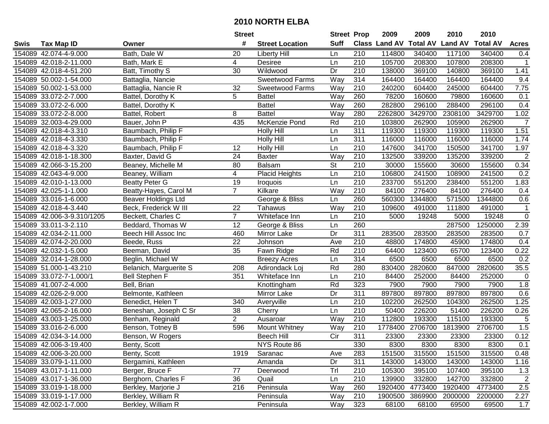|      |                            |                        | <b>Street</b>   |                        | <b>Street Prop</b> |                  | 2009          | 2009            | 2010           | 2010            |                |
|------|----------------------------|------------------------|-----------------|------------------------|--------------------|------------------|---------------|-----------------|----------------|-----------------|----------------|
| Swis | <b>Tax Map ID</b>          | Owner                  | #               | <b>Street Location</b> | <b>Suff</b>        |                  | Class Land AV | <b>Total AV</b> | <b>Land AV</b> | <b>Total AV</b> | <b>Acres</b>   |
|      | 154089 42.074-4-9.000      | Bath, Dale W           | 20              | <b>Liberty Hill</b>    | Ln                 | 210              | 114800        | 340400          | 117100         | 340400          | 0.4            |
|      | 154089 42.018-2-11.000     | Bath, Mark E           | 4               | Desiree                | Ln                 | 210              | 105700        | 208300          | 107800         | 208300          | -1             |
|      | 154089 42.018-4-51.200     | Batt, Timothy S        | 30              | Wildwood               | Dr                 | 210              | 138000        | 369100          | 140800         | 369100          | 1.41           |
|      | 154089 50.002-1-54.000     | Battaglia, Nancie      |                 | Sweetwood Farms        | Way                | 314              | 164400        | 164400          | 164400         | 164400          | 9.4            |
|      | 154089 50.002-1-53.000     | Battaglia, Nancie R    | 32              | Sweetwood Farms        | Way                | 210              | 240200        | 604400          | 245000         | 604400          | 7.75           |
|      | 154089 33.072-2-7.000      | Battel, Dorothy K      | 5               | <b>Battel</b>          | Way                | 260              | 78200         | 160600          | 79800          | 160600          | 0.1            |
|      | 154089 33.072-2-6.000      | Battel, Dorothy K      |                 | <b>Battel</b>          | Way                | 260              | 282800        | 296100          | 288400         | 296100          | 0.4            |
|      | 154089 33.072-2-8.000      | Battel, Robert         | 8               | <b>Battel</b>          | Way                | 280              | 2262800       | 3429700         | 2308100        | 3429700         | 1.02           |
|      | 154089 32.003-4-29.000     | Bauer, John P          | 435             | McKenzie Pond          | Rd                 | $\overline{210}$ | 103800        | 262900          | 105900         | 262900          | $\overline{7}$ |
|      | 154089 42.018-4-3.310      | Baumbach, Philip F     |                 | <b>Holly Hill</b>      | Ln                 | 311              | 119300        | 119300          | 119300         | 119300          | 1.51           |
|      | 154089 42.018-4-3.330      | Baumbach, Philip F     |                 | Holly Hill             | Ln                 | 311              | 116000        | 116000          | 116000         | 116000          | 1.74           |
|      | 154089 42.018-4-3.320      | Baumbach, Philip F     | 12              | <b>Holly Hill</b>      | Ln                 | 210              | 147600        | 341700          | 150500         | 341700          | 1.97           |
|      | 154089 42.018-1-18.300     | Baxter, David G        | $\overline{24}$ | Baxter                 | Way                | 210              | 132500        | 339200          | 135200         | 339200          | $\mathbf 2$    |
|      | 154089 42.066-3-15.200     | Beaney, Michelle M     | 80              | <b>Balsam</b>          | <b>St</b>          | 210              | 30000         | 155600          | 30600          | 155600          | 0.34           |
|      | 154089 42.043-4-9.000      | Beaney, William        | 4               | <b>Placid Heights</b>  | Ln                 | 210              | 106800        | 241500          | 108900         | 241500          | 0.2            |
|      | 154089 42.010-1-13.000     | <b>Beatty Peter G</b>  | 19              | <b>Iroquois</b>        | Ln                 | 210              | 233700        | 551200          | 238400         | 551200          | 1.83           |
|      | 154089 42.025-1-1.000      | Beatty-Hayes, Carol M  | $\overline{7}$  | Kilkare                | Way                | 210              | 84100         | 276400          | 84100          | 276400          | 0.4            |
|      | 154089 33.016-1-6.000      | Beaver Holdings Ltd    |                 | George & Bliss         | Ln                 | 260              | 560300        | 1344800         | 571500         | 1344800         | 0.6            |
|      | 154089 42.018-4-3.440      | Beck, Frederick W III  | 22              | Tahawus                | Way                | 210              | 109600        | 491000          | 111800         | 491000          | $\mathbf 1$    |
|      | 154089 42.006-3-9.310/1205 | Beckett, Charles C     | $\mathbf{7}$    | Whiteface Inn          | Ln                 | 210              | 5000          | 19248           | 5000           | 19248           | $\mathbf 0$    |
|      | 154089 33.011-3-2.110      | Beddard, Thomas W      | 12              | George & Bliss         | Ln                 | 260              |               |                 | 287500         | 1250000         | 2.39           |
|      | 154089 42.034-2-11.000     | Beech Hill Assoc Inc   | 460             | Mirror Lake            | Dr                 | 311              | 283500        | 283500          | 283500         | 283500          | 0.7            |
|      | 154089 42.074-2-20.000     | Beede, Russ            | 22              | Johnson                | Ave                | 210              | 48800         | 174800          | 45900          | 174800          | 0.4            |
|      | 154089 42.032-1-5.000      | Beeman, David          | 35              | Fawn Ridge             | Rd                 | 210              | 64400         | 123400          | 65700          | 123400          | 0.22           |
|      | 154089 32.014-1-28.000     | Beglin, Michael W      |                 | <b>Breezy Acres</b>    | Ln                 | 314              | 6500          | 6500            | 6500           | 6500            | 0.2            |
|      | 154089 51.000-1-43.210     | Belanich, Marguerite S | 208             | Adirondack Loj         | Rd                 | 280              | 830400        | 2820600         | 847000         | 2820600         | 35.5           |
|      | 154089 33.072-7-1.000/1    | <b>Bell Stephen F</b>  | 351             | Whiteface Inn          | Ln                 | 210              | 84400         | 252000          | 84400          | 252000          | $\mathbf 0$    |
|      | 154089 41.007-2-4.000      | Bell, Brian            |                 | Knottingham            | Rd                 | 323              | 7900          | 7900            | 7900           | 7900            | 1.8            |
|      | 154089 42.026-2-9.000      | Belmonte, Kathleen     |                 | Mirror Lake            | Dr                 | 311              | 897800        | 897800          | 897800         | 897800          | 0.6            |
|      | 154089 42.003-1-27.000     | Benedict, Helen T      | 340             | Averyville             | Ln                 | $\overline{210}$ | 102200        | 262500          | 104300         | 262500          | 1.25           |
|      | 154089 42.065-2-16.000     | Beneshan, Joseph C Sr  | 38              | Cherry                 | Ln                 | 210              | 50400         | 226200          | 51400          | 226200          | 0.26           |
|      | 154089 43.003-1-25.000     | Benham, Reginald       | $\overline{2}$  | Ausaroar               | Way                | 210              | 112800        | 193300          | 115100         | 193300          | 5              |
|      | 154089 33.016-2-6.000      | Benson, Totney B       | 596             | Mount Whitney          | Way                | $\overline{210}$ | 1778400       | 2706700         | 1813900        | 2706700         | 1.5            |
|      | 154089 42.034-3-14.000     | Benson, W Rogers       |                 | <b>Beech Hill</b>      | $\overline{C}$     | 311              | 23300         | 23300           | 23300          | 23300           | 0.12           |
|      | 154089 42.006-3-19.400     | Benty, Scott           |                 | NYS Route 86           |                    | 330              | 8300          | 8300            | 8300           | 8300            | 0.1            |
|      | 154089 42.006-3-20.000     | Benty, Scott           | 1919            | Saranac                | Ave                | 283              | 151500        | 315500          | 151500         | 315500          | 0.48           |
|      | 154089 33.079-1-11.000     | Bergamini, Kathleen    |                 | Amanda                 | Dr                 | 311              | 143000        | 143000          | 143000         | 143000          | 1.16           |
|      | 154089 43.017-1-11.000     | Berger, Bruce F        | 77              | Deerwood               | Trl                | 210              | 105300        | 395100          | 107400         | 395100          | 1.3            |
|      | 154089 43.017-1-36.000     | Berghorn, Charles F    | 36              | Quail                  | Ln                 | 210              | 139900        | 332800          | 142700         | 332800          | $\overline{2}$ |
|      | 154089 33.019-1-18.000     | Berkley, Marjorie J    | 216             | Peninsula              | Way                | 260              | 1920400       | 4773400         | 1920400        | 4773400         | $2.5\,$        |
|      | 154089 33.019-1-17.000     | Berkley, William R     |                 | Peninsula              | Way                | 210              | 1900500       | 3869900         | 2000000        | 2200000         | 2.27           |
|      | 154089 42.002-1-7.000      | Berkley, William R     |                 | Peninsula              | Way                | 323              | 68100         | 68100           | 69500          | 69500           | 1.7            |
|      |                            |                        |                 |                        |                    |                  |               |                 |                |                 |                |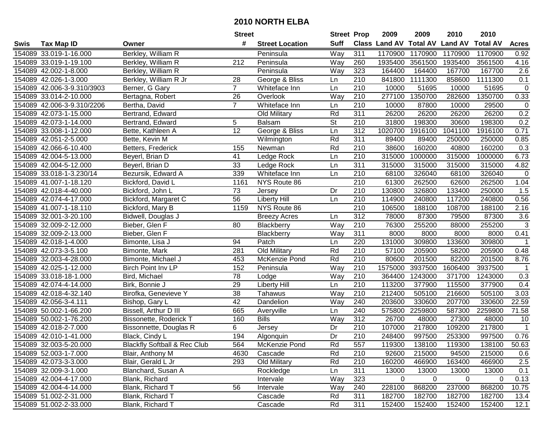|      |                            |                                         | <b>Street</b>   |                        | <b>Street Prop</b>       |                  | 2009                          | 2009    | 2010           | 2010            |                |
|------|----------------------------|-----------------------------------------|-----------------|------------------------|--------------------------|------------------|-------------------------------|---------|----------------|-----------------|----------------|
| Swis | <b>Tax Map ID</b>          | Owner                                   | #               | <b>Street Location</b> | <b>Suff</b>              |                  | <b>Class Land AV Total AV</b> |         | <b>Land AV</b> | <b>Total AV</b> | <b>Acres</b>   |
|      | 154089 33.019-1-16.000     | Berkley, William R                      |                 | Peninsula              | Way                      | 311              | 1170900                       | 1170900 | 1170900        | 1170900         | 0.92           |
|      | 154089 33.019-1-19.100     | Berkley, William R                      | 212             | Peninsula              | Way                      | 260              | 1935400                       | 3561500 | 1935400        | 3561500         | 4.16           |
|      | 154089 42.002-1-8.000      | Berkley, William R                      |                 | Peninsula              | Way                      | 323              | 164400                        | 164400  | 167700         | 167700          | 2.6            |
|      | 154089 42.026-1-3.000      | Berkley, William R Jr                   | 28              | George & Bliss         | Ln                       | 210              | 841800                        | 1111300 | 858600         | 1111300         | 0.1            |
|      | 154089 42.006-3-9.310/3903 | Berner, G Gary                          | $\overline{7}$  | Whiteface Inn          | Ln                       | 210              | 10000                         | 51695   | 10000          | 51695           | $\pmb{0}$      |
|      | 154089 33.014-2-10.000     | Bertagna, Robert                        | 26              | Overlook               | Way                      | 210              | 277100                        | 1350700 | 282600         | 1350700         | 0.33           |
|      | 154089 42.006-3-9.310/2206 | Bertha, David                           | $\overline{7}$  | Whiteface Inn          | Ln                       | 210              | 10000                         | 87800   | 10000          | 29500           | $\mathbf 0$    |
|      | 154089 42.073-1-15.000     | Bertrand, Edward                        |                 | Old Military           | Rd                       | 311              | 26200                         | 26200   | 26200          | 26200           | 0.2            |
|      | 154089 42.073-1-14.000     | Bertrand, Edward                        | 5               | <b>Balsam</b>          | $\overline{\mathsf{St}}$ | $\overline{210}$ | 31800                         | 198300  | 30600          | 198300          | 0.2            |
|      | 154089 33.008-1-12.000     | Bette, Kathleen A                       | 12              | George & Bliss         | Ln                       | 312              | 1020700                       | 1916100 | 1041100        | 1916100         | 0.71           |
|      | 154089 42.051-2-5.000      | Bette, Kevin M                          |                 | Wilmington             | Rd                       | 311              | 89400                         | 89400   | 250000         | 250000          | 0.85           |
|      | 154089 42.066-6-10.400     | Betters, Frederick                      | 155             | Newman                 | Rd                       | 210              | 38600                         | 160200  | 40800          | 160200          | 0.3            |
|      | 154089 42.004-5-13.000     | Beyerl, Brian D                         | 41              | Ledge Rock             | Ln                       | 210              | 315000                        | 1000000 | 315000         | 1000000         | 6.73           |
|      | 154089 42.004-5-12.000     | Beyerl, Brian D                         | 33              | Ledge Rock             | Ln                       | 311              | 315000                        | 315000  | 315000         | 315000          | 4.82           |
|      | 154089 33.018-1-3.230/14   | Bezursik, Edward A                      | 339             | Whiteface Inn          | Ln                       | 210              | 68100                         | 326040  | 68100          | 326040          | $\mathbf 0$    |
|      | 154089 41.007-1-18.120     | Bickford, David L                       | 1161            | NYS Route 86           |                          | 210              | 61300                         | 262500  | 62600          | 262500          | 1.04           |
|      | 154089 42.018-4-40.000     | Bickford, John L                        | 73              | Jersey                 | Dr                       | 210              | 130800                        | 326800  | 133400         | 250000          | 1.5            |
|      | 154089 42.074-4-17.000     | Bickford, Margaret C                    | $\overline{56}$ | Liberty Hill           | Ln                       | 210              | 114900                        | 240800  | 117200         | 240800          | 0.56           |
|      | 154089 41.007-1-18.110     | Bickford, Mary B                        | 1159            | NYS Route 86           |                          | 210              | 106500                        | 188100  | 108700         | 188100          | 2.16           |
|      | 154089 32.001-3-20.100     | Bidwell, Douglas J                      |                 | <b>Breezy Acres</b>    | Ln                       | 312              | 78000                         | 87300   | 79500          | 87300           | 3.6            |
|      | 154089 32.009-2-12.000     | Bieber, Glen F                          | 80              | Blackberry             | Way                      | 210              | 76300                         | 255200  | 88000          | 255200          | $\overline{3}$ |
|      | 154089 32.009-2-13.000     | Bieber, Glen F                          |                 | Blackberry             | Way                      | 311              | 8000                          | 8000    | 8000           | 8000            | 0.41           |
|      | 154089 42.018-1-4.000      | Bimonte, Lisa J                         | 94              | Patch                  | Ln                       | 220              | 131000                        | 309800  | 133600         | 309800          | $\mathbf 1$    |
|      | 154089 42.073-3-5.100      | Bimonte, Mark                           | 281             | Old Military           | Rd                       | 210              | 57100                         | 205900  | 58200          | 205900          | 0.48           |
|      | 154089 32.003-4-28.000     | Bimonte, Michael J                      | 453             | McKenzie Pond          | Rd                       | 210              | 80600                         | 201500  | 82200          | 201500          | 8.76           |
|      | 154089 42.025-1-12.000     | Birch Point Inv LP                      | 152             | Peninsula              | Way                      | 210              | 1575000                       | 3937500 | 1606400        | 3937500         | $\mathbf 1$    |
|      | 154089 33.018-18-1.000     | Bird, Michael                           | 78              | Lodge                  | Way                      | 210              | 364400                        | 1243000 | 371700         | 1243000         | 0.3            |
|      | 154089 42.074-4-14.000     | Birk, Bonnie J                          | 29              | <b>Liberty Hill</b>    | Ln                       | 210              | 113200                        | 377900  | 115500         | 377900          | 0.4            |
|      | 154089 42.018-4-32.140     | Birofka, Genevieve Y                    | $\overline{38}$ | Tahawus                | Way                      | 210              | 212400                        | 505100  | 216600         | 505100          | 3.03           |
|      | 154089 42.056-3-4.111      | Bishop, Gary L                          | 42              | Dandelion              | Way                      | 240              | 203600                        | 330600  | 207700         | 330600          | 22.59          |
|      | 154089 50.002-1-66.200     | Bissell, Arthur D III                   | 665             | Averyville             | Ln                       | $\overline{240}$ | 575800                        | 2259800 | 587300         | 2259800         | 71.58          |
|      | 154089 50.002-1-76.200     | <b>Bissonette, Roderick T</b>           | 160             | <b>Bills</b>           | Way                      | 312              | 26700                         | 48000   | 27300          | 48000           | 10             |
|      | 154089 42.018-2-7.000      | Bissonnette, Douglas R                  | 6               | Jersey                 | Dr                       | 210              | 107000                        | 217800  | 109200         | 217800          | $\mathbf{1}$   |
|      | 154089 42.010-1-41.000     | Black, Cindy L                          | 194             | Algonquin              | $\overline{Dr}$          | $\overline{210}$ | 248400                        | 997500  | 253300         | 997500          | 0.76           |
|      | 154089 32.003-5-20.000     | <b>Blackfly Softball &amp; Rec Club</b> | 564             | McKenzie Pond          | Rd                       | 557              | 119300                        | 138100  | 119300         | 138100          | 50.63          |
|      | 154089 52.003-1-7.000      | Blair, Anthony M                        | 4630            | Cascade                | Rd                       | 210              | 92600                         | 215000  | 94500          | 215000          | 0.6            |
|      | 154089 42.073-3-3.000      | Blair, Gerald L Jr                      | 293             | Old Military           | Rd                       | 210              | 160200                        | 466900  | 163400         | 466900          | $2.5\,$        |
|      | 154089 32.009-3-1.000      | Blanchard, Susan A                      |                 | Rockledge              | Ln                       | 311              | 13000                         | 13000   | 13000          | 13000           | 0.1            |
|      | 154089 42.004-4-17.000     | Blank, Richard                          |                 | Intervale              | Way                      | 323              | 0                             | 0       | 0              | $\overline{0}$  | 0.13           |
|      | 154089 42.004-4-14.000     | Blank, Richard T                        | 56              | Intervale              | Way                      | 240              | 228100                        | 868200  | 237000         | 868200          | 10.75          |
|      | 154089 51.002-2-31.000     | Blank, Richard T                        |                 | Cascade                | Rd                       | 311              | 182700                        | 182700  | 182700         | 182700          | 13.4           |
|      | 154089 51.002-2-33.000     | Blank, Richard T                        |                 | Cascade                | Rd                       | 311              | 152400                        | 152400  | 152400         | 152400          | 12.1           |
|      |                            |                                         |                 |                        |                          |                  |                               |         |                |                 |                |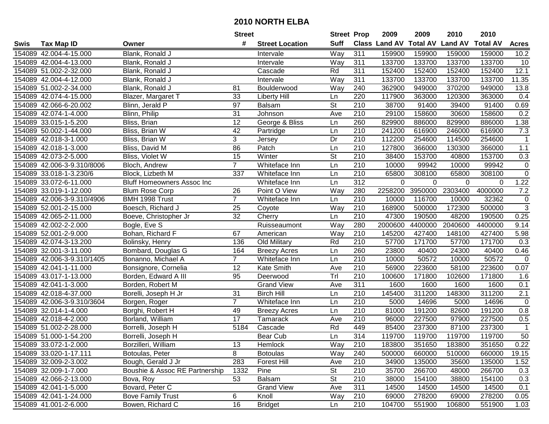| <b>Suff</b><br>Class Land AV Total AV Land AV Total AV<br>#<br><b>Tax Map ID</b><br><b>Street Location</b><br><b>Acres</b><br>Swis<br>Owner<br>311<br>154089 42.004-4-15.000<br>Blank, Ronald J<br>Way<br>159900<br>159900<br>159000<br>159000<br>10.2<br>Intervale<br>311<br>154089 42.004-4-13.000<br>Way<br>133700<br>133700<br>133700<br>133700<br>10<br>Blank, Ronald J<br>Intervale<br>154089 51.002-2-32.000<br>Cascade<br>Rd<br>311<br>152400<br>152400<br>152400<br>12.1<br>Blank, Ronald J<br>152400<br>154089 42.004-4-12.000<br>Way<br>311<br>133700<br>133700<br>133700<br>133700<br>11.35<br>Blank, Ronald J<br>Intervale<br>$\overline{240}$<br>362900<br>154089 51.002-2-34.000<br>81<br>Way<br>949000<br>370200<br>949000<br>13.8<br>Blank, Ronald J<br>Boulderwood<br>154089 42.074-4-15.000<br>33<br>220<br>117900<br>363000<br>120300<br>363000<br>Blazer, Margaret T<br><b>Liberty Hill</b><br>Ln<br>0.4<br>$\overline{97}$<br>$\overline{\mathsf{St}}$<br>$\overline{210}$<br>38700<br>154089 42.066-6-20.002<br>Blinn, Jerald P<br>91400<br>39400<br>91400<br>0.69<br><b>Balsam</b><br>154089 42.074-1-4.000<br>31<br>210<br>29100<br>158600<br>0.2<br>Blinn, Philip<br>Ave<br>30600<br>158600<br>Johnson<br>12<br>260<br>George & Bliss<br>829900<br>886000<br>829900<br>1.38<br>154089 33.015-1-5.200<br>Bliss, Brian<br>886000<br>Ln<br>$\overline{210}$<br>7.3<br>154089 50.002-1-44.000<br>42<br>241200<br>616900<br>Bliss, Brian W<br>Ln<br>246000<br>616900<br>Partridge<br>3<br>Dr<br>210<br>154089 42.018-3-1.000<br>112200<br>254600<br>114500<br>254600<br>$\mathbf{1}$<br>Bliss, Brian W<br>Jersey<br>210<br>154089 42.018-1-3.000<br>Bliss, David M<br>86<br>Patch<br>Ln<br>127800<br>366000<br>130300<br>366000<br>1.1<br>15<br>St<br>153700<br>154089 42.073-2-5.000<br>Bliss, Violet W<br>Winter<br>210<br>38400<br>40800<br>153700<br>0.3<br>$\overline{7}$<br>Ln<br>210<br>10000<br>10000<br>99942<br>$\pmb{0}$<br>154089 42.006-3-9.310/8006<br>Bloch, Andrew<br>Whiteface Inn<br>99942<br>210<br>154089 33.018-1-3.230/6<br>337<br>Whiteface Inn<br>Ln<br>65800<br>308100<br>65800<br>308100<br>Block, Lizbeth M<br>$\overline{312}$<br>154089 33.072-6-11.000<br>Whiteface Inn<br>Ln<br>0<br>$\Omega$<br>$\Omega$<br>1.22<br><b>Bluff Homeowners Assoc Inc</b><br>$\Omega$<br>3950000<br>2303400<br>4000000<br>7.2<br>154089 33.019-1-12.000<br>26<br>Point O View<br>Way<br>280<br>2258200<br><b>Blum Rose Corp</b><br>$\overline{7}$<br>210<br>$\pmb{0}$<br>154089 42.006-3-9.310/4906<br>10000<br>116700<br>10000<br>32362<br>BMH 1998 Trust<br>Whiteface Inn<br>Ln<br>$\overline{3}$<br>25<br>Way<br>154089 52.001-2-15.000<br>210<br>168900<br>500000<br>172300<br>500000<br>Boesch, Richard J<br>Coyote<br>32<br>Cherry<br>0.25<br>154089 42.065-2-11.000<br>210<br>47300<br>190500<br>48200<br>190500<br>Boeve, Christopher Jr<br>Ln<br>154089 42.002-2-2.000<br>Way<br>280<br>2000600<br>4400000<br>2040600<br>4400000<br>9.14<br>Bogle, Eve S<br>Ruisseaumont<br>154089 52.001-2-9.000 |  |                  | <b>Street</b> |          | <b>Street Prop</b> |     | 2009   | 2009   | 2010   | 2010   |                 |
|---------------------------------------------------------------------------------------------------------------------------------------------------------------------------------------------------------------------------------------------------------------------------------------------------------------------------------------------------------------------------------------------------------------------------------------------------------------------------------------------------------------------------------------------------------------------------------------------------------------------------------------------------------------------------------------------------------------------------------------------------------------------------------------------------------------------------------------------------------------------------------------------------------------------------------------------------------------------------------------------------------------------------------------------------------------------------------------------------------------------------------------------------------------------------------------------------------------------------------------------------------------------------------------------------------------------------------------------------------------------------------------------------------------------------------------------------------------------------------------------------------------------------------------------------------------------------------------------------------------------------------------------------------------------------------------------------------------------------------------------------------------------------------------------------------------------------------------------------------------------------------------------------------------------------------------------------------------------------------------------------------------------------------------------------------------------------------------------------------------------------------------------------------------------------------------------------------------------------------------------------------------------------------------------------------------------------------------------------------------------------------------------------------------------------------------------------------------------------------------------------------------------------------------------------------------------------------------------------------------------------------------------------------------------------------------------------------------------------------------------------------------------------------------------------------------------------------------------------------------------------------------------------------------------------------------------------------------------------------------------------------------------------------------------|--|------------------|---------------|----------|--------------------|-----|--------|--------|--------|--------|-----------------|
|                                                                                                                                                                                                                                                                                                                                                                                                                                                                                                                                                                                                                                                                                                                                                                                                                                                                                                                                                                                                                                                                                                                                                                                                                                                                                                                                                                                                                                                                                                                                                                                                                                                                                                                                                                                                                                                                                                                                                                                                                                                                                                                                                                                                                                                                                                                                                                                                                                                                                                                                                                                                                                                                                                                                                                                                                                                                                                                                                                                                                                             |  |                  |               |          |                    |     |        |        |        |        |                 |
|                                                                                                                                                                                                                                                                                                                                                                                                                                                                                                                                                                                                                                                                                                                                                                                                                                                                                                                                                                                                                                                                                                                                                                                                                                                                                                                                                                                                                                                                                                                                                                                                                                                                                                                                                                                                                                                                                                                                                                                                                                                                                                                                                                                                                                                                                                                                                                                                                                                                                                                                                                                                                                                                                                                                                                                                                                                                                                                                                                                                                                             |  |                  |               |          |                    |     |        |        |        |        |                 |
|                                                                                                                                                                                                                                                                                                                                                                                                                                                                                                                                                                                                                                                                                                                                                                                                                                                                                                                                                                                                                                                                                                                                                                                                                                                                                                                                                                                                                                                                                                                                                                                                                                                                                                                                                                                                                                                                                                                                                                                                                                                                                                                                                                                                                                                                                                                                                                                                                                                                                                                                                                                                                                                                                                                                                                                                                                                                                                                                                                                                                                             |  |                  |               |          |                    |     |        |        |        |        |                 |
|                                                                                                                                                                                                                                                                                                                                                                                                                                                                                                                                                                                                                                                                                                                                                                                                                                                                                                                                                                                                                                                                                                                                                                                                                                                                                                                                                                                                                                                                                                                                                                                                                                                                                                                                                                                                                                                                                                                                                                                                                                                                                                                                                                                                                                                                                                                                                                                                                                                                                                                                                                                                                                                                                                                                                                                                                                                                                                                                                                                                                                             |  |                  |               |          |                    |     |        |        |        |        |                 |
|                                                                                                                                                                                                                                                                                                                                                                                                                                                                                                                                                                                                                                                                                                                                                                                                                                                                                                                                                                                                                                                                                                                                                                                                                                                                                                                                                                                                                                                                                                                                                                                                                                                                                                                                                                                                                                                                                                                                                                                                                                                                                                                                                                                                                                                                                                                                                                                                                                                                                                                                                                                                                                                                                                                                                                                                                                                                                                                                                                                                                                             |  |                  |               |          |                    |     |        |        |        |        |                 |
|                                                                                                                                                                                                                                                                                                                                                                                                                                                                                                                                                                                                                                                                                                                                                                                                                                                                                                                                                                                                                                                                                                                                                                                                                                                                                                                                                                                                                                                                                                                                                                                                                                                                                                                                                                                                                                                                                                                                                                                                                                                                                                                                                                                                                                                                                                                                                                                                                                                                                                                                                                                                                                                                                                                                                                                                                                                                                                                                                                                                                                             |  |                  |               |          |                    |     |        |        |        |        |                 |
|                                                                                                                                                                                                                                                                                                                                                                                                                                                                                                                                                                                                                                                                                                                                                                                                                                                                                                                                                                                                                                                                                                                                                                                                                                                                                                                                                                                                                                                                                                                                                                                                                                                                                                                                                                                                                                                                                                                                                                                                                                                                                                                                                                                                                                                                                                                                                                                                                                                                                                                                                                                                                                                                                                                                                                                                                                                                                                                                                                                                                                             |  |                  |               |          |                    |     |        |        |        |        |                 |
|                                                                                                                                                                                                                                                                                                                                                                                                                                                                                                                                                                                                                                                                                                                                                                                                                                                                                                                                                                                                                                                                                                                                                                                                                                                                                                                                                                                                                                                                                                                                                                                                                                                                                                                                                                                                                                                                                                                                                                                                                                                                                                                                                                                                                                                                                                                                                                                                                                                                                                                                                                                                                                                                                                                                                                                                                                                                                                                                                                                                                                             |  |                  |               |          |                    |     |        |        |        |        |                 |
|                                                                                                                                                                                                                                                                                                                                                                                                                                                                                                                                                                                                                                                                                                                                                                                                                                                                                                                                                                                                                                                                                                                                                                                                                                                                                                                                                                                                                                                                                                                                                                                                                                                                                                                                                                                                                                                                                                                                                                                                                                                                                                                                                                                                                                                                                                                                                                                                                                                                                                                                                                                                                                                                                                                                                                                                                                                                                                                                                                                                                                             |  |                  |               |          |                    |     |        |        |        |        |                 |
|                                                                                                                                                                                                                                                                                                                                                                                                                                                                                                                                                                                                                                                                                                                                                                                                                                                                                                                                                                                                                                                                                                                                                                                                                                                                                                                                                                                                                                                                                                                                                                                                                                                                                                                                                                                                                                                                                                                                                                                                                                                                                                                                                                                                                                                                                                                                                                                                                                                                                                                                                                                                                                                                                                                                                                                                                                                                                                                                                                                                                                             |  |                  |               |          |                    |     |        |        |        |        |                 |
|                                                                                                                                                                                                                                                                                                                                                                                                                                                                                                                                                                                                                                                                                                                                                                                                                                                                                                                                                                                                                                                                                                                                                                                                                                                                                                                                                                                                                                                                                                                                                                                                                                                                                                                                                                                                                                                                                                                                                                                                                                                                                                                                                                                                                                                                                                                                                                                                                                                                                                                                                                                                                                                                                                                                                                                                                                                                                                                                                                                                                                             |  |                  |               |          |                    |     |        |        |        |        |                 |
|                                                                                                                                                                                                                                                                                                                                                                                                                                                                                                                                                                                                                                                                                                                                                                                                                                                                                                                                                                                                                                                                                                                                                                                                                                                                                                                                                                                                                                                                                                                                                                                                                                                                                                                                                                                                                                                                                                                                                                                                                                                                                                                                                                                                                                                                                                                                                                                                                                                                                                                                                                                                                                                                                                                                                                                                                                                                                                                                                                                                                                             |  |                  |               |          |                    |     |        |        |        |        |                 |
|                                                                                                                                                                                                                                                                                                                                                                                                                                                                                                                                                                                                                                                                                                                                                                                                                                                                                                                                                                                                                                                                                                                                                                                                                                                                                                                                                                                                                                                                                                                                                                                                                                                                                                                                                                                                                                                                                                                                                                                                                                                                                                                                                                                                                                                                                                                                                                                                                                                                                                                                                                                                                                                                                                                                                                                                                                                                                                                                                                                                                                             |  |                  |               |          |                    |     |        |        |        |        |                 |
|                                                                                                                                                                                                                                                                                                                                                                                                                                                                                                                                                                                                                                                                                                                                                                                                                                                                                                                                                                                                                                                                                                                                                                                                                                                                                                                                                                                                                                                                                                                                                                                                                                                                                                                                                                                                                                                                                                                                                                                                                                                                                                                                                                                                                                                                                                                                                                                                                                                                                                                                                                                                                                                                                                                                                                                                                                                                                                                                                                                                                                             |  |                  |               |          |                    |     |        |        |        |        |                 |
|                                                                                                                                                                                                                                                                                                                                                                                                                                                                                                                                                                                                                                                                                                                                                                                                                                                                                                                                                                                                                                                                                                                                                                                                                                                                                                                                                                                                                                                                                                                                                                                                                                                                                                                                                                                                                                                                                                                                                                                                                                                                                                                                                                                                                                                                                                                                                                                                                                                                                                                                                                                                                                                                                                                                                                                                                                                                                                                                                                                                                                             |  |                  |               |          |                    |     |        |        |        |        |                 |
|                                                                                                                                                                                                                                                                                                                                                                                                                                                                                                                                                                                                                                                                                                                                                                                                                                                                                                                                                                                                                                                                                                                                                                                                                                                                                                                                                                                                                                                                                                                                                                                                                                                                                                                                                                                                                                                                                                                                                                                                                                                                                                                                                                                                                                                                                                                                                                                                                                                                                                                                                                                                                                                                                                                                                                                                                                                                                                                                                                                                                                             |  |                  |               |          |                    |     |        |        |        |        | $\mathsf 0$     |
|                                                                                                                                                                                                                                                                                                                                                                                                                                                                                                                                                                                                                                                                                                                                                                                                                                                                                                                                                                                                                                                                                                                                                                                                                                                                                                                                                                                                                                                                                                                                                                                                                                                                                                                                                                                                                                                                                                                                                                                                                                                                                                                                                                                                                                                                                                                                                                                                                                                                                                                                                                                                                                                                                                                                                                                                                                                                                                                                                                                                                                             |  |                  |               |          |                    |     |        |        |        |        |                 |
|                                                                                                                                                                                                                                                                                                                                                                                                                                                                                                                                                                                                                                                                                                                                                                                                                                                                                                                                                                                                                                                                                                                                                                                                                                                                                                                                                                                                                                                                                                                                                                                                                                                                                                                                                                                                                                                                                                                                                                                                                                                                                                                                                                                                                                                                                                                                                                                                                                                                                                                                                                                                                                                                                                                                                                                                                                                                                                                                                                                                                                             |  |                  |               |          |                    |     |        |        |        |        |                 |
|                                                                                                                                                                                                                                                                                                                                                                                                                                                                                                                                                                                                                                                                                                                                                                                                                                                                                                                                                                                                                                                                                                                                                                                                                                                                                                                                                                                                                                                                                                                                                                                                                                                                                                                                                                                                                                                                                                                                                                                                                                                                                                                                                                                                                                                                                                                                                                                                                                                                                                                                                                                                                                                                                                                                                                                                                                                                                                                                                                                                                                             |  |                  |               |          |                    |     |        |        |        |        |                 |
|                                                                                                                                                                                                                                                                                                                                                                                                                                                                                                                                                                                                                                                                                                                                                                                                                                                                                                                                                                                                                                                                                                                                                                                                                                                                                                                                                                                                                                                                                                                                                                                                                                                                                                                                                                                                                                                                                                                                                                                                                                                                                                                                                                                                                                                                                                                                                                                                                                                                                                                                                                                                                                                                                                                                                                                                                                                                                                                                                                                                                                             |  |                  |               |          |                    |     |        |        |        |        |                 |
|                                                                                                                                                                                                                                                                                                                                                                                                                                                                                                                                                                                                                                                                                                                                                                                                                                                                                                                                                                                                                                                                                                                                                                                                                                                                                                                                                                                                                                                                                                                                                                                                                                                                                                                                                                                                                                                                                                                                                                                                                                                                                                                                                                                                                                                                                                                                                                                                                                                                                                                                                                                                                                                                                                                                                                                                                                                                                                                                                                                                                                             |  |                  |               |          |                    |     |        |        |        |        |                 |
|                                                                                                                                                                                                                                                                                                                                                                                                                                                                                                                                                                                                                                                                                                                                                                                                                                                                                                                                                                                                                                                                                                                                                                                                                                                                                                                                                                                                                                                                                                                                                                                                                                                                                                                                                                                                                                                                                                                                                                                                                                                                                                                                                                                                                                                                                                                                                                                                                                                                                                                                                                                                                                                                                                                                                                                                                                                                                                                                                                                                                                             |  |                  |               |          |                    |     |        |        |        |        |                 |
|                                                                                                                                                                                                                                                                                                                                                                                                                                                                                                                                                                                                                                                                                                                                                                                                                                                                                                                                                                                                                                                                                                                                                                                                                                                                                                                                                                                                                                                                                                                                                                                                                                                                                                                                                                                                                                                                                                                                                                                                                                                                                                                                                                                                                                                                                                                                                                                                                                                                                                                                                                                                                                                                                                                                                                                                                                                                                                                                                                                                                                             |  | Bohan, Richard F | 67            | American | Way                | 210 | 145200 | 427400 | 148100 | 427400 | 5.98            |
| 57700<br>154089 42.074-3-13.200<br>Old Military<br>Rd<br>210<br>171700<br>57700<br>171700<br>0.3<br>Bolinsky, Henry<br>136                                                                                                                                                                                                                                                                                                                                                                                                                                                                                                                                                                                                                                                                                                                                                                                                                                                                                                                                                                                                                                                                                                                                                                                                                                                                                                                                                                                                                                                                                                                                                                                                                                                                                                                                                                                                                                                                                                                                                                                                                                                                                                                                                                                                                                                                                                                                                                                                                                                                                                                                                                                                                                                                                                                                                                                                                                                                                                                  |  |                  |               |          |                    |     |        |        |        |        |                 |
| 154089 32.001-3-11.000<br>Bombard, Douglas G<br>164<br>260<br>23800<br>40400<br>24300<br>40400<br>0.46<br><b>Breezy Acres</b><br>Ln                                                                                                                                                                                                                                                                                                                                                                                                                                                                                                                                                                                                                                                                                                                                                                                                                                                                                                                                                                                                                                                                                                                                                                                                                                                                                                                                                                                                                                                                                                                                                                                                                                                                                                                                                                                                                                                                                                                                                                                                                                                                                                                                                                                                                                                                                                                                                                                                                                                                                                                                                                                                                                                                                                                                                                                                                                                                                                         |  |                  |               |          |                    |     |        |        |        |        |                 |
| $\overline{7}$<br>Bonanno, Michael A<br>210<br>10000<br>50572<br>50572<br>$\mathbf 0$<br>154089 42.006-3-9.310/1405<br>Whiteface Inn<br>Ln<br>10000                                                                                                                                                                                                                                                                                                                                                                                                                                                                                                                                                                                                                                                                                                                                                                                                                                                                                                                                                                                                                                                                                                                                                                                                                                                                                                                                                                                                                                                                                                                                                                                                                                                                                                                                                                                                                                                                                                                                                                                                                                                                                                                                                                                                                                                                                                                                                                                                                                                                                                                                                                                                                                                                                                                                                                                                                                                                                         |  |                  |               |          |                    |     |        |        |        |        |                 |
| $\overline{210}$<br>12<br>223600<br>58100<br>223600<br>154089 42.041-1-11.000<br>Kate Smith<br>Ave<br>56900<br>0.07<br>Bonsignore, Cornelia                                                                                                                                                                                                                                                                                                                                                                                                                                                                                                                                                                                                                                                                                                                                                                                                                                                                                                                                                                                                                                                                                                                                                                                                                                                                                                                                                                                                                                                                                                                                                                                                                                                                                                                                                                                                                                                                                                                                                                                                                                                                                                                                                                                                                                                                                                                                                                                                                                                                                                                                                                                                                                                                                                                                                                                                                                                                                                 |  |                  |               |          |                    |     |        |        |        |        |                 |
| Tr<br>210<br>154089 43.017-1-13.000<br>Borden, Edward A III<br>95<br>100600<br>171800<br>102600<br>171800<br>1.6<br>Deerwood                                                                                                                                                                                                                                                                                                                                                                                                                                                                                                                                                                                                                                                                                                                                                                                                                                                                                                                                                                                                                                                                                                                                                                                                                                                                                                                                                                                                                                                                                                                                                                                                                                                                                                                                                                                                                                                                                                                                                                                                                                                                                                                                                                                                                                                                                                                                                                                                                                                                                                                                                                                                                                                                                                                                                                                                                                                                                                                |  |                  |               |          |                    |     |        |        |        |        |                 |
| 311<br>154089 42.041-1-3.000<br><b>Grand View</b><br>1600<br>1600<br>1600<br>1600<br>Borden, Robert M<br>Ave<br>0.1                                                                                                                                                                                                                                                                                                                                                                                                                                                                                                                                                                                                                                                                                                                                                                                                                                                                                                                                                                                                                                                                                                                                                                                                                                                                                                                                                                                                                                                                                                                                                                                                                                                                                                                                                                                                                                                                                                                                                                                                                                                                                                                                                                                                                                                                                                                                                                                                                                                                                                                                                                                                                                                                                                                                                                                                                                                                                                                         |  |                  |               |          |                    |     |        |        |        |        |                 |
| 311200<br>2.1<br>154089 42.018-4-37.000<br><b>Birch Hill</b><br>210<br>145400<br>311200<br>148300<br>Borelli, Joseph H Jr<br>31<br>Ln                                                                                                                                                                                                                                                                                                                                                                                                                                                                                                                                                                                                                                                                                                                                                                                                                                                                                                                                                                                                                                                                                                                                                                                                                                                                                                                                                                                                                                                                                                                                                                                                                                                                                                                                                                                                                                                                                                                                                                                                                                                                                                                                                                                                                                                                                                                                                                                                                                                                                                                                                                                                                                                                                                                                                                                                                                                                                                       |  |                  |               |          |                    |     |        |        |        |        |                 |
| $\overline{7}$<br>210<br>5000<br>$\mathbf 0$<br>154089 42.006-3-9.310/3604<br>Whiteface Inn<br>Ln<br>14696<br>5000<br>14696<br>Borgen, Roger                                                                                                                                                                                                                                                                                                                                                                                                                                                                                                                                                                                                                                                                                                                                                                                                                                                                                                                                                                                                                                                                                                                                                                                                                                                                                                                                                                                                                                                                                                                                                                                                                                                                                                                                                                                                                                                                                                                                                                                                                                                                                                                                                                                                                                                                                                                                                                                                                                                                                                                                                                                                                                                                                                                                                                                                                                                                                                |  |                  |               |          |                    |     |        |        |        |        |                 |
| 0.8<br>154089 32.014-1-4.000<br>49<br>210<br>81000<br>191200<br>82600<br>191200<br>Borghi, Robert H<br><b>Breezy Acres</b><br>Ln                                                                                                                                                                                                                                                                                                                                                                                                                                                                                                                                                                                                                                                                                                                                                                                                                                                                                                                                                                                                                                                                                                                                                                                                                                                                                                                                                                                                                                                                                                                                                                                                                                                                                                                                                                                                                                                                                                                                                                                                                                                                                                                                                                                                                                                                                                                                                                                                                                                                                                                                                                                                                                                                                                                                                                                                                                                                                                            |  |                  |               |          |                    |     |        |        |        |        |                 |
| $\overline{17}$<br>$\overline{210}$<br>97900<br>227500<br>0.5<br>154089 42.018-4-2.000<br>Borland, William<br>96000<br>227500<br>Tamarack<br>Ave                                                                                                                                                                                                                                                                                                                                                                                                                                                                                                                                                                                                                                                                                                                                                                                                                                                                                                                                                                                                                                                                                                                                                                                                                                                                                                                                                                                                                                                                                                                                                                                                                                                                                                                                                                                                                                                                                                                                                                                                                                                                                                                                                                                                                                                                                                                                                                                                                                                                                                                                                                                                                                                                                                                                                                                                                                                                                            |  |                  |               |          |                    |     |        |        |        |        |                 |
| Rd<br>449<br>85400<br>237300<br>87100<br>237300<br>154089 51.002-2-28.000<br>5184<br>Cascade<br>$\mathbf 1$<br>Borrelli, Joseph H                                                                                                                                                                                                                                                                                                                                                                                                                                                                                                                                                                                                                                                                                                                                                                                                                                                                                                                                                                                                                                                                                                                                                                                                                                                                                                                                                                                                                                                                                                                                                                                                                                                                                                                                                                                                                                                                                                                                                                                                                                                                                                                                                                                                                                                                                                                                                                                                                                                                                                                                                                                                                                                                                                                                                                                                                                                                                                           |  |                  |               |          |                    |     |        |        |        |        |                 |
| $\overline{314}$<br>Borrelli, Joseph H<br>Bear Cub<br>Ln<br>119700<br>119700<br>119700<br>119700<br>154089 51.000-1-54.200                                                                                                                                                                                                                                                                                                                                                                                                                                                                                                                                                                                                                                                                                                                                                                                                                                                                                                                                                                                                                                                                                                                                                                                                                                                                                                                                                                                                                                                                                                                                                                                                                                                                                                                                                                                                                                                                                                                                                                                                                                                                                                                                                                                                                                                                                                                                                                                                                                                                                                                                                                                                                                                                                                                                                                                                                                                                                                                  |  |                  |               |          |                    |     |        |        |        |        | $\overline{50}$ |
| 13<br>210<br>154089 33.072-1-2.000<br>Borzilleri, William<br>Way<br>183800<br>351650<br>183800<br>351650<br>Hemlock                                                                                                                                                                                                                                                                                                                                                                                                                                                                                                                                                                                                                                                                                                                                                                                                                                                                                                                                                                                                                                                                                                                                                                                                                                                                                                                                                                                                                                                                                                                                                                                                                                                                                                                                                                                                                                                                                                                                                                                                                                                                                                                                                                                                                                                                                                                                                                                                                                                                                                                                                                                                                                                                                                                                                                                                                                                                                                                         |  |                  |               |          |                    |     |        |        |        |        | 0.22            |
| 8<br>154089 33.020-1-17.111<br><b>Botoulas</b><br>Way<br>240<br>500000<br>660000<br>510000<br>660000<br>Botoulas, Peter                                                                                                                                                                                                                                                                                                                                                                                                                                                                                                                                                                                                                                                                                                                                                                                                                                                                                                                                                                                                                                                                                                                                                                                                                                                                                                                                                                                                                                                                                                                                                                                                                                                                                                                                                                                                                                                                                                                                                                                                                                                                                                                                                                                                                                                                                                                                                                                                                                                                                                                                                                                                                                                                                                                                                                                                                                                                                                                     |  |                  |               |          |                    |     |        |        |        |        | 19.15           |
| Bough, Gerald J Jr<br>283<br><b>Forest Hill</b><br>135000<br>154089 32.009-2-3.002<br>210<br>34900<br>35600<br>135000<br>Ave                                                                                                                                                                                                                                                                                                                                                                                                                                                                                                                                                                                                                                                                                                                                                                                                                                                                                                                                                                                                                                                                                                                                                                                                                                                                                                                                                                                                                                                                                                                                                                                                                                                                                                                                                                                                                                                                                                                                                                                                                                                                                                                                                                                                                                                                                                                                                                                                                                                                                                                                                                                                                                                                                                                                                                                                                                                                                                                |  |                  |               |          |                    |     |        |        |        |        | 1.52            |
| 154089 32.009-1-7.000<br>Boushie & Assoc RE Partnership<br>Pine<br>35700<br>266700<br>1332<br>St<br>210<br>48000<br>266700<br>0.3                                                                                                                                                                                                                                                                                                                                                                                                                                                                                                                                                                                                                                                                                                                                                                                                                                                                                                                                                                                                                                                                                                                                                                                                                                                                                                                                                                                                                                                                                                                                                                                                                                                                                                                                                                                                                                                                                                                                                                                                                                                                                                                                                                                                                                                                                                                                                                                                                                                                                                                                                                                                                                                                                                                                                                                                                                                                                                           |  |                  |               |          |                    |     |        |        |        |        |                 |
| 154089 42.066-2-13.000<br>53<br><b>St</b><br>210<br>38000<br>154100<br>38800<br>154100<br>0.3<br>Bova, Roy<br>Balsam                                                                                                                                                                                                                                                                                                                                                                                                                                                                                                                                                                                                                                                                                                                                                                                                                                                                                                                                                                                                                                                                                                                                                                                                                                                                                                                                                                                                                                                                                                                                                                                                                                                                                                                                                                                                                                                                                                                                                                                                                                                                                                                                                                                                                                                                                                                                                                                                                                                                                                                                                                                                                                                                                                                                                                                                                                                                                                                        |  |                  |               |          |                    |     |        |        |        |        |                 |
| <b>Grand View</b><br>311<br>154089 42.041-1-5.000<br>Bovard, Peter C<br>14500<br>14500<br>14500<br>14500<br>Ave<br>0.1                                                                                                                                                                                                                                                                                                                                                                                                                                                                                                                                                                                                                                                                                                                                                                                                                                                                                                                                                                                                                                                                                                                                                                                                                                                                                                                                                                                                                                                                                                                                                                                                                                                                                                                                                                                                                                                                                                                                                                                                                                                                                                                                                                                                                                                                                                                                                                                                                                                                                                                                                                                                                                                                                                                                                                                                                                                                                                                      |  |                  |               |          |                    |     |        |        |        |        |                 |
| 6<br>210<br>154089 42.041-1-24.000<br><b>Bove Family Trust</b><br>Knoll<br>Way<br>69000<br>278200<br>69000<br>278200<br>0.05                                                                                                                                                                                                                                                                                                                                                                                                                                                                                                                                                                                                                                                                                                                                                                                                                                                                                                                                                                                                                                                                                                                                                                                                                                                                                                                                                                                                                                                                                                                                                                                                                                                                                                                                                                                                                                                                                                                                                                                                                                                                                                                                                                                                                                                                                                                                                                                                                                                                                                                                                                                                                                                                                                                                                                                                                                                                                                                |  |                  |               |          |                    |     |        |        |        |        |                 |
| 154089 41.001-2-6.000<br>Bowen, Richard C<br>16<br>210<br>104700<br>551900<br>106800<br>551900<br><b>Bridget</b><br>Ln                                                                                                                                                                                                                                                                                                                                                                                                                                                                                                                                                                                                                                                                                                                                                                                                                                                                                                                                                                                                                                                                                                                                                                                                                                                                                                                                                                                                                                                                                                                                                                                                                                                                                                                                                                                                                                                                                                                                                                                                                                                                                                                                                                                                                                                                                                                                                                                                                                                                                                                                                                                                                                                                                                                                                                                                                                                                                                                      |  |                  |               |          |                    |     |        |        |        |        | 1.03            |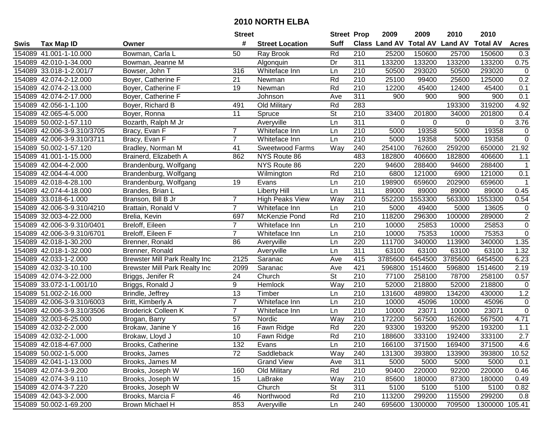|      |                            |                                      | <b>Street</b>   |                        | <b>Street Prop</b>       |                  | 2009          | 2009            | 2010           | 2010            |                |
|------|----------------------------|--------------------------------------|-----------------|------------------------|--------------------------|------------------|---------------|-----------------|----------------|-----------------|----------------|
| Swis | <b>Tax Map ID</b>          | Owner                                | #               | <b>Street Location</b> | <b>Suff</b>              |                  | Class Land AV | <b>Total AV</b> | <b>Land AV</b> | <b>Total AV</b> | <b>Acres</b>   |
|      | 154089 41.001-1-10.000     | Bowman, Carla L                      | 50              | Ray Brook              | Rd                       | 210              | 25200         | 150600          | 25700          | 150600          | 0.3            |
|      | 154089 42.010-1-34.000     | Bowman, Jeanne M                     |                 | Algonquin              | Dr                       | 311              | 133200        | 133200          | 133200         | 133200          | 0.75           |
|      | 154089 33.018-1-2.001/7    | Bowser, John T                       | 316             | Whiteface Inn          | Ln                       | 210              | 50500         | 293020          | 50500          | 293020          | $\mathbf 0$    |
|      | 154089 42.074-2-12.000     | Boyer, Catherine F                   | 21              | Newman                 | Rd                       | 210              | 25100         | 99400           | 25600          | 125000          | 0.2            |
|      | 154089 42.074-2-13.000     | Boyer, Catherine F                   | 19              | Newman                 | Rd                       | 210              | 12200         | 45400           | 12400          | 45400           | 0.1            |
|      | 154089 42.074-2-17.000     | Boyer, Catherine F                   |                 | Johnson                | Ave                      | 311              | 900           | 900             | 900            | 900             | 0.1            |
|      | 154089 42.056-1-1.100      | Boyer, Richard B                     | 491             | Old Military           | Rd                       | 283              |               |                 | 193300         | 319200          | 4.92           |
|      | 154089 42.065-4-5.000      | Boyer, Ronna                         | $\overline{11}$ | Spruce                 | $\overline{\mathsf{St}}$ | 210              | 33400         | 201800          | 34000          | 201800          | 0.4            |
|      | 154089 50.002-1-57.110     | Bozarth, Ralph M Jr                  |                 | Averyville             | Ln                       | 311              | 0             | 0               | $\mathbf 0$    | $\mathbf 0$     | 3.76           |
|      | 154089 42.006-3-9.310/3705 | Bracy, Evan F                        | $\overline{7}$  | Whiteface Inn          | Ln                       | 210              | 5000          | 19358           | 5000           | 19358           | $\pmb{0}$      |
|      | 154089 42.006-3-9.310/3711 | Bracy, Evan F                        | $\overline{7}$  | Whiteface Inn          | Ln                       | 210              | 5000          | 19358           | 5000           | 19358           | $\mathbf 0$    |
|      | 154089 50.002-1-57.120     | Bradley, Norman M                    | 41              | Sweetwood Farms        | Way                      | 240              | 254100        | 762600          | 259200         | 650000          | 21.92          |
|      | 154089 41.001-1-15.000     | Brainerd, Elizabeth A                | 862             | NYS Route 86           |                          | 483              | 182800        | 406600          | 182800         | 406600          | 1.1            |
|      | 154089 42.004-4-2.000      | Brandenburg, Wolfgang                |                 | NYS Route 86           |                          | 220              | 94600         | 288400          | 94600          | 288400          | $\mathbf{1}$   |
|      | 154089 42.004-4-4.000      | Brandenburg, Wolfgang                |                 | Wilmington             | Rd                       | 210              | 6800          | 121000          | 6900           | 121000          | 0.1            |
|      | 154089 42.018-4-28.100     | Brandenburg, Wolfgang                | 19              | Evans                  | Ln                       | 210              | 198900        | 659600          | 202900         | 659600          | 1              |
|      | 154089 42.074-4-18.000     | Brandes, Brian L                     |                 | <b>Liberty Hill</b>    | Ln                       | $\overline{311}$ | 89000         | 89000           | 89000          | 89000           | 0.45           |
|      | 154089 33.018-6-1.000      | Branson, Bill B Jr                   | $\overline{7}$  | <b>High Peaks View</b> | Way                      | 210              | 552200        | 1553300         | 563300         | 1553300         | 0.54           |
|      | 154089 42.006-3-9.310/4210 | Brattain, Ronald V                   | $\overline{7}$  | Whiteface Inn          | Ln                       | 210              | 5000          | 49400           | 5000           | 13605           | 0              |
|      | 154089 32.003-4-22.000     | Brelia, Kevin                        | 697             | McKenzie Pond          | Rd                       | 210              | 118200        | 296300          | 100000         | 289000          | $\overline{c}$ |
|      | 154089 42.006-3-9.310/0401 | Breloff, Eileen                      | $\overline{7}$  | Whiteface Inn          | Ln                       | 210              | 10000         | 25853           | 10000          | 25853           | $\overline{0}$ |
|      | 154089 42.006-3-9.310/6701 | Breloff, Eileen F                    | $\overline{7}$  | Whiteface Inn          | Ln                       | 210              | 10000         | 75353           | 10000          | 75353           | $\overline{0}$ |
|      | 154089 42.018-1-30.200     | Brenner, Ronald                      | 86              | Averyville             | Ln                       | 220              | 111700        | 340000          | 113900         | 340000          | 1.35           |
|      | 154089 42.018-1-32.000     | Brenner, Ronald                      |                 | Averyville             | Ln                       | 311              | 63100         | 63100           | 63100          | 63100           | 1.32           |
|      | 154089 42.033-1-2.000      | <b>Brewster Mill Park Realty Inc</b> | 2125            | Saranac                | Ave                      | 415              | 3785600       | 6454500         | 3785600        | 6454500         | 6.23           |
|      | 154089 42.032-3-10.100     | <b>Brewster Mill Park Realty Inc</b> | 2099            | Saranac                | Ave                      | 421              | 596800        | 1514600         | 596800         | 1514600         | 2.19           |
|      | 154089 42.074-3-22.000     | Briggs, Jenifer R                    | 24              | Church                 | $\overline{\mathsf{St}}$ | 210              | 77100         | 258100          | 78700          | 258100          | 0.57           |
|      | 154089 33.072-1-1.001/10   | Briggs, Ronald J                     | 9               | Hemlock                | Way                      | 210              | 52000         | 218800          | 52000          | 218800          | 0              |
|      | 154089 51.002-2-16.000     | Brindle, Jeffrey                     | $\overline{13}$ | Timber                 | Ln                       | 210              | 131600        | 489800          | 134200         | 430000          | 1.2            |
|      | 154089 42.006-3-9.310/6003 | Britt, Kimberly A                    | $\overline{7}$  | Whiteface Inn          | Ln                       | $\overline{210}$ | 10000         | 45096           | 10000          | 45096           | $\mathbf 0$    |
|      | 154089 42.006-3-9.310/3506 | <b>Broderick Colleen K</b>           | $\overline{7}$  | Whiteface Inn          | Ln                       | $\overline{210}$ | 10000         | 23071           | 10000          | 23071           | $\overline{0}$ |
|      | 154089 32.003-6-25.000     | Brogan, Barry                        | 57              | Nordic                 | Way                      | 210              | 172200        | 567500          | 162600         | 567500          | 4.71           |
|      | 154089 42.032-2-2.000      | Brokaw, Janine Y                     | 16              | Fawn Ridge             | Rd                       | 220              | 93300         | 193200          | 95200          | 193200          | 1.1            |
|      | 154089 42.032-2-1.000      | Brokaw, Lloyd J                      | 10              | Fawn Ridge             | Rd                       | $\overline{210}$ | 188600        | 333100          | 192400         | 333100          | 2.7            |
|      | 154089 42.018-4-67.000     | Brooks, Catherine                    | 132             | Evans                  | Ln                       | 210              | 166100        | 371500          | 169400         | 371500          | 4.6            |
|      | 154089 50.002-1-5.000      | Brooks, James                        | 72              | Saddleback             | Way                      | 240              | 131300        | 393800          | 133900         | 393800          | 10.52          |
|      | 154089 42.041-1-13.000     | Brooks, James M                      |                 | <b>Grand View</b>      | Ave                      | 311              | 5000          | 5000            | 5000           | 5000            | 0.1            |
|      | 154089 42.074-3-9.200      | Brooks, Joseph W                     | 160             | Old Military           | Rd                       | 210              | 90400         | 220000          | 92200          | 220000          | 0.46           |
|      | 154089 42.074-3-9.110      | Brooks, Joseph W                     | 15              | LaBrake                | Way                      | 210              | 85600         | 180000          | 87300          | 180000          | 0.49           |
|      | 154089 42.074-3-7.220      | Brooks, Joseph W                     |                 | Church                 | <b>St</b>                | 311              | 5100          | 5100            | 5100           | 5100            | 0.82           |
|      | 154089 42.043-3-2.000      | Brooks, Marcia F                     | 46              | Northwood              | Rd                       | 210              | 113200        | 299200          | 115500         | 299200          | 0.8            |
|      | 154089 50.002-1-69.200     | Brown Michael H                      | 853             | Averyville             | Ln                       | 240              | 695600        | 1300000         | 709500         | 1300000 105.41  |                |
|      |                            |                                      |                 |                        |                          |                  |               |                 |                |                 |                |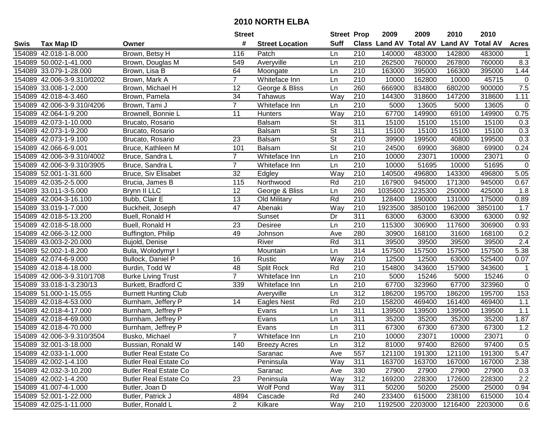|      |                            |                              | <b>Street</b>   |                        | <b>Street Prop</b>       |                  | 2009                          | 2009            | 2010           | 2010            |              |
|------|----------------------------|------------------------------|-----------------|------------------------|--------------------------|------------------|-------------------------------|-----------------|----------------|-----------------|--------------|
| Swis | <b>Tax Map ID</b>          | Owner                        | #               | <b>Street Location</b> | <b>Suff</b>              |                  | <b>Class Land AV Total AV</b> |                 | <b>Land AV</b> | <b>Total AV</b> | <b>Acres</b> |
|      | 154089 42.018-1-8.000      | Brown, Betsy H               | 116             | Patch                  | Ln                       | 210              | 140000                        | 483000          | 142800         | 483000          |              |
|      | 154089 50.002-1-41.000     | Brown, Douglas M             | 549             | Averyville             | Ln                       | 210              | 262500                        | 760000          | 267800         | 760000          | 8.3          |
|      | 154089 33.079-1-28.000     | Brown, Lisa B                | 64              | Moongate               | Ln                       | 210              | 163000                        | 395000          | 166300         | 395000          | 1.44         |
|      | 154089 42.006-3-9.310/0202 | Brown, Mark A                | $\overline{7}$  | Whiteface Inn          | Ln                       | 210              | 10000                         | 162800          | 10000          | 45715           | $\mathbf 0$  |
|      | 154089 33.008-1-2.000      | Brown, Michael H             | 12              | George & Bliss         | Ln                       | 260              | 666900                        | 834800          | 680200         | 900000          | 7.5          |
|      | 154089 42.018-4-3.460      | Brown, Pamela                | 34              | Tahawus                | Way                      | $\overline{210}$ | 144300                        | 318600          | 147200         | 318600          | 1.11         |
|      | 154089 42.006-3-9.310/4206 | Brown, Tami J                | $\overline{7}$  | Whiteface Inn          | Ln                       | 210              | 5000                          | 13605           | 5000           | 13605           | $\mathbf 0$  |
|      | 154089 42.064-1-9.200      | Brownell, Bonnie L           | $\overline{11}$ | <b>Hunters</b>         | Way                      | $\overline{210}$ | 67700                         | 149900          | 69100          | 149900          | 0.75         |
|      | 154089 42.073-1-10.000     | Brucato, Rosario             |                 | <b>Balsam</b>          | $\overline{\mathsf{St}}$ | 311              | 15100                         | 15100           | 15100          | 15100           | 0.3          |
|      | 154089 42.073-1-9.200      | Brucato, Rosario             |                 | <b>Balsam</b>          | $\overline{\mathsf{St}}$ | 311              | 15100                         | 15100           | 15100          | 15100           | 0.3          |
|      | 154089 42.073-1-9.100      | Brucato, Rosario             | 23              | <b>Balsam</b>          | $\overline{\mathsf{St}}$ | 210              | 39900                         | 199500          | 40800          | 199500          | 0.3          |
|      | 154089 42.066-6-9.001      | Bruce, Kathleen M            | 101             | <b>Balsam</b>          | St                       | 210              | 24500                         | 69900           | 36800          | 69900           | 0.24         |
|      | 154089 42.006-3-9.310/4002 | Bruce, Sandra L              | $\overline{7}$  | Whiteface Inn          | Ln                       | 210              | 10000                         | 23071           | 10000          | 23071           | $\mathbf 0$  |
|      | 154089 42.006-3-9.310/3905 | Bruce, Sandra L              | $\overline{7}$  | Whiteface Inn          | Ln                       | 210              | 10000                         | 51695           | 10000          | 51695           | $\pmb{0}$    |
|      | 154089 52.001-1-31.600     | Bruce, Siv Elisabet          | 32              | Edgley                 | Way                      | 210              | 140500                        | 496800          | 143300         | 496800          | 5.05         |
|      | 154089 42.035-2-5.000      | Brucia, James B              | 115             | Northwood              | Rd                       | 210              | 167900                        | 945000          | 171300         | 945000          | 0.67         |
|      | 154089 33.011-3-5.000      | Brynn II LLC                 | 12              | George & Bliss         | Ln                       | 260              | 1035600                       | 1235300         | 250000         | 425000          | 1.8          |
|      | 154089 42.004-3-16.100     | Bubb, Clair E                | 13              | Old Military           | Rd                       | 210              | 128400                        | 190000          | 131000         | 175000          | 0.89         |
|      | 154089 33.019-1-7.000      | Buckheit, Joseph             | 47              | Abenaki                | Way                      | 210              | 1923500                       | 3850100         | 1962000        | 3850100         | 1.7          |
|      | 154089 42.018-5-13.200     | Buell, Ronald H              |                 | Sunset                 | Dr                       | 311              | 63000                         | 63000           | 63000          | 63000           | 0.92         |
|      | 154089 42.018-5-18.000     | Buell, Ronald H              | 23              | Desiree                | Ln                       | 210              | 115300                        | 306900          | 117600         | 306900          | 0.93         |
|      | 154089 42.066-3-12.000     | Buffington, Philip           | 49              | Johnson                | Ave                      | 280              | 30900                         | 168100          | 31600          | 168100          | 0.2          |
|      | 154089 43.003-2-20.000     | Bujold, Denise               |                 | River                  | Rd                       | 311              | 39500                         | 39500           | 39500          | 39500           | 2.4          |
|      | 154089 52.002-1-8.200      | Bula, Wolodymyr I            |                 | Mountain               | Ln                       | 314              | 157500                        | 157500          | 157500         | 157500          | 5.38         |
|      | 154089 42.074-6-9.000      | Bullock, Daniel P            | 16              | Rustic                 | Way                      | 210              | 12500                         | 12500           | 63000          | 525400          | 0.07         |
|      | 154089 42.018-4-18.000     | Burdin, Todd W               | 48              | Split Rock             | Rd                       | 210              | 154800                        | 343600          | 157900         | 343600          | -1           |
|      | 154089 42.006-3-9.310/1708 | <b>Burke Living Trust</b>    | $\overline{7}$  | Whiteface Inn          | Ln                       | 210              | 5000                          | 15246           | 5000           | 15246           | $\pmb{0}$    |
|      | 154089 33.018-1-3.230/13   | Burkett, Bradford C          | 339             | Whiteface Inn          | Ln                       | 210              | 67700                         | 323960          | 67700          | 323960          | $\mathbf 0$  |
|      | 154089 51.000-1-15.055     | <b>Burnett Hunting Club</b>  |                 | Averyville             | Ln                       | 312              | 186200                        | 195700          | 186200         | 195700          | 153          |
|      | 154089 42.018-4-53.000     | Burnham, Jeffery P           | 14              | Eagles Nest            | Rd                       | $\overline{210}$ | 158200                        | 469400          | 161400         | 469400          | 1.1          |
|      | 154089 42.018-4-17.000     | Burnham, Jeffrey P           |                 | Evans                  | Ln                       | 311              | 139500                        | 139500          | 139500         | 139500          | 1.1          |
|      | 154089 42.018-4-69.000     | Burnham, Jeffrey P           |                 | Evans                  | Ln                       | 311              | 35200                         | 35200           | 35200          | 35200           | 1.87         |
|      | 154089 42.018-4-70.000     | Burnham, Jeffrey P           |                 | Evans                  | Ln                       | 311              | 67300                         | 67300           | 67300          | 67300           | 1.2          |
|      | 154089 42.006-3-9.310/3504 | Busko, Michael               | $\overline{7}$  | Whiteface Inn          | Ln                       | $\overline{210}$ | 10000                         | 23071           | 10000          | 23071           | $\mathbf 0$  |
|      | 154089 32.001-3-18.000     | Bussian, Ronald W            | 140             | <b>Breezy Acres</b>    | Ln                       | 312              | 81000                         | 97400           | 82600          | 97400           | 0.5          |
|      | 154089 42.033-1-1.000      | <b>Butler Real Estate Co</b> |                 | Saranac                | Ave                      | 557              | 121100                        | 191300          | 121100         | 191300          | 5.47         |
|      | 154089 42.002-1-4.100      | <b>Butler Real Estate Co</b> |                 | Peninsula              | Way                      | 311              | 163700                        | 163700          | 167000         | 167000          | 2.38         |
|      | 154089 42.032-3-10.200     | <b>Butler Real Estate Co</b> |                 | Saranac                | Ave                      | 330              | 27900                         | 27900           | 27900          | 27900           | 0.3          |
|      | 154089 42.002-1-4.200      | <b>Butler Real Estate Co</b> | 23              | Peninsula              | Way                      | 312              | 169200                        | 228300          | 172600         | 228300          | 2.2          |
|      | 154089 41.007-4-1.000      | Butler, Joan D               |                 | <b>Wolf Pond</b>       | Way                      | 311              | 50200                         | 50200           | 25000          | 25000           | 0.94         |
|      | 154089 52.001-1-22.000     | Butler, Patrick J            | 4894            | Cascade                | Rd                       | 240              | 233400                        | 615000          | 238100         | 615000          | 10.4         |
|      | 154089 42.025-1-11.000     | Butler, Ronald L             | $\overline{2}$  | Kilkare                | Way                      | 210              |                               | 1192500 2203000 | 1216400        | 2203000         | 0.6          |
|      |                            |                              |                 |                        |                          |                  |                               |                 |                |                 |              |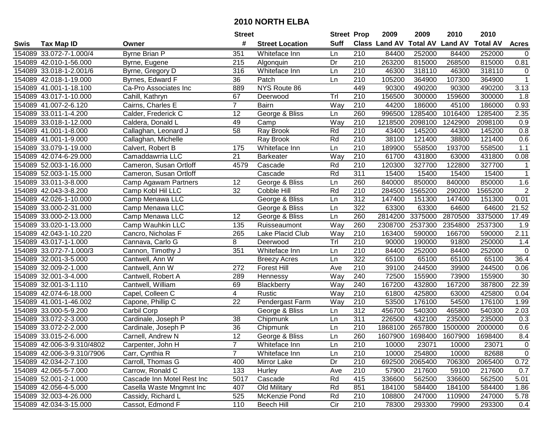|      |                            |                            | <b>Street</b>   |                        | <b>Street Prop</b> |                  | 2009                 | 2009            | 2010           | 2010            |                |
|------|----------------------------|----------------------------|-----------------|------------------------|--------------------|------------------|----------------------|-----------------|----------------|-----------------|----------------|
| Swis | <b>Tax Map ID</b>          | Owner                      | #               | <b>Street Location</b> | <b>Suff</b>        |                  | <b>Class Land AV</b> | <b>Total AV</b> | <b>Land AV</b> | <b>Total AV</b> | <b>Acres</b>   |
|      | 154089 33.072-7-1.000/4    | <b>Byrne Brian P</b>       | 351             | Whiteface Inn          | Ln                 | 210              | 84400                | 252000          | 84400          | 252000          | $\mathbf 0$    |
|      | 154089 42.010-1-56.000     | Byrne, Eugene              | 215             | Algonquin              | Dr                 | 210              | 263200               | 815000          | 268500         | 815000          | 0.81           |
|      | 154089 33.018-1-2.001/6    | Byrne, Gregory D           | 316             | Whiteface Inn          | Ln                 | 210              | 46300                | 318110          | 46300          | 318110          | 0              |
|      | 154089 42.018-1-19.000     | Byrnes, Edward F           | 36              | Patch                  | Ln                 | 210              | 105200               | 364900          | 107300         | 364900          | $\mathbf{1}$   |
|      | 154089 41.001-1-18.100     | Ca-Pro Associates Inc      | 889             | NYS Route 86           |                    | 449              | 90300                | 490200          | 90300          | 490200          | 3.13           |
|      | 154089 43.017-1-10.000     | Cahill, Kathryn            | 67              | Deerwood               | Trl                | 210              | 156500               | 300000          | 159600         | 300000          | 1.8            |
|      | 154089 41.007-2-6.120      | Cairns, Charles E          | $\overline{7}$  | <b>Bairn</b>           | Way                | 210              | 44200                | 186000          | 45100          | 186000          | 0.93           |
|      | 154089 33.011-1-4.200      | Calder, Frederick C        | $\overline{12}$ | George & Bliss         | Ln                 | 260              | 996500               | 1285400         | 1016400        | 1285400         | 2.35           |
|      | 154089 33.018-1-12.000     | Caldera, Donald L          | 49              | Camp                   | Way                | $\overline{210}$ | 1218500              | 2098100         | 1242900        | 2098100         | 0.9            |
|      | 154089 41.001-1-8.000      | Callaghan, Leonard J       | 58              | Ray Brook              | Rd                 | 210              | 43400                | 145200          | 44300          | 145200          | 0.8            |
|      | 154089 41.001-1-9.000      | Callaghan, Michelle        |                 | Ray Brook              | Rd                 | 210              | 38100                | 121400          | 38800          | 121400          | 0.6            |
|      | 154089 33.079-1-19.000     | Calvert, Robert B          | 175             | Whiteface Inn          | Ln                 | 210              | 189900               | 558500          | 193700         | 558500          | 1.1            |
|      | 154089 42.074-6-29.000     | Camaddawrria LLC           | 21              | <b>Barkeater</b>       | Way                | 210              | 61700                | 431800          | 63000          | 431800          | 0.08           |
|      | 154089 52.003-1-16.000     | Cameron, Susan Ortloff     | 4579            | Cascade                | Rd                 | 210              | 120300               | 327700          | 122800         | 327700          | $\mathbf 1$    |
|      | 154089 52.003-1-15.000     | Cameron, Susan Ortloff     |                 | Cascade                | Rd                 | 311              | 15400                | 15400           | 15400          | 15400           | $\mathbf{1}$   |
|      | 154089 33.011-3-8.000      | Camp Agawam Partners       | 12              | George & Bliss         | Ln                 | 260              | 840000               | 850000          | 840000         | 850000          | 1.6            |
|      | 154089 42.043-3-8.200      | Camp Kobl Hil LLC          | 32              | Cobble Hill            | Rd                 | 210              | 284500               | 1565200         | 290200         | 1565200         | $\overline{2}$ |
|      | 154089 42.026-1-10.000     | Camp Menawa LLC            |                 | George & Bliss         | Ln                 | 312              | 147400               | 151300          | 147400         | 151300          | 0.01           |
|      | 154089 33.000-2-31.000     | Camp Menawa LLC            |                 | George & Bliss         | Ln                 | 322              | 63300                | 63300           | 64600          | 64600           | 21.52          |
|      | 154089 33.000-2-13.000     | Camp Menawa LLC            | 12              | George & Bliss         | Ln                 | 260              | 2814200              | 3375000         | 2870500        | 3375000         | 17.49          |
|      | 154089 33.020-1-13.000     | Camp Wauhkin LLC           | 135             | Ruisseaumont           | Way                | 260              | 2308700              | 2537300         | 2354800        | 2537300         | 1.9            |
|      | 154089 42.043-1-10.220     | Cancro, Nicholas F         | 265             | Lake Placid Club       | Way                | 210              | 163400               | 590000          | 166700         | 590000          | 2.11           |
|      | 154089 43.017-1-1.000      | Cannava, Carlo G           | 8               | Deerwood               | Trl                | 210              | 90000                | 190000          | 91800          | 250000          | 1.4            |
|      | 154089 33.072-7-1.000/3    | Cannon, Timothy J          | 351             | Whiteface Inn          | Ln                 | 210              | 84400                | 252000          | 84400          | 252000          | $\mathbf 0$    |
|      | 154089 32.001-3-5.000      | Cantwell, Ann W            |                 | <b>Breezy Acres</b>    | Ln                 | 322              | 65100                | 65100           | 65100          | 65100           | 36.4           |
|      | 154089 32.009-2-1.000      | Cantwell, Ann W            | 272             | <b>Forest Hill</b>     | Ave                | 210              | 39100                | 244500          | 39900          | 244500          | 0.06           |
|      | 154089 32.001-3-4.000      | Cantwell, Robert A         | 289             | Hennessy               | Way                | 240              | 72500                | 155900          | 73900          | 155900          | 30             |
|      | 154089 32.001-3-1.110      | Cantwell, William          | 69              | Blackberry             | Way                | 240              | 167200               | 432800          | 167200         | 387800          | 22.39          |
|      | 154089 42.074-6-18.000     | Capel, Colleen C           | $\overline{4}$  | Rustic                 | Way                | 210              | 61800                | 425800          | 63000          | 425800          | 0.04           |
|      | 154089 41.001-1-46.002     | Capone, Phillip C          | $\overline{22}$ | Pendergast Farm        | Way                | 210              | 53500                | 176100          | 54500          | 176100          | 1.99           |
|      | 154089 33.000-5-9.200      | Carbil Corp                |                 | George & Bliss         | Ln                 | $\overline{312}$ | 456700               | 540300          | 465800         | 540300          | 2.03           |
|      | 154089 33.072-2-3.000      | Cardinale, Joseph P        | 38              | Chipmunk               | Ln                 | 311              | 226500               | 432100          | 235000         | 235000          | 0.3            |
|      | 154089 33.072-2-2.000      | Cardinale, Joseph P        | 36              | Chipmunk               | Ln                 | $\overline{210}$ | 1868100              | 2657800         | 1500000        | 2000000         | 0.6            |
|      | 154089 33.015-2-6.000      | Carnell, Andrew N          | 12              | George & Bliss         | Ln                 | 260              | 1607900              | 1698400         | 1607900        | 1698400         | 8.4            |
|      | 154089 42.006-3-9.310/4802 | Carpenter, John H          |                 | Whiteface Inn          | Ln                 | 210              | 10000                | 23071           | 10000          | 23071           | 0              |
|      | 154089 42.006-3-9.310/7906 | Carr, Cynthia R            | $\overline{7}$  | Whiteface Inn          | Ln                 | 210              | 10000                | 254800          | 10000          | 82688           | $\mathbf 0$    |
|      | 154089 42.034-2-7.100      | Carroll, Thomas G          | 400             | Mirror Lake            | Dr                 | 210              | 692500               | 2065400         | 706300         | 2065400         | 0.72           |
|      | 154089 42.065-5-7.000      | Carrow, Ronald C           | 133             | Hurley                 | Ave                | 210              | 57900                | 217600          | 59100          | 217600          | 0.7            |
|      | 154089 52.001-2-1.000      | Cascade Inn Motel Rest Inc | 5017            | Cascade                | Rd                 | 415              | 336600               | 562500          | 336600         | 562500          | 5.01           |
|      | 154089 42.056-4-5.000      | Casella Waste Mngmnt Inc   | 407             | Old Military           | Rd                 | 851              | 184100               | 584400          | 184100         | 584400          | 1.86           |
|      | 154089 32.003-4-26.000     | Cassidy, Richard L         | 525             | McKenzie Pond          | Rd                 | 210              | 108800               | 247000          | 110900         | 247000          | 5.78           |
|      | 154089 42.034-3-15.000     | Cassot, Edmond F           | 110             | <b>Beech Hill</b>      | Cir                | 210              | 78300                | 293300          | 79900          | 293300          | 0.4            |
|      |                            |                            |                 |                        |                    |                  |                      |                 |                |                 |                |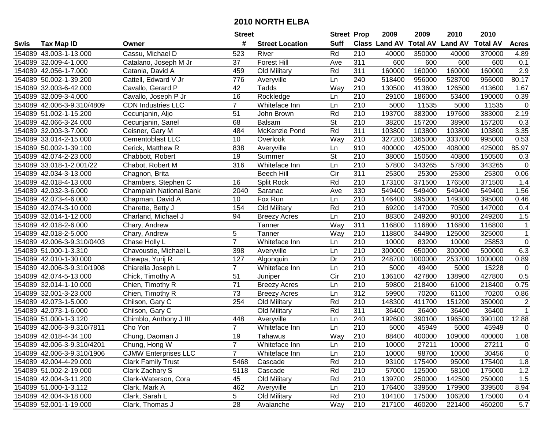|      |                            |                             | <b>Street</b>   |                        | <b>Street Prop</b>       |                  | 2009                 | 2009    | 2010                    | 2010            |                |
|------|----------------------------|-----------------------------|-----------------|------------------------|--------------------------|------------------|----------------------|---------|-------------------------|-----------------|----------------|
| Swis | <b>Tax Map ID</b>          | Owner                       | #               | <b>Street Location</b> | <b>Suff</b>              |                  | <b>Class Land AV</b> |         | <b>Total AV Land AV</b> | <b>Total AV</b> | <b>Acres</b>   |
|      | 154089 43.003-1-13.000     | Cassu, Michael D            | 523             | River                  | Rd                       | 210              | 40000                | 350000  | 40000                   | 370000          | 4.89           |
|      | 154089 32.009-4-1.000      | Catalano, Joseph M Jr       | 37              | <b>Forest Hill</b>     | Ave                      | 311              | 600                  | 600     | 600                     | 600             | 0.1            |
|      | 154089 42.056-1-7.000      | Catania, David A            | 459             | Old Military           | Rd                       | 311              | 160000               | 160000  | 160000                  | 160000          | 2.9            |
|      | 154089 50.002-1-39.200     | Cattell, Edward V Jr        | 776             | Averyville             | Ln                       | 240              | 518400               | 956000  | 528700                  | 956000          | 80.17          |
|      | 154089 32.003-6-42.000     | Cavallo, Gerard P           | 42              | Tadds                  | Way                      | 210              | 130500               | 413600  | 126500                  | 413600          | 1.67           |
|      | 154089 32.009-3-4.000      | Cavallo, Joseph P Jr        | 16              | Rockledge              | Ln                       | 210              | 29100                | 186000  | 53400                   | 190000          | 0.39           |
|      | 154089 42.006-3-9.310/4809 | <b>CDN</b> Industries LLC   | $\overline{7}$  | Whiteface Inn          | Ln                       | 210              | 5000                 | 11535   | 5000                    | 11535           | $\mathbf 0$    |
|      | 154089 51.002-1-15.200     | Cecunjanin, Aljo            | $\overline{51}$ | John Brown             | Rd                       | $\overline{210}$ | 193700               | 383000  | 197600                  | 383000          | 2.19           |
|      | 154089 42.066-3-24.000     | Cecunjanin, Sanel           | 68              | <b>Balsam</b>          | $\overline{\mathsf{St}}$ | $\overline{210}$ | 38200                | 157200  | 38900                   | 157200          | 0.3            |
|      | 154089 32.003-3-7.000      | Ceisner, Gary M             | 484             | McKenzie Pond          | Rd                       | 311              | 103800               | 103800  | 103800                  | 103800          | 3.35           |
|      | 154089 33.014-2-15.000     | Cementoblast LLC            | 10              | Overlook               | Way                      | 210              | 327200               | 1365000 | 333700                  | 995000          | 0.53           |
|      | 154089 50.002-1-39.100     | Cerick, Matthew R           | 838             | Averyville             | Ln                       | 910              | 400000               | 425000  | 408000                  | 425000          | 85.97          |
|      | 154089 42.074-2-23.000     | Chabbott, Robert            | 19              | Summer                 | $\overline{\mathsf{St}}$ | 210              | 38000                | 150500  | 40800                   | 150500          | 0.3            |
|      | 154089 33.018-1-2.001/22   | Chabot, Robert M            | 316             | Whiteface Inn          | Ln                       | 210              | 57800                | 343265  | 57800                   | 343265          | 0              |
|      | 154089 42.034-3-13.000     | Chagnon, Brita              |                 | <b>Beech Hill</b>      | Cir                      | 311              | 25300                | 25300   | 25300                   | 25300           | 0.06           |
|      | 154089 42.018-4-13.000     | Chambers, Stephen C         | 16              | Split Rock             | Rd                       | 210              | 173100               | 371500  | 176500                  | 371500          | 1.4            |
|      | 154089 42.032-3-6.000      | Champlain National Bank     | 2040            | Saranac                | Ave                      | 330              | 549400               | 549400  | 549400                  | 549400          | 1.56           |
|      | 154089 42.073-4-6.000      | Chapman, David A            | 10              | Fox Run                | Ln                       | 210              | 146400               | 395000  | 149300                  | 395000          | 0.46           |
|      | 154089 42.074-3-10.000     | Charette, Betty J           | 154             | Old Military           | Rd                       | 210              | 69200                | 147000  | 70500                   | 147000          | 0.4            |
|      | 154089 32.014-1-12.000     | Charland, Michael J         | 94              | <b>Breezy Acres</b>    | Ln                       | 210              | 88300                | 249200  | 90100                   | 249200          | 1.5            |
|      | 154089 42.018-2-6.000      | Chary, Andrew               |                 | Tanner                 | Way                      | 311              | 116800               | 116800  | 116800                  | 116800          | $\mathbf{1}$   |
|      | 154089 42.018-2-5.000      | Chary, Andrew               | 5               | Tanner                 | Way                      | 210              | 118800               | 344800  | 125000                  | 325000          | $\mathbf{1}$   |
|      | 154089 42.006-3-9.310/0403 | Chase Holly L               | $\overline{7}$  | Whiteface Inn          | Ln                       | 210              | 10000                | 83200   | 10000                   | 25853           | $\mathbf 0$    |
|      | 154089 51.000-1-3.310      | Chavoustie, Michael L       | 398             | Averyville             | Ln                       | 210              | 300000               | 650000  | 300000                  | 500000          | 6.3            |
|      | 154089 42.010-1-30.000     | Chewpa, Yurij R             | 127             | Algonquin              | Dr                       | $\overline{210}$ | 248700               | 1000000 | 253700                  | 1000000         | 0.89           |
|      | 154089 42.006-3-9.310/1908 | Chiarella Joseph L          | $\overline{7}$  | Whiteface Inn          | Ln                       | 210              | 5000                 | 49400   | 5000                    | 15228           | $\mathbf 0$    |
|      | 154089 42.074-5-13.000     | Chick, Timothy A            | 51              | Juniper                | $\overline{C}$ ir        | 210              | 136100               | 427800  | 138900                  | 427800          | 0.5            |
|      | 154089 32.014-1-10.000     | Chien, Timothy R            | 71              | <b>Breezy Acres</b>    | Ln                       | 210              | 59800                | 218400  | 61000                   | 218400          | 0.75           |
|      | 154089 32.001-3-23.000     | Chien, Timothy R            | 73              | <b>Breezy Acres</b>    | Ln                       | $\overline{312}$ | 59900                | 70200   | 61100                   | 70200           | 0.86           |
|      | 154089 42.073-1-5.000      | Chilson, Gary C             | 254             | Old Military           | Rd                       | $\overline{210}$ | 148300               | 411700  | 151200                  | 350000          | $\overline{2}$ |
|      | 154089 42.073-1-6.000      | Chilson, Gary C             |                 | Old Military           | Rd                       | 311              | 36400                | 36400   | 36400                   | 36400           | $\overline{1}$ |
|      | 154089 51.000-1-3.120      | Chimblo, Anthony J III      | 448             | Averyville             | Ln                       | 240              | 192600               | 390100  | 196500                  | 390100          | 12.88          |
|      | 154089 42.006-3-9.310/7811 | Cho Yon                     | $\mathbf{7}$    | Whiteface Inn          | Ln                       | 210              | 5000                 | 45949   | 5000                    | 45949           | $\mathbf 0$    |
|      | 154089 42.018-4-34.100     | Chung, Daoman J             | $\overline{19}$ | Tahawus                | $\overline{W}$ ay        | 210              | 88400                | 400000  | 109000                  | 400000          | 1.08           |
|      | 154089 42.006-3-9.310/4201 | Chung, Hong W               |                 | Whiteface Inn          | Ln                       | 210              | 10000                | 27211   | 10000                   | 27211           | $\overline{0}$ |
|      | 154089 42.006-3-9.310/1906 | <b>CJMW Enterprises LLC</b> | $\overline{7}$  | Whiteface Inn          | Ln                       | 210              | 10000                | 98700   | 10000                   | 30456           | $\mathbf 0$    |
|      | 154089 42.004-4-29.000     | <b>Clark Family Trust</b>   | 5468            | Cascade                | Rd                       | 210              | 93100                | 175400  | 95000                   | 175400          | 1.8            |
|      | 154089 51.002-2-19.000     | Clark Zachary S             | 5118            | Cascade                | Rd                       | 210              | 57000                | 125000  | 58100                   | 175000          | 1.2            |
|      | 154089 42.004-3-11.200     | Clark-Waterson, Cora        | 45              | Old Military           | Rd                       | 210              | 139700               | 250000  | 142500                  | 250000          | 1.5            |
|      | 154089 51.000-1-3.112      | Clark, Mark A               | 462             | Averyville             | Ln                       | 210              | 176400               | 339500  | 179900                  | 339500          | 8.94           |
|      | 154089 42.004-3-18.000     | Clark, Sarah L              | 5               | Old Military           | Rd                       | 210              | 104100               | 175000  | 106200                  | 175000          | 0.4            |
|      | 154089 52.001-1-19.000     | Clark, Thomas J             | 28              | Avalanche              | Way                      | 210              | 217100               | 460200  | 221400                  | 460200          | 5.7            |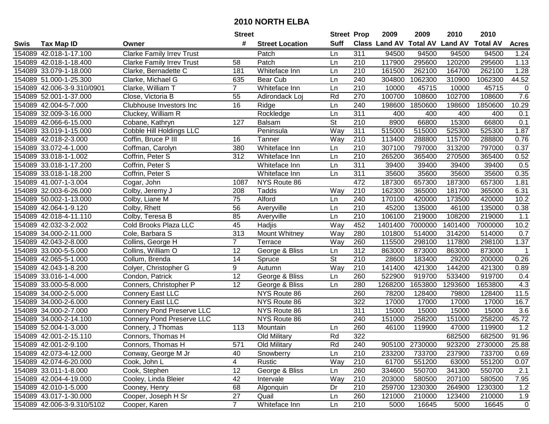| #<br><b>Suff</b><br><b>Class Land AV Total AV</b><br><b>Land AV</b><br><b>Total AV</b><br><b>Tax Map ID</b><br><b>Street Location</b><br><b>Acres</b><br>Swis<br>Owner<br>154089 42.018-1-17.100<br><b>Clarke Family Irrev Trust</b><br>311<br>94500<br>94500<br>94500<br>94500<br>1.24<br>Patch<br>Ln<br>Patch<br>210<br>117900<br>295600<br>120200<br>295600<br>1.13<br>154089 42.018-1-18.400<br><b>Clarke Family Irrev Trust</b><br>58<br>Ln<br>Clarke, Bernadette C<br>181<br>210<br>161500<br>262100<br>164700<br>262100<br>1.28<br>154089 33.079-1-18.000<br>Whiteface Inn<br>Ln<br>44.52<br>240<br>310900<br>1062300<br>154089 51.000-1-25.300<br>Clarke, Michael G<br>635<br>Bear Cub<br>Ln<br>304800<br>1062300<br>154089 42.006-3-9.310/0901<br>Clarke, William T<br>$\overline{7}$<br>Whiteface Inn<br>210<br>10000<br>45715<br>10000<br>45715<br>$\mathbf 0$<br>Ln<br>Rd<br>270<br>100700<br>102700<br>7.6<br>154089 52.001-1-37.000<br>Close, Victoria B<br>55<br>108600<br>108600<br>Adirondack Loj<br>240<br>1850600<br>1850600<br>10.29<br>154089 42.004-5-7.000<br>Clubhouse Investors Inc<br>16<br>Ln<br>198600<br>198600<br>Ridge<br>311<br>400<br>400<br>400<br>0.1<br>154089 32.009-3-16.000<br>Cluckey, William R<br>Rockledge<br>Ln<br>400<br>$\overline{\mathsf{St}}$<br>127<br>$\overline{210}$<br>8900<br>66800<br>15300<br>0.1<br>154089 42.066-6-15.000<br>66800<br>Cobane, Kathryn<br><b>Balsam</b><br>Cobble Hill Holdings LLC<br>Way<br>311<br>515000<br>1.87<br>Peninsula<br>515000<br>525300<br>525300<br>154089 33.019-1-15.000<br>115700<br>154089 42.018-2-3.000<br>Coffin, Bruce P III<br>Way<br>210<br>113400<br>288800<br>288800<br>0.76<br>16<br>Tanner<br>Coffman, Carolyn<br>380<br>210<br>307100<br>797000<br>313200<br>797000<br>0.37<br>154089 33.072-4-1.000<br>Whiteface Inn<br>Ln<br>312<br>210<br>265200<br>365400<br>270500<br>365400<br>0.52<br>154089 33.018-1-1.002<br>Coffrin, Peter S<br>Whiteface Inn<br>Ln<br>311<br>39400<br>39400<br>39400<br>39400<br>0.5<br>154089 33.018-1-17.200<br>Coffrin, Peter S<br>Whiteface Inn<br>Ln<br>311<br>0.35<br>154089 33.018-1-18.200<br>35600<br>35600<br>35600<br>35600<br>Coffrin, Peter S<br>Whiteface Inn<br>Ln<br>472<br>187300<br>657300<br>187300<br>657300<br>1.81<br>154089 41.007-1-3.004<br>1087<br>NYS Route 86<br>Cogar, John<br>210<br>6.31<br>Way<br>162300<br>365000<br>181700<br>154089 32.003-6-26.000<br>Colby, Jeremy J<br>208<br>Tadds<br>365000<br>75<br>154089 50.002-1-13.000<br>Colby, Liane M<br>Alford<br>240<br>170100<br>173500<br>10.2<br>420000<br>420000<br>Ln<br>$\overline{56}$<br>154089 42.064-1-9.120<br>210<br>45200<br>135000<br>46100<br>135000<br>0.38<br>Colby, Rhett<br>Averyville<br>Ln<br>85<br>154089 42.018-4-11.110<br>210<br>106100<br>219000<br>108200<br>219000<br>1.1<br>Colby, Teresa B<br>Averyville<br>Ln<br>10.2<br>45<br>Way<br>452<br>1401400<br>7000000<br>1401400<br>154089 42.032-3-2.002<br>Cold Brooks Plaza LLC<br>Hadjis<br>7000000<br>154089 34.000-2-11.000<br>Cole, Barbara S<br>313<br>Mount Whitney<br>Way<br>280<br>101800<br>514000<br>314200<br>514000<br>0.7<br>$\overline{7}$<br>1.37<br>154089 42.043-2-8.000<br>Collins, George H<br>Terrace<br>Way<br>260<br>115500<br>298100<br>117800<br>298100<br>312<br>154089 33.000-5-5.000<br>Collins, William O<br>12<br>George & Bliss<br>863000<br>873000<br>863000<br>873000<br>Ln<br>$\overline{1}$<br>$\overline{St}$<br>$\overline{210}$<br>14<br>28600<br>183400<br>29200<br>0.26<br>154089 42.065-5-1.000<br>Collum, Brenda<br>Spruce<br>200000<br>Way<br>9<br>210<br>421300<br>144200<br>154089 42.043-1-8.200<br>141400<br>421300<br>0.89<br>Colyer, Christopher G<br>Autumn<br>$\overline{12}$<br>260<br>522900<br>919700<br>533400<br>154089 33.016-1-4.000<br>Condon, Patrick<br>George & Bliss<br>919700<br>0.4<br>Ln<br>12<br>1653800<br>4.3<br>154089 33.000-5-8.000<br>280<br>1268200<br>1293600<br>1653800<br>Conners, Christopher P<br>George & Bliss<br>Ln<br>NYS Route 86<br>260<br>78200<br>128400<br>128400<br>11.5<br>154089 34.000-2-5.000<br>Connery East LLC<br>79800<br>322<br>154089 34.000-2-6.000<br><b>Connery East LLC</b><br>NYS Route 86<br>17000<br>17000<br>17000<br>17000<br>16.7<br>311<br>15000<br>3.6<br>154089 34.000-2-7.000<br><b>Connery Pond Preserve LLC</b><br>NYS Route 86<br>15000<br>15000<br>15000<br>45.72<br>154089 34.000-2-14.100<br><b>Connery Pond Preserve LLC</b><br>NYS Route 86<br>240<br>151000<br>258200<br>151000<br>258200<br>260<br>47000<br>1.2<br>154089 52.004-1-3.000<br>46100<br>119900<br>119900<br>Connery, J Thomas<br>113<br>Mountain<br>Ln<br>Rd<br>322<br>91.96<br>154089 42.001-2-15.110<br>Connors, Thomas H<br>Old Military<br>682500<br>682500<br>154089 42.001-2-9.100<br>Connors, Thomas H<br>571<br>Old Military<br>Rd<br>240<br>905100 2730000<br>923200<br>2730000<br>25.88<br>154089 42.073-4-12.000<br>Conway, George M Jr<br>40<br>Snowberry<br>210<br>233200<br>733700<br>237900<br>733700<br>Ln<br>0.69<br>61700<br>551200<br>551200<br>154089 42.074-6-20.000<br>Cook, John L<br>4<br>Rustic<br>Way<br>210<br>63000<br>0.07<br>12<br>George & Bliss<br>154089 33.011-1-8.000<br>260<br>334600<br>550700<br>341300<br>550700<br>2.1<br>Cook, Stephen<br>Ln<br>Cooley, Linda Bleier<br>42<br>Way<br>210<br>7.95<br>154089 42.004-4-19.000<br>Intervale<br>203000<br>580500<br>207100<br>580500<br>210<br>1.2<br>154089 42.010-1-5.000<br>Cooney, Henry<br>68<br>Dr<br>259700<br>1230300<br>264900<br>1230300<br>Algonquin<br>Cooper, Joseph H Sr<br>27<br>154089 43.017-1-30.000<br>Quail<br>260<br>121000<br>210000<br>123400<br>210000<br>1.9<br>Ln<br>$\overline{7}$<br>210<br>154089 42.006-3-9.310/5102<br>Cooper, Karen<br>Whiteface Inn<br>5000<br>16645<br>16645<br>5000<br>$\mathbf 0$<br>Ln |  | <b>Street</b> | <b>Street Prop</b> | 2009 | 2009 | 2010 | 2010 |  |
|------------------------------------------------------------------------------------------------------------------------------------------------------------------------------------------------------------------------------------------------------------------------------------------------------------------------------------------------------------------------------------------------------------------------------------------------------------------------------------------------------------------------------------------------------------------------------------------------------------------------------------------------------------------------------------------------------------------------------------------------------------------------------------------------------------------------------------------------------------------------------------------------------------------------------------------------------------------------------------------------------------------------------------------------------------------------------------------------------------------------------------------------------------------------------------------------------------------------------------------------------------------------------------------------------------------------------------------------------------------------------------------------------------------------------------------------------------------------------------------------------------------------------------------------------------------------------------------------------------------------------------------------------------------------------------------------------------------------------------------------------------------------------------------------------------------------------------------------------------------------------------------------------------------------------------------------------------------------------------------------------------------------------------------------------------------------------------------------------------------------------------------------------------------------------------------------------------------------------------------------------------------------------------------------------------------------------------------------------------------------------------------------------------------------------------------------------------------------------------------------------------------------------------------------------------------------------------------------------------------------------------------------------------------------------------------------------------------------------------------------------------------------------------------------------------------------------------------------------------------------------------------------------------------------------------------------------------------------------------------------------------------------------------------------------------------------------------------------------------------------------------------------------------------------------------------------------------------------------------------------------------------------------------------------------------------------------------------------------------------------------------------------------------------------------------------------------------------------------------------------------------------------------------------------------------------------------------------------------------------------------------------------------------------------------------------------------------------------------------------------------------------------------------------------------------------------------------------------------------------------------------------------------------------------------------------------------------------------------------------------------------------------------------------------------------------------------------------------------------------------------------------------------------------------------------------------------------------------------------------------------------------------------------------------------------------------------------------------------------------------------------------------------------------------------------------------------------------------------------------------------------------------------------------------------------------------------------------------------------------------------------------------------------------------------------------------------------------------------------------------------------------------------------------------------------------------------------------------------------------------------------------------------------------------------------------------------------------------------------------------------------------------------------------------------------------------------------------------------------------------------------------------------------------------------------------------------------------------------------------------------------------------------------------------------------------------------------------------------------------------------------------------------------------------------------------------------------------------------------------------------------------------------------------------------------------------------------------------------------------------------------------------------------------------------------------------------------------------------------------------------------------------------------------------------------------------|--|---------------|--------------------|------|------|------|------|--|
|                                                                                                                                                                                                                                                                                                                                                                                                                                                                                                                                                                                                                                                                                                                                                                                                                                                                                                                                                                                                                                                                                                                                                                                                                                                                                                                                                                                                                                                                                                                                                                                                                                                                                                                                                                                                                                                                                                                                                                                                                                                                                                                                                                                                                                                                                                                                                                                                                                                                                                                                                                                                                                                                                                                                                                                                                                                                                                                                                                                                                                                                                                                                                                                                                                                                                                                                                                                                                                                                                                                                                                                                                                                                                                                                                                                                                                                                                                                                                                                                                                                                                                                                                                                                                                                                                                                                                                                                                                                                                                                                                                                                                                                                                                                                                                                                                                                                                                                                                                                                                                                                                                                                                                                                                                                                                                                                                                                                                                                                                                                                                                                                                                                                                                                                                                                                                        |  |               |                    |      |      |      |      |  |
|                                                                                                                                                                                                                                                                                                                                                                                                                                                                                                                                                                                                                                                                                                                                                                                                                                                                                                                                                                                                                                                                                                                                                                                                                                                                                                                                                                                                                                                                                                                                                                                                                                                                                                                                                                                                                                                                                                                                                                                                                                                                                                                                                                                                                                                                                                                                                                                                                                                                                                                                                                                                                                                                                                                                                                                                                                                                                                                                                                                                                                                                                                                                                                                                                                                                                                                                                                                                                                                                                                                                                                                                                                                                                                                                                                                                                                                                                                                                                                                                                                                                                                                                                                                                                                                                                                                                                                                                                                                                                                                                                                                                                                                                                                                                                                                                                                                                                                                                                                                                                                                                                                                                                                                                                                                                                                                                                                                                                                                                                                                                                                                                                                                                                                                                                                                                                        |  |               |                    |      |      |      |      |  |
|                                                                                                                                                                                                                                                                                                                                                                                                                                                                                                                                                                                                                                                                                                                                                                                                                                                                                                                                                                                                                                                                                                                                                                                                                                                                                                                                                                                                                                                                                                                                                                                                                                                                                                                                                                                                                                                                                                                                                                                                                                                                                                                                                                                                                                                                                                                                                                                                                                                                                                                                                                                                                                                                                                                                                                                                                                                                                                                                                                                                                                                                                                                                                                                                                                                                                                                                                                                                                                                                                                                                                                                                                                                                                                                                                                                                                                                                                                                                                                                                                                                                                                                                                                                                                                                                                                                                                                                                                                                                                                                                                                                                                                                                                                                                                                                                                                                                                                                                                                                                                                                                                                                                                                                                                                                                                                                                                                                                                                                                                                                                                                                                                                                                                                                                                                                                                        |  |               |                    |      |      |      |      |  |
|                                                                                                                                                                                                                                                                                                                                                                                                                                                                                                                                                                                                                                                                                                                                                                                                                                                                                                                                                                                                                                                                                                                                                                                                                                                                                                                                                                                                                                                                                                                                                                                                                                                                                                                                                                                                                                                                                                                                                                                                                                                                                                                                                                                                                                                                                                                                                                                                                                                                                                                                                                                                                                                                                                                                                                                                                                                                                                                                                                                                                                                                                                                                                                                                                                                                                                                                                                                                                                                                                                                                                                                                                                                                                                                                                                                                                                                                                                                                                                                                                                                                                                                                                                                                                                                                                                                                                                                                                                                                                                                                                                                                                                                                                                                                                                                                                                                                                                                                                                                                                                                                                                                                                                                                                                                                                                                                                                                                                                                                                                                                                                                                                                                                                                                                                                                                                        |  |               |                    |      |      |      |      |  |
|                                                                                                                                                                                                                                                                                                                                                                                                                                                                                                                                                                                                                                                                                                                                                                                                                                                                                                                                                                                                                                                                                                                                                                                                                                                                                                                                                                                                                                                                                                                                                                                                                                                                                                                                                                                                                                                                                                                                                                                                                                                                                                                                                                                                                                                                                                                                                                                                                                                                                                                                                                                                                                                                                                                                                                                                                                                                                                                                                                                                                                                                                                                                                                                                                                                                                                                                                                                                                                                                                                                                                                                                                                                                                                                                                                                                                                                                                                                                                                                                                                                                                                                                                                                                                                                                                                                                                                                                                                                                                                                                                                                                                                                                                                                                                                                                                                                                                                                                                                                                                                                                                                                                                                                                                                                                                                                                                                                                                                                                                                                                                                                                                                                                                                                                                                                                                        |  |               |                    |      |      |      |      |  |
|                                                                                                                                                                                                                                                                                                                                                                                                                                                                                                                                                                                                                                                                                                                                                                                                                                                                                                                                                                                                                                                                                                                                                                                                                                                                                                                                                                                                                                                                                                                                                                                                                                                                                                                                                                                                                                                                                                                                                                                                                                                                                                                                                                                                                                                                                                                                                                                                                                                                                                                                                                                                                                                                                                                                                                                                                                                                                                                                                                                                                                                                                                                                                                                                                                                                                                                                                                                                                                                                                                                                                                                                                                                                                                                                                                                                                                                                                                                                                                                                                                                                                                                                                                                                                                                                                                                                                                                                                                                                                                                                                                                                                                                                                                                                                                                                                                                                                                                                                                                                                                                                                                                                                                                                                                                                                                                                                                                                                                                                                                                                                                                                                                                                                                                                                                                                                        |  |               |                    |      |      |      |      |  |
|                                                                                                                                                                                                                                                                                                                                                                                                                                                                                                                                                                                                                                                                                                                                                                                                                                                                                                                                                                                                                                                                                                                                                                                                                                                                                                                                                                                                                                                                                                                                                                                                                                                                                                                                                                                                                                                                                                                                                                                                                                                                                                                                                                                                                                                                                                                                                                                                                                                                                                                                                                                                                                                                                                                                                                                                                                                                                                                                                                                                                                                                                                                                                                                                                                                                                                                                                                                                                                                                                                                                                                                                                                                                                                                                                                                                                                                                                                                                                                                                                                                                                                                                                                                                                                                                                                                                                                                                                                                                                                                                                                                                                                                                                                                                                                                                                                                                                                                                                                                                                                                                                                                                                                                                                                                                                                                                                                                                                                                                                                                                                                                                                                                                                                                                                                                                                        |  |               |                    |      |      |      |      |  |
|                                                                                                                                                                                                                                                                                                                                                                                                                                                                                                                                                                                                                                                                                                                                                                                                                                                                                                                                                                                                                                                                                                                                                                                                                                                                                                                                                                                                                                                                                                                                                                                                                                                                                                                                                                                                                                                                                                                                                                                                                                                                                                                                                                                                                                                                                                                                                                                                                                                                                                                                                                                                                                                                                                                                                                                                                                                                                                                                                                                                                                                                                                                                                                                                                                                                                                                                                                                                                                                                                                                                                                                                                                                                                                                                                                                                                                                                                                                                                                                                                                                                                                                                                                                                                                                                                                                                                                                                                                                                                                                                                                                                                                                                                                                                                                                                                                                                                                                                                                                                                                                                                                                                                                                                                                                                                                                                                                                                                                                                                                                                                                                                                                                                                                                                                                                                                        |  |               |                    |      |      |      |      |  |
|                                                                                                                                                                                                                                                                                                                                                                                                                                                                                                                                                                                                                                                                                                                                                                                                                                                                                                                                                                                                                                                                                                                                                                                                                                                                                                                                                                                                                                                                                                                                                                                                                                                                                                                                                                                                                                                                                                                                                                                                                                                                                                                                                                                                                                                                                                                                                                                                                                                                                                                                                                                                                                                                                                                                                                                                                                                                                                                                                                                                                                                                                                                                                                                                                                                                                                                                                                                                                                                                                                                                                                                                                                                                                                                                                                                                                                                                                                                                                                                                                                                                                                                                                                                                                                                                                                                                                                                                                                                                                                                                                                                                                                                                                                                                                                                                                                                                                                                                                                                                                                                                                                                                                                                                                                                                                                                                                                                                                                                                                                                                                                                                                                                                                                                                                                                                                        |  |               |                    |      |      |      |      |  |
|                                                                                                                                                                                                                                                                                                                                                                                                                                                                                                                                                                                                                                                                                                                                                                                                                                                                                                                                                                                                                                                                                                                                                                                                                                                                                                                                                                                                                                                                                                                                                                                                                                                                                                                                                                                                                                                                                                                                                                                                                                                                                                                                                                                                                                                                                                                                                                                                                                                                                                                                                                                                                                                                                                                                                                                                                                                                                                                                                                                                                                                                                                                                                                                                                                                                                                                                                                                                                                                                                                                                                                                                                                                                                                                                                                                                                                                                                                                                                                                                                                                                                                                                                                                                                                                                                                                                                                                                                                                                                                                                                                                                                                                                                                                                                                                                                                                                                                                                                                                                                                                                                                                                                                                                                                                                                                                                                                                                                                                                                                                                                                                                                                                                                                                                                                                                                        |  |               |                    |      |      |      |      |  |
|                                                                                                                                                                                                                                                                                                                                                                                                                                                                                                                                                                                                                                                                                                                                                                                                                                                                                                                                                                                                                                                                                                                                                                                                                                                                                                                                                                                                                                                                                                                                                                                                                                                                                                                                                                                                                                                                                                                                                                                                                                                                                                                                                                                                                                                                                                                                                                                                                                                                                                                                                                                                                                                                                                                                                                                                                                                                                                                                                                                                                                                                                                                                                                                                                                                                                                                                                                                                                                                                                                                                                                                                                                                                                                                                                                                                                                                                                                                                                                                                                                                                                                                                                                                                                                                                                                                                                                                                                                                                                                                                                                                                                                                                                                                                                                                                                                                                                                                                                                                                                                                                                                                                                                                                                                                                                                                                                                                                                                                                                                                                                                                                                                                                                                                                                                                                                        |  |               |                    |      |      |      |      |  |
|                                                                                                                                                                                                                                                                                                                                                                                                                                                                                                                                                                                                                                                                                                                                                                                                                                                                                                                                                                                                                                                                                                                                                                                                                                                                                                                                                                                                                                                                                                                                                                                                                                                                                                                                                                                                                                                                                                                                                                                                                                                                                                                                                                                                                                                                                                                                                                                                                                                                                                                                                                                                                                                                                                                                                                                                                                                                                                                                                                                                                                                                                                                                                                                                                                                                                                                                                                                                                                                                                                                                                                                                                                                                                                                                                                                                                                                                                                                                                                                                                                                                                                                                                                                                                                                                                                                                                                                                                                                                                                                                                                                                                                                                                                                                                                                                                                                                                                                                                                                                                                                                                                                                                                                                                                                                                                                                                                                                                                                                                                                                                                                                                                                                                                                                                                                                                        |  |               |                    |      |      |      |      |  |
|                                                                                                                                                                                                                                                                                                                                                                                                                                                                                                                                                                                                                                                                                                                                                                                                                                                                                                                                                                                                                                                                                                                                                                                                                                                                                                                                                                                                                                                                                                                                                                                                                                                                                                                                                                                                                                                                                                                                                                                                                                                                                                                                                                                                                                                                                                                                                                                                                                                                                                                                                                                                                                                                                                                                                                                                                                                                                                                                                                                                                                                                                                                                                                                                                                                                                                                                                                                                                                                                                                                                                                                                                                                                                                                                                                                                                                                                                                                                                                                                                                                                                                                                                                                                                                                                                                                                                                                                                                                                                                                                                                                                                                                                                                                                                                                                                                                                                                                                                                                                                                                                                                                                                                                                                                                                                                                                                                                                                                                                                                                                                                                                                                                                                                                                                                                                                        |  |               |                    |      |      |      |      |  |
|                                                                                                                                                                                                                                                                                                                                                                                                                                                                                                                                                                                                                                                                                                                                                                                                                                                                                                                                                                                                                                                                                                                                                                                                                                                                                                                                                                                                                                                                                                                                                                                                                                                                                                                                                                                                                                                                                                                                                                                                                                                                                                                                                                                                                                                                                                                                                                                                                                                                                                                                                                                                                                                                                                                                                                                                                                                                                                                                                                                                                                                                                                                                                                                                                                                                                                                                                                                                                                                                                                                                                                                                                                                                                                                                                                                                                                                                                                                                                                                                                                                                                                                                                                                                                                                                                                                                                                                                                                                                                                                                                                                                                                                                                                                                                                                                                                                                                                                                                                                                                                                                                                                                                                                                                                                                                                                                                                                                                                                                                                                                                                                                                                                                                                                                                                                                                        |  |               |                    |      |      |      |      |  |
|                                                                                                                                                                                                                                                                                                                                                                                                                                                                                                                                                                                                                                                                                                                                                                                                                                                                                                                                                                                                                                                                                                                                                                                                                                                                                                                                                                                                                                                                                                                                                                                                                                                                                                                                                                                                                                                                                                                                                                                                                                                                                                                                                                                                                                                                                                                                                                                                                                                                                                                                                                                                                                                                                                                                                                                                                                                                                                                                                                                                                                                                                                                                                                                                                                                                                                                                                                                                                                                                                                                                                                                                                                                                                                                                                                                                                                                                                                                                                                                                                                                                                                                                                                                                                                                                                                                                                                                                                                                                                                                                                                                                                                                                                                                                                                                                                                                                                                                                                                                                                                                                                                                                                                                                                                                                                                                                                                                                                                                                                                                                                                                                                                                                                                                                                                                                                        |  |               |                    |      |      |      |      |  |
|                                                                                                                                                                                                                                                                                                                                                                                                                                                                                                                                                                                                                                                                                                                                                                                                                                                                                                                                                                                                                                                                                                                                                                                                                                                                                                                                                                                                                                                                                                                                                                                                                                                                                                                                                                                                                                                                                                                                                                                                                                                                                                                                                                                                                                                                                                                                                                                                                                                                                                                                                                                                                                                                                                                                                                                                                                                                                                                                                                                                                                                                                                                                                                                                                                                                                                                                                                                                                                                                                                                                                                                                                                                                                                                                                                                                                                                                                                                                                                                                                                                                                                                                                                                                                                                                                                                                                                                                                                                                                                                                                                                                                                                                                                                                                                                                                                                                                                                                                                                                                                                                                                                                                                                                                                                                                                                                                                                                                                                                                                                                                                                                                                                                                                                                                                                                                        |  |               |                    |      |      |      |      |  |
|                                                                                                                                                                                                                                                                                                                                                                                                                                                                                                                                                                                                                                                                                                                                                                                                                                                                                                                                                                                                                                                                                                                                                                                                                                                                                                                                                                                                                                                                                                                                                                                                                                                                                                                                                                                                                                                                                                                                                                                                                                                                                                                                                                                                                                                                                                                                                                                                                                                                                                                                                                                                                                                                                                                                                                                                                                                                                                                                                                                                                                                                                                                                                                                                                                                                                                                                                                                                                                                                                                                                                                                                                                                                                                                                                                                                                                                                                                                                                                                                                                                                                                                                                                                                                                                                                                                                                                                                                                                                                                                                                                                                                                                                                                                                                                                                                                                                                                                                                                                                                                                                                                                                                                                                                                                                                                                                                                                                                                                                                                                                                                                                                                                                                                                                                                                                                        |  |               |                    |      |      |      |      |  |
|                                                                                                                                                                                                                                                                                                                                                                                                                                                                                                                                                                                                                                                                                                                                                                                                                                                                                                                                                                                                                                                                                                                                                                                                                                                                                                                                                                                                                                                                                                                                                                                                                                                                                                                                                                                                                                                                                                                                                                                                                                                                                                                                                                                                                                                                                                                                                                                                                                                                                                                                                                                                                                                                                                                                                                                                                                                                                                                                                                                                                                                                                                                                                                                                                                                                                                                                                                                                                                                                                                                                                                                                                                                                                                                                                                                                                                                                                                                                                                                                                                                                                                                                                                                                                                                                                                                                                                                                                                                                                                                                                                                                                                                                                                                                                                                                                                                                                                                                                                                                                                                                                                                                                                                                                                                                                                                                                                                                                                                                                                                                                                                                                                                                                                                                                                                                                        |  |               |                    |      |      |      |      |  |
|                                                                                                                                                                                                                                                                                                                                                                                                                                                                                                                                                                                                                                                                                                                                                                                                                                                                                                                                                                                                                                                                                                                                                                                                                                                                                                                                                                                                                                                                                                                                                                                                                                                                                                                                                                                                                                                                                                                                                                                                                                                                                                                                                                                                                                                                                                                                                                                                                                                                                                                                                                                                                                                                                                                                                                                                                                                                                                                                                                                                                                                                                                                                                                                                                                                                                                                                                                                                                                                                                                                                                                                                                                                                                                                                                                                                                                                                                                                                                                                                                                                                                                                                                                                                                                                                                                                                                                                                                                                                                                                                                                                                                                                                                                                                                                                                                                                                                                                                                                                                                                                                                                                                                                                                                                                                                                                                                                                                                                                                                                                                                                                                                                                                                                                                                                                                                        |  |               |                    |      |      |      |      |  |
|                                                                                                                                                                                                                                                                                                                                                                                                                                                                                                                                                                                                                                                                                                                                                                                                                                                                                                                                                                                                                                                                                                                                                                                                                                                                                                                                                                                                                                                                                                                                                                                                                                                                                                                                                                                                                                                                                                                                                                                                                                                                                                                                                                                                                                                                                                                                                                                                                                                                                                                                                                                                                                                                                                                                                                                                                                                                                                                                                                                                                                                                                                                                                                                                                                                                                                                                                                                                                                                                                                                                                                                                                                                                                                                                                                                                                                                                                                                                                                                                                                                                                                                                                                                                                                                                                                                                                                                                                                                                                                                                                                                                                                                                                                                                                                                                                                                                                                                                                                                                                                                                                                                                                                                                                                                                                                                                                                                                                                                                                                                                                                                                                                                                                                                                                                                                                        |  |               |                    |      |      |      |      |  |
|                                                                                                                                                                                                                                                                                                                                                                                                                                                                                                                                                                                                                                                                                                                                                                                                                                                                                                                                                                                                                                                                                                                                                                                                                                                                                                                                                                                                                                                                                                                                                                                                                                                                                                                                                                                                                                                                                                                                                                                                                                                                                                                                                                                                                                                                                                                                                                                                                                                                                                                                                                                                                                                                                                                                                                                                                                                                                                                                                                                                                                                                                                                                                                                                                                                                                                                                                                                                                                                                                                                                                                                                                                                                                                                                                                                                                                                                                                                                                                                                                                                                                                                                                                                                                                                                                                                                                                                                                                                                                                                                                                                                                                                                                                                                                                                                                                                                                                                                                                                                                                                                                                                                                                                                                                                                                                                                                                                                                                                                                                                                                                                                                                                                                                                                                                                                                        |  |               |                    |      |      |      |      |  |
|                                                                                                                                                                                                                                                                                                                                                                                                                                                                                                                                                                                                                                                                                                                                                                                                                                                                                                                                                                                                                                                                                                                                                                                                                                                                                                                                                                                                                                                                                                                                                                                                                                                                                                                                                                                                                                                                                                                                                                                                                                                                                                                                                                                                                                                                                                                                                                                                                                                                                                                                                                                                                                                                                                                                                                                                                                                                                                                                                                                                                                                                                                                                                                                                                                                                                                                                                                                                                                                                                                                                                                                                                                                                                                                                                                                                                                                                                                                                                                                                                                                                                                                                                                                                                                                                                                                                                                                                                                                                                                                                                                                                                                                                                                                                                                                                                                                                                                                                                                                                                                                                                                                                                                                                                                                                                                                                                                                                                                                                                                                                                                                                                                                                                                                                                                                                                        |  |               |                    |      |      |      |      |  |
|                                                                                                                                                                                                                                                                                                                                                                                                                                                                                                                                                                                                                                                                                                                                                                                                                                                                                                                                                                                                                                                                                                                                                                                                                                                                                                                                                                                                                                                                                                                                                                                                                                                                                                                                                                                                                                                                                                                                                                                                                                                                                                                                                                                                                                                                                                                                                                                                                                                                                                                                                                                                                                                                                                                                                                                                                                                                                                                                                                                                                                                                                                                                                                                                                                                                                                                                                                                                                                                                                                                                                                                                                                                                                                                                                                                                                                                                                                                                                                                                                                                                                                                                                                                                                                                                                                                                                                                                                                                                                                                                                                                                                                                                                                                                                                                                                                                                                                                                                                                                                                                                                                                                                                                                                                                                                                                                                                                                                                                                                                                                                                                                                                                                                                                                                                                                                        |  |               |                    |      |      |      |      |  |
|                                                                                                                                                                                                                                                                                                                                                                                                                                                                                                                                                                                                                                                                                                                                                                                                                                                                                                                                                                                                                                                                                                                                                                                                                                                                                                                                                                                                                                                                                                                                                                                                                                                                                                                                                                                                                                                                                                                                                                                                                                                                                                                                                                                                                                                                                                                                                                                                                                                                                                                                                                                                                                                                                                                                                                                                                                                                                                                                                                                                                                                                                                                                                                                                                                                                                                                                                                                                                                                                                                                                                                                                                                                                                                                                                                                                                                                                                                                                                                                                                                                                                                                                                                                                                                                                                                                                                                                                                                                                                                                                                                                                                                                                                                                                                                                                                                                                                                                                                                                                                                                                                                                                                                                                                                                                                                                                                                                                                                                                                                                                                                                                                                                                                                                                                                                                                        |  |               |                    |      |      |      |      |  |
|                                                                                                                                                                                                                                                                                                                                                                                                                                                                                                                                                                                                                                                                                                                                                                                                                                                                                                                                                                                                                                                                                                                                                                                                                                                                                                                                                                                                                                                                                                                                                                                                                                                                                                                                                                                                                                                                                                                                                                                                                                                                                                                                                                                                                                                                                                                                                                                                                                                                                                                                                                                                                                                                                                                                                                                                                                                                                                                                                                                                                                                                                                                                                                                                                                                                                                                                                                                                                                                                                                                                                                                                                                                                                                                                                                                                                                                                                                                                                                                                                                                                                                                                                                                                                                                                                                                                                                                                                                                                                                                                                                                                                                                                                                                                                                                                                                                                                                                                                                                                                                                                                                                                                                                                                                                                                                                                                                                                                                                                                                                                                                                                                                                                                                                                                                                                                        |  |               |                    |      |      |      |      |  |
|                                                                                                                                                                                                                                                                                                                                                                                                                                                                                                                                                                                                                                                                                                                                                                                                                                                                                                                                                                                                                                                                                                                                                                                                                                                                                                                                                                                                                                                                                                                                                                                                                                                                                                                                                                                                                                                                                                                                                                                                                                                                                                                                                                                                                                                                                                                                                                                                                                                                                                                                                                                                                                                                                                                                                                                                                                                                                                                                                                                                                                                                                                                                                                                                                                                                                                                                                                                                                                                                                                                                                                                                                                                                                                                                                                                                                                                                                                                                                                                                                                                                                                                                                                                                                                                                                                                                                                                                                                                                                                                                                                                                                                                                                                                                                                                                                                                                                                                                                                                                                                                                                                                                                                                                                                                                                                                                                                                                                                                                                                                                                                                                                                                                                                                                                                                                                        |  |               |                    |      |      |      |      |  |
|                                                                                                                                                                                                                                                                                                                                                                                                                                                                                                                                                                                                                                                                                                                                                                                                                                                                                                                                                                                                                                                                                                                                                                                                                                                                                                                                                                                                                                                                                                                                                                                                                                                                                                                                                                                                                                                                                                                                                                                                                                                                                                                                                                                                                                                                                                                                                                                                                                                                                                                                                                                                                                                                                                                                                                                                                                                                                                                                                                                                                                                                                                                                                                                                                                                                                                                                                                                                                                                                                                                                                                                                                                                                                                                                                                                                                                                                                                                                                                                                                                                                                                                                                                                                                                                                                                                                                                                                                                                                                                                                                                                                                                                                                                                                                                                                                                                                                                                                                                                                                                                                                                                                                                                                                                                                                                                                                                                                                                                                                                                                                                                                                                                                                                                                                                                                                        |  |               |                    |      |      |      |      |  |
|                                                                                                                                                                                                                                                                                                                                                                                                                                                                                                                                                                                                                                                                                                                                                                                                                                                                                                                                                                                                                                                                                                                                                                                                                                                                                                                                                                                                                                                                                                                                                                                                                                                                                                                                                                                                                                                                                                                                                                                                                                                                                                                                                                                                                                                                                                                                                                                                                                                                                                                                                                                                                                                                                                                                                                                                                                                                                                                                                                                                                                                                                                                                                                                                                                                                                                                                                                                                                                                                                                                                                                                                                                                                                                                                                                                                                                                                                                                                                                                                                                                                                                                                                                                                                                                                                                                                                                                                                                                                                                                                                                                                                                                                                                                                                                                                                                                                                                                                                                                                                                                                                                                                                                                                                                                                                                                                                                                                                                                                                                                                                                                                                                                                                                                                                                                                                        |  |               |                    |      |      |      |      |  |
|                                                                                                                                                                                                                                                                                                                                                                                                                                                                                                                                                                                                                                                                                                                                                                                                                                                                                                                                                                                                                                                                                                                                                                                                                                                                                                                                                                                                                                                                                                                                                                                                                                                                                                                                                                                                                                                                                                                                                                                                                                                                                                                                                                                                                                                                                                                                                                                                                                                                                                                                                                                                                                                                                                                                                                                                                                                                                                                                                                                                                                                                                                                                                                                                                                                                                                                                                                                                                                                                                                                                                                                                                                                                                                                                                                                                                                                                                                                                                                                                                                                                                                                                                                                                                                                                                                                                                                                                                                                                                                                                                                                                                                                                                                                                                                                                                                                                                                                                                                                                                                                                                                                                                                                                                                                                                                                                                                                                                                                                                                                                                                                                                                                                                                                                                                                                                        |  |               |                    |      |      |      |      |  |
|                                                                                                                                                                                                                                                                                                                                                                                                                                                                                                                                                                                                                                                                                                                                                                                                                                                                                                                                                                                                                                                                                                                                                                                                                                                                                                                                                                                                                                                                                                                                                                                                                                                                                                                                                                                                                                                                                                                                                                                                                                                                                                                                                                                                                                                                                                                                                                                                                                                                                                                                                                                                                                                                                                                                                                                                                                                                                                                                                                                                                                                                                                                                                                                                                                                                                                                                                                                                                                                                                                                                                                                                                                                                                                                                                                                                                                                                                                                                                                                                                                                                                                                                                                                                                                                                                                                                                                                                                                                                                                                                                                                                                                                                                                                                                                                                                                                                                                                                                                                                                                                                                                                                                                                                                                                                                                                                                                                                                                                                                                                                                                                                                                                                                                                                                                                                                        |  |               |                    |      |      |      |      |  |
|                                                                                                                                                                                                                                                                                                                                                                                                                                                                                                                                                                                                                                                                                                                                                                                                                                                                                                                                                                                                                                                                                                                                                                                                                                                                                                                                                                                                                                                                                                                                                                                                                                                                                                                                                                                                                                                                                                                                                                                                                                                                                                                                                                                                                                                                                                                                                                                                                                                                                                                                                                                                                                                                                                                                                                                                                                                                                                                                                                                                                                                                                                                                                                                                                                                                                                                                                                                                                                                                                                                                                                                                                                                                                                                                                                                                                                                                                                                                                                                                                                                                                                                                                                                                                                                                                                                                                                                                                                                                                                                                                                                                                                                                                                                                                                                                                                                                                                                                                                                                                                                                                                                                                                                                                                                                                                                                                                                                                                                                                                                                                                                                                                                                                                                                                                                                                        |  |               |                    |      |      |      |      |  |
|                                                                                                                                                                                                                                                                                                                                                                                                                                                                                                                                                                                                                                                                                                                                                                                                                                                                                                                                                                                                                                                                                                                                                                                                                                                                                                                                                                                                                                                                                                                                                                                                                                                                                                                                                                                                                                                                                                                                                                                                                                                                                                                                                                                                                                                                                                                                                                                                                                                                                                                                                                                                                                                                                                                                                                                                                                                                                                                                                                                                                                                                                                                                                                                                                                                                                                                                                                                                                                                                                                                                                                                                                                                                                                                                                                                                                                                                                                                                                                                                                                                                                                                                                                                                                                                                                                                                                                                                                                                                                                                                                                                                                                                                                                                                                                                                                                                                                                                                                                                                                                                                                                                                                                                                                                                                                                                                                                                                                                                                                                                                                                                                                                                                                                                                                                                                                        |  |               |                    |      |      |      |      |  |
|                                                                                                                                                                                                                                                                                                                                                                                                                                                                                                                                                                                                                                                                                                                                                                                                                                                                                                                                                                                                                                                                                                                                                                                                                                                                                                                                                                                                                                                                                                                                                                                                                                                                                                                                                                                                                                                                                                                                                                                                                                                                                                                                                                                                                                                                                                                                                                                                                                                                                                                                                                                                                                                                                                                                                                                                                                                                                                                                                                                                                                                                                                                                                                                                                                                                                                                                                                                                                                                                                                                                                                                                                                                                                                                                                                                                                                                                                                                                                                                                                                                                                                                                                                                                                                                                                                                                                                                                                                                                                                                                                                                                                                                                                                                                                                                                                                                                                                                                                                                                                                                                                                                                                                                                                                                                                                                                                                                                                                                                                                                                                                                                                                                                                                                                                                                                                        |  |               |                    |      |      |      |      |  |
|                                                                                                                                                                                                                                                                                                                                                                                                                                                                                                                                                                                                                                                                                                                                                                                                                                                                                                                                                                                                                                                                                                                                                                                                                                                                                                                                                                                                                                                                                                                                                                                                                                                                                                                                                                                                                                                                                                                                                                                                                                                                                                                                                                                                                                                                                                                                                                                                                                                                                                                                                                                                                                                                                                                                                                                                                                                                                                                                                                                                                                                                                                                                                                                                                                                                                                                                                                                                                                                                                                                                                                                                                                                                                                                                                                                                                                                                                                                                                                                                                                                                                                                                                                                                                                                                                                                                                                                                                                                                                                                                                                                                                                                                                                                                                                                                                                                                                                                                                                                                                                                                                                                                                                                                                                                                                                                                                                                                                                                                                                                                                                                                                                                                                                                                                                                                                        |  |               |                    |      |      |      |      |  |
|                                                                                                                                                                                                                                                                                                                                                                                                                                                                                                                                                                                                                                                                                                                                                                                                                                                                                                                                                                                                                                                                                                                                                                                                                                                                                                                                                                                                                                                                                                                                                                                                                                                                                                                                                                                                                                                                                                                                                                                                                                                                                                                                                                                                                                                                                                                                                                                                                                                                                                                                                                                                                                                                                                                                                                                                                                                                                                                                                                                                                                                                                                                                                                                                                                                                                                                                                                                                                                                                                                                                                                                                                                                                                                                                                                                                                                                                                                                                                                                                                                                                                                                                                                                                                                                                                                                                                                                                                                                                                                                                                                                                                                                                                                                                                                                                                                                                                                                                                                                                                                                                                                                                                                                                                                                                                                                                                                                                                                                                                                                                                                                                                                                                                                                                                                                                                        |  |               |                    |      |      |      |      |  |
|                                                                                                                                                                                                                                                                                                                                                                                                                                                                                                                                                                                                                                                                                                                                                                                                                                                                                                                                                                                                                                                                                                                                                                                                                                                                                                                                                                                                                                                                                                                                                                                                                                                                                                                                                                                                                                                                                                                                                                                                                                                                                                                                                                                                                                                                                                                                                                                                                                                                                                                                                                                                                                                                                                                                                                                                                                                                                                                                                                                                                                                                                                                                                                                                                                                                                                                                                                                                                                                                                                                                                                                                                                                                                                                                                                                                                                                                                                                                                                                                                                                                                                                                                                                                                                                                                                                                                                                                                                                                                                                                                                                                                                                                                                                                                                                                                                                                                                                                                                                                                                                                                                                                                                                                                                                                                                                                                                                                                                                                                                                                                                                                                                                                                                                                                                                                                        |  |               |                    |      |      |      |      |  |
|                                                                                                                                                                                                                                                                                                                                                                                                                                                                                                                                                                                                                                                                                                                                                                                                                                                                                                                                                                                                                                                                                                                                                                                                                                                                                                                                                                                                                                                                                                                                                                                                                                                                                                                                                                                                                                                                                                                                                                                                                                                                                                                                                                                                                                                                                                                                                                                                                                                                                                                                                                                                                                                                                                                                                                                                                                                                                                                                                                                                                                                                                                                                                                                                                                                                                                                                                                                                                                                                                                                                                                                                                                                                                                                                                                                                                                                                                                                                                                                                                                                                                                                                                                                                                                                                                                                                                                                                                                                                                                                                                                                                                                                                                                                                                                                                                                                                                                                                                                                                                                                                                                                                                                                                                                                                                                                                                                                                                                                                                                                                                                                                                                                                                                                                                                                                                        |  |               |                    |      |      |      |      |  |
|                                                                                                                                                                                                                                                                                                                                                                                                                                                                                                                                                                                                                                                                                                                                                                                                                                                                                                                                                                                                                                                                                                                                                                                                                                                                                                                                                                                                                                                                                                                                                                                                                                                                                                                                                                                                                                                                                                                                                                                                                                                                                                                                                                                                                                                                                                                                                                                                                                                                                                                                                                                                                                                                                                                                                                                                                                                                                                                                                                                                                                                                                                                                                                                                                                                                                                                                                                                                                                                                                                                                                                                                                                                                                                                                                                                                                                                                                                                                                                                                                                                                                                                                                                                                                                                                                                                                                                                                                                                                                                                                                                                                                                                                                                                                                                                                                                                                                                                                                                                                                                                                                                                                                                                                                                                                                                                                                                                                                                                                                                                                                                                                                                                                                                                                                                                                                        |  |               |                    |      |      |      |      |  |
|                                                                                                                                                                                                                                                                                                                                                                                                                                                                                                                                                                                                                                                                                                                                                                                                                                                                                                                                                                                                                                                                                                                                                                                                                                                                                                                                                                                                                                                                                                                                                                                                                                                                                                                                                                                                                                                                                                                                                                                                                                                                                                                                                                                                                                                                                                                                                                                                                                                                                                                                                                                                                                                                                                                                                                                                                                                                                                                                                                                                                                                                                                                                                                                                                                                                                                                                                                                                                                                                                                                                                                                                                                                                                                                                                                                                                                                                                                                                                                                                                                                                                                                                                                                                                                                                                                                                                                                                                                                                                                                                                                                                                                                                                                                                                                                                                                                                                                                                                                                                                                                                                                                                                                                                                                                                                                                                                                                                                                                                                                                                                                                                                                                                                                                                                                                                                        |  |               |                    |      |      |      |      |  |
|                                                                                                                                                                                                                                                                                                                                                                                                                                                                                                                                                                                                                                                                                                                                                                                                                                                                                                                                                                                                                                                                                                                                                                                                                                                                                                                                                                                                                                                                                                                                                                                                                                                                                                                                                                                                                                                                                                                                                                                                                                                                                                                                                                                                                                                                                                                                                                                                                                                                                                                                                                                                                                                                                                                                                                                                                                                                                                                                                                                                                                                                                                                                                                                                                                                                                                                                                                                                                                                                                                                                                                                                                                                                                                                                                                                                                                                                                                                                                                                                                                                                                                                                                                                                                                                                                                                                                                                                                                                                                                                                                                                                                                                                                                                                                                                                                                                                                                                                                                                                                                                                                                                                                                                                                                                                                                                                                                                                                                                                                                                                                                                                                                                                                                                                                                                                                        |  |               |                    |      |      |      |      |  |
|                                                                                                                                                                                                                                                                                                                                                                                                                                                                                                                                                                                                                                                                                                                                                                                                                                                                                                                                                                                                                                                                                                                                                                                                                                                                                                                                                                                                                                                                                                                                                                                                                                                                                                                                                                                                                                                                                                                                                                                                                                                                                                                                                                                                                                                                                                                                                                                                                                                                                                                                                                                                                                                                                                                                                                                                                                                                                                                                                                                                                                                                                                                                                                                                                                                                                                                                                                                                                                                                                                                                                                                                                                                                                                                                                                                                                                                                                                                                                                                                                                                                                                                                                                                                                                                                                                                                                                                                                                                                                                                                                                                                                                                                                                                                                                                                                                                                                                                                                                                                                                                                                                                                                                                                                                                                                                                                                                                                                                                                                                                                                                                                                                                                                                                                                                                                                        |  |               |                    |      |      |      |      |  |
|                                                                                                                                                                                                                                                                                                                                                                                                                                                                                                                                                                                                                                                                                                                                                                                                                                                                                                                                                                                                                                                                                                                                                                                                                                                                                                                                                                                                                                                                                                                                                                                                                                                                                                                                                                                                                                                                                                                                                                                                                                                                                                                                                                                                                                                                                                                                                                                                                                                                                                                                                                                                                                                                                                                                                                                                                                                                                                                                                                                                                                                                                                                                                                                                                                                                                                                                                                                                                                                                                                                                                                                                                                                                                                                                                                                                                                                                                                                                                                                                                                                                                                                                                                                                                                                                                                                                                                                                                                                                                                                                                                                                                                                                                                                                                                                                                                                                                                                                                                                                                                                                                                                                                                                                                                                                                                                                                                                                                                                                                                                                                                                                                                                                                                                                                                                                                        |  |               |                    |      |      |      |      |  |
|                                                                                                                                                                                                                                                                                                                                                                                                                                                                                                                                                                                                                                                                                                                                                                                                                                                                                                                                                                                                                                                                                                                                                                                                                                                                                                                                                                                                                                                                                                                                                                                                                                                                                                                                                                                                                                                                                                                                                                                                                                                                                                                                                                                                                                                                                                                                                                                                                                                                                                                                                                                                                                                                                                                                                                                                                                                                                                                                                                                                                                                                                                                                                                                                                                                                                                                                                                                                                                                                                                                                                                                                                                                                                                                                                                                                                                                                                                                                                                                                                                                                                                                                                                                                                                                                                                                                                                                                                                                                                                                                                                                                                                                                                                                                                                                                                                                                                                                                                                                                                                                                                                                                                                                                                                                                                                                                                                                                                                                                                                                                                                                                                                                                                                                                                                                                                        |  |               |                    |      |      |      |      |  |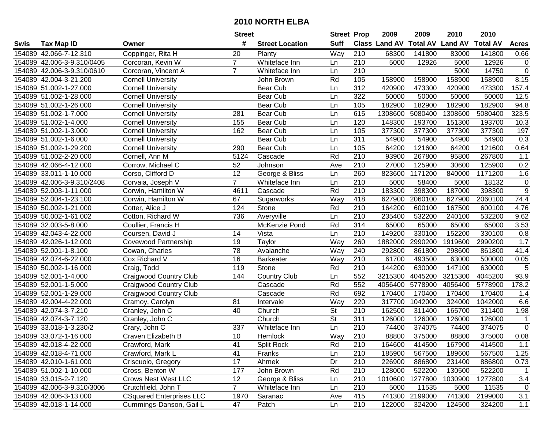|      |                            |                                 | <b>Street</b>  |                        | <b>Street Prop</b>       |                  | 2009                 | 2009            | 2010           | 2010            |                |
|------|----------------------------|---------------------------------|----------------|------------------------|--------------------------|------------------|----------------------|-----------------|----------------|-----------------|----------------|
| Swis | <b>Tax Map ID</b>          | Owner                           | #              | <b>Street Location</b> | <b>Suff</b>              |                  | <b>Class Land AV</b> | <b>Total AV</b> | <b>Land AV</b> | <b>Total AV</b> | <b>Acres</b>   |
|      | 154089 42.066-7-12.310     | Coppinger, Rita H               | 20             | Planty                 | Way                      | 210              | 68300                | 141800          | 83000          | 141800          | 0.66           |
|      | 154089 42.006-3-9.310/0405 | Corcoran, Kevin W               | $\overline{7}$ | Whiteface Inn          | Ln                       | 210              | 5000                 | 12926           | 5000           | 12926           | $\mathbf 0$    |
|      | 154089 42.006-3-9.310/0610 | Corcoran, Vincent A             | $\overline{7}$ | Whiteface Inn          | Ln                       | 210              |                      |                 | 5000           | 14750           | $\overline{0}$ |
|      | 154089 42.004-3-21.200     | <b>Cornell University</b>       |                | John Brown             | Rd                       | 105              | 158900               | 158900          | 158900         | 158900          | 8.15           |
|      | 154089 51.002-1-27.000     | <b>Cornell University</b>       |                | Bear Cub               | Ln                       | $\overline{312}$ | 420900               | 473300          | 420900         | 473300          | 157.4          |
|      | 154089 51.002-1-28.000     | <b>Cornell University</b>       |                | <b>Bear Cub</b>        | Ln                       | 322              | 50000                | 50000           | 50000          | 50000           | 12.5           |
|      | 154089 51.002-1-26.000     | <b>Cornell University</b>       |                | Bear Cub               | Ln                       | 105              | 182900               | 182900          | 182900         | 182900          | 94.8           |
|      | 154089 51.002-1-7.000      | <b>Cornell University</b>       | 281            | <b>Bear Cub</b>        | Ln                       | 615              | 1308600              | 5080400         | 1308600        | 5080400         | 323.5          |
|      | 154089 51.002-1-4.000      | <b>Cornell University</b>       | 155            | <b>Bear Cub</b>        | Ln                       | 120              | 148300               | 193700          | 151300         | 193700          | 10.3           |
|      | 154089 51.002-1-3.000      | Cornell University              | 162            | <b>Bear Cub</b>        | Ln                       | 105              | 377300               | 377300          | 377300         | 377300          | 197            |
|      | 154089 51.002-1-6.000      | <b>Cornell University</b>       |                | <b>Bear Cub</b>        | Ln                       | 311              | 54900                | 54900           | 54900          | 54900           | 0.3            |
|      | 154089 51.002-1-29.200     | <b>Cornell University</b>       | 290            | Bear Cub               | Ln                       | 105              | 64200                | 121600          | 64200          | 121600          | 0.64           |
|      | 154089 51.002-2-20.000     | Cornell, Ann M                  | 5124           | Cascade                | Rd                       | 210              | 93900                | 267800          | 95800          | 267800          | 1.1            |
|      | 154089 42.066-4-12.000     | Corrow, Michael C               | 52             | Johnson                | Ave                      | 210              | 27000                | 125900          | 30600          | 125900          | 0.2            |
|      | 154089 33.011-1-10.000     | Corso, Clifford D               | 12             | George & Bliss         | Ln                       | 260              | 823600               | 1171200         | 840000         | 1171200         | 1.6            |
|      | 154089 42.006-3-9.310/2408 | Corvaia, Joseph V               | $\overline{7}$ | Whiteface Inn          | Ln                       | 210              | 5000                 | 58400           | 5000           | 18132           | $\mathbf 0$    |
|      | 154089 52.003-1-11.000     | Corwin, Hamilton W              | 4611           | Cascade                | Rd                       | 210              | 183300               | 398300          | 187000         | 398300          | $\overline{9}$ |
|      | 154089 52.004-1-23.100     | Corwin, Hamilton W              | 67             | Sugarworks             | Way                      | 418              | 627900               | 2060100         | 627900         | 2060100         | 74.4           |
|      | 154089 50.002-1-21.000     | Cotter, Alice J                 | 124            | Stone                  | Rd                       | 210              | 164200               | 600100          | 167500         | 600100          | 4.76           |
|      | 154089 50.002-1-61.002     | Cotton, Richard W               | 736            | Averyville             | Ln                       | 210              | 235400               | 532200          | 240100         | 532200          | 9.62           |
|      | 154089 32.003-5-8.000      | Coullier, Francis H             |                | McKenzie Pond          | Rd                       | 314              | 65000                | 65000           | 65000          | 65000           | 3.53           |
|      | 154089 42.043-4-22.000     | Coursen, David J                | 14             | Vista                  | Ln                       | 210              | 149200               | 330100          | 152200         | 330100          | 0.8            |
|      | 154089 42.026-1-12.000     | <b>Covewood Partnership</b>     | 19             | Taylor                 | Way                      | 260              | 1882000              | 2990200         | 1919600        | 2990200         | 1.7            |
|      | 154089 52.001-1-8.100      | Cowan, Charles                  | 78             | Avalanche              | Way                      | 240              | 292800               | 861800          | 298600         | 861800          | 41.4           |
|      | 154089 42.074-6-22.000     | Cox Richard V                   | 16             | <b>Barkeater</b>       | Way                      | 210              | 61700                | 493500          | 63000          | 500000          | 0.05           |
|      | 154089 50.002-1-16.000     | Craig, Todd                     | 119            | Stone                  | Rd                       | 210              | 144200               | 630000          | 147100         | 630000          | $\overline{5}$ |
|      | 154089 52.001-1-4.000      | <b>Craigwood Country Club</b>   | 144            | Country Club           | Ln                       | 552              | 3215300              | 4045200         | 3215300        | 4045200         | 93.9           |
|      | 154089 52.001-1-5.000      | <b>Craigwood Country Club</b>   |                | Cascade                | Rd                       | 552              | 4056400              | 5778900         | 4056400        | 5778900         | 178.2          |
|      | 154089 52.001-1-29.000     | <b>Craigwood Country Club</b>   |                | Cascade                | Rd                       | 692              | 170400               | 170400          | 170400         | 170400          | 1.4            |
|      | 154089 42.004-4-22.000     | Cramoy, Carolyn                 | 81             | Intervale              | Way                      | 220              | 317700               | 1042000         | 324000         | 1042000         | 6.6            |
|      | 154089 42.074-3-7.210      | Cranley, John C                 | 40             | Church                 | $\overline{\mathsf{St}}$ | $\overline{210}$ | 162500               | 311400          | 165700         | 311400          | 1.98           |
|      | 154089 42.074-3-7.120      | Cranley, John C                 |                | Church                 | $\overline{\mathsf{St}}$ | 311              | 126000               | 126000          | 126000         | 126000          | $\overline{1}$ |
|      | 154089 33.018-1-3.230/2    | Crary, John C                   | 337            | Whiteface Inn          | Ln                       | 210              | 74400                | 374075          | 74400          | 374075          | $\overline{0}$ |
|      | 154089 33.072-1-16.000     | Craven Elizabeth B              | 10             | Hemlock                | Way                      | 210              | 88800                | 375000          | 88800          | 375000          | 0.08           |
|      | 154089 42.018-4-22.000     | Crawford, Mark                  | 41             | <b>Split Rock</b>      | Rd                       | 210              | 164600               | 414500          | 167900         | 414500          | 1.1            |
|      | 154089 42.018-4-71.000     | Crawford, Mark L                | 41             | Franks                 | Ln                       | 210              | 185900               | 567500          | 189600         | 567500          | 1.25           |
|      | 154089 42.010-1-61.000     | Criscuolo, Gregory              | 17             | Ahmek                  | Dr                       | 210              | 226900               | 886800          | 231400         | 886800          | 0.73           |
|      | 154089 51.002-1-10.000     | Cross, Benton W                 | 177            | John Brown             | Rd                       | 210              | 128000               | 522200          | 130500         | 522200          | $\overline{1}$ |
|      | 154089 33.015-2-7.120      | <b>Crows Nest West LLC</b>      | 12             | George & Bliss         | Ln                       | 210              | 1010600              | 1277800         | 1030900        | 1277800         | 3.4            |
|      | 154089 42.006-3-9.310/3006 | Crutchfield, John T             | $\overline{7}$ | Whiteface Inn          | Ln                       | 210              | 5000                 | 11535           | 5000           | 11535           | 0              |
|      | 154089 42.006-3-13.000     | <b>CSquared Enterprises LLC</b> | 1970           | Saranac                | Ave                      | 415              | 741300               | 2199000         | 741300         | 2199000         | 3.1            |
|      | 154089 42.018-1-14.000     | Cummings-Danson, Gail L         | 47             | Patch                  | Ln                       | 210              | 122000               | 324200          | 124500         | 324200          | 1.1            |
|      |                            |                                 |                |                        |                          |                  |                      |                 |                |                 |                |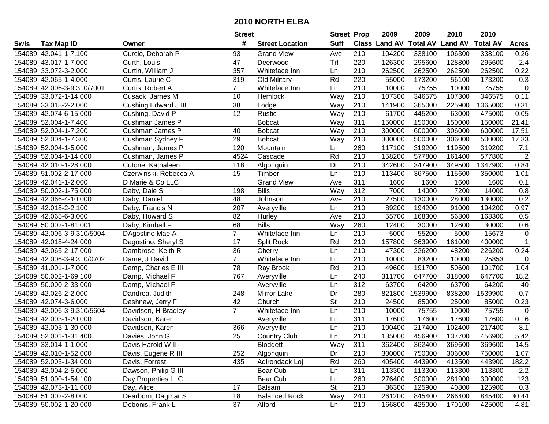|      |                            |                       | <b>Street</b>   |                        | <b>Street Prop</b>       |                  | 2009                 | 2009            | 2010           | 2010            |                    |
|------|----------------------------|-----------------------|-----------------|------------------------|--------------------------|------------------|----------------------|-----------------|----------------|-----------------|--------------------|
| Swis | <b>Tax Map ID</b>          | Owner                 | #               | <b>Street Location</b> | <b>Suff</b>              |                  | <b>Class Land AV</b> | <b>Total AV</b> | <b>Land AV</b> | <b>Total AV</b> | <b>Acres</b>       |
|      | 154089 42.041-1-7.100      | Curcio, Deborah P     | 93              | <b>Grand View</b>      | Ave                      | 210              | 104200               | 338100          | 106300         | 338100          | 0.26               |
|      | 154089 43.017-1-7.000      | Curth, Louis          | 47              | Deerwood               | Trl                      | 220              | 126300               | 295600          | 128800         | 295600          | 2.4                |
|      | 154089 33.072-3-2.000      | Curtin, William J     | 357             | Whiteface Inn          | Ln                       | 210              | 262500               | 262500          | 262500         | 262500          | 0.22               |
|      | 154089 42.065-1-4.000      | Curtis, Laurie C      | 319             | Old Military           | Rd                       | 220              | 55000                | 173200          | 56100          | 173200          | 0.3                |
|      | 154089 42.006-3-9.310/7001 | Curtis, Robert A      | $\overline{7}$  | Whiteface Inn          | Ln                       | 210              | 10000                | 75755           | 10000          | 75755           | $\mathbf 0$        |
|      | 154089 33.072-1-14.000     | Cusack, James M       | 10              | Hemlock                | Way                      | 210              | 107300               | 346575          | 107300         | 346575          | 0.11               |
|      | 154089 33.018-2-2.000      | Cushing Edward J III  | 38              | Lodge                  | Way                      | 210              | 141900               | 1365000         | 225900         | 1365000         | 0.31               |
|      | 154089 42.074-6-15.000     | Cushing, David P      | $\overline{12}$ | Rustic                 | Way                      | 210              | 61700                | 445200          | 63000          | 475000          | 0.05               |
|      | 154089 52.004-1-7.400      | Cushman James P       |                 | <b>Bobcat</b>          | Way                      | 311              | 150000               | 150000          | 150000         | 150000          | 21.41              |
|      | 154089 52.004-1-7.200      | Cushman James P       | 40              | <b>Bobcat</b>          | Way                      | 210              | 300000               | 600000          | 306000         | 600000          | 17.51              |
|      | 154089 52.004-1-7.300      | Cushman Sydney F      | 29              | <b>Bobcat</b>          | Way                      | 210              | 300000               | 500000          | 306000         | 500000          | $\overline{17.33}$ |
|      | 154089 52.004-1-5.000      | Cushman, James P      | 120             | Mountain               | Ln                       | 260              | 117100               | 319200          | 119500         | 319200          | 7.1                |
|      | 154089 52.004-1-14.000     | Cushman, James P      | 4524            | Cascade                | Rd                       | 210              | 158200               | 577800          | 161400         | 577800          | $\overline{2}$     |
|      | 154089 42.010-1-28.000     | Cutone, Kathaleen     | 118             | Algonquin              | Dr                       | 210              | 342600               | 1347900         | 349500         | 1347900         | 0.84               |
|      | 154089 51.002-2-17.000     | Czerwinski, Rebecca A | 15              | Timber                 | Ln                       | 210              | 113400               | 367500          | 115600         | 350000          | 1.01               |
|      | 154089 42.041-1-2.000      | D Marie & Co LLC      |                 | <b>Grand View</b>      | Ave                      | 311              | 1600                 | 1600            | 1600           | 1600            | 0.1                |
|      | 154089 50.002-1-75.000     | Daby, Dale S          | 198             | <b>Bills</b>           | Way                      | 312              | 7000                 | 14000           | 7200           | 14000           | 0.8                |
|      | 154089 42.066-4-10.000     | Daby, Daniel          | 48              | Johnson                | Ave                      | 210              | 27500                | 130000          | 28000          | 130000          | 0.2                |
|      | 154089 42.018-2-2.100      | Daby, Francis N       | 207             | Averyville             | Ln                       | 210              | 89200                | 194200          | 91000          | 194200          | 0.97               |
|      | 154089 42.065-6-3.000      | Daby, Howard S        | 82              | Hurley                 | Ave                      | 210              | 55700                | 168300          | 56800          | 168300          | 0.5                |
|      | 154089 50.002-1-81.001     | Daby, Kimball F       | 68              | <b>Bills</b>           | Way                      | 260              | 12400                | 30000           | 12600          | 30000           | 0.6                |
|      | 154089 42.006-3-9.310/5004 | DAgostino Mae A       | $\overline{7}$  | Whiteface Inn          | Ln                       | 210              | 5000                 | 55200           | 5000           | 15673           | $\mathbf 0$        |
|      | 154089 42.018-4-24.000     | Dagostino, Sheryl S   | 17              | <b>Split Rock</b>      | Rd                       | 210              | 157800               | 363900          | 161000         | 400000          | $\overline{1}$     |
|      | 154089 42.065-2-17.000     | Dambrose, Keith R     | 36              | Cherry                 | Ln                       | 210              | 47300                | 226200          | 48200          | 226200          | 0.24               |
|      | 154089 42.006-3-9.310/0702 | Dame, J David         | $\overline{7}$  | Whiteface Inn          | Ln                       | 210              | 10000                | 83200           | 10000          | 25853           | 0                  |
|      | 154089 41.001-1-7.000      | Damp, Charles E III   | 78              | Ray Brook              | Rd                       | 210              | 49600                | 191700          | 50600          | 191700          | 1.04               |
|      | 154089 50.002-1-69.100     | Damp, Michael F       | 767             | Averyville             | Ln                       | 240              | 311700               | 647700          | 318000         | 647700          | 18.2               |
|      | 154089 50.000-2-33.000     | Damp, Michael F       |                 | Averyville             | Ln                       | 312              | 63700                | 64200           | 63700          | 64200           | 40                 |
|      | 154089 42.026-2-2.000      | Dandrea, Judith       | 248             | Mirror Lake            | Dr                       | 280              | 821800               | 1539900         | 838200         | 1539900         | 0.7                |
|      | 154089 42.074-3-6.000      | Dashnaw, Jerry F      | 42              | Church                 | $\overline{\mathsf{St}}$ | $\overline{210}$ | 24500                | 85000           | 25000          | 85000           | 0.23               |
|      | 154089 42.006-3-9.310/5604 | Davidson, H Bradley   | $\overline{7}$  | Whiteface Inn          | Ln                       | $\overline{210}$ | 10000                | 75755           | 10000          | 75755           | $\mathbf{0}$       |
|      | 154089 42.003-1-20.000     | Davidson, Karen       |                 | Averyville             | Ln                       | 311              | 17600                | 17600           | 17600          | 17600           | 0.16               |
|      | 154089 42.003-1-30.000     | Davidson, Karen       | 366             | Averyville             | Ln                       | $\overline{210}$ | 100400               | 217400          | 102400         | 217400          | 8.1                |
|      | 154089 52.001-1-31.400     | Davies, John G        | $\overline{25}$ | <b>Country Club</b>    | Ln                       | $\overline{210}$ | 135000               | 456900          | 137700         | 456900          | 5.42               |
|      | 154089 33.014-1-1.000      | Davis Harold W III    |                 | <b>Blodgett</b>        | Way                      | 311              | 362400               | 362400          | 369600         | 369600          | 14.5               |
|      | 154089 42.010-1-52.000     | Davis, Eugene R III   | 252             | Algonquin              | Dr                       | 210              | 300000               | 750000          | 306000         | 750000          | 1.07               |
|      | 154089 52.003-1-34.000     | Davis, Forrest        | 435             | Adirondack Loj         | Rd                       | 260              | 405400               | 443900          | 413500         | 443900          | 182.2              |
|      | 154089 42.004-2-5.000      | Dawson, Philip G III  |                 | Bear Cub               | Ln                       | 311              | 113300               | 113300          | 113300         | 113300          | 2.2                |
|      | 154089 51.000-1-54.100     | Day Properties LLC    |                 | Bear Cub               | Ln                       | 260              | 276400               | 300000          | 281900         | 300000          | 123                |
|      | 154089 42.073-1-11.000     | Day, Alice            | 17              | Balsam                 | <b>St</b>                | 210              | 36300                | 125900          | 40800          | 125900          | 0.3                |
|      | 154089 51.002-2-8.000      | Dearborn, Dagmar S    | 18              | <b>Balanced Rock</b>   | Way                      | 240              | 261200               | 845400          | 266400         | 845400          | 30.44              |
|      | 154089 50.002-1-20.000     | Debonis, Frank L      | 37              | Alford                 | Ln                       | 210              | 166800               | 425000          | 170100         | 425000          | 4.81               |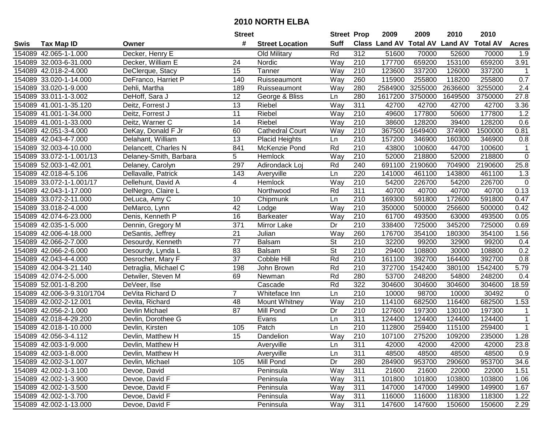|      |                            |                        | <b>Street</b>   |                        | <b>Street Prop</b> |                  | 2009                           | 2009    | 2010    | 2010            |              |
|------|----------------------------|------------------------|-----------------|------------------------|--------------------|------------------|--------------------------------|---------|---------|-----------------|--------------|
| Swis | <b>Tax Map ID</b>          | Owner                  | #               | <b>Street Location</b> | <b>Suff</b>        |                  | Class Land AV Total AV Land AV |         |         | <b>Total AV</b> | <b>Acres</b> |
|      | 154089 42.065-1-1.000      | Decker, Henry E        |                 | Old Military           | Rd                 | 312              | 51600                          | 70000   | 52600   | 70000           | 1.9          |
|      | 154089 32.003-6-31.000     | Decker, William E      | 24              | Nordic                 | Way                | 210              | 177700                         | 659200  | 153100  | 659200          | 3.91         |
|      | 154089 42.018-2-4.000      | DeClerque, Stacy       | 15              | Tanner                 | Way                | 210              | 123600                         | 337200  | 126000  | 337200          | $\mathbf{1}$ |
|      | 154089 33.020-1-14.000     | DeFranco, Harriet P    | 140             | Ruisseaumont           | Way                | 260              | 115900                         | 255800  | 118200  | 255800          | 0.7          |
|      | 154089 33.020-1-9.000      | Dehli, Martha          | 189             | Ruisseaumont           | Way                | 280              | 2584900                        | 3255000 | 2636600 | 3255000         | 2.4          |
|      | 154089 33.011-1-3.002      | DeHoff, Sara J         | 12              | George & Bliss         | Ln                 | 280              | 1617200                        | 3750000 | 1649500 | 3750000         | 27.8         |
|      | 154089 41.001-1-35.120     | Deitz, Forrest J       | 13              | Riebel                 | Way                | 311              | 42700                          | 42700   | 42700   | 42700           | 3.36         |
|      | 154089 41.001-1-34.000     | Deitz, Forrest J       | $\overline{11}$ | Riebel                 | Way                | $\overline{210}$ | 49600                          | 177800  | 50600   | 177800          | 1.2          |
|      | 154089 41.001-1-33.000     | Deitz, Warner C        | 14              | Riebel                 | Way                | $\overline{210}$ | 38600                          | 128200  | 39400   | 128200          | 0.6          |
|      | 154089 42.051-3-4.000      | DeKay, Donald F Jr     | 60              | <b>Cathedral Court</b> | Way                | 210              | 367500                         | 1649400 | 374900  | 1500000         | 0.81         |
|      | 154089 42.043-4-7.000      | Delahant, William      | 13              | <b>Placid Heights</b>  | Ln                 | 210              | 157200                         | 346900  | 160300  | 346900          | 0.8          |
|      | 154089 32.003-4-10.000     | Delancett, Charles N   | 841             | McKenzie Pond          | Rd                 | 210              | 43800                          | 100600  | 44700   | 100600          | 1            |
|      | 154089 33.072-1-1.001/13   | Delaney-Smith, Barbara | 5               | Hemlock                | Way                | 210              | 52000                          | 218800  | 52000   | 218800          | $\mathbf 0$  |
|      | 154089 52.003-1-42.001     | Delaney, Carolyn       | 297             | Adirondack Loj         | Rd                 | 240              | 691100                         | 2190600 | 704900  | 2190600         | 25.8         |
|      | 154089 42.018-4-5.106      | Dellavalle, Patrick    | 143             | Averyville             | Ln                 | 220              | 141000                         | 461100  | 143800  | 461100          | 1.3          |
|      | 154089 33.072-1-1.001/17   | Dellehunt, David A     | 4               | Hemlock                | Way                | 210              | 54200                          | 226700  | 54200   | 226700          | $\mathbf 0$  |
|      | 154089 42.043-1-17.000     | DelNegro, Claire L     |                 | Northwood              | Rd                 | 311              | 40700                          | 40700   | 40700   | 40700           | 0.13         |
|      | 154089 33.072-2-11.000     | DeLuca, Amy C          | 10              | Chipmunk               | Ln                 | 210              | 169300                         | 591800  | 172600  | 591800          | 0.47         |
|      | 154089 33.018-2-4.000      | DeMarco, Lynn          | 42              | Lodge                  | Way                | 210              | 350000                         | 500000  | 256600  | 500000          | 0.42         |
|      | 154089 42.074-6-23.000     | Denis, Kenneth P       | 16              | <b>Barkeater</b>       | Way                | 210              | 61700                          | 493500  | 63000   | 493500          | 0.05         |
|      | 154089 42.035-1-5.000      | Dennin, Gregory M      | 371             | Mirror Lake            | Dr                 | 210              | 338400                         | 725000  | 345200  | 725000          | 0.69         |
|      | 154089 42.006-4-18.000     | DeSantis, Jeffrey      | 21              | Julian                 | Way                | 260              | 176700                         | 354100  | 180300  | 354100          | 1.56         |
|      | 154089 42.066-2-7.000      | Desourdy, Kenneth      | 77              | Balsam                 | St                 | 210              | 32200                          | 99200   | 32900   | 99200           | 0.4          |
|      | 154089 42.066-2-6.000      | Desourdy, Lynda L      | 83              | Balsam                 | St                 | 210              | 29400                          | 108800  | 30000   | 108800          | 0.2          |
|      | 154089 42.043-4-4.000      | Desrocher, Mary F      | 37              | Cobble Hill            | Rd                 | 210              | 161100                         | 392700  | 164400  | 392700          | 0.8          |
|      | 154089 42.004-3-21.140     | Detraglia, Michael C   | 198             | John Brown             | Rd                 | 210              | 372700                         | 1542400 | 380100  | 1542400         | 5.79         |
|      | 154089 42.074-2-5.000      | Detwiler, Steven M     | 69              | Newman                 | Rd                 | 280              | 53700                          | 248200  | 54800   | 248200          | 0.4          |
|      | 154089 52.001-1-8.200      | DeVeer, Ilse           |                 | Cascade                | Rd                 | 322              | 304600                         | 304600  | 304600  | 304600          | 18.59        |
|      | 154089 42.006-3-9.310/1704 | DeVita Richard D       | $\overline{7}$  | Whiteface Inn          | Ln                 | $\overline{210}$ | 10000                          | 98700   | 10000   | 30492           | $\mathbf 0$  |
|      | 154089 42.002-2-12.001     | Devita, Richard        | 48              | Mount Whitney          | Way                | $\overline{210}$ | 114100                         | 682500  | 116400  | 682500          | 1.53         |
|      | 154089 42.056-2-1.000      | Devlin Michael         | $\overline{87}$ | Mill Pond              | Dr                 | $\overline{210}$ | 127600                         | 197300  | 130100  | 197300          | $\mathbf 1$  |
|      | 154089 42.018-4-29.200     | Devlin, Dorothee G     |                 | Evans                  | Ln                 | 311              | 124400                         | 124400  | 124400  | 124400          | $\mathbf{1}$ |
|      | 154089 42.018-1-10.000     | Devlin, Kirsten        | 105             | Patch                  | Ln                 | $\overline{210}$ | 112800                         | 259400  | 115100  | 259400          | $\mathbf{1}$ |
|      | 154089 42.056-3-4.112      | Devlin, Matthew H      | $\overline{15}$ | Dandelion              | Way                | 210              | 107100                         | 275200  | 109200  | 235000          | 1.28         |
|      | 154089 42.003-1-9.000      | Devlin, Matthew H      |                 | Averyville             | Ln                 | 311              | 42000                          | 42000   | 42000   | 42000           | 23.8         |
|      | 154089 42.003-1-8.000      | Devlin, Matthew H      |                 | Averyville             | Ln                 | 311              | 48500                          | 48500   | 48500   | 48500           | 0.9          |
|      | 154089 42.002-3-1.007      | Devlin, Michael        | 105             | Mill Pond              | Dr                 | 280              | 284900                         | 953700  | 290600  | 953700          | 34.6         |
|      | 154089 42.002-1-3.100      | Devoe, David           |                 | Peninsula              | Way                | 311              | 21600                          | 21600   | 22000   | 22000           | 1.51         |
|      | 154089 42.002-1-3.900      | Devoe, David F         |                 | Peninsula              | Way                | 311              | 101800                         | 101800  | 103800  | 103800          | 1.06         |
|      | 154089 42.002-1-3.500      | Devoe, David F         |                 | Peninsula              | Way                | 311              | 147000                         | 147000  | 149900  | 149900          | 1.67         |
|      | 154089 42.002-1-3.700      | Devoe, David F         |                 | Peninsula              | Way                | 311              | 116000                         | 116000  | 118300  | 118300          | 1.22         |
|      | 154089 42.002-1-13.000     | Devoe, David F         |                 | Peninsula              | Way                | 311              | 147600                         | 147600  | 150600  | 150600          | 2.29         |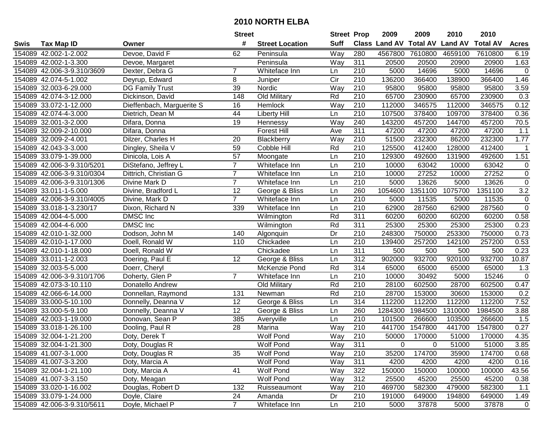|      |                            |                                | <b>Street</b>   |                        | <b>Street Prop</b> |                  | 2009                 | 2009            | 2010           | 2010            |                   |
|------|----------------------------|--------------------------------|-----------------|------------------------|--------------------|------------------|----------------------|-----------------|----------------|-----------------|-------------------|
| Swis | <b>Tax Map ID</b>          | Owner                          | #               | <b>Street Location</b> | <b>Suff</b>        |                  | <b>Class Land AV</b> | <b>Total AV</b> | <b>Land AV</b> | <b>Total AV</b> | <b>Acres</b>      |
|      | 154089 42.002-1-2.002      | Devoe, David F                 | 62              | Peninsula              | Way                | 280              | 4567800              | 7610800         | 4659100        | 7610800         | 6.19              |
|      | 154089 42.002-1-3.300      | Devoe, Margaret                |                 | Peninsula              | Way                | 311              | 20500                | 20500           | 20900          | 20900           | 1.63              |
|      | 154089 42.006-3-9.310/3609 | Dexter, Debra G                | 7               | Whiteface Inn          | Ln                 | 210              | 5000                 | 14696           | 5000           | 14696           | $\mathbf 0$       |
|      | 154089 42.074-5-1.002      | Deyrup, Edward                 | 8               | Juniper                | Cir                | 210              | 136200               | 366400          | 138900         | 366400          | 1.46              |
|      | 154089 32.003-6-29.000     | DG Family Trust                | 39              | Nordic                 | Way                | 210              | 95800                | 95800           | 95800          | 95800           | 3.59              |
|      | 154089 42.074-3-12.000     | Dickinson, David               | 148             | Old Military           | Rd                 | 210              | 65700                | 230900          | 65700          | 230900          | $\overline{0.3}$  |
|      | 154089 33.072-1-12.000     | Dieffenbach, Marguerite S      | 16              | Hemlock                | Way                | 210              | 112000               | 346575          | 112000         | 346575          | 0.12              |
|      | 154089 42.074-4-3.000      | Dietrich, Dean M               | 44              | <b>Liberty Hill</b>    | Ln                 | 210              | 107500               | 378400          | 109700         | 378400          | 0.36              |
|      | 154089 32.001-3-2.000      | Difara, Donna                  | 19              | Hennessy               | Way                | 240              | 143200               | 457200          | 144700         | 457200          | $\overline{70.5}$ |
|      | 154089 32.009-2-10.000     | Difara, Donna                  |                 | <b>Forest Hill</b>     | Ave                | 311              | 47200                | 47200           | 47200          | 47200           | 1.1               |
|      | 154089 32.009-2-4.001      | Dilzer, Charles H              | 20              | Blackberry             | Way                | 210              | 51500                | 232300          | 86200          | 232300          | 1.77              |
|      | 154089 42.043-3-3.000      | Dingley, Sheila $\overline{V}$ | 59              | Cobble Hill            | Rd                 | 210              | 125500               | 412400          | 128000         | 412400          | -1                |
|      | 154089 33.079-1-39.000     | Dinicola, Lois A               | 57              | Moongate               | Ln                 | 210              | 129300               | 492600          | 131900         | 492600          | 1.51              |
|      | 154089 42.006-3-9.310/5201 | DiStefano, Jeffrey L           | $\overline{7}$  | Whiteface Inn          | Ln                 | 210              | 10000                | 63042           | 10000          | 63042           | 0                 |
|      | 154089 42.006-3-9.310/0304 | Dittrich, Christian G          | $\overline{7}$  | Whiteface Inn          | Ln                 | 210              | 10000                | 27252           | 10000          | 27252           | $\mathbf 0$       |
|      | 154089 42.006-3-9.310/1306 | Divine Mark D                  | $\overline{7}$  | Whiteface Inn          | Ln                 | 210              | 5000                 | 13626           | 5000           | 13626           | $\mathbf 0$       |
|      | 154089 33.011-1-5.000      | Divine, Bradford L             | 12              | George & Bliss         | Ln                 | 260              | 1054600              | 1351100         | 1075700        | 1351100         | 3.2               |
|      | 154089 42.006-3-9.310/4005 | Divine, Mark D                 | $\overline{7}$  | Whiteface Inn          | Ln                 | 210              | 5000                 | 11535           | 5000           | 11535           | $\mathbf 0$       |
|      | 154089 33.018-1-3.230/17   | Dixon, Richard N               | 339             | Whiteface Inn          | Ln                 | 210              | 62900                | 287560          | 62900          | 287560          | $\overline{0}$    |
|      | 154089 42.004-4-5.000      | DMSC Inc                       |                 | Wilmington             | Rd                 | 311              | 60200                | 60200           | 60200          | 60200           | 0.58              |
|      | 154089 42.004-4-6.000      | DMSC Inc                       |                 | Wilmington             | Rd                 | 311              | 25300                | 25300           | 25300          | 25300           | 0.23              |
|      | 154089 42.010-1-32.000     | Dodson, John M                 | 140             | Algonquin              | Dr                 | 210              | 248300               | 750000          | 253300         | 750000          | 0.73              |
|      | 154089 42.010-1-17.000     | Doell, Ronald W                | 110             | Chickadee              | Ln                 | 210              | 139400               | 257200          | 142100         | 257200          | 0.53              |
|      | 154089 42.010-1-18.000     | Doell, Ronald W                |                 | Chickadee              | Ln                 | 311              | 500                  | 500             | 500            | 500             | 0.23              |
|      | 154089 33.011-1-2.003      | Doering, Paul E                | $\overline{12}$ | George & Bliss         | Ln                 | $\overline{312}$ | 902000               | 932700          | 920100         | 932700          | 10.87             |
|      | 154089 32.003-5-5.000      | Doerr, Cheryl                  |                 | McKenzie Pond          | Rd                 | 314              | 65000                | 65000           | 65000          | 65000           | 1.3               |
|      | 154089 42.006-3-9.310/1706 | Doherty, Glen P                | $\overline{7}$  | Whiteface Inn          | Ln                 | 210              | 10000                | 30492           | 5000           | 15246           | $\mathbf 0$       |
|      | 154089 42.073-3-10.110     | Donatello Andrew               |                 | Old Military           | Rd                 | 210              | 28100                | 602500          | 28700          | 602500          | 0.47              |
|      | 154089 42.066-6-14.000     | Donnellan, Raymond             | 131             | Newman                 | Rd                 | 210              | 28700                | 153000          | 30600          | 153000          | 0.2               |
|      | 154089 33.000-5-10.100     | Donnelly, Deanna V             | $\overline{12}$ | George & Bliss         | Ln                 | 314              | 112200               | 112200          | 112200         | 112200          | 7.52              |
|      | 154089 33.000-5-9.100      | Donnelly, Deanna V             | $\overline{12}$ | George & Bliss         | Ln                 | 260              | 1284300              | 1984500         | 1310000        | 1984500         | 3.88              |
|      | 154089 42.003-1-19.000     | Donovan, Sean P                | 385             | Averyville             | Ln                 | 210              | 101500               | 266600          | 103500         | 266600          | 1.5               |
|      | 154089 33.018-1-26.100     | Dooling, Paul R                | $\overline{28}$ | Marina                 | Way                | $\overline{210}$ | 441700               | 1547800         | 441700         | 1547800         | 0.27              |
|      | 154089 32.004-1-21.200     | Doty, Derek T                  |                 | <b>Wolf Pond</b>       | Way                | 210              | 50000                | 170000          | 51000          | 170000          | 4.35              |
|      | 154089 32.004-1-21.300     | Doty, Douglas R                |                 | <b>Wolf Pond</b>       | Way                | 311              | 0                    | 0               | 51000          | 51000           | 3.85              |
|      | 154089 41.007-3-1.000      | Doty, Douglas R                | 35              | Wolf Pond              | Way                | 210              | 35200                | 174700          | 35900          | 174700          | 0.68              |
|      | 154089 41.007-3-3.200      | Doty, Marcia A                 |                 | <b>Wolf Pond</b>       | Way                | 311              | 4200                 | 4200            | 4200           | 4200            | 0.16              |
|      | 154089 32.004-1-21.100     | Doty, Marcia A                 | 41              | Wolf Pond              | Way                | 322              | 150000               | 150000          | 100000         | 100000          | 43.56             |
|      | 154089 41.007-3-3.150      | Doty, Meagan                   |                 | Wolf Pond              | Way                | 312              | 25500                | 45200           | 25500          | 45200           | 0.38              |
|      | 154089 33.020-1-16.002     | Douglas, Robert D              | 132             | Ruisseaumont           | Way                | 210              | 469700               | 582300          | 479000         | 582300          | 1.1               |
|      | 154089 33.079-1-24.000     | Doyle, Claire                  | 24              | Amanda                 | Dr                 | 210              | 191000               | 649000          | 194800         | 649000          | 1.49              |
|      | 154089 42.006-3-9.310/5611 | Doyle, Michael P               | $\overline{7}$  | Whiteface Inn          | Ln                 | 210              | 5000                 | 37878           | 5000           | 37878           | $\mathbf 0$       |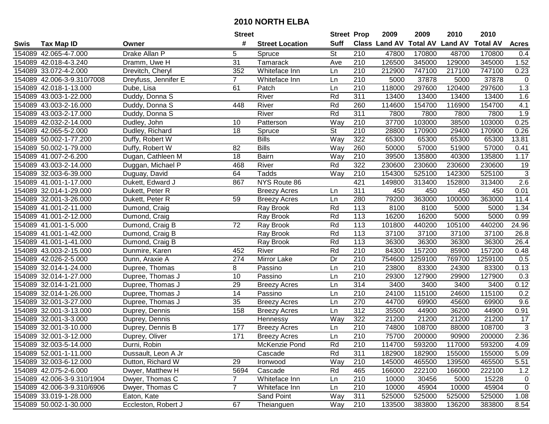|      |                            |                      | <b>Street</b>   |                        | <b>Street Prop</b>       |                  | 2009                 | 2009            | 2010           | 2010            |                |
|------|----------------------------|----------------------|-----------------|------------------------|--------------------------|------------------|----------------------|-----------------|----------------|-----------------|----------------|
| Swis | <b>Tax Map ID</b>          | Owner                | #               | <b>Street Location</b> | <b>Suff</b>              |                  | <b>Class Land AV</b> | <b>Total AV</b> | <b>Land AV</b> | <b>Total AV</b> | <b>Acres</b>   |
|      | 154089 42.065-4-7.000      | Drake Allan P        | 5               | Spruce                 | <b>St</b>                | 210              | 47800                | 170800          | 48700          | 170800          | 0.4            |
|      | 154089 42.018-4-3.240      | Dramm, Uwe H         | 31              | Tamarack               | Ave                      | 210              | 126500               | 345000          | 129000         | 345000          | 1.52           |
|      | 154089 33.072-4-2.000      | Drevitch, Cheryl     | 352             | Whiteface Inn          | Ln                       | 210              | 212900               | 747100          | 217100         | 747100          | 0.23           |
|      | 154089 42.006-3-9.310/7008 | Dreyfuss, Jennifer E | $\overline{7}$  | Whiteface Inn          | Ln                       | 210              | 5000                 | 37878           | 5000           | 37878           | $\mathbf 0$    |
|      | 154089 42.018-1-13.000     | Dube, Lisa           | 61              | Patch                  | Ln                       | 210              | 118000               | 297600          | 120400         | 297600          | 1.3            |
|      | 154089 43.003-1-22.000     | Duddy, Donna S       |                 | River                  | Rd                       | 311              | 13400                | 13400           | 13400          | 13400           | 1.6            |
|      | 154089 43.003-2-16.000     | Duddy, Donna S       | 448             | River                  | Rd                       | 260              | 114600               | 154700          | 116900         | 154700          | 4.1            |
|      | 154089 43.003-2-17.000     | Duddy, Donna S       |                 | River                  | Rd                       | 311              | 7800                 | 7800            | 7800           | 7800            | 1.9            |
|      | 154089 42.032-2-14.000     | Dudley, John         | 10              | Patterson              | Way                      | 210              | 37700                | 103000          | 38500          | 103000          | 0.25           |
|      | 154089 42.065-5-2.000      | Dudley, Richard      | 18              | Spruce                 | $\overline{\mathsf{St}}$ | 210              | 28800                | 170900          | 29400          | 170900          | 0.26           |
|      | 154089 50.002-1-77.200     | Duffy, Robert W      |                 | <b>Bills</b>           | Way                      | 322              | 65300                | 65300           | 65300          | 65300           | 13.81          |
|      | 154089 50.002-1-79.000     | Duffy, Robert W      | 82              | <b>Bills</b>           | Way                      | 260              | 50000                | 57000           | 51900          | 57000           | 0.41           |
|      | 154089 41.007-2-6.200      | Dugan, Cathleen M    | 18              | Bairn                  | Way                      | 210              | 39500                | 135800          | 40300          | 135800          | 1.17           |
|      | 154089 43.003-2-14.000     | Duggan, Michael P    | 468             | River                  | Rd                       | 322              | 230600               | 230600          | 230600         | 230600          | 19             |
|      | 154089 32.003-6-39.000     | Duguay, David        | 64              | Tadds                  | Way                      | 210              | 154300               | 525100          | 142300         | 525100          | $\sqrt{3}$     |
|      | 154089 41.001-1-17.000     | Dukett, Edward J     | 867             | NYS Route 86           |                          | 421              | 149800               | 313400          | 152800         | 313400          | 2.6            |
|      | 154089 32.014-1-29.000     | Dukett, Peter R      |                 | <b>Breezy Acres</b>    | Ln                       | 311              | 450                  | 450             | 450            | 450             | 0.01           |
|      | 154089 32.001-3-26.000     | Dukett, Peter R      | 59              | <b>Breezy Acres</b>    | Ln                       | 280              | 79200                | 363000          | 100000         | 363000          | 11.4           |
|      | 154089 41.001-2-11.000     | Dumond, Craig        |                 | Ray Brook              | Rd                       | 113              | 8100                 | 8100            | 5000           | 5000            | 1.34           |
|      | 154089 41.001-2-12.000     | Dumond, Craig        |                 | Ray Brook              | Rd                       | 113              | 16200                | 16200           | 5000           | 5000            | 0.99           |
|      | 154089 41.001-1-5.000      | Dumond, Craig B      | 72              | Ray Brook              | Rd                       | 113              | 101800               | 440200          | 105100         | 440200          | 24.96          |
|      | 154089 41.001-1-42.000     | Dumond, Craig B      |                 | Ray Brook              | Rd                       | 113              | 37100                | 37100           | 37100          | 37100           | 26.8           |
|      | 154089 41.001-1-41.000     | Dumond, Craig B      |                 | Ray Brook              | Rd                       | 113              | 36300                | 36300           | 36300          | 36300           | 26.4           |
|      | 154089 43.003-2-15.000     | Dunmire, Karen       | 452             | River                  | Rd                       | 210              | 84300                | 157200          | 85900          | 157200          | 0.48           |
|      | 154089 42.026-2-5.000      | Dunn, Araxie A       | 274             | Mirror Lake            | Dr                       | 210              | 754600               | 1259100         | 769700         | 1259100         | 0.5            |
|      | 154089 32.014-1-24.000     | Dupree, Thomas       | 8               | Passino                | Ln                       | 210              | 23800                | 83300           | 24300          | 83300           | 0.13           |
|      | 154089 32.014-1-27.000     | Dupree, Thomas J     | 10              | Passino                | Ln                       | 210              | 29300                | 127900          | 29900          | 127900          | 0.3            |
|      | 154089 32.014-1-21.000     | Dupree, Thomas J     | 29              | <b>Breezy Acres</b>    | Ln                       | 314              | 3400                 | 3400            | 3400           | 3400            | 0.12           |
|      | 154089 32.014-1-26.000     | Dupree, Thomas J     | $\overline{14}$ | Passino                | Ln                       | 210              | 24100                | 115100          | 24600          | 115100          | 0.2            |
|      | 154089 32.001-3-27.000     | Dupree, Thomas J     | 35              | <b>Breezy Acres</b>    | Ln                       | 270              | 44700                | 69900           | 45600          | 69900           | 9.6            |
|      | 154089 32.001-3-13.000     | Duprey, Dennis       | 158             | <b>Breezy Acres</b>    | Ln                       | 312              | 35500                | 44900           | 36200          | 44900           | 0.91           |
|      | 154089 32.001-3-3.000      | Duprey, Dennis       |                 | Hennessy               | Way                      | 322              | 21200                | 21200           | 21200          | 21200           | 17             |
|      | 154089 32.001-3-10.000     | Duprey, Dennis B     | 177             | <b>Breezy Acres</b>    | Ln                       | $\overline{210}$ | 74800                | 108700          | 88000          | 108700          | $\overline{3}$ |
|      | 154089 32.001-3-12.000     | Duprey, Oliver       | 171             | <b>Breezy Acres</b>    | Ln                       | $\overline{210}$ | 75700                | 200000          | 90900          | 200000          | 2.36           |
|      | 154089 32.003-5-14.000     | Durni, Robin         |                 | McKenzie Pond          | Rd                       | 210              | 114700               | 593200          | 117000         | 593200          | 4.09           |
|      | 154089 52.001-1-11.000     | Dussault, Leon A Jr  |                 | Cascade                | Rd                       | 311              | 182900               | 182900          | 155000         | 155000          | 5.09           |
|      | 154089 32.003-6-12.000     | Dutton, Richard W    | 29              | Ironwood               | Way                      | 210              | 145000               | 465500          | 139500         | 465500          | 5.51           |
|      | 154089 42.075-2-6.000      | Dwyer, Matthew H     | 5694            | Cascade                | Rd                       | 465              | 166000               | 222100          | 166000         | 222100          | 1.2            |
|      | 154089 42.006-3-9.310/1904 | Dwyer, Thomas C      | $\overline{7}$  | Whiteface Inn          | Ln                       | 210              | 10000                | 30456           | 5000           | 15228           | $\mathbf 0$    |
|      | 154089 42.006-3-9.310/6906 | Dwyer, Thomas C      | $\overline{7}$  | Whiteface Inn          | Ln                       | 210              | 10000                | 45904           | 10000          | 45904           | $\mathbf 0$    |
|      | 154089 33.019-1-28.000     | Eaton, Kate          |                 | Sand Point             | Way                      | 311              | 525000               | 525000          | 525000         | 525000          | 1.08           |
|      | 154089 50.002-1-30.000     | Eccleston, Robert J  | 67              | Theianguen             | Way                      | 210              | 133500               | 383800          | 136200         | 383800          | 8.54           |
|      |                            |                      |                 |                        |                          |                  |                      |                 |                |                 |                |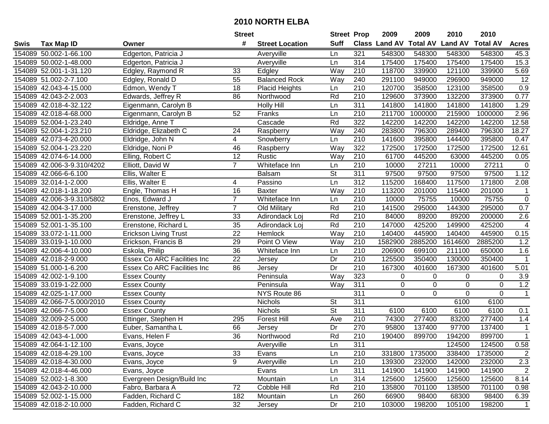|      |                            |                              | <b>Street</b>   |                        | <b>Street Prop</b>       |                  | 2009          | 2009            | 2010           | 2010            |                         |
|------|----------------------------|------------------------------|-----------------|------------------------|--------------------------|------------------|---------------|-----------------|----------------|-----------------|-------------------------|
| Swis | <b>Tax Map ID</b>          | Owner                        | #               | <b>Street Location</b> | <b>Suff</b>              |                  | Class Land AV | <b>Total AV</b> | <b>Land AV</b> | <b>Total AV</b> | <b>Acres</b>            |
|      | 154089 50.002-1-66.100     | Edgerton, Patricia J         |                 | Averyville             | Ln                       | 321              | 548300        | 548300          | 548300         | 548300          | 45.3                    |
|      | 154089 50.002-1-48.000     | Edgerton, Patricia J         |                 | Averyville             | Ln                       | 314              | 175400        | 175400          | 175400         | 175400          | 15.3                    |
|      | 154089 52.001-1-31.120     | Edgley, Raymond R            | 33              | Edgley                 | Way                      | 210              | 118700        | 339900          | 121100         | 339900          | 5.69                    |
|      | 154089 51.002-2-7.100      | Edgley, Ronald D             | 55              | <b>Balanced Rock</b>   | Way                      | 240              | 291100        | 949000          | 296900         | 949000          | 12                      |
|      | 154089 42.043-4-15.000     | Edmon, Wendy T               | 18              | Placid Heights         | Ln                       | 210              | 120700        | 358500          | 123100         | 358500          | 0.9                     |
|      | 154089 42.043-2-2.003      | Edwards, Jeffrey R           | 86              | Northwood              | Rd                       | $\overline{210}$ | 129600        | 373900          | 132200         | 373900          | 0.77                    |
|      | 154089 42.018-4-32.122     | Eigenmann, Carolyn B         |                 | <b>Holly Hill</b>      | Ln                       | 311              | 141800        | 141800          | 141800         | 141800          | 1.29                    |
|      | 154089 42.018-4-68.000     | Eigenmann, Carolyn B         | 52              | Franks                 | Ln                       | $\overline{210}$ | 211700        | 1000000         | 215900         | 1000000         | 2.96                    |
|      | 154089 52.004-1-23.240     | Eldridge, Anne T             |                 | Cascade                | Rd                       | 322              | 142200        | 142200          | 142200         | 142200          | 12.58                   |
|      | 154089 52.004-1-23.210     | Eldridge, Elizabeth C        | 24              | Raspberry              | Way                      | 240              | 283800        | 796300          | 289400         | 796300          | 18.27                   |
|      | 154089 42.073-4-20.000     | Eldridge, John N             | 4               | Snowberry              | Ln                       | 210              | 141600        | 395800          | 144400         | 395800          | 0.47                    |
|      | 154089 52.004-1-23.220     | Eldridge, Noni P             | 46              | Raspberry              | Way                      | 322              | 172500        | 172500          | 172500         | 172500          | 12.61                   |
|      | 154089 42.074-6-14.000     | Elling, Robert C             | 12              | Rustic                 | Way                      | 210              | 61700         | 445200          | 63000          | 445200          | 0.05                    |
|      | 154089 42.006-3-9.310/4202 | Elliott, David W             | $\overline{7}$  | Whiteface Inn          | Ln                       | 210              | 10000         | 27211           | 10000          | 27211           | $\mathbf 0$             |
|      | 154089 42.066-6-6.100      | Ellis, Walter E              |                 | <b>Balsam</b>          | St                       | 311              | 97500         | 97500           | 97500          | 97500           | 1.12                    |
|      | 154089 32.014-1-2.000      | Ellis, Walter E              | 4               | Passino                | Ln                       | 312              | 115200        | 168400          | 117500         | 171800          | 2.08                    |
|      | 154089 42.018-1-18.200     | Engle, Thomas H              | 16              | <b>Baxter</b>          | Way                      | 210              | 113200        | 201000          | 115400         | 201000          | -1                      |
|      | 154089 42.006-3-9.310/5802 | Enos, Edward J               | $\overline{7}$  | Whiteface Inn          | Ln                       | 210              | 10000         | 75755           | 10000          | 75755           | 0                       |
|      | 154089 42.004-3-17.000     | Erenstone, Jeffrey           | $\overline{7}$  | Old Military           | Rd                       | 210              | 141500        | 295000          | 144300         | 295000          | 0.7                     |
|      | 154089 52.001-1-35.200     | Erenstone, Jeffrey L         | 33              | Adirondack Loj         | Rd                       | 210              | 84000         | 89200           | 89200          | 200000          | 2.6                     |
|      | 154089 52.001-1-35.100     | Erenstone, Richard L         | $\overline{35}$ | Adirondack Loj         | Rd                       | 210              | 147000        | 425200          | 149900         | 425200          | $\overline{4}$          |
|      | 154089 33.072-1-11.000     | <b>Erickson Living Trust</b> | 22              | Hemlock                | Way                      | 210              | 140400        | 445900          | 140400         | 445900          | 0.15                    |
|      | 154089 33.019-1-10.000     | Erickson, Francis B          | 29              | Point O View           | Way                      | 210              | 1582900       | 2885200         | 1614600        | 2885200         | 1.2                     |
|      | 154089 42.006-4-10.000     | Eskola, Philip               | 36              | Whiteface Inn          | Ln                       | 210              | 206900        | 699100          | 211100         | 650000          | 1.6                     |
|      | 154089 42.018-2-9.000      | Essex Co ARC Facilities Inc  | 22              | Jersey                 | Dr                       | $\overline{210}$ | 125500        | 350400          | 130000         | 350400          | $\overline{\mathbf{1}}$ |
|      | 154089 51.000-1-6.200      | Essex Co ARC Facilities Inc  | 86              | Jersey                 | Dr                       | 210              | 167300        | 401600          | 167300         | 401600          | 5.01                    |
|      | 154089 42.002-1-9.100      | <b>Essex County</b>          |                 | Peninsula              | Way                      | 323              | $\pmb{0}$     | $\Omega$        | 0              | 0               | 3.9                     |
|      | 154089 33.019-1-22.000     | <b>Essex County</b>          |                 | Peninsula              | Way                      | 311              | 0             | 0               | $\Omega$       | 0               | 1.2                     |
|      | 154089 42.025-1-17.000     | <b>Essex County</b>          |                 | NYS Route 86           |                          | $\overline{311}$ | $\mathbf 0$   | $\Omega$        | $\mathbf 0$    | $\Omega$        | $\mathbf{1}$            |
|      | 154089 42.066-7-5.000/2010 | <b>Essex County</b>          |                 | Nichols                | $\overline{\mathsf{St}}$ | $\overline{311}$ |               |                 | 6100           | 6100            |                         |
|      | 154089 42.066-7-5.000      | <b>Essex County</b>          |                 | Nichols                | $\overline{\mathsf{St}}$ | 311              | 6100          | 6100            | 6100           | 6100            | 0.1                     |
|      | 154089 32.009-2-5.000      | Ettinger, Stephen H          | 295             | <b>Forest Hill</b>     | Ave                      | 210              | 74300         | 277400          | 83200          | 277400          | 1.4                     |
|      | 154089 42.018-5-7.000      | Euber, Samantha L            | 66              | Jersey                 | Dr                       | 270              | 95800         | 137400          | 97700          | 137400          | $\mathbf{1}$            |
|      | 154089 42.043-4-1.000      | Evans, Helen F               | 36              | Northwood              | Rd                       | $\overline{210}$ | 190400        | 899700          | 194200         | 899700          | $\mathbf{1}$            |
|      | 154089 42.064-1-12.100     | Evans, Joyce                 |                 | Averyville             | Ln                       | 311              |               |                 | 124500         | 124500          | 0.58                    |
|      | 154089 42.018-4-29.100     | Evans, Joyce                 | 33              | Evans                  | Ln                       | 210              | 331800        | 1735000         | 338400         | 1735000         | $\overline{2}$          |
|      | 154089 42.018-4-30.000     | Evans, Joyce                 | 9               | Averyville             | Ln                       | 210              | 139300        | 232000          | 142000         | 232000          | 2.3                     |
|      | 154089 42.018-4-46.000     | Evans, Joyce                 |                 | Evans                  | Ln                       | 311              | 141900        | 141900          | 141900         | 141900          | 2                       |
|      | 154089 52.002-1-8.300      | Evergreen Design/Build Inc   |                 | Mountain               | Ln                       | 314              | 125600        | 125600          | 125600         | 125600          | 8.14                    |
|      | 154089 42.043-2-10.000     | Fabro, Barbara A             | 72              | Cobble Hill            | Rd                       | 210              | 135800        | 701100          | 138500         | 701100          | 0.98                    |
|      | 154089 52.002-1-15.000     | Fadden, Richard C            | 182             | Mountain               | Ln                       | 260              | 66900         | 98400           | 68300          | 98400           | 6.39                    |
|      | 154089 42.018-2-10.000     | Fadden, Richard C            | 32              | Jersey                 | Dr                       | 210              | 103000        | 198200          | 105100         | 198200          | $\overline{1}$          |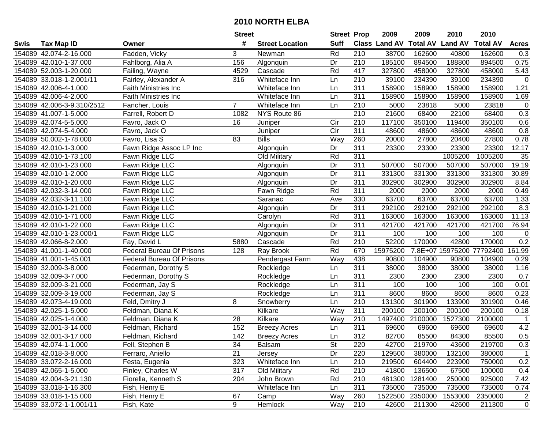| #<br><b>Suff</b><br><b>Total AV</b><br>Class Land AV<br><b>Land AV</b><br><b>Total AV</b><br><b>Tax Map ID</b><br><b>Street Location</b><br><b>Acres</b><br>Swis<br>Owner<br>Fadden, Vicky<br>Rd<br>154089 42.074-2-16.000<br>3<br>210<br>38700<br>162600<br>40800<br>162600<br>0.3<br>Newman<br>156<br>Dr<br>210<br>185100<br>894500<br>188800<br>894500<br>0.75<br>154089 42.010-1-37.000<br>Fahlborg, Alia A<br>Algonquin<br>Rd<br>417<br>154089 52.003-1-20.000<br>Cascade<br>327800<br>458000<br>327800<br>458000<br>5.43<br>Failing, Wayne<br>4529<br>210<br>39100<br>39100<br>234390<br>$\mathbf 0$<br>154089 33.018-1-2.001/11<br>Fairley, Alexander A<br>316<br>Whiteface Inn<br>Ln<br>234390<br>$\overline{311}$<br>1.21<br>154089 42.006-4-1.000<br>158900<br>158900<br>158900<br>158900<br>Faith Ministries Inc<br>Whiteface Inn<br>Ln<br>311<br>154089 42.006-4-2.000<br>Ln<br>158900<br>158900<br>158900<br>158900<br>1.69<br>Faith Ministries Inc<br>Whiteface Inn<br>$\overline{7}$<br>210<br>5000<br>23818<br>$\mathbf 0$<br>154089 42.006-3-9.310/2512<br>Whiteface Inn<br>Ln<br>23818<br>5000<br>Fancher, Louis<br>210<br>0.3<br>21600<br>22100<br>68400<br>154089 41.007-1-5.000<br>1082<br>NYS Route 86<br>68400<br>Farrell, Robert D<br>$\overline{210}$<br>350100<br>154089 42.074-5-5.000<br>16<br>Cir<br>117100<br>119400<br>350100<br>0.6<br>Favro, Jack O<br>Juniper<br>$\overline{C}$ ir<br>$\overline{311}$<br>48600<br>0.8<br>154089 42.074-5-4.000<br>48600<br>48600<br>48600<br>Favro, Jack O<br>Juniper<br>0.78<br>Favro, Lisa S<br>83<br><b>Bills</b><br>Way<br>260<br>20000<br>27800<br>20400<br>27800<br>154089 50.002-1-78.000<br>Fawn Ridge Assoc LP Inc<br>Dr<br>311<br>23300<br>23300<br>23300<br>23300<br>12.17<br>154089 42.010-1-3.000<br>Algonquin<br>Rd<br>$\overline{311}$<br>1005200<br>1005200<br>35<br>154089 42.010-1-73.100<br>Fawn Ridge LLC<br>Old Military<br>Dr<br>311<br>19.19<br>154089 42.010-1-23.000<br>Fawn Ridge LLC<br>507000<br>507000<br>507000<br>507000<br>Algonquin<br>Dr<br>311<br>154089 42.010-1-2.000<br>Fawn Ridge LLC<br>331300<br>331300<br>331300<br>331300<br>30.89<br>Algonquin<br>Fawn Ridge LLC<br>Dr<br>311<br>302900<br>302900<br>302900<br>302900<br>8.84<br>154089 42.010-1-20.000<br>Algonquin<br>$\overline{311}$<br>Rd<br>2000<br>154089 42.032-3-14.000<br>Fawn Ridge LLC<br>2000<br>2000<br>2000<br>0.49<br>Fawn Ridge<br>1.33<br>154089 42.032-3-11.100<br>Fawn Ridge LLC<br>Saranac<br>330<br>63700<br>63700<br>63700<br>63700<br>Ave<br>Dr<br>311<br>8.3<br>154089 42.010-1-21.000<br>Fawn Ridge LLC<br>292100<br>292100<br>292100<br>292100<br>Algonquin<br>Rd<br>11.13<br>154089 42.010-1-71.000<br>Fawn Ridge LLC<br>311<br>163000<br>163000<br>163000<br>163000<br>Carolyn<br>$\overline{311}$<br>Dr<br>421700<br>421700<br>421700<br>76.94<br>154089 42.010-1-22.000<br>Fawn Ridge LLC<br>421700<br>Algonquin<br>311<br>154089 42.010-1-23.000/1<br>Fawn Ridge LLC<br>Dr<br>100<br>100<br>100<br>100<br>$\mathbf 0$<br>Algonquin<br>0.2<br>Rd<br>52200<br>170000<br>42800<br>170000<br>154089 42.066-8-2.000<br>Fay, David L<br>5880<br>210<br>Cascade<br>Rd<br>15975200<br>7.8E+07 15975200<br><b>Federal Bureau Of Prisons</b><br>128<br>670<br>77792400<br>161.99<br>154089 41.001-1-40.000<br>Ray Brook<br>Way<br>438<br>90800<br>154089 41.001-1-45.001<br><b>Federal Bureau Of Prisons</b><br>104900<br>90800<br>104900<br>0.29<br>Pendergast Farm<br>311<br>38000<br>154089 32.009-3-8.000<br>Ln<br>38000<br>38000<br>38000<br>1.16<br>Federman, Dorothy S<br>Rockledge<br>311<br>0.7<br>154089 32.009-3-7.000<br>2300<br>2300<br>2300<br>2300<br>Federman, Dorothy S<br>Rockledge<br>Ln<br>311<br>154089 32.009-3-21.000<br>100<br>100<br>100<br>100<br>0.01<br>Federman, Jay S<br>Rockledge<br>Ln<br>$\overline{311}$<br>8600<br>8600<br>8600<br>0.23<br>154089 32.009-3-19.000<br>Ln<br>8600<br>Federman, Jay S<br>Rockledge<br>$\overline{210}$<br>154089 42.073-4-19.000<br>8<br>131300<br>301900<br>133900<br>301900<br>0.46<br>Feld, Dmitry J<br>Ln<br>Snowberry<br>Way<br>311<br>200100<br>154089 42.025-1-5.000<br>Feldman, Diana K<br>Kilkare<br>200100<br>200100<br>200100<br>0.18<br>154089 42.025-1-4.000<br>28<br>1497400<br>2100000<br>1527300<br>2100000<br>Feldman, Diana K<br>Kilkare<br>Way<br>210<br>$\overline{1}$<br>311<br>4.2<br>154089 32.001-3-14.000<br>152<br>69600<br>69600<br>69600<br>69600<br>Feldman, Richard<br><b>Breezy Acres</b><br>Ln<br>$\overline{312}$<br>0.5<br>142<br>82700<br>85500<br>84300<br>85500<br>154089 32.001-3-17.000<br>Feldman, Richard<br>Ln<br><b>Breezy Acres</b><br>154089 42.074-1-1.000<br>Fell, Stephen B<br>34<br>Balsam<br>St<br>220<br>42700<br>219700<br>43600<br>219700<br>0.3<br>154089 42.018-3-8.000<br>21<br>Dr<br>220<br>129500<br>380000<br>132100<br>380000<br>Ferraro, Aniello<br>Jersey<br>$\mathbf 1$<br>604400<br>0.2<br>154089 33.072-2-16.000<br>323<br>Whiteface Inn<br>210<br>219500<br>223900<br>750000<br>Festa, Eugenia<br>Ln<br>Finley, Charles W<br>Old Military<br>Rd<br>210<br>41800<br>136500<br>154089 42.065-1-5.000<br>317<br>67500<br>100000<br>0.4<br>Fiorella, Kenneth S<br>Rd<br>154089 42.004-3-21.130<br>204<br>John Brown<br>210<br>481300<br>1281400<br>250000<br>925000<br>7.42<br>311<br>154089 33.018-1-16.300<br>Fish, Henry E<br>Whiteface Inn<br>735000<br>735000<br>735000<br>735000<br>0.74<br>Ln<br>260<br>154089 33.018-1-15.000<br>Fish, Henry E<br>67<br>Way<br>1522500<br>2350000<br>1553000<br>2350000<br>$\overline{2}$<br>Camp<br>9<br>154089 33.072-1-1.001/11<br>210<br>42600<br>211300<br>211300<br>Fish, Kate<br>Hemlock<br>Way<br>42600<br>$\mathbf 0$ |  | <b>Street</b> | <b>Street Prop</b> | 2009 | 2009 | 2010 | 2010 |  |
|-------------------------------------------------------------------------------------------------------------------------------------------------------------------------------------------------------------------------------------------------------------------------------------------------------------------------------------------------------------------------------------------------------------------------------------------------------------------------------------------------------------------------------------------------------------------------------------------------------------------------------------------------------------------------------------------------------------------------------------------------------------------------------------------------------------------------------------------------------------------------------------------------------------------------------------------------------------------------------------------------------------------------------------------------------------------------------------------------------------------------------------------------------------------------------------------------------------------------------------------------------------------------------------------------------------------------------------------------------------------------------------------------------------------------------------------------------------------------------------------------------------------------------------------------------------------------------------------------------------------------------------------------------------------------------------------------------------------------------------------------------------------------------------------------------------------------------------------------------------------------------------------------------------------------------------------------------------------------------------------------------------------------------------------------------------------------------------------------------------------------------------------------------------------------------------------------------------------------------------------------------------------------------------------------------------------------------------------------------------------------------------------------------------------------------------------------------------------------------------------------------------------------------------------------------------------------------------------------------------------------------------------------------------------------------------------------------------------------------------------------------------------------------------------------------------------------------------------------------------------------------------------------------------------------------------------------------------------------------------------------------------------------------------------------------------------------------------------------------------------------------------------------------------------------------------------------------------------------------------------------------------------------------------------------------------------------------------------------------------------------------------------------------------------------------------------------------------------------------------------------------------------------------------------------------------------------------------------------------------------------------------------------------------------------------------------------------------------------------------------------------------------------------------------------------------------------------------------------------------------------------------------------------------------------------------------------------------------------------------------------------------------------------------------------------------------------------------------------------------------------------------------------------------------------------------------------------------------------------------------------------------------------------------------------------------------------------------------------------------------------------------------------------------------------------------------------------------------------------------------------------------------------------------------------------------------------------------------------------------------------------------------------------------------------------------------------------------------------------------------------------------------------------------------------------------------------------------------------------------------------------------------------------------------------------------------------------------------------------------------------------------------------------------------------------------------------------------------------------------------------------------------------------------------------------------------------------------------------------------------------------------------------------------------------------------------------------------------------------------------------------------------------------------------------------------------------------------------------------------------------------------------------------------------------------------------------------------------------------------------------------------------------------------------------------------------|--|---------------|--------------------|------|------|------|------|--|
|                                                                                                                                                                                                                                                                                                                                                                                                                                                                                                                                                                                                                                                                                                                                                                                                                                                                                                                                                                                                                                                                                                                                                                                                                                                                                                                                                                                                                                                                                                                                                                                                                                                                                                                                                                                                                                                                                                                                                                                                                                                                                                                                                                                                                                                                                                                                                                                                                                                                                                                                                                                                                                                                                                                                                                                                                                                                                                                                                                                                                                                                                                                                                                                                                                                                                                                                                                                                                                                                                                                                                                                                                                                                                                                                                                                                                                                                                                                                                                                                                                                                                                                                                                                                                                                                                                                                                                                                                                                                                                                                                                                                                                                                                                                                                                                                                                                                                                                                                                                                                                                                                                                                                                                                                                                                                                                                                                                                                                                                                                                                                                                                                                                                                           |  |               |                    |      |      |      |      |  |
|                                                                                                                                                                                                                                                                                                                                                                                                                                                                                                                                                                                                                                                                                                                                                                                                                                                                                                                                                                                                                                                                                                                                                                                                                                                                                                                                                                                                                                                                                                                                                                                                                                                                                                                                                                                                                                                                                                                                                                                                                                                                                                                                                                                                                                                                                                                                                                                                                                                                                                                                                                                                                                                                                                                                                                                                                                                                                                                                                                                                                                                                                                                                                                                                                                                                                                                                                                                                                                                                                                                                                                                                                                                                                                                                                                                                                                                                                                                                                                                                                                                                                                                                                                                                                                                                                                                                                                                                                                                                                                                                                                                                                                                                                                                                                                                                                                                                                                                                                                                                                                                                                                                                                                                                                                                                                                                                                                                                                                                                                                                                                                                                                                                                                           |  |               |                    |      |      |      |      |  |
|                                                                                                                                                                                                                                                                                                                                                                                                                                                                                                                                                                                                                                                                                                                                                                                                                                                                                                                                                                                                                                                                                                                                                                                                                                                                                                                                                                                                                                                                                                                                                                                                                                                                                                                                                                                                                                                                                                                                                                                                                                                                                                                                                                                                                                                                                                                                                                                                                                                                                                                                                                                                                                                                                                                                                                                                                                                                                                                                                                                                                                                                                                                                                                                                                                                                                                                                                                                                                                                                                                                                                                                                                                                                                                                                                                                                                                                                                                                                                                                                                                                                                                                                                                                                                                                                                                                                                                                                                                                                                                                                                                                                                                                                                                                                                                                                                                                                                                                                                                                                                                                                                                                                                                                                                                                                                                                                                                                                                                                                                                                                                                                                                                                                                           |  |               |                    |      |      |      |      |  |
|                                                                                                                                                                                                                                                                                                                                                                                                                                                                                                                                                                                                                                                                                                                                                                                                                                                                                                                                                                                                                                                                                                                                                                                                                                                                                                                                                                                                                                                                                                                                                                                                                                                                                                                                                                                                                                                                                                                                                                                                                                                                                                                                                                                                                                                                                                                                                                                                                                                                                                                                                                                                                                                                                                                                                                                                                                                                                                                                                                                                                                                                                                                                                                                                                                                                                                                                                                                                                                                                                                                                                                                                                                                                                                                                                                                                                                                                                                                                                                                                                                                                                                                                                                                                                                                                                                                                                                                                                                                                                                                                                                                                                                                                                                                                                                                                                                                                                                                                                                                                                                                                                                                                                                                                                                                                                                                                                                                                                                                                                                                                                                                                                                                                                           |  |               |                    |      |      |      |      |  |
|                                                                                                                                                                                                                                                                                                                                                                                                                                                                                                                                                                                                                                                                                                                                                                                                                                                                                                                                                                                                                                                                                                                                                                                                                                                                                                                                                                                                                                                                                                                                                                                                                                                                                                                                                                                                                                                                                                                                                                                                                                                                                                                                                                                                                                                                                                                                                                                                                                                                                                                                                                                                                                                                                                                                                                                                                                                                                                                                                                                                                                                                                                                                                                                                                                                                                                                                                                                                                                                                                                                                                                                                                                                                                                                                                                                                                                                                                                                                                                                                                                                                                                                                                                                                                                                                                                                                                                                                                                                                                                                                                                                                                                                                                                                                                                                                                                                                                                                                                                                                                                                                                                                                                                                                                                                                                                                                                                                                                                                                                                                                                                                                                                                                                           |  |               |                    |      |      |      |      |  |
|                                                                                                                                                                                                                                                                                                                                                                                                                                                                                                                                                                                                                                                                                                                                                                                                                                                                                                                                                                                                                                                                                                                                                                                                                                                                                                                                                                                                                                                                                                                                                                                                                                                                                                                                                                                                                                                                                                                                                                                                                                                                                                                                                                                                                                                                                                                                                                                                                                                                                                                                                                                                                                                                                                                                                                                                                                                                                                                                                                                                                                                                                                                                                                                                                                                                                                                                                                                                                                                                                                                                                                                                                                                                                                                                                                                                                                                                                                                                                                                                                                                                                                                                                                                                                                                                                                                                                                                                                                                                                                                                                                                                                                                                                                                                                                                                                                                                                                                                                                                                                                                                                                                                                                                                                                                                                                                                                                                                                                                                                                                                                                                                                                                                                           |  |               |                    |      |      |      |      |  |
|                                                                                                                                                                                                                                                                                                                                                                                                                                                                                                                                                                                                                                                                                                                                                                                                                                                                                                                                                                                                                                                                                                                                                                                                                                                                                                                                                                                                                                                                                                                                                                                                                                                                                                                                                                                                                                                                                                                                                                                                                                                                                                                                                                                                                                                                                                                                                                                                                                                                                                                                                                                                                                                                                                                                                                                                                                                                                                                                                                                                                                                                                                                                                                                                                                                                                                                                                                                                                                                                                                                                                                                                                                                                                                                                                                                                                                                                                                                                                                                                                                                                                                                                                                                                                                                                                                                                                                                                                                                                                                                                                                                                                                                                                                                                                                                                                                                                                                                                                                                                                                                                                                                                                                                                                                                                                                                                                                                                                                                                                                                                                                                                                                                                                           |  |               |                    |      |      |      |      |  |
|                                                                                                                                                                                                                                                                                                                                                                                                                                                                                                                                                                                                                                                                                                                                                                                                                                                                                                                                                                                                                                                                                                                                                                                                                                                                                                                                                                                                                                                                                                                                                                                                                                                                                                                                                                                                                                                                                                                                                                                                                                                                                                                                                                                                                                                                                                                                                                                                                                                                                                                                                                                                                                                                                                                                                                                                                                                                                                                                                                                                                                                                                                                                                                                                                                                                                                                                                                                                                                                                                                                                                                                                                                                                                                                                                                                                                                                                                                                                                                                                                                                                                                                                                                                                                                                                                                                                                                                                                                                                                                                                                                                                                                                                                                                                                                                                                                                                                                                                                                                                                                                                                                                                                                                                                                                                                                                                                                                                                                                                                                                                                                                                                                                                                           |  |               |                    |      |      |      |      |  |
|                                                                                                                                                                                                                                                                                                                                                                                                                                                                                                                                                                                                                                                                                                                                                                                                                                                                                                                                                                                                                                                                                                                                                                                                                                                                                                                                                                                                                                                                                                                                                                                                                                                                                                                                                                                                                                                                                                                                                                                                                                                                                                                                                                                                                                                                                                                                                                                                                                                                                                                                                                                                                                                                                                                                                                                                                                                                                                                                                                                                                                                                                                                                                                                                                                                                                                                                                                                                                                                                                                                                                                                                                                                                                                                                                                                                                                                                                                                                                                                                                                                                                                                                                                                                                                                                                                                                                                                                                                                                                                                                                                                                                                                                                                                                                                                                                                                                                                                                                                                                                                                                                                                                                                                                                                                                                                                                                                                                                                                                                                                                                                                                                                                                                           |  |               |                    |      |      |      |      |  |
|                                                                                                                                                                                                                                                                                                                                                                                                                                                                                                                                                                                                                                                                                                                                                                                                                                                                                                                                                                                                                                                                                                                                                                                                                                                                                                                                                                                                                                                                                                                                                                                                                                                                                                                                                                                                                                                                                                                                                                                                                                                                                                                                                                                                                                                                                                                                                                                                                                                                                                                                                                                                                                                                                                                                                                                                                                                                                                                                                                                                                                                                                                                                                                                                                                                                                                                                                                                                                                                                                                                                                                                                                                                                                                                                                                                                                                                                                                                                                                                                                                                                                                                                                                                                                                                                                                                                                                                                                                                                                                                                                                                                                                                                                                                                                                                                                                                                                                                                                                                                                                                                                                                                                                                                                                                                                                                                                                                                                                                                                                                                                                                                                                                                                           |  |               |                    |      |      |      |      |  |
|                                                                                                                                                                                                                                                                                                                                                                                                                                                                                                                                                                                                                                                                                                                                                                                                                                                                                                                                                                                                                                                                                                                                                                                                                                                                                                                                                                                                                                                                                                                                                                                                                                                                                                                                                                                                                                                                                                                                                                                                                                                                                                                                                                                                                                                                                                                                                                                                                                                                                                                                                                                                                                                                                                                                                                                                                                                                                                                                                                                                                                                                                                                                                                                                                                                                                                                                                                                                                                                                                                                                                                                                                                                                                                                                                                                                                                                                                                                                                                                                                                                                                                                                                                                                                                                                                                                                                                                                                                                                                                                                                                                                                                                                                                                                                                                                                                                                                                                                                                                                                                                                                                                                                                                                                                                                                                                                                                                                                                                                                                                                                                                                                                                                                           |  |               |                    |      |      |      |      |  |
|                                                                                                                                                                                                                                                                                                                                                                                                                                                                                                                                                                                                                                                                                                                                                                                                                                                                                                                                                                                                                                                                                                                                                                                                                                                                                                                                                                                                                                                                                                                                                                                                                                                                                                                                                                                                                                                                                                                                                                                                                                                                                                                                                                                                                                                                                                                                                                                                                                                                                                                                                                                                                                                                                                                                                                                                                                                                                                                                                                                                                                                                                                                                                                                                                                                                                                                                                                                                                                                                                                                                                                                                                                                                                                                                                                                                                                                                                                                                                                                                                                                                                                                                                                                                                                                                                                                                                                                                                                                                                                                                                                                                                                                                                                                                                                                                                                                                                                                                                                                                                                                                                                                                                                                                                                                                                                                                                                                                                                                                                                                                                                                                                                                                                           |  |               |                    |      |      |      |      |  |
|                                                                                                                                                                                                                                                                                                                                                                                                                                                                                                                                                                                                                                                                                                                                                                                                                                                                                                                                                                                                                                                                                                                                                                                                                                                                                                                                                                                                                                                                                                                                                                                                                                                                                                                                                                                                                                                                                                                                                                                                                                                                                                                                                                                                                                                                                                                                                                                                                                                                                                                                                                                                                                                                                                                                                                                                                                                                                                                                                                                                                                                                                                                                                                                                                                                                                                                                                                                                                                                                                                                                                                                                                                                                                                                                                                                                                                                                                                                                                                                                                                                                                                                                                                                                                                                                                                                                                                                                                                                                                                                                                                                                                                                                                                                                                                                                                                                                                                                                                                                                                                                                                                                                                                                                                                                                                                                                                                                                                                                                                                                                                                                                                                                                                           |  |               |                    |      |      |      |      |  |
|                                                                                                                                                                                                                                                                                                                                                                                                                                                                                                                                                                                                                                                                                                                                                                                                                                                                                                                                                                                                                                                                                                                                                                                                                                                                                                                                                                                                                                                                                                                                                                                                                                                                                                                                                                                                                                                                                                                                                                                                                                                                                                                                                                                                                                                                                                                                                                                                                                                                                                                                                                                                                                                                                                                                                                                                                                                                                                                                                                                                                                                                                                                                                                                                                                                                                                                                                                                                                                                                                                                                                                                                                                                                                                                                                                                                                                                                                                                                                                                                                                                                                                                                                                                                                                                                                                                                                                                                                                                                                                                                                                                                                                                                                                                                                                                                                                                                                                                                                                                                                                                                                                                                                                                                                                                                                                                                                                                                                                                                                                                                                                                                                                                                                           |  |               |                    |      |      |      |      |  |
|                                                                                                                                                                                                                                                                                                                                                                                                                                                                                                                                                                                                                                                                                                                                                                                                                                                                                                                                                                                                                                                                                                                                                                                                                                                                                                                                                                                                                                                                                                                                                                                                                                                                                                                                                                                                                                                                                                                                                                                                                                                                                                                                                                                                                                                                                                                                                                                                                                                                                                                                                                                                                                                                                                                                                                                                                                                                                                                                                                                                                                                                                                                                                                                                                                                                                                                                                                                                                                                                                                                                                                                                                                                                                                                                                                                                                                                                                                                                                                                                                                                                                                                                                                                                                                                                                                                                                                                                                                                                                                                                                                                                                                                                                                                                                                                                                                                                                                                                                                                                                                                                                                                                                                                                                                                                                                                                                                                                                                                                                                                                                                                                                                                                                           |  |               |                    |      |      |      |      |  |
|                                                                                                                                                                                                                                                                                                                                                                                                                                                                                                                                                                                                                                                                                                                                                                                                                                                                                                                                                                                                                                                                                                                                                                                                                                                                                                                                                                                                                                                                                                                                                                                                                                                                                                                                                                                                                                                                                                                                                                                                                                                                                                                                                                                                                                                                                                                                                                                                                                                                                                                                                                                                                                                                                                                                                                                                                                                                                                                                                                                                                                                                                                                                                                                                                                                                                                                                                                                                                                                                                                                                                                                                                                                                                                                                                                                                                                                                                                                                                                                                                                                                                                                                                                                                                                                                                                                                                                                                                                                                                                                                                                                                                                                                                                                                                                                                                                                                                                                                                                                                                                                                                                                                                                                                                                                                                                                                                                                                                                                                                                                                                                                                                                                                                           |  |               |                    |      |      |      |      |  |
|                                                                                                                                                                                                                                                                                                                                                                                                                                                                                                                                                                                                                                                                                                                                                                                                                                                                                                                                                                                                                                                                                                                                                                                                                                                                                                                                                                                                                                                                                                                                                                                                                                                                                                                                                                                                                                                                                                                                                                                                                                                                                                                                                                                                                                                                                                                                                                                                                                                                                                                                                                                                                                                                                                                                                                                                                                                                                                                                                                                                                                                                                                                                                                                                                                                                                                                                                                                                                                                                                                                                                                                                                                                                                                                                                                                                                                                                                                                                                                                                                                                                                                                                                                                                                                                                                                                                                                                                                                                                                                                                                                                                                                                                                                                                                                                                                                                                                                                                                                                                                                                                                                                                                                                                                                                                                                                                                                                                                                                                                                                                                                                                                                                                                           |  |               |                    |      |      |      |      |  |
|                                                                                                                                                                                                                                                                                                                                                                                                                                                                                                                                                                                                                                                                                                                                                                                                                                                                                                                                                                                                                                                                                                                                                                                                                                                                                                                                                                                                                                                                                                                                                                                                                                                                                                                                                                                                                                                                                                                                                                                                                                                                                                                                                                                                                                                                                                                                                                                                                                                                                                                                                                                                                                                                                                                                                                                                                                                                                                                                                                                                                                                                                                                                                                                                                                                                                                                                                                                                                                                                                                                                                                                                                                                                                                                                                                                                                                                                                                                                                                                                                                                                                                                                                                                                                                                                                                                                                                                                                                                                                                                                                                                                                                                                                                                                                                                                                                                                                                                                                                                                                                                                                                                                                                                                                                                                                                                                                                                                                                                                                                                                                                                                                                                                                           |  |               |                    |      |      |      |      |  |
|                                                                                                                                                                                                                                                                                                                                                                                                                                                                                                                                                                                                                                                                                                                                                                                                                                                                                                                                                                                                                                                                                                                                                                                                                                                                                                                                                                                                                                                                                                                                                                                                                                                                                                                                                                                                                                                                                                                                                                                                                                                                                                                                                                                                                                                                                                                                                                                                                                                                                                                                                                                                                                                                                                                                                                                                                                                                                                                                                                                                                                                                                                                                                                                                                                                                                                                                                                                                                                                                                                                                                                                                                                                                                                                                                                                                                                                                                                                                                                                                                                                                                                                                                                                                                                                                                                                                                                                                                                                                                                                                                                                                                                                                                                                                                                                                                                                                                                                                                                                                                                                                                                                                                                                                                                                                                                                                                                                                                                                                                                                                                                                                                                                                                           |  |               |                    |      |      |      |      |  |
|                                                                                                                                                                                                                                                                                                                                                                                                                                                                                                                                                                                                                                                                                                                                                                                                                                                                                                                                                                                                                                                                                                                                                                                                                                                                                                                                                                                                                                                                                                                                                                                                                                                                                                                                                                                                                                                                                                                                                                                                                                                                                                                                                                                                                                                                                                                                                                                                                                                                                                                                                                                                                                                                                                                                                                                                                                                                                                                                                                                                                                                                                                                                                                                                                                                                                                                                                                                                                                                                                                                                                                                                                                                                                                                                                                                                                                                                                                                                                                                                                                                                                                                                                                                                                                                                                                                                                                                                                                                                                                                                                                                                                                                                                                                                                                                                                                                                                                                                                                                                                                                                                                                                                                                                                                                                                                                                                                                                                                                                                                                                                                                                                                                                                           |  |               |                    |      |      |      |      |  |
|                                                                                                                                                                                                                                                                                                                                                                                                                                                                                                                                                                                                                                                                                                                                                                                                                                                                                                                                                                                                                                                                                                                                                                                                                                                                                                                                                                                                                                                                                                                                                                                                                                                                                                                                                                                                                                                                                                                                                                                                                                                                                                                                                                                                                                                                                                                                                                                                                                                                                                                                                                                                                                                                                                                                                                                                                                                                                                                                                                                                                                                                                                                                                                                                                                                                                                                                                                                                                                                                                                                                                                                                                                                                                                                                                                                                                                                                                                                                                                                                                                                                                                                                                                                                                                                                                                                                                                                                                                                                                                                                                                                                                                                                                                                                                                                                                                                                                                                                                                                                                                                                                                                                                                                                                                                                                                                                                                                                                                                                                                                                                                                                                                                                                           |  |               |                    |      |      |      |      |  |
|                                                                                                                                                                                                                                                                                                                                                                                                                                                                                                                                                                                                                                                                                                                                                                                                                                                                                                                                                                                                                                                                                                                                                                                                                                                                                                                                                                                                                                                                                                                                                                                                                                                                                                                                                                                                                                                                                                                                                                                                                                                                                                                                                                                                                                                                                                                                                                                                                                                                                                                                                                                                                                                                                                                                                                                                                                                                                                                                                                                                                                                                                                                                                                                                                                                                                                                                                                                                                                                                                                                                                                                                                                                                                                                                                                                                                                                                                                                                                                                                                                                                                                                                                                                                                                                                                                                                                                                                                                                                                                                                                                                                                                                                                                                                                                                                                                                                                                                                                                                                                                                                                                                                                                                                                                                                                                                                                                                                                                                                                                                                                                                                                                                                                           |  |               |                    |      |      |      |      |  |
|                                                                                                                                                                                                                                                                                                                                                                                                                                                                                                                                                                                                                                                                                                                                                                                                                                                                                                                                                                                                                                                                                                                                                                                                                                                                                                                                                                                                                                                                                                                                                                                                                                                                                                                                                                                                                                                                                                                                                                                                                                                                                                                                                                                                                                                                                                                                                                                                                                                                                                                                                                                                                                                                                                                                                                                                                                                                                                                                                                                                                                                                                                                                                                                                                                                                                                                                                                                                                                                                                                                                                                                                                                                                                                                                                                                                                                                                                                                                                                                                                                                                                                                                                                                                                                                                                                                                                                                                                                                                                                                                                                                                                                                                                                                                                                                                                                                                                                                                                                                                                                                                                                                                                                                                                                                                                                                                                                                                                                                                                                                                                                                                                                                                                           |  |               |                    |      |      |      |      |  |
|                                                                                                                                                                                                                                                                                                                                                                                                                                                                                                                                                                                                                                                                                                                                                                                                                                                                                                                                                                                                                                                                                                                                                                                                                                                                                                                                                                                                                                                                                                                                                                                                                                                                                                                                                                                                                                                                                                                                                                                                                                                                                                                                                                                                                                                                                                                                                                                                                                                                                                                                                                                                                                                                                                                                                                                                                                                                                                                                                                                                                                                                                                                                                                                                                                                                                                                                                                                                                                                                                                                                                                                                                                                                                                                                                                                                                                                                                                                                                                                                                                                                                                                                                                                                                                                                                                                                                                                                                                                                                                                                                                                                                                                                                                                                                                                                                                                                                                                                                                                                                                                                                                                                                                                                                                                                                                                                                                                                                                                                                                                                                                                                                                                                                           |  |               |                    |      |      |      |      |  |
|                                                                                                                                                                                                                                                                                                                                                                                                                                                                                                                                                                                                                                                                                                                                                                                                                                                                                                                                                                                                                                                                                                                                                                                                                                                                                                                                                                                                                                                                                                                                                                                                                                                                                                                                                                                                                                                                                                                                                                                                                                                                                                                                                                                                                                                                                                                                                                                                                                                                                                                                                                                                                                                                                                                                                                                                                                                                                                                                                                                                                                                                                                                                                                                                                                                                                                                                                                                                                                                                                                                                                                                                                                                                                                                                                                                                                                                                                                                                                                                                                                                                                                                                                                                                                                                                                                                                                                                                                                                                                                                                                                                                                                                                                                                                                                                                                                                                                                                                                                                                                                                                                                                                                                                                                                                                                                                                                                                                                                                                                                                                                                                                                                                                                           |  |               |                    |      |      |      |      |  |
|                                                                                                                                                                                                                                                                                                                                                                                                                                                                                                                                                                                                                                                                                                                                                                                                                                                                                                                                                                                                                                                                                                                                                                                                                                                                                                                                                                                                                                                                                                                                                                                                                                                                                                                                                                                                                                                                                                                                                                                                                                                                                                                                                                                                                                                                                                                                                                                                                                                                                                                                                                                                                                                                                                                                                                                                                                                                                                                                                                                                                                                                                                                                                                                                                                                                                                                                                                                                                                                                                                                                                                                                                                                                                                                                                                                                                                                                                                                                                                                                                                                                                                                                                                                                                                                                                                                                                                                                                                                                                                                                                                                                                                                                                                                                                                                                                                                                                                                                                                                                                                                                                                                                                                                                                                                                                                                                                                                                                                                                                                                                                                                                                                                                                           |  |               |                    |      |      |      |      |  |
|                                                                                                                                                                                                                                                                                                                                                                                                                                                                                                                                                                                                                                                                                                                                                                                                                                                                                                                                                                                                                                                                                                                                                                                                                                                                                                                                                                                                                                                                                                                                                                                                                                                                                                                                                                                                                                                                                                                                                                                                                                                                                                                                                                                                                                                                                                                                                                                                                                                                                                                                                                                                                                                                                                                                                                                                                                                                                                                                                                                                                                                                                                                                                                                                                                                                                                                                                                                                                                                                                                                                                                                                                                                                                                                                                                                                                                                                                                                                                                                                                                                                                                                                                                                                                                                                                                                                                                                                                                                                                                                                                                                                                                                                                                                                                                                                                                                                                                                                                                                                                                                                                                                                                                                                                                                                                                                                                                                                                                                                                                                                                                                                                                                                                           |  |               |                    |      |      |      |      |  |
|                                                                                                                                                                                                                                                                                                                                                                                                                                                                                                                                                                                                                                                                                                                                                                                                                                                                                                                                                                                                                                                                                                                                                                                                                                                                                                                                                                                                                                                                                                                                                                                                                                                                                                                                                                                                                                                                                                                                                                                                                                                                                                                                                                                                                                                                                                                                                                                                                                                                                                                                                                                                                                                                                                                                                                                                                                                                                                                                                                                                                                                                                                                                                                                                                                                                                                                                                                                                                                                                                                                                                                                                                                                                                                                                                                                                                                                                                                                                                                                                                                                                                                                                                                                                                                                                                                                                                                                                                                                                                                                                                                                                                                                                                                                                                                                                                                                                                                                                                                                                                                                                                                                                                                                                                                                                                                                                                                                                                                                                                                                                                                                                                                                                                           |  |               |                    |      |      |      |      |  |
|                                                                                                                                                                                                                                                                                                                                                                                                                                                                                                                                                                                                                                                                                                                                                                                                                                                                                                                                                                                                                                                                                                                                                                                                                                                                                                                                                                                                                                                                                                                                                                                                                                                                                                                                                                                                                                                                                                                                                                                                                                                                                                                                                                                                                                                                                                                                                                                                                                                                                                                                                                                                                                                                                                                                                                                                                                                                                                                                                                                                                                                                                                                                                                                                                                                                                                                                                                                                                                                                                                                                                                                                                                                                                                                                                                                                                                                                                                                                                                                                                                                                                                                                                                                                                                                                                                                                                                                                                                                                                                                                                                                                                                                                                                                                                                                                                                                                                                                                                                                                                                                                                                                                                                                                                                                                                                                                                                                                                                                                                                                                                                                                                                                                                           |  |               |                    |      |      |      |      |  |
|                                                                                                                                                                                                                                                                                                                                                                                                                                                                                                                                                                                                                                                                                                                                                                                                                                                                                                                                                                                                                                                                                                                                                                                                                                                                                                                                                                                                                                                                                                                                                                                                                                                                                                                                                                                                                                                                                                                                                                                                                                                                                                                                                                                                                                                                                                                                                                                                                                                                                                                                                                                                                                                                                                                                                                                                                                                                                                                                                                                                                                                                                                                                                                                                                                                                                                                                                                                                                                                                                                                                                                                                                                                                                                                                                                                                                                                                                                                                                                                                                                                                                                                                                                                                                                                                                                                                                                                                                                                                                                                                                                                                                                                                                                                                                                                                                                                                                                                                                                                                                                                                                                                                                                                                                                                                                                                                                                                                                                                                                                                                                                                                                                                                                           |  |               |                    |      |      |      |      |  |
|                                                                                                                                                                                                                                                                                                                                                                                                                                                                                                                                                                                                                                                                                                                                                                                                                                                                                                                                                                                                                                                                                                                                                                                                                                                                                                                                                                                                                                                                                                                                                                                                                                                                                                                                                                                                                                                                                                                                                                                                                                                                                                                                                                                                                                                                                                                                                                                                                                                                                                                                                                                                                                                                                                                                                                                                                                                                                                                                                                                                                                                                                                                                                                                                                                                                                                                                                                                                                                                                                                                                                                                                                                                                                                                                                                                                                                                                                                                                                                                                                                                                                                                                                                                                                                                                                                                                                                                                                                                                                                                                                                                                                                                                                                                                                                                                                                                                                                                                                                                                                                                                                                                                                                                                                                                                                                                                                                                                                                                                                                                                                                                                                                                                                           |  |               |                    |      |      |      |      |  |
|                                                                                                                                                                                                                                                                                                                                                                                                                                                                                                                                                                                                                                                                                                                                                                                                                                                                                                                                                                                                                                                                                                                                                                                                                                                                                                                                                                                                                                                                                                                                                                                                                                                                                                                                                                                                                                                                                                                                                                                                                                                                                                                                                                                                                                                                                                                                                                                                                                                                                                                                                                                                                                                                                                                                                                                                                                                                                                                                                                                                                                                                                                                                                                                                                                                                                                                                                                                                                                                                                                                                                                                                                                                                                                                                                                                                                                                                                                                                                                                                                                                                                                                                                                                                                                                                                                                                                                                                                                                                                                                                                                                                                                                                                                                                                                                                                                                                                                                                                                                                                                                                                                                                                                                                                                                                                                                                                                                                                                                                                                                                                                                                                                                                                           |  |               |                    |      |      |      |      |  |
|                                                                                                                                                                                                                                                                                                                                                                                                                                                                                                                                                                                                                                                                                                                                                                                                                                                                                                                                                                                                                                                                                                                                                                                                                                                                                                                                                                                                                                                                                                                                                                                                                                                                                                                                                                                                                                                                                                                                                                                                                                                                                                                                                                                                                                                                                                                                                                                                                                                                                                                                                                                                                                                                                                                                                                                                                                                                                                                                                                                                                                                                                                                                                                                                                                                                                                                                                                                                                                                                                                                                                                                                                                                                                                                                                                                                                                                                                                                                                                                                                                                                                                                                                                                                                                                                                                                                                                                                                                                                                                                                                                                                                                                                                                                                                                                                                                                                                                                                                                                                                                                                                                                                                                                                                                                                                                                                                                                                                                                                                                                                                                                                                                                                                           |  |               |                    |      |      |      |      |  |
|                                                                                                                                                                                                                                                                                                                                                                                                                                                                                                                                                                                                                                                                                                                                                                                                                                                                                                                                                                                                                                                                                                                                                                                                                                                                                                                                                                                                                                                                                                                                                                                                                                                                                                                                                                                                                                                                                                                                                                                                                                                                                                                                                                                                                                                                                                                                                                                                                                                                                                                                                                                                                                                                                                                                                                                                                                                                                                                                                                                                                                                                                                                                                                                                                                                                                                                                                                                                                                                                                                                                                                                                                                                                                                                                                                                                                                                                                                                                                                                                                                                                                                                                                                                                                                                                                                                                                                                                                                                                                                                                                                                                                                                                                                                                                                                                                                                                                                                                                                                                                                                                                                                                                                                                                                                                                                                                                                                                                                                                                                                                                                                                                                                                                           |  |               |                    |      |      |      |      |  |
|                                                                                                                                                                                                                                                                                                                                                                                                                                                                                                                                                                                                                                                                                                                                                                                                                                                                                                                                                                                                                                                                                                                                                                                                                                                                                                                                                                                                                                                                                                                                                                                                                                                                                                                                                                                                                                                                                                                                                                                                                                                                                                                                                                                                                                                                                                                                                                                                                                                                                                                                                                                                                                                                                                                                                                                                                                                                                                                                                                                                                                                                                                                                                                                                                                                                                                                                                                                                                                                                                                                                                                                                                                                                                                                                                                                                                                                                                                                                                                                                                                                                                                                                                                                                                                                                                                                                                                                                                                                                                                                                                                                                                                                                                                                                                                                                                                                                                                                                                                                                                                                                                                                                                                                                                                                                                                                                                                                                                                                                                                                                                                                                                                                                                           |  |               |                    |      |      |      |      |  |
|                                                                                                                                                                                                                                                                                                                                                                                                                                                                                                                                                                                                                                                                                                                                                                                                                                                                                                                                                                                                                                                                                                                                                                                                                                                                                                                                                                                                                                                                                                                                                                                                                                                                                                                                                                                                                                                                                                                                                                                                                                                                                                                                                                                                                                                                                                                                                                                                                                                                                                                                                                                                                                                                                                                                                                                                                                                                                                                                                                                                                                                                                                                                                                                                                                                                                                                                                                                                                                                                                                                                                                                                                                                                                                                                                                                                                                                                                                                                                                                                                                                                                                                                                                                                                                                                                                                                                                                                                                                                                                                                                                                                                                                                                                                                                                                                                                                                                                                                                                                                                                                                                                                                                                                                                                                                                                                                                                                                                                                                                                                                                                                                                                                                                           |  |               |                    |      |      |      |      |  |
|                                                                                                                                                                                                                                                                                                                                                                                                                                                                                                                                                                                                                                                                                                                                                                                                                                                                                                                                                                                                                                                                                                                                                                                                                                                                                                                                                                                                                                                                                                                                                                                                                                                                                                                                                                                                                                                                                                                                                                                                                                                                                                                                                                                                                                                                                                                                                                                                                                                                                                                                                                                                                                                                                                                                                                                                                                                                                                                                                                                                                                                                                                                                                                                                                                                                                                                                                                                                                                                                                                                                                                                                                                                                                                                                                                                                                                                                                                                                                                                                                                                                                                                                                                                                                                                                                                                                                                                                                                                                                                                                                                                                                                                                                                                                                                                                                                                                                                                                                                                                                                                                                                                                                                                                                                                                                                                                                                                                                                                                                                                                                                                                                                                                                           |  |               |                    |      |      |      |      |  |
|                                                                                                                                                                                                                                                                                                                                                                                                                                                                                                                                                                                                                                                                                                                                                                                                                                                                                                                                                                                                                                                                                                                                                                                                                                                                                                                                                                                                                                                                                                                                                                                                                                                                                                                                                                                                                                                                                                                                                                                                                                                                                                                                                                                                                                                                                                                                                                                                                                                                                                                                                                                                                                                                                                                                                                                                                                                                                                                                                                                                                                                                                                                                                                                                                                                                                                                                                                                                                                                                                                                                                                                                                                                                                                                                                                                                                                                                                                                                                                                                                                                                                                                                                                                                                                                                                                                                                                                                                                                                                                                                                                                                                                                                                                                                                                                                                                                                                                                                                                                                                                                                                                                                                                                                                                                                                                                                                                                                                                                                                                                                                                                                                                                                                           |  |               |                    |      |      |      |      |  |
|                                                                                                                                                                                                                                                                                                                                                                                                                                                                                                                                                                                                                                                                                                                                                                                                                                                                                                                                                                                                                                                                                                                                                                                                                                                                                                                                                                                                                                                                                                                                                                                                                                                                                                                                                                                                                                                                                                                                                                                                                                                                                                                                                                                                                                                                                                                                                                                                                                                                                                                                                                                                                                                                                                                                                                                                                                                                                                                                                                                                                                                                                                                                                                                                                                                                                                                                                                                                                                                                                                                                                                                                                                                                                                                                                                                                                                                                                                                                                                                                                                                                                                                                                                                                                                                                                                                                                                                                                                                                                                                                                                                                                                                                                                                                                                                                                                                                                                                                                                                                                                                                                                                                                                                                                                                                                                                                                                                                                                                                                                                                                                                                                                                                                           |  |               |                    |      |      |      |      |  |
|                                                                                                                                                                                                                                                                                                                                                                                                                                                                                                                                                                                                                                                                                                                                                                                                                                                                                                                                                                                                                                                                                                                                                                                                                                                                                                                                                                                                                                                                                                                                                                                                                                                                                                                                                                                                                                                                                                                                                                                                                                                                                                                                                                                                                                                                                                                                                                                                                                                                                                                                                                                                                                                                                                                                                                                                                                                                                                                                                                                                                                                                                                                                                                                                                                                                                                                                                                                                                                                                                                                                                                                                                                                                                                                                                                                                                                                                                                                                                                                                                                                                                                                                                                                                                                                                                                                                                                                                                                                                                                                                                                                                                                                                                                                                                                                                                                                                                                                                                                                                                                                                                                                                                                                                                                                                                                                                                                                                                                                                                                                                                                                                                                                                                           |  |               |                    |      |      |      |      |  |
|                                                                                                                                                                                                                                                                                                                                                                                                                                                                                                                                                                                                                                                                                                                                                                                                                                                                                                                                                                                                                                                                                                                                                                                                                                                                                                                                                                                                                                                                                                                                                                                                                                                                                                                                                                                                                                                                                                                                                                                                                                                                                                                                                                                                                                                                                                                                                                                                                                                                                                                                                                                                                                                                                                                                                                                                                                                                                                                                                                                                                                                                                                                                                                                                                                                                                                                                                                                                                                                                                                                                                                                                                                                                                                                                                                                                                                                                                                                                                                                                                                                                                                                                                                                                                                                                                                                                                                                                                                                                                                                                                                                                                                                                                                                                                                                                                                                                                                                                                                                                                                                                                                                                                                                                                                                                                                                                                                                                                                                                                                                                                                                                                                                                                           |  |               |                    |      |      |      |      |  |
|                                                                                                                                                                                                                                                                                                                                                                                                                                                                                                                                                                                                                                                                                                                                                                                                                                                                                                                                                                                                                                                                                                                                                                                                                                                                                                                                                                                                                                                                                                                                                                                                                                                                                                                                                                                                                                                                                                                                                                                                                                                                                                                                                                                                                                                                                                                                                                                                                                                                                                                                                                                                                                                                                                                                                                                                                                                                                                                                                                                                                                                                                                                                                                                                                                                                                                                                                                                                                                                                                                                                                                                                                                                                                                                                                                                                                                                                                                                                                                                                                                                                                                                                                                                                                                                                                                                                                                                                                                                                                                                                                                                                                                                                                                                                                                                                                                                                                                                                                                                                                                                                                                                                                                                                                                                                                                                                                                                                                                                                                                                                                                                                                                                                                           |  |               |                    |      |      |      |      |  |
|                                                                                                                                                                                                                                                                                                                                                                                                                                                                                                                                                                                                                                                                                                                                                                                                                                                                                                                                                                                                                                                                                                                                                                                                                                                                                                                                                                                                                                                                                                                                                                                                                                                                                                                                                                                                                                                                                                                                                                                                                                                                                                                                                                                                                                                                                                                                                                                                                                                                                                                                                                                                                                                                                                                                                                                                                                                                                                                                                                                                                                                                                                                                                                                                                                                                                                                                                                                                                                                                                                                                                                                                                                                                                                                                                                                                                                                                                                                                                                                                                                                                                                                                                                                                                                                                                                                                                                                                                                                                                                                                                                                                                                                                                                                                                                                                                                                                                                                                                                                                                                                                                                                                                                                                                                                                                                                                                                                                                                                                                                                                                                                                                                                                                           |  |               |                    |      |      |      |      |  |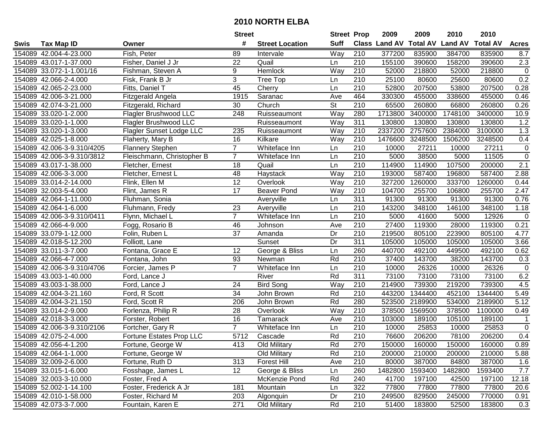|      |                            |                                 | <b>Street</b>   |                        | <b>Street Prop</b>       |                  | 2009          | 2009            | 2010           | 2010            |                  |
|------|----------------------------|---------------------------------|-----------------|------------------------|--------------------------|------------------|---------------|-----------------|----------------|-----------------|------------------|
| Swis | <b>Tax Map ID</b>          | Owner                           | #               | <b>Street Location</b> | <b>Suff</b>              |                  | Class Land AV | <b>Total AV</b> | <b>Land AV</b> | <b>Total AV</b> | <b>Acres</b>     |
|      | 154089 42.004-4-23.000     | Fish, Peter                     | 89              | Intervale              | Way                      | 210              | 377200        | 835900          | 384700         | 835900          | 8.7              |
|      | 154089 43.017-1-37.000     | Fisher, Daniel J Jr             | 22              | Quail                  | Ln                       | 210              | 155100        | 390600          | 158200         | 390600          | $2.3$            |
|      | 154089 33.072-1-1.001/16   | Fishman, Steven A               | 9               | Hemlock                | Way                      | 210              | 52000         | 218800          | 52000          | 218800          | $\pmb{0}$        |
|      | 154089 42.066-2-4.000      | Fisk, Frank B Jr                | $\overline{3}$  | Tree Top               | Ln                       | 210              | 25100         | 80600           | 25600          | 80600           | 0.2              |
|      | 154089 42.065-2-23.000     | Fitts, Daniel T                 | 45              | Cherry                 | Ln                       | 210              | 52800         | 207500          | 53800          | 207500          | 0.28             |
|      | 154089 42.006-3-21.000     | Fitzgerald Angela               | 1915            | Saranac                | Ave                      | 464              | 330300        | 455000          | 338600         | 455000          | 0.46             |
|      | 154089 42.074-3-21.000     | Fitzgerald, Richard             | 30              | Church                 | $\overline{\mathsf{St}}$ | 210              | 65500         | 260800          | 66800          | 260800          | 0.26             |
|      | 154089 33.020-1-2.000      | <b>Flagler Brushwood LLC</b>    | 248             | Ruisseaumont           | Way                      | 280              | 1713800       | 3400000         | 1748100        | 3400000         | 10.9             |
|      | 154089 33.020-1-1.000      | <b>Flagler Brushwood LLC</b>    |                 | Ruisseaumont           | Way                      | 311              | 130800        | 130800          | 130800         | 130800          | 1.2              |
|      | 154089 33.020-1-3.000      | <b>Flagler Sunset Lodge LLC</b> | 235             | Ruisseaumont           | Way                      | 210              | 2337200       | 2757600         | 2384000        | 3100000         | 1.3              |
|      | 154089 42.025-1-8.000      | Flaherty, Mary B                | 16              | Kilkare                | Way                      | 210              | 1476600       | 3248500         | 1506200        | 3248500         | 0.4              |
|      | 154089 42.006-3-9.310/4205 | <b>Flannery Stephen</b>         | $\overline{7}$  | Whiteface Inn          | Ln                       | 210              | 10000         | 27211           | 10000          | 27211           | 0                |
|      | 154089 42.006-3-9.310/3812 | Fleischmann, Christopher B      | $\overline{7}$  | Whiteface Inn          | Ln                       | 210              | 5000          | 38500           | 5000           | 11505           | $\overline{0}$   |
|      | 154089 43.017-1-38.000     | Fletcher, Ernest                | 18              | Quail                  | Ln                       | 210              | 114900        | 114900          | 107500         | 200000          | 2.1              |
|      | 154089 42.006-3-3.000      | Fletcher, Ernest L              | 48              | Haystack               | Way                      | 210              | 193000        | 587400          | 196800         | 587400          | 2.88             |
|      | 154089 33.014-2-14.000     | Flink, Ellen M                  | 12              | Overlook               | Way                      | 210              | 327200        | 1260000         | 333700         | 1260000         | 0.44             |
|      | 154089 32.003-5-4.000      | Flint, James R                  | 17              | <b>Beaver Pond</b>     | Way                      | 210              | 104700        | 255700          | 106800         | 255700          | 2.47             |
|      | 154089 42.064-1-11.000     | Fluhman, Sonia                  |                 | Averyville             | Ln                       | 311              | 91300         | 91300           | 91300          | 91300           | 0.76             |
|      | 154089 42.064-1-6.000      | Fluhmann, Fredy                 | 23              | Averyville             | Ln                       | 210              | 143200        | 348100          | 146100         | 348100          | 1.18             |
|      | 154089 42.006-3-9.310/0411 | Flynn, Michael L                | $\overline{7}$  | Whiteface Inn          | Ln                       | 210              | 5000          | 41600           | 5000           | 12926           | $\pmb{0}$        |
|      | 154089 42.066-4-9.000      | Fogg, Rosario B                 | 46              | Johnson                | Ave                      | 210              | 27400         | 119300          | 28000          | 119300          | 0.21             |
|      | 154089 33.079-1-12.000     | Folin, Ruben L                  | 37              | Amanda                 | Dr                       | 210              | 219500        | 805100          | 223900         | 805100          | 4.77             |
|      | 154089 42.018-5-12.200     | Folliott, Lane                  |                 | Sunset                 | Dr                       | 311              | 105000        | 105000          | 105000         | 105000          | 3.66             |
|      | 154089 33.011-3-7.000      | Fontana, Grace E                | 12              | George & Bliss         | Ln                       | 260              | 440700        | 492100          | 449500         | 492100          | 0.62             |
|      | 154089 42.066-4-7.000      | Fontana, John                   | 93              | Newman                 | Rd                       | $\overline{210}$ | 37400         | 143700          | 38200          | 143700          | 0.3              |
|      | 154089 42.006-3-9.310/4706 | Forcier, James P                | $\overline{7}$  | Whiteface Inn          | Ln                       | 210              | 10000         | 26326           | 10000          | 26326           | $\boldsymbol{0}$ |
|      | 154089 43.003-1-40.000     | Ford, Lance J                   |                 | River                  | Rd                       | $\overline{311}$ | 73100         | 73100           | 73100          | 73100           | 6.2              |
|      | 154089 43.003-1-38.000     | Ford, Lance J                   | 24              | <b>Bird Song</b>       | Way                      | 210              | 214900        | 739300          | 219200         | 739300          | 4.5              |
|      | 154089 42.004-3-21.160     | Ford, R Scott                   | $\overline{34}$ | John Brown             | Rd                       | $\overline{210}$ | 443200        | 1344400         | 452100         | 1344400         | 5.49             |
|      | 154089 42.004-3-21.150     | Ford, Scott R                   | 206             | John Brown             | Rd                       | 280              | 523500        | 2189900         | 534000         | 2189900         | 5.12             |
|      | 154089 33.014-2-9.000      | Forlenza, Philip R              | $\overline{28}$ | Overlook               | Way                      | $\overline{210}$ | 378500        | 1569500         | 378500         | 1100000         | 0.49             |
|      | 154089 42.018-3-3.000      | Forster, Robert                 | 16              | Tamarack               | Ave                      | 210              | 103000        | 189100          | 105100         | 189100          | -1               |
|      | 154089 42.006-3-9.310/2106 | Fortcher, Gary R                | $\overline{7}$  | Whiteface Inn          | Ln                       | $\overline{210}$ | 10000         | 25853           | 10000          | 25853           | $\overline{0}$   |
|      | 154089 42.075-2-4.000      | Fortune Estates Prop LLC        | 5712            | Cascade                | Rd                       | $\overline{210}$ | 76600         | 206200          | 78100          | 206200          | 0.4              |
|      | 154089 42.056-4-1.200      | Fortune, George W               | 413             | Old Military           | Rd                       | 270              | 150000        | 160000          | 150000         | 160000          | 0.89             |
|      | 154089 42.064-1-1.000      | Fortune, George W               |                 | Old Military           | Rd                       | 210              | 200000        | 210000          | 200000         | 210000          | 5.88             |
|      | 154089 32.009-2-6.000      | Fortune, Ruth D                 | 313             | <b>Forest Hill</b>     | Ave                      | 210              | 80000         | 387000          | 84800          | 387000          | 1.6              |
|      | 154089 33.015-1-6.000      | Fosshage, James L               | 12 <sup>°</sup> | George & Bliss         | Ln                       | 260              | 1482800       | 1593400         | 1482800        | 1593400         | 7.7              |
|      | 154089 32.003-3-10.000     | Foster, Fred A                  |                 | McKenzie Pond          | Rd                       | 240              | 41700         | 197100          | 42500          | 197100          | 12.18            |
|      | 154089 52.002-1-14.100     | Foster, Frederick A Jr          | 181             | Mountain               | Ln                       | 322              | 77800         | 77800           | 77800          | 77800           | 20.6             |
|      | 154089 42.010-1-58.000     | Foster, Richard M               | 203             | Algonquin              | Dr                       | 210              | 249500        | 829500          | 245000         | 770000          | 0.91             |
|      | 154089 42.073-3-7.000      | Fountain, Karen E               | 271             | Old Military           | Rd                       | 210              | 51400         | 183800          | 52500          | 183800          | 0.3              |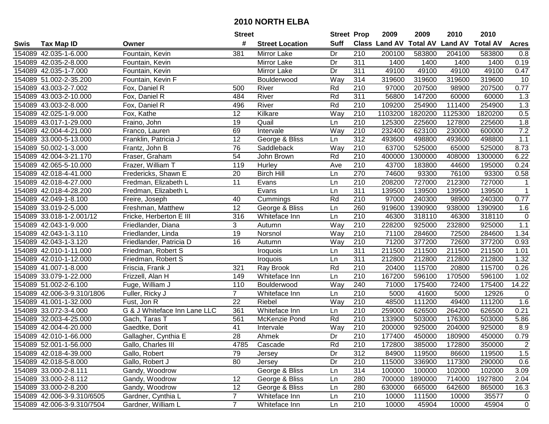|      |                            |                              | <b>Street</b>   |                        | <b>Street Prop</b> |                  | 2009                          | 2009    | 2010           | 2010            |              |
|------|----------------------------|------------------------------|-----------------|------------------------|--------------------|------------------|-------------------------------|---------|----------------|-----------------|--------------|
| Swis | <b>Tax Map ID</b>          | Owner                        | #               | <b>Street Location</b> | <b>Suff</b>        |                  | <b>Class Land AV Total AV</b> |         | <b>Land AV</b> | <b>Total AV</b> | <b>Acres</b> |
|      | 154089 42.035-1-6.000      | Fountain, Kevin              | 381             | Mirror Lake            | Dr                 | 210              | 200100                        | 583800  | 204100         | 583800          | 0.8          |
|      | 154089 42.035-2-8.000      | Fountain, Kevin              |                 | Mirror Lake            | Dr                 | 311              | 1400                          | 1400    | 1400           | 1400            | 0.19         |
|      | 154089 42.035-1-7.000      | Fountain, Kevin              |                 | Mirror Lake            | Dr                 | 311              | 49100                         | 49100   | 49100          | 49100           | 0.47         |
|      | 154089 51.002-2-35.200     | Fountain, Kevin F            |                 | Boulderwood            | Way                | 314              | 319600                        | 319600  | 319600         | 319600          | 10           |
|      | 154089 43.003-2-7.002      | Fox, Daniel R                | 500             | River                  | Rd                 | 210              | 97000                         | 207500  | 98900          | 207500          | 0.77         |
|      | 154089 43.003-2-10.000     | Fox, Daniel R                | 484             | River                  | Rd                 | 311              | 56800                         | 147200  | 60000          | 60000           | 1.3          |
|      | 154089 43.003-2-8.000      | Fox, Daniel R                | 496             | River                  | Rd                 | 210              | 109200                        | 254900  | 111400         | 254900          | 1.3          |
|      | 154089 42.025-1-9.000      | Fox, Kathe                   | 12              | Kilkare                | Way                | $\overline{210}$ | 1103200                       | 1820200 | 1125300        | 1820200         | 0.5          |
|      | 154089 43.017-1-29.000     | Fraino, John                 | 19              | Quail                  | Ln                 | $\overline{210}$ | 125300                        | 225600  | 127800         | 225600          | 1.8          |
|      | 154089 42.004-4-21.000     | Franco, Lauren               | 69              | Intervale              | Way                | 210              | 232400                        | 623100  | 230000         | 600000          | 7.2          |
|      | 154089 33.000-5-13.000     | Franklin, Patricia J         | 12              | George & Bliss         | Ln                 | 312              | 493600                        | 498800  | 493600         | 498800          | 1.1          |
|      | 154089 50.002-1-3.000      | Frantz, John B               | 76              | Saddleback             | Way                | 210              | 63700                         | 525000  | 65000          | 525000          | 8.73         |
|      | 154089 42.004-3-21.170     | Fraser, Graham               | 54              | John Brown             | Rd                 | 210              | 400000                        | 1300000 | 408000         | 1300000         | 6.22         |
|      | 154089 42.065-5-10.000     | Frazer, William T            | 119             | Hurley                 | Ave                | 210              | 43700                         | 183800  | 44600          | 195000          | 0.24         |
|      | 154089 42.018-4-41.000     | Fredericks, Shawn E          | 20              | <b>Birch Hill</b>      | Ln                 | 270              | 74600                         | 93300   | 76100          | 93300           | 0.58         |
|      | 154089 42.018-4-27.000     | Fredman, Elizabeth L         | 11              | Evans                  | Ln                 | 210              | 208200                        | 727000  | 212300         | 727000          | 1            |
|      | 154089 42.018-4-28.200     | Fredman, Elizabeth L         |                 | Evans                  | Ln                 | $\overline{311}$ | 139500                        | 139500  | 139500         | 139500          | $\mathbf{1}$ |
|      | 154089 42.049-1-8.100      | Freire, Joseph               | 40              | Cummings               | Rd                 | 210              | 97000                         | 240300  | 98900          | 240300          | 0.77         |
|      | 154089 33.019-2-5.000      | Freshman, Matthew            | $\overline{12}$ | George & Bliss         | Ln                 | 260              | 919600                        | 1390900 | 938000         | 1390900         | 1.6          |
|      | 154089 33.018-1-2.001/12   | Fricke, Herberton E III      | 316             | Whiteface Inn          | Ln                 | 210              | 46300                         | 318110  | 46300          | 318110          | $\mathbf 0$  |
|      | 154089 42.043-1-9.000      | Friedlander, Diana           | 3               | Autumn                 | Way                | 210              | 228200                        | 925000  | 232800         | 925000          | 1.1          |
|      | 154089 42.043-1-3.110      | Friedlander, Linda           | 19              | Norsnol                | Way                | 210              | 71100                         | 284600  | 72500          | 284600          | 1.34         |
|      | 154089 42.043-1-3.120      | Friedlander, Patricia D      | 16              | Autumn                 | Way                | 210              | 71200                         | 377200  | 72600          | 377200          | 0.93         |
|      | 154089 42.010-1-11.000     | Friedman, Robert S           |                 | <b>Iroquois</b>        | Ln                 | 311              | 211500                        | 211500  | 211500         | 211500          | 1.01         |
|      | 154089 42.010-1-12.000     | Friedman, Robert S           |                 | Iroquois               | Ln                 | $\overline{311}$ | 212800                        | 212800  | 212800         | 212800          | 1.32         |
|      | 154089 41.007-1-8.000      | Friscia, Frank J             | 321             | Ray Brook              | Rd                 | 210              | 20400                         | 115700  | 20800          | 115700          | 0.26         |
|      | 154089 33.079-1-22.000     | Frizzell, Alan H             | 149             | Whiteface Inn          | Ln                 | 210              | 167200                        | 596100  | 170500         | 596100          | 1.02         |
|      | 154089 51.002-2-6.100      | Fuge, William J              | 110             | Boulderwood            | Way                | 240              | 71000                         | 175400  | 72400          | 175400          | 14.22        |
|      | 154089 42.006-3-9.310/1806 | Fuller, Ricky J              | $\overline{7}$  | Whiteface Inn          | Ln                 | 210              | 5000                          | 41600   | 5000           | 12926           | 0            |
|      | 154089 41.001-1-32.000     | Fust, Jon R                  | $\overline{22}$ | Riebel                 | Way                | 210              | 48500                         | 111200  | 49400          | 111200          | 1.6          |
|      | 154089 33.072-3-4.000      | G & J Whiteface Inn Lane LLC | 361             | Whiteface Inn          | Ln                 | $\overline{210}$ | 259000                        | 626500  | 264200         | 626500          | 0.21         |
|      | 154089 32.003-4-25.000     | Gach, Taras T                | 561             | McKenzie Pond          | Rd                 | 210              | 133900                        | 503000  | 176300         | 503000          | 5.86         |
|      | 154089 42.004-4-20.000     | Gaedtke, Dorit               | $\overline{41}$ | Intervale              | Way                | $\overline{210}$ | 200000                        | 925000  | 204000         | 925000          | 8.9          |
|      | 154089 42.010-1-66.000     | Gallagher, Cynthia E         | $\overline{28}$ | Ahmek                  | Dr                 | 210              | 177400                        | 450000  | 180900         | 450000          | 0.79         |
|      | 154089 52.001-1-56.000     | Gallo, Charles III           | 4785            | Cascade                | Rd                 | 210              | 172800                        | 385000  | 172800         | 350000          | $\mathbf{2}$ |
|      | 154089 42.018-4-39.000     | Gallo, Robert                | 79              | Jersey                 | Dr                 | 312              | 84900                         | 119500  | 86600          | 119500          | 1.5          |
|      | 154089 42.018-5-8.000      | Gallo, Robert J              | 80              | Jersey                 | Dr                 | 210              | 115000                        | 336900  | 117300         | 290000          | 0.6          |
|      | 154089 33.000-2-8.111      | Gandy, Woodrow               |                 | George & Bliss         | Ln                 | 314              | 100000                        | 100000  | 102000         | 102000          | 3.09         |
|      | 154089 33.000-2-8.112      | Gandy, Woodrow               | 12              | George & Bliss         | Ln                 | 280              | 700000                        | 1890000 | 714000         | 1927800         | 2.04         |
|      | 154089 33.000-2-8.200      | Gandy, Woodrow               | 12              | George & Bliss         | Ln                 | 280              | 630000                        | 665000  | 642600         | 865000          | 16.3         |
|      | 154089 42.006-3-9.310/6505 | Gardner, Cynthia L           | $\overline{7}$  | Whiteface Inn          | Ln                 | 210              | 10000                         | 111500  | 10000          | 35577           | $\mathbf 0$  |
|      | 154089 42.006-3-9.310/7504 | Gardner, William L           | $\overline{7}$  | Whiteface Inn          | Ln                 | 210              | 10000                         | 45904   | 10000          | 45904           | $\mathbf 0$  |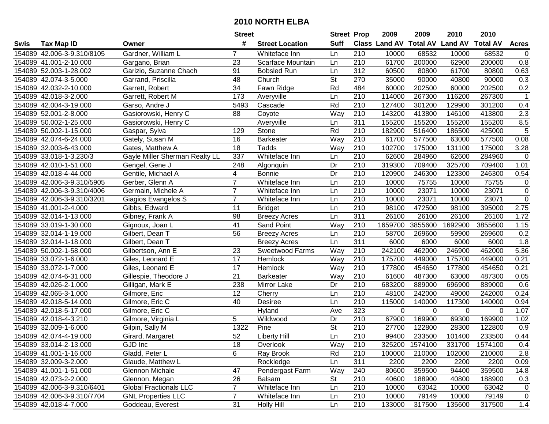|      |                            |                                | <b>Street</b>   |                        | <b>Street Prop</b>       |                  | 2009                          | 2009           | 2010           | 2010            |                  |
|------|----------------------------|--------------------------------|-----------------|------------------------|--------------------------|------------------|-------------------------------|----------------|----------------|-----------------|------------------|
| Swis | <b>Tax Map ID</b>          | Owner                          | #               | <b>Street Location</b> | <b>Suff</b>              |                  | <b>Class Land AV Total AV</b> |                | <b>Land AV</b> | <b>Total AV</b> | <b>Acres</b>     |
|      | 154089 42.006-3-9.310/8105 | Gardner, William L             | 7               | Whiteface Inn          | Ln                       | 210              | 10000                         | 68532          | 10000          | 68532           | 0                |
|      | 154089 41.001-2-10.000     | Gargano, Brian                 | 23              | Scarface Mountain      | Ln                       | 210              | 61700                         | 200000         | 62900          | 200000          | 0.8              |
|      | 154089 52.003-1-28.002     | Garizio, Suzanne Chach         | 91              | <b>Bobsled Run</b>     | Ln                       | 312              | 60500                         | 80800          | 61700          | 80800           | 0.63             |
|      | 154089 42.074-3-5.000      | Garrand, Priscilla             | 48              | Church                 | $\overline{\mathsf{St}}$ | 270              | 35000                         | 90000          | 40800          | 90000           | 0.3              |
|      | 154089 42.032-2-10.000     | Garrett, Robert                | $\overline{34}$ | Fawn Ridge             | Rd                       | 484              | 60000                         | 202500         | 60000          | 202500          | 0.2              |
|      | 154089 42.018-3-2.000      | Garrett, Robert M              | 173             | Averyville             | Ln                       | 210              | 114000                        | 267300         | 116200         | 267300          | $\mathbf{1}$     |
|      | 154089 42.004-3-19.000     | Garso, Andre J                 | 5493            | Cascade                | Rd                       | 210              | 127400                        | 301200         | 129900         | 301200          | 0.4              |
|      | 154089 52.001-2-8.000      | Gasiorowski, Henry C           | $\overline{88}$ | Coyote                 | Way                      | 210              | 143200                        | 413800         | 146100         | 413800          | 2.3              |
|      | 154089 50.002-1-25.000     | Gasiorowski, Henry C           |                 | Averyville             | Ln                       | 311              | 155200                        | 155200         | 155200         | 155200          | 8.5              |
|      | 154089 50.002-1-15.000     | Gaspar, Sylva                  | 129             | Stone                  | Rd                       | 210              | 182900                        | 516400         | 186500         | 425000          | 5                |
|      | 154089 42.074-6-24.000     | Gately, Susan M                | 16              | <b>Barkeater</b>       | Way                      | 210              | 61700                         | 577500         | 63000          | 577500          | 0.08             |
|      | 154089 32.003-6-43.000     | Gates, Matthew A               | 18              | Tadds                  | Way                      | 210              | 102700                        | 175000         | 131100         | 175000          | 3.28             |
|      | 154089 33.018-1-3.230/3    | Gayle Miller Sherman Realty LL | 337             | Whiteface Inn          | Ln                       | 210              | 62600                         | 284960         | 62600          | 284960          | $\mathbf 0$      |
|      | 154089 42.010-1-51.000     | Gengel, Gene J                 | 248             | Algonquin              | Dr                       | 210              | 319300                        | 709400         | 325700         | 709400          | 1.01             |
|      | 154089 42.018-4-44.000     | Gentile, Michael A             | 4               | <b>Bonnie</b>          | Dr                       | 210              | 120900                        | 246300         | 123300         | 246300          | 0.54             |
|      | 154089 42.006-3-9.310/5905 | Gerber, Glenn A                | $\overline{7}$  | Whiteface Inn          | Ln                       | 210              | 10000                         | 75755          | 10000          | 75755           | 0                |
|      | 154089 42.006-3-9.310/4006 | Germain, Michele A             | $\overline{7}$  | Whiteface Inn          | Ln                       | 210              | 10000                         | 23071          | 10000          | 23071           | $\pmb{0}$        |
|      | 154089 42.006-3-9.310/3201 | Giagios Evangelos S            | $\overline{7}$  | Whiteface Inn          | Ln                       | 210              | 10000                         | 23071          | 10000          | 23071           | $\pmb{0}$        |
|      | 154089 41.001-2-4.000      | Gibbs, Edward                  | 11              | <b>Bridget</b>         | Ln                       | 210              | 98100                         | 472500         | 98100          | 395000          | 2.75             |
|      | 154089 32.014-1-13.000     | Gibney, Frank A                | 98              | <b>Breezy Acres</b>    | Ln                       | 311              | 26100                         | 26100          | 26100          | 26100           | 1.72             |
|      | 154089 33.019-1-30.000     | Gignoux, Joan L                | 41              | Sand Point             | Way                      | 210              | 1659700                       | 3855600        | 1692900        | 3855600         | 1.15             |
|      | 154089 32.014-1-19.000     | Gilbert, Dean T                | 56              | <b>Breezy Acres</b>    | Ln                       | 210              | 58700                         | 269600         | 59900          | 269600          | 0.2              |
|      | 154089 32.014-1-18.000     | Gilbert, Dean T                |                 | <b>Breezy Acres</b>    | Ln                       | 311              | 6000                          | 6000           | 6000           | 6000            | 1.8              |
|      | 154089 50.002-1-58.000     | Gilbertson, Ann E              | 23              | Sweetwood Farms        | Way                      | 210              | 242100                        | 462000         | 246900         | 462000          | 5.36             |
|      | 154089 33.072-1-6.000      | Giles, Leonard E               | $\overline{17}$ | Hemlock                | Way                      | 210              | 175700                        | 449000         | 175700         | 449000          | 0.21             |
|      | 154089 33.072-1-7.000      | Giles, Leonard E               | 17              | Hemlock                | Way                      | 210              | 177800                        | 454650         | 177800         | 454650          | 0.21             |
|      | 154089 42.074-6-31.000     | Gillespie, Theodore J          | 21              | <b>Barkeater</b>       | Way                      | 210              | 61600                         | 487300         | 63000          | 487300          | 0.05             |
|      | 154089 42.026-2-1.000      | Gilligan, Mark E               | 238             | Mirror Lake            | Dr                       | 210              | 683200                        | 889000         | 696900         | 889000          | 0.6              |
|      | 154089 42.065-3-1.000      | Gilmore, Eric                  | 12              | Cherry                 | Ln                       | $\overline{210}$ | 48100                         | 242000         | 49000          | 242000          | 0.24             |
|      | 154089 42.018-5-14.000     | Gilmore, Eric C                | 40              | Desiree                | Ln                       | $\overline{210}$ | 115000                        | 140000         | 117300         | 140000          | 0.94             |
|      | 154089 42.018-5-17.000     | Gilmore, Eric C                |                 | Hyland                 | Ave                      | 323              | 0                             | 0              | 0              | $\Omega$        | 1.07             |
|      | 154089 42.018-4-3.210      | Gilmore, Virginia L            | 5               | Wildwood               | Dr                       | 210              | 67900                         | 169900         | 69300          | 169900          | 1.02             |
|      | 154089 32.009-1-6.000      | Gilpin, Sally M                | 1322            | Pine                   | $\overline{\mathsf{St}}$ | $\overline{210}$ | 27700                         | 122800         | 28300          | 122800          | $\overline{0.9}$ |
|      | 154089 42.074-4-19.000     | Girard, Margaret               | 52              | <b>Liberty Hill</b>    | Ln                       | $\overline{210}$ | 99400                         | 233500         | 101400         | 233500          | 0.44             |
|      | 154089 33.014-2-13.000     | GJD Inc                        | 18              | Overlook               | Way                      | 210              |                               | 325200 1574100 | 331700         | 1574100         | 0.4              |
|      | 154089 41.001-1-16.000     | Gladd, Peter L                 | 6               | Ray Brook              | Rd                       | 210              | 100000                        | 210000         | 102000         | 210000          | 2.8              |
|      | 154089 32.009-3-2.000      | Glaude, Matthew L              |                 | Rockledge              | Ln                       | 311              | 2200                          | 2200           | 2200           | 2200            | 0.09             |
|      | 154089 41.001-1-51.000     | Glennon Michale                | 47              | Pendergast Farm        | Way                      | 240              | 80600                         | 359500         | 94400          | 359500          | 14.8             |
|      | 154089 42.073-2-2.000      | Glennon, Megan                 | 26              | <b>Balsam</b>          | <b>St</b>                | 210              | 40600                         | 188900         | 40800          | 188900          | 0.3              |
|      | 154089 42.006-3-9.310/6401 | <b>Global Fractionals LLC</b>  | $\overline{7}$  | Whiteface Inn          | Ln                       | 210              | 10000                         | 63042          | 10000          | 63042           | 0                |
|      | 154089 42.006-3-9.310/7704 | <b>GNL Properties LLC</b>      | $\overline{7}$  | Whiteface Inn          | Ln                       | 210              | 10000                         | 79149          | 10000          | 79149           | 0                |
|      | 154089 42.018-4-7.000      | Goddeau, Everest               | 31              | <b>Holly Hill</b>      | Ln                       | 210              | 133000                        | 317500         | 135600         | 317500          | 1.4              |
|      |                            |                                |                 |                        |                          |                  |                               |                |                |                 |                  |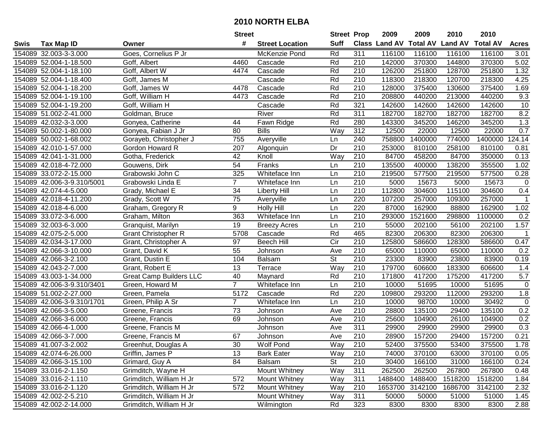|      |                            |                                | <b>Street</b>   |                        | <b>Street Prop</b>       |                  | 2009          | 2009            | 2010           | 2010            |              |
|------|----------------------------|--------------------------------|-----------------|------------------------|--------------------------|------------------|---------------|-----------------|----------------|-----------------|--------------|
| Swis | <b>Tax Map ID</b>          | Owner                          | #               | <b>Street Location</b> | <b>Suff</b>              |                  | Class Land AV | <b>Total AV</b> | <b>Land AV</b> | <b>Total AV</b> | <b>Acres</b> |
|      | 154089 32.003-3-3.000      | Goes, Cornelius P Jr           |                 | McKenzie Pond          | Rd                       | 311              | 116100        | 116100          | 116100         | 116100          | 3.01         |
|      | 154089 52.004-1-18.500     | Goff, Albert                   | 4460            | Cascade                | Rd                       | 210              | 142000        | 370300          | 144800         | 370300          | 5.02         |
|      | 154089 52.004-1-18.100     | Goff, Albert W                 | 4474            | Cascade                | Rd                       | 210              | 126200        | 251800          | 128700         | 251800          | 1.32         |
|      | 154089 52.004-1-18.400     | Goff, James M                  |                 | Cascade                | Rd                       | 210              | 118300        | 218300          | 120700         | 218300          | 4.25         |
|      | 154089 52.004-1-18.200     | Goff, James W                  | 4478            | Cascade                | Rd                       | 210              | 128000        | 375400          | 130600         | 375400          | 1.69         |
|      | 154089 52.004-1-19.100     | Goff, William H                | 4473            | Cascade                | Rd                       | 210              | 208800        | 440200          | 213000         | 440200          | 9.3          |
|      | 154089 52.004-1-19.200     | Goff, William H                |                 | Cascade                | Rd                       | 321              | 142600        | 142600          | 142600         | 142600          | 10           |
|      | 154089 51.002-2-41.000     | Goldman, Bruce                 |                 | River                  | Rd                       | 311              | 182700        | 182700          | 182700         | 182700          | 8.2          |
|      | 154089 42.032-3-3.000      | Gonyea, Catherine              | 44              | Fawn Ridge             | Rd                       | 280              | 143300        | 345200          | 146200         | 345200          | 1.3          |
|      | 154089 50.002-1-80.000     | Gonyea, Fabian J Jr            | 80              | <b>Bills</b>           | Way                      | 312              | 12500         | 22000           | 12500          | 22000           | 0.7          |
|      | 154089 50.002-1-68.002     | Gorayeb, Christopher J         | 755             | Averyville             | Ln                       | 240              | 758800        | 1400000         | 774000         | 1400000         | 124.14       |
|      | 154089 42.010-1-57.000     | Gordon Howard R                | 207             | Algonquin              | Dr                       | 210              | 253000        | 810100          | 258100         | 810100          | 0.81         |
|      | 154089 42.041-1-31.000     | Gotha, Frederick               | 42              | Knoll                  | Way                      | 210              | 84700         | 458200          | 84700          | 350000          | 0.13         |
|      | 154089 42.018-4-72.000     | Gouwens, Dirk                  | 54              | Franks                 | Ln                       | 210              | 135500        | 400000          | 138200         | 355500          | 1.02         |
|      | 154089 33.072-2-15.000     | Grabowski John C               | 325             | Whiteface Inn          | Ln                       | 210              | 219500        | 577500          | 219500         | 577500          | 0.28         |
|      | 154089 42.006-3-9.310/5001 | Grabowski Linda E              | $\overline{7}$  | Whiteface Inn          | Ln                       | 210              | 5000          | 15673           | 5000           | 15673           | 0            |
|      | 154089 42.074-4-5.000      | Grady, Michael E               | $\overline{34}$ | <b>Liberty Hill</b>    | Ln                       | 210              | 112800        | 304600          | 115100         | 304600          | 0.4          |
|      | 154089 42.018-4-11.200     | Grady, Scott W                 | $\overline{75}$ | Averyville             | Ln                       | 220              | 107200        | 257000          | 109300         | 257000          | $\mathbf 1$  |
|      | 154089 42.018-4-6.000      | Graham, Gregory R              | 9               | <b>Holly Hill</b>      | Ln                       | 220              | 87000         | 162900          | 88800          | 162900          | 1.02         |
|      | 154089 33.072-3-6.000      | Graham, Milton                 | 363             | Whiteface Inn          | Ln                       | 210              | 293000        | 1521600         | 298800         | 1100000         | 0.2          |
|      | 154089 32.003-6-3.000      | Granquist, Marilyn             | 19              | <b>Breezy Acres</b>    | Ln                       | 210              | 55000         | 202100          | 56100          | 202100          | 1.57         |
|      | 154089 42.075-2-5.000      | <b>Grant Christopher R</b>     | 5708            | Cascade                | Rd                       | 465              | 82300         | 206300          | 82300          | 206300          | $\mathbf{1}$ |
|      | 154089 42.034-3-17.000     | Grant, Christopher A           | 97              | <b>Beech Hill</b>      | Cir                      | 210              | 125800        | 586600          | 128300         | 586600          | 0.47         |
|      | 154089 42.066-3-10.000     | Grant, David K                 | 55              | Johnson                | Ave                      | 210              | 65000         | 110000          | 65000          | 110000          | 0.2          |
|      | 154089 42.066-3-2.100      | Grant, Dustin E                | 104             | Balsam                 | $\overline{\mathsf{St}}$ | 210              | 23300         | 83900           | 23800          | 83900           | 0.19         |
|      | 154089 42.043-2-7.000      | Grant, Robert E                | 13              | Terrace                | Way                      | 210              | 179700        | 606600          | 183300         | 606600          | 1.4          |
|      | 154089 43.003-1-34.000     | <b>Great Camp Builders LLC</b> | 40              | Maynard                | Rd                       | 210              | 171800        | 417200          | 175200         | 417200          | 5.7          |
|      | 154089 42.006-3-9.310/3401 | Green, Howard M                | $\overline{7}$  | Whiteface Inn          | Ln                       | 210              | 10000         | 51695           | 10000          | 51695           | $\mathbf 0$  |
|      | 154089 51.002-2-27.000     | Green, Pamela                  | 5172            | Cascade                | Rd                       | 220              | 109800        | 293200          | 112000         | 293200          | 1.8          |
|      | 154089 42.006-3-9.310/1701 | Green, Philip A Sr             | $\overline{7}$  | Whiteface Inn          | Ln                       | $\overline{210}$ | 10000         | 98700           | 10000          | 30492           | 0            |
|      | 154089 42.066-3-5.000      | Greene, Francis                | $\overline{73}$ | Johnson                | Ave                      | $\overline{210}$ | 28800         | 135100          | 29400          | 135100          | 0.2          |
|      | 154089 42.066-3-6.000      | Greene, Francis                | 69              | Johnson                | Ave                      | 210              | 25600         | 104900          | 26100          | 104900          | 0.2          |
|      | 154089 42.066-4-1.000      | Greene, Francis M              |                 | Johnson                | Ave                      | 311              | 29900         | 29900           | 29900          | 29900           | 0.3          |
|      | 154089 42.066-3-7.000      | Greene, Francis M              | 67              | Johnson                | Ave                      | $\overline{210}$ | 28900         | 157200          | 29400          | 157200          | 0.21         |
|      | 154089 41.007-3-2.002      | Greenhut, Douglas A            | 30              | Wolf Pond              | Way                      | 210              | 52400         | 375500          | 53400          | 375500          | 1.78         |
|      | 154089 42.074-6-26.000     | Griffin, James P               | 13              | <b>Bark Eater</b>      | Way                      | 210              | 74000         | 370100          | 63000          | 370100          | 0.05         |
|      | 154089 42.066-3-15.100     | Grimard, Guy A                 | 84              | <b>Balsam</b>          | <b>St</b>                | 210              | 30400         | 166100          | 31000          | 166100          | 0.24         |
|      | 154089 33.016-2-1.150      | Grimditch, Wayne H             |                 | Mount Whitney          | Way                      | 311              | 262500        | 262500          | 267800         | 267800          | 0.48         |
|      | 154089 33.016-2-1.110      | Grimditch, William H Jr        | 572             | Mount Whitney          | Way                      | 311              | 1488400       | 1488400         | 1518200        | 1518200         | 1.84         |
|      | 154089 33.016-2-1.120      | Grimditch, William H Jr        | 572             | Mount Whitney          | Way                      | 210              | 1653700       | 3142100         | 1686700        | 3142100         | 2.32         |
|      | 154089 42.002-2-5.210      | Grimditch, William H Jr        |                 | Mount Whitney          | Way                      | 311              | 50000         | 50000           | 51000          | 51000           | 1.45         |
|      | 154089 42.002-2-14.000     | Grimditch, William H Jr        |                 | Wilmington             | Rd                       | 323              | 8300          | 8300            | 8300           | 8300            | 2.88         |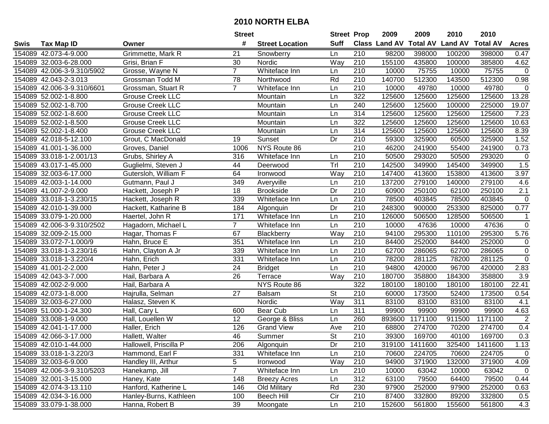|      |                            |                         | <b>Street</b>  |                        | <b>Street Prop</b>       |                  | 2009          | 2009            | 2010           | 2010            |                  |
|------|----------------------------|-------------------------|----------------|------------------------|--------------------------|------------------|---------------|-----------------|----------------|-----------------|------------------|
| Swis | <b>Tax Map ID</b>          | Owner                   | #              | <b>Street Location</b> | <b>Suff</b>              |                  | Class Land AV | <b>Total AV</b> | <b>Land AV</b> | <b>Total AV</b> | <b>Acres</b>     |
|      | 154089 42.073-4-9.000      | Grimmette, Mark R       | 21             | Snowberry              | Ln                       | 210              | 98200         | 398000          | 100200         | 398000          | 0.47             |
|      | 154089 32.003-6-28.000     | Grisi, Brian F          | 30             | Nordic                 | Way                      | 210              | 155100        | 435800          | 100000         | 385800          | 4.62             |
|      | 154089 42.006-3-9.310/5902 | Grosse, Wayne N         | $\overline{7}$ | Whiteface Inn          | Ln                       | 210              | 10000         | 75755           | 10000          | 75755           | $\mathbf 0$      |
|      | 154089 42.043-2-3.013      | Grossman Todd M         | 78             | Northwood              | Rd                       | 210              | 140700        | 512300          | 143500         | 512300          | 0.98             |
|      | 154089 42.006-3-9.310/6601 | Grossman, Stuart R      | $\overline{7}$ | Whiteface Inn          | Ln                       | 210              | 10000         | 49780           | 10000          | 49780           | $\mathbf 0$      |
|      | 154089 52.002-1-8.800      | <b>Grouse Creek LLC</b> |                | Mountain               | Ln                       | 322              | 125600        | 125600          | 125600         | 125600          | 13.28            |
|      | 154089 52.002-1-8.700      | Grouse Creek LLC        |                | Mountain               | Ln                       | 240              | 125600        | 125600          | 100000         | 225000          | 19.07            |
|      | 154089 52.002-1-8.600      | <b>Grouse Creek LLC</b> |                | Mountain               | Ln                       | 314              | 125600        | 125600          | 125600         | 125600          | 7.23             |
|      | 154089 52.002-1-8.500      | <b>Grouse Creek LLC</b> |                | Mountain               | Ln                       | 322              | 125600        | 125600          | 125600         | 125600          | 10.63            |
|      | 154089 52.002-1-8.400      | <b>Grouse Creek LLC</b> |                | Mountain               | Ln                       | 314              | 125600        | 125600          | 125600         | 125600          | 8.39             |
|      | 154089 42.018-5-12.100     | Grout, C MacDonald      | 19             | Sunset                 | Dr                       | 210              | 59300         | 325900          | 60500          | 325900          | 1.52             |
|      | 154089 41.001-1-36.000     | Groves, Daniel          | 1006           | NYS Route 86           |                          | 210              | 46200         | 241900          | 55400          | 241900          | 0.73             |
|      | 154089 33.018-1-2.001/13   | Grubs, Shirley A        | 316            | Whiteface Inn          | Ln                       | 210              | 50500         | 293020          | 50500          | 293020          | $\mathbf 0$      |
|      | 154089 43.017-1-45.000     | Guglielmi, Steven J     | 44             | Deerwood               | Trl                      | 210              | 142500        | 349900          | 145400         | 349900          | 1.5              |
|      | 154089 32.003-6-17.000     | Gutersloh, William F    | 64             | Ironwood               | Way                      | 210              | 147400        | 413600          | 153800         | 413600          | 3.97             |
|      | 154089 42.003-1-14.000     | Gutmann, Paul J         | 349            | Averyville             | Ln                       | 210              | 137200        | 279100          | 140000         | 279100          | 4.6              |
|      | 154089 41.007-2-9.000      | Hackett, Joseph P       | 18             | <b>Brookside</b>       | Dr                       | 210              | 60900         | 250100          | 62100          | 250100          | $\overline{2.1}$ |
|      | 154089 33.018-1-3.230/15   | Hackett, Joseph R       | 339            | Whiteface Inn          | Ln                       | 210              | 78500         | 403845          | 78500          | 403845          | $\mathbf 0$      |
|      | 154089 42.010-1-39.000     | Hackett, Katharine B    | 184            | Algonquin              | Dr                       | 210              | 248300        | 900000          | 253300         | 825000          | 0.77             |
|      | 154089 33.079-1-20.000     | Haertel, John R         | 171            | Whiteface Inn          | Ln                       | 210              | 126000        | 506500          | 128500         | 506500          | $\mathbf{1}$     |
|      | 154089 42.006-3-9.310/2502 | Hagadorn, Michael L     | $\overline{7}$ | Whiteface Inn          | Ln                       | 210              | 10000         | 47636           | 10000          | 47636           | $\mathbf 0$      |
|      | 154089 32.009-2-15.000     | Hagar, Thomas F         | 67             | Blackberry             | Way                      | 210              | 94100         | 295300          | 110100         | 295300          | 5.76             |
|      | 154089 33.072-7-1.000/9    | Hahn, Bruce E           | 351            | Whiteface Inn          | Ln                       | 210              | 84400         | 252000          | 84400          | 252000          | $\mathbf 0$      |
|      | 154089 33.018-1-3.230/16   | Hahn, Clayton A Jr      | 339            | Whiteface Inn          | Ln                       | 210              | 62700         | 286065          | 62700          | 286065          | $\mathbf 0$      |
|      | 154089 33.018-1-3.220/4    | Hahn, Erich             | 331            | Whiteface Inn          | Ln                       | 210              | 78200         | 281125          | 78200          | 281125          | $\overline{0}$   |
|      | 154089 41.001-2-2.000      | Hahn, Peter J           | 24             | <b>Bridget</b>         | Ln                       | 210              | 94800         | 420000          | 96700          | 420000          | 2.83             |
|      | 154089 42.043-3-7.000      | Hail, Barbara A         | 26             | Terrace                | Way                      | 210              | 180700        | 358800          | 184300         | 358800          | 3.9              |
|      | 154089 42.002-2-9.000      | Hail, Barbara A         |                | NYS Route 86           |                          | 322              | 180100        | 180100          | 180100         | 180100          | 22.41            |
|      | 154089 42.073-1-8.000      | Hajrulla, Selman        | 27             | Balsam                 | $\overline{\mathsf{St}}$ | $\overline{210}$ | 60000         | 173500          | 52400          | 173500          | 0.54             |
|      | 154089 32.003-6-27.000     | Halasz, Steven K        |                | Nordic                 | Way                      | 311              | 83100         | 83100           | 83100          | 83100           | 4.1              |
|      | 154089 51.000-1-24.300     | Hall, Cary L            | 600            | Bear Cub               | Ln                       | 311              | 99900         | 99900           | 99900          | 99900           | 4.63             |
|      | 154089 33.008-1-9.000      | Hall, Louellen W        | 12             | George & Bliss         | Ln                       | 260              | 893600        | 1171100         | 911500         | 1171100         | 2                |
|      | 154089 42.041-1-17.000     | Haller, Erich           | 126            | <b>Grand View</b>      | Ave                      | $\overline{210}$ | 68800         | 274700          | 70200          | 274700          | 0.4              |
|      | 154089 42.066-3-17.000     | Hallett, Walter         | 46             | Summer                 | $\overline{\mathsf{St}}$ | 210              | 39300         | 169700          | 40100          | 169700          | 0.3              |
|      | 154089 42.010-1-44.000     | Hallowell, Priscilla P  | 206            | Algonquin              | Dr                       | 210              | 319100        | 1411600         | 325400         | 1411600         | 1.13             |
|      | 154089 33.018-1-3.220/3    | Hammond, Earl F         | 331            | Whiteface Inn          | Ln                       | 210              | 70600         | 224705          | 70600          | 224705          | $\mathbf 0$      |
|      | 154089 32.003-6-9.000      | Handley III, Arthur     | 5              | Ironwood               | Way                      | 210              | 94900         | 371900          | 132000         | 371900          | 4.09             |
|      | 154089 42.006-3-9.310/5203 | Hanekamp, Jill          | $\overline{7}$ | Whiteface Inn          | Ln                       | 210              | 10000         | 63042           | 10000          | 63042           | $\mathbf 0$      |
|      | 154089 32.001-3-15.000     | Haney, Kate             | 148            | <b>Breezy Acres</b>    | Ln                       | 312              | 63100         | 79500           | 64400          | 79500           | 0.44             |
|      | 154089 42.074-3-13.110     | Hanford, Katherine L    | 146            | Old Military           | Rd                       | 230              | 97900         | 252000          | 97900          | 252000          | 0.63             |
|      | 154089 42.034-3-16.000     | Hanley-Burns, Kathleen  | 100            | Beech Hill             | Cir                      | 210              | 87400         | 332800          | 89200          | 332800          | 0.5              |
|      | 154089 33.079-1-38.000     | Hanna, Robert B         | 39             | Moongate               | Ln                       | 210              | 152600        | 561800          | 155600         | 561800          | 4.3              |
|      |                            |                         |                |                        |                          |                  |               |                 |                |                 |                  |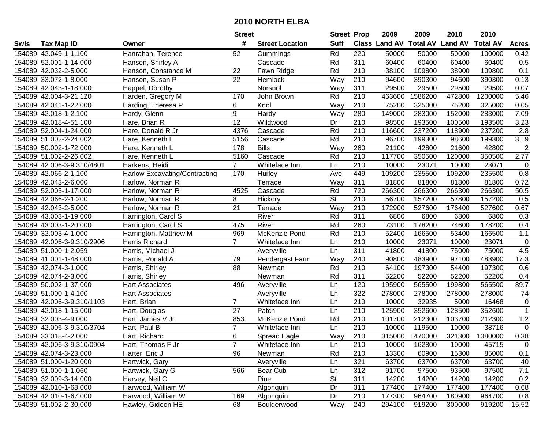|      |                            |                                      | <b>Street</b>   |                        | <b>Street Prop</b>       |                  | 2009                           | 2009    | 2010   | 2010            |                |
|------|----------------------------|--------------------------------------|-----------------|------------------------|--------------------------|------------------|--------------------------------|---------|--------|-----------------|----------------|
| Swis | <b>Tax Map ID</b>          | Owner                                | #               | <b>Street Location</b> | <b>Suff</b>              |                  | Class Land AV Total AV Land AV |         |        | <b>Total AV</b> | <b>Acres</b>   |
|      | 154089 42.049-1-1.100      | Hanrahan, Terence                    | 52              | Cummings               | Rd                       | 220              | 50000                          | 50000   | 50000  | 100000          | 0.42           |
|      | 154089 52.001-1-14.000     | Hansen, Shirley A                    |                 | Cascade                | Rd                       | 311              | 60400                          | 60400   | 60400  | 60400           | 0.5            |
|      | 154089 42.032-2-5.000      | Hanson, Constance M                  | 22              | Fawn Ridge             | Rd                       | 210              | 38100                          | 109800  | 38900  | 109800          | 0.1            |
|      | 154089 33.072-1-8.000      | Hanson, Susan P                      | 22              | Hemlock                | Way                      | 210              | 94600                          | 390300  | 94600  | 390300          | 0.13           |
|      | 154089 42.043-1-18.000     | Happel, Dorothy                      |                 | Norsnol                | Way                      | 311              | 29500                          | 29500   | 29500  | 29500           | 0.07           |
|      | 154089 42.004-3-21.120     | Harden, Gregory M                    | 170             | John Brown             | Rd                       | $\overline{210}$ | 463600                         | 1586200 | 472800 | 1200000         | 5.46           |
|      | 154089 42.041-1-22.000     | Harding, Theresa P                   | 6               | Knoll                  | Way                      | 210              | 75200                          | 325000  | 75200  | 325000          | 0.05           |
|      | 154089 42.018-1-2.100      | Hardy, Glenn                         | $\overline{9}$  | Hardy                  | Way                      | 280              | 149000                         | 283000  | 152000 | 283000          | 7.09           |
|      | 154089 42.018-4-51.100     | Hare, Brian R                        | $\overline{12}$ | Wildwood               | Dr                       | $\overline{210}$ | 98500                          | 193500  | 100500 | 193500          | 3.23           |
|      | 154089 52.004-1-24.000     | Hare, Donald R Jr                    | 4376            | Cascade                | Rd                       | 210              | 116600                         | 237200  | 118900 | 237200          | 2.8            |
|      | 154089 51.002-2-24.002     | Hare, Kenneth L                      | 5156            | Cascade                | Rd                       | 210              | 96700                          | 199300  | 98600  | 199300          | 3.19           |
|      | 154089 50.002-1-72.000     | Hare, Kenneth L                      | 178             | <b>Bills</b>           | Way                      | 260              | 21100                          | 42800   | 21600  | 42800           | $\overline{2}$ |
|      | 154089 51.002-2-26.002     | Hare, Kenneth L                      | 5160            | Cascade                | Rd                       | 210              | 117700                         | 350500  | 120000 | 350500          | 2.77           |
|      | 154089 42.006-3-9.310/4801 | Harkens, Heidi                       | $\overline{7}$  | Whiteface Inn          | Ln                       | 210              | 10000                          | 23071   | 10000  | 23071           | 0              |
|      | 154089 42.066-2-1.100      | <b>Harlow Excavating/Contracting</b> | 170             | Hurley                 | Ave                      | 449              | 109200                         | 235500  | 109200 | 235500          | 0.8            |
|      | 154089 42.043-2-6.000      | Harlow, Norman R                     |                 | Terrace                | Way                      | 311              | 81800                          | 81800   | 81800  | 81800           | 0.72           |
|      | 154089 52.003-1-17.000     | Harlow, Norman R                     | 4525            | Cascade                | Rd                       | 720              | 266300                         | 266300  | 266300 | 266300          | 50.5           |
|      | 154089 42.066-2-1.200      | Harlow, Norman R                     | 8               | Hickory                | $\overline{\mathsf{St}}$ | 210              | 56700                          | 157200  | 57800  | 157200          | 0.5            |
|      | 154089 42.043-2-5.000      | Harlow, Norman R                     | 21              | Terrace                | Way                      | 210              | 172900                         | 527600  | 176400 | 527600          | 0.67           |
|      | 154089 43.003-1-19.000     | Harrington, Carol S                  |                 | River                  | Rd                       | 311              | 6800                           | 6800    | 6800   | 6800            | 0.3            |
|      | 154089 43.003-1-20.000     | Harrington, Carol S                  | 475             | River                  | Rd                       | 260              | 73100                          | 178200  | 74600  | 178200          | 0.4            |
|      | 154089 32.003-4-1.000      | Harrington, Matthew M                | 969             | McKenzie Pond          | Rd                       | 210              | 52400                          | 166500  | 53400  | 166500          | $1.1$          |
|      | 154089 42.006-3-9.310/2906 | Harris Richard                       | $\overline{7}$  | Whiteface Inn          | Ln                       | 210              | 10000                          | 23071   | 10000  | 23071           | $\pmb{0}$      |
|      | 154089 51.000-1-2.059      | Harris, Michael J                    |                 | Averyville             | Ln                       | 311              | 41800                          | 41800   | 75000  | 75000           | 4.5            |
|      | 154089 41.001-1-48.000     | Harris, Ronald A                     | 79              | Pendergast Farm        | Way                      | 240              | 90800                          | 483900  | 97100  | 483900          | 17.3           |
|      | 154089 42.074-3-1.000      | Harris, Shirley                      | 88              | Newman                 | Rd                       | 210              | 64100                          | 197300  | 54400  | 197300          | 0.6            |
|      | 154089 42.074-2-3.000      | Harris, Shirley                      |                 | Newman                 | Rd                       | 311              | 52200                          | 52200   | 52200  | 52200           | 0.4            |
|      | 154089 50.002-1-37.000     | <b>Hart Associates</b>               | 496             | Averyville             | Ln                       | 120              | 195900                         | 565500  | 199800 | 565500          | 89.7           |
|      | 154089 51.000-1-4.100      | <b>Hart Associates</b>               |                 | Averyville             | Ln                       | 322              | 278000                         | 278000  | 278000 | 278000          | 74             |
|      | 154089 42.006-3-9.310/1103 | Hart, Brian                          | $\overline{7}$  | Whiteface Inn          | Ln                       | $\overline{210}$ | 10000                          | 32935   | 5000   | 16468           | $\mathbf 0$    |
|      | 154089 42.018-1-15.000     | Hart, Douglas                        | $\overline{27}$ | Patch                  | Ln                       | $\overline{210}$ | 125900                         | 352600  | 128500 | 352600          | $\overline{1}$ |
|      | 154089 32.003-4-9.000      | Hart, James V Jr                     | 853             | McKenzie Pond          | Rd                       | 210              | 101700                         | 212300  | 103700 | 212300          | 1.2            |
|      | 154089 42.006-3-9.310/3704 | Hart, Paul B                         | $\overline{7}$  | Whiteface Inn          | Ln                       | $\overline{210}$ | 10000                          | 119500  | 10000  | 38716           | $\overline{0}$ |
|      | 154089 33.018-4-2.000      | Hart, Richard                        | 6               | Spread Eagle           | Way                      | $\overline{210}$ | 315000                         | 1470000 | 321300 | 1380000         | 0.38           |
|      | 154089 42.006-3-9.310/0904 | Hart, Thomas F Jr                    |                 | Whiteface Inn          | Ln                       | 210              | 10000                          | 162800  | 10000  | 45715           | 0              |
|      | 154089 42.074-3-23.000     | Harter, Eric J                       | 96              | Newman                 | Rd                       | 210              | 13300                          | 60900   | 15300  | 85000           | 0.1            |
|      | 154089 51.000-1-20.000     | Hartwick, Gary                       |                 | Averyville             | Ln                       | 321              | 63700                          | 63700   | 63700  | 63700           | 40             |
|      | 154089 51.000-1-1.060      | Hartwick, Gary G                     | 566             | Bear Cub               | Ln                       | 312              | 91700                          | 97500   | 93500  | 97500           | 7.1            |
|      | 154089 32.009-3-14.000     | Harvey, Neil C                       |                 | Pine                   | <b>St</b>                | 311              | 14200                          | 14200   | 14200  | 14200           | 0.2            |
|      | 154089 42.010-1-68.000     | Harwood, William W                   |                 | Algonquin              | Dr                       | 311              | 177400                         | 177400  | 177400 | 177400          | 0.68           |
|      | 154089 42.010-1-67.000     | Harwood, William W                   | 169             | Algonquin              | Dr                       | 210              | 177300                         | 964700  | 180900 | 964700          | 0.8            |
|      | 154089 51.002-2-30.000     | Hawley, Gideon HE                    | 68              | Boulderwood            | Way                      | 240              | 294100                         | 919200  | 300000 | 919200          | 15.52          |
|      |                            |                                      |                 |                        |                          |                  |                                |         |        |                 |                |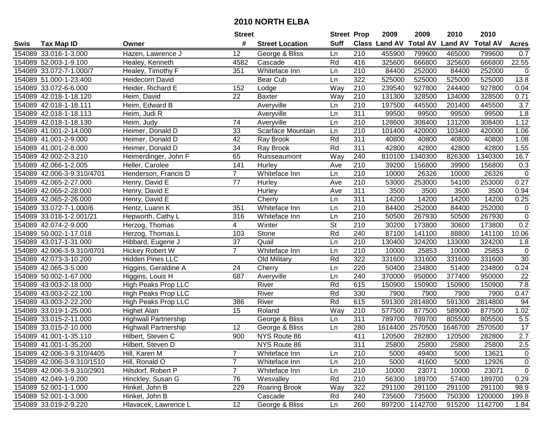|      |                            |                             | <b>Street</b>   |                        | <b>Street Prop</b> |                  | 2009                 | 2009            | 2010           | 2010            |              |
|------|----------------------------|-----------------------------|-----------------|------------------------|--------------------|------------------|----------------------|-----------------|----------------|-----------------|--------------|
| Swis | <b>Tax Map ID</b>          | Owner                       | #               | <b>Street Location</b> | <b>Suff</b>        |                  | <b>Class Land AV</b> | <b>Total AV</b> | <b>Land AV</b> | <b>Total AV</b> | <b>Acres</b> |
|      | 154089 33.016-1-3.000      | Hazen, Lawrence J           | 12              | George & Bliss         | Ln                 | 210              | 455900               | 799600          | 465000         | 799600          | 0.7          |
|      | 154089 52.003-1-9.100      | Healey, Kenneth             | 4582            | Cascade                | Rd                 | 416              | 325600               | 666800          | 325600         | 666800          | 22.55        |
|      | 154089 33.072-7-1.000/7    | Healey, Timothy F           | 351             | Whiteface Inn          | Ln                 | 210              | 84400                | 252000          | 84400          | 252000          | $\mathbf 0$  |
|      | 154089 51.000-1-23.400     | <b>Heidecorn David</b>      |                 | Bear Cub               | Ln                 | 322              | 525000               | 525000          | 525000         | 525000          | 13.8         |
|      | 154089 33.072-6-6.000      | Heider, Richard E           | 152             | Lodge                  | Way                | $\overline{210}$ | 239540               | 927800          | 244400         | 927800          | 0.04         |
|      | 154089 42.018-1-18.120     | Heim, David                 | 22              | <b>Baxter</b>          | Way                | 210              | 131300               | 328500          | 134000         | 328500          | 0.71         |
|      | 154089 42.018-1-18.111     | Heim, Edward B              |                 | Averyville             | Ln                 | 210              | 197500               | 445500          | 201400         | 445500          | 3.7          |
|      | 154089 42.018-1-18.113     | Heim, Judi R                |                 | Averyville             | Ln                 | 311              | 99500                | 99500           | 99500          | 99500           | 1.8          |
|      | 154089 42.018-1-18.130     | Heim, Judy                  | 74              | Averyville             | Ln                 | $\overline{210}$ | 128600               | 308400          | 131200         | 308400          | 1.12         |
|      | 154089 41.001-2-14.000     | Heimer, Donald D            | 33              | Scarface Mountain      | Ln                 | 210              | 101400               | 420000          | 103400         | 420000          | 1.06         |
|      | 154089 41.001-2-9.000      | Heimer, Donald D            | 42              | Ray Brook              | Rd                 | 311              | 40800                | 40800           | 40800          | 40800           | 1.08         |
|      | 154089 41.001-2-8.000      | Heimer, Donald D            | 34              | Ray Brook              | Rd                 | 311              | 42800                | 42800           | 42800          | 42800           | 1.55         |
|      | 154089 42.002-2-3.210      | Heimerdinger, John F        | 65              | Ruisseaumont           | Way                | 240              | 810100               | 1340300         | 826300         | 1340300         | 16.7         |
|      | 154089 42.066-1-2.005      | Heller, Carolee             | 141             | Hurley                 | Ave                | 210              | 39200                | 156800          | 39900          | 156800          | 0.3          |
|      | 154089 42.006-3-9.310/4701 | Henderson, Francis D        | $\overline{7}$  | Whiteface Inn          | Ln                 | 210              | 10000                | 26326           | 10000          | 26326           | $\mathbf 0$  |
|      | 154089 42.065-2-27.000     | Henry, David E              | 77              | Hurley                 | Ave                | 210              | 53000                | 253000          | 54100          | 253000          | 0.27         |
|      | 154089 42.065-2-28.000     | Henry, David E              |                 | Hurley                 | Ave                | 311              | 3500                 | 3500            | 3500           | 3500            | 0.94         |
|      | 154089 42.065-2-26.000     | Henry, David E              |                 | Cherry                 | Ln                 | 311              | 14200                | 14200           | 14200          | 14200           | 0.25         |
|      | 154089 33.072-7-1.000/6    | Hentz, Luann K              | 351             | Whiteface Inn          | Ln                 | 210              | 84400                | 252000          | 84400          | 252000          | 0            |
|      | 154089 33.018-1-2.001/21   | Hepworth, Cathy L           | 316             | Whiteface Inn          | Ln                 | 210              | 50500                | 267930          | 50500          | 267930          | $\mathbf 0$  |
|      | 154089 42.074-2-9.000      | Herzog, Thomas              | 4               | Winter                 | <b>St</b>          | 210              | 30200                | 173800          | 30600          | 173800          | 0.2          |
|      | 154089 50.002-1-17.018     | Herzog, Thomas L            | 103             | Stone                  | Rd                 | 240              | 87100                | 141100          | 88800          | 141100          | 10.06        |
|      | 154089 43.017-1-31.000     | Hibbard, Eugene J           | 37              | Quail                  | Ln                 | 210              | 130400               | 324200          | 133000         | 324200          | 1.8          |
|      | 154089 42.006-3-9.310/0701 | Hickey Robert W             | $\overline{7}$  | Whiteface Inn          | Ln                 | 210              | 10000                | 25853           | 10000          | 25853           | $\mathbf 0$  |
|      | 154089 42.073-3-10.200     | <b>Hidden Pines LLC</b>     |                 | Old Military           | Rd                 | 322              | 331600               | 331600          | 331600         | 331600          | 30           |
|      | 154089 42.065-3-5.000      | Higgins, Geraldine A        | 24              | Cherry                 | Ln                 | 220              | 50400                | 234800          | 51400          | 234800          | 0.24         |
|      | 154089 50.002-1-67.000     | Higgins, Louis H            | 687             | Averyville             | Ln                 | 240              | 370000               | 950000          | 377400         | 950000          | 22           |
|      | 154089 43.003-2-18.000     | High Peaks Prop LLC         |                 | River                  | Rd                 | 615              | 150900               | 150900          | 150900         | 150900          | 7.8          |
|      | 154089 43.003-2-22.100     | <b>High Peaks Prop LLC</b>  |                 | River                  | Rd                 | 330              | 7900                 | 7900            | 7900           | 7900            | 0.47         |
|      | 154089 43.003-2-22.200     | <b>High Peaks Prop LLC</b>  | 386             | River                  | Rd                 | 615              | 591300               | 2814800         | 591300         | 2814800         | 94           |
|      | 154089 33.019-1-25.000     | <b>Highet Alan</b>          | $\overline{15}$ | Roland                 | Way                | $\overline{210}$ | 577500               | 877500          | 589000         | 877500          | 1.02         |
|      | 154089 33.015-2-11.000     | <b>Highwall Partnership</b> |                 | George & Bliss         | Ln                 | 311              | 789700               | 789700          | 805500         | 805500          | 5.5          |
|      | 154089 33.015-2-10.000     | <b>Highwall Partnership</b> | 12              | George & Bliss         | Ln                 | 280              | 1614400              | 2570500         | 1646700        | 2570500         | 17           |
|      | 154089 41.001-1-35.110     | Hilbert, Steven C           | 900             | NYS Route 86           |                    | 411              | 120500               | 282800          | 120500         | 282800          | 2.7          |
|      | 154089 41.001-1-35.200     | Hilbert, Steven D           |                 | NYS Route 86           |                    | 311              | 25800                | 25800           | 25800          | 25800           | 2.5          |
|      | 154089 42.006-3-9.310/4405 | Hill, Karen M               | $\overline{7}$  | Whiteface Inn          | Ln                 | 210              | 5000                 | 49400           | 5000           | 13621           | $\mathbf 0$  |
|      | 154089 42.006-3-9.310/1510 | Hill, Ronald O              | 7               | Whiteface Inn          | Ln                 | 210              | 5000                 | 41600           | 5000           | 12926           | $\mathbf 0$  |
|      | 154089 42.006-3-9.310/2901 | Hilsdorf, Robert P          | $\overline{7}$  | Whiteface Inn          | Ln                 | 210              | 10000                | 23071           | 10000          | 23071           | $\mathbf 0$  |
|      | 154089 42.049-1-9.200      | Hinckley, Susan G           | 76              | Wesvalley              | Rd                 | 210              | 56300                | 189700          | 57400          | 189700          | 0.29         |
|      | 154089 52.001-1-1.000      | Hinkel, John B              | 229             | <b>Roaring Brook</b>   | Way                | 322              | 291100               | 291100          | 291100         | 291100          | 98.9         |
|      | 154089 52.001-1-3.000      | Hinkel, John B              |                 | Cascade                | Rd                 | 240              | 735600               | 735600          | 750300         | 1200000         | 199.8        |
|      | 154089 33.019-2-9.220      | Hlavacek, Lawrence L        | 12              | George & Bliss         | Ln                 | 260              |                      | 897200 1142700  | 915200         | 1142700         | 1.84         |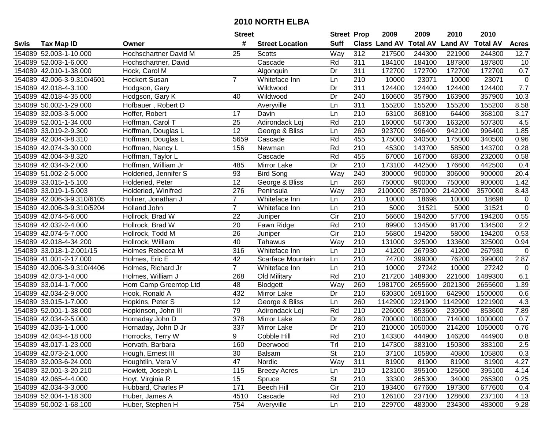|      |                            |                       | <b>Street</b>   |                        | <b>Street Prop</b> |                  | 2009          | 2009            | 2010           | 2010            |                |
|------|----------------------------|-----------------------|-----------------|------------------------|--------------------|------------------|---------------|-----------------|----------------|-----------------|----------------|
| Swis | <b>Tax Map ID</b>          | Owner                 | #               | <b>Street Location</b> | <b>Suff</b>        |                  | Class Land AV | <b>Total AV</b> | <b>Land AV</b> | <b>Total AV</b> | <b>Acres</b>   |
|      | 154089 52.003-1-10.000     | Hochschartner David M | 25              | <b>Scotts</b>          | Way                | 312              | 217500        | 244300          | 221900         | 244300          | 12.7           |
|      | 154089 52.003-1-6.000      | Hochschartner, David  |                 | Cascade                | Rd                 | 311              | 184100        | 184100          | 187800         | 187800          | 10             |
|      | 154089 42.010-1-38.000     | Hock, Carol M         |                 | Algonquin              | Dr                 | 311              | 172700        | 172700          | 172700         | 172700          | 0.7            |
|      | 154089 42.006-3-9.310/4601 | <b>Hockert Susan</b>  | $\overline{7}$  | Whiteface Inn          | Ln                 | 210              | 10000         | 23071           | 10000          | 23071           | $\mathbf 0$    |
|      | 154089 42.018-4-3.100      | Hodgson, Gary         |                 | Wildwood               | Dr                 | 311              | 124400        | 124400          | 124400         | 124400          | 7.7            |
|      | 154089 42.018-4-35.000     | Hodgson, Gary K       | 40              | Wildwood               | Dr                 | 240              | 160600        | 357900          | 163900         | 357900          | 10.3           |
|      | 154089 50.002-1-29.000     | Hofbauer, Robert D    |                 | Averyville             | Ln                 | 311              | 155200        | 155200          | 155200         | 155200          | 8.58           |
|      | 154089 32.003-3-5.000      | Hoffer, Robert        | 17              | Davin                  | Ln                 | $\overline{210}$ | 63100         | 368100          | 64400          | 368100          | 3.17           |
|      | 154089 52.001-1-34.000     | Hoffman, Carol T      | $\overline{25}$ | Adirondack Loj         | Rd                 | $\overline{210}$ | 160000        | 507300          | 163200         | 507300          | 4.5            |
|      | 154089 33.019-2-9.300      | Hoffman, Douglas L    | 12              | George & Bliss         | Ln                 | 260              | 923700        | 996400          | 942100         | 996400          | 1.85           |
|      | 154089 42.004-3-8.310      | Hoffman, Douglas L    | 5659            | Cascade                | Rd                 | 455              | 175000        | 340500          | 175000         | 340500          | 0.96           |
|      | 154089 42.074-3-30.000     | Hoffman, Nancy L      | 156             | Newman                 | Rd                 | 210              | 45300         | 143700          | 58500          | 143700          | 0.28           |
|      | 154089 42.004-3-8.320      | Hoffman, Taylor L     |                 | Cascade                | Rd                 | 455              | 67000         | 167000          | 68300          | 232000          | 0.58           |
|      | 154089 42.034-3-2.000      | Hoffman, William Jr   | 485             | Mirror Lake            | Dr                 | 210              | 173100        | 442500          | 176600         | 442500          | 0.4            |
|      | 154089 51.002-2-5.000      | Holderied, Jennifer S | 93              | <b>Bird Song</b>       | $\overline{W}$ ay  | 240              | 300000        | 900000          | 306000         | 900000          | 20.4           |
|      | 154089 33.015-1-5.100      | Holderied, Peter      | 12              | George & Bliss         | Ln                 | 260              | 750000        | 900000          | 750000         | 900000          | 1.42           |
|      | 154089 33.019-1-5.003      | Holderied, Winifred   | 276             | Peninsula              | Way                | 280              | 2100000       | 3570000         | 2142000        | 3570000         | 8.43           |
|      | 154089 42.006-3-9.310/6105 | Holiner, Jonathan J   | $\overline{7}$  | Whiteface Inn          | Ln                 | 210              | 10000         | 18698           | 10000          | 18698           | 0              |
|      | 154089 42.006-3-9.310/5204 | Holland John          | $\overline{7}$  | Whiteface Inn          | Ln                 | 210              | 5000          | 31521           | 5000           | 31521           | $\overline{0}$ |
|      | 154089 42.074-5-6.000      | Hollrock, Brad W      | 22              | Juniper                | Cir                | 210              | 56600         | 194200          | 57700          | 194200          | 0.55           |
|      | 154089 42.032-2-4.000      | Hollrock, Brad W      | 20              | Fawn Ridge             | Rd                 | 210              | 89900         | 134500          | 91700          | 134500          | 2.2            |
|      | 154089 42.074-5-7.000      | Hollrock, Todd M      | 26              | Juniper                | Cir                | 210              | 56800         | 194200          | 58000          | 194200          | 0.53           |
|      | 154089 42.018-4-34.200     | Hollrock, William     | 40              | Tahawus                | Way                | 210              | 131000        | 325000          | 133600         | 325000          | 0.94           |
|      | 154089 33.018-1-2.001/15   | Holmes Rebecca M      | 316             | Whiteface Inn          | Ln                 | 210              | 41200         | 267930          | 41200          | 267930          | $\mathbf 0$    |
|      | 154089 41.001-2-17.000     | Holmes, Eric E        | 42              | Scarface Mountain      | Ln                 | 210              | 74700         | 399000          | 76200          | 399000          | 2.87           |
|      | 154089 42.006-3-9.310/4406 | Holmes, Richard Jr    | $\overline{7}$  | Whiteface Inn          | Ln                 | 210              | 10000         | 27242           | 10000          | 27242           | 0              |
|      | 154089 42.073-1-4.000      | Holmes, William J     | 268             | Old Military           | Rd                 | 210              | 217200        | 1489300         | 221600         | 1489300         | 6.1            |
|      | 154089 33.014-1-7.000      | Hom Camp Greentop Ltd | 48              | Blodgett               | Way                | 260              | 1981700       | 2655600         | 2021300        | 2655600         | 1.39           |
|      | 154089 42.034-2-9.000      | Hook, Ronald A        | 432             | Mirror Lake            | Dr                 | $\overline{210}$ | 630300        | 1691600         | 642900         | 1500000         | 0.6            |
|      | 154089 33.015-1-7.000      | Hopkins, Peter S      | $\overline{12}$ | George & Bliss         | Ln                 | 260              | 1142900       | 1221900         | 1142900        | 1221900         | 4.3            |
|      | 154089 52.001-1-38.000     | Hopkinson, John III   | 79              | Adirondack Loj         | Rd                 | $\overline{210}$ | 226000        | 853600          | 230500         | 853600          | 7.89           |
|      | 154089 42.034-2-5.000      | Hornaday John D       | 378             | Mirror Lake            | Dr                 | 260              | 700000        | 1000000         | 714000         | 1000000         | 0.7            |
|      | 154089 42.035-1-1.000      | Hornaday, John D Jr   | 337             | Mirror Lake            | Dr                 | $\overline{210}$ | 210000        | 1050000         | 214200         | 1050000         | 0.76           |
|      | 154089 42.043-4-18.000     | Horrocks, Terry W     | 9               | Cobble Hill            | Rd                 | $\overline{210}$ | 143300        | 444900          | 146200         | 444900          | 0.8            |
|      | 154089 43.017-1-23.000     | Horvath, Barbara      | 160             | Deerwood               | Trl                | 210              | 147300        | 383100          | 150300         | 383100          | 2.5            |
|      | 154089 42.073-2-1.000      | Hough, Ernest III     | 30              | <b>Balsam</b>          | <b>St</b>          | 210              | 37100         | 105800          | 40800          | 105800          | 0.3            |
|      | 154089 32.003-6-24.000     | Houghtlin, Vera V     | 47              | Nordic                 | Way                | 311              | 81900         | 81900           | 81900          | 81900           | 4.27           |
|      | 154089 32.001-3-20.210     | Howlett, Joseph L     | 115             | <b>Breezy Acres</b>    | Ln                 | 210              | 123100        | 395100          | 125600         | 395100          | 4.14           |
|      | 154089 42.065-4-4.000      | Hoyt, Virginia R      | 15              | Spruce                 | <b>St</b>          | 210              | 33300         | 265300          | 34000          | 265300          | 0.25           |
|      | 154089 42.034-3-3.000      | Hubbard, Charles P    | 171             | <b>Beech Hill</b>      | Cir                | 210              | 193400        | 677600          | 197300         | 677600          | 0.4            |
|      | 154089 52.004-1-18.300     | Huber, James A        | 4510            | Cascade                | Rd                 | 210              | 126100        | 237100          | 128600         | 237100          | 4.13           |
|      | 154089 50.002-1-68.100     | Huber, Stephen H      | 754             | Averyville             | Ln                 | 210              | 229700        | 483000          | 234300         | 483000          | 9.28           |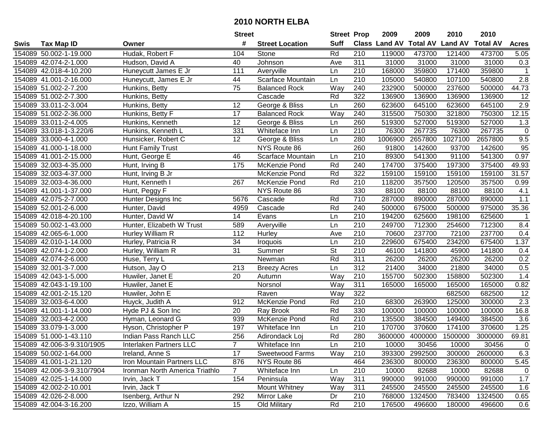|      |                            |                                | <b>Street</b>   |                        | <b>Street Prop</b> |                  | 2009          | 2009            | 2010           | 2010            |                  |
|------|----------------------------|--------------------------------|-----------------|------------------------|--------------------|------------------|---------------|-----------------|----------------|-----------------|------------------|
| Swis | <b>Tax Map ID</b>          | Owner                          | #               | <b>Street Location</b> | <b>Suff</b>        |                  | Class Land AV | <b>Total AV</b> | <b>Land AV</b> | <b>Total AV</b> | <b>Acres</b>     |
|      | 154089 50.002-1-19.000     | Hudak, Robert F                | 104             | Stone                  | Rd                 | 210              | 119000        | 473700          | 121400         | 473700          | 5.05             |
|      | 154089 42.074-2-1.000      | Hudson, David A                | 40              | Johnson                | Ave                | 311              | 31000         | 31000           | 31000          | 31000           | 0.3              |
|      | 154089 42.018-4-10.200     | Huneycutt James E Jr           | 111             | Averyville             | Ln                 | 210              | 168000        | 359800          | 171400         | 359800          | $\mathbf{1}$     |
|      | 154089 41.001-2-16.000     | Huneycutt, James E Jr          | 44              | Scarface Mountain      | Ln                 | 210              | 105000        | 540800          | 107100         | 540800          | 2.8              |
|      | 154089 51.002-2-7.200      | Hunkins, Betty                 | $\overline{75}$ | <b>Balanced Rock</b>   | Way                | 240              | 232900        | 500000          | 237600         | 500000          | 44.73            |
|      | 154089 51.002-2-7.300      | Hunkins, Betty                 |                 | Cascade                | Rd                 | 322              | 136900        | 136900          | 136900         | 136900          | $\overline{12}$  |
|      | 154089 33.011-2-3.004      | Hunkins, Betty                 | 12              | George & Bliss         | Ln                 | 260              | 623600        | 645100          | 623600         | 645100          | 2.9              |
|      | 154089 51.002-2-36.000     | Hunkins, Betty F               | 17              | <b>Balanced Rock</b>   | Way                | 240              | 315500        | 750300          | 321800         | 750300          | 12.15            |
|      | 154089 33.011-2-4.005      | Hunkins, Kenneth               | $\overline{12}$ | George & Bliss         | Ln                 | 260              | 519300        | 527000          | 519300         | 527000          | 1.3              |
|      | 154089 33.018-1-3.220/6    | Hunkins, Kenneth L             | 331             | Whiteface Inn          | Ln                 | 210              | 76300         | 267735          | 76300          | 267735          | $\mathbf 0$      |
|      | 154089 33.000-4-1.000      | Hunsicker, Robert C            | 12              | George & Bliss         | Ln                 | 280              | 1006900       | 2657800         | 1027100        | 2657800         | 9.5              |
|      | 154089 41.000-1-18.000     | Hunt Family Trust              |                 | NYS Route 86           |                    | 260              | 91800         | 142600          | 93700          | 142600          | 95               |
|      | 154089 41.001-2-15.000     | Hunt, George E                 | 46              | Scarface Mountain      | Ln                 | 210              | 89300         | 541300          | 91100          | 541300          | 0.97             |
|      | 154089 32.003-4-35.000     | Hunt, Irving B                 | 175             | McKenzie Pond          | Rd                 | 240              | 174700        | 375400          | 197300         | 375400          | 49.93            |
|      | 154089 32.003-4-37.000     | Hunt, Irving B Jr              |                 | McKenzie Pond          | Rd                 | 322              | 159100        | 159100          | 159100         | 159100          | 31.57            |
|      | 154089 32.003-4-36.000     | Hunt, Kenneth I                | 267             | McKenzie Pond          | Rd                 | 210              | 118200        | 357500          | 120500         | 357500          | 0.99             |
|      | 154089 41.001-1-37.000     | Hunt, Peggy F                  |                 | NYS Route 86           |                    | 330              | 88100         | 88100           | 88100          | 88100           | 4.1              |
|      | 154089 42.075-2-7.000      | Hunter Designs Inc             | 5676            | Cascade                | Rd                 | 710              | 287000        | 890000          | 287000         | 890000          | 1.1              |
|      | 154089 52.001-2-6.000      | Hunter, David                  | 4959            | Cascade                | Rd                 | 240              | 500000        | 675000          | 500000         | 975000          | 35.36            |
|      | 154089 42.018-4-20.100     | Hunter, David W                | 14              | Evans                  | Ln                 | 210              | 194200        | 625600          | 198100         | 625600          | $\mathbf{1}$     |
|      | 154089 50.002-1-43.000     | Hunter, Elizabeth W Trust      | 589             | Averyville             | Ln                 | 210              | 249700        | 712300          | 254600         | 712300          | 8.4              |
|      | 154089 42.065-6-1.000      | Hurley William R               | 112             | Hurley                 | Ave                | 210              | 70600         | 237700          | 72100          | 237700          | 0.4              |
|      | 154089 42.010-1-14.000     | Hurley, Patricia R             | 34              | Iroquois               | Ln                 | 210              | 229600        | 675400          | 234200         | 675400          | 1.37             |
|      | 154089 42.074-1-2.000      | Hurley, William R              | 31              | Summer                 | <b>St</b>          | 210              | 46100         | 141800          | 45900          | 141800          | 0.4              |
|      | 154089 42.074-2-6.000      | Huse, Terry L                  |                 | Newman                 | Rd                 | 311              | 26200         | 26200           | 26200          | 26200           | 0.2              |
|      | 154089 32.001-3-7.000      | Hutson, Jay O                  | 213             | <b>Breezy Acres</b>    | Ln                 | 312              | 21400         | 34000           | 21800          | 34000           | 0.5              |
|      | 154089 42.043-1-5.000      | Huwiler, Janet E               | 20              | Autumn                 | Way                | 210              | 155700        | 502300          | 158800         | 502300          | 1.4              |
|      | 154089 42.043-1-19.100     | Huwiler, Janet E               |                 | Norsnol                | Way                | 311              | 165000        | 165000          | 165000         | 165000          | 0.82             |
|      | 154089 42.001-2-15.120     | Huwiler, John E                |                 | Raven                  | Way                | 322              |               |                 | 682500         | 682500          | $\overline{12}$  |
|      | 154089 32.003-6-4.000      | Huyck, Judith A                | 912             | McKenzie Pond          | Rd                 | $\overline{210}$ | 68300         | 263900          | 125000         | 300000          | $\overline{2.3}$ |
|      | 154089 41.001-1-14.000     | Hyde PJ & Son Inc              | $\overline{20}$ | <b>Ray Brook</b>       | Rd                 | 330              | 100000        | 100000          | 100000         | 100000          | 16.8             |
|      | 154089 32.003-4-2.000      | Hyman, Leonard G               | 939             | McKenzie Pond          | Rd                 | 210              | 135500        | 384500          | 149400         | 384500          | 3.6              |
|      | 154089 33.079-1-3.000      | Hyson, Christopher P           | 197             | Whiteface Inn          | Ln                 | $\overline{210}$ | 170700        | 370600          | 174100         | 370600          | 1.25             |
|      | 154089 51.000-1-43.110     | Indian Pass Ranch LLC          | 256             | Adirondack Loj         | Rd                 | 280              | 3600000       | 4000000         | 1500000        | 3000000         | 69.81            |
|      | 154089 42.006-3-9.310/1905 | Interlaken Partners LLC        |                 | Whiteface Inn          | Ln                 | 210              | 10000         | 30456           | 10000          | 30456           | 0                |
|      | 154089 50.002-1-64.000     | Ireland, Anne S                | 17              | <b>Sweetwood Farms</b> | Way                | 210              | 393300        | 2992500         | 300000         | 2600000         | 6.3              |
|      | 154089 41.001-1-21.120     | Iron Mountain Partners LLC     | 876             | NYS Route 86           |                    | 464              | 236300        | 800000          | 236300         | 800000          | 5.45             |
|      | 154089 42.006-3-9.310/7904 | Ironman North America Triathlo | $\overline{7}$  | Whiteface Inn          | Ln                 | 210              | 10000         | 82688           | 10000          | 82688           | 0                |
|      | 154089 42.025-1-14.000     | Irvin, Jack T                  | 154             | Peninsula              | Way                | 311              | 990000        | 991000          | 990000         | 991000          | 1.7              |
|      | 154089 42.002-2-10.001     | Irvin, Jack T                  |                 | Mount Whitney          | Way                | 311              | 245500        | 245500          | 245500         | 245500          | 1.6              |
|      | 154089 42.026-2-8.000      | Isenberg, Arthur N             | 292             | Mirror Lake            | Dr                 | 210              | 768000        | 1324500         | 783400         | 1324500         | 0.65             |
|      | 154089 42.004-3-16.200     | Izzo, William A                | 15              | Old Military           | Rd                 | 210              | 176500        | 496600          | 180000         | 496600          | 0.6              |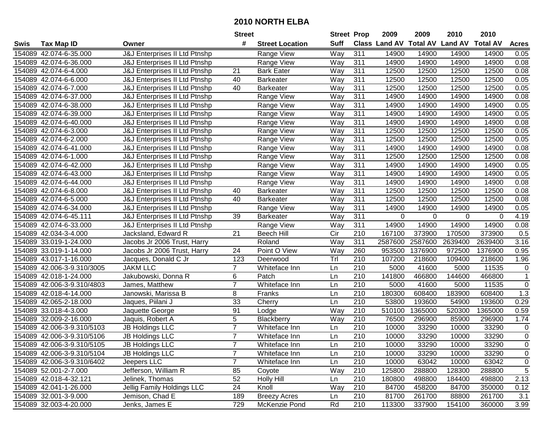|      |                            |                                          | <b>Street</b>  |                        | <b>Street Prop</b> |                  | 2009          | 2009            | 2010           | 2010            |                |
|------|----------------------------|------------------------------------------|----------------|------------------------|--------------------|------------------|---------------|-----------------|----------------|-----------------|----------------|
| Swis | <b>Tax Map ID</b>          | Owner                                    | #              | <b>Street Location</b> | <b>Suff</b>        |                  | Class Land AV | <b>Total AV</b> | <b>Land AV</b> | <b>Total AV</b> | <b>Acres</b>   |
|      | 154089 42.074-6-35.000     | J&J Enterprises II Ltd Ptnshp            |                | Range View             | Way                | 311              | 14900         | 14900           | 14900          | 14900           | 0.05           |
|      | 154089 42.074-6-36.000     | J&J Enterprises II Ltd Ptnshp            |                | Range View             | Way                | 311              | 14900         | 14900           | 14900          | 14900           | 0.08           |
|      | 154089 42.074-6-4.000      | J&J Enterprises II Ltd Ptnshp            | 21             | <b>Bark Eater</b>      | Way                | 311              | 12500         | 12500           | 12500          | 12500           | 0.08           |
|      | 154089 42.074-6-6.000      | J&J Enterprises II Ltd Ptnshp            | 40             | <b>Barkeater</b>       | Way                | 311              | 12500         | 12500           | 12500          | 12500           | 0.05           |
|      | 154089 42.074-6-7.000      | J&J Enterprises II Ltd Ptnshp            | 40             | <b>Barkeater</b>       | Way                | 311              | 12500         | 12500           | 12500          | 12500           | 0.05           |
|      | 154089 42.074-6-37.000     | J&J Enterprises II Ltd Ptnshp            |                | Range View             | Way                | 311              | 14900         | 14900           | 14900          | 14900           | 0.08           |
|      | 154089 42.074-6-38.000     | J&J Enterprises II Ltd Ptnshp            |                | Range View             | Way                | 311              | 14900         | 14900           | 14900          | 14900           | 0.05           |
|      | 154089 42.074-6-39.000     | J&J Enterprises II Ltd Ptnshp            |                | Range View             | Way                | 311              | 14900         | 14900           | 14900          | 14900           | 0.05           |
|      | 154089 42.074-6-40.000     | J&J Enterprises II Ltd Ptnshp            |                | Range View             | Way                | 311              | 14900         | 14900           | 14900          | 14900           | 0.08           |
|      | 154089 42.074-6-3.000      | <b>J&amp;J Enterprises II Ltd Ptnshp</b> |                | Range View             | Way                | 311              | 12500         | 12500           | 12500          | 12500           | 0.05           |
|      | 154089 42.074-6-2.000      | J&J Enterprises II Ltd Ptnshp            |                | Range View             | Way                | 311              | 12500         | 12500           | 12500          | 12500           | 0.05           |
|      | 154089 42.074-6-41.000     | J&J Enterprises II Ltd Ptnshp            |                | Range View             | Way                | 311              | 14900         | 14900           | 14900          | 14900           | 0.08           |
|      | 154089 42.074-6-1.000      | J&J Enterprises II Ltd Ptnshp            |                | Range View             | Way                | 311              | 12500         | 12500           | 12500          | 12500           | 0.08           |
|      | 154089 42.074-6-42.000     | J&J Enterprises II Ltd Ptnshp            |                | Range View             | Way                | 311              | 14900         | 14900           | 14900          | 14900           | 0.05           |
|      | 154089 42.074-6-43.000     | J&J Enterprises II Ltd Ptnshp            |                | Range View             | Way                | 311              | 14900         | 14900           | 14900          | 14900           | 0.05           |
|      | 154089 42.074-6-44.000     | J&J Enterprises II Ltd Ptnshp            |                | Range View             | Way                | 311              | 14900         | 14900           | 14900          | 14900           | 0.08           |
|      | 154089 42.074-6-8.000      | J&J Enterprises II Ltd Ptnshp            | 40             | <b>Barkeater</b>       | Way                | 311              | 12500         | 12500           | 12500          | 12500           | 0.08           |
|      | 154089 42.074-6-5.000      | J&J Enterprises II Ltd Ptnshp            | 40             | <b>Barkeater</b>       | Way                | 311              | 12500         | 12500           | 12500          | 12500           | 0.08           |
|      | 154089 42.074-6-34.000     | J&J Enterprises II Ltd Ptnshp            |                | Range View             | Way                | 311              | 14900         | 14900           | 14900          | 14900           | 0.05           |
|      | 154089 42.074-6-45.111     | J&J Enterprises II Ltd Ptnshp            | 39             | <b>Barkeater</b>       | Way                | 311              | 0             | $\Omega$        | 0              | $\Omega$        | 4.19           |
|      | 154089 42.074-6-33.000     | J&J Enterprises II Ltd Ptnshp            |                | Range View             | Way                | 311              | 14900         | 14900           | 14900          | 14900           | 0.08           |
|      | 154089 42.034-3-4.000      | Jacksland, Edward R                      | 21             | <b>Beech Hill</b>      | Cir                | 210              | 167100        | 373900          | 170500         | 373900          | 0.5            |
|      | 154089 33.019-1-24.000     | Jacobs Jr 2006 Trust, Harry              |                | Roland                 | Way                | 311              | 2587600       | 2587600         | 2639400        | 2639400         | 3.16           |
|      | 154089 33.019-1-14.000     | Jacobs Jr 2006 Trust, Harry              | 24             | Point O View           | Way                | 260              | 953500        | 1376900         | 972500         | 1376900         | 0.95           |
|      | 154089 43.017-1-16.000     | Jacques, Donald C Jr                     | 123            | Deerwood               | Tr                 | 210              | 107200        | 218600          | 109400         | 218600          | 1.96           |
|      | 154089 42.006-3-9.310/3005 | <b>JAKM LLC</b>                          | $\overline{7}$ | Whiteface Inn          | Ln                 | 210              | 5000          | 41600           | 5000           | 11535           | $\pmb{0}$      |
|      | 154089 42.018-1-24.000     | Jakubowski, Donna R                      | 6              | Patch                  | Ln                 | 210              | 141800        | 466800          | 144600         | 466800          | $\mathbf{1}$   |
|      | 154089 42.006-3-9.310/4803 | James, Matthew                           | $\overline{7}$ | Whiteface Inn          | Ln                 | 210              | 5000          | 41600           | 5000           | 11535           | $\mathbf 0$    |
|      | 154089 42.018-4-14.000     | Janowski, Marissa B                      | 8              | Franks                 | Ln                 | 210              | 180300        | 608400          | 183900         | 608400          | 1.3            |
|      | 154089 42.065-2-18.000     | Jaques, Piilani J                        | 33             | Cherry                 | Ln                 | $\overline{210}$ | 53800         | 193600          | 54900          | 193600          | 0.29           |
|      | 154089 33.018-4-3.000      | Jaquette George                          | 91             | Lodge                  | Way                | 210              | 510100        | 1365000         | 520300         | 1365000         | 0.59           |
|      | 154089 32.009-2-16.000     | Jaquis, Robert A                         | 5              | Blackberry             | Way                | 210              | 76500         | 296900          | 85900          | 296900          | 1.74           |
|      | 154089 42.006-3-9.310/5103 | <b>JB Holdings LLC</b>                   | $\overline{7}$ | Whiteface Inn          | Ln                 | 210              | 10000         | 33290           | 10000          | 33290           | 0              |
|      | 154089 42.006-3-9.310/5106 | <b>JB Holdings LLC</b>                   | $\overline{7}$ | Whiteface Inn          | Ln                 | 210              | 10000         | 33290           | 10000          | 33290           | $\overline{0}$ |
|      | 154089 42.006-3-9.310/5105 | <b>JB Holdings LLC</b>                   |                | Whiteface Inn          | Ln                 | 210              | 10000         | 33290           | 10000          | 33290           | 0              |
|      | 154089 42.006-3-9.310/5104 | <b>JB Holdings LLC</b>                   | $\overline{7}$ | Whiteface Inn          | Ln                 | 210              | 10000         | 33290           | 10000          | 33290           | $\mathbf 0$    |
|      | 154089 42.006-3-9.310/6402 | Jeepers LLC                              | $\overline{7}$ | Whiteface Inn          | Ln                 | 210              | 10000         | 63042           | 10000          | 63042           | $\mathbf 0$    |
|      | 154089 52.001-2-7.000      | Jefferson, William R                     | 85             | Coyote                 | Way                | 210              | 125800        | 288800          | 128300         | 288800          | 5              |
|      | 154089 42.018-4-32.121     | Jelinek, Thomas                          | 52             | <b>Holly Hill</b>      | Ln                 | 210              | 180800        | 498800          | 184400         | 498800          | 2.13           |
|      | 154089 42.041-1-26.000     | Jellig Family Holdings LLC               | 24             | Knoll                  | Way                | 210              | 84700         | 458200          | 84700          | 350000          | 0.12           |
|      | 154089 32.001-3-9.000      | Jemison, Chad E                          | 189            | <b>Breezy Acres</b>    | Ln                 | 210              | 81700         | 261700          | 88800          | 261700          | 3.1            |
|      | 154089 32.003-4-20.000     | Jenks, James E                           | 729            | McKenzie Pond          | Rd                 | 210              | 113300        | 337900          | 154100         | 360000          | 3.99           |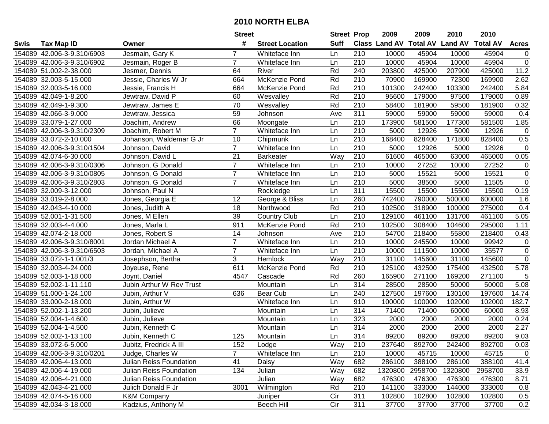|      |                            |                                | <b>Street</b>   |                        | <b>Street Prop</b> |                  | 2009                          | 2009    | 2010           | 2010            |                |
|------|----------------------------|--------------------------------|-----------------|------------------------|--------------------|------------------|-------------------------------|---------|----------------|-----------------|----------------|
| Swis | <b>Tax Map ID</b>          | Owner                          | #               | <b>Street Location</b> | <b>Suff</b>        |                  | <b>Class Land AV Total AV</b> |         | <b>Land AV</b> | <b>Total AV</b> | <b>Acres</b>   |
|      | 154089 42.006-3-9.310/6903 | Jesmain, Gary K                | 7               | Whiteface Inn          | Ln                 | 210              | 10000                         | 45904   | 10000          | 45904           | 0              |
|      | 154089 42.006-3-9.310/6902 | Jesmain, Roger B               | $\overline{7}$  | Whiteface Inn          | Ln                 | 210              | 10000                         | 45904   | 10000          | 45904           | $\overline{0}$ |
|      | 154089 51.002-2-38.000     | Jesmer, Dennis                 | 64              | River                  | Rd                 | 240              | 203800                        | 425000  | 207900         | 425000          | 11.2           |
|      | 154089 32.003-5-15.000     | Jessie, Charles W Jr           | 664             | <b>McKenzie Pond</b>   | Rd                 | 210              | 70900                         | 169900  | 72300          | 169900          | 2.62           |
|      | 154089 32.003-5-16.000     | Jessie, Francis H              | 664             | McKenzie Pond          | Rd                 | 210              | 101300                        | 242400  | 103300         | 242400          | 5.84           |
|      | 154089 42.049-1-8.200      | Jewtraw, David P               | 60              | Wesvalley              | Rd                 | $\overline{210}$ | 95600                         | 179000  | 97500          | 179000          | 0.89           |
|      | 154089 42.049-1-9.300      | Jewtraw, James E               | 70              | Wesvalley              | Rd                 | 210              | 58400                         | 181900  | 59500          | 181900          | 0.32           |
|      | 154089 42.066-3-9.000      | Jewtraw, Jessica               | 59              | Johnson                | Ave                | 311              | 59000                         | 59000   | 59000          | 59000           | 0.4            |
|      | 154089 33.079-1-27.000     | Joachim, Andrew                | 66              | Moongate               | Ln                 | $\overline{210}$ | 173900                        | 581500  | 177300         | 581500          | 1.85           |
|      | 154089 42.006-3-9.310/2309 | Joachim, Robert M              | $\overline{7}$  | Whiteface Inn          | Ln                 | 210              | 5000                          | 12926   | 5000           | 12926           | $\mathbf 0$    |
|      | 154089 33.072-2-10.000     | Johanson, Waldemar G Jr        | 10              | Chipmunk               | Ln                 | 210              | 168400                        | 828400  | 171800         | 828400          | 0.5            |
|      | 154089 42.006-3-9.310/1504 | Johnson, David                 | $\overline{7}$  | Whiteface Inn          | Ln                 | 210              | 5000                          | 12926   | 5000           | 12926           | $\mathbf 0$    |
|      | 154089 42.074-6-30.000     | Johnson, David L               | $\overline{21}$ | <b>Barkeater</b>       | Way                | 210              | 61600                         | 465000  | 63000          | 465000          | 0.05           |
|      | 154089 42.006-3-9.310/0306 | Johnson, G Donald              | $\overline{7}$  | Whiteface Inn          | Ln                 | 210              | 10000                         | 27252   | 10000          | 27252           | $\mathbf 0$    |
|      | 154089 42.006-3-9.310/0805 | Johnson, G Donald              | $\overline{7}$  | Whiteface Inn          | Ln                 | 210              | 5000                          | 15521   | 5000           | 15521           | $\mathsf 0$    |
|      | 154089 42.006-3-9.310/2803 | Johnson, G Donald              | $\overline{7}$  | Whiteface Inn          | Ln                 | 210              | 5000                          | 38500   | 5000           | 11505           | $\mathbf 0$    |
|      | 154089 32.009-3-12.000     | Johnson, Paul N                |                 | Rockledge              | Ln                 | $\overline{311}$ | 15500                         | 15500   | 15500          | 15500           | 0.19           |
|      | 154089 33.019-2-8.000      | Jones, Georgia E               | 12              | George & Bliss         | Ln                 | 260              | 742400                        | 790000  | 500000         | 600000          | 1.6            |
|      | 154089 42.043-4-10.000     | Jones, Judith A                | 18              | Northwood              | Rd                 | 210              | 102500                        | 318900  | 100000         | 275000          | 0.4            |
|      | 154089 52.001-1-31.500     | Jones, M Ellen                 | 39              | <b>Country Club</b>    | Ln                 | 210              | 129100                        | 461100  | 131700         | 461100          | 5.05           |
|      | 154089 32.003-4-4.000      | Jones, Marla L                 | 911             | McKenzie Pond          | Rd                 | 210              | 102500                        | 308400  | 104600         | 295000          | 1.11           |
|      | 154089 42.074-2-18.000     | Jones, Robert S                | 14              | Johnson                | Ave                | 210              | 54700                         | 218400  | 55800          | 218400          | 0.43           |
|      | 154089 42.006-3-9.310/8001 | Jordan Michael A               | $\overline{7}$  | Whiteface Inn          | Ln                 | 210              | 10000                         | 245500  | 10000          | 99942           | $\mathbf 0$    |
|      | 154089 42.006-3-9.310/6503 | Jordan, Michael A              | $\overline{7}$  | Whiteface Inn          | Ln                 | 210              | 10000                         | 111500  | 10000          | 35577           | $\mathbf 0$    |
|      | 154089 33.072-1-1.001/3    | Josephson, Bertha              | 3               | Hemlock                | Way                | $\overline{210}$ | 31100                         | 145600  | 31100          | 145600          | $\overline{0}$ |
|      | 154089 32.003-4-24.000     | Joyeuse, Rene                  | 611             | McKenzie Pond          | Rd                 | 210              | 125100                        | 432500  | 175400         | 432500          | 5.78           |
|      | 154089 52.003-1-18.000     | Joynt, Daniel                  | 4547            | Cascade                | Rd                 | 260              | 165900                        | 271100  | 169200         | 271100          | 5              |
|      | 154089 52.002-1-11.110     | Jubin Arthur W Rev Trust       |                 | Mountain               | Ln                 | 314              | 28500                         | 28500   | 50000          | 50000           | 5.08           |
|      | 154089 51.000-1-24.100     | Jubin, Arthur V                | 636             | Bear Cub               | Ln                 | 240              | 127500                        | 197600  | 130100         | 197600          | 14.74          |
|      | 154089 33.000-2-18.000     | Jubin, Arthur W                |                 | Whiteface Inn          | Ln                 | 910              | 100000                        | 100000  | 102000         | 102000          | 182.7          |
|      | 154089 52.002-1-13.200     | Jubin, Julieve                 |                 | Mountain               | Ln                 | $\overline{314}$ | 71400                         | 71400   | 60000          | 60000           | 8.93           |
|      | 154089 52.004-1-4.600      | Jubin, Julieve                 |                 | Mountain               | Ln                 | 323              | 2000                          | 2000    | 2000           | 2000            | 0.24           |
|      | 154089 52.004-1-4.500      | Jubin, Kenneth C               |                 | Mountain               | Ln                 | 314              | 2000                          | 2000    | 2000           | 2000            | 2.27           |
|      | 154089 52.002-1-13.100     | Jubin, Kenneth C               | 125             | Mountain               | Ln                 | 314              | 89200                         | 89200   | 89200          | 89200           | 9.03           |
|      | 154089 33.072-6-5.000      | Jubitz, Fredrick A III         | 152             | Lodge                  | Way                | 210              | 237640                        | 892700  | 242400         | 892700          | 0.03           |
|      | 154089 42.006-3-9.310/0201 | Judge, Charles W               | $\overline{7}$  | Whiteface Inn          | Ln                 | 210              | 10000                         | 45715   | 10000          | 45715           | $\mathbf 0$    |
|      | 154089 42.006-4-13.000     | <b>Julian Reiss Foundation</b> | 41              | Daisy                  | Way                | 682              | 286100                        | 388100  | 286100         | 388100          | 41.4           |
|      | 154089 42.006-4-19.000     | Julian Reiss Foundation        | 134             | Julian                 | Way                | 682              | 1320800                       | 2958700 | 1320800        | 2958700         | 33.9           |
|      | 154089 42.006-4-21.000     | Julian Reiss Foundation        |                 | Julian                 | Way                | 682              | 476300                        | 476300  | 476300         | 476300          | 8.71           |
|      | 154089 42.043-4-21.000     | Julich Donald F Jr             | 3001            | Wilmington             | Rd                 | 210              | 141100                        | 333000  | 144000         | 333000          | 0.8            |
|      | 154089 42.074-5-16.000     | <b>K&amp;M Company</b>         |                 | Juniper                | Cir                | 311              | 102800                        | 102800  | 102800         | 102800          | 0.5            |
|      | 154089 42.034-3-18.000     | Kadzius, Anthony M             |                 | Beech Hill             | Cir                | 311              | 37700                         | 37700   | 37700          | 37700           | 0.2            |
|      |                            |                                |                 |                        |                    |                  |                               |         |                |                 |                |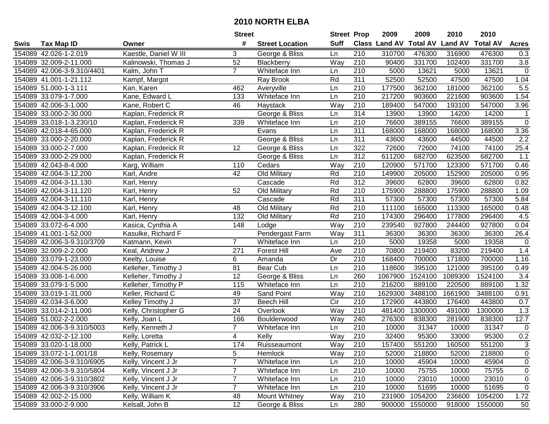|      |                            |                       | <b>Street</b>   |                        | <b>Street Prop</b> |                  | 2009                 | 2009            | 2010           | 2010            |                   |
|------|----------------------------|-----------------------|-----------------|------------------------|--------------------|------------------|----------------------|-----------------|----------------|-----------------|-------------------|
| Swis | <b>Tax Map ID</b>          | Owner                 | #               | <b>Street Location</b> | <b>Suff</b>        |                  | <b>Class Land AV</b> | <b>Total AV</b> | <b>Land AV</b> | <b>Total AV</b> | <b>Acres</b>      |
|      | 154089 42.026-1-2.019      | Kaestle, Daniel W III | 3               | George & Bliss         | Ln                 | 210              | 310700               | 476300          | 316900         | 476300          | 0.3               |
|      | 154089 32.009-2-11.000     | Kalinowski, Thomas J  | 52              | Blackberry             | Way                | 210              | 90400                | 331700          | 102400         | 331700          | $3.8\,$           |
|      | 154089 42.006-3-9.310/4401 | Kalm, John T          | $\overline{7}$  | Whiteface Inn          | Ln                 | 210              | 5000                 | 13621           | 5000           | 13621           | $\mathbf 0$       |
|      | 154089 41.001-1-21.112     | Kampf, Margot         |                 | Ray Brook              | Rd                 | 311              | 52500                | 52500           | 47500          | 47500           | 1.04              |
|      | 154089 51.000-1-3.111      | Kan, Karen            | 462             | Averyville             | Ln                 | 210              | 177500               | 362100          | 181000         | 362100          | 5.5               |
|      | 154089 33.079-1-7.000      | Kane, Edward L        | 133             | Whiteface Inn          | Ln                 | $\overline{210}$ | 217200               | 903600          | 221600         | 903600          | 1.54              |
|      | 154089 42.006-3-1.000      | Kane, Robert C        | 46              | Haystack               | Way                | 210              | 189400               | 547000          | 193100         | 547000          | 3.96              |
|      | 154089 33.000-2-30.000     | Kaplan, Frederick R   |                 | George & Bliss         | Ln                 | 314              | 13900                | 13900           | 14200          | 14200           | $\mathbf{1}$      |
|      | 154089 33.018-1-3.230/10   | Kaplan, Frederick R   | 339             | Whiteface Inn          | Ln                 | $\overline{210}$ | 76600                | 389155          | 76600          | 389155          | $\mathbf 0$       |
|      | 154089 42.018-4-65.000     | Kaplan, Frederick R   |                 | Evans                  | Ln                 | 311              | 168000               | 168000          | 168000         | 168000          | $\overline{3.36}$ |
|      | 154089 33.000-2-20.000     | Kaplan, Frederick R   |                 | George & Bliss         | Ln                 | 311              | 43600                | 43600           | 44500          | 44500           | 2.2               |
|      | 154089 33.000-2-7.000      | Kaplan, Frederick R   | 12              | George & Bliss         | Ln                 | 322              | 72600                | 72600           | 74100          | 74100           | 25.4              |
|      | 154089 33.000-2-29.000     | Kaplan, Frederick R   |                 | George & Bliss         | Ln                 | 312              | 611200               | 682700          | 623500         | 682700          | 1.1               |
|      | 154089 42.043-8-4.000      | Karg, William         | 110             | Cedars                 | Way                | 210              | 120900               | 571700          | 123300         | 571700          | 0.46              |
|      | 154089 42.004-3-12.200     | Karl, Andre           | 42              | Old Military           | Rd                 | 210              | 149900               | 205000          | 152900         | 205000          | 0.95              |
|      | 154089 42.004-3-11.130     | Karl, Henry           |                 | Cascade                | Rd                 | 312              | 39600                | 62800           | 39600          | 62800           | 0.82              |
|      | 154089 42.004-3-11.120     | Karl, Henry           | 52              | Old Military           | Rd                 | 210              | 175900               | 288800          | 175900         | 288800          | 1.09              |
|      | 154089 42.004-3-11.110     | Karl, Henry           |                 | Cascade                | Rd                 | 311              | 57300                | 57300           | 57300          | 57300           | 5.84              |
|      | 154089 42.004-3-12.100     | Karl, Henry           | 48              | Old Military           | Rd                 | 210              | 111100               | 165000          | 113300         | 165000          | 0.48              |
|      | 154089 42.004-3-4.000      | Karl, Henry           | 132             | Old Military           | Rd                 | 210              | 174300               | 296400          | 177800         | 296400          | 4.5               |
|      | 154089 33.072-6-4.000      | Kasica, Cynthia A     | 148             | Lodge                  | Way                | 210              | 239540               | 927800          | 244400         | 927800          | 0.04              |
|      | 154089 41.001-1-52.000     | Kasulke, Richard F    |                 | Pendergast Farm        | Way                | 311              | 36300                | 36300           | 36300          | 36300           | 26.4              |
|      | 154089 42.006-3-9.310/3709 | Katmann, Kevin        | $\overline{7}$  | Whiteface Inn          | Ln                 | 210              | 5000                 | 19358           | 5000           | 19358           | $\mathsf 0$       |
|      | 154089 32.009-2-2.000      | Keal, Andrew J        | 271             | <b>Forest Hill</b>     | Ave                | 210              | 70800                | 219400          | 83200          | 219400          | 1.4               |
|      | 154089 33.079-1-23.000     | Keelty, Louise        | 6               | Amanda                 | Dr                 | $\overline{210}$ | 168400               | 700000          | 171800         | 700000          | 1.16              |
|      | 154089 42.004-5-26.000     | Kelleher, Timothy J   | 81              | Bear Cub               | Ln                 | 210              | 118600               | 395100          | 121000         | 395100          | 0.49              |
|      | 154089 33.008-1-6.000      | Kelleher, Timothy J   | $\overline{12}$ | George & Bliss         | Ln                 | 260              | 1067900              | 1524100         | 1089300        | 1524100         | 3.4               |
|      | 154089 33.079-1-5.000      | Kelleher, Timothy P   | 115             | Whiteface Inn          | Ln                 | 210              | 216200               | 889100          | 220500         | 889100          | 1.32              |
|      | 154089 33.019-1-31.000     | Keller, Richard C     | 49              | Sand Point             | Way                | 210              | 1629300              | 3488100         | 1661900        | 3488100         | 0.91              |
|      | 154089 42.034-3-6.000      | Kelley Timothy J      | $\overline{37}$ | <b>Beech Hill</b>      | $\overline{C}$     | $\overline{210}$ | 172900               | 443800          | 176400         | 443800          | 0.7               |
|      | 154089 33.014-2-11.000     | Kelly, Christopher G  | $\overline{24}$ | Overlook               | Way                | $\overline{210}$ | 481400               | 1300000         | 491000         | 1300000         | 1.3               |
|      | 154089 51.002-2-2.000      | Kelly, Joan L         | 166             | Boulderwood            | Way                | 240              | 276300               | 838300          | 281900         | 838300          | 12.7              |
|      | 154089 42.006-3-9.310/5003 | Kelly, Kenneth J      | $\overline{7}$  | Whiteface Inn          | Ln                 | $\overline{210}$ | 10000                | 31347           | 10000          | 31347           | $\mathbf 0$       |
|      | 154089 42.032-2-12.100     | Kelly, Loretta        | 4               | Kelly                  | Way                | 210              | 32400                | 95300           | 33000          | 95300           | 0.2               |
|      | 154089 33.020-1-18.000     | Kelly, Patrick L      | 174             | Ruisseaumont           | Way                | 210              | 157400               | 551200          | 160500         | 551200          | 3                 |
|      | 154089 33.072-1-1.001/18   | Kelly, Rosemary       | 5               | Hemlock                | Way                | 210              | 52000                | 218800          | 52000          | 218800          | $\mathbf 0$       |
|      | 154089 42.006-3-9.310/6905 | Kelly, Vincent J Jr   | $\overline{7}$  | Whiteface Inn          | Ln                 | 210              | 10000                | 45904           | 10000          | 45904           | $\mathbf 0$       |
|      | 154089 42.006-3-9.310/5804 | Kelly, Vincent J Jr   | $\overline{7}$  | Whiteface Inn          | Ln                 | 210              | 10000                | 75755           | 10000          | 75755           | $\mathbf 0$       |
|      | 154089 42.006-3-9.310/3802 | Kelly, Vincent J Jr   | $\overline{7}$  | Whiteface Inn          | Ln                 | 210              | 10000                | 23010           | 10000          | 23010           | $\mathbf 0$       |
|      | 154089 42.006-3-9.310/3906 | Kelly, Vincent J Jr   | $\overline{7}$  | Whiteface Inn          | Ln                 | 210              | 10000                | 51695           | 10000          | 51695           | $\mathbf 0$       |
|      | 154089 42.002-2-15.000     | Kelly, William K      | 48              | Mount Whitney          | Way                | 210              | 231900               | 1054200         | 236600         | 1054200         | 1.72              |
|      | 154089 33.000-2-9.000      | Kelsall, John B       | 12              | George & Bliss         | Ln                 | 280              | 900000               | 1550000         | 918000         | 1550000         | 50                |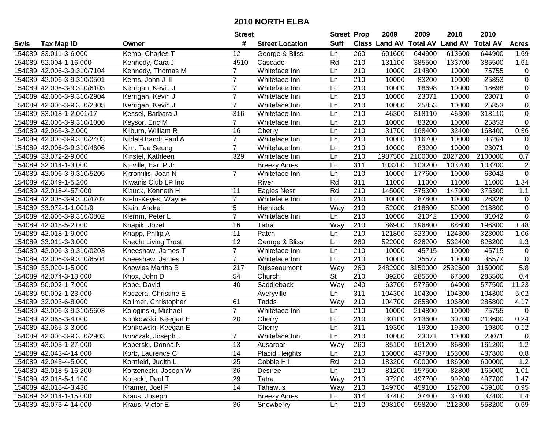|      |                            |                            | <b>Street</b>  |                        | <b>Street Prop</b>       |                  | 2009                 | 2009            | 2010           | 2010            |                |
|------|----------------------------|----------------------------|----------------|------------------------|--------------------------|------------------|----------------------|-----------------|----------------|-----------------|----------------|
| Swis | <b>Tax Map ID</b>          | Owner                      | #              | <b>Street Location</b> | <b>Suff</b>              |                  | <b>Class Land AV</b> | <b>Total AV</b> | <b>Land AV</b> | <b>Total AV</b> | <b>Acres</b>   |
|      | 154089 33.011-3-6.000      | Kemp, Charles T            | 12             | George & Bliss         | Ln                       | 260              | 601600               | 644900          | 613600         | 644900          | 1.69           |
|      | 154089 52.004-1-16.000     | Kennedy, Cara J            | 4510           | Cascade                | Rd                       | 210              | 131100               | 385500          | 133700         | 385500          | 1.61           |
|      | 154089 42.006-3-9.310/7104 | Kennedy, Thomas M          | $\overline{7}$ | Whiteface Inn          | Ln                       | 210              | 10000                | 214800          | 10000          | 75755           | 0              |
|      | 154089 42.006-3-9.310/0501 | Kerns, John J III          | $\overline{7}$ | Whiteface Inn          | Ln                       | 210              | 10000                | 83200           | 10000          | 25853           | $\pmb{0}$      |
|      | 154089 42.006-3-9.310/6103 | Kerrigan, Kevin J          | $\overline{7}$ | Whiteface Inn          | Ln                       | 210              | 10000                | 18698           | 10000          | 18698           | $\overline{0}$ |
|      | 154089 42.006-3-9.310/2904 | Kerrigan, Kevin J          | $\overline{7}$ | Whiteface Inn          | Ln                       | 210              | 10000                | 23071           | 10000          | 23071           | $\overline{0}$ |
|      | 154089 42.006-3-9.310/2305 | Kerrigan, Kevin J          | $\overline{7}$ | Whiteface Inn          | Ln                       | 210              | 10000                | 25853           | 10000          | 25853           | 0              |
|      | 154089 33.018-1-2.001/17   | Kessel, Barbara J          | 316            | Whiteface Inn          | Ln                       | 210              | 46300                | 318110          | 46300          | 318110          | $\overline{0}$ |
|      | 154089 42.006-3-9.310/1006 | Keysor, Eric M             | $\overline{7}$ | Whiteface Inn          | Ln                       | $\overline{210}$ | 10000                | 83200           | 10000          | 25853           | $\mathbf 0$    |
|      | 154089 42.065-3-2.000      | Kilburn, William R         | 16             | Cherry                 | Ln                       | 210              | 31700                | 168400          | 32400          | 168400          | 0.36           |
|      | 154089 42.006-3-9.310/2403 | Kildal-Brandt Paul A       | $\overline{7}$ | Whiteface Inn          | Ln                       | 210              | 10000                | 116700          | 10000          | 36264           | 0              |
|      | 154089 42.006-3-9.310/4606 | Kim, Tae Seung             | $\overline{7}$ | Whiteface Inn          | Ln                       | 210              | 10000                | 83200           | 10000          | 23071           | $\mathbf 0$    |
|      | 154089 33.072-2-9.000      | Kinstel, Kathleen          | 329            | Whiteface Inn          | Ln                       | 210              | 1987500              | 2100000         | 2027200        | 2100000         | 0.7            |
|      | 154089 32.014-1-3.000      | Kinville, Earl P Jr        |                | <b>Breezy Acres</b>    | Ln                       | 311              | 103200               | 103200          | 103200         | 103200          | $\overline{c}$ |
|      | 154089 42.006-3-9.310/5205 | Kitromilis, Joan N         | $\overline{7}$ | Whiteface Inn          | Ln                       | 210              | 10000                | 177600          | 10000          | 63042           | $\overline{0}$ |
|      | 154089 42.049-1-5.200      | Kiwanis Club LP Inc        |                | River                  | Rd                       | 311              | 11000                | 11000           | 11000          | 11000           | 1.34           |
|      | 154089 42.018-4-57.000     | Klauck, Kenneth H          | 11             | Eagles Nest            | Rd                       | 210              | 145000               | 375300          | 147900         | 375300          | 1.1            |
|      | 154089 42.006-3-9.310/4702 | Klehr-Keyes, Wayne         | $\overline{7}$ | Whiteface Inn          | Ln                       | 210              | 10000                | 87800           | 10000          | 26326           | $\pmb{0}$      |
|      | 154089 33.072-1-1.001/9    | Klein, Andrei              | 5              | Hemlock                | Way                      | 210              | 52000                | 218800          | 52000          | 218800          | $\pmb{0}$      |
|      | 154089 42.006-3-9.310/0802 | Klemm, Peter L             | $\overline{7}$ | Whiteface Inn          | Ln                       | 210              | 10000                | 31042           | 10000          | 31042           | $\mathbf 0$    |
|      | 154089 42.018-5-2.000      | Knapik, Jozef              | 16             | Tatra                  | Way                      | 210              | 86900                | 196800          | 88600          | 196800          | 1.48           |
|      | 154089 42.018-1-9.000      | Knapp, Philip A            | 11             | Patch                  | Ln                       | 210              | 121800               | 323000          | 124300         | 323000          | 1.06           |
|      | 154089 33.011-3-3.000      | <b>Knecht Living Trust</b> | 12             | George & Bliss         | Ln                       | 260              | 522000               | 826200          | 532400         | 826200          | 1.3            |
|      | 154089 42.006-3-9.310/0203 | Kneeshaw, James T          | $\overline{7}$ | Whiteface Inn          | Ln                       | 210              | 10000                | 45715           | 10000          | 45715           | $\pmb{0}$      |
|      | 154089 42.006-3-9.310/6504 | Kneeshaw, James T          | $\overline{7}$ | Whiteface Inn          | Ln                       | $\overline{210}$ | 10000                | 35577           | 10000          | 35577           | $\pmb{0}$      |
|      | 154089 33.020-1-5.000      | Knowles Martha B           | 217            | Ruisseaumont           | Way                      | 260              | 2482900              | 3150000         | 2532600        | 3150000         | 5.8            |
|      | 154089 42.074-3-18.000     | Knox, John D               | 54             | Church                 | $\overline{\mathsf{St}}$ | 210              | 89200                | 285500          | 67500          | 285500          | 0.4            |
|      | 154089 50.002-1-7.000      | Kobe, David                | 40             | Saddleback             | Way                      | 240              | 63700                | 577500          | 64900          | 577500          | 11.23          |
|      | 154089 50.002-1-23.000     | Koczera, Christine E       |                | Averyville             | Ln                       | $\overline{311}$ | 104300               | 104300          | 104300         | 104300          | 5.02           |
|      | 154089 32.003-6-8.000      | Kollmer, Christopher       | 61             | Tadds                  | Way                      | $\overline{210}$ | 104700               | 285800          | 106800         | 285800          | 4.17           |
|      | 154089 42.006-3-9.310/5603 | Kologinski, Michael        | $\overline{7}$ | Whiteface Inn          | Ln                       | $\overline{210}$ | 10000                | 214800          | 10000          | 75755           | $\mathbf 0$    |
|      | 154089 42.065-3-4.000      | Konkowski, Keegan E        | 20             | Cherry                 | Ln                       | 210              | 30100                | 213600          | 30700          | 213600          | 0.24           |
|      | 154089 42.065-3-3.000      | Konkowski, Keegan E        |                | Cherry                 | Ln                       | 311              | 19300                | 19300           | 19300          | 19300           | 0.12           |
|      | 154089 42.006-3-9.310/2903 | Kopczak, Joseph J          | $\overline{7}$ | Whiteface Inn          | Ln                       | $\overline{210}$ | 10000                | 23071           | 10000          | 23071           | $\mathbf 0$    |
|      | 154089 43.003-1-27.000     | Koperski, Donna N          | 13             | Ausaroar               | Way                      | 260              | 85100                | 161200          | 86800          | 161200          | 1.2            |
|      | 154089 42.043-4-14.000     | Korb, Laurence C           | 14             | <b>Placid Heights</b>  | Ln                       | 210              | 150000               | 437800          | 153000         | 437800          | 0.8            |
|      | 154089 42.043-4-5.000      | Kornfeld, Judith L         | 25             | Cobble Hill            | Rd                       | 210              | 183200               | 600000          | 186900         | 600000          | 1.2            |
|      | 154089 42.018-5-16.200     | Korzenecki, Joseph W       | 36             | Desiree                | Ln                       | 210              | 81200                | 157500          | 82800          | 165000          | 1.01           |
|      | 154089 42.018-5-1.100      | Kotecki, Paul T            | 29             | Tatra                  | Way                      | 210              | 97200                | 497700          | 99200          | 497700          | 1.47           |
|      | 154089 42.018-4-3.430      | Kramer, Joel P             | 14             | Tahawus                | Way                      | 210              | 149700               | 459100          | 152700         | 459100          | 0.95           |
|      | 154089 32.014-1-15.000     | Kraus, Joseph              |                | <b>Breezy Acres</b>    | Ln                       | 314              | 37400                | 37400           | 37400          | 37400           | 1.4            |
|      | 154089 42.073-4-14.000     | Kraus, Victor E            | 36             | Snowberry              | Ln                       | 210              | 208100               | 558200          | 212300         | 558200          | 0.69           |
|      |                            |                            |                |                        |                          |                  |                      |                 |                |                 |                |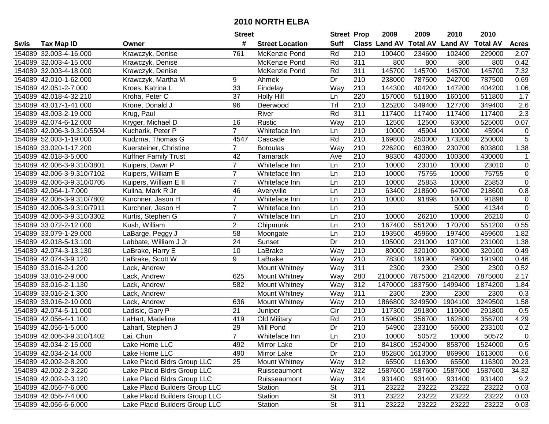|      |                            |                                | <b>Street</b>   |                        | <b>Street Prop</b> |                  | 2009                          | 2009           | 2010           | 2010            |                |
|------|----------------------------|--------------------------------|-----------------|------------------------|--------------------|------------------|-------------------------------|----------------|----------------|-----------------|----------------|
| Swis | <b>Tax Map ID</b>          | Owner                          | #               | <b>Street Location</b> | <b>Suff</b>        |                  | <b>Class Land AV Total AV</b> |                | <b>Land AV</b> | <b>Total AV</b> | <b>Acres</b>   |
|      | 154089 32.003-4-16.000     | Krawczyk, Denise               | 761             | McKenzie Pond          | Rd                 | 210              | 100400                        | 234600         | 102400         | 229000          | 2.07           |
|      | 154089 32.003-4-15.000     | Krawczyk, Denise               |                 | McKenzie Pond          | Rd                 | 311              | 800                           | 800            | 800            | 800             | 0.42           |
|      | 154089 32.003-4-18.000     | Krawczyk, Denise               |                 | McKenzie Pond          | Rd                 | 311              | 145700                        | 145700         | 145700         | 145700          | 7.32           |
|      | 154089 42.010-1-62.000     | Krawczyk, Martha M             | 9               | Ahmek                  | Dr                 | 210              | 238000                        | 787500         | 242700         | 787500          | 0.69           |
|      | 154089 42.051-2-7.000      | Kroes, Katrina L               | 33              | Findelay               | Way                | 210              | 144300                        | 404200         | 147200         | 404200          | 1.06           |
|      | 154089 42.018-4-32.210     | Kroha, Peter C                 | 37              | <b>Holly Hill</b>      | Ln                 | 220              | 157000                        | 511800         | 160100         | 511800          | 1.7            |
|      | 154089 43.017-1-41.000     | Krone, Donald J                | 96              | Deerwood               | Tr                 | 210              | 125200                        | 349400         | 127700         | 349400          | 2.6            |
|      | 154089 43.003-2-19.000     | Krug, Paul                     |                 | River                  | Rd                 | 311              | 117400                        | 117400         | 117400         | 117400          | 2.3            |
|      | 154089 42.074-6-12.000     | Kryger, Michael D              | 16              | Rustic                 | Way                | $\overline{210}$ | 12500                         | 12500          | 63000          | 525000          | 0.07           |
|      | 154089 42.006-3-9.310/5504 | Kucharik, Peter P              | $\overline{7}$  | Whiteface Inn          | Ln                 | 210              | 10000                         | 45904          | 10000          | 45904           | 0              |
|      | 154089 52.003-1-19.000     | Kudzma, Thomas G               | 4547            | Cascade                | Rd                 | 210              | 169800                        | 250000         | 173200         | 250000          | $\sqrt{5}$     |
|      | 154089 33.020-1-17.200     | Kuersteiner, Christine         | $\overline{7}$  | <b>Botoulas</b>        | Way                | 210              | 226200                        | 603800         | 230700         | 603800          | 1.38           |
|      | 154089 42.018-3-5.000      | <b>Kuffner Family Trust</b>    | 42              | Tamarack               | Ave                | 210              | 98300                         | 430000         | 100300         | 430000          | 1              |
|      | 154089 42.006-3-9.310/3801 | Kuipers, Dawn P                | $\overline{7}$  | Whiteface Inn          | Ln                 | 210              | 10000                         | 23010          | 10000          | 23010           | $\mathbf 0$    |
|      | 154089 42.006-3-9.310/7102 | Kuipers, William E             | $\overline{7}$  | Whiteface Inn          | Ln                 | 210              | 10000                         | 75755          | 10000          | 75755           | $\mathbf 0$    |
|      | 154089 42.006-3-9.310/0705 | Kuipers, William E II          | $\overline{7}$  | Whiteface Inn          | Ln                 | 210              | 10000                         | 25853          | 10000          | 25853           | $\mathbf 0$    |
|      | 154089 42.064-1-7.000      | Kulina, Mark R Jr              | 46              | Averyville             | Ln                 | 210              | 63400                         | 218600         | 64700          | 218600          | 0.8            |
|      | 154089 42.006-3-9.310/7802 | Kurchner, Jason H              | $\overline{7}$  | Whiteface Inn          | Ln                 | 210              | 10000                         | 91898          | 10000          | 91898           | $\mathbf 0$    |
|      | 154089 42.006-3-9.310/7911 | Kurchner, Jason H              | $\overline{7}$  | Whiteface Inn          | Ln                 | 210              |                               |                | 5000           | 41344           | $\overline{0}$ |
|      | 154089 42.006-3-9.310/3302 | Kurtis, Stephen G              | $\overline{7}$  | Whiteface Inn          | Ln                 | 210              | 10000                         | 26210          | 10000          | 26210           | $\mathbf 0$    |
|      | 154089 33.072-2-12.000     | Kush, William                  | $\overline{2}$  | Chipmunk               | Ln                 | 210              | 167400                        | 551200         | 170700         | 551200          | 0.55           |
|      | 154089 33.079-1-29.000     | LaBarge, Peggy J               | 58              | Moongate               | Ln                 | 210              | 193500                        | 459600         | 197400         | 459600          | 1.82           |
|      | 154089 42.018-5-13.100     | Labbate, William J Jr          | 24              | Sunset                 | Dr                 | 210              | 105000                        | 231000         | 107100         | 231000          | 1.38           |
|      | 154089 42.074-3-13.130     | LaBrake, Harry E               | 10              | LaBrake                | Way                | 210              | 80000                         | 320100         | 80000          | 320100          | 0.49           |
|      | 154089 42.074-3-9.120      | LaBrake, Scott W               | 9               | LaBrake                | Way                | 210              | 78300                         | 191900         | 79800          | 191900          | 0.46           |
|      | 154089 33.016-2-1.200      | Lack, Andrew                   |                 | Mount Whitney          | Way                | 311              | 2300                          | 2300           | 2300           | 2300            | 0.52           |
|      | 154089 33.016-2-9.000      | Lack, Andrew                   | 625             | <b>Mount Whitney</b>   | Way                | 280              | 2100000                       | 7875000        | 2142000        | 7875000         | 2.17           |
|      | 154089 33.016-2-1.130      | Lack, Andrew                   | 582             | <b>Mount Whitney</b>   | Way                | 312              | 1470000                       | 1837500        | 1499400        | 1874200         | 1.84           |
|      | 154089 33.016-2-1.300      | Lack, Andrew                   |                 | Mount Whitney          | Way                | 311              | 2300                          | 2300           | 2300           | 2300            | 0.3            |
|      | 154089 33.016-2-10.000     | Lack, Andrew                   | 636             | Mount Whitney          | Way                | 210              | 1866800                       | 3249500        | 1904100        | 3249500         | 1.58           |
|      | 154089 42.074-5-11.000     | Ladisic, Gary P                | 21              | Juniper                | $\overline{C}$     | 210              | 117300                        | 291800         | 119600         | 291800          | 0.5            |
|      | 154089 42.056-4-1.100      | LaHart, Madeline               | 419             | Old Military           | Rd                 | 210              | 159600                        | 356700         | 162800         | 356700          | 4.29           |
|      | 154089 42.056-1-5.000      | Lahart, Stephen J              | $\overline{29}$ | Mill Pond              | $\overline{Dr}$    | $\overline{210}$ | 54900                         | 233100         | 56000          | 233100          | 0.2            |
|      | 154089 42.006-3-9.310/1402 | Lai, Chun                      | $\overline{7}$  | Whiteface Inn          | Ln                 | $\overline{210}$ | 10000                         | 50572          | 10000          | 50572           | $\overline{0}$ |
|      | 154089 42.034-2-15.000     | Lake Home LLC                  | 492             | Mirror Lake            | Dr                 | 210              |                               | 841800 1524000 | 858700         | 1524000         | 0.5            |
|      | 154089 42.034-2-14.000     | Lake Home LLC                  | 490             | Mirror Lake            | Dr                 | 210              | 852800                        | 1613000        | 869900         | 1613000         | 0.6            |
|      | 154089 42.002-2-8.200      | Lake Placid Bldrs Group LLC    | 25              | Mount Whitney          | Way                | 312              | 65500                         | 116300         | 65500          | 116300          | 20.23          |
|      | 154089 42.002-2-3.220      | Lake Placid Bldrs Group LLC    |                 | Ruisseaumont           | Way                | 322              | 1587600                       | 1587600        | 1587600        | 1587600         | 34.32          |
|      | 154089 42.002-2-3.120      | Lake Placid Bldrs Group LLC    |                 | Ruisseaumont           | Way                | 314              | 931400                        | 931400         | 931400         | 931400          | 9.2            |
|      | 154089 42.056-7-6.000      | Lake Placid Builders Group LLC |                 | Station                | <b>St</b>          | 311              | 23222                         | 23222          | 23222          | 23222           | 0.03           |
|      | 154089 42.056-7-4.000      | Lake Placid Builders Group LLC |                 | Station                | St                 | 311              | 23222                         | 23222          | 23222          | 23222           | 0.03           |
|      | 154089 42.056-6-6.000      | Lake Placid Builders Group LLC |                 | Station                | <b>St</b>          | 311              | 23222                         | 23222          | 23222          | 23222           | 0.03           |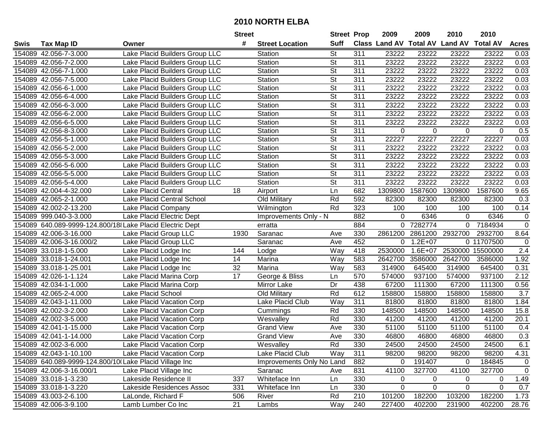|      |                          |                                                          | <b>Street</b> |                           | <b>Street Prop</b>       |                  | 2009        | 2009        | 2010                                    | 2010       |              |
|------|--------------------------|----------------------------------------------------------|---------------|---------------------------|--------------------------|------------------|-------------|-------------|-----------------------------------------|------------|--------------|
| Swis | <b>Tax Map ID</b>        | Owner                                                    | #             | <b>Street Location</b>    | <b>Suff</b>              |                  |             |             | Class Land AV Total AV Land AV Total AV |            | <b>Acres</b> |
|      | 154089 42.056-7-3.000    | Lake Placid Builders Group LLC                           |               | Station                   | St                       | 311              | 23222       | 23222       | 23222                                   | 23222      | 0.03         |
|      | 154089 42.056-7-2.000    | Lake Placid Builders Group LLC                           |               | Station                   | $\overline{\mathsf{St}}$ | 311              | 23222       | 23222       | 23222                                   | 23222      | 0.03         |
|      | 154089 42.056-7-1.000    | Lake Placid Builders Group LLC                           |               | Station                   | St                       | 311              | 23222       | 23222       | 23222                                   | 23222      | 0.03         |
|      | 154089 42.056-7-5.000    | Lake Placid Builders Group LLC                           |               | Station                   | St                       | 311              | 23222       | 23222       | 23222                                   | 23222      | 0.03         |
|      | 154089 42.056-6-1.000    | Lake Placid Builders Group LLC                           |               | Station                   | $\overline{\mathsf{St}}$ | 311              | 23222       | 23222       | 23222                                   | 23222      | 0.03         |
|      | 154089 42.056-6-4.000    | Lake Placid Builders Group LLC                           |               | Station                   | St                       | 311              | 23222       | 23222       | 23222                                   | 23222      | 0.03         |
|      | 154089 42.056-6-3.000    | Lake Placid Builders Group LLC                           |               | Station                   | $\overline{\mathsf{St}}$ | 311              | 23222       | 23222       | 23222                                   | 23222      | 0.03         |
|      | 154089 42.056-6-2.000    | Lake Placid Builders Group LLC                           |               | Station                   | St                       | 311              | 23222       | 23222       | 23222                                   | 23222      | 0.03         |
|      | 154089 42.056-6-5.000    | Lake Placid Builders Group LLC                           |               | Station                   | $\overline{\mathsf{St}}$ | 311              | 23222       | 23222       | 23222                                   | 23222      | 0.03         |
|      | 154089 42.056-8-3.000    | Lake Placid Builders Group LLC                           |               | Station                   | $\overline{\mathsf{St}}$ | $\overline{311}$ | $\Omega$    | $\Omega$    | 0                                       | $\Omega$   | 0.5          |
|      | 154089 42.056-5-1.000    | Lake Placid Builders Group LLC                           |               | Station                   | $\overline{\mathsf{St}}$ | 311              | 22227       | 22227       | 22227                                   | 22227      | 0.03         |
|      | 154089 42.056-5-2.000    | Lake Placid Builders Group LLC                           |               | Station                   | $\overline{\mathsf{St}}$ | 311              | 23222       | 23222       | 23222                                   | 23222      | 0.03         |
|      | 154089 42.056-5-3.000    | Lake Placid Builders Group LLC                           |               | Station                   | St                       | 311              | 23222       | 23222       | 23222                                   | 23222      | 0.03         |
|      | 154089 42.056-5-6.000    | Lake Placid Builders Group LLC                           |               | Station                   | $\overline{\mathsf{St}}$ | 311              | 23222       | 23222       | 23222                                   | 23222      | 0.03         |
|      | 154089 42.056-5-5.000    | Lake Placid Builders Group LLC                           |               | Station                   | St                       | 311              | 23222       | 23222       | 23222                                   | 23222      | 0.03         |
|      | 154089 42.056-5-4.000    | Lake Placid Builders Group LLC                           |               | Station                   | St                       | 311              | 23222       | 23222       | 23222                                   | 23222      | 0.03         |
|      | 154089 42.004-4-32.000   | <b>Lake Placid Central</b>                               | 18            | Airport                   | Ln                       | 682              | 1309800     | 1587600     | 1309800                                 | 1587600    | 9.65         |
|      | 154089 42.065-2-1.000    | Lake Placid Central School                               |               | Old Military              | Rd                       | 592              | 82300       | 82300       | 82300                                   | 82300      | 0.3          |
|      | 154089 42.002-2-13.200   | Lake Placid Company                                      |               | Wilmington                | Rd                       | 323              | 100         | 100         | 100                                     | 100        | 0.14         |
|      | 154089 999.040-3-3.000   | Lake Placid Electric Dept                                |               | Improvements Only - N     |                          | 882              | $\Omega$    | 6346        | $\Omega$                                | 6346       | 0            |
|      |                          | 154089 640.089-9999-124.800/18 Lake Placid Electric Dept |               | erratta                   |                          | 884              |             | 0 7282774   | $\Omega$                                | 7184934    | $\mathbf 0$  |
|      | 154089 42.006-3-16.000   | Lake Placid Group LLC                                    | 1930          | Saranac                   | Ave                      | 330              | 2861200     | 2861200     | 2932700                                 | 2932700    | 8.64         |
|      | 154089 42.006-3-16.000/2 | Lake Placid Group LLC                                    |               | Saranac                   | Ave                      | 452              | 0           | $1.2E + 07$ |                                         | 0 11707500 | $\mathbf 0$  |
|      | 154089 33.018-1-5.000    | Lake Placid Lodge Inc                                    | 144           | Lodge                     | Way                      | 418              | 2530000     | $1.6E + 07$ | 2530000                                 | 15500000   | 2.4          |
|      | 154089 33.018-1-24.001   | Lake Placid Lodge Inc                                    | 14            | Marina                    | Way                      | 583              | 2642700     | 3586000     | 2642700                                 | 3586000    | 1.92         |
|      | 154089 33.018-1-25.001   | Lake Placid Lodge Inc                                    | 32            | Marina                    | Way                      | 583              | 314900      | 645400      | 314900                                  | 645400     | 0.31         |
|      | 154089 42.026-1-1.124    | Lake Placid Marina Corp                                  | 17            | George & Bliss            | Ln                       | 570              | 574000      | 937100      | 574000                                  | 937100     | 2.12         |
|      | 154089 42.034-1-1.000    | Lake Placid Marina Corp                                  |               | Mirror Lake               | Dr                       | 438              | 67200       | 111300      | 67200                                   | 111300     | 0.56         |
|      | 154089 42.065-2-4.000    | <b>Lake Placid School</b>                                |               | Old Military              | Rd                       | 612              | 158800      | 158800      | 158800                                  | 158800     | 3.7          |
|      | 154089 42.043-1-11.000   | Lake Placid Vacation Corp                                |               | Lake Placid Club          | Way                      | 311              | 81800       | 81800       | 81800                                   | 81800      | 1.84         |
|      | 154089 42.002-3-2.000    | Lake Placid Vacation Corp                                |               | Cummings                  | Rd                       | 330              | 148500      | 148500      | 148500                                  | 148500     | 15.8         |
|      | 154089 42.002-3-5.000    | Lake Placid Vacation Corp                                |               | Wesvalley                 | Rd                       | 330              | 41200       | 41200       | 41200                                   | 41200      | 20.1         |
|      | 154089 42.041-1-15.000   | Lake Placid Vacation Corp                                |               | <b>Grand View</b>         | Ave                      | 330              | 51100       | 51100       | 51100                                   | 51100      | 0.4          |
|      | 154089 42.041-1-14.000   | Lake Placid Vacation Corp                                |               | <b>Grand View</b>         | Ave                      | 330              | 46800       | 46800       | 46800                                   | 46800      | 0.3          |
|      | 154089 42.002-3-6.000    | Lake Placid Vacation Corp                                |               | Wesvalley                 | Rd                       | 330              | 24500       | 24500       | 24500                                   | 24500      | 6.1          |
|      | 154089 42.043-1-10.100   | Lake Placid Vacation Corp                                |               | Lake Placid Club          | Way                      | 311              | 98200       | 98200       | 98200                                   | 98200      | 4.31         |
|      |                          | 154089 640.089-9999-124.800/10 Lake Placid Village Inc   |               | Improvements Only No Land |                          | 882              | 0           | 191407      | 0                                       | 184845     | $\mathbf 0$  |
|      | 154089 42.006-3-16.000/1 | Lake Placid Village Inc                                  |               | Saranac                   | Ave                      | 831              | 41100       | 327700      | 41100                                   | 327700     | $\mathbf 0$  |
|      | 154089 33.018-1-3.230    | Lakeside Residence II                                    | 337           | Whiteface Inn             | Ln                       | 330              | $\mathbf 0$ | $\mathbf 0$ | 0                                       | 0          | 1.49         |
|      | 154089 33.018-1-3.220    | Lakeside Residences Assoc                                | 331           | Whiteface Inn             | Ln                       | 330              | 0           | $\Omega$    | 0                                       | 0          | 0.7          |
|      | 154089 43.003-2-6.100    | LaLonde, Richard F                                       | 506           | River                     | Rd                       | 210              | 101200      | 182200      | 103200                                  | 182200     | 1.73         |
|      | 154089 42.006-3-9.100    | Lamb Lumber Co Inc                                       | 21            | Lambs                     | Way                      | 240              | 227400      | 402200      | 231900                                  | 402200     | 28.76        |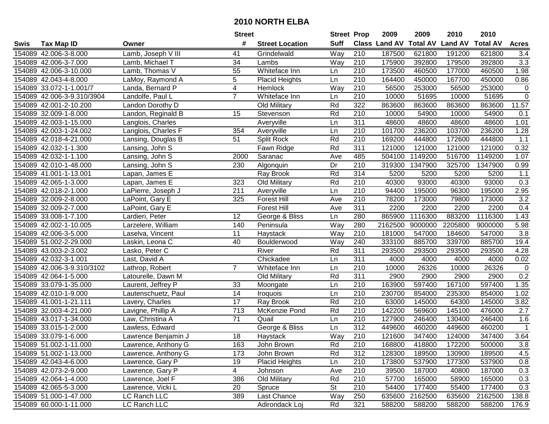|      |                            |                     | <b>Street</b>    |                        | <b>Street Prop</b> |                  | 2009                 | 2009            | 2010           | 2010            |                  |
|------|----------------------------|---------------------|------------------|------------------------|--------------------|------------------|----------------------|-----------------|----------------|-----------------|------------------|
| Swis | <b>Tax Map ID</b>          | Owner               | #                | <b>Street Location</b> | <b>Suff</b>        |                  | <b>Class Land AV</b> | <b>Total AV</b> | <b>Land AV</b> | <b>Total AV</b> | <b>Acres</b>     |
|      | 154089 42.006-3-8.000      | Lamb, Joseph V III  | 41               | Grindelwald            | Way                | 210              | 187500               | 621800          | 191200         | 621800          | 3.4              |
|      | 154089 42.006-3-7.000      | Lamb, Michael T     | 34               | Lambs                  | Way                | 210              | 175900               | 392800          | 179500         | 392800          | 3.3              |
|      | 154089 42.006-3-10.000     | Lamb, Thomas V      | 55               | Whiteface Inn          | Ln                 | 210              | 173500               | 460500          | 177000         | 460500          | 1.98             |
|      | 154089 42.043-4-8.000      | LaMoy, Raymond A    | 5                | Placid Heights         | Ln                 | 210              | 164400               | 450000          | 167700         | 450000          | 0.86             |
|      | 154089 33.072-1-1.001/7    | Landa, Bernard P    | 4                | Hemlock                | Way                | 210              | 56500                | 253000          | 56500          | 253000          | $\mathbf 0$      |
|      | 154089 42.006-3-9.310/3904 | Landolfe, Paul L    | $\overline{7}$   | Whiteface Inn          | Ln                 | 210              | 10000                | 51695           | 10000          | 51695           | $\overline{0}$   |
|      | 154089 42.001-2-10.200     | Landon Dorothy D    |                  | Old Military           | Rd                 | 322              | 863600               | 863600          | 863600         | 863600          | 11.57            |
|      | 154089 32.009-1-8.000      | Landon, Reginald B  | 15               | Stevenson              | Rd                 | 210              | 10000                | 54900           | 10000          | 54900           | 0.1              |
|      | 154089 42.003-1-15.000     | Langlois, Charles   |                  | Averyville             | Ln                 | 311              | 48600                | 48600           | 48600          | 48600           | 1.01             |
|      | 154089 42.003-1-24.002     | Langlois, Charles F | 354              | Averyville             | Ln                 | 210              | 101700               | 236200          | 103700         | 236200          | 1.28             |
|      | 154089 42.018-4-21.000     | Lansing, Douglas B  | 51               | Split Rock             | Rd                 | 210              | 169200               | 444800          | 172600         | 444800          | 1.1              |
|      | 154089 42.032-1-1.300      | Lansing, John S     |                  | Fawn Ridge             | Rd                 | 311              | 121000               | 121000          | 121000         | 121000          | 0.32             |
|      | 154089 42.032-1-1.100      | Lansing, John S     | 2000             | Saranac                | Ave                | 485              | 504100               | 1149200         | 516700         | 1149200         | 1.07             |
|      | 154089 42.010-1-48.000     | Lansing, John S     | 230              | Algonquin              | Dr                 | 210              | 319300               | 1347900         | 325700         | 1347900         | 0.99             |
|      | 154089 41.001-1-13.001     | Lapan, James E      |                  | Ray Brook              | Rd                 | 314              | 5200                 | 5200            | 5200           | 5200            | 1.1              |
|      | 154089 42.065-1-3.000      | Lapan, James E      | 323              | Old Military           | Rd                 | 210              | 40300                | 93000           | 40300          | 93000           | 0.3              |
|      | 154089 42.018-2-1.000      | LaPierre, Joseph J  | 211              | Averyville             | Ln                 | 210              | 94400                | 195000          | 96300          | 195000          | 2.95             |
|      | 154089 32.009-2-8.000      | LaPoint, Gary E     | 325              | <b>Forest Hill</b>     | Ave                | 210              | 78200                | 173000          | 79800          | 173000          | 3.2              |
|      | 154089 32.009-2-7.000      | LaPoint, Gary E     |                  | <b>Forest Hill</b>     | Ave                | 311              | 2200                 | 2200            | 2200           | 2200            | 0.4              |
|      | 154089 33.008-1-7.100      | Lardieri, Peter     | 12               | George & Bliss         | Ln                 | 280              | 865900               | 1116300         | 883200         | 1116300         | 1.43             |
|      | 154089 42.002-1-10.005     | Larzelere, William  | 140              | Peninsula              | Way                | 280              | 2162500              | 9000000         | 2205800        | 9000000         | 5.98             |
|      | 154089 42.006-3-5.000      | Laselva, Vincent    | 11               | Haystack               | Way                | 210              | 181000               | 547000          | 184600         | 547000          | 3.8              |
|      | 154089 51.002-2-29.000     | Laskin, Leona C     | 40               | Boulderwood            | Way                | 240              | 333100               | 885700          | 339700         | 885700          | 19.4             |
|      | 154089 43.003-2-3.002      | Lasko, Peter C      |                  | River                  | Rd                 | 311              | 293500               | 293500          | 293500         | 293500          | 4.28             |
|      | 154089 42.032-3-1.001      | Last, David A       |                  | Chickadee              | Ln                 | 311              | 4000                 | 4000            | 4000           | 4000            | 0.02             |
|      | 154089 42.006-3-9.310/3102 | Lathrop, Robert     | $\overline{7}$   | Whiteface Inn          | Ln                 | 210              | 10000                | 26326           | 10000          | 26326           | $\mathbf 0$      |
|      | 154089 42.064-1-5.000      | Latourelle, Dawn M  |                  | Old Military           | Rd                 | 311              | 2900                 | 2900            | 2900           | 2900            | 0.2              |
|      | 154089 33.079-1-35.000     | Laurent, Jeffrey P  | 33               | Moongate               | Ln                 | 210              | 163900               | 597400          | 167100         | 597400          | 1.35             |
|      | 154089 42.010-1-9.000      | Lautenschuetz, Paul | 14               | Iroquois               | Ln                 | 210              | 230700               | 854000          | 235300         | 854000          | 1.02             |
|      | 154089 41.001-1-21.111     | Lavery, Charles     | $\overline{17}$  | Ray Brook              | Rd                 | $\overline{210}$ | 63000                | 145000          | 64300          | 145000          | 3.82             |
|      | 154089 32.003-4-21.000     | Lavigne, Phillip A  | $\overline{713}$ | McKenzie Pond          | Rd                 | $\overline{210}$ | 142200               | 569600          | 145100         | 476000          | $\overline{2.7}$ |
|      | 154089 43.017-1-34.000     | Law, Christina A    | $\overline{71}$  | Quail                  | Ln                 | 210              | 127900               | 246400          | 130400         | 246400          | 1.6              |
|      | 154089 33.015-1-2.000      | Lawless, Edward     |                  | George & Bliss         | Ln                 | $\overline{312}$ | 449600               | 460200          | 449600         | 460200          | $\overline{1}$   |
|      | 154089 33.079-1-6.000      | Lawrence Benjamin J | 18               | Haystack               | $\overline{W}$ ay  | $\overline{210}$ | 121600               | 347400          | 124000         | 347400          | 3.64             |
|      | 154089 51.002-1-11.000     | Lawrence, Anthony G | 163              | John Brown             | Rd                 | 210              | 168800               | 418800          | 172200         | 500000          | 3.8              |
|      | 154089 51.002-1-13.000     | Lawrence, Anthony G | 173              | John Brown             | Rd                 | 312              | 128300               | 189500          | 130900         | 189500          | 4.5              |
|      | 154089 42.043-4-6.000      | Lawrence, Gary P    | 19               | Placid Heights         | Ln                 | 210              | 173800               | 537900          | 177300         | 537900          | 0.8              |
|      | 154089 42.073-2-9.000      | Lawrence, Gary P    | 4                | Johnson                | Ave                | 210              | 39500                | 187000          | 40800          | 187000          | 0.3              |
|      | 154089 42.064-1-4.000      | Lawrence, Joel F    | 386              | Old Military           | Rd                 | 210              | 57700                | 165000          | 58900          | 165000          | 0.3              |
|      | 154089 42.065-5-3.000      | Lawrence, Vicki L   | 20               | Spruce                 | <b>St</b>          | 210              | 54400                | 177400          | 55400          | 177400          | 0.3              |
|      | 154089 51.000-1-47.000     | LC Ranch LLC        | 389              | Last Chance            | Way                | 250              | 635600               | 2162500         | 635600         | 2162500         | 138.8            |
|      | 154089 60.000-1-11.000     | LC Ranch LLC        |                  | Adirondack Loj         | Rd                 | 321              | 588200               | 588200          | 588200         | 588200          | 176.9            |
|      |                            |                     |                  |                        |                    |                  |                      |                 |                |                 |                  |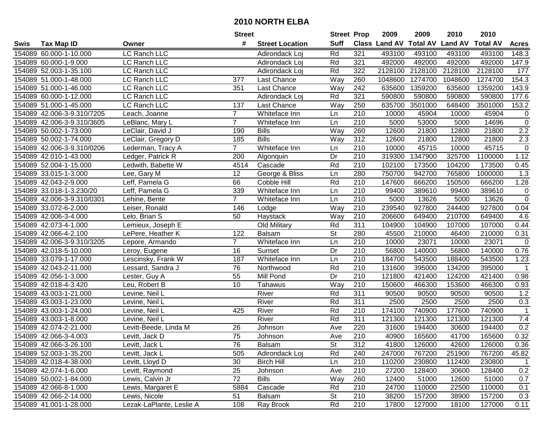|      |                            |                          | <b>Street</b>  |                        | <b>Street Prop</b> |                  | 2009                          | 2009    | 2010           | 2010            |                |
|------|----------------------------|--------------------------|----------------|------------------------|--------------------|------------------|-------------------------------|---------|----------------|-----------------|----------------|
| Swis | Tax Map ID                 | Owner                    | #              | <b>Street Location</b> | <b>Suff</b>        |                  | <b>Class Land AV Total AV</b> |         | <b>Land AV</b> | <b>Total AV</b> | <b>Acres</b>   |
|      | 154089 60.000-1-10.000     | LC Ranch LLC             |                | Adirondack Loi         | Rd                 | 321              | 493100                        | 493100  | 493100         | 493100          | 148.3          |
|      | 154089 60.000-1-9.000      | LC Ranch LLC             |                | Adirondack Loj         | Rd                 | 321              | 492000                        | 492000  | 492000         | 492000          | 147.9          |
|      | 154089 52.003-1-35.100     | LC Ranch LLC             |                | Adirondack Loj         | Rd                 | 322              | 2128100                       | 2128100 | 2128100        | 2128100         | 177            |
|      | 154089 51.000-1-48.000     | LC Ranch LLC             | 377            | Last Chance            | Way                | 260              | 1048600                       | 1274700 | 1048600        | 1274700         | 154.3          |
|      | 154089 51.000-1-46.000     | LC Ranch LLC             | 351            | Last Chance            | Way                | 242              | 635600                        | 1359200 | 635600         | 1359200         | 143.9          |
|      | 154089 60.000-1-12.000     | LC Ranch LLC             |                | Adirondack Loj         | Rd                 | 321              | 590800                        | 590800  | 590800         | 590800          | 177.6          |
|      | 154089 51.000-1-45.000     | LC Ranch LLC             | 137            | Last Chance            | Way                | 250              | 635700                        | 3501000 | 648400         | 3501000         | 153.2          |
|      | 154089 42.006-3-9.310/7205 | Leach, Joanne            | $\overline{7}$ | Whiteface Inn          | Ln                 | 210              | 10000                         | 45904   | 10000          | 45904           | $\mathbf 0$    |
|      | 154089 42.006-3-9.310/3605 | LeBlanc, Mary L          | $\overline{7}$ | Whiteface Inn          | Ln                 | $\overline{210}$ | 5000                          | 53000   | 5000           | 14696           | $\mathbf 0$    |
|      | 154089 50.002-1-73.000     | LeClair, David J         | 190            | <b>Bills</b>           | Way                | 260              | 12600                         | 21800   | 12800          | 21800           | 2.2            |
|      | 154089 50.002-1-74.000     | LeClair, Gregory D       | 185            | <b>Bills</b>           | Way                | 312              | 12600                         | 21800   | 12800          | 21800           | 2.3            |
|      | 154089 42.006-3-9.310/0206 | Lederman, Tracy A        | $\overline{7}$ | Whiteface Inn          | Ln                 | 210              | 10000                         | 45715   | 10000          | 45715           | $\mathbf 0$    |
|      | 154089 42.010-1-43.000     | Ledger, Patrick R        | 200            | Algonquin              | Dr                 | 210              | 319300                        | 1347900 | 325700         | 1100000         | 1.12           |
|      | 154089 52.004-1-15.000     | Ledwith, Babette W       | 4514           | Cascade                | Rd                 | 210              | 102100                        | 173500  | 104200         | 173500          | 0.45           |
|      | 154089 33.015-1-3.000      | Lee, Gary M              | 12             | George & Bliss         | Ln                 | 280              | 750700                        | 942700  | 765800         | 1000000         | 1.3            |
|      | 154089 42.043-2-9.000      | Leff, Pamela G           | 66             | Cobble Hill            | Rd                 | 210              | 147600                        | 666200  | 150500         | 666200          | 1.28           |
|      | 154089 33.018-1-3.230/20   | Leff, Pamela G           | 339            | Whiteface Inn          | Ln                 | 210              | 99400                         | 389610  | 99400          | 389610          | $\mathbf 0$    |
|      | 154089 42.006-3-9.310/0301 | Lehine, Bente            | $\overline{7}$ | Whiteface Inn          | Ln                 | 210              | 5000                          | 13626   | 5000           | 13626           | $\overline{0}$ |
|      | 154089 33.072-6-2.000      | Leiser, Ronald           | 146            | Lodge                  | Way                | 210              | 239540                        | 927800  | 244400         | 927800          | 0.04           |
|      | 154089 42.006-3-4.000      | Lelo, Brian S            | 50             | Haystack               | Way                | 210              | 206600                        | 649400  | 210700         | 649400          | 4.6            |
|      | 154089 42.073-4-1.000      | Lemieux, Joseph E        |                | Old Military           | Rd                 | 311              | 104900                        | 104900  | 107000         | 107000          | 0.44           |
|      | 154089 42.066-4-2.100      | LePere, Heather K        | 122            | Balsam                 | <b>St</b>          | 280              | 45500                         | 210000  | 46400          | 210000          | 0.31           |
|      | 154089 42.006-3-9.310/3205 | Lepore, Armando          | $\overline{7}$ | Whiteface Inn          | Ln                 | 210              | 10000                         | 23071   | 10000          | 23071           | $\mathbf 0$    |
|      | 154089 42.018-5-10.000     | Leroy, Eugene            | 16             | Sunset                 | Dr                 | 210              | 56800                         | 140000  | 56800          | 140000          | 0.76           |
|      | 154089 33.079-1-17.000     | Lescinsky, Frank W       | 187            | Whiteface Inn          | Ln                 | $\overline{210}$ | 184700                        | 543500  | 188400         | 543500          | 1.23           |
|      | 154089 42.043-2-11.000     | Lessard, Sandra J        | 76             | Northwood              | Rd                 | 210              | 131600                        | 395000  | 134200         | 395000          | $\overline{1}$ |
|      | 154089 42.056-1-3.000      | Lester, Guy A            | 55             | Mill Pond              | Dr                 | 210              | 121800                        | 421400  | 124200         | 421400          | 0.98           |
|      | 154089 42.018-4-3.420      | Leu, Robert B            | 10             | Tahawus                | Way                | 210              | 150600                        | 466300  | 153600         | 466300          | 0.93           |
|      | 154089 43.003-1-21.000     | Levine, Neil L           |                | River                  | Rd                 | $\overline{311}$ | 90500                         | 90500   | 90500          | 90500           | 1.2            |
|      | 154089 43.003-1-23.000     | Levine, Neil L           |                | River                  | Rd                 | $\overline{311}$ | 2500                          | 2500    | 2500           | 2500            | 0.3            |
|      | 154089 43.003-1-24.000     | Levine, Neil L           | 425            | River                  | Rd                 | $\overline{210}$ | 174100                        | 740900  | 177600         | 740900          | $\overline{1}$ |
|      | 154089 43.003-1-8.000      | Levine, Neil L           |                | River                  | Rd                 | 311              | 121300                        | 121300  | 121300         | 121300          | 7.4            |
|      | 154089 42.074-2-21.000     | Levitt-Beede, Linda M    | 26             | Johnson                | Ave                | 220              | 31600                         | 194400  | 30600          | 194400          | 0.2            |
|      | 154089 42.066-3-4.003      | Levitt, Jack D           | 75             | Johnson                | Ave                | 210              | 40900                         | 165600  | 41700          | 165600          | 0.32           |
|      | 154089 42.066-3-26.100     | Levitt, Jack L           | 76             | Balsam                 | St                 | 312              | 41800                         | 126000  | 42600          | 126000          | 0.36           |
|      | 154089 52.003-1-35.200     | Levitt, Jack L           | 505            | Adirondack Loj         | Rd                 | 240              | 247000                        | 767200  | 251900         | 767200          | 45.82          |
|      | 154089 42.018-4-38.000     | Levitt, Lloyd D          | 30             | <b>Birch Hill</b>      | Ln                 | 210              | 110200                        | 230800  | 112400         | 230800          | $\mathbf{1}$   |
|      | 154089 42.074-1-6.000      | Levitt, Raymond          | 25             | Johnson                | Ave                | 210              | 27200                         | 128400  | 30600          | 128400          | 0.2            |
|      | 154089 50.002-1-84.000     | Lewis, Calvin Jr         | 72             | <b>Bills</b>           | Way                | 260              | 12400                         | 51000   | 12600          | 51000           | 0.7            |
|      | 154089 42.066-8-1.000      | Lewis, Margaret E        | 5884           | Cascade                | Rd                 | 210              | 24700                         | 110000  | 22500          | 110000          | 0.1            |
|      | 154089 42.066-2-14.000     | Lewis, Nicole            | 51             | Balsam                 | St                 | 210              | 38200                         | 157200  | 38900          | 157200          | 0.3            |
|      | 154089 41.001-1-28.000     | Lezak-LaPlante, Leslie A | 108            | Ray Brook              | Rd                 | 210              | 17800                         | 127000  | 18100          | 127000          | 0.11           |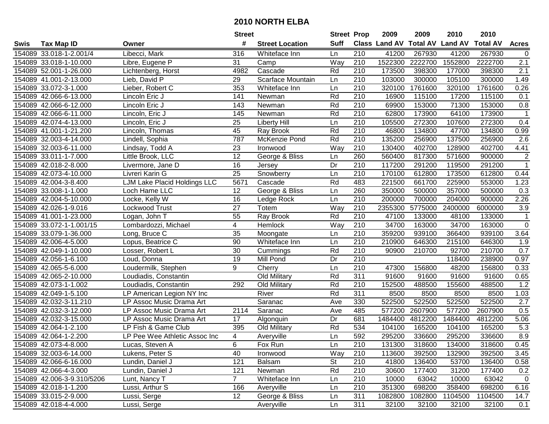|      |                            |                               | <b>Street</b>           |                        | <b>Street Prop</b> |                  | 2009                 | 2009            | 2010           | 2010            |              |
|------|----------------------------|-------------------------------|-------------------------|------------------------|--------------------|------------------|----------------------|-----------------|----------------|-----------------|--------------|
| Swis | <b>Tax Map ID</b>          | Owner                         | #                       | <b>Street Location</b> | <b>Suff</b>        |                  | <b>Class Land AV</b> | <b>Total AV</b> | <b>Land AV</b> | <b>Total AV</b> | <b>Acres</b> |
|      | 154089 33.018-1-2.001/4    | Libecci, Mark                 | 316                     | Whiteface Inn          | Ln                 | 210              | 41200                | 267930          | 41200          | 267930          | 0            |
|      | 154089 33.018-1-10.000     | Libre, Eugene P               | 31                      | Camp                   | Way                | 210              | 1522300              | 2222700         | 1552800        | 2222700         | 2.1          |
|      | 154089 52.001-1-26.000     | Lichtenberg, Horst            | 4982                    | Cascade                | Rd                 | 210              | 173500               | 398300          | 177000         | 398300          | 2.1          |
|      | 154089 41.001-2-13.000     | Lieb, David P                 | 29                      | Scarface Mountain      | Ln                 | 210              | 103000               | 300000          | 105100         | 300000          | 1.49         |
|      | 154089 33.072-3-1.000      | Lieber, Robert C              | 353                     | Whiteface Inn          | Ln                 | 210              | 320100               | 1761600         | 320100         | 1761600         | 0.26         |
|      | 154089 42.066-6-13.000     | Lincoln Eric J                | 141                     | Newman                 | Rd                 | $\overline{210}$ | 16900                | 115100          | 17200          | 115100          | 0.1          |
|      | 154089 42.066-6-12.000     | Lincoln Eric J                | 143                     | Newman                 | Rd                 | 210              | 69900                | 153000          | 71300          | 153000          | 0.8          |
|      | 154089 42.066-6-11.000     | Lincoln, Eric J               | 145                     | Newman                 | Rd                 | $\overline{210}$ | 62800                | 173900          | 64100          | 173900          | $\mathbf 1$  |
|      | 154089 42.074-4-13.000     | Lincoln, Eric J               | 25                      | <b>Liberty Hill</b>    | Ln                 | $\overline{210}$ | 105500               | 272300          | 107600         | 272300          | 0.4          |
|      | 154089 41.001-1-21.200     | Lincoln, Thomas               | 45                      | Ray Brook              | Rd                 | 210              | 46800                | 134800          | 47700          | 134800          | 0.99         |
|      | 154089 32.003-4-14.000     | Lindell, Sophia               | 787                     | McKenzie Pond          | Rd                 | 210              | 135200               | 256900          | 137500         | 256900          | 2.6          |
|      | 154089 32.003-6-11.000     | Lindsay, Todd A               | 23                      | Ironwood               | Way                | 210              | 130400               | 402700          | 128900         | 402700          | 4.41         |
|      | 154089 33.011-1-7.000      | Little Brook, LLC             | $\overline{12}$         | George & Bliss         | Ln                 | 260              | 560400               | 817300          | 571600         | 900000          | $\mathbf 2$  |
|      | 154089 42.018-2-8.000      | Livermore, Jane D             | 16                      | Jersey                 | Dr                 | 210              | 117200               | 291200          | 119500         | 291200          | $\mathbf{1}$ |
|      | 154089 42.073-4-10.000     | Livreri Karin G               | 25                      | Snowberry              | Ln                 | 210              | 170100               | 612800          | 173500         | 612800          | 0.44         |
|      | 154089 42.004-3-8.400      | LJM Lake Placid Holdings LLC  | 5671                    | Cascade                | Rd                 | 483              | 221500               | 661700          | 225900         | 553000          | 1.23         |
|      | 154089 33.008-1-1.000      | Loch Hame LLC                 | 12                      | George & Bliss         | Ln                 | 260              | 350000               | 500000          | 357000         | 500000          | 0.3          |
|      | 154089 42.004-5-10.000     | Locke, Kelly W                | 16                      | Ledge Rock             | Ln                 | 210              | 200000               | 700000          | 204000         | 900000          | 2.26         |
|      | 154089 42.026-1-9.016      | Lockwood Trust                | 27                      | Totem                  | Way                | 210              | 2355300              | 5775000         | 2400000        | 6000000         | 3.9          |
|      | 154089 41.001-1-23.000     | Logan, John T                 | 55                      | Ray Brook              | Rd                 | 210              | 47100                | 133000          | 48100          | 133000          | $\mathbf 1$  |
|      | 154089 33.072-1-1.001/15   | Lombardozzi, Michael          | $\overline{\mathbf{4}}$ | Hemlock                | Way                | 210              | 34700                | 163000          | 34700          | 163000          | $\pmb{0}$    |
|      | 154089 33.079-1-36.000     | Long, Bruce C                 | 35                      | Moongate               | Ln                 | 210              | 359200               | 939100          | 366400         | 939100          | 3.64         |
|      | 154089 42.006-4-5.000      | Lopus, Beatrice C             | 90                      | Whiteface Inn          | Ln                 | 210              | 210900               | 646300          | 215100         | 646300          | 1.9          |
|      | 154089 42.049-1-10.000     | Losser, Robert L              | 30                      | Cummings               | Rd                 | 210              | 90900                | 210700          | 92700          | 210700          | 0.7          |
|      | 154089 42.056-1-6.100      | Loud, Donna                   | 19                      | Mill Pond              | Dr                 | $\overline{210}$ |                      |                 | 118400         | 238900          | 0.97         |
|      | 154089 42.065-5-6.000      | Loudermilk, Stephen           | 9                       | Cherry                 | Ln                 | 210              | 47300                | 156800          | 48200          | 156800          | 0.33         |
|      | 154089 42.065-2-10.000     | Loudiadis, Constantin         |                         | Old Military           | Rd                 | 311              | 91600                | 91600           | 91600          | 91600           | 0.65         |
|      | 154089 42.073-1-1.002      | Loudiadis, Constantin         | 292                     | Old Military           | Rd                 | 210              | 152500               | 488500          | 155600         | 488500          | 1.2          |
|      | 154089 42.049-1-5.100      | LP American Legion NY Inc     |                         | River                  | Rd                 | $\overline{311}$ | 8500                 | 8500            | 8500           | 8500            | 1.03         |
|      | 154089 42.032-3-11.210     | LP Assoc Music Drama Art      |                         | Saranac                | Ave                | 330              | 522500               | 522500          | 522500         | 522500          | 2.7          |
|      | 154089 42.032-3-12.000     | LP Assoc Music Drama Art      | 2114                    | Saranac                | Ave                | 485              | 577200               | 2607900         | 577200         | 2607900         | 0.5          |
|      | 154089 42.032-3-15.000     | LP Assoc Music Drama Art      | 17                      | Algonquin              | Dr                 | 681              | 1484400              | 4812200         | 1484400        | 4812200         | 5.06         |
|      | 154089 42.064-1-2.100      | LP Fish & Game Club           | 395                     | Old Military           | Rd                 | 534              | 104100               | 165200          | 104100         | 165200          | 5.3          |
|      | 154089 42.064-1-2.200      | LP Pee Wee Athletic Assoc Inc | 4                       | Averyville             | Ln                 | 592              | 295200               | 336600          | 295200         | 336600          | 8.9          |
|      | 154089 42.073-4-8.000      | Lucas, Steven A               | 6                       | Fox Run                | Ln                 | 210              | 131300               | 318600          | 134000         | 318600          | 0.45         |
|      | 154089 32.003-6-14.000     | Lukens, Peter S               | 40                      | Ironwood               | Way                | 210              | 113600               | 392500          | 132900         | 392500          | 3.45         |
|      | 154089 42.066-6-16.000     | Lundin, Daniel J              | 121                     | Balsam                 | St                 | 210              | 41800                | 136400          | 53700          | 136400          | 0.58         |
|      | 154089 42.066-4-3.000      | Lundin, Daniel J              | 121                     | Newman                 | Rd                 | 210              | 30600                | 177400          | 31200          | 177400          | 0.2          |
|      | 154089 42.006-3-9.310/5206 | Lunt, Nancy T                 | 7 <sup>1</sup>          | Whiteface Inn          | Ln                 | 210              | 10000                | 63042           | 10000          | 63042           | $\mathbf 0$  |
|      | 154089 42.018-1-1.200      | Lussi, Arthur S               | 166                     | Averyville             | Ln                 | 210              | 351300               | 698200          | 358400         | 698200          | 6.16         |
|      | 154089 33.015-2-9.000      | Lussi, Serge                  | 12                      | George & Bliss         | Ln                 | 311              | 1082800              | 1082800         | 1104500        | 1104500         | 14.7         |
|      | 154089 42.018-4-4.000      | Lussi, Serge                  |                         | Averyville             | Ln                 | 311              | 32100                | 32100           | 32100          | 32100           | 0.1          |
|      |                            |                               |                         |                        |                    |                  |                      |                 |                |                 |              |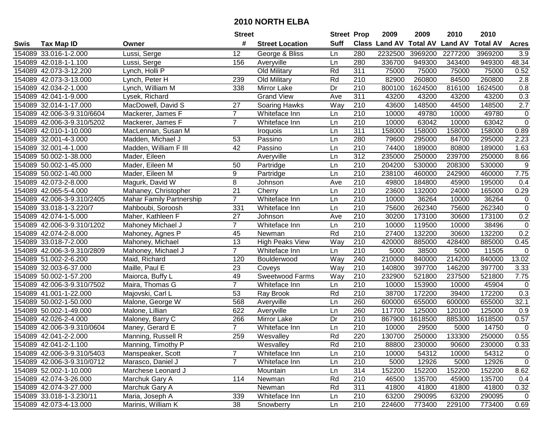|      |                            |                                 | <b>Street</b>   |                        | <b>Street Prop</b> |                  | 2009                          | 2009    | 2010           | 2010            |                |
|------|----------------------------|---------------------------------|-----------------|------------------------|--------------------|------------------|-------------------------------|---------|----------------|-----------------|----------------|
| Swis | <b>Tax Map ID</b>          | Owner                           | #               | <b>Street Location</b> | <b>Suff</b>        |                  | <b>Class Land AV Total AV</b> |         | <b>Land AV</b> | <b>Total AV</b> | <b>Acres</b>   |
|      | 154089 33.016-1-2.000      | Lussi, Serge                    | 12              | George & Bliss         | Ln                 | 280              | 2232500                       | 3969200 | 2277200        | 3969200         | 3.9            |
|      | 154089 42.018-1-1.100      | Lussi, Serge                    | 156             | Averyville             | Ln                 | 280              | 336700                        | 949300  | 343400         | 949300          | 48.34          |
|      | 154089 42.073-3-12.200     | Lynch, Holli P                  |                 | Old Military           | Rd                 | 311              | 75000                         | 75000   | 75000          | 75000           | 0.52           |
|      | 154089 42.073-3-13.000     | Lynch, Peter H                  | 239             | Old Military           | Rd                 | 210              | 82900                         | 260800  | 84500          | 260800          | 2.8            |
|      | 154089 42.034-2-1.000      | Lynch, William M                | 338             | Mirror Lake            | Dr                 | 210              | 800100                        | 1624500 | 816100         | 1624500         | 0.8            |
|      | 154089 42.041-1-9.000      | Lysek, Richard                  |                 | <b>Grand View</b>      | Ave                | 311              | 43200                         | 43200   | 43200          | 43200           | 0.3            |
|      | 154089 32.014-1-17.000     | MacDowell, David S              | 27              | Soaring Hawks          | Way                | 210              | 43600                         | 148500  | 44500          | 148500          | 2.7            |
|      | 154089 42.006-3-9.310/6604 | Mackerer, James F               | $\overline{7}$  | Whiteface Inn          | Ln                 | 210              | 10000                         | 49780   | 10000          | 49780           | $\mathbf 0$    |
|      | 154089 42.006-3-9.310/5202 | Mackerer, James F               | $\overline{7}$  | Whiteface Inn          | Ln                 | $\overline{210}$ | 10000                         | 63042   | 10000          | 63042           | $\mathbf 0$    |
|      | 154089 42.010-1-10.000     | MacLennan, Susan M              |                 | Iroquois               | Ln                 | 311              | 158000                        | 158000  | 158000         | 158000          | 0.89           |
|      | 154089 32.001-4-3.000      | Madden, Michael J               | 53              | Passino                | Ln                 | 280              | 79600                         | 295000  | 84700          | 295000          | 2.23           |
|      | 154089 32.001-4-1.000      | Madden, William F III           | 42              | Passino                | Ln                 | 210              | 74400                         | 189000  | 80800          | 189000          | 1.63           |
|      | 154089 50.002-1-38.000     | Mader, Eileen                   |                 | Averyville             | Ln                 | 312              | 235000                        | 250000  | 239700         | 250000          | 8.66           |
|      | 154089 50.002-1-45.000     | Mader, Eileen M                 | 50              | Partridge              | Ln                 | 210              | 204200                        | 530000  | 208300         | 530000          | 9              |
|      | 154089 50.002-1-40.000     | Mader, Eileen M                 | 9               | Partridge              | Ln                 | 210              | 238100                        | 460000  | 242900         | 460000          | 7.75           |
|      | 154089 42.073-2-8.000      | Magurk, David W                 | 8               | Johnson                | Ave                | 210              | 49800                         | 184800  | 45900          | 195000          | 0.4            |
|      | 154089 42.065-5-4.000      | Mahaney, Christopher            | $\overline{21}$ | Cherry                 | Ln                 | 210              | 23600                         | 132000  | 24000          | 165000          | 0.29           |
|      | 154089 42.006-3-9.310/2405 | <b>Mahar Family Partnership</b> | $\overline{7}$  | Whiteface Inn          | Ln                 | 210              | 10000                         | 36264   | 10000          | 36264           | 0              |
|      | 154089 33.018-1-3.220/7    | Mahboubi, Soroosh               | 331             | Whiteface Inn          | Ln                 | 210              | 75600                         | 262340  | 75600          | 262340          | $\overline{0}$ |
|      | 154089 42.074-1-5.000      | Maher, Kathleen F               | 27              | Johnson                | Ave                | 210              | 30200                         | 173100  | 30600          | 173100          | 0.2            |
|      | 154089 42.006-3-9.310/1202 | Mahoney Michael J               | $\overline{7}$  | Whiteface Inn          | Ln                 | 210              | 10000                         | 119500  | 10000          | 38496           | $\pmb{0}$      |
|      | 154089 42.074-2-8.000      | Mahoney, Agnes P                | 45              | Newman                 | Rd                 | 210              | 27400                         | 132200  | 30600          | 132200          | 0.2            |
|      | 154089 33.018-7-2.000      | Mahoney, Michael                | 13              | <b>High Peaks View</b> | Way                | 210              | 420000                        | 885000  | 428400         | 885000          | 0.45           |
|      | 154089 42.006-3-9.310/2809 | Mahoney, Michael J              | $\overline{7}$  | Whiteface Inn          | Ln                 | 210              | 5000                          | 38500   | 5000           | 11505           | $\mathbf 0$    |
|      | 154089 51.002-2-6.200      | Maid, Richard                   | 120             | Boulderwood            | Way                | 240              | 210000                        | 840000  | 214200         | 840000          | 13.02          |
|      | 154089 32.003-6-37.000     | Maille, Paul E                  | 23              | Coveys                 | Way                | 210              | 140800                        | 397700  | 146200         | 397700          | 3.33           |
|      | 154089 50.002-1-57.200     | Maiorca, Buffy L                | 49              | Sweetwood Farms        | Way                | 210              | 232900                        | 521800  | 237500         | 521800          | 7.75           |
|      | 154089 42.006-3-9.310/7502 | Maira, Thomas G                 | $\overline{7}$  | Whiteface Inn          | Ln                 | 210              | 10000                         | 153900  | 10000          | 45904           | $\mathbf 0$    |
|      | 154089 41.001-1-22.000     | Majovski, Carl L                | 53              | Ray Brook              | Rd                 | 210              | 38700                         | 172200  | 39400          | 172200          | 0.3            |
|      | 154089 50.002-1-50.000     | Malone, George W                | 568             | Averyville             | Ln                 | 260              | 600000                        | 655000  | 600000         | 655000          | 32.1           |
|      | 154089 50.002-1-49.000     | Malone, Lillian                 | 622             | Averyville             | Ln                 | 260              | 117700                        | 125000  | 120100         | 125000          | 0.9            |
|      | 154089 42.026-2-4.000      | Maloney, Barry C                | 266             | Mirror Lake            | Dr                 | 210              | 867900                        | 1618500 | 885300         | 1618500         | 0.57           |
|      | 154089 42.006-3-9.310/0604 | Maney, Gerard E                 | $\overline{7}$  | Whiteface Inn          | Ln                 | $\overline{210}$ | 10000                         | 29500   | 5000           | 14750           | $\overline{0}$ |
|      | 154089 42.041-2-2.000      | Manning, Russell R              | 259             | Wesvalley              | Rd                 | 220              | 130700                        | 250000  | 133300         | 250000          | 0.55           |
|      | 154089 42.041-2-1.100      | Manning, Timothy P              |                 | Wesvalley              | Rd                 | 210              | 88800                         | 230000  | 90600          | 230000          | 0.33           |
|      | 154089 42.006-3-9.310/5403 | Manspeaker, Scott               | $\overline{7}$  | Whiteface Inn          | Ln                 | 210              | 10000                         | 54312   | 10000          | 54312           | $\mathbf 0$    |
|      | 154089 42.006-3-9.310/0712 | Marasco, Daniel J               | $\overline{7}$  | Whiteface Inn          | Ln                 | 210              | 5000                          | 12926   | 5000           | 12926           | $\mathbf 0$    |
|      | 154089 52.002-1-10.000     | Marchese Leonard J              |                 | Mountain               | Ln                 | 314              | 152200                        | 152200  | 152200         | 152200          | 8.62           |
|      | 154089 42.074-3-26.000     | Marchuk Gary A                  | 114             | Newman                 | Rd                 | 210              | 46500                         | 135700  | 45900          | 135700          | 0.4            |
|      | 154089 42.074-3-27.000     | Marchuk Gary A                  |                 | Newman                 | Rd                 | 311              | 41800                         | 41800   | 41800          | 41800           | 0.32           |
|      | 154089 33.018-1-3.230/11   | Maria, Joseph A                 | 339             | Whiteface Inn          | Ln                 | 210              | 63200                         | 290095  | 63200          | 290095          | $\overline{0}$ |
|      | 154089 42.073-4-13.000     | Marinis, William K              | 38              | Snowberry              | Ln                 | 210              | 224600                        | 773400  | 229100         | 773400          | 0.69           |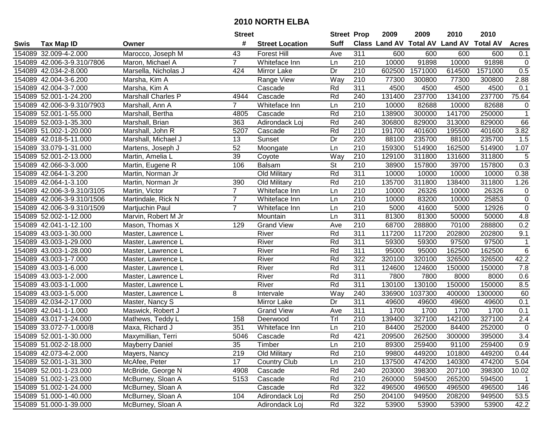|      |                            |                        | <b>Street</b>  |                        | <b>Street Prop</b> |                  | 2009   | 2009    | 2010                                    | 2010    |                  |
|------|----------------------------|------------------------|----------------|------------------------|--------------------|------------------|--------|---------|-----------------------------------------|---------|------------------|
| Swis | <b>Tax Map ID</b>          | Owner                  | #              | <b>Street Location</b> | <b>Suff</b>        |                  |        |         | Class Land AV Total AV Land AV Total AV |         | <b>Acres</b>     |
|      | 154089 32.009-4-2.000      | Marocco, Joseph M      | 43             | <b>Forest Hill</b>     | Ave                | 311              | 600    | 600     | 600                                     | 600     | 0.1              |
|      | 154089 42.006-3-9.310/7806 | Maron, Michael A       | $\overline{7}$ | Whiteface Inn          | Ln                 | 210              | 10000  | 91898   | 10000                                   | 91898   | $\mathbf 0$      |
|      | 154089 42.034-2-8.000      | Marsella, Nicholas J   | 424            | Mirror Lake            | Dr                 | 210              | 602500 | 1571000 | 614500                                  | 1571000 | 0.5              |
|      | 154089 42.004-3-6.200      | Marsha, Kim A          |                | Range View             | Way                | 210              | 77300  | 300800  | 77300                                   | 300800  | 2.88             |
|      | 154089 42.004-3-7.000      | Marsha, Kim A          |                | Cascade                | Rd                 | 311              | 4500   | 4500    | 4500                                    | 4500    | 0.1              |
|      | 154089 52.001-1-24.200     | Marshall Charles P     | 4944           | Cascade                | Rd                 | 240              | 131400 | 237700  | 134100                                  | 237700  | 75.64            |
|      | 154089 42.006-3-9.310/7903 | Marshall, Ann A        | $\overline{7}$ | Whiteface Inn          | Ln                 | 210              | 10000  | 82688   | 10000                                   | 82688   | $\mathbf 0$      |
|      | 154089 52.001-1-55.000     | Marshall, Bertha       | 4805           | Cascade                | Rd                 | 210              | 138900 | 300000  | 141700                                  | 250000  | $\overline{1}$   |
|      | 154089 52.003-1-35.300     | Marshall, Brian        | 363            | Adirondack Loj         | Rd                 | 240              | 306800 | 829000  | 313000                                  | 829000  | 66               |
|      | 154089 51.002-1-20.000     | Marshall, John R       | 5207           | Cascade                | Rd                 | 210              | 191700 | 401600  | 195500                                  | 401600  | 3.82             |
|      | 154089 42.018-5-11.000     | Marshall, Michael J    | 13             | Sunset                 | Dr                 | 220              | 88100  | 235700  | 88100                                   | 235700  | 1.5              |
|      | 154089 33.079-1-31.000     | Martens, Joseph J      | 52             | Moongate               | Ln                 | 210              | 159300 | 514900  | 162500                                  | 514900  | 1.07             |
|      | 154089 52.001-2-13.000     | Martin, Amelia L       | 39             | Coyote                 | Way                | 210              | 129100 | 311800  | 131600                                  | 311800  | $\sqrt{5}$       |
|      | 154089 42.066-3-3.000      | Martin, Eugene R       | 106            | Balsam                 | <b>St</b>          | 210              | 38900  | 157800  | 39700                                   | 157800  | 0.3              |
|      | 154089 42.064-1-3.200      | Martin, Norman Jr      |                | Old Military           | Rd                 | 311              | 10000  | 10000   | 10000                                   | 10000   | 0.38             |
|      | 154089 42.064-1-3.100      | Martin, Norman Jr      | 390            | Old Military           | Rd                 | 210              | 135700 | 311800  | 138400                                  | 311800  | 1.26             |
|      | 154089 42.006-3-9.310/3105 | Martin, Victor         | $\overline{7}$ | Whiteface Inn          | Ln                 | 210              | 10000  | 26326   | 10000                                   | 26326   | $\mathbf 0$      |
|      | 154089 42.006-3-9.310/1506 | Martindale, Rick N     | 7              | Whiteface Inn          | Ln                 | 210              | 10000  | 83200   | 10000                                   | 25853   | $\mathbf 0$      |
|      | 154089 42.006-3-9.310/1509 | Martjuchin Paul        | $\overline{7}$ | Whiteface Inn          | Ln                 | 210              | 5000   | 41600   | 5000                                    | 12926   | $\mathbf 0$      |
|      | 154089 52.002-1-12.000     | Marvin, Robert M Jr    |                | Mountain               | Ln                 | 311              | 81300  | 81300   | 50000                                   | 50000   | 4.8              |
|      | 154089 42.041-1-12.100     | Mason, Thomas X        | 129            | <b>Grand View</b>      | Ave                | 210              | 68700  | 288800  | 70100                                   | 288800  | 0.2              |
|      | 154089 43.003-1-30.000     | Master, Lawrence L     |                | River                  | Rd                 | 311              | 117200 | 117200  | 202800                                  | 202800  | 9.1              |
|      | 154089 43.003-1-29.000     | Master, Lawrence L     |                | River                  | Rd                 | 311              | 59300  | 59300   | 97500                                   | 97500   | $\mathbf 1$      |
|      | 154089 43.003-1-28.000     | Master, Lawrence L     |                | River                  | Rd                 | 311              | 95000  | 95000   | 162500                                  | 162500  | $\,6\,$          |
|      | 154089 43.003-1-7.000      | Master, Lawrence L     |                | River                  | Rd                 | 322              | 320100 | 320100  | 326500                                  | 326500  | 42.2             |
|      | 154089 43.003-1-6.000      | Master, Lawrence L     |                | River                  | Rd                 | 311              | 124600 | 124600  | 150000                                  | 150000  | 7.8              |
|      | 154089 43.003-1-2.000      | Master, Lawrence L     |                | River                  | Rd                 | 311              | 7800   | 7800    | 8000                                    | 8000    | 0.6              |
|      | 154089 43.003-1-1.000      | Master, Lawrence L     |                | River                  | Rd                 | 311              | 130100 | 130100  | 150000                                  | 150000  | 8.5              |
|      | 154089 43.003-1-5.000      | Master, Lawrence L     | 8              | Intervale              | Way                | 240              | 336900 | 1037300 | 400000                                  | 1300000 | 60               |
|      | 154089 42.034-2-17.000     | Master, Nancy S        |                | Mirror Lake            | Dr                 | 311              | 49600  | 49600   | 49600                                   | 49600   | 0.1              |
|      | 154089 42.041-1-1.000      | Maswick, Robert J      |                | <b>Grand View</b>      | Ave                | 311              | 1700   | 1700    | 1700                                    | 1700    | 0.1              |
|      | 154089 43.017-1-24.000     | Mathews, Teddy L       | 158            | Deerwood               | Tr                 | 210              | 139400 | 327100  | 142100                                  | 327100  | 2.4              |
|      | 154089 33.072-7-1.000/8    | Maxa, Richard J        | 351            | Whiteface Inn          | Ln                 | $\overline{210}$ | 84400  | 252000  | 84400                                   | 252000  | $\mathbf 0$      |
|      | 154089 52.001-1-30.000     | Maxymillian, Terri     | 5046           | Cascade                | Rd                 | 421              | 209500 | 262500  | 300000                                  | 395000  | $\overline{3.4}$ |
|      | 154089 51.002-2-18.000     | <b>Mayberry Daniel</b> | 35             | Timber                 | Ln                 | 210              | 89300  | 259400  | 91100                                   | 259400  | 0.9              |
|      | 154089 42.073-4-2.000      | Mayers, Nancy          | 219            | Old Military           | Rd                 | 210              | 99800  | 449200  | 101800                                  | 449200  | 0.44             |
|      | 154089 52.001-1-31.300     | McAfee, Peter          | 17             | <b>Country Club</b>    | Ln                 | 210              | 137500 | 474200  | 140300                                  | 474200  | 5.04             |
|      | 154089 52.001-1-23.000     | McBride, George N      | 4908           | Cascade                | Rd                 | 240              | 203000 | 398300  | 207100                                  | 398300  | 10.02            |
|      | 154089 51.002-1-23.000     | McBurney, Sloan A      | 5153           | Cascade                | Rd                 | 210              | 260000 | 594500  | 265200                                  | 594500  | $\overline{1}$   |
|      | 154089 51.002-1-24.000     | McBurney, Sloan A      |                | Cascade                | Rd                 | 322              | 496500 | 496500  | 496500                                  | 496500  | 146              |
|      | 154089 51.000-1-40.000     | McBurney, Sloan A      | 104            | Adirondack Loj         | Rd                 | 250              | 204100 | 949500  | 208200                                  | 949500  | 53.5             |
|      | 154089 51.000-1-39.000     | McBurney, Sloan A      |                | Adirondack Loj         | Rd                 | 322              | 53900  | 53900   | 53900                                   | 53900   | 42.2             |
|      |                            |                        |                |                        |                    |                  |        |         |                                         |         |                  |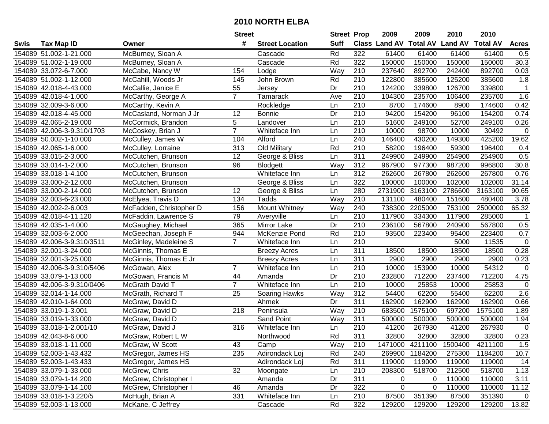|      |                            |                         | <b>Street</b>  |                        | <b>Street Prop</b> |                  | 2009                          | 2009            | 2010           | 2010            |                   |
|------|----------------------------|-------------------------|----------------|------------------------|--------------------|------------------|-------------------------------|-----------------|----------------|-----------------|-------------------|
| Swis | Tax Map ID                 | Owner                   | #              | <b>Street Location</b> | <b>Suff</b>        |                  | <b>Class Land AV Total AV</b> |                 | <b>Land AV</b> | <b>Total AV</b> | <b>Acres</b>      |
|      | 154089 51.002-1-21.000     | McBurney, Sloan A       |                | Cascade                | Rd                 | 322              | 61400                         | 61400           | 61400          | 61400           | 0.5               |
|      | 154089 51.002-1-19.000     | McBurney, Sloan A       |                | Cascade                | Rd                 | 322              | 150000                        | 150000          | 150000         | 150000          | $\overline{30.3}$ |
|      | 154089 33.072-6-7.000      | McCabe, Nancy W         | 154            | Lodge                  | Way                | 210              | 237640                        | 892700          | 242400         | 892700          | 0.03              |
|      | 154089 51.002-1-12.000     | McCahill, Woods Jr      | 145            | John Brown             | Rd                 | 210              | 122800                        | 385600          | 125200         | 385600          | 1.8               |
|      | 154089 42.018-4-43.000     | McCallie, Janice E      | 55             | Jersey                 | Dr                 | 210              | 124200                        | 339800          | 126700         | 339800          | $\mathbf{1}$      |
|      | 154089 42.018-4-1.000      | McCarthy, George A      | $\overline{7}$ | Tamarack               | Ave                | $\overline{210}$ | 104300                        | 235700          | 106400         | 235700          | 1.6               |
|      | 154089 32.009-3-6.000      | McCarthy, Kevin A       |                | Rockledge              | Ln                 | 210              | 8700                          | 174600          | 8900           | 174600          | 0.42              |
|      | 154089 42.018-4-45.000     | McCasland, Norman J Jr  | 12             | <b>Bonnie</b>          | $\overline{Dr}$    | $\overline{210}$ | 94200                         | 154200          | 96100          | 154200          | 0.74              |
|      | 154089 42.065-2-19.000     | McCormick, Brandon      | 5              | Landover               | Ln                 | $\overline{210}$ | 51600                         | 249100          | 52700          | 249100          | 0.26              |
|      | 154089 42.006-3-9.310/1703 | McCoskey, Brian J       | $\overline{7}$ | Whiteface Inn          | Ln                 | 210              | 10000                         | 98700           | 10000          | 30492           | 0                 |
|      | 154089 50.002-1-10.000     | McCulley, James W       | 104            | Alford                 | Ln                 | 240              | 146400                        | 430200          | 149300         | 425200          | 19.62             |
|      | 154089 42.065-1-6.000      | McCulley, Lorraine      | 313            | Old Military           | Rd                 | 210              | 58200                         | 196400          | 59300          | 196400          | 0.4               |
|      | 154089 33.015-2-3.000      | McCutchen, Brunson      | 12             | George & Bliss         | Ln                 | 311              | 249900                        | 249900          | 254900         | 254900          | 0.5               |
|      | 154089 33.014-1-2.000      | McCutchen, Brunson      | 96             | Blodgett               | Way                | 312              | 967900                        | 977300          | 987200         | 996800          | 30.8              |
|      | 154089 33.018-1-4.100      | McCutchen, Brunson      |                | Whiteface Inn          | Ln                 | 312              | 262600                        | 267800          | 262600         | 267800          | 0.76              |
|      | 154089 33.000-2-12.000     | McCutchen, Brunson      |                | George & Bliss         | Ln                 | 322              | 100000                        | 100000          | 102000         | 102000          | 31.14             |
|      | 154089 33.000-2-14.000     | McCutchen, Brunson      | 12             | George & Bliss         | Ln                 | 280              | 2731900                       | 3163100         | 2786600        | 3163100         | 90.65             |
|      | 154089 32.003-6-23.000     | McElyea, Travis D       | 134            | Tadds                  | Way                | 210              | 131100                        | 480400          | 151600         | 480400          | 3.78              |
|      | 154089 42.002-2-6.003      | McFadden, Christopher D | 156            | Mount Whitney          | Way                | 240              | 738300                        | 2205000         | 753100         | 2500000         | 65.32             |
|      | 154089 42.018-4-11.120     | McFaddin, Lawrence S    | 79             | Averyville             | Ln                 | 210              | 117900                        | 334300          | 117900         | 285000          | $\mathbf{1}$      |
|      | 154089 42.035-1-4.000      | McGaughey, Michael      | 365            | Mirror Lake            | Dr                 | 210              | 236100                        | 567800          | 240900         | 567800          | 0.5               |
|      | 154089 32.003-6-2.000      | McGeechan, Joseph F     | 944            | McKenzie Pond          | Rd                 | 210              | 93500                         | 223400          | 95400          | 223400          | 0.7               |
|      | 154089 42.006-3-9.310/3511 | McGinley, Madeleine S   | $\overline{7}$ | Whiteface Inn          | Ln                 | 210              |                               |                 | 5000           | 11535           | $\mathbf 0$       |
|      | 154089 32.001-3-24.000     | McGinnis, Thomas E      |                | <b>Breezy Acres</b>    | Ln                 | 311              | 18500                         | 18500           | 18500          | 18500           | 0.28              |
|      | 154089 32.001-3-25.000     | McGinnis, Thomas E Jr   |                | <b>Breezy Acres</b>    | Ln                 | $\overline{311}$ | 2900                          | 2900            | 2900           | 2900            | 0.23              |
|      | 154089 42.006-3-9.310/5406 | McGowan, Alex           | $\overline{7}$ | Whiteface Inn          | Ln                 | 210              | 10000                         | 153900          | 10000          | 54312           | $\mathbf 0$       |
|      | 154089 33.079-1-13.000     | McGowan, Francis M      | 44             | Amanda                 | Dr                 | 210              | 232800                        | 712200          | 237400         | 712200          | 4.75              |
|      | 154089 42.006-3-9.310/0406 | McGrath David T         | $\overline{7}$ | Whiteface Inn          | Ln                 | 210              | 10000                         | 25853           | 10000          | 25853           | 0                 |
|      | 154089 32.014-1-14.000     | McGrath, Richard T      | 25             | Soaring Hawks          | Way                | 312              | 54400                         | 62200           | 55400          | 62200           | 2.6               |
|      | 154089 42.010-1-64.000     | McGraw, David D         |                | Ahmek                  | Dr                 | $\overline{311}$ | 162900                        | 162900          | 162900         | 162900          | 0.66              |
|      | 154089 33.019-1-3.001      | McGraw, David D         | 218            | Peninsula              | Way                | $\overline{210}$ | 683500                        | 1575100         | 697200         | 1575100         | 1.89              |
|      | 154089 33.019-1-33.000     | McGraw, David D         |                | Sand Point             | Way                | 311              | 500000                        | 500000          | 500000         | 500000          | 1.94              |
|      | 154089 33.018-1-2.001/10   | McGraw, David J         | 316            | Whiteface Inn          | Ln                 | $\overline{210}$ | 41200                         | 267930          | 41200          | 267930          | $\mathbf 0$       |
|      | 154089 42.043-8-6.000      | McGraw, Robert L W      |                | Northwood              | Rd                 | 311              | 32800                         | 32800           | 32800          | 32800           | 0.23              |
|      | 154089 33.018-1-11.000     | McGraw, W Scott         | 43             | Camp                   | Way                | 210              |                               | 1471000 4211100 | 1500400        | 4211100         | 1.5               |
|      | 154089 52.003-1-43.432     | McGregor, James HS      | 235            | Adirondack Loj         | Rd                 | 240              | 269900                        | 1184200         | 275300         | 1184200         | 10.7              |
|      | 154089 52.003-1-43.433     | McGregor, James HS      |                | Adirondack Loj         | Rd                 | 311              | 119000                        | 119000          | 119000         | 119000          | 14                |
|      | 154089 33.079-1-33.000     | McGrew, Chris           | 32             | Moongate               | Ln                 | 210              | 208300                        | 518700          | 212500         | 518700          | 1.13              |
|      | 154089 33.079-1-14.200     | McGrew, Christopher I   |                | Amanda                 | Dr                 | 311              | 0                             | $\overline{0}$  | 110000         | 110000          | 3.11              |
|      | 154089 33.079-1-14.100     | McGrew, Christopher I   | 46             | Amanda                 | Dr                 | 322              | 0                             | $\mathbf 0$     | 110000         | 110000          | 11.12             |
|      | 154089 33.018-1-3.220/5    | McHugh, Brian A         | 331            | Whiteface Inn          | Ln                 | 210              | 87500                         | 351390          | 87500          | 351390          | $\overline{0}$    |
|      | 154089 52.003-1-13.000     | McKane, C Jeffrey       |                | Cascade                | Rd                 | 322              | 129200                        | 129200          | 129200         | 129200          | 13.82             |
|      |                            |                         |                |                        |                    |                  |                               |                 |                |                 |                   |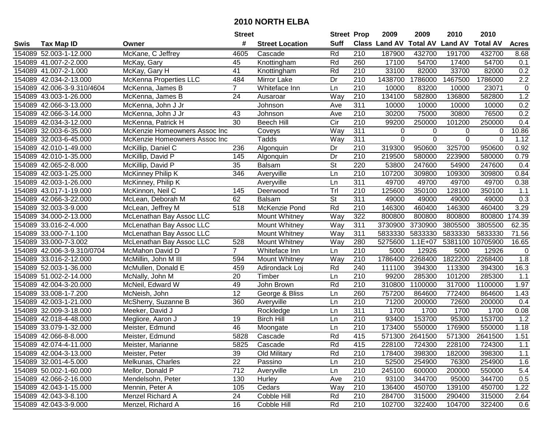|      |                            |                               | <b>Street</b>   |                        | <b>Street Prop</b>       |                  | 2009                 | 2009            | 2010           | 2010            |              |
|------|----------------------------|-------------------------------|-----------------|------------------------|--------------------------|------------------|----------------------|-----------------|----------------|-----------------|--------------|
| Swis | <b>Tax Map ID</b>          | Owner                         | #               | <b>Street Location</b> | <b>Suff</b>              |                  | <b>Class Land AV</b> | <b>Total AV</b> | <b>Land AV</b> | <b>Total AV</b> | <b>Acres</b> |
|      | 154089 52.003-1-12.000     | McKane, C Jeffrey             | 4605            | Cascade                | Rd                       | 210              | 187900               | 432700          | 191700         | 432700          | 8.68         |
|      | 154089 41.007-2-2.000      | McKay, Gary                   | 45              | Knottingham            | Rd                       | 260              | 17100                | 54700           | 17400          | 54700           | 0.1          |
|      | 154089 41.007-2-1.000      | McKay, Gary H                 | 41              | Knottingham            | Rd                       | 210              | 33100                | 82000           | 33700          | 82000           | 0.2          |
|      | 154089 42.034-2-13.000     | McKenna Properties LLC        | 484             | Mirror Lake            | Dr                       | 210              | 1438700              | 1786000         | 1467500        | 1786000         | 2.2          |
|      | 154089 42.006-3-9.310/4604 | McKenna, James B              | $\overline{7}$  | Whiteface Inn          | Ln                       | 210              | 10000                | 83200           | 10000          | 23071           | $\pmb{0}$    |
|      | 154089 43.003-1-26.000     | McKenna, James B              | 24              | Ausaroar               | Way                      | 210              | 134100               | 582800          | 136800         | 582800          | 1.2          |
|      | 154089 42.066-3-13.000     | McKenna, John J Jr            |                 | Johnson                | Ave                      | 311              | 10000                | 10000           | 10000          | 10000           | 0.2          |
|      | 154089 42.066-3-14.000     | McKenna, John J Jr            | 43              | Johnson                | Ave                      | 210              | 30200                | 75000           | 30800          | 76500           | 0.2          |
|      | 154089 42.034-3-12.000     | McKenna, Patrick H            | 30              | <b>Beech Hill</b>      | $\overline{C}$           | $\overline{210}$ | 99200                | 250000          | 101200         | 250000          | 0.4          |
|      | 154089 32.003-6-35.000     | McKenzie Homeowners Assoc Inc |                 | Coveys                 | Way                      | 311              | 0                    | 0               | 0              | 0               | 10.86        |
|      | 154089 32.003-6-45.000     | McKenzie Homeowners Assoc Inc |                 | <b>Tadds</b>           | Way                      | 311              | $\mathbf 0$          | $\mathbf 0$     | $\mathbf 0$    | $\mathbf 0$     | 1.12         |
|      | 154089 42.010-1-49.000     | McKillip, Daniel C            | 236             | Algonquin              | Dr                       | 210              | 319300               | 950600          | 325700         | 950600          | 0.92         |
|      | 154089 42.010-1-35.000     | McKillip, David P             | 145             | Algonquin              | Dr                       | 210              | 219500               | 580000          | 223900         | 580000          | 0.79         |
|      | 154089 42.065-2-8.000      | McKillip, David P             | 35              | <b>Balsam</b>          | St                       | 220              | 53800                | 247600          | 54900          | 247600          | 0.4          |
|      | 154089 42.003-1-25.000     | McKinney Philip K             | 346             | Averyville             | Ln                       | 210              | 107200               | 309800          | 109300         | 309800          | 0.84         |
|      | 154089 42.003-1-26.000     | McKinney, Philip K            |                 | Averyville             | Ln                       | 311              | 49700                | 49700           | 49700          | 49700           | 0.38         |
|      | 154089 43.017-1-19.000     | McKinnon, Neil C              | 145             | Deerwood               | Trl                      | 210              | 125600               | 350100          | 128100         | 350100          | 1.1          |
|      | 154089 42.066-3-22.000     | McLean, Deborah M             | 62              | <b>Balsam</b>          | $\overline{\mathsf{St}}$ | 311              | 49000                | 49000           | 49000          | 49000           | 0.3          |
|      | 154089 32.003-3-9.000      | McLean, Jeffrey M             | 518             | McKenzie Pond          | Rd                       | 210              | 146300               | 460400          | 146300         | 460400          | 3.29         |
|      | 154089 34.000-2-13.000     | McLenathan Bay Assoc LLC      |                 | <b>Mount Whitney</b>   | Way                      | 322              | 800800               | 800800          | 800800         | 800800          | 174.39       |
|      | 154089 33.016-2-4.000      | McLenathan Bay Assoc LLC      |                 | Mount Whitney          | Way                      | 311              | 3730900              | 3730900         | 3805500        | 3805500         | 62.35        |
|      | 154089 33.000-7-1.100      | McLenathan Bay Assoc LLC      |                 | Mount Whitney          | Way                      | 311              | 5833330              | 5833330         | 5833330        | 5833330         | 71.56        |
|      | 154089 33.000-7-3.002      | McLenathan Bay Assoc LLC      | 528             | <b>Mount Whitney</b>   | Way                      | 280              | 5275600              | $1.1E + 07$     | 5381100        | 10705900        | 16.65        |
|      | 154089 42.006-3-9.310/0704 | McMahon David D               | $\overline{7}$  | Whiteface Inn          | Ln                       | 210              | 5000                 | 12926           | 5000           | 12926           | $\mathbf 0$  |
|      | 154089 33.016-2-12.000     | McMillin, John M III          | 594             | Mount Whitney          | Way                      | $\overline{210}$ | 1786400              | 2268400         | 1822200        | 2268400         | 1.8          |
|      | 154089 52.003-1-36.000     | McMullen, Donald E            | 459             | Adirondack Loj         | Rd                       | 240              | 111100               | 394300          | 113300         | 394300          | 16.3         |
|      | 154089 51.002-2-14.000     | McNally, John M               | 20              | Timber                 | Ln                       | 210              | 99200                | 285300          | 101200         | 285300          | 1.1          |
|      | 154089 42.004-3-20.000     | McNeil, Edward W              | 49              | John Brown             | Rd                       | 210              | 310800               | 1100000         | 317000         | 1100000         | 1.97         |
|      | 154089 33.008-1-7.200      | McNeish, John                 | $\overline{12}$ | George & Bliss         | Ln                       | 260              | 757200               | 864600          | 772400         | 864600          | 1.43         |
|      | 154089 42.003-1-21.000     | McSherry, Suzanne B           | 360             | Averyville             | Ln                       | $\overline{210}$ | 71200                | 200000          | 72600          | 200000          | 0.4          |
|      | 154089 32.009-3-18.000     | Meeker, David J               |                 | Rockledge              | Ln                       | $\overline{311}$ | 1700                 | 1700            | 1700           | 1700            | 0.08         |
|      | 154089 42.018-4-48.000     | Megliore, Aaron J             | 19              | <b>Birch Hill</b>      | Ln                       | 210              | 93400                | 153700          | 95300          | 153700          | 1.2          |
|      | 154089 33.079-1-32.000     | Meister, Edmund               | 46              | Moongate               | Ln                       | $\overline{210}$ | 173400               | 550000          | 176900         | 550000          | 1.18         |
|      | 154089 42.066-8-8.000      | Meister, Edmund               | 5828            | Cascade                | Rd                       | $\overline{415}$ |                      | 571300 2641500  | 571300         | 2641500         | 1.51         |
|      | 154089 42.074-4-11.000     | Meister, Marianne             | 5825            | Cascade                | Rd                       | 415              | 228100               | 724300          | 228100         | 724300          | 1.1          |
|      | 154089 42.004-3-13.000     | Meister, Peter                | 39              | Old Military           | Rd                       | 210              | 178400               | 398300          | 182000         | 398300          | 1.1          |
|      | 154089 32.001-4-5.000      | Melkunas, Charles             | 22              | Passino                | Ln                       | 210              | 52500                | 254900          | 76300          | 254900          | 1.6          |
|      | 154089 50.002-1-60.000     | Mellor, Donald P              | 712             | Averyville             | Ln                       | 210              | 245100               | 600000          | 200000         | 550000          | 5.4          |
|      | 154089 42.066-2-16.000     | Mendelsohn, Peter             | 130             | Hurley                 | Ave                      | 210              | 93100                | 344700          | 95000          | 344700          | 0.5          |
|      | 154089 42.043-1-15.000     | Mennin, Peter A               | 105             | Cedars                 | Way                      | 210              | 136400               | 450700          | 139100         | 450700          | 1.22         |
|      | 154089 42.043-3-8.100      | Menzel Richard A              | 24              | Cobble Hill            | Rd                       | 210              | 284700               | 315000          | 290400         | 315000          | 2.64         |
|      | 154089 42.043-3-9.000      | Menzel, Richard A             | 16              | Cobble Hill            | Rd                       | 210              | 102700               | 322400          | 104700         | 322400          | 0.6          |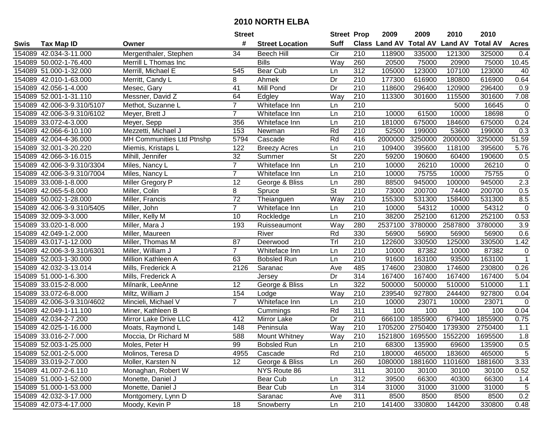|      |                            |                           | <b>Street</b>   |                        | <b>Street Prop</b>       |                  | 2009          | 2009            | 2010           | 2010            |                |
|------|----------------------------|---------------------------|-----------------|------------------------|--------------------------|------------------|---------------|-----------------|----------------|-----------------|----------------|
| Swis | <b>Tax Map ID</b>          | Owner                     | #               | <b>Street Location</b> | <b>Suff</b>              |                  | Class Land AV | <b>Total AV</b> | <b>Land AV</b> | <b>Total AV</b> | <b>Acres</b>   |
|      | 154089 42.034-3-11.000     | Mergenthaler, Stephen     | 34              | <b>Beech Hill</b>      | Cir                      | 210              | 118900        | 335000          | 121300         | 325000          | 0.4            |
|      | 154089 50.002-1-76.400     | Merrill L Thomas Inc      |                 | <b>Bills</b>           | Way                      | 260              | 20500         | 75000           | 20900          | 75000           | 10.45          |
|      | 154089 51.000-1-32.000     | Merrill, Michael E        | 545             | Bear Cub               | Ln                       | 312              | 105000        | 123000          | 107100         | 123000          | 40             |
|      | 154089 42.010-1-63.000     | Merritt, Candy L          | 8               | Ahmek                  | Dr                       | 210              | 177300        | 616900          | 180800         | 616900          | 0.64           |
|      | 154089 42.056-1-4.000      | Mesec, Gary               | 41              | Mill Pond              | Dr                       | 210              | 118600        | 296400          | 120900         | 296400          | 0.9            |
|      | 154089 52.001-1-31.110     | Messner, David Z          | 64              | Edgley                 | Way                      | $\overline{210}$ | 113300        | 301600          | 115500         | 301600          | 7.08           |
|      | 154089 42.006-3-9.310/5107 | Methot, Suzanne L         | $\overline{7}$  | Whiteface Inn          | Ln                       | 210              |               |                 | 5000           | 16645           | $\mathbf 0$    |
|      | 154089 42.006-3-9.310/6102 | Meyer, Brett J            | $\overline{7}$  | Whiteface Inn          | Ln                       | $\overline{210}$ | 10000         | 61500           | 10000          | 18698           | $\overline{0}$ |
|      | 154089 33.072-4-3.000      | Meyer, Sepp               | 356             | Whiteface Inn          | Ln                       | $\overline{210}$ | 181000        | 675000          | 184600         | 675000          | 0.24           |
|      | 154089 42.066-6-10.100     | Mezzetti, Michael J       | 153             | Newman                 | Rd                       | 210              | 52500         | 199000          | 53600          | 199000          | 0.3            |
|      | 154089 42.004-4-36.000     | MH Communities Ltd Ptnshp | 5794            | Cascade                | Rd                       | 416              | 2000000       | 3250000         | 2000000        | 3250000         | 51.59          |
|      | 154089 32.001-3-20.220     | Miemis, Kristaps L        | 122             | <b>Breezy Acres</b>    | Ln                       | 210              | 109400        | 395600          | 118100         | 395600          | 5.76           |
|      | 154089 42.066-3-16.015     | Mihill, Jennifer          | 32              | Summer                 | $\overline{\mathsf{St}}$ | 220              | 59200         | 190600          | 60400          | 190600          | 0.5            |
|      | 154089 42.006-3-9.310/3304 | Miles, Nancy L            | $\overline{7}$  | Whiteface Inn          | Ln                       | 210              | 10000         | 26210           | 10000          | 26210           | $\mathbf 0$    |
|      | 154089 42.006-3-9.310/7004 | Miles, Nancy L            | $\overline{7}$  | Whiteface Inn          | Ln                       | 210              | 10000         | 75755           | 10000          | 75755           | $\mathbf 0$    |
|      | 154089 33.008-1-8.000      | Miller Gregory P          | 12              | George & Bliss         | Ln                       | 280              | 88500         | 945000          | 100000         | 945000          | 2.3            |
|      | 154089 42.065-5-8.000      | Miller, Colin             | 8               | Spruce                 | $\overline{\mathsf{St}}$ | 210              | 73000         | 200700          | 74400          | 200700          | 0.5            |
|      | 154089 50.002-1-28.000     | Miller, Francis           | $\overline{72}$ | Theianguen             | Way                      | 210              | 155300        | 531300          | 158400         | 531300          | 8.5            |
|      | 154089 42.006-3-9.310/5405 | Miller, John              | $\overline{7}$  | Whiteface Inn          | Ln                       | 210              | 10000         | 54312           | 10000          | 54312           | $\mathbf 0$    |
|      | 154089 32.009-3-3.000      | Miller, Kelly M           | 10              | Rockledge              | Ln                       | 210              | 38200         | 252100          | 61200          | 252100          | 0.53           |
|      | 154089 33.020-1-8.000      | Miller, Mara J            | 193             | Ruisseaumont           | Way                      | 280              | 2537100       | 3780000         | 2587800        | 3780000         | 3.9            |
|      | 154089 42.049-1-2.000      | Miller, Maureen           |                 | River                  | Rd                       | 330              | 56900         | 56900           | 56900          | 56900           | 0.6            |
|      | 154089 43.017-1-12.000     | Miller, Thomas M          | 87              | Deerwood               | Trl                      | 210              | 122600        | 330500          | 125000         | 330500          | 1.42           |
|      | 154089 42.006-3-9.310/6301 | Miller, William J         | $\overline{7}$  | Whiteface Inn          | Ln                       | 210              | 10000         | 87382           | 10000          | 87382           | 0              |
|      | 154089 52.003-1-30.000     | Million Kathleen A        | 63              | <b>Bobsled Run</b>     | Ln                       | 210              | 91600         | 163100          | 93500          | 163100          | $\mathbf{1}$   |
|      | 154089 42.032-3-13.014     | Mills, Frederick A        | 2126            | Saranac                | Ave                      | 485              | 174600        | 230800          | 174600         | 230800          | 0.26           |
|      | 154089 51.000-1-6.300      | Mills, Frederick A        |                 | Jersey                 | Dr                       | 314              | 167400        | 167400          | 167400         | 167400          | 5.04           |
|      | 154089 33.015-2-8.000      | Milnarik, LeeAnne         | 12              | George & Bliss         | Ln                       | 322              | 500000        | 500000          | 510000         | 510000          | 1.1            |
|      | 154089 33.072-6-8.000      | Miltz, William J          | 154             | Lodge                  | Way                      | 210              | 239540        | 927800          | 244400         | 927800          | 0.04           |
|      | 154089 42.006-3-9.310/4602 | Mincieli, Michael V       | $\overline{7}$  | Whiteface Inn          | Ln                       | 210              | 10000         | 23071           | 10000          | 23071           | $\mathbf 0$    |
|      | 154089 42.049-1-11.100     | Miner, Kathleen B         |                 | Cummings               | Rd                       | $\overline{311}$ | 100           | 100             | 100            | 100             | 0.04           |
|      | 154089 42.034-2-7.200      | Mirror Lake Drive LLC     | 412             | Mirror Lake            | Dr                       | 210              | 666100        | 1855900         | 679400         | 1855900         | 0.75           |
|      | 154089 42.025-1-16.000     | Moats, Raymond L          | 148             | Peninsula              | Way                      | $\overline{210}$ | 1705200       | 2750400         | 1739300        | 2750400         | 1.1            |
|      | 154089 33.016-2-7.000      | Moccia, Dr Richard M      | 588             | Mount Whitney          | Way                      | 210              | 1521800       | 1695500         | 1552200        | 1695500         | 1.8            |
|      | 154089 52.003-1-25.000     | Moles, Peter H            | 99              | <b>Bobsled Run</b>     | Ln                       | 210              | 68300         | 135900          | 69600          | 135900          | 0.5            |
|      | 154089 52.001-2-5.000      | Molinos, Teresa D         | 4955            | Cascade                | Rd                       | 210              | 180000        | 465000          | 183600         | 465000          | $\sqrt{5}$     |
|      | 154089 33.019-2-7.000      | Moller, Karsten N         | 12 <sup>2</sup> | George & Bliss         | Ln                       | 260              | 1080000       | 1881600         | 1101600        | 1881600         | 3.33           |
|      | 154089 41.007-2-6.110      | Monaghan, Robert W        |                 | NYS Route 86           |                          | 311              | 30100         | 30100           | 30100          | 30100           | 0.52           |
|      | 154089 51.000-1-52.000     | Monette, Daniel J         |                 | Bear Cub               | Ln                       | 312              | 39500         | 66300           | 40300          | 66300           | 1.4            |
|      | 154089 51.000-1-53.000     | Monette, Daniel J         |                 | Bear Cub               | Ln                       | 314              | 31000         | 31000           | 31000          | 31000           | $\sqrt{5}$     |
|      | 154089 42.032-3-17.000     | Montgomery, Lynn D        |                 | Saranac                | Ave                      | 311              | 8500          | 8500            | 8500           | 8500            | 0.2            |
|      | 154089 42.073-4-17.000     | Moody, Kevin P            | 18              | Snowberry              | Ln                       | 210              | 141400        | 330800          | 144200         | 330800          | 0.48           |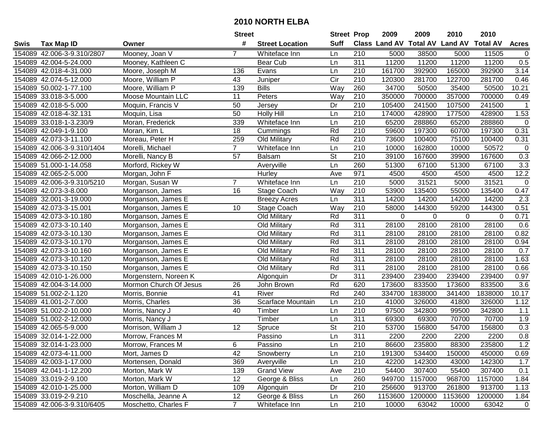|      |                            |                        | <b>Street</b>   |                          | <b>Street Prop</b>       |                  | 2009                           | 2009     | 2010    | 2010            |                  |
|------|----------------------------|------------------------|-----------------|--------------------------|--------------------------|------------------|--------------------------------|----------|---------|-----------------|------------------|
| Swis | <b>Tax Map ID</b>          | Owner                  | #               | <b>Street Location</b>   | <b>Suff</b>              |                  | Class Land AV Total AV Land AV |          |         | <b>Total AV</b> | <b>Acres</b>     |
|      | 154089 42.006-3-9.310/2807 | Mooney, Joan V         | $\overline{7}$  | Whiteface Inn            | Ln                       | 210              | 5000                           | 38500    | 5000    | 11505           | $\overline{0}$   |
|      | 154089 42.004-5-24.000     | Mooney, Kathleen C     |                 | Bear Cub                 | Ln                       | 311              | 11200                          | 11200    | 11200   | 11200           | 0.5              |
|      | 154089 42.018-4-31.000     | Moore, Joseph M        | 136             | Evans                    | Ln                       | 210              | 161700                         | 392900   | 165000  | 392900          | 3.14             |
|      | 154089 42.074-5-12.000     | Moore, William P       | 43              | Juniper                  | Cir                      | 210              | 120300                         | 281700   | 122700  | 281700          | 0.46             |
|      | 154089 50.002-1-77.100     | Moore, William P       | 139             | <b>Bills</b>             | Way                      | 260              | 34700                          | 50500    | 35400   | 50500           | 10.21            |
|      | 154089 33.018-3-5.000      | Moose Mountain LLC     | 11              | Peters                   | Way                      | 210              | 350000                         | 700000   | 357000  | 700000          | 0.49             |
|      | 154089 42.018-5-5.000      | Moquin, Francis V      | 50              | Jersey                   | Dr                       | 210              | 105400                         | 241500   | 107500  | 241500          | $\mathbf{1}$     |
|      | 154089 42.018-4-32.131     | Moquin, Lisa           | 50              | <b>Holly Hill</b>        | Ln                       | 210              | 174000                         | 428900   | 177500  | 428900          | 1.53             |
|      | 154089 33.018-1-3.230/9    | Moran, Frederick       | 339             | Whiteface Inn            | Ln                       | $\overline{210}$ | 65200                          | 288860   | 65200   | 288860          | $\mathbf 0$      |
|      | 154089 42.049-1-9.100      | Moran, Kim L           | 18              | Cummings                 | Rd                       | 210              | 59600                          | 197300   | 60700   | 197300          | 0.31             |
|      | 154089 42.073-3-11.100     | Moreau, Peter H        | 259             | Old Military             | Rd                       | 210              | 73600                          | 100400   | 75100   | 100400          | 0.31             |
|      | 154089 42.006-3-9.310/1404 | Morelli, Michael       | $\overline{7}$  | Whiteface Inn            | Ln                       | 210              | 10000                          | 162800   | 10000   | 50572           | $\mathbf 0$      |
|      | 154089 42.066-2-12.000     | Morelli, Nancy B       | 57              | <b>Balsam</b>            | $\overline{\mathsf{St}}$ | 210              | 39100                          | 167600   | 39900   | 167600          | 0.3              |
|      | 154089 51.000-1-14.058     | Morford, Rickey W      |                 | Averyville               | Ln                       | 260              | 51300                          | 67100    | 51300   | 67100           | 3.3              |
|      | 154089 42.065-2-5.000      | Morgan, John F         |                 | Hurley                   | Ave                      | 971              | 4500                           | 4500     | 4500    | 4500            | 12.2             |
|      | 154089 42.006-3-9.310/5210 | Morgan, Susan W        | $\overline{7}$  | Whiteface Inn            | Ln                       | 210              | 5000                           | 31521    | 5000    | 31521           | $\mathbf 0$      |
|      | 154089 42.073-3-8.000      | Morganson, James       | 16              | Stage Coach              | Way                      | 210              | 53900                          | 135400   | 55000   | 135400          | 0.47             |
|      | 154089 32.001-3-19.000     | Morganson, James E     |                 | <b>Breezy Acres</b>      | Ln                       | 311              | 14200                          | 14200    | 14200   | 14200           | 2.3              |
|      | 154089 42.073-3-15.001     | Morganson, James E     | 10              | Stage Coach              | Way                      | 210              | 58000                          | 144300   | 59200   | 144300          | 0.51             |
|      | 154089 42.073-3-10.180     | Morganson, James E     |                 | Old Military             | Rd                       | 311              | 0                              | $\Omega$ | 0       | $\Omega$        | 0.71             |
|      | 154089 42.073-3-10.140     | Morganson, James E     |                 | Old Military             | Rd                       | $\overline{311}$ | 28100                          | 28100    | 28100   | 28100           | 0.6              |
|      | 154089 42.073-3-10.130     | Morganson, James E     |                 | Old Military             | Rd                       | 311              | 28100                          | 28100    | 28100   | 28100           | 0.82             |
|      | 154089 42.073-3-10.170     | Morganson, James E     |                 | Old Military             | Rd                       | 311              | 28100                          | 28100    | 28100   | 28100           | 0.94             |
|      | 154089 42.073-3-10.160     | Morganson, James E     |                 | Old Military             | Rd                       | 311              | 28100                          | 28100    | 28100   | 28100           | 0.7              |
|      | 154089 42.073-3-10.120     | Morganson, James E     |                 | Old Military             | Rd                       | $\overline{311}$ | 28100                          | 28100    | 28100   | 28100           | 1.63             |
|      | 154089 42.073-3-10.150     | Morganson, James E     |                 | Old Military             | Rd                       | 311              | 28100                          | 28100    | 28100   | 28100           | 0.66             |
|      | 154089 42.010-1-26.000     | Morgenstern, Noreen K  |                 | Algonquin                | Dr                       | 311              | 239400                         | 239400   | 239400  | 239400          | 0.97             |
|      | 154089 42.004-3-14.000     | Mormon Church Of Jesus | 26              | John Brown               | Rd                       | 620              | 173600                         | 833500   | 173600  | 833500          | 3.6              |
|      | 154089 51.002-2-1.120      | Morris, Bonnie         | 41              | River                    | Rd                       | 240              | 334700                         | 1838000  | 341400  | 1838000         | 10.17            |
|      | 154089 41.001-2-7.000      | Morris, Charles        | $\overline{36}$ | <b>Scarface Mountain</b> | Ln                       | $\overline{210}$ | 41000                          | 326000   | 41800   | 326000          | 1.12             |
|      | 154089 51.002-2-10.000     | Morris, Nancy J        | 40              | Timber                   | Ln                       | $\overline{210}$ | 97500                          | 342800   | 99500   | 342800          | 1.1              |
|      | 154089 51.002-2-12.000     | Morris, Nancy J        |                 | Timber                   | Ln                       | 311              | 69300                          | 69300    | 70700   | 70700           | 1.9              |
|      | 154089 42.065-5-9.000      | Morrison, William J    | 12              | Spruce                   | $\overline{\mathsf{St}}$ | $\overline{210}$ | 53700                          | 156800   | 54700   | 156800          | 0.3              |
|      | 154089 32.014-1-22.000     | Morrow, Frances M      |                 | Passino                  | Ln                       | 311              | 2200                           | 2200     | 2200    | 2200            | $\overline{0.8}$ |
|      | 154089 32.014-1-23.000     | Morrow, Frances M      | 6               | Passino                  | Ln                       | 210              | 86600                          | 235800   | 88300   | 235800          | 1.2              |
|      | 154089 42.073-4-11.000     | Mort, James D          | 42              | Snowberry                | Ln                       | 210              | 191300                         | 534400   | 150000  | 450000          | 0.69             |
|      | 154089 42.003-1-17.000     | Mortensen, Donald      | 369             | Averyville               | Ln                       | 210              | 42200                          | 142300   | 43000   | 142300          | 1.7              |
|      | 154089 42.041-1-12.200     | Morton, Mark W         | 139             | <b>Grand View</b>        | Ave                      | 210              | 54400                          | 307400   | 55400   | 307400          | 0.1              |
|      | 154089 33.019-2-9.100      | Morton, Mark W         | 12              | George & Bliss           | Ln                       | 260              | 949700                         | 1157000  | 968700  | 1157000         | 1.84             |
|      | 154089 42.010-1-25.000     | Morton, William D      | 109             | Algonquin                | Dr                       | 210              | 256600                         | 913700   | 261800  | 913700          | 1.13             |
|      | 154089 33.019-2-9.210      | Moschella, Jeanne A    | 12              | George & Bliss           | Ln                       | 260              | 1153600                        | 1200000  | 1153600 | 1200000         | 1.84             |
|      | 154089 42.006-3-9.310/6405 | Moschetto, Charles F   | $\overline{7}$  | Whiteface Inn            | Ln                       | 210              | 10000                          | 63042    | 10000   | 63042           | $\mathbf 0$      |
|      |                            |                        |                 |                          |                          |                  |                                |          |         |                 |                  |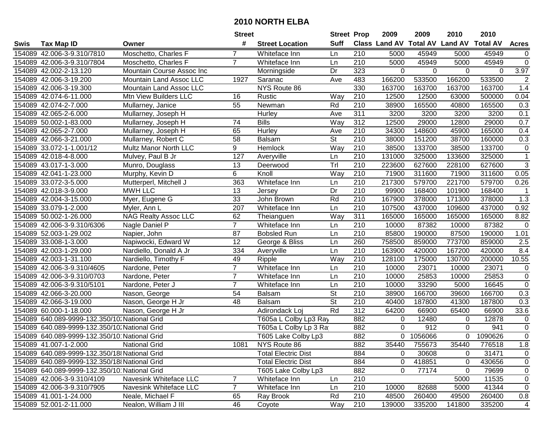|      |                                               |                             | <b>Street</b>  |                            | <b>Street Prop</b>       |                  | 2009                          | 2009      | 2010           | 2010            |                |
|------|-----------------------------------------------|-----------------------------|----------------|----------------------------|--------------------------|------------------|-------------------------------|-----------|----------------|-----------------|----------------|
| Swis | <b>Tax Map ID</b>                             | Owner                       | #              | <b>Street Location</b>     | <b>Suff</b>              |                  | <b>Class Land AV Total AV</b> |           | <b>Land AV</b> | <b>Total AV</b> | <b>Acres</b>   |
|      | 154089 42.006-3-9.310/7810                    | Moschetto, Charles F        | 7              | Whiteface Inn              | Ln                       | 210              | 5000                          | 45949     | 5000           | 45949           | $\overline{0}$ |
|      | 154089 42.006-3-9.310/7804                    | Moschetto, Charles F        | $\overline{7}$ | Whiteface Inn              | Ln                       | 210              | 5000                          | 45949     | 5000           | 45949           | $\overline{0}$ |
|      | 154089 42.002-2-13.120                        | Mountain Course Assoc Inc   |                | Morningside                | Dr                       | 323              | 0                             | $\Omega$  | $\Omega$       | $\Omega$        | 3.97           |
|      | 154089 42.006-3-19.200                        | Mountain Land Assoc LLC     | 1927           | Saranac                    | Ave                      | 483              | 166200                        | 533500    | 166200         | 533500          | $\overline{2}$ |
|      | 154089 42.006-3-19.300                        | Mountain Land Assoc LLC     |                | NYS Route 86               |                          | 330              | 163700                        | 163700    | 163700         | 163700          | 1.4            |
|      | 154089 42.074-6-11.000                        | Mtn View Builders LLC       | 16             | Rustic                     | Way                      | 210              | 12500                         | 12500     | 63000          | 500000          | 0.04           |
|      | 154089 42.074-2-7.000                         | Mullarney, Janice           | 55             | Newman                     | Rd                       | 210              | 38900                         | 165500    | 40800          | 165500          | 0.3            |
|      | 154089 42.065-2-6.000                         | Mullarney, Joseph H         |                | <b>Hurley</b>              | Ave                      | 311              | 3200                          | 3200      | 3200           | 3200            | 0.1            |
|      | 154089 50.002-1-83.000                        | Mullarney, Joseph H         | 74             | <b>Bills</b>               | Way                      | 312              | 12500                         | 29000     | 12800          | 29000           | 0.7            |
|      | 154089 42.065-2-7.000                         | Mullarney, Joseph H         | 65             | Hurley                     | Ave                      | 210              | 34300                         | 148600    | 45900          | 165000          | 0.4            |
|      | 154089 42.066-3-21.000                        | Mullarney, Robert C         | 58             | <b>Balsam</b>              | $\overline{\mathsf{St}}$ | 210              | 38000                         | 151200    | 38700          | 160000          | 0.3            |
|      | 154089 33.072-1-1.001/12                      | Multz Manor North LLC       | 9              | Hemlock                    | Way                      | 210              | 38500                         | 133700    | 38500          | 133700          | 0              |
|      | 154089 42.018-4-8.000                         | Mulvey, Paul B Jr           | 127            | Averyville                 | Ln                       | 210              | 131000                        | 325000    | 133600         | 325000          | $\mathbf{1}$   |
|      | 154089 43.017-1-3.000                         | Munro, Douglass             | 13             | Deerwood                   | Trl                      | 210              | 223600                        | 627600    | 228100         | 627600          | $\sqrt{3}$     |
|      | 154089 42.041-1-23.000                        | Murphy, Kevin D             | 6              | Knoll                      | Way                      | 210              | 71900                         | 311600    | 71900          | 311600          | 0.05           |
|      | 154089 33.072-3-5.000                         | Mutterperl, Mitchell J      | 363            | Whiteface Inn              | Ln                       | 210              | 217300                        | 579700    | 221700         | 579700          | 0.26           |
|      | 154089 42.018-3-9.000                         | <b>MWH LLC</b>              | 13             | Jersey                     | Dr                       | $\overline{210}$ | 99900                         | 168400    | 101900         | 168400          | -1             |
|      | 154089 42.004-3-15.000                        | Myer, Eugene G              | 33             | John Brown                 | Rd                       | 210              | 167900                        | 378000    | 171300         | 378000          | 1.3            |
|      | 154089 33.079-1-2.000                         | Myler, Ann L                | 207            | Whiteface Inn              | Ln                       | 210              | 107500                        | 437000    | 109600         | 437000          | 0.92           |
|      | 154089 50.002-1-26.000                        | <b>NAG Realty Assoc LLC</b> | 62             | Theianguen                 | Way                      | 311              | 165000                        | 165000    | 165000         | 165000          | 8.82           |
|      | 154089 42.006-3-9.310/6306                    | Nagle Daniel P              | $\overline{7}$ | Whiteface Inn              | Ln                       | 210              | 10000                         | 87382     | 10000          | 87382           | $\mathsf 0$    |
|      | 154089 52.003-1-29.002                        | Napier, John                | 87             | <b>Bobsled Run</b>         | Ln                       | 210              | 85800                         | 190000    | 87500          | 190000          | 1.01           |
|      | 154089 33.008-1-3.000                         | Napiwocki, Edward W         | 12             | George & Bliss             | Ln                       | 260              | 758500                        | 859000    | 773700         | 859000          | 2.5            |
|      | 154089 42.003-1-29.000                        | Nardiello, Donald A Jr      | 334            | Averyville                 | Ln                       | 210              | 163900                        | 420000    | 167200         | 420000          | 8.4            |
|      | 154089 42.003-1-31.100                        | Nardiello, Timothy F        | 49             | Ripple                     | Way                      | $\overline{210}$ | 128100                        | 175000    | 130700         | 200000          | 10.55          |
|      | 154089 42.006-3-9.310/4605                    | Nardone, Peter              | $\overline{7}$ | Whiteface Inn              | Ln                       | 210              | 10000                         | 23071     | 10000          | 23071           | 0              |
|      | 154089 42.006-3-9.310/0703                    | Nardone, Peter              | $\overline{7}$ | Whiteface Inn              | Ln                       | 210              | 10000                         | 25853     | 10000          | 25853           | $\pmb{0}$      |
|      | 154089 42.006-3-9.310/5101                    | Nardone, Peter J            | $\overline{7}$ | Whiteface Inn              | Ln                       | 210              | 10000                         | 33290     | 5000           | 16645           | $\mathsf 0$    |
|      | 154089 42.066-3-20.000                        | Nason, George               | 54             | Balsam                     | $\overline{\mathsf{St}}$ | 210              | 38900                         | 166700    | 39600          | 166700          | 0.3            |
|      | 154089 42.066-3-19.000                        | Nason, George H Jr          | 48             | <b>Balsam</b>              | $\overline{\mathsf{St}}$ | $\overline{210}$ | 40400                         | 187800    | 41300          | 187800          | 0.3            |
|      | 154089 60.000-1-18.000                        | Nason, George H Jr          |                | Adirondack Loj             | Rd                       | 312              | 64200                         | 66900     | 65400          | 66900           | 33.6           |
|      | 154089 640.089-9999-132.350/10. National Grid |                             |                | T605a L Colby Lp3 Ray      |                          | 882              | 0                             | 12480     | 0              | 12878           | 0              |
|      | 154089 640.089-9999-132.350/10. National Grid |                             |                | T605a L Colby Lp 3 Ra      |                          | 882              | $\mathbf 0$                   | 912       | 0              | 941             | $\overline{0}$ |
|      | 154089 640.089-9999-132.350/10 National Grid  |                             |                | T605 Lake Colby Lp3        |                          | 882              |                               | 0 1056066 | 0              | 1090626         | $\overline{0}$ |
|      | 154089 41.007-1-2.000                         | <b>National Grid</b>        | 1081           | NYS Route 86               |                          | 882              | 35440                         | 755673    | 35440          | 776518          | 1.8            |
|      | 154089 640.089-9999-132.350/18 National Grid  |                             |                | <b>Total Electric Dist</b> |                          | 884              | 0                             | 30608     | 0              | 31471           | 0              |
|      | 154089 640.089-9999-132.350/18 National Grid  |                             |                | <b>Total Electric Dist</b> |                          | 884              | 0                             | 418851    | 0              | 430656          | 0              |
|      | 154089 640.089-9999-132.350/10 National Grid  |                             |                | T605 Lake Colby Lp3        |                          | 882              | 0                             | 77174     | 0              | 79699           | 0              |
|      | 154089 42.006-3-9.310/4109                    | Navesink Whiteface LLC      | $\overline{7}$ | Whiteface Inn              | Ln                       | 210              |                               |           | 5000           | 11535           | 0              |
|      | 154089 42.006-3-9.310/7905                    | Navesink Whiteface LLC      | $\overline{7}$ | Whiteface Inn              | Ln                       | 210              | 10000                         | 82688     | 5000           | 41344           | $\mathbf 0$    |
|      | 154089 41.001-1-24.000                        | Neale, Michael F            | 65             | Ray Brook                  | Rd                       | 210              | 48500                         | 260400    | 49500          | 260400          | 0.8            |
|      | 154089 52.001-2-11.000                        | Nealon, William J III       | 46             | Coyote                     | Way                      | 210              | 139000                        | 335200    | 141800         | 335200          | $\overline{4}$ |
|      |                                               |                             |                |                            |                          |                  |                               |           |                |                 |                |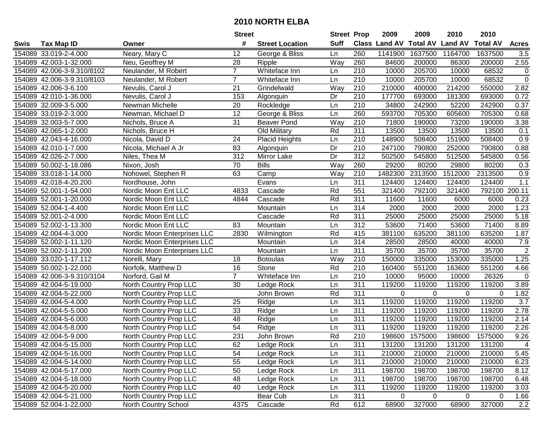|      |                            |                               | <b>Street</b>   |                        | <b>Street Prop</b> |                  | 2009          | 2009            | 2010           | 2010            |                  |
|------|----------------------------|-------------------------------|-----------------|------------------------|--------------------|------------------|---------------|-----------------|----------------|-----------------|------------------|
| Swis | <b>Tax Map ID</b>          | Owner                         | #               | <b>Street Location</b> | <b>Suff</b>        |                  | Class Land AV | <b>Total AV</b> | <b>Land AV</b> | <b>Total AV</b> | <b>Acres</b>     |
|      | 154089 33.019-2-4.000      | Neary, Mary C                 | 12              | George & Bliss         | Ln                 | 260              | 1141900       | 1637500         | 1164700        | 1637500         | 3.5              |
|      | 154089 42.003-1-32.000     | Neu, Geoffrey M               | 28              | Ripple                 | Way                | 260              | 84600         | 200000          | 86300          | 200000          | 2.55             |
|      | 154089 42.006-3-9.310/8102 | Neulander, M Robert           | $\overline{7}$  | Whiteface Inn          | Ln                 | 210              | 10000         | 205700          | 10000          | 68532           | $\mathbf 0$      |
|      | 154089 42.006-3-9.310/8103 | Neulander, M Robert           | $\overline{7}$  | Whiteface Inn          | Ln                 | 210              | 10000         | 205700          | 10000          | 68532           | $\overline{0}$   |
|      | 154089 42.006-3-6.100      | Nevulis, Carol J              | 21              | Grindelwald            | Way                | 210              | 210000        | 400000          | 214200         | 550000          | 2.82             |
|      | 154089 42.010-1-36.000     | Nevulis, Carol J              | 153             | Algonquin              | Dr                 | 210              | 177700        | 693000          | 181300         | 693000          | 0.72             |
|      | 154089 32.009-3-5.000      | Newman Michelle               | 20              | Rockledge              | Ln                 | 210              | 34800         | 242900          | 52200          | 242900          | 0.37             |
|      | 154089 33.019-2-3.000      | Newman, Michael D             | 12              | George & Bliss         | Ln                 | 260              | 593700        | 705300          | 605600         | 705300          | 0.68             |
|      | 154089 32.003-5-7.000      | Nichols, Bruce A              | $\overline{31}$ | <b>Beaver Pond</b>     | Way                | $\overline{210}$ | 71800         | 190000          | 73200          | 190000          | 3.38             |
|      | 154089 42.065-1-2.000      | Nichols, Bruce H              |                 | Old Military           | Rd                 | 311              | 13500         | 13500           | 13500          | 13500           | 0.1              |
|      | 154089 42.043-4-16.000     | Nicola, David D               | 24              | <b>Placid Heights</b>  | Ln                 | 210              | 148900        | 508400          | 151900         | 508400          | 0.9              |
|      | 154089 42.010-1-7.000      | Nicola, Michael A Jr          | 83              | Algonquin              | Dr                 | 210              | 247100        | 790800          | 252000         | 790800          | 0.88             |
|      | 154089 42.026-2-7.000      | Niles, Thea M                 | 312             | Mirror Lake            | Dr                 | $\overline{312}$ | 502500        | 545800          | 512500         | 545800          | 0.56             |
|      | 154089 50.002-1-18.086     | Nixon, Josh                   | 70              | <b>Bills</b>           | Way                | 260              | 29200         | 80200           | 29800          | 80200           | 0.3              |
|      | 154089 33.018-1-14.000     | Nohowel, Stephen R            | 63              | Camp                   | Way                | 210              | 1482300       | 2313500         | 1512000        | 2313500         | 0.9              |
|      | 154089 42.018-4-20.200     | Nordhouse, John               |                 | Evans                  | Ln                 | 311              | 124400        | 124400          | 124400         | 124400          | 1.1              |
|      | 154089 52.001-1-54.000     | Nordic Moon Ent LLC           | 4833            | Cascade                | Rd                 | 551              | 321400        | 792100          | 321400         | 792100          | 200.11           |
|      | 154089 52.001-1-20.000     | Nordic Moon Ent LLC           | 4844            | Cascade                | Rd                 | 311              | 11600         | 11600           | 6000           | 6000            | 0.23             |
|      | 154089 52.004-1-4.400      | Nordic Moon Ent LLC           |                 | Mountain               | Ln                 | 314              | 2000          | 2000            | 2000           | 2000            | 1.23             |
|      | 154089 52.001-2-4.000      | Nordic Moon Ent LLC           |                 | Cascade                | Rd                 | 311              | 25000         | 25000           | 25000          | 25000           | 5.18             |
|      | 154089 52.002-1-13.300     | Nordic Moon Ent LLC           | 83              | Mountain               | Ln                 | 312              | 53600         | 71400           | 53600          | 71400           | 8.89             |
|      | 154089 42.004-4-3.000      | Nordic Moon Enterprises LLC   | 2830            | Wilmington             | Rd                 | 415              | 381100        | 635200          | 381100         | 635200          | 1.87             |
|      | 154089 52.002-1-11.120     | Nordic Moon Enterprises LLC   |                 | Mountain               | Ln                 | 314              | 28500         | 28500           | 40000          | 40000           | 7.9              |
|      | 154089 52.002-1-11.200     | Nordic Moon Enterprises LLC   |                 | Mountain               | Ln                 | 311              | 35700         | 35700           | 35700          | 35700           | $\overline{2}$   |
|      | 154089 33.020-1-17.112     | Norelli, Mary                 | 18              | <b>Botoulas</b>        | Way                | 210              | 150000        | 335000          | 153000         | 335000          | 1.25             |
|      | 154089 50.002-1-22.000     | Norfolk, Matthew D            | 16              | Stone                  | Rd                 | 210              | 160400        | 551200          | 163600         | 551200          | 4.66             |
|      | 154089 42.006-3-9.310/3104 | Norford, Gail M               | $\overline{7}$  | Whiteface Inn          | Ln                 | 210              | 10000         | 95000           | 10000          | 26326           | $\overline{0}$   |
|      | 154089 42.004-5-19.000     | North Country Prop LLC        | 30              | Ledge Rock             | Ln                 | 311              | 119200        | 119200          | 119200         | 119200          | 3.89             |
|      | 154089 42.004-5-22.000     | North Country Prop LLC        |                 | John Brown             | Rd                 | $\overline{311}$ | 0             | $\mathbf 0$     | $\Omega$       | $\Omega$        | 1.82             |
|      | 154089 42.004-5-4.000      | North Country Prop LLC        | $\overline{25}$ | Ridge                  | Ln                 | 311              | 119200        | 119200          | 119200         | 119200          | $\overline{3.7}$ |
|      | 154089 42.004-5-5.000      | <b>North Country Prop LLC</b> | 33              | Ridge                  | Ln                 | 311              | 119200        | 119200          | 119200         | 119200          | 2.78             |
|      | 154089 42.004-5-6.000      | North Country Prop LLC        | 48              | Ridge                  | Ln                 | 311              | 119200        | 119200          | 119200         | 119200          | 2.14             |
|      | 154089 42.004-5-8.000      | North Country Prop LLC        | 54              | Ridge                  | Ln                 | 311              | 119200        | 119200          | 119200         | 119200          | 2.26             |
|      | 154089 42.004-5-9.000      | <b>North Country Prop LLC</b> | 231             | John Brown             | Rd                 | $\overline{210}$ | 198600        | 1575000         | 198600         | 1575000         | 9.26             |
|      | 154089 42.004-5-15.000     | North Country Prop LLC        | 62              | Ledge Rock             | Ln                 | 311              | 131200        | 131200          | 131200         | 131200          | 4                |
|      | 154089 42.004-5-16.000     | North Country Prop LLC        | 54              | Ledge Rock             | Ln                 | 311              | 210000        | 210000          | 210000         | 210000          | 5.45             |
|      | 154089 42.004-5-14.000     | North Country Prop LLC        | 55              | Ledge Rock             | Ln                 | 311              | 210000        | 210000          | 210000         | 210000          | 6.23             |
|      | 154089 42.004-5-17.000     | North Country Prop LLC        | 50              | Ledge Rock             | Ln                 | 311              | 198700        | 198700          | 198700         | 198700          | 8.12             |
|      | 154089 42.004-5-18.000     | North Country Prop LLC        | 48              | Ledge Rock             | Ln                 | 311              | 198700        | 198700          | 198700         | 198700          | 6.48             |
|      | 154089 42.004-5-20.000     | North Country Prop LLC        | 40              | Ledge Rock             | Ln                 | 311              | 119200        | 119200          | 119200         | 119200          | 3.03             |
|      | 154089 42.004-5-21.000     | North Country Prop LLC        |                 | Bear Cub               | Ln                 | 311              | 0             | 0               | 0              | 0               | 1.66             |
|      | 154089 52.004-1-22.000     | North Country School          | 4375            | Cascade                | Rd                 | 612              | 68900         | 327000          | 68900          | 327000          | 2.2              |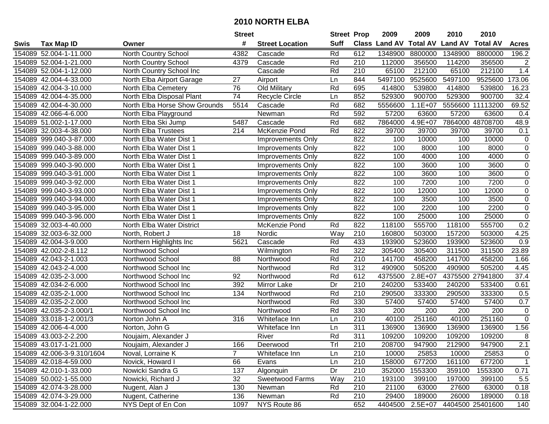| #<br><b>Suff</b><br><b>Total AV</b><br><b>Class Land AV</b><br><b>Land AV</b><br><b>Total AV</b><br><b>Tax Map ID</b><br><b>Street Location</b><br><b>Acres</b><br>Swis<br>Owner<br>Rd<br>1348900<br>154089 52.004-1-11.000<br><b>North Country School</b><br>4382<br>612<br>1348900<br>8800000<br>8800000<br>196.2<br>Cascade<br>210<br>154089 52.004-1-21.000<br>Cascade<br>Rd<br>112000<br>356500<br>114200<br>356500<br>$\overline{2}$<br>North Country School<br>4379<br>65100<br>154089 52.004-1-12.000<br>North Country School Inc<br>Cascade<br>Rd<br>210<br>65100<br>212100<br>212100<br>1.4<br>27<br>844<br>5497100<br>5497100<br>9525600<br>173.06<br>154089 42.004-4-33.000<br>North Elba Airport Garage<br>Ln<br>9525600<br>Airport<br>Rd<br>154089 42.004-3-10.000<br>North Elba Cemetery<br>76<br>Old Military<br>695<br>414800<br>539800<br>414800<br>539800<br>16.23<br>$\overline{74}$<br>852<br>900700<br>900700<br>32.4<br>154089 42.004-4-35.000<br>North Elba Disposal Plant<br>Recycle Circle<br>529300<br>529300<br>Ln<br>69.52<br>North Elba Horse Show Grounds<br>5514<br>Rd<br>682<br>5556600<br>$1.1E + 07$<br>11113200<br>154089 42.004-4-30.000<br>Cascade<br>5556600<br>Newman<br>Rd<br>592<br>57200<br>57200<br>63600<br>154089 42.066-4-6.000<br>63600<br>0.4<br>North Elba Playground<br>5487<br>Rd<br>682<br>$4.9E + 07$<br>7864000 48708700<br>48.9<br>154089 51.002-1-17.000<br>North Elba Ski Jump<br>Cascade<br>7864000<br>Rd<br>822<br>39700<br>39700<br>154089 32.003-4-38.000<br>214<br>McKenzie Pond<br>39700<br>39700<br>0.1<br><b>North Elba Trustees</b><br>154089 999.040-3-87.000<br>822<br>100<br>10000<br>100<br>10000<br>North Elba Water Dist 1<br>0<br>Improvements Only<br>154089 999.040-3-88.000<br>822<br>100<br>8000<br>100<br>8000<br>$\pmb{0}$<br>North Elba Water Dist 1<br>Improvements Only<br>$\mathbf 0$<br>822<br>100<br>4000<br>100<br>4000<br>154089 999.040-3-89.000<br>North Elba Water Dist 1<br>Improvements Only<br>822<br>$\mathbf 0$<br>154089 999.040-3-90.000<br>North Elba Water Dist 1<br>100<br>3600<br>100<br>3600<br>Improvements Only<br>822<br>100<br>3600<br>100<br>$\mathbf 0$<br>154089 999.040-3-91.000<br>North Elba Water Dist 1<br>3600<br><b>Improvements Only</b><br>822<br>100<br>7200<br>100<br>7200<br>$\mathbf 0$<br>154089 999.040-3-92.000<br>North Elba Water Dist 1<br>Improvements Only<br>822<br>$\mathbf 0$<br>154089 999.040-3-93.000<br>100<br>12000<br>100<br>12000<br>North Elba Water Dist 1<br>Improvements Only<br>$\mathbf 0$<br>154089 999.040-3-94.000<br>822<br>100<br>3500<br>100<br>3500<br>North Elba Water Dist 1<br>Improvements Only<br>$\mathsf{O}\xspace$<br>154089 999.040-3-95.000<br>North Elba Water Dist 1<br>822<br>100<br>2200<br>100<br>2200<br><b>Improvements Only</b><br>$\mathsf 0$<br>154089 999.040-3-96.000<br>822<br>100<br>25000<br>100<br>25000<br>North Elba Water Dist 1<br><b>Improvements Only</b><br>0.2<br>Rd<br>822<br>118100<br>555700<br>118100<br>555700<br>154089 32.003-4-40.000<br>North Elba Water District<br>McKenzie Pond<br>154089 32.003-6-32.000<br>Nordic<br>Way<br>210<br>160800<br>503000<br>157200<br>503000<br>4.25<br>North, Robert J<br>18<br>Rd<br>433<br>0.9<br>154089 42.004-3-9.000<br>5621<br>Cascade<br>193900<br>523600<br>193900<br>523600<br>Northern Highlights Inc<br>322<br>23.89<br>154089 42.002-2-8.112<br>Rd<br>305400<br>305400<br>311500<br>311500<br>Northwood School<br>Wilmington<br>Rd<br>$\overline{210}$<br>88<br>141700<br>458200<br>141700<br>458200<br>1.66<br>154089 42.043-2-1.003<br>Northwood School<br>Northwood<br>Rd<br>312<br>505200<br>490900<br>505200<br>154089 42.043-2-4.000<br>Northwood School Inc<br>490900<br>4.45<br>Northwood<br>Rd<br>612<br>$2.8E + 07$<br>4375500 27941800<br>154089 42.035-2-3.000<br>Northwood School Inc<br>92<br>4375500<br>37.4<br>Northwood<br>Dr<br>210<br>154089 42.034-2-6.000<br>Northwood School Inc<br>392<br>240200<br>533400<br>240200<br>533400<br>Mirror Lake<br>0.61<br>Rd<br>$\overline{210}$<br>134<br>290500<br>333300<br>333300<br>154089 42.035-2-1.000<br>Northwood School Inc<br>290500<br>0.5<br>Northwood<br>Rd<br>330<br>154089 42.035-2-2.000<br>Northwood School Inc<br>57400<br>57400<br>57400<br>57400<br>0.7<br>Northwood<br>Rd<br>330<br>200<br>$\mathsf 0$<br>154089 42.035-2-3.000/1<br>Northwood School Inc<br>200<br>200<br>200<br>Northwood<br>251160<br>251160<br>$\overline{0}$<br>154089 33.018-1-2.001/3<br>210<br>40100<br>40100<br>Norton John A<br>316<br>Whiteface Inn<br>Ln<br>311<br>1.56<br>154089 42.006-4-4.000<br>136900<br>136900<br>136900<br>136900<br>Norton, John G<br>Whiteface Inn<br>Ln<br>311<br>Rd<br>8<br>154089 43.003-2-2.200<br>109200<br>109200<br>109200<br>Noujaim, Alexander J<br>River<br>109200<br>154089 43.017-1-21.000<br>Noujaim, Alexander J<br>166<br>Deerwood<br>Trl<br>210<br>208700<br>947900<br>212900<br>947900<br>2.1<br>$\overline{7}$<br>154089 42.006-3-9.310/1604<br>Noval, Lorraine K<br>Whiteface Inn<br>210<br>10000<br>25853<br>25853<br>$\mathbf 0$<br>Ln<br>10000<br>158000<br>677200<br>161100<br>$\mathbf{1}$<br>154089 42.018-4-59.000<br>Novick, Howard I<br>66<br>Ln<br>210<br>677200<br>Evans<br>137<br>Dr<br>210<br>352000<br>1553300<br>1553300<br>0.71<br>154089 42.010-1-33.000<br>Nowicki Sandra G<br>359100<br>Algonquin<br>Sweetwood Farms<br>Way<br>210<br>154089 50.002-1-55.000<br>Nowicki, Richard J<br>32<br>193100<br>399100<br>197000<br>399100<br>5.5<br>Rd<br>21100<br>154089 42.074-3-28.000<br>Nugent, Alan J<br>130<br>210<br>63000<br>27600<br>63000<br>0.18<br>Newman<br>Rd<br>154089 42.074-3-29.000<br>Nugent, Catherine<br>136<br>210<br>29400<br>189000<br>26000<br>189000<br>Newman<br>0.18 |                        |                    | <b>Street</b> |              | <b>Street Prop</b> |     | 2009    | 2009      | 2010 | 2010             |     |
|--------------------------------------------------------------------------------------------------------------------------------------------------------------------------------------------------------------------------------------------------------------------------------------------------------------------------------------------------------------------------------------------------------------------------------------------------------------------------------------------------------------------------------------------------------------------------------------------------------------------------------------------------------------------------------------------------------------------------------------------------------------------------------------------------------------------------------------------------------------------------------------------------------------------------------------------------------------------------------------------------------------------------------------------------------------------------------------------------------------------------------------------------------------------------------------------------------------------------------------------------------------------------------------------------------------------------------------------------------------------------------------------------------------------------------------------------------------------------------------------------------------------------------------------------------------------------------------------------------------------------------------------------------------------------------------------------------------------------------------------------------------------------------------------------------------------------------------------------------------------------------------------------------------------------------------------------------------------------------------------------------------------------------------------------------------------------------------------------------------------------------------------------------------------------------------------------------------------------------------------------------------------------------------------------------------------------------------------------------------------------------------------------------------------------------------------------------------------------------------------------------------------------------------------------------------------------------------------------------------------------------------------------------------------------------------------------------------------------------------------------------------------------------------------------------------------------------------------------------------------------------------------------------------------------------------------------------------------------------------------------------------------------------------------------------------------------------------------------------------------------------------------------------------------------------------------------------------------------------------------------------------------------------------------------------------------------------------------------------------------------------------------------------------------------------------------------------------------------------------------------------------------------------------------------------------------------------------------------------------------------------------------------------------------------------------------------------------------------------------------------------------------------------------------------------------------------------------------------------------------------------------------------------------------------------------------------------------------------------------------------------------------------------------------------------------------------------------------------------------------------------------------------------------------------------------------------------------------------------------------------------------------------------------------------------------------------------------------------------------------------------------------------------------------------------------------------------------------------------------------------------------------------------------------------------------------------------------------------------------------------------------------------------------------------------------------------------------------------------------------------------------------------------------------------------------------------------------------------------------------------------------------------------------------------------------------------------------------------------------------------------------------------------------------------------------------------------------------------------------------------------------------------------------------------------------------------------------------------------------------------------------------------------------------------------------------------------------------------------------------------------------------------------------------------------------------------------------------------------------------------------------------------------------------------------------------------------------------------------------------------------------------------------------------------------------------------------------------------------------------------------------------|------------------------|--------------------|---------------|--------------|--------------------|-----|---------|-----------|------|------------------|-----|
|                                                                                                                                                                                                                                                                                                                                                                                                                                                                                                                                                                                                                                                                                                                                                                                                                                                                                                                                                                                                                                                                                                                                                                                                                                                                                                                                                                                                                                                                                                                                                                                                                                                                                                                                                                                                                                                                                                                                                                                                                                                                                                                                                                                                                                                                                                                                                                                                                                                                                                                                                                                                                                                                                                                                                                                                                                                                                                                                                                                                                                                                                                                                                                                                                                                                                                                                                                                                                                                                                                                                                                                                                                                                                                                                                                                                                                                                                                                                                                                                                                                                                                                                                                                                                                                                                                                                                                                                                                                                                                                                                                                                                                                                                                                                                                                                                                                                                                                                                                                                                                                                                                                                                                                                                                                                                                                                                                                                                                                                                                                                                                                                                                                                                                                                                                    |                        |                    |               |              |                    |     |         |           |      |                  |     |
|                                                                                                                                                                                                                                                                                                                                                                                                                                                                                                                                                                                                                                                                                                                                                                                                                                                                                                                                                                                                                                                                                                                                                                                                                                                                                                                                                                                                                                                                                                                                                                                                                                                                                                                                                                                                                                                                                                                                                                                                                                                                                                                                                                                                                                                                                                                                                                                                                                                                                                                                                                                                                                                                                                                                                                                                                                                                                                                                                                                                                                                                                                                                                                                                                                                                                                                                                                                                                                                                                                                                                                                                                                                                                                                                                                                                                                                                                                                                                                                                                                                                                                                                                                                                                                                                                                                                                                                                                                                                                                                                                                                                                                                                                                                                                                                                                                                                                                                                                                                                                                                                                                                                                                                                                                                                                                                                                                                                                                                                                                                                                                                                                                                                                                                                                                    |                        |                    |               |              |                    |     |         |           |      |                  |     |
|                                                                                                                                                                                                                                                                                                                                                                                                                                                                                                                                                                                                                                                                                                                                                                                                                                                                                                                                                                                                                                                                                                                                                                                                                                                                                                                                                                                                                                                                                                                                                                                                                                                                                                                                                                                                                                                                                                                                                                                                                                                                                                                                                                                                                                                                                                                                                                                                                                                                                                                                                                                                                                                                                                                                                                                                                                                                                                                                                                                                                                                                                                                                                                                                                                                                                                                                                                                                                                                                                                                                                                                                                                                                                                                                                                                                                                                                                                                                                                                                                                                                                                                                                                                                                                                                                                                                                                                                                                                                                                                                                                                                                                                                                                                                                                                                                                                                                                                                                                                                                                                                                                                                                                                                                                                                                                                                                                                                                                                                                                                                                                                                                                                                                                                                                                    |                        |                    |               |              |                    |     |         |           |      |                  |     |
|                                                                                                                                                                                                                                                                                                                                                                                                                                                                                                                                                                                                                                                                                                                                                                                                                                                                                                                                                                                                                                                                                                                                                                                                                                                                                                                                                                                                                                                                                                                                                                                                                                                                                                                                                                                                                                                                                                                                                                                                                                                                                                                                                                                                                                                                                                                                                                                                                                                                                                                                                                                                                                                                                                                                                                                                                                                                                                                                                                                                                                                                                                                                                                                                                                                                                                                                                                                                                                                                                                                                                                                                                                                                                                                                                                                                                                                                                                                                                                                                                                                                                                                                                                                                                                                                                                                                                                                                                                                                                                                                                                                                                                                                                                                                                                                                                                                                                                                                                                                                                                                                                                                                                                                                                                                                                                                                                                                                                                                                                                                                                                                                                                                                                                                                                                    |                        |                    |               |              |                    |     |         |           |      |                  |     |
|                                                                                                                                                                                                                                                                                                                                                                                                                                                                                                                                                                                                                                                                                                                                                                                                                                                                                                                                                                                                                                                                                                                                                                                                                                                                                                                                                                                                                                                                                                                                                                                                                                                                                                                                                                                                                                                                                                                                                                                                                                                                                                                                                                                                                                                                                                                                                                                                                                                                                                                                                                                                                                                                                                                                                                                                                                                                                                                                                                                                                                                                                                                                                                                                                                                                                                                                                                                                                                                                                                                                                                                                                                                                                                                                                                                                                                                                                                                                                                                                                                                                                                                                                                                                                                                                                                                                                                                                                                                                                                                                                                                                                                                                                                                                                                                                                                                                                                                                                                                                                                                                                                                                                                                                                                                                                                                                                                                                                                                                                                                                                                                                                                                                                                                                                                    |                        |                    |               |              |                    |     |         |           |      |                  |     |
|                                                                                                                                                                                                                                                                                                                                                                                                                                                                                                                                                                                                                                                                                                                                                                                                                                                                                                                                                                                                                                                                                                                                                                                                                                                                                                                                                                                                                                                                                                                                                                                                                                                                                                                                                                                                                                                                                                                                                                                                                                                                                                                                                                                                                                                                                                                                                                                                                                                                                                                                                                                                                                                                                                                                                                                                                                                                                                                                                                                                                                                                                                                                                                                                                                                                                                                                                                                                                                                                                                                                                                                                                                                                                                                                                                                                                                                                                                                                                                                                                                                                                                                                                                                                                                                                                                                                                                                                                                                                                                                                                                                                                                                                                                                                                                                                                                                                                                                                                                                                                                                                                                                                                                                                                                                                                                                                                                                                                                                                                                                                                                                                                                                                                                                                                                    |                        |                    |               |              |                    |     |         |           |      |                  |     |
|                                                                                                                                                                                                                                                                                                                                                                                                                                                                                                                                                                                                                                                                                                                                                                                                                                                                                                                                                                                                                                                                                                                                                                                                                                                                                                                                                                                                                                                                                                                                                                                                                                                                                                                                                                                                                                                                                                                                                                                                                                                                                                                                                                                                                                                                                                                                                                                                                                                                                                                                                                                                                                                                                                                                                                                                                                                                                                                                                                                                                                                                                                                                                                                                                                                                                                                                                                                                                                                                                                                                                                                                                                                                                                                                                                                                                                                                                                                                                                                                                                                                                                                                                                                                                                                                                                                                                                                                                                                                                                                                                                                                                                                                                                                                                                                                                                                                                                                                                                                                                                                                                                                                                                                                                                                                                                                                                                                                                                                                                                                                                                                                                                                                                                                                                                    |                        |                    |               |              |                    |     |         |           |      |                  |     |
|                                                                                                                                                                                                                                                                                                                                                                                                                                                                                                                                                                                                                                                                                                                                                                                                                                                                                                                                                                                                                                                                                                                                                                                                                                                                                                                                                                                                                                                                                                                                                                                                                                                                                                                                                                                                                                                                                                                                                                                                                                                                                                                                                                                                                                                                                                                                                                                                                                                                                                                                                                                                                                                                                                                                                                                                                                                                                                                                                                                                                                                                                                                                                                                                                                                                                                                                                                                                                                                                                                                                                                                                                                                                                                                                                                                                                                                                                                                                                                                                                                                                                                                                                                                                                                                                                                                                                                                                                                                                                                                                                                                                                                                                                                                                                                                                                                                                                                                                                                                                                                                                                                                                                                                                                                                                                                                                                                                                                                                                                                                                                                                                                                                                                                                                                                    |                        |                    |               |              |                    |     |         |           |      |                  |     |
|                                                                                                                                                                                                                                                                                                                                                                                                                                                                                                                                                                                                                                                                                                                                                                                                                                                                                                                                                                                                                                                                                                                                                                                                                                                                                                                                                                                                                                                                                                                                                                                                                                                                                                                                                                                                                                                                                                                                                                                                                                                                                                                                                                                                                                                                                                                                                                                                                                                                                                                                                                                                                                                                                                                                                                                                                                                                                                                                                                                                                                                                                                                                                                                                                                                                                                                                                                                                                                                                                                                                                                                                                                                                                                                                                                                                                                                                                                                                                                                                                                                                                                                                                                                                                                                                                                                                                                                                                                                                                                                                                                                                                                                                                                                                                                                                                                                                                                                                                                                                                                                                                                                                                                                                                                                                                                                                                                                                                                                                                                                                                                                                                                                                                                                                                                    |                        |                    |               |              |                    |     |         |           |      |                  |     |
|                                                                                                                                                                                                                                                                                                                                                                                                                                                                                                                                                                                                                                                                                                                                                                                                                                                                                                                                                                                                                                                                                                                                                                                                                                                                                                                                                                                                                                                                                                                                                                                                                                                                                                                                                                                                                                                                                                                                                                                                                                                                                                                                                                                                                                                                                                                                                                                                                                                                                                                                                                                                                                                                                                                                                                                                                                                                                                                                                                                                                                                                                                                                                                                                                                                                                                                                                                                                                                                                                                                                                                                                                                                                                                                                                                                                                                                                                                                                                                                                                                                                                                                                                                                                                                                                                                                                                                                                                                                                                                                                                                                                                                                                                                                                                                                                                                                                                                                                                                                                                                                                                                                                                                                                                                                                                                                                                                                                                                                                                                                                                                                                                                                                                                                                                                    |                        |                    |               |              |                    |     |         |           |      |                  |     |
|                                                                                                                                                                                                                                                                                                                                                                                                                                                                                                                                                                                                                                                                                                                                                                                                                                                                                                                                                                                                                                                                                                                                                                                                                                                                                                                                                                                                                                                                                                                                                                                                                                                                                                                                                                                                                                                                                                                                                                                                                                                                                                                                                                                                                                                                                                                                                                                                                                                                                                                                                                                                                                                                                                                                                                                                                                                                                                                                                                                                                                                                                                                                                                                                                                                                                                                                                                                                                                                                                                                                                                                                                                                                                                                                                                                                                                                                                                                                                                                                                                                                                                                                                                                                                                                                                                                                                                                                                                                                                                                                                                                                                                                                                                                                                                                                                                                                                                                                                                                                                                                                                                                                                                                                                                                                                                                                                                                                                                                                                                                                                                                                                                                                                                                                                                    |                        |                    |               |              |                    |     |         |           |      |                  |     |
|                                                                                                                                                                                                                                                                                                                                                                                                                                                                                                                                                                                                                                                                                                                                                                                                                                                                                                                                                                                                                                                                                                                                                                                                                                                                                                                                                                                                                                                                                                                                                                                                                                                                                                                                                                                                                                                                                                                                                                                                                                                                                                                                                                                                                                                                                                                                                                                                                                                                                                                                                                                                                                                                                                                                                                                                                                                                                                                                                                                                                                                                                                                                                                                                                                                                                                                                                                                                                                                                                                                                                                                                                                                                                                                                                                                                                                                                                                                                                                                                                                                                                                                                                                                                                                                                                                                                                                                                                                                                                                                                                                                                                                                                                                                                                                                                                                                                                                                                                                                                                                                                                                                                                                                                                                                                                                                                                                                                                                                                                                                                                                                                                                                                                                                                                                    |                        |                    |               |              |                    |     |         |           |      |                  |     |
|                                                                                                                                                                                                                                                                                                                                                                                                                                                                                                                                                                                                                                                                                                                                                                                                                                                                                                                                                                                                                                                                                                                                                                                                                                                                                                                                                                                                                                                                                                                                                                                                                                                                                                                                                                                                                                                                                                                                                                                                                                                                                                                                                                                                                                                                                                                                                                                                                                                                                                                                                                                                                                                                                                                                                                                                                                                                                                                                                                                                                                                                                                                                                                                                                                                                                                                                                                                                                                                                                                                                                                                                                                                                                                                                                                                                                                                                                                                                                                                                                                                                                                                                                                                                                                                                                                                                                                                                                                                                                                                                                                                                                                                                                                                                                                                                                                                                                                                                                                                                                                                                                                                                                                                                                                                                                                                                                                                                                                                                                                                                                                                                                                                                                                                                                                    |                        |                    |               |              |                    |     |         |           |      |                  |     |
|                                                                                                                                                                                                                                                                                                                                                                                                                                                                                                                                                                                                                                                                                                                                                                                                                                                                                                                                                                                                                                                                                                                                                                                                                                                                                                                                                                                                                                                                                                                                                                                                                                                                                                                                                                                                                                                                                                                                                                                                                                                                                                                                                                                                                                                                                                                                                                                                                                                                                                                                                                                                                                                                                                                                                                                                                                                                                                                                                                                                                                                                                                                                                                                                                                                                                                                                                                                                                                                                                                                                                                                                                                                                                                                                                                                                                                                                                                                                                                                                                                                                                                                                                                                                                                                                                                                                                                                                                                                                                                                                                                                                                                                                                                                                                                                                                                                                                                                                                                                                                                                                                                                                                                                                                                                                                                                                                                                                                                                                                                                                                                                                                                                                                                                                                                    |                        |                    |               |              |                    |     |         |           |      |                  |     |
|                                                                                                                                                                                                                                                                                                                                                                                                                                                                                                                                                                                                                                                                                                                                                                                                                                                                                                                                                                                                                                                                                                                                                                                                                                                                                                                                                                                                                                                                                                                                                                                                                                                                                                                                                                                                                                                                                                                                                                                                                                                                                                                                                                                                                                                                                                                                                                                                                                                                                                                                                                                                                                                                                                                                                                                                                                                                                                                                                                                                                                                                                                                                                                                                                                                                                                                                                                                                                                                                                                                                                                                                                                                                                                                                                                                                                                                                                                                                                                                                                                                                                                                                                                                                                                                                                                                                                                                                                                                                                                                                                                                                                                                                                                                                                                                                                                                                                                                                                                                                                                                                                                                                                                                                                                                                                                                                                                                                                                                                                                                                                                                                                                                                                                                                                                    |                        |                    |               |              |                    |     |         |           |      |                  |     |
|                                                                                                                                                                                                                                                                                                                                                                                                                                                                                                                                                                                                                                                                                                                                                                                                                                                                                                                                                                                                                                                                                                                                                                                                                                                                                                                                                                                                                                                                                                                                                                                                                                                                                                                                                                                                                                                                                                                                                                                                                                                                                                                                                                                                                                                                                                                                                                                                                                                                                                                                                                                                                                                                                                                                                                                                                                                                                                                                                                                                                                                                                                                                                                                                                                                                                                                                                                                                                                                                                                                                                                                                                                                                                                                                                                                                                                                                                                                                                                                                                                                                                                                                                                                                                                                                                                                                                                                                                                                                                                                                                                                                                                                                                                                                                                                                                                                                                                                                                                                                                                                                                                                                                                                                                                                                                                                                                                                                                                                                                                                                                                                                                                                                                                                                                                    |                        |                    |               |              |                    |     |         |           |      |                  |     |
|                                                                                                                                                                                                                                                                                                                                                                                                                                                                                                                                                                                                                                                                                                                                                                                                                                                                                                                                                                                                                                                                                                                                                                                                                                                                                                                                                                                                                                                                                                                                                                                                                                                                                                                                                                                                                                                                                                                                                                                                                                                                                                                                                                                                                                                                                                                                                                                                                                                                                                                                                                                                                                                                                                                                                                                                                                                                                                                                                                                                                                                                                                                                                                                                                                                                                                                                                                                                                                                                                                                                                                                                                                                                                                                                                                                                                                                                                                                                                                                                                                                                                                                                                                                                                                                                                                                                                                                                                                                                                                                                                                                                                                                                                                                                                                                                                                                                                                                                                                                                                                                                                                                                                                                                                                                                                                                                                                                                                                                                                                                                                                                                                                                                                                                                                                    |                        |                    |               |              |                    |     |         |           |      |                  |     |
|                                                                                                                                                                                                                                                                                                                                                                                                                                                                                                                                                                                                                                                                                                                                                                                                                                                                                                                                                                                                                                                                                                                                                                                                                                                                                                                                                                                                                                                                                                                                                                                                                                                                                                                                                                                                                                                                                                                                                                                                                                                                                                                                                                                                                                                                                                                                                                                                                                                                                                                                                                                                                                                                                                                                                                                                                                                                                                                                                                                                                                                                                                                                                                                                                                                                                                                                                                                                                                                                                                                                                                                                                                                                                                                                                                                                                                                                                                                                                                                                                                                                                                                                                                                                                                                                                                                                                                                                                                                                                                                                                                                                                                                                                                                                                                                                                                                                                                                                                                                                                                                                                                                                                                                                                                                                                                                                                                                                                                                                                                                                                                                                                                                                                                                                                                    |                        |                    |               |              |                    |     |         |           |      |                  |     |
|                                                                                                                                                                                                                                                                                                                                                                                                                                                                                                                                                                                                                                                                                                                                                                                                                                                                                                                                                                                                                                                                                                                                                                                                                                                                                                                                                                                                                                                                                                                                                                                                                                                                                                                                                                                                                                                                                                                                                                                                                                                                                                                                                                                                                                                                                                                                                                                                                                                                                                                                                                                                                                                                                                                                                                                                                                                                                                                                                                                                                                                                                                                                                                                                                                                                                                                                                                                                                                                                                                                                                                                                                                                                                                                                                                                                                                                                                                                                                                                                                                                                                                                                                                                                                                                                                                                                                                                                                                                                                                                                                                                                                                                                                                                                                                                                                                                                                                                                                                                                                                                                                                                                                                                                                                                                                                                                                                                                                                                                                                                                                                                                                                                                                                                                                                    |                        |                    |               |              |                    |     |         |           |      |                  |     |
|                                                                                                                                                                                                                                                                                                                                                                                                                                                                                                                                                                                                                                                                                                                                                                                                                                                                                                                                                                                                                                                                                                                                                                                                                                                                                                                                                                                                                                                                                                                                                                                                                                                                                                                                                                                                                                                                                                                                                                                                                                                                                                                                                                                                                                                                                                                                                                                                                                                                                                                                                                                                                                                                                                                                                                                                                                                                                                                                                                                                                                                                                                                                                                                                                                                                                                                                                                                                                                                                                                                                                                                                                                                                                                                                                                                                                                                                                                                                                                                                                                                                                                                                                                                                                                                                                                                                                                                                                                                                                                                                                                                                                                                                                                                                                                                                                                                                                                                                                                                                                                                                                                                                                                                                                                                                                                                                                                                                                                                                                                                                                                                                                                                                                                                                                                    |                        |                    |               |              |                    |     |         |           |      |                  |     |
|                                                                                                                                                                                                                                                                                                                                                                                                                                                                                                                                                                                                                                                                                                                                                                                                                                                                                                                                                                                                                                                                                                                                                                                                                                                                                                                                                                                                                                                                                                                                                                                                                                                                                                                                                                                                                                                                                                                                                                                                                                                                                                                                                                                                                                                                                                                                                                                                                                                                                                                                                                                                                                                                                                                                                                                                                                                                                                                                                                                                                                                                                                                                                                                                                                                                                                                                                                                                                                                                                                                                                                                                                                                                                                                                                                                                                                                                                                                                                                                                                                                                                                                                                                                                                                                                                                                                                                                                                                                                                                                                                                                                                                                                                                                                                                                                                                                                                                                                                                                                                                                                                                                                                                                                                                                                                                                                                                                                                                                                                                                                                                                                                                                                                                                                                                    |                        |                    |               |              |                    |     |         |           |      |                  |     |
|                                                                                                                                                                                                                                                                                                                                                                                                                                                                                                                                                                                                                                                                                                                                                                                                                                                                                                                                                                                                                                                                                                                                                                                                                                                                                                                                                                                                                                                                                                                                                                                                                                                                                                                                                                                                                                                                                                                                                                                                                                                                                                                                                                                                                                                                                                                                                                                                                                                                                                                                                                                                                                                                                                                                                                                                                                                                                                                                                                                                                                                                                                                                                                                                                                                                                                                                                                                                                                                                                                                                                                                                                                                                                                                                                                                                                                                                                                                                                                                                                                                                                                                                                                                                                                                                                                                                                                                                                                                                                                                                                                                                                                                                                                                                                                                                                                                                                                                                                                                                                                                                                                                                                                                                                                                                                                                                                                                                                                                                                                                                                                                                                                                                                                                                                                    |                        |                    |               |              |                    |     |         |           |      |                  |     |
|                                                                                                                                                                                                                                                                                                                                                                                                                                                                                                                                                                                                                                                                                                                                                                                                                                                                                                                                                                                                                                                                                                                                                                                                                                                                                                                                                                                                                                                                                                                                                                                                                                                                                                                                                                                                                                                                                                                                                                                                                                                                                                                                                                                                                                                                                                                                                                                                                                                                                                                                                                                                                                                                                                                                                                                                                                                                                                                                                                                                                                                                                                                                                                                                                                                                                                                                                                                                                                                                                                                                                                                                                                                                                                                                                                                                                                                                                                                                                                                                                                                                                                                                                                                                                                                                                                                                                                                                                                                                                                                                                                                                                                                                                                                                                                                                                                                                                                                                                                                                                                                                                                                                                                                                                                                                                                                                                                                                                                                                                                                                                                                                                                                                                                                                                                    |                        |                    |               |              |                    |     |         |           |      |                  |     |
|                                                                                                                                                                                                                                                                                                                                                                                                                                                                                                                                                                                                                                                                                                                                                                                                                                                                                                                                                                                                                                                                                                                                                                                                                                                                                                                                                                                                                                                                                                                                                                                                                                                                                                                                                                                                                                                                                                                                                                                                                                                                                                                                                                                                                                                                                                                                                                                                                                                                                                                                                                                                                                                                                                                                                                                                                                                                                                                                                                                                                                                                                                                                                                                                                                                                                                                                                                                                                                                                                                                                                                                                                                                                                                                                                                                                                                                                                                                                                                                                                                                                                                                                                                                                                                                                                                                                                                                                                                                                                                                                                                                                                                                                                                                                                                                                                                                                                                                                                                                                                                                                                                                                                                                                                                                                                                                                                                                                                                                                                                                                                                                                                                                                                                                                                                    |                        |                    |               |              |                    |     |         |           |      |                  |     |
|                                                                                                                                                                                                                                                                                                                                                                                                                                                                                                                                                                                                                                                                                                                                                                                                                                                                                                                                                                                                                                                                                                                                                                                                                                                                                                                                                                                                                                                                                                                                                                                                                                                                                                                                                                                                                                                                                                                                                                                                                                                                                                                                                                                                                                                                                                                                                                                                                                                                                                                                                                                                                                                                                                                                                                                                                                                                                                                                                                                                                                                                                                                                                                                                                                                                                                                                                                                                                                                                                                                                                                                                                                                                                                                                                                                                                                                                                                                                                                                                                                                                                                                                                                                                                                                                                                                                                                                                                                                                                                                                                                                                                                                                                                                                                                                                                                                                                                                                                                                                                                                                                                                                                                                                                                                                                                                                                                                                                                                                                                                                                                                                                                                                                                                                                                    |                        |                    |               |              |                    |     |         |           |      |                  |     |
|                                                                                                                                                                                                                                                                                                                                                                                                                                                                                                                                                                                                                                                                                                                                                                                                                                                                                                                                                                                                                                                                                                                                                                                                                                                                                                                                                                                                                                                                                                                                                                                                                                                                                                                                                                                                                                                                                                                                                                                                                                                                                                                                                                                                                                                                                                                                                                                                                                                                                                                                                                                                                                                                                                                                                                                                                                                                                                                                                                                                                                                                                                                                                                                                                                                                                                                                                                                                                                                                                                                                                                                                                                                                                                                                                                                                                                                                                                                                                                                                                                                                                                                                                                                                                                                                                                                                                                                                                                                                                                                                                                                                                                                                                                                                                                                                                                                                                                                                                                                                                                                                                                                                                                                                                                                                                                                                                                                                                                                                                                                                                                                                                                                                                                                                                                    |                        |                    |               |              |                    |     |         |           |      |                  |     |
|                                                                                                                                                                                                                                                                                                                                                                                                                                                                                                                                                                                                                                                                                                                                                                                                                                                                                                                                                                                                                                                                                                                                                                                                                                                                                                                                                                                                                                                                                                                                                                                                                                                                                                                                                                                                                                                                                                                                                                                                                                                                                                                                                                                                                                                                                                                                                                                                                                                                                                                                                                                                                                                                                                                                                                                                                                                                                                                                                                                                                                                                                                                                                                                                                                                                                                                                                                                                                                                                                                                                                                                                                                                                                                                                                                                                                                                                                                                                                                                                                                                                                                                                                                                                                                                                                                                                                                                                                                                                                                                                                                                                                                                                                                                                                                                                                                                                                                                                                                                                                                                                                                                                                                                                                                                                                                                                                                                                                                                                                                                                                                                                                                                                                                                                                                    |                        |                    |               |              |                    |     |         |           |      |                  |     |
|                                                                                                                                                                                                                                                                                                                                                                                                                                                                                                                                                                                                                                                                                                                                                                                                                                                                                                                                                                                                                                                                                                                                                                                                                                                                                                                                                                                                                                                                                                                                                                                                                                                                                                                                                                                                                                                                                                                                                                                                                                                                                                                                                                                                                                                                                                                                                                                                                                                                                                                                                                                                                                                                                                                                                                                                                                                                                                                                                                                                                                                                                                                                                                                                                                                                                                                                                                                                                                                                                                                                                                                                                                                                                                                                                                                                                                                                                                                                                                                                                                                                                                                                                                                                                                                                                                                                                                                                                                                                                                                                                                                                                                                                                                                                                                                                                                                                                                                                                                                                                                                                                                                                                                                                                                                                                                                                                                                                                                                                                                                                                                                                                                                                                                                                                                    |                        |                    |               |              |                    |     |         |           |      |                  |     |
|                                                                                                                                                                                                                                                                                                                                                                                                                                                                                                                                                                                                                                                                                                                                                                                                                                                                                                                                                                                                                                                                                                                                                                                                                                                                                                                                                                                                                                                                                                                                                                                                                                                                                                                                                                                                                                                                                                                                                                                                                                                                                                                                                                                                                                                                                                                                                                                                                                                                                                                                                                                                                                                                                                                                                                                                                                                                                                                                                                                                                                                                                                                                                                                                                                                                                                                                                                                                                                                                                                                                                                                                                                                                                                                                                                                                                                                                                                                                                                                                                                                                                                                                                                                                                                                                                                                                                                                                                                                                                                                                                                                                                                                                                                                                                                                                                                                                                                                                                                                                                                                                                                                                                                                                                                                                                                                                                                                                                                                                                                                                                                                                                                                                                                                                                                    |                        |                    |               |              |                    |     |         |           |      |                  |     |
|                                                                                                                                                                                                                                                                                                                                                                                                                                                                                                                                                                                                                                                                                                                                                                                                                                                                                                                                                                                                                                                                                                                                                                                                                                                                                                                                                                                                                                                                                                                                                                                                                                                                                                                                                                                                                                                                                                                                                                                                                                                                                                                                                                                                                                                                                                                                                                                                                                                                                                                                                                                                                                                                                                                                                                                                                                                                                                                                                                                                                                                                                                                                                                                                                                                                                                                                                                                                                                                                                                                                                                                                                                                                                                                                                                                                                                                                                                                                                                                                                                                                                                                                                                                                                                                                                                                                                                                                                                                                                                                                                                                                                                                                                                                                                                                                                                                                                                                                                                                                                                                                                                                                                                                                                                                                                                                                                                                                                                                                                                                                                                                                                                                                                                                                                                    |                        |                    |               |              |                    |     |         |           |      |                  |     |
|                                                                                                                                                                                                                                                                                                                                                                                                                                                                                                                                                                                                                                                                                                                                                                                                                                                                                                                                                                                                                                                                                                                                                                                                                                                                                                                                                                                                                                                                                                                                                                                                                                                                                                                                                                                                                                                                                                                                                                                                                                                                                                                                                                                                                                                                                                                                                                                                                                                                                                                                                                                                                                                                                                                                                                                                                                                                                                                                                                                                                                                                                                                                                                                                                                                                                                                                                                                                                                                                                                                                                                                                                                                                                                                                                                                                                                                                                                                                                                                                                                                                                                                                                                                                                                                                                                                                                                                                                                                                                                                                                                                                                                                                                                                                                                                                                                                                                                                                                                                                                                                                                                                                                                                                                                                                                                                                                                                                                                                                                                                                                                                                                                                                                                                                                                    |                        |                    |               |              |                    |     |         |           |      |                  |     |
|                                                                                                                                                                                                                                                                                                                                                                                                                                                                                                                                                                                                                                                                                                                                                                                                                                                                                                                                                                                                                                                                                                                                                                                                                                                                                                                                                                                                                                                                                                                                                                                                                                                                                                                                                                                                                                                                                                                                                                                                                                                                                                                                                                                                                                                                                                                                                                                                                                                                                                                                                                                                                                                                                                                                                                                                                                                                                                                                                                                                                                                                                                                                                                                                                                                                                                                                                                                                                                                                                                                                                                                                                                                                                                                                                                                                                                                                                                                                                                                                                                                                                                                                                                                                                                                                                                                                                                                                                                                                                                                                                                                                                                                                                                                                                                                                                                                                                                                                                                                                                                                                                                                                                                                                                                                                                                                                                                                                                                                                                                                                                                                                                                                                                                                                                                    |                        |                    |               |              |                    |     |         |           |      |                  |     |
|                                                                                                                                                                                                                                                                                                                                                                                                                                                                                                                                                                                                                                                                                                                                                                                                                                                                                                                                                                                                                                                                                                                                                                                                                                                                                                                                                                                                                                                                                                                                                                                                                                                                                                                                                                                                                                                                                                                                                                                                                                                                                                                                                                                                                                                                                                                                                                                                                                                                                                                                                                                                                                                                                                                                                                                                                                                                                                                                                                                                                                                                                                                                                                                                                                                                                                                                                                                                                                                                                                                                                                                                                                                                                                                                                                                                                                                                                                                                                                                                                                                                                                                                                                                                                                                                                                                                                                                                                                                                                                                                                                                                                                                                                                                                                                                                                                                                                                                                                                                                                                                                                                                                                                                                                                                                                                                                                                                                                                                                                                                                                                                                                                                                                                                                                                    |                        |                    |               |              |                    |     |         |           |      |                  |     |
|                                                                                                                                                                                                                                                                                                                                                                                                                                                                                                                                                                                                                                                                                                                                                                                                                                                                                                                                                                                                                                                                                                                                                                                                                                                                                                                                                                                                                                                                                                                                                                                                                                                                                                                                                                                                                                                                                                                                                                                                                                                                                                                                                                                                                                                                                                                                                                                                                                                                                                                                                                                                                                                                                                                                                                                                                                                                                                                                                                                                                                                                                                                                                                                                                                                                                                                                                                                                                                                                                                                                                                                                                                                                                                                                                                                                                                                                                                                                                                                                                                                                                                                                                                                                                                                                                                                                                                                                                                                                                                                                                                                                                                                                                                                                                                                                                                                                                                                                                                                                                                                                                                                                                                                                                                                                                                                                                                                                                                                                                                                                                                                                                                                                                                                                                                    |                        |                    |               |              |                    |     |         |           |      |                  |     |
|                                                                                                                                                                                                                                                                                                                                                                                                                                                                                                                                                                                                                                                                                                                                                                                                                                                                                                                                                                                                                                                                                                                                                                                                                                                                                                                                                                                                                                                                                                                                                                                                                                                                                                                                                                                                                                                                                                                                                                                                                                                                                                                                                                                                                                                                                                                                                                                                                                                                                                                                                                                                                                                                                                                                                                                                                                                                                                                                                                                                                                                                                                                                                                                                                                                                                                                                                                                                                                                                                                                                                                                                                                                                                                                                                                                                                                                                                                                                                                                                                                                                                                                                                                                                                                                                                                                                                                                                                                                                                                                                                                                                                                                                                                                                                                                                                                                                                                                                                                                                                                                                                                                                                                                                                                                                                                                                                                                                                                                                                                                                                                                                                                                                                                                                                                    |                        |                    |               |              |                    |     |         |           |      |                  |     |
|                                                                                                                                                                                                                                                                                                                                                                                                                                                                                                                                                                                                                                                                                                                                                                                                                                                                                                                                                                                                                                                                                                                                                                                                                                                                                                                                                                                                                                                                                                                                                                                                                                                                                                                                                                                                                                                                                                                                                                                                                                                                                                                                                                                                                                                                                                                                                                                                                                                                                                                                                                                                                                                                                                                                                                                                                                                                                                                                                                                                                                                                                                                                                                                                                                                                                                                                                                                                                                                                                                                                                                                                                                                                                                                                                                                                                                                                                                                                                                                                                                                                                                                                                                                                                                                                                                                                                                                                                                                                                                                                                                                                                                                                                                                                                                                                                                                                                                                                                                                                                                                                                                                                                                                                                                                                                                                                                                                                                                                                                                                                                                                                                                                                                                                                                                    |                        |                    |               |              |                    |     |         |           |      |                  |     |
|                                                                                                                                                                                                                                                                                                                                                                                                                                                                                                                                                                                                                                                                                                                                                                                                                                                                                                                                                                                                                                                                                                                                                                                                                                                                                                                                                                                                                                                                                                                                                                                                                                                                                                                                                                                                                                                                                                                                                                                                                                                                                                                                                                                                                                                                                                                                                                                                                                                                                                                                                                                                                                                                                                                                                                                                                                                                                                                                                                                                                                                                                                                                                                                                                                                                                                                                                                                                                                                                                                                                                                                                                                                                                                                                                                                                                                                                                                                                                                                                                                                                                                                                                                                                                                                                                                                                                                                                                                                                                                                                                                                                                                                                                                                                                                                                                                                                                                                                                                                                                                                                                                                                                                                                                                                                                                                                                                                                                                                                                                                                                                                                                                                                                                                                                                    |                        |                    |               |              |                    |     |         |           |      |                  |     |
|                                                                                                                                                                                                                                                                                                                                                                                                                                                                                                                                                                                                                                                                                                                                                                                                                                                                                                                                                                                                                                                                                                                                                                                                                                                                                                                                                                                                                                                                                                                                                                                                                                                                                                                                                                                                                                                                                                                                                                                                                                                                                                                                                                                                                                                                                                                                                                                                                                                                                                                                                                                                                                                                                                                                                                                                                                                                                                                                                                                                                                                                                                                                                                                                                                                                                                                                                                                                                                                                                                                                                                                                                                                                                                                                                                                                                                                                                                                                                                                                                                                                                                                                                                                                                                                                                                                                                                                                                                                                                                                                                                                                                                                                                                                                                                                                                                                                                                                                                                                                                                                                                                                                                                                                                                                                                                                                                                                                                                                                                                                                                                                                                                                                                                                                                                    |                        |                    |               |              |                    |     |         |           |      |                  |     |
|                                                                                                                                                                                                                                                                                                                                                                                                                                                                                                                                                                                                                                                                                                                                                                                                                                                                                                                                                                                                                                                                                                                                                                                                                                                                                                                                                                                                                                                                                                                                                                                                                                                                                                                                                                                                                                                                                                                                                                                                                                                                                                                                                                                                                                                                                                                                                                                                                                                                                                                                                                                                                                                                                                                                                                                                                                                                                                                                                                                                                                                                                                                                                                                                                                                                                                                                                                                                                                                                                                                                                                                                                                                                                                                                                                                                                                                                                                                                                                                                                                                                                                                                                                                                                                                                                                                                                                                                                                                                                                                                                                                                                                                                                                                                                                                                                                                                                                                                                                                                                                                                                                                                                                                                                                                                                                                                                                                                                                                                                                                                                                                                                                                                                                                                                                    |                        |                    |               |              |                    |     |         |           |      |                  |     |
|                                                                                                                                                                                                                                                                                                                                                                                                                                                                                                                                                                                                                                                                                                                                                                                                                                                                                                                                                                                                                                                                                                                                                                                                                                                                                                                                                                                                                                                                                                                                                                                                                                                                                                                                                                                                                                                                                                                                                                                                                                                                                                                                                                                                                                                                                                                                                                                                                                                                                                                                                                                                                                                                                                                                                                                                                                                                                                                                                                                                                                                                                                                                                                                                                                                                                                                                                                                                                                                                                                                                                                                                                                                                                                                                                                                                                                                                                                                                                                                                                                                                                                                                                                                                                                                                                                                                                                                                                                                                                                                                                                                                                                                                                                                                                                                                                                                                                                                                                                                                                                                                                                                                                                                                                                                                                                                                                                                                                                                                                                                                                                                                                                                                                                                                                                    |                        |                    |               |              |                    |     |         |           |      |                  |     |
|                                                                                                                                                                                                                                                                                                                                                                                                                                                                                                                                                                                                                                                                                                                                                                                                                                                                                                                                                                                                                                                                                                                                                                                                                                                                                                                                                                                                                                                                                                                                                                                                                                                                                                                                                                                                                                                                                                                                                                                                                                                                                                                                                                                                                                                                                                                                                                                                                                                                                                                                                                                                                                                                                                                                                                                                                                                                                                                                                                                                                                                                                                                                                                                                                                                                                                                                                                                                                                                                                                                                                                                                                                                                                                                                                                                                                                                                                                                                                                                                                                                                                                                                                                                                                                                                                                                                                                                                                                                                                                                                                                                                                                                                                                                                                                                                                                                                                                                                                                                                                                                                                                                                                                                                                                                                                                                                                                                                                                                                                                                                                                                                                                                                                                                                                                    |                        |                    |               |              |                    |     |         |           |      |                  |     |
|                                                                                                                                                                                                                                                                                                                                                                                                                                                                                                                                                                                                                                                                                                                                                                                                                                                                                                                                                                                                                                                                                                                                                                                                                                                                                                                                                                                                                                                                                                                                                                                                                                                                                                                                                                                                                                                                                                                                                                                                                                                                                                                                                                                                                                                                                                                                                                                                                                                                                                                                                                                                                                                                                                                                                                                                                                                                                                                                                                                                                                                                                                                                                                                                                                                                                                                                                                                                                                                                                                                                                                                                                                                                                                                                                                                                                                                                                                                                                                                                                                                                                                                                                                                                                                                                                                                                                                                                                                                                                                                                                                                                                                                                                                                                                                                                                                                                                                                                                                                                                                                                                                                                                                                                                                                                                                                                                                                                                                                                                                                                                                                                                                                                                                                                                                    |                        |                    |               |              |                    |     |         |           |      |                  |     |
|                                                                                                                                                                                                                                                                                                                                                                                                                                                                                                                                                                                                                                                                                                                                                                                                                                                                                                                                                                                                                                                                                                                                                                                                                                                                                                                                                                                                                                                                                                                                                                                                                                                                                                                                                                                                                                                                                                                                                                                                                                                                                                                                                                                                                                                                                                                                                                                                                                                                                                                                                                                                                                                                                                                                                                                                                                                                                                                                                                                                                                                                                                                                                                                                                                                                                                                                                                                                                                                                                                                                                                                                                                                                                                                                                                                                                                                                                                                                                                                                                                                                                                                                                                                                                                                                                                                                                                                                                                                                                                                                                                                                                                                                                                                                                                                                                                                                                                                                                                                                                                                                                                                                                                                                                                                                                                                                                                                                                                                                                                                                                                                                                                                                                                                                                                    | 154089 32.004-1-22.000 | NYS Dept of En Con | 1097          | NYS Route 86 |                    | 652 | 4404500 | $2.5E+07$ |      | 4404500 25401600 | 140 |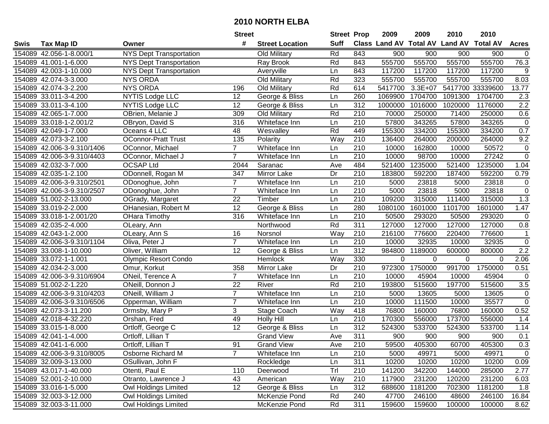| #<br><b>Suff</b><br><b>Class Land AV Total AV</b><br><b>Land AV</b><br><b>Total AV</b><br><b>Tax Map ID</b><br><b>Street Location</b><br><b>Acres</b><br>Swis<br>Owner<br>Rd<br>843<br>154089 42.056-1-8.000/1<br><b>NYS Dept Transportation</b><br>Old Military<br>900<br>900<br>900<br>900<br>$\mathbf 0$<br>555700<br>555700<br>555700<br>555700<br>76.3<br><b>NYS Dept Transportation</b><br>Rd<br>843<br>154089 41.001-1-6.000<br>Ray Brook<br>154089 42.003-1-10.000<br><b>NYS Dept Transportation</b><br>843<br>117200<br>117200<br>117200<br>117200<br>9<br>Averyville<br>Ln<br>Rd<br>8.03<br><b>NYS ORDA</b><br>323<br>555700<br>555700<br>555700<br>555700<br>154089 42.074-3-3.000<br>Old Military<br><b>NYS ORDA</b><br>Rd<br>154089 42.074-3-2.200<br>Old Military<br>614<br>5417700<br>$3.3E + 07$<br>5417700 33339600<br>13.77<br>196<br>154089 33.011-3-4.200<br><b>NYTIS Lodge LLC</b><br>12<br>George & Bliss<br>Ln<br>260<br>1704700<br>1091300<br>1704700<br>2.3<br>1069900<br>$\overline{2.2}$<br>NYTIS Lodge LLC<br>312<br>1016000<br>1176000<br>154089 33.011-3-4.100<br>12<br>George & Bliss<br>Ln<br>1000000<br>1020000<br>210<br>0.6<br>OBrien, Melanie J<br>309<br>Rd<br>70000<br>250000<br>71400<br>154089 42.065-1-7.000<br>Old Military<br>250000<br>$\overline{210}$<br>57800<br>343265<br>$\pmb{0}$<br>154089 33.018-1-2.001/2<br>316<br>Whiteface Inn<br>57800<br>343265<br>OBryon, David S<br>Ln<br>Rd<br>449<br>155300<br>334200<br>155300<br>0.7<br>154089 42.049-1-7.000<br>Oceans 4 LLC<br>48<br>334200<br>Wesvalley<br>135<br>210<br>9.2<br>154089 42.073-3-2.100<br><b>OConnor-Pratt Trust</b><br>Polarity<br>Way<br>136400<br>264000<br>200000<br>264000<br>$\overline{7}$<br>Whiteface Inn<br>210<br>10000<br>162800<br>10000<br>50572<br>$\pmb{0}$<br>154089 42.006-3-9.310/1406<br>OConnor, Michael<br>Ln<br>$\overline{0}$<br>$\overline{7}$<br>210<br>27242<br>10000<br>98700<br>10000<br>154089 42.006-3-9.310/4403<br>OConnor, Michael J<br>Whiteface Inn<br>Ln<br>484<br>154089 42.032-3-7.000<br><b>OCSAP Ltd</b><br>Saranac<br>521400<br>1235000<br>521400<br>1235000<br>1.04<br>2044<br>Ave<br>210<br>154089 42.035-1-2.100<br>ODonnell, Rogan M<br>347<br>Mirror Lake<br>Dr<br>183800<br>592200<br>187400<br>592200<br>0.79<br>$\overline{7}$<br>210<br>5000<br>23818<br>23818<br>$\pmb{0}$<br>154089 42.006-3-9.310/2501<br>ODonoghue, John<br>Whiteface Inn<br>Ln<br>5000<br>$\overline{7}$<br>$\overline{210}$<br>$\pmb{0}$<br>23818<br>154089 42.006-3-9.310/2507<br>5000<br>23818<br>5000<br>ODonoghue, John<br>Whiteface Inn<br>Ln<br>22<br>210<br>1.3<br>154089 51.002-2-13.000<br>Timber<br>109200<br>315000<br>111400<br>315000<br>OGrady, Margaret<br>Ln<br>12<br>1.47<br>154089 33.019-2-2.000<br>OHanesian, Robert M<br>George & Bliss<br>280<br>1080100<br>1601000<br>1101700<br>1601000<br>Ln<br>316<br>Whiteface Inn<br>210<br>50500<br>293020<br>50500<br>$\pmb{0}$<br>154089 33.018-1-2.001/20<br>OHara Timothy<br>Ln<br>293020<br>Rd<br>0.8<br>311<br>127000<br>127000<br>127000<br>127000<br>154089 42.035-2-4.000<br>OLeary, Ann<br>Northwood<br>Way<br>154089 42.043-1-2.000<br>16<br>Norsnol<br>210<br>216100<br>776600<br>220400<br>776600<br>$\mathbf{1}$<br>OLeary, Ann S<br>$\overline{7}$<br>$\pmb{0}$<br>210<br>154089 42.006-3-9.310/1104<br>Oliva, Peter J<br>10000<br>32935<br>10000<br>32935<br>Whiteface Inn<br>Ln<br>312<br>Oliver, William<br>12<br>984800<br>1189000<br>600000<br>800000<br>2.2<br>154089 33.008-1-10.000<br>Ln<br>George & Bliss<br>Way<br>330<br>2.06<br>$\mathbf 0$<br>154089 33.072-1-1.001<br>Hemlock<br>0<br>0<br>$\Omega$<br><b>Olympic Resort Condo</b><br>358<br>Dr<br>210<br>972300<br>1750000<br>991700<br>1750000<br>154089 42.034-2-3.000<br>Mirror Lake<br>0.51<br>Omur, Korkut<br>$\overline{7}$<br>210<br>10000<br>ONeil, Terence A<br>Whiteface Inn<br>Ln<br>45904<br>10000<br>45904<br>0<br>154089 42.006-3-9.310/6904<br>22<br>Rd<br>515600<br>154089 51.002-2-1.220<br>ONeill, Donnon J<br>River<br>210<br>193800<br>197700<br>515600<br>3.5<br>$\overline{7}$<br>$\overline{210}$<br>ONeill, William J<br>5000<br>13605<br>$\pmb{0}$<br>154089 42.006-3-9.310/4203<br>Whiteface Inn<br>Ln<br>13605<br>5000<br>$\overline{0}$<br>$\overline{7}$<br>$\overline{210}$<br>10000<br>35577<br>154089 42.006-3-9.310/6506<br>Opperman, William<br>10000<br>111500<br>Whiteface Inn<br>Ln<br>154089 42.073-3-11.200<br>3<br>Way<br>418<br>76800<br>76800<br>160000<br>0.52<br>Ormsby, Mary P<br>Stage Coach<br>160000<br>154089 42.018-4-32.220<br>49<br><b>Holly Hill</b><br>210<br>170300<br>556000<br>173700<br>556000<br>Orshan, Fred<br>Ln<br>1.4<br>312<br>$\overline{12}$<br>524300<br>154089 33.015-1-8.000<br>Ortloff, George C<br>George & Bliss<br>Ln<br>524300<br>533700<br>533700<br>1.14<br>311<br><b>Grand View</b><br>Ave<br>900<br>900<br>900<br>0.1<br>154089 42.041-1-4.000<br>Ortloff, Lillian T<br>900<br>154089 42.041-1-6.000<br>Ortloff, Lillian T<br>91<br><b>Grand View</b><br>Ave<br>210<br>59500<br>405300<br>60700<br>405300<br>0.3<br>$\overline{7}$<br>$\mathbf 0$<br>154089 42.006-3-9.310/8005<br>Osborne Richard M<br>Whiteface Inn<br>210<br>5000<br>49971<br>5000<br>49971<br>Ln<br>311<br>154089 32.009-3-13.000<br>OSullivan, John F<br>Rockledge<br>Ln<br>10200<br>10200<br>10200<br>10200<br>0.09<br>Trl<br>154089 43.017-1-40.000<br>Otenti, Paul E<br>110<br>210<br>141200<br>342200<br>144000<br>285000<br>Deerwood<br>2.77<br>154089 52.001-2-10.000<br>Otranto, Lawrence J<br>231200<br>43<br>American<br>Way<br>210<br>117900<br>120200<br>231200<br>6.03<br>Owl Holdings Limited<br>12<br>312<br>1181200<br>1.8<br>154089 33.016-1-5.000<br>George & Bliss<br>688600<br>702300<br>1181200<br>Ln<br>Owl Holdings Limited<br>154089 32.003-3-12.000<br>McKenzie Pond<br>Rd<br>240<br>47700<br>246100<br>48600<br>246100<br>311<br>154089 32.003-3-11.000<br>Rd<br>159600<br>100000<br>8.62 |  |                      | <b>Street</b> |               | <b>Street Prop</b> | 2009   | 2009 | 2010   | 2010 |  |
|---------------------------------------------------------------------------------------------------------------------------------------------------------------------------------------------------------------------------------------------------------------------------------------------------------------------------------------------------------------------------------------------------------------------------------------------------------------------------------------------------------------------------------------------------------------------------------------------------------------------------------------------------------------------------------------------------------------------------------------------------------------------------------------------------------------------------------------------------------------------------------------------------------------------------------------------------------------------------------------------------------------------------------------------------------------------------------------------------------------------------------------------------------------------------------------------------------------------------------------------------------------------------------------------------------------------------------------------------------------------------------------------------------------------------------------------------------------------------------------------------------------------------------------------------------------------------------------------------------------------------------------------------------------------------------------------------------------------------------------------------------------------------------------------------------------------------------------------------------------------------------------------------------------------------------------------------------------------------------------------------------------------------------------------------------------------------------------------------------------------------------------------------------------------------------------------------------------------------------------------------------------------------------------------------------------------------------------------------------------------------------------------------------------------------------------------------------------------------------------------------------------------------------------------------------------------------------------------------------------------------------------------------------------------------------------------------------------------------------------------------------------------------------------------------------------------------------------------------------------------------------------------------------------------------------------------------------------------------------------------------------------------------------------------------------------------------------------------------------------------------------------------------------------------------------------------------------------------------------------------------------------------------------------------------------------------------------------------------------------------------------------------------------------------------------------------------------------------------------------------------------------------------------------------------------------------------------------------------------------------------------------------------------------------------------------------------------------------------------------------------------------------------------------------------------------------------------------------------------------------------------------------------------------------------------------------------------------------------------------------------------------------------------------------------------------------------------------------------------------------------------------------------------------------------------------------------------------------------------------------------------------------------------------------------------------------------------------------------------------------------------------------------------------------------------------------------------------------------------------------------------------------------------------------------------------------------------------------------------------------------------------------------------------------------------------------------------------------------------------------------------------------------------------------------------------------------------------------------------------------------------------------------------------------------------------------------------------------------------------------------------------------------------------------------------------------------------------------------------------------------------------------------------------------------------------------------------------------------------------------------------------------------------------------------------------------------------------------------------------------------------------------------------------------------------------------------------------------------------------------------------------------------------------------------------------------------------------------------------------------------------------------------------------------------------------------------------------------------------------------------------------------------------------------------------------------------------------------------------------------------------------------------------------------------------------------------------------|--|----------------------|---------------|---------------|--------------------|--------|------|--------|------|--|
|                                                                                                                                                                                                                                                                                                                                                                                                                                                                                                                                                                                                                                                                                                                                                                                                                                                                                                                                                                                                                                                                                                                                                                                                                                                                                                                                                                                                                                                                                                                                                                                                                                                                                                                                                                                                                                                                                                                                                                                                                                                                                                                                                                                                                                                                                                                                                                                                                                                                                                                                                                                                                                                                                                                                                                                                                                                                                                                                                                                                                                                                                                                                                                                                                                                                                                                                                                                                                                                                                                                                                                                                                                                                                                                                                                                                                                                                                                                                                                                                                                                                                                                                                                                                                                                                                                                                                                                                                                                                                                                                                                                                                                                                                                                                                                                                                                                                                                                                                                                                                                                                                                                                                                                                                                                                                                                                                                                                                                                                                                                                                                                                                                                                                                                                                                                                                                                                                                                                                               |  |                      |               |               |                    |        |      |        |      |  |
| 16.84                                                                                                                                                                                                                                                                                                                                                                                                                                                                                                                                                                                                                                                                                                                                                                                                                                                                                                                                                                                                                                                                                                                                                                                                                                                                                                                                                                                                                                                                                                                                                                                                                                                                                                                                                                                                                                                                                                                                                                                                                                                                                                                                                                                                                                                                                                                                                                                                                                                                                                                                                                                                                                                                                                                                                                                                                                                                                                                                                                                                                                                                                                                                                                                                                                                                                                                                                                                                                                                                                                                                                                                                                                                                                                                                                                                                                                                                                                                                                                                                                                                                                                                                                                                                                                                                                                                                                                                                                                                                                                                                                                                                                                                                                                                                                                                                                                                                                                                                                                                                                                                                                                                                                                                                                                                                                                                                                                                                                                                                                                                                                                                                                                                                                                                                                                                                                                                                                                                                                         |  |                      |               |               |                    |        |      |        |      |  |
|                                                                                                                                                                                                                                                                                                                                                                                                                                                                                                                                                                                                                                                                                                                                                                                                                                                                                                                                                                                                                                                                                                                                                                                                                                                                                                                                                                                                                                                                                                                                                                                                                                                                                                                                                                                                                                                                                                                                                                                                                                                                                                                                                                                                                                                                                                                                                                                                                                                                                                                                                                                                                                                                                                                                                                                                                                                                                                                                                                                                                                                                                                                                                                                                                                                                                                                                                                                                                                                                                                                                                                                                                                                                                                                                                                                                                                                                                                                                                                                                                                                                                                                                                                                                                                                                                                                                                                                                                                                                                                                                                                                                                                                                                                                                                                                                                                                                                                                                                                                                                                                                                                                                                                                                                                                                                                                                                                                                                                                                                                                                                                                                                                                                                                                                                                                                                                                                                                                                                               |  |                      |               |               |                    |        |      |        |      |  |
|                                                                                                                                                                                                                                                                                                                                                                                                                                                                                                                                                                                                                                                                                                                                                                                                                                                                                                                                                                                                                                                                                                                                                                                                                                                                                                                                                                                                                                                                                                                                                                                                                                                                                                                                                                                                                                                                                                                                                                                                                                                                                                                                                                                                                                                                                                                                                                                                                                                                                                                                                                                                                                                                                                                                                                                                                                                                                                                                                                                                                                                                                                                                                                                                                                                                                                                                                                                                                                                                                                                                                                                                                                                                                                                                                                                                                                                                                                                                                                                                                                                                                                                                                                                                                                                                                                                                                                                                                                                                                                                                                                                                                                                                                                                                                                                                                                                                                                                                                                                                                                                                                                                                                                                                                                                                                                                                                                                                                                                                                                                                                                                                                                                                                                                                                                                                                                                                                                                                                               |  |                      |               |               |                    |        |      |        |      |  |
|                                                                                                                                                                                                                                                                                                                                                                                                                                                                                                                                                                                                                                                                                                                                                                                                                                                                                                                                                                                                                                                                                                                                                                                                                                                                                                                                                                                                                                                                                                                                                                                                                                                                                                                                                                                                                                                                                                                                                                                                                                                                                                                                                                                                                                                                                                                                                                                                                                                                                                                                                                                                                                                                                                                                                                                                                                                                                                                                                                                                                                                                                                                                                                                                                                                                                                                                                                                                                                                                                                                                                                                                                                                                                                                                                                                                                                                                                                                                                                                                                                                                                                                                                                                                                                                                                                                                                                                                                                                                                                                                                                                                                                                                                                                                                                                                                                                                                                                                                                                                                                                                                                                                                                                                                                                                                                                                                                                                                                                                                                                                                                                                                                                                                                                                                                                                                                                                                                                                                               |  |                      |               |               |                    |        |      |        |      |  |
|                                                                                                                                                                                                                                                                                                                                                                                                                                                                                                                                                                                                                                                                                                                                                                                                                                                                                                                                                                                                                                                                                                                                                                                                                                                                                                                                                                                                                                                                                                                                                                                                                                                                                                                                                                                                                                                                                                                                                                                                                                                                                                                                                                                                                                                                                                                                                                                                                                                                                                                                                                                                                                                                                                                                                                                                                                                                                                                                                                                                                                                                                                                                                                                                                                                                                                                                                                                                                                                                                                                                                                                                                                                                                                                                                                                                                                                                                                                                                                                                                                                                                                                                                                                                                                                                                                                                                                                                                                                                                                                                                                                                                                                                                                                                                                                                                                                                                                                                                                                                                                                                                                                                                                                                                                                                                                                                                                                                                                                                                                                                                                                                                                                                                                                                                                                                                                                                                                                                                               |  |                      |               |               |                    |        |      |        |      |  |
|                                                                                                                                                                                                                                                                                                                                                                                                                                                                                                                                                                                                                                                                                                                                                                                                                                                                                                                                                                                                                                                                                                                                                                                                                                                                                                                                                                                                                                                                                                                                                                                                                                                                                                                                                                                                                                                                                                                                                                                                                                                                                                                                                                                                                                                                                                                                                                                                                                                                                                                                                                                                                                                                                                                                                                                                                                                                                                                                                                                                                                                                                                                                                                                                                                                                                                                                                                                                                                                                                                                                                                                                                                                                                                                                                                                                                                                                                                                                                                                                                                                                                                                                                                                                                                                                                                                                                                                                                                                                                                                                                                                                                                                                                                                                                                                                                                                                                                                                                                                                                                                                                                                                                                                                                                                                                                                                                                                                                                                                                                                                                                                                                                                                                                                                                                                                                                                                                                                                                               |  |                      |               |               |                    |        |      |        |      |  |
|                                                                                                                                                                                                                                                                                                                                                                                                                                                                                                                                                                                                                                                                                                                                                                                                                                                                                                                                                                                                                                                                                                                                                                                                                                                                                                                                                                                                                                                                                                                                                                                                                                                                                                                                                                                                                                                                                                                                                                                                                                                                                                                                                                                                                                                                                                                                                                                                                                                                                                                                                                                                                                                                                                                                                                                                                                                                                                                                                                                                                                                                                                                                                                                                                                                                                                                                                                                                                                                                                                                                                                                                                                                                                                                                                                                                                                                                                                                                                                                                                                                                                                                                                                                                                                                                                                                                                                                                                                                                                                                                                                                                                                                                                                                                                                                                                                                                                                                                                                                                                                                                                                                                                                                                                                                                                                                                                                                                                                                                                                                                                                                                                                                                                                                                                                                                                                                                                                                                                               |  |                      |               |               |                    |        |      |        |      |  |
|                                                                                                                                                                                                                                                                                                                                                                                                                                                                                                                                                                                                                                                                                                                                                                                                                                                                                                                                                                                                                                                                                                                                                                                                                                                                                                                                                                                                                                                                                                                                                                                                                                                                                                                                                                                                                                                                                                                                                                                                                                                                                                                                                                                                                                                                                                                                                                                                                                                                                                                                                                                                                                                                                                                                                                                                                                                                                                                                                                                                                                                                                                                                                                                                                                                                                                                                                                                                                                                                                                                                                                                                                                                                                                                                                                                                                                                                                                                                                                                                                                                                                                                                                                                                                                                                                                                                                                                                                                                                                                                                                                                                                                                                                                                                                                                                                                                                                                                                                                                                                                                                                                                                                                                                                                                                                                                                                                                                                                                                                                                                                                                                                                                                                                                                                                                                                                                                                                                                                               |  |                      |               |               |                    |        |      |        |      |  |
|                                                                                                                                                                                                                                                                                                                                                                                                                                                                                                                                                                                                                                                                                                                                                                                                                                                                                                                                                                                                                                                                                                                                                                                                                                                                                                                                                                                                                                                                                                                                                                                                                                                                                                                                                                                                                                                                                                                                                                                                                                                                                                                                                                                                                                                                                                                                                                                                                                                                                                                                                                                                                                                                                                                                                                                                                                                                                                                                                                                                                                                                                                                                                                                                                                                                                                                                                                                                                                                                                                                                                                                                                                                                                                                                                                                                                                                                                                                                                                                                                                                                                                                                                                                                                                                                                                                                                                                                                                                                                                                                                                                                                                                                                                                                                                                                                                                                                                                                                                                                                                                                                                                                                                                                                                                                                                                                                                                                                                                                                                                                                                                                                                                                                                                                                                                                                                                                                                                                                               |  |                      |               |               |                    |        |      |        |      |  |
|                                                                                                                                                                                                                                                                                                                                                                                                                                                                                                                                                                                                                                                                                                                                                                                                                                                                                                                                                                                                                                                                                                                                                                                                                                                                                                                                                                                                                                                                                                                                                                                                                                                                                                                                                                                                                                                                                                                                                                                                                                                                                                                                                                                                                                                                                                                                                                                                                                                                                                                                                                                                                                                                                                                                                                                                                                                                                                                                                                                                                                                                                                                                                                                                                                                                                                                                                                                                                                                                                                                                                                                                                                                                                                                                                                                                                                                                                                                                                                                                                                                                                                                                                                                                                                                                                                                                                                                                                                                                                                                                                                                                                                                                                                                                                                                                                                                                                                                                                                                                                                                                                                                                                                                                                                                                                                                                                                                                                                                                                                                                                                                                                                                                                                                                                                                                                                                                                                                                                               |  |                      |               |               |                    |        |      |        |      |  |
|                                                                                                                                                                                                                                                                                                                                                                                                                                                                                                                                                                                                                                                                                                                                                                                                                                                                                                                                                                                                                                                                                                                                                                                                                                                                                                                                                                                                                                                                                                                                                                                                                                                                                                                                                                                                                                                                                                                                                                                                                                                                                                                                                                                                                                                                                                                                                                                                                                                                                                                                                                                                                                                                                                                                                                                                                                                                                                                                                                                                                                                                                                                                                                                                                                                                                                                                                                                                                                                                                                                                                                                                                                                                                                                                                                                                                                                                                                                                                                                                                                                                                                                                                                                                                                                                                                                                                                                                                                                                                                                                                                                                                                                                                                                                                                                                                                                                                                                                                                                                                                                                                                                                                                                                                                                                                                                                                                                                                                                                                                                                                                                                                                                                                                                                                                                                                                                                                                                                                               |  |                      |               |               |                    |        |      |        |      |  |
|                                                                                                                                                                                                                                                                                                                                                                                                                                                                                                                                                                                                                                                                                                                                                                                                                                                                                                                                                                                                                                                                                                                                                                                                                                                                                                                                                                                                                                                                                                                                                                                                                                                                                                                                                                                                                                                                                                                                                                                                                                                                                                                                                                                                                                                                                                                                                                                                                                                                                                                                                                                                                                                                                                                                                                                                                                                                                                                                                                                                                                                                                                                                                                                                                                                                                                                                                                                                                                                                                                                                                                                                                                                                                                                                                                                                                                                                                                                                                                                                                                                                                                                                                                                                                                                                                                                                                                                                                                                                                                                                                                                                                                                                                                                                                                                                                                                                                                                                                                                                                                                                                                                                                                                                                                                                                                                                                                                                                                                                                                                                                                                                                                                                                                                                                                                                                                                                                                                                                               |  |                      |               |               |                    |        |      |        |      |  |
|                                                                                                                                                                                                                                                                                                                                                                                                                                                                                                                                                                                                                                                                                                                                                                                                                                                                                                                                                                                                                                                                                                                                                                                                                                                                                                                                                                                                                                                                                                                                                                                                                                                                                                                                                                                                                                                                                                                                                                                                                                                                                                                                                                                                                                                                                                                                                                                                                                                                                                                                                                                                                                                                                                                                                                                                                                                                                                                                                                                                                                                                                                                                                                                                                                                                                                                                                                                                                                                                                                                                                                                                                                                                                                                                                                                                                                                                                                                                                                                                                                                                                                                                                                                                                                                                                                                                                                                                                                                                                                                                                                                                                                                                                                                                                                                                                                                                                                                                                                                                                                                                                                                                                                                                                                                                                                                                                                                                                                                                                                                                                                                                                                                                                                                                                                                                                                                                                                                                                               |  |                      |               |               |                    |        |      |        |      |  |
|                                                                                                                                                                                                                                                                                                                                                                                                                                                                                                                                                                                                                                                                                                                                                                                                                                                                                                                                                                                                                                                                                                                                                                                                                                                                                                                                                                                                                                                                                                                                                                                                                                                                                                                                                                                                                                                                                                                                                                                                                                                                                                                                                                                                                                                                                                                                                                                                                                                                                                                                                                                                                                                                                                                                                                                                                                                                                                                                                                                                                                                                                                                                                                                                                                                                                                                                                                                                                                                                                                                                                                                                                                                                                                                                                                                                                                                                                                                                                                                                                                                                                                                                                                                                                                                                                                                                                                                                                                                                                                                                                                                                                                                                                                                                                                                                                                                                                                                                                                                                                                                                                                                                                                                                                                                                                                                                                                                                                                                                                                                                                                                                                                                                                                                                                                                                                                                                                                                                                               |  |                      |               |               |                    |        |      |        |      |  |
|                                                                                                                                                                                                                                                                                                                                                                                                                                                                                                                                                                                                                                                                                                                                                                                                                                                                                                                                                                                                                                                                                                                                                                                                                                                                                                                                                                                                                                                                                                                                                                                                                                                                                                                                                                                                                                                                                                                                                                                                                                                                                                                                                                                                                                                                                                                                                                                                                                                                                                                                                                                                                                                                                                                                                                                                                                                                                                                                                                                                                                                                                                                                                                                                                                                                                                                                                                                                                                                                                                                                                                                                                                                                                                                                                                                                                                                                                                                                                                                                                                                                                                                                                                                                                                                                                                                                                                                                                                                                                                                                                                                                                                                                                                                                                                                                                                                                                                                                                                                                                                                                                                                                                                                                                                                                                                                                                                                                                                                                                                                                                                                                                                                                                                                                                                                                                                                                                                                                                               |  |                      |               |               |                    |        |      |        |      |  |
|                                                                                                                                                                                                                                                                                                                                                                                                                                                                                                                                                                                                                                                                                                                                                                                                                                                                                                                                                                                                                                                                                                                                                                                                                                                                                                                                                                                                                                                                                                                                                                                                                                                                                                                                                                                                                                                                                                                                                                                                                                                                                                                                                                                                                                                                                                                                                                                                                                                                                                                                                                                                                                                                                                                                                                                                                                                                                                                                                                                                                                                                                                                                                                                                                                                                                                                                                                                                                                                                                                                                                                                                                                                                                                                                                                                                                                                                                                                                                                                                                                                                                                                                                                                                                                                                                                                                                                                                                                                                                                                                                                                                                                                                                                                                                                                                                                                                                                                                                                                                                                                                                                                                                                                                                                                                                                                                                                                                                                                                                                                                                                                                                                                                                                                                                                                                                                                                                                                                                               |  |                      |               |               |                    |        |      |        |      |  |
|                                                                                                                                                                                                                                                                                                                                                                                                                                                                                                                                                                                                                                                                                                                                                                                                                                                                                                                                                                                                                                                                                                                                                                                                                                                                                                                                                                                                                                                                                                                                                                                                                                                                                                                                                                                                                                                                                                                                                                                                                                                                                                                                                                                                                                                                                                                                                                                                                                                                                                                                                                                                                                                                                                                                                                                                                                                                                                                                                                                                                                                                                                                                                                                                                                                                                                                                                                                                                                                                                                                                                                                                                                                                                                                                                                                                                                                                                                                                                                                                                                                                                                                                                                                                                                                                                                                                                                                                                                                                                                                                                                                                                                                                                                                                                                                                                                                                                                                                                                                                                                                                                                                                                                                                                                                                                                                                                                                                                                                                                                                                                                                                                                                                                                                                                                                                                                                                                                                                                               |  |                      |               |               |                    |        |      |        |      |  |
|                                                                                                                                                                                                                                                                                                                                                                                                                                                                                                                                                                                                                                                                                                                                                                                                                                                                                                                                                                                                                                                                                                                                                                                                                                                                                                                                                                                                                                                                                                                                                                                                                                                                                                                                                                                                                                                                                                                                                                                                                                                                                                                                                                                                                                                                                                                                                                                                                                                                                                                                                                                                                                                                                                                                                                                                                                                                                                                                                                                                                                                                                                                                                                                                                                                                                                                                                                                                                                                                                                                                                                                                                                                                                                                                                                                                                                                                                                                                                                                                                                                                                                                                                                                                                                                                                                                                                                                                                                                                                                                                                                                                                                                                                                                                                                                                                                                                                                                                                                                                                                                                                                                                                                                                                                                                                                                                                                                                                                                                                                                                                                                                                                                                                                                                                                                                                                                                                                                                                               |  |                      |               |               |                    |        |      |        |      |  |
|                                                                                                                                                                                                                                                                                                                                                                                                                                                                                                                                                                                                                                                                                                                                                                                                                                                                                                                                                                                                                                                                                                                                                                                                                                                                                                                                                                                                                                                                                                                                                                                                                                                                                                                                                                                                                                                                                                                                                                                                                                                                                                                                                                                                                                                                                                                                                                                                                                                                                                                                                                                                                                                                                                                                                                                                                                                                                                                                                                                                                                                                                                                                                                                                                                                                                                                                                                                                                                                                                                                                                                                                                                                                                                                                                                                                                                                                                                                                                                                                                                                                                                                                                                                                                                                                                                                                                                                                                                                                                                                                                                                                                                                                                                                                                                                                                                                                                                                                                                                                                                                                                                                                                                                                                                                                                                                                                                                                                                                                                                                                                                                                                                                                                                                                                                                                                                                                                                                                                               |  |                      |               |               |                    |        |      |        |      |  |
|                                                                                                                                                                                                                                                                                                                                                                                                                                                                                                                                                                                                                                                                                                                                                                                                                                                                                                                                                                                                                                                                                                                                                                                                                                                                                                                                                                                                                                                                                                                                                                                                                                                                                                                                                                                                                                                                                                                                                                                                                                                                                                                                                                                                                                                                                                                                                                                                                                                                                                                                                                                                                                                                                                                                                                                                                                                                                                                                                                                                                                                                                                                                                                                                                                                                                                                                                                                                                                                                                                                                                                                                                                                                                                                                                                                                                                                                                                                                                                                                                                                                                                                                                                                                                                                                                                                                                                                                                                                                                                                                                                                                                                                                                                                                                                                                                                                                                                                                                                                                                                                                                                                                                                                                                                                                                                                                                                                                                                                                                                                                                                                                                                                                                                                                                                                                                                                                                                                                                               |  |                      |               |               |                    |        |      |        |      |  |
|                                                                                                                                                                                                                                                                                                                                                                                                                                                                                                                                                                                                                                                                                                                                                                                                                                                                                                                                                                                                                                                                                                                                                                                                                                                                                                                                                                                                                                                                                                                                                                                                                                                                                                                                                                                                                                                                                                                                                                                                                                                                                                                                                                                                                                                                                                                                                                                                                                                                                                                                                                                                                                                                                                                                                                                                                                                                                                                                                                                                                                                                                                                                                                                                                                                                                                                                                                                                                                                                                                                                                                                                                                                                                                                                                                                                                                                                                                                                                                                                                                                                                                                                                                                                                                                                                                                                                                                                                                                                                                                                                                                                                                                                                                                                                                                                                                                                                                                                                                                                                                                                                                                                                                                                                                                                                                                                                                                                                                                                                                                                                                                                                                                                                                                                                                                                                                                                                                                                                               |  |                      |               |               |                    |        |      |        |      |  |
|                                                                                                                                                                                                                                                                                                                                                                                                                                                                                                                                                                                                                                                                                                                                                                                                                                                                                                                                                                                                                                                                                                                                                                                                                                                                                                                                                                                                                                                                                                                                                                                                                                                                                                                                                                                                                                                                                                                                                                                                                                                                                                                                                                                                                                                                                                                                                                                                                                                                                                                                                                                                                                                                                                                                                                                                                                                                                                                                                                                                                                                                                                                                                                                                                                                                                                                                                                                                                                                                                                                                                                                                                                                                                                                                                                                                                                                                                                                                                                                                                                                                                                                                                                                                                                                                                                                                                                                                                                                                                                                                                                                                                                                                                                                                                                                                                                                                                                                                                                                                                                                                                                                                                                                                                                                                                                                                                                                                                                                                                                                                                                                                                                                                                                                                                                                                                                                                                                                                                               |  |                      |               |               |                    |        |      |        |      |  |
|                                                                                                                                                                                                                                                                                                                                                                                                                                                                                                                                                                                                                                                                                                                                                                                                                                                                                                                                                                                                                                                                                                                                                                                                                                                                                                                                                                                                                                                                                                                                                                                                                                                                                                                                                                                                                                                                                                                                                                                                                                                                                                                                                                                                                                                                                                                                                                                                                                                                                                                                                                                                                                                                                                                                                                                                                                                                                                                                                                                                                                                                                                                                                                                                                                                                                                                                                                                                                                                                                                                                                                                                                                                                                                                                                                                                                                                                                                                                                                                                                                                                                                                                                                                                                                                                                                                                                                                                                                                                                                                                                                                                                                                                                                                                                                                                                                                                                                                                                                                                                                                                                                                                                                                                                                                                                                                                                                                                                                                                                                                                                                                                                                                                                                                                                                                                                                                                                                                                                               |  |                      |               |               |                    |        |      |        |      |  |
|                                                                                                                                                                                                                                                                                                                                                                                                                                                                                                                                                                                                                                                                                                                                                                                                                                                                                                                                                                                                                                                                                                                                                                                                                                                                                                                                                                                                                                                                                                                                                                                                                                                                                                                                                                                                                                                                                                                                                                                                                                                                                                                                                                                                                                                                                                                                                                                                                                                                                                                                                                                                                                                                                                                                                                                                                                                                                                                                                                                                                                                                                                                                                                                                                                                                                                                                                                                                                                                                                                                                                                                                                                                                                                                                                                                                                                                                                                                                                                                                                                                                                                                                                                                                                                                                                                                                                                                                                                                                                                                                                                                                                                                                                                                                                                                                                                                                                                                                                                                                                                                                                                                                                                                                                                                                                                                                                                                                                                                                                                                                                                                                                                                                                                                                                                                                                                                                                                                                                               |  |                      |               |               |                    |        |      |        |      |  |
|                                                                                                                                                                                                                                                                                                                                                                                                                                                                                                                                                                                                                                                                                                                                                                                                                                                                                                                                                                                                                                                                                                                                                                                                                                                                                                                                                                                                                                                                                                                                                                                                                                                                                                                                                                                                                                                                                                                                                                                                                                                                                                                                                                                                                                                                                                                                                                                                                                                                                                                                                                                                                                                                                                                                                                                                                                                                                                                                                                                                                                                                                                                                                                                                                                                                                                                                                                                                                                                                                                                                                                                                                                                                                                                                                                                                                                                                                                                                                                                                                                                                                                                                                                                                                                                                                                                                                                                                                                                                                                                                                                                                                                                                                                                                                                                                                                                                                                                                                                                                                                                                                                                                                                                                                                                                                                                                                                                                                                                                                                                                                                                                                                                                                                                                                                                                                                                                                                                                                               |  |                      |               |               |                    |        |      |        |      |  |
|                                                                                                                                                                                                                                                                                                                                                                                                                                                                                                                                                                                                                                                                                                                                                                                                                                                                                                                                                                                                                                                                                                                                                                                                                                                                                                                                                                                                                                                                                                                                                                                                                                                                                                                                                                                                                                                                                                                                                                                                                                                                                                                                                                                                                                                                                                                                                                                                                                                                                                                                                                                                                                                                                                                                                                                                                                                                                                                                                                                                                                                                                                                                                                                                                                                                                                                                                                                                                                                                                                                                                                                                                                                                                                                                                                                                                                                                                                                                                                                                                                                                                                                                                                                                                                                                                                                                                                                                                                                                                                                                                                                                                                                                                                                                                                                                                                                                                                                                                                                                                                                                                                                                                                                                                                                                                                                                                                                                                                                                                                                                                                                                                                                                                                                                                                                                                                                                                                                                                               |  |                      |               |               |                    |        |      |        |      |  |
|                                                                                                                                                                                                                                                                                                                                                                                                                                                                                                                                                                                                                                                                                                                                                                                                                                                                                                                                                                                                                                                                                                                                                                                                                                                                                                                                                                                                                                                                                                                                                                                                                                                                                                                                                                                                                                                                                                                                                                                                                                                                                                                                                                                                                                                                                                                                                                                                                                                                                                                                                                                                                                                                                                                                                                                                                                                                                                                                                                                                                                                                                                                                                                                                                                                                                                                                                                                                                                                                                                                                                                                                                                                                                                                                                                                                                                                                                                                                                                                                                                                                                                                                                                                                                                                                                                                                                                                                                                                                                                                                                                                                                                                                                                                                                                                                                                                                                                                                                                                                                                                                                                                                                                                                                                                                                                                                                                                                                                                                                                                                                                                                                                                                                                                                                                                                                                                                                                                                                               |  |                      |               |               |                    |        |      |        |      |  |
|                                                                                                                                                                                                                                                                                                                                                                                                                                                                                                                                                                                                                                                                                                                                                                                                                                                                                                                                                                                                                                                                                                                                                                                                                                                                                                                                                                                                                                                                                                                                                                                                                                                                                                                                                                                                                                                                                                                                                                                                                                                                                                                                                                                                                                                                                                                                                                                                                                                                                                                                                                                                                                                                                                                                                                                                                                                                                                                                                                                                                                                                                                                                                                                                                                                                                                                                                                                                                                                                                                                                                                                                                                                                                                                                                                                                                                                                                                                                                                                                                                                                                                                                                                                                                                                                                                                                                                                                                                                                                                                                                                                                                                                                                                                                                                                                                                                                                                                                                                                                                                                                                                                                                                                                                                                                                                                                                                                                                                                                                                                                                                                                                                                                                                                                                                                                                                                                                                                                                               |  |                      |               |               |                    |        |      |        |      |  |
|                                                                                                                                                                                                                                                                                                                                                                                                                                                                                                                                                                                                                                                                                                                                                                                                                                                                                                                                                                                                                                                                                                                                                                                                                                                                                                                                                                                                                                                                                                                                                                                                                                                                                                                                                                                                                                                                                                                                                                                                                                                                                                                                                                                                                                                                                                                                                                                                                                                                                                                                                                                                                                                                                                                                                                                                                                                                                                                                                                                                                                                                                                                                                                                                                                                                                                                                                                                                                                                                                                                                                                                                                                                                                                                                                                                                                                                                                                                                                                                                                                                                                                                                                                                                                                                                                                                                                                                                                                                                                                                                                                                                                                                                                                                                                                                                                                                                                                                                                                                                                                                                                                                                                                                                                                                                                                                                                                                                                                                                                                                                                                                                                                                                                                                                                                                                                                                                                                                                                               |  |                      |               |               |                    |        |      |        |      |  |
|                                                                                                                                                                                                                                                                                                                                                                                                                                                                                                                                                                                                                                                                                                                                                                                                                                                                                                                                                                                                                                                                                                                                                                                                                                                                                                                                                                                                                                                                                                                                                                                                                                                                                                                                                                                                                                                                                                                                                                                                                                                                                                                                                                                                                                                                                                                                                                                                                                                                                                                                                                                                                                                                                                                                                                                                                                                                                                                                                                                                                                                                                                                                                                                                                                                                                                                                                                                                                                                                                                                                                                                                                                                                                                                                                                                                                                                                                                                                                                                                                                                                                                                                                                                                                                                                                                                                                                                                                                                                                                                                                                                                                                                                                                                                                                                                                                                                                                                                                                                                                                                                                                                                                                                                                                                                                                                                                                                                                                                                                                                                                                                                                                                                                                                                                                                                                                                                                                                                                               |  |                      |               |               |                    |        |      |        |      |  |
|                                                                                                                                                                                                                                                                                                                                                                                                                                                                                                                                                                                                                                                                                                                                                                                                                                                                                                                                                                                                                                                                                                                                                                                                                                                                                                                                                                                                                                                                                                                                                                                                                                                                                                                                                                                                                                                                                                                                                                                                                                                                                                                                                                                                                                                                                                                                                                                                                                                                                                                                                                                                                                                                                                                                                                                                                                                                                                                                                                                                                                                                                                                                                                                                                                                                                                                                                                                                                                                                                                                                                                                                                                                                                                                                                                                                                                                                                                                                                                                                                                                                                                                                                                                                                                                                                                                                                                                                                                                                                                                                                                                                                                                                                                                                                                                                                                                                                                                                                                                                                                                                                                                                                                                                                                                                                                                                                                                                                                                                                                                                                                                                                                                                                                                                                                                                                                                                                                                                                               |  |                      |               |               |                    |        |      |        |      |  |
|                                                                                                                                                                                                                                                                                                                                                                                                                                                                                                                                                                                                                                                                                                                                                                                                                                                                                                                                                                                                                                                                                                                                                                                                                                                                                                                                                                                                                                                                                                                                                                                                                                                                                                                                                                                                                                                                                                                                                                                                                                                                                                                                                                                                                                                                                                                                                                                                                                                                                                                                                                                                                                                                                                                                                                                                                                                                                                                                                                                                                                                                                                                                                                                                                                                                                                                                                                                                                                                                                                                                                                                                                                                                                                                                                                                                                                                                                                                                                                                                                                                                                                                                                                                                                                                                                                                                                                                                                                                                                                                                                                                                                                                                                                                                                                                                                                                                                                                                                                                                                                                                                                                                                                                                                                                                                                                                                                                                                                                                                                                                                                                                                                                                                                                                                                                                                                                                                                                                                               |  |                      |               |               |                    |        |      |        |      |  |
|                                                                                                                                                                                                                                                                                                                                                                                                                                                                                                                                                                                                                                                                                                                                                                                                                                                                                                                                                                                                                                                                                                                                                                                                                                                                                                                                                                                                                                                                                                                                                                                                                                                                                                                                                                                                                                                                                                                                                                                                                                                                                                                                                                                                                                                                                                                                                                                                                                                                                                                                                                                                                                                                                                                                                                                                                                                                                                                                                                                                                                                                                                                                                                                                                                                                                                                                                                                                                                                                                                                                                                                                                                                                                                                                                                                                                                                                                                                                                                                                                                                                                                                                                                                                                                                                                                                                                                                                                                                                                                                                                                                                                                                                                                                                                                                                                                                                                                                                                                                                                                                                                                                                                                                                                                                                                                                                                                                                                                                                                                                                                                                                                                                                                                                                                                                                                                                                                                                                                               |  |                      |               |               |                    |        |      |        |      |  |
|                                                                                                                                                                                                                                                                                                                                                                                                                                                                                                                                                                                                                                                                                                                                                                                                                                                                                                                                                                                                                                                                                                                                                                                                                                                                                                                                                                                                                                                                                                                                                                                                                                                                                                                                                                                                                                                                                                                                                                                                                                                                                                                                                                                                                                                                                                                                                                                                                                                                                                                                                                                                                                                                                                                                                                                                                                                                                                                                                                                                                                                                                                                                                                                                                                                                                                                                                                                                                                                                                                                                                                                                                                                                                                                                                                                                                                                                                                                                                                                                                                                                                                                                                                                                                                                                                                                                                                                                                                                                                                                                                                                                                                                                                                                                                                                                                                                                                                                                                                                                                                                                                                                                                                                                                                                                                                                                                                                                                                                                                                                                                                                                                                                                                                                                                                                                                                                                                                                                                               |  |                      |               |               |                    |        |      |        |      |  |
|                                                                                                                                                                                                                                                                                                                                                                                                                                                                                                                                                                                                                                                                                                                                                                                                                                                                                                                                                                                                                                                                                                                                                                                                                                                                                                                                                                                                                                                                                                                                                                                                                                                                                                                                                                                                                                                                                                                                                                                                                                                                                                                                                                                                                                                                                                                                                                                                                                                                                                                                                                                                                                                                                                                                                                                                                                                                                                                                                                                                                                                                                                                                                                                                                                                                                                                                                                                                                                                                                                                                                                                                                                                                                                                                                                                                                                                                                                                                                                                                                                                                                                                                                                                                                                                                                                                                                                                                                                                                                                                                                                                                                                                                                                                                                                                                                                                                                                                                                                                                                                                                                                                                                                                                                                                                                                                                                                                                                                                                                                                                                                                                                                                                                                                                                                                                                                                                                                                                                               |  |                      |               |               |                    |        |      |        |      |  |
|                                                                                                                                                                                                                                                                                                                                                                                                                                                                                                                                                                                                                                                                                                                                                                                                                                                                                                                                                                                                                                                                                                                                                                                                                                                                                                                                                                                                                                                                                                                                                                                                                                                                                                                                                                                                                                                                                                                                                                                                                                                                                                                                                                                                                                                                                                                                                                                                                                                                                                                                                                                                                                                                                                                                                                                                                                                                                                                                                                                                                                                                                                                                                                                                                                                                                                                                                                                                                                                                                                                                                                                                                                                                                                                                                                                                                                                                                                                                                                                                                                                                                                                                                                                                                                                                                                                                                                                                                                                                                                                                                                                                                                                                                                                                                                                                                                                                                                                                                                                                                                                                                                                                                                                                                                                                                                                                                                                                                                                                                                                                                                                                                                                                                                                                                                                                                                                                                                                                                               |  |                      |               |               |                    |        |      |        |      |  |
|                                                                                                                                                                                                                                                                                                                                                                                                                                                                                                                                                                                                                                                                                                                                                                                                                                                                                                                                                                                                                                                                                                                                                                                                                                                                                                                                                                                                                                                                                                                                                                                                                                                                                                                                                                                                                                                                                                                                                                                                                                                                                                                                                                                                                                                                                                                                                                                                                                                                                                                                                                                                                                                                                                                                                                                                                                                                                                                                                                                                                                                                                                                                                                                                                                                                                                                                                                                                                                                                                                                                                                                                                                                                                                                                                                                                                                                                                                                                                                                                                                                                                                                                                                                                                                                                                                                                                                                                                                                                                                                                                                                                                                                                                                                                                                                                                                                                                                                                                                                                                                                                                                                                                                                                                                                                                                                                                                                                                                                                                                                                                                                                                                                                                                                                                                                                                                                                                                                                                               |  |                      |               |               |                    |        |      |        |      |  |
|                                                                                                                                                                                                                                                                                                                                                                                                                                                                                                                                                                                                                                                                                                                                                                                                                                                                                                                                                                                                                                                                                                                                                                                                                                                                                                                                                                                                                                                                                                                                                                                                                                                                                                                                                                                                                                                                                                                                                                                                                                                                                                                                                                                                                                                                                                                                                                                                                                                                                                                                                                                                                                                                                                                                                                                                                                                                                                                                                                                                                                                                                                                                                                                                                                                                                                                                                                                                                                                                                                                                                                                                                                                                                                                                                                                                                                                                                                                                                                                                                                                                                                                                                                                                                                                                                                                                                                                                                                                                                                                                                                                                                                                                                                                                                                                                                                                                                                                                                                                                                                                                                                                                                                                                                                                                                                                                                                                                                                                                                                                                                                                                                                                                                                                                                                                                                                                                                                                                                               |  |                      |               |               |                    |        |      |        |      |  |
|                                                                                                                                                                                                                                                                                                                                                                                                                                                                                                                                                                                                                                                                                                                                                                                                                                                                                                                                                                                                                                                                                                                                                                                                                                                                                                                                                                                                                                                                                                                                                                                                                                                                                                                                                                                                                                                                                                                                                                                                                                                                                                                                                                                                                                                                                                                                                                                                                                                                                                                                                                                                                                                                                                                                                                                                                                                                                                                                                                                                                                                                                                                                                                                                                                                                                                                                                                                                                                                                                                                                                                                                                                                                                                                                                                                                                                                                                                                                                                                                                                                                                                                                                                                                                                                                                                                                                                                                                                                                                                                                                                                                                                                                                                                                                                                                                                                                                                                                                                                                                                                                                                                                                                                                                                                                                                                                                                                                                                                                                                                                                                                                                                                                                                                                                                                                                                                                                                                                                               |  |                      |               |               |                    |        |      |        |      |  |
|                                                                                                                                                                                                                                                                                                                                                                                                                                                                                                                                                                                                                                                                                                                                                                                                                                                                                                                                                                                                                                                                                                                                                                                                                                                                                                                                                                                                                                                                                                                                                                                                                                                                                                                                                                                                                                                                                                                                                                                                                                                                                                                                                                                                                                                                                                                                                                                                                                                                                                                                                                                                                                                                                                                                                                                                                                                                                                                                                                                                                                                                                                                                                                                                                                                                                                                                                                                                                                                                                                                                                                                                                                                                                                                                                                                                                                                                                                                                                                                                                                                                                                                                                                                                                                                                                                                                                                                                                                                                                                                                                                                                                                                                                                                                                                                                                                                                                                                                                                                                                                                                                                                                                                                                                                                                                                                                                                                                                                                                                                                                                                                                                                                                                                                                                                                                                                                                                                                                                               |  |                      |               |               |                    |        |      |        |      |  |
|                                                                                                                                                                                                                                                                                                                                                                                                                                                                                                                                                                                                                                                                                                                                                                                                                                                                                                                                                                                                                                                                                                                                                                                                                                                                                                                                                                                                                                                                                                                                                                                                                                                                                                                                                                                                                                                                                                                                                                                                                                                                                                                                                                                                                                                                                                                                                                                                                                                                                                                                                                                                                                                                                                                                                                                                                                                                                                                                                                                                                                                                                                                                                                                                                                                                                                                                                                                                                                                                                                                                                                                                                                                                                                                                                                                                                                                                                                                                                                                                                                                                                                                                                                                                                                                                                                                                                                                                                                                                                                                                                                                                                                                                                                                                                                                                                                                                                                                                                                                                                                                                                                                                                                                                                                                                                                                                                                                                                                                                                                                                                                                                                                                                                                                                                                                                                                                                                                                                                               |  |                      |               |               |                    |        |      |        |      |  |
|                                                                                                                                                                                                                                                                                                                                                                                                                                                                                                                                                                                                                                                                                                                                                                                                                                                                                                                                                                                                                                                                                                                                                                                                                                                                                                                                                                                                                                                                                                                                                                                                                                                                                                                                                                                                                                                                                                                                                                                                                                                                                                                                                                                                                                                                                                                                                                                                                                                                                                                                                                                                                                                                                                                                                                                                                                                                                                                                                                                                                                                                                                                                                                                                                                                                                                                                                                                                                                                                                                                                                                                                                                                                                                                                                                                                                                                                                                                                                                                                                                                                                                                                                                                                                                                                                                                                                                                                                                                                                                                                                                                                                                                                                                                                                                                                                                                                                                                                                                                                                                                                                                                                                                                                                                                                                                                                                                                                                                                                                                                                                                                                                                                                                                                                                                                                                                                                                                                                                               |  | Owl Holdings Limited |               | McKenzie Pond |                    | 159600 |      | 100000 |      |  |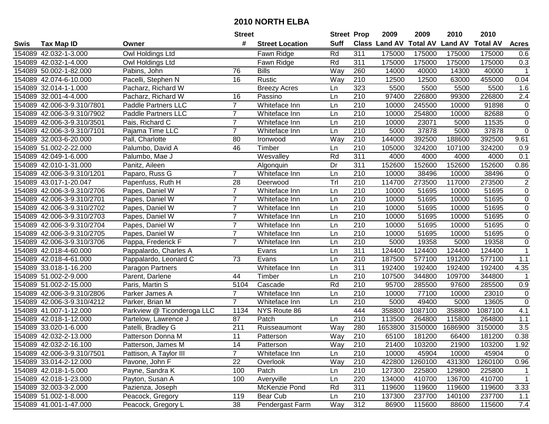|      |                            |                            | <b>Street</b>    |                        | <b>Street Prop</b> |                  | 2009                 | 2009            | 2010           | 2010            |                  |
|------|----------------------------|----------------------------|------------------|------------------------|--------------------|------------------|----------------------|-----------------|----------------|-----------------|------------------|
| Swis | <b>Tax Map ID</b>          | Owner                      | #                | <b>Street Location</b> | <b>Suff</b>        |                  | <b>Class Land AV</b> | <b>Total AV</b> | <b>Land AV</b> | <b>Total AV</b> | <b>Acres</b>     |
|      | 154089 42.032-1-3.000      | Owl Holdings Ltd           |                  | Fawn Ridge             | Rd                 | 311              | 175000               | 175000          | 175000         | 175000          | 0.6              |
|      | 154089 42.032-1-4.000      | Owl Holdings Ltd           |                  | Fawn Ridge             | Rd                 | 311              | 175000               | 175000          | 175000         | 175000          | 0.3              |
|      | 154089 50.002-1-82.000     | Pabins, John               | 76               | <b>Bills</b>           | Way                | 260              | 14000                | 40000           | 14300          | 40000           | $\mathbf{1}$     |
|      | 154089 42.074-6-10.000     | Pacelli, Stephen N         | 16               | Rustic                 | Way                | 210              | 12500                | 12500           | 63000          | 455000          | 0.04             |
|      | 154089 32.014-1-1.000      | Pacharz, Richard W         |                  | <b>Breezy Acres</b>    | Ln                 | 323              | 5500                 | 5500            | 5500           | 5500            | 1.6              |
|      | 154089 32.001-4-4.000      | Pacharz, Richard W         | 16               | Passino                | Ln                 | 210              | 97400                | 226800          | 99300          | 226800          | $\overline{2.4}$ |
|      | 154089 42.006-3-9.310/7801 | <b>Paddle Partners LLC</b> | $\overline{7}$   | Whiteface Inn          | Ln                 | 210              | 10000                | 245500          | 10000          | 91898           | 0                |
|      | 154089 42.006-3-9.310/7902 | <b>Paddle Partners LLC</b> | $\overline{7}$   | Whiteface Inn          | Ln                 | 210              | 10000                | 254800          | 10000          | 82688           | $\overline{0}$   |
|      | 154089 42.006-3-9.310/3501 | Pais, Richard C            | $\overline{7}$   | Whiteface Inn          | Ln                 | $\overline{210}$ | 10000                | 23071           | 5000           | 11535           | $\mathbf 0$      |
|      | 154089 42.006-3-9.310/7101 | Pajama Time LLC            | $\overline{7}$   | Whiteface Inn          | Ln                 | 210              | 5000                 | 37878           | 5000           | 37878           | $\mathsf 0$      |
|      | 154089 32.003-6-20.000     | Pall, Charlotte            | 80               | Ironwood               | Way                | 210              | 144000               | 392500          | 188600         | 392500          | 9.61             |
|      | 154089 51.002-2-22.000     | Palumbo, David A           | 46               | Timber                 | Ln                 | 210              | 105000               | 324200          | 107100         | 324200          | 0.9              |
|      | 154089 42.049-1-6.000      | Palumbo, Mae J             |                  | Wesvalley              | Rd                 | 311              | 4000                 | 4000            | 4000           | 4000            | 0.1              |
|      | 154089 42.010-1-31.000     | Panitz, Aileen             |                  | Algonquin              | Dr                 | 311              | 152600               | 152600          | 152600         | 152600          | 0.86             |
|      | 154089 42.006-3-9.310/1201 | Paparo, Russ G             | $\overline{7}$   | Whiteface Inn          | Ln                 | 210              | 10000                | 38496           | 10000          | 38496           | $\pmb{0}$        |
|      | 154089 43.017-1-20.047     | Papenfuss, Ruth H          | 28               | Deerwood               | Tr                 | 210              | 114700               | 273500          | 117000         | 273500          | $\overline{c}$   |
|      | 154089 42.006-3-9.310/2706 | Papes, Daniel W            | $\overline{7}$   | Whiteface Inn          | Ln                 | $\overline{210}$ | 10000                | 51695           | 10000          | 51695           | $\pmb{0}$        |
|      | 154089 42.006-3-9.310/2701 | Papes, Daniel W            | $\overline{7}$   | Whiteface Inn          | Ln                 | 210              | 10000                | 51695           | 10000          | 51695           | $\pmb{0}$        |
|      | 154089 42.006-3-9.310/2702 | Papes, Daniel W            | $\overline{7}$   | Whiteface Inn          | Ln                 | 210              | 10000                | 51695           | 10000          | 51695           | $\pmb{0}$        |
|      | 154089 42.006-3-9.310/2703 | Papes, Daniel W            | $\overline{7}$   | Whiteface Inn          | Ln                 | 210              | 10000                | 51695           | 10000          | 51695           | 0                |
|      | 154089 42.006-3-9.310/2704 | Papes, Daniel W            | $\overline{7}$   | Whiteface Inn          | Ln                 | 210              | 10000                | 51695           | 10000          | 51695           | $\pmb{0}$        |
|      | 154089 42.006-3-9.310/2705 | Papes, Daniel W            | $\overline{7}$   | Whiteface Inn          | Ln                 | 210              | 10000                | 51695           | 10000          | 51695           | $\pmb{0}$        |
|      | 154089 42.006-3-9.310/3706 | Pappa, Frederick F         | $\overline{7}$   | Whiteface Inn          | Ln                 | 210              | 5000                 | 19358           | 5000           | 19358           | $\mathbf 0$      |
|      | 154089 42.018-4-60.000     | Pappalardo, Charles A      |                  | Evans                  | Ln                 | 311              | 124400               | 124400          | 124400         | 124400          | 1                |
|      | 154089 42.018-4-61.000     | Pappalardo, Leonard C      | $\overline{73}$  | Evans                  | Ln                 | $\overline{210}$ | 187500               | 577100          | 191200         | 577100          | 1.1              |
|      | 154089 33.018-1-16.200     | Paragon Partners           |                  | Whiteface Inn          | Ln                 | 311              | 192400               | 192400          | 192400         | 192400          | 4.35             |
|      | 154089 51.002-2-9.000      | Parent, Darlene            | 44               | Timber                 | Ln                 | 210              | 107500               | 344800          | 109700         | 344800          |                  |
|      | 154089 51.002-2-15.000     | Paris, Martin S            | 5104             | Cascade                | Rd                 | 210              | 95700                | 285500          | 97600          | 285500          | 0.9              |
|      | 154089 42.006-3-9.310/2806 | Parker James A             | $\overline{7}$   | Whiteface Inn          | Ln                 | 210              | 10000                | 77100           | 10000          | 23010           | $\pmb{0}$        |
|      | 154089 42.006-3-9.310/4212 | Parker, Brian M            | $\overline{7}$   | Whiteface Inn          | Ln                 | $\overline{210}$ | 5000                 | 49400           | 5000           | 13605           | $\mathsf 0$      |
|      | 154089 41.007-1-12.000     | Parkview @ Ticonderoga LLC | 1134             | NYS Route 86           |                    | 444              | 358800               | 1087100         | 358800         | 1087100         | 4.1              |
|      | 154089 42.018-1-12.000     | Partelow, Lawrence J       | 87               | Patch                  | Ln                 | 210              | 113500               | 264800          | 115800         | 264800          | $1.1$            |
|      | 154089 33.020-1-6.000      | Patelli, Bradley G         | $\overline{211}$ | Ruisseaumont           | Way                | 280              | 1653800              | 3150000         | 1686900        | 3150000         | $\overline{3.5}$ |
|      | 154089 42.032-2-13.000     | Patterson Donna M          | $\overline{11}$  | Patterson              | Way                | 210              | 65100                | 181200          | 66400          | 181200          | 0.38             |
|      | 154089 42.032-2-16.100     | Patterson, James M         | 14               | Patterson              | Way                | 210              | 21400                | 103200          | 21900          | 103200          | 1.92             |
|      | 154089 42.006-3-9.310/7501 | Pattison, A Taylor III     | $\overline{7}$   | Whiteface Inn          | Ln                 | 210              | 10000                | 45904           | 10000          | 45904           | $\mathbf 0$      |
|      | 154089 33.014-2-12.000     | Pavone, John F             | 22               | Overlook               | Way                | 210              | 422800               | 1260100         | 431300         | 1260100         | 0.96             |
|      | 154089 42.018-1-5.000      | Payne, Sandra K            | 100              | Patch                  | Ln                 | 210              | 127300               | 225800          | 129800         | 225800          | 1                |
|      | 154089 42.018-1-23.000     | Payton, Susan A            | 100              | Averyville             | Ln                 | 220              | 134000               | 410700          | 136700         | 410700          | $\mathbf 1$      |
|      | 154089 32.003-3-2.000      | Pazienza, Joseph           |                  | McKenzie Pond          | Rd                 | 311              | 119600               | 119600          | 119600         | 119600          | 3.33             |
|      | 154089 51.002-1-8.000      | Peacock, Gregory           | 119              | Bear Cub               | Ln                 | 210              | 137300               | 237700          | 140100         | 237700          | 1.1              |
|      | 154089 41.001-1-47.000     | Peacock, Gregory L         | 38               | Pendergast Farm        | Way                | 312              | 86900                | 115600          | 88600          | 115600          | 7.4              |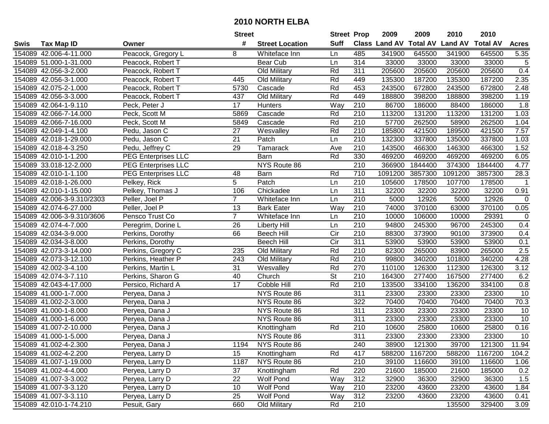|      |                            |                            | <b>Street</b>  |                        | <b>Street Prop</b>       |                  | 2009          | 2009            | 2010           | 2010            |              |
|------|----------------------------|----------------------------|----------------|------------------------|--------------------------|------------------|---------------|-----------------|----------------|-----------------|--------------|
| Swis | <b>Tax Map ID</b>          | Owner                      | #              | <b>Street Location</b> | <b>Suff</b>              |                  | Class Land AV | <b>Total AV</b> | <b>Land AV</b> | <b>Total AV</b> | <b>Acres</b> |
|      | 154089 42.006-4-11.000     | Peacock, Gregory L         | 8              | Whiteface Inn          | Ln                       | 485              | 341900        | 645500          | 341900         | 645500          | 5.35         |
|      | 154089 51.000-1-31.000     | Peacock, Robert T          |                | Bear Cub               | Ln                       | 314              | 33000         | 33000           | 33000          | 33000           | $\sqrt{5}$   |
|      | 154089 42.056-3-2.000      | Peacock, Robert T          |                | Old Military           | Rd                       | 311              | 205600        | 205600          | 205600         | 205600          | 0.4          |
|      | 154089 42.056-3-1.000      | Peacock, Robert T          | 445            | Old Military           | Rd                       | 449              | 135300        | 187200          | 135300         | 187200          | 2.35         |
|      | 154089 42.075-2-1.000      | Peacock, Robert T          | 5730           | Cascade                | Rd                       | 453              | 243500        | 672800          | 243500         | 672800          | 2.48         |
|      | 154089 42.056-3-3.000      | Peacock, Robert T          | 437            | Old Military           | Rd                       | 449              | 188800        | 398200          | 188800         | 398200          | 1.19         |
|      | 154089 42.064-1-9.110      | Peck, Peter J              | 17             | <b>Hunters</b>         | Way                      | 210              | 86700         | 186000          | 88400          | 186000          | 1.8          |
|      | 154089 42.066-7-14.000     | Peck, Scott M              | 5869           | Cascade                | Rd                       | 210              | 113200        | 131200          | 113200         | 131200          | 1.03         |
|      | 154089 42.066-7-16.000     | Peck, Scott M              | 5849           | Cascade                | Rd                       | $\overline{210}$ | 57700         | 262500          | 58900          | 262500          | 1.04         |
|      | 154089 42.049-1-4.100      | Pedu, Jason C              | 27             | Wesvalley              | Rd                       | 210              | 185800        | 421500          | 189500         | 421500          | 7.57         |
|      | 154089 42.018-1-29.000     | Pedu, Jason C              | 21             | Patch                  | Ln                       | 210              | 132300        | 337800          | 135000         | 337800          | 1.03         |
|      | 154089 42.018-4-3.250      | Pedu, Jeffrey C            | 29             | Tamarack               | Ave                      | 210              | 143500        | 466300          | 146300         | 466300          | 1.52         |
|      | 154089 42.010-1-1.200      | <b>PEG Enterprises LLC</b> |                | Barn                   | Rd                       | 330              | 469200        | 469200          | 469200         | 469200          | 6.05         |
|      | 154089 33.018-12-2.000     | <b>PEG Enterprises LLC</b> |                | NYS Route 86           |                          | 210              | 366900        | 1844400         | 374300         | 1844400         | 4.77         |
|      | 154089 42.010-1-1.100      | <b>PEG Enterprises LLC</b> | 48             | Barn                   | Rd                       | 710              | 1091200       | 3857300         | 1091200        | 3857300         | 28.3         |
|      | 154089 42.018-1-26.000     | Pelkey, Rick               | 5              | Patch                  | Ln                       | 210              | 105600        | 178500          | 107700         | 178500          | -1           |
|      | 154089 42.010-1-15.000     | Pelkey, Thomas J           | 106            | Chickadee              | Ln                       | $\overline{311}$ | 32200         | 32200           | 32200          | 32200           | 0.91         |
|      | 154089 42.006-3-9.310/2303 | Peller, Joel P             | 7              | Whiteface Inn          | Ln                       | 210              | 5000          | 12926           | 5000           | 12926           | $\mathbf 0$  |
|      | 154089 42.074-6-27.000     | Peller, Joel P             | 13             | <b>Bark Eater</b>      | Way                      | 210              | 74000         | 370100          | 63000          | 370100          | 0.05         |
|      | 154089 42.006-3-9.310/3606 | Pensco Trust Co            | $\overline{7}$ | Whiteface Inn          | Ln                       | 210              | 10000         | 106000          | 10000          | 29391           | $\mathbf 0$  |
|      | 154089 42.074-4-7.000      | Peregrim, Dorine L         | 26             | <b>Liberty Hill</b>    | Ln                       | 210              | 94800         | 245300          | 96700          | 245300          | 0.4          |
|      | 154089 42.034-3-9.000      | Perkins, Dorothy           | 66             | <b>Beech Hill</b>      | Cir                      | 210              | 88300         | 373900          | 90100          | 373900          | 0.4          |
|      | 154089 42.034-3-8.000      | Perkins, Dorothy           |                | <b>Beech Hill</b>      | Cir                      | 311              | 53900         | 53900           | 53900          | 53900           | 0.1          |
|      | 154089 42.073-3-14.000     | Perkins, Gregory C         | 235            | Old Military           | Rd                       | 210              | 82300         | 265000          | 83900          | 265000          | 2.5          |
|      | 154089 42.073-3-12.100     | Perkins, Heather P         | 243            | Old Military           | Rd                       | 210              | 99800         | 340200          | 101800         | 340200          | 4.28         |
|      | 154089 42.002-3-4.100      | Perkins, Martin L          | 31             | Wesvalley              | Rd                       | 270              | 110100        | 126300          | 112300         | 126300          | 3.12         |
|      | 154089 42.074-3-7.110      | Perkins, Sharon G          | 40             | Church                 | $\overline{\mathsf{St}}$ | 210              | 164300        | 277400          | 167500         | 277400          | 6.2          |
|      | 154089 42.043-4-17.000     | Persico, Richard A         | 17             | Cobble Hill            | Rd                       | 210              | 133500        | 334100          | 136200         | 334100          | 0.8          |
|      | 154089 41.000-1-7.000      | Peryea, Dana J             |                | NYS Route 86           |                          | $\overline{311}$ | 23300         | 23300           | 23300          | 23300           | 10           |
|      | 154089 41.002-2-3.000      | Peryea, Dana J             |                | NYS Route 86           |                          | 322              | 70400         | 70400           | 70400          | 70400           | 70.3         |
|      | 154089 41.000-1-8.000      | Peryea, Dana J             |                | NYS Route 86           |                          | $\overline{311}$ | 23300         | 23300           | 23300          | 23300           | 10           |
|      | 154089 41.000-1-6.000      | Peryea, Dana J             |                | NYS Route 86           |                          | 311              | 23300         | 23300           | 23300          | 23300           | 10           |
|      | 154089 41.007-2-10.000     | Peryea, Dana J             |                | Knottingham            | Rd                       | 210              | 10600         | 25800           | 10600          | 25800           | 0.16         |
|      | 154089 41.000-1-5.000      | Peryea, Dana J             |                | NYS Route 86           |                          | 311              | 23300         | 23300           | 23300          | 23300           | 10           |
|      | 154089 41.002-4-2.300      | Peryea, Dana J             | 1194           | NYS Route 86           |                          | 240              | 38900         | 121300          | 39700          | 121300          | 11.94        |
|      | 154089 41.002-4-2.200      | Peryea, Larry D            | 15             | Knottingham            | Rd                       | 417              | 588200        | 1167200         | 588200         | 1167200         | 104.2        |
|      | 154089 41.007-1-19.000     | Peryea, Larry D            | 1187           | NYS Route 86           |                          | 210              | 39100         | 116600          | 39100          | 116600          | 1.06         |
|      | 154089 41.002-4-4.000      | Peryea, Larry D            | 37             | Knottingham            | Rd                       | 220              | 21600         | 185000          | 21600          | 185000          | 0.2          |
|      | 154089 41.007-3-3.002      | Peryea, Larry D            | 22             | Wolf Pond              | Way                      | 312              | 32900         | 36300           | 32900          | 36300           | 1.5          |
|      | 154089 41.007-3-3.120      | Peryea, Larry D            | 10             | Wolf Pond              | Way                      | 210              | 23200         | 43600           | 23200          | 43600           | 1.84         |
|      | 154089 41.007-3-3.110      | Peryea, Larry D            | 25             | Wolf Pond              | Way                      | 312              | 23200         | 43600           | 23200          | 43600           | 0.41         |
|      | 154089 42.010-1-74.210     | Pesuit, Gary               | 660            | Old Military           | Rd                       | 210              |               |                 | 135500         | 329400          | 3.09         |
|      |                            |                            |                |                        |                          |                  |               |                 |                |                 |              |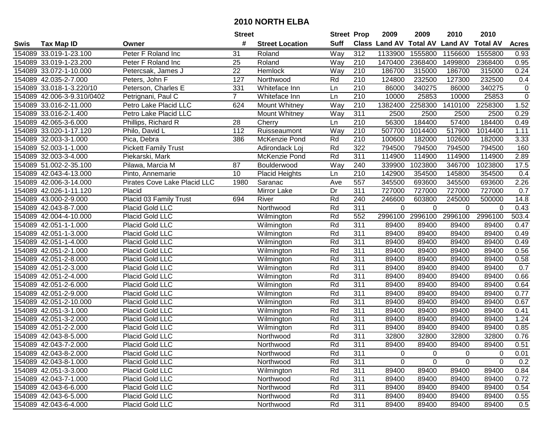|      |                            |                                     | <b>Street</b>  |                        | <b>Street Prop</b> |                  | 2009                 | 2009            | 2010           | 2010            |                |
|------|----------------------------|-------------------------------------|----------------|------------------------|--------------------|------------------|----------------------|-----------------|----------------|-----------------|----------------|
| Swis | <b>Tax Map ID</b>          | Owner                               | #              | <b>Street Location</b> | <b>Suff</b>        |                  | <b>Class Land AV</b> | <b>Total AV</b> | <b>Land AV</b> | <b>Total AV</b> | <b>Acres</b>   |
|      | 154089 33.019-1-23.100     | Peter F Roland Inc                  | 31             | Roland                 | Way                | 312              | 1133900              | 1555800         | 1156600        | 1555800         | 0.93           |
|      | 154089 33.019-1-23.200     | Peter F Roland Inc                  | 25             | Roland                 | Way                | 210              | 1470400              | 2368400         | 1499800        | 2368400         | 0.95           |
|      | 154089 33.072-1-10.000     | Petercsak, James J                  | 22             | Hemlock                | Way                | 210              | 186700               | 315000          | 186700         | 315000          | 0.24           |
|      | 154089 42.035-2-7.000      | Peters, John F                      | 127            | Northwood              | Rd                 | 210              | 124800               | 232500          | 127300         | 232500          | 0.4            |
|      | 154089 33.018-1-3.220/10   | Peterson, Charles E                 | 331            | Whiteface Inn          | Ln                 | 210              | 86000                | 340275          | 86000          | 340275          | $\mathbf 0$    |
|      | 154089 42.006-3-9.310/0402 | Petrignani, Paul C                  | $\overline{7}$ | Whiteface Inn          | Ln                 | 210              | 10000                | 25853           | 10000          | 25853           | $\overline{0}$ |
|      | 154089 33.016-2-11.000     | Petro Lake Placid LLC               | 624            | Mount Whitney          | Way                | 210              | 1382400              | 2258300         | 1410100        | 2258300         | 1.52           |
|      | 154089 33.016-2-1.400      | Petro Lake Placid LLC               |                | Mount Whitney          | $\overline{Way}$   | 311              | 2500                 | 2500            | 2500           | 2500            | 0.29           |
|      | 154089 42.065-3-6.000      | Phillips, Richard R                 | 28             | Cherry                 | Ln                 | 210              | 56300                | 184400          | 57400          | 184400          | 0.49           |
|      | 154089 33.020-1-17.120     | Philo, David L                      | 112            | Ruisseaumont           | Way                | 210              | 507700               | 1014400         | 517900         | 1014400         | 1.11           |
|      | 154089 32.003-3-1.000      | Pica, Debra                         | 386            | McKenzie Pond          | Rd                 | 210              | 100600               | 182000          | 102600         | 182000          | 3.33           |
|      | 154089 52.003-1-1.000      | <b>Pickett Family Trust</b>         |                | Adirondack Loj         | Rd                 | 322              | 794500               | 794500          | 794500         | 794500          | 160            |
|      | 154089 32.003-3-4.000      | Piekarski, Mark                     |                | McKenzie Pond          | Rd                 | $\overline{311}$ | 114900               | 114900          | 114900         | 114900          | 2.89           |
|      | 154089 51.002-2-35.100     | Pilawa, Marcia M                    | 87             | Boulderwood            | Way                | 240              | 339900               | 1023800         | 346700         | 1023800         | 17.5           |
|      | 154089 42.043-4-13.000     | Pinto, Annemarie                    | 10             | <b>Placid Heights</b>  | Ln                 | 210              | 142900               | 354500          | 145800         | 354500          | 0.4            |
|      | 154089 42.006-3-14.000     | <b>Pirates Cove Lake Placid LLC</b> | 1980           | Saranac                | Ave                | 557              | 345500               | 693600          | 345500         | 693600          | 2.26           |
|      | 154089 42.026-1-11.120     | Placid                              |                | Mirror Lake            | Dr                 | 311              | 727000               | 727000          | 727000         | 727000          | 0.7            |
|      | 154089 43.000-2-9.000      | Placid 03 Family Trust              | 694            | River                  | Rd                 | 240              | 246600               | 603800          | 245000         | 500000          | 14.8           |
|      | 154089 42.043-8-7.000      | Placid Gold LLC                     |                | Northwood              | Rd                 | 311              | 0                    | $\Omega$        | $\Omega$       | $\Omega$        | 0.43           |
|      | 154089 42.004-4-10.000     | Placid Gold LLC                     |                | Wilmington             | Rd                 | 552              | 2996100              | 2996100         | 2996100        | 2996100         | 503.4          |
|      | 154089 42.051-1-1.000      | Placid Gold LLC                     |                | Wilmington             | Rd                 | 311              | 89400                | 89400           | 89400          | 89400           | 0.47           |
|      | 154089 42.051-1-3.000      | Placid Gold LLC                     |                | Wilmington             | Rd                 | 311              | 89400                | 89400           | 89400          | 89400           | 0.49           |
|      | 154089 42.051-1-4.000      | Placid Gold LLC                     |                | Wilmington             | Rd                 | 311              | 89400                | 89400           | 89400          | 89400           | 0.49           |
|      | 154089 42.051-2-1.000      | Placid Gold LLC                     |                | Wilmington             | Rd                 | 311              | 89400                | 89400           | 89400          | 89400           | 0.56           |
|      | 154089 42.051-2-8.000      | Placid Gold LLC                     |                | Wilmington             | Rd                 | 311              | 89400                | 89400           | 89400          | 89400           | 0.58           |
|      | 154089 42.051-2-3.000      | Placid Gold LLC                     |                | Wilmington             | Rd                 | 311              | 89400                | 89400           | 89400          | 89400           | 0.7            |
|      | 154089 42.051-2-4.000      | Placid Gold LLC                     |                | Wilmington             | Rd                 | 311              | 89400                | 89400           | 89400          | 89400           | 0.66           |
|      | 154089 42.051-2-6.000      | Placid Gold LLC                     |                | Wilmington             | Rd                 | 311              | 89400                | 89400           | 89400          | 89400           | 0.64           |
|      | 154089 42.051-2-9.000      | Placid Gold LLC                     |                | Wilmington             | Rd                 | 311              | 89400                | 89400           | 89400          | 89400           | 0.77           |
|      | 154089 42.051-2-10.000     | Placid Gold LLC                     |                | Wilmington             | Rd                 | 311              | 89400                | 89400           | 89400          | 89400           | 0.67           |
|      | 154089 42.051-3-1.000      | Placid Gold LLC                     |                | Wilmington             | Rd                 | 311              | 89400                | 89400           | 89400          | 89400           | 0.41           |
|      | 154089 42.051-3-2.000      | Placid Gold LLC                     |                | Wilmington             | Rd                 | 311              | 89400                | 89400           | 89400          | 89400           | 1.24           |
|      | 154089 42.051-2-2.000      | Placid Gold LLC                     |                | Wilmington             | Rd                 | 311              | 89400                | 89400           | 89400          | 89400           | 0.85           |
|      | 154089 42.043-8-5.000      | Placid Gold LLC                     |                | Northwood              | Rd                 | $\overline{311}$ | 32800                | 32800           | 32800          | 32800           | 0.76           |
|      | 154089 42.043-7-2.000      | <b>Placid Gold LLC</b>              |                | Northwood              | Rd                 | 311              | 89400                | 89400           | 89400          | 89400           | 0.51           |
|      | 154089 42.043-8-2.000      | Placid Gold LLC                     |                | Northwood              | Rd                 | 311              | 0                    | $\Omega$        | 0              | 0               | 0.01           |
|      | 154089 42.043-8-1.000      | Placid Gold LLC                     |                | Northwood              | Rd                 | 311              | 0                    | $\Omega$        | 0              | $\Omega$        | 0.2            |
|      | 154089 42.051-3-3.000      | Placid Gold LLC                     |                | Wilmington             | Rd                 | 311              | 89400                | 89400           | 89400          | 89400           | 0.84           |
|      | 154089 42.043-7-1.000      | Placid Gold LLC                     |                | Northwood              | Rd                 | 311              | 89400                | 89400           | 89400          | 89400           | 0.72           |
|      | 154089 42.043-6-6.000      | Placid Gold LLC                     |                | Northwood              | Rd                 | 311              | 89400                | 89400           | 89400          | 89400           | 0.54           |
|      | 154089 42.043-6-5.000      | Placid Gold LLC                     |                | Northwood              | Rd                 | 311              | 89400                | 89400           | 89400          | 89400           | 0.55           |
|      | 154089 42.043-6-4.000      | Placid Gold LLC                     |                | Northwood              | Rd                 | 311              | 89400                | 89400           | 89400          | 89400           | 0.5            |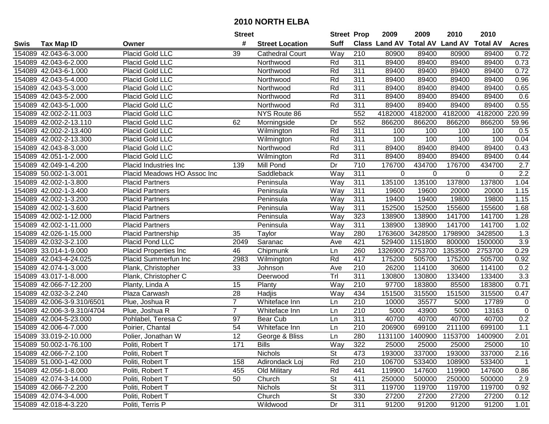|      |                            |                              | <b>Street</b>   |                        | <b>Street Prop</b> |                  | 2009                 | 2009            | 2010           | 2010            |                  |
|------|----------------------------|------------------------------|-----------------|------------------------|--------------------|------------------|----------------------|-----------------|----------------|-----------------|------------------|
| Swis | <b>Tax Map ID</b>          | Owner                        | #               | <b>Street Location</b> | <b>Suff</b>        |                  | <b>Class Land AV</b> | <b>Total AV</b> | <b>Land AV</b> | <b>Total AV</b> | <b>Acres</b>     |
|      | 154089 42.043-6-3.000      | Placid Gold LLC              | 39              | <b>Cathedral Court</b> | Way                | 210              | 80900                | 89400           | 80900          | 89400           | 0.72             |
|      | 154089 42.043-6-2.000      | Placid Gold LLC              |                 | Northwood              | Rd                 | 311              | 89400                | 89400           | 89400          | 89400           | 0.73             |
|      | 154089 42.043-6-1.000      | Placid Gold LLC              |                 | Northwood              | Rd                 | 311              | 89400                | 89400           | 89400          | 89400           | 0.72             |
|      | 154089 42.043-5-4.000      | Placid Gold LLC              |                 | Northwood              | Rd                 | 311              | 89400                | 89400           | 89400          | 89400           | 0.96             |
|      | 154089 42.043-5-3.000      | Placid Gold LLC              |                 | Northwood              | Rd                 | 311              | 89400                | 89400           | 89400          | 89400           | 0.65             |
|      | 154089 42.043-5-2.000      | Placid Gold LLC              |                 | Northwood              | Rd                 | 311              | 89400                | 89400           | 89400          | 89400           | 0.6              |
|      | 154089 42.043-5-1.000      | Placid Gold LLC              |                 | Northwood              | Rd                 | 311              | 89400                | 89400           | 89400          | 89400           | 0.55             |
|      | 154089 42.002-2-11.003     | <b>Placid Gold LLC</b>       |                 | NYS Route 86           |                    | 552              | 4182000              | 4182000         | 4182000        | 4182000         | 220.99           |
|      | 154089 42.002-2-13.110     | Placid Gold LLC              | 62              | Morningside            | Dr                 | 552              | 866200               | 866200          | 866200         | 866200          | 59.96            |
|      | 154089 42.002-2-13.400     | Placid Gold LLC              |                 | Wilmington             | Rd                 | 311              | 100                  | 100             | 100            | 100             | 0.5              |
|      | 154089 42.002-2-13.300     | Placid Gold LLC              |                 | Wilmington             | Rd                 | 311              | 100                  | 100             | 100            | 100             | 0.04             |
|      | 154089 42.043-8-3.000      | Placid Gold LLC              |                 | Northwood              | Rd                 | 311              | 89400                | 89400           | 89400          | 89400           | 0.43             |
|      | 154089 42.051-1-2.000      | Placid Gold LLC              |                 | Wilmington             | Rd                 | 311              | 89400                | 89400           | 89400          | 89400           | 0.44             |
|      | 154089 42.049-1-4.200      | Placid Industries Inc        | 139             | Mill Pond              | Dr                 | 710              | 176700               | 434700          | 176700         | 434700          | 2.7              |
|      | 154089 50.002-1-3.001      | Placid Meadows HO Assoc Inc  |                 | Saddleback             | Way                | 311              | 0                    | 0               | 0              | $\Omega$        | $\overline{2.2}$ |
|      | 154089 42.002-1-3.800      | <b>Placid Partners</b>       |                 | Peninsula              | Way                | 311              | 135100               | 135100          | 137800         | 137800          | 1.04             |
|      | 154089 42.002-1-3.400      | Placid Partners              |                 | Peninsula              | Way                | 311              | 19600                | 19600           | 20000          | 20000           | 1.15             |
|      | 154089 42.002-1-3.200      | <b>Placid Partners</b>       |                 | Peninsula              | Way                | 311              | 19400                | 19400           | 19800          | 19800           | 1.15             |
|      | 154089 42.002-1-3.600      | <b>Placid Partners</b>       |                 | Peninsula              | Way                | 311              | 152500               | 152500          | 155600         | 155600          | 1.68             |
|      | 154089 42.002-1-12.000     | <b>Placid Partners</b>       |                 | Peninsula              | Way                | 323              | 138900               | 138900          | 141700         | 141700          | 1.28             |
|      | 154089 42.002-1-11.000     | <b>Placid Partners</b>       |                 | Peninsula              | Way                | 311              | 138900               | 138900          | 141700         | 141700          | 1.02             |
|      | 154089 42.026-1-15.000     | Placid Partnership           | 35              | Taylor                 | Way                | 280              | 1763600              | 3428500         | 1798900        | 3428500         | 1.3              |
|      | 154089 42.032-3-2.100      | Placid Pond LLC              | 2049            | Saranac                | Ave                | 421              | 529400               | 1151800         | 800000         | 1500000         | 3.9              |
|      | 154089 33.014-1-9.000      | <b>Placid Properties Inc</b> | 46              | Chipmunk               | Ln                 | 260              | 1326900              | 2753700         | 1353500        | 2753700         | 0.29             |
|      | 154089 42.043-4-24.025     | Placid Summerfun Inc         | 2983            | Wilmington             | Rd                 | 417              | 175200               | 505700          | 175200         | 505700          | 0.92             |
|      | 154089 42.074-1-3.000      | Plank, Christopher           | 33              | Johnson                | Ave                | 210              | 26200                | 114100          | 30600          | 114100          | 0.2              |
|      | 154089 43.017-1-8.000      | Plank, Christopher C         |                 | Deerwood               | Trl                | 311              | 130800               | 130800          | 133400         | 133400          | 3.3              |
|      | 154089 42.066-7-12.200     | Planty, Linda A              | 15              | Planty                 | Way                | 210              | 97700                | 183800          | 85500          | 183800          | 0.71             |
|      | 154089 42.032-3-2.240      | Plaza Carwash                | 28              | Hadjis                 | Way                | 434              | 151500               | 315500          | 151500         | 315500          | 0.47             |
|      | 154089 42.006-3-9.310/6501 | Plue, Joshua R               | $\overline{7}$  | Whiteface Inn          | Ln                 | $\overline{210}$ | 10000                | 35577           | 5000           | 17789           | 0                |
|      | 154089 42.006-3-9.310/4704 | Plue, Joshua R               | $\overline{7}$  | Whiteface Inn          | Ln                 | $\overline{210}$ | 5000                 | 43900           | 5000           | 13163           | $\mathbf 0$      |
|      | 154089 42.004-5-23.000     | Pohlabel, Teresa C           | 97              | Bear Cub               | Ln                 | 311              | 40700                | 40700           | 40700          | 40700           | 0.2              |
|      | 154089 42.006-4-7.000      | Poirier, Chantal             | 54              | Whiteface Inn          | Ln                 | $\overline{210}$ | 206900               | 699100          | 211100         | 699100          | 1.1              |
|      | 154089 33.019-2-10.000     | Polier, Jonathan W           | $\overline{12}$ | George & Bliss         | Ln                 | 280              | 1131100              | 1400900         | 1153700        | 1400900         | 2.01             |
|      | 154089 50.002-1-76.100     | Politi, Robert T             | 171             | Bills                  | Way                | 322              | 25000                | 25000           | 25000          | 25000           | 10               |
|      | 154089 42.066-7-2.100      | Politi, Robert T             |                 | <b>Nichols</b>         | <b>St</b>          | 473              | 193000               | 337000          | 193000         | 337000          | 2.16             |
|      | 154089 51.000-1-42.000     | Politi, Robert T             | 158             | Adirondack Loj         | Rd                 | 210              | 106700               | 533400          | 108900         | 533400          | $\overline{1}$   |
|      | 154089 42.056-1-8.000      | Politi, Robert T             | 455             | Old Military           | Rd                 | 441              | 119900               | 147600          | 119900         | 147600          | 0.86             |
|      | 154089 42.074-3-14.000     | Politi, Robert T             | 50              | Church                 | <b>St</b>          | 411              | 250000               | 500000          | 250000         | 500000          | 2.9              |
|      | 154089 42.066-7-2.200      | Politi, Robert T             |                 | Nichols                | <b>St</b>          | 311              | 119700               | 119700          | 119700         | 119700          | 0.92             |
|      | 154089 42.074-3-4.000      | Politi, Robert T             |                 | Church                 | <b>St</b>          | 330              | 27200                | 27200           | 27200          | 27200           | 0.12             |
|      | 154089 42.018-4-3.220      | Politi, Terris P             |                 | Wildwood               | Dr                 | 311              | 91200                | 91200           | 91200          | 91200           | 1.01             |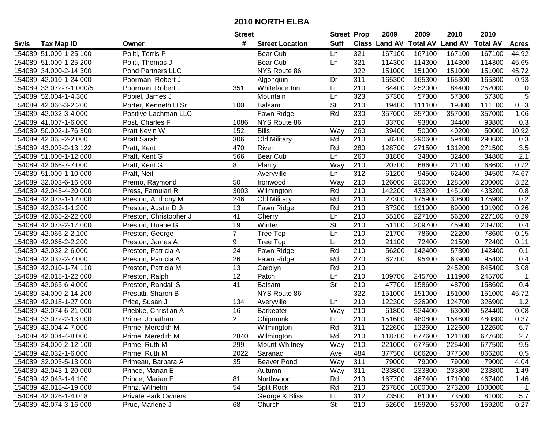|      |                         |                            | <b>Street</b>   |                        | <b>Street Prop</b>       |                  | 2009                 | 2009            | 2010           | 2010            |                  |
|------|-------------------------|----------------------------|-----------------|------------------------|--------------------------|------------------|----------------------|-----------------|----------------|-----------------|------------------|
| Swis | <b>Tax Map ID</b>       | Owner                      | #               | <b>Street Location</b> | <b>Suff</b>              |                  | <b>Class Land AV</b> | <b>Total AV</b> | <b>Land AV</b> | <b>Total AV</b> | <b>Acres</b>     |
|      | 154089 51.000-1-25.100  | Politi, Terris P           |                 | Bear Cub               | Ln                       | 321              | 167100               | 167100          | 167100         | 167100          | 44.92            |
|      | 154089 51.000-1-25.200  | Politi, Thomas J           |                 | Bear Cub               | Ln                       | 321              | 114300               | 114300          | 114300         | 114300          | 45.65            |
|      | 154089 34.000-2-14.300  | <b>Pond Partners LLC</b>   |                 | NYS Route 86           |                          | 322              | 151000               | 151000          | 151000         | 151000          | 45.72            |
|      | 154089 42.010-1-24.000  | Poorman, Robert J          |                 | Algonquin              | Dr                       | 311              | 165300               | 165300          | 165300         | 165300          | 0.93             |
|      | 154089 33.072-7-1.000/5 | Poorman, Robert J          | 351             | Whiteface Inn          | Ln                       | 210              | 84400                | 252000          | 84400          | 252000          | $\mathbf 0$      |
|      | 154089 52.004-1-4.300   | Popiel, James J            |                 | Mountain               | Ln                       | 323              | 57300                | 57300           | 57300          | 57300           | $\overline{5}$   |
|      | 154089 42.066-3-2.200   | Porter, Kenneth H Sr       | 100             | Balsam                 | <b>St</b>                | 210              | 19400                | 111100          | 19800          | 111100          | 0.13             |
|      | 154089 42.032-3-4.000   | Positive Lachman LLC       |                 | Fawn Ridge             | Rd                       | 330              | 357000               | 357000          | 357000         | 357000          | 1.06             |
|      | 154089 41.007-1-6.000   | Post, Charles F            | 1086            | NYS Route 86           |                          | $\overline{210}$ | 33700                | 93800           | 34400          | 93800           | $\overline{0.3}$ |
|      | 154089 50.002-1-76.300  | Pratt Kevin W              | 152             | <b>Bills</b>           | Way                      | 260              | 39400                | 50000           | 40200          | 50000           | 10.92            |
|      | 154089 42.065-2-2.000   | Pratt Sarah                | 306             | Old Military           | Rd                       | 210              | 58200                | 290600          | 59400          | 290600          | 0.3              |
|      | 154089 43.003-2-13.122  | Pratt, Kent                | 470             | River                  | Rd                       | 280              | 128700               | 271500          | 131200         | 271500          | 3.5              |
|      | 154089 51.000-1-12.000  | Pratt, Kent G              | 566             | Bear Cub               | Ln                       | 260              | 31800                | 34800           | 32400          | 34800           | 2.1              |
|      | 154089 42.066-7-7.000   | Pratt, Kent G              | 8               | Planty                 | Way                      | 210              | 20700                | 68600           | 21100          | 68600           | 0.72             |
|      | 154089 51.000-1-10.000  | Pratt, Neil                |                 | Averyville             | Ln                       | 312              | 61200                | 94500           | 62400          | 94500           | 74.67            |
|      | 154089 32.003-6-16.000  | Premo, Raymond             | 50              | Ironwood               | Way                      | 210              | 126000               | 200000          | 128500         | 200000          | 3.22             |
|      | 154089 42.043-4-20.000  | Press, Famulari R          | 3003            | Wilmington             | Rd                       | 210              | 142200               | 433200          | 145100         | 433200          | 0.8              |
|      | 154089 42.073-1-12.000  | Preston, Anthony M         | 246             | Old Military           | Rd                       | 210              | 27300                | 175900          | 30600          | 175900          | 0.2              |
|      | 154089 42.032-1-1.200   | Preston, Austin D Jr       | 13              | Fawn Ridge             | Rd                       | 210              | 87300                | 191900          | 89000          | 191900          | 0.26             |
|      | 154089 42.065-2-22.000  | Preston, Christopher J     | 41              | Cherry                 | Ln                       | 210              | 55100                | 227100          | 56200          | 227100          | 0.29             |
|      | 154089 42.073-2-17.000  | Preston, Duane G           | 19              | Winter                 | $\overline{\mathsf{St}}$ | 210              | 51100                | 209700          | 45900          | 209700          | 0.4              |
|      | 154089 42.066-2-2.100   | Preston, George            | $\overline{7}$  | Tree Top               | Ln                       | 210              | 21700                | 78600           | 22200          | 78600           | 0.15             |
|      | 154089 42.066-2-2.200   | Preston, James A           | 9               | Tree Top               | Ln                       | 210              | 21100                | 72400           | 21500          | 72400           | 0.11             |
|      | 154089 42.032-2-6.000   | Preston, Patricia A        | 24              | Fawn Ridge             | Rd                       | 210              | 56200                | 142400          | 57300          | 142400          | 0.1              |
|      | 154089 42.032-2-7.000   | Preston, Patricia A        | 26              | Fawn Ridge             | Rd                       | 270              | 62700                | 95400           | 63900          | 95400           | 0.4              |
|      | 154089 42.010-1-74.110  | Preston, Patricia M        | 13              | Carolyn                | Rd                       | 210              |                      |                 | 245200         | 845400          | 3.08             |
|      | 154089 42.018-1-22.000  | Preston, Ralph             | $\overline{12}$ | Patch                  | Ln                       | 210              | 109700               | 245700          | 111900         | 245700          | 1                |
|      | 154089 42.065-6-4.000   | Preston, Randall S         | 41              | Balsam                 | St                       | 210              | 47700                | 158600          | 48700          | 158600          | 0.4              |
|      | 154089 34.000-2-14.200  | Presutti, Sharon B         |                 | NYS Route 86           |                          | $\overline{322}$ | 151000               | 151000          | 151000         | 151000          | 45.72            |
|      | 154089 42.018-1-27.000  | Price, Susan J             | 134             | Averyville             | Ln                       | $\overline{210}$ | 122300               | 326900          | 124700         | 326900          | 1.2              |
|      | 154089 42.074-6-21.000  | Priebke, Christian A       | 16              | <b>Barkeater</b>       | Way                      | $\overline{210}$ | 61800                | 524400          | 63000          | 524400          | 0.08             |
|      | 154089 33.072-2-13.000  | Prime, Jonathan            | $\overline{2}$  | Chipmunk               | Ln                       | 210              | 151600               | 480800          | 154600         | 480800          | 0.37             |
|      | 154089 42.004-4-7.000   | Prime, Meredith M          |                 | Wilmington             | Rd                       | 311              | 122600               | 122600          | 122600         | 122600          | 6.7              |
|      | 154089 42.004-4-8.000   | Prime, Meredith M          | 2840            | Wilmington             | Rd                       | $\overline{210}$ | 118700               | 677600          | 121100         | 677600          | 2.7              |
|      | 154089 34.000-2-12.100  | Prime, Ruth M              | 299             | <b>Mount Whitney</b>   | Way                      | 210              | 221000               | 677500          | 225400         | 677500          | 9.5              |
|      | 154089 42.032-1-6.000   | Prime, Ruth M              | 2022            | Saranac                | Ave                      | 484              | 377500               | 866200          | 377500         | 866200          | 0.5              |
|      | 154089 32.003-5-13.000  | Primeau, Barbara A         | 35              | <b>Beaver Pond</b>     | Way                      | 311              | 79000                | 79000           | 79000          | 79000           | 4.04             |
|      | 154089 42.043-1-20.000  | Prince, Marian E           |                 | Autumn                 | Way                      | 311              | 233800               | 233800          | 233800         | 233800          | 1.49             |
|      | 154089 42.043-1-4.100   | Prince, Marian E           | 81              | Northwood              | Rd                       | 210              | 167700               | 467400          | 171000         | 467400          | 1.46             |
|      | 154089 42.018-4-19.000  | Prinz, Wilhelm             | 54              | Split Rock             | Rd                       | 210              | 267800               | 1000000         | 273200         | 1000000         | 1                |
|      | 154089 42.026-1-4.018   | <b>Private Park Owners</b> |                 | George & Bliss         | Ln                       | 312              | 73500                | 81000           | 73500          | 81000           | 5.7              |
|      | 154089 42.074-3-16.000  | Prue, Marlene J            | 68              | Church                 | <b>St</b>                | 210              | 52600                | 159200          | 53700          | 159200          | 0.27             |
|      |                         |                            |                 |                        |                          |                  |                      |                 |                |                 |                  |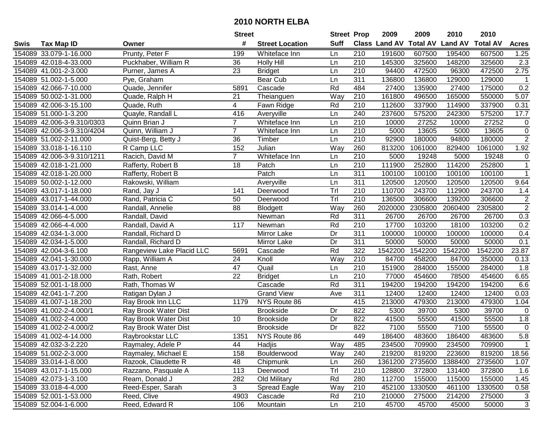|      |                            |                           | <b>Street</b>  |                        | <b>Street Prop</b> |                  | 2009                 | 2009            | 2010           | 2010            |                |
|------|----------------------------|---------------------------|----------------|------------------------|--------------------|------------------|----------------------|-----------------|----------------|-----------------|----------------|
| Swis | <b>Tax Map ID</b>          | Owner                     | #              | <b>Street Location</b> | <b>Suff</b>        |                  | <b>Class Land AV</b> | <b>Total AV</b> | <b>Land AV</b> | <b>Total AV</b> | <b>Acres</b>   |
|      | 154089 33.079-1-16.000     | Prunty, Peter F           | 199            | Whiteface Inn          | Ln                 | 210              | 191600               | 607500          | 195400         | 607500          | 1.25           |
|      | 154089 42.018-4-33.000     | Puckhaber, William R      | 36             | <b>Holly Hill</b>      | Ln                 | 210              | 145300               | 325600          | 148200         | 325600          | 2.3            |
|      | 154089 41.001-2-3.000      | Purner, James A           | 23             | <b>Bridget</b>         | Ln                 | 210              | 94400                | 472500          | 96300          | 472500          | 2.75           |
|      | 154089 51.002-1-5.000      | Pye, Graham               |                | <b>Bear Cub</b>        | Ln                 | 311              | 136800               | 136800          | 129000         | 129000          | $\overline{1}$ |
|      | 154089 42.066-7-10.000     | Quade, Jennifer           | 5891           | Cascade                | Rd                 | 484              | 27400                | 135900          | 27400          | 175000          | 0.2            |
|      | 154089 50.002-1-31.000     | Quade, Ralph H            | 21             | Theianguen             | Way                | 210              | 161800               | 496500          | 165000         | 550000          | 5.07           |
|      | 154089 42.006-3-15.100     | Quade, Ruth               | 4              | Fawn Ridge             | Rd                 | 210              | 112600               | 337900          | 114900         | 337900          | 0.31           |
|      | 154089 51.000-1-3.200      | Quayle, Randall L         | 416            | Averyville             | Ln                 | 240              | 237600               | 575200          | 242300         | 575200          | 17.7           |
|      | 154089 42.006-3-9.310/0303 | Quinn Brian J             | $\overline{7}$ | Whiteface Inn          | Ln                 | $\overline{210}$ | 10000                | 27252           | 10000          | 27252           | $\pmb{0}$      |
|      | 154089 42.006-3-9.310/4204 | Quinn, William J          | $\overline{7}$ | Whiteface Inn          | Ln                 | 210              | 5000                 | 13605           | 5000           | 13605           | $\mathbf 0$    |
|      | 154089 51.002-2-11.000     | Quist-Berg, Betty J       | 36             | Timber                 | Ln                 | 210              | 92900                | 180000          | 94800          | 180000          | $\overline{2}$ |
|      | 154089 33.018-1-16.110     | R Camp LLC                | 152            | Julian                 | Way                | 260              | 813200               | 1061000         | 829400         | 1061000         | 1.92           |
|      | 154089 42.006-3-9.310/1211 | Racich, David M           | $\overline{7}$ | Whiteface Inn          | Ln                 | 210              | 5000                 | 19248           | 5000           | 19248           | $\mathbf 0$    |
|      | 154089 42.018-1-21.000     | Rafferty, Robert B        | 18             | Patch                  | Ln                 | 210              | 111900               | 252800          | 114200         | 252800          | $\mathbf{1}$   |
|      | 154089 42.018-1-20.000     | Rafferty, Robert B        |                | Patch                  | Ln                 | 311              | 100100               | 100100          | 100100         | 100100          | $\mathbf{1}$   |
|      | 154089 50.002-1-12.000     | Rakowski, William         |                | Averyville             | Ln                 | 311              | 120500               | 120500          | 120500         | 120500          | 9.64           |
|      | 154089 43.017-1-18.000     | Rand, Jay J               | 141            | Deerwood               | Tr                 | 210              | 110700               | 243700          | 112900         | 243700          | 1.4            |
|      | 154089 43.017-1-44.000     | Rand, Patricia C          | 50             | Deerwood               | Tr                 | 210              | 136500               | 306600          | 139200         | 306600          | $\overline{2}$ |
|      | 154089 33.014-1-4.000      | Randall, Annelie          | 88             | <b>Blodgett</b>        | Way                | 260              | 2020000              | 2305800         | 2060400        | 2305800         | $\overline{2}$ |
|      | 154089 42.066-4-5.000      | Randall, David            |                | Newman                 | Rd                 | 311              | 26700                | 26700           | 26700          | 26700           | 0.3            |
|      | 154089 42.066-4-4.000      | Randall, David A          | 117            | Newman                 | Rd                 | 210              | 17700                | 103200          | 18100          | 103200          | 0.2            |
|      | 154089 42.034-1-3.000      | Randall, Richard D        |                | Mirror Lake            | Dr                 | 311              | 100000               | 100000          | 100000         | 100000          | 0.4            |
|      | 154089 42.034-1-5.000      | Randall, Richard D        |                | Mirror Lake            | Dr                 | 311              | 50000                | 50000           | 50000          | 50000           | 0.1            |
|      | 154089 42.004-3-6.100      | Rangeview Lake Placid LLC | 5691           | Cascade                | Rd                 | 322              | 1542200              | 1542200         | 1542200        | 1542200         | 23.87          |
|      | 154089 42.041-1-30.000     | Rapp, William A           | 24             | Knoll                  | Way                | 210              | 84700                | 458200          | 84700          | 350000          | 0.13           |
|      | 154089 43.017-1-32.000     | Rast, Anne                | 47             | Quail                  | Ln                 | 210              | 151900               | 284000          | 155000         | 284000          | 1.8            |
|      | 154089 41.001-2-18.000     | Rath, Robert              | 22             | <b>Bridget</b>         | Ln                 | 210              | 77000                | 454600          | 78500          | 454600          | 6.65           |
|      | 154089 52.001-1-18.000     | Rath, Thomas W            |                | Cascade                | Rd                 | 311              | 194200               | 194200          | 194200         | 194200          | 6.6            |
|      | 154089 42.041-1-7.200      | Ratigan Dylan J           |                | <b>Grand View</b>      | Ave                | $\overline{311}$ | 12400                | 12400           | 12400          | 12400           | 0.03           |
|      | 154089 41.007-1-18.200     | Ray Brook Inn LLC         | 1179           | NYS Route 86           |                    | 415              | 213000               | 479300          | 213000         | 479300          | 1.04           |
|      | 154089 41.002-2-4.000/1    | Ray Brook Water Dist      |                | <b>Brookside</b>       | Dr                 | 822              | 5300                 | 39700           | 5300           | 39700           | 0              |
|      | 154089 41.002-2-4.000      | Ray Brook Water Dist      | 10             | <b>Brookside</b>       | Dr                 | 822              | 41500                | 55500           | 41500          | 55500           | 1.8            |
|      | 154089 41.002-2-4.000/2    | Ray Brook Water Dist      |                | <b>Brookside</b>       | Dr                 | 822              | 7100                 | 55500           | 7100           | 55500           | $\mathbf 0$    |
|      | 154089 41.002-4-14.000     | Raybrookstar LLC          | 1351           | NYS Route 86           |                    | 449              | 186400               | 483600          | 186400         | 483600          | 5.8            |
|      | 154089 42.032-3-2.220      | Raymaley, Adele P         | 44             | Hadjis                 | Way                | 485              | 234500               | 709900          | 234500         | 709900          | $\mathbf{1}$   |
|      | 154089 51.002-2-3.000      | Raymaley, Michael E       | 158            | Boulderwood            | Way                | 240              | 219200               | 819200          | 223600         | 819200          | 18.56          |
|      | 154089 33.014-1-8.000      | Razook, Claudette R       | 48             | Chipmunk               | Ln                 | 260              | 1361200              | 2735600         | 1388400        | 2735600         | 1.07           |
|      | 154089 43.017-1-15.000     | Razzano, Pasquale A       | 113            | Deerwood               | Trl                | 210              | 128800               | 372800          | 131400         | 372800          | 1.6            |
|      | 154089 42.073-1-3.100      | Ream, Donald J            | 282            | Old Military           | Rd                 | 280              | 112700               | 155000          | 115000         | 155000          | 1.45           |
|      | 154089 33.018-4-4.000      | Reed-Esper, Sarah         | 3              | Spread Eagle           | Way                | 210              | 452100               | 1330500         | 461100         | 1330500         | 0.58           |
|      | 154089 52.001-1-53.000     | Reed, Clive               | 4903           | Cascade                | Rd                 | 210              | 210000               | 275000          | 214200         | 275000          | 3              |
|      | 154089 52.004-1-6.000      | Reed, Edward R            | 106            | Mountain               | Ln                 | 210              | 45700                | 45700           | 45000          | 50000           | 3              |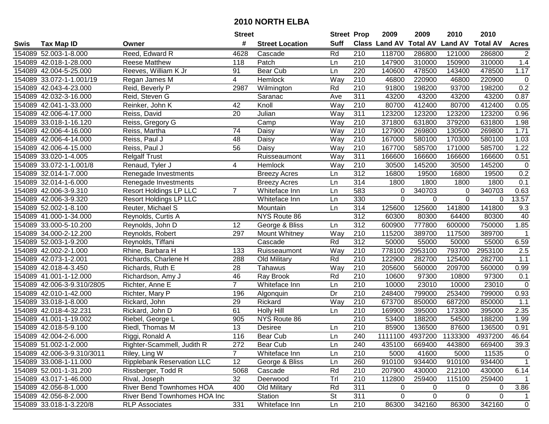|      |                            |                                   | <b>Street</b>   |                        | <b>Street Prop</b> |                  | 2009          | 2009            | 2010           | 2010            |                |
|------|----------------------------|-----------------------------------|-----------------|------------------------|--------------------|------------------|---------------|-----------------|----------------|-----------------|----------------|
| Swis | <b>Tax Map ID</b>          | Owner                             | #               | <b>Street Location</b> | <b>Suff</b>        |                  | Class Land AV | <b>Total AV</b> | <b>Land AV</b> | <b>Total AV</b> | <b>Acres</b>   |
|      | 154089 52.003-1-8.000      | Reed, Edward R                    | 4628            | Cascade                | Rd                 | 210              | 118700        | 286800          | 121000         | 286800          | $\overline{2}$ |
|      | 154089 42.018-1-28.000     | <b>Reese Matthew</b>              | 118             | Patch                  | Ln                 | 210              | 147900        | 310000          | 150900         | 310000          | 1.4            |
|      | 154089 42.004-5-25.000     | Reeves, William K Jr              | 91              | Bear Cub               | Ln                 | 220              | 140600        | 478500          | 143400         | 478500          | 1.17           |
|      | 154089 33.072-1-1.001/19   | Regan James M                     | $\overline{4}$  | Hemlock                | Way                | 210              | 46800         | 220900          | 46800          | 220900          | $\pmb{0}$      |
|      | 154089 42.043-4-23.000     | Reid, Beverly P                   | 2987            | Wilmington             | Rd                 | 210              | 91800         | 198200          | 93700          | 198200          | 0.2            |
|      | 154089 42.032-3-16.000     | Reid, Steven G                    |                 | Saranac                | Ave                | 311              | 43200         | 43200           | 43200          | 43200           | 0.87           |
|      | 154089 42.041-1-33.000     | Reinker, John K                   | 42              | Knoll                  | Way                | 210              | 80700         | 412400          | 80700          | 412400          | 0.05           |
|      | 154089 42.006-4-17.000     | Reiss, David                      | $\overline{20}$ | Julian                 | $\overline{Way}$   | 311              | 123200        | 123200          | 123200         | 123200          | 0.96           |
|      | 154089 33.018-1-16.120     | Reiss, Gregory G                  |                 | Camp                   | Way                | $\overline{210}$ | 371800        | 631800          | 379200         | 631800          | 1.98           |
|      | 154089 42.006-4-16.000     | Reiss, Martha                     | 74              | Daisy                  | Way                | 210              | 127900        | 269800          | 130500         | 269800          | 1.71           |
|      | 154089 42.006-4-14.000     | Reiss, Paul J                     | 48              | Daisy                  | Way                | 210              | 167000        | 580100          | 170300         | 580100          | 1.03           |
|      | 154089 42.006-4-15.000     | Reiss, Paul J                     | 56              | Daisy                  | Way                | 210              | 167700        | 585700          | 171000         | 585700          | 1.22           |
|      | 154089 33.020-1-4.005      | <b>Relgalf Trust</b>              |                 | Ruisseaumont           | Way                | 311              | 166600        | 166600          | 166600         | 166600          | 0.51           |
|      | 154089 33.072-1-1.001/8    | Renaud, Tyler J                   | 4               | Hemlock                | Way                | 210              | 30500         | 145200          | 30500          | 145200          | $\pmb{0}$      |
|      | 154089 32.014-1-7.000      | Renegade Investments              |                 | <b>Breezy Acres</b>    | Ln                 | 312              | 16800         | 19500           | 16800          | 19500           | 0.2            |
|      | 154089 32.014-1-6.000      | Renegade Investments              |                 | <b>Breezy Acres</b>    | Ln                 | 314              | 1800          | 1800            | 1800           | 1800            | 0.1            |
|      | 154089 42.006-3-9.310      | <b>Resort Holdings LP LLC</b>     | $\overline{7}$  | Whiteface Inn          | Ln                 | 583              | 0             | 340703          | $\mathbf 0$    | 340703          | 0.63           |
|      | 154089 42.006-3-9.320      | <b>Resort Holdings LP LLC</b>     |                 | Whiteface Inn          | Ln                 | 330              | 0             | 0               | 0              | 0               | 13.57          |
|      | 154089 52.002-1-8.100      | Reuter, Michael S                 |                 | Mountain               | Ln                 | 314              | 125600        | 125600          | 141800         | 141800          | 9.3            |
|      | 154089 41.000-1-34.000     | Reynolds, Curtis A                |                 | NYS Route 86           |                    | 312              | 60300         | 80300           | 64400          | 80300           | 40             |
|      | 154089 33.000-5-10.200     | Reynolds, John D                  | 12              | George & Bliss         | Ln                 | 312              | 600900        | 777800          | 600000         | 750000          | 1.85           |
|      | 154089 34.000-2-12.200     | Reynolds, Robert                  | 297             | Mount Whitney          | Way                | 210              | 115200        | 389700          | 117500         | 389700          | $\mathbf{1}$   |
|      | 154089 52.003-1-9.200      | Reynolds, Tiffani                 |                 | Cascade                | Rd                 | 312              | 50000         | 55000           | 50000          | 55000           | 6.59           |
|      | 154089 42.002-2-1.000      | Rhine, Barbara H                  | 133             | Ruisseaumont           | Way                | 210              | 778100        | 2953100         | 793700         | 2953100         | 2.5            |
|      | 154089 42.073-1-2.001      | Richards, Charlene H              | 288             | Old Military           | Rd                 | $\overline{210}$ | 122900        | 282700          | 125400         | 282700          | 1.1            |
|      | 154089 42.018-4-3.450      | Richards, Ruth E                  | 28              | Tahawus                | Way                | 210              | 205600        | 560000          | 209700         | 560000          | 0.99           |
|      | 154089 41.001-1-12.000     | Richardson, Amy J                 | 46              | Ray Brook              | Rd                 | 210              | 10600         | 97300           | 10800          | 97300           | 0.1            |
|      | 154089 42.006-3-9.310/2805 | Richter, Anne E                   | $\overline{7}$  | Whiteface Inn          | Ln                 | 210              | 10000         | 23010           | 10000          | 23010           | $\mathbf 0$    |
|      | 154089 42.010-1-42.000     | Richter, Mary P                   | 196             | Algonquin              | Dr                 | 210              | 248400        | 799000          | 253400         | 799000          | 0.93           |
|      | 154089 33.018-1-8.000      | Rickard, John                     | 29              | Rickard                | Way                | $\overline{210}$ | 673700        | 850000          | 687200         | 850000          | 1.1            |
|      | 154089 42.018-4-32.231     | Rickard, John D                   | 61              | <b>Holly Hill</b>      | Ln                 | $\overline{210}$ | 169900        | 395000          | 173300         | 395000          | 2.35           |
|      | 154089 41.001-1-19.002     | Riebel, George L                  | 905             | NYS Route 86           |                    | $\overline{210}$ | 53400         | 188200          | 54500          | 188200          | 1.99           |
|      | 154089 42.018-5-9.100      | Riedl, Thomas M                   | 13              | <b>Desiree</b>         | Ln                 | $\overline{210}$ | 85900         | 136500          | 87600          | 136500          | 0.91           |
|      | 154089 42.004-2-6.000      | Riggi, Ronald A                   | 116             | Bear Cub               | Ln                 | 240              | 1111100       | 4937200         | 1133300        | 4937200         | 46.64          |
|      | 154089 51.002-1-2.000      | Righter-Scammell, Judith R        | 272             | Bear Cub               | Ln                 | 240              | 435100        | 669400          | 443800         | 669400          | 39.3           |
|      | 154089 42.006-3-9.310/3011 | Riley, Ling W                     | $\overline{7}$  | Whiteface Inn          | Ln                 | 210              | 5000          | 41600           | 5000           | 11535           | $\overline{0}$ |
|      | 154089 33.008-1-11.000     | <b>Ripplebank Reservation LLC</b> | 12              | George & Bliss         | Ln                 | 260              | 910100        | 934400          | 910100         | 934400          | $\mathbf{1}$   |
|      | 154089 52.001-1-31.200     | Rissberger, Todd R                | 5068            | Cascade                | Rd                 | 210              | 207900        | 430000          | 212100         | 430000          | 6.14           |
|      | 154089 43.017-1-46.000     | Rival, Joseph                     | 32              | Deerwood               | Trl                | 210              | 112800        | 259400          | 115100         | 259400          | $\mathbf{1}$   |
|      | 154089 42.056-8-1.000      | River Bend Townhomes HOA          | 400             | Old Military           | Rd                 | 311              | 0             | 0               | 0              | 0               | 3.86           |
|      | 154089 42.056-8-2.000      | River Bend Townhomes HOA Inc      |                 | Station                | St                 | 311              | 0             | 0               | 0              | 0               | 1              |
|      | 154089 33.018-1-3.220/8    | <b>RLP Associates</b>             | $\frac{1}{331}$ | Whiteface Inn          | Ln                 | 210              | 86300         | 342160          | 86300          | 342160          | $\overline{0}$ |
|      |                            |                                   |                 |                        |                    |                  |               |                 |                |                 |                |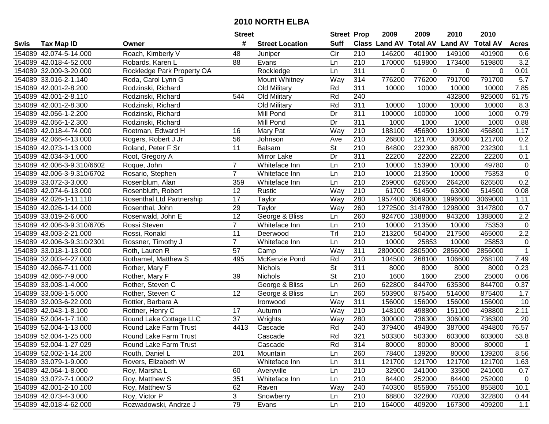|      |                            |                            | <b>Street</b>   |                        | <b>Street Prop</b>       |                  | 2009                 | 2009            | 2010           | 2010            |              |
|------|----------------------------|----------------------------|-----------------|------------------------|--------------------------|------------------|----------------------|-----------------|----------------|-----------------|--------------|
| Swis | <b>Tax Map ID</b>          | Owner                      | #               | <b>Street Location</b> | <b>Suff</b>              |                  | <b>Class Land AV</b> | <b>Total AV</b> | <b>Land AV</b> | <b>Total AV</b> | <b>Acres</b> |
|      | 154089 42.074-5-14.000     | Roach, Kimberly V          | 48              | Juniper                | Cir                      | 210              | 146200               | 401900          | 149100         | 401900          | 0.6          |
|      | 154089 42.018-4-52.000     | Robards, Karen L           | 88              | Evans                  | Ln                       | 210              | 170000               | 519800          | 173400         | 519800          | 3.2          |
|      | 154089 32.009-3-20.000     | Rockledge Park Property OA |                 | Rockledge              | Ln                       | 311              | $\Omega$             | $\Omega$        | $\Omega$       | $\Omega$        | 0.01         |
|      | 154089 33.016-2-1.140      | Roda, Carol Lynn G         |                 | Mount Whitney          | Way                      | 314              | 776200               | 776200          | 791700         | 791700          | 5.7          |
|      | 154089 42.001-2-8.200      | Rodzinski, Richard         |                 | Old Military           | Rd                       | 311              | 10000                | 10000           | 10000          | 10000           | 7.85         |
|      | 154089 42.001-2-8.110      | Rodzinski, Richard         | 544             | Old Military           | Rd                       | 240              |                      |                 | 432800         | 925000          | 61.75        |
|      | 154089 42.001-2-8.300      | Rodzinski, Richard         |                 | Old Military           | Rd                       | 311              | 10000                | 10000           | 10000          | 10000           | 8.3          |
|      | 154089 42.056-1-2.200      | Rodzinski, Richard         |                 | Mill Pond              | Dr                       | 311              | 100000               | 100000          | 1000           | 1000            | 0.79         |
|      | 154089 42.056-1-2.300      | Rodzinski, Richard         |                 | Mill Pond              | Dr                       | 311              | 1000                 | 1000            | 1000           | 1000            | 0.88         |
|      | 154089 42.018-4-74.000     | Roetman, Edward H          | 16              | Mary Pat               | Way                      | 210              | 188100               | 456800          | 191800         | 456800          | 1.17         |
|      | 154089 42.066-4-13.000     | Rogers, Robert J Jr        | 56              | Johnson                | Ave                      | 210              | 26800                | 121700          | 30600          | 121700          | 0.2          |
|      | 154089 42.073-1-13.000     | Roland, Peter F Sr         | 11              | <b>Balsam</b>          | St                       | 210              | 84800                | 232300          | 68700          | 232300          | 1.1          |
|      | 154089 42.034-3-1.000      | Root, Gregory A            |                 | Mirror Lake            | Dr                       | 311              | 22200                | 22200           | 22200          | 22200           | 0.1          |
|      | 154089 42.006-3-9.310/6602 | Roque, John                | $\overline{7}$  | Whiteface Inn          | Ln                       | 210              | 10000                | 153900          | 10000          | 49780           | $\mathbf 0$  |
|      | 154089 42.006-3-9.310/6702 | Rosario, Stephen           | $\overline{7}$  | Whiteface Inn          | Ln                       | 210              | 10000                | 213500          | 10000          | 75353           | $\mathsf 0$  |
|      | 154089 33.072-3-3.000      | Rosenblum, Alan            | 359             | Whiteface Inn          | Ln                       | 210              | 259000               | 626500          | 264200         | 626500          | 0.2          |
|      | 154089 42.074-6-13.000     | Rosenbluth, Robert         | 12              | Rustic                 | Way                      | 210              | 61700                | 514500          | 63000          | 514500          | 0.08         |
|      | 154089 42.026-1-11.110     | Rosenthal Ltd Partnership  | 17              | Taylor                 | Way                      | 280              | 1957400              | 3069000         | 1996600        | 3069000         | 1.11         |
|      | 154089 42.026-1-14.000     | Rosenthal, John            | 29              | Taylor                 | Way                      | 260              | 1272500              | 3147800         | 1298000        | 3147800         | 0.7          |
|      | 154089 33.019-2-6.000      | Rosenwald, John E          | 12              | George & Bliss         | Ln                       | 260              | 924700               | 1388000         | 943200         | 1388000         | $2.2\,$      |
|      | 154089 42.006-3-9.310/6705 | Rossi Steven               | $\overline{7}$  | Whiteface Inn          | Ln                       | 210              | 10000                | 213500          | 10000          | 75353           | $\mathsf 0$  |
|      | 154089 43.003-2-21.000     | Rossi, Ronald              | 11              | Deerwood               | Trl                      | 210              | 213200               | 504000          | 217500         | 465000          | $2.2\,$      |
|      | 154089 42.006-3-9.310/2301 | Rossner, Timothy J         | $\overline{7}$  | Whiteface Inn          | Ln                       | 210              | 10000                | 25853           | 10000          | 25853           | $\mathbf 0$  |
|      | 154089 33.018-1-13.000     | Roth, Lauren R             | 57              | Camp                   | Way                      | 311              | 2800000              | 2805000         | 2856000        | 2856000         | $\mathbf{1}$ |
|      | 154089 32.003-4-27.000     | Rothamel, Matthew S        | 495             | McKenzie Pond          | Rd                       | $\overline{210}$ | 104500               | 268100          | 106600         | 268100          | 7.49         |
|      | 154089 42.066-7-11.000     | Rother, Mary F             |                 | Nichols                | $\overline{\mathsf{St}}$ | 311              | 8000                 | 8000            | 8000           | 8000            | 0.23         |
|      | 154089 42.066-7-9.000      | Rother, Mary F             | 39              | Nichols                | $\overline{\mathsf{St}}$ | 210              | 1600                 | 1600            | 2500           | 25000           | 0.06         |
|      | 154089 33.008-1-4.000      | Rother, Steven C           |                 | George & Bliss         | Ln                       | 260              | 622800               | 844700          | 635300         | 844700          | 0.37         |
|      | 154089 33.008-1-5.000      | Rother, Steven C           | 12              | George & Bliss         | Ln                       | 260              | 503900               | 875400          | 514000         | 875400          | 1.7          |
|      | 154089 32.003-6-22.000     | Rottier, Barbara A         |                 | Ironwood               | Way                      | 311              | 156000               | 156000          | 156000         | 156000          | 10           |
|      | 154089 42.043-1-8.100      | Rottner, Henry C           | $\overline{17}$ | Autumn                 | Way                      | 210              | 148100               | 498800          | 151100         | 498800          | 2.11         |
|      | 154089 52.004-1-7.100      | Round Lake Cottage LLC     | 37              | Wrights                | Way                      | 280              | 300000               | 736300          | 306000         | 736300          | 20           |
|      | 154089 52.004-1-13.000     | Round Lake Farm Trust      | 4413            | Cascade                | Rd                       | 240              | 379400               | 494800          | 387000         | 494800          | 76.57        |
|      | 154089 52.004-1-25.000     | Round Lake Farm Trust      |                 | Cascade                | Rd                       | 321              | 503300               | 503300          | 603000         | 603000          | 53.8         |
|      | 154089 52.004-1-27.029     | Round Lake Farm Trust      |                 | Cascade                | Rd                       | 314              | 80000                | 80000           | 80000          | 80000           | $\mathbf{1}$ |
|      | 154089 52.002-1-14.200     | Routh, Daniel L            | 201             | Mountain               | Ln                       | 260              | 78400                | 139200          | 80000          | 139200          | 8.56         |
|      | 154089 33.079-1-9.000      | Rovers, Elizabeth W        |                 | Whiteface Inn          | Ln                       | 311              | 121700               | 121700          | 121700         | 121700          | 1.63         |
|      | 154089 42.064-1-8.000      | Roy, Marsha L              | 60              | Averyville             | Ln                       | 210              | 32900                | 241000          | 33500          | 241000          | 0.7          |
|      | 154089 33.072-7-1.000/2    | Roy, Matthew S             | 351             | Whiteface Inn          | Ln                       | 210              | 84400                | 252000          | 84400          | 252000          | $\mathbf 0$  |
|      | 154089 42.001-2-10.100     | Roy, Matthew S             | 62              | Raven                  | Way                      | 240              | 740300               | 855800          | 755100         | 855800          | 10.1         |
|      | 154089 42.073-4-3.000      | Roy, Victor P              | 3               | Snowberry              | Ln                       | 210              | 68800                | 322800          | 70200          | 322800          | 0.44         |
|      | 154089 42.018-4-62.000     | Rozwadowski, Andrze J      | 79              | Evans                  | Ln                       | 210              | 164000               | 409200          | 167300         | 409200          | 1.1          |
|      |                            |                            |                 |                        |                          |                  |                      |                 |                |                 |              |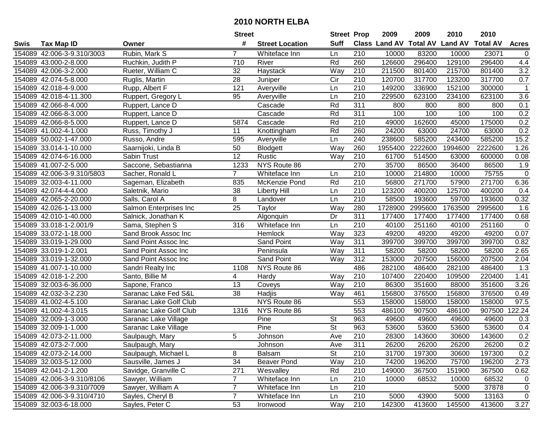|      |                            |                        | <b>Street</b>   |                        | <b>Street Prop</b>       |                  | 2009                          | 2009    | 2010           | 2010            |                  |
|------|----------------------------|------------------------|-----------------|------------------------|--------------------------|------------------|-------------------------------|---------|----------------|-----------------|------------------|
| Swis | <b>Tax Map ID</b>          | Owner                  | #               | <b>Street Location</b> | <b>Suff</b>              |                  | <b>Class Land AV Total AV</b> |         | <b>Land AV</b> | <b>Total AV</b> | <b>Acres</b>     |
|      | 154089 42.006-3-9.310/3003 | Rubin, Mark S          | 7               | Whiteface Inn          | Ln                       | 210              | 10000                         | 83200   | 10000          | 23071           | 0                |
|      | 154089 43.000-2-8.000      | Ruchkin, Judith P      | 710             | River                  | Rd                       | 260              | 126600                        | 296400  | 129100         | 296400          | 4.4              |
|      | 154089 42.006-3-2.000      | Rueter, William C      | 32              | Haystack               | Way                      | 210              | 211500                        | 801400  | 215700         | 801400          | 3.2              |
|      | 154089 42.074-5-8.000      | Ruglis, Martin         | 28              | Juniper                | Cir                      | 210              | 120700                        | 317700  | 123200         | 317700          | 0.7              |
|      | 154089 42.018-4-9.000      | Rupp, Albert F         | 121             | Averyville             | Ln                       | 210              | 149200                        | 336900  | 152100         | 300000          | $\mathbf{1}$     |
|      | 154089 42.018-4-11.300     | Ruppert, Gregory L     | 95              | Averyville             | Ln                       | $\overline{210}$ | 229500                        | 623100  | 234100         | 623100          | 3.6              |
|      | 154089 42.066-8-4.000      | Ruppert, Lance D       |                 | Cascade                | Rd                       | 311              | 800                           | 800     | 800            | 800             | 0.1              |
|      | 154089 42.066-8-3.000      | Ruppert, Lance D       |                 | Cascade                | Rd                       | 311              | 100                           | 100     | 100            | 100             | 0.2              |
|      | 154089 42.066-8-5.000      | Ruppert, Lance D       | 5874            | Cascade                | Rd                       | $\overline{210}$ | 49000                         | 162600  | 45000          | 175000          | 0.2              |
|      | 154089 41.002-4-1.000      | Russ, Timothy J        | 11              | Knottingham            | Rd                       | 260              | 24200                         | 63000   | 24700          | 63000           | 0.2              |
|      | 154089 50.002-1-47.000     | Russo, Andre           | 595             | Averyville             | Ln                       | 240              | 238600                        | 585200  | 243400         | 585200          | 15.2             |
|      | 154089 33.014-1-10.000     | Saarnijoki, Linda B    | 50              | Blodgett               | Way                      | 260              | 1955400                       | 2222600 | 1994600        | 2222600         | 1.26             |
|      | 154089 42.074-6-16.000     | Sabin Trust            | $\overline{12}$ | Rustic                 | Way                      | 210              | 61700                         | 514500  | 63000          | 600000          | 0.08             |
|      | 154089 41.007-2-5.000      | Saccone, Sebastianna   | 1233            | NYS Route 86           |                          | 270              | 35700                         | 86500   | 36400          | 86500           | 1.9              |
|      | 154089 42.006-3-9.310/5803 | Sacher, Ronald L       | $\overline{7}$  | Whiteface Inn          | Ln                       | 210              | 10000                         | 214800  | 10000          | 75755           | $\boldsymbol{0}$ |
|      | 154089 32.003-4-11.000     | Sageman, Elizabeth     | 835             | McKenzie Pond          | Rd                       | 210              | 56800                         | 271700  | 57900          | 271700          | 6.36             |
|      | 154089 42.074-4-4.000      | Saletnik, Mario        | $\overline{38}$ | <b>Liberty Hill</b>    | Ln                       | $\overline{210}$ | 123200                        | 400200  | 125700         | 400200          | 0.4              |
|      | 154089 42.065-2-20.000     | Salls, Carol A         | 8               | Landover               | Ln                       | 210              | 58500                         | 193600  | 59700          | 193600          | 0.32             |
|      | 154089 42.026-1-13.000     | Salmon Enterprises Inc | 25              | Taylor                 | Way                      | 280              | 1728900                       | 2995600 | 1763500        | 2995600         | 1.6              |
|      | 154089 42.010-1-40.000     | Salnick, Jonathan K    |                 | Algonquin              | Dr                       | 311              | 177400                        | 177400  | 177400         | 177400          | 0.68             |
|      | 154089 33.018-1-2.001/9    | Sama, Stephen S        | 316             | Whiteface Inn          | Ln                       | 210              | 40100                         | 251160  | 40100          | 251160          | $\pmb{0}$        |
|      | 154089 33.072-1-18.000     | Sand Brook Assoc Inc   |                 | Hemlock                | Way                      | 323              | 49200                         | 49200   | 49200          | 49200           | 0.07             |
|      | 154089 33.019-1-29.000     | Sand Point Assoc Inc   |                 | Sand Point             | Way                      | 311              | 399700                        | 399700  | 399700         | 399700          | 0.82             |
|      | 154089 33.019-1-2.001      | Sand Point Assoc Inc   |                 | Peninsula              | Way                      | 311              | 58200                         | 58200   | 58200          | 58200           | 2.65             |
|      | 154089 33.019-1-32.000     | Sand Point Assoc Inc   |                 | Sand Point             | Way                      | 312              | 153000                        | 207500  | 156000         | 207500          | 2.04             |
|      | 154089 41.007-1-10.000     | Sandri Realty Inc      | 1108            | NYS Route 86           |                          | 486              | 282100                        | 486400  | 282100         | 486400          | 1.3              |
|      | 154089 42.018-1-2.200      | Santo, Billie M        | 4               | Hardy                  | Way                      | 210              | 107400                        | 220400  | 109500         | 220400          | 1.41             |
|      | 154089 32.003-6-36.000     | Sapone, Franco         | 13              | Coveys                 | Way                      | 210              | 86300                         | 351600  | 88000          | 351600          | 3.26             |
|      | 154089 42.032-3-2.230      | Saranac Lake Fed S&L   | 38              | Hadjis                 | Way                      | 461              | 156800                        | 376500  | 156800         | 376500          | 0.49             |
|      | 154089 41.002-4-5.100      | Saranac Lake Golf Club |                 | NYS Route 86           |                          | 553              | 158000                        | 158000  | 158000         | 158000          | 97.5             |
|      | 154089 41.002-4-3.015      | Saranac Lake Golf Club | 1316            | NYS Route 86           |                          | 553              | 486100                        | 907500  | 486100         | 907500          | 122.24           |
|      | 154089 32.009-1-3.000      | Saranac Lake Village   |                 | Pine                   | <b>St</b>                | 963              | 49600                         | 49600   | 49600          | 49600           | 0.3              |
|      | 154089 32.009-1-1.000      | Saranac Lake Village   |                 | Pine                   | $\overline{\mathsf{St}}$ | 963              | 53600                         | 53600   | 53600          | 53600           | 0.4              |
|      | 154089 42.073-2-11.000     | Saulpaugh, Mary        | 5               | Johnson                | Ave                      | $\overline{210}$ | 28300                         | 143600  | 30600          | 143600          | 0.2              |
|      | 154089 42.073-2-7.000      | Saulpaugh, Mary        |                 | Johnson                | Ave                      | 311              | 26200                         | 26200   | 26200          | 26200           | 0.2              |
|      | 154089 42.073-2-14.000     | Saulpaugh, Michael L   | 8               | Balsam                 | <b>St</b>                | 210              | 31700                         | 197300  | 30600          | 197300          | 0.2              |
|      | 154089 32.003-5-12.000     | Sausville, James J     | 34              | <b>Beaver Pond</b>     | Way                      | 210              | 74200                         | 196200  | 75700          | 196200          | 2.73             |
|      | 154089 42.041-2-1.200      | Savidge, Granville C   | 271             | Wesvalley              | Rd                       | 210              | 149000                        | 367500  | 151900         | 367500          | 0.62             |
|      | 154089 42.006-3-9.310/8106 | Sawyer, William        | $\overline{7}$  | Whiteface Inn          | Ln                       | 210              | 10000                         | 68532   | 10000          | 68532           | $\mathbf 0$      |
|      | 154089 42.006-3-9.310/7009 | Sawyer, William A      | $\overline{7}$  | Whiteface Inn          | Ln                       | 210              |                               |         | 5000           | 37878           | $\mathbf 0$      |
|      | 154089 42.006-3-9.310/4710 | Sayles, Cheryl B       | $\overline{7}$  | Whiteface Inn          | Ln                       | 210              | 5000                          | 43900   | 5000           | 13163           | $\mathbf 0$      |
|      | 154089 32.003-6-18.000     | Sayles, Peter C        | 53              | Ironwood               | Way                      | 210              | 142300                        | 413600  | 145500         | 413600          | 3.27             |
|      |                            |                        |                 |                        |                          |                  |                               |         |                |                 |                  |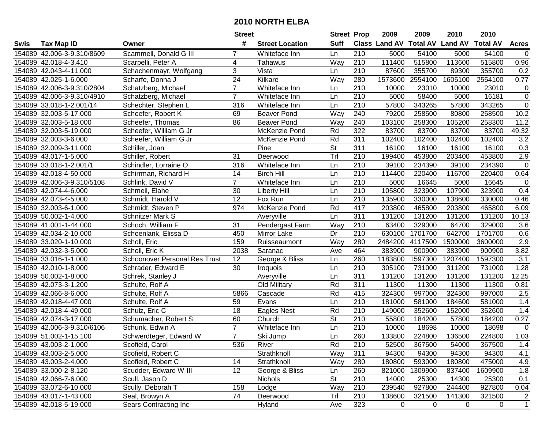| #<br><b>Suff</b><br><b>Class Land AV Total AV</b><br><b>Land AV</b><br><b>Total AV</b><br><b>Tax Map ID</b><br><b>Street Location</b><br><b>Acres</b><br>Swis<br>Owner<br>54100<br>154089 42.006-3-9.310/8609<br>Scammell, Donald G III<br>210<br>5000<br>5000<br>54100<br>Whiteface Inn<br>$\mathbf 0$<br>7<br>Ln<br>Way<br>515800<br>154089 42.018-4-3.410<br>210<br>111400<br>113600<br>515800<br>0.96<br>Scarpelli, Peter A<br>4<br>Tahawus<br>154089 42.043-4-11.000<br>Schachenmayr, Wolfgang<br>3<br>Vista<br>210<br>87600<br>355700<br>89300<br>355700<br>0.2<br>Ln<br>$\overline{24}$<br>Kilkare<br>Way<br>280<br>1573600<br>2554100<br>1605100<br>2554100<br>0.77<br>154089 42.025-1-6.000<br>Scharfe, Donna J<br>154089 42.006-3-9.310/2804<br>$\overline{7}$<br>Whiteface Inn<br>210<br>10000<br>23010<br>10000<br>23010<br>0<br>Schatzberg, Michael<br>Ln<br>$\overline{0}$<br>$\overline{7}$<br>154089 42.006-3-9.310/4910<br>Ln<br>210<br>5000<br>58400<br>5000<br>16181<br>Schatzberg, Michael<br>Whiteface Inn<br>$\mathbf 0$<br>210<br>57800<br>343265<br>57800<br>343265<br>154089 33.018-1-2.001/14<br>Schechter, Stephen L<br>316<br>Whiteface Inn<br>Ln<br>Way<br>240<br>79200<br>258500<br>80800<br>258500<br>10.2<br>154089 32.003-5-17.000<br>Scheefer, Robert K<br>69<br><b>Beaver Pond</b><br>240<br>258300<br>11.2<br>154089 32.003-5-18.000<br>86<br>Way<br>103100<br>105200<br>258300<br>Scheefer, Thomas<br><b>Beaver Pond</b><br>Rd<br>322<br>83700<br>83700<br>83700<br>49.32<br>154089 32.003-5-19.000<br>Scheefer, William G Jr<br>83700<br>McKenzie Pond<br>311<br>3.2<br>154089 32.003-3-6.000<br>Scheefer, William G Jr<br>Rd<br>102400<br>102400<br>102400<br>102400<br>McKenzie Pond<br>St<br>154089 32.009-3-11.000<br>Pine<br>311<br>16100<br>16100<br>16100<br>16100<br>0.3<br>Schiller, Joan<br>Tr<br>2.9<br>31<br>210<br>199400<br>453800<br>203400<br>453800<br>154089 43.017-1-5.000<br>Schiller, Robert<br>Deerwood<br>210<br>154089 33.018-1-2.001/1<br>Ln<br>39100<br>234390<br>39100<br>234390<br>$\mathbf 0$<br>Schindler, Lorraine O<br>316<br>Whiteface Inn<br>210<br>0.64<br>154089 42.018-4-50.000<br>14<br><b>Birch Hill</b><br>114400<br>220400<br>116700<br>220400<br>Schirrman, Richard H<br>Ln<br>210<br>$\overline{7}$<br>5000<br>16645<br>5000<br>16645<br>154089 42.006-3-9.310/5108<br>Whiteface Inn<br>Ln<br>0<br>Schlink, David V<br>$\overline{30}$<br>$\overline{210}$<br>154089 42.074-4-6.000<br><b>Liberty Hill</b><br>105800<br>323900<br>107900<br>323900<br>0.4<br>Schmeil, Elahe<br>Ln<br>12<br>210<br>154089 42.073-4-5.000<br>Fox Run<br>135900<br>138600<br>0.46<br>Schmidt, Harold V<br>Ln<br>330000<br>330000<br>417<br>154089 32.003-6-1.000<br>974<br>Rd<br>203800<br>465800<br>203800<br>465800<br>6.09<br>Schmidt, Steven P<br>McKenzie Pond<br>154089 50.002-1-4.000<br>Ln<br>311<br>131200<br>131200<br>131200<br>131200<br>10.13<br><b>Schnitzer Mark S</b><br>Averyville<br>31<br>Way<br>210<br>63400<br>64700<br>3.6<br>154089 41.001-1-44.000<br>Schoch, William F<br>Pendergast Farm<br>329000<br>329000<br>Dr<br>642700<br>154089 42.034-2-10.000<br>450<br>Mirror Lake<br>210<br>630100<br>1701700<br>1701700<br>0.6<br>Schoenlank, Elissa D<br>Way<br>280<br>2.9<br>154089 33.020-1-10.000<br>159<br>2484200<br>4117500<br>1500000<br>Scholl, Eric<br>Ruisseaumont<br>3600000<br>3.82<br>154089 42.032-3-5.000<br>Scholl, Eric K<br>2038<br>Saranac<br>464<br>383900<br>900900<br>383900<br>900900<br>Ave<br>$\overline{12}$<br>$\overline{3.1}$<br>George & Bliss<br>260<br>1183800<br>1597300<br>1207400<br>154089 33.016-1-1.000<br><b>Schoonover Personal Res Trust</b><br>Ln<br>1597300<br>210<br>154089 42.010-1-8.000<br>Schrader, Edward E<br>30<br>Ln<br>305100<br>731000<br>311200<br>731000<br>1.28<br>Iroquois<br>311<br>131200<br>154089 50.002-1-8.000<br>Averyville<br>Ln<br>131200<br>131200<br>131200<br>12.25<br>Schrek, Stanley J<br>Rd<br>154089 42.073-3-1.200<br>Schulte, Rolf A<br>311<br>11300<br>11300<br>11300<br>11300<br>0.81<br>Old Military<br>Rd<br>415<br>324300<br>997000<br>324300<br>997000<br>2.5<br>154089 42.066-8-6.000<br>Schulte, Rolf A<br>5866<br>Cascade<br>$\overline{210}$<br>154089 42.018-4-47.000<br>59<br>Evans<br>Ln<br>181000<br>581000<br>184600<br>581000<br>1.4<br>Schulte, Rolf A<br>$\overline{18}$<br>Rd<br>$\overline{210}$<br>352600<br>1.4<br>154089 42.018-4-49.000<br>149000<br>152000<br>352600<br>Schulz, Eric C<br>Eagles Nest<br>$\overline{\mathsf{St}}$<br>154089 42.074-3-17.000<br>60<br>210<br>55800<br>184200<br>57800<br>0.27<br>Church<br>184200<br>Schumacher, Robert S<br>$\overline{7}$<br>$\overline{\mathsf{Ln}}$<br>$\overline{210}$<br>18698<br>$\mathbf 0$<br>154089 42.006-3-9.310/6106<br>10000<br>18698<br>10000<br>Schunk, Edwin A<br>Whiteface Inn<br>$\overline{7}$<br>260<br>1.03<br>154089 51.002-1-15.100<br>Schwerdteger, Edward W<br>Ski Jump<br>Ln<br>224800<br>136500<br>224800<br>133800<br>154089 43.003-2-1.000<br>Scofield, Carol<br>536<br>River<br>Rd<br>210<br>52500<br>367500<br>54000<br>367500<br>1.4<br>Way<br>154089 43.003-2-5.000<br>Scofield, Robert C<br>Strathknoll<br>311<br>94300<br>94300<br>94300<br>94300<br>4.1<br>180800<br>475000<br>4.9<br>154089 43.003-2-4.000<br>Scofield, Robert C<br>14<br>Strathknoll<br>Way<br>280<br>593000<br>180800<br>1.8<br>154089 33.000-2-8.120<br>Scudder, Edward W III<br>12<br>George & Bliss<br>260<br>821000<br>1309900<br>837400<br>1609900<br>Ln<br><b>St</b><br>210<br>154089 42.066-7-6.000<br>Scull, Jason D<br><b>Nichols</b><br>14000<br>25300<br>14300<br>25300<br>0.1<br>Way<br>210<br>239540<br>927800<br>927800<br>154089 33.072-6-10.000<br>Scully, Deborah T<br>158<br>244400<br>0.04<br>Lodge<br>74<br>Trl<br>210<br>321500<br>154089 43.017-1-43.000<br>Seal, Browyn A<br>138600<br>141300<br>321500<br>Deerwood<br>2<br>$\mathbf{1}$<br>154089 42.018-5-19.000<br>323<br>0<br>Sears Contracting Inc<br>Hyland<br>0<br>0<br>0<br>Ave |  | <b>Street</b> | <b>Street Prop</b> | 2009 | 2009 | 2010 | 2010 |  |
|-----------------------------------------------------------------------------------------------------------------------------------------------------------------------------------------------------------------------------------------------------------------------------------------------------------------------------------------------------------------------------------------------------------------------------------------------------------------------------------------------------------------------------------------------------------------------------------------------------------------------------------------------------------------------------------------------------------------------------------------------------------------------------------------------------------------------------------------------------------------------------------------------------------------------------------------------------------------------------------------------------------------------------------------------------------------------------------------------------------------------------------------------------------------------------------------------------------------------------------------------------------------------------------------------------------------------------------------------------------------------------------------------------------------------------------------------------------------------------------------------------------------------------------------------------------------------------------------------------------------------------------------------------------------------------------------------------------------------------------------------------------------------------------------------------------------------------------------------------------------------------------------------------------------------------------------------------------------------------------------------------------------------------------------------------------------------------------------------------------------------------------------------------------------------------------------------------------------------------------------------------------------------------------------------------------------------------------------------------------------------------------------------------------------------------------------------------------------------------------------------------------------------------------------------------------------------------------------------------------------------------------------------------------------------------------------------------------------------------------------------------------------------------------------------------------------------------------------------------------------------------------------------------------------------------------------------------------------------------------------------------------------------------------------------------------------------------------------------------------------------------------------------------------------------------------------------------------------------------------------------------------------------------------------------------------------------------------------------------------------------------------------------------------------------------------------------------------------------------------------------------------------------------------------------------------------------------------------------------------------------------------------------------------------------------------------------------------------------------------------------------------------------------------------------------------------------------------------------------------------------------------------------------------------------------------------------------------------------------------------------------------------------------------------------------------------------------------------------------------------------------------------------------------------------------------------------------------------------------------------------------------------------------------------------------------------------------------------------------------------------------------------------------------------------------------------------------------------------------------------------------------------------------------------------------------------------------------------------------------------------------------------------------------------------------------------------------------------------------------------------------------------------------------------------------------------------------------------------------------------------------------------------------------------------------------------------------------------------------------------------------------------------------------------------------------------------------------------------------------------------------------------------------------------------------------------------------------------------------------------------------------------------------------------------------------------------------------------------------------------------------------------------------------------------------------------------------------------------------------------------------------------------------------------------------------------------------------------------------------------------------------------------------------------------------------------------------------------------------------------------------------------------------------------------------------------------------------------------------------------------------------------------------------------------------------------------------------------------------------------------------------------|--|---------------|--------------------|------|------|------|------|--|
|                                                                                                                                                                                                                                                                                                                                                                                                                                                                                                                                                                                                                                                                                                                                                                                                                                                                                                                                                                                                                                                                                                                                                                                                                                                                                                                                                                                                                                                                                                                                                                                                                                                                                                                                                                                                                                                                                                                                                                                                                                                                                                                                                                                                                                                                                                                                                                                                                                                                                                                                                                                                                                                                                                                                                                                                                                                                                                                                                                                                                                                                                                                                                                                                                                                                                                                                                                                                                                                                                                                                                                                                                                                                                                                                                                                                                                                                                                                                                                                                                                                                                                                                                                                                                                                                                                                                                                                                                                                                                                                                                                                                                                                                                                                                                                                                                                                                                                                                                                                                                                                                                                                                                                                                                                                                                                                                                                                                                                                                                                                                                                                                                                                                                                                                                                                                                                                                                                                                                                                                                 |  |               |                    |      |      |      |      |  |
|                                                                                                                                                                                                                                                                                                                                                                                                                                                                                                                                                                                                                                                                                                                                                                                                                                                                                                                                                                                                                                                                                                                                                                                                                                                                                                                                                                                                                                                                                                                                                                                                                                                                                                                                                                                                                                                                                                                                                                                                                                                                                                                                                                                                                                                                                                                                                                                                                                                                                                                                                                                                                                                                                                                                                                                                                                                                                                                                                                                                                                                                                                                                                                                                                                                                                                                                                                                                                                                                                                                                                                                                                                                                                                                                                                                                                                                                                                                                                                                                                                                                                                                                                                                                                                                                                                                                                                                                                                                                                                                                                                                                                                                                                                                                                                                                                                                                                                                                                                                                                                                                                                                                                                                                                                                                                                                                                                                                                                                                                                                                                                                                                                                                                                                                                                                                                                                                                                                                                                                                                 |  |               |                    |      |      |      |      |  |
|                                                                                                                                                                                                                                                                                                                                                                                                                                                                                                                                                                                                                                                                                                                                                                                                                                                                                                                                                                                                                                                                                                                                                                                                                                                                                                                                                                                                                                                                                                                                                                                                                                                                                                                                                                                                                                                                                                                                                                                                                                                                                                                                                                                                                                                                                                                                                                                                                                                                                                                                                                                                                                                                                                                                                                                                                                                                                                                                                                                                                                                                                                                                                                                                                                                                                                                                                                                                                                                                                                                                                                                                                                                                                                                                                                                                                                                                                                                                                                                                                                                                                                                                                                                                                                                                                                                                                                                                                                                                                                                                                                                                                                                                                                                                                                                                                                                                                                                                                                                                                                                                                                                                                                                                                                                                                                                                                                                                                                                                                                                                                                                                                                                                                                                                                                                                                                                                                                                                                                                                                 |  |               |                    |      |      |      |      |  |
|                                                                                                                                                                                                                                                                                                                                                                                                                                                                                                                                                                                                                                                                                                                                                                                                                                                                                                                                                                                                                                                                                                                                                                                                                                                                                                                                                                                                                                                                                                                                                                                                                                                                                                                                                                                                                                                                                                                                                                                                                                                                                                                                                                                                                                                                                                                                                                                                                                                                                                                                                                                                                                                                                                                                                                                                                                                                                                                                                                                                                                                                                                                                                                                                                                                                                                                                                                                                                                                                                                                                                                                                                                                                                                                                                                                                                                                                                                                                                                                                                                                                                                                                                                                                                                                                                                                                                                                                                                                                                                                                                                                                                                                                                                                                                                                                                                                                                                                                                                                                                                                                                                                                                                                                                                                                                                                                                                                                                                                                                                                                                                                                                                                                                                                                                                                                                                                                                                                                                                                                                 |  |               |                    |      |      |      |      |  |
|                                                                                                                                                                                                                                                                                                                                                                                                                                                                                                                                                                                                                                                                                                                                                                                                                                                                                                                                                                                                                                                                                                                                                                                                                                                                                                                                                                                                                                                                                                                                                                                                                                                                                                                                                                                                                                                                                                                                                                                                                                                                                                                                                                                                                                                                                                                                                                                                                                                                                                                                                                                                                                                                                                                                                                                                                                                                                                                                                                                                                                                                                                                                                                                                                                                                                                                                                                                                                                                                                                                                                                                                                                                                                                                                                                                                                                                                                                                                                                                                                                                                                                                                                                                                                                                                                                                                                                                                                                                                                                                                                                                                                                                                                                                                                                                                                                                                                                                                                                                                                                                                                                                                                                                                                                                                                                                                                                                                                                                                                                                                                                                                                                                                                                                                                                                                                                                                                                                                                                                                                 |  |               |                    |      |      |      |      |  |
|                                                                                                                                                                                                                                                                                                                                                                                                                                                                                                                                                                                                                                                                                                                                                                                                                                                                                                                                                                                                                                                                                                                                                                                                                                                                                                                                                                                                                                                                                                                                                                                                                                                                                                                                                                                                                                                                                                                                                                                                                                                                                                                                                                                                                                                                                                                                                                                                                                                                                                                                                                                                                                                                                                                                                                                                                                                                                                                                                                                                                                                                                                                                                                                                                                                                                                                                                                                                                                                                                                                                                                                                                                                                                                                                                                                                                                                                                                                                                                                                                                                                                                                                                                                                                                                                                                                                                                                                                                                                                                                                                                                                                                                                                                                                                                                                                                                                                                                                                                                                                                                                                                                                                                                                                                                                                                                                                                                                                                                                                                                                                                                                                                                                                                                                                                                                                                                                                                                                                                                                                 |  |               |                    |      |      |      |      |  |
|                                                                                                                                                                                                                                                                                                                                                                                                                                                                                                                                                                                                                                                                                                                                                                                                                                                                                                                                                                                                                                                                                                                                                                                                                                                                                                                                                                                                                                                                                                                                                                                                                                                                                                                                                                                                                                                                                                                                                                                                                                                                                                                                                                                                                                                                                                                                                                                                                                                                                                                                                                                                                                                                                                                                                                                                                                                                                                                                                                                                                                                                                                                                                                                                                                                                                                                                                                                                                                                                                                                                                                                                                                                                                                                                                                                                                                                                                                                                                                                                                                                                                                                                                                                                                                                                                                                                                                                                                                                                                                                                                                                                                                                                                                                                                                                                                                                                                                                                                                                                                                                                                                                                                                                                                                                                                                                                                                                                                                                                                                                                                                                                                                                                                                                                                                                                                                                                                                                                                                                                                 |  |               |                    |      |      |      |      |  |
|                                                                                                                                                                                                                                                                                                                                                                                                                                                                                                                                                                                                                                                                                                                                                                                                                                                                                                                                                                                                                                                                                                                                                                                                                                                                                                                                                                                                                                                                                                                                                                                                                                                                                                                                                                                                                                                                                                                                                                                                                                                                                                                                                                                                                                                                                                                                                                                                                                                                                                                                                                                                                                                                                                                                                                                                                                                                                                                                                                                                                                                                                                                                                                                                                                                                                                                                                                                                                                                                                                                                                                                                                                                                                                                                                                                                                                                                                                                                                                                                                                                                                                                                                                                                                                                                                                                                                                                                                                                                                                                                                                                                                                                                                                                                                                                                                                                                                                                                                                                                                                                                                                                                                                                                                                                                                                                                                                                                                                                                                                                                                                                                                                                                                                                                                                                                                                                                                                                                                                                                                 |  |               |                    |      |      |      |      |  |
|                                                                                                                                                                                                                                                                                                                                                                                                                                                                                                                                                                                                                                                                                                                                                                                                                                                                                                                                                                                                                                                                                                                                                                                                                                                                                                                                                                                                                                                                                                                                                                                                                                                                                                                                                                                                                                                                                                                                                                                                                                                                                                                                                                                                                                                                                                                                                                                                                                                                                                                                                                                                                                                                                                                                                                                                                                                                                                                                                                                                                                                                                                                                                                                                                                                                                                                                                                                                                                                                                                                                                                                                                                                                                                                                                                                                                                                                                                                                                                                                                                                                                                                                                                                                                                                                                                                                                                                                                                                                                                                                                                                                                                                                                                                                                                                                                                                                                                                                                                                                                                                                                                                                                                                                                                                                                                                                                                                                                                                                                                                                                                                                                                                                                                                                                                                                                                                                                                                                                                                                                 |  |               |                    |      |      |      |      |  |
|                                                                                                                                                                                                                                                                                                                                                                                                                                                                                                                                                                                                                                                                                                                                                                                                                                                                                                                                                                                                                                                                                                                                                                                                                                                                                                                                                                                                                                                                                                                                                                                                                                                                                                                                                                                                                                                                                                                                                                                                                                                                                                                                                                                                                                                                                                                                                                                                                                                                                                                                                                                                                                                                                                                                                                                                                                                                                                                                                                                                                                                                                                                                                                                                                                                                                                                                                                                                                                                                                                                                                                                                                                                                                                                                                                                                                                                                                                                                                                                                                                                                                                                                                                                                                                                                                                                                                                                                                                                                                                                                                                                                                                                                                                                                                                                                                                                                                                                                                                                                                                                                                                                                                                                                                                                                                                                                                                                                                                                                                                                                                                                                                                                                                                                                                                                                                                                                                                                                                                                                                 |  |               |                    |      |      |      |      |  |
|                                                                                                                                                                                                                                                                                                                                                                                                                                                                                                                                                                                                                                                                                                                                                                                                                                                                                                                                                                                                                                                                                                                                                                                                                                                                                                                                                                                                                                                                                                                                                                                                                                                                                                                                                                                                                                                                                                                                                                                                                                                                                                                                                                                                                                                                                                                                                                                                                                                                                                                                                                                                                                                                                                                                                                                                                                                                                                                                                                                                                                                                                                                                                                                                                                                                                                                                                                                                                                                                                                                                                                                                                                                                                                                                                                                                                                                                                                                                                                                                                                                                                                                                                                                                                                                                                                                                                                                                                                                                                                                                                                                                                                                                                                                                                                                                                                                                                                                                                                                                                                                                                                                                                                                                                                                                                                                                                                                                                                                                                                                                                                                                                                                                                                                                                                                                                                                                                                                                                                                                                 |  |               |                    |      |      |      |      |  |
|                                                                                                                                                                                                                                                                                                                                                                                                                                                                                                                                                                                                                                                                                                                                                                                                                                                                                                                                                                                                                                                                                                                                                                                                                                                                                                                                                                                                                                                                                                                                                                                                                                                                                                                                                                                                                                                                                                                                                                                                                                                                                                                                                                                                                                                                                                                                                                                                                                                                                                                                                                                                                                                                                                                                                                                                                                                                                                                                                                                                                                                                                                                                                                                                                                                                                                                                                                                                                                                                                                                                                                                                                                                                                                                                                                                                                                                                                                                                                                                                                                                                                                                                                                                                                                                                                                                                                                                                                                                                                                                                                                                                                                                                                                                                                                                                                                                                                                                                                                                                                                                                                                                                                                                                                                                                                                                                                                                                                                                                                                                                                                                                                                                                                                                                                                                                                                                                                                                                                                                                                 |  |               |                    |      |      |      |      |  |
|                                                                                                                                                                                                                                                                                                                                                                                                                                                                                                                                                                                                                                                                                                                                                                                                                                                                                                                                                                                                                                                                                                                                                                                                                                                                                                                                                                                                                                                                                                                                                                                                                                                                                                                                                                                                                                                                                                                                                                                                                                                                                                                                                                                                                                                                                                                                                                                                                                                                                                                                                                                                                                                                                                                                                                                                                                                                                                                                                                                                                                                                                                                                                                                                                                                                                                                                                                                                                                                                                                                                                                                                                                                                                                                                                                                                                                                                                                                                                                                                                                                                                                                                                                                                                                                                                                                                                                                                                                                                                                                                                                                                                                                                                                                                                                                                                                                                                                                                                                                                                                                                                                                                                                                                                                                                                                                                                                                                                                                                                                                                                                                                                                                                                                                                                                                                                                                                                                                                                                                                                 |  |               |                    |      |      |      |      |  |
|                                                                                                                                                                                                                                                                                                                                                                                                                                                                                                                                                                                                                                                                                                                                                                                                                                                                                                                                                                                                                                                                                                                                                                                                                                                                                                                                                                                                                                                                                                                                                                                                                                                                                                                                                                                                                                                                                                                                                                                                                                                                                                                                                                                                                                                                                                                                                                                                                                                                                                                                                                                                                                                                                                                                                                                                                                                                                                                                                                                                                                                                                                                                                                                                                                                                                                                                                                                                                                                                                                                                                                                                                                                                                                                                                                                                                                                                                                                                                                                                                                                                                                                                                                                                                                                                                                                                                                                                                                                                                                                                                                                                                                                                                                                                                                                                                                                                                                                                                                                                                                                                                                                                                                                                                                                                                                                                                                                                                                                                                                                                                                                                                                                                                                                                                                                                                                                                                                                                                                                                                 |  |               |                    |      |      |      |      |  |
|                                                                                                                                                                                                                                                                                                                                                                                                                                                                                                                                                                                                                                                                                                                                                                                                                                                                                                                                                                                                                                                                                                                                                                                                                                                                                                                                                                                                                                                                                                                                                                                                                                                                                                                                                                                                                                                                                                                                                                                                                                                                                                                                                                                                                                                                                                                                                                                                                                                                                                                                                                                                                                                                                                                                                                                                                                                                                                                                                                                                                                                                                                                                                                                                                                                                                                                                                                                                                                                                                                                                                                                                                                                                                                                                                                                                                                                                                                                                                                                                                                                                                                                                                                                                                                                                                                                                                                                                                                                                                                                                                                                                                                                                                                                                                                                                                                                                                                                                                                                                                                                                                                                                                                                                                                                                                                                                                                                                                                                                                                                                                                                                                                                                                                                                                                                                                                                                                                                                                                                                                 |  |               |                    |      |      |      |      |  |
|                                                                                                                                                                                                                                                                                                                                                                                                                                                                                                                                                                                                                                                                                                                                                                                                                                                                                                                                                                                                                                                                                                                                                                                                                                                                                                                                                                                                                                                                                                                                                                                                                                                                                                                                                                                                                                                                                                                                                                                                                                                                                                                                                                                                                                                                                                                                                                                                                                                                                                                                                                                                                                                                                                                                                                                                                                                                                                                                                                                                                                                                                                                                                                                                                                                                                                                                                                                                                                                                                                                                                                                                                                                                                                                                                                                                                                                                                                                                                                                                                                                                                                                                                                                                                                                                                                                                                                                                                                                                                                                                                                                                                                                                                                                                                                                                                                                                                                                                                                                                                                                                                                                                                                                                                                                                                                                                                                                                                                                                                                                                                                                                                                                                                                                                                                                                                                                                                                                                                                                                                 |  |               |                    |      |      |      |      |  |
|                                                                                                                                                                                                                                                                                                                                                                                                                                                                                                                                                                                                                                                                                                                                                                                                                                                                                                                                                                                                                                                                                                                                                                                                                                                                                                                                                                                                                                                                                                                                                                                                                                                                                                                                                                                                                                                                                                                                                                                                                                                                                                                                                                                                                                                                                                                                                                                                                                                                                                                                                                                                                                                                                                                                                                                                                                                                                                                                                                                                                                                                                                                                                                                                                                                                                                                                                                                                                                                                                                                                                                                                                                                                                                                                                                                                                                                                                                                                                                                                                                                                                                                                                                                                                                                                                                                                                                                                                                                                                                                                                                                                                                                                                                                                                                                                                                                                                                                                                                                                                                                                                                                                                                                                                                                                                                                                                                                                                                                                                                                                                                                                                                                                                                                                                                                                                                                                                                                                                                                                                 |  |               |                    |      |      |      |      |  |
|                                                                                                                                                                                                                                                                                                                                                                                                                                                                                                                                                                                                                                                                                                                                                                                                                                                                                                                                                                                                                                                                                                                                                                                                                                                                                                                                                                                                                                                                                                                                                                                                                                                                                                                                                                                                                                                                                                                                                                                                                                                                                                                                                                                                                                                                                                                                                                                                                                                                                                                                                                                                                                                                                                                                                                                                                                                                                                                                                                                                                                                                                                                                                                                                                                                                                                                                                                                                                                                                                                                                                                                                                                                                                                                                                                                                                                                                                                                                                                                                                                                                                                                                                                                                                                                                                                                                                                                                                                                                                                                                                                                                                                                                                                                                                                                                                                                                                                                                                                                                                                                                                                                                                                                                                                                                                                                                                                                                                                                                                                                                                                                                                                                                                                                                                                                                                                                                                                                                                                                                                 |  |               |                    |      |      |      |      |  |
|                                                                                                                                                                                                                                                                                                                                                                                                                                                                                                                                                                                                                                                                                                                                                                                                                                                                                                                                                                                                                                                                                                                                                                                                                                                                                                                                                                                                                                                                                                                                                                                                                                                                                                                                                                                                                                                                                                                                                                                                                                                                                                                                                                                                                                                                                                                                                                                                                                                                                                                                                                                                                                                                                                                                                                                                                                                                                                                                                                                                                                                                                                                                                                                                                                                                                                                                                                                                                                                                                                                                                                                                                                                                                                                                                                                                                                                                                                                                                                                                                                                                                                                                                                                                                                                                                                                                                                                                                                                                                                                                                                                                                                                                                                                                                                                                                                                                                                                                                                                                                                                                                                                                                                                                                                                                                                                                                                                                                                                                                                                                                                                                                                                                                                                                                                                                                                                                                                                                                                                                                 |  |               |                    |      |      |      |      |  |
|                                                                                                                                                                                                                                                                                                                                                                                                                                                                                                                                                                                                                                                                                                                                                                                                                                                                                                                                                                                                                                                                                                                                                                                                                                                                                                                                                                                                                                                                                                                                                                                                                                                                                                                                                                                                                                                                                                                                                                                                                                                                                                                                                                                                                                                                                                                                                                                                                                                                                                                                                                                                                                                                                                                                                                                                                                                                                                                                                                                                                                                                                                                                                                                                                                                                                                                                                                                                                                                                                                                                                                                                                                                                                                                                                                                                                                                                                                                                                                                                                                                                                                                                                                                                                                                                                                                                                                                                                                                                                                                                                                                                                                                                                                                                                                                                                                                                                                                                                                                                                                                                                                                                                                                                                                                                                                                                                                                                                                                                                                                                                                                                                                                                                                                                                                                                                                                                                                                                                                                                                 |  |               |                    |      |      |      |      |  |
|                                                                                                                                                                                                                                                                                                                                                                                                                                                                                                                                                                                                                                                                                                                                                                                                                                                                                                                                                                                                                                                                                                                                                                                                                                                                                                                                                                                                                                                                                                                                                                                                                                                                                                                                                                                                                                                                                                                                                                                                                                                                                                                                                                                                                                                                                                                                                                                                                                                                                                                                                                                                                                                                                                                                                                                                                                                                                                                                                                                                                                                                                                                                                                                                                                                                                                                                                                                                                                                                                                                                                                                                                                                                                                                                                                                                                                                                                                                                                                                                                                                                                                                                                                                                                                                                                                                                                                                                                                                                                                                                                                                                                                                                                                                                                                                                                                                                                                                                                                                                                                                                                                                                                                                                                                                                                                                                                                                                                                                                                                                                                                                                                                                                                                                                                                                                                                                                                                                                                                                                                 |  |               |                    |      |      |      |      |  |
|                                                                                                                                                                                                                                                                                                                                                                                                                                                                                                                                                                                                                                                                                                                                                                                                                                                                                                                                                                                                                                                                                                                                                                                                                                                                                                                                                                                                                                                                                                                                                                                                                                                                                                                                                                                                                                                                                                                                                                                                                                                                                                                                                                                                                                                                                                                                                                                                                                                                                                                                                                                                                                                                                                                                                                                                                                                                                                                                                                                                                                                                                                                                                                                                                                                                                                                                                                                                                                                                                                                                                                                                                                                                                                                                                                                                                                                                                                                                                                                                                                                                                                                                                                                                                                                                                                                                                                                                                                                                                                                                                                                                                                                                                                                                                                                                                                                                                                                                                                                                                                                                                                                                                                                                                                                                                                                                                                                                                                                                                                                                                                                                                                                                                                                                                                                                                                                                                                                                                                                                                 |  |               |                    |      |      |      |      |  |
|                                                                                                                                                                                                                                                                                                                                                                                                                                                                                                                                                                                                                                                                                                                                                                                                                                                                                                                                                                                                                                                                                                                                                                                                                                                                                                                                                                                                                                                                                                                                                                                                                                                                                                                                                                                                                                                                                                                                                                                                                                                                                                                                                                                                                                                                                                                                                                                                                                                                                                                                                                                                                                                                                                                                                                                                                                                                                                                                                                                                                                                                                                                                                                                                                                                                                                                                                                                                                                                                                                                                                                                                                                                                                                                                                                                                                                                                                                                                                                                                                                                                                                                                                                                                                                                                                                                                                                                                                                                                                                                                                                                                                                                                                                                                                                                                                                                                                                                                                                                                                                                                                                                                                                                                                                                                                                                                                                                                                                                                                                                                                                                                                                                                                                                                                                                                                                                                                                                                                                                                                 |  |               |                    |      |      |      |      |  |
|                                                                                                                                                                                                                                                                                                                                                                                                                                                                                                                                                                                                                                                                                                                                                                                                                                                                                                                                                                                                                                                                                                                                                                                                                                                                                                                                                                                                                                                                                                                                                                                                                                                                                                                                                                                                                                                                                                                                                                                                                                                                                                                                                                                                                                                                                                                                                                                                                                                                                                                                                                                                                                                                                                                                                                                                                                                                                                                                                                                                                                                                                                                                                                                                                                                                                                                                                                                                                                                                                                                                                                                                                                                                                                                                                                                                                                                                                                                                                                                                                                                                                                                                                                                                                                                                                                                                                                                                                                                                                                                                                                                                                                                                                                                                                                                                                                                                                                                                                                                                                                                                                                                                                                                                                                                                                                                                                                                                                                                                                                                                                                                                                                                                                                                                                                                                                                                                                                                                                                                                                 |  |               |                    |      |      |      |      |  |
|                                                                                                                                                                                                                                                                                                                                                                                                                                                                                                                                                                                                                                                                                                                                                                                                                                                                                                                                                                                                                                                                                                                                                                                                                                                                                                                                                                                                                                                                                                                                                                                                                                                                                                                                                                                                                                                                                                                                                                                                                                                                                                                                                                                                                                                                                                                                                                                                                                                                                                                                                                                                                                                                                                                                                                                                                                                                                                                                                                                                                                                                                                                                                                                                                                                                                                                                                                                                                                                                                                                                                                                                                                                                                                                                                                                                                                                                                                                                                                                                                                                                                                                                                                                                                                                                                                                                                                                                                                                                                                                                                                                                                                                                                                                                                                                                                                                                                                                                                                                                                                                                                                                                                                                                                                                                                                                                                                                                                                                                                                                                                                                                                                                                                                                                                                                                                                                                                                                                                                                                                 |  |               |                    |      |      |      |      |  |
|                                                                                                                                                                                                                                                                                                                                                                                                                                                                                                                                                                                                                                                                                                                                                                                                                                                                                                                                                                                                                                                                                                                                                                                                                                                                                                                                                                                                                                                                                                                                                                                                                                                                                                                                                                                                                                                                                                                                                                                                                                                                                                                                                                                                                                                                                                                                                                                                                                                                                                                                                                                                                                                                                                                                                                                                                                                                                                                                                                                                                                                                                                                                                                                                                                                                                                                                                                                                                                                                                                                                                                                                                                                                                                                                                                                                                                                                                                                                                                                                                                                                                                                                                                                                                                                                                                                                                                                                                                                                                                                                                                                                                                                                                                                                                                                                                                                                                                                                                                                                                                                                                                                                                                                                                                                                                                                                                                                                                                                                                                                                                                                                                                                                                                                                                                                                                                                                                                                                                                                                                 |  |               |                    |      |      |      |      |  |
|                                                                                                                                                                                                                                                                                                                                                                                                                                                                                                                                                                                                                                                                                                                                                                                                                                                                                                                                                                                                                                                                                                                                                                                                                                                                                                                                                                                                                                                                                                                                                                                                                                                                                                                                                                                                                                                                                                                                                                                                                                                                                                                                                                                                                                                                                                                                                                                                                                                                                                                                                                                                                                                                                                                                                                                                                                                                                                                                                                                                                                                                                                                                                                                                                                                                                                                                                                                                                                                                                                                                                                                                                                                                                                                                                                                                                                                                                                                                                                                                                                                                                                                                                                                                                                                                                                                                                                                                                                                                                                                                                                                                                                                                                                                                                                                                                                                                                                                                                                                                                                                                                                                                                                                                                                                                                                                                                                                                                                                                                                                                                                                                                                                                                                                                                                                                                                                                                                                                                                                                                 |  |               |                    |      |      |      |      |  |
|                                                                                                                                                                                                                                                                                                                                                                                                                                                                                                                                                                                                                                                                                                                                                                                                                                                                                                                                                                                                                                                                                                                                                                                                                                                                                                                                                                                                                                                                                                                                                                                                                                                                                                                                                                                                                                                                                                                                                                                                                                                                                                                                                                                                                                                                                                                                                                                                                                                                                                                                                                                                                                                                                                                                                                                                                                                                                                                                                                                                                                                                                                                                                                                                                                                                                                                                                                                                                                                                                                                                                                                                                                                                                                                                                                                                                                                                                                                                                                                                                                                                                                                                                                                                                                                                                                                                                                                                                                                                                                                                                                                                                                                                                                                                                                                                                                                                                                                                                                                                                                                                                                                                                                                                                                                                                                                                                                                                                                                                                                                                                                                                                                                                                                                                                                                                                                                                                                                                                                                                                 |  |               |                    |      |      |      |      |  |
|                                                                                                                                                                                                                                                                                                                                                                                                                                                                                                                                                                                                                                                                                                                                                                                                                                                                                                                                                                                                                                                                                                                                                                                                                                                                                                                                                                                                                                                                                                                                                                                                                                                                                                                                                                                                                                                                                                                                                                                                                                                                                                                                                                                                                                                                                                                                                                                                                                                                                                                                                                                                                                                                                                                                                                                                                                                                                                                                                                                                                                                                                                                                                                                                                                                                                                                                                                                                                                                                                                                                                                                                                                                                                                                                                                                                                                                                                                                                                                                                                                                                                                                                                                                                                                                                                                                                                                                                                                                                                                                                                                                                                                                                                                                                                                                                                                                                                                                                                                                                                                                                                                                                                                                                                                                                                                                                                                                                                                                                                                                                                                                                                                                                                                                                                                                                                                                                                                                                                                                                                 |  |               |                    |      |      |      |      |  |
|                                                                                                                                                                                                                                                                                                                                                                                                                                                                                                                                                                                                                                                                                                                                                                                                                                                                                                                                                                                                                                                                                                                                                                                                                                                                                                                                                                                                                                                                                                                                                                                                                                                                                                                                                                                                                                                                                                                                                                                                                                                                                                                                                                                                                                                                                                                                                                                                                                                                                                                                                                                                                                                                                                                                                                                                                                                                                                                                                                                                                                                                                                                                                                                                                                                                                                                                                                                                                                                                                                                                                                                                                                                                                                                                                                                                                                                                                                                                                                                                                                                                                                                                                                                                                                                                                                                                                                                                                                                                                                                                                                                                                                                                                                                                                                                                                                                                                                                                                                                                                                                                                                                                                                                                                                                                                                                                                                                                                                                                                                                                                                                                                                                                                                                                                                                                                                                                                                                                                                                                                 |  |               |                    |      |      |      |      |  |
|                                                                                                                                                                                                                                                                                                                                                                                                                                                                                                                                                                                                                                                                                                                                                                                                                                                                                                                                                                                                                                                                                                                                                                                                                                                                                                                                                                                                                                                                                                                                                                                                                                                                                                                                                                                                                                                                                                                                                                                                                                                                                                                                                                                                                                                                                                                                                                                                                                                                                                                                                                                                                                                                                                                                                                                                                                                                                                                                                                                                                                                                                                                                                                                                                                                                                                                                                                                                                                                                                                                                                                                                                                                                                                                                                                                                                                                                                                                                                                                                                                                                                                                                                                                                                                                                                                                                                                                                                                                                                                                                                                                                                                                                                                                                                                                                                                                                                                                                                                                                                                                                                                                                                                                                                                                                                                                                                                                                                                                                                                                                                                                                                                                                                                                                                                                                                                                                                                                                                                                                                 |  |               |                    |      |      |      |      |  |
|                                                                                                                                                                                                                                                                                                                                                                                                                                                                                                                                                                                                                                                                                                                                                                                                                                                                                                                                                                                                                                                                                                                                                                                                                                                                                                                                                                                                                                                                                                                                                                                                                                                                                                                                                                                                                                                                                                                                                                                                                                                                                                                                                                                                                                                                                                                                                                                                                                                                                                                                                                                                                                                                                                                                                                                                                                                                                                                                                                                                                                                                                                                                                                                                                                                                                                                                                                                                                                                                                                                                                                                                                                                                                                                                                                                                                                                                                                                                                                                                                                                                                                                                                                                                                                                                                                                                                                                                                                                                                                                                                                                                                                                                                                                                                                                                                                                                                                                                                                                                                                                                                                                                                                                                                                                                                                                                                                                                                                                                                                                                                                                                                                                                                                                                                                                                                                                                                                                                                                                                                 |  |               |                    |      |      |      |      |  |
|                                                                                                                                                                                                                                                                                                                                                                                                                                                                                                                                                                                                                                                                                                                                                                                                                                                                                                                                                                                                                                                                                                                                                                                                                                                                                                                                                                                                                                                                                                                                                                                                                                                                                                                                                                                                                                                                                                                                                                                                                                                                                                                                                                                                                                                                                                                                                                                                                                                                                                                                                                                                                                                                                                                                                                                                                                                                                                                                                                                                                                                                                                                                                                                                                                                                                                                                                                                                                                                                                                                                                                                                                                                                                                                                                                                                                                                                                                                                                                                                                                                                                                                                                                                                                                                                                                                                                                                                                                                                                                                                                                                                                                                                                                                                                                                                                                                                                                                                                                                                                                                                                                                                                                                                                                                                                                                                                                                                                                                                                                                                                                                                                                                                                                                                                                                                                                                                                                                                                                                                                 |  |               |                    |      |      |      |      |  |
|                                                                                                                                                                                                                                                                                                                                                                                                                                                                                                                                                                                                                                                                                                                                                                                                                                                                                                                                                                                                                                                                                                                                                                                                                                                                                                                                                                                                                                                                                                                                                                                                                                                                                                                                                                                                                                                                                                                                                                                                                                                                                                                                                                                                                                                                                                                                                                                                                                                                                                                                                                                                                                                                                                                                                                                                                                                                                                                                                                                                                                                                                                                                                                                                                                                                                                                                                                                                                                                                                                                                                                                                                                                                                                                                                                                                                                                                                                                                                                                                                                                                                                                                                                                                                                                                                                                                                                                                                                                                                                                                                                                                                                                                                                                                                                                                                                                                                                                                                                                                                                                                                                                                                                                                                                                                                                                                                                                                                                                                                                                                                                                                                                                                                                                                                                                                                                                                                                                                                                                                                 |  |               |                    |      |      |      |      |  |
|                                                                                                                                                                                                                                                                                                                                                                                                                                                                                                                                                                                                                                                                                                                                                                                                                                                                                                                                                                                                                                                                                                                                                                                                                                                                                                                                                                                                                                                                                                                                                                                                                                                                                                                                                                                                                                                                                                                                                                                                                                                                                                                                                                                                                                                                                                                                                                                                                                                                                                                                                                                                                                                                                                                                                                                                                                                                                                                                                                                                                                                                                                                                                                                                                                                                                                                                                                                                                                                                                                                                                                                                                                                                                                                                                                                                                                                                                                                                                                                                                                                                                                                                                                                                                                                                                                                                                                                                                                                                                                                                                                                                                                                                                                                                                                                                                                                                                                                                                                                                                                                                                                                                                                                                                                                                                                                                                                                                                                                                                                                                                                                                                                                                                                                                                                                                                                                                                                                                                                                                                 |  |               |                    |      |      |      |      |  |
|                                                                                                                                                                                                                                                                                                                                                                                                                                                                                                                                                                                                                                                                                                                                                                                                                                                                                                                                                                                                                                                                                                                                                                                                                                                                                                                                                                                                                                                                                                                                                                                                                                                                                                                                                                                                                                                                                                                                                                                                                                                                                                                                                                                                                                                                                                                                                                                                                                                                                                                                                                                                                                                                                                                                                                                                                                                                                                                                                                                                                                                                                                                                                                                                                                                                                                                                                                                                                                                                                                                                                                                                                                                                                                                                                                                                                                                                                                                                                                                                                                                                                                                                                                                                                                                                                                                                                                                                                                                                                                                                                                                                                                                                                                                                                                                                                                                                                                                                                                                                                                                                                                                                                                                                                                                                                                                                                                                                                                                                                                                                                                                                                                                                                                                                                                                                                                                                                                                                                                                                                 |  |               |                    |      |      |      |      |  |
|                                                                                                                                                                                                                                                                                                                                                                                                                                                                                                                                                                                                                                                                                                                                                                                                                                                                                                                                                                                                                                                                                                                                                                                                                                                                                                                                                                                                                                                                                                                                                                                                                                                                                                                                                                                                                                                                                                                                                                                                                                                                                                                                                                                                                                                                                                                                                                                                                                                                                                                                                                                                                                                                                                                                                                                                                                                                                                                                                                                                                                                                                                                                                                                                                                                                                                                                                                                                                                                                                                                                                                                                                                                                                                                                                                                                                                                                                                                                                                                                                                                                                                                                                                                                                                                                                                                                                                                                                                                                                                                                                                                                                                                                                                                                                                                                                                                                                                                                                                                                                                                                                                                                                                                                                                                                                                                                                                                                                                                                                                                                                                                                                                                                                                                                                                                                                                                                                                                                                                                                                 |  |               |                    |      |      |      |      |  |
|                                                                                                                                                                                                                                                                                                                                                                                                                                                                                                                                                                                                                                                                                                                                                                                                                                                                                                                                                                                                                                                                                                                                                                                                                                                                                                                                                                                                                                                                                                                                                                                                                                                                                                                                                                                                                                                                                                                                                                                                                                                                                                                                                                                                                                                                                                                                                                                                                                                                                                                                                                                                                                                                                                                                                                                                                                                                                                                                                                                                                                                                                                                                                                                                                                                                                                                                                                                                                                                                                                                                                                                                                                                                                                                                                                                                                                                                                                                                                                                                                                                                                                                                                                                                                                                                                                                                                                                                                                                                                                                                                                                                                                                                                                                                                                                                                                                                                                                                                                                                                                                                                                                                                                                                                                                                                                                                                                                                                                                                                                                                                                                                                                                                                                                                                                                                                                                                                                                                                                                                                 |  |               |                    |      |      |      |      |  |
|                                                                                                                                                                                                                                                                                                                                                                                                                                                                                                                                                                                                                                                                                                                                                                                                                                                                                                                                                                                                                                                                                                                                                                                                                                                                                                                                                                                                                                                                                                                                                                                                                                                                                                                                                                                                                                                                                                                                                                                                                                                                                                                                                                                                                                                                                                                                                                                                                                                                                                                                                                                                                                                                                                                                                                                                                                                                                                                                                                                                                                                                                                                                                                                                                                                                                                                                                                                                                                                                                                                                                                                                                                                                                                                                                                                                                                                                                                                                                                                                                                                                                                                                                                                                                                                                                                                                                                                                                                                                                                                                                                                                                                                                                                                                                                                                                                                                                                                                                                                                                                                                                                                                                                                                                                                                                                                                                                                                                                                                                                                                                                                                                                                                                                                                                                                                                                                                                                                                                                                                                 |  |               |                    |      |      |      |      |  |
|                                                                                                                                                                                                                                                                                                                                                                                                                                                                                                                                                                                                                                                                                                                                                                                                                                                                                                                                                                                                                                                                                                                                                                                                                                                                                                                                                                                                                                                                                                                                                                                                                                                                                                                                                                                                                                                                                                                                                                                                                                                                                                                                                                                                                                                                                                                                                                                                                                                                                                                                                                                                                                                                                                                                                                                                                                                                                                                                                                                                                                                                                                                                                                                                                                                                                                                                                                                                                                                                                                                                                                                                                                                                                                                                                                                                                                                                                                                                                                                                                                                                                                                                                                                                                                                                                                                                                                                                                                                                                                                                                                                                                                                                                                                                                                                                                                                                                                                                                                                                                                                                                                                                                                                                                                                                                                                                                                                                                                                                                                                                                                                                                                                                                                                                                                                                                                                                                                                                                                                                                 |  |               |                    |      |      |      |      |  |
|                                                                                                                                                                                                                                                                                                                                                                                                                                                                                                                                                                                                                                                                                                                                                                                                                                                                                                                                                                                                                                                                                                                                                                                                                                                                                                                                                                                                                                                                                                                                                                                                                                                                                                                                                                                                                                                                                                                                                                                                                                                                                                                                                                                                                                                                                                                                                                                                                                                                                                                                                                                                                                                                                                                                                                                                                                                                                                                                                                                                                                                                                                                                                                                                                                                                                                                                                                                                                                                                                                                                                                                                                                                                                                                                                                                                                                                                                                                                                                                                                                                                                                                                                                                                                                                                                                                                                                                                                                                                                                                                                                                                                                                                                                                                                                                                                                                                                                                                                                                                                                                                                                                                                                                                                                                                                                                                                                                                                                                                                                                                                                                                                                                                                                                                                                                                                                                                                                                                                                                                                 |  |               |                    |      |      |      |      |  |
|                                                                                                                                                                                                                                                                                                                                                                                                                                                                                                                                                                                                                                                                                                                                                                                                                                                                                                                                                                                                                                                                                                                                                                                                                                                                                                                                                                                                                                                                                                                                                                                                                                                                                                                                                                                                                                                                                                                                                                                                                                                                                                                                                                                                                                                                                                                                                                                                                                                                                                                                                                                                                                                                                                                                                                                                                                                                                                                                                                                                                                                                                                                                                                                                                                                                                                                                                                                                                                                                                                                                                                                                                                                                                                                                                                                                                                                                                                                                                                                                                                                                                                                                                                                                                                                                                                                                                                                                                                                                                                                                                                                                                                                                                                                                                                                                                                                                                                                                                                                                                                                                                                                                                                                                                                                                                                                                                                                                                                                                                                                                                                                                                                                                                                                                                                                                                                                                                                                                                                                                                 |  |               |                    |      |      |      |      |  |
|                                                                                                                                                                                                                                                                                                                                                                                                                                                                                                                                                                                                                                                                                                                                                                                                                                                                                                                                                                                                                                                                                                                                                                                                                                                                                                                                                                                                                                                                                                                                                                                                                                                                                                                                                                                                                                                                                                                                                                                                                                                                                                                                                                                                                                                                                                                                                                                                                                                                                                                                                                                                                                                                                                                                                                                                                                                                                                                                                                                                                                                                                                                                                                                                                                                                                                                                                                                                                                                                                                                                                                                                                                                                                                                                                                                                                                                                                                                                                                                                                                                                                                                                                                                                                                                                                                                                                                                                                                                                                                                                                                                                                                                                                                                                                                                                                                                                                                                                                                                                                                                                                                                                                                                                                                                                                                                                                                                                                                                                                                                                                                                                                                                                                                                                                                                                                                                                                                                                                                                                                 |  |               |                    |      |      |      |      |  |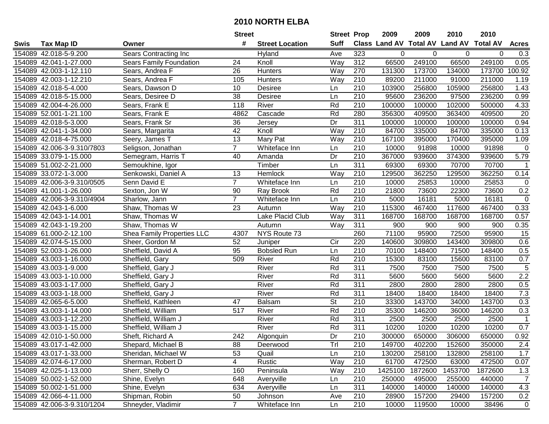|      |                            |                            | <b>Street</b>  |                        | <b>Street Prop</b>       |                  | 2009                           | 2009    | 2010    | 2010            |                  |
|------|----------------------------|----------------------------|----------------|------------------------|--------------------------|------------------|--------------------------------|---------|---------|-----------------|------------------|
| Swis | <b>Tax Map ID</b>          | Owner                      | #              | <b>Street Location</b> | <b>Suff</b>              |                  | Class Land AV Total AV Land AV |         |         | <b>Total AV</b> | <b>Acres</b>     |
|      | 154089 42.018-5-9.200      | Sears Contracting Inc      |                | Hyland                 | Ave                      | 323              | 0                              | 0       | 0       | 0               | 0.3              |
|      | 154089 42.041-1-27.000     | Sears Family Foundation    | 24             | Knoll                  | Way                      | 312              | 66500                          | 249100  | 66500   | 249100          | 0.05             |
|      | 154089 42.003-1-12.110     | Sears, Andrea F            | 26             | <b>Hunters</b>         | Way                      | 270              | 131300                         | 173700  | 134000  | 173700          | 100.92           |
|      | 154089 42.003-1-12.210     | Sears, Andrea F            | 105            | <b>Hunters</b>         | Way                      | 210              | 89200                          | 211000  | 91000   | 211000          | 1.19             |
|      | 154089 42.018-5-4.000      | Sears, Dawson D            | 10             | <b>Desiree</b>         | Ln                       | 210              | 103900                         | 256800  | 105900  | 256800          | 1.43             |
|      | 154089 42.018-5-15.000     | Sears, Desiree D           | 38             | <b>Desiree</b>         | Ln                       | $\overline{210}$ | 95600                          | 236200  | 97500   | 236200          | 0.99             |
|      | 154089 42.004-4-26.000     | Sears, Frank E             | 118            | River                  | Rd                       | 210              | 100000                         | 100000  | 102000  | 500000          | 4.33             |
|      | 154089 52.001-1-21.100     | Sears, Frank E             | 4862           | Cascade                | Rd                       | 280              | 356300                         | 409500  | 363400  | 409500          | $\overline{20}$  |
|      | 154089 42.018-5-3.000      | Sears, Frank Sr            | 36             | Jersey                 | Dr                       | 311              | 100000                         | 100000  | 100000  | 100000          | 0.94             |
|      | 154089 42.041-1-34.000     | Sears, Margarita           | 42             | Knoll                  | Way                      | 210              | 84700                          | 335000  | 84700   | 335000          | 0.13             |
|      | 154089 42.018-4-75.000     | Seery, James T             | 13             | Mary Pat               | Way                      | 210              | 167100                         | 395000  | 170400  | 395000          | 1.09             |
|      | 154089 42.006-3-9.310/7803 | Seligson, Jonathan         | $\overline{7}$ | Whiteface Inn          | Ln                       | 210              | 10000                          | 91898   | 10000   | 91898           | $\mathbf 0$      |
|      | 154089 33.079-1-15.000     | Semegram, Harris T         | 40             | Amanda                 | Dr                       | 210              | 367000                         | 939600  | 374300  | 939600          | 5.79             |
|      | 154089 51.002-2-21.000     | Semoukhine, Igor           |                | Timber                 | Ln                       | 311              | 69300                          | 69300   | 70700   | 70700           | $\mathbf 1$      |
|      | 154089 33.072-1-3.000      | Senkowski, Daniel A        | 13             | Hemlock                | Way                      | 210              | 129500                         | 362250  | 129500  | 362250          | 0.14             |
|      | 154089 42.006-3-9.310/0505 | Senn David E               | $\overline{7}$ | Whiteface Inn          | Ln                       | 210              | 10000                          | 25853   | 10000   | 25853           | 0                |
|      | 154089 41.001-1-26.000     | Sexton, Jon W              | 90             | Ray Brook              | Rd                       | $\overline{210}$ | 21800                          | 73600   | 22300   | 73600           | 0.2              |
|      | 154089 42.006-3-9.310/4904 | Sharlow, Jann              | $\overline{7}$ | Whiteface Inn          | Ln                       | 210              | 5000                           | 16181   | 5000    | 16181           | $\mathsf 0$      |
|      | 154089 42.043-1-6.000      | Shaw, Thomas W             | 23             | Autumn                 | Way                      | 210              | 115300                         | 467400  | 117600  | 467400          | 0.33             |
|      | 154089 42.043-1-14.001     | Shaw, Thomas W             |                | Lake Placid Club       | Way                      | 311              | 168700                         | 168700  | 168700  | 168700          | 0.57             |
|      | 154089 42.043-1-19.200     | Shaw, Thomas W             |                | Autumn                 | Way                      | 311              | 900                            | 900     | 900     | 900             | 0.35             |
|      | 154089 61.000-2-12.100     | Shea Family Properties LLC | 4307           | NYS Route 73           |                          | 260              | 71100                          | 95900   | 72500   | 95900           | 15               |
|      | 154089 42.074-5-15.000     | Sheer, Gordon M            | 52             | Juniper                | Cir                      | 220              | 140600                         | 309800  | 143400  | 309800          | 0.6              |
|      | 154089 52.003-1-26.000     | Sheffield, David A         | 95             | <b>Bobsled Run</b>     | Ln                       | 210              | 70100                          | 148400  | 71500   | 148400          | 0.5              |
|      | 154089 43.003-1-16.000     | Sheffield, Gary            | 509            | River                  | Rd                       | $\overline{210}$ | 15300                          | 83100   | 15600   | 83100           | 0.7              |
|      | 154089 43.003-1-9.000      | Sheffield, Gary J          |                | River                  | Rd                       | 311              | 7500                           | 7500    | 7500    | 7500            | 5                |
|      | 154089 43.003-1-10.000     | Sheffield, Gary J          |                | River                  | Rd                       | 311              | 5600                           | 5600    | 5600    | 5600            | 2.2              |
|      | 154089 43.003-1-17.000     | Sheffield, Gary J          |                | River                  | Rd                       | 311              | 2800                           | 2800    | 2800    | 2800            | 0.5              |
|      | 154089 43.003-1-18.000     | Sheffield, Gary J          |                | River                  | Rd                       | $\overline{311}$ | 18400                          | 18400   | 18400   | 18400           | 7.3              |
|      | 154089 42.065-6-5.000      | Sheffield, Kathleen        | 47             | <b>Balsam</b>          | $\overline{\mathsf{St}}$ | $\overline{210}$ | 33300                          | 143700  | 34000   | 143700          | 0.3              |
|      | 154089 43.003-1-14.000     | Sheffield, William         | 517            | River                  | Rd                       | $\overline{210}$ | 35300                          | 146200  | 36000   | 146200          | 0.3              |
|      | 154089 43.003-1-12.200     | Sheffield, William J       |                | River                  | Rd                       | 311              | 2500                           | 2500    | 2500    | 2500            | $\overline{1}$   |
|      | 154089 43.003-1-15.000     | Sheffield, William J       |                | River                  | Rd                       | 311              | 10200                          | 10200   | 10200   | 10200           | $\overline{0.7}$ |
|      | 154089 42.010-1-50.000     | Sheft, Richard A           | 242            | Algonquin              | $\overline{Dr}$          | $\overline{210}$ | 300000                         | 650000  | 306000  | 650000          | 0.92             |
|      | 154089 43.017-1-42.000     | Shepard, Michael B         | 88             | Deerwood               | l ri                     | 210              | 149700                         | 402200  | 152600  | 350000          | 2.4              |
|      | 154089 43.017-1-33.000     | Sheridan, Michael W        | 53             | Quail                  | Ln                       | 210              | 130200                         | 258100  | 132800  | 258100          | 1.7              |
|      | 154089 42.074-6-17.000     | Sherman, Robert D          | 4              | Rustic                 | Way                      | 210              | 61700                          | 472500  | 63000   | 472500          | 0.07             |
|      | 154089 42.025-1-13.000     | Sherr, Shelly O            | 160            | Peninsula              | Way                      | 210              | 1425100                        | 1872600 | 1453700 | 1872600         | 1.3              |
|      | 154089 50.002-1-52.000     | Shine, Evelyn              | 648            | Averyville             | Ln                       | 210              | 250000                         | 495000  | 255000  | 440000          | $\overline{7}$   |
|      | 154089 50.002-1-51.000     | Shine, Evelyn              | 634            | Averyville             | Ln                       | 311              | 140000                         | 140000  | 140000  | 140000          | 4.3              |
|      | 154089 42.066-4-11.000     | Shipman, Robin             | 50             | Johnson                | Ave                      | 210              | 28900                          | 157200  | 29400   | 157200          | 0.2              |
|      | 154089 42.006-3-9.310/1204 | Shneyder, Vladimir         | $\overline{7}$ | Whiteface Inn          | Ln                       | 210              | 10000                          | 119500  | 10000   | 38496           | $\mathbf 0$      |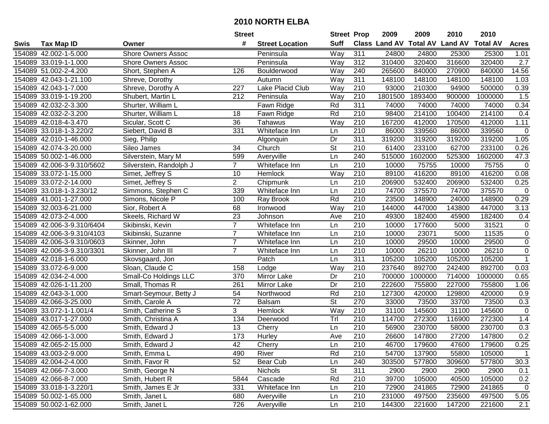|      |                            |                           | <b>Street</b>   |                        | <b>Street Prop</b>       |                  | 2009                          | 2009    | 2010           | 2010            |              |
|------|----------------------------|---------------------------|-----------------|------------------------|--------------------------|------------------|-------------------------------|---------|----------------|-----------------|--------------|
| Swis | <b>Tax Map ID</b>          | Owner                     | #               | <b>Street Location</b> | <b>Suff</b>              |                  | <b>Class Land AV Total AV</b> |         | <b>Land AV</b> | <b>Total AV</b> | <b>Acres</b> |
|      | 154089 42.002-1-5.000      | <b>Shore Owners Assoc</b> |                 | Peninsula              | Way                      | 311              | 24800                         | 24800   | 25300          | 25300           | 1.01         |
|      | 154089 33.019-1-1.000      | <b>Shore Owners Assoc</b> |                 | Peninsula              | Way                      | 312              | 310400                        | 320400  | 316600         | 320400          | 2.7          |
|      | 154089 51.002-2-4.200      | Short, Stephen A          | 126             | Boulderwood            | Way                      | 240              | 265600                        | 840000  | 270900         | 840000          | 14.56        |
|      | 154089 42.043-1-21.100     | Shreve, Dorothy           |                 | Autumn                 | Way                      | 311              | 148100                        | 148100  | 148100         | 148100          | 1.03         |
|      | 154089 42.043-1-7.000      | Shreve, Dorothy A         | 227             | Lake Placid Club       | Way                      | 210              | 93000                         | 210300  | 94900          | 500000          | 0.39         |
|      | 154089 33.019-1-19.200     | Shubert, Martin L         | 212             | Peninsula              | Way                      | 210              | 1801500                       | 1893400 | 900000         | 1000000         | 1.5          |
|      | 154089 42.032-2-3.300      | Shurter, William L        |                 | Fawn Ridge             | Rd                       | 311              | 74000                         | 74000   | 74000          | 74000           | 0.34         |
|      | 154089 42.032-2-3.200      | Shurter, William L        | 18              | Fawn Ridge             | Rd                       | $\overline{210}$ | 98400                         | 214100  | 100400         | 214100          | 0.4          |
|      | 154089 42.018-4-3.470      | Sicular, Scott C          | 36              | Tahawus                | Way                      | $\overline{210}$ | 167200                        | 412000  | 170500         | 412000          | 1.11         |
|      | 154089 33.018-1-3.220/2    | Siebert, David B          | 331             | Whiteface Inn          | Ln                       | 210              | 86000                         | 339560  | 86000          | 339560          | $\mathbf 0$  |
|      | 154089 42.010-1-46.000     | Sieg, Philip              |                 | Algonquin              | Dr                       | 311              | 319200                        | 319200  | 319200         | 319200          | 1.05         |
|      | 154089 42.074-3-20.000     | Sileo James               | 34              | Church                 | St                       | 210              | 61400                         | 233100  | 62700          | 233100          | 0.26         |
|      | 154089 50.002-1-46.000     | Silverstein, Mary M       | 599             | Averyville             | Ln                       | 240              | 515000                        | 1602000 | 525300         | 1602000         | 47.3         |
|      | 154089 42.006-3-9.310/5602 | Silverstein, Randolph J   | $\overline{7}$  | Whiteface Inn          | Ln                       | 210              | 10000                         | 75755   | 10000          | 75755           | $\mathbf 0$  |
|      | 154089 33.072-1-15.000     | Simet, Jeffrey S          | 10              | Hemlock                | Way                      | 210              | 89100                         | 416200  | 89100          | 416200          | 0.08         |
|      | 154089 33.072-2-14.000     | Simet, Jeffrey S          | $\overline{c}$  | Chipmunk               | Ln                       | 210              | 206900                        | 532400  | 206900         | 532400          | 0.25         |
|      | 154089 33.018-1-3.230/12   | Simmons, Stephen C        | 339             | Whiteface Inn          | Ln                       | $\overline{210}$ | 74700                         | 375570  | 74700          | 375570          | 0            |
|      | 154089 41.001-1-27.000     | Simons, Nicole P          | 100             | Ray Brook              | Rd                       | 210              | 23500                         | 148900  | 24000          | 148900          | 0.29         |
|      | 154089 32.003-6-21.000     | Sior, Robert A            | 68              | Ironwood               | Way                      | 210              | 144000                        | 447000  | 143800         | 447000          | 3.13         |
|      | 154089 42.073-2-4.000      | Skeels, Richard W         | 23              | Johnson                | Ave                      | 210              | 49300                         | 182400  | 45900          | 182400          | 0.4          |
|      | 154089 42.006-3-9.310/6404 | Skibinski, Kevin          | $\overline{7}$  | Whiteface Inn          | Ln                       | 210              | 10000                         | 177600  | 5000           | 31521           | $\mathbf 0$  |
|      | 154089 42.006-3-9.310/4103 | Skibinski, Suzanne        | $\overline{7}$  | Whiteface Inn          | Ln                       | 210              | 10000                         | 23071   | 5000           | 11535           | $\mathbf 0$  |
|      | 154089 42.006-3-9.310/0603 | Skinner, John             | $\overline{7}$  | Whiteface Inn          | Ln                       | 210              | 10000                         | 29500   | 10000          | 29500           | $\mathbf 0$  |
|      | 154089 42.006-3-9.310/3301 | Skinner, John III         | $\overline{7}$  | Whiteface Inn          | Ln                       | 210              | 10000                         | 26210   | 10000          | 26210           | $\mathbf 0$  |
|      | 154089 42.018-1-6.000      | Skovsgaard, Jon           |                 | Patch                  | Ln                       | $\overline{311}$ | 105200                        | 105200  | 105200         | 105200          | $\mathbf{1}$ |
|      | 154089 33.072-6-9.000      | Sloan, Claude C           | 158             | Lodge                  | Way                      | 210              | 237640                        | 892700  | 242400         | 892700          | 0.03         |
|      | 154089 42.034-2-4.000      | Small-Co Holdings LLC     | 370             | Mirror Lake            | Dr                       | 210              | 700000                        | 1000000 | 714000         | 1000000         | 0.65         |
|      | 154089 42.026-1-11.200     | Small, Thomas R           | 261             | Mirror Lake            | Dr                       | 210              | 222600                        | 755800  | 227000         | 755800          | 1.06         |
|      | 154089 42.043-3-1.000      | Smart-Seymour, Betty J    | 54              | Northwood              | Rd                       | 210              | 127300                        | 420000  | 129800         | 420000          | 0.9          |
|      | 154089 42.066-3-25.000     | Smith, Carole A           | $\overline{72}$ | <b>Balsam</b>          | $\overline{\mathsf{St}}$ | 270              | 33000                         | 73500   | 33700          | 73500           | 0.3          |
|      | 154089 33.072-1-1.001/4    | Smith, Catherine S        | 3               | Hemlock                | Way                      | 210              | 31100                         | 145600  | 31100          | 145600          | $\mathbf 0$  |
|      | 154089 43.017-1-27.000     | Smith, Christina A        | 134             | Deerwood               | Tr                       | 210              | 114700                        | 272300  | 116900         | 272300          | 1.4          |
|      | 154089 42.065-5-5.000      | Smith, Edward J           | 13              | Cherry                 | Ln                       | 210              | 56900                         | 230700  | 58000          | 230700          | 0.3          |
|      | 154089 42.066-1-3.000      | Smith, Edward J           | 173             | Hurley                 | Ave                      | $\overline{210}$ | 26600                         | 147800  | 27200          | 147800          | 0.2          |
|      | 154089 42.065-2-15.000     | Smith, Edward J           | 42              | Cherry                 | Ln                       | 210              | 46700                         | 179600  | 47600          | 179600          | 0.25         |
|      | 154089 43.003-2-9.000      | Smith, Emma L             | 490             | River                  | Rd                       | 210              | 54700                         | 137900  | 55800          | 105000          | $\mathbf{1}$ |
|      | 154089 42.004-2-4.000      | Smith, Favor R            | 52              | Bear Cub               | Ln                       | 240              | 303500                        | 577800  | 309600         | 577800          | 30.3         |
|      | 154089 42.066-7-3.000      | Smith, George N           |                 | <b>Nichols</b>         | <b>St</b>                | 311              | 2900                          | 2900    | 2900           | 2900            | 0.1          |
|      | 154089 42.066-8-7.000      | Smith, Hubert R           | 5844            | Cascade                | Rd                       | 210              | 39700                         | 105000  | 40500          | 105000          | 0.2          |
|      | 154089 33.018-1-3.220/1    | Smith, James E Jr         | 331             | Whiteface Inn          | Ln                       | 210              | 72900                         | 241865  | 72900          | 241865          | $\mathbf 0$  |
|      | 154089 50.002-1-65.000     | Smith, Janet L            | 680             | Averyville             | Ln                       | 210              | 231000                        | 497500  | 235600         | 497500          | 5.05         |
|      | 154089 50.002-1-62.000     | Smith, Janet L            | 726             | Averyville             | Ln                       | 210              | 144300                        | 221600  | 147200         | 221600          | 2.1          |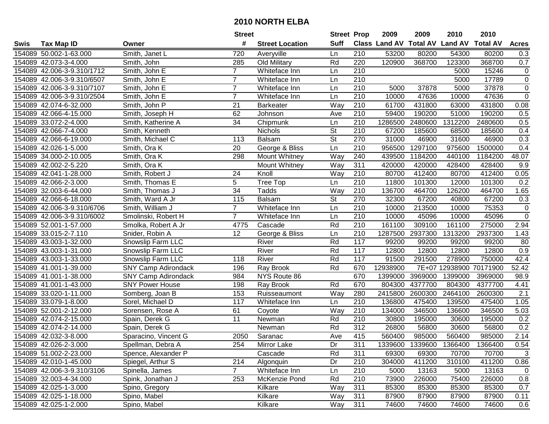|      |                            |                            | <b>Street</b>   |                        | <b>Street Prop</b>       |                  | 2009                          | 2009            | 2010           | 2010            |                |
|------|----------------------------|----------------------------|-----------------|------------------------|--------------------------|------------------|-------------------------------|-----------------|----------------|-----------------|----------------|
| Swis | <b>Tax Map ID</b>          | Owner                      | #               | <b>Street Location</b> | <b>Suff</b>              |                  | <b>Class Land AV Total AV</b> |                 | <b>Land AV</b> | <b>Total AV</b> | <b>Acres</b>   |
|      | 154089 50.002-1-63.000     | Smith, Janet L             | 720             | Averyville             | Ln                       | 210              | 53200                         | 80200           | 54300          | 80200           | 0.3            |
|      | 154089 42.073-3-4.000      | Smith, John                | 285             | Old Military           | Rd                       | 220              | 120900                        | 368700          | 123300         | 368700          | 0.7            |
|      | 154089 42.006-3-9.310/1712 | Smith, John E              | $\overline{7}$  | Whiteface Inn          | Ln                       | 210              |                               |                 | 5000           | 15246           | 0              |
|      | 154089 42.006-3-9.310/6507 | Smith, John E              | $\overline{7}$  | Whiteface Inn          | Ln                       | 210              |                               |                 | 5000           | 17789           | $\pmb{0}$      |
|      | 154089 42.006-3-9.310/7107 | Smith, John E              | $\overline{7}$  | Whiteface Inn          | Ln                       | 210              | 5000                          | 37878           | 5000           | 37878           | $\pmb{0}$      |
|      | 154089 42.006-3-9.310/2504 | Smith, John E              | $\overline{7}$  | Whiteface Inn          | Ln                       | 210              | 10000                         | 47636           | 10000          | 47636           | $\overline{0}$ |
|      | 154089 42.074-6-32.000     | Smith, John P              | 21              | <b>Barkeater</b>       | Way                      | 210              | 61700                         | 431800          | 63000          | 431800          | 0.08           |
|      | 154089 42.066-4-15.000     | Smith, Joseph H            | 62              | Johnson                | Ave                      | 210              | 59400                         | 190200          | 51000          | 190200          | 0.5            |
|      | 154089 33.072-2-4.000      | Smith, Katherine A         | $\overline{34}$ | Chipmunk               | Ln                       | $\overline{210}$ | 1286500                       | 2480600         | 1312200        | 2480600         | 0.5            |
|      | 154089 42.066-7-4.000      | Smith, Kenneth             |                 | Nichols                | $\overline{\mathsf{St}}$ | 210              | 67200                         | 185600          | 68500          | 185600          | 0.4            |
|      | 154089 42.066-6-19.000     | Smith, Michael C           | 113             | Balsam                 | $\overline{\mathsf{St}}$ | 270              | 31000                         | 46900           | 31600          | 46900           | 0.3            |
|      | 154089 42.026-1-5.000      | Smith, Ora K               | 20              | George & Bliss         | Ln                       | 210              | 956500                        | 1297100         | 975600         | 1500000         | 0.4            |
|      | 154089 34.000-2-10.005     | Smith, Ora K               | 298             | Mount Whitney          | Way                      | 240              | 439500                        | 1184200         | 440100         | 1184200         | 48.07          |
|      | 154089 42.002-2-5.220      | Smith, Ora K               |                 | Mount Whitney          | Way                      | 311              | 420000                        | 420000          | 428400         | 428400          | 9.9            |
|      | 154089 42.041-1-28.000     | Smith, Robert J            | 24              | Knoll                  | Way                      | 210              | 80700                         | 412400          | 80700          | 412400          | 0.05           |
|      | 154089 42.066-2-3.000      | Smith, Thomas E            | 5               | Tree Top               | Ln                       | 210              | 11800                         | 101300          | 12000          | 101300          | 0.2            |
|      | 154089 32.003-6-44.000     | Smith, Thomas J            | 34              | Tadds                  | Way                      | 210              | 136700                        | 464700          | 126200         | 464700          | 1.65           |
|      | 154089 42.066-6-18.000     | Smith, Ward A Jr           | 115             | <b>Balsam</b>          | $\overline{\mathsf{St}}$ | 270              | 32300                         | 67200           | 40800          | 67200           | 0.3            |
|      | 154089 42.006-3-9.310/6706 | Smith, William J           | $\overline{7}$  | Whiteface Inn          | Ln                       | 210              | 10000                         | 213500          | 10000          | 75353           | $\pmb{0}$      |
|      | 154089 42.006-3-9.310/6002 | Smolinski, Robert H        | $\overline{7}$  | Whiteface Inn          | Ln                       | 210              | 10000                         | 45096           | 10000          | 45096           | $\pmb{0}$      |
|      | 154089 52.001-1-57.000     | Smolka, Robert A Jr        | 4775            | Cascade                | Rd                       | 210              | 161100                        | 309100          | 161100         | 275000          | 2.94           |
|      | 154089 33.015-2-7.110      | Snider, Robin A            | 12              | George & Bliss         | Ln                       | 210              | 1287500                       | 2937300         | 1313200        | 2937300         | 1.43           |
|      | 154089 43.003-1-32.000     | Snowslip Farm LLC          |                 | River                  | Rd                       | 117              | 99200                         | 99200           | 99200          | 99200           | 80             |
|      | 154089 43.003-1-31.000     | Snowslip Farm LLC          |                 | River                  | Rd                       | 117              | 12800                         | 12800           | 12800          | 12800           | 0.9            |
|      | 154089 43.003-1-33.000     | Snowslip Farm LLC          | 118             | River                  | Rd                       | 117              | 91500                         | 291500          | 278900         | 750000          | 42.4           |
|      | 154089 41.001-1-39.000     | <b>SNY Camp Adirondack</b> | 196             | Ray Brook              | Rd                       | 670              | 12938900                      |                 | 7E+07 12938900 | 70171900        | 52.42          |
|      | 154089 41.001-1-38.000     | <b>SNY Camp Adirondack</b> | 984             | NYS Route 86           |                          | 670              | 1399000                       | 3969000         | 1399000        | 3969000         | 98.9           |
|      | 154089 41.001-1-43.000     | <b>SNY Power House</b>     | 198             | Ray Brook              | Rd                       | 670              | 804300                        | 4377700         | 804300         | 4377700         | 4.41           |
|      | 154089 33.020-1-11.000     | Somberg, Joan B            | 153             | Ruisseaumont           | Way                      | 280              | 2415800                       | 2600300         | 2464100        | 2600300         | 2.1            |
|      | 154089 33.079-1-8.000      | Sorel, Michael D           | 117             | Whiteface Inn          | Ln                       | $\overline{210}$ | 136800                        | 475400          | 139500         | 475400          | 1.05           |
|      | 154089 52.001-2-12.000     | Sorensen, Rose A           | 61              | Coyote                 | Way                      | $\overline{210}$ | 134000                        | 346500          | 136600         | 346500          | 5.03           |
|      | 154089 42.074-2-15.000     | Spain, Derek G             | 11              | Newman                 | Rd                       | 210              | 30800                         | 195000          | 30600          | 195000          | 0.2            |
|      | 154089 42.074-2-14.000     | Spain, Derek G             |                 | Newman                 | Rd                       | 312              | 26800                         | 56800           | 30600          | 56800           | 0.2            |
|      | 154089 42.032-3-8.000      | Sparacino, Vincent G       | 2050            | Saranac                | Ave                      | 415              | 560400                        | 985000          | 560400         | 985000          | 2.14           |
|      | 154089 42.026-2-3.000      | Spellman, Debra A          | 254             | Mirror Lake            | Dr                       | 311              |                               | 1339600 1339600 | 1366400        | 1366400         | 0.54           |
|      | 154089 51.002-2-23.000     | Spence, Alexander P        |                 | Cascade                | Rd                       | 311              | 69300                         | 69300           | 70700          | 70700           | 3              |
|      | 154089 42.010-1-45.000     | Spiegel, Arthur S          | 214             | Algonquin              | Dr                       | 210              | 304000                        | 411200          | 310100         | 411200          | 0.86           |
|      | 154089 42.006-3-9.310/3106 | Spinella, James            | $\overline{7}$  | Whiteface Inn          | Ln                       | 210              | 5000                          | 13163           | 5000           | 13163           | $\mathbf 0$    |
|      | 154089 32.003-4-34.000     | Spink, Jonathan J          | 253             | McKenzie Pond          | Rd                       | 210              | 73900                         | 226000          | 75400          | 226000          | 0.8            |
|      | 154089 42.025-1-3.000      | Spino, Gregory             |                 | Kilkare                | Way                      | 311              | 85300                         | 85300           | 85300          | 85300           | 0.7            |
|      | 154089 42.025-1-18.000     | Spino, Mabel               |                 | Kilkare                | Way                      | 311              | 87900                         | 87900           | 87900          | 87900           | 0.11           |
|      | 154089 42.025-1-2.000      | Spino, Mabel               |                 | Kilkare                | Way                      | 311              | 74600                         | 74600           | 74600          | 74600           | 0.6            |
|      |                            |                            |                 |                        |                          |                  |                               |                 |                |                 |                |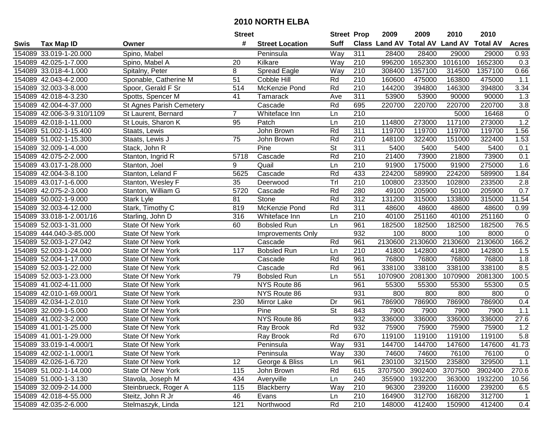|      |                            |                          | <b>Street</b>   |                        | <b>Street Prop</b> |                  | 2009                          | 2009    | 2010           | 2010            |                  |
|------|----------------------------|--------------------------|-----------------|------------------------|--------------------|------------------|-------------------------------|---------|----------------|-----------------|------------------|
| Swis | <b>Tax Map ID</b>          | Owner                    | #               | <b>Street Location</b> | <b>Suff</b>        |                  | <b>Class Land AV Total AV</b> |         | <b>Land AV</b> | <b>Total AV</b> | <b>Acres</b>     |
|      | 154089 33.019-1-20.000     | Spino, Mabel             |                 | Peninsula              | Way                | 311              | 28400                         | 28400   | 29000          | 29000           | 0.93             |
|      | 154089 42.025-1-7.000      | Spino, Mabel A           | 20              | Kilkare                | Way                | 210              | 996200                        | 1652300 | 1016100        | 1652300         | 0.3              |
|      | 154089 33.018-4-1.000      | Spitalny, Peter          | 8               | <b>Spread Eagle</b>    | Way                | 210              | 308400                        | 1357100 | 314500         | 1357100         | 0.66             |
|      | 154089 42.043-4-2.000      | Sponable, Catherine M    | $\overline{51}$ | <b>Cobble Hill</b>     | Rd                 | 210              | 160600                        | 475000  | 163800         | 475000          | 1.1              |
|      | 154089 32.003-3-8.000      | Spoor, Gerald F Sr       | 514             | McKenzie Pond          | Rd                 | 210              | 144200                        | 394800  | 146300         | 394800          | 3.34             |
|      | 154089 42.018-4-3.230      | Spotts, Spencer M        | 41              | Tamarack               | Ave                | 311              | 53900                         | 53900   | 90000          | 90000           | 1.3              |
|      | 154089 42.004-4-37.000     | St Agnes Parish Cemetery |                 | Cascade                | Rd                 | 695              | 220700                        | 220700  | 220700         | 220700          | $\overline{3.8}$ |
|      | 154089 42.006-3-9.310/1109 | St Laurent, Bernard      | $\overline{7}$  | Whiteface Inn          | Ln                 | 210              |                               |         | 5000           | 16468           | $\mathbf 0$      |
|      | 154089 42.018-1-11.000     | St Louis, Sharon K       | 95              | Patch                  | Ln                 | $\overline{210}$ | 114800                        | 273000  | 117100         | 273000          | 1.2              |
|      | 154089 51.002-1-15.400     | Staats, Lewis            |                 | John Brown             | Rd                 | 311              | 119700                        | 119700  | 119700         | 119700          | 1.56             |
|      | 154089 51.002-1-15.300     | Staats, Lewis J          | 75              | John Brown             | Rd                 | 210              | 148100                        | 322400  | 151000         | 322400          | 1.53             |
|      | 154089 32.009-1-4.000      | Stack, John R            |                 | Pine                   | St                 | 311              | 5400                          | 5400    | 5400           | 5400            | 0.1              |
|      | 154089 42.075-2-2.000      | Stanton, Ingrid R        | 5718            | Cascade                | Rd                 | $\overline{210}$ | 21400                         | 73900   | 21800          | 73900           | 0.1              |
|      | 154089 43.017-1-28.000     | Stanton, Joel            | 9               | Quail                  | Ln                 | 210              | 91900                         | 175000  | 91900          | 275000          | 1.6              |
|      | 154089 42.004-3-8.100      | Stanton, Leland F        | 5625            | Cascade                | Rd                 | 433              | 224200                        | 589900  | 224200         | 589900          | 1.84             |
|      | 154089 43.017-1-6.000      | Stanton, Wesley F        | 35              | Deerwood               | Trl                | 210              | 100800                        | 233500  | 102800         | 233500          | 2.8              |
|      | 154089 42.075-2-3.000      | Stanton, William G       | 5720            | Cascade                | Rd                 | 280              | 49100                         | 205900  | 50100          | 205900          | 0.7              |
|      | 154089 50.002-1-9.000      | Stark Lyle               | 81              | Stone                  | Rd                 | 312              | 131200                        | 315000  | 133800         | 315000          | 11.54            |
|      | 154089 32.003-4-12.000     | Stark, Timothy C         | 819             | McKenzie Pond          | Rd                 | 311              | 48600                         | 48600   | 48600          | 48600           | 0.99             |
|      | 154089 33.018-1-2.001/16   | Starling, John D         | 316             | Whiteface Inn          | Ln                 | 210              | 40100                         | 251160  | 40100          | 251160          | 0                |
|      | 154089 52.003-1-31.000     | State Of New York        | 60              | <b>Bobsled Run</b>     | Ln                 | 961              | 182500                        | 182500  | 182500         | 182500          | 76.5             |
|      | 154089 444.040-3-85.000    | <b>State Of New York</b> |                 | Improvements Only      |                    | 932              | 100                           | 8000    | 100            | 8000            | $\mathbf 0$      |
|      | 154089 52.003-1-27.042     | <b>State Of New York</b> |                 | Cascade                | Rd                 | 961              | 2130600                       | 2130600 | 2130600        | 2130600         | 166.2            |
|      | 154089 52.003-1-24.000     | <b>State Of New York</b> | 117             | <b>Bobsled Run</b>     | Ln                 | 210              | 41800                         | 142800  | 41800          | 142800          | 1.5              |
|      | 154089 52.004-1-17.000     | <b>State Of New York</b> |                 | Cascade                | Rd                 | 961              | 76800                         | 76800   | 76800          | 76800           | 1.8              |
|      | 154089 52.003-1-22.000     | <b>State Of New York</b> |                 | Cascade                | Rd                 | 961              | 338100                        | 338100  | 338100         | 338100          | 8.5              |
|      | 154089 52.003-1-23.000     | <b>State Of New York</b> | 79              | <b>Bobsled Run</b>     | Ln                 | 551              | 1070900                       | 2081300 | 1070900        | 2081300         | 100.5            |
|      | 154089 41.002-4-11.000     | <b>State Of New York</b> |                 | NYS Route 86           |                    | 961              | 55300                         | 55300   | 55300          | 55300           | 0.5              |
|      | 154089 42.010-1-69.000/1   | <b>State Of New York</b> |                 | NYS Route 86           |                    | 931              | 800                           | 800     | 800            | 800             | $\mathbf 0$      |
|      | 154089 42.034-1-2.010      | State Of New York        | 230             | Mirror Lake            | Dr                 | 961              | 786900                        | 786900  | 786900         | 786900          | 0.4              |
|      | 154089 32.009-1-5.000      | <b>State Of New York</b> |                 | Pine                   | $\overline{St}$    | 843              | 7900                          | 7900    | 7900           | 7900            | 1.1              |
|      | 154089 41.002-3-2.000      | State Of New York        |                 | NYS Route 86           |                    | 932              | 336000                        | 336000  | 336000         | 336000          | 27.6             |
|      | 154089 41.001-1-25.000     | <b>State Of New York</b> |                 | Ray Brook              | Rd                 | 932              | 75900                         | 75900   | 75900          | 75900           | 1.2              |
|      | 154089 41.001-1-29.000     | <b>State Of New York</b> |                 | Ray Brook              | Rd                 | 670              | 119100                        | 119100  | 119100         | 119100          | 5.8              |
|      | 154089 33.019-1-4.000/1    | State Of New York        |                 | Peninsula              | Way                | 931              | 144700                        | 144700  | 147600         | 147600          | 41.73            |
|      | 154089 42.002-1-1.000/1    | State Of New York        |                 | Peninsula              | Way                | 330              | 74600                         | 74600   | 76100          | 76100           | $\mathbf 0$      |
|      | 154089 42.026-1-6.720      | State Of New York        | 12              | George & Bliss         | Ln                 | 961              | 230100                        | 321500  | 235800         | 329500          | 1.1              |
|      | 154089 51.002-1-14.000     | State Of New York        | 115             | John Brown             | Rd                 | 615              | 3707500                       | 3902400 | 3707500        | 3902400         | 270.6            |
|      | 154089 51.000-1-3.130      | Stavola, Joseph M        | 434             | Averyville             | Ln                 | 240              | 355900                        | 1932200 | 363000         | 1932200         | 10.56            |
|      | 154089 32.009-2-14.000     | Steinbrueck, Roger A     | 115             | Blackberry             | Way                | 210              | 96300                         | 239200  | 116000         | 239200          | 6.5              |
|      | 154089 42.018-4-55.000     | Steitz, John R Jr        | 46              | Evans                  | Ln                 | 210              | 164900                        | 312700  | 168200         | 312700          | -1               |
|      | 154089 42.035-2-6.000      | Stelmaszyk, Linda        | 121             | Northwood              | Rd                 | 210              | 148000                        | 412400  | 150900         | 412400          | 0.4              |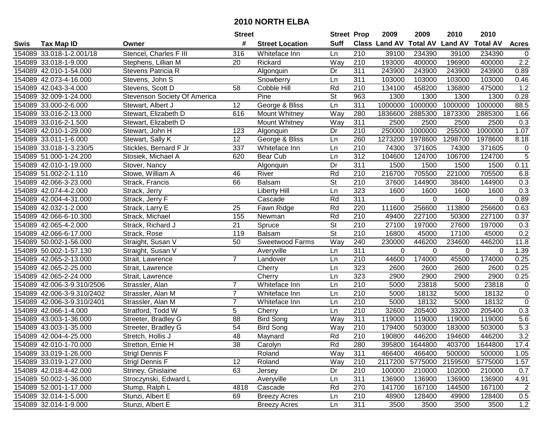|      |                            |                              | <b>Street</b>   |                        | <b>Street Prop</b>       |                  | 2009          | 2009            | 2010           | 2010            |                |
|------|----------------------------|------------------------------|-----------------|------------------------|--------------------------|------------------|---------------|-----------------|----------------|-----------------|----------------|
| Swis | <b>Tax Map ID</b>          | Owner                        | #               | <b>Street Location</b> | <b>Suff</b>              |                  | Class Land AV | <b>Total AV</b> | <b>Land AV</b> | <b>Total AV</b> | <b>Acres</b>   |
|      | 154089 33.018-1-2.001/18   | Stencel, Charles F III       | 316             | Whiteface Inn          | Ln                       | 210              | 39100         | 234390          | 39100          | 234390          | $\mathbf 0$    |
|      | 154089 33.018-1-9.000      | Stephens, Lillian M          | 20              | Rickard                | Way                      | 210              | 193000        | 400000          | 196900         | 400000          | 2.2            |
|      | 154089 42.010-1-54.000     | Stevens Patricia R           |                 | Algonquin              | Dr                       | 311              | 243900        | 243900          | 243900         | 243900          | 0.89           |
|      | 154089 42.073-4-16.000     | Stevens, John S              |                 | Snowberry              | Ln                       | 311              | 103000        | 103000          | 103000         | 103000          | 0.46           |
|      | 154089 42.043-3-4.000      | Stevens, Scott D             | 58              | Cobble Hill            | Rd                       | 210              | 134100        | 458200          | 136800         | 475000          | 1.2            |
|      | 154089 32.009-1-24.000     | Stevenson Society Of America |                 | Pine                   | $\overline{\mathsf{St}}$ | 963              | 1300          | 1300            | 1300           | 1300            | 0.28           |
|      | 154089 33.000-2-6.000      | Stewart, Albert J            | 12              | George & Bliss         | Ln                       | 311              | 1000000       | 1000000         | 1000000        | 1000000         | 88.5           |
|      | 154089 33.016-2-13.000     | Stewart, Elizabeth D         | 616             | Mount Whitney          | Way                      | 280              | 1836600       | 2885300         | 1873300        | 2885300         | 1.66           |
|      | 154089 33.016-2-1.500      | Stewart, Elizabeth D         |                 | Mount Whitney          | Way                      | 311              | 2500          | 2500            | 2500           | 2500            | 0.3            |
|      | 154089 42.010-1-29.000     | Stewart, John H              | 123             | Algonquin              | Dr                       | 210              | 250000        | 1000000         | 255000         | 1000000         | 1.07           |
|      | 154089 33.011-1-6.000      | Stewart, Sally K             | 12              | George & Bliss         | Ln                       | 260              | 1273200       | 1978600         | 1298700        | 1978600         | 8.18           |
|      | 154089 33.018-1-3.230/5    | Stickles, Bernard F Jr       | 337             | Whiteface Inn          | Ln                       | 210              | 74300         | 371605          | 74300          | 371605          | 0              |
|      | 154089 51.000-1-24.200     | Stosiek, Michael A           | 620             | Bear Cub               | Ln                       | $\overline{312}$ | 104600        | 124700          | 106700         | 124700          | $\overline{5}$ |
|      | 154089 42.010-1-19.000     | Stover, Nancy                |                 | Algonquin              | Dr                       | 311              | 1500          | 1500            | 1500           | 1500            | 0.11           |
|      | 154089 51.002-2-1.110      | Stowe, William A             | 46              | River                  | Rd                       | 210              | 216700        | 705500          | 221000         | 705500          | 6.8            |
|      | 154089 42.066-3-23.000     | Strack, Francis              | 66              | <b>Balsam</b>          | St                       | 210              | 37600         | 144900          | 38400          | 144900          | 0.3            |
|      | 154089 42.074-4-2.000      | Strack, Jerry                |                 | <b>Liberty Hill</b>    | Ln                       | 323              | 1600          | 1600            | 1600           | 1600            | 0.3            |
|      | 154089 42.004-4-31.000     | Strack, Jerry F              |                 | Cascade                | Rd                       | $\overline{311}$ | 0             | 0               | 0              | 0               | 0.89           |
|      | 154089 42.032-1-2.000      | Strack, Larry E              | 25              | Fawn Ridge             | Rd                       | 220              | 111600        | 256600          | 113800         | 256600          | 0.63           |
|      | 154089 42.066-6-10.300     | Strack, Michael              | 155             | Newman                 | Rd                       | 210              | 49400         | 227100          | 50300          | 227100          | 0.37           |
|      | 154089 42.065-4-2.000      | Strack, Richard J            | 21              | Spruce                 | $\overline{\mathsf{St}}$ | 210              | 27100         | 197000          | 27600          | 197000          | 0.3            |
|      | 154089 42.066-6-17.000     | Strack, Rose                 | 119             | Balsam                 | St                       | 210              | 16800         | 45000           | 17100          | 45000           | 0.2            |
|      | 154089 50.002-1-56.000     | Straight, Susan V            | 50              | Sweetwood Farms        | Way                      | 240              | 230000        | 446200          | 234600         | 446200          | 11.8           |
|      | 154089 50.002-1-57.130     | Straight, Susan V            |                 | Averyville             | Ln                       | 311              | 0             | 0               | 0              | 0               | 1.39           |
|      | 154089 42.065-2-13.000     | Strait, Lawrence             | $\overline{7}$  | Landover               | Ln                       | $\overline{210}$ | 44600         | 174000          | 45500          | 174000          | 0.25           |
|      | 154089 42.065-2-25.000     | Strait, Lawrence             |                 | Cherry                 | Ln                       | 323              | 2600          | 2600            | 2600           | 2600            | 0.25           |
|      | 154089 42.065-2-24.000     | Strait, Lawrence             |                 | Cherry                 | Ln                       | $\overline{323}$ | 2900          | 2900            | 2900           | 2900            | 0.25           |
|      | 154089 42.006-3-9.310/2506 | Strassler, Alan              | 7               | Whiteface Inn          | Ln                       | 210              | 5000          | 23818           | 5000           | 23818           | $\pmb{0}$      |
|      | 154089 42.006-3-9.310/2402 | Strassler, Alan M            | $\overline{7}$  | Whiteface Inn          | Ln                       | 210              | 5000          | 18132           | 5000           | 18132           | $\overline{0}$ |
|      | 154089 42.006-3-9.310/2401 | Strassler, Alan M            | $\overline{7}$  | Whiteface Inn          | Ln                       | $\overline{210}$ | 5000          | 18132           | 5000           | 18132           | $\overline{0}$ |
|      | 154089 42.066-1-4.000      | Stratford, Todd W            | 5               | Cherry                 | Ln                       | 210              | 32600         | 205400          | 33200          | 205400          | 0.3            |
|      | 154089 43.003-1-36.000     | Streeter, Bradley G          | $\overline{88}$ | <b>Bird Song</b>       | Way                      | 311              | 119000        | 119000          | 119000         | 119000          | 5.6            |
|      | 154089 43.003-1-35.000     | Streeter, Bradley G          | 54              | <b>Bird Song</b>       | Way                      | $\overline{210}$ | 179400        | 503000          | 183000         | 503000          | 5.3            |
|      | 154089 42.004-4-25.000     | Stretch, Hollis J            | $\overline{48}$ | Maynard                | Rd                       | $\overline{210}$ | 190800        | 446200          | 194600         | 446200          | 3.2            |
|      | 154089 42.010-1-70.000     | Stretton, Ernie H            | 38              | Carolyn                | Rd                       | 280              | 395800        | 1644800         | 403700         | 1644800         | 17.4           |
|      | 154089 33.019-1-26.000     | Strigl Dennis F              |                 | Roland                 | Way                      | 311              | 466400        | 466400          | 500000         | 500000          | 1.05           |
|      | 154089 33.019-1-27.000     | <b>Strigl Dennis F</b>       | 12              | Roland                 | Way                      | 210              | 2117200       | 5775000         | 2159500        | 5775000         | 1.57           |
|      | 154089 42.018-4-42.000     | Striney, Ghislaine           | 63              | Jersey                 | Dr                       | 210              | 100000        | 210000          | 102000         | 210000          | 0.7            |
|      | 154089 50.002-1-36.000     | Stroczynski, Edward L        |                 | Averyville             | Ln                       | 311              | 136900        | 136900          | 136900         | 136900          | 4.91           |
|      | 154089 52.001-1-17.000     | Stump, Ralph L               | 4818            | Cascade                | Rd                       | 270              | 141700        | 167100          | 144500         | 167100          | $\overline{c}$ |
|      | 154089 32.014-1-5.000      | Stunzi, Albert E             | 69              | <b>Breezy Acres</b>    | Ln                       | 210              | 48900         | 128400          | 49900          | 128400          | 0.5            |
|      | 154089 32.014-1-9.000      | Stunzi, Albert E             |                 | <b>Breezy Acres</b>    | Ln                       | 311              | 3500          | 3500            | 3500           | 3500            | 1.2            |
|      |                            |                              |                 |                        |                          |                  |               |                 |                |                 |                |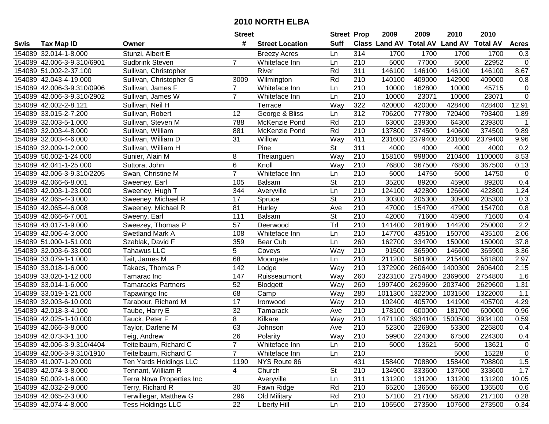|      |                            |                           | <b>Street</b>   |                        | <b>Street Prop</b>       |                  | 2009                          | 2009    | 2010           | 2010            |                  |
|------|----------------------------|---------------------------|-----------------|------------------------|--------------------------|------------------|-------------------------------|---------|----------------|-----------------|------------------|
| Swis | <b>Tax Map ID</b>          | Owner                     | #               | <b>Street Location</b> | <b>Suff</b>              |                  | <b>Class Land AV Total AV</b> |         | <b>Land AV</b> | <b>Total AV</b> | <b>Acres</b>     |
|      | 154089 32.014-1-8.000      | Stunzi, Albert E          |                 | <b>Breezy Acres</b>    | Ln                       | 314              | 1700                          | 1700    | 1700           | 1700            | 0.3              |
|      | 154089 42.006-3-9.310/6901 | Sudbrink Steven           | 7               | Whiteface Inn          | Ln                       | 210              | 5000                          | 77000   | 5000           | 22952           | $\pmb{0}$        |
|      | 154089 51.002-2-37.100     | Sullivan, Christopher     |                 | River                  | Rd                       | 311              | 146100                        | 146100  | 146100         | 146100          | 8.67             |
|      | 154089 42.043-4-19.000     | Sullivan, Christopher G   | 3009            | Wilmington             | Rd                       | 210              | 140100                        | 409000  | 142900         | 409000          | 0.8              |
|      | 154089 42.006-3-9.310/0906 | Sullivan, James F         | $\overline{7}$  | Whiteface Inn          | Ln                       | 210              | 10000                         | 162800  | 10000          | 45715           | $\pmb{0}$        |
|      | 154089 42.006-3-9.310/2902 | Sullivan, James W         | $\overline{7}$  | Whiteface Inn          | Ln                       | $\overline{210}$ | 10000                         | 23071   | 10000          | 23071           | $\overline{0}$   |
|      | 154089 42.002-2-8.121      | Sullivan, Neil H          |                 | Terrace                | Way                      | 322              | 420000                        | 420000  | 428400         | 428400          | 12.91            |
|      | 154089 33.015-2-7.200      | Sullivan, Robert          | $\overline{12}$ | George & Bliss         | Ln                       | 312              | 706200                        | 777800  | 720400         | 793400          | 1.89             |
|      | 154089 32.003-5-1.000      | Sullivan, Steven M        | 788             | McKenzie Pond          | Rd                       | $\overline{210}$ | 63000                         | 239300  | 64300          | 239300          | $\mathbf 1$      |
|      | 154089 32.003-4-8.000      | Sullivan, William         | 881             | McKenzie Pond          | Rd                       | 210              | 137800                        | 374500  | 140600         | 374500          | 9.89             |
|      | 154089 32.003-4-6.000      | Sullivan, William D       | 31              | Willow                 | Way                      | 411              | 231600                        | 2379400 | 231600         | 2379400         | 9.96             |
|      | 154089 32.009-1-2.000      | Sullivan, William H       |                 | Pine                   | St                       | 311              | 4000                          | 4000    | 4000           | 4000            | 0.2              |
|      | 154089 50.002-1-24.000     | Sunier, Alain M           | 8               | Theianguen             | Way                      | 210              | 158100                        | 998000  | 210400         | 1100000         | 8.53             |
|      | 154089 42.041-1-25.000     | Suttora, John             | 6               | Knoll                  | Way                      | 210              | 76800                         | 367500  | 76800          | 367500          | 0.13             |
|      | 154089 42.006-3-9.310/2205 | Swan, Christine M         | $\overline{7}$  | Whiteface Inn          | Ln                       | 210              | 5000                          | 14750   | 5000           | 14750           | $\boldsymbol{0}$ |
|      | 154089 42.066-6-8.001      | Sweeney, Earl             | 105             | Balsam                 | St                       | 210              | 35200                         | 89200   | 45900          | 89200           | 0.4              |
|      | 154089 42.003-1-23.000     | Sweeney, Hugh T           | 344             | Averyville             | Ln                       | $\overline{210}$ | 124100                        | 422800  | 126600         | 422800          | 1.24             |
|      | 154089 42.065-4-3.000      | Sweeney, Michael R        | 17              | Spruce                 | $\overline{\mathsf{St}}$ | 210              | 30300                         | 205300  | 30900          | 205300          | 0.3              |
|      | 154089 42.065-4-6.008      | Sweeney, Michael R        | 81              | Hurley                 | Ave                      | 210              | 47000                         | 154700  | 47900          | 154700          | 0.8              |
|      | 154089 42.066-6-7.001      | Sweeny, Earl              | 111             | Balsam                 | St                       | 210              | 42000                         | 71600   | 45900          | 71600           | 0.4              |
|      | 154089 43.017-1-9.000      | Sweezey, Thomas P         | 57              | Deerwood               | Tr                       | 210              | 141400                        | 281800  | 144200         | 250000          | $\overline{2.2}$ |
|      | 154089 42.006-4-3.000      | Swetland Mark A           | 108             | Whiteface Inn          | Ln                       | 210              | 147700                        | 435100  | 150700         | 435100          | 2.06             |
|      | 154089 51.000-1-51.000     | Szablak, David F          | 359             | Bear Cub               | Ln                       | 260              | 162700                        | 334700  | 150000         | 150000          | 37.8             |
|      | 154089 32.003-6-33.000     | <b>Tahawus LLC</b>        | 5               | Coveys                 | Way                      | 210              | 91500                         | 365900  | 146600         | 365900          | 3.36             |
|      | 154089 33.079-1-1.000      | Tait, James M             | 68              | Moongate               | Ln                       | $\overline{210}$ | 211200                        | 581800  | 215400         | 581800          | 2.97             |
|      | 154089 33.018-1-6.000      | Takacs, Thomas P          | 142             | Lodge                  | Way                      | 210              | 1372900                       | 2606400 | 1400300        | 2606400         | 2.15             |
|      | 154089 33.020-1-12.000     | Tamarac Inc               | 147             | Ruisseaumont           | Way                      | 260              | 2323100                       | 2754800 | 2369600        | 2754800         | 1.6              |
|      | 154089 33.014-1-6.000      | <b>Tamaracks Partners</b> | 52              | Blodgett               | Way                      | 260              | 1997400                       | 2629600 | 2037400        | 2629600         | 1.31             |
|      | 154089 33.019-1-21.000     | Tapawingo Inc             | 68              | Camp                   | Way                      | 280              | 1011300                       | 1322000 | 1031500        | 1322000         | 1.1              |
|      | 154089 32.003-6-10.000     | Tarabour, Richard M       | $\overline{17}$ | Ironwood               | Way                      | 210              | 102400                        | 405700  | 141900         | 405700          | 4.29             |
|      | 154089 42.018-3-4.100      | Taube, Harry E            | $\overline{32}$ | Tamarack               | Ave                      | $\overline{210}$ | 178100                        | 600000  | 181700         | 600000          | 0.96             |
|      | 154089 42.025-1-10.000     | Tauck, Peter F            | 8               | Kilkare                | Way                      | 210              | 1471100                       | 3934100 | 1500500        | 3934100         | 0.59             |
|      | 154089 42.066-3-8.000      | Taylor, Darlene M         | 63              | Johnson                | Ave                      | $\overline{210}$ | 52300                         | 226800  | 53300          | 226800          | 0.4              |
|      | 154089 42.073-3-1.100      | Teig, Andrew              | 26              | Polarity               | Way                      | 210              | 59900                         | 224300  | 67500          | 224300          | 0.4              |
|      | 154089 42.006-3-9.310/4404 | Teitelbaum, Richard C     |                 | Whiteface Inn          | Ln                       | 210              | 5000                          | 13621   | 5000           | 13621           | 0                |
|      | 154089 42.006-3-9.310/1910 | Teitelbaum, Richard C     | $\overline{7}$  | Whiteface Inn          | Ln                       | 210              |                               |         | 5000           | 15228           | $\pmb{0}$        |
|      | 154089 41.007-1-20.000     | Ten Yards Holdings LLC    | 1190            | NYS Route 86           |                          | 431              | 158400                        | 708800  | 158400         | 708800          | 1.5              |
|      | 154089 42.074-3-8.000      | Tennant, William R        | 4               | Church                 | <b>St</b>                | 210              | 134900                        | 333600  | 137600         | 333600          | 1.7              |
|      | 154089 50.002-1-6.000      | Terra Nova Properties Inc |                 | Averyville             | Ln                       | 311              | 131200                        | 131200  | 131200         | 131200          | 10.05            |
|      | 154089 42.032-2-9.000      | Terry, Richard R          | 30              | Fawn Ridge             | Rd                       | 210              | 65200                         | 136500  | 66500          | 136500          | 0.6              |
|      | 154089 42.065-2-3.000      | Terwillegar, Matthew G    | 296             | Old Military           | Rd                       | 210              | 57100                         | 217100  | 58200          | 217100          | 0.28             |
|      | 154089 42.074-4-8.000      | <b>Tess Holdings LLC</b>  | 22              | <b>Liberty Hill</b>    | Ln                       | 210              | 105500                        | 273500  | 107600         | 273500          | 0.34             |
|      |                            |                           |                 |                        |                          |                  |                               |         |                |                 |                  |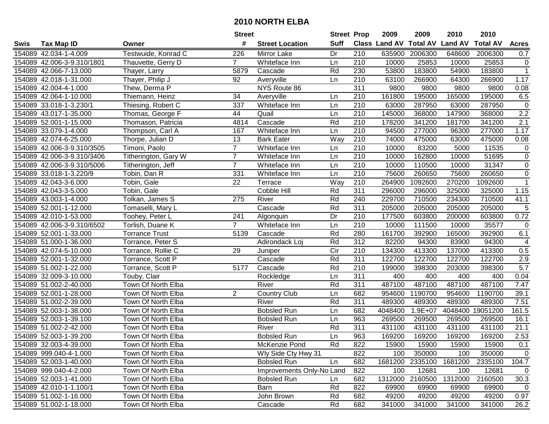|      |                            |                       | <b>Street</b>  |                           | <b>Street Prop</b> |                  | 2009                          | 2009        | 2010            | 2010            |                  |
|------|----------------------------|-----------------------|----------------|---------------------------|--------------------|------------------|-------------------------------|-------------|-----------------|-----------------|------------------|
| Swis | <b>Tax Map ID</b>          | Owner                 | #              | <b>Street Location</b>    | <b>Suff</b>        |                  | <b>Class Land AV Total AV</b> |             | <b>Land AV</b>  | <b>Total AV</b> | <b>Acres</b>     |
|      | 154089 42.034-1-4.009      | Testwuide, Konrad C   | 226            | Mirror Lake               | Dr                 | 210              | 635900                        | 2006300     | 648600          | 2006300         | 0.7              |
|      | 154089 42.006-3-9.310/1801 | Thauvette, Gerry D    | $\mathbf{7}$   | Whiteface Inn             | Ln                 | 210              | 10000                         | 25853       | 10000           | 25853           | 0                |
|      | 154089 42.066-7-13.000     | Thayer, Larry         | 5879           | Cascade                   | Rd                 | 230              | 53800                         | 183800      | 54900           | 183800          | $\mathbf{1}$     |
|      | 154089 42.018-1-31.000     | Thayer, Philip J      | 92             | Averyville                | Ln                 | 210              | 63100                         | 266900      | 64300           | 266900          | 1.17             |
|      | 154089 42.004-4-1.000      | Thew, Derma P         |                | NYS Route 86              |                    | 311              | 9800                          | 9800        | 9800            | 9800            | 0.08             |
|      | 154089 42.064-1-10.000     | Thiemann, Heinz       | 34             | Averyville                | Ln                 | 210              | 161800                        | 195000      | 165000          | 195000          | 6.5              |
|      | 154089 33.018-1-3.230/1    | Thiesing, Robert C    | 337            | Whiteface Inn             | Ln                 | 210              | 63000                         | 287950      | 63000           | 287950          | $\pmb{0}$        |
|      | 154089 43.017-1-35.000     | Thomas, George F      | 44             | Quail                     | Ln                 | 210              | 145000                        | 368000      | 147900          | 368000          | 2.2              |
|      | 154089 52.001-1-15.000     | Thomason, Patricia    | 4814           | Cascade                   | Rd                 | $\overline{210}$ | 178200                        | 341200      | 181700          | 341200          | 2.1              |
|      | 154089 33.079-1-4.000      | Thompson, Carl A      | 167            | Whiteface Inn             | Ln                 | 210              | 94500                         | 277000      | 96300           | 277000          | 1.17             |
|      | 154089 42.074-6-25.000     | Thorpe, Julian D      | 13             | <b>Bark Eater</b>         | Way                | 210              | 74000                         | 475000      | 63000           | 475000          | 0.08             |
|      | 154089 42.006-3-9.310/3505 | Timoni, Paolo         | $\overline{7}$ | Whiteface Inn             | Ln                 | 210              | 10000                         | 83200       | 5000            | 11535           | $\boldsymbol{0}$ |
|      | 154089 42.006-3-9.310/3406 | Titherington, Gary W  | $\overline{7}$ | Whiteface Inn             | Ln                 | 210              | 10000                         | 162800      | 10000           | 51695           | $\pmb{0}$        |
|      | 154089 42.006-3-9.310/5006 | Titherington, Jeff    | $\overline{7}$ | Whiteface Inn             | Ln                 | 210              | 10000                         | 110500      | 10000           | 31347           | $\pmb{0}$        |
|      | 154089 33.018-1-3.220/9    | Tobin, Dan R          | 331            | Whiteface Inn             | Ln                 | $\overline{210}$ | 75600                         | 260650      | 75600           | 260650          | $\pmb{0}$        |
|      | 154089 42.043-3-6.000      | Tobin, Gale           | 22             | Terrace                   | Way                | 210              | 264900                        | 1092600     | 270200          | 1092600         | $\mathbf{1}$     |
|      | 154089 42.043-3-5.000      | Tobin, Gale           |                | Cobble Hill               | Rd                 | $\overline{311}$ | 296000                        | 296000      | 325000          | 325000          | 1.15             |
|      | 154089 43.003-1-4.000      | Tolkan, James S       | 275            | River                     | Rd                 | 240              | 229700                        | 710500      | 234300          | 710500          | 41.1             |
|      | 154089 52.001-1-12.000     | Tomaselli, Mary L     |                | Cascade                   | Rd                 | 311              | 205000                        | 205000      | 205000          | 205000          | 5                |
|      | 154089 42.010-1-53.000     | Toohey, Peter L       | 241            | Algonquin                 | Dr                 | 210              | 177500                        | 603800      | 200000          | 603800          | 0.72             |
|      | 154089 42.006-3-9.310/6502 | Torlish, Duane K      | $\overline{7}$ | Whiteface Inn             | Ln                 | 210              | 10000                         | 111500      | 10000           | 35577           | $\pmb{0}$        |
|      | 154089 52.001-1-33.000     | <b>Torrance Trust</b> | 5139           | Cascade                   | Rd                 | 280              | 161700                        | 392900      | 165000          | 392900          | 6.1              |
|      | 154089 51.000-1-36.000     | Torrance, Peter S     |                | Adirondack Loj            | Rd                 | 312              | 82200                         | 94300       | 83900           | 94300           | $\overline{4}$   |
|      | 154089 42.074-5-10.000     | Torrance, Rollie C    | 29             | Juniper                   | Cir                | 210              | 134300                        | 413300      | 137000          | 413300          | 0.5              |
|      | 154089 52.001-1-32.000     | Torrance, Scott P     |                | Cascade                   | Rd                 | 311              | 122700                        | 122700      | 122700          | 122700          | 2.9              |
|      | 154089 51.002-1-22.000     | Torrance, Scott P     | 5177           | Cascade                   | Rd                 | 210              | 199000                        | 398300      | 203000          | 398300          | $\overline{5.7}$ |
|      | 154089 32.009-3-10.000     | Touby, Clair          |                | Rockledge                 | Ln                 | $\overline{311}$ | 400                           | 400         | 400             | 400             | 0.04             |
|      | 154089 51.002-2-40.000     | Town Of North Elba    |                | River                     | Rd                 | 311              | 487100                        | 487100      | 487100          | 487100          | 7.47             |
|      | 154089 52.001-1-28.000     | Town Of North Elba    | $\overline{2}$ | <b>Country Club</b>       | Ln                 | 682              | 954600                        | 1190700     | 954600          | 1190700         | 39.1             |
|      | 154089 51.002-2-39.000     | Town Of North Elba    |                | River                     | Rd                 | 311              | 489300                        | 489300      | 489300          | 489300          | 7.51             |
|      | 154089 52.003-1-38.000     | Town Of North Elba    |                | <b>Bobsled Run</b>        | Ln                 | 682              | 4048400                       | $1.9E + 07$ | 4048400         | 19051200        | 161.5            |
|      | 154089 52.003-1-39.100     | Town Of North Elba    |                | <b>Bobsled Run</b>        | Ln                 | 963              | 269500                        | 269500      | 269500          | 269500          | 16.1             |
|      | 154089 51.002-2-42.000     | Town Of North Elba    |                | River                     | Rd                 | 311              | 431100                        | 431100      | 431100          | 431100          | 21.1             |
|      | 154089 52.003-1-39.200     | Town Of North Elba    |                | <b>Bobsled Run</b>        | Ln                 | 963              | 169200                        | 169200      | 169200          | 169200          | 2.53             |
|      | 154089 32.003-4-39.000     | Town Of North Elba    |                | McKenzie Pond             | Rd                 | 822              | 15900                         | 15900       | 15900           | 15900           | 0.1              |
|      | 154089 999.040-4-1.000     | Town Of North Elba    |                | Wly Side Cty Hwy 31       |                    | 822              | 100                           | 350000      | 100             | 350000          | $\mathbf 0$      |
|      | 154089 52.003-1-40.000     | Town Of North Elba    |                | <b>Bobsled Run</b>        | Ln                 | 682              | 1681200                       |             | 2335100 1681200 | 2335100         | 104.7            |
|      | 154089 999.040-4-2.000     | Town Of North Elba    |                | Improvements Only-No Land |                    | 822              | 100                           | 12681       | 100             | 12681           | $\mathbf 0$      |
|      | 154089 52.003-1-41.000     | Town Of North Elba    |                | <b>Bobsled Run</b>        | Ln                 | 682              | 1312000                       | 2160500     | 1312000         | 2160500         | 30.3             |
|      | 154089 42.010-1-1.100/1    | Town Of North Elba    |                | Barn                      | Rd                 | 822              | 69900                         | 69900       | 69900           | 69900           | 0                |
|      | 154089 51.002-1-16.000     | Town Of North Elba    |                | John Brown                | Rd                 | 682              | 49200                         | 49200       | 49200           | 49200           | 0.97             |
|      | 154089 51.002-1-18.000     | Town Of North Elba    |                | Cascade                   | Rd                 | 682              | 341000                        | 341000      | 341000          | 341000          | 26.2             |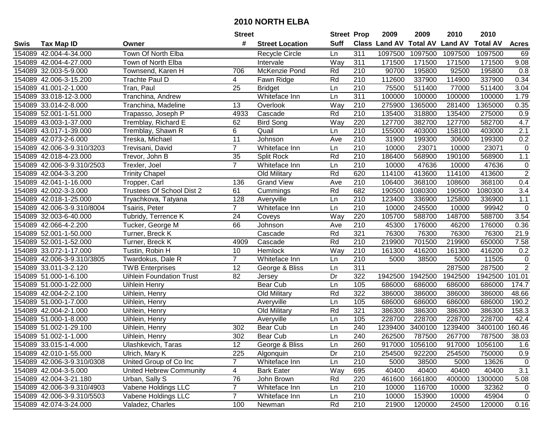|      |                            |                                 | <b>Street</b>  |                        | <b>Street Prop</b> |                  | 2009                          | 2009    | 2010           | 2010            |                  |
|------|----------------------------|---------------------------------|----------------|------------------------|--------------------|------------------|-------------------------------|---------|----------------|-----------------|------------------|
| Swis | <b>Tax Map ID</b>          | Owner                           | #              | <b>Street Location</b> | <b>Suff</b>        |                  | <b>Class Land AV Total AV</b> |         | <b>Land AV</b> | <b>Total AV</b> | <b>Acres</b>     |
|      | 154089 42.004-4-34.000     | Town Of North Elba              |                | <b>Recycle Circle</b>  | Ln                 | 311              | 1097500                       | 1097500 | 1097500        | 1097500         | 69               |
|      | 154089 42.004-4-27.000     | Town of North Elba              |                | Intervale              | Way                | 311              | 171500                        | 171500  | 171500         | 171500          | 9.08             |
|      | 154089 32.003-5-9.000      | Townsend, Karen H               | 706            | McKenzie Pond          | Rd                 | 210              | 90700                         | 195800  | 92500          | 195800          | 0.8              |
|      | 154089 42.006-3-15.200     | Trachte Paul D                  | 4              | Fawn Ridge             | Rd                 | 210              | 112600                        | 337900  | 114900         | 337900          | 0.34             |
|      | 154089 41.001-2-1.000      | Tran, Paul                      | 25             | <b>Bridget</b>         | Ln                 | 210              | 75500                         | 511400  | 77000          | 511400          | 3.04             |
|      | 154089 33.018-12-3.000     | Tranchina, Andrew               |                | Whiteface Inn          | Ln                 | 311              | 100000                        | 100000  | 100000         | 100000          | 1.79             |
|      | 154089 33.014-2-8.000      | Tranchina, Madeline             | 13             | Overlook               | Way                | 210              | 275900                        | 1365000 | 281400         | 1365000         | 0.35             |
|      | 154089 52.001-1-51.000     | Trapasso, Joseph P              | 4933           | Cascade                | Rd                 | 210              | 135400                        | 318800  | 135400         | 275000          | $\overline{0.9}$ |
|      | 154089 43.003-1-37.000     | Tremblay, Richard E             | 62             | <b>Bird Song</b>       | Way                | 220              | 127700                        | 382700  | 127700         | 582700          | 4.7              |
|      | 154089 43.017-1-39.000     | Tremblay, Shawn R               | 6              | Quail                  | Ln                 | 210              | 155000                        | 403000  | 158100         | 403000          | 2.1              |
|      | 154089 42.073-2-6.000      | Treska, Michael                 | 11             | Johnson                | Ave                | 210              | 31900                         | 199300  | 30600          | 199300          | 0.2              |
|      | 154089 42.006-3-9.310/3203 | Trevisani, David                | $\overline{7}$ | Whiteface Inn          | Ln                 | 210              | 10000                         | 23071   | 10000          | 23071           | $\mathbf 0$      |
|      | 154089 42.018-4-23.000     | Trevor, John B                  | 35             | Split Rock             | Rd                 | 210              | 186400                        | 568900  | 190100         | 568900          | 1.1              |
|      | 154089 42.006-3-9.310/2503 | Trexler, Joel                   | $\overline{7}$ | Whiteface Inn          | Ln                 | 210              | 10000                         | 47636   | 10000          | 47636           | $\pmb{0}$        |
|      | 154089 42.004-3-3.200      | <b>Trinity Chapel</b>           |                | Old Military           | Rd                 | 620              | 114100                        | 413600  | 114100         | 413600          | $\overline{2}$   |
|      | 154089 42.041-1-16.000     | Tropper, Carl                   | 136            | <b>Grand View</b>      | Ave                | 210              | 106400                        | 368100  | 108600         | 368100          | 0.4              |
|      | 154089 42.002-3-3.000      | Trustees Of School Dist 2       | 61             | Cummings               | Rd                 | 682              | 190500                        | 1080300 | 190500         | 1080300         | $\overline{3.4}$ |
|      | 154089 42.018-1-25.000     | Tryachkova, Tatyana             | 128            | Averyville             | Ln                 | 210              | 123400                        | 336900  | 125800         | 336900          | $1.1$            |
|      | 154089 42.006-3-9.310/8004 | Tsairis, Peter                  | $\overline{7}$ | Whiteface Inn          | Ln                 | 210              | 10000                         | 245500  | 10000          | 99942           | $\mathbf 0$      |
|      | 154089 32.003-6-40.000     | Tubridy, Terrence K             | 24             | Coveys                 | Way                | 220              | 105700                        | 588700  | 148700         | 588700          | 3.54             |
|      | 154089 42.066-4-2.200      | Tucker, George M                | 66             | Johnson                | Ave                | 210              | 45300                         | 176000  | 46200          | 176000          | 0.36             |
|      | 154089 52.001-1-50.000     | Turner, Breck K                 |                | Cascade                | Rd                 | 321              | 76300                         | 76300   | 76300          | 76300           | 21.9             |
|      | 154089 52.001-1-52.000     | Turner, Breck K                 | 4909           | Cascade                | Rd                 | 210              | 219900                        | 701500  | 219900         | 650000          | 7.58             |
|      | 154089 33.072-1-17.000     | Tustin, Robin H                 | 10             | Hemlock                | Way                | 210              | 161300                        | 416200  | 161300         | 416200          | 0.2              |
|      | 154089 42.006-3-9.310/3805 | Twardokus, Dale R               | $\overline{7}$ | Whiteface Inn          | Ln                 | $\overline{210}$ | 5000                          | 38500   | 5000           | 11505           | $\pmb{0}$        |
|      | 154089 33.011-3-2.120      | <b>TWB</b> Enterprises          | 12             | George & Bliss         | Ln                 | $\overline{311}$ |                               |         | 287500         | 287500          | $\overline{2}$   |
|      | 154089 51.000-1-6.100      | <b>Uihlein Foundation Trust</b> | 82             | Jersey                 | Dr                 | 322              | 1942500                       | 1942500 | 1942500        | 1942500         | 101.01           |
|      | 154089 51.000-1-22.000     | Uihlein Henry                   |                | Bear Cub               | Ln                 | 105              | 686000                        | 686000  | 686000         | 686000          | 174.7            |
|      | 154089 42.004-2-2.100      | Uihlein, Henry                  |                | Old Military           | Rd                 | 322              | 386000                        | 386000  | 386000         | 386000          | 48.66            |
|      | 154089 51.000-1-7.000      | Uihlein, Henry                  |                | Averyville             | Ln                 | 105              | 686000                        | 686000  | 686000         | 686000          | 190.2            |
|      | 154089 42.004-2-1.000      | Uihlein, Henry                  |                | <b>Old Military</b>    | Rd                 | 321              | 386300                        | 386300  | 386300         | 386300          | 158.3            |
|      | 154089 51.000-1-8.000      | Uihlein, Henry                  |                | Averyville             | Ln                 | 105              | 228700                        | 228700  | 228700         | 228700          | 42.4             |
|      | 154089 51.002-1-29.100     | Uihlein, Henry                  | 302            | Bear Cub               | Ln                 | 240              | 1239400                       | 3400100 | 1239400        | 3400100         | 160.46           |
|      | 154089 51.002-1-1.000      | Uihlein, Henry                  | 302            | Bear Cub               | Ln                 | 240              | 262500                        | 787500  | 267700         | 787500          | 38.03            |
|      | 154089 33.015-1-4.000      | Ulashkevich, Taras              | 12             | George & Bliss         | Ln                 | 260              | 917000                        | 1056100 | 917000         | 1056100         | 1.6              |
|      | 154089 42.010-1-55.000     | Ulrich, Mary K                  | 225            | Algonquin              | Dr                 | 210              | 254500                        | 922200  | 254500         | 750000          | 0.9              |
|      | 154089 42.006-3-9.310/0308 | United Group of Co Inc          | 7              | Whiteface Inn          | Ln                 | 210              | 5000                          | 38500   | 5000           | 13626           | 0                |
|      | 154089 42.004-3-5.000      | <b>United Hebrew Community</b>  | 4              | <b>Bark Eater</b>      | Way                | 695              | 40400                         | 40400   | 40400          | 40400           | 3.1              |
|      | 154089 42.004-3-21.180     | Urban, Sally S                  | 76             | John Brown             | Rd                 | 220              | 461600                        | 1661800 | 400000         | 1300000         | 5.08             |
|      | 154089 42.006-3-9.310/4903 | Vabene Holdings LLC             | $\overline{7}$ | Whiteface Inn          | Ln                 | 210              | 10000                         | 116700  | 10000          | 32362           | $\mathbf 0$      |
|      | 154089 42.006-3-9.310/5503 | Vabene Holdings LLC             | $\overline{7}$ | Whiteface Inn          | Ln                 | 210              | 10000                         | 153900  | 10000          | 45904           | $\mathbf 0$      |
|      | 154089 42.074-3-24.000     | Valadez, Charles                | 100            | Newman                 | Rd                 | 210              | 21900                         | 120000  | 24500          | 120000          | 0.16             |
|      |                            |                                 |                |                        |                    |                  |                               |         |                |                 |                  |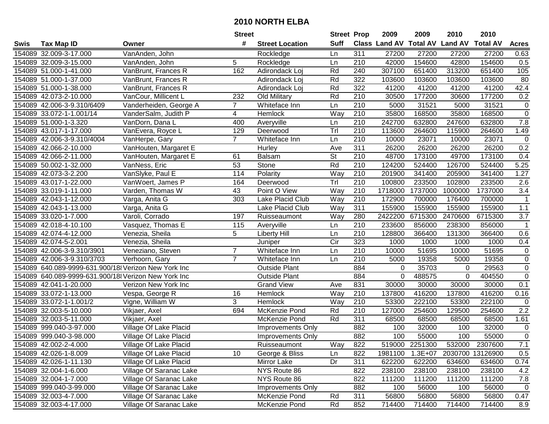|      |                                                     |                         | <b>Street</b>  |                          | <b>Street Prop</b>       |                  | 2009                          | 2009           | 2010           | 2010             |                  |
|------|-----------------------------------------------------|-------------------------|----------------|--------------------------|--------------------------|------------------|-------------------------------|----------------|----------------|------------------|------------------|
| Swis | <b>Tax Map ID</b>                                   | Owner                   | #              | <b>Street Location</b>   | <b>Suff</b>              |                  | <b>Class Land AV Total AV</b> |                | <b>Land AV</b> | <b>Total AV</b>  | <b>Acres</b>     |
|      | 154089 32.009-3-17.000                              | VanAnden, John          |                | Rockledge                | Ln                       | 311              | 27200                         | 27200          | 27200          | 27200            | 0.63             |
|      | 154089 32.009-3-15.000                              | VanAnden, John          | 5              | Rockledge                | Ln                       | 210              | 42000                         | 154600         | 42800          | 154600           | 0.5              |
|      | 154089 51.000-1-41.000                              | VanBrunt, Frances R     | 162            | Adirondack Loi           | Rd                       | 240              | 307100                        | 651400         | 313200         | 651400           | 105              |
|      | 154089 51.000-1-37.000                              | VanBrunt, Frances R     |                | Adirondack Loj           | Rd                       | 322              | 103600                        | 103600         | 103600         | 103600           | 80               |
|      | 154089 51.000-1-38.000                              | VanBrunt, Frances R     |                | Adirondack Loj           | Rd                       | 322              | 41200                         | 41200          | 41200          | 41200            | 42.4             |
|      | 154089 42.073-2-10.000                              | VanCour, Millicent L    | 232            | Old Military             | Rd                       | 210              | 30500                         | 177200         | 30600          | 177200           | 0.2              |
|      | 154089 42.006-3-9.310/6409                          | Vanderheiden, George A  | $\overline{7}$ | Whiteface Inn            | Ln                       | 210              | 5000                          | 31521          | 5000           | 31521            | $\pmb{0}$        |
|      | 154089 33.072-1-1.001/14                            | VanderSalm, Judith P    | 4              | Hemlock                  | Way                      | $\overline{210}$ | 35800                         | 168500         | 35800          | 168500           | $\overline{0}$   |
|      | 154089 51.000-1-3.320                               | VanDorn, Dana L         | 400            | Averyville               | Ln                       | $\overline{210}$ | 242700                        | 632800         | 247600         | 632800           | 7.8              |
|      | 154089 43.017-1-17.000                              | VanEvera, Royce L       | 129            | Deerwood                 | Tr                       | 210              | 113600                        | 264600         | 115900         | 264600           | 1.49             |
|      | 154089 42.006-3-9.310/4004                          | VanHerpe, Gary          | $\overline{7}$ | Whiteface Inn            | Ln                       | 210              | 10000                         | 23071          | 10000          | 23071            | 0                |
|      | 154089 42.066-2-10.000                              | VanHouten, Margaret E   |                | Hurley                   | Ave                      | 311              | 26200                         | 26200          | 26200          | 26200            | 0.2              |
|      | 154089 42.066-2-11.000                              | VanHouten, Margaret E   | 61             | Balsam                   | $\overline{\mathsf{St}}$ | 210              | 48700                         | 173100         | 49700          | 173100           | 0.4              |
|      | 154089 50.002-1-32.000                              | VanNess, Eric           | 53             | Stone                    | Rd                       | 210              | 124200                        | 524400         | 126700         | 524400           | 5.25             |
|      | 154089 42.073-3-2.200                               | VanSlyke, Paul E        | 114            | Polarity                 | Way                      | 210              | 201900                        | 341400         | 205900         | 341400           | 1.27             |
|      | 154089 43.017-1-22.000                              | VanWoert, James P       | 164            | Deerwood                 | Trl                      | 210              | 100800                        | 233500         | 102800         | 233500           | 2.6              |
|      | 154089 33.019-1-11.000                              | Varden, Thomas W        | 43             | Point O View             | Way                      | 210              | 1718000                       | 1737000        | 1000000        | 1737000          | $\overline{3.4}$ |
|      | 154089 42.043-1-12.000                              | Varga, Anita G          | 303            | Lake Placid Club         | Way                      | 210              | 172900                        | 700000         | 176400         | 700000           | $\mathbf 1$      |
|      | 154089 42.043-1-13.000                              | Varga, Anita G          |                | Lake Placid Club         | Way                      | 311              | 155900                        | 155900         | 155900         | 155900           | 1.1              |
|      | 154089 33.020-1-7.000                               | Varoli, Corrado         | 197            | Ruisseaumont             | Way                      | 280              | 2422200                       | 6715300        | 2470600        | 6715300          | 3.7              |
|      | 154089 42.018-4-10.100                              | Vasquez, Thomas E       | 115            | Averyville               | Ln                       | 210              | 233600                        | 856000         | 238300         | 856000           | $\mathbf 1$      |
|      | 154089 42.074-4-12.000                              | Venezia, Sheila         | 5              | <b>Liberty Hill</b>      | Ln                       | 210              | 128800                        | 366400         | 131300         | 366400           | 0.6              |
|      | 154089 42.074-5-2.001                               | Venezia, Sheila         |                | Juniper                  | Cir                      | 323              | 1000                          | 1000           | 1000           | 1000             | 0.4              |
|      | 154089 42.006-3-9.310/3901                          | Veneziano, Steven       | $\overline{7}$ | Whiteface Inn            | Ln                       | 210              | 10000                         | 51695          | 10000          | 51695            | $\pmb{0}$        |
|      | 154089 42.006-3-9.310/3703                          | Verhoorn, Gary          | $\overline{7}$ | Whiteface Inn            | Ln                       | 210              | 5000                          | 19358          | 5000           | 19358            | $\pmb{0}$        |
|      | 154089 640.089-9999-631.900/18 Verizon New York Inc |                         |                | <b>Outside Plant</b>     |                          | 884              | $\mathbf 0$                   | 35703          | 0              | 29563            | $\pmb{0}$        |
|      | 154089 640.089-9999-631.900/18 Verizon New York Inc |                         |                | <b>Outside Plant</b>     |                          | 884              | 0                             | 488575         | 0              | 404550           | $\pmb{0}$        |
|      | 154089 42.041-1-20.000                              | Verizon New York Inc    |                | <b>Grand View</b>        | Ave                      | 831              | 30000                         | 30000          | 30000          | 30000            | 0.1              |
|      | 154089 33.072-1-13.000                              | Vespa, George R         | 16             | Hemlock                  | Way                      | 210              | 137800                        | 416200         | 137800         | 416200           | 0.16             |
|      | 154089 33.072-1-1.001/2                             | Vigne, William W        | 3              | Hemlock                  | Way                      | 210              | 53300                         | 222100         | 53300          | 222100           | 0                |
|      | 154089 32.003-5-10.000                              | Vikjaer, Axel           | 694            | McKenzie Pond            | Rd                       | $\overline{210}$ | 127000                        | 254600         | 129500         | 254600           | $\overline{2.2}$ |
|      | 154089 32.003-5-11.000                              | Vikjaer, Axel           |                | McKenzie Pond            | Rd                       | 311              | 68500                         | 68500          | 68500          | 68500            | 1.61             |
|      | 154089 999.040-3-97.000                             | Village Of Lake Placid  |                | Improvements Only        |                          | 882              | 100                           | 32000          | 100            | 32000            | $\pmb{0}$        |
|      | 154089 999.040-3-98.000                             | Village Of Lake Placid  |                | Improvements Only        |                          | 882              | 100                           | 55000          | 100            | 55000            | $\overline{0}$   |
|      | 154089 42.002-2-4.000                               | Village Of Lake Placid  |                | Ruisseaumont             | Way                      | 822              |                               | 519000 2251300 | 532000         | 2307600          | 7.1              |
|      | 154089 42.026-1-8.009                               | Village Of Lake Placid  | 10             | George & Bliss           | Ln                       | 822              | 1981100                       | $1.3E + 07$    |                | 2030700 13126900 | 0.5              |
|      | 154089 42.026-1-11.130                              | Village Of Lake Placid  |                | Mirror Lake              | Dr                       | 311              | 622200                        | 622200         | 634600         | 634600           | 0.74             |
|      | 154089 32.004-1-6.000                               | Village Of Saranac Lake |                | NYS Route 86             |                          | 822              | 238100                        | 238100         | 238100         | 238100           | 4.2              |
|      | 154089 32.004-1-7.000                               | Village Of Saranac Lake |                | NYS Route 86             |                          | 822              | 111200                        | 111200         | 111200         | 111200           | $7.8$            |
|      | 154089 999.040-3-99.000                             | Village Of Saranac Lake |                | <b>Improvements Only</b> |                          | 882              | 100                           | 56000          | 100            | 56000            | 0                |
|      | 154089 32.003-4-7.000                               | Village Of Saranac Lake |                | McKenzie Pond            | Rd                       | 311              | 56800                         | 56800          | 56800          | 56800            | 0.47             |
|      | 154089 32.003-4-17.000                              | Village Of Saranac Lake |                | McKenzie Pond            | Rd                       | 852              | 714400                        | 714400         | 714400         | 714400           | 8.9              |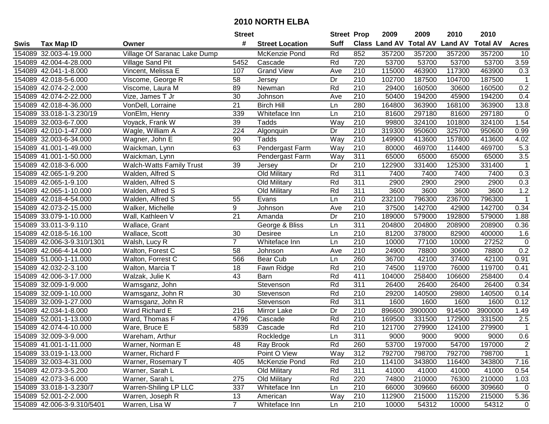|      |                            |                                 | <b>Street</b>   |                        | <b>Street Prop</b> |                  | 2009          | 2009            | 2010           | 2010            |                |
|------|----------------------------|---------------------------------|-----------------|------------------------|--------------------|------------------|---------------|-----------------|----------------|-----------------|----------------|
| Swis | <b>Tax Map ID</b>          | Owner                           | #               | <b>Street Location</b> | <b>Suff</b>        |                  | Class Land AV | <b>Total AV</b> | <b>Land AV</b> | <b>Total AV</b> | <b>Acres</b>   |
|      | 154089 32.003-4-19.000     | Village Of Saranac Lake Dump    |                 | McKenzie Pond          | Rd                 | 852              | 357200        | 357200          | 357200         | 357200          | 10             |
|      | 154089 42.004-4-28.000     | Village Sand Pit                | 5452            | Cascade                | Rd                 | 720              | 53700         | 53700           | 53700          | 53700           | 3.59           |
|      | 154089 42.041-1-8.000      | Vincent, Melissa E              | 107             | <b>Grand View</b>      | Ave                | 210              | 115000        | 463900          | 117300         | 463900          | 0.3            |
|      | 154089 42.018-5-6.000      | Viscome, George R               | 58              | Jersey                 | Dr                 | 210              | 102700        | 187500          | 104700         | 187500          | $\mathbf{1}$   |
|      | 154089 42.074-2-2.000      | Viscome, Laura M                | 89              | Newman                 | Rd                 | 210              | 29400         | 160500          | 30600          | 160500          | 0.2            |
|      | 154089 42.074-2-22.000     | Vize, James T Jr                | 30              | Johnson                | Ave                | 210              | 50400         | 194200          | 45900          | 194200          | 0.4            |
|      | 154089 42.018-4-36.000     | VonDell, Lorraine               | 21              | <b>Birch Hill</b>      | Ln                 | 280              | 164800        | 363900          | 168100         | 363900          | 13.8           |
|      | 154089 33.018-1-3.230/19   | VonElm, Henry                   | 339             | Whiteface Inn          | Ln                 | 210              | 81600         | 297180          | 81600          | 297180          | 0              |
|      | 154089 32.003-6-7.000      | Voyack, Frank W                 | $\overline{39}$ | Tadds                  | Way                | $\overline{210}$ | 99800         | 324100          | 101800         | 324100          | 1.54           |
|      | 154089 42.010-1-47.000     | Wagle, William A                | 224             | Algonquin              | Dr                 | 210              | 319300        | 950600          | 325700         | 950600          | 0.99           |
|      | 154089 32.003-6-34.000     | Wagner, John E                  | 90              | Tadds                  | Way                | 210              | 149900        | 413600          | 157800         | 413600          | 4.02           |
|      | 154089 41.001-1-49.000     | Waickman, Lynn                  | 63              | Pendergast Farm        | Way                | 210              | 80000         | 469700          | 114400         | 469700          | 5.3            |
|      | 154089 41.001-1-50.000     | Waickman, Lynn                  |                 | Pendergast Farm        | Way                | 311              | 65000         | 65000           | 65000          | 65000           | 3.5            |
|      | 154089 42.018-3-6.000      | <b>Walch-Watts Family Trust</b> | 39              | Jersey                 | Dr                 | 210              | 122900        | 331400          | 125300         | 331400          | $\overline{1}$ |
|      | 154089 42.065-1-9.200      | Walden, Alfred S                |                 | Old Military           | Rd                 | 311              | 7400          | 7400            | 7400           | 7400            | 0.3            |
|      | 154089 42.065-1-9.100      | Walden, Alfred S                |                 | Old Military           | Rd                 | 311              | 2900          | 2900            | 2900           | 2900            | 0.3            |
|      | 154089 42.065-1-10.000     | Walden, Alfred S                |                 | Old Military           | Rd                 | $\overline{311}$ | 3600          | 3600            | 3600           | 3600            | 1.2            |
|      | 154089 42.018-4-54.000     | Walden, Alfred S                | 55              | Evans                  | Ln                 | 210              | 232100        | 796300          | 236700         | 796300          | $\mathbf{1}$   |
|      | 154089 42.073-2-15.000     | Walker, Michelle                | 9               | Johnson                | Ave                | 210              | 37500         | 142700          | 42900          | 142700          | 0.34           |
|      | 154089 33.079-1-10.000     | Wall, Kathleen V                | 21              | Amanda                 | Dr                 | 210              | 189000        | 579000          | 192800         | 579000          | 1.88           |
|      | 154089 33.011-3-9.110      | Wallace, Grant                  |                 | George & Bliss         | Ln                 | 311              | 204800        | 204800          | 208900         | 208900          | 0.36           |
|      | 154089 42.018-5-16.100     | Wallace, Scott                  | 30              | Desiree                | Ln                 | 210              | 81200         | 378000          | 82900          | 400000          | 1.6            |
|      | 154089 42.006-3-9.310/1301 | Walsh, Lucy R                   | $\overline{7}$  | Whiteface Inn          | Ln                 | 210              | 10000         | 77100           | 10000          | 27252           | $\mathbf 0$    |
|      | 154089 42.066-4-14.000     | Walton, Forest C                | 58              | Johnson                | Ave                | 210              | 24900         | 78800           | 30600          | 78800           | 0.2            |
|      | 154089 51.000-1-11.000     | Walton, Forrest C               | 566             | <b>Bear Cub</b>        | Ln                 | 260              | 36700         | 42100           | 37400          | 42100           | 0.91           |
|      | 154089 42.032-2-3.100      | Walton, Marcia T                | 18              | Fawn Ridge             | Rd                 | 210              | 74500         | 119700          | 76000          | 119700          | 0.41           |
|      | 154089 42.006-3-17.000     | Walzak, Julie K                 | 43              | Barn                   | Rd                 | 411              | 104000        | 258400          | 106600         | 258400          | 0.4            |
|      | 154089 32.009-1-9.000      | Wamsganz, John                  |                 | Stevenson              | Rd                 | 311              | 26400         | 26400           | 26400          | 26400           | 0.34           |
|      | 154089 32.009-1-10.000     | Wamsganz, John R                | 30              | Stevenson              | Rd                 | 210              | 29200         | 140500          | 29800          | 140500          | 0.14           |
|      | 154089 32.009-1-27.000     | Wamsganz, John R                |                 | Stevenson              | Rd                 | $\overline{311}$ | 1600          | 1600            | 1600           | 1600            | 0.12           |
|      | 154089 42.034-1-8.000      | Ward Richard E                  | 216             | Mirror Lake            | $\overline{Dr}$    | $\overline{210}$ | 896600        | 3900000         | 914500         | 3900000         | 1.49           |
|      | 154089 52.001-1-13.000     | Ward, Thomas F                  | 4796            | Cascade                | Rd                 | 210              | 169500        | 331500          | 172900         | 331500          | 2.5            |
|      | 154089 42.074-4-10.000     | Ware, Bruce E                   | 5839            | Cascade                | Rd                 | $\overline{210}$ | 121700        | 279900          | 124100         | 279900          | $\overline{1}$ |
|      | 154089 32.009-3-9.000      | Wareham, Arthur                 |                 | Rockledge              | Ln                 | 311              | 9000          | 9000            | 9000           | 9000            | 0.6            |
|      | 154089 41.001-1-11.000     | Warner, Norman E                | 48              | Ray Brook              | Rd                 | 260              | 53700         | 197000          | 54700          | 197000          | $\overline{2}$ |
|      | 154089 33.019-1-13.000     | Warner, Richard F               |                 | Point O View           | Way                | 312              | 792700        | 798700          | 792700         | 798700          | $\mathbf{1}$   |
|      | 154089 32.003-4-31.000     | Warner, Rosemary T              | 405             | McKenzie Pond          | Rd                 | 210              | 114100        | 343800          | 116400         | 343800          | 7.16           |
|      | 154089 42.073-3-5.200      | Warner, Sarah L                 |                 | Old Military           | Rd                 | 311              | 41000         | 41000           | 41000          | 41000           | 0.54           |
|      | 154089 42.073-3-6.000      | Warner, Sarah L                 | 275             | Old Military           | Rd                 | 220              | 74800         | 210000          | 76300          | 210000          | 1.03           |
|      | 154089 33.018-1-3.230/7    | <b>Warren-Shiling LP LLC</b>    | 337             | Whiteface Inn          | Ln                 | 210              | 66000         | 309660          | 66000          | 309660          | $\mathbf 0$    |
|      | 154089 52.001-2-2.000      | Warren, Joseph R                | 13              | American               | Way                | 210              | 112900        | 215000          | 115200         | 215000          | 5.36           |
|      | 154089 42.006-3-9.310/5401 | Warren, Lisa W                  | $\overline{7}$  | Whiteface Inn          | Ln                 | 210              | 10000         | 54312           | 10000          | 54312           | $\mathbf 0$    |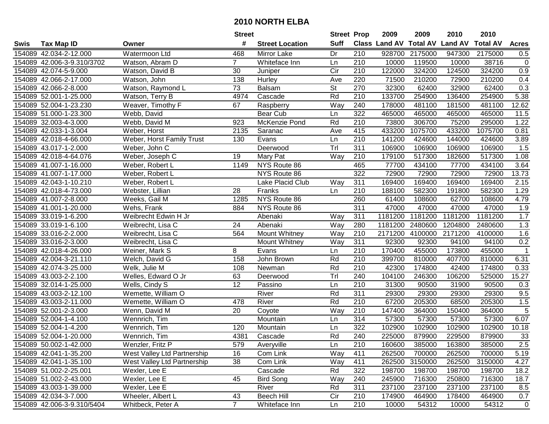| #<br><b>Suff</b><br><b>Class Land AV Total AV</b><br><b>Land AV</b><br><b>Total AV</b><br><b>Tax Map ID</b><br><b>Street Location</b><br>Swis<br>Owner<br>154089 42.034-2-12.000<br>Watermoon Ltd<br>468<br>Mirror Lake<br>Dr<br>210<br>928700<br>2175000<br>947300<br>2175000<br>154089 42.006-3-9.310/3702<br>Whiteface Inn<br>210<br>10000<br>119500<br>10000<br>38716<br>Watson, Abram D<br>$\overline{7}$<br>Ln<br>Cir<br>324200<br>154089 42.074-5-9.000<br>Watson, David B<br>30<br>210<br>122000<br>324200<br>124500<br>Juniper<br>220<br>71500<br>210200<br>210200<br>154089 42.066-2-17.000<br>Watson, John<br>138<br>Hurley<br>72900<br>Ave<br>154089 42.066-2-8.000<br>Watson, Raymond L<br>73<br><b>St</b><br>270<br>32300<br>62400<br>32900<br>62400<br><b>Balsam</b><br>4974<br>Rd<br>$\overline{210}$<br>133700<br>154089 52.001-1-25.000<br>Watson, Terry B<br>Cascade<br>254900<br>136400<br>254900 | <b>Acres</b><br>0.5<br>$\pmb{0}$<br>0.9<br>0.4<br>0.3<br>5.38<br>12.62 |
|-----------------------------------------------------------------------------------------------------------------------------------------------------------------------------------------------------------------------------------------------------------------------------------------------------------------------------------------------------------------------------------------------------------------------------------------------------------------------------------------------------------------------------------------------------------------------------------------------------------------------------------------------------------------------------------------------------------------------------------------------------------------------------------------------------------------------------------------------------------------------------------------------------------------------|------------------------------------------------------------------------|
|                                                                                                                                                                                                                                                                                                                                                                                                                                                                                                                                                                                                                                                                                                                                                                                                                                                                                                                       |                                                                        |
|                                                                                                                                                                                                                                                                                                                                                                                                                                                                                                                                                                                                                                                                                                                                                                                                                                                                                                                       |                                                                        |
|                                                                                                                                                                                                                                                                                                                                                                                                                                                                                                                                                                                                                                                                                                                                                                                                                                                                                                                       |                                                                        |
|                                                                                                                                                                                                                                                                                                                                                                                                                                                                                                                                                                                                                                                                                                                                                                                                                                                                                                                       |                                                                        |
|                                                                                                                                                                                                                                                                                                                                                                                                                                                                                                                                                                                                                                                                                                                                                                                                                                                                                                                       |                                                                        |
|                                                                                                                                                                                                                                                                                                                                                                                                                                                                                                                                                                                                                                                                                                                                                                                                                                                                                                                       |                                                                        |
|                                                                                                                                                                                                                                                                                                                                                                                                                                                                                                                                                                                                                                                                                                                                                                                                                                                                                                                       |                                                                        |
| 154089 52.004-1-23.230<br>Way<br>240<br>178000<br>481100<br>Weaver, Timothy F<br>67<br>181500<br>481100<br>Raspberry                                                                                                                                                                                                                                                                                                                                                                                                                                                                                                                                                                                                                                                                                                                                                                                                  |                                                                        |
| 322<br>154089 51.000-1-23.300<br><b>Bear Cub</b><br>465000<br>465000<br>465000<br>Webb, David<br>Ln<br>465000                                                                                                                                                                                                                                                                                                                                                                                                                                                                                                                                                                                                                                                                                                                                                                                                         | 11.5                                                                   |
| $\overline{210}$<br>306700<br>75200<br>154089 32.003-4-3.000<br>Webb, David M<br>923<br>McKenzie Pond<br>Rd<br>73800<br>295000                                                                                                                                                                                                                                                                                                                                                                                                                                                                                                                                                                                                                                                                                                                                                                                        | 1.22                                                                   |
| 415<br>1075700<br>433200<br>154089 42.033-1-3.004<br>Weber, Horst<br>2135<br>Saranac<br>433200<br>1075700<br>Ave                                                                                                                                                                                                                                                                                                                                                                                                                                                                                                                                                                                                                                                                                                                                                                                                      | 0.81                                                                   |
| 210<br>154089 42.018-4-66.000<br>Weber, Horst Family Trust<br>130<br>Evans<br>141200<br>424600<br>144000<br>424600<br>Ln                                                                                                                                                                                                                                                                                                                                                                                                                                                                                                                                                                                                                                                                                                                                                                                              | 3.89                                                                   |
| Trl<br>154089 43.017-1-2.000<br>311<br>106900<br>106900<br>106900<br>106900<br>Weber, John C<br>Deerwood                                                                                                                                                                                                                                                                                                                                                                                                                                                                                                                                                                                                                                                                                                                                                                                                              | 1.5                                                                    |
| 154089 42.018-4-64.076<br>210<br>179100<br>517300<br>182600<br>517300<br>19<br>Mary Pat<br>Way<br>Weber, Joseph C                                                                                                                                                                                                                                                                                                                                                                                                                                                                                                                                                                                                                                                                                                                                                                                                     | 1.08                                                                   |
| 154089 41.007-1-16.000<br>NYS Route 86<br>465<br>77700<br>434100<br>77700<br>434100<br>Weber, Robert L<br>1149                                                                                                                                                                                                                                                                                                                                                                                                                                                                                                                                                                                                                                                                                                                                                                                                        | 3.64                                                                   |
| 322<br>72900<br>72900<br>154089 41.007-1-17.000<br>NYS Route 86<br>72900<br>72900<br>Weber, Robert L                                                                                                                                                                                                                                                                                                                                                                                                                                                                                                                                                                                                                                                                                                                                                                                                                  | 13.73                                                                  |
| 154089 42.043-1-10.210<br>311<br>169400<br>169400<br>169400<br>Weber, Robert L<br>Lake Placid Club<br>169400<br>Way                                                                                                                                                                                                                                                                                                                                                                                                                                                                                                                                                                                                                                                                                                                                                                                                   | 2.15                                                                   |
| 28<br>210<br>154089 42.018-4-73.000<br>188100<br>582300<br>191800<br>582300<br>Webster, Lillian<br>Franks<br>Ln                                                                                                                                                                                                                                                                                                                                                                                                                                                                                                                                                                                                                                                                                                                                                                                                       | 1.29                                                                   |
| 260<br>154089 41.007-2-8.000<br>NYS Route 86<br>61400<br>62700<br>Weeks, Gail M<br>1285<br>108600<br>108600                                                                                                                                                                                                                                                                                                                                                                                                                                                                                                                                                                                                                                                                                                                                                                                                           | 4.79                                                                   |
| 154089 41.001-1-20.000<br>Wehs, Frank<br>NYS Route 86<br>311<br>47000<br>47000<br>47000<br>47000<br>884                                                                                                                                                                                                                                                                                                                                                                                                                                                                                                                                                                                                                                                                                                                                                                                                               | 1.9                                                                    |
| 1181200<br>154089 33.019-1-6.200<br>Weibrecht Edwin H Jr<br>311<br>1181200<br>1181200<br>1181200<br>Abenaki<br>Way                                                                                                                                                                                                                                                                                                                                                                                                                                                                                                                                                                                                                                                                                                                                                                                                    | 1.7                                                                    |
| Way<br>280<br>1181200<br>154089 33.019-1-6.100<br>Weibrecht, Lisa C<br>24<br>Abenaki<br>2480600<br>1204800<br>2480600                                                                                                                                                                                                                                                                                                                                                                                                                                                                                                                                                                                                                                                                                                                                                                                                 | 1.3                                                                    |
| 154089 33.016-2-2.000<br>Weibrecht, Lisa C<br>564<br>Mount Whitney<br>Way<br>210<br>2171200<br>4100000<br>2171200<br>4100000                                                                                                                                                                                                                                                                                                                                                                                                                                                                                                                                                                                                                                                                                                                                                                                          | 1.6                                                                    |
| 311<br>154089 33.016-2-3.000<br>92300<br>92300<br>94100<br>94100<br>Weibrecht, Lisa C<br>Mount Whitney<br>Way                                                                                                                                                                                                                                                                                                                                                                                                                                                                                                                                                                                                                                                                                                                                                                                                         | 0.2                                                                    |
| 455000<br>154089 42.018-4-26.000<br>8<br>Evans<br>210<br>170400<br>173800<br>455000<br>Weiner, Mark S<br>Ln                                                                                                                                                                                                                                                                                                                                                                                                                                                                                                                                                                                                                                                                                                                                                                                                           | $\mathbf 1$                                                            |
| $\overline{210}$<br>158<br>Rd<br>399700<br>810000<br>154089 42.004-3-21.110<br>Welch, David G<br>John Brown<br>407700<br>810000                                                                                                                                                                                                                                                                                                                                                                                                                                                                                                                                                                                                                                                                                                                                                                                       | 6.31                                                                   |
| Welk, Julie M<br>Rd<br>210<br>42300<br>174800<br>154089 42.074-3-25.000<br>108<br>42400<br>174800<br>Newman                                                                                                                                                                                                                                                                                                                                                                                                                                                                                                                                                                                                                                                                                                                                                                                                           | 0.33                                                                   |
| Tr<br>104100<br>246300<br>106200<br>525000<br>154089 43.003-2-2.100<br>Welles, Edward O Jr<br>63<br>240<br>Deerwood                                                                                                                                                                                                                                                                                                                                                                                                                                                                                                                                                                                                                                                                                                                                                                                                   | 15.27                                                                  |
| 12<br>154089 32.014-1-25.000<br>Passino<br>Ln<br>210<br>31300<br>90500<br>31900<br>90500<br>Wells, Cindy S                                                                                                                                                                                                                                                                                                                                                                                                                                                                                                                                                                                                                                                                                                                                                                                                            | 0.3                                                                    |
| Rd<br>311<br>154089 43.003-2-12.100<br>Wemette, William O<br>River<br>29300<br>29300<br>29300<br>29300                                                                                                                                                                                                                                                                                                                                                                                                                                                                                                                                                                                                                                                                                                                                                                                                                | 9.5                                                                    |
| Rd<br>$\overline{210}$<br>205300<br>154089 43.003-2-11.000<br>Wemette, William O<br>478<br>River<br>67200<br>205300<br>68500                                                                                                                                                                                                                                                                                                                                                                                                                                                                                                                                                                                                                                                                                                                                                                                          | 1.5                                                                    |
| 154089 52.001-2-3.000<br>Way<br>$\overline{210}$<br>147400<br>Wenn, David M<br>20<br>364000<br>150400<br>364000<br>Coyote                                                                                                                                                                                                                                                                                                                                                                                                                                                                                                                                                                                                                                                                                                                                                                                             | $\overline{5}$                                                         |
| 154089 52.004-1-4.100<br>Wennrich, Tim<br>314<br>57300<br>57300<br>57300<br>57300<br>Mountain<br>Ln                                                                                                                                                                                                                                                                                                                                                                                                                                                                                                                                                                                                                                                                                                                                                                                                                   | 6.07                                                                   |
| 322<br>154089 52.004-1-4.200<br>Wennrich, Tim<br>120<br>102900<br>102900<br>102900<br>102900<br>Mountain<br>Ln                                                                                                                                                                                                                                                                                                                                                                                                                                                                                                                                                                                                                                                                                                                                                                                                        | 10.18                                                                  |
| Rd<br>154089 52.004-1-20.000<br>240<br>225000<br>879900<br>229500<br>879900<br>Wennrich, Tim<br>4381<br>Cascade                                                                                                                                                                                                                                                                                                                                                                                                                                                                                                                                                                                                                                                                                                                                                                                                       | 33                                                                     |
| 154089 50.002-1-42.000<br>Wenzler, Fritz P<br>579<br>Averyville<br>Ln<br>210<br>160600<br>385000<br>163800<br>385000                                                                                                                                                                                                                                                                                                                                                                                                                                                                                                                                                                                                                                                                                                                                                                                                  | 2.5                                                                    |
| 154089 42.041-1-35.200<br>West Valley Ltd Partnership<br>16<br>Com Link<br>Way<br>411<br>262500<br>700000<br>262500<br>700000                                                                                                                                                                                                                                                                                                                                                                                                                                                                                                                                                                                                                                                                                                                                                                                         | 5.19                                                                   |
| 38<br>3150000<br>154089 42.041-1-35.100<br>West Valley Ltd Partnership<br>Com Link<br>411<br>262500<br>262500<br>3150000<br>Way                                                                                                                                                                                                                                                                                                                                                                                                                                                                                                                                                                                                                                                                                                                                                                                       | 4.27                                                                   |
| 154089 51.002-2-25.001<br>Rd<br>322<br>198700<br>198700<br>198700<br>Wexler, Lee E<br>Cascade<br>198700                                                                                                                                                                                                                                                                                                                                                                                                                                                                                                                                                                                                                                                                                                                                                                                                               | 18.2                                                                   |
| 154089 51.002-2-43.000<br>Wexler, Lee E<br>45<br><b>Bird Song</b><br>Way<br>240<br>245900<br>716300<br>250800<br>716300                                                                                                                                                                                                                                                                                                                                                                                                                                                                                                                                                                                                                                                                                                                                                                                               | 18.7                                                                   |
| 311<br>237100<br>154089 43.003-1-39.000<br>Wexler, Lee E<br>River<br>Rd<br>237100<br>237100<br>237100                                                                                                                                                                                                                                                                                                                                                                                                                                                                                                                                                                                                                                                                                                                                                                                                                 | 8.5                                                                    |
| <b>Beech Hill</b><br>154089 42.034-3-7.000<br>Cir<br>210<br>174900<br>464900<br>178400<br>464900<br>Wheeler, Albert L<br>43                                                                                                                                                                                                                                                                                                                                                                                                                                                                                                                                                                                                                                                                                                                                                                                           | 0.7                                                                    |
| $\overline{7}$<br>154089 42.006-3-9.310/5404<br>Whitbeck, Peter A<br>210<br>10000<br>54312<br>54312<br>Whiteface Inn<br>10000<br>Ln                                                                                                                                                                                                                                                                                                                                                                                                                                                                                                                                                                                                                                                                                                                                                                                   | $\mathbf 0$                                                            |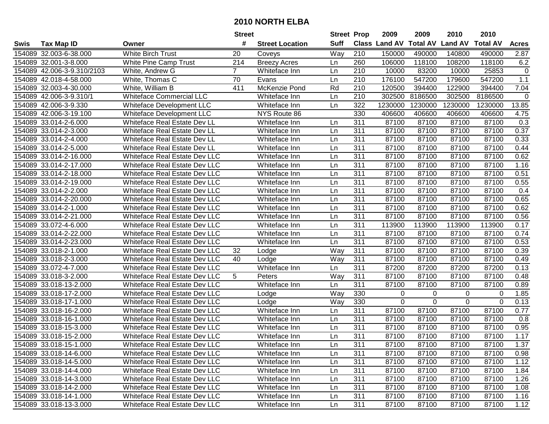|      |                            |                                      | <b>Street</b>  |                        | <b>Street Prop</b> |     | 2009                 | 2009            | 2010           | 2010            |              |
|------|----------------------------|--------------------------------------|----------------|------------------------|--------------------|-----|----------------------|-----------------|----------------|-----------------|--------------|
| Swis | <b>Tax Map ID</b>          | Owner                                | #              | <b>Street Location</b> | <b>Suff</b>        |     | <b>Class Land AV</b> | <b>Total AV</b> | <b>Land AV</b> | <b>Total AV</b> | <b>Acres</b> |
|      | 154089 32.003-6-38.000     | <b>White Birch Trust</b>             | 20             | Coveys                 | Way                | 210 | 150000               | 490000          | 140800         | 490000          | 2.87         |
|      | 154089 32.001-3-8.000      | White Pine Camp Trust                | 214            | <b>Breezy Acres</b>    | Ln                 | 260 | 106000               | 118100          | 108200         | 118100          | 6.2          |
|      | 154089 42.006-3-9.310/2103 | White, Andrew G                      | $\overline{7}$ | Whiteface Inn          | Ln                 | 210 | 10000                | 83200           | 10000          | 25853           | $\mathbf 0$  |
|      | 154089 42.018-4-58.000     | White, Thomas C                      | 70             | Evans                  | Ln                 | 210 | 176100               | 547200          | 179600         | 547200          | 1.1          |
|      | 154089 32.003-4-30.000     | White, William B                     | 411            | McKenzie Pond          | Rd                 | 210 | 120500               | 394400          | 122900         | 394400          | 7.04         |
|      | 154089 42.006-3-9.310/1    | <b>Whiteface Commercial LLC</b>      |                | Whiteface Inn          | Ln                 | 210 | 302500               | 8186500         | 302500         | 8186500         | $\Omega$     |
|      | 154089 42.006-3-9.330      | Whiteface Development LLC            |                | Whiteface Inn          | Ln                 | 322 | 1230000              | 1230000         | 1230000        | 1230000         | 13.85        |
|      | 154089 42.006-3-19.100     | Whiteface Development LLC            |                | NYS Route 86           |                    | 330 | 406600               | 406600          | 406600         | 406600          | 4.75         |
|      | 154089 33.014-2-6.000      | Whiteface Real Estate Dev LL         |                | Whiteface Inn          | Ln                 | 311 | 87100                | 87100           | 87100          | 87100           | 0.3          |
|      | 154089 33.014-2-3.000      | Whiteface Real Estate Dev LL         |                | Whiteface Inn          | Ln                 | 311 | 87100                | 87100           | 87100          | 87100           | 0.37         |
|      | 154089 33.014-2-4.000      | Whiteface Real Estate Dev LL         |                | Whiteface Inn          | Ln                 | 311 | 87100                | 87100           | 87100          | 87100           | 0.33         |
|      | 154089 33.014-2-5.000      | Whiteface Real Estate Dev LL         |                | Whiteface Inn          | Ln                 | 311 | 87100                | 87100           | 87100          | 87100           | 0.44         |
|      | 154089 33.014-2-16.000     | Whiteface Real Estate Dev LLC        |                | Whiteface Inn          | Ln                 | 311 | 87100                | 87100           | 87100          | 87100           | 0.62         |
|      | 154089 33.014-2-17.000     | <b>Whiteface Real Estate Dev LLC</b> |                | Whiteface Inn          | Ln                 | 311 | 87100                | 87100           | 87100          | 87100           | 1.16         |
|      | 154089 33.014-2-18.000     | <b>Whiteface Real Estate Dev LLC</b> |                | Whiteface Inn          | Ln                 | 311 | 87100                | 87100           | 87100          | 87100           | 0.51         |
|      | 154089 33.014-2-19.000     | <b>Whiteface Real Estate Dev LLC</b> |                | Whiteface Inn          | Ln                 | 311 | 87100                | 87100           | 87100          | 87100           | 0.55         |
|      | 154089 33.014-2-2.000      | <b>Whiteface Real Estate Dev LLC</b> |                | Whiteface Inn          | Ln                 | 311 | 87100                | 87100           | 87100          | 87100           | 0.4          |
|      | 154089 33.014-2-20.000     | <b>Whiteface Real Estate Dev LLC</b> |                | Whiteface Inn          | Ln                 | 311 | 87100                | 87100           | 87100          | 87100           | 0.65         |
|      | 154089 33.014-2-1.000      | Whiteface Real Estate Dev LLC        |                | Whiteface Inn          | Ln                 | 311 | 87100                | 87100           | 87100          | 87100           | 0.62         |
|      | 154089 33.014-2-21.000     | Whiteface Real Estate Dev LLC        |                | Whiteface Inn          | Ln                 | 311 | 87100                | 87100           | 87100          | 87100           | 0.56         |
|      | 154089 33.072-4-6.000      | Whiteface Real Estate Dev LLC        |                | Whiteface Inn          | Ln                 | 311 | 113900               | 113900          | 113900         | 113900          | 0.17         |
|      | 154089 33.014-2-22.000     | Whiteface Real Estate Dev LLC        |                | Whiteface Inn          | Ln                 | 311 | 87100                | 87100           | 87100          | 87100           | 0.74         |
|      | 154089 33.014-2-23.000     | Whiteface Real Estate Dev LLC        |                | Whiteface Inn          | Ln                 | 311 | 87100                | 87100           | 87100          | 87100           | 0.53         |
|      | 154089 33.018-2-1.000      | <b>Whiteface Real Estate Dev LLC</b> | 32             | Lodge                  | Way                | 311 | 87100                | 87100           | 87100          | 87100           | 0.39         |
|      | 154089 33.018-2-3.000      | Whiteface Real Estate Dev LLC        | 40             | Lodge                  | Way                | 311 | 87100                | 87100           | 87100          | 87100           | 0.49         |
|      | 154089 33.072-4-7.000      | Whiteface Real Estate Dev LLC        |                | Whiteface Inn          | Ln                 | 311 | 87200                | 87200           | 87200          | 87200           | 0.13         |
|      | 154089 33.018-3-2.000      | Whiteface Real Estate Dev LLC        | 5              | Peters                 | Way                | 311 | 87100                | 87100           | 87100          | 87100           | 0.48         |
|      | 154089 33.018-13-2.000     | Whiteface Real Estate Dev LLC        |                | Whiteface Inn          | Ln                 | 311 | 87100                | 87100           | 87100          | 87100           | 0.89         |
|      | 154089 33.018-17-2.000     | Whiteface Real Estate Dev LLC        |                | Lodge                  | Way                | 330 | $\mathbf 0$          | $\Omega$        | 0              | 0               | 1.85         |
|      | 154089 33.018-17-1.000     | Whiteface Real Estate Dev LLC        |                | Lodge                  | $\overline{W}$ ay  | 330 | 0                    | $\Omega$        | $\Omega$       | $\Omega$        | 0.13         |
|      | 154089 33.018-16-2.000     | <b>Whiteface Real Estate Dev LLC</b> |                | Whiteface Inn          | Ln                 | 311 | 87100                | 87100           | 87100          | 87100           | 0.77         |
|      | 154089 33.018-16-1.000     | <b>Whiteface Real Estate Dev LLC</b> |                | Whiteface Inn          | Ln                 | 311 | 87100                | 87100           | 87100          | 87100           | 0.8          |
|      | 154089 33.018-15-3.000     | <b>Whiteface Real Estate Dev LLC</b> |                | Whiteface Inn          | Ln                 | 311 | 87100                | 87100           | 87100          | 87100           | 0.95         |
|      | 154089 33.018-15-2.000     | <b>Whiteface Real Estate Dev LLC</b> |                | Whiteface Inn          | Ln                 | 311 | 87100                | 87100           | 87100          | 87100           | 1.17         |
|      | 154089 33.018-15-1.000     | Whiteface Real Estate Dev LLC        |                | Whiteface Inn          | Ln                 | 311 | 87100                | 87100           | 87100          | 87100           | 1.37         |
|      | 154089 33.018-14-6.000     | Whiteface Real Estate Dev LLC        |                | Whiteface Inn          | Ln                 | 311 | 87100                | 87100           | 87100          | 87100           | 0.98         |
|      | 154089 33.018-14-5.000     | Whiteface Real Estate Dev LLC        |                | Whiteface Inn          | Ln                 | 311 | 87100                | 87100           | 87100          | 87100           | 1.12         |
|      | 154089 33.018-14-4.000     | Whiteface Real Estate Dev LLC        |                | Whiteface Inn          | Ln                 | 311 | 87100                | 87100           | 87100          | 87100           | 1.84         |
|      | 154089 33.018-14-3.000     | Whiteface Real Estate Dev LLC        |                | Whiteface Inn          | Ln                 | 311 | 87100                | 87100           | 87100          | 87100           | 1.26         |
|      | 154089 33.018-14-2.000     | Whiteface Real Estate Dev LLC        |                | Whiteface Inn          | Ln                 | 311 | 87100                | 87100           | 87100          | 87100           | 1.08         |
|      | 154089 33.018-14-1.000     | Whiteface Real Estate Dev LLC        |                | Whiteface Inn          | Ln                 | 311 | 87100                | 87100           | 87100          | 87100           | 1.16         |
|      | 154089 33.018-13-3.000     | Whiteface Real Estate Dev LLC        |                | Whiteface Inn          | Ln                 | 311 | 87100                | 87100           | 87100          | 87100           | 1.12         |
|      |                            |                                      |                |                        |                    |     |                      |                 |                |                 |              |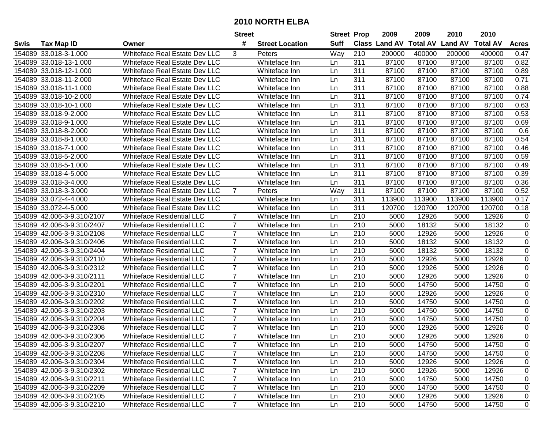|        |                            |                                      | <b>Street</b>  |                        | <b>Street Prop</b> |                  | 2009                 | 2009            | 2010           | 2010            |                |
|--------|----------------------------|--------------------------------------|----------------|------------------------|--------------------|------------------|----------------------|-----------------|----------------|-----------------|----------------|
| Swis   | <b>Tax Map ID</b>          | Owner                                | #              | <b>Street Location</b> | <b>Suff</b>        |                  | <b>Class Land AV</b> | <b>Total AV</b> | <b>Land AV</b> | <b>Total AV</b> | <b>Acres</b>   |
|        | 154089 33.018-3-1.000      | <b>Whiteface Real Estate Dev LLC</b> | 3              | Peters                 | Way                | 210              | 200000               | 400000          | 200000         | 400000          | 0.47           |
|        | 154089 33.018-13-1.000     | <b>Whiteface Real Estate Dev LLC</b> |                | Whiteface Inn          | Ln                 | 311              | 87100                | 87100           | 87100          | 87100           | 0.82           |
|        | 154089 33.018-12-1.000     | <b>Whiteface Real Estate Dev LLC</b> |                | Whiteface Inn          | Ln                 | 311              | 87100                | 87100           | 87100          | 87100           | 0.89           |
|        | 154089 33.018-11-2.000     | Whiteface Real Estate Dev LLC        |                | Whiteface Inn          | Ln                 | 311              | 87100                | 87100           | 87100          | 87100           | 0.71           |
|        | 154089 33.018-11-1.000     | Whiteface Real Estate Dev LLC        |                | Whiteface Inn          | Ln                 | 311              | 87100                | 87100           | 87100          | 87100           | 0.88           |
|        | 154089 33.018-10-2.000     | Whiteface Real Estate Dev LLC        |                | Whiteface Inn          | Ln                 | 311              | 87100                | 87100           | 87100          | 87100           | 0.74           |
|        | 154089 33.018-10-1.000     | Whiteface Real Estate Dev LLC        |                | Whiteface Inn          | Ln                 | 311              | 87100                | 87100           | 87100          | 87100           | 0.63           |
|        | 154089 33.018-9-2.000      | Whiteface Real Estate Dev LLC        |                | Whiteface Inn          | Ln                 | 311              | 87100                | 87100           | 87100          | 87100           | 0.53           |
|        | 154089 33.018-9-1.000      | Whiteface Real Estate Dev LLC        |                | Whiteface Inn          | Ln                 | 311              | 87100                | 87100           | 87100          | 87100           | 0.69           |
|        | 154089 33.018-8-2.000      | <b>Whiteface Real Estate Dev LLC</b> |                | Whiteface Inn          | Ln                 | 311              | 87100                | 87100           | 87100          | 87100           | 0.6            |
|        | 154089 33.018-8-1.000      | <b>Whiteface Real Estate Dev LLC</b> |                | Whiteface Inn          | Ln                 | 311              | 87100                | 87100           | 87100          | 87100           | 0.54           |
|        | 154089 33.018-7-1.000      | <b>Whiteface Real Estate Dev LLC</b> |                | Whiteface Inn          | Ln                 | 311              | 87100                | 87100           | 87100          | 87100           | 0.46           |
|        | 154089 33.018-5-2.000      | Whiteface Real Estate Dev LLC        |                | Whiteface Inn          | Ln                 | 311              | 87100                | 87100           | 87100          | 87100           | 0.59           |
|        | 154089 33.018-5-1.000      | Whiteface Real Estate Dev LLC        |                | Whiteface Inn          | Ln                 | 311              | 87100                | 87100           | 87100          | 87100           | 0.49           |
|        | 154089 33.018-4-5.000      | Whiteface Real Estate Dev LLC        |                | Whiteface Inn          | Ln                 | 311              | 87100                | 87100           | 87100          | 87100           | 0.39           |
|        | 154089 33.018-3-4.000      | Whiteface Real Estate Dev LLC        |                | Whiteface Inn          | Ln                 | 311              | 87100                | 87100           | 87100          | 87100           | 0.36           |
|        | 154089 33.018-3-3.000      | <b>Whiteface Real Estate Dev LLC</b> | $\overline{7}$ | Peters                 | Way                | 311              | 87100                | 87100           | 87100          | 87100           | 0.52           |
| 154089 | 33.072-4-4.000             | Whiteface Real Estate Dev LLC        |                | Whiteface Inn          | Ln                 | 311              | 113900               | 113900          | 113900         | 113900          | 0.17           |
|        | 154089 33.072-4-5.000      | Whiteface Real Estate Dev LLC        |                | Whiteface Inn          | Ln                 | 311              | 120700               | 120700          | 120700         | 120700          | 0.18           |
|        | 154089 42.006-3-9.310/2107 | <b>Whiteface Residential LLC</b>     | $\overline{7}$ | Whiteface Inn          | Ln                 | 210              | 5000                 | 12926           | 5000           | 12926           | 0              |
| 154089 | 42.006-3-9.310/2407        | <b>Whiteface Residential LLC</b>     | $\overline{7}$ | Whiteface Inn          | Ln                 | 210              | 5000                 | 18132           | 5000           | 18132           | $\mathbf 0$    |
| 154089 | 42.006-3-9.310/2108        | <b>Whiteface Residential LLC</b>     | $\overline{7}$ | Whiteface Inn          | Ln                 | 210              | 5000                 | 12926           | 5000           | 12926           | $\mathbf 0$    |
| 154089 | 42.006-3-9.310/2406        | <b>Whiteface Residential LLC</b>     | $\overline{7}$ | Whiteface Inn          | Ln                 | 210              | 5000                 | 18132           | 5000           | 18132           | $\mathbf 0$    |
| 154089 | 42.006-3-9.310/2404        | <b>Whiteface Residential LLC</b>     | $\overline{7}$ | Whiteface Inn          | Ln                 | 210              | 5000                 | 18132           | 5000           | 18132           | $\mathbf 0$    |
| 154089 | 42.006-3-9.310/2110        | <b>Whiteface Residential LLC</b>     | $\overline{7}$ | Whiteface Inn          | Ln                 | 210              | 5000                 | 12926           | 5000           | 12926           | $\mathbf 0$    |
| 154089 | 42.006-3-9.310/2312        | <b>Whiteface Residential LLC</b>     | $\overline{7}$ | Whiteface Inn          | Ln                 | 210              | 5000                 | 12926           | 5000           | 12926           | $\mathbf 0$    |
| 154089 | 42.006-3-9.310/2111        | <b>Whiteface Residential LLC</b>     | $\overline{7}$ | Whiteface Inn          | Ln                 | 210              | 5000                 | 12926           | 5000           | 12926           | 0              |
| 154089 | 42.006-3-9.310/2201        | <b>Whiteface Residential LLC</b>     | $\overline{7}$ | Whiteface Inn          | Ln                 | 210              | 5000                 | 14750           | 5000           | 14750           | 0              |
| 154089 | 42.006-3-9.310/2310        | <b>Whiteface Residential LLC</b>     | $\overline{7}$ | Whiteface Inn          | Ln                 | 210              | 5000                 | 12926           | 5000           | 12926           | $\pmb{0}$      |
| 154089 | 42.006-3-9.310/2202        | <b>Whiteface Residential LLC</b>     | $\overline{7}$ | Whiteface Inn          | Ln                 | 210              | 5000                 | 14750           | 5000           | 14750           | 0              |
| 154089 | 42.006-3-9.310/2203        | <b>Whiteface Residential LLC</b>     | $\overline{7}$ | Whiteface Inn          | Ln                 | $\overline{210}$ | 5000                 | 14750           | 5000           | 14750           | $\mathbf 0$    |
| 154089 | 42.006-3-9.310/2204        | <b>Whiteface Residential LLC</b>     | $\overline{7}$ | Whiteface Inn          | Ln                 | 210              | 5000                 | 14750           | 5000           | 14750           | $\overline{0}$ |
| 154089 | 42.006-3-9.310/2308        | <b>Whiteface Residential LLC</b>     | $\overline{7}$ | Whiteface Inn          | Ln.                | 210              | 5000                 | 12926           | 5000           | 12926           | 0              |
|        | 154089 42.006-3-9.310/2306 | <b>Whiteface Residential LLC</b>     | $\overline{7}$ | Whiteface Inn          | Ln                 | 210              | 5000                 | 12926           | 5000           | 12926           | $\mathbf 0$    |
|        | 154089 42.006-3-9.310/2207 | Whiteface Residential LLC            |                | Whiteface Inn          | Ln                 | 210              | 5000                 | 14750           | 5000           | 14750           | 0              |
|        | 154089 42.006-3-9.310/2208 | Whiteface Residential LLC            | $\overline{7}$ | Whiteface Inn          | Ln                 | 210              | 5000                 | 14750           | 5000           | 14750           | $\mathbf 0$    |
|        | 154089 42.006-3-9.310/2304 | Whiteface Residential LLC            | $\overline{7}$ | Whiteface Inn          | Ln                 | 210              | 5000                 | 12926           | 5000           | 12926           | $\mathbf 0$    |
|        | 154089 42.006-3-9.310/2302 | <b>Whiteface Residential LLC</b>     | $\overline{7}$ | Whiteface Inn          | Ln                 | 210              | 5000                 | 12926           | 5000           | 12926           | $\mathbf 0$    |
|        | 154089 42.006-3-9.310/2211 | <b>Whiteface Residential LLC</b>     | $\overline{7}$ | Whiteface Inn          | Ln                 | 210              | 5000                 | 14750           | 5000           | 14750           | $\mathbf 0$    |
|        | 154089 42.006-3-9.310/2209 | <b>Whiteface Residential LLC</b>     | $\overline{7}$ | Whiteface Inn          | Ln                 | 210              | 5000                 | 14750           | 5000           | 14750           | 0              |
|        | 154089 42.006-3-9.310/2105 | <b>Whiteface Residential LLC</b>     | $\overline{7}$ | Whiteface Inn          | Ln                 | 210              | 5000                 | 12926           | 5000           | 12926           | $\mathbf 0$    |
|        | 154089 42.006-3-9.310/2210 | <b>Whiteface Residential LLC</b>     | $\overline{7}$ | Whiteface Inn          | Ln                 | 210              | 5000                 | 14750           | 5000           | 14750           | $\mathbf 0$    |
|        |                            |                                      |                |                        |                    |                  |                      |                 |                |                 |                |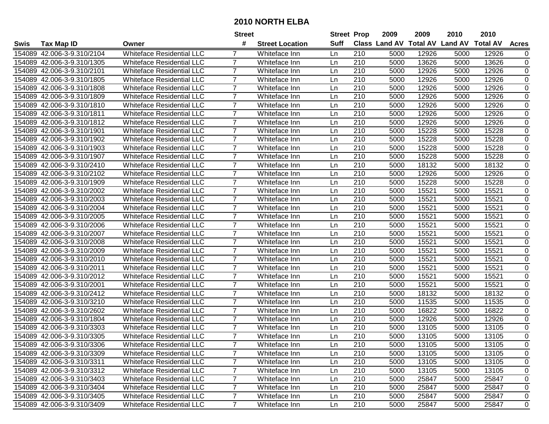|             |                            |                                  | <b>Street</b>  |                        | <b>Street Prop</b> |     | 2009                          | 2009  | 2010           | 2010            |                |
|-------------|----------------------------|----------------------------------|----------------|------------------------|--------------------|-----|-------------------------------|-------|----------------|-----------------|----------------|
| <b>Swis</b> | <b>Tax Map ID</b>          | Owner                            | #              | <b>Street Location</b> | Suff               |     | <b>Class Land AV Total AV</b> |       | <b>Land AV</b> | <b>Total AV</b> | <b>Acres</b>   |
|             | 154089 42.006-3-9.310/2104 | <b>Whiteface Residential LLC</b> |                | Whiteface Inn          | Ln                 | 210 | 5000                          | 12926 | 5000           | 12926           | 0              |
|             | 154089 42.006-3-9.310/1305 | <b>Whiteface Residential LLC</b> | 7              | Whiteface Inn          | Ln                 | 210 | 5000                          | 13626 | 5000           | 13626           | 0              |
|             | 154089 42.006-3-9.310/2101 | <b>Whiteface Residential LLC</b> | 7              | Whiteface Inn          | Ln                 | 210 | 5000                          | 12926 | 5000           | 12926           | 0              |
|             | 154089 42.006-3-9.310/1805 | <b>Whiteface Residential LLC</b> | $\overline{7}$ | Whiteface Inn          | Ln                 | 210 | 5000                          | 12926 | 5000           | 12926           | $\mathbf 0$    |
|             | 154089 42.006-3-9.310/1808 | <b>Whiteface Residential LLC</b> | 7              | Whiteface Inn          | Ln                 | 210 | 5000                          | 12926 | 5000           | 12926           | 0              |
| 154089      | 42.006-3-9.310/1809        | <b>Whiteface Residential LLC</b> | $\overline{7}$ | Whiteface Inn          | Ln                 | 210 | 5000                          | 12926 | 5000           | 12926           | $\mathbf 0$    |
|             | 154089 42.006-3-9.310/1810 | <b>Whiteface Residential LLC</b> | $\overline{7}$ | Whiteface Inn          | Ln                 | 210 | 5000                          | 12926 | 5000           | 12926           | 0              |
| 154089      | 42.006-3-9.310/1811        | <b>Whiteface Residential LLC</b> | $\overline{7}$ | Whiteface Inn          | Ln                 | 210 | 5000                          | 12926 | 5000           | 12926           | 0              |
| 154089      | 42.006-3-9.310/1812        | <b>Whiteface Residential LLC</b> | $\overline{7}$ | Whiteface Inn          | Ln                 | 210 | 5000                          | 12926 | 5000           | 12926           | 0              |
| 154089      | 42.006-3-9.310/1901        | <b>Whiteface Residential LLC</b> | $\overline{7}$ | Whiteface Inn          | Ln                 | 210 | 5000                          | 15228 | 5000           | 15228           | 0              |
|             | 154089 42.006-3-9.310/1902 | <b>Whiteface Residential LLC</b> | $\overline{7}$ | Whiteface Inn          | Ln                 | 210 | 5000                          | 15228 | 5000           | 15228           | 0              |
|             | 154089 42.006-3-9.310/1903 | <b>Whiteface Residential LLC</b> | 7              | Whiteface Inn          | Ln                 | 210 | 5000                          | 15228 | 5000           | 15228           | 0              |
| 154089      | 42.006-3-9.310/1907        | <b>Whiteface Residential LLC</b> | $\overline{7}$ | Whiteface Inn          | Ln                 | 210 | 5000                          | 15228 | 5000           | 15228           | $\pmb{0}$      |
| 154089      | 42.006-3-9.310/2410        | <b>Whiteface Residential LLC</b> | $\overline{7}$ | Whiteface Inn          | Ln                 | 210 | 5000                          | 18132 | 5000           | 18132           | 0              |
| 154089      | 42.006-3-9.310/2102        | <b>Whiteface Residential LLC</b> | $\overline{7}$ | Whiteface Inn          | Ln                 | 210 | 5000                          | 12926 | 5000           | 12926           | $\mathbf 0$    |
| 154089      | 42.006-3-9.310/1909        | <b>Whiteface Residential LLC</b> | 7              | Whiteface Inn          | Ln                 | 210 | 5000                          | 15228 | 5000           | 15228           | 0              |
| 154089      | 42.006-3-9.310/2002        | <b>Whiteface Residential LLC</b> | $\overline{7}$ | Whiteface Inn          | Ln                 | 210 | 5000                          | 15521 | 5000           | 15521           | 0              |
| 154089      | 42.006-3-9.310/2003        | <b>Whiteface Residential LLC</b> | 7              | Whiteface Inn          | Ln                 | 210 | 5000                          | 15521 | 5000           | 15521           | 0              |
|             | 154089 42.006-3-9.310/2004 | <b>Whiteface Residential LLC</b> | $\overline{7}$ | Whiteface Inn          | Ln                 | 210 | 5000                          | 15521 | 5000           | 15521           | $\mathbf 0$    |
|             | 154089 42.006-3-9.310/2005 | <b>Whiteface Residential LLC</b> | 7              | Whiteface Inn          | Ln                 | 210 | 5000                          | 15521 | 5000           | 15521           | 0              |
|             | 154089 42.006-3-9.310/2006 | <b>Whiteface Residential LLC</b> | 7              | Whiteface Inn          | Ln                 | 210 | 5000                          | 15521 | 5000           | 15521           | $\mathbf 0$    |
| 154089      | 42.006-3-9.310/2007        | <b>Whiteface Residential LLC</b> | $\overline{7}$ | Whiteface Inn          | Ln                 | 210 | 5000                          | 15521 | 5000           | 15521           | 0              |
| 154089      | 42.006-3-9.310/2008        | <b>Whiteface Residential LLC</b> | $\overline{7}$ | Whiteface Inn          | Ln                 | 210 | 5000                          | 15521 | 5000           | 15521           | $\mathbf 0$    |
| 154089      | 42.006-3-9.310/2009        | <b>Whiteface Residential LLC</b> | $\overline{7}$ | Whiteface Inn          | Ln                 | 210 | 5000                          | 15521 | 5000           | 15521           | 0              |
| 154089      | 42.006-3-9.310/2010        | <b>Whiteface Residential LLC</b> | $\overline{7}$ | Whiteface Inn          | Ln                 | 210 | 5000                          | 15521 | 5000           | 15521           | 0              |
| 154089      | 42.006-3-9.310/2011        | <b>Whiteface Residential LLC</b> | $\overline{7}$ | Whiteface Inn          | Ln                 | 210 | 5000                          | 15521 | 5000           | 15521           | 0              |
|             | 154089 42.006-3-9.310/2012 | <b>Whiteface Residential LLC</b> | $\overline{7}$ | Whiteface Inn          | Ln                 | 210 | 5000                          | 15521 | 5000           | 15521           | 0              |
|             | 154089 42.006-3-9.310/2001 | <b>Whiteface Residential LLC</b> | $\overline{7}$ | Whiteface Inn          | Ln                 | 210 | 5000                          | 15521 | 5000           | 15521           | 0              |
|             | 154089 42.006-3-9.310/2412 | <b>Whiteface Residential LLC</b> | $\overline{7}$ | Whiteface Inn          | Ln                 | 210 | 5000                          | 18132 | 5000           | 18132           | $\pmb{0}$      |
| 154089      | 42.006-3-9.310/3210        | <b>Whiteface Residential LLC</b> | $\overline{7}$ | Whiteface Inn          | Ln                 | 210 | 5000                          | 11535 | 5000           | 11535           | 0              |
| 154089      | 42.006-3-9.310/2602        | <b>Whiteface Residential LLC</b> | $\overline{7}$ | Whiteface Inn          | Ln                 | 210 | 5000                          | 16822 | 5000           | 16822           | $\overline{0}$ |
|             | 154089 42.006-3-9.310/1804 | <b>Whiteface Residential LLC</b> | $\overline{7}$ | Whiteface Inn          | Ln                 | 210 | 5000                          | 12926 | 5000           | 12926           | 0              |
|             | 154089 42.006-3-9.310/3303 | <b>Whiteface Residential LLC</b> | $\overline{7}$ | Whiteface Inn          | Ln                 | 210 | 5000                          | 13105 | 5000           | 13105           | 0              |
|             | 154089 42.006-3-9.310/3305 | <b>Whiteface Residential LLC</b> | $\overline{7}$ | Whiteface Inn          | Ln                 | 210 | 5000                          | 13105 | 5000           | 13105           | 0              |
|             | 154089 42.006-3-9.310/3306 | <b>Whiteface Residential LLC</b> |                | Whiteface Inn          | Ln                 | 210 | 5000                          | 13105 | 5000           | 13105           | 0              |
|             | 154089 42.006-3-9.310/3309 | Whiteface Residential LLC        | 7              | Whiteface Inn          | Ln                 | 210 | 5000                          | 13105 | 5000           | 13105           | 0              |
|             | 154089 42.006-3-9.310/3311 | Whiteface Residential LLC        | 7              | Whiteface Inn          | Ln                 | 210 | 5000                          | 13105 | 5000           | 13105           | 0              |
|             | 154089 42.006-3-9.310/3312 | <b>Whiteface Residential LLC</b> | $\overline{7}$ | Whiteface Inn          | Ln                 | 210 | 5000                          | 13105 | 5000           | 13105           | 0              |
|             | 154089 42.006-3-9.310/3403 | <b>Whiteface Residential LLC</b> | $\overline{7}$ | Whiteface Inn          | Ln                 | 210 | 5000                          | 25847 | 5000           | 25847           | 0              |
|             | 154089 42.006-3-9.310/3404 | <b>Whiteface Residential LLC</b> | $\overline{7}$ | Whiteface Inn          | Ln                 | 210 | 5000                          | 25847 | 5000           | 25847           | 0              |
|             | 154089 42.006-3-9.310/3405 | <b>Whiteface Residential LLC</b> | $\overline{7}$ | Whiteface Inn          | Ln                 | 210 | 5000                          | 25847 | 5000           | 25847           | 0              |
|             | 154089 42.006-3-9.310/3409 | <b>Whiteface Residential LLC</b> | $\overline{7}$ | Whiteface Inn          | Ln                 | 210 | 5000                          | 25847 | 5000           | 25847           | 0              |
|             |                            |                                  |                |                        |                    |     |                               |       |                |                 |                |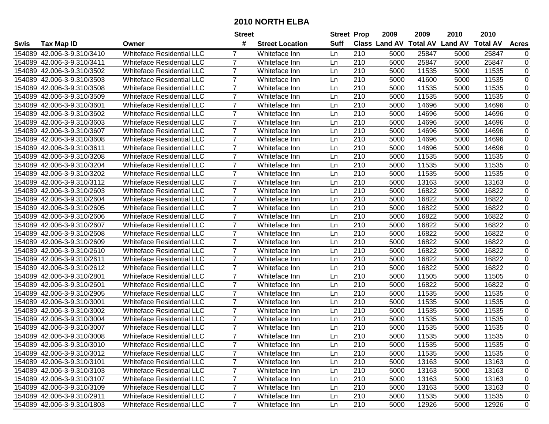|             |                            |                                  | <b>Street</b>  |                        | <b>Street Prop</b> |     | 2009                          | 2009  | 2010           | 2010            |                |
|-------------|----------------------------|----------------------------------|----------------|------------------------|--------------------|-----|-------------------------------|-------|----------------|-----------------|----------------|
| <b>Swis</b> | <b>Tax Map ID</b>          | Owner                            | #              | <b>Street Location</b> | Suff               |     | <b>Class Land AV Total AV</b> |       | <b>Land AV</b> | <b>Total AV</b> | <b>Acres</b>   |
|             | 154089 42.006-3-9.310/3410 | <b>Whiteface Residential LLC</b> |                | Whiteface Inn          | Ln                 | 210 | 5000                          | 25847 | 5000           | 25847           | 0              |
|             | 154089 42.006-3-9.310/3411 | <b>Whiteface Residential LLC</b> | 7              | Whiteface Inn          | Ln                 | 210 | 5000                          | 25847 | 5000           | 25847           | 0              |
|             | 154089 42.006-3-9.310/3502 | <b>Whiteface Residential LLC</b> | 7              | Whiteface Inn          | Ln                 | 210 | 5000                          | 11535 | 5000           | 11535           | 0              |
|             | 154089 42.006-3-9.310/3503 | <b>Whiteface Residential LLC</b> | $\overline{7}$ | Whiteface Inn          | Ln                 | 210 | 5000                          | 41600 | 5000           | 11535           | $\mathbf 0$    |
|             | 154089 42.006-3-9.310/3508 | <b>Whiteface Residential LLC</b> | 7              | Whiteface Inn          | Ln                 | 210 | 5000                          | 11535 | 5000           | 11535           | 0              |
| 154089      | 42.006-3-9.310/3509        | <b>Whiteface Residential LLC</b> | $\overline{7}$ | Whiteface Inn          | Ln                 | 210 | 5000                          | 11535 | 5000           | 11535           | $\mathbf 0$    |
|             | 154089 42.006-3-9.310/3601 | <b>Whiteface Residential LLC</b> | $\overline{7}$ | Whiteface Inn          | Ln                 | 210 | 5000                          | 14696 | 5000           | 14696           | 0              |
| 154089      | 42.006-3-9.310/3602        | <b>Whiteface Residential LLC</b> | $\overline{7}$ | Whiteface Inn          | Ln                 | 210 | 5000                          | 14696 | 5000           | 14696           | 0              |
| 154089      | 42.006-3-9.310/3603        | <b>Whiteface Residential LLC</b> | $\overline{7}$ | Whiteface Inn          | Ln                 | 210 | 5000                          | 14696 | 5000           | 14696           | 0              |
| 154089      | 42.006-3-9.310/3607        | <b>Whiteface Residential LLC</b> | $\overline{7}$ | Whiteface Inn          | Ln                 | 210 | 5000                          | 14696 | 5000           | 14696           | 0              |
|             | 154089 42.006-3-9.310/3608 | <b>Whiteface Residential LLC</b> | $\overline{7}$ | Whiteface Inn          | Ln                 | 210 | 5000                          | 14696 | 5000           | 14696           | 0              |
|             | 154089 42.006-3-9.310/3611 | <b>Whiteface Residential LLC</b> | 7              | Whiteface Inn          | Ln                 | 210 | 5000                          | 14696 | 5000           | 14696           | 0              |
| 154089      | 42.006-3-9.310/3208        | <b>Whiteface Residential LLC</b> | $\overline{7}$ | Whiteface Inn          | Ln                 | 210 | 5000                          | 11535 | 5000           | 11535           | $\pmb{0}$      |
| 154089      | 42.006-3-9.310/3204        | <b>Whiteface Residential LLC</b> | $\overline{7}$ | Whiteface Inn          | Ln                 | 210 | 5000                          | 11535 | 5000           | 11535           | $\pmb{0}$      |
| 154089      | 42.006-3-9.310/3202        | <b>Whiteface Residential LLC</b> | $\overline{7}$ | Whiteface Inn          | Ln                 | 210 | 5000                          | 11535 | 5000           | 11535           | $\mathbf 0$    |
| 154089      | 42.006-3-9.310/3112        | <b>Whiteface Residential LLC</b> | 7              | Whiteface Inn          | Ln                 | 210 | 5000                          | 13163 | 5000           | 13163           | 0              |
| 154089      | 42.006-3-9.310/2603        | <b>Whiteface Residential LLC</b> | $\overline{7}$ | Whiteface Inn          | Ln                 | 210 | 5000                          | 16822 | 5000           | 16822           | $\pmb{0}$      |
| 154089      | 42.006-3-9.310/2604        | <b>Whiteface Residential LLC</b> | 7              | Whiteface Inn          | Ln                 | 210 | 5000                          | 16822 | 5000           | 16822           | $\pmb{0}$      |
|             | 154089 42.006-3-9.310/2605 | <b>Whiteface Residential LLC</b> | $\overline{7}$ | Whiteface Inn          | Ln                 | 210 | 5000                          | 16822 | 5000           | 16822           | $\pmb{0}$      |
|             | 154089 42.006-3-9.310/2606 | <b>Whiteface Residential LLC</b> | 7              | Whiteface Inn          | Ln                 | 210 | 5000                          | 16822 | 5000           | 16822           | $\pmb{0}$      |
|             | 154089 42.006-3-9.310/2607 | <b>Whiteface Residential LLC</b> | 7              | Whiteface Inn          | Ln                 | 210 | 5000                          | 16822 | 5000           | 16822           | $\pmb{0}$      |
| 154089      | 42.006-3-9.310/2608        | <b>Whiteface Residential LLC</b> | $\overline{7}$ | Whiteface Inn          | Ln                 | 210 | 5000                          | 16822 | 5000           | 16822           | $\pmb{0}$      |
| 154089      | 42.006-3-9.310/2609        | <b>Whiteface Residential LLC</b> | $\overline{7}$ | Whiteface Inn          | Ln                 | 210 | 5000                          | 16822 | 5000           | 16822           | $\mathbf 0$    |
| 154089      | 42.006-3-9.310/2610        | <b>Whiteface Residential LLC</b> | $\overline{7}$ | Whiteface Inn          | Ln                 | 210 | 5000                          | 16822 | 5000           | 16822           | 0              |
| 154089      | 42.006-3-9.310/2611        | <b>Whiteface Residential LLC</b> | $\overline{7}$ | Whiteface Inn          | Ln                 | 210 | 5000                          | 16822 | 5000           | 16822           | $\pmb{0}$      |
| 154089      | 42.006-3-9.310/2612        | <b>Whiteface Residential LLC</b> | $\overline{7}$ | Whiteface Inn          | Ln                 | 210 | 5000                          | 16822 | 5000           | 16822           | $\pmb{0}$      |
|             | 154089 42.006-3-9.310/2801 | <b>Whiteface Residential LLC</b> | $\overline{7}$ | Whiteface Inn          | Ln                 | 210 | 5000                          | 11505 | 5000           | 11505           | $\pmb{0}$      |
|             | 154089 42.006-3-9.310/2601 | <b>Whiteface Residential LLC</b> | $\overline{7}$ | Whiteface Inn          | Ln                 | 210 | 5000                          | 16822 | 5000           | 16822           | 0              |
| 154089      | 42.006-3-9.310/2905        | <b>Whiteface Residential LLC</b> | $\overline{7}$ | Whiteface Inn          | Ln                 | 210 | 5000                          | 11535 | 5000           | 11535           | $\pmb{0}$      |
| 154089      | 42.006-3-9.310/3001        | <b>Whiteface Residential LLC</b> | $\overline{7}$ | Whiteface Inn          | Ln                 | 210 | 5000                          | 11535 | 5000           | 11535           | $\pmb{0}$      |
| 154089      | 42.006-3-9.310/3002        | <b>Whiteface Residential LLC</b> | $\overline{7}$ | Whiteface Inn          | Ln                 | 210 | 5000                          | 11535 | 5000           | 11535           | $\overline{0}$ |
|             | 154089 42.006-3-9.310/3004 | <b>Whiteface Residential LLC</b> | $\overline{7}$ | Whiteface Inn          | Ln                 | 210 | 5000                          | 11535 | 5000           | 11535           | 0              |
|             | 154089 42.006-3-9.310/3007 | <b>Whiteface Residential LLC</b> | $\overline{7}$ | Whiteface Inn          | Ln                 | 210 | 5000                          | 11535 | 5000           | 11535           | 0              |
|             | 154089 42.006-3-9.310/3008 | <b>Whiteface Residential LLC</b> | 7              | Whiteface Inn          | Ln                 | 210 | 5000                          | 11535 | 5000           | 11535           | 0              |
|             | 154089 42.006-3-9.310/3010 | <b>Whiteface Residential LLC</b> |                | Whiteface Inn          | Ln                 | 210 | 5000                          | 11535 | 5000           | 11535           | 0              |
|             | 154089 42.006-3-9.310/3012 | Whiteface Residential LLC        | 7              | Whiteface Inn          | Ln                 | 210 | 5000                          | 11535 | 5000           | 11535           | 0              |
|             | 154089 42.006-3-9.310/3101 | Whiteface Residential LLC        | 7              | Whiteface Inn          | Ln                 | 210 | 5000                          | 13163 | 5000           | 13163           | 0              |
|             | 154089 42.006-3-9.310/3103 | <b>Whiteface Residential LLC</b> | $\overline{7}$ | Whiteface Inn          | Ln                 | 210 | 5000                          | 13163 | 5000           | 13163           | 0              |
|             | 154089 42.006-3-9.310/3107 | <b>Whiteface Residential LLC</b> | $\overline{7}$ | Whiteface Inn          | Ln                 | 210 | 5000                          | 13163 | 5000           | 13163           | 0              |
|             | 154089 42.006-3-9.310/3109 | <b>Whiteface Residential LLC</b> | $\overline{7}$ | Whiteface Inn          | Ln                 | 210 | 5000                          | 13163 | 5000           | 13163           | 0              |
|             | 154089 42.006-3-9.310/2911 | Whiteface Residential LLC        | $\overline{7}$ | Whiteface Inn          | Ln                 | 210 | 5000                          | 11535 | 5000           | 11535           | 0              |
|             | 154089 42.006-3-9.310/1803 | <b>Whiteface Residential LLC</b> | $\overline{7}$ | Whiteface Inn          | Ln                 | 210 | 5000                          | 12926 | 5000           | 12926           | 0              |
|             |                            |                                  |                |                        |                    |     |                               |       |                |                 |                |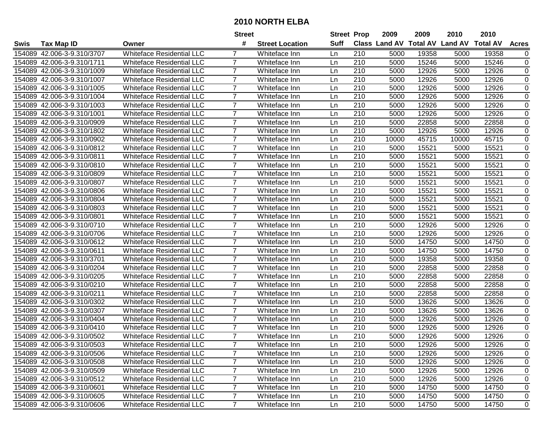|             |                            |                                  | <b>Street</b>  |                        | <b>Street Prop</b> |     | 2009                          | 2009  | 2010           | 2010            |              |
|-------------|----------------------------|----------------------------------|----------------|------------------------|--------------------|-----|-------------------------------|-------|----------------|-----------------|--------------|
| <b>Swis</b> | <b>Tax Map ID</b>          | Owner                            | #              | <b>Street Location</b> | Suff               |     | <b>Class Land AV Total AV</b> |       | <b>Land AV</b> | <b>Total AV</b> | <b>Acres</b> |
|             | 154089 42.006-3-9.310/3707 | <b>Whiteface Residential LLC</b> |                | Whiteface Inn          | Ln                 | 210 | 5000                          | 19358 | 5000           | 19358           | 0            |
|             | 154089 42.006-3-9.310/1711 | <b>Whiteface Residential LLC</b> | 7              | Whiteface Inn          | Ln                 | 210 | 5000                          | 15246 | 5000           | 15246           | $\pmb{0}$    |
|             | 154089 42.006-3-9.310/1009 | <b>Whiteface Residential LLC</b> | 7              | Whiteface Inn          | Ln                 | 210 | 5000                          | 12926 | 5000           | 12926           | 0            |
|             | 154089 42.006-3-9.310/1007 | <b>Whiteface Residential LLC</b> | $\overline{7}$ | Whiteface Inn          | Ln                 | 210 | 5000                          | 12926 | 5000           | 12926           | $\mathbf 0$  |
|             | 154089 42.006-3-9.310/1005 | <b>Whiteface Residential LLC</b> | 7              | Whiteface Inn          | Ln                 | 210 | 5000                          | 12926 | 5000           | 12926           | 0            |
| 154089      | 42.006-3-9.310/1004        | <b>Whiteface Residential LLC</b> | $\overline{7}$ | Whiteface Inn          | Ln                 | 210 | 5000                          | 12926 | 5000           | 12926           | $\mathbf 0$  |
|             | 154089 42.006-3-9.310/1003 | Whiteface Residential LLC        | $\overline{7}$ | Whiteface Inn          | Ln                 | 210 | 5000                          | 12926 | 5000           | 12926           | 0            |
| 154089      | 42.006-3-9.310/1001        | <b>Whiteface Residential LLC</b> | $\overline{7}$ | Whiteface Inn          | Ln                 | 210 | 5000                          | 12926 | 5000           | 12926           | 0            |
| 154089      | 42.006-3-9.310/0909        | <b>Whiteface Residential LLC</b> | $\overline{7}$ | Whiteface Inn          | Ln                 | 210 | 5000                          | 22858 | 5000           | 22858           | 0            |
| 154089      | 42.006-3-9.310/1802        | <b>Whiteface Residential LLC</b> | $\overline{7}$ | Whiteface Inn          | Ln                 | 210 | 5000                          | 12926 | 5000           | 12926           | $\pmb{0}$    |
|             | 154089 42.006-3-9.310/0902 | <b>Whiteface Residential LLC</b> | $\overline{7}$ | Whiteface Inn          | Ln                 | 210 | 10000                         | 45715 | 10000          | 45715           | $\pmb{0}$    |
|             | 154089 42.006-3-9.310/0812 | <b>Whiteface Residential LLC</b> | 7              | Whiteface Inn          | Ln                 | 210 | 5000                          | 15521 | 5000           | 15521           | 0            |
| 154089      | 42.006-3-9.310/0811        | <b>Whiteface Residential LLC</b> | $\overline{7}$ | Whiteface Inn          | Ln                 | 210 | 5000                          | 15521 | 5000           | 15521           | $\pmb{0}$    |
| 154089      | 42.006-3-9.310/0810        | <b>Whiteface Residential LLC</b> | $\overline{7}$ | Whiteface Inn          | Ln                 | 210 | 5000                          | 15521 | 5000           | 15521           | $\pmb{0}$    |
| 154089      | 42.006-3-9.310/0809        | <b>Whiteface Residential LLC</b> | $\overline{7}$ | Whiteface Inn          | Ln                 | 210 | 5000                          | 15521 | 5000           | 15521           | $\mathbf 0$  |
| 154089      | 42.006-3-9.310/0807        | <b>Whiteface Residential LLC</b> | 7              | Whiteface Inn          | Ln                 | 210 | 5000                          | 15521 | 5000           | 15521           | 0            |
| 154089      | 42.006-3-9.310/0806        | <b>Whiteface Residential LLC</b> | $\overline{7}$ | Whiteface Inn          | Ln                 | 210 | 5000                          | 15521 | 5000           | 15521           | $\pmb{0}$    |
| 154089      | 42.006-3-9.310/0804        | <b>Whiteface Residential LLC</b> | 7              | Whiteface Inn          | Ln                 | 210 | 5000                          | 15521 | 5000           | 15521           | 0            |
|             | 154089 42.006-3-9.310/0803 | <b>Whiteface Residential LLC</b> | $\overline{7}$ | Whiteface Inn          | Ln                 | 210 | 5000                          | 15521 | 5000           | 15521           | $\pmb{0}$    |
|             | 154089 42.006-3-9.310/0801 | <b>Whiteface Residential LLC</b> | 7              | Whiteface Inn          | Ln                 | 210 | 5000                          | 15521 | 5000           | 15521           | $\pmb{0}$    |
|             | 154089 42.006-3-9.310/0710 | <b>Whiteface Residential LLC</b> | 7              | Whiteface Inn          | Ln                 | 210 | 5000                          | 12926 | 5000           | 12926           | $\pmb{0}$    |
| 154089      | 42.006-3-9.310/0706        | <b>Whiteface Residential LLC</b> | $\overline{7}$ | Whiteface Inn          | Ln                 | 210 | 5000                          | 12926 | 5000           | 12926           | 0            |
| 154089      | 42.006-3-9.310/0612        | <b>Whiteface Residential LLC</b> | $\overline{7}$ | Whiteface Inn          | Ln                 | 210 | 5000                          | 14750 | 5000           | 14750           | $\mathbf 0$  |
| 154089      | 42.006-3-9.310/0611        | <b>Whiteface Residential LLC</b> | $\overline{7}$ | Whiteface Inn          | Ln                 | 210 | 5000                          | 14750 | 5000           | 14750           | 0            |
| 154089      | 42.006-3-9.310/3701        | <b>Whiteface Residential LLC</b> | $\overline{7}$ | Whiteface Inn          | Ln                 | 210 | 5000                          | 19358 | 5000           | 19358           | $\pmb{0}$    |
| 154089      | 42.006-3-9.310/0204        | <b>Whiteface Residential LLC</b> | $\overline{7}$ | Whiteface Inn          | Ln                 | 210 | 5000                          | 22858 | 5000           | 22858           | $\pmb{0}$    |
|             | 154089 42.006-3-9.310/0205 | <b>Whiteface Residential LLC</b> | $\overline{7}$ | Whiteface Inn          | Ln                 | 210 | 5000                          | 22858 | 5000           | 22858           | $\pmb{0}$    |
|             | 154089 42.006-3-9.310/0210 | <b>Whiteface Residential LLC</b> | $\overline{7}$ | Whiteface Inn          | Ln                 | 210 | 5000                          | 22858 | 5000           | 22858           | 0            |
|             | 154089 42.006-3-9.310/0211 | <b>Whiteface Residential LLC</b> | $\overline{7}$ | Whiteface Inn          | Ln                 | 210 | 5000                          | 22858 | 5000           | 22858           | $\pmb{0}$    |
| 154089      | 42.006-3-9.310/0302        | <b>Whiteface Residential LLC</b> | $\overline{7}$ | Whiteface Inn          | Ln                 | 210 | 5000                          | 13626 | 5000           | 13626           | $\pmb{0}$    |
| 154089      | 42.006-3-9.310/0307        | <b>Whiteface Residential LLC</b> | $\overline{7}$ | Whiteface Inn          | Ln                 | 210 | 5000                          | 13626 | 5000           | 13626           | $\mathbf 0$  |
|             | 154089 42.006-3-9.310/0404 | <b>Whiteface Residential LLC</b> | $\overline{7}$ | Whiteface Inn          | Ln                 | 210 | 5000                          | 12926 | 5000           | 12926           | 0            |
|             | 154089 42.006-3-9.310/0410 | <b>Whiteface Residential LLC</b> | $\overline{7}$ | Whiteface Inn          | Ln                 | 210 | 5000                          | 12926 | 5000           | 12926           | 0            |
|             | 154089 42.006-3-9.310/0502 | <b>Whiteface Residential LLC</b> | $\overline{7}$ | Whiteface Inn          | Ln                 | 210 | 5000                          | 12926 | 5000           | 12926           | 0            |
|             | 154089 42.006-3-9.310/0503 | <b>Whiteface Residential LLC</b> |                | Whiteface Inn          | Ln                 | 210 | 5000                          | 12926 | 5000           | 12926           | 0            |
|             | 154089 42.006-3-9.310/0506 | Whiteface Residential LLC        | 7              | Whiteface Inn          | Ln                 | 210 | 5000                          | 12926 | 5000           | 12926           | 0            |
|             | 154089 42.006-3-9.310/0508 | Whiteface Residential LLC        | 7              | Whiteface Inn          | Ln                 | 210 | 5000                          | 12926 | 5000           | 12926           | 0            |
|             | 154089 42.006-3-9.310/0509 | <b>Whiteface Residential LLC</b> | $\overline{7}$ | Whiteface Inn          | Ln                 | 210 | 5000                          | 12926 | 5000           | 12926           | 0            |
|             | 154089 42.006-3-9.310/0512 | <b>Whiteface Residential LLC</b> | $\overline{7}$ | Whiteface Inn          | Ln                 | 210 | 5000                          | 12926 | 5000           | 12926           | 0            |
|             | 154089 42.006-3-9.310/0601 | <b>Whiteface Residential LLC</b> | $\overline{7}$ | Whiteface Inn          | Ln                 | 210 | 5000                          | 14750 | 5000           | 14750           | 0            |
|             | 154089 42.006-3-9.310/0605 | Whiteface Residential LLC        | $\overline{7}$ | Whiteface Inn          | Ln                 | 210 | 5000                          | 14750 | 5000           | 14750           | 0            |
|             | 154089 42.006-3-9.310/0606 | <b>Whiteface Residential LLC</b> | $\overline{7}$ | Whiteface Inn          | Ln                 | 210 | 5000                          | 14750 | 5000           | 14750           | 0            |
|             |                            |                                  |                |                        |                    |     |                               |       |                |                 |              |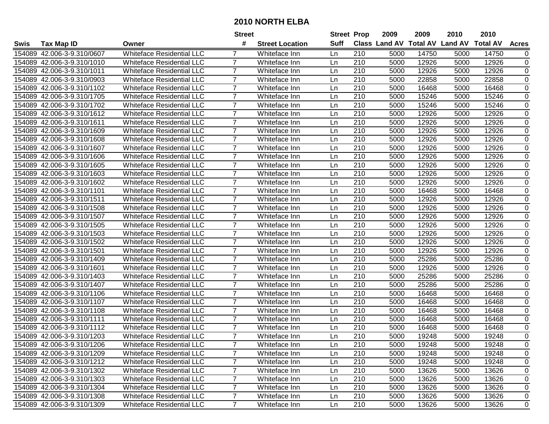|             |                            |                                  | <b>Street</b>  |                        | <b>Street Prop</b> |     | 2009                          | 2009  | 2010           | 2010            |              |
|-------------|----------------------------|----------------------------------|----------------|------------------------|--------------------|-----|-------------------------------|-------|----------------|-----------------|--------------|
| <b>Swis</b> | <b>Tax Map ID</b>          | Owner                            | #              | <b>Street Location</b> | Suff               |     | <b>Class Land AV Total AV</b> |       | <b>Land AV</b> | <b>Total AV</b> | <b>Acres</b> |
|             | 154089 42.006-3-9.310/0607 | <b>Whiteface Residential LLC</b> |                | Whiteface Inn          | Ln                 | 210 | 5000                          | 14750 | 5000           | 14750           | 0            |
|             | 154089 42.006-3-9.310/1010 | <b>Whiteface Residential LLC</b> | 7              | Whiteface Inn          | Ln                 | 210 | 5000                          | 12926 | 5000           | 12926           | $\pmb{0}$    |
|             | 154089 42.006-3-9.310/1011 | <b>Whiteface Residential LLC</b> | 7              | Whiteface Inn          | Ln                 | 210 | 5000                          | 12926 | 5000           | 12926           | 0            |
|             | 154089 42.006-3-9.310/0903 | <b>Whiteface Residential LLC</b> | $\overline{7}$ | Whiteface Inn          | Ln                 | 210 | 5000                          | 22858 | 5000           | 22858           | $\mathbf 0$  |
|             | 154089 42.006-3-9.310/1102 | <b>Whiteface Residential LLC</b> | 7              | Whiteface Inn          | Ln                 | 210 | 5000                          | 16468 | 5000           | 16468           | 0            |
| 154089      | 42.006-3-9.310/1705        | <b>Whiteface Residential LLC</b> | $\overline{7}$ | Whiteface Inn          | Ln                 | 210 | 5000                          | 15246 | 5000           | 15246           | $\mathbf 0$  |
|             | 154089 42.006-3-9.310/1702 | Whiteface Residential LLC        | $\overline{7}$ | Whiteface Inn          | Ln                 | 210 | 5000                          | 15246 | 5000           | 15246           | 0            |
| 154089      | 42.006-3-9.310/1612        | <b>Whiteface Residential LLC</b> | $\overline{7}$ | Whiteface Inn          | Ln                 | 210 | 5000                          | 12926 | 5000           | 12926           | 0            |
| 154089      | 42.006-3-9.310/1611        | <b>Whiteface Residential LLC</b> | $\overline{7}$ | Whiteface Inn          | Ln                 | 210 | 5000                          | 12926 | 5000           | 12926           | 0            |
| 154089      | 42.006-3-9.310/1609        | <b>Whiteface Residential LLC</b> | $\overline{7}$ | Whiteface Inn          | Ln                 | 210 | 5000                          | 12926 | 5000           | 12926           | $\pmb{0}$    |
|             | 154089 42.006-3-9.310/1608 | <b>Whiteface Residential LLC</b> | $\overline{7}$ | Whiteface Inn          | Ln                 | 210 | 5000                          | 12926 | 5000           | 12926           | 0            |
|             | 154089 42.006-3-9.310/1607 | <b>Whiteface Residential LLC</b> | 7              | Whiteface Inn          | Ln                 | 210 | 5000                          | 12926 | 5000           | 12926           | 0            |
| 154089      | 42.006-3-9.310/1606        | <b>Whiteface Residential LLC</b> | $\overline{7}$ | Whiteface Inn          | Ln                 | 210 | 5000                          | 12926 | 5000           | 12926           | $\pmb{0}$    |
| 154089      | 42.006-3-9.310/1605        | <b>Whiteface Residential LLC</b> | $\overline{7}$ | Whiteface Inn          | Ln                 | 210 | 5000                          | 12926 | 5000           | 12926           | $\pmb{0}$    |
| 154089      | 42.006-3-9.310/1603        | <b>Whiteface Residential LLC</b> | $\overline{7}$ | Whiteface Inn          | Ln                 | 210 | 5000                          | 12926 | 5000           | 12926           | $\mathbf 0$  |
| 154089      | 42.006-3-9.310/1602        | <b>Whiteface Residential LLC</b> | 7              | Whiteface Inn          | Ln                 | 210 | 5000                          | 12926 | 5000           | 12926           | 0            |
| 154089      | 42.006-3-9.310/1101        | <b>Whiteface Residential LLC</b> | $\overline{7}$ | Whiteface Inn          | Ln                 | 210 | 5000                          | 16468 | 5000           | 16468           | $\pmb{0}$    |
| 154089      | 42.006-3-9.310/1511        | <b>Whiteface Residential LLC</b> | 7              | Whiteface Inn          | Ln                 | 210 | 5000                          | 12926 | 5000           | 12926           | $\pmb{0}$    |
|             | 154089 42.006-3-9.310/1508 | <b>Whiteface Residential LLC</b> | $\overline{7}$ | Whiteface Inn          | Ln                 | 210 | 5000                          | 12926 | 5000           | 12926           | $\pmb{0}$    |
|             | 154089 42.006-3-9.310/1507 | <b>Whiteface Residential LLC</b> | 7              | Whiteface Inn          | Ln                 | 210 | 5000                          | 12926 | 5000           | 12926           | $\pmb{0}$    |
|             | 154089 42.006-3-9.310/1505 | <b>Whiteface Residential LLC</b> | 7              | Whiteface Inn          | Ln                 | 210 | 5000                          | 12926 | 5000           | 12926           | $\pmb{0}$    |
| 154089      | 42.006-3-9.310/1503        | <b>Whiteface Residential LLC</b> | $\overline{7}$ | Whiteface Inn          | Ln                 | 210 | 5000                          | 12926 | 5000           | 12926           | $\pmb{0}$    |
| 154089      | 42.006-3-9.310/1502        | <b>Whiteface Residential LLC</b> | $\overline{7}$ | Whiteface Inn          | Ln                 | 210 | 5000                          | 12926 | 5000           | 12926           | $\pmb{0}$    |
| 154089      | 42.006-3-9.310/1501        | <b>Whiteface Residential LLC</b> | $\overline{7}$ | Whiteface Inn          | Ln                 | 210 | 5000                          | 12926 | 5000           | 12926           | 0            |
| 154089      | 42.006-3-9.310/1409        | <b>Whiteface Residential LLC</b> | $\overline{7}$ | Whiteface Inn          | Ln                 | 210 | 5000                          | 25286 | 5000           | 25286           | $\pmb{0}$    |
| 154089      | 42.006-3-9.310/1601        | <b>Whiteface Residential LLC</b> | $\overline{7}$ | Whiteface Inn          | Ln                 | 210 | 5000                          | 12926 | 5000           | 12926           | $\pmb{0}$    |
|             | 154089 42.006-3-9.310/1403 | <b>Whiteface Residential LLC</b> | $\overline{7}$ | Whiteface Inn          | Ln                 | 210 | 5000                          | 25286 | 5000           | 25286           | $\pmb{0}$    |
|             | 154089 42.006-3-9.310/1407 | <b>Whiteface Residential LLC</b> | $\overline{7}$ | Whiteface Inn          | Ln                 | 210 | 5000                          | 25286 | 5000           | 25286           | 0            |
| 154089      | 42.006-3-9.310/1106        | <b>Whiteface Residential LLC</b> | $\overline{7}$ | Whiteface Inn          | Ln                 | 210 | 5000                          | 16468 | 5000           | 16468           | $\pmb{0}$    |
| 154089      | 42.006-3-9.310/1107        | <b>Whiteface Residential LLC</b> | $\overline{7}$ | Whiteface Inn          | Ln                 | 210 | 5000                          | 16468 | 5000           | 16468           | $\pmb{0}$    |
| 154089      | 42.006-3-9.310/1108        | <b>Whiteface Residential LLC</b> | $\overline{7}$ | Whiteface Inn          | Ln                 | 210 | 5000                          | 16468 | 5000           | 16468           | $\mathbf 0$  |
|             | 154089 42.006-3-9.310/1111 | <b>Whiteface Residential LLC</b> | $\overline{7}$ | Whiteface Inn          | Ln                 | 210 | 5000                          | 16468 | 5000           | 16468           | 0            |
|             | 154089 42.006-3-9.310/1112 | <b>Whiteface Residential LLC</b> | $\overline{7}$ | Whiteface Inn          | Ln                 | 210 | 5000                          | 16468 | 5000           | 16468           | 0            |
|             | 154089 42.006-3-9.310/1203 | <b>Whiteface Residential LLC</b> | 7              | Whiteface Inn          | Ln                 | 210 | 5000                          | 19248 | 5000           | 19248           | 0            |
|             | 154089 42.006-3-9.310/1206 | <b>Whiteface Residential LLC</b> |                | Whiteface Inn          | Ln                 | 210 | 5000                          | 19248 | 5000           | 19248           | 0            |
|             | 154089 42.006-3-9.310/1209 | Whiteface Residential LLC        | 7              | Whiteface Inn          | Ln                 | 210 | 5000                          | 19248 | 5000           | 19248           | 0            |
|             | 154089 42.006-3-9.310/1212 | Whiteface Residential LLC        | 7              | Whiteface Inn          | Ln                 | 210 | 5000                          | 19248 | 5000           | 19248           | 0            |
|             | 154089 42.006-3-9.310/1302 | <b>Whiteface Residential LLC</b> | $\overline{7}$ | Whiteface Inn          | Ln                 | 210 | 5000                          | 13626 | 5000           | 13626           | 0            |
|             | 154089 42.006-3-9.310/1303 | <b>Whiteface Residential LLC</b> | $\overline{7}$ | Whiteface Inn          | Ln                 | 210 | 5000                          | 13626 | 5000           | 13626           | 0            |
|             | 154089 42.006-3-9.310/1304 | <b>Whiteface Residential LLC</b> | $\overline{7}$ | Whiteface Inn          | Ln                 | 210 | 5000                          | 13626 | 5000           | 13626           | 0            |
|             | 154089 42.006-3-9.310/1308 | <b>Whiteface Residential LLC</b> | $\overline{7}$ | Whiteface Inn          | Ln                 | 210 | 5000                          | 13626 | 5000           | 13626           | 0            |
|             | 154089 42.006-3-9.310/1309 | <b>Whiteface Residential LLC</b> | $\overline{7}$ | Whiteface Inn          | Ln                 | 210 | 5000                          | 13626 | 5000           | 13626           | 0            |
|             |                            |                                  |                |                        |                    |     |                               |       |                |                 |              |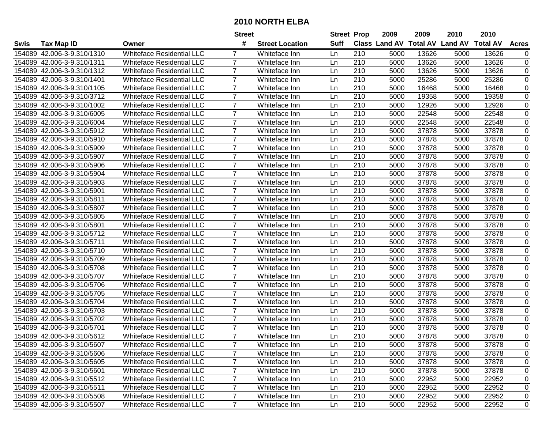|             |                            |                                  | <b>Street</b>  |                        | <b>Street Prop</b> |     | 2009                          | 2009  | 2010           | 2010            |                |
|-------------|----------------------------|----------------------------------|----------------|------------------------|--------------------|-----|-------------------------------|-------|----------------|-----------------|----------------|
| <b>Swis</b> | <b>Tax Map ID</b>          | Owner                            | #              | <b>Street Location</b> | Suff               |     | <b>Class Land AV Total AV</b> |       | <b>Land AV</b> | <b>Total AV</b> | <b>Acres</b>   |
|             | 154089 42.006-3-9.310/1310 | <b>Whiteface Residential LLC</b> |                | Whiteface Inn          | Ln                 | 210 | 5000                          | 13626 | 5000           | 13626           | 0              |
|             | 154089 42.006-3-9.310/1311 | <b>Whiteface Residential LLC</b> | 7              | Whiteface Inn          | Ln                 | 210 | 5000                          | 13626 | 5000           | 13626           | $\pmb{0}$      |
|             | 154089 42.006-3-9.310/1312 | <b>Whiteface Residential LLC</b> | 7              | Whiteface Inn          | Ln                 | 210 | 5000                          | 13626 | 5000           | 13626           | 0              |
|             | 154089 42.006-3-9.310/1401 | <b>Whiteface Residential LLC</b> | $\overline{7}$ | Whiteface Inn          | Ln                 | 210 | 5000                          | 25286 | 5000           | 25286           | $\mathbf 0$    |
|             | 154089 42.006-3-9.310/1105 | <b>Whiteface Residential LLC</b> | 7              | Whiteface Inn          | Ln                 | 210 | 5000                          | 16468 | 5000           | 16468           | 0              |
| 154089      | 42.006-3-9.310/3712        | <b>Whiteface Residential LLC</b> | $\overline{7}$ | Whiteface Inn          | Ln                 | 210 | 5000                          | 19358 | 5000           | 19358           | $\mathbf 0$    |
|             | 154089 42.006-3-9.310/1002 | Whiteface Residential LLC        | $\overline{7}$ | Whiteface Inn          | Ln                 | 210 | 5000                          | 12926 | 5000           | 12926           | 0              |
| 154089      | 42.006-3-9.310/6005        | <b>Whiteface Residential LLC</b> | $\overline{7}$ | Whiteface Inn          | Ln                 | 210 | 5000                          | 22548 | 5000           | 22548           | 0              |
| 154089      | 42.006-3-9.310/6004        | <b>Whiteface Residential LLC</b> | $\overline{7}$ | Whiteface Inn          | Ln                 | 210 | 5000                          | 22548 | 5000           | 22548           | 0              |
| 154089      | 42.006-3-9.310/5912        | <b>Whiteface Residential LLC</b> | $\overline{7}$ | Whiteface Inn          | Ln                 | 210 | 5000                          | 37878 | 5000           | 37878           | $\pmb{0}$      |
|             | 154089 42.006-3-9.310/5910 | <b>Whiteface Residential LLC</b> | $\overline{7}$ | Whiteface Inn          | Ln                 | 210 | 5000                          | 37878 | 5000           | 37878           | 0              |
|             | 154089 42.006-3-9.310/5909 | <b>Whiteface Residential LLC</b> | 7              | Whiteface Inn          | Ln                 | 210 | 5000                          | 37878 | 5000           | 37878           | 0              |
| 154089      | 42.006-3-9.310/5907        | <b>Whiteface Residential LLC</b> | $\overline{7}$ | Whiteface Inn          | Ln                 | 210 | 5000                          | 37878 | 5000           | 37878           | $\pmb{0}$      |
| 154089      | 42.006-3-9.310/5906        | <b>Whiteface Residential LLC</b> | $\overline{7}$ | Whiteface Inn          | Ln                 | 210 | 5000                          | 37878 | 5000           | 37878           | $\pmb{0}$      |
| 154089      | 42.006-3-9.310/5904        | <b>Whiteface Residential LLC</b> | $\overline{7}$ | Whiteface Inn          | Ln                 | 210 | 5000                          | 37878 | 5000           | 37878           | $\mathbf 0$    |
| 154089      | 42.006-3-9.310/5903        | <b>Whiteface Residential LLC</b> | 7              | Whiteface Inn          | Ln                 | 210 | 5000                          | 37878 | 5000           | 37878           | 0              |
| 154089      | 42.006-3-9.310/5901        | <b>Whiteface Residential LLC</b> | $\overline{7}$ | Whiteface Inn          | Ln                 | 210 | 5000                          | 37878 | 5000           | 37878           | $\pmb{0}$      |
| 154089      | 42.006-3-9.310/5811        | <b>Whiteface Residential LLC</b> | 7              | Whiteface Inn          | Ln                 | 210 | 5000                          | 37878 | 5000           | 37878           | 0              |
|             | 154089 42.006-3-9.310/5807 | <b>Whiteface Residential LLC</b> | $\overline{7}$ | Whiteface Inn          | Ln                 | 210 | 5000                          | 37878 | 5000           | 37878           | $\pmb{0}$      |
|             | 154089 42.006-3-9.310/5805 | <b>Whiteface Residential LLC</b> | 7              | Whiteface Inn          | Ln                 | 210 | 5000                          | 37878 | 5000           | 37878           | $\pmb{0}$      |
|             | 154089 42.006-3-9.310/5801 | <b>Whiteface Residential LLC</b> | 7              | Whiteface Inn          | Ln                 | 210 | 5000                          | 37878 | 5000           | 37878           | $\pmb{0}$      |
| 154089      | 42.006-3-9.310/5712        | <b>Whiteface Residential LLC</b> | $\overline{7}$ | Whiteface Inn          | Ln                 | 210 | 5000                          | 37878 | 5000           | 37878           | $\pmb{0}$      |
| 154089      | 42.006-3-9.310/5711        | <b>Whiteface Residential LLC</b> | $\overline{7}$ | Whiteface Inn          | Ln                 | 210 | 5000                          | 37878 | 5000           | 37878           | $\pmb{0}$      |
| 154089      | 42.006-3-9.310/5710        | <b>Whiteface Residential LLC</b> | $\overline{7}$ | Whiteface Inn          | Ln                 | 210 | 5000                          | 37878 | 5000           | 37878           | 0              |
| 154089      | 42.006-3-9.310/5709        | <b>Whiteface Residential LLC</b> | $\overline{7}$ | Whiteface Inn          | Ln                 | 210 | 5000                          | 37878 | 5000           | 37878           | $\pmb{0}$      |
| 154089      | 42.006-3-9.310/5708        | <b>Whiteface Residential LLC</b> | $\overline{7}$ | Whiteface Inn          | Ln                 | 210 | 5000                          | 37878 | 5000           | 37878           | $\pmb{0}$      |
|             | 154089 42.006-3-9.310/5707 | <b>Whiteface Residential LLC</b> | $\overline{7}$ | Whiteface Inn          | Ln                 | 210 | 5000                          | 37878 | 5000           | 37878           | $\pmb{0}$      |
|             | 154089 42.006-3-9.310/5706 | <b>Whiteface Residential LLC</b> | $\overline{7}$ | Whiteface Inn          | Ln                 | 210 | 5000                          | 37878 | 5000           | 37878           | $\pmb{0}$      |
|             | 154089 42.006-3-9.310/5705 | <b>Whiteface Residential LLC</b> | $\overline{7}$ | Whiteface Inn          | Ln                 | 210 | 5000                          | 37878 | 5000           | 37878           | $\pmb{0}$      |
| 154089      | 42.006-3-9.310/5704        | <b>Whiteface Residential LLC</b> | $\overline{7}$ | Whiteface Inn          | Ln                 | 210 | 5000                          | 37878 | 5000           | 37878           | $\pmb{0}$      |
| 154089      | 42.006-3-9.310/5703        | <b>Whiteface Residential LLC</b> | $\overline{7}$ | Whiteface Inn          | Ln                 | 210 | 5000                          | 37878 | 5000           | 37878           | $\overline{0}$ |
|             | 154089 42.006-3-9.310/5702 | <b>Whiteface Residential LLC</b> | $\overline{7}$ | Whiteface Inn          | Ln                 | 210 | 5000                          | 37878 | 5000           | 37878           | 0              |
|             | 154089 42.006-3-9.310/5701 | <b>Whiteface Residential LLC</b> | $\overline{7}$ | Whiteface Inn          | Ln                 | 210 | 5000                          | 37878 | 5000           | 37878           | 0              |
|             | 154089 42.006-3-9.310/5612 | <b>Whiteface Residential LLC</b> | $\overline{7}$ | Whiteface Inn          | Ln                 | 210 | 5000                          | 37878 | 5000           | 37878           | 0              |
|             | 154089 42.006-3-9.310/5607 | Whiteface Residential LLC        |                | Whiteface Inn          | Ln                 | 210 | 5000                          | 37878 | 5000           | 37878           | 0              |
|             | 154089 42.006-3-9.310/5606 | <b>Whiteface Residential LLC</b> | 7              | Whiteface Inn          | Ln                 | 210 | 5000                          | 37878 | 5000           | 37878           | 0              |
|             | 154089 42.006-3-9.310/5605 | Whiteface Residential LLC        | 7              | Whiteface Inn          | Ln                 | 210 | 5000                          | 37878 | 5000           | 37878           | 0              |
|             | 154089 42.006-3-9.310/5601 | <b>Whiteface Residential LLC</b> | $\overline{7}$ | Whiteface Inn          | Ln                 | 210 | 5000                          | 37878 | 5000           | 37878           | 0              |
|             | 154089 42.006-3-9.310/5512 | <b>Whiteface Residential LLC</b> | $\overline{7}$ | Whiteface Inn          | Ln                 | 210 | 5000                          | 22952 | 5000           | 22952           | 0              |
|             | 154089 42.006-3-9.310/5511 | <b>Whiteface Residential LLC</b> | $\overline{7}$ | Whiteface Inn          | Ln                 | 210 | 5000                          | 22952 | 5000           | 22952           | 0              |
|             | 154089 42.006-3-9.310/5508 | <b>Whiteface Residential LLC</b> | $\overline{7}$ | Whiteface Inn          | Ln                 | 210 | 5000                          | 22952 | 5000           | 22952           | 0              |
|             | 154089 42.006-3-9.310/5507 | <b>Whiteface Residential LLC</b> | $\overline{7}$ | Whiteface Inn          | Ln                 | 210 | 5000                          | 22952 | 5000           | 22952           | 0              |
|             |                            |                                  |                |                        |                    |     |                               |       |                |                 |                |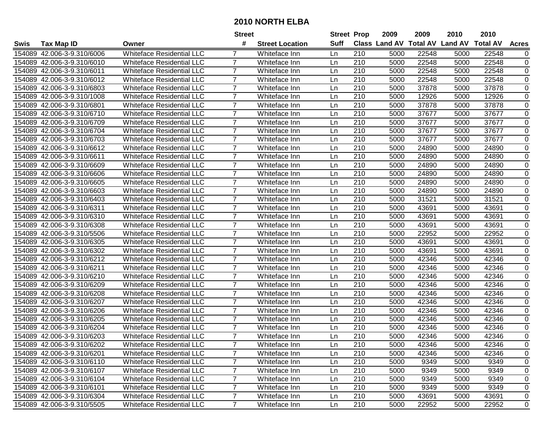|             |                            |                                  | <b>Street</b>  |                        | <b>Street Prop</b> |     | 2009                          | 2009  | 2010           | 2010            |                |
|-------------|----------------------------|----------------------------------|----------------|------------------------|--------------------|-----|-------------------------------|-------|----------------|-----------------|----------------|
| <b>Swis</b> | <b>Tax Map ID</b>          | Owner                            | #              | <b>Street Location</b> | Suff               |     | <b>Class Land AV Total AV</b> |       | <b>Land AV</b> | <b>Total AV</b> | <b>Acres</b>   |
|             | 154089 42.006-3-9.310/6006 | <b>Whiteface Residential LLC</b> |                | Whiteface Inn          | Ln                 | 210 | 5000                          | 22548 | 5000           | 22548           | 0              |
|             | 154089 42.006-3-9.310/6010 | <b>Whiteface Residential LLC</b> | 7              | Whiteface Inn          | Ln                 | 210 | 5000                          | 22548 | 5000           | 22548           | $\pmb{0}$      |
|             | 154089 42.006-3-9.310/6011 | <b>Whiteface Residential LLC</b> | 7              | Whiteface Inn          | Ln                 | 210 | 5000                          | 22548 | 5000           | 22548           | 0              |
|             | 154089 42.006-3-9.310/6012 | <b>Whiteface Residential LLC</b> | $\overline{7}$ | Whiteface Inn          | Ln                 | 210 | 5000                          | 22548 | 5000           | 22548           | $\mathbf 0$    |
|             | 154089 42.006-3-9.310/6803 | <b>Whiteface Residential LLC</b> | 7              | Whiteface Inn          | Ln                 | 210 | 5000                          | 37878 | 5000           | 37878           | 0              |
| 154089      | 42.006-3-9.310/1008        | <b>Whiteface Residential LLC</b> | $\overline{7}$ | Whiteface Inn          | Ln                 | 210 | 5000                          | 12926 | 5000           | 12926           | $\mathbf 0$    |
|             | 154089 42.006-3-9.310/6801 | <b>Whiteface Residential LLC</b> | $\overline{7}$ | Whiteface Inn          | Ln                 | 210 | 5000                          | 37878 | 5000           | 37878           | 0              |
| 154089      | 42.006-3-9.310/6710        | <b>Whiteface Residential LLC</b> | $\overline{7}$ | Whiteface Inn          | Ln                 | 210 | 5000                          | 37677 | 5000           | 37677           | 0              |
| 154089      | 42.006-3-9.310/6709        | <b>Whiteface Residential LLC</b> | $\overline{7}$ | Whiteface Inn          | Ln                 | 210 | 5000                          | 37677 | 5000           | 37677           | 0              |
| 154089      | 42.006-3-9.310/6704        | <b>Whiteface Residential LLC</b> | $\overline{7}$ | Whiteface Inn          | Ln                 | 210 | 5000                          | 37677 | 5000           | 37677           | 0              |
|             | 154089 42.006-3-9.310/6703 | <b>Whiteface Residential LLC</b> | $\overline{7}$ | Whiteface Inn          | Ln                 | 210 | 5000                          | 37677 | 5000           | 37677           | 0              |
|             | 154089 42.006-3-9.310/6612 | <b>Whiteface Residential LLC</b> | 7              | Whiteface Inn          | Ln                 | 210 | 5000                          | 24890 | 5000           | 24890           | 0              |
| 154089      | 42.006-3-9.310/6611        | <b>Whiteface Residential LLC</b> | $\overline{7}$ | Whiteface Inn          | Ln                 | 210 | 5000                          | 24890 | 5000           | 24890           | $\pmb{0}$      |
| 154089      | 42.006-3-9.310/6609        | <b>Whiteface Residential LLC</b> | $\overline{7}$ | Whiteface Inn          | Ln                 | 210 | 5000                          | 24890 | 5000           | 24890           | $\pmb{0}$      |
| 154089      | 42.006-3-9.310/6606        | <b>Whiteface Residential LLC</b> | $\overline{7}$ | Whiteface Inn          | Ln                 | 210 | 5000                          | 24890 | 5000           | 24890           | 0              |
| 154089      | 42.006-3-9.310/6605        | <b>Whiteface Residential LLC</b> | 7              | Whiteface Inn          | Ln                 | 210 | 5000                          | 24890 | 5000           | 24890           | 0              |
| 154089      | 42.006-3-9.310/6603        | <b>Whiteface Residential LLC</b> | $\overline{7}$ | Whiteface Inn          | Ln                 | 210 | 5000                          | 24890 | 5000           | 24890           | 0              |
| 154089      | 42.006-3-9.310/6403        | <b>Whiteface Residential LLC</b> | 7              | Whiteface Inn          | Ln                 | 210 | 5000                          | 31521 | 5000           | 31521           | $\pmb{0}$      |
|             | 154089 42.006-3-9.310/6311 | <b>Whiteface Residential LLC</b> | $\overline{7}$ | Whiteface Inn          | Ln                 | 210 | 5000                          | 43691 | 5000           | 43691           | $\pmb{0}$      |
|             | 154089 42.006-3-9.310/6310 | <b>Whiteface Residential LLC</b> | 7              | Whiteface Inn          | Ln                 | 210 | 5000                          | 43691 | 5000           | 43691           | $\pmb{0}$      |
|             | 154089 42.006-3-9.310/6308 | <b>Whiteface Residential LLC</b> | 7              | Whiteface Inn          | Ln                 | 210 | 5000                          | 43691 | 5000           | 43691           | $\pmb{0}$      |
| 154089      | 42.006-3-9.310/5506        | <b>Whiteface Residential LLC</b> | $\overline{7}$ | Whiteface Inn          | Ln                 | 210 | 5000                          | 22952 | 5000           | 22952           | 0              |
| 154089      | 42.006-3-9.310/6305        | <b>Whiteface Residential LLC</b> | $\overline{7}$ | Whiteface Inn          | Ln                 | 210 | 5000                          | 43691 | 5000           | 43691           | 0              |
| 154089      | 42.006-3-9.310/6302        | <b>Whiteface Residential LLC</b> | $\overline{7}$ | Whiteface Inn          | Ln                 | 210 | 5000                          | 43691 | 5000           | 43691           | 0              |
| 154089      | 42.006-3-9.310/6212        | <b>Whiteface Residential LLC</b> | $\overline{7}$ | Whiteface Inn          | Ln                 | 210 | 5000                          | 42346 | 5000           | 42346           | $\pmb{0}$      |
| 154089      | 42.006-3-9.310/6211        | <b>Whiteface Residential LLC</b> | $\overline{7}$ | Whiteface Inn          | Ln                 | 210 | 5000                          | 42346 | 5000           | 42346           | $\pmb{0}$      |
|             | 154089 42.006-3-9.310/6210 | <b>Whiteface Residential LLC</b> | $\overline{7}$ | Whiteface Inn          | Ln                 | 210 | 5000                          | 42346 | 5000           | 42346           | $\pmb{0}$      |
|             | 154089 42.006-3-9.310/6209 | <b>Whiteface Residential LLC</b> | $\overline{7}$ | Whiteface Inn          | Ln                 | 210 | 5000                          | 42346 | 5000           | 42346           | $\pmb{0}$      |
| 154089      | 42.006-3-9.310/6208        | <b>Whiteface Residential LLC</b> | $\overline{7}$ | Whiteface Inn          | Ln                 | 210 | 5000                          | 42346 | 5000           | 42346           | $\pmb{0}$      |
| 154089      | 42.006-3-9.310/6207        | <b>Whiteface Residential LLC</b> | $\overline{7}$ | Whiteface Inn          | Ln                 | 210 | 5000                          | 42346 | 5000           | 42346           | 0              |
| 154089      | 42.006-3-9.310/6206        | <b>Whiteface Residential LLC</b> | $\overline{7}$ | Whiteface Inn          | Ln                 | 210 | 5000                          | 42346 | 5000           | 42346           | $\overline{0}$ |
|             | 154089 42.006-3-9.310/6205 | <b>Whiteface Residential LLC</b> | $\overline{7}$ | Whiteface Inn          | Ln                 | 210 | 5000                          | 42346 | 5000           | 42346           | 0              |
|             | 154089 42.006-3-9.310/6204 | <b>Whiteface Residential LLC</b> | $\overline{7}$ | Whiteface Inn          | Ln                 | 210 | 5000                          | 42346 | 5000           | 42346           | 0              |
|             | 154089 42.006-3-9.310/6203 | <b>Whiteface Residential LLC</b> | 7              | Whiteface Inn          | Ln                 | 210 | 5000                          | 42346 | 5000           | 42346           | 0              |
|             | 154089 42.006-3-9.310/6202 | <b>Whiteface Residential LLC</b> |                | Whiteface Inn          | Ln                 | 210 | 5000                          | 42346 | 5000           | 42346           | 0              |
|             | 154089 42.006-3-9.310/6201 | Whiteface Residential LLC        | 7              | Whiteface Inn          | Ln                 | 210 | 5000                          | 42346 | 5000           | 42346           | 0              |
|             | 154089 42.006-3-9.310/6110 | Whiteface Residential LLC        | 7              | Whiteface Inn          | Ln                 | 210 | 5000                          | 9349  | 5000           | 9349            | 0              |
|             | 154089 42.006-3-9.310/6107 | <b>Whiteface Residential LLC</b> | $\overline{7}$ | Whiteface Inn          | Ln                 | 210 | 5000                          | 9349  | 5000           | 9349            | 0              |
|             | 154089 42.006-3-9.310/6104 | <b>Whiteface Residential LLC</b> | $\overline{7}$ | Whiteface Inn          | Ln                 | 210 | 5000                          | 9349  | 5000           | 9349            | 0              |
|             | 154089 42.006-3-9.310/6101 | <b>Whiteface Residential LLC</b> | $\overline{7}$ | Whiteface Inn          | Ln                 | 210 | 5000                          | 9349  | 5000           | 9349            | 0              |
|             | 154089 42.006-3-9.310/6304 | <b>Whiteface Residential LLC</b> | $\overline{7}$ | Whiteface Inn          | Ln                 | 210 | 5000                          | 43691 | 5000           | 43691           | 0              |
|             | 154089 42.006-3-9.310/5505 | <b>Whiteface Residential LLC</b> | $\overline{7}$ | Whiteface Inn          | Ln                 | 210 | 5000                          | 22952 | 5000           | 22952           | 0              |
|             |                            |                                  |                |                        |                    |     |                               |       |                |                 |                |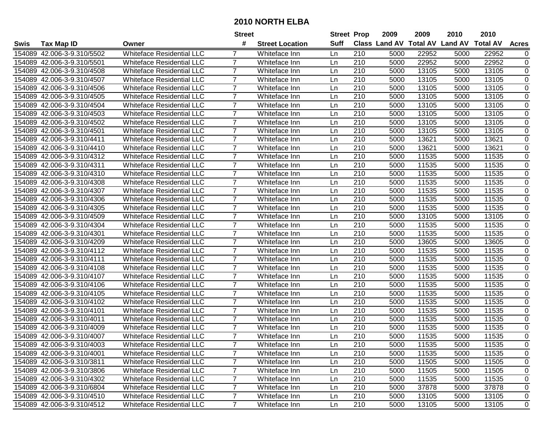|             |                            |                                  | <b>Street</b>  |                        | <b>Street Prop</b> |     | 2009                          | 2009  | 2010           | 2010            |                |
|-------------|----------------------------|----------------------------------|----------------|------------------------|--------------------|-----|-------------------------------|-------|----------------|-----------------|----------------|
| <b>Swis</b> | <b>Tax Map ID</b>          | Owner                            | #              | <b>Street Location</b> | Suff               |     | <b>Class Land AV Total AV</b> |       | <b>Land AV</b> | <b>Total AV</b> | <b>Acres</b>   |
|             | 154089 42.006-3-9.310/5502 | <b>Whiteface Residential LLC</b> |                | Whiteface Inn          | Ln                 | 210 | 5000                          | 22952 | 5000           | 22952           | 0              |
|             | 154089 42.006-3-9.310/5501 | <b>Whiteface Residential LLC</b> | 7              | Whiteface Inn          | Ln                 | 210 | 5000                          | 22952 | 5000           | 22952           | 0              |
|             | 154089 42.006-3-9.310/4508 | <b>Whiteface Residential LLC</b> | 7              | Whiteface Inn          | Ln                 | 210 | 5000                          | 13105 | 5000           | 13105           | 0              |
|             | 154089 42.006-3-9.310/4507 | <b>Whiteface Residential LLC</b> | $\overline{7}$ | Whiteface Inn          | Ln                 | 210 | 5000                          | 13105 | 5000           | 13105           | $\mathbf 0$    |
|             | 154089 42.006-3-9.310/4506 | <b>Whiteface Residential LLC</b> | 7              | Whiteface Inn          | Ln                 | 210 | 5000                          | 13105 | 5000           | 13105           | 0              |
| 154089      | 42.006-3-9.310/4505        | <b>Whiteface Residential LLC</b> | $\overline{7}$ | Whiteface Inn          | Ln                 | 210 | 5000                          | 13105 | 5000           | 13105           | $\mathbf 0$    |
|             | 154089 42.006-3-9.310/4504 | Whiteface Residential LLC        | $\overline{7}$ | Whiteface Inn          | Ln                 | 210 | 5000                          | 13105 | 5000           | 13105           | 0              |
| 154089      | 42.006-3-9.310/4503        | <b>Whiteface Residential LLC</b> | $\overline{7}$ | Whiteface Inn          | Ln                 | 210 | 5000                          | 13105 | 5000           | 13105           | 0              |
| 154089      | 42.006-3-9.310/4502        | <b>Whiteface Residential LLC</b> | $\overline{7}$ | Whiteface Inn          | Ln                 | 210 | 5000                          | 13105 | 5000           | 13105           | 0              |
| 154089      | 42.006-3-9.310/4501        | <b>Whiteface Residential LLC</b> | $\overline{7}$ | Whiteface Inn          | Ln                 | 210 | 5000                          | 13105 | 5000           | 13105           | $\pmb{0}$      |
|             | 154089 42.006-3-9.310/4411 | <b>Whiteface Residential LLC</b> | $\overline{7}$ | Whiteface Inn          | Ln                 | 210 | 5000                          | 13621 | 5000           | 13621           | 0              |
|             | 154089 42.006-3-9.310/4410 | <b>Whiteface Residential LLC</b> | 7              | Whiteface Inn          | Ln                 | 210 | 5000                          | 13621 | 5000           | 13621           | 0              |
| 154089      | 42.006-3-9.310/4312        | <b>Whiteface Residential LLC</b> | $\overline{7}$ | Whiteface Inn          | Ln                 | 210 | 5000                          | 11535 | 5000           | 11535           | $\pmb{0}$      |
| 154089      | 42.006-3-9.310/4311        | <b>Whiteface Residential LLC</b> | $\overline{7}$ | Whiteface Inn          | Ln                 | 210 | 5000                          | 11535 | 5000           | 11535           | $\pmb{0}$      |
| 154089      | 42.006-3-9.310/4310        | <b>Whiteface Residential LLC</b> | $\overline{7}$ | Whiteface Inn          | Ln                 | 210 | 5000                          | 11535 | 5000           | 11535           | $\mathbf 0$    |
|             | 154089 42.006-3-9.310/4308 | <b>Whiteface Residential LLC</b> | 7              | Whiteface Inn          | Ln                 | 210 | 5000                          | 11535 | 5000           | 11535           | 0              |
| 154089      | 42.006-3-9.310/4307        | <b>Whiteface Residential LLC</b> | $\overline{7}$ | Whiteface Inn          | Ln                 | 210 | 5000                          | 11535 | 5000           | 11535           | $\pmb{0}$      |
| 154089      | 42.006-3-9.310/4306        | <b>Whiteface Residential LLC</b> | 7              | Whiteface Inn          | Ln                 | 210 | 5000                          | 11535 | 5000           | 11535           | $\pmb{0}$      |
|             | 154089 42.006-3-9.310/4305 | <b>Whiteface Residential LLC</b> | $\overline{7}$ | Whiteface Inn          | Ln                 | 210 | 5000                          | 11535 | 5000           | 11535           | $\pmb{0}$      |
|             | 154089 42.006-3-9.310/4509 | <b>Whiteface Residential LLC</b> | 7              | Whiteface Inn          | Ln                 | 210 | 5000                          | 13105 | 5000           | 13105           | $\pmb{0}$      |
|             | 154089 42.006-3-9.310/4304 | <b>Whiteface Residential LLC</b> | 7              | Whiteface Inn          | Ln                 | 210 | 5000                          | 11535 | 5000           | 11535           | $\pmb{0}$      |
| 154089      | 42.006-3-9.310/4301        | <b>Whiteface Residential LLC</b> | $\overline{7}$ | Whiteface Inn          | Ln                 | 210 | 5000                          | 11535 | 5000           | 11535           | 0              |
| 154089      | 42.006-3-9.310/4209        | <b>Whiteface Residential LLC</b> | $\overline{7}$ | Whiteface Inn          | Ln                 | 210 | 5000                          | 13605 | 5000           | 13605           | $\mathbf 0$    |
| 154089      | 42.006-3-9.310/4112        | <b>Whiteface Residential LLC</b> | $\overline{7}$ | Whiteface Inn          | Ln                 | 210 | 5000                          | 11535 | 5000           | 11535           | 0              |
| 154089      | 42.006-3-9.310/4111        | <b>Whiteface Residential LLC</b> | $\overline{7}$ | Whiteface Inn          | Ln                 | 210 | 5000                          | 11535 | 5000           | 11535           | 0              |
| 154089      | 42.006-3-9.310/4108        | <b>Whiteface Residential LLC</b> | $\overline{7}$ | Whiteface Inn          | Ln                 | 210 | 5000                          | 11535 | 5000           | 11535           | 0              |
|             | 154089 42.006-3-9.310/4107 | <b>Whiteface Residential LLC</b> | $\overline{7}$ | Whiteface Inn          | Ln                 | 210 | 5000                          | 11535 | 5000           | 11535           | 0              |
|             | 154089 42.006-3-9.310/4106 | <b>Whiteface Residential LLC</b> | $\overline{7}$ | Whiteface Inn          | Ln                 | 210 | 5000                          | 11535 | 5000           | 11535           | 0              |
|             | 154089 42.006-3-9.310/4105 | <b>Whiteface Residential LLC</b> | $\overline{7}$ | Whiteface Inn          | Ln                 | 210 | 5000                          | 11535 | 5000           | 11535           | $\pmb{0}$      |
| 154089      | 42.006-3-9.310/4102        | <b>Whiteface Residential LLC</b> | $\overline{7}$ | Whiteface Inn          | Ln                 | 210 | 5000                          | 11535 | 5000           | 11535           | 0              |
| 154089      | 42.006-3-9.310/4101        | <b>Whiteface Residential LLC</b> | $\overline{7}$ | Whiteface Inn          | Ln                 | 210 | 5000                          | 11535 | 5000           | 11535           | $\overline{0}$ |
|             | 154089 42.006-3-9.310/4011 | <b>Whiteface Residential LLC</b> | $\overline{7}$ | Whiteface Inn          | Ln                 | 210 | 5000                          | 11535 | 5000           | 11535           | 0              |
|             | 154089 42.006-3-9.310/4009 | <b>Whiteface Residential LLC</b> | $\overline{7}$ | Whiteface Inn          | Ln                 | 210 | 5000                          | 11535 | 5000           | 11535           | 0              |
|             | 154089 42.006-3-9.310/4007 | <b>Whiteface Residential LLC</b> | 7              | Whiteface Inn          | Ln                 | 210 | 5000                          | 11535 | 5000           | 11535           | 0              |
|             | 154089 42.006-3-9.310/4003 | <b>Whiteface Residential LLC</b> |                | Whiteface Inn          | Ln                 | 210 | 5000                          | 11535 | 5000           | 11535           | 0              |
|             | 154089 42.006-3-9.310/4001 | Whiteface Residential LLC        | $\overline{7}$ | Whiteface Inn          | Ln                 | 210 | 5000                          | 11535 | 5000           | 11535           | 0              |
|             | 154089 42.006-3-9.310/3811 | Whiteface Residential LLC        | 7              | Whiteface Inn          | Ln                 | 210 | 5000                          | 11505 | 5000           | 11505           | 0              |
|             | 154089 42.006-3-9.310/3806 | <b>Whiteface Residential LLC</b> | $\overline{7}$ | Whiteface Inn          | Ln                 | 210 | 5000                          | 11505 | 5000           | 11505           | 0              |
|             | 154089 42.006-3-9.310/4302 | <b>Whiteface Residential LLC</b> | $\overline{7}$ | Whiteface Inn          | Ln                 | 210 | 5000                          | 11535 | 5000           | 11535           | 0              |
|             | 154089 42.006-3-9.310/6804 | <b>Whiteface Residential LLC</b> | $\overline{7}$ | Whiteface Inn          | Ln                 | 210 | 5000                          | 37878 | 5000           | 37878           | 0              |
|             | 154089 42.006-3-9.310/4510 | Whiteface Residential LLC        | $\overline{7}$ | Whiteface Inn          | Ln                 | 210 | 5000                          | 13105 | 5000           | 13105           | 0              |
|             | 154089 42.006-3-9.310/4512 | <b>Whiteface Residential LLC</b> | $\overline{7}$ | Whiteface Inn          | Ln                 | 210 | 5000                          | 13105 | 5000           | 13105           | 0              |
|             |                            |                                  |                |                        |                    |     |                               |       |                |                 |                |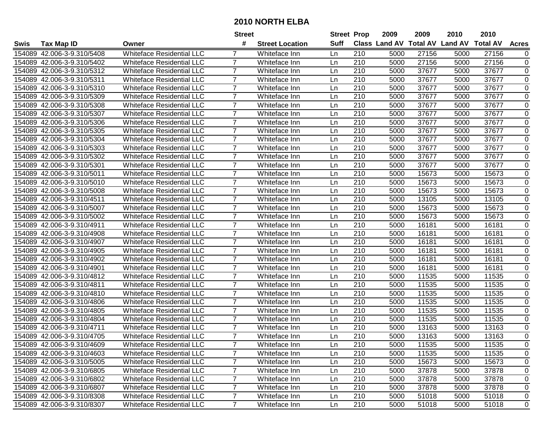|             |                            |                                  | <b>Street</b>  |                        | <b>Street Prop</b> |     | 2009                          | 2009  | 2010           | 2010            |                |
|-------------|----------------------------|----------------------------------|----------------|------------------------|--------------------|-----|-------------------------------|-------|----------------|-----------------|----------------|
| <b>Swis</b> | <b>Tax Map ID</b>          | Owner                            | #              | <b>Street Location</b> | Suff               |     | <b>Class Land AV Total AV</b> |       | <b>Land AV</b> | <b>Total AV</b> | <b>Acres</b>   |
|             | 154089 42.006-3-9.310/5408 | <b>Whiteface Residential LLC</b> |                | Whiteface Inn          | Ln                 | 210 | 5000                          | 27156 | 5000           | 27156           | 0              |
|             | 154089 42.006-3-9.310/5402 | <b>Whiteface Residential LLC</b> | 7              | Whiteface Inn          | Ln                 | 210 | 5000                          | 27156 | 5000           | 27156           | 0              |
|             | 154089 42.006-3-9.310/5312 | <b>Whiteface Residential LLC</b> | 7              | Whiteface Inn          | Ln                 | 210 | 5000                          | 37677 | 5000           | 37677           | 0              |
|             | 154089 42.006-3-9.310/5311 | <b>Whiteface Residential LLC</b> | $\overline{7}$ | Whiteface Inn          | Ln                 | 210 | 5000                          | 37677 | 5000           | 37677           | $\mathbf 0$    |
|             | 154089 42.006-3-9.310/5310 | <b>Whiteface Residential LLC</b> | 7              | Whiteface Inn          | Ln                 | 210 | 5000                          | 37677 | 5000           | 37677           | $\mathbf 0$    |
| 154089      | 42.006-3-9.310/5309        | <b>Whiteface Residential LLC</b> | $\overline{7}$ | Whiteface Inn          | Ln                 | 210 | 5000                          | 37677 | 5000           | 37677           | $\mathbf 0$    |
|             | 154089 42.006-3-9.310/5308 | Whiteface Residential LLC        | $\overline{7}$ | Whiteface Inn          | Ln                 | 210 | 5000                          | 37677 | 5000           | 37677           | 0              |
| 154089      | 42.006-3-9.310/5307        | <b>Whiteface Residential LLC</b> | $\overline{7}$ | Whiteface Inn          | Ln                 | 210 | 5000                          | 37677 | 5000           | 37677           | 0              |
| 154089      | 42.006-3-9.310/5306        | <b>Whiteface Residential LLC</b> | $\overline{7}$ | Whiteface Inn          | Ln                 | 210 | 5000                          | 37677 | 5000           | 37677           | 0              |
| 154089      | 42.006-3-9.310/5305        | <b>Whiteface Residential LLC</b> | $\overline{7}$ | Whiteface Inn          | Ln                 | 210 | 5000                          | 37677 | 5000           | 37677           | 0              |
|             | 154089 42.006-3-9.310/5304 | <b>Whiteface Residential LLC</b> | $\overline{7}$ | Whiteface Inn          | Ln                 | 210 | 5000                          | 37677 | 5000           | 37677           | 0              |
|             | 154089 42.006-3-9.310/5303 | <b>Whiteface Residential LLC</b> | 7              | Whiteface Inn          | Ln                 | 210 | 5000                          | 37677 | 5000           | 37677           | 0              |
| 154089      | 42.006-3-9.310/5302        | <b>Whiteface Residential LLC</b> | $\overline{7}$ | Whiteface Inn          | Ln                 | 210 | 5000                          | 37677 | 5000           | 37677           | $\pmb{0}$      |
| 154089      | 42.006-3-9.310/5301        | <b>Whiteface Residential LLC</b> | $\overline{7}$ | Whiteface Inn          | Ln                 | 210 | 5000                          | 37677 | 5000           | 37677           | 0              |
| 154089      | 42.006-3-9.310/5011        | <b>Whiteface Residential LLC</b> | $\overline{7}$ | Whiteface Inn          | Ln                 | 210 | 5000                          | 15673 | 5000           | 15673           | $\mathbf 0$    |
|             | 154089 42.006-3-9.310/5010 | <b>Whiteface Residential LLC</b> | $\overline{7}$ | Whiteface Inn          | Ln                 | 210 | 5000                          | 15673 | 5000           | 15673           | 0              |
| 154089      | 42.006-3-9.310/5008        | <b>Whiteface Residential LLC</b> | $\overline{7}$ | Whiteface Inn          | Ln                 | 210 | 5000                          | 15673 | 5000           | 15673           | 0              |
| 154089      | 42.006-3-9.310/4511        | <b>Whiteface Residential LLC</b> | 7              | Whiteface Inn          | Ln                 | 210 | 5000                          | 13105 | 5000           | 13105           | 0              |
|             | 154089 42.006-3-9.310/5007 | <b>Whiteface Residential LLC</b> | $\overline{7}$ | Whiteface Inn          | Ln                 | 210 | 5000                          | 15673 | 5000           | 15673           | $\pmb{0}$      |
|             | 154089 42.006-3-9.310/5002 | <b>Whiteface Residential LLC</b> | 7              | Whiteface Inn          | Ln                 | 210 | 5000                          | 15673 | 5000           | 15673           | $\pmb{0}$      |
|             | 154089 42.006-3-9.310/4911 | <b>Whiteface Residential LLC</b> | $\overline{7}$ | Whiteface Inn          | Ln                 | 210 | 5000                          | 16181 | 5000           | 16181           | $\pmb{0}$      |
| 154089      | 42.006-3-9.310/4908        | <b>Whiteface Residential LLC</b> | $\overline{7}$ | Whiteface Inn          | Ln                 | 210 | 5000                          | 16181 | 5000           | 16181           | 0              |
| 154089      | 42.006-3-9.310/4907        | <b>Whiteface Residential LLC</b> | $\overline{7}$ | Whiteface Inn          | Ln                 | 210 | 5000                          | 16181 | 5000           | 16181           | $\mathbf 0$    |
|             | 154089 42.006-3-9.310/4905 | <b>Whiteface Residential LLC</b> | $\overline{7}$ | Whiteface Inn          | Ln                 | 210 | 5000                          | 16181 | 5000           | 16181           | 0              |
| 154089      | 42.006-3-9.310/4902        | <b>Whiteface Residential LLC</b> | $\overline{7}$ | Whiteface Inn          | Ln                 | 210 | 5000                          | 16181 | 5000           | 16181           | $\pmb{0}$      |
| 154089      | 42.006-3-9.310/4901        | <b>Whiteface Residential LLC</b> | $\overline{7}$ | Whiteface Inn          | Ln                 | 210 | 5000                          | 16181 | 5000           | 16181           | 0              |
|             | 154089 42.006-3-9.310/4812 | <b>Whiteface Residential LLC</b> | $\overline{7}$ | Whiteface Inn          | Ln                 | 210 | 5000                          | 11535 | 5000           | 11535           | $\pmb{0}$      |
|             | 154089 42.006-3-9.310/4811 | <b>Whiteface Residential LLC</b> | $\overline{7}$ | Whiteface Inn          | Ln                 | 210 | 5000                          | 11535 | 5000           | 11535           | $\pmb{0}$      |
|             | 154089 42.006-3-9.310/4810 | <b>Whiteface Residential LLC</b> | $\overline{7}$ | Whiteface Inn          | Ln                 | 210 | 5000                          | 11535 | 5000           | 11535           | $\pmb{0}$      |
| 154089      | 42.006-3-9.310/4806        | <b>Whiteface Residential LLC</b> | $\overline{7}$ | Whiteface Inn          | Ln                 | 210 | 5000                          | 11535 | 5000           | 11535           | $\pmb{0}$      |
| 154089      | 42.006-3-9.310/4805        | <b>Whiteface Residential LLC</b> | $\overline{7}$ | Whiteface Inn          | Ln                 | 210 | 5000                          | 11535 | 5000           | 11535           | $\overline{0}$ |
|             | 154089 42.006-3-9.310/4804 | <b>Whiteface Residential LLC</b> | $\overline{7}$ | Whiteface Inn          | Ln                 | 210 | 5000                          | 11535 | 5000           | 11535           | 0              |
|             | 154089 42.006-3-9.310/4711 | <b>Whiteface Residential LLC</b> | $\overline{7}$ | Whiteface Inn          | Ln                 | 210 | 5000                          | 13163 | 5000           | 13163           | 0              |
|             | 154089 42.006-3-9.310/4705 | <b>Whiteface Residential LLC</b> | $\overline{7}$ | Whiteface Inn          | Ln                 | 210 | 5000                          | 13163 | 5000           | 13163           | 0              |
|             | 154089 42.006-3-9.310/4609 | <b>Whiteface Residential LLC</b> |                | Whiteface Inn          | Ln                 | 210 | 5000                          | 11535 | 5000           | 11535           | 0              |
|             | 154089 42.006-3-9.310/4603 | Whiteface Residential LLC        | 7              | Whiteface Inn          | Ln                 | 210 | 5000                          | 11535 | 5000           | 11535           | 0              |
|             | 154089 42.006-3-9.310/5005 | Whiteface Residential LLC        | 7              | Whiteface Inn          | Ln                 | 210 | 5000                          | 15673 | 5000           | 15673           | 0              |
|             | 154089 42.006-3-9.310/6805 | <b>Whiteface Residential LLC</b> | $\overline{7}$ | Whiteface Inn          | Ln                 | 210 | 5000                          | 37878 | 5000           | 37878           | 0              |
|             | 154089 42.006-3-9.310/6802 | <b>Whiteface Residential LLC</b> | $\overline{7}$ | Whiteface Inn          | Ln                 | 210 | 5000                          | 37878 | 5000           | 37878           | 0              |
|             | 154089 42.006-3-9.310/6807 | <b>Whiteface Residential LLC</b> | $\overline{7}$ | Whiteface Inn          | Ln                 | 210 | 5000                          | 37878 | 5000           | 37878           | 0              |
|             | 154089 42.006-3-9.310/8308 | Whiteface Residential LLC        | $\overline{7}$ | Whiteface Inn          | Ln                 | 210 | 5000                          | 51018 | 5000           | 51018           | 0              |
|             | 154089 42.006-3-9.310/8307 | <b>Whiteface Residential LLC</b> | $\overline{7}$ | Whiteface Inn          | Ln                 | 210 | 5000                          | 51018 | 5000           | 51018           | 0              |
|             |                            |                                  |                |                        |                    |     |                               |       |                |                 |                |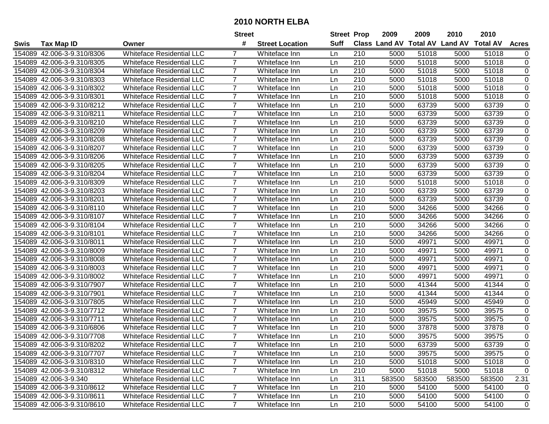|        |                            |                                  | <b>Street</b>  |                        | <b>Street Prop</b> |                  | 2009   | 2009   | 2010                           | 2010            |              |
|--------|----------------------------|----------------------------------|----------------|------------------------|--------------------|------------------|--------|--------|--------------------------------|-----------------|--------------|
| Swis   | <b>Tax Map ID</b>          | Owner                            | #              | <b>Street Location</b> | <b>Suff</b>        |                  |        |        | Class Land AV Total AV Land AV | <b>Total AV</b> | <b>Acres</b> |
| 154089 | 42.006-3-9.310/8306        | <b>Whiteface Residential LLC</b> | 7              | Whiteface Inn          | Ln                 | 210              | 5000   | 51018  | 5000                           | 51018           | 0            |
|        | 154089 42.006-3-9.310/8305 | <b>Whiteface Residential LLC</b> | $\overline{7}$ | Whiteface Inn          | Ln                 | 210              | 5000   | 51018  | 5000                           | 51018           | $\pmb{0}$    |
|        | 154089 42.006-3-9.310/8304 | <b>Whiteface Residential LLC</b> | $\overline{7}$ | Whiteface Inn          | Ln                 | 210              | 5000   | 51018  | 5000                           | 51018           | 0            |
|        | 154089 42.006-3-9.310/8303 | <b>Whiteface Residential LLC</b> | 7              | Whiteface Inn          | Ln                 | 210              | 5000   | 51018  | 5000                           | 51018           | 0            |
|        | 154089 42.006-3-9.310/8302 | <b>Whiteface Residential LLC</b> | $\overline{7}$ | Whiteface Inn          | Ln                 | 210              | 5000   | 51018  | 5000                           | 51018           | $\mathbf 0$  |
|        | 154089 42.006-3-9.310/8301 | <b>Whiteface Residential LLC</b> | $\overline{7}$ | Whiteface Inn          | Ln                 | 210              | 5000   | 51018  | 5000                           | 51018           | 0            |
|        | 154089 42.006-3-9.310/8212 | <b>Whiteface Residential LLC</b> | $\overline{7}$ | Whiteface Inn          | Ln                 | 210              | 5000   | 63739  | 5000                           | 63739           | $\mathbf 0$  |
|        | 154089 42.006-3-9.310/8211 | <b>Whiteface Residential LLC</b> | $\overline{7}$ | Whiteface Inn          | Ln                 | 210              | 5000   | 63739  | 5000                           | 63739           | 0            |
|        | 154089 42.006-3-9.310/8210 | <b>Whiteface Residential LLC</b> | $\overline{7}$ | Whiteface Inn          | Ln                 | 210              | 5000   | 63739  | 5000                           | 63739           | $\pmb{0}$    |
| 154089 | 42.006-3-9.310/8209        | <b>Whiteface Residential LLC</b> | $\overline{7}$ | Whiteface Inn          | Ln                 | 210              | 5000   | 63739  | 5000                           | 63739           | $\pmb{0}$    |
| 154089 | 42.006-3-9.310/8208        | <b>Whiteface Residential LLC</b> | $\overline{7}$ | Whiteface Inn          | Ln                 | 210              | 5000   | 63739  | 5000                           | 63739           | 0            |
|        | 154089 42.006-3-9.310/8207 | <b>Whiteface Residential LLC</b> | $\overline{7}$ | Whiteface Inn          | Ln                 | 210              | 5000   | 63739  | 5000                           | 63739           | $\pmb{0}$    |
|        | 154089 42.006-3-9.310/8206 | <b>Whiteface Residential LLC</b> | $\overline{7}$ | Whiteface Inn          | Ln                 | 210              | 5000   | 63739  | 5000                           | 63739           | $\pmb{0}$    |
|        | 154089 42.006-3-9.310/8205 | <b>Whiteface Residential LLC</b> | $\overline{7}$ | Whiteface Inn          | Ln                 | 210              | 5000   | 63739  | 5000                           | 63739           | $\pmb{0}$    |
|        | 154089 42.006-3-9.310/8204 | <b>Whiteface Residential LLC</b> | $\overline{7}$ | Whiteface Inn          | Ln                 | 210              | 5000   | 63739  | 5000                           | 63739           | $\mathbf 0$  |
|        | 154089 42.006-3-9.310/8309 | <b>Whiteface Residential LLC</b> | $\overline{7}$ | Whiteface Inn          | Ln                 | 210              | 5000   | 51018  | 5000                           | 51018           | $\pmb{0}$    |
|        | 154089 42.006-3-9.310/8203 | <b>Whiteface Residential LLC</b> | $\overline{7}$ | Whiteface Inn          | Ln                 | 210              | 5000   | 63739  | 5000                           | 63739           | 0            |
|        | 154089 42.006-3-9.310/8201 | <b>Whiteface Residential LLC</b> | $\overline{7}$ | Whiteface Inn          | Ln                 | 210              | 5000   | 63739  | 5000                           | 63739           | 0            |
|        | 154089 42.006-3-9.310/8110 | <b>Whiteface Residential LLC</b> | $\overline{7}$ | Whiteface Inn          | Ln                 | 210              | 5000   | 34266  | 5000                           | 34266           | $\pmb{0}$    |
|        | 154089 42.006-3-9.310/8107 | <b>Whiteface Residential LLC</b> | $\overline{7}$ | Whiteface Inn          | Ln                 | 210              | 5000   | 34266  | 5000                           | 34266           | $\mathbf 0$  |
|        | 154089 42.006-3-9.310/8104 | <b>Whiteface Residential LLC</b> | 7              | Whiteface Inn          | Ln                 | 210              | 5000   | 34266  | 5000                           | 34266           | 0            |
|        | 154089 42.006-3-9.310/8101 | <b>Whiteface Residential LLC</b> | $\overline{7}$ | Whiteface Inn          | Ln                 | 210              | 5000   | 34266  | 5000                           | 34266           | $\mathbf 0$  |
|        | 154089 42.006-3-9.310/8011 | <b>Whiteface Residential LLC</b> | $\overline{7}$ | Whiteface Inn          | Ln                 | 210              | 5000   | 49971  | 5000                           | 49971           | 0            |
|        | 154089 42.006-3-9.310/8009 | <b>Whiteface Residential LLC</b> | $\overline{7}$ | Whiteface Inn          | Ln                 | 210              | 5000   | 49971  | 5000                           | 49971           | 0            |
|        | 154089 42.006-3-9.310/8008 | <b>Whiteface Residential LLC</b> | $\overline{7}$ | Whiteface Inn          | Ln                 | 210              | 5000   | 49971  | 5000                           | 49971           | 0            |
| 154089 | 42.006-3-9.310/8003        | <b>Whiteface Residential LLC</b> | $\overline{7}$ | Whiteface Inn          | Ln                 | 210              | 5000   | 49971  | 5000                           | 49971           | $\pmb{0}$    |
| 154089 | 42.006-3-9.310/8002        | <b>Whiteface Residential LLC</b> | $\overline{7}$ | Whiteface Inn          | Ln                 | 210              | 5000   | 49971  | 5000                           | 49971           | $\pmb{0}$    |
|        | 154089 42.006-3-9.310/7907 | <b>Whiteface Residential LLC</b> | $\overline{7}$ | Whiteface Inn          | Ln                 | 210              | 5000   | 41344  | 5000                           | 41344           | $\pmb{0}$    |
|        | 154089 42.006-3-9.310/7901 | <b>Whiteface Residential LLC</b> | 7              | Whiteface Inn          | Ln                 | 210              | 5000   | 41344  | 5000                           | 41344           | 0            |
|        | 154089 42.006-3-9.310/7805 | <b>Whiteface Residential LLC</b> | $\overline{7}$ | Whiteface Inn          | Ln                 | 210              | 5000   | 45949  | 5000                           | 45949           | $\mathbf 0$  |
|        | 154089 42.006-3-9.310/7712 | <b>Whiteface Residential LLC</b> | $\overline{7}$ | Whiteface Inn          | Ln                 | 210              | 5000   | 39575  | 5000                           | 39575           | 0            |
|        | 154089 42.006-3-9.310/7711 | <b>Whiteface Residential LLC</b> | $\overline{7}$ | Whiteface Inn          | Ln                 | 210              | 5000   | 39575  | 5000                           | 39575           | $\mathbf 0$  |
|        | 154089 42.006-3-9.310/6806 | <b>Whiteface Residential LLC</b> | 7              | Whiteface Inn          | Ln                 | 210              | 5000   | 37878  | 5000                           | 37878           | 0            |
|        | 154089 42.006-3-9.310/7708 | <b>Whiteface Residential LLC</b> | $\overline{7}$ | Whiteface Inn          | Ln                 | $\overline{210}$ | 5000   | 39575  | 5000                           | 39575           | $\Omega$     |
|        | 154089 42.006-3-9.310/8202 | <b>Whiteface Residential LLC</b> | $\overline{7}$ | Whiteface Inn          | Ln                 | 210              | 5000   | 63739  | 5000                           | 63739           | 0            |
|        | 154089 42.006-3-9.310/7707 | <b>Whiteface Residential LLC</b> | 7              | Whiteface Inn          | Ln                 | 210              | 5000   | 39575  | 5000                           | 39575           | 0            |
|        | 154089 42.006-3-9.310/8310 | <b>Whiteface Residential LLC</b> | 7              | Whiteface Inn          | Ln                 | 210              | 5000   | 51018  | 5000                           | 51018           | 0            |
|        | 154089 42.006-3-9.310/8312 | Whiteface Residential LLC        | $\overline{7}$ | Whiteface Inn          | Ln                 | 210              | 5000   | 51018  | 5000                           | 51018           | 0            |
|        | 154089 42.006-3-9.340      | Whiteface Residential LLC        |                | Whiteface Inn          | Ln                 | 311              | 583500 | 583500 | 583500                         | 583500          | 2.31         |
|        | 154089 42.006-3-9.310/8612 | <b>Whiteface Residential LLC</b> | $\overline{7}$ | Whiteface Inn          | Ln                 | 210              | 5000   | 54100  | 5000                           | 54100           | 0            |
|        | 154089 42.006-3-9.310/8611 | Whiteface Residential LLC        | $\overline{7}$ | Whiteface Inn          | Ln                 | 210              | 5000   | 54100  | 5000                           | 54100           | 0            |
|        | 154089 42.006-3-9.310/8610 | <b>Whiteface Residential LLC</b> | $\overline{7}$ | Whiteface Inn          | Ln                 | 210              | 5000   | 54100  | 5000                           | 54100           | $\mathbf 0$  |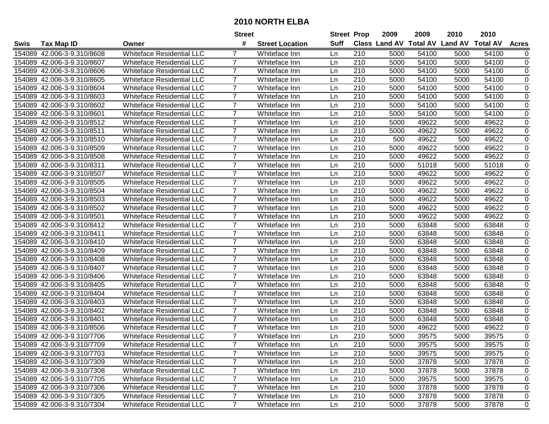|             |                            |                                  | <b>Street</b>  |                        | <b>Street Prop</b> |     | 2009                          | 2009  | 2010           | 2010            |              |
|-------------|----------------------------|----------------------------------|----------------|------------------------|--------------------|-----|-------------------------------|-------|----------------|-----------------|--------------|
| <b>Swis</b> | <b>Tax Map ID</b>          | Owner                            | #              | <b>Street Location</b> | Suff               |     | <b>Class Land AV Total AV</b> |       | <b>Land AV</b> | <b>Total AV</b> | <b>Acres</b> |
|             | 154089 42.006-3-9.310/8608 | <b>Whiteface Residential LLC</b> |                | Whiteface Inn          | Ln                 | 210 | 5000                          | 54100 | 5000           | 54100           | 0            |
|             | 154089 42.006-3-9.310/8607 | <b>Whiteface Residential LLC</b> | 7              | Whiteface Inn          | Ln                 | 210 | 5000                          | 54100 | 5000           | 54100           | $\pmb{0}$    |
|             | 154089 42.006-3-9.310/8606 | <b>Whiteface Residential LLC</b> | 7              | Whiteface Inn          | Ln                 | 210 | 5000                          | 54100 | 5000           | 54100           | 0            |
|             | 154089 42.006-3-9.310/8605 | <b>Whiteface Residential LLC</b> | $\overline{7}$ | Whiteface Inn          | Ln                 | 210 | 5000                          | 54100 | 5000           | 54100           | $\mathbf 0$  |
|             | 154089 42.006-3-9.310/8604 | <b>Whiteface Residential LLC</b> | 7              | Whiteface Inn          | Ln                 | 210 | 5000                          | 54100 | 5000           | 54100           | 0            |
| 154089      | 42.006-3-9.310/8603        | <b>Whiteface Residential LLC</b> | $\overline{7}$ | Whiteface Inn          | Ln                 | 210 | 5000                          | 54100 | 5000           | 54100           | $\mathbf 0$  |
|             | 154089 42.006-3-9.310/8602 | <b>Whiteface Residential LLC</b> | $\overline{7}$ | Whiteface Inn          | Ln                 | 210 | 5000                          | 54100 | 5000           | 54100           | 0            |
| 154089      | 42.006-3-9.310/8601        | <b>Whiteface Residential LLC</b> | $\overline{7}$ | Whiteface Inn          | Ln                 | 210 | 5000                          | 54100 | 5000           | 54100           | 0            |
| 154089      | 42.006-3-9.310/8512        | <b>Whiteface Residential LLC</b> | $\overline{7}$ | Whiteface Inn          | Ln                 | 210 | 5000                          | 49622 | 5000           | 49622           | 0            |
| 154089      | 42.006-3-9.310/8511        | <b>Whiteface Residential LLC</b> | $\overline{7}$ | Whiteface Inn          | Ln                 | 210 | 5000                          | 49622 | 5000           | 49622           | $\pmb{0}$    |
|             | 154089 42.006-3-9.310/8510 | <b>Whiteface Residential LLC</b> | $\overline{7}$ | Whiteface Inn          | Ln                 | 210 | 500                           | 49622 | 500            | 49622           | $\pmb{0}$    |
|             | 154089 42.006-3-9.310/8509 | <b>Whiteface Residential LLC</b> | 7              | Whiteface Inn          | Ln                 | 210 | 5000                          | 49622 | 5000           | 49622           | 0            |
| 154089      | 42.006-3-9.310/8508        | <b>Whiteface Residential LLC</b> | $\overline{7}$ | Whiteface Inn          | Ln                 | 210 | 5000                          | 49622 | 5000           | 49622           | $\pmb{0}$    |
| 154089      | 42.006-3-9.310/8311        | <b>Whiteface Residential LLC</b> | $\overline{7}$ | Whiteface Inn          | Ln                 | 210 | 5000                          | 51018 | 5000           | 51018           | $\pmb{0}$    |
| 154089      | 42.006-3-9.310/8507        | <b>Whiteface Residential LLC</b> | $\overline{7}$ | Whiteface Inn          | Ln                 | 210 | 5000                          | 49622 | 5000           | 49622           | $\mathbf 0$  |
| 154089      | 42.006-3-9.310/8505        | <b>Whiteface Residential LLC</b> | 7              | Whiteface Inn          | Ln                 | 210 | 5000                          | 49622 | 5000           | 49622           | 0            |
| 154089      | 42.006-3-9.310/8504        | <b>Whiteface Residential LLC</b> | $\overline{7}$ | Whiteface Inn          | Ln                 | 210 | 5000                          | 49622 | 5000           | 49622           | 0            |
| 154089      | 42.006-3-9.310/8503        | <b>Whiteface Residential LLC</b> | 7              | Whiteface Inn          | Ln                 | 210 | 5000                          | 49622 | 5000           | 49622           | 0            |
|             | 154089 42.006-3-9.310/8502 | <b>Whiteface Residential LLC</b> | $\overline{7}$ | Whiteface Inn          | Ln                 | 210 | 5000                          | 49622 | 5000           | 49622           | $\pmb{0}$    |
|             | 154089 42.006-3-9.310/8501 | <b>Whiteface Residential LLC</b> | 7              | Whiteface Inn          | Ln                 | 210 | 5000                          | 49622 | 5000           | 49622           | $\pmb{0}$    |
|             | 154089 42.006-3-9.310/8412 | <b>Whiteface Residential LLC</b> | 7              | Whiteface Inn          | Ln                 | 210 | 5000                          | 63848 | 5000           | 63848           | $\pmb{0}$    |
| 154089      | 42.006-3-9.310/8411        | <b>Whiteface Residential LLC</b> | $\overline{7}$ | Whiteface Inn          | Ln                 | 210 | 5000                          | 63848 | 5000           | 63848           | $\pmb{0}$    |
| 154089      | 42.006-3-9.310/8410        | <b>Whiteface Residential LLC</b> | $\overline{7}$ | Whiteface Inn          | Ln                 | 210 | 5000                          | 63848 | 5000           | 63848           | $\pmb{0}$    |
| 154089      | 42.006-3-9.310/8409        | <b>Whiteface Residential LLC</b> | $\overline{7}$ | Whiteface Inn          | Ln                 | 210 | 5000                          | 63848 | 5000           | 63848           | 0            |
| 154089      | 42.006-3-9.310/8408        | <b>Whiteface Residential LLC</b> | $\overline{7}$ | Whiteface Inn          | Ln                 | 210 | 5000                          | 63848 | 5000           | 63848           | $\pmb{0}$    |
| 154089      | 42.006-3-9.310/8407        | <b>Whiteface Residential LLC</b> | $\overline{7}$ | Whiteface Inn          | Ln                 | 210 | 5000                          | 63848 | 5000           | 63848           | $\pmb{0}$    |
|             | 154089 42.006-3-9.310/8406 | <b>Whiteface Residential LLC</b> | $\overline{7}$ | Whiteface Inn          | Ln                 | 210 | 5000                          | 63848 | 5000           | 63848           | $\pmb{0}$    |
|             | 154089 42.006-3-9.310/8405 | <b>Whiteface Residential LLC</b> | $\overline{7}$ | Whiteface Inn          | Ln                 | 210 | 5000                          | 63848 | 5000           | 63848           | $\pmb{0}$    |
|             | 154089 42.006-3-9.310/8404 | <b>Whiteface Residential LLC</b> | $\overline{7}$ | Whiteface Inn          | Ln                 | 210 | 5000                          | 63848 | 5000           | 63848           | $\pmb{0}$    |
| 154089      | 42.006-3-9.310/8403        | <b>Whiteface Residential LLC</b> | $\overline{7}$ | Whiteface Inn          | Ln                 | 210 | 5000                          | 63848 | 5000           | 63848           | 0            |
| 154089      | 42.006-3-9.310/8402        | <b>Whiteface Residential LLC</b> | $\overline{7}$ | Whiteface Inn          | Ln                 | 210 | 5000                          | 63848 | 5000           | 63848           | $\mathbf 0$  |
|             | 154089 42.006-3-9.310/8401 | <b>Whiteface Residential LLC</b> | $\overline{7}$ | Whiteface Inn          | Ln                 | 210 | 5000                          | 63848 | 5000           | 63848           | 0            |
|             | 154089 42.006-3-9.310/8506 | <b>Whiteface Residential LLC</b> | $\overline{7}$ | Whiteface Inn          | Ln                 | 210 | 5000                          | 49622 | 5000           | 49622           | 0            |
|             | 154089 42.006-3-9.310/7706 | <b>Whiteface Residential LLC</b> | 7              | Whiteface Inn          | Ln                 | 210 | 5000                          | 39575 | 5000           | 39575           | 0            |
|             | 154089 42.006-3-9.310/7709 | <b>Whiteface Residential LLC</b> |                | Whiteface Inn          | Ln                 | 210 | 5000                          | 39575 | 5000           | 39575           | 0            |
|             | 154089 42.006-3-9.310/7703 | Whiteface Residential LLC        | 7              | Whiteface Inn          | Ln                 | 210 | 5000                          | 39575 | 5000           | 39575           | 0            |
|             | 154089 42.006-3-9.310/7309 | Whiteface Residential LLC        | 7              | Whiteface Inn          | Ln                 | 210 | 5000                          | 37878 | 5000           | 37878           | 0            |
|             | 154089 42.006-3-9.310/7308 | <b>Whiteface Residential LLC</b> | $\overline{7}$ | Whiteface Inn          | Ln                 | 210 | 5000                          | 37878 | 5000           | 37878           | 0            |
|             | 154089 42.006-3-9.310/7705 | <b>Whiteface Residential LLC</b> | $\overline{7}$ | Whiteface Inn          | Ln                 | 210 | 5000                          | 39575 | 5000           | 39575           | 0            |
|             | 154089 42.006-3-9.310/7306 | <b>Whiteface Residential LLC</b> | $\overline{7}$ | Whiteface Inn          | Ln                 | 210 | 5000                          | 37878 | 5000           | 37878           | 0            |
|             | 154089 42.006-3-9.310/7305 | Whiteface Residential LLC        | $\overline{7}$ | Whiteface Inn          | Ln                 | 210 | 5000                          | 37878 | 5000           | 37878           | 0            |
|             | 154089 42.006-3-9.310/7304 | <b>Whiteface Residential LLC</b> | $\overline{7}$ | Whiteface Inn          | Ln                 | 210 | 5000                          | 37878 | 5000           | 37878           | 0            |
|             |                            |                                  |                |                        |                    |     |                               |       |                |                 |              |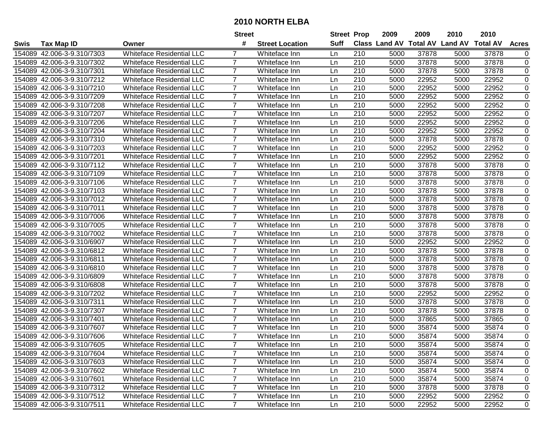|             |                            |                                  | <b>Street</b>  |                        | <b>Street Prop</b> |     | 2009                          | 2009  | 2010           | 2010            |                |
|-------------|----------------------------|----------------------------------|----------------|------------------------|--------------------|-----|-------------------------------|-------|----------------|-----------------|----------------|
| <b>Swis</b> | <b>Tax Map ID</b>          | Owner                            | #              | <b>Street Location</b> | Suff               |     | <b>Class Land AV Total AV</b> |       | <b>Land AV</b> | <b>Total AV</b> | <b>Acres</b>   |
|             | 154089 42.006-3-9.310/7303 | <b>Whiteface Residential LLC</b> |                | Whiteface Inn          | Ln                 | 210 | 5000                          | 37878 | 5000           | 37878           | 0              |
|             | 154089 42.006-3-9.310/7302 | <b>Whiteface Residential LLC</b> | 7              | Whiteface Inn          | Ln                 | 210 | 5000                          | 37878 | 5000           | 37878           | $\pmb{0}$      |
|             | 154089 42.006-3-9.310/7301 | <b>Whiteface Residential LLC</b> | 7              | Whiteface Inn          | Ln                 | 210 | 5000                          | 37878 | 5000           | 37878           | 0              |
|             | 154089 42.006-3-9.310/7212 | <b>Whiteface Residential LLC</b> | $\overline{7}$ | Whiteface Inn          | Ln                 | 210 | 5000                          | 22952 | 5000           | 22952           | $\mathbf 0$    |
|             | 154089 42.006-3-9.310/7210 | <b>Whiteface Residential LLC</b> | 7              | Whiteface Inn          | Ln                 | 210 | 5000                          | 22952 | 5000           | 22952           | 0              |
| 154089      | 42.006-3-9.310/7209        | <b>Whiteface Residential LLC</b> | $\overline{7}$ | Whiteface Inn          | Ln                 | 210 | 5000                          | 22952 | 5000           | 22952           | $\mathbf 0$    |
|             | 154089 42.006-3-9.310/7208 | Whiteface Residential LLC        | $\overline{7}$ | Whiteface Inn          | Ln                 | 210 | 5000                          | 22952 | 5000           | 22952           | 0              |
| 154089      | 42.006-3-9.310/7207        | <b>Whiteface Residential LLC</b> | $\overline{7}$ | Whiteface Inn          | Ln                 | 210 | 5000                          | 22952 | 5000           | 22952           | 0              |
| 154089      | 42.006-3-9.310/7206        | <b>Whiteface Residential LLC</b> | $\overline{7}$ | Whiteface Inn          | Ln                 | 210 | 5000                          | 22952 | 5000           | 22952           | 0              |
| 154089      | 42.006-3-9.310/7204        | <b>Whiteface Residential LLC</b> | $\overline{7}$ | Whiteface Inn          | Ln                 | 210 | 5000                          | 22952 | 5000           | 22952           | $\pmb{0}$      |
|             | 154089 42.006-3-9.310/7310 | <b>Whiteface Residential LLC</b> | $\overline{7}$ | Whiteface Inn          | Ln                 | 210 | 5000                          | 37878 | 5000           | 37878           | 0              |
|             | 154089 42.006-3-9.310/7203 | <b>Whiteface Residential LLC</b> | 7              | Whiteface Inn          | Ln                 | 210 | 5000                          | 22952 | 5000           | 22952           | 0              |
| 154089      | 42.006-3-9.310/7201        | <b>Whiteface Residential LLC</b> | $\overline{7}$ | Whiteface Inn          | Ln                 | 210 | 5000                          | 22952 | 5000           | 22952           | $\pmb{0}$      |
| 154089      | 42.006-3-9.310/7112        | <b>Whiteface Residential LLC</b> | $\overline{7}$ | Whiteface Inn          | Ln                 | 210 | 5000                          | 37878 | 5000           | 37878           | $\pmb{0}$      |
| 154089      | 42.006-3-9.310/7109        | <b>Whiteface Residential LLC</b> | $\overline{7}$ | Whiteface Inn          | Ln                 | 210 | 5000                          | 37878 | 5000           | 37878           | $\mathbf 0$    |
| 154089      | 42.006-3-9.310/7106        | <b>Whiteface Residential LLC</b> | 7              | Whiteface Inn          | Ln                 | 210 | 5000                          | 37878 | 5000           | 37878           | 0              |
| 154089      | 42.006-3-9.310/7103        | <b>Whiteface Residential LLC</b> | $\overline{7}$ | Whiteface Inn          | Ln                 | 210 | 5000                          | 37878 | 5000           | 37878           | $\pmb{0}$      |
| 154089      | 42.006-3-9.310/7012        | <b>Whiteface Residential LLC</b> | 7              | Whiteface Inn          | Ln                 | 210 | 5000                          | 37878 | 5000           | 37878           | $\pmb{0}$      |
|             | 154089 42.006-3-9.310/7011 | <b>Whiteface Residential LLC</b> | $\overline{7}$ | Whiteface Inn          | Ln                 | 210 | 5000                          | 37878 | 5000           | 37878           | $\pmb{0}$      |
|             | 154089 42.006-3-9.310/7006 | <b>Whiteface Residential LLC</b> | 7              | Whiteface Inn          | Ln                 | 210 | 5000                          | 37878 | 5000           | 37878           | $\pmb{0}$      |
|             | 154089 42.006-3-9.310/7005 | <b>Whiteface Residential LLC</b> | 7              | Whiteface Inn          | Ln                 | 210 | 5000                          | 37878 | 5000           | 37878           | $\pmb{0}$      |
| 154089      | 42.006-3-9.310/7002        | <b>Whiteface Residential LLC</b> | $\overline{7}$ | Whiteface Inn          | Ln                 | 210 | 5000                          | 37878 | 5000           | 37878           | $\pmb{0}$      |
| 154089      | 42.006-3-9.310/6907        | <b>Whiteface Residential LLC</b> | $\overline{7}$ | Whiteface Inn          | Ln                 | 210 | 5000                          | 22952 | 5000           | 22952           | $\pmb{0}$      |
| 154089      | 42.006-3-9.310/6812        | <b>Whiteface Residential LLC</b> | $\overline{7}$ | Whiteface Inn          | Ln                 | 210 | 5000                          | 37878 | 5000           | 37878           | 0              |
| 154089      | 42.006-3-9.310/6811        | <b>Whiteface Residential LLC</b> | $\overline{7}$ | Whiteface Inn          | Ln                 | 210 | 5000                          | 37878 | 5000           | 37878           | 0              |
| 154089      | 42.006-3-9.310/6810        | <b>Whiteface Residential LLC</b> | $\overline{7}$ | Whiteface Inn          | Ln                 | 210 | 5000                          | 37878 | 5000           | 37878           | 0              |
|             | 154089 42.006-3-9.310/6809 | <b>Whiteface Residential LLC</b> | $\overline{7}$ | Whiteface Inn          | Ln                 | 210 | 5000                          | 37878 | 5000           | 37878           | 0              |
|             | 154089 42.006-3-9.310/6808 | <b>Whiteface Residential LLC</b> | $\overline{7}$ | Whiteface Inn          | Ln                 | 210 | 5000                          | 37878 | 5000           | 37878           | 0              |
|             | 154089 42.006-3-9.310/7202 | <b>Whiteface Residential LLC</b> | $\overline{7}$ | Whiteface Inn          | Ln                 | 210 | 5000                          | 22952 | 5000           | 22952           | $\pmb{0}$      |
| 154089      | 42.006-3-9.310/7311        | <b>Whiteface Residential LLC</b> | $\overline{7}$ | Whiteface Inn          | Ln                 | 210 | 5000                          | 37878 | 5000           | 37878           | 0              |
| 154089      | 42.006-3-9.310/7307        | <b>Whiteface Residential LLC</b> | $\overline{7}$ | Whiteface Inn          | Ln                 | 210 | 5000                          | 37878 | 5000           | 37878           | $\overline{0}$ |
|             | 154089 42.006-3-9.310/7401 | <b>Whiteface Residential LLC</b> | $\overline{7}$ | Whiteface Inn          | Ln                 | 210 | 5000                          | 37865 | 5000           | 37865           | 0              |
|             | 154089 42.006-3-9.310/7607 | <b>Whiteface Residential LLC</b> | $\overline{7}$ | Whiteface Inn          | Ln                 | 210 | 5000                          | 35874 | 5000           | 35874           | 0              |
|             | 154089 42.006-3-9.310/7606 | <b>Whiteface Residential LLC</b> | $\overline{7}$ | Whiteface Inn          | Ln                 | 210 | 5000                          | 35874 | 5000           | 35874           | 0              |
|             | 154089 42.006-3-9.310/7605 | <b>Whiteface Residential LLC</b> |                | Whiteface Inn          | Ln                 | 210 | 5000                          | 35874 | 5000           | 35874           | 0              |
|             | 154089 42.006-3-9.310/7604 | <b>Whiteface Residential LLC</b> | 7              | Whiteface Inn          | Ln                 | 210 | 5000                          | 35874 | 5000           | 35874           | 0              |
|             | 154089 42.006-3-9.310/7603 | Whiteface Residential LLC        | 7              | Whiteface Inn          | Ln                 | 210 | 5000                          | 35874 | 5000           | 35874           | 0              |
|             | 154089 42.006-3-9.310/7602 | <b>Whiteface Residential LLC</b> | $\overline{7}$ | Whiteface Inn          | Ln                 | 210 | 5000                          | 35874 | 5000           | 35874           | 0              |
|             | 154089 42.006-3-9.310/7601 | <b>Whiteface Residential LLC</b> | $\overline{7}$ | Whiteface Inn          | Ln                 | 210 | 5000                          | 35874 | 5000           | 35874           | 0              |
|             | 154089 42.006-3-9.310/7312 | <b>Whiteface Residential LLC</b> | $\overline{7}$ | Whiteface Inn          | Ln                 | 210 | 5000                          | 37878 | 5000           | 37878           | 0              |
|             | 154089 42.006-3-9.310/7512 | Whiteface Residential LLC        | $\overline{7}$ | Whiteface Inn          | Ln                 | 210 | 5000                          | 22952 | 5000           | 22952           | 0              |
|             | 154089 42.006-3-9.310/7511 | <b>Whiteface Residential LLC</b> | $\overline{7}$ | Whiteface Inn          | Ln                 | 210 | 5000                          | 22952 | 5000           | 22952           | 0              |
|             |                            |                                  |                |                        |                    |     |                               |       |                |                 |                |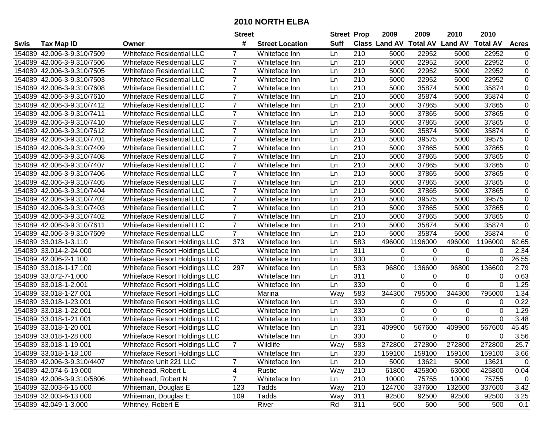|        |                            |                                      | <b>Street</b>  |                        | <b>Street Prop</b> |                  | 2009                          | 2009           | 2010           | 2010            |              |
|--------|----------------------------|--------------------------------------|----------------|------------------------|--------------------|------------------|-------------------------------|----------------|----------------|-----------------|--------------|
| Swis   | <b>Tax Map ID</b>          | Owner                                | #              | <b>Street Location</b> | <b>Suff</b>        |                  | <b>Class Land AV Total AV</b> |                | <b>Land AV</b> | <b>Total AV</b> | <b>Acres</b> |
|        | 154089 42.006-3-9.310/7509 | <b>Whiteface Residential LLC</b>     |                | Whiteface Inn          | Ln                 | 210              | 5000                          | 22952          | 5000           | 22952           | 0            |
|        | 154089 42.006-3-9.310/7506 | <b>Whiteface Residential LLC</b>     | 7              | Whiteface Inn          | Ln                 | 210              | 5000                          | 22952          | 5000           | 22952           | $\pmb{0}$    |
|        | 154089 42.006-3-9.310/7505 | <b>Whiteface Residential LLC</b>     | 7              | Whiteface Inn          | Ln                 | 210              | 5000                          | 22952          | 5000           | 22952           | 0            |
|        | 154089 42.006-3-9.310/7503 | <b>Whiteface Residential LLC</b>     | $\overline{7}$ | Whiteface Inn          | Ln                 | 210              | 5000                          | 22952          | 5000           | 22952           | $\pmb{0}$    |
|        | 154089 42.006-3-9.310/7608 | <b>Whiteface Residential LLC</b>     | $\overline{7}$ | Whiteface Inn          | Ln                 | 210              | 5000                          | 35874          | 5000           | 35874           | $\mathbf 0$  |
|        | 154089 42.006-3-9.310/7610 | <b>Whiteface Residential LLC</b>     | $\overline{7}$ | Whiteface Inn          | Ln                 | 210              | 5000                          | 35874          | 5000           | 35874           | $\mathbf 0$  |
|        | 154089 42.006-3-9.310/7412 | <b>Whiteface Residential LLC</b>     | $\overline{7}$ | Whiteface Inn          | Ln                 | 210              | 5000                          | 37865          | 5000           | 37865           | $\pmb{0}$    |
|        | 154089 42.006-3-9.310/7411 | <b>Whiteface Residential LLC</b>     | $\overline{7}$ | Whiteface Inn          | Ln                 | $\overline{210}$ | 5000                          | 37865          | 5000           | 37865           | $\pmb{0}$    |
|        | 154089 42.006-3-9.310/7410 | <b>Whiteface Residential LLC</b>     | $\overline{7}$ | Whiteface Inn          | Ln                 | $\overline{210}$ | 5000                          | 37865          | 5000           | 37865           | $\pmb{0}$    |
| 154089 | 42.006-3-9.310/7612        | <b>Whiteface Residential LLC</b>     | $\overline{7}$ | Whiteface Inn          | Ln                 | 210              | 5000                          | 35874          | 5000           | 35874           | 0            |
|        | 154089 42.006-3-9.310/7701 | <b>Whiteface Residential LLC</b>     | $\overline{7}$ | Whiteface Inn          | Ln                 | 210              | 5000                          | 39575          | 5000           | 39575           | 0            |
|        | 154089 42.006-3-9.310/7409 | <b>Whiteface Residential LLC</b>     | $\overline{7}$ | Whiteface Inn          | Ln                 | 210              | 5000                          | 37865          | 5000           | 37865           | 0            |
|        | 154089 42.006-3-9.310/7408 | Whiteface Residential LLC            | $\overline{7}$ | Whiteface Inn          | Ln                 | 210              | 5000                          | 37865          | 5000           | 37865           | $\pmb{0}$    |
|        | 154089 42.006-3-9.310/7407 | <b>Whiteface Residential LLC</b>     | $\overline{7}$ | Whiteface Inn          | Ln                 | 210              | 5000                          | 37865          | 5000           | 37865           | $\pmb{0}$    |
|        | 154089 42.006-3-9.310/7406 | <b>Whiteface Residential LLC</b>     | $\overline{7}$ | Whiteface Inn          | Ln                 | 210              | 5000                          | 37865          | 5000           | 37865           | $\pmb{0}$    |
|        | 154089 42.006-3-9.310/7405 | <b>Whiteface Residential LLC</b>     | $\overline{7}$ | Whiteface Inn          | Ln                 | 210              | 5000                          | 37865          | 5000           | 37865           | 0            |
|        | 154089 42.006-3-9.310/7404 | <b>Whiteface Residential LLC</b>     | $\overline{7}$ | Whiteface Inn          | Ln                 | 210              | 5000                          | 37865          | 5000           | 37865           | $\pmb{0}$    |
|        | 154089 42.006-3-9.310/7702 | <b>Whiteface Residential LLC</b>     | $\overline{7}$ | Whiteface Inn          | Ln                 | 210              | 5000                          | 39575          | 5000           | 39575           | 0            |
|        | 154089 42.006-3-9.310/7403 | <b>Whiteface Residential LLC</b>     | $\overline{7}$ | Whiteface Inn          | Ln                 | 210              | 5000                          | 37865          | 5000           | 37865           | $\pmb{0}$    |
|        | 154089 42.006-3-9.310/7402 | <b>Whiteface Residential LLC</b>     | 7              | Whiteface Inn          | Ln                 | 210              | 5000                          | 37865          | 5000           | 37865           | 0            |
|        | 154089 42.006-3-9.310/7611 | <b>Whiteface Residential LLC</b>     | $\overline{7}$ | Whiteface Inn          | Ln                 | 210              | 5000                          | 35874          | 5000           | 35874           | $\pmb{0}$    |
|        | 154089 42.006-3-9.310/7609 | <b>Whiteface Residential LLC</b>     | $\overline{7}$ | Whiteface Inn          | Ln                 | 210              | 5000                          | 35874          | 5000           | 35874           | $\mathbf 0$  |
|        | 154089 33.018-1-3.110      | Whiteface Resort Holdings LLC        | 373            | Whiteface Inn          | Ln                 | 583              | 496000                        | 1196000        | 496000         | 1196000         | 62.65        |
|        | 154089 33.014-2-24.000     | Whiteface Resort Holdings LLC        |                | Whiteface Inn          | Ln                 | 311              | 0                             | 0              | 0              | $\Omega$        | 2.34         |
|        | 154089 42.006-2-1.100      | Whiteface Resort Holdings LLC        |                | Whiteface Inn          | Ln                 | 330              | $\overline{0}$                | $\overline{0}$ | $\mathbf 0$    | $\mathbf 0$     | 26.55        |
|        | 154089 33.018-1-17.100     | <b>Whiteface Resort Holdings LLC</b> | 297            | Whiteface Inn          | Ln                 | 583              | 96800                         | 136600         | 96800          | 136600          | 2.79         |
|        | 154089 33.072-7-1.000      | Whiteface Resort Holdings LLC        |                | Whiteface Inn          | Ln                 | 311              | 0                             | 0              | 0              | $\Omega$        | 0.63         |
|        | 154089 33.018-1-2.001      | <b>Whiteface Resort Holdings LLC</b> |                | Whiteface Inn          | Ln                 | 330              | 0                             | $\overline{0}$ | $\Omega$       | $\Omega$        | 1.25         |
|        | 154089 33.018-1-27.001     | Whiteface Resort Holdings LLC        |                | Marina                 | Way                | 583              | 344300                        | 795000         | 344300         | 795000          | 1.34         |
|        | 154089 33.018-1-23.001     | Whiteface Resort Holdings LLC        |                | Whiteface Inn          | Ln                 | 330              | 0                             | 0              | 0              | 0               | 0.22         |
|        | 154089 33.018-1-22.001     | <b>Whiteface Resort Holdings LLC</b> |                | Whiteface Inn          | Ln                 | 330              | 0                             | 0              | 0              | $\mathbf 0$     | 1.29         |
|        | 154089 33.018-1-21.001     | <b>Whiteface Resort Holdings LLC</b> |                | Whiteface Inn          | Ln                 | 330              | 0                             | 0              | 0              | 0               | 3.48         |
|        | 154089 33.018-1-20.001     | Whiteface Resort Holdings LLC        |                | Whiteface Inn          | Ln                 | 331              | 409900                        | 567600         | 409900         | 567600          | 45.45        |
|        | 154089 33.018-1-28.000     | <b>Whiteface Resort Holdings LLC</b> |                | Whiteface Inn          | Ln                 | 330              | $\mathbf 0$                   | $\Omega$       | 0              | $\Omega$        | 3.56         |
|        | 154089 33.018-1-19.001     | <b>Whiteface Resort Holdings LLC</b> |                | Wildlife               | Way                | 583              | 272800                        | 272800         | 272800         | 272800          | 25.7         |
|        | 154089 33.018-1-18.100     | <b>Whiteface Resort Holdings LLC</b> |                | Whiteface Inn          | Ln                 | 330              | 159100                        | 159100         | 159100         | 159100          | 3.66         |
|        | 154089 42.006-3-9.310/4407 | Whiteface Unit 221 LLC               | 7              | Whiteface Inn          | Ln                 | 210              | 5000                          | 13621          | 5000           | 13621           | $\mathbf 0$  |
|        | 154089 42.074-6-19.000     | Whitehead, Robert L                  | 4              | Rustic                 | Way                | 210              | 61800                         | 425800         | 63000          | 425800          | 0.04         |
|        | 154089 42.006-3-9.310/5806 | Whitehead, Robert N                  | $\overline{7}$ | Whiteface Inn          | Ln                 | 210              | 10000                         | 75755          | 10000          | 75755           | $\mathbf 0$  |
|        | 154089 32.003-6-15.000     | Whiteman, Douglas E                  | 123            | Tadds                  | Way                | 210              | 124700                        | 337600         | 132600         | 337600          | 3.42         |
|        | 154089 32.003-6-13.000     | Whiteman, Douglas E                  | 109            | Tadds                  | Way                | 311              | 92500                         | 92500          | 92500          | 92500           | 3.25         |
|        | 154089 42.049-1-3.000      | Whitney, Robert E                    |                | River                  | Rd                 | 311              | 500                           | 500            | 500            | 500             | 0.1          |
|        |                            |                                      |                |                        |                    |                  |                               |                |                |                 |              |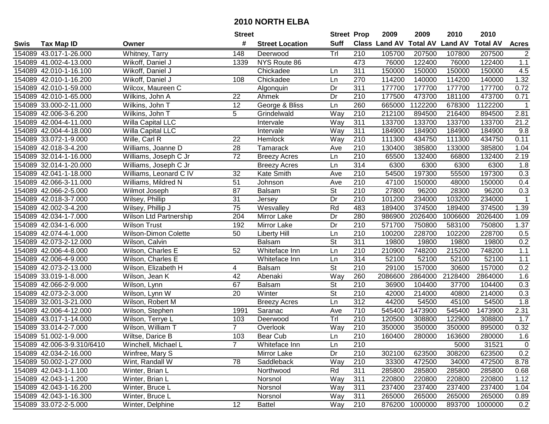| #<br><b>Suff</b><br><b>Total AV</b><br>Class Land AV<br><b>Land AV</b><br><b>Total AV</b><br><b>Tax Map ID</b><br><b>Street Location</b><br>Swis<br>Owner<br>Trl<br>154089 43.017-1-26.000<br>Whitney, Tarry<br>148<br>210<br>105700<br>207500<br>107800<br>Deerwood<br>473<br>154089 41.002-4-13.000<br>NYS Route 86<br>76000<br>122400<br>76000<br>Wikoff, Daniel J<br>1339<br>154089 42.010-1-16.100<br>Wikoff, Daniel J<br>Chickadee<br>311<br>150000<br>150000<br>150000<br>Ln<br>270<br>114200<br>114200<br>154089 42.010-1-16.200<br>Wikoff, Daniel J<br>108<br>Chickadee<br>Ln<br>140000<br>154089 42.010-1-59.000<br>Wilcox, Maureen C<br>Dr<br>311<br>177700<br>177700<br>177700<br>Algonquin<br>177500<br>473700<br>154089 42.010-1-65.000<br>22<br>Dr<br>210<br>181100<br>Wilkins, John A<br>Ahmek<br>George & Bliss<br>260<br>665000<br>1122200<br>154089 33.000-2-11.000<br>Wilkins, John T<br>12<br>Ln<br>678300<br>$\overline{5}$<br>Way<br>210<br>212100<br>894500<br>216400<br>154089 42.006-3-6.200<br>Wilkins, John T<br>Grindelwald<br>311<br>133700<br>133700<br>133700<br>154089 42.004-4-11.000<br>Willa Capital LLC<br>Way<br>Intervale<br>311<br>154089 42.004-4-18.000<br>Willa Capital LLC<br>Way<br>184900<br>184900<br>184900<br>Intervale<br>111300<br>434750<br>111300<br>154089 33.072-1-9.000<br>Wille, Carl R<br>22<br>Hemlock<br>Way<br>210<br>154089 42.018-3-4.200<br>28<br>210<br>130400<br>385800<br>133000<br>Williams, Joanne D<br>Tamarack<br>Ave<br>$\overline{72}$<br>$\overline{210}$<br>65500<br>132400<br>66800<br>154089 32.014-1-16.000<br>Williams, Joseph C Jr<br>Ln<br><b>Breezy Acres</b><br>314<br>154089 32.014-1-20.000<br>6300<br>6300<br>6300<br>Williams, Joseph C Jr<br><b>Breezy Acres</b><br>Ln | 2010                      |
|----------------------------------------------------------------------------------------------------------------------------------------------------------------------------------------------------------------------------------------------------------------------------------------------------------------------------------------------------------------------------------------------------------------------------------------------------------------------------------------------------------------------------------------------------------------------------------------------------------------------------------------------------------------------------------------------------------------------------------------------------------------------------------------------------------------------------------------------------------------------------------------------------------------------------------------------------------------------------------------------------------------------------------------------------------------------------------------------------------------------------------------------------------------------------------------------------------------------------------------------------------------------------------------------------------------------------------------------------------------------------------------------------------------------------------------------------------------------------------------------------------------------------------------------------------------------------------------------------------------------------------------------------------------------------------------------------------------------------------------------------------------|---------------------------|
|                                                                                                                                                                                                                                                                                                                                                                                                                                                                                                                                                                                                                                                                                                                                                                                                                                                                                                                                                                                                                                                                                                                                                                                                                                                                                                                                                                                                                                                                                                                                                                                                                                                                                                                                                                | <b>Acres</b>              |
|                                                                                                                                                                                                                                                                                                                                                                                                                                                                                                                                                                                                                                                                                                                                                                                                                                                                                                                                                                                                                                                                                                                                                                                                                                                                                                                                                                                                                                                                                                                                                                                                                                                                                                                                                                | 207500<br>$\overline{2}$  |
|                                                                                                                                                                                                                                                                                                                                                                                                                                                                                                                                                                                                                                                                                                                                                                                                                                                                                                                                                                                                                                                                                                                                                                                                                                                                                                                                                                                                                                                                                                                                                                                                                                                                                                                                                                | 122400<br>1.1             |
|                                                                                                                                                                                                                                                                                                                                                                                                                                                                                                                                                                                                                                                                                                                                                                                                                                                                                                                                                                                                                                                                                                                                                                                                                                                                                                                                                                                                                                                                                                                                                                                                                                                                                                                                                                | 150000<br>4.5             |
|                                                                                                                                                                                                                                                                                                                                                                                                                                                                                                                                                                                                                                                                                                                                                                                                                                                                                                                                                                                                                                                                                                                                                                                                                                                                                                                                                                                                                                                                                                                                                                                                                                                                                                                                                                | 1.32<br>140000            |
|                                                                                                                                                                                                                                                                                                                                                                                                                                                                                                                                                                                                                                                                                                                                                                                                                                                                                                                                                                                                                                                                                                                                                                                                                                                                                                                                                                                                                                                                                                                                                                                                                                                                                                                                                                | 177700<br>0.72            |
|                                                                                                                                                                                                                                                                                                                                                                                                                                                                                                                                                                                                                                                                                                                                                                                                                                                                                                                                                                                                                                                                                                                                                                                                                                                                                                                                                                                                                                                                                                                                                                                                                                                                                                                                                                | 473700<br>0.71            |
|                                                                                                                                                                                                                                                                                                                                                                                                                                                                                                                                                                                                                                                                                                                                                                                                                                                                                                                                                                                                                                                                                                                                                                                                                                                                                                                                                                                                                                                                                                                                                                                                                                                                                                                                                                | 1122200<br>$\mathbf{1}$   |
|                                                                                                                                                                                                                                                                                                                                                                                                                                                                                                                                                                                                                                                                                                                                                                                                                                                                                                                                                                                                                                                                                                                                                                                                                                                                                                                                                                                                                                                                                                                                                                                                                                                                                                                                                                | 2.81<br>894500            |
|                                                                                                                                                                                                                                                                                                                                                                                                                                                                                                                                                                                                                                                                                                                                                                                                                                                                                                                                                                                                                                                                                                                                                                                                                                                                                                                                                                                                                                                                                                                                                                                                                                                                                                                                                                | 133700<br>21.2            |
|                                                                                                                                                                                                                                                                                                                                                                                                                                                                                                                                                                                                                                                                                                                                                                                                                                                                                                                                                                                                                                                                                                                                                                                                                                                                                                                                                                                                                                                                                                                                                                                                                                                                                                                                                                | 9.8<br>184900             |
|                                                                                                                                                                                                                                                                                                                                                                                                                                                                                                                                                                                                                                                                                                                                                                                                                                                                                                                                                                                                                                                                                                                                                                                                                                                                                                                                                                                                                                                                                                                                                                                                                                                                                                                                                                | 434750<br>0.11            |
|                                                                                                                                                                                                                                                                                                                                                                                                                                                                                                                                                                                                                                                                                                                                                                                                                                                                                                                                                                                                                                                                                                                                                                                                                                                                                                                                                                                                                                                                                                                                                                                                                                                                                                                                                                | 385800<br>1.04            |
|                                                                                                                                                                                                                                                                                                                                                                                                                                                                                                                                                                                                                                                                                                                                                                                                                                                                                                                                                                                                                                                                                                                                                                                                                                                                                                                                                                                                                                                                                                                                                                                                                                                                                                                                                                | 132400<br>2.19            |
|                                                                                                                                                                                                                                                                                                                                                                                                                                                                                                                                                                                                                                                                                                                                                                                                                                                                                                                                                                                                                                                                                                                                                                                                                                                                                                                                                                                                                                                                                                                                                                                                                                                                                                                                                                | 6300<br>1.8               |
| 210<br>197300<br>154089 42.041-1-18.000<br>Williams, Leonard C IV<br>32<br>Kate Smith<br>54500<br>55500<br>Ave                                                                                                                                                                                                                                                                                                                                                                                                                                                                                                                                                                                                                                                                                                                                                                                                                                                                                                                                                                                                                                                                                                                                                                                                                                                                                                                                                                                                                                                                                                                                                                                                                                                 | 197300<br>0.3             |
| 154089 42.066-3-11.000<br>51<br>210<br>47100<br>150000<br>48000<br>Williams, Mildred N<br>Ave<br>Johnson                                                                                                                                                                                                                                                                                                                                                                                                                                                                                                                                                                                                                                                                                                                                                                                                                                                                                                                                                                                                                                                                                                                                                                                                                                                                                                                                                                                                                                                                                                                                                                                                                                                       | 0.4<br>150000             |
| $\overline{\mathsf{St}}$<br>87<br>210<br>154089 42.066-2-5.000<br>Balsam<br>27800<br>96200<br>28300<br>Wilmot Joseph                                                                                                                                                                                                                                                                                                                                                                                                                                                                                                                                                                                                                                                                                                                                                                                                                                                                                                                                                                                                                                                                                                                                                                                                                                                                                                                                                                                                                                                                                                                                                                                                                                           | 96200<br>0.3              |
| 31<br>Dr<br>210<br>154089 42.018-3-7.000<br>101200<br>234000<br>103200<br>Wilsey, Phillip<br>Jersey                                                                                                                                                                                                                                                                                                                                                                                                                                                                                                                                                                                                                                                                                                                                                                                                                                                                                                                                                                                                                                                                                                                                                                                                                                                                                                                                                                                                                                                                                                                                                                                                                                                            | 234000<br>1               |
| 75<br>Rd<br>483<br>154089 42.002-3-4.200<br>Wesvalley<br>189400<br>374500<br>189400<br>Wilsey, Phillip J                                                                                                                                                                                                                                                                                                                                                                                                                                                                                                                                                                                                                                                                                                                                                                                                                                                                                                                                                                                                                                                                                                                                                                                                                                                                                                                                                                                                                                                                                                                                                                                                                                                       | 374500<br>1.39            |
| 154089 42.034-1-7.000<br>Wilson Ltd Partnership<br>204<br>Dr<br>280<br>986900<br>2026400<br>1006600<br>Mirror Lake                                                                                                                                                                                                                                                                                                                                                                                                                                                                                                                                                                                                                                                                                                                                                                                                                                                                                                                                                                                                                                                                                                                                                                                                                                                                                                                                                                                                                                                                                                                                                                                                                                             | 2026400<br>1.09           |
| Dr<br>210<br>571700<br>750800<br>583100<br>154089 42.034-1-6.000<br><b>Wilson Trust</b><br>192<br>Mirror Lake                                                                                                                                                                                                                                                                                                                                                                                                                                                                                                                                                                                                                                                                                                                                                                                                                                                                                                                                                                                                                                                                                                                                                                                                                                                                                                                                                                                                                                                                                                                                                                                                                                                  | 1.37<br>750800            |
| 154089 42.074-4-1.000<br>Wilson-Dimon Colette<br>50<br><b>Liberty Hill</b><br>Ln<br>210<br>100200<br>228700<br>102200                                                                                                                                                                                                                                                                                                                                                                                                                                                                                                                                                                                                                                                                                                                                                                                                                                                                                                                                                                                                                                                                                                                                                                                                                                                                                                                                                                                                                                                                                                                                                                                                                                          | 228700<br>0.5             |
| St<br>311<br>154089 42.073-2-12.000<br>Wilson, Calvin<br><b>Balsam</b><br>19800<br>19800<br>19800                                                                                                                                                                                                                                                                                                                                                                                                                                                                                                                                                                                                                                                                                                                                                                                                                                                                                                                                                                                                                                                                                                                                                                                                                                                                                                                                                                                                                                                                                                                                                                                                                                                              | 0.2<br>19800              |
| 154089 42.006-4-8.000<br>Wilson, Charles E<br>52<br>210<br>210900<br>748200<br>215200<br>Whiteface Inn<br>Ln                                                                                                                                                                                                                                                                                                                                                                                                                                                                                                                                                                                                                                                                                                                                                                                                                                                                                                                                                                                                                                                                                                                                                                                                                                                                                                                                                                                                                                                                                                                                                                                                                                                   | 748200<br>$1.1$           |
| 314<br>52100<br>52100<br>52100<br>154089 42.006-4-9.000<br>Wilson, Charles E<br>Whiteface Inn<br>Ln                                                                                                                                                                                                                                                                                                                                                                                                                                                                                                                                                                                                                                                                                                                                                                                                                                                                                                                                                                                                                                                                                                                                                                                                                                                                                                                                                                                                                                                                                                                                                                                                                                                            | 52100<br>1.1              |
| $\overline{\mathsf{St}}$<br>210<br>29100<br>157000<br>30600<br>154089 42.073-2-13.000<br>Wilson, Elizabeth H<br>4<br><b>Balsam</b>                                                                                                                                                                                                                                                                                                                                                                                                                                                                                                                                                                                                                                                                                                                                                                                                                                                                                                                                                                                                                                                                                                                                                                                                                                                                                                                                                                                                                                                                                                                                                                                                                             | 0.2<br>157000             |
| 42<br>Way<br>260<br>2086600<br>2864000<br>2128400<br>154089 33.019-1-8.000<br>Wilson, Jean K<br>Abenaki                                                                                                                                                                                                                                                                                                                                                                                                                                                                                                                                                                                                                                                                                                                                                                                                                                                                                                                                                                                                                                                                                                                                                                                                                                                                                                                                                                                                                                                                                                                                                                                                                                                        | 1.6<br>2864000            |
| <b>St</b><br>210<br>154089 42.066-2-9.000<br>67<br>Balsam<br>36900<br>104400<br>37700<br>Wilson, Lynn                                                                                                                                                                                                                                                                                                                                                                                                                                                                                                                                                                                                                                                                                                                                                                                                                                                                                                                                                                                                                                                                                                                                                                                                                                                                                                                                                                                                                                                                                                                                                                                                                                                          | 104400<br>0.3             |
| $\overline{\mathsf{St}}$<br>20<br>210<br>42000<br>214000<br>40800<br>154089 42.073-2-3.000<br>Wilson, Lynn W<br>Winter                                                                                                                                                                                                                                                                                                                                                                                                                                                                                                                                                                                                                                                                                                                                                                                                                                                                                                                                                                                                                                                                                                                                                                                                                                                                                                                                                                                                                                                                                                                                                                                                                                         | 214000<br>0.3             |
| $\overline{312}$<br>44200<br>45100<br>154089 32.001-3-21.000<br>Ln<br>54500<br>Wilson, Robert M<br><b>Breezy Acres</b>                                                                                                                                                                                                                                                                                                                                                                                                                                                                                                                                                                                                                                                                                                                                                                                                                                                                                                                                                                                                                                                                                                                                                                                                                                                                                                                                                                                                                                                                                                                                                                                                                                         | 54500<br>$\overline{1.8}$ |
| 710<br>545400<br>1473900<br>545400<br>154089 42.006-4-12.000<br>Wilson, Stephen<br>1991<br>Saranac<br>Ave                                                                                                                                                                                                                                                                                                                                                                                                                                                                                                                                                                                                                                                                                                                                                                                                                                                                                                                                                                                                                                                                                                                                                                                                                                                                                                                                                                                                                                                                                                                                                                                                                                                      | 1473900<br>2.31           |
| Tr<br>154089 43.017-1-14.000<br>Wilson, Terrye L<br>210<br>120500<br>308800<br>103<br>122900<br>Deerwood                                                                                                                                                                                                                                                                                                                                                                                                                                                                                                                                                                                                                                                                                                                                                                                                                                                                                                                                                                                                                                                                                                                                                                                                                                                                                                                                                                                                                                                                                                                                                                                                                                                       | 1.7<br>308800             |
| $\overline{Way}$<br>$\overline{210}$<br>154089 33.014-2-7.000<br>Wilson, William T<br>$\overline{7}$<br>350000<br>350000<br>350000<br>Overlook                                                                                                                                                                                                                                                                                                                                                                                                                                                                                                                                                                                                                                                                                                                                                                                                                                                                                                                                                                                                                                                                                                                                                                                                                                                                                                                                                                                                                                                                                                                                                                                                                 | 895000<br>0.32            |
| 154089 51.002-1-9.000<br>103<br><b>Bear Cub</b><br>210<br>160400<br>280000<br>163600<br>Wiltse, Darice B<br>Ln                                                                                                                                                                                                                                                                                                                                                                                                                                                                                                                                                                                                                                                                                                                                                                                                                                                                                                                                                                                                                                                                                                                                                                                                                                                                                                                                                                                                                                                                                                                                                                                                                                                 | 1.6<br>280000             |
| 154089 42.006-3-9.310/6410<br>Winchell, Michael L<br>Whiteface Inn<br>Ln<br>210<br>5000                                                                                                                                                                                                                                                                                                                                                                                                                                                                                                                                                                                                                                                                                                                                                                                                                                                                                                                                                                                                                                                                                                                                                                                                                                                                                                                                                                                                                                                                                                                                                                                                                                                                        | 31521<br>0                |
| 154089 42.034-2-16.000<br>Mirror Lake<br>Dr<br>210<br>623500<br>308200<br>Winfree, Mary S<br>302100                                                                                                                                                                                                                                                                                                                                                                                                                                                                                                                                                                                                                                                                                                                                                                                                                                                                                                                                                                                                                                                                                                                                                                                                                                                                                                                                                                                                                                                                                                                                                                                                                                                            | 0.2<br>623500             |
| 154089 50.002-1-27.000<br>Wint, Randall W<br>78<br>Saddleback<br>Way<br>210<br>33300<br>472500<br>34000                                                                                                                                                                                                                                                                                                                                                                                                                                                                                                                                                                                                                                                                                                                                                                                                                                                                                                                                                                                                                                                                                                                                                                                                                                                                                                                                                                                                                                                                                                                                                                                                                                                        | 472500<br>8.78            |
| 154089 42.043-1-1.100<br>Rd<br>311<br>285800<br>285800<br>285800<br>Winter, Brian L<br>Northwood                                                                                                                                                                                                                                                                                                                                                                                                                                                                                                                                                                                                                                                                                                                                                                                                                                                                                                                                                                                                                                                                                                                                                                                                                                                                                                                                                                                                                                                                                                                                                                                                                                                               | 285800<br>0.68            |
| 154089 42.043-1-1.200<br>Winter, Brian L<br>Way<br>311<br>220800<br>220800<br>220800<br>Norsnol                                                                                                                                                                                                                                                                                                                                                                                                                                                                                                                                                                                                                                                                                                                                                                                                                                                                                                                                                                                                                                                                                                                                                                                                                                                                                                                                                                                                                                                                                                                                                                                                                                                                | 220800<br>1.12            |
| 311<br>237400<br>154089 42.043-1-16.200<br>Winter, Bruce L<br>Way<br>237400<br>237400<br>Norsnol                                                                                                                                                                                                                                                                                                                                                                                                                                                                                                                                                                                                                                                                                                                                                                                                                                                                                                                                                                                                                                                                                                                                                                                                                                                                                                                                                                                                                                                                                                                                                                                                                                                               | 237400<br>1.04            |
| 154089 42.043-1-16.300<br>Winter, Bruce L<br>311<br>265000<br>265000<br>265000<br>Norsnol<br>Way                                                                                                                                                                                                                                                                                                                                                                                                                                                                                                                                                                                                                                                                                                                                                                                                                                                                                                                                                                                                                                                                                                                                                                                                                                                                                                                                                                                                                                                                                                                                                                                                                                                               | 265000<br>0.89            |
| 12<br>154089 33.072-2-5.000<br>210<br>876200<br>1000000<br>893700<br>Winter, Delphine<br>Way<br><b>Battel</b>                                                                                                                                                                                                                                                                                                                                                                                                                                                                                                                                                                                                                                                                                                                                                                                                                                                                                                                                                                                                                                                                                                                                                                                                                                                                                                                                                                                                                                                                                                                                                                                                                                                  | 0.2<br>1000000            |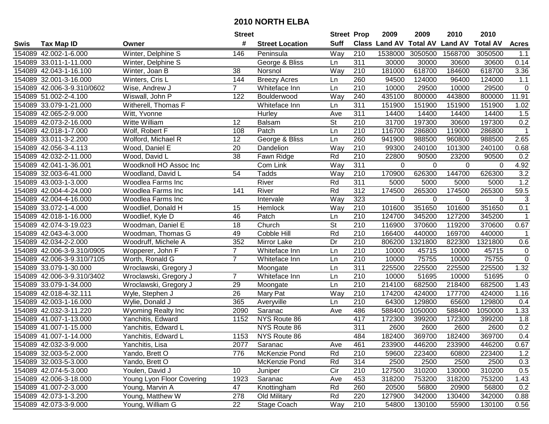|      |                            |                           | <b>Street</b>   |                        | <b>Street Prop</b>       |                  | 2009          | 2009            | 2010           | 2010            |              |
|------|----------------------------|---------------------------|-----------------|------------------------|--------------------------|------------------|---------------|-----------------|----------------|-----------------|--------------|
| Swis | <b>Tax Map ID</b>          | Owner                     | #               | <b>Street Location</b> | <b>Suff</b>              |                  | Class Land AV | <b>Total AV</b> | <b>Land AV</b> | <b>Total AV</b> | <b>Acres</b> |
|      | 154089 42.002-1-6.000      | Winter, Delphine S        | 146             | Peninsula              | Way                      | 210              | 1538000       | 3050500         | 1568700        | 3050500         | 1.1          |
|      | 154089 33.011-1-11.000     | Winter, Delphine S        |                 | George & Bliss         | Ln                       | 311              | 30000         | 30000           | 30600          | 30600           | 0.14         |
|      | 154089 42.043-1-16.100     | Winter, Joan B            | 38              | Norsnol                | Way                      | 210              | 181000        | 618700          | 184600         | 618700          | 3.36         |
|      | 154089 32.001-3-16.000     | Winters, Cris L           | 144             | <b>Breezy Acres</b>    | Ln                       | 260              | 94500         | 124000          | 96400          | 124000          | 1.1          |
|      | 154089 42.006-3-9.310/0602 | Wise, Andrew J            | $\overline{7}$  | Whiteface Inn          | Ln                       | 210              | 10000         | 29500           | 10000          | 29500           | $\mathbf 0$  |
|      | 154089 51.002-2-4.100      | Wiswall, John P           | 122             | Boulderwood            | Way                      | 240              | 435100        | 800000          | 443800         | 800000          | 11.91        |
|      | 154089 33.079-1-21.000     | Witherell, Thomas F       |                 | Whiteface Inn          | Ln                       | 311              | 151900        | 151900          | 151900         | 151900          | 1.02         |
|      | 154089 42.065-2-9.000      | Witt, Yvonne              |                 | Hurley                 | Ave                      | 311              | 14400         | 14400           | 14400          | 14400           | 1.5          |
|      | 154089 42.073-2-16.000     | Witte William             | 12              | <b>Balsam</b>          | $\overline{\mathsf{St}}$ | $\overline{210}$ | 31700         | 197300          | 30600          | 197300          | 0.2          |
|      | 154089 42.018-1-7.000      | Wolf, Robert F            | 108             | Patch                  | Ln                       | 210              | 116700        | 286800          | 119000         | 286800          | $\mathbf 1$  |
|      | 154089 33.011-3-2.200      | Wolford, Michael R        | 12              | George & Bliss         | Ln                       | 260              | 941900        | 988500          | 960800         | 988500          | 2.65         |
|      | 154089 42.056-3-4.113      | Wood, Daniel E            | 20              | Dandelion              | Way                      | 210              | 99300         | 240100          | 101300         | 240100          | 0.68         |
|      | 154089 42.032-2-11.000     | Wood, David L             | $\overline{38}$ | Fawn Ridge             | Rd                       | $\overline{210}$ | 22800         | 90500           | 23200          | 90500           | 0.2          |
|      | 154089 42.041-1-36.001     | Woodknoll HO Assoc Inc    |                 | Com Link               | Way                      | 311              | $\mathbf 0$   | 0               | 0              | 0               | 4.92         |
|      | 154089 32.003-6-41.000     | Woodland, David L         | 54              | Tadds                  | Way                      | 210              | 170900        | 626300          | 144700         | 626300          | 3.2          |
|      | 154089 43.003-1-3.000      | Woodlea Farms Inc         |                 | River                  | Rd                       | 311              | 5000          | 5000            | 5000           | 5000            | 1.2          |
|      | 154089 42.004-4-24.000     | Woodlea Farms Inc         | 141             | River                  | Rd                       | $\overline{312}$ | 174500        | 265300          | 174500         | 265300          | 59.5         |
|      | 154089 42.004-4-16.000     | Woodlea Farms Inc         |                 | Intervale              | Way                      | 323              | 0             | 0               | 0              | 0               | $\sqrt{3}$   |
|      | 154089 33.072-1-4.000      | Woodlief, Donald H        | 15              | Hemlock                | Way                      | 210              | 101600        | 351650          | 101600         | 351650          | 0.1          |
|      | 154089 42.018-1-16.000     | Woodlief, Kyle D          | 46              | Patch                  | Ln                       | 210              | 124700        | 345200          | 127200         | 345200          | $\mathbf 1$  |
|      | 154089 42.074-3-19.023     | Woodman, Daniel E         | 18              | Church                 | <b>St</b>                | 210              | 116900        | 370600          | 119200         | 370600          | 0.67         |
|      | 154089 42.043-4-3.000      | Woodman, Thomas G         | 49              | Cobble Hill            | Rd                       | 210              | 166400        | 440000          | 169700         | 440000          | $\mathbf{1}$ |
|      | 154089 42.034-2-2.000      | Woodruff, Michele A       | 352             | Mirror Lake            | Dr                       | 210              | 806200        | 1321800         | 822300         | 1321800         | 0.6          |
|      | 154089 42.006-3-9.310/0905 | Wopperer, John F          | $\overline{7}$  | Whiteface Inn          | Ln                       | 210              | 10000         | 45715           | 10000          | 45715           | $\pmb{0}$    |
|      | 154089 42.006-3-9.310/7105 | Worth, Ronald G           | $\overline{7}$  | Whiteface Inn          | Ln                       | 210              | 10000         | 75755           | 10000          | 75755           | $\mathbf 0$  |
|      | 154089 33.079-1-30.000     | Wroclawski, Gregory J     |                 | Moongate               | Ln                       | 311              | 225500        | 225500          | 225500         | 225500          | 1.32         |
|      | 154089 42.006-3-9.310/3402 | Wroclawski, Gregory J     | $\overline{7}$  | Whiteface Inn          | Ln                       | 210              | 10000         | 51695           | 10000          | 51695           | 0            |
|      | 154089 33.079-1-34.000     | Wroclawski, Gregory J     | 29              | Moongate               | Ln                       | 210              | 214100        | 682500          | 218400         | 682500          | 1.43         |
|      | 154089 42.018-4-32.111     | Wyle, Stephen J           | $\overline{26}$ | Mary Pat               | Way                      | 210              | 174200        | 424000          | 177700         | 424000          | 1.16         |
|      | 154089 42.003-1-16.000     | Wylie, Donald J           | 365             | Averyville             | Ln                       | $\overline{210}$ | 64300         | 129800          | 65600          | 129800          | 0.4          |
|      | 154089 42.032-3-11.220     | Wyoming Realty Inc        | 2090            | Saranac                | Ave                      | 486              | 588400        | 1050000         | 588400         | 1050000         | 1.33         |
|      | 154089 41.007-1-13.000     | Yanchitis, Edward         | 1152            | NYS Route 86           |                          | 417              | 172300        | 399200          | 172300         | 399200          | 1.8          |
|      | 154089 41.007-1-15.000     | Yanchitis, Edward L       |                 | NYS Route 86           |                          | 311              | 2600          | 2600            | 2600           | 2600            | 0.2          |
|      | 154089 41.007-1-14.000     | Yanchitis, Edward L       | 1153            | NYS Route 86           |                          | 484              | 182400        | 369700          | 182400         | 369700          | 0.4          |
|      | 154089 42.032-3-9.000      | Yanchitis, Lisa           | 2077            | Saranac                | Ave                      | 461              | 233900        | 446200          | 233900         | 446200          | 0.67         |
|      | 154089 32.003-5-2.000      | Yando, Brett O            | 776             | McKenzie Pond          | Rd                       | 210              | 59600         | 223400          | 60800          | 223400          | 1.2          |
|      | 154089 32.003-5-3.000      | Yando, Brett O            |                 | McKenzie Pond          | Rd                       | 314              | 2500          | 2500            | 2500           | 2500            | 0.3          |
|      | 154089 42.074-5-3.000      | Youlen, David J           | 10 <sup>1</sup> | Juniper                | Cir                      | 210              | 127500        | 310200          | 130000         | 310200          | 0.5          |
|      | 154089 42.006-3-18.000     | Young Lyon Floor Covering | 1923            | Saranac                | Ave                      | 453              | 318200        | 753200          | 318200         | 753200          | 1.43         |
|      | 154089 41.007-2-3.000      | Young, Marvin A           | 47              | Knottingham            | Rd                       | 260              | 20500         | 56800           | 20900          | 56800           | 0.2          |
|      | 154089 42.073-1-3.200      | Young, Matthew W          | 278             | Old Military           | Rd                       | 220              | 127900        | 342000          | 130400         | 342000          | 0.88         |
|      | 154089 42.073-3-9.000      | Young, William G          | 22              | Stage Coach            | Way                      | 210              | 54800         | 130100          | 55900          | 130100          | 0.56         |